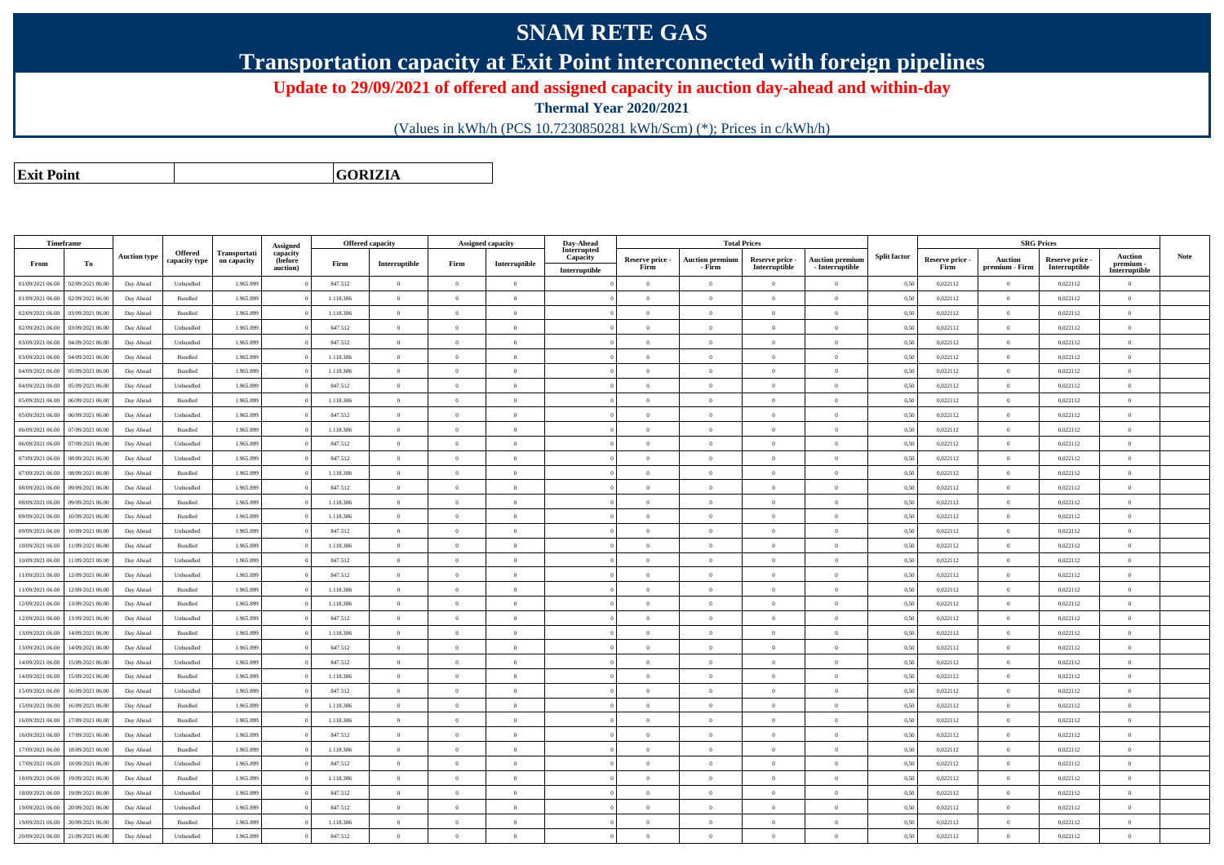## **SNAM RETE GAS**

**Transportation capacity at Exit Point interconnected with foreign pipelines**

**Update to 29/09/2021 of offered and assigned capacity in auction day-ahead and within-day**

**Thermal Year 2020/2021**

(Values in kWh/h (PCS 10.7230850281 kWh/Scm) (\*); Prices in c/kWh/h)

**Exit PointGORIZIA**

|                  | Timeframe        |                     |                          |                             | <b>Assigned</b>                 |           | <b>Offered capacity</b> |                | Assigned capacity | Day-Ahead               |                         |                                  | <b>Total Prices</b>              |                                           |                     |                         |                           | <b>SRG Prices</b>                |                           |      |
|------------------|------------------|---------------------|--------------------------|-----------------------------|---------------------------------|-----------|-------------------------|----------------|-------------------|-------------------------|-------------------------|----------------------------------|----------------------------------|-------------------------------------------|---------------------|-------------------------|---------------------------|----------------------------------|---------------------------|------|
| From             | Тo               | <b>Auction type</b> | Offered<br>capacity type | Transportati<br>on capacity | capacity<br>(before<br>auction) | Firm      | Interruptible           | Firm           | Interruptible     | Interrupted<br>Capacity | Reserve price -<br>Firm | <b>Auction premium</b><br>- Firm | Reserve price -<br>Interruptible | <b>Auction premium</b><br>- Interruptible | <b>Split factor</b> | Reserve price -<br>Firm | Auction<br>premium - Firm | Reserve price -<br>Interruptible | <b>Auction</b><br>premium | Note |
|                  |                  |                     |                          |                             |                                 |           |                         | $\Omega$       |                   | Interruptible           |                         |                                  |                                  | $\theta$                                  |                     |                         |                           |                                  | Interruptible             |      |
| 01/09/2021 06.00 | 02/09/2021 06.00 | Day Ahead           | Unbundled                | 1.965.899                   |                                 | 847.512   | $\overline{0}$          |                | $\overline{0}$    |                         | $\overline{0}$          | $\overline{0}$                   | $\overline{0}$                   |                                           | 0,50                | 0,022112                | $\overline{0}$            | 0,022112                         | $\mathbf{0}$              |      |
| 01/09/2021 06.00 | 02/09/2021 06.00 | Day Ahead           | Bundled                  | 1.965.899                   |                                 | 1.118.386 | $\overline{0}$          | $\overline{0}$ | $\overline{0}$    |                         | $\overline{0}$          | $\overline{0}$                   | $\theta$                         | $\overline{0}$                            | 0,50                | 0,022112                | $\overline{0}$            | 0,022112                         | $\mathbf{0}$              |      |
| 02/09/2021 06:00 | 03/09/2021 06.00 | Day Ahead           | Bundled                  | 1.965.899                   |                                 | 1.118.386 | $\overline{0}$          | $\Omega$       | $\overline{0}$    |                         | $\Omega$                | $\theta$                         | $\Omega$                         | $\theta$                                  | 0,50                | 0,022112                | $\overline{0}$            | 0,022112                         | $\mathbf{0}$              |      |
| 02/09/2021 06:00 | 03/09/2021 06.00 | Day Ahead           | Unbundled                | 1.965.899                   |                                 | 847.512   | $\overline{0}$          | $\Omega$       | $\overline{0}$    |                         | $\Omega$                | $\theta$                         | $\Omega$                         | $\theta$                                  | 0,50                | 0,022112                | $\overline{0}$            | 0,022112                         | $\overline{0}$            |      |
| 03/09/2021 06:00 | 04/09/2021 06.00 | Day Ahead           | Unbundled                | 1.965.899                   |                                 | 847.512   | $\overline{0}$          | $\theta$       | $\overline{0}$    |                         | $\Omega$                | $\theta$                         | $\Omega$                         | $\theta$                                  | 0,50                | 0,022112                | $\overline{0}$            | 0,022112                         | $\mathbf{0}$              |      |
| 03/09/2021 06.00 | 04/09/2021 06.00 | Day Ahead           | Bundled                  | 1.965.899                   |                                 | 1.118.386 | $\overline{0}$          | $\Omega$       | $\overline{0}$    |                         | $\overline{0}$          | $\overline{0}$                   | $\overline{0}$                   | $\theta$                                  | 0,50                | 0,022112                | $\overline{0}$            | 0,022112                         | $\mathbf{0}$              |      |
| 04/09/2021 06.00 | 05/09/2021 06.00 | Day Ahead           | Bundled                  | 1.965.899                   |                                 | 1.118.386 | $\overline{0}$          | $\Omega$       | $\overline{0}$    |                         | $\overline{0}$          | $\overline{0}$                   | $\Omega$                         | $\mathbf{a}$                              | 0,50                | 0,022112                | $\overline{0}$            | 0,022112                         | $\mathbf{0}$              |      |
| 04/09/2021 06:00 | 05/09/2021 06.00 | Day Ahead           | Unbundled                | 1.965.899                   |                                 | 847.512   | $\overline{0}$          | $\Omega$       | $\overline{0}$    |                         | $\overline{0}$          | $\overline{0}$                   | $\theta$                         | $\overline{0}$                            | 0,50                | 0,022112                | $\overline{0}$            | 0,022112                         | $\mathbf{0}$              |      |
| 05/09/2021 06:00 | 06/09/2021 06:00 | Day Ahead           | Bundled                  | 1.965.899                   |                                 | 1.118.386 | $\overline{0}$          | $\Omega$       | $\Omega$          |                         | $\Omega$                | $\theta$                         | $\Omega$                         | $\theta$                                  | 0,50                | 0,022112                | $\overline{0}$            | 0,022112                         | $\overline{0}$            |      |
| 05/09/2021 06:00 | 06/09/2021 06.00 | Day Ahead           | Unbundled                | 1.965.899                   |                                 | 847.512   | $\overline{0}$          | $\Omega$       | $\overline{0}$    |                         | $\overline{0}$          | $\overline{0}$                   | $\theta$                         | $\theta$                                  | 0,50                | 0,022112                | $\overline{0}$            | 0,022112                         | $\mathbf{0}$              |      |
| 06/09/2021 06:00 | 07/09/2021 06:00 | Day Ahead           | <b>Bundled</b>           | 1.965.899                   |                                 | 1.118.386 | $\overline{0}$          | $\Omega$       | $\overline{0}$    |                         | $\Omega$                | $\theta$                         | $\theta$                         | $\theta$                                  | 0,50                | 0,022112                | $\overline{0}$            | 0,022112                         | $\mathbf{0}$              |      |
| 06/09/2021 06:00 | 07/09/2021 06.00 | Day Ahead           | Unbundled                | 1.965.899                   |                                 | 847.512   | $\overline{0}$          | $\Omega$       | $\Omega$          |                         | $\Omega$                | $\theta$                         | $\Omega$                         | $\mathbf{a}$                              | 0,50                | 0,022112                | $\overline{0}$            | 0,022112                         | $\mathbf{0}$              |      |
| 07/09/2021 06:00 | 08/09/2021 06.00 | Day Ahead           | Unbundled                | 1.965.899                   |                                 | 847.512   | $\overline{0}$          | $\Omega$       | $\overline{0}$    |                         | $\overline{0}$          | $\overline{0}$                   | $\theta$                         | $\theta$                                  | 0,50                | 0,022112                | $\overline{0}$            | 0,022112                         | $\mathbf{0}$              |      |
| 07/09/2021 06.00 | 08/09/2021 06.00 | Day Ahead           | Bundled                  | 1.965.89                    |                                 | 1.118.386 | $\overline{0}$          | $\Omega$       | $\overline{0}$    |                         | $\theta$                | $\overline{0}$                   | $\theta$                         | $\theta$                                  | 0,50                | 0,022112                | $\overline{0}$            | 0,022112                         | $\mathbf{0}$              |      |
| 08/09/2021 06:00 | 09/09/2021 06.00 | Day Ahead           | Unbundled                | 1.965.899                   |                                 | 847.512   | $\overline{0}$          | $\Omega$       | $\overline{0}$    |                         | $\overline{0}$          | $\overline{0}$                   | $\theta$                         | $\theta$                                  | 0,50                | 0,022112                | $\overline{0}$            | 0,022112                         | $\mathbf{0}$              |      |
| 08/09/2021 06:00 | 09/09/2021 06:0  | Day Ahead           | <b>Bundled</b>           | 1.965.899                   |                                 | 1.118.386 | $\overline{0}$          | $\Omega$       | $\theta$          |                         | $\theta$                | $\theta$                         | $\theta$                         | $\theta$                                  | 0.50                | 0,022112                | $\Omega$                  | 0,022112                         | $\theta$                  |      |
| 09/09/2021 06:00 | 10/09/2021 06.00 | Day Ahead           | <b>Bundled</b>           | 1.965.899                   |                                 | 1.118.386 | $\overline{0}$          | $\theta$       | $\Omega$          |                         | $\Omega$                | $\theta$                         | $\Omega$                         | $\overline{0}$                            | 0,50                | 0.022112                | $\overline{0}$            | 0,022112                         | $\overline{0}$            |      |
| 09/09/2021 06:00 | 10/09/2021 06.00 | Day Ahead           | Unbundled                | 1.965.899                   |                                 | 847.512   | $\overline{0}$          | $\Omega$       | $\Omega$          |                         | $\Omega$                | $\theta$                         | $\Omega$                         | $\mathbf{a}$                              | 0,50                | 0,022112                | $\overline{0}$            | 0,022112                         | $\mathbf{0}$              |      |
| 10/09/2021 06:00 | 1/09/2021 06.00  | Day Ahead           | Bundled                  | 1.965.89                    |                                 | 1.118.386 | $\overline{0}$          | $\Omega$       | $\overline{0}$    |                         | $\theta$                | $\overline{0}$                   | $\theta$                         | $\Omega$                                  | 0,50                | 0,022112                | $\overline{0}$            | 0,022112                         | $\mathbf{0}$              |      |
| 10/09/2021 06:00 | 11/09/2021 06.00 | Day Ahead           | Unbundled                | 1.965.899                   |                                 | 847.512   | $\overline{0}$          | $\overline{0}$ | $\overline{0}$    |                         | $\overline{0}$          | $\overline{0}$                   | $\overline{0}$                   | $\overline{0}$                            | 0,50                | 0,022112                | $\overline{0}$            | 0,022112                         | $\mathbf{0}$              |      |
| 11/09/2021 06:00 | 12/09/2021 06:00 | Day Ahead           | Unbundled                | 1.965.899                   |                                 | 847.512   | $\overline{0}$          | $\Omega$       | $\overline{0}$    |                         | $\Omega$                | $\theta$                         | $\Omega$                         | $\theta$                                  | 0,50                | 0,022112                | $\overline{0}$            | 0,022112                         | $\overline{0}$            |      |
| 11/09/2021 06:00 | 12/09/2021 06.00 | Day Ahead           | Bundled                  | 1.965.899                   |                                 | 1.118.386 | $\overline{0}$          | $\Omega$       | $\Omega$          |                         | $\overline{0}$          | $\theta$                         | $\theta$                         | $\overline{0}$                            | 0,50                | 0,022112                | $\overline{0}$            | 0,022112                         | $\overline{0}$            |      |
| 12/09/2021 06:00 | 13/09/2021 06.00 | Day Ahead           | Bundled                  | 1.965.899                   |                                 | 1.118.386 | $\Omega$                | $\Omega$       | $\theta$          |                         | $\Omega$                | $\theta$                         | $\Omega$                         | $\Omega$                                  | 0,50                | 0,022112                | $\Omega$                  | 0,022112                         | $\theta$                  |      |
| 12/09/2021 06:00 | 13/09/2021 06.00 | Day Ahead           | Unbundled                | 1.965.899                   |                                 | 847.512   | $\overline{0}$          | $\Omega$       | $\theta$          |                         | $\Omega$                | $\theta$                         | $\theta$                         | $\sqrt{2}$                                | 0,50                | 0,022112                | $\overline{0}$            | 0,022112                         | $\mathbf{0}$              |      |
| 13/09/2021 06:00 | 14/09/2021 06.00 | Day Ahead           | Bundled                  | 1.965.899                   |                                 | 1.118.386 | $\overline{0}$          | $\theta$       | $\overline{0}$    |                         | $\overline{0}$          | $\overline{0}$                   | $\overline{0}$                   | $\overline{0}$                            | 0,50                | 0,022112                | $\overline{0}$            | 0,022112                         | $\mathbf{0}$              |      |
| 13/09/2021 06:00 | 14/09/2021 06.00 | Day Ahead           | Unbundled                | 1.965.89                    |                                 | 847.512   | $\overline{0}$          | $\Omega$       | $\overline{0}$    |                         | $\overline{0}$          | $\overline{0}$                   | $\theta$                         | $\theta$                                  | 0,50                | 0,022112                | $\overline{0}$            | 0,022112                         | $\mathbf{0}$              |      |
|                  |                  |                     |                          | 1.965.899                   |                                 | 847.512   | $\overline{0}$          | $\Omega$       | $\Omega$          |                         | $\Omega$                | $\theta$                         | $\theta$                         | $\theta$                                  | 0,50                |                         | $\overline{0}$            | 0,022112                         | $\mathbf{0}$              |      |
| 14/09/2021 06:00 | 15/09/2021 06.00 | Day Ahead           | Unbundled                |                             |                                 |           | $\Omega$                |                | $\theta$          |                         |                         | $\theta$                         | $\theta$                         | $\Omega$                                  |                     | 0,022112                | $\Omega$                  |                                  | $\theta$                  |      |
| 14/09/2021 06:00 | 15/09/2021 06:00 | Day Ahead           | Bundled                  | 1.965.899                   |                                 | 1.118.386 |                         | $\Omega$       | $\Omega$          |                         | $\Omega$                | $\overline{0}$                   | $\Omega$                         |                                           | 0.50                | 0.022112                |                           | 0.022112                         |                           |      |
| 15/09/2021 06:00 | 16/09/2021 06:00 | Day Ahead           | Unbundled                | 1.965.899                   |                                 | 847.512   | $\overline{0}$          | $\theta$       |                   |                         | $\overline{0}$          |                                  |                                  | $\overline{0}$                            | 0,50                | 0.022112                | $\overline{0}$            | 0,022112                         | $\overline{0}$            |      |
| 15/09/2021 06:00 | 16/09/2021 06.00 | Day Ahead           | Bundled                  | 1.965.899                   |                                 | 1.118.386 | $\overline{0}$          | $\Omega$       | $\overline{0}$    |                         | $\Omega$                | $\theta$                         | $\theta$                         | $\theta$                                  | 0,50                | 0,022112                | $\overline{0}$            | 0,022112                         | $\mathbf{0}$              |      |
| 16/09/2021 06:00 | 17/09/2021 06.00 | Day Ahead           | Bundled                  | 1.965.899                   |                                 | 1.118.386 | $\overline{0}$          | $\Omega$       | $\overline{0}$    |                         | $\overline{0}$          | $\overline{0}$                   | $\theta$                         | $\Omega$                                  | 0,50                | 0,022112                | $\overline{0}$            | 0,022112                         | $\overline{0}$            |      |
| 16/09/2021 06:00 | 17/09/2021 06.00 | Day Ahead           | Unbundled                | 1.965.899                   |                                 | 847.512   | $\overline{0}$          | $\Omega$       | $\overline{0}$    |                         | $\overline{0}$          | $\overline{0}$                   | $\theta$                         | $\theta$                                  | 0,50                | 0,022112                | $\overline{0}$            | 0,022112                         | $\mathbf{0}$              |      |
| 17/09/2021 06:00 | 18/09/2021 06:00 | Day Ahead           | Bundled                  | 1.965.89                    |                                 | 1.118.386 | $\Omega$                | $\Omega$       | $\Omega$          |                         | $\Omega$                | $\theta$                         | $\theta$                         | $\theta$                                  | 0,50                | 0,022112                | $\Omega$                  | 0,022112                         | $\overline{0}$            |      |
| 17/09/2021 06:00 | 18/09/2021 06:00 | Day Ahead           | Unbundled                | 1.965.899                   |                                 | 847.512   | $\overline{0}$          | $\theta$       | $\theta$          |                         | $\overline{0}$          | $\theta$                         | $\Omega$                         | $\theta$                                  | 0,50                | 0.022112                | $\overline{0}$            | 0,022112                         | $\overline{0}$            |      |
| 18/09/2021 06:00 | 19/09/2021 06:00 | Day Ahead           | Bundled                  | 1.965.899                   |                                 | 1.118.386 | $\Omega$                | $\Omega$       | $\theta$          |                         | $\Omega$                | $\theta$                         | $\theta$                         | $\theta$                                  | 0.50                | 0.022112                | $\Omega$                  | 0,022112                         | $\theta$                  |      |
| 18/09/2021 06:00 | 19/09/2021 06.00 | Day Ahead           | Unbundled                | 1.965.899                   |                                 | 847.512   | $\overline{0}$          | $\theta$       | $\theta$          |                         | $\overline{0}$          | $\theta$                         | $\Omega$                         | $\theta$                                  | 0,50                | 0,022112                | $\,$ 0 $\,$               | 0,022112                         | $\mathbf{0}$              |      |
| 19/09/2021 06:00 | 20/09/2021 06.00 | Day Ahead           | Unbundled                | 1.965.899                   |                                 | 847.512   | $\overline{0}$          | $\Omega$       | $\Omega$          |                         | $\Omega$                | $\theta$                         | $\theta$                         | $\theta$                                  | 0,50                | 0,022112                | $\overline{0}$            | 0,022112                         | $\mathbf{0}$              |      |
| 19/09/2021 06:00 | 20/09/2021 06.00 | Day Ahead           | Bundled                  | 1.965.899                   |                                 | 1.118.386 | $\overline{0}$          | $\overline{0}$ | $\overline{0}$    |                         | $\overline{0}$          | $\overline{0}$                   | $\theta$                         | $\overline{0}$                            | 0,50                | 0,022112                | $\overline{0}$            | 0,022112                         | $\mathbf{0}$              |      |
| 20/09/2021 06:00 | 21/09/2021 06:00 | Day Ahead           | Unbundled                | 1965899                     |                                 | 847 512   | $\Omega$                |                |                   |                         |                         |                                  |                                  |                                           | 0.50                | 0.022112                |                           | 0.022112                         | $\Omega$                  |      |

0 | 21/09/2021 06.00 | Day Ahead | Unbundled | 1.965.899 | 0 | 847.512 | 0 | 0 | 0 | 0 | 0,022112 | 0 | 0,022112 | 0 | 0,022112 | 0 | 0,022112 | 0 | 0,022112 | 0 | 0,022112 | 0 | 0,0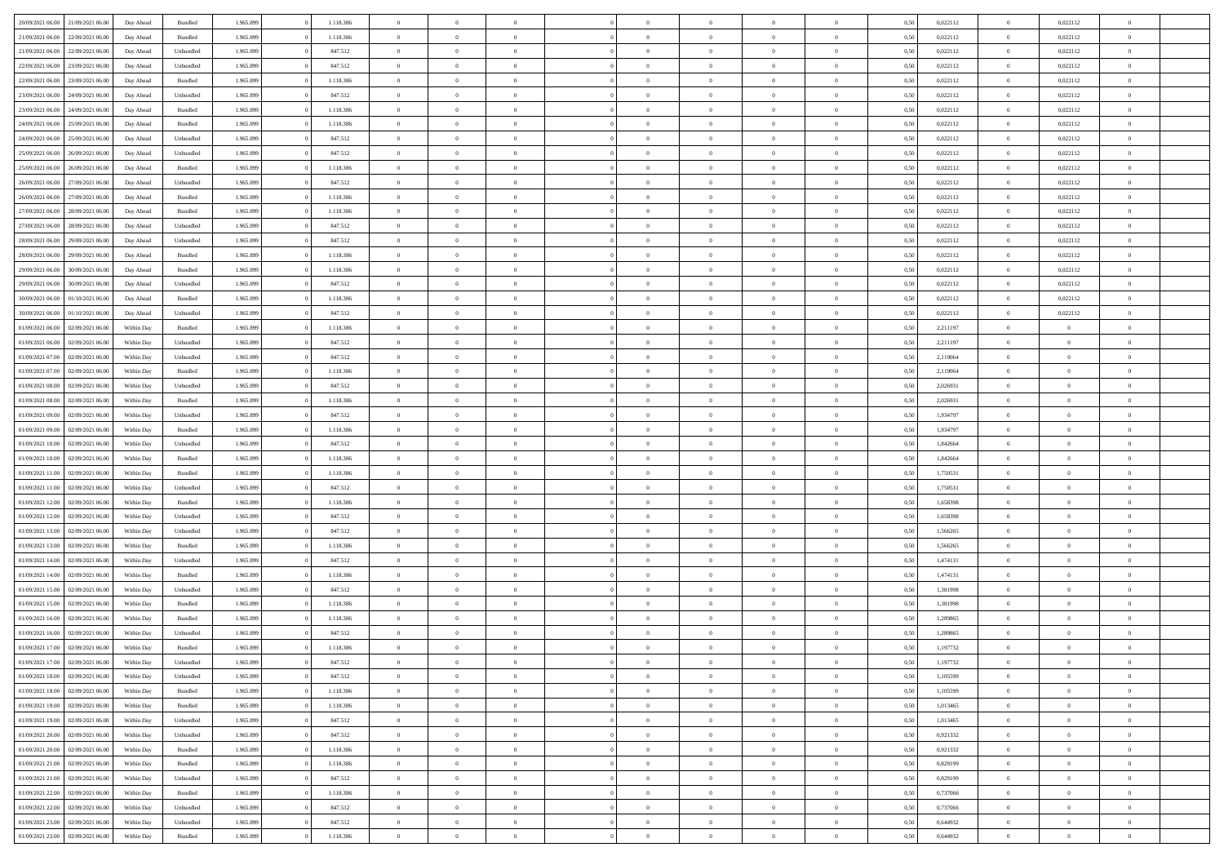|                  |                                   |            |           |           |           | $\Omega$       | $\Omega$       |                |                | $\Omega$       | $\Omega$       | $\theta$       |      |          | $\theta$       |                | $\theta$       |  |
|------------------|-----------------------------------|------------|-----------|-----------|-----------|----------------|----------------|----------------|----------------|----------------|----------------|----------------|------|----------|----------------|----------------|----------------|--|
| 20/09/2021 06:00 | 21/09/2021 06:00                  | Day Ahead  | Bundled   | 1.965.899 | 1.118.386 |                |                |                | $\Omega$       |                |                |                | 0.50 | 0,022112 |                | 0,022112       |                |  |
| 21/09/2021 06:00 | 22/09/2021 06:00                  | Day Ahead  | Bundled   | 1.965.899 | 1.118.386 | $\overline{0}$ | $\theta$       | $\overline{0}$ | $\overline{0}$ | $\bf{0}$       | $\overline{0}$ | $\overline{0}$ | 0,50 | 0,022112 | $\theta$       | 0,022112       | $\overline{0}$ |  |
| 21/09/2021 06:00 | 22/09/2021 06:00                  | Day Ahead  | Unbundled | 1.965.899 | 847.512   | $\overline{0}$ | $\overline{0}$ | $\overline{0}$ | $\bf{0}$       | $\bf{0}$       | $\bf{0}$       | $\bf{0}$       | 0,50 | 0,022112 | $\overline{0}$ | 0,022112       | $\overline{0}$ |  |
| 22/09/2021 06:00 | 23/09/2021 06:00                  | Day Ahead  | Unbundled | 1.965.899 | 847.512   | $\overline{0}$ | $\theta$       | $\overline{0}$ | $\overline{0}$ | $\bf{0}$       | $\overline{0}$ | $\overline{0}$ | 0.50 | 0,022112 | $\theta$       | 0,022112       | $\overline{0}$ |  |
| 22/09/2021 06:00 | 23/09/2021 06:00                  | Day Ahead  | Bundled   | 1.965.899 | 1.118.386 | $\overline{0}$ | $\theta$       | $\overline{0}$ | $\overline{0}$ | $\bf{0}$       | $\overline{0}$ | $\bf{0}$       | 0,50 | 0,022112 | $\,$ 0 $\,$    | 0,022112       | $\overline{0}$ |  |
|                  |                                   |            |           |           |           |                | $\bf{0}$       |                |                |                |                |                |      |          |                |                | $\bf{0}$       |  |
| 23/09/2021 06:00 | 24/09/2021 06:00                  | Day Ahead  | Unbundled | 1.965.899 | 847.512   | $\overline{0}$ |                | $\overline{0}$ | $\bf{0}$       | $\overline{0}$ | $\overline{0}$ | $\mathbf{0}$   | 0,50 | 0,022112 | $\overline{0}$ | 0,022112       |                |  |
| 23/09/2021 06:00 | 24/09/2021 06:00                  | Day Ahead  | Bundled   | 1.965.899 | 1.118.386 | $\overline{0}$ | $\overline{0}$ | $\overline{0}$ | $\overline{0}$ | $\overline{0}$ | $\overline{0}$ | $\overline{0}$ | 0.50 | 0,022112 | $\theta$       | 0,022112       | $\overline{0}$ |  |
| 24/09/2021 06.00 | 25/09/2021 06:00                  | Day Ahead  | Bundled   | 1.965.899 | 1.118.386 | $\overline{0}$ | $\theta$       | $\overline{0}$ | $\overline{0}$ | $\bf{0}$       | $\overline{0}$ | $\bf{0}$       | 0,50 | 0,022112 | $\,$ 0 $\,$    | 0,022112       | $\overline{0}$ |  |
| 24/09/2021 06:00 | 25/09/2021 06:00                  | Day Ahead  | Unbundled | 1.965.899 | 847.512   | $\overline{0}$ | $\overline{0}$ | $\overline{0}$ | $\bf{0}$       | $\bf{0}$       | $\bf{0}$       | $\bf{0}$       | 0,50 | 0,022112 | $\overline{0}$ | 0,022112       | $\overline{0}$ |  |
| 25/09/2021 06:00 | 26/09/2021 06:00                  | Day Ahead  | Unbundled | 1.965.899 | 847.512   | $\overline{0}$ | $\overline{0}$ | $\overline{0}$ | $\overline{0}$ | $\overline{0}$ | $\overline{0}$ | $\overline{0}$ | 0.50 | 0,022112 | $\theta$       | 0,022112       | $\overline{0}$ |  |
| 25/09/2021 06:00 | 26/09/2021 06:00                  | Day Ahead  | Bundled   | 1.965.899 | 1.118.386 | $\overline{0}$ | $\theta$       | $\overline{0}$ | $\overline{0}$ | $\bf{0}$       | $\overline{0}$ | $\bf{0}$       | 0,50 | 0,022112 | $\,$ 0 $\,$    | 0,022112       | $\overline{0}$ |  |
| 26/09/2021 06:00 | 27/09/2021 06:00                  | Day Ahead  | Unbundled | 1.965.899 | 847.512   | $\overline{0}$ | $\overline{0}$ | $\overline{0}$ | $\bf{0}$       | $\bf{0}$       | $\bf{0}$       | $\bf{0}$       | 0,50 | 0,022112 | $\overline{0}$ | 0,022112       | $\overline{0}$ |  |
| 26/09/2021 06:00 | 27/09/2021 06:00                  | Day Ahead  | Bundled   | 1.965.899 | 1.118.386 | $\overline{0}$ | $\overline{0}$ | $\overline{0}$ | $\overline{0}$ | $\bf{0}$       | $\overline{0}$ | $\overline{0}$ | 0.50 | 0,022112 | $\theta$       | 0,022112       | $\overline{0}$ |  |
|                  |                                   |            |           |           |           |                |                |                |                |                |                |                |      |          |                |                |                |  |
| 27/09/2021 06:00 | 28/09/2021 06:00                  | Day Ahead  | Bundled   | 1.965.899 | 1.118.386 | $\overline{0}$ | $\theta$       | $\overline{0}$ | $\overline{0}$ | $\bf{0}$       | $\overline{0}$ | $\bf{0}$       | 0,50 | 0,022112 | $\,$ 0 $\,$    | 0,022112       | $\overline{0}$ |  |
| 27/09/2021 06:00 | 28/09/2021 06:00                  | Day Ahead  | Unbundled | 1.965.899 | 847.512   | $\overline{0}$ | $\overline{0}$ | $\overline{0}$ | $\bf{0}$       | $\overline{0}$ | $\overline{0}$ | $\mathbf{0}$   | 0,50 | 0,022112 | $\overline{0}$ | 0,022112       | $\bf{0}$       |  |
| 28/09/2021 06:00 | 29/09/2021 06:00                  | Day Ahead  | Unbundled | 1.965.899 | 847.512   | $\overline{0}$ | $\overline{0}$ | $\overline{0}$ | $\overline{0}$ | $\overline{0}$ | $\overline{0}$ | $\overline{0}$ | 0.50 | 0,022112 | $\overline{0}$ | 0,022112       | $\overline{0}$ |  |
| 28/09/2021 06:00 | 29/09/2021 06:00                  | Day Ahead  | Bundled   | 1.965.899 | 1.118.386 | $\overline{0}$ | $\theta$       | $\overline{0}$ | $\overline{0}$ | $\bf{0}$       | $\overline{0}$ | $\bf{0}$       | 0,50 | 0,022112 | $\theta$       | 0,022112       | $\overline{0}$ |  |
| 29/09/2021 06:00 | 30/09/2021 06:00                  | Day Ahead  | Bundled   | 1.965.899 | 1.118.386 | $\overline{0}$ | $\overline{0}$ | $\overline{0}$ | $\bf{0}$       | $\bf{0}$       | $\bf{0}$       | $\bf{0}$       | 0,50 | 0,022112 | $\bf{0}$       | 0,022112       | $\overline{0}$ |  |
| 29/09/2021 06:00 | 30/09/2021 06:00                  | Day Ahead  | Unbundled | 1.965.899 | 847.512   | $\overline{0}$ | $\overline{0}$ | $\overline{0}$ | $\overline{0}$ | $\overline{0}$ | $\overline{0}$ | $\overline{0}$ | 0.50 | 0,022112 | $\theta$       | 0,022112       | $\overline{0}$ |  |
| 30/09/2021 06:00 | 01/10/2021 06:00                  | Day Ahead  | Bundled   | 1.965.899 | 1.118.386 | $\overline{0}$ | $\theta$       | $\overline{0}$ | $\overline{0}$ | $\bf{0}$       | $\overline{0}$ | $\bf{0}$       | 0,50 | 0,022112 | $\,$ 0 $\,$    | 0,022112       | $\overline{0}$ |  |
|                  |                                   |            |           |           |           |                |                |                |                |                |                |                |      |          |                |                |                |  |
| 30/09/2021 06:00 | 01/10/2021 06.00                  | Day Ahead  | Unbundled | 1.965.899 | 847.512   | $\overline{0}$ | $\overline{0}$ | $\overline{0}$ | $\bf{0}$       | $\bf{0}$       | $\bf{0}$       | $\bf{0}$       | 0,50 | 0,022112 | $\overline{0}$ | 0,022112       | $\overline{0}$ |  |
| 01/09/2021 06:00 | 02/09/2021 06:00                  | Within Day | Bundled   | 1.965.899 | 1.118.386 | $\overline{0}$ | $\overline{0}$ | $\overline{0}$ | $\overline{0}$ | $\bf{0}$       | $\overline{0}$ | $\overline{0}$ | 0.50 | 2.211197 | $\theta$       | $\overline{0}$ | $\overline{0}$ |  |
| 01/09/2021 06:00 | 02/09/2021 06:00                  | Within Day | Unbundled | 1.965.899 | 847.512   | $\overline{0}$ | $\theta$       | $\overline{0}$ | $\overline{0}$ | $\bf{0}$       | $\overline{0}$ | $\bf{0}$       | 0,50 | 2,211197 | $\,$ 0 $\,$    | $\overline{0}$ | $\overline{0}$ |  |
| 01/09/2021 07:00 | 02/09/2021 06:00                  | Within Day | Unbundled | 1.965.899 | 847.512   | $\overline{0}$ | $\bf{0}$       | $\overline{0}$ | $\bf{0}$       | $\overline{0}$ | $\overline{0}$ | $\mathbf{0}$   | 0,50 | 2,119064 | $\bf{0}$       | $\overline{0}$ | $\bf{0}$       |  |
| 01/09/2021 07:00 | 02/09/2021 06:00                  | Within Dav | Bundled   | 1.965.899 | 1.118.386 | $\overline{0}$ | $\overline{0}$ | $\overline{0}$ | $\overline{0}$ | $\overline{0}$ | $\overline{0}$ | $\overline{0}$ | 0.50 | 2,119064 | $\theta$       | $\theta$       | $\overline{0}$ |  |
| 01/09/2021 08:00 | 02/09/2021 06:00                  | Within Day | Unbundled | 1.965.899 | 847.512   | $\overline{0}$ | $\theta$       | $\overline{0}$ | $\overline{0}$ | $\bf{0}$       | $\overline{0}$ | $\bf{0}$       | 0,50 | 2,026931 | $\theta$       | $\theta$       | $\overline{0}$ |  |
| 01/09/2021 08:00 | 02/09/2021 06:00                  | Within Day | Bundled   | 1.965.899 | 1.118.386 | $\overline{0}$ | $\overline{0}$ | $\overline{0}$ | $\bf{0}$       | $\bf{0}$       | $\bf{0}$       | $\bf{0}$       | 0,50 | 2,026931 | $\,0\,$        | $\overline{0}$ | $\overline{0}$ |  |
| 01/09/2021 09:00 | 02/09/2021 06:00                  | Within Day | Unbundled | 1.965.899 | 847.512   | $\overline{0}$ | $\overline{0}$ | $\overline{0}$ | $\overline{0}$ | $\overline{0}$ | $\overline{0}$ | $\overline{0}$ | 0.50 | 1,934797 | $\theta$       | $\overline{0}$ | $\overline{0}$ |  |
|                  |                                   |            |           |           |           |                |                |                |                |                |                |                |      |          |                |                |                |  |
| 01/09/2021 09:00 | 02/09/2021 06:00                  | Within Day | Bundled   | 1.965.899 | 1.118.386 | $\overline{0}$ | $\theta$       | $\overline{0}$ | $\overline{0}$ | $\bf{0}$       | $\overline{0}$ | $\bf{0}$       | 0,50 | 1,934797 | $\,$ 0 $\,$    | $\theta$       | $\overline{0}$ |  |
| 01/09/2021 10:00 | 02/09/2021 06:00                  | Within Day | Unbundled | 1.965.899 | 847.512   | $\overline{0}$ | $\overline{0}$ | $\overline{0}$ | $\bf{0}$       | $\bf{0}$       | $\bf{0}$       | $\bf{0}$       | 0,50 | 1,842664 | $\bf{0}$       | $\overline{0}$ | $\overline{0}$ |  |
| 01/09/2021 10:00 | 02/09/2021 06:00                  | Within Day | Bundled   | 1.965.899 | 1.118.386 | $\overline{0}$ | $\Omega$       | $\Omega$       | $\Omega$       | $\Omega$       | $\Omega$       | $\overline{0}$ | 0,50 | 1,842664 | $\,0\,$        | $\Omega$       | $\theta$       |  |
| 01/09/2021 11:00 | 02/09/2021 06:00                  | Within Day | Bundled   | 1.965.899 | 1.118.386 | $\overline{0}$ | $\theta$       | $\overline{0}$ | $\overline{0}$ | $\bf{0}$       | $\overline{0}$ | $\bf{0}$       | 0,50 | 1,750531 | $\theta$       | $\theta$       | $\overline{0}$ |  |
| 01/09/2021 11:00 | 02/09/2021 06:00                  | Within Day | Unbundled | 1.965.899 | 847.512   | $\overline{0}$ | $\bf{0}$       | $\overline{0}$ | $\bf{0}$       | $\bf{0}$       | $\overline{0}$ | $\mathbf{0}$   | 0,50 | 1,750531 | $\overline{0}$ | $\overline{0}$ | $\bf{0}$       |  |
| 01/09/2021 12:00 | 02/09/2021 06:00                  | Within Day | Bundled   | 1.965.899 | 1.118.386 | $\overline{0}$ | $\Omega$       | $\Omega$       | $\Omega$       | $\bf{0}$       | $\overline{0}$ | $\overline{0}$ | 0.50 | 1,658398 | $\theta$       | $\theta$       | $\theta$       |  |
| 01/09/2021 12:00 | 02/09/2021 06:00                  | Within Day | Unbundled | 1.965.899 | 847.512   | $\overline{0}$ | $\theta$       | $\overline{0}$ | $\overline{0}$ | $\bf{0}$       | $\overline{0}$ | $\bf{0}$       | 0,50 | 1,658398 | $\theta$       | $\theta$       | $\overline{0}$ |  |
| 01/09/2021 13:00 | 02/09/2021 06:00                  | Within Day | Unbundled | 1.965.899 | 847.512   | $\overline{0}$ | $\overline{0}$ | $\overline{0}$ | $\bf{0}$       | $\bf{0}$       | $\bf{0}$       | $\bf{0}$       | 0,50 | 1,566265 | $\,0\,$        | $\overline{0}$ | $\overline{0}$ |  |
|                  |                                   |            |           |           |           |                |                |                |                |                |                |                |      |          |                |                |                |  |
| 01/09/2021 13:00 | 02/09/2021 06:00                  | Within Day | Bundled   | 1.965.899 | 1.118.386 | $\overline{0}$ | $\Omega$       | $\overline{0}$ | $\Omega$       | $\Omega$       | $\theta$       | $\overline{0}$ | 0.50 | 1.566265 | $\theta$       | $\theta$       | $\theta$       |  |
| 01/09/2021 14:00 | 02/09/2021 06:00                  | Within Day | Unbundled | 1.965.899 | 847.512   | $\overline{0}$ | $\theta$       | $\overline{0}$ | $\overline{0}$ | $\bf{0}$       | $\overline{0}$ | $\bf{0}$       | 0,50 | 1,474131 | $\,$ 0 $\,$    | $\theta$       | $\overline{0}$ |  |
| 01/09/2021 14:00 | 02/09/2021 06:00                  | Within Day | Bundled   | 1.965.899 | 1.118.386 | $\overline{0}$ | $\overline{0}$ | $\overline{0}$ | $\bf{0}$       | $\bf{0}$       | $\bf{0}$       | $\bf{0}$       | 0,50 | 1,474131 | $\bf{0}$       | $\overline{0}$ | $\overline{0}$ |  |
| 01/09/2021 15:00 | 02/09/2021 06:00                  | Within Day | Unbundled | 1.965.899 | 847.512   | $\overline{0}$ | $\Omega$       | $\overline{0}$ | $\Omega$       | $\Omega$       | $\overline{0}$ | $\overline{0}$ | 0,50 | 1,381998 | $\,0\,$        | $\theta$       | $\theta$       |  |
| 01/09/2021 15:00 | 02/09/2021 06:00                  | Within Day | Bundled   | 1.965.899 | 1.118.386 | $\overline{0}$ | $\theta$       | $\overline{0}$ | $\overline{0}$ | $\bf{0}$       | $\overline{0}$ | $\bf{0}$       | 0,50 | 1,381998 | $\,$ 0 $\,$    | $\overline{0}$ | $\overline{0}$ |  |
| 01/09/2021 16:00 | 02/09/2021 06:00                  | Within Day | Bundled   | 1.965.899 | 1.118.386 | $\overline{0}$ | $\overline{0}$ | $\overline{0}$ | $\bf{0}$       | $\bf{0}$       | $\bf{0}$       | $\mathbf{0}$   | 0,50 | 1,289865 | $\overline{0}$ | $\overline{0}$ | $\bf{0}$       |  |
| 01/09/2021 16:00 | 02/09/2021 06:00                  | Within Day | Unbundled | 1.965.899 | 847.512   | $\overline{0}$ | $\Omega$       | $\Omega$       | $\Omega$       | $\Omega$       | $\Omega$       | $\overline{0}$ | 0.50 | 1,289865 | $\theta$       | $\Omega$       | $\theta$       |  |
| 01/09/2021 17.00 | 02/09/2021 06:00                  | Within Day | Bundled   | 1.965.899 | 1.118.386 | $\overline{0}$ | $\,$ 0 $\,$    | $\overline{0}$ | $\bf{0}$       | $\,$ 0         | $\bf{0}$       | $\bf{0}$       | 0,50 | 1,197732 | $\,0\,$        | $\overline{0}$ | $\overline{0}$ |  |
|                  | 01/09/2021 17:00 02/09/2021 06:00 | Within Day | Unbundled | 1.965.899 |           |                |                |                |                |                |                |                |      |          |                |                |                |  |
|                  |                                   |            |           |           | 847.512   | $\bf{0}$       | $\bf{0}$       |                |                |                |                |                | 0,50 | 1,197732 | $\bf{0}$       | $\overline{0}$ |                |  |
| 01/09/2021 18:00 | 02/09/2021 06:00                  | Within Day | Unbundled | 1.965.899 | 847.512   | $\overline{0}$ | $\overline{0}$ | $\overline{0}$ | $\Omega$       | $\overline{0}$ | $\overline{0}$ | $\overline{0}$ | 0,50 | 1.105599 | $\theta$       | $\theta$       | $\theta$       |  |
| 01/09/2021 18:00 | 02/09/2021 06:00                  | Within Day | Bundled   | 1.965.899 | 1.118.386 | $\overline{0}$ | $\,$ 0         | $\overline{0}$ | $\bf{0}$       | $\,$ 0 $\,$    | $\overline{0}$ | $\,$ 0 $\,$    | 0,50 | 1,105599 | $\,$ 0 $\,$    | $\,$ 0 $\,$    | $\,$ 0         |  |
| 01/09/2021 19:00 | 02/09/2021 06:00                  | Within Day | Bundled   | 1.965.899 | 1.118.386 | $\overline{0}$ | $\overline{0}$ | $\overline{0}$ | $\overline{0}$ | $\overline{0}$ | $\overline{0}$ | $\mathbf{0}$   | 0,50 | 1,013465 | $\overline{0}$ | $\bf{0}$       | $\bf{0}$       |  |
| 01/09/2021 19:00 | 02/09/2021 06:00                  | Within Day | Unbundled | 1.965.899 | 847.512   | $\overline{0}$ | $\overline{0}$ | $\overline{0}$ | $\Omega$       | $\overline{0}$ | $\overline{0}$ | $\overline{0}$ | 0,50 | 1,013465 | $\overline{0}$ | $\overline{0}$ | $\overline{0}$ |  |
| 01/09/2021 20:00 | 02/09/2021 06:00                  | Within Day | Unbundled | 1.965.899 | 847.512   | $\overline{0}$ | $\,$ 0         | $\overline{0}$ | $\overline{0}$ | $\,$ 0 $\,$    | $\overline{0}$ | $\mathbf{0}$   | 0,50 | 0,921332 | $\,$ 0 $\,$    | $\overline{0}$ | $\overline{0}$ |  |
| 01/09/2021 20:00 | 02/09/2021 06:00                  | Within Day | Bundled   | 1.965.899 | 1.118.386 | $\overline{0}$ | $\overline{0}$ | $\overline{0}$ | $\overline{0}$ | $\overline{0}$ | $\overline{0}$ | $\mathbf{0}$   | 0,50 | 0,921332 | $\overline{0}$ | $\overline{0}$ | $\bf{0}$       |  |
| 01/09/2021 21:00 | 02/09/2021 06:00                  | Within Day | Bundled   | 1.965.899 | 1.118.386 | $\overline{0}$ | $\overline{0}$ | $\overline{0}$ | $\overline{0}$ | $\overline{0}$ | $\overline{0}$ | $\bf{0}$       | 0.50 | 0,829199 | $\overline{0}$ | $\theta$       | $\overline{0}$ |  |
|                  |                                   |            |           |           |           |                |                |                |                |                |                |                |      |          |                |                |                |  |
| 01/09/2021 21:00 | 02/09/2021 06:00                  | Within Day | Unbundled | 1.965.899 | 847.512   | $\overline{0}$ | $\,$ 0         | $\overline{0}$ | $\bf{0}$       | $\bf{0}$       | $\bf{0}$       | $\bf{0}$       | 0,50 | 0,829199 | $\,$ 0 $\,$    | $\overline{0}$ | $\overline{0}$ |  |
| 01/09/2021 22.00 | 02/09/2021 06:00                  | Within Day | Bundled   | 1.965.899 | 1.118.386 | $\overline{0}$ | $\bf{0}$       | $\overline{0}$ | $\overline{0}$ | $\overline{0}$ | $\overline{0}$ | $\mathbf{0}$   | 0,50 | 0,737066 | $\overline{0}$ | $\overline{0}$ | $\bf{0}$       |  |
| 01/09/2021 22.00 | 02/09/2021 06:00                  | Within Day | Unbundled | 1.965.899 | 847.512   | $\overline{0}$ | $\overline{0}$ | $\overline{0}$ | $\Omega$       | $\overline{0}$ | $\overline{0}$ | $\overline{0}$ | 0.50 | 0,737066 | $\overline{0}$ | $\overline{0}$ | $\overline{0}$ |  |
| 01/09/2021 23:00 | 02/09/2021 06:00                  | Within Day | Unbundled | 1.965.899 | 847.512   | $\overline{0}$ | $\bf{0}$       | $\overline{0}$ | $\bf{0}$       | $\bf{0}$       | $\bf{0}$       | $\mathbf{0}$   | 0,50 | 0,644932 | $\,$ 0 $\,$    | $\,$ 0 $\,$    | $\bf{0}$       |  |
| 01/09/2021 23.00 | 02/09/2021 06:00                  | Within Day | Bundled   | 1.965.899 | 1.118.386 | $\overline{0}$ | $\overline{0}$ | $\overline{0}$ | $\overline{0}$ | $\overline{0}$ | $\bf{0}$       | $\mathbf{0}$   | 0,50 | 0,644932 | $\overline{0}$ | $\bf{0}$       | $\bf{0}$       |  |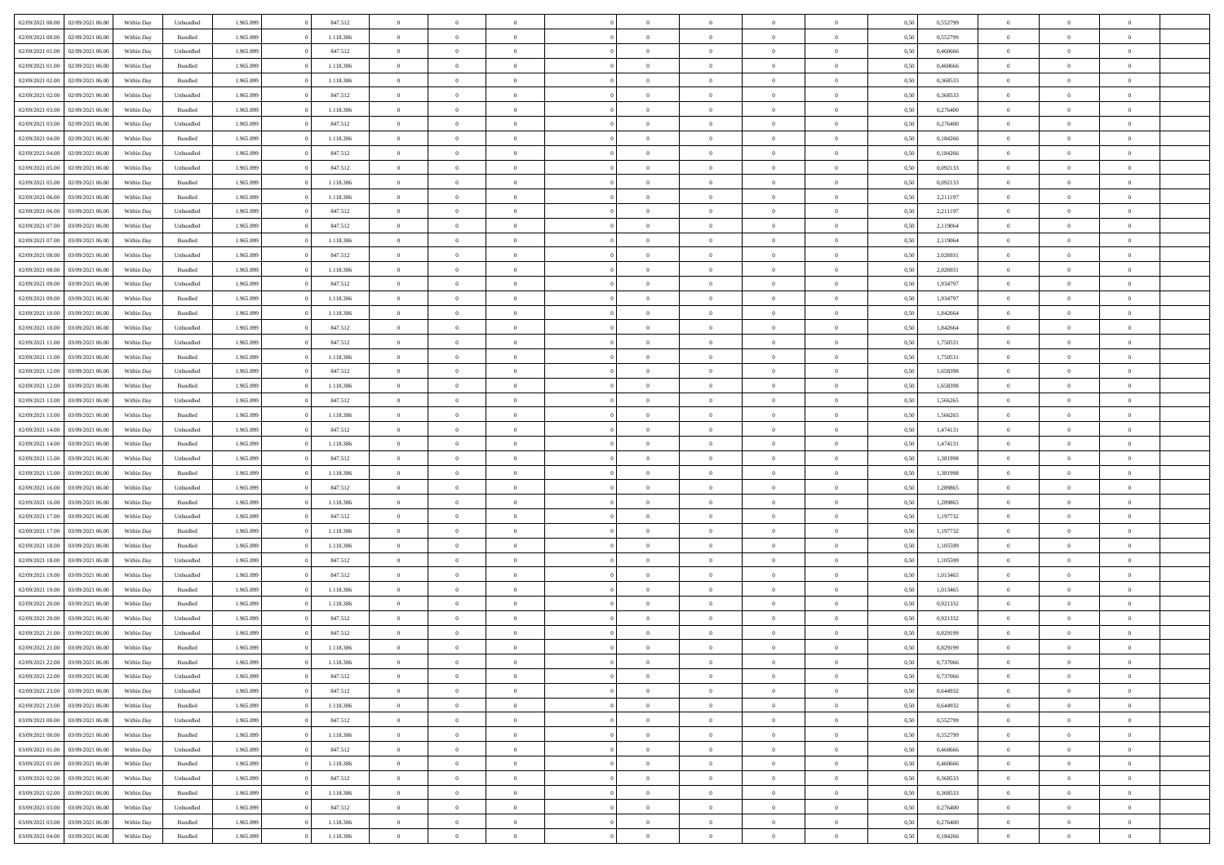| 02/09/2021 00:00                  | 02/09/2021 06:00 | Within Day | Unbundled          | 1.965.899 | 847.512   | $\overline{0}$ | $\theta$       |                | $\Omega$       | $\Omega$       | $\theta$       | $\theta$       | 0,50 | 0,552799 | $\theta$       | $\theta$       | $\theta$       |  |
|-----------------------------------|------------------|------------|--------------------|-----------|-----------|----------------|----------------|----------------|----------------|----------------|----------------|----------------|------|----------|----------------|----------------|----------------|--|
| 02/09/2021 00:00                  | 02/09/2021 06.00 | Within Day | Bundled            | 1.965.899 | 1.118.386 | $\overline{0}$ | $\theta$       | $\overline{0}$ | $\overline{0}$ | $\bf{0}$       | $\overline{0}$ | $\bf{0}$       | 0,50 | 0,552799 | $\theta$       | $\overline{0}$ | $\overline{0}$ |  |
| 02/09/2021 01:00                  | 02/09/2021 06:00 | Within Day | Unbundled          | 1.965.899 | 847.512   | $\overline{0}$ | $\overline{0}$ | $\overline{0}$ | $\overline{0}$ | $\bf{0}$       | $\overline{0}$ | $\mathbf{0}$   | 0,50 | 0,460666 | $\overline{0}$ | $\overline{0}$ | $\overline{0}$ |  |
| 02/09/2021 01:00                  | 02/09/2021 06:00 | Within Dav | Bundled            | 1.965.899 | 1.118.386 | $\overline{0}$ | $\overline{0}$ | $\overline{0}$ | $\overline{0}$ | $\bf{0}$       | $\overline{0}$ | $\overline{0}$ | 0.50 | 0.460666 | $\theta$       | $\theta$       | $\overline{0}$ |  |
|                                   |                  |            |                    |           |           |                |                |                |                |                |                |                |      |          |                |                |                |  |
| 02/09/2021 02:00                  | 02/09/2021 06:00 | Within Day | Bundled            | 1.965.899 | 1.118.386 | $\overline{0}$ | $\theta$       | $\overline{0}$ | $\overline{0}$ | $\bf{0}$       | $\overline{0}$ | $\bf{0}$       | 0,50 | 0,368533 | $\,$ 0 $\,$    | $\overline{0}$ | $\overline{0}$ |  |
| 02/09/2021 02:00                  | 02/09/2021 06:00 | Within Day | Unbundled          | 1.965.899 | 847.512   | $\overline{0}$ | $\overline{0}$ | $\overline{0}$ | $\overline{0}$ | $\overline{0}$ | $\overline{0}$ | $\mathbf{0}$   | 0,50 | 0,368533 | $\overline{0}$ | $\overline{0}$ | $\bf{0}$       |  |
| 02/09/2021 03:00                  | 02/09/2021 06:00 | Within Dav | Bundled            | 1.965.899 | 1.118.386 | $\overline{0}$ | $\overline{0}$ | $\overline{0}$ | $\overline{0}$ | $\overline{0}$ | $\overline{0}$ | $\overline{0}$ | 0.50 | 0,276400 | $\theta$       | $\overline{0}$ | $\overline{0}$ |  |
| 02/09/2021 03:00                  | 02/09/2021 06:00 | Within Day | Unbundled          | 1.965.899 | 847.512   | $\overline{0}$ | $\theta$       | $\overline{0}$ | $\overline{0}$ | $\bf{0}$       | $\overline{0}$ | $\bf{0}$       | 0,50 | 0,276400 | $\theta$       | $\theta$       | $\overline{0}$ |  |
| 02/09/2021 04:00                  | 02/09/2021 06:00 | Within Day | Bundled            | 1.965.899 | 1.118.386 | $\overline{0}$ | $\overline{0}$ | $\overline{0}$ | $\overline{0}$ | $\bf{0}$       | $\overline{0}$ | $\mathbf{0}$   | 0,50 | 0,184266 | $\,0\,$        | $\overline{0}$ | $\overline{0}$ |  |
| 02/09/2021 04:00                  | 02/09/2021 06:00 | Within Dav | Unbundled          | 1.965.899 | 847.512   | $\overline{0}$ | $\overline{0}$ | $\overline{0}$ | $\overline{0}$ | $\overline{0}$ | $\overline{0}$ | $\overline{0}$ | 0.50 | 0,184266 | $\theta$       | $\overline{0}$ | $\overline{0}$ |  |
|                                   |                  |            |                    |           |           |                |                |                |                |                |                |                |      |          |                |                |                |  |
| 02/09/2021 05:00                  | 02/09/2021 06:00 | Within Day | Unbundled          | 1.965.899 | 847.512   | $\overline{0}$ | $\theta$       | $\overline{0}$ | $\overline{0}$ | $\bf{0}$       | $\overline{0}$ | $\bf{0}$       | 0,50 | 0,092133 | $\,$ 0 $\,$    | $\overline{0}$ | $\overline{0}$ |  |
| 02/09/2021 05:00                  | 02/09/2021 06:00 | Within Day | Bundled            | 1.965.899 | 1.118.386 | $\overline{0}$ | $\overline{0}$ | $\overline{0}$ | $\overline{0}$ | $\bf{0}$       | $\overline{0}$ | $\mathbf{0}$   | 0,50 | 0,092133 | $\overline{0}$ | $\overline{0}$ | $\bf{0}$       |  |
| 02/09/2021 06:00                  | 03/09/2021 06:00 | Within Day | Bundled            | 1.965.899 | 1.118.386 | $\overline{0}$ | $\overline{0}$ | $\overline{0}$ | $\overline{0}$ | $\overline{0}$ | $\overline{0}$ | $\overline{0}$ | 0.50 | 2.211197 | $\theta$       | $\theta$       | $\overline{0}$ |  |
| 02/09/2021 06:00                  | 03/09/2021 06.00 | Within Day | Unbundled          | 1.965.899 | 847.512   | $\overline{0}$ | $\theta$       | $\overline{0}$ | $\overline{0}$ | $\bf{0}$       | $\overline{0}$ | $\bf{0}$       | 0,50 | 2,211197 | $\,$ 0 $\,$    | $\overline{0}$ | $\overline{0}$ |  |
| 02/09/2021 07:00                  | 03/09/2021 06:00 | Within Day | Unbundled          | 1.965.899 | 847.512   | $\overline{0}$ | $\overline{0}$ | $\overline{0}$ | $\overline{0}$ | $\overline{0}$ | $\overline{0}$ | $\mathbf{0}$   | 0,50 | 2,119064 | $\overline{0}$ | $\overline{0}$ | $\bf{0}$       |  |
| 02/09/2021 07:00                  | 03/09/2021 06:00 | Within Dav | Bundled            | 1.965.899 | 1.118.386 | $\overline{0}$ | $\overline{0}$ | $\overline{0}$ | $\overline{0}$ | $\overline{0}$ | $\overline{0}$ | $\overline{0}$ | 0.50 | 2,119064 | $\overline{0}$ | $\overline{0}$ | $\overline{0}$ |  |
|                                   |                  |            |                    |           |           |                |                |                |                |                |                |                |      |          |                |                |                |  |
| 02/09/2021 08:00                  | 03/09/2021 06:00 | Within Day | Unbundled          | 1.965.899 | 847.512   | $\overline{0}$ | $\theta$       | $\overline{0}$ | $\overline{0}$ | $\bf{0}$       | $\overline{0}$ | $\bf{0}$       | 0,50 | 2,026931 | $\,$ 0 $\,$    | $\overline{0}$ | $\overline{0}$ |  |
| 02/09/2021 08:00                  | 03/09/2021 06:00 | Within Day | Bundled            | 1.965.899 | 1.118.386 | $\overline{0}$ | $\overline{0}$ | $\overline{0}$ | $\bf{0}$       | $\bf{0}$       | $\bf{0}$       | $\mathbf{0}$   | 0,50 | 2,026931 | $\bf{0}$       | $\overline{0}$ | $\bf{0}$       |  |
| 02/09/2021 09:00                  | 03/09/2021 06:00 | Within Dav | Unbundled          | 1.965.899 | 847.512   | $\overline{0}$ | $\overline{0}$ | $\overline{0}$ | $\overline{0}$ | $\overline{0}$ | $\overline{0}$ | $\overline{0}$ | 0.50 | 1,934797 | $\theta$       | $\overline{0}$ | $\overline{0}$ |  |
| 02/09/2021 09:00                  | 03/09/2021 06:00 | Within Day | Bundled            | 1.965.899 | 1.118.386 | $\overline{0}$ | $\theta$       | $\overline{0}$ | $\overline{0}$ | $\bf{0}$       | $\overline{0}$ | $\bf{0}$       | 0,50 | 1,934797 | $\,$ 0 $\,$    | $\overline{0}$ | $\overline{0}$ |  |
| 02/09/2021 10:00                  | 03/09/2021 06:00 | Within Day | Bundled            | 1.965.899 | 1.118.386 | $\overline{0}$ | $\overline{0}$ | $\overline{0}$ | $\bf{0}$       | $\bf{0}$       | $\bf{0}$       | $\mathbf{0}$   | 0,50 | 1,842664 | $\overline{0}$ | $\overline{0}$ | $\bf{0}$       |  |
| 02/09/2021 10:00                  | 03/09/2021 06:00 | Within Day | Unbundled          | 1.965.899 | 847.512   | $\overline{0}$ | $\overline{0}$ | $\overline{0}$ | $\overline{0}$ | $\overline{0}$ | $\overline{0}$ | $\overline{0}$ | 0.50 | 1.842664 | $\theta$       | $\overline{0}$ | $\overline{0}$ |  |
|                                   |                  |            |                    |           |           |                |                |                |                |                |                |                |      |          |                |                |                |  |
| 02/09/2021 11:00                  | 03/09/2021 06:00 | Within Day | Unbundled          | 1.965.899 | 847.512   | $\overline{0}$ | $\theta$       | $\overline{0}$ | $\overline{0}$ | $\bf{0}$       | $\overline{0}$ | $\bf{0}$       | 0,50 | 1,750531 | $\,$ 0 $\,$    | $\overline{0}$ | $\overline{0}$ |  |
| 02/09/2021 11:00                  | 03/09/2021 06:00 | Within Day | Bundled            | 1.965.899 | 1.118.386 | $\overline{0}$ | $\overline{0}$ | $\overline{0}$ | $\bf{0}$       | $\overline{0}$ | $\overline{0}$ | $\mathbf{0}$   | 0,50 | 1,750531 | $\bf{0}$       | $\overline{0}$ | $\bf{0}$       |  |
| 02/09/2021 12:00                  | 03/09/2021 06:00 | Within Dav | Unbundled          | 1.965.899 | 847.512   | $\overline{0}$ | $\overline{0}$ | $\overline{0}$ | $\overline{0}$ | $\overline{0}$ | $\overline{0}$ | $\overline{0}$ | 0.50 | 1,658398 | $\overline{0}$ | $\overline{0}$ | $\overline{0}$ |  |
| 02/09/2021 12:00                  | 03/09/2021 06:00 | Within Day | Bundled            | 1.965.899 | 1.118.386 | $\overline{0}$ | $\theta$       | $\overline{0}$ | $\overline{0}$ | $\bf{0}$       | $\overline{0}$ | $\bf{0}$       | 0,50 | 1,658398 | $\theta$       | $\overline{0}$ | $\overline{0}$ |  |
| 02/09/2021 13:00                  | 03/09/2021 06:00 | Within Day | Unbundled          | 1.965.899 | 847.512   | $\overline{0}$ | $\overline{0}$ | $\overline{0}$ | $\bf{0}$       | $\bf{0}$       | $\bf{0}$       | $\mathbf{0}$   | 0,50 | 1,566265 | $\,0\,$        | $\overline{0}$ | $\overline{0}$ |  |
| 02/09/2021 13:00                  | 03/09/2021 06:00 | Within Day | Bundled            | 1.965.899 | 1.118.386 | $\overline{0}$ | $\overline{0}$ | $\overline{0}$ | $\overline{0}$ | $\overline{0}$ | $\overline{0}$ | $\overline{0}$ | 0.50 | 1,566265 | $\theta$       | $\overline{0}$ | $\overline{0}$ |  |
| 02/09/2021 14:00                  | 03/09/2021 06:00 | Within Day | Unbundled          | 1.965.899 | 847.512   | $\overline{0}$ | $\overline{0}$ | $\overline{0}$ | $\overline{0}$ | $\bf{0}$       | $\overline{0}$ | $\bf{0}$       | 0,50 | 1,474131 | $\,$ 0 $\,$    | $\overline{0}$ | $\overline{0}$ |  |
|                                   |                  |            |                    |           |           |                |                |                |                |                |                |                |      |          |                |                |                |  |
| 02/09/2021 14:00                  | 03/09/2021 06:00 | Within Day | Bundled            | 1.965.899 | 1.118.386 | $\overline{0}$ | $\overline{0}$ | $\overline{0}$ | $\bf{0}$       | $\bf{0}$       | $\bf{0}$       | $\bf{0}$       | 0,50 | 1,474131 | $\bf{0}$       | $\overline{0}$ | $\bf{0}$       |  |
| 02/09/2021 15:00                  | 03/09/2021 06:00 | Within Day | Unbundled          | 1.965.899 | 847.512   | $\bf{0}$       | $\Omega$       | $\overline{0}$ | $\Omega$       | $\Omega$       | $\overline{0}$ | $\overline{0}$ | 0,50 | 1,381998 | $\,0\,$        | $\theta$       | $\theta$       |  |
| 02/09/2021 15:00                  | 03/09/2021 06:00 | Within Day | Bundled            | 1.965.899 | 1.118.386 | $\overline{0}$ | $\overline{0}$ | $\overline{0}$ | $\overline{0}$ | $\bf{0}$       | $\overline{0}$ | $\bf{0}$       | 0,50 | 1,381998 | $\,$ 0 $\,$    | $\overline{0}$ | $\overline{0}$ |  |
| 02/09/2021 16:00                  | 03/09/2021 06:00 | Within Day | Unbundled          | 1.965.899 | 847.512   | $\overline{0}$ | $\overline{0}$ | $\overline{0}$ | $\bf{0}$       | $\overline{0}$ | $\overline{0}$ | $\mathbf{0}$   | 0,50 | 1,289865 | $\bf{0}$       | $\overline{0}$ | $\bf{0}$       |  |
| 02/09/2021 16:00                  | 03/09/2021 06:00 | Within Day | Bundled            | 1.965.899 | 1.118.386 | $\overline{0}$ | $\Omega$       | $\overline{0}$ | $\Omega$       | $\overline{0}$ | $\overline{0}$ | $\overline{0}$ | 0.50 | 1,289865 | $\,0\,$        | $\theta$       | $\theta$       |  |
| 02/09/2021 17:00                  | 03/09/2021 06:00 | Within Day | Unbundled          | 1.965.899 | 847.512   | $\overline{0}$ | $\theta$       | $\overline{0}$ | $\overline{0}$ | $\bf{0}$       | $\overline{0}$ | $\bf{0}$       | 0,50 | 1,197732 | $\,$ 0 $\,$    | $\overline{0}$ | $\overline{0}$ |  |
|                                   |                  |            |                    |           |           |                |                |                |                |                |                |                |      |          |                |                |                |  |
| 02/09/2021 17:00                  | 03/09/2021 06:00 | Within Day | Bundled            | 1.965.899 | 1.118.386 | $\overline{0}$ | $\bf{0}$       | $\overline{0}$ | $\overline{0}$ | $\bf{0}$       | $\overline{0}$ | $\mathbf{0}$   | 0,50 | 1,197732 | $\bf{0}$       | $\overline{0}$ | $\bf{0}$       |  |
| 02/09/2021 18:00                  | 03/09/2021 06:00 | Within Day | Bundled            | 1.965.899 | 1.118.386 | $\overline{0}$ | $\Omega$       | $\overline{0}$ | $\Omega$       | $\overline{0}$ | $\overline{0}$ | $\overline{0}$ | 0.50 | 1.105599 | $\,$ 0 $\,$    | $\theta$       | $\theta$       |  |
| 02/09/2021 18:00                  | 03/09/2021 06:00 | Within Day | Unbundled          | 1.965.899 | 847.512   | $\overline{0}$ | $\overline{0}$ | $\overline{0}$ | $\overline{0}$ | $\,$ 0         | $\overline{0}$ | $\bf{0}$       | 0,50 | 1,105599 | $\,$ 0 $\,$    | $\overline{0}$ | $\overline{0}$ |  |
| 02/09/2021 19:00                  | 03/09/2021 06:00 | Within Day | Unbundled          | 1.965.899 | 847.512   | $\overline{0}$ | $\overline{0}$ | $\overline{0}$ | $\overline{0}$ | $\bf{0}$       | $\overline{0}$ | $\mathbf{0}$   | 0,50 | 1,013465 | $\overline{0}$ | $\overline{0}$ | $\bf{0}$       |  |
| 02/09/2021 19:00                  | 03/09/2021 06:00 | Within Day | Bundled            | 1.965.899 | 1.118.386 | $\overline{0}$ | $\Omega$       | $\overline{0}$ | $\Omega$       | $\overline{0}$ | $\overline{0}$ | $\overline{0}$ | 0,50 | 1,013465 | $\,0\,$        | $\theta$       | $\theta$       |  |
| 02/09/2021 20:00                  | 03/09/2021 06:00 | Within Day | Bundled            | 1.965.899 | 1.118.386 | $\overline{0}$ | $\overline{0}$ | $\overline{0}$ | $\overline{0}$ | $\,$ 0         | $\overline{0}$ | $\bf{0}$       | 0,50 | 0,921332 | $\,$ 0 $\,$    | $\overline{0}$ | $\overline{0}$ |  |
| 02/09/2021 20.00                  | 03/09/2021 06:00 | Within Day | Unbundled          | 1.965.899 | 847.512   | $\overline{0}$ | $\overline{0}$ | $\overline{0}$ | $\overline{0}$ | $\bf{0}$       | $\overline{0}$ | $\mathbf{0}$   | 0,50 | 0,921332 | $\overline{0}$ | $\overline{0}$ | $\bf{0}$       |  |
|                                   |                  |            |                    |           |           |                |                |                |                |                |                |                |      |          |                |                | $\theta$       |  |
| 02/09/2021 21:00                  | 03/09/2021 06:00 | Within Day | Unbundled          | 1.965.899 | 847.512   | $\overline{0}$ | $\Omega$       | $\Omega$       | $\Omega$       | $\Omega$       | $\Omega$       | $\overline{0}$ | 0.50 | 0,829199 | $\theta$       | $\theta$       |                |  |
| 02/09/2021 21:00                  | 03/09/2021 06:00 | Within Day | Bundled            | 1.965.899 | 1.118.386 | $\overline{0}$ | $\overline{0}$ | $\overline{0}$ | $\bf{0}$       | $\,$ 0         | $\overline{0}$ | $\bf{0}$       | 0,50 | 0,829199 | $\,0\,$        | $\,$ 0 $\,$    | $\overline{0}$ |  |
| 02/09/2021 22:00 03/09/2021 06:00 |                  | Within Day | $\mathbf B$ undled | 1.965.899 | 1.118.386 | $\bf{0}$       | $\bf{0}$       |                |                | $\bf{0}$       |                |                | 0,50 | 0,737066 | $\bf{0}$       | $\overline{0}$ |                |  |
| 02/09/2021 22.00                  | 03/09/2021 06:00 | Within Day | Unbundled          | 1.965.899 | 847.512   | $\overline{0}$ | $\overline{0}$ | $\overline{0}$ | $\Omega$       | $\overline{0}$ | $\overline{0}$ | $\overline{0}$ | 0,50 | 0,737066 | $\theta$       | $\theta$       | $\theta$       |  |
| 02/09/2021 23:00                  | 03/09/2021 06:00 | Within Day | Unbundled          | 1.965.899 | 847.512   | $\overline{0}$ | $\bf{0}$       | $\overline{0}$ | $\overline{0}$ | $\,$ 0 $\,$    | $\overline{0}$ | $\,$ 0 $\,$    | 0,50 | 0,644932 | $\,$ 0 $\,$    | $\,$ 0 $\,$    | $\,$ 0         |  |
| 02/09/2021 23:00                  | 03/09/2021 06:00 | Within Day | Bundled            | 1.965.899 | 1.118.386 | $\overline{0}$ | $\overline{0}$ | $\overline{0}$ | $\overline{0}$ | $\overline{0}$ | $\overline{0}$ | $\mathbf{0}$   | 0,50 | 0,644932 | $\overline{0}$ | $\bf{0}$       | $\overline{0}$ |  |
| 03/09/2021 00:00                  | 03/09/2021 06:00 | Within Day | Unbundled          | 1.965.899 | 847.512   | $\overline{0}$ | $\overline{0}$ | $\overline{0}$ | $\Omega$       | $\overline{0}$ | $\overline{0}$ | $\overline{0}$ | 0,50 | 0,552799 | $\overline{0}$ | $\theta$       | $\overline{0}$ |  |
| 03/09/2021 00:00                  | 03/09/2021 06:00 | Within Day | Bundled            | 1.965.899 | 1.118.386 | $\overline{0}$ | $\,$ 0         | $\overline{0}$ | $\overline{0}$ | $\,$ 0 $\,$    | $\overline{0}$ | $\mathbf{0}$   | 0,50 | 0,552799 | $\,$ 0 $\,$    | $\overline{0}$ | $\,$ 0         |  |
|                                   |                  |            |                    |           |           |                |                |                |                |                |                |                |      |          |                |                |                |  |
| 03/09/2021 01:00                  | 03/09/2021 06:00 | Within Day | Unbundled          | 1.965.899 | 847.512   | $\overline{0}$ | $\overline{0}$ | $\overline{0}$ | $\overline{0}$ | $\overline{0}$ | $\overline{0}$ | $\mathbf{0}$   | 0,50 | 0,460666 | $\overline{0}$ | $\overline{0}$ | $\overline{0}$ |  |
| 03/09/2021 01:00                  | 03/09/2021 06:00 | Within Day | Bundled            | 1.965.899 | 1.118.386 | $\overline{0}$ | $\overline{0}$ | $\overline{0}$ | $\overline{0}$ | $\overline{0}$ | $\overline{0}$ | $\bf{0}$       | 0.50 | 0.460666 | $\overline{0}$ | $\theta$       | $\overline{0}$ |  |
| 03/09/2021 02:00                  | 03/09/2021 06:00 | Within Day | Unbundled          | 1.965.899 | 847.512   | $\overline{0}$ | $\,$ 0         | $\overline{0}$ | $\bf{0}$       | $\bf{0}$       | $\bf{0}$       | $\bf{0}$       | 0,50 | 0,368533 | $\,$ 0 $\,$    | $\overline{0}$ | $\overline{0}$ |  |
| 03/09/2021 02:00                  | 03/09/2021 06:00 | Within Day | Bundled            | 1.965.899 | 1.118.386 | $\overline{0}$ | $\bf{0}$       | $\overline{0}$ | $\overline{0}$ | $\overline{0}$ | $\overline{0}$ | $\mathbf{0}$   | 0,50 | 0,368533 | $\overline{0}$ | $\overline{0}$ | $\bf{0}$       |  |
| 03/09/2021 03:00                  | 03/09/2021 06:00 | Within Day | Unbundled          | 1.965.899 | 847.512   | $\overline{0}$ | $\overline{0}$ | $\overline{0}$ | $\Omega$       | $\overline{0}$ | $\overline{0}$ | $\overline{0}$ | 0.50 | 0,276400 | $\overline{0}$ | $\overline{0}$ | $\overline{0}$ |  |
| 03/09/2021 03:00                  | 03/09/2021 06:00 | Within Day | Bundled            | 1.965.899 | 1.118.386 | $\overline{0}$ | $\bf{0}$       | $\overline{0}$ | $\bf{0}$       | $\bf{0}$       | $\bf{0}$       | $\mathbf{0}$   | 0,50 | 0,276400 | $\,$ 0 $\,$    | $\,$ 0 $\,$    | $\bf{0}$       |  |
|                                   |                  |            |                    |           |           |                |                |                |                |                |                |                |      |          |                |                |                |  |
| 03/09/2021 04:00                  | 03/09/2021 06:00 | Within Day | Bundled            | 1.965.899 | 1.118.386 | $\overline{0}$ | $\overline{0}$ | $\overline{0}$ | $\overline{0}$ | $\overline{0}$ | $\bf{0}$       | $\mathbf{0}$   | 0,50 | 0,184266 | $\overline{0}$ | $\bf{0}$       | $\overline{0}$ |  |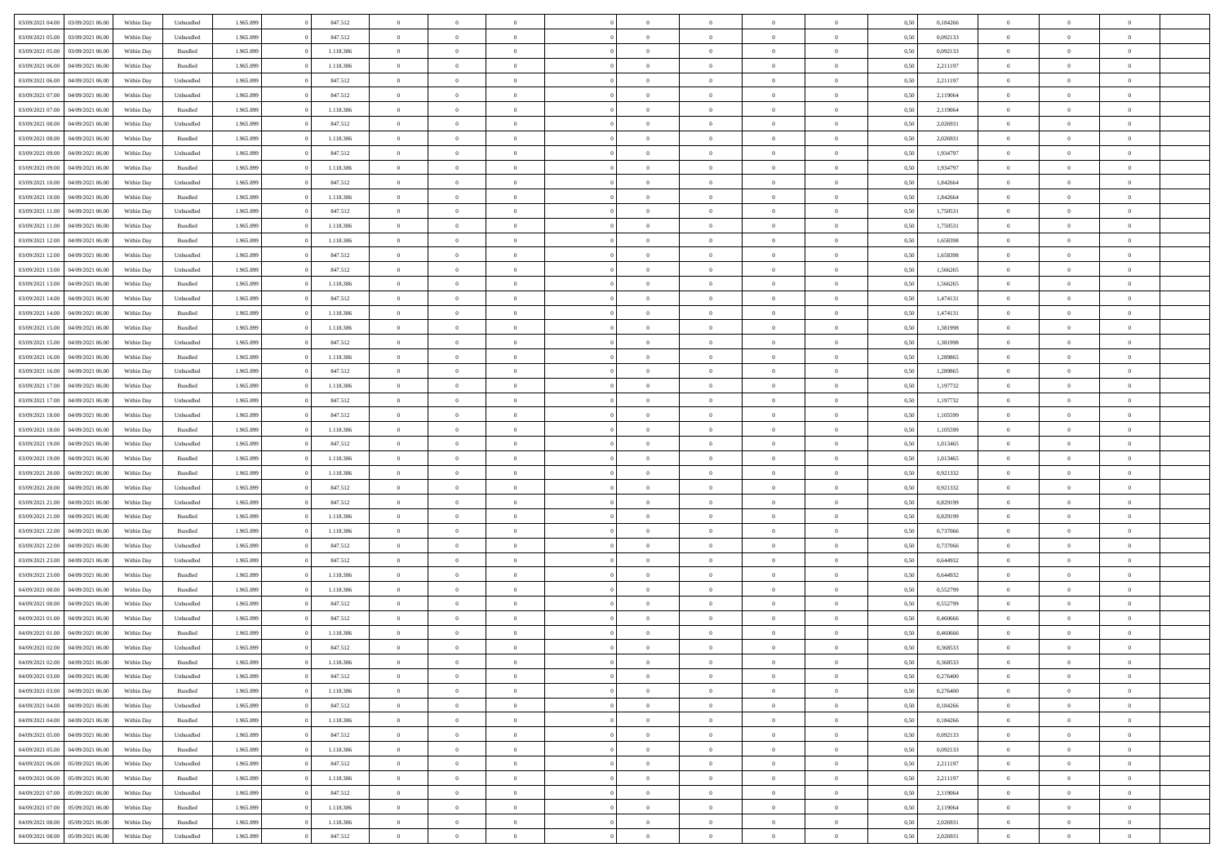|                                   |                  |            |                    |           |           | $\overline{0}$ | $\Omega$       |                |                | $\Omega$       | $\theta$       | $\theta$       |      |          | $\theta$       |                | $\theta$       |  |
|-----------------------------------|------------------|------------|--------------------|-----------|-----------|----------------|----------------|----------------|----------------|----------------|----------------|----------------|------|----------|----------------|----------------|----------------|--|
| 03/09/2021 04:00                  | 03/09/2021 06:00 | Within Day | Unbundled          | 1.965.899 | 847.512   |                |                |                | $\Omega$       |                |                |                | 0,50 | 0,184266 |                | $\theta$       |                |  |
| 03/09/2021 05:00                  | 03/09/2021 06:00 | Within Day | Unbundled          | 1.965.899 | 847.512   | $\overline{0}$ | $\theta$       | $\overline{0}$ | $\overline{0}$ | $\bf{0}$       | $\overline{0}$ | $\bf{0}$       | 0,50 | 0,092133 | $\theta$       | $\theta$       | $\overline{0}$ |  |
| 03/09/2021 05:00                  | 03/09/2021 06:00 | Within Day | Bundled            | 1.965.899 | 1.118.386 | $\overline{0}$ | $\overline{0}$ | $\overline{0}$ | $\bf{0}$       | $\bf{0}$       | $\bf{0}$       | $\mathbf{0}$   | 0,50 | 0,092133 | $\overline{0}$ | $\overline{0}$ | $\overline{0}$ |  |
| 03/09/2021 06:00                  | 04/09/2021 06:00 | Within Dav | Bundled            | 1.965.899 | 1.118.386 | $\overline{0}$ | $\overline{0}$ | $\overline{0}$ | $\overline{0}$ | $\bf{0}$       | $\overline{0}$ | $\overline{0}$ | 0.50 | 2.211197 | $\theta$       | $\theta$       | $\overline{0}$ |  |
|                                   |                  |            |                    |           |           | $\overline{0}$ | $\theta$       | $\overline{0}$ |                | $\bf{0}$       | $\overline{0}$ |                |      |          | $\,$ 0 $\,$    | $\overline{0}$ | $\overline{0}$ |  |
| 03/09/2021 06:00                  | 04/09/2021 06.00 | Within Day | Unbundled          | 1.965.899 | 847.512   |                |                |                | $\overline{0}$ |                |                | $\bf{0}$       | 0,50 | 2,211197 |                |                |                |  |
| 03/09/2021 07:00                  | 04/09/2021 06.00 | Within Day | Unbundled          | 1.965.899 | 847.512   | $\overline{0}$ | $\bf{0}$       | $\overline{0}$ | $\overline{0}$ | $\overline{0}$ | $\overline{0}$ | $\mathbf{0}$   | 0,50 | 2,119064 | $\bf{0}$       | $\overline{0}$ | $\bf{0}$       |  |
| 03/09/2021 07:00                  | 04/09/2021 06:00 | Within Dav | Bundled            | 1.965.899 | 1.118.386 | $\overline{0}$ | $\overline{0}$ | $\overline{0}$ | $\overline{0}$ | $\overline{0}$ | $\overline{0}$ | $\overline{0}$ | 0.50 | 2,119064 | $\theta$       | $\overline{0}$ | $\overline{0}$ |  |
| 03/09/2021 08:00                  | 04/09/2021 06.00 | Within Day | Unbundled          | 1.965.899 | 847.512   | $\overline{0}$ | $\theta$       | $\overline{0}$ | $\overline{0}$ | $\bf{0}$       | $\overline{0}$ | $\bf{0}$       | 0,50 | 2,026931 | $\theta$       | $\theta$       | $\overline{0}$ |  |
| 03/09/2021 08:00                  | 04/09/2021 06.00 | Within Day | Bundled            | 1.965.899 | 1.118.386 | $\overline{0}$ | $\overline{0}$ | $\overline{0}$ | $\overline{0}$ | $\bf{0}$       | $\overline{0}$ | $\bf{0}$       | 0,50 | 2,026931 | $\,0\,$        | $\overline{0}$ | $\overline{0}$ |  |
| 03/09/2021 09:00                  | 04/09/2021 06:00 | Within Dav | Unbundled          | 1.965.899 | 847.512   | $\overline{0}$ | $\overline{0}$ | $\overline{0}$ | $\overline{0}$ | $\overline{0}$ | $\overline{0}$ | $\overline{0}$ | 0.50 | 1,934797 | $\theta$       | $\overline{0}$ | $\overline{0}$ |  |
|                                   |                  |            |                    |           |           |                |                |                |                |                |                |                |      |          |                |                |                |  |
| 03/09/2021 09:00                  | 04/09/2021 06.00 | Within Day | Bundled            | 1.965.899 | 1.118.386 | $\overline{0}$ | $\theta$       | $\overline{0}$ | $\overline{0}$ | $\bf{0}$       | $\overline{0}$ | $\bf{0}$       | 0,50 | 1,934797 | $\,$ 0 $\,$    | $\overline{0}$ | $\overline{0}$ |  |
| 03/09/2021 10:00                  | 04/09/2021 06.00 | Within Day | Unbundled          | 1.965.899 | 847.512   | $\overline{0}$ | $\overline{0}$ | $\overline{0}$ | $\overline{0}$ | $\bf{0}$       | $\overline{0}$ | $\mathbf{0}$   | 0,50 | 1,842664 | $\bf{0}$       | $\overline{0}$ | $\overline{0}$ |  |
| 03/09/2021 10:00                  | 04/09/2021 06:00 | Within Day | Bundled            | 1.965.899 | 1.118.386 | $\overline{0}$ | $\overline{0}$ | $\overline{0}$ | $\overline{0}$ | $\bf{0}$       | $\overline{0}$ | $\overline{0}$ | 0.50 | 1.842664 | $\theta$       | $\theta$       | $\overline{0}$ |  |
| 03/09/2021 11:00                  | 04/09/2021 06.00 | Within Day | Unbundled          | 1.965.899 | 847.512   | $\overline{0}$ | $\theta$       | $\overline{0}$ | $\overline{0}$ | $\bf{0}$       | $\overline{0}$ | $\bf{0}$       | 0,50 | 1,750531 | $\theta$       | $\theta$       | $\overline{0}$ |  |
| 03/09/2021 11:00                  | 04/09/2021 06.00 | Within Day | Bundled            | 1.965.899 | 1.118.386 | $\overline{0}$ | $\overline{0}$ | $\overline{0}$ | $\bf{0}$       | $\overline{0}$ | $\overline{0}$ | $\mathbf{0}$   | 0,50 | 1,750531 | $\bf{0}$       | $\overline{0}$ | $\bf{0}$       |  |
|                                   |                  |            |                    |           |           |                |                |                |                |                |                |                |      |          |                |                |                |  |
| 03/09/2021 12:00                  | 04/09/2021 06:00 | Within Dav | Bundled            | 1.965.899 | 1.118.386 | $\overline{0}$ | $\overline{0}$ | $\overline{0}$ | $\overline{0}$ | $\overline{0}$ | $\overline{0}$ | $\overline{0}$ | 0.50 | 1,658398 | $\theta$       | $\overline{0}$ | $\overline{0}$ |  |
| 03/09/2021 12:00                  | 04/09/2021 06.00 | Within Day | Unbundled          | 1.965.899 | 847.512   | $\overline{0}$ | $\theta$       | $\overline{0}$ | $\overline{0}$ | $\bf{0}$       | $\overline{0}$ | $\bf{0}$       | 0,50 | 1,658398 | $\theta$       | $\theta$       | $\overline{0}$ |  |
| 03/09/2021 13:00                  | 04/09/2021 06.00 | Within Day | Unbundled          | 1.965.899 | 847.512   | $\overline{0}$ | $\overline{0}$ | $\overline{0}$ | $\bf{0}$       | $\bf{0}$       | $\bf{0}$       | $\bf{0}$       | 0,50 | 1,566265 | $\,0\,$        | $\overline{0}$ | $\overline{0}$ |  |
| 03/09/2021 13:00                  | 04/09/2021 06:00 | Within Day | Bundled            | 1.965.899 | 1.118.386 | $\overline{0}$ | $\overline{0}$ | $\overline{0}$ | $\overline{0}$ | $\overline{0}$ | $\overline{0}$ | $\overline{0}$ | 0.50 | 1,566265 | $\theta$       | $\overline{0}$ | $\overline{0}$ |  |
| 03/09/2021 14:00                  | 04/09/2021 06.00 | Within Day | Unbundled          | 1.965.899 | 847.512   | $\overline{0}$ | $\theta$       | $\overline{0}$ | $\overline{0}$ | $\bf{0}$       | $\overline{0}$ | $\bf{0}$       | 0,50 | 1,474131 | $\,$ 0 $\,$    | $\theta$       | $\overline{0}$ |  |
| 03/09/2021 14:00                  | 04/09/2021 06:00 | Within Day | Bundled            | 1.965.899 | 1.118.386 | $\overline{0}$ | $\overline{0}$ | $\overline{0}$ | $\bf{0}$       | $\bf{0}$       | $\bf{0}$       | $\bf{0}$       | 0,50 | 1,474131 | $\bf{0}$       | $\overline{0}$ | $\overline{0}$ |  |
| 03/09/2021 15:00                  | 04/09/2021 06:00 | Within Day | Bundled            | 1.965.899 | 1.118.386 | $\overline{0}$ | $\overline{0}$ | $\overline{0}$ | $\overline{0}$ | $\bf{0}$       | $\overline{0}$ | $\overline{0}$ | 0.50 | 1,381998 | $\theta$       | $\overline{0}$ | $\overline{0}$ |  |
|                                   |                  |            |                    |           |           |                |                |                |                |                |                |                |      |          |                |                |                |  |
| 03/09/2021 15:00                  | 04/09/2021 06.00 | Within Day | Unbundled          | 1.965.899 | 847.512   | $\overline{0}$ | $\theta$       | $\overline{0}$ | $\overline{0}$ | $\bf{0}$       | $\overline{0}$ | $\bf{0}$       | 0,50 | 1,381998 | $\,$ 0 $\,$    | $\overline{0}$ | $\overline{0}$ |  |
| 03/09/2021 16:00                  | 04/09/2021 06.00 | Within Day | Bundled            | 1.965.899 | 1.118.386 | $\overline{0}$ | $\bf{0}$       | $\overline{0}$ | $\bf{0}$       | $\overline{0}$ | $\overline{0}$ | $\mathbf{0}$   | 0,50 | 1,289865 | $\bf{0}$       | $\overline{0}$ | $\bf{0}$       |  |
| 03/09/2021 16:00                  | 04/09/2021 06:00 | Within Dav | Unbundled          | 1.965.899 | 847.512   | $\overline{0}$ | $\overline{0}$ | $\overline{0}$ | $\overline{0}$ | $\overline{0}$ | $\overline{0}$ | $\overline{0}$ | 0.50 | 1,289865 | $\theta$       | $\overline{0}$ | $\overline{0}$ |  |
| 03/09/2021 17:00                  | 04/09/2021 06.00 | Within Day | Bundled            | 1.965.899 | 1.118.386 | $\overline{0}$ | $\theta$       | $\overline{0}$ | $\overline{0}$ | $\bf{0}$       | $\overline{0}$ | $\bf{0}$       | 0,50 | 1,197732 | $\theta$       | $\theta$       | $\overline{0}$ |  |
| 03/09/2021 17:00                  | 04/09/2021 06.00 | Within Day | Unbundled          | 1.965.899 | 847.512   | $\overline{0}$ | $\overline{0}$ | $\overline{0}$ | $\bf{0}$       | $\bf{0}$       | $\bf{0}$       | $\bf{0}$       | 0,50 | 1,197732 | $\,0\,$        | $\overline{0}$ | $\overline{0}$ |  |
| 03/09/2021 18:00                  | 04/09/2021 06:00 |            | Unbundled          | 1.965.899 | 847.512   | $\overline{0}$ | $\overline{0}$ | $\overline{0}$ | $\overline{0}$ | $\overline{0}$ | $\overline{0}$ | $\overline{0}$ | 0.50 | 1,105599 | $\theta$       | $\overline{0}$ | $\overline{0}$ |  |
|                                   |                  | Within Day |                    |           |           |                |                |                |                |                |                |                |      |          |                |                |                |  |
| 03/09/2021 18:00                  | 04/09/2021 06.00 | Within Day | Bundled            | 1.965.899 | 1.118.386 | $\overline{0}$ | $\theta$       | $\overline{0}$ | $\overline{0}$ | $\bf{0}$       | $\overline{0}$ | $\bf{0}$       | 0,50 | 1,105599 | $\,$ 0 $\,$    | $\overline{0}$ | $\overline{0}$ |  |
| 03/09/2021 19:00                  | 04/09/2021 06:00 | Within Day | Unbundled          | 1.965.899 | 847.512   | $\overline{0}$ | $\overline{0}$ | $\overline{0}$ | $\bf{0}$       | $\bf{0}$       | $\bf{0}$       | $\bf{0}$       | 0,50 | 1,013465 | $\bf{0}$       | $\overline{0}$ | $\overline{0}$ |  |
| 03/09/2021 19:00                  | 04/09/2021 06.00 | Within Day | Bundled            | 1.965.899 | 1.118.386 | $\overline{0}$ | $\Omega$       | $\overline{0}$ | $\Omega$       | $\Omega$       | $\overline{0}$ | $\overline{0}$ | 0,50 | 1,013465 | $\,0\,$        | $\theta$       | $\theta$       |  |
| 03/09/2021 20:00                  | 04/09/2021 06.00 | Within Day | Bundled            | 1.965.899 | 1.118.386 | $\overline{0}$ | $\theta$       | $\overline{0}$ | $\overline{0}$ | $\bf{0}$       | $\overline{0}$ | $\bf{0}$       | 0,50 | 0,921332 | $\,$ 0 $\,$    | $\theta$       | $\overline{0}$ |  |
| 03/09/2021 20:00                  | 04/09/2021 06:00 | Within Day | Unbundled          | 1.965.899 | 847.512   | $\overline{0}$ | $\overline{0}$ | $\overline{0}$ | $\bf{0}$       | $\bf{0}$       | $\overline{0}$ | $\mathbf{0}$   | 0,50 | 0,921332 | $\bf{0}$       | $\overline{0}$ | $\bf{0}$       |  |
| 03/09/2021 21:00                  | 04/09/2021 06:00 | Within Day | Unbundled          | 1.965.899 | 847.512   | $\overline{0}$ | $\Omega$       | $\Omega$       | $\Omega$       | $\bf{0}$       | $\overline{0}$ | $\overline{0}$ | 0.50 | 0,829199 | $\,0\,$        | $\theta$       | $\theta$       |  |
|                                   |                  |            |                    |           |           | $\overline{0}$ | $\theta$       | $\overline{0}$ |                | $\bf{0}$       | $\overline{0}$ |                |      |          |                | $\theta$       | $\overline{0}$ |  |
| 03/09/2021 21:00                  | 04/09/2021 06.00 | Within Day | Bundled            | 1.965.899 | 1.118.386 |                |                |                | $\overline{0}$ |                |                | $\bf{0}$       | 0,50 | 0,829199 | $\,$ 0 $\,$    |                |                |  |
| 03/09/2021 22.00                  | 04/09/2021 06.00 | Within Day | Bundled            | 1.965.899 | 1.118.386 | $\overline{0}$ | $\overline{0}$ | $\overline{0}$ | $\bf{0}$       | $\bf{0}$       | $\bf{0}$       | $\bf{0}$       | 0,50 | 0,737066 | $\,0\,$        | $\overline{0}$ | $\overline{0}$ |  |
| 03/09/2021 22.00                  | 04/09/2021 06:00 | Within Day | Unbundled          | 1.965.899 | 847.512   | $\overline{0}$ | $\Omega$       | $\overline{0}$ | $\Omega$       | $\overline{0}$ | $\overline{0}$ | $\overline{0}$ | 0.50 | 0,737066 | $\theta$       | $\theta$       | $\theta$       |  |
| 03/09/2021 23:00                  | 04/09/2021 06.00 | Within Day | Unbundled          | 1.965.899 | 847.512   | $\overline{0}$ | $\theta$       | $\overline{0}$ | $\overline{0}$ | $\bf{0}$       | $\overline{0}$ | $\bf{0}$       | 0,50 | 0,644932 | $\,$ 0 $\,$    | $\overline{0}$ | $\overline{0}$ |  |
| 03/09/2021 23.00                  | 04/09/2021 06.00 | Within Day | Bundled            | 1.965.899 | 1.118.386 | $\overline{0}$ | $\overline{0}$ | $\overline{0}$ | $\bf{0}$       | $\bf{0}$       | $\bf{0}$       | $\bf{0}$       | 0,50 | 0,644932 | $\overline{0}$ | $\overline{0}$ | $\overline{0}$ |  |
| 04/09/2021 00:00                  | 04/09/2021 06.00 | Within Day | Bundled            | 1.965.899 | 1.118.386 | $\overline{0}$ | $\Omega$       | $\overline{0}$ | $\Omega$       | $\overline{0}$ | $\overline{0}$ | $\overline{0}$ | 0,50 | 0,552799 | $\,0\,$        | $\theta$       | $\theta$       |  |
| 04/09/2021 00:00                  | 04/09/2021 06.00 | Within Day | Unbundled          | 1.965.899 | 847.512   | $\overline{0}$ | $\theta$       | $\overline{0}$ | $\overline{0}$ | $\bf{0}$       | $\overline{0}$ | $\bf{0}$       | 0,50 | 0,552799 | $\,$ 0 $\,$    | $\overline{0}$ | $\overline{0}$ |  |
|                                   |                  |            |                    |           |           |                |                |                |                |                |                |                |      |          |                |                |                |  |
| 04/09/2021 01.00                  | 04/09/2021 06.00 | Within Day | Unbundled          | 1.965.899 | 847.512   | $\overline{0}$ | $\overline{0}$ | $\overline{0}$ | $\overline{0}$ | $\bf{0}$       | $\overline{0}$ | $\mathbf{0}$   | 0,50 | 0,460666 | $\bf{0}$       | $\overline{0}$ | $\bf{0}$       |  |
| 04/09/2021 01:00                  | 04/09/2021 06:00 | Within Day | Bundled            | 1.965.899 | 1.118.386 | $\overline{0}$ | $\Omega$       | $\Omega$       | $\Omega$       | $\Omega$       | $\Omega$       | $\overline{0}$ | 0.50 | 0.460666 | $\theta$       | $\theta$       | $\theta$       |  |
| 04/09/2021 02.00                  | 04/09/2021 06:00 | Within Day | Unbundled          | 1.965.899 | 847.512   | $\overline{0}$ | $\overline{0}$ | $\overline{0}$ | $\bf{0}$       | $\,$ 0         | $\overline{0}$ | $\bf{0}$       | 0,50 | 0,368533 | $\,0\,$        | $\overline{0}$ | $\overline{0}$ |  |
| 04/09/2021 02:00 04/09/2021 06:00 |                  | Within Day | $\mathbf B$ undled | 1.965.899 | 1.118.386 | $\bf{0}$       | $\bf{0}$       |                |                | $\bf{0}$       |                |                | 0,50 | 0,368533 | $\bf{0}$       | $\overline{0}$ |                |  |
| 04/09/2021 03:00                  | 04/09/2021 06:00 | Within Day | Unbundled          | 1.965.899 | 847.512   | $\overline{0}$ | $\overline{0}$ | $\overline{0}$ | $\Omega$       | $\overline{0}$ | $\overline{0}$ | $\overline{0}$ | 0.50 | 0,276400 | $\theta$       | $\theta$       | $\theta$       |  |
| 04/09/2021 03:00                  | 04/09/2021 06.00 | Within Day | Bundled            | 1.965.899 | 1.118.386 | $\overline{0}$ | $\bf{0}$       | $\overline{0}$ | $\overline{0}$ | $\,$ 0 $\,$    | $\overline{0}$ | $\,$ 0 $\,$    | 0,50 | 0,276400 | $\,$ 0 $\,$    | $\,$ 0 $\,$    | $\,$ 0         |  |
| 04/09/2021 04:00                  | 04/09/2021 06:00 | Within Day | Unbundled          | 1.965.899 | 847.512   | $\overline{0}$ | $\overline{0}$ | $\overline{0}$ | $\overline{0}$ | $\overline{0}$ | $\overline{0}$ | $\mathbf{0}$   | 0,50 | 0,184266 | $\overline{0}$ | $\bf{0}$       | $\overline{0}$ |  |
|                                   |                  |            |                    |           |           |                |                |                |                |                |                |                |      |          |                |                |                |  |
| 04/09/2021 04:00                  | 04/09/2021 06:00 | Within Day | Bundled            | 1.965.899 | 1.118.386 | $\overline{0}$ | $\overline{0}$ | $\overline{0}$ | $\Omega$       | $\overline{0}$ | $\overline{0}$ | $\overline{0}$ | 0,50 | 0,184266 | $\overline{0}$ | $\overline{0}$ | $\overline{0}$ |  |
| 04/09/2021 05:00                  | 04/09/2021 06.00 | Within Day | Unbundled          | 1.965.899 | 847.512   | $\overline{0}$ | $\,$ 0         | $\overline{0}$ | $\overline{0}$ | $\,$ 0 $\,$    | $\overline{0}$ | $\mathbf{0}$   | 0,50 | 0,092133 | $\,$ 0 $\,$    | $\overline{0}$ | $\,$ 0         |  |
| 04/09/2021 05:00                  | 04/09/2021 06:00 | Within Day | Bundled            | 1.965.899 | 1.118.386 | $\overline{0}$ | $\overline{0}$ | $\overline{0}$ | $\overline{0}$ | $\overline{0}$ | $\overline{0}$ | $\mathbf{0}$   | 0,50 | 0,092133 | $\overline{0}$ | $\overline{0}$ | $\bf{0}$       |  |
| 04/09/2021 06:00                  | 05/09/2021 06:00 | Within Day | Unbundled          | 1.965.899 | 847.512   | $\overline{0}$ | $\overline{0}$ | $\overline{0}$ | $\overline{0}$ | $\overline{0}$ | $\overline{0}$ | $\bf{0}$       | 0.50 | 2,211197 | $\overline{0}$ | $\theta$       | $\overline{0}$ |  |
| 04/09/2021 06:00                  | 05/09/2021 06:00 | Within Day | Bundled            | 1.965.899 | 1.118.386 | $\overline{0}$ | $\,$ 0         | $\overline{0}$ | $\overline{0}$ | $\bf{0}$       | $\overline{0}$ | $\bf{0}$       | 0,50 | 2,211197 | $\,$ 0 $\,$    | $\overline{0}$ | $\overline{0}$ |  |
| 04/09/2021 07:00                  | 05/09/2021 06:00 | Within Day | Unbundled          | 1.965.899 | 847.512   | $\overline{0}$ | $\bf{0}$       | $\overline{0}$ | $\overline{0}$ | $\overline{0}$ | $\overline{0}$ | $\mathbf{0}$   | 0,50 | 2,119064 | $\overline{0}$ | $\overline{0}$ | $\bf{0}$       |  |
|                                   |                  |            |                    |           |           |                |                |                |                |                |                |                |      |          |                |                |                |  |
| 04/09/2021 07:00                  | 05/09/2021 06:00 | Within Day | Bundled            | 1.965.899 | 1.118.386 | $\overline{0}$ | $\overline{0}$ | $\overline{0}$ | $\Omega$       | $\overline{0}$ | $\overline{0}$ | $\overline{0}$ | 0.50 | 2,119064 | $\overline{0}$ | $\overline{0}$ | $\overline{0}$ |  |
| 04/09/2021 08:00                  | 05/09/2021 06:00 | Within Day | Bundled            | 1.965.899 | 1.118.386 | $\overline{0}$ | $\bf{0}$       | $\overline{0}$ | $\bf{0}$       | $\bf{0}$       | $\overline{0}$ | $\mathbf{0}$   | 0,50 | 2,026931 | $\,$ 0 $\,$    | $\,$ 0 $\,$    | $\bf{0}$       |  |
| 04/09/2021 08:00                  | 05/09/2021 06:00 | Within Day | Unbundled          | 1.965.899 | 847.512   | $\overline{0}$ | $\overline{0}$ | $\overline{0}$ | $\overline{0}$ | $\overline{0}$ | $\overline{0}$ | $\mathbf{0}$   | 0,50 | 2,026931 | $\overline{0}$ | $\bf{0}$       | $\overline{0}$ |  |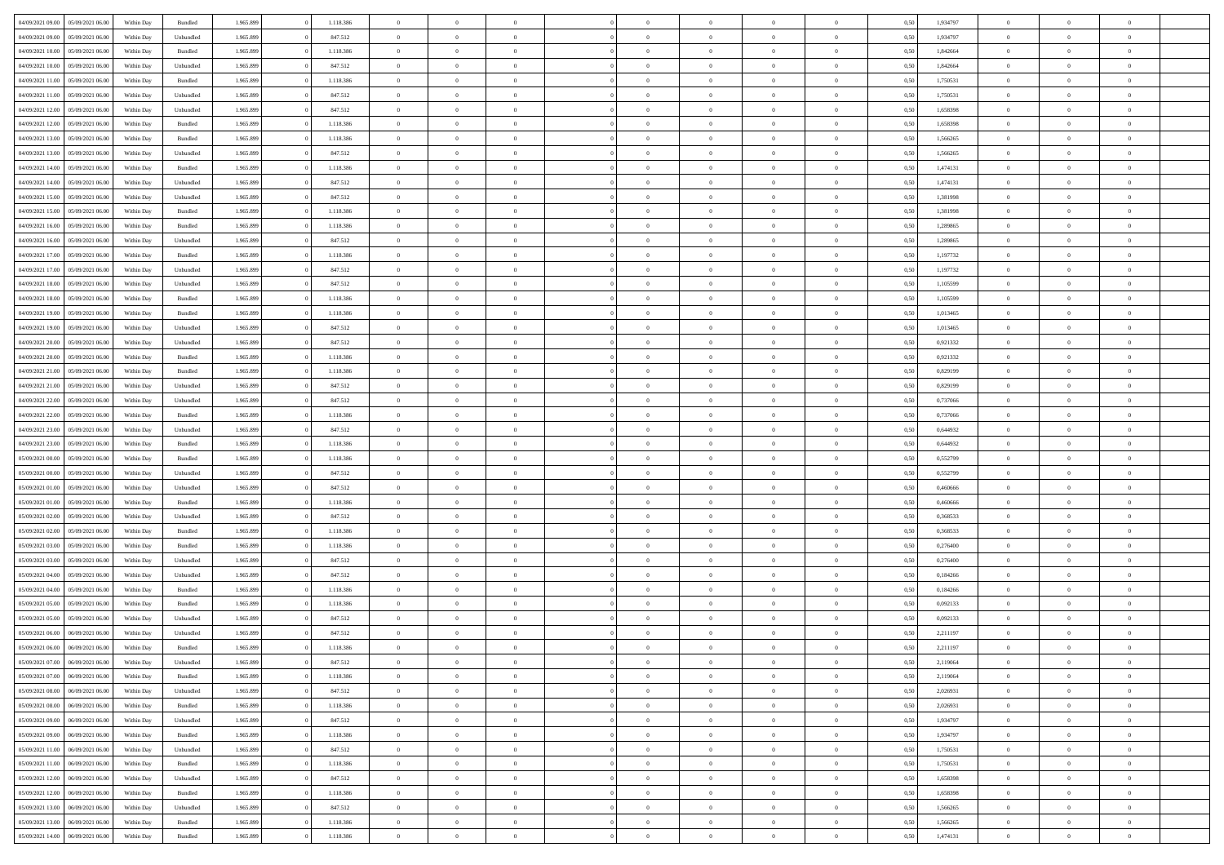| 04/09/2021 09:00                  | 05/09/2021 06:00 | Within Day | Bundled   | 1.965.899 | 1.118.386 | $\overline{0}$ | $\theta$       |                | $\Omega$       | $\Omega$       | $\theta$       | $\theta$       | 0,50 | 1,934797 | $\theta$       | $\theta$       | $\theta$       |  |
|-----------------------------------|------------------|------------|-----------|-----------|-----------|----------------|----------------|----------------|----------------|----------------|----------------|----------------|------|----------|----------------|----------------|----------------|--|
| 04/09/2021 09:00                  | 05/09/2021 06:00 | Within Day | Unbundled | 1.965.899 | 847.512   | $\overline{0}$ | $\theta$       | $\overline{0}$ | $\overline{0}$ | $\bf{0}$       | $\overline{0}$ | $\bf{0}$       | 0,50 | 1,934797 | $\theta$       | $\overline{0}$ | $\overline{0}$ |  |
| 04/09/2021 10:00                  | 05/09/2021 06:00 | Within Day | Bundled   | 1.965.899 | 1.118.386 | $\overline{0}$ | $\overline{0}$ | $\overline{0}$ | $\overline{0}$ | $\bf{0}$       | $\overline{0}$ | $\mathbf{0}$   | 0,50 | 1,842664 | $\bf{0}$       | $\overline{0}$ | $\bf{0}$       |  |
| 04/09/2021 10:00                  | 05/09/2021 06:00 | Within Dav | Unbundled | 1.965.899 | 847.512   | $\overline{0}$ | $\overline{0}$ | $\overline{0}$ | $\overline{0}$ | $\bf{0}$       | $\overline{0}$ | $\overline{0}$ | 0.50 | 1.842664 | $\theta$       | $\theta$       | $\overline{0}$ |  |
| 04/09/2021 11:00                  | 05/09/2021 06:00 |            | Bundled   | 1.965.899 | 1.118.386 | $\overline{0}$ | $\theta$       | $\overline{0}$ | $\overline{0}$ | $\bf{0}$       | $\overline{0}$ |                |      | 1,750531 | $\,$ 0 $\,$    | $\overline{0}$ | $\overline{0}$ |  |
|                                   |                  | Within Day |           |           |           |                |                |                |                |                |                | $\bf{0}$       | 0,50 |          |                |                |                |  |
| 04/09/2021 11:00                  | 05/09/2021 06:00 | Within Day | Unbundled | 1.965.899 | 847.512   | $\overline{0}$ | $\overline{0}$ | $\overline{0}$ | $\overline{0}$ | $\overline{0}$ | $\overline{0}$ | $\mathbf{0}$   | 0,50 | 1,750531 | $\bf{0}$       | $\overline{0}$ | $\bf{0}$       |  |
| 04/09/2021 12:00                  | 05/09/2021 06:00 | Within Dav | Unbundled | 1.965.899 | 847.512   | $\overline{0}$ | $\overline{0}$ | $\overline{0}$ | $\overline{0}$ | $\overline{0}$ | $\overline{0}$ | $\overline{0}$ | 0.50 | 1,658398 | $\theta$       | $\overline{0}$ | $\overline{0}$ |  |
| 04/09/2021 12:00                  | 05/09/2021 06:00 | Within Day | Bundled   | 1.965.899 | 1.118.386 | $\overline{0}$ | $\theta$       | $\overline{0}$ | $\overline{0}$ | $\bf{0}$       | $\overline{0}$ | $\bf{0}$       | 0,50 | 1,658398 | $\,$ 0 $\,$    | $\theta$       | $\overline{0}$ |  |
| 04/09/2021 13:00                  | 05/09/2021 06:00 | Within Day | Bundled   | 1.965.899 | 1.118.386 | $\overline{0}$ | $\overline{0}$ | $\overline{0}$ | $\overline{0}$ | $\bf{0}$       | $\overline{0}$ | $\mathbf{0}$   | 0,50 | 1,566265 | $\,0\,$        | $\overline{0}$ | $\overline{0}$ |  |
| 04/09/2021 13:00                  | 05/09/2021 06:00 | Within Dav | Unbundled | 1.965.899 | 847.512   | $\overline{0}$ | $\overline{0}$ | $\overline{0}$ | $\overline{0}$ | $\overline{0}$ | $\overline{0}$ | $\overline{0}$ | 0.50 | 1,566265 | $\theta$       | $\overline{0}$ | $\overline{0}$ |  |
|                                   |                  |            |           |           |           |                |                |                |                |                |                |                |      |          |                |                |                |  |
| 04/09/2021 14:00                  | 05/09/2021 06:00 | Within Day | Bundled   | 1.965.899 | 1.118.386 | $\overline{0}$ | $\theta$       | $\overline{0}$ | $\overline{0}$ | $\bf{0}$       | $\overline{0}$ | $\bf{0}$       | 0,50 | 1,474131 | $\,$ 0 $\,$    | $\overline{0}$ | $\overline{0}$ |  |
| 04/09/2021 14:00                  | 05/09/2021 06:00 | Within Day | Unbundled | 1.965.899 | 847.512   | $\overline{0}$ | $\overline{0}$ | $\overline{0}$ | $\bf{0}$       | $\bf{0}$       | $\bf{0}$       | $\mathbf{0}$   | 0,50 | 1,474131 | $\bf{0}$       | $\overline{0}$ | $\bf{0}$       |  |
| 04/09/2021 15:00                  | 05/09/2021 06:00 | Within Dav | Unbundled | 1.965.899 | 847.512   | $\overline{0}$ | $\overline{0}$ | $\overline{0}$ | $\overline{0}$ | $\bf{0}$       | $\overline{0}$ | $\overline{0}$ | 0.50 | 1,381998 | $\theta$       | $\theta$       | $\overline{0}$ |  |
| 04/09/2021 15:00                  | 05/09/2021 06:00 | Within Day | Bundled   | 1.965.899 | 1.118.386 | $\overline{0}$ | $\theta$       | $\overline{0}$ | $\overline{0}$ | $\bf{0}$       | $\overline{0}$ | $\bf{0}$       | 0,50 | 1,381998 | $\theta$       | $\overline{0}$ | $\overline{0}$ |  |
| 04/09/2021 16:00                  | 05/09/2021 06:00 | Within Day | Bundled   | 1.965.899 | 1.118.386 | $\overline{0}$ | $\overline{0}$ | $\overline{0}$ | $\bf{0}$       | $\overline{0}$ | $\overline{0}$ | $\mathbf{0}$   | 0,50 | 1,289865 | $\bf{0}$       | $\overline{0}$ | $\bf{0}$       |  |
| 04/09/2021 16:00                  | 05/09/2021 06:00 | Within Dav | Unbundled | 1.965.899 | 847.512   | $\overline{0}$ | $\overline{0}$ | $\overline{0}$ | $\overline{0}$ | $\overline{0}$ | $\overline{0}$ | $\overline{0}$ | 0.50 | 1,289865 | $\overline{0}$ | $\overline{0}$ | $\overline{0}$ |  |
|                                   |                  |            |           |           |           |                |                |                |                |                |                |                |      |          |                |                |                |  |
| 04/09/2021 17:00                  | 05/09/2021 06:00 | Within Day | Bundled   | 1.965.899 | 1.118.386 | $\overline{0}$ | $\theta$       | $\overline{0}$ | $\overline{0}$ | $\bf{0}$       | $\overline{0}$ | $\bf{0}$       | 0,50 | 1,197732 | $\,$ 0 $\,$    | $\overline{0}$ | $\overline{0}$ |  |
| 04/09/2021 17.00                  | 05/09/2021 06:00 | Within Day | Unbundled | 1.965.899 | 847.512   | $\overline{0}$ | $\overline{0}$ | $\overline{0}$ | $\bf{0}$       | $\bf{0}$       | $\bf{0}$       | $\mathbf{0}$   | 0,50 | 1,197732 | $\bf{0}$       | $\overline{0}$ | $\bf{0}$       |  |
| 04/09/2021 18:00                  | 05/09/2021 06:00 | Within Dav | Unbundled | 1.965.899 | 847.512   | $\overline{0}$ | $\overline{0}$ | $\overline{0}$ | $\overline{0}$ | $\overline{0}$ | $\overline{0}$ | $\overline{0}$ | 0.50 | 1,105599 | $\theta$       | $\overline{0}$ | $\overline{0}$ |  |
| 04/09/2021 18:00                  | 05/09/2021 06:00 | Within Day | Bundled   | 1.965.899 | 1.118.386 | $\overline{0}$ | $\theta$       | $\overline{0}$ | $\overline{0}$ | $\bf{0}$       | $\overline{0}$ | $\bf{0}$       | 0,50 | 1,105599 | $\,$ 0 $\,$    | $\overline{0}$ | $\overline{0}$ |  |
| 04/09/2021 19:00                  | 05/09/2021 06:00 | Within Day | Bundled   | 1.965.899 | 1.118.386 | $\overline{0}$ | $\overline{0}$ | $\overline{0}$ | $\bf{0}$       | $\bf{0}$       | $\bf{0}$       | $\mathbf{0}$   | 0,50 | 1,013465 | $\overline{0}$ | $\overline{0}$ | $\bf{0}$       |  |
| 04/09/2021 19:00                  | 05/09/2021 06:00 | Within Day | Unbundled | 1.965.899 | 847.512   | $\overline{0}$ | $\overline{0}$ | $\overline{0}$ | $\overline{0}$ | $\overline{0}$ | $\overline{0}$ | $\overline{0}$ | 0.50 | 1,013465 | $\theta$       | $\overline{0}$ | $\overline{0}$ |  |
|                                   |                  |            |           |           |           |                |                |                |                |                |                |                |      |          |                |                |                |  |
| 04/09/2021 20:00                  | 05/09/2021 06:00 | Within Day | Unbundled | 1.965.899 | 847.512   | $\overline{0}$ | $\theta$       | $\overline{0}$ | $\overline{0}$ | $\bf{0}$       | $\overline{0}$ | $\bf{0}$       | 0,50 | 0,921332 | $\,$ 0 $\,$    | $\overline{0}$ | $\overline{0}$ |  |
| 04/09/2021 20.00                  | 05/09/2021 06:00 | Within Day | Bundled   | 1.965.899 | 1.118.386 | $\overline{0}$ | $\overline{0}$ | $\overline{0}$ | $\bf{0}$       | $\overline{0}$ | $\overline{0}$ | $\mathbf{0}$   | 0,50 | 0,921332 | $\overline{0}$ | $\overline{0}$ | $\bf{0}$       |  |
| 04/09/2021 21:00                  | 05/09/2021 06:00 | Within Dav | Bundled   | 1.965.899 | 1.118.386 | $\overline{0}$ | $\overline{0}$ | $\overline{0}$ | $\overline{0}$ | $\overline{0}$ | $\overline{0}$ | $\overline{0}$ | 0.50 | 0.829199 | $\overline{0}$ | $\overline{0}$ | $\overline{0}$ |  |
| 04/09/2021 21:00                  | 05/09/2021 06:00 | Within Day | Unbundled | 1.965.899 | 847.512   | $\overline{0}$ | $\theta$       | $\overline{0}$ | $\overline{0}$ | $\bf{0}$       | $\overline{0}$ | $\bf{0}$       | 0,50 | 0,829199 | $\,$ 0 $\,$    | $\overline{0}$ | $\overline{0}$ |  |
| 04/09/2021 22.00                  | 05/09/2021 06:00 | Within Day | Unbundled | 1.965.899 | 847.512   | $\overline{0}$ | $\overline{0}$ | $\overline{0}$ | $\bf{0}$       | $\bf{0}$       | $\bf{0}$       | $\mathbf{0}$   | 0,50 | 0,737066 | $\,0\,$        | $\overline{0}$ | $\overline{0}$ |  |
| 04/09/2021 22:00                  | 05/09/2021 06:00 | Within Day | Bundled   | 1.965.899 | 1.118.386 | $\overline{0}$ | $\overline{0}$ | $\overline{0}$ | $\overline{0}$ | $\overline{0}$ | $\overline{0}$ | $\overline{0}$ | 0.50 | 0,737066 | $\theta$       | $\overline{0}$ | $\overline{0}$ |  |
|                                   |                  |            |           |           |           |                |                |                |                |                |                |                |      |          |                |                |                |  |
| 04/09/2021 23:00                  | 05/09/2021 06:00 | Within Day | Unbundled | 1.965.899 | 847.512   | $\overline{0}$ | $\overline{0}$ | $\overline{0}$ | $\overline{0}$ | $\bf{0}$       | $\overline{0}$ | $\bf{0}$       | 0,50 | 0,644932 | $\,$ 0 $\,$    | $\overline{0}$ | $\overline{0}$ |  |
| 04/09/2021 23.00                  | 05/09/2021 06:00 | Within Day | Bundled   | 1.965.899 | 1.118.386 | $\overline{0}$ | $\overline{0}$ | $\overline{0}$ | $\overline{0}$ | $\bf{0}$       | $\overline{0}$ | $\bf{0}$       | 0,50 | 0,644932 | $\bf{0}$       | $\overline{0}$ | $\bf{0}$       |  |
| 05/09/2021 00:00                  | 05/09/2021 06:00 | Within Day | Bundled   | 1.965.899 | 1.118.386 | $\bf{0}$       | $\Omega$       | $\overline{0}$ | $\Omega$       | $\Omega$       | $\overline{0}$ | $\overline{0}$ | 0,50 | 0,552799 | $\,0\,$        | $\theta$       | $\theta$       |  |
| 05/09/2021 00:00                  | 05/09/2021 06:00 | Within Day | Unbundled | 1.965.899 | 847.512   | $\overline{0}$ | $\overline{0}$ | $\overline{0}$ | $\overline{0}$ | $\bf{0}$       | $\overline{0}$ | $\bf{0}$       | 0,50 | 0,552799 | $\,$ 0 $\,$    | $\overline{0}$ | $\overline{0}$ |  |
| 05/09/2021 01:00                  | 05/09/2021 06:00 | Within Day | Unbundled | 1.965.899 | 847.512   | $\overline{0}$ | $\overline{0}$ | $\overline{0}$ | $\overline{0}$ | $\overline{0}$ | $\overline{0}$ | $\mathbf{0}$   | 0,50 | 0,460666 | $\bf{0}$       | $\overline{0}$ | $\bf{0}$       |  |
| 05/09/2021 01:00                  | 05/09/2021 06:00 | Within Day | Bundled   | 1.965.899 | 1.118.386 | $\overline{0}$ | $\Omega$       | $\overline{0}$ | $\Omega$       | $\overline{0}$ | $\overline{0}$ | $\overline{0}$ | 0.50 | 0.460666 | $\,$ 0 $\,$    | $\theta$       | $\theta$       |  |
|                                   |                  |            |           |           |           |                |                |                |                |                |                |                |      |          |                |                |                |  |
| 05/09/2021 02:00                  | 05/09/2021 06:00 | Within Day | Unbundled | 1.965.899 | 847.512   | $\overline{0}$ | $\theta$       | $\overline{0}$ | $\overline{0}$ | $\bf{0}$       | $\overline{0}$ | $\bf{0}$       | 0,50 | 0,368533 | $\,$ 0 $\,$    | $\overline{0}$ | $\overline{0}$ |  |
| 05/09/2021 02:00                  | 05/09/2021 06:00 | Within Day | Bundled   | 1.965.899 | 1.118.386 | $\overline{0}$ | $\bf{0}$       | $\overline{0}$ | $\overline{0}$ | $\bf{0}$       | $\overline{0}$ | $\mathbf{0}$   | 0,50 | 0,368533 | $\bf{0}$       | $\overline{0}$ | $\bf{0}$       |  |
| 05/09/2021 03:00                  | 05/09/2021 06:00 | Within Day | Bundled   | 1.965.899 | 1.118.386 | $\overline{0}$ | $\Omega$       | $\overline{0}$ | $\Omega$       | $\overline{0}$ | $\overline{0}$ | $\overline{0}$ | 0.50 | 0,276400 | $\,$ 0 $\,$    | $\theta$       | $\theta$       |  |
| 05/09/2021 03:00                  | 05/09/2021 06:00 | Within Day | Unbundled | 1.965.899 | 847.512   | $\overline{0}$ | $\,$ 0         | $\overline{0}$ | $\overline{0}$ | $\,$ 0         | $\overline{0}$ | $\bf{0}$       | 0,50 | 0,276400 | $\,$ 0 $\,$    | $\overline{0}$ | $\overline{0}$ |  |
| 05/09/2021 04:00                  | 05/09/2021 06:00 | Within Day | Unbundled | 1.965.899 | 847.512   | $\overline{0}$ | $\overline{0}$ | $\overline{0}$ | $\overline{0}$ | $\bf{0}$       | $\overline{0}$ | $\mathbf{0}$   | 0,50 | 0,184266 | $\bf{0}$       | $\overline{0}$ | $\bf{0}$       |  |
| 05/09/2021 04:00                  | 05/09/2021 06:00 | Within Day | Bundled   | 1.965.899 | 1.118.386 | $\overline{0}$ | $\Omega$       | $\overline{0}$ | $\Omega$       | $\overline{0}$ | $\overline{0}$ | $\overline{0}$ | 0,50 | 0,184266 | $\,0\,$        | $\theta$       | $\theta$       |  |
|                                   |                  |            |           |           |           | $\overline{0}$ | $\overline{0}$ | $\overline{0}$ | $\overline{0}$ |                | $\overline{0}$ |                |      |          | $\,$ 0 $\,$    | $\overline{0}$ | $\overline{0}$ |  |
| 05/09/2021 05:00                  | 05/09/2021 06:00 | Within Day | Bundled   | 1.965.899 | 1.118.386 |                |                |                |                | $\,$ 0         |                | $\bf{0}$       | 0,50 | 0,092133 |                |                |                |  |
| 05/09/2021 05:00                  | 05/09/2021 06:00 | Within Day | Unbundled | 1.965.899 | 847.512   | $\overline{0}$ | $\overline{0}$ | $\overline{0}$ | $\overline{0}$ | $\bf{0}$       | $\overline{0}$ | $\mathbf{0}$   | 0,50 | 0,092133 | $\bf{0}$       | $\overline{0}$ | $\bf{0}$       |  |
| 05/09/2021 06:00                  | 06/09/2021 06:00 | Within Day | Unbundled | 1.965.899 | 847.512   | $\overline{0}$ | $\Omega$       | $\Omega$       | $\Omega$       | $\Omega$       | $\Omega$       | $\overline{0}$ | 0.50 | 2,211197 | $\theta$       | $\theta$       | $\theta$       |  |
| 05/09/2021 06:00                  | 06/09/2021 06:00 | Within Day | Bundled   | 1.965.899 | 1.118.386 | $\overline{0}$ | $\overline{0}$ | $\overline{0}$ | $\bf{0}$       | $\,$ 0         | $\bf{0}$       | $\bf{0}$       | 0,50 | 2,211197 | $\,0\,$        | $\,0\,$        | $\overline{0}$ |  |
| 05/09/2021 07:00 06/09/2021 06:00 |                  | Within Day | Unbundled | 1.965.899 | 847.512   | $\bf{0}$       | $\bf{0}$       |                |                | $\bf{0}$       |                |                | 0,50 | 2,119064 | $\bf{0}$       | $\overline{0}$ |                |  |
| 05/09/2021 07:00                  | 06/09/2021 06:00 | Within Day | Bundled   | 1.965.899 | 1.118.386 | $\overline{0}$ | $\overline{0}$ | $\overline{0}$ | $\Omega$       | $\overline{0}$ | $\overline{0}$ | $\overline{0}$ | 0,50 | 2,119064 | $\theta$       | $\theta$       | $\theta$       |  |
| 05/09/2021 08:00                  | 06/09/2021 06:00 | Within Day | Unbundled | 1.965.899 | 847.512   | $\overline{0}$ | $\,$ 0         | $\overline{0}$ | $\bf{0}$       | $\,$ 0 $\,$    | $\overline{0}$ | $\,$ 0 $\,$    | 0,50 | 2,026931 | $\,$ 0 $\,$    | $\,$ 0 $\,$    | $\,$ 0         |  |
|                                   |                  |            |           |           |           |                |                |                |                |                |                |                |      |          |                |                |                |  |
| 05/09/2021 08:00                  | 06/09/2021 06:00 | Within Day | Bundled   | 1.965.899 | 1.118.386 | $\overline{0}$ | $\overline{0}$ | $\overline{0}$ | $\overline{0}$ | $\overline{0}$ | $\overline{0}$ | $\mathbf{0}$   | 0,50 | 2,026931 | $\overline{0}$ | $\bf{0}$       | $\overline{0}$ |  |
| 05/09/2021 09:00                  | 06/09/2021 06:00 | Within Day | Unbundled | 1.965.899 | 847.512   | $\overline{0}$ | $\overline{0}$ | $\overline{0}$ | $\Omega$       | $\overline{0}$ | $\overline{0}$ | $\overline{0}$ | 0,50 | 1,934797 | $\overline{0}$ | $\theta$       | $\overline{0}$ |  |
| 05/09/2021 09:00                  | 06/09/2021 06:00 | Within Day | Bundled   | 1.965.899 | 1.118.386 | $\overline{0}$ | $\,$ 0         | $\overline{0}$ | $\bf{0}$       | $\,$ 0 $\,$    | $\overline{0}$ | $\mathbf{0}$   | 0,50 | 1,934797 | $\,$ 0 $\,$    | $\overline{0}$ | $\overline{0}$ |  |
| 05/09/2021 11:00                  | 06/09/2021 06:00 | Within Day | Unbundled | 1.965.899 | 847.512   | $\overline{0}$ | $\overline{0}$ | $\overline{0}$ | $\overline{0}$ | $\overline{0}$ | $\overline{0}$ | $\mathbf{0}$   | 0,50 | 1,750531 | $\overline{0}$ | $\overline{0}$ | $\bf{0}$       |  |
| 05/09/2021 11:00                  | 06/09/2021 06:00 | Within Day | Bundled   | 1.965.899 | 1.118.386 | $\overline{0}$ | $\overline{0}$ | $\overline{0}$ | $\overline{0}$ | $\overline{0}$ | $\overline{0}$ | $\bf{0}$       | 0.50 | 1,750531 | $\overline{0}$ | $\theta$       | $\overline{0}$ |  |
| 05/09/2021 12:00                  | 06/09/2021 06:00 | Within Day | Unbundled | 1.965.899 | 847.512   | $\overline{0}$ | $\,$ 0         | $\overline{0}$ | $\bf{0}$       | $\bf{0}$       | $\bf{0}$       | $\bf{0}$       | 0,50 | 1,658398 | $\,$ 0 $\,$    | $\overline{0}$ | $\overline{0}$ |  |
|                                   |                  |            |           |           |           |                |                |                |                |                |                |                |      |          |                |                |                |  |
| 05/09/2021 12:00                  | 06/09/2021 06:00 | Within Day | Bundled   | 1.965.899 | 1.118.386 | $\overline{0}$ | $\bf{0}$       | $\overline{0}$ | $\overline{0}$ | $\overline{0}$ | $\overline{0}$ | $\mathbf{0}$   | 0,50 | 1,658398 | $\overline{0}$ | $\overline{0}$ | $\bf{0}$       |  |
| 05/09/2021 13:00                  | 06/09/2021 06:00 | Within Day | Unbundled | 1.965.899 | 847.512   | $\overline{0}$ | $\overline{0}$ | $\overline{0}$ | $\Omega$       | $\overline{0}$ | $\overline{0}$ | $\overline{0}$ | 0.50 | 1,566265 | $\overline{0}$ | $\overline{0}$ | $\overline{0}$ |  |
| 05/09/2021 13:00                  | 06/09/2021 06:00 | Within Day | Bundled   | 1.965.899 | 1.118.386 | $\overline{0}$ | $\bf{0}$       | $\overline{0}$ | $\overline{0}$ | $\bf{0}$       | $\bf{0}$       | $\mathbf{0}$   | 0,50 | 1,566265 | $\,$ 0 $\,$    | $\,$ 0 $\,$    | $\bf{0}$       |  |
| 05/09/2021 14:00                  | 06/09/2021 06:00 | Within Day | Bundled   | 1.965.899 | 1.118.386 | $\overline{0}$ | $\bf{0}$       | $\overline{0}$ | $\bf{0}$       | $\bf{0}$       | $\bf{0}$       | $\bf{0}$       | 0,50 | 1,474131 | $\overline{0}$ | $\overline{0}$ | $\bf{0}$       |  |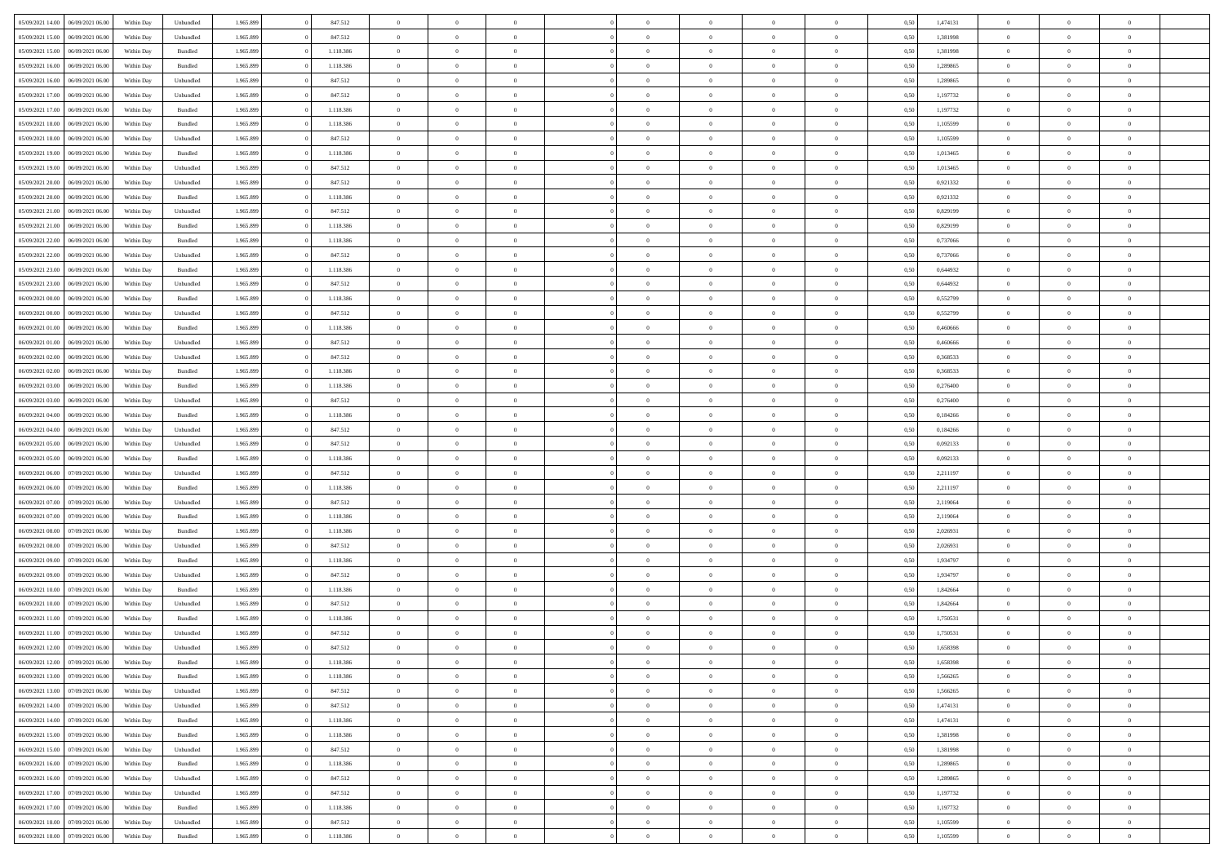| 05/09/2021 14:00 06/09/2021 06:00    | Within Day | Unbundled | 1.965.899 | 847.512   | $\overline{0}$ | $\overline{0}$ | $\Omega$       | $\Omega$       | $\Omega$       |                | $\overline{0}$ | 0,50 | 1,474131 | $\mathbf{0}$   | $\Omega$       | $\Omega$       |  |
|--------------------------------------|------------|-----------|-----------|-----------|----------------|----------------|----------------|----------------|----------------|----------------|----------------|------|----------|----------------|----------------|----------------|--|
| 05/09/2021 15:00<br>06/09/2021 06:00 | Within Day | Unbundled | 1.965.899 | 847.512   | $\bf{0}$       | $\overline{0}$ | $\overline{0}$ | $\theta$       | $\overline{0}$ | $\overline{0}$ | $\,$ 0         | 0,50 | 1,381998 | $\mathbf{0}$   | $\theta$       | $\bf{0}$       |  |
| 05/09/2021 15:00<br>06/09/2021 06:00 | Within Day | Bundled   | 1.965.899 | 1.118.386 | $\overline{0}$ | $\overline{0}$ | $\overline{0}$ | $\bf{0}$       | $\bf{0}$       | $\overline{0}$ | $\mathbf{0}$   | 0,50 | 1,381998 | $\bf{0}$       | $\bf{0}$       | $\bf{0}$       |  |
| 05/09/2021 16:00<br>06/09/2021 06:00 | Within Day | Bundled   | 1.965.899 | 1.118.386 | $\overline{0}$ | $\overline{0}$ | $\overline{0}$ | $\overline{0}$ | $\overline{0}$ | $\overline{0}$ | $\overline{0}$ | 0.50 | 1.289865 | $\mathbf{0}$   | $\overline{0}$ | $\bf{0}$       |  |
|                                      |            |           |           |           |                |                |                |                |                |                |                |      |          |                |                |                |  |
| 05/09/2021 16:00<br>06/09/2021 06:00 | Within Day | Unbundled | 1.965.899 | 847.512   | $\bf{0}$       | $\overline{0}$ | $\overline{0}$ | $\theta$       | $\overline{0}$ | $\overline{0}$ | $\bf{0}$       | 0,50 | 1,289865 | $\theta$       | $\theta$       | $\overline{0}$ |  |
| 05/09/2021 17:00<br>06/09/2021 06:00 | Within Day | Unbundled | 1.965.899 | 847.512   | $\overline{0}$ | $\overline{0}$ | $\overline{0}$ | $\bf{0}$       | $\overline{0}$ | $\overline{0}$ | $\overline{0}$ | 0,50 | 1,197732 | $\overline{0}$ | $\overline{0}$ | $\overline{0}$ |  |
| 05/09/2021 17:00<br>06/09/2021 06:00 | Within Day | Bundled   | 1.965.899 | 1.118.386 | $\overline{0}$ | $\overline{0}$ | $\overline{0}$ | $\overline{0}$ | $\overline{0}$ | $\overline{0}$ | $\mathbf{0}$   | 0.50 | 1,197732 | $\mathbf{0}$   | $\overline{0}$ | $\overline{0}$ |  |
| 05/09/2021 18:00<br>06/09/2021 06:00 | Within Day | Bundled   | 1.965.899 | 1.118.386 | $\bf{0}$       | $\overline{0}$ | $\overline{0}$ | $\theta$       | $\overline{0}$ | $\overline{0}$ | $\bf{0}$       | 0,50 | 1,105599 | $\theta$       | $\theta$       | $\bf{0}$       |  |
| 05/09/2021 18:00<br>06/09/2021 06:00 | Within Day | Unbundled | 1.965.899 | 847.512   | $\overline{0}$ | $\overline{0}$ | $\overline{0}$ | $\bf{0}$       | $\bf{0}$       | $\overline{0}$ | $\mathbf{0}$   | 0,50 | 1,105599 | $\bf{0}$       | $\bf{0}$       | $\bf{0}$       |  |
| 05/09/2021 19:00<br>06/09/2021 06:00 | Within Day | Bundled   | 1.965.899 | 1.118.386 | $\overline{0}$ | $\overline{0}$ | $\overline{0}$ | $\overline{0}$ | $\overline{0}$ | $\overline{0}$ | $\overline{0}$ | 0.50 | 1,013465 | $\overline{0}$ | $\theta$       | $\overline{0}$ |  |
| 05/09/2021 19:00<br>06/09/2021 06:00 | Within Day | Unbundled | 1.965.899 | 847.512   | $\bf{0}$       | $\overline{0}$ | $\overline{0}$ | $\overline{0}$ | $\overline{0}$ | $\overline{0}$ | $\,$ 0         | 0,50 | 1,013465 | $\theta$       | $\theta$       | $\bf{0}$       |  |
|                                      |            |           |           |           |                |                |                |                |                |                |                |      |          |                |                |                |  |
| 05/09/2021 20:00<br>06/09/2021 06:00 | Within Day | Unbundled | 1.965.899 | 847.512   | $\overline{0}$ | $\overline{0}$ | $\overline{0}$ | $\bf{0}$       | $\bf{0}$       | $\overline{0}$ | $\mathbf{0}$   | 0,50 | 0,921332 | $\bf{0}$       | $\bf{0}$       | $\bf{0}$       |  |
| 05/09/2021 20:00<br>06/09/2021 06:00 | Within Day | Bundled   | 1.965.899 | 1.118.386 | $\overline{0}$ | $\overline{0}$ | $\overline{0}$ | $\overline{0}$ | $\overline{0}$ | $\overline{0}$ | $\overline{0}$ | 0.50 | 0.921332 | $\mathbf{0}$   | $\overline{0}$ | $\bf{0}$       |  |
| 05/09/2021 21:00<br>06/09/2021 06:00 | Within Day | Unbundled | 1.965.899 | 847.512   | $\bf{0}$       | $\overline{0}$ | $\overline{0}$ | $\theta$       | $\overline{0}$ | $\overline{0}$ | $\,$ 0         | 0,50 | 0,829199 | $\theta$       | $\theta$       | $\overline{0}$ |  |
| 05/09/2021 21:00<br>06/09/2021 06:00 | Within Day | Bundled   | 1.965.899 | 1.118.386 | $\overline{0}$ | $\overline{0}$ | $\overline{0}$ | $\bf{0}$       | $\overline{0}$ | $\overline{0}$ | $\overline{0}$ | 0,50 | 0,829199 | $\overline{0}$ | $\overline{0}$ | $\overline{0}$ |  |
| 05/09/2021 22:00<br>06/09/2021 06:00 | Within Day | Bundled   | 1.965.899 | 1.118.386 | $\overline{0}$ | $\overline{0}$ | $\overline{0}$ | $\overline{0}$ | $\overline{0}$ | $\overline{0}$ | $\mathbf{0}$   | 0.50 | 0,737066 | $\overline{0}$ | $\overline{0}$ | $\overline{0}$ |  |
| 05/09/2021 22:00<br>06/09/2021 06:00 | Within Day | Unbundled | 1.965.899 | 847.512   | $\bf{0}$       | $\overline{0}$ | $\overline{0}$ | $\overline{0}$ | $\overline{0}$ | $\overline{0}$ | $\bf{0}$       | 0,50 | 0,737066 | $\theta$       | $\theta$       | $\bf{0}$       |  |
| 05/09/2021 23:00<br>06/09/2021 06:00 | Within Day | Bundled   | 1.965.899 | 1.118.386 | $\overline{0}$ | $\overline{0}$ | $\overline{0}$ | $\bf{0}$       | $\bf{0}$       | $\overline{0}$ | $\mathbf{0}$   | 0,50 | 0,644932 | $\bf{0}$       | $\bf{0}$       | $\bf{0}$       |  |
| 05/09/2021 23:00<br>06/09/2021 06:00 | Within Day | Unbundled | 1.965.899 | 847.512   | $\overline{0}$ | $\overline{0}$ | $\overline{0}$ | $\overline{0}$ | $\overline{0}$ | $\overline{0}$ | $\overline{0}$ | 0.50 | 0,644932 | $\overline{0}$ | $\overline{0}$ | $\overline{0}$ |  |
|                                      |            |           |           |           |                |                |                |                |                |                |                |      |          |                |                |                |  |
| 06/09/2021 00:00<br>06/09/2021 06:00 | Within Day | Bundled   | 1.965.899 | 1.118.386 | $\bf{0}$       | $\overline{0}$ | $\overline{0}$ | $\overline{0}$ | $\overline{0}$ | $\overline{0}$ | $\,$ 0         | 0,50 | 0,552799 | $\theta$       | $\theta$       | $\bf{0}$       |  |
| 06/09/2021 00:00<br>06/09/2021 06:00 | Within Day | Unbundled | 1.965.899 | 847.512   | $\overline{0}$ | $\overline{0}$ | $\overline{0}$ | $\bf{0}$       | $\bf{0}$       | $\overline{0}$ | $\mathbf{0}$   | 0,50 | 0,552799 | $\bf{0}$       | $\bf{0}$       | $\bf{0}$       |  |
| 06/09/2021 01:00<br>06/09/2021 06:00 | Within Day | Bundled   | 1.965.899 | 1.118.386 | $\overline{0}$ | $\overline{0}$ | $\overline{0}$ | $\overline{0}$ | $\overline{0}$ | $\overline{0}$ | $\overline{0}$ | 0.50 | 0.460666 | $\overline{0}$ | $\overline{0}$ | $\bf{0}$       |  |
| 06/09/2021 01:00<br>06/09/2021 06:00 | Within Day | Unbundled | 1.965.899 | 847.512   | $\bf{0}$       | $\overline{0}$ | $\overline{0}$ | $\overline{0}$ | $\overline{0}$ | $\overline{0}$ | $\,$ 0         | 0,50 | 0,460666 | $\mathbf{0}$   | $\theta$       | $\bf{0}$       |  |
| 06/09/2021 02:00<br>06/09/2021 06:00 | Within Day | Unbundled | 1.965.899 | 847.512   | $\overline{0}$ | $\overline{0}$ | $\overline{0}$ | $\bf{0}$       | $\overline{0}$ | $\overline{0}$ | $\overline{0}$ | 0,50 | 0,368533 | $\overline{0}$ | $\overline{0}$ | $\overline{0}$ |  |
| 06/09/2021 02:00<br>06/09/2021 06:00 | Within Day | Bundled   | 1.965.899 | 1.118.386 | $\overline{0}$ | $\overline{0}$ | $\overline{0}$ | $\overline{0}$ | $\overline{0}$ | $\overline{0}$ | $\overline{0}$ | 0.50 | 0,368533 | $\overline{0}$ | $\overline{0}$ | $\overline{0}$ |  |
| 06/09/2021 03:00<br>06/09/2021 06:00 | Within Day | Bundled   | 1.965.899 | 1.118.386 | $\bf{0}$       | $\overline{0}$ | $\overline{0}$ | $\overline{0}$ | $\overline{0}$ | $\overline{0}$ | $\bf{0}$       | 0,50 | 0,276400 | $\theta$       | $\theta$       | $\bf{0}$       |  |
|                                      |            |           |           |           |                |                |                |                |                |                |                |      |          |                |                |                |  |
| 06/09/2021 03:00<br>06/09/2021 06:00 | Within Day | Unbundled | 1.965.899 | 847.512   | $\overline{0}$ | $\overline{0}$ | $\overline{0}$ | $\bf{0}$       | $\bf{0}$       | $\overline{0}$ | $\bf{0}$       | 0,50 | 0,276400 | $\bf{0}$       | $\bf{0}$       | $\bf{0}$       |  |
| 06/09/2021 04:00<br>06/09/2021 06:00 | Within Day | Bundled   | 1.965.899 | 1.118.386 | $\overline{0}$ | $\overline{0}$ | $\overline{0}$ | $\overline{0}$ | $\overline{0}$ | $\overline{0}$ | $\overline{0}$ | 0.50 | 0.184266 | $\overline{0}$ | $\overline{0}$ | $\bf{0}$       |  |
| 06/09/2021 04:00<br>06/09/2021 06:00 | Within Day | Unbundled | 1.965.899 | 847.512   | $\bf{0}$       | $\overline{0}$ | $\overline{0}$ | $\overline{0}$ | $\overline{0}$ | $\overline{0}$ | $\,$ 0         | 0,50 | 0,184266 | $\,$ 0 $\,$    | $\theta$       | $\bf{0}$       |  |
| 06/09/2021 05:00<br>06/09/2021 06:00 | Within Day | Unbundled | 1.965.899 | 847.512   | $\overline{0}$ | $\overline{0}$ | $\overline{0}$ | $\bf{0}$       | $\bf{0}$       | $\overline{0}$ | $\mathbf{0}$   | 0,50 | 0,092133 | $\overline{0}$ | $\bf{0}$       | $\bf{0}$       |  |
| 06/09/2021 05:00<br>06/09/2021 06.00 | Within Day | Bundled   | 1.965.899 | 1.118.386 | $\overline{0}$ | $\overline{0}$ | $\overline{0}$ | $\overline{0}$ | $\overline{0}$ | $\Omega$       | $\overline{0}$ | 0,50 | 0,092133 | $\bf{0}$       | $\Omega$       | $\Omega$       |  |
| 06/09/2021 06:00<br>07/09/2021 06:00 | Within Day | Unbundled | 1.965.899 | 847.512   | $\bf{0}$       | $\overline{0}$ | $\overline{0}$ | $\theta$       | $\overline{0}$ | $\overline{0}$ | $\,$ 0         | 0,50 | 2,211197 | $\theta$       | $\theta$       | $\bf{0}$       |  |
| 06/09/2021 06:00<br>07/09/2021 06:00 | Within Day | Bundled   | 1.965.899 | 1.118.386 | $\overline{0}$ | $\overline{0}$ | $\overline{0}$ | $\bf{0}$       | $\overline{0}$ | $\overline{0}$ | $\overline{0}$ | 0,50 | 2,211197 | $\overline{0}$ | $\overline{0}$ | $\overline{0}$ |  |
|                                      |            | Unbundled |           |           | $\overline{0}$ | $\overline{0}$ | $\overline{0}$ | $\overline{0}$ | $\overline{0}$ | $\Omega$       | $\overline{0}$ | 0.50 |          | $\overline{0}$ | $\Omega$       | $\Omega$       |  |
| 06/09/2021 07:00<br>07/09/2021 06:00 | Within Day |           | 1.965.899 | 847.512   |                |                |                |                |                |                |                |      | 2,119064 |                |                |                |  |
| 06/09/2021 07:00<br>07/09/2021 06:00 | Within Day | Bundled   | 1.965.899 | 1.118.386 | $\bf{0}$       | $\overline{0}$ | $\bf{0}$       | $\overline{0}$ | $\overline{0}$ | $\overline{0}$ | $\bf{0}$       | 0,50 | 2,119064 | $\theta$       | $\theta$       | $\bf{0}$       |  |
| 06/09/2021 08:00<br>07/09/2021 06:00 | Within Day | Bundled   | 1.965.899 | 1.118.386 | $\overline{0}$ | $\overline{0}$ | $\bf{0}$       | $\bf{0}$       | $\bf{0}$       | $\overline{0}$ | $\bf{0}$       | 0,50 | 2,026931 | $\bf{0}$       | $\bf{0}$       | $\bf{0}$       |  |
| 06/09/2021 08:00<br>07/09/2021 06:00 | Within Day | Unbundled | 1.965.899 | 847.512   | $\overline{0}$ | $\overline{0}$ | $\Omega$       | $\overline{0}$ | $\overline{0}$ | $\Omega$       | $\theta$       | 0.50 | 2,026931 | $\overline{0}$ | $\Omega$       | $\Omega$       |  |
| 06/09/2021 09:00<br>07/09/2021 06:00 | Within Day | Bundled   | 1.965.899 | 1.118.386 | $\bf{0}$       | $\overline{0}$ | $\bf{0}$       | $\overline{0}$ | $\overline{0}$ | $\overline{0}$ | $\,$ 0         | 0,50 | 1,934797 | $\theta$       | $\theta$       | $\bf{0}$       |  |
| 06/09/2021 09:00<br>07/09/2021 06:00 | Within Day | Unbundled | 1.965.899 | 847.512   | $\overline{0}$ | $\overline{0}$ | $\overline{0}$ | $\bf{0}$       | $\bf{0}$       | $\overline{0}$ | $\mathbf{0}$   | 0,50 | 1,934797 | $\overline{0}$ | $\bf{0}$       | $\bf{0}$       |  |
| 06/09/2021 10:00<br>07/09/2021 06:00 | Within Day | Bundled   | 1.965.899 | 1.118.386 | $\overline{0}$ | $\overline{0}$ | $\overline{0}$ | $\overline{0}$ | $\bf{0}$       | $\Omega$       | $\overline{0}$ | 0,50 | 1,842664 | $\overline{0}$ | $\overline{0}$ | $\Omega$       |  |
| 06/09/2021 10:00<br>07/09/2021 06:00 | Within Day | Unbundled | 1.965.899 | 847.512   | $\bf{0}$       | $\overline{0}$ | $\bf{0}$       | $\overline{0}$ | $\overline{0}$ | $\overline{0}$ | $\,$ 0         | 0,50 | 1,842664 | $\,0\,$        | $\theta$       | $\bf{0}$       |  |
| 06/09/2021 11:00<br>07/09/2021 06:00 | Within Day | Bundled   | 1.965.899 | 1.118.386 | $\overline{0}$ | $\overline{0}$ | $\overline{0}$ | $\bf{0}$       | $\overline{0}$ | $\overline{0}$ | $\overline{0}$ | 0,50 | 1,750531 | $\overline{0}$ | $\bf{0}$       | $\bf{0}$       |  |
|                                      |            |           |           |           | $\overline{0}$ | $\theta$       | $\Omega$       |                |                | $\Omega$       | $\overline{0}$ |      | 1.750531 |                | $\Omega$       | $\Omega$       |  |
| 06/09/2021 11:00<br>07/09/2021 06:00 | Within Day | Unbundled | 1.965.899 | 847.512   |                |                |                | $\overline{0}$ | $\overline{0}$ |                |                | 0.50 |          | $\bf{0}$       |                |                |  |
| 06/09/2021 12:00 07/09/2021 06:00    | Within Day | Unbundled | 1.965.899 | 847.512   | $\bf{0}$       | $\overline{0}$ | $\overline{0}$ | $\bf{0}$       | $\bf{0}$       | $\overline{0}$ | $\,$ 0         | 0,50 | 1,658398 | $\bf{0}$       | $\,$ 0         | $\bf{0}$       |  |
| 06/09/2021 12:00 07/09/2021 06:00    | Within Day | Bundled   | 1.965.899 | 1.118.386 | $\bf{0}$       | $\bf{0}$       |                | $\bf{0}$       |                |                |                | 0,50 | 1,658398 | $\bf{0}$       | $\bf{0}$       |                |  |
| 06/09/2021 13:00 07/09/2021 06:00    | Within Day | Bundled   | 1.965.899 | 1.118.386 | $\overline{0}$ | $\overline{0}$ | $\theta$       | $\overline{0}$ | $\overline{0}$ | $\overline{0}$ | $\mathbf{0}$   | 0,50 | 1,566265 | $\overline{0}$ | $\theta$       | $\theta$       |  |
| 06/09/2021 13:00 07/09/2021 06:00    | Within Day | Unbundled | 1.965.899 | 847.512   | $\overline{0}$ | $\overline{0}$ | $\overline{0}$ | $\bf{0}$       | $\overline{0}$ | $\overline{0}$ | $\mathbf{0}$   | 0,50 | 1,566265 | $\,0\,$        | $\overline{0}$ | $\,$ 0 $\,$    |  |
| 06/09/2021 14:00 07/09/2021 06:00    | Within Day | Unbundled | 1.965.899 | 847.512   | $\overline{0}$ | $\overline{0}$ | $\overline{0}$ | $\bf{0}$       | $\overline{0}$ | $\overline{0}$ | $\overline{0}$ | 0,50 | 1,474131 | $\overline{0}$ | $\overline{0}$ | $\overline{0}$ |  |
| 07/09/2021 06:00<br>06/09/2021 14:00 | Within Day | Bundled   | 1.965.899 | 1.118.386 | $\overline{0}$ | $\overline{0}$ | $\overline{0}$ | $\bf{0}$       | $\bf{0}$       | $\overline{0}$ | $\overline{0}$ | 0,50 | 1,474131 | $\overline{0}$ | $\overline{0}$ | $\overline{0}$ |  |
| 06/09/2021 15:00<br>07/09/2021 06:00 | Within Day | Bundled   | 1.965.899 | 1.118.386 | $\overline{0}$ | $\overline{0}$ | $\overline{0}$ | $\overline{0}$ | $\overline{0}$ | $\overline{0}$ | $\mathbf{0}$   | 0,50 | 1,381998 | $\,0\,$        | $\theta$       | $\bf{0}$       |  |
|                                      |            |           |           |           |                |                |                |                |                |                |                |      |          |                |                |                |  |
| 06/09/2021 15:00 07/09/2021 06:00    | Within Day | Unbundled | 1.965.899 | 847.512   | $\overline{0}$ | $\overline{0}$ | $\overline{0}$ | $\overline{0}$ | $\overline{0}$ | $\overline{0}$ | $\overline{0}$ | 0,50 | 1,381998 | $\overline{0}$ | $\overline{0}$ | $\overline{0}$ |  |
| 06/09/2021 16:00<br>07/09/2021 06:00 | Within Day | Bundled   | 1.965.899 | 1.118.386 | $\overline{0}$ | $\overline{0}$ | $\overline{0}$ | $\overline{0}$ | $\overline{0}$ | $\overline{0}$ | $\mathbf{0}$   | 0.50 | 1,289865 | $\overline{0}$ | $\overline{0}$ | $\overline{0}$ |  |
| 06/09/2021 16:00<br>07/09/2021 06:00 | Within Day | Unbundled | 1.965.899 | 847.512   | $\overline{0}$ | $\overline{0}$ | $\overline{0}$ | $\bf{0}$       | $\bf{0}$       | $\overline{0}$ | $\,$ 0 $\,$    | 0,50 | 1,289865 | $\,0\,$        | $\theta$       | $\,$ 0         |  |
| 06/09/2021 17:00 07/09/2021 06:00    | Within Day | Unbundled | 1.965.899 | 847.512   | $\overline{0}$ | $\overline{0}$ | $\overline{0}$ | $\bf{0}$       | $\overline{0}$ | $\overline{0}$ | $\overline{0}$ | 0,50 | 1,197732 | $\bf{0}$       | $\bf{0}$       | $\overline{0}$ |  |
| 07/09/2021 06:00<br>06/09/2021 17:00 | Within Day | Bundled   | 1.965.899 | 1.118.386 | $\overline{0}$ | $\overline{0}$ | $\overline{0}$ | $\overline{0}$ | $\overline{0}$ | $\overline{0}$ | $\overline{0}$ | 0,50 | 1,197732 | $\overline{0}$ | $\overline{0}$ | $\overline{0}$ |  |
| 06/09/2021 18:00<br>07/09/2021 06:00 | Within Day | Unbundled | 1.965.899 | 847.512   | $\overline{0}$ | $\overline{0}$ | $\overline{0}$ | $\bf{0}$       | $\bf{0}$       | $\overline{0}$ | $\,$ 0 $\,$    | 0,50 | 1,105599 | $\,0\,$        | $\,0\,$        | $\,$ 0         |  |
| 06/09/2021 18:00 07/09/2021 06:00    | Within Day | Bundled   | 1.965.899 | 1.118.386 | $\overline{0}$ | $\overline{0}$ | $\overline{0}$ | $\bf{0}$       | $\overline{0}$ | $\overline{0}$ | $\overline{0}$ | 0,50 | 1,105599 | $\overline{0}$ | $\bf{0}$       | $\overline{0}$ |  |
|                                      |            |           |           |           |                |                |                |                |                |                |                |      |          |                |                |                |  |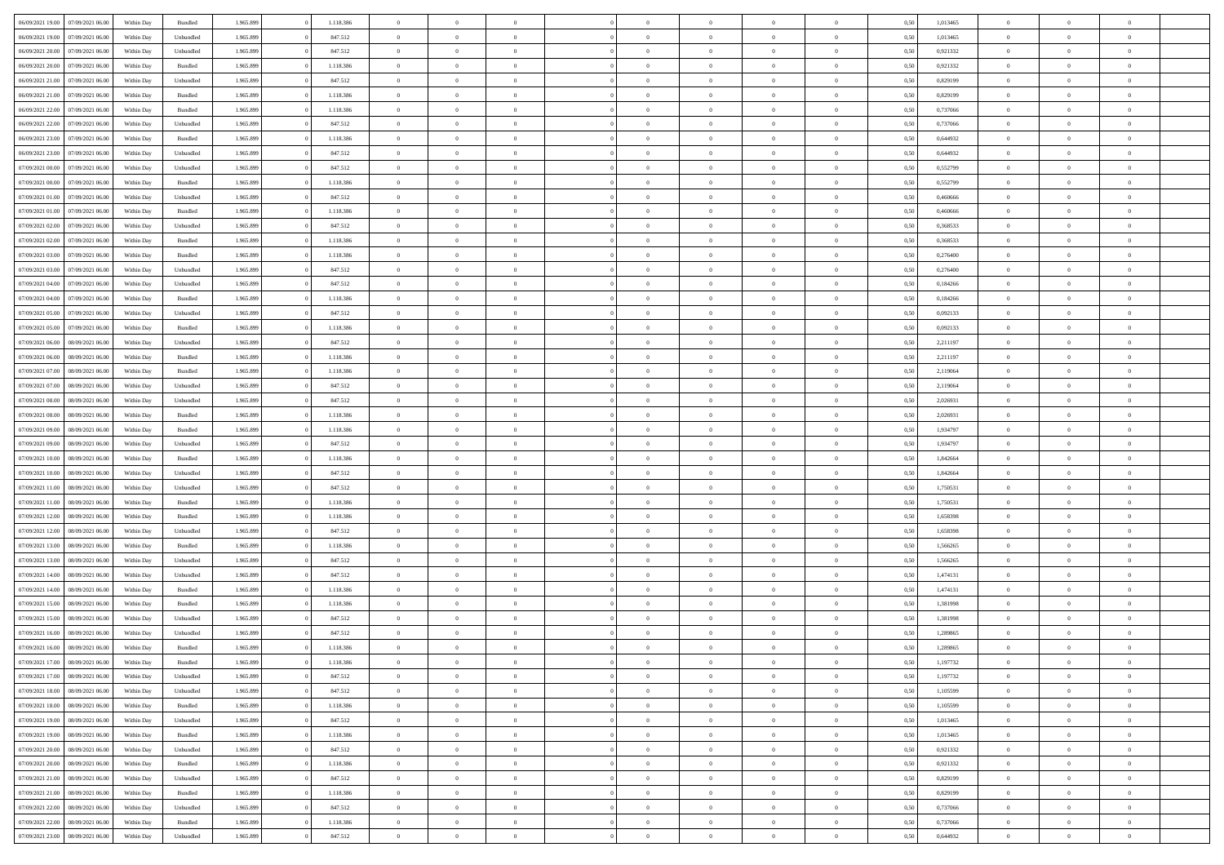| 06/09/2021 19:00 07/09/2021 06:00    | Within Day | Bundled            | 1.965.899 | 1.118.386 | $\overline{0}$ | $\overline{0}$ | $\Omega$       | $\Omega$       | $\Omega$       |                | $\overline{0}$ | 0,50 | 1,013465 | $\mathbf{0}$   | $\Omega$       | $\Omega$       |  |
|--------------------------------------|------------|--------------------|-----------|-----------|----------------|----------------|----------------|----------------|----------------|----------------|----------------|------|----------|----------------|----------------|----------------|--|
| 06/09/2021 19:00<br>07/09/2021 06:00 | Within Day | Unbundled          | 1.965.899 | 847.512   | $\bf{0}$       | $\overline{0}$ | $\overline{0}$ | $\theta$       | $\overline{0}$ | $\overline{0}$ | $\,$ 0         | 0,50 | 1,013465 | $\mathbf{0}$   | $\theta$       | $\bf{0}$       |  |
| 06/09/2021 20:00<br>07/09/2021 06:00 | Within Day | Unbundled          | 1.965.899 | 847.512   | $\overline{0}$ | $\overline{0}$ | $\overline{0}$ | $\bf{0}$       | $\bf{0}$       | $\overline{0}$ | $\mathbf{0}$   | 0,50 | 0,921332 | $\bf{0}$       | $\bf{0}$       | $\bf{0}$       |  |
| 06/09/2021 20:00<br>07/09/2021 06:00 | Within Day | Bundled            | 1.965.899 | 1.118.386 | $\overline{0}$ | $\overline{0}$ | $\overline{0}$ | $\overline{0}$ | $\overline{0}$ | $\overline{0}$ | $\overline{0}$ | 0.50 | 0,921332 | $\mathbf{0}$   | $\overline{0}$ | $\bf{0}$       |  |
| 06/09/2021 21:00<br>07/09/2021 06:00 | Within Day | Unbundled          | 1.965.899 | 847.512   | $\bf{0}$       | $\overline{0}$ | $\overline{0}$ | $\theta$       | $\overline{0}$ | $\overline{0}$ | $\bf{0}$       | 0,50 | 0,829199 | $\mathbf{0}$   | $\theta$       | $\overline{0}$ |  |
| 06/09/2021 21:00<br>07/09/2021 06:00 | Within Day | Bundled            | 1.965.899 | 1.118.386 | $\overline{0}$ | $\overline{0}$ | $\overline{0}$ | $\bf{0}$       | $\overline{0}$ | $\overline{0}$ | $\overline{0}$ | 0,50 | 0,829199 | $\overline{0}$ | $\overline{0}$ | $\overline{0}$ |  |
| 06/09/2021 22:00<br>07/09/2021 06:00 | Within Day | Bundled            | 1.965.899 | 1.118.386 | $\overline{0}$ | $\overline{0}$ | $\overline{0}$ | $\overline{0}$ | $\overline{0}$ | $\overline{0}$ | $\mathbf{0}$   | 0.50 | 0.737066 | $\overline{0}$ | $\overline{0}$ | $\overline{0}$ |  |
| 06/09/2021 22:00<br>07/09/2021 06:00 | Within Day | Unbundled          | 1.965.899 | 847.512   | $\bf{0}$       | $\overline{0}$ | $\overline{0}$ | $\theta$       | $\overline{0}$ | $\overline{0}$ | $\bf{0}$       | 0,50 | 0,737066 | $\theta$       | $\theta$       | $\bf{0}$       |  |
|                                      |            |                    |           |           |                |                |                |                |                |                |                |      |          |                |                |                |  |
| 06/09/2021 23:00<br>07/09/2021 06:00 | Within Day | Bundled            | 1.965.899 | 1.118.386 | $\overline{0}$ | $\overline{0}$ | $\bf{0}$       | $\bf{0}$       | $\bf{0}$       | $\overline{0}$ | $\mathbf{0}$   | 0,50 | 0,644932 | $\bf{0}$       | $\bf{0}$       | $\bf{0}$       |  |
| 06/09/2021 23:00<br>07/09/2021 06:00 | Within Day | Unbundled          | 1.965.899 | 847.512   | $\overline{0}$ | $\overline{0}$ | $\overline{0}$ | $\overline{0}$ | $\overline{0}$ | $\overline{0}$ | $\overline{0}$ | 0.50 | 0,644932 | $\overline{0}$ | $\overline{0}$ | $\overline{0}$ |  |
| 07/09/2021 00:00<br>07/09/2021 06:00 | Within Day | Unbundled          | 1.965.899 | 847.512   | $\bf{0}$       | $\overline{0}$ | $\overline{0}$ | $\overline{0}$ | $\overline{0}$ | $\overline{0}$ | $\,$ 0         | 0,50 | 0,552799 | $\theta$       | $\theta$       | $\bf{0}$       |  |
| 07/09/2021 00:00<br>07/09/2021 06:00 | Within Day | Bundled            | 1.965.899 | 1.118.386 | $\overline{0}$ | $\overline{0}$ | $\overline{0}$ | $\bf{0}$       | $\bf{0}$       | $\overline{0}$ | $\mathbf{0}$   | 0,50 | 0,552799 | $\bf{0}$       | $\bf{0}$       | $\bf{0}$       |  |
| 07/09/2021 01:00<br>07/09/2021 06:00 | Within Day | Unbundled          | 1.965.899 | 847.512   | $\overline{0}$ | $\overline{0}$ | $\overline{0}$ | $\overline{0}$ | $\overline{0}$ | $\overline{0}$ | $\overline{0}$ | 0.50 | 0.460666 | $\mathbf{0}$   | $\overline{0}$ | $\bf{0}$       |  |
| 07/09/2021 01:00<br>07/09/2021 06:00 | Within Day | Bundled            | 1.965.899 | 1.118.386 | $\bf{0}$       | $\overline{0}$ | $\overline{0}$ | $\theta$       | $\overline{0}$ | $\overline{0}$ | $\,$ 0         | 0,50 | 0,460666 | $\theta$       | $\theta$       | $\overline{0}$ |  |
| 07/09/2021 02:00<br>07/09/2021 06:00 | Within Day | Unbundled          | 1.965.899 | 847.512   | $\overline{0}$ | $\overline{0}$ | $\overline{0}$ | $\bf{0}$       | $\overline{0}$ | $\overline{0}$ | $\overline{0}$ | 0,50 | 0,368533 | $\overline{0}$ | $\overline{0}$ | $\overline{0}$ |  |
| 07/09/2021 02:00<br>07/09/2021 06:00 | Within Day | Bundled            | 1.965.899 | 1.118.386 | $\overline{0}$ | $\overline{0}$ | $\overline{0}$ | $\overline{0}$ | $\overline{0}$ | $\overline{0}$ | $\mathbf{0}$   | 0.50 | 0,368533 | $\overline{0}$ | $\overline{0}$ | $\overline{0}$ |  |
| 07/09/2021 03:00<br>07/09/2021 06:00 | Within Day | Bundled            | 1.965.899 | 1.118.386 | $\bf{0}$       | $\overline{0}$ | $\overline{0}$ | $\overline{0}$ | $\overline{0}$ | $\overline{0}$ | $\bf{0}$       | 0,50 | 0,276400 | $\theta$       | $\theta$       | $\bf{0}$       |  |
| 07/09/2021 03:00<br>07/09/2021 06:00 | Within Day | Unbundled          | 1.965.899 | 847.512   | $\overline{0}$ | $\overline{0}$ | $\bf{0}$       | $\bf{0}$       | $\bf{0}$       | $\overline{0}$ | $\bf{0}$       | 0,50 | 0,276400 | $\bf{0}$       | $\bf{0}$       | $\bf{0}$       |  |
| 07/09/2021 04:00<br>07/09/2021 06:00 | Within Day | Unbundled          | 1.965.899 | 847.512   | $\overline{0}$ | $\overline{0}$ | $\overline{0}$ | $\overline{0}$ | $\overline{0}$ | $\overline{0}$ | $\overline{0}$ | 0.50 | 0.184266 | $\overline{0}$ | $\overline{0}$ | $\overline{0}$ |  |
| 07/09/2021 04:00<br>07/09/2021 06:00 | Within Day | $\mathbf B$ undled | 1.965.899 | 1.118.386 | $\bf{0}$       | $\overline{0}$ | $\overline{0}$ | $\overline{0}$ | $\overline{0}$ | $\overline{0}$ | $\,$ 0         | 0,50 | 0,184266 | $\theta$       | $\theta$       | $\bf{0}$       |  |
|                                      |            |                    |           |           |                |                |                |                |                |                |                |      |          |                |                |                |  |
| 07/09/2021 05:00<br>07/09/2021 06:00 | Within Day | Unbundled          | 1.965.899 | 847.512   | $\overline{0}$ | $\overline{0}$ | $\overline{0}$ | $\bf{0}$       | $\bf{0}$       | $\overline{0}$ | $\mathbf{0}$   | 0,50 | 0,092133 | $\bf{0}$       | $\bf{0}$       | $\bf{0}$       |  |
| 07/09/2021 05:00<br>07/09/2021 06:00 | Within Day | Bundled            | 1.965.899 | 1.118.386 | $\overline{0}$ | $\overline{0}$ | $\overline{0}$ | $\overline{0}$ | $\overline{0}$ | $\overline{0}$ | $\overline{0}$ | 0.50 | 0,092133 | $\overline{0}$ | $\overline{0}$ | $\bf{0}$       |  |
| 07/09/2021 06:00<br>08/09/2021 06:00 | Within Day | Unbundled          | 1.965.899 | 847.512   | $\bf{0}$       | $\overline{0}$ | $\overline{0}$ | $\overline{0}$ | $\overline{0}$ | $\overline{0}$ | $\,$ 0         | 0,50 | 2,211197 | $\mathbf{0}$   | $\theta$       | $\bf{0}$       |  |
| 07/09/2021 06:00<br>08/09/2021 06:00 | Within Day | Bundled            | 1.965.899 | 1.118.386 | $\overline{0}$ | $\overline{0}$ | $\overline{0}$ | $\bf{0}$       | $\overline{0}$ | $\overline{0}$ | $\overline{0}$ | 0,50 | 2,211197 | $\overline{0}$ | $\overline{0}$ | $\overline{0}$ |  |
| 07/09/2021 07:00<br>08/09/2021 06:00 | Within Day | Bundled            | 1.965.899 | 1.118.386 | $\overline{0}$ | $\overline{0}$ | $\overline{0}$ | $\overline{0}$ | $\overline{0}$ | $\overline{0}$ | $\overline{0}$ | 0.50 | 2.119064 | $\overline{0}$ | $\overline{0}$ | $\overline{0}$ |  |
| 07/09/2021 07:00<br>08/09/2021 06:00 | Within Day | Unbundled          | 1.965.899 | 847.512   | $\bf{0}$       | $\overline{0}$ | $\bf{0}$       | $\overline{0}$ | $\overline{0}$ | $\overline{0}$ | $\bf{0}$       | 0,50 | 2,119064 | $\theta$       | $\theta$       | $\bf{0}$       |  |
| 07/09/2021 08:00<br>08/09/2021 06:00 | Within Day | Unbundled          | 1.965.899 | 847.512   | $\overline{0}$ | $\overline{0}$ | $\bf{0}$       | $\bf{0}$       | $\bf{0}$       | $\overline{0}$ | $\bf{0}$       | 0,50 | 2,026931 | $\bf{0}$       | $\bf{0}$       | $\bf{0}$       |  |
| 07/09/2021 08:00<br>08/09/2021 06:00 | Within Day | Bundled            | 1.965.899 | 1.118.386 | $\overline{0}$ | $\overline{0}$ | $\overline{0}$ | $\overline{0}$ | $\overline{0}$ | $\overline{0}$ | $\overline{0}$ | 0.50 | 2.026931 | $\overline{0}$ | $\overline{0}$ | $\bf{0}$       |  |
| 07/09/2021 09:00<br>08/09/2021 06:00 | Within Day | Bundled            | 1.965.899 | 1.118.386 | $\bf{0}$       | $\overline{0}$ | $\overline{0}$ | $\overline{0}$ | $\overline{0}$ | $\overline{0}$ | $\,$ 0         | 0,50 | 1,934797 | $\,$ 0 $\,$    | $\theta$       | $\bf{0}$       |  |
| 07/09/2021 09:00<br>08/09/2021 06:00 | Within Day | Unbundled          | 1.965.899 | 847.512   | $\overline{0}$ | $\overline{0}$ | $\overline{0}$ | $\bf{0}$       | $\bf{0}$       | $\overline{0}$ | $\mathbf{0}$   | 0,50 | 1,934797 | $\bf{0}$       | $\bf{0}$       | $\bf{0}$       |  |
| 07/09/2021 10:00<br>08/09/2021 06:00 | Within Day | Bundled            | 1.965.899 | 1.118.386 | $\overline{0}$ | $\overline{0}$ | $\overline{0}$ | $\overline{0}$ | $\overline{0}$ | $\Omega$       | $\overline{0}$ | 0,50 | 1,842664 | $\bf{0}$       | $\Omega$       | $\Omega$       |  |
| 07/09/2021 10:00<br>08/09/2021 06:00 | Within Day | Unbundled          | 1.965.899 | 847.512   | $\bf{0}$       | $\overline{0}$ | $\overline{0}$ | $\theta$       | $\overline{0}$ | $\overline{0}$ | $\,$ 0         | 0,50 | 1,842664 | $\theta$       | $\theta$       | $\bf{0}$       |  |
| 07/09/2021 11:00<br>08/09/2021 06:00 | Within Day | Unbundled          | 1.965.899 | 847.512   | $\overline{0}$ | $\overline{0}$ | $\overline{0}$ | $\bf{0}$       | $\overline{0}$ | $\overline{0}$ | $\overline{0}$ | 0,50 | 1,750531 | $\overline{0}$ | $\overline{0}$ | $\overline{0}$ |  |
|                                      |            |                    |           |           |                |                |                |                |                |                |                |      |          |                |                |                |  |
| 07/09/2021 11:00<br>08/09/2021 06:00 | Within Day | Bundled            | 1.965.899 | 1.118.386 | $\overline{0}$ | $\overline{0}$ | $\overline{0}$ | $\overline{0}$ | $\overline{0}$ | $\Omega$       | $\overline{0}$ | 0.50 | 1,750531 | $\overline{0}$ | $\Omega$       | $\Omega$       |  |
| 07/09/2021 12:00<br>08/09/2021 06:00 | Within Day | Bundled            | 1.965.899 | 1.118.386 | $\bf{0}$       | $\overline{0}$ | $\overline{0}$ | $\overline{0}$ | $\overline{0}$ | $\overline{0}$ | $\bf{0}$       | 0,50 | 1,658398 | $\theta$       | $\theta$       | $\bf{0}$       |  |
| 07/09/2021 12:00<br>08/09/2021 06:00 | Within Day | Unbundled          | 1.965.899 | 847.512   | $\overline{0}$ | $\overline{0}$ | $\overline{0}$ | $\bf{0}$       | $\bf{0}$       | $\overline{0}$ | $\bf{0}$       | 0,50 | 1,658398 | $\bf{0}$       | $\bf{0}$       | $\bf{0}$       |  |
| 07/09/2021 13:00<br>08/09/2021 06:00 | Within Day | Bundled            | 1.965.899 | 1.118.386 | $\overline{0}$ | $\overline{0}$ | $\Omega$       | $\overline{0}$ | $\overline{0}$ | $\Omega$       | $\theta$       | 0.50 | 1,566265 | $\overline{0}$ | $\Omega$       | $\Omega$       |  |
| 07/09/2021 13:00<br>08/09/2021 06:00 | Within Day | Unbundled          | 1.965.899 | 847.512   | $\bf{0}$       | $\overline{0}$ | $\overline{0}$ | $\overline{0}$ | $\overline{0}$ | $\overline{0}$ | $\,$ 0         | 0,50 | 1,566265 | $\theta$       | $\theta$       | $\bf{0}$       |  |
| 07/09/2021 14:00<br>08/09/2021 06:00 | Within Day | Unbundled          | 1.965.899 | 847.512   | $\overline{0}$ | $\overline{0}$ | $\overline{0}$ | $\bf{0}$       | $\bf{0}$       | $\overline{0}$ | $\mathbf{0}$   | 0,50 | 1,474131 | $\overline{0}$ | $\bf{0}$       | $\bf{0}$       |  |
| 07/09/2021 14:00<br>08/09/2021 06:00 | Within Day | Bundled            | 1.965.899 | 1.118.386 | $\overline{0}$ | $\overline{0}$ | $\overline{0}$ | $\overline{0}$ | $\bf{0}$       | $\Omega$       | $\overline{0}$ | 0,50 | 1,474131 | $\overline{0}$ | $\overline{0}$ | $\Omega$       |  |
| 07/09/2021 15:00<br>08/09/2021 06:00 | Within Day | Bundled            | 1.965.899 | 1.118.386 | $\bf{0}$       | $\overline{0}$ | $\overline{0}$ | $\overline{0}$ | $\overline{0}$ | $\overline{0}$ | $\,$ 0         | 0,50 | 1,381998 | $\,$ 0 $\,$    | $\theta$       | $\bf{0}$       |  |
| 07/09/2021 15:00<br>08/09/2021 06:00 | Within Day | Unbundled          | 1.965.899 | 847.512   | $\overline{0}$ | $\overline{0}$ | $\overline{0}$ | $\bf{0}$       | $\overline{0}$ | $\overline{0}$ | $\overline{0}$ | 0,50 | 1,381998 | $\overline{0}$ | $\bf{0}$       | $\bf{0}$       |  |
| 07/09/2021 16:00<br>08/09/2021 06:00 | Within Day | Unbundled          | 1.965.899 | 847.512   | $\overline{0}$ | $\theta$       | $\Omega$       | $\overline{0}$ | $\overline{0}$ | $\Omega$       | $\overline{0}$ | 0.50 | 1,289865 | $\bf{0}$       | $\Omega$       | $\Omega$       |  |
| 07/09/2021 16:00<br>08/09/2021 06:00 | Within Day | Bundled            | 1.965.899 | 1.118.386 | $\bf{0}$       | $\bf{0}$       | $\overline{0}$ | $\bf{0}$       | $\bf{0}$       | $\overline{0}$ | $\,$ 0         | 0,50 | 1,289865 | $\bf{0}$       | $\,$ 0         | $\bf{0}$       |  |
| 07/09/2021 17:00 08/09/2021 06:00    | Within Day | Bundled            | 1.965.899 | 1.118.386 | $\bf{0}$       | $\bf{0}$       |                |                |                |                |                | 0,50 | 1,197732 | $\bf{0}$       | $\bf{0}$       |                |  |
| 07/09/2021 17:00 08/09/2021 06:00    | Within Day | Unbundled          | 1.965.899 | 847.512   | $\overline{0}$ | $\overline{0}$ | $\overline{0}$ | $\overline{0}$ | $\overline{0}$ | $\overline{0}$ | $\mathbf{0}$   | 0,50 | 1,197732 | $\overline{0}$ | $\theta$       | $\overline{0}$ |  |
| 07/09/2021 18:00<br>08/09/2021 06:00 | Within Day | Unbundled          | 1.965.899 | 847.512   | $\overline{0}$ | $\overline{0}$ | $\overline{0}$ | $\bf{0}$       | $\overline{0}$ | $\overline{0}$ | $\mathbf{0}$   | 0,50 | 1,105599 | $\,0\,$        | $\overline{0}$ | $\,$ 0 $\,$    |  |
| 07/09/2021 18:00<br>08/09/2021 06:00 | Within Day | Bundled            | 1.965.899 | 1.118.386 | $\overline{0}$ | $\overline{0}$ | $\overline{0}$ | $\bf{0}$       | $\overline{0}$ | $\overline{0}$ | $\overline{0}$ | 0,50 | 1,105599 | $\overline{0}$ | $\overline{0}$ | $\overline{0}$ |  |
|                                      |            |                    |           |           |                |                | $\overline{0}$ |                |                |                |                |      |          | $\overline{0}$ | $\overline{0}$ | $\overline{0}$ |  |
| 07/09/2021 19:00<br>08/09/2021 06:00 | Within Day | Unbundled          | 1.965.899 | 847.512   | $\overline{0}$ | $\overline{0}$ |                | $\bf{0}$       | $\bf{0}$       | $\overline{0}$ | $\overline{0}$ | 0,50 | 1,013465 |                |                |                |  |
| 07/09/2021 19:00<br>08/09/2021 06:00 | Within Day | Bundled            | 1.965.899 | 1.118.386 | $\overline{0}$ | $\overline{0}$ | $\overline{0}$ | $\overline{0}$ | $\overline{0}$ | $\overline{0}$ | $\mathbf{0}$   | 0,50 | 1,013465 | $\,0\,$        | $\theta$       | $\bf{0}$       |  |
| 07/09/2021 20:00<br>08/09/2021 06:00 | Within Day | Unbundled          | 1.965.899 | 847.512   | $\overline{0}$ | $\overline{0}$ | $\overline{0}$ | $\overline{0}$ | $\overline{0}$ | $\overline{0}$ | $\overline{0}$ | 0,50 | 0,921332 | $\overline{0}$ | $\overline{0}$ | $\overline{0}$ |  |
| 07/09/2021 20:00<br>08/09/2021 06:00 | Within Day | Bundled            | 1.965.899 | 1.118.386 | $\overline{0}$ | $\overline{0}$ | $\overline{0}$ | $\overline{0}$ | $\overline{0}$ | $\overline{0}$ | $\overline{0}$ | 0,50 | 0,921332 | $\overline{0}$ | $\overline{0}$ | $\overline{0}$ |  |
| 07/09/2021 21:00<br>08/09/2021 06:00 | Within Day | Unbundled          | 1.965.899 | 847.512   | $\overline{0}$ | $\overline{0}$ | $\overline{0}$ | $\bf{0}$       | $\bf{0}$       | $\overline{0}$ | $\,$ 0 $\,$    | 0,50 | 0,829199 | $\,0\,$        | $\theta$       | $\,$ 0         |  |
| 08/09/2021 06:00<br>07/09/2021 21:00 | Within Day | Bundled            | 1.965.899 | 1.118.386 | $\overline{0}$ | $\overline{0}$ | $\overline{0}$ | $\bf{0}$       | $\overline{0}$ | $\overline{0}$ | $\overline{0}$ | 0,50 | 0,829199 | $\bf{0}$       | $\bf{0}$       | $\overline{0}$ |  |
| 07/09/2021 22:00<br>08/09/2021 06:00 | Within Day | Unbundled          | 1.965.899 | 847.512   | $\overline{0}$ | $\overline{0}$ | $\overline{0}$ | $\overline{0}$ | $\overline{0}$ | $\overline{0}$ | $\overline{0}$ | 0,50 | 0,737066 | $\overline{0}$ | $\overline{0}$ | $\overline{0}$ |  |
| 07/09/2021 22:00<br>08/09/2021 06:00 | Within Day | Bundled            | 1.965.899 | 1.118.386 | $\overline{0}$ | $\overline{0}$ | $\overline{0}$ | $\bf{0}$       | $\bf{0}$       | $\overline{0}$ | $\,$ 0 $\,$    | 0,50 | 0,737066 | $\,0\,$        | $\,0\,$        | $\,$ 0         |  |
| 07/09/2021 23:00   08/09/2021 06:00  | Within Day | Unbundled          | 1.965.899 | 847.512   | $\overline{0}$ | $\overline{0}$ | $\overline{0}$ | $\bf{0}$       | $\overline{0}$ | $\overline{0}$ | $\overline{0}$ | 0,50 | 0,644932 | $\overline{0}$ | $\bf{0}$       | $\overline{0}$ |  |
|                                      |            |                    |           |           |                |                |                |                |                |                |                |      |          |                |                |                |  |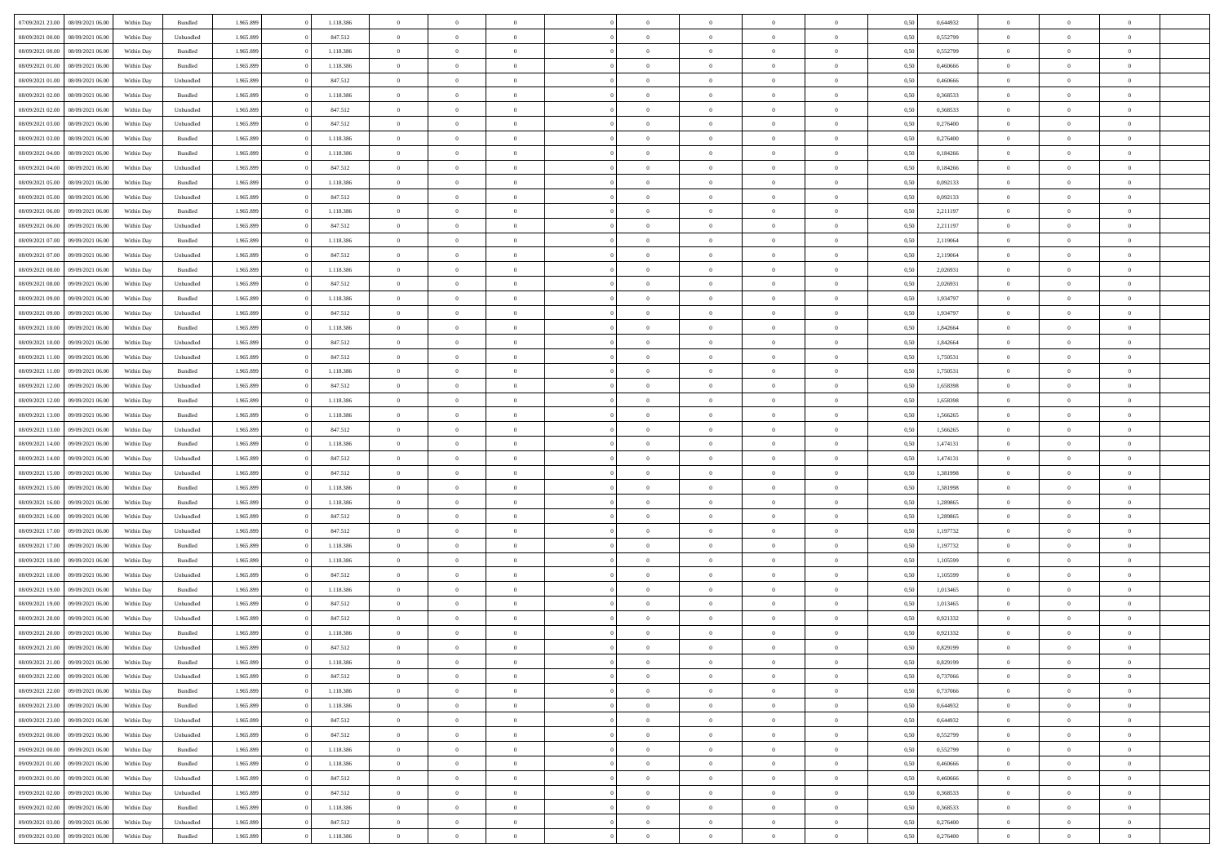| 07/09/2021 23:00 08/09/2021 06:00    | Within Day | Bundled   | 1.965.899 | 1.118.386 | $\overline{0}$ | $\overline{0}$ | $\Omega$       | $\Omega$       | $\Omega$       |                | $\overline{0}$ | 0,50 | 0,644932 | $\mathbf{0}$   | $\Omega$       | $\Omega$       |  |
|--------------------------------------|------------|-----------|-----------|-----------|----------------|----------------|----------------|----------------|----------------|----------------|----------------|------|----------|----------------|----------------|----------------|--|
| 08/09/2021 00:00<br>08/09/2021 06:00 | Within Day | Unbundled | 1.965.899 | 847.512   | $\bf{0}$       | $\overline{0}$ | $\overline{0}$ | $\theta$       | $\overline{0}$ | $\overline{0}$ | $\,$ 0         | 0,50 | 0,552799 | $\mathbf{0}$   | $\theta$       | $\bf{0}$       |  |
| 08/09/2021 00:00<br>08/09/2021 06:00 | Within Day | Bundled   | 1.965.899 | 1.118.386 | $\overline{0}$ | $\overline{0}$ | $\overline{0}$ | $\bf{0}$       | $\bf{0}$       | $\overline{0}$ | $\mathbf{0}$   | 0,50 | 0,552799 | $\overline{0}$ | $\bf{0}$       | $\bf{0}$       |  |
| 08/09/2021 01:00<br>08/09/2021 06:00 | Within Day | Bundled   | 1.965.899 | 1.118.386 | $\overline{0}$ | $\overline{0}$ | $\overline{0}$ | $\overline{0}$ | $\overline{0}$ | $\overline{0}$ | $\overline{0}$ | 0.50 | 0.460666 | $\mathbf{0}$   | $\overline{0}$ | $\bf{0}$       |  |
| 08/09/2021 01:00<br>08/09/2021 06:00 | Within Day | Unbundled | 1.965.899 | 847.512   | $\bf{0}$       | $\overline{0}$ | $\overline{0}$ | $\theta$       | $\overline{0}$ | $\overline{0}$ | $\bf{0}$       | 0,50 | 0,460666 | $\theta$       | $\theta$       | $\overline{0}$ |  |
| 08/09/2021 02:00<br>08/09/2021 06:00 | Within Day | Bundled   | 1.965.899 | 1.118.386 | $\overline{0}$ | $\overline{0}$ | $\overline{0}$ | $\bf{0}$       | $\overline{0}$ | $\overline{0}$ | $\overline{0}$ | 0,50 | 0,368533 | $\overline{0}$ | $\overline{0}$ | $\overline{0}$ |  |
| 08/09/2021 02:00<br>08/09/2021 06:00 | Within Day | Unbundled | 1.965.899 | 847.512   | $\overline{0}$ | $\overline{0}$ | $\overline{0}$ | $\overline{0}$ | $\overline{0}$ | $\overline{0}$ | $\overline{0}$ | 0.50 | 0,368533 | $\mathbf{0}$   | $\overline{0}$ | $\overline{0}$ |  |
|                                      |            |           |           |           |                |                |                |                |                |                |                |      |          |                |                |                |  |
| 08/09/2021 03:00<br>08/09/2021 06:00 | Within Day | Unbundled | 1.965.899 | 847.512   | $\bf{0}$       | $\overline{0}$ | $\overline{0}$ | $\theta$       | $\overline{0}$ | $\overline{0}$ | $\bf{0}$       | 0,50 | 0,276400 | $\theta$       | $\theta$       | $\bf{0}$       |  |
| 08/09/2021 03:00<br>08/09/2021 06:00 | Within Day | Bundled   | 1.965.899 | 1.118.386 | $\overline{0}$ | $\overline{0}$ | $\overline{0}$ | $\bf{0}$       | $\bf{0}$       | $\overline{0}$ | $\bf{0}$       | 0,50 | 0,276400 | $\bf{0}$       | $\bf{0}$       | $\bf{0}$       |  |
| 08/09/2021 04:00<br>08/09/2021 06:00 | Within Day | Bundled   | 1.965.899 | 1.118.386 | $\overline{0}$ | $\overline{0}$ | $\overline{0}$ | $\overline{0}$ | $\overline{0}$ | $\overline{0}$ | $\overline{0}$ | 0.50 | 0,184266 | $\overline{0}$ | $\overline{0}$ | $\overline{0}$ |  |
| 08/09/2021 04:00<br>08/09/2021 06:00 | Within Day | Unbundled | 1.965.899 | 847.512   | $\bf{0}$       | $\overline{0}$ | $\overline{0}$ | $\overline{0}$ | $\overline{0}$ | $\overline{0}$ | $\,$ 0         | 0,50 | 0,184266 | $\theta$       | $\theta$       | $\bf{0}$       |  |
| 08/09/2021 05:00<br>08/09/2021 06:00 | Within Day | Bundled   | 1.965.899 | 1.118.386 | $\overline{0}$ | $\overline{0}$ | $\overline{0}$ | $\bf{0}$       | $\bf{0}$       | $\overline{0}$ | $\mathbf{0}$   | 0,50 | 0,092133 | $\bf{0}$       | $\bf{0}$       | $\bf{0}$       |  |
| 08/09/2021 05:00<br>08/09/2021 06:00 | Within Day | Unbundled | 1.965.899 | 847.512   | $\overline{0}$ | $\overline{0}$ | $\overline{0}$ | $\overline{0}$ | $\overline{0}$ | $\overline{0}$ | $\overline{0}$ | 0.50 | 0.092133 | $\mathbf{0}$   | $\overline{0}$ | $\bf{0}$       |  |
| 08/09/2021 06:00<br>09/09/2021 06:00 | Within Day | Bundled   | 1.965.899 | 1.118.386 | $\bf{0}$       | $\overline{0}$ | $\overline{0}$ | $\theta$       | $\overline{0}$ | $\overline{0}$ | $\,$ 0         | 0,50 | 2,211197 | $\theta$       | $\theta$       | $\overline{0}$ |  |
| 08/09/2021 06:00<br>09/09/2021 06:00 | Within Day | Unbundled | 1.965.899 | 847.512   | $\overline{0}$ | $\overline{0}$ | $\overline{0}$ | $\bf{0}$       | $\overline{0}$ | $\overline{0}$ | $\overline{0}$ | 0,50 | 2,211197 | $\overline{0}$ | $\overline{0}$ | $\overline{0}$ |  |
| 08/09/2021 07:00<br>09/09/2021 06:00 | Within Day | Bundled   | 1.965.899 | 1.118.386 | $\overline{0}$ | $\overline{0}$ | $\overline{0}$ | $\overline{0}$ | $\overline{0}$ | $\overline{0}$ | $\mathbf{0}$   | 0.50 | 2.119064 | $\overline{0}$ | $\overline{0}$ | $\overline{0}$ |  |
| 08/09/2021 07:00<br>09/09/2021 06:00 | Within Day | Unbundled | 1.965.899 | 847.512   | $\bf{0}$       | $\overline{0}$ | $\overline{0}$ | $\overline{0}$ | $\overline{0}$ | $\overline{0}$ | $\bf{0}$       | 0,50 | 2,119064 | $\theta$       | $\theta$       | $\bf{0}$       |  |
| 08/09/2021 08:00<br>09/09/2021 06:00 | Within Day | Bundled   | 1.965.899 | 1.118.386 | $\overline{0}$ | $\overline{0}$ | $\bf{0}$       | $\bf{0}$       | $\bf{0}$       | $\overline{0}$ | $\bf{0}$       | 0,50 | 2,026931 | $\bf{0}$       | $\bf{0}$       | $\bf{0}$       |  |
| 08/09/2021 08:00<br>09/09/2021 06:00 | Within Day | Unbundled | 1.965.899 | 847.512   | $\overline{0}$ | $\overline{0}$ | $\overline{0}$ | $\overline{0}$ | $\overline{0}$ | $\overline{0}$ | $\overline{0}$ | 0.50 | 2.026931 | $\overline{0}$ | $\overline{0}$ | $\overline{0}$ |  |
|                                      |            |           |           |           |                |                |                |                |                |                |                |      |          |                |                |                |  |
| 08/09/2021 09:00<br>09/09/2021 06:00 | Within Day | Bundled   | 1.965.899 | 1.118.386 | $\bf{0}$       | $\overline{0}$ | $\overline{0}$ | $\overline{0}$ | $\overline{0}$ | $\overline{0}$ | $\,$ 0         | 0,50 | 1,934797 | $\theta$       | $\theta$       | $\bf{0}$       |  |
| 08/09/2021 09:00<br>09/09/2021 06:00 | Within Day | Unbundled | 1.965.899 | 847.512   | $\overline{0}$ | $\overline{0}$ | $\overline{0}$ | $\bf{0}$       | $\bf{0}$       | $\overline{0}$ | $\mathbf{0}$   | 0,50 | 1,934797 | $\bf{0}$       | $\bf{0}$       | $\bf{0}$       |  |
| 08/09/2021 10:00<br>09/09/2021 06:00 | Within Day | Bundled   | 1.965.899 | 1.118.386 | $\overline{0}$ | $\overline{0}$ | $\overline{0}$ | $\overline{0}$ | $\overline{0}$ | $\overline{0}$ | $\overline{0}$ | 0.50 | 1.842664 | $\overline{0}$ | $\overline{0}$ | $\bf{0}$       |  |
| 08/09/2021 10:00<br>09/09/2021 06:00 | Within Day | Unbundled | 1.965.899 | 847.512   | $\bf{0}$       | $\overline{0}$ | $\overline{0}$ | $\overline{0}$ | $\overline{0}$ | $\overline{0}$ | $\,$ 0         | 0,50 | 1,842664 | $\mathbf{0}$   | $\theta$       | $\bf{0}$       |  |
| 08/09/2021 11:00<br>09/09/2021 06:00 | Within Day | Unbundled | 1.965.899 | 847.512   | $\overline{0}$ | $\overline{0}$ | $\overline{0}$ | $\bf{0}$       | $\overline{0}$ | $\overline{0}$ | $\overline{0}$ | 0,50 | 1,750531 | $\overline{0}$ | $\overline{0}$ | $\overline{0}$ |  |
| 08/09/2021 11:00<br>09/09/2021 06:00 | Within Day | Bundled   | 1.965.899 | 1.118.386 | $\overline{0}$ | $\overline{0}$ | $\overline{0}$ | $\overline{0}$ | $\overline{0}$ | $\overline{0}$ | $\overline{0}$ | 0.50 | 1,750531 | $\overline{0}$ | $\overline{0}$ | $\overline{0}$ |  |
| 08/09/2021 12:00<br>09/09/2021 06:00 | Within Day | Unbundled | 1.965.899 | 847.512   | $\bf{0}$       | $\overline{0}$ | $\overline{0}$ | $\overline{0}$ | $\overline{0}$ | $\overline{0}$ | $\bf{0}$       | 0,50 | 1,658398 | $\theta$       | $\theta$       | $\bf{0}$       |  |
| 08/09/2021 12:00<br>09/09/2021 06:00 | Within Day | Bundled   | 1.965.899 | 1.118.386 | $\overline{0}$ | $\overline{0}$ | $\overline{0}$ | $\bf{0}$       | $\bf{0}$       | $\overline{0}$ | $\bf{0}$       | 0,50 | 1,658398 | $\bf{0}$       | $\bf{0}$       | $\bf{0}$       |  |
| 08/09/2021 13:00<br>09/09/2021 06:00 | Within Day | Bundled   | 1.965.899 | 1.118.386 | $\overline{0}$ | $\overline{0}$ | $\overline{0}$ | $\overline{0}$ | $\overline{0}$ | $\overline{0}$ | $\overline{0}$ | 0.50 | 1,566265 | $\overline{0}$ | $\overline{0}$ | $\bf{0}$       |  |
| 08/09/2021 13:00<br>09/09/2021 06:00 | Within Day | Unbundled | 1.965.899 | 847.512   | $\bf{0}$       | $\overline{0}$ | $\overline{0}$ | $\overline{0}$ | $\overline{0}$ | $\overline{0}$ | $\,$ 0         | 0,50 | 1,566265 | $\,$ 0 $\,$    | $\theta$       | $\bf{0}$       |  |
| 08/09/2021 14:00<br>09/09/2021 06:00 | Within Day | Bundled   | 1.965.899 | 1.118.386 | $\overline{0}$ | $\overline{0}$ | $\overline{0}$ | $\bf{0}$       | $\bf{0}$       | $\overline{0}$ | $\mathbf{0}$   | 0,50 | 1,474131 | $\overline{0}$ | $\bf{0}$       | $\bf{0}$       |  |
|                                      |            |           |           |           |                | $\overline{0}$ | $\overline{0}$ | $\overline{0}$ | $\overline{0}$ | $\Omega$       | $\overline{0}$ |      |          | $\bf{0}$       | $\Omega$       | $\Omega$       |  |
| 08/09/2021 14:00<br>09/09/2021 06.00 | Within Day | Unbundled | 1.965.899 | 847.512   | $\overline{0}$ |                |                |                |                |                |                | 0,50 | 1,474131 |                |                |                |  |
| 08/09/2021 15:00<br>09/09/2021 06:00 | Within Day | Unbundled | 1.965.899 | 847.512   | $\bf{0}$       | $\overline{0}$ | $\overline{0}$ | $\theta$       | $\overline{0}$ | $\overline{0}$ | $\,$ 0         | 0,50 | 1,381998 | $\theta$       | $\theta$       | $\bf{0}$       |  |
| 08/09/2021 15:00<br>09/09/2021 06:00 | Within Day | Bundled   | 1.965.899 | 1.118.386 | $\overline{0}$ | $\overline{0}$ | $\overline{0}$ | $\bf{0}$       | $\overline{0}$ | $\overline{0}$ | $\overline{0}$ | 0,50 | 1,381998 | $\overline{0}$ | $\overline{0}$ | $\overline{0}$ |  |
| 08/09/2021 16:00<br>09/09/2021 06:00 | Within Day | Bundled   | 1.965.899 | 1.118.386 | $\overline{0}$ | $\overline{0}$ | $\overline{0}$ | $\overline{0}$ | $\overline{0}$ | $\Omega$       | $\overline{0}$ | 0.50 | 1,289865 | $\overline{0}$ | $\Omega$       | $\Omega$       |  |
| 08/09/2021 16:00<br>09/09/2021 06:00 | Within Day | Unbundled | 1.965.899 | 847.512   | $\bf{0}$       | $\overline{0}$ | $\overline{0}$ | $\overline{0}$ | $\overline{0}$ | $\overline{0}$ | $\bf{0}$       | 0,50 | 1,289865 | $\overline{0}$ | $\theta$       | $\bf{0}$       |  |
| 08/09/2021 17:00<br>09/09/2021 06:00 | Within Day | Unbundled | 1.965.899 | 847.512   | $\overline{0}$ | $\overline{0}$ | $\overline{0}$ | $\bf{0}$       | $\bf{0}$       | $\overline{0}$ | $\bf{0}$       | 0,50 | 1,197732 | $\bf{0}$       | $\bf{0}$       | $\bf{0}$       |  |
| 08/09/2021 17:00<br>09/09/2021 06:00 | Within Day | Bundled   | 1.965.899 | 1.118.386 | $\overline{0}$ | $\overline{0}$ | $\Omega$       | $\overline{0}$ | $\overline{0}$ | $\Omega$       | $\theta$       | 0.50 | 1,197732 | $\overline{0}$ | $\Omega$       | $\Omega$       |  |
| 08/09/2021 18:00<br>09/09/2021 06:00 | Within Day | Bundled   | 1.965.899 | 1.118.386 | $\bf{0}$       | $\overline{0}$ | $\overline{0}$ | $\overline{0}$ | $\overline{0}$ | $\overline{0}$ | $\,$ 0         | 0,50 | 1,105599 | $\,$ 0 $\,$    | $\theta$       | $\bf{0}$       |  |
| 08/09/2021 18:00<br>09/09/2021 06:00 | Within Day | Unbundled | 1.965.899 | 847.512   | $\overline{0}$ | $\overline{0}$ | $\overline{0}$ | $\bf{0}$       | $\bf{0}$       | $\overline{0}$ | $\mathbf{0}$   | 0,50 | 1,105599 | $\overline{0}$ | $\bf{0}$       | $\bf{0}$       |  |
| 08/09/2021 19:00<br>09/09/2021 06.00 | Within Day | Bundled   | 1.965.899 | 1.118.386 | $\overline{0}$ | $\overline{0}$ | $\overline{0}$ | $\overline{0}$ | $\bf{0}$       | $\Omega$       | $\overline{0}$ | 0.50 | 1,013465 | $\overline{0}$ | $\Omega$       | $\Omega$       |  |
| 08/09/2021 19:00<br>09/09/2021 06:00 | Within Day | Unbundled | 1.965.899 | 847.512   | $\bf{0}$       | $\overline{0}$ | $\overline{0}$ | $\overline{0}$ | $\overline{0}$ | $\overline{0}$ | $\,$ 0         | 0,50 | 1,013465 | $\,0\,$        | $\theta$       | $\bf{0}$       |  |
| 08/09/2021 20:00<br>09/09/2021 06.00 | Within Day | Unbundled | 1.965.899 | 847.512   | $\overline{0}$ | $\overline{0}$ | $\overline{0}$ | $\bf{0}$       | $\overline{0}$ | $\overline{0}$ | $\overline{0}$ | 0,50 | 0,921332 | $\overline{0}$ | $\bf{0}$       | $\bf{0}$       |  |
| 08/09/2021 20:00<br>09/09/2021 06:00 | Within Day | Bundled   | 1.965.899 | 1.118.386 | $\overline{0}$ | $\theta$       | $\Omega$       | $\Omega$       | $\overline{0}$ | $\Omega$       | $\overline{0}$ | 0.50 | 0,921332 | $\bf{0}$       | $\Omega$       | $\Omega$       |  |
| 08/09/2021 21:00 09/09/2021 06:00    | Within Day | Unbundled | 1.965.899 | 847.512   | $\bf{0}$       | $\bf{0}$       | $\bf{0}$       | $\bf{0}$       | $\bf{0}$       | $\overline{0}$ | $\,$ 0         | 0,50 | 0,829199 | $\bf{0}$       | $\,$ 0         | $\bf{0}$       |  |
| 08/09/2021 21:00 09/09/2021 06:00    | Within Day | Bundled   | 1.965.899 | 1.118.386 | $\bf{0}$       | $\bf{0}$       |                | $\bf{0}$       |                |                |                | 0,50 | 0,829199 | $\bf{0}$       | $\bf{0}$       |                |  |
|                                      |            |           |           |           |                |                |                |                |                |                |                |      |          |                |                |                |  |
| 08/09/2021 22:00 09/09/2021 06:00    | Within Day | Unbundled | 1.965.899 | 847.512   | $\overline{0}$ | $\overline{0}$ | $\overline{0}$ | $\overline{0}$ | $\overline{0}$ | $\overline{0}$ | $\mathbf{0}$   | 0,50 | 0.737066 | $\overline{0}$ | $\theta$       | $\theta$       |  |
| 08/09/2021 22:00<br>09/09/2021 06:00 | Within Day | Bundled   | 1.965.899 | 1.118.386 | $\overline{0}$ | $\overline{0}$ | $\overline{0}$ | $\bf{0}$       | $\overline{0}$ | $\overline{0}$ | $\mathbf{0}$   | 0,50 | 0,737066 | $\,0\,$        | $\overline{0}$ | $\,$ 0 $\,$    |  |
| 08/09/2021 23:00<br>09/09/2021 06:00 | Within Day | Bundled   | 1.965.899 | 1.118.386 | $\overline{0}$ | $\overline{0}$ | $\overline{0}$ | $\bf{0}$       | $\overline{0}$ | $\overline{0}$ | $\overline{0}$ | 0,50 | 0,644932 | $\overline{0}$ | $\overline{0}$ | $\overline{0}$ |  |
| 08/09/2021 23:00<br>09/09/2021 06:00 | Within Day | Unbundled | 1.965.899 | 847.512   | $\overline{0}$ | $\overline{0}$ | $\overline{0}$ | $\bf{0}$       | $\bf{0}$       | $\overline{0}$ | $\overline{0}$ | 0,50 | 0,644932 | $\overline{0}$ | $\overline{0}$ | $\overline{0}$ |  |
| 09/09/2021 00:00<br>09/09/2021 06:00 | Within Day | Unbundled | 1.965.899 | 847.512   | $\overline{0}$ | $\overline{0}$ | $\overline{0}$ | $\overline{0}$ | $\overline{0}$ | $\overline{0}$ | $\mathbf{0}$   | 0,50 | 0,552799 | $\,0\,$        | $\theta$       | $\bf{0}$       |  |
| 09/09/2021 00:00<br>09/09/2021 06:00 | Within Day | Bundled   | 1.965.899 | 1.118.386 | $\overline{0}$ | $\overline{0}$ | $\overline{0}$ | $\overline{0}$ | $\overline{0}$ | $\overline{0}$ | $\overline{0}$ | 0,50 | 0,552799 | $\overline{0}$ | $\overline{0}$ | $\overline{0}$ |  |
| 09/09/2021 01:00<br>09/09/2021 06:00 | Within Day | Bundled   | 1.965.899 | 1.118.386 | $\overline{0}$ | $\overline{0}$ | $\overline{0}$ | $\overline{0}$ | $\overline{0}$ | $\overline{0}$ | $\overline{0}$ | 0.50 | 0.460666 | $\overline{0}$ | $\overline{0}$ | $\overline{0}$ |  |
| 09/09/2021 01:00<br>09/09/2021 06:00 | Within Day | Unbundled | 1.965.899 | 847.512   | $\overline{0}$ | $\overline{0}$ | $\overline{0}$ | $\bf{0}$       | $\bf{0}$       | $\overline{0}$ | $\,$ 0 $\,$    | 0,50 | 0,460666 | $\,0\,$        | $\theta$       | $\,$ 0         |  |
| 09/09/2021 02:00<br>09/09/2021 06:00 | Within Day | Unbundled | 1.965.899 | 847.512   | $\overline{0}$ | $\overline{0}$ | $\overline{0}$ | $\bf{0}$       | $\overline{0}$ | $\overline{0}$ | $\overline{0}$ | 0,50 | 0,368533 | $\bf{0}$       | $\bf{0}$       | $\overline{0}$ |  |
| 09/09/2021 02:00<br>09/09/2021 06:00 | Within Day | Bundled   | 1.965.899 | 1.118.386 | $\overline{0}$ | $\overline{0}$ | $\overline{0}$ | $\overline{0}$ | $\overline{0}$ | $\overline{0}$ | $\overline{0}$ | 0,50 | 0.368533 | $\overline{0}$ | $\overline{0}$ | $\overline{0}$ |  |
| 09/09/2021 03:00<br>09/09/2021 06:00 | Within Day | Unbundled | 1.965.899 | 847.512   | $\overline{0}$ | $\overline{0}$ | $\overline{0}$ | $\bf{0}$       | $\bf{0}$       | $\overline{0}$ | $\,$ 0 $\,$    | 0,50 | 0,276400 | $\,0\,$        | $\,0\,$        | $\,$ 0         |  |
|                                      |            |           |           |           |                |                |                |                |                |                |                |      |          |                |                |                |  |
| 09/09/2021 03:00 09/09/2021 06:00    | Within Day | Bundled   | 1.965.899 | 1.118.386 | $\overline{0}$ | $\overline{0}$ | $\overline{0}$ | $\bf{0}$       | $\overline{0}$ | $\overline{0}$ | $\overline{0}$ | 0,50 | 0,276400 | $\overline{0}$ | $\bf{0}$       | $\overline{0}$ |  |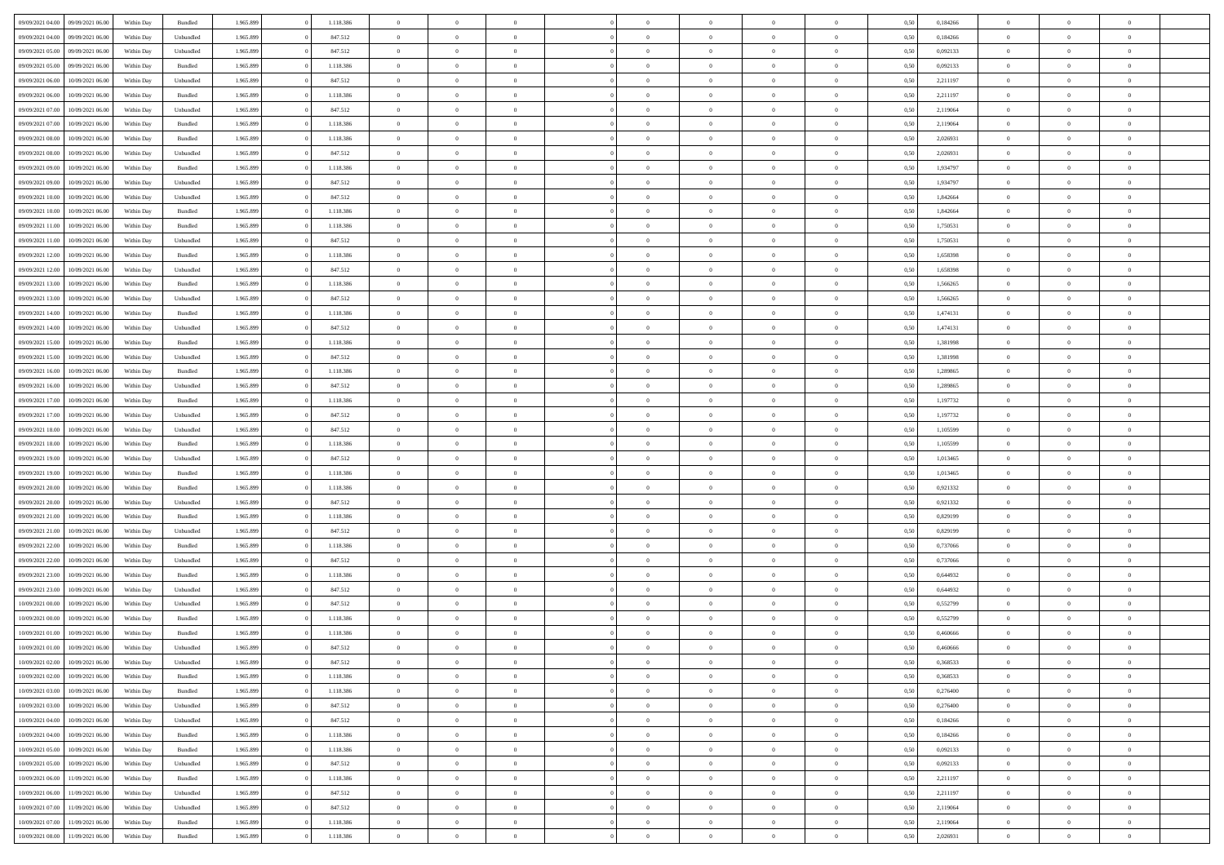| 09/09/2021 04:00 | 09/09/2021 06:00 | Within Day | Bundled   | 1.965.899 | 1.118.386 | $\overline{0}$ | $\Omega$       |                | $\Omega$       | $\Omega$       | $\theta$       | $\theta$       | 0,50 | 0,184266 | $\theta$       | $\theta$       | $\theta$       |  |
|------------------|------------------|------------|-----------|-----------|-----------|----------------|----------------|----------------|----------------|----------------|----------------|----------------|------|----------|----------------|----------------|----------------|--|
|                  |                  |            |           |           |           |                |                |                |                |                |                |                |      |          |                |                |                |  |
| 09/09/2021 04:00 | 09/09/2021 06:00 | Within Day | Unbundled | 1.965.899 | 847.512   | $\overline{0}$ | $\theta$       | $\overline{0}$ | $\overline{0}$ | $\bf{0}$       | $\overline{0}$ | $\bf{0}$       | 0,50 | 0,184266 | $\theta$       | $\theta$       | $\overline{0}$ |  |
| 09/09/2021 05:00 | 09/09/2021 06:00 | Within Day | Unbundled | 1.965.899 | 847.512   | $\overline{0}$ | $\overline{0}$ | $\overline{0}$ | $\bf{0}$       | $\bf{0}$       | $\bf{0}$       | $\bf{0}$       | 0,50 | 0,092133 | $\overline{0}$ | $\overline{0}$ | $\overline{0}$ |  |
| 09/09/2021 05:00 | 09/09/2021 06:00 | Within Dav | Bundled   | 1.965.899 | 1.118.386 | $\overline{0}$ | $\overline{0}$ | $\overline{0}$ | $\overline{0}$ | $\bf{0}$       | $\overline{0}$ | $\overline{0}$ | 0.50 | 0,092133 | $\theta$       | $\theta$       | $\overline{0}$ |  |
| 09/09/2021 06:00 | 10/09/2021 06:00 | Within Day | Unbundled | 1.965.899 | 847.512   | $\overline{0}$ | $\theta$       | $\overline{0}$ | $\overline{0}$ | $\bf{0}$       | $\overline{0}$ | $\bf{0}$       | 0,50 | 2,211197 | $\,$ 0 $\,$    | $\overline{0}$ | $\overline{0}$ |  |
| 09/09/2021 06:00 | 10/09/2021 06:00 | Within Day | Bundled   | 1.965.899 | 1.118.386 | $\overline{0}$ | $\overline{0}$ | $\overline{0}$ | $\bf{0}$       | $\overline{0}$ | $\overline{0}$ | $\mathbf{0}$   | 0,50 | 2,211197 | $\overline{0}$ | $\overline{0}$ | $\bf{0}$       |  |
| 09/09/2021 07:00 | 10/09/2021 06:00 | Within Dav | Unbundled | 1.965.899 | 847.512   | $\overline{0}$ | $\overline{0}$ | $\overline{0}$ | $\overline{0}$ | $\overline{0}$ | $\overline{0}$ | $\overline{0}$ | 0.50 | 2,119064 | $\theta$       | $\overline{0}$ | $\overline{0}$ |  |
|                  |                  |            |           |           |           |                |                |                |                |                |                |                |      |          |                |                |                |  |
| 09/09/2021 07:00 | 10/09/2021 06:00 | Within Day | Bundled   | 1.965.899 | 1.118.386 | $\overline{0}$ | $\theta$       | $\overline{0}$ | $\overline{0}$ | $\bf{0}$       | $\overline{0}$ | $\bf{0}$       | 0,50 | 2,119064 | $\,$ 0 $\,$    | $\theta$       | $\overline{0}$ |  |
| 09/09/2021 08:00 | 10/09/2021 06:00 | Within Day | Bundled   | 1.965.899 | 1.118.386 | $\overline{0}$ | $\overline{0}$ | $\overline{0}$ | $\overline{0}$ | $\bf{0}$       | $\overline{0}$ | $\bf{0}$       | 0,50 | 2,026931 | $\,0\,$        | $\overline{0}$ | $\overline{0}$ |  |
| 09/09/2021 08:00 | 10/09/2021 06:00 | Within Dav | Unbundled | 1.965.899 | 847.512   | $\overline{0}$ | $\overline{0}$ | $\overline{0}$ | $\overline{0}$ | $\overline{0}$ | $\overline{0}$ | $\overline{0}$ | 0.50 | 2,026931 | $\theta$       | $\overline{0}$ | $\overline{0}$ |  |
| 09/09/2021 09:00 | 10/09/2021 06:00 | Within Day | Bundled   | 1.965.899 | 1.118.386 | $\overline{0}$ | $\theta$       | $\overline{0}$ | $\overline{0}$ | $\bf{0}$       | $\overline{0}$ | $\bf{0}$       | 0,50 | 1,934797 | $\,$ 0 $\,$    | $\overline{0}$ | $\overline{0}$ |  |
| 09/09/2021 09:00 | 10/09/2021 06:00 | Within Day | Unbundled | 1.965.899 | 847.512   | $\overline{0}$ | $\overline{0}$ | $\overline{0}$ | $\overline{0}$ | $\bf{0}$       | $\overline{0}$ | $\mathbf{0}$   | 0,50 | 1,934797 | $\overline{0}$ | $\overline{0}$ | $\overline{0}$ |  |
| 09/09/2021 10:00 | 10/09/2021 06:00 | Within Dav | Unbundled | 1.965.899 | 847.512   | $\overline{0}$ | $\overline{0}$ | $\overline{0}$ | $\overline{0}$ | $\bf{0}$       | $\overline{0}$ | $\overline{0}$ | 0.50 | 1.842664 | $\theta$       | $\theta$       | $\overline{0}$ |  |
| 09/09/2021 10:00 | 10/09/2021 06:00 | Within Day | Bundled   | 1.965.899 | 1.118.386 | $\overline{0}$ | $\theta$       | $\overline{0}$ | $\overline{0}$ | $\bf{0}$       | $\overline{0}$ | $\bf{0}$       | 0,50 | 1,842664 | $\theta$       | $\overline{0}$ | $\overline{0}$ |  |
|                  |                  |            |           |           |           |                |                |                |                |                |                |                |      |          |                |                |                |  |
| 09/09/2021 11:00 | 10/09/2021 06:00 | Within Day | Bundled   | 1.965.899 | 1.118.386 | $\overline{0}$ | $\overline{0}$ | $\overline{0}$ | $\overline{0}$ | $\overline{0}$ | $\overline{0}$ | $\mathbf{0}$   | 0,50 | 1,750531 | $\overline{0}$ | $\overline{0}$ | $\bf{0}$       |  |
| 09/09/2021 11:00 | 10/09/2021 06:00 | Within Dav | Unbundled | 1.965.899 | 847.512   | $\overline{0}$ | $\overline{0}$ | $\overline{0}$ | $\overline{0}$ | $\overline{0}$ | $\overline{0}$ | $\overline{0}$ | 0.50 | 1,750531 | $\theta$       | $\overline{0}$ | $\overline{0}$ |  |
| 09/09/2021 12:00 | 10/09/2021 06:00 | Within Day | Bundled   | 1.965.899 | 1.118.386 | $\overline{0}$ | $\theta$       | $\overline{0}$ | $\overline{0}$ | $\bf{0}$       | $\overline{0}$ | $\bf{0}$       | 0,50 | 1,658398 | $\theta$       | $\theta$       | $\overline{0}$ |  |
| 09/09/2021 12:00 | 10/09/2021 06:00 | Within Day | Unbundled | 1.965.899 | 847.512   | $\overline{0}$ | $\overline{0}$ | $\overline{0}$ | $\overline{0}$ | $\bf{0}$       | $\overline{0}$ | $\bf{0}$       | 0,50 | 1,658398 | $\bf{0}$       | $\overline{0}$ | $\overline{0}$ |  |
| 09/09/2021 13:00 | 10/09/2021 06:00 | Within Dav | Bundled   | 1.965.899 | 1.118.386 | $\overline{0}$ | $\overline{0}$ | $\overline{0}$ | $\overline{0}$ | $\overline{0}$ | $\overline{0}$ | $\overline{0}$ | 0.50 | 1,566265 | $\theta$       | $\overline{0}$ | $\overline{0}$ |  |
| 09/09/2021 13:00 | 10/09/2021 06:00 | Within Day | Unbundled | 1.965.899 | 847.512   | $\overline{0}$ | $\theta$       | $\overline{0}$ | $\overline{0}$ | $\bf{0}$       | $\overline{0}$ | $\bf{0}$       | 0,50 | 1,566265 | $\,$ 0 $\,$    | $\theta$       | $\overline{0}$ |  |
| 09/09/2021 14:00 | 10/09/2021 06:00 | Within Day | Bundled   | 1.965.899 | 1.118.386 | $\overline{0}$ | $\overline{0}$ | $\overline{0}$ | $\overline{0}$ | $\bf{0}$       | $\overline{0}$ | $\bf{0}$       | 0,50 | 1,474131 | $\bf{0}$       | $\overline{0}$ | $\overline{0}$ |  |
| 09/09/2021 14:00 | 10/09/2021 06:00 | Within Day | Unbundled | 1.965.899 | 847.512   | $\overline{0}$ | $\overline{0}$ | $\overline{0}$ | $\overline{0}$ | $\bf{0}$       | $\overline{0}$ | $\overline{0}$ | 0.50 | 1,474131 | $\theta$       | $\overline{0}$ | $\overline{0}$ |  |
|                  |                  |            |           |           |           | $\overline{0}$ | $\theta$       | $\overline{0}$ | $\overline{0}$ | $\bf{0}$       | $\overline{0}$ |                |      |          | $\,$ 0 $\,$    | $\overline{0}$ | $\overline{0}$ |  |
| 09/09/2021 15:00 | 10/09/2021 06:00 | Within Day | Bundled   | 1.965.899 | 1.118.386 |                |                |                |                |                |                | $\bf{0}$       | 0,50 | 1,381998 |                |                |                |  |
| 09/09/2021 15:00 | 10/09/2021 06:00 | Within Day | Unbundled | 1.965.899 | 847.512   | $\overline{0}$ | $\bf{0}$       | $\overline{0}$ | $\bf{0}$       | $\overline{0}$ | $\overline{0}$ | $\mathbf{0}$   | 0,50 | 1,381998 | $\overline{0}$ | $\overline{0}$ | $\bf{0}$       |  |
| 09/09/2021 16:00 | 10/09/2021 06:00 | Within Dav | Bundled   | 1.965.899 | 1.118.386 | $\overline{0}$ | $\overline{0}$ | $\overline{0}$ | $\overline{0}$ | $\overline{0}$ | $\overline{0}$ | $\overline{0}$ | 0.50 | 1,289865 | $\theta$       | $\overline{0}$ | $\overline{0}$ |  |
| 09/09/2021 16:00 | 10/09/2021 06:00 | Within Day | Unbundled | 1.965.899 | 847.512   | $\overline{0}$ | $\theta$       | $\overline{0}$ | $\overline{0}$ | $\bf{0}$       | $\overline{0}$ | $\bf{0}$       | 0,50 | 1,289865 | $\theta$       | $\theta$       | $\overline{0}$ |  |
| 09/09/2021 17:00 | 10/09/2021 06:00 | Within Day | Bundled   | 1.965.899 | 1.118.386 | $\overline{0}$ | $\overline{0}$ | $\overline{0}$ | $\bf{0}$       | $\bf{0}$       | $\bf{0}$       | $\bf{0}$       | 0,50 | 1,197732 | $\,0\,$        | $\overline{0}$ | $\overline{0}$ |  |
| 09/09/2021 17:00 | 10/09/2021 06:00 | Within Day | Unbundled | 1.965.899 | 847.512   | $\overline{0}$ | $\overline{0}$ | $\overline{0}$ | $\overline{0}$ | $\overline{0}$ | $\overline{0}$ | $\overline{0}$ | 0.50 | 1,197732 | $\theta$       | $\overline{0}$ | $\overline{0}$ |  |
| 09/09/2021 18:00 | 10/09/2021 06:00 | Within Day | Unbundled | 1.965.899 | 847.512   | $\overline{0}$ | $\theta$       | $\overline{0}$ | $\overline{0}$ | $\bf{0}$       | $\overline{0}$ | $\bf{0}$       | 0,50 | 1,105599 | $\,$ 0 $\,$    | $\overline{0}$ | $\overline{0}$ |  |
| 09/09/2021 18:00 | 10/09/2021 06:00 | Within Day | Bundled   | 1.965.899 | 1.118.386 | $\overline{0}$ | $\overline{0}$ | $\overline{0}$ | $\bf{0}$       | $\bf{0}$       | $\bf{0}$       | $\bf{0}$       | 0,50 | 1,105599 | $\overline{0}$ | $\overline{0}$ | $\overline{0}$ |  |
|                  |                  |            |           |           |           |                |                |                |                |                |                |                |      |          |                |                |                |  |
| 09/09/2021 19:00 | 10/09/2021 06:00 | Within Day | Unbundled | 1.965.899 | 847.512   | $\overline{0}$ | $\Omega$       | $\overline{0}$ | $\Omega$       | $\Omega$       | $\Omega$       | $\overline{0}$ | 0,50 | 1,013465 | $\,0\,$        | $\theta$       | $\theta$       |  |
| 09/09/2021 19:00 | 10/09/2021 06:00 | Within Day | Bundled   | 1.965.899 | 1.118.386 | $\overline{0}$ | $\theta$       | $\overline{0}$ | $\overline{0}$ | $\bf{0}$       | $\overline{0}$ | $\bf{0}$       | 0,50 | 1,013465 | $\,$ 0 $\,$    | $\theta$       | $\overline{0}$ |  |
| 09/09/2021 20:00 | 10/09/2021 06:00 | Within Day | Bundled   | 1.965.899 | 1.118.386 | $\overline{0}$ | $\overline{0}$ | $\overline{0}$ | $\bf{0}$       | $\bf{0}$       | $\overline{0}$ | $\mathbf{0}$   | 0,50 | 0,921332 | $\overline{0}$ | $\overline{0}$ | $\bf{0}$       |  |
| 09/09/2021 20:00 | 10/09/2021 06:00 | Within Day | Unbundled | 1.965.899 | 847.512   | $\overline{0}$ | $\Omega$       | $\Omega$       | $\Omega$       | $\bf{0}$       | $\overline{0}$ | $\overline{0}$ | 0.50 | 0,921332 | $\,0\,$        | $\theta$       | $\theta$       |  |
| 09/09/2021 21:00 | 10/09/2021 06:00 | Within Day | Bundled   | 1.965.899 | 1.118.386 | $\overline{0}$ | $\theta$       | $\overline{0}$ | $\overline{0}$ | $\bf{0}$       | $\overline{0}$ | $\bf{0}$       | 0,50 | 0,829199 | $\,$ 0 $\,$    | $\theta$       | $\overline{0}$ |  |
| 09/09/2021 21.00 | 10/09/2021 06:00 | Within Day | Unbundled | 1.965.899 | 847.512   | $\overline{0}$ | $\overline{0}$ | $\overline{0}$ | $\bf{0}$       | $\bf{0}$       | $\bf{0}$       | $\bf{0}$       | 0,50 | 0,829199 | $\bf{0}$       | $\overline{0}$ | $\overline{0}$ |  |
| 09/09/2021 22.00 | 10/09/2021 06:00 | Within Day | Bundled   | 1.965.899 | 1.118.386 | $\overline{0}$ | $\Omega$       | $\overline{0}$ | $\Omega$       | $\theta$       | $\overline{0}$ | $\overline{0}$ | 0.50 | 0,737066 | $\theta$       | $\theta$       | $\theta$       |  |
| 09/09/2021 22.00 | 10/09/2021 06:00 | Within Day | Unbundled | 1.965.899 | 847.512   | $\overline{0}$ | $\theta$       | $\overline{0}$ | $\overline{0}$ | $\bf{0}$       | $\overline{0}$ | $\bf{0}$       | 0,50 | 0,737066 | $\,$ 0 $\,$    | $\overline{0}$ | $\overline{0}$ |  |
|                  |                  |            |           |           |           |                |                |                |                |                |                |                |      |          |                |                |                |  |
| 09/09/2021 23.00 | 10/09/2021 06:00 | Within Day | Bundled   | 1.965.899 | 1.118.386 | $\overline{0}$ | $\overline{0}$ | $\overline{0}$ | $\bf{0}$       | $\bf{0}$       | $\bf{0}$       | $\bf{0}$       | 0,50 | 0,644932 | $\overline{0}$ | $\overline{0}$ | $\overline{0}$ |  |
| 09/09/2021 23:00 | 10/09/2021 06:00 | Within Day | Unbundled | 1.965.899 | 847.512   | $\overline{0}$ | $\Omega$       | $\overline{0}$ | $\Omega$       | $\Omega$       | $\overline{0}$ | $\overline{0}$ | 0,50 | 0.644932 | $\,0\,$        | $\theta$       | $\theta$       |  |
| 10/09/2021 00:00 | 10/09/2021 06:00 | Within Day | Unbundled | 1.965.899 | 847.512   | $\overline{0}$ | $\theta$       | $\overline{0}$ | $\overline{0}$ | $\bf{0}$       | $\overline{0}$ | $\bf{0}$       | 0,50 | 0,552799 | $\,$ 0 $\,$    | $\overline{0}$ | $\overline{0}$ |  |
| 10/09/2021 00:00 | 10/09/2021 06:00 | Within Day | Bundled   | 1.965.899 | 1.118.386 | $\overline{0}$ | $\overline{0}$ | $\overline{0}$ | $\bf{0}$       | $\bf{0}$       | $\overline{0}$ | $\mathbf{0}$   | 0,50 | 0,552799 | $\overline{0}$ | $\overline{0}$ | $\bf{0}$       |  |
| 10/09/2021 01:00 | 10/09/2021 06:00 | Within Day | Bundled   | 1.965.899 | 1.118.386 | $\overline{0}$ | $\Omega$       | $\Omega$       | $\Omega$       | $\Omega$       | $\Omega$       | $\overline{0}$ | 0.50 | 0.460666 | $\theta$       | $\theta$       | $\theta$       |  |
| 10/09/2021 01:00 | 10/09/2021 06:00 | Within Day | Unbundled | 1.965.899 | 847.512   | $\overline{0}$ | $\overline{0}$ | $\overline{0}$ | $\bf{0}$       | $\,$ 0         | $\overline{0}$ | $\bf{0}$       | 0,50 | 0,460666 | $\,0\,$        | $\,$ 0 $\,$    | $\overline{0}$ |  |
| 10/09/2021 02:00 | 10/09/2021 06:00 | Within Day | Unbundled | 1.965.899 | 847.512   | $\bf{0}$       | $\bf{0}$       |                |                |                |                |                | 0,50 | 0,368533 | $\bf{0}$       | $\overline{0}$ |                |  |
| 10/09/2021 02:00 | 10/09/2021 06:00 | Within Day | Bundled   | 1.965.899 | 1.118.386 | $\overline{0}$ | $\overline{0}$ | $\overline{0}$ | $\Omega$       | $\overline{0}$ | $\overline{0}$ | $\overline{0}$ | 0,50 | 0.368533 | $\theta$       | $\theta$       | $\Omega$       |  |
| 10/09/2021 03:00 | 10/09/2021 06:00 | Within Day | Bundled   | 1.965.899 | 1.118.386 | $\overline{0}$ | $\bf{0}$       | $\overline{0}$ | $\overline{0}$ | $\,$ 0 $\,$    | $\overline{0}$ | $\,$ 0 $\,$    | 0,50 | 0,276400 | $\,$ 0 $\,$    | $\,$ 0 $\,$    | $\,$ 0         |  |
|                  |                  |            |           |           |           |                |                |                |                |                |                |                |      |          |                |                |                |  |
| 10/09/2021 03:00 | 10/09/2021 06:00 | Within Day | Unbundled | 1.965.899 | 847.512   | $\overline{0}$ | $\overline{0}$ | $\overline{0}$ | $\overline{0}$ | $\overline{0}$ | $\overline{0}$ | $\mathbf{0}$   | 0,50 | 0,276400 | $\overline{0}$ | $\bf{0}$       | $\overline{0}$ |  |
| 10/09/2021 04:00 | 10/09/2021 06:00 | Within Day | Unbundled | 1.965.899 | 847.512   | $\overline{0}$ | $\overline{0}$ | $\overline{0}$ | $\Omega$       | $\overline{0}$ | $\overline{0}$ | $\overline{0}$ | 0,50 | 0,184266 | $\overline{0}$ | $\overline{0}$ | $\overline{0}$ |  |
| 10/09/2021 04:00 | 10/09/2021 06:00 | Within Day | Bundled   | 1.965.899 | 1.118.386 | $\overline{0}$ | $\,$ 0         | $\overline{0}$ | $\overline{0}$ | $\,$ 0 $\,$    | $\overline{0}$ | $\mathbf{0}$   | 0,50 | 0,184266 | $\,$ 0 $\,$    | $\overline{0}$ | $\overline{0}$ |  |
| 10/09/2021 05:00 | 10/09/2021 06:00 | Within Day | Bundled   | 1.965.899 | 1.118.386 | $\overline{0}$ | $\overline{0}$ | $\overline{0}$ | $\overline{0}$ | $\overline{0}$ | $\overline{0}$ | $\mathbf{0}$   | 0,50 | 0,092133 | $\overline{0}$ | $\overline{0}$ | $\bf{0}$       |  |
| 10/09/2021 05:00 | 10/09/2021 06:00 | Within Day | Unbundled | 1.965.899 | 847.512   | $\overline{0}$ | $\overline{0}$ | $\overline{0}$ | $\overline{0}$ | $\overline{0}$ | $\overline{0}$ | $\bf{0}$       | 0.50 | 0,092133 | $\overline{0}$ | $\theta$       | $\overline{0}$ |  |
| 10/09/2021 06:00 | 11/09/2021 06:00 | Within Day | Bundled   | 1.965.899 | 1.118.386 | $\overline{0}$ | $\,$ 0         | $\overline{0}$ | $\overline{0}$ | $\bf{0}$       | $\overline{0}$ | $\bf{0}$       | 0,50 | 2,211197 | $\,$ 0 $\,$    | $\overline{0}$ | $\overline{0}$ |  |
| 10/09/2021 06:00 | 11/09/2021 06:00 | Within Day | Unbundled | 1.965.899 | 847.512   | $\overline{0}$ | $\bf{0}$       | $\overline{0}$ | $\overline{0}$ | $\overline{0}$ | $\overline{0}$ | $\mathbf{0}$   | 0,50 | 2,211197 | $\overline{0}$ | $\overline{0}$ | $\bf{0}$       |  |
|                  |                  |            |           |           |           |                |                |                |                |                |                |                |      |          |                |                |                |  |
| 10/09/2021 07:00 | 11/09/2021 06:00 | Within Day | Unbundled | 1.965.899 | 847.512   | $\overline{0}$ | $\overline{0}$ | $\overline{0}$ | $\Omega$       | $\overline{0}$ | $\overline{0}$ | $\overline{0}$ | 0.50 | 2,119064 | $\overline{0}$ | $\overline{0}$ | $\overline{0}$ |  |
| 10/09/2021 07:00 | 11/09/2021 06:00 | Within Day | Bundled   | 1.965.899 | 1.118.386 | $\overline{0}$ | $\bf{0}$       | $\overline{0}$ | $\bf{0}$       | $\bf{0}$       | $\overline{0}$ | $\mathbf{0}$   | 0,50 | 2,119064 | $\,$ 0 $\,$    | $\,$ 0 $\,$    | $\bf{0}$       |  |
| 10/09/2021 08:00 | 11/09/2021 06:00 | Within Day | Bundled   | 1.965.899 | 1.118.386 | $\overline{0}$ | $\overline{0}$ | $\overline{0}$ | $\overline{0}$ | $\overline{0}$ | $\overline{0}$ | $\mathbf{0}$   | 0,50 | 2,026931 | $\overline{0}$ | $\bf{0}$       | $\bf{0}$       |  |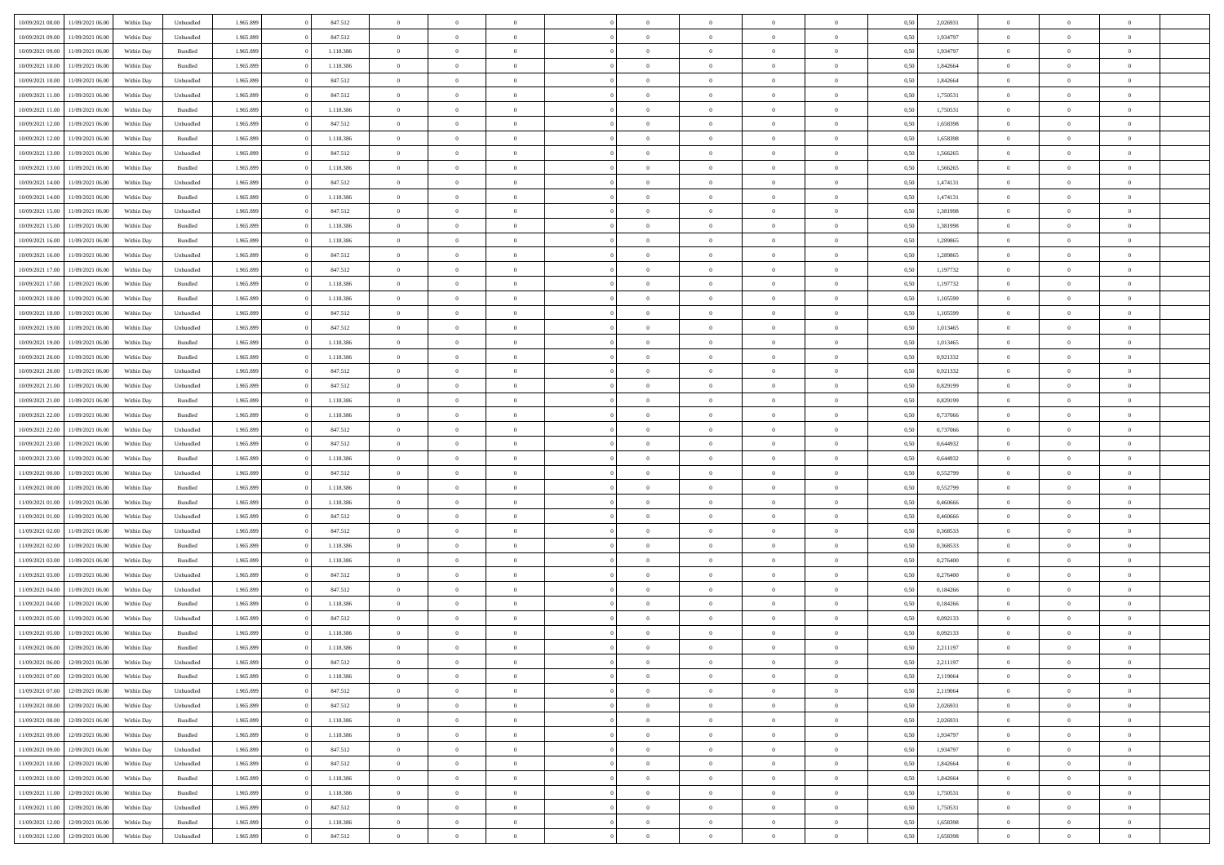|                                   |                  |            |           |           |           | $\overline{0}$ |                |                |                | $\Omega$       | $\theta$       | $\theta$       |      |          | $\theta$       | $\overline{0}$ | $\theta$       |  |
|-----------------------------------|------------------|------------|-----------|-----------|-----------|----------------|----------------|----------------|----------------|----------------|----------------|----------------|------|----------|----------------|----------------|----------------|--|
| 10/09/2021 08:00                  | 11/09/2021 06:00 | Within Day | Unbundled | 1.965.899 | 847.512   |                | $\theta$       |                | $\Omega$       |                |                |                | 0,50 | 2,026931 |                |                |                |  |
| 10/09/2021 09:00                  | 11/09/2021 06:00 | Within Day | Unbundled | 1.965.899 | 847.512   | $\overline{0}$ | $\theta$       | $\overline{0}$ | $\overline{0}$ | $\bf{0}$       | $\overline{0}$ | $\bf{0}$       | 0,50 | 1,934797 | $\theta$       | $\overline{0}$ | $\overline{0}$ |  |
| 10/09/2021 09:00                  | 11/09/2021 06:00 | Within Day | Bundled   | 1.965.899 | 1.118.386 | $\overline{0}$ | $\overline{0}$ | $\overline{0}$ | $\overline{0}$ | $\bf{0}$       | $\bf{0}$       | $\mathbf{0}$   | 0,50 | 1,934797 | $\overline{0}$ | $\overline{0}$ | $\bf{0}$       |  |
| 10/09/2021 10:00                  | 11/09/2021 06:00 | Within Dav | Bundled   | 1.965.899 | 1.118.386 | $\overline{0}$ | $\overline{0}$ | $\overline{0}$ | $\overline{0}$ | $\bf{0}$       | $\overline{0}$ | $\overline{0}$ | 0.50 | 1.842664 | $\theta$       | $\theta$       | $\overline{0}$ |  |
|                                   |                  |            |           |           |           | $\overline{0}$ | $\theta$       | $\overline{0}$ | $\overline{0}$ | $\bf{0}$       | $\overline{0}$ |                |      |          | $\,$ 0 $\,$    | $\overline{0}$ | $\overline{0}$ |  |
| 10/09/2021 10:00                  | 11/09/2021 06:00 | Within Day | Unbundled | 1.965.899 | 847.512   |                |                |                |                |                |                | $\bf{0}$       | 0,50 | 1,842664 |                |                |                |  |
| 10/09/2021 11:00                  | 11/09/2021 06:00 | Within Day | Unbundled | 1.965.899 | 847.512   | $\overline{0}$ | $\overline{0}$ | $\overline{0}$ | $\bf{0}$       | $\overline{0}$ | $\overline{0}$ | $\mathbf{0}$   | 0,50 | 1,750531 | $\overline{0}$ | $\overline{0}$ | $\bf{0}$       |  |
| 10/09/2021 11:00                  | 11/09/2021 06:00 | Within Dav | Bundled   | 1.965.899 | 1.118.386 | $\overline{0}$ | $\overline{0}$ | $\overline{0}$ | $\overline{0}$ | $\overline{0}$ | $\overline{0}$ | $\overline{0}$ | 0.50 | 1,750531 | $\theta$       | $\overline{0}$ | $\overline{0}$ |  |
| 10/09/2021 12:00                  | 11/09/2021 06:00 | Within Day | Unbundled | 1.965.899 | 847.512   | $\overline{0}$ | $\theta$       | $\overline{0}$ | $\overline{0}$ | $\bf{0}$       | $\overline{0}$ | $\bf{0}$       | 0,50 | 1,658398 | $\theta$       | $\theta$       | $\overline{0}$ |  |
| 10/09/2021 12:00                  | 11/09/2021 06:00 | Within Day | Bundled   | 1.965.899 | 1.118.386 | $\overline{0}$ | $\overline{0}$ | $\overline{0}$ | $\bf{0}$       | $\bf{0}$       | $\bf{0}$       | $\mathbf{0}$   | 0,50 | 1,658398 | $\,0\,$        | $\overline{0}$ | $\overline{0}$ |  |
|                                   |                  |            |           |           |           |                | $\overline{0}$ |                |                | $\overline{0}$ |                |                |      |          | $\theta$       | $\overline{0}$ | $\overline{0}$ |  |
| 10/09/2021 13:00                  | 11/09/2021 06:00 | Within Dav | Unbundled | 1.965.899 | 847.512   | $\overline{0}$ |                | $\overline{0}$ | $\overline{0}$ |                | $\overline{0}$ | $\overline{0}$ | 0.50 | 1,566265 |                |                |                |  |
| 10/09/2021 13:00                  | 11/09/2021 06:00 | Within Day | Bundled   | 1.965.899 | 1.118.386 | $\overline{0}$ | $\theta$       | $\overline{0}$ | $\overline{0}$ | $\bf{0}$       | $\overline{0}$ | $\bf{0}$       | 0,50 | 1,566265 | $\,$ 0 $\,$    | $\overline{0}$ | $\overline{0}$ |  |
| 10/09/2021 14:00                  | 11/09/2021 06:00 | Within Day | Unbundled | 1.965.899 | 847.512   | $\overline{0}$ | $\overline{0}$ | $\overline{0}$ | $\bf{0}$       | $\bf{0}$       | $\bf{0}$       | $\mathbf{0}$   | 0,50 | 1,474131 | $\overline{0}$ | $\overline{0}$ | $\bf{0}$       |  |
| 10/09/2021 14:00                  | 11/09/2021 06:00 | Within Day | Bundled   | 1.965.899 | 1.118.386 | $\overline{0}$ | $\overline{0}$ | $\overline{0}$ | $\overline{0}$ | $\overline{0}$ | $\overline{0}$ | $\overline{0}$ | 0.50 | 1,474131 | $\theta$       | $\theta$       | $\overline{0}$ |  |
| 10/09/2021 15:00                  | 11/09/2021 06:00 | Within Day | Unbundled | 1.965.899 | 847.512   | $\overline{0}$ | $\theta$       | $\overline{0}$ | $\overline{0}$ | $\bf{0}$       | $\overline{0}$ | $\bf{0}$       | 0,50 | 1,381998 | $\theta$       | $\overline{0}$ | $\overline{0}$ |  |
|                                   |                  |            |           |           |           |                |                |                |                |                |                |                |      |          |                |                |                |  |
| 10/09/2021 15:00                  | 11/09/2021 06:00 | Within Day | Bundled   | 1.965.899 | 1.118.386 | $\overline{0}$ | $\overline{0}$ | $\overline{0}$ | $\bf{0}$       | $\overline{0}$ | $\overline{0}$ | $\mathbf{0}$   | 0,50 | 1,381998 | $\overline{0}$ | $\overline{0}$ | $\bf{0}$       |  |
| 10/09/2021 16:00                  | 11/09/2021 06:00 | Within Dav | Bundled   | 1.965.899 | 1.118.386 | $\overline{0}$ | $\overline{0}$ | $\overline{0}$ | $\overline{0}$ | $\overline{0}$ | $\overline{0}$ | $\overline{0}$ | 0.50 | 1,289865 | $\overline{0}$ | $\overline{0}$ | $\overline{0}$ |  |
| 10/09/2021 16:00                  | 11/09/2021 06:00 | Within Day | Unbundled | 1.965.899 | 847.512   | $\overline{0}$ | $\theta$       | $\overline{0}$ | $\overline{0}$ | $\bf{0}$       | $\overline{0}$ | $\bf{0}$       | 0,50 | 1,289865 | $\,$ 0 $\,$    | $\overline{0}$ | $\overline{0}$ |  |
| 10/09/2021 17:00                  | 11/09/2021 06:00 | Within Day | Unbundled | 1.965.899 | 847.512   | $\overline{0}$ | $\overline{0}$ | $\overline{0}$ | $\bf{0}$       | $\bf{0}$       | $\bf{0}$       | $\mathbf{0}$   | 0,50 | 1,197732 | $\bf{0}$       | $\overline{0}$ | $\bf{0}$       |  |
| 10/09/2021 17:00                  | 11/09/2021 06:00 | Within Dav | Bundled   | 1.965.899 | 1.118.386 | $\overline{0}$ | $\overline{0}$ | $\overline{0}$ | $\overline{0}$ | $\overline{0}$ | $\overline{0}$ | $\overline{0}$ | 0.50 | 1,197732 | $\theta$       | $\overline{0}$ | $\overline{0}$ |  |
| 10/09/2021 18:00                  | 11/09/2021 06:00 | Within Day | Bundled   | 1.965.899 | 1.118.386 | $\overline{0}$ | $\theta$       | $\overline{0}$ | $\overline{0}$ | $\bf{0}$       | $\overline{0}$ | $\bf{0}$       | 0,50 | 1,105599 | $\,$ 0 $\,$    | $\overline{0}$ | $\overline{0}$ |  |
|                                   |                  |            |           |           |           |                |                |                |                |                |                |                |      |          |                |                |                |  |
| 10/09/2021 18:00                  | 11/09/2021 06:00 | Within Day | Unbundled | 1.965.899 | 847.512   | $\overline{0}$ | $\overline{0}$ | $\overline{0}$ | $\bf{0}$       | $\bf{0}$       | $\bf{0}$       | $\mathbf{0}$   | 0,50 | 1,105599 | $\overline{0}$ | $\overline{0}$ | $\bf{0}$       |  |
| 10/09/2021 19:00                  | 11/09/2021 06:00 | Within Day | Unbundled | 1.965.899 | 847.512   | $\overline{0}$ | $\overline{0}$ | $\overline{0}$ | $\overline{0}$ | $\overline{0}$ | $\overline{0}$ | $\overline{0}$ | 0.50 | 1,013465 | $\theta$       | $\overline{0}$ | $\overline{0}$ |  |
| 10/09/2021 19:00                  | 11/09/2021 06:00 | Within Day | Bundled   | 1.965.899 | 1.118.386 | $\overline{0}$ | $\theta$       | $\overline{0}$ | $\overline{0}$ | $\bf{0}$       | $\overline{0}$ | $\bf{0}$       | 0,50 | 1,013465 | $\,$ 0 $\,$    | $\overline{0}$ | $\overline{0}$ |  |
| 10/09/2021 20:00                  | 11/09/2021 06:00 | Within Day | Bundled   | 1.965.899 | 1.118.386 | $\overline{0}$ | $\overline{0}$ | $\overline{0}$ | $\overline{0}$ | $\overline{0}$ | $\overline{0}$ | $\mathbf{0}$   | 0,50 | 0,921332 | $\overline{0}$ | $\overline{0}$ | $\bf{0}$       |  |
| 10/09/2021 20:00                  | 11/09/2021 06:00 | Within Dav | Unbundled | 1.965.899 | 847.512   | $\overline{0}$ | $\overline{0}$ | $\overline{0}$ | $\overline{0}$ | $\overline{0}$ | $\overline{0}$ | $\overline{0}$ | 0.50 | 0.921332 | $\overline{0}$ | $\overline{0}$ | $\overline{0}$ |  |
| 10/09/2021 21:00                  | 11/09/2021 06:00 | Within Day | Unbundled | 1.965.899 | 847.512   | $\overline{0}$ | $\theta$       | $\overline{0}$ | $\overline{0}$ | $\bf{0}$       | $\overline{0}$ | $\bf{0}$       | 0,50 | 0,829199 | $\,$ 0 $\,$    | $\overline{0}$ | $\overline{0}$ |  |
| 10/09/2021 21:00                  | 11/09/2021 06:00 | Within Day | Bundled   | 1.965.899 | 1.118.386 | $\overline{0}$ | $\overline{0}$ | $\overline{0}$ | $\overline{0}$ | $\bf{0}$       | $\overline{0}$ | $\mathbf{0}$   | 0,50 | 0,829199 | $\,0\,$        | $\overline{0}$ | $\bf{0}$       |  |
|                                   |                  |            |           |           |           |                |                |                |                |                |                |                |      |          |                |                |                |  |
| 10/09/2021 22:00                  | 11/09/2021 06:00 | Within Day | Bundled   | 1.965.899 | 1.118.386 | $\overline{0}$ | $\overline{0}$ | $\overline{0}$ | $\overline{0}$ | $\overline{0}$ | $\overline{0}$ | $\overline{0}$ | 0.50 | 0,737066 | $\theta$       | $\overline{0}$ | $\overline{0}$ |  |
| 10/09/2021 22:00                  | 11/09/2021 06:00 | Within Day | Unbundled | 1.965.899 | 847.512   | $\overline{0}$ | $\overline{0}$ | $\overline{0}$ | $\overline{0}$ | $\bf{0}$       | $\overline{0}$ | $\bf{0}$       | 0,50 | 0,737066 | $\,$ 0 $\,$    | $\overline{0}$ | $\overline{0}$ |  |
| 10/09/2021 23:00                  | 11/09/2021 06:00 | Within Day | Unbundled | 1.965.899 | 847.512   | $\overline{0}$ | $\overline{0}$ | $\overline{0}$ | $\overline{0}$ | $\bf{0}$       | $\overline{0}$ | $\bf{0}$       | 0,50 | 0,644932 | $\overline{0}$ | $\overline{0}$ | $\bf{0}$       |  |
| 10/09/2021 23:00                  | 11/09/2021 06.00 | Within Day | Bundled   | 1.965.899 | 1.118.386 | $\overline{0}$ | $\Omega$       | $\overline{0}$ | $\Omega$       | $\bf{0}$       | $\overline{0}$ | $\overline{0}$ | 0,50 | 0.644932 | $\,0\,$        | $\theta$       | $\theta$       |  |
| 11/09/2021 00:00                  | 11/09/2021 06:00 | Within Day | Unbundled | 1.965.899 | 847.512   | $\overline{0}$ | $\theta$       | $\overline{0}$ | $\overline{0}$ | $\bf{0}$       | $\overline{0}$ | $\bf{0}$       | 0,50 | 0,552799 | $\,$ 0 $\,$    | $\overline{0}$ | $\overline{0}$ |  |
| 11/09/2021 00:00                  | 11/09/2021 06:00 | Within Day | Bundled   | 1.965.899 | 1.118.386 | $\overline{0}$ | $\overline{0}$ | $\overline{0}$ | $\overline{0}$ | $\overline{0}$ | $\overline{0}$ | $\mathbf{0}$   | 0,50 | 0,552799 | $\overline{0}$ | $\overline{0}$ | $\bf{0}$       |  |
|                                   |                  |            |           |           |           |                | $\Omega$       |                |                |                |                |                |      |          |                |                | $\theta$       |  |
| 11/09/2021 01:00                  | 11/09/2021 06:00 | Within Day | Bundled   | 1.965.899 | 1.118.386 | $\overline{0}$ |                | $\Omega$       | $\Omega$       | $\overline{0}$ | $\overline{0}$ | $\overline{0}$ | 0.50 | 0.460666 | $\,0\,$        | $\theta$       |                |  |
| 11/09/2021 01:00                  | 11/09/2021 06:00 | Within Day | Unbundled | 1.965.899 | 847.512   | $\overline{0}$ | $\theta$       | $\overline{0}$ | $\overline{0}$ | $\bf{0}$       | $\overline{0}$ | $\bf{0}$       | 0,50 | 0,460666 | $\,$ 0 $\,$    | $\overline{0}$ | $\overline{0}$ |  |
| 11/09/2021 02:00                  | 11/09/2021 06:00 | Within Day | Unbundled | 1.965.899 | 847.512   | $\overline{0}$ | $\overline{0}$ | $\overline{0}$ | $\overline{0}$ | $\bf{0}$       | $\overline{0}$ | $\mathbf{0}$   | 0,50 | 0,368533 | $\bf{0}$       | $\overline{0}$ | $\bf{0}$       |  |
| 11/09/2021 02:00                  | 11/09/2021 06:00 | Within Day | Bundled   | 1.965.899 | 1.118.386 | $\overline{0}$ | $\Omega$       | $\overline{0}$ | $\Omega$       | $\overline{0}$ | $\overline{0}$ | $\overline{0}$ | 0.50 | 0.368533 | $\,$ 0 $\,$    | $\theta$       | $\theta$       |  |
| 11/09/2021 03:00                  | 11/09/2021 06:00 | Within Day | Bundled   | 1.965.899 | 1.118.386 | $\overline{0}$ | $\overline{0}$ | $\overline{0}$ | $\overline{0}$ | $\,$ 0         | $\overline{0}$ | $\bf{0}$       | 0,50 | 0,276400 | $\,$ 0 $\,$    | $\overline{0}$ | $\overline{0}$ |  |
| 11/09/2021 03:00                  | 11/09/2021 06:00 | Within Day | Unbundled | 1.965.899 | 847.512   | $\overline{0}$ | $\overline{0}$ | $\overline{0}$ | $\bf{0}$       | $\bf{0}$       | $\bf{0}$       | $\mathbf{0}$   | 0,50 | 0,276400 | $\overline{0}$ | $\overline{0}$ | $\bf{0}$       |  |
|                                   |                  |            |           |           |           |                |                |                |                |                |                |                |      |          |                |                |                |  |
| 11/09/2021 04:00                  | 11/09/2021 06.00 | Within Day | Unbundled | 1.965.899 | 847.512   | $\overline{0}$ | $\Omega$       | $\overline{0}$ | $\Omega$       | $\overline{0}$ | $\overline{0}$ | $\overline{0}$ | 0,50 | 0,184266 | $\,0\,$        | $\theta$       | $\theta$       |  |
| 11/09/2021 04:00                  | 11/09/2021 06:00 | Within Day | Bundled   | 1.965.899 | 1.118.386 | $\overline{0}$ | $\overline{0}$ | $\overline{0}$ | $\overline{0}$ | $\,$ 0         | $\overline{0}$ | $\bf{0}$       | 0,50 | 0,184266 | $\,$ 0 $\,$    | $\overline{0}$ | $\overline{0}$ |  |
| 11/09/2021 05:00                  | 11/09/2021 06:00 | Within Day | Unbundled | 1.965.899 | 847.512   | $\overline{0}$ | $\overline{0}$ | $\overline{0}$ | $\bf{0}$       | $\bf{0}$       | $\overline{0}$ | $\mathbf{0}$   | 0,50 | 0,092133 | $\overline{0}$ | $\overline{0}$ | $\bf{0}$       |  |
| 11/09/2021 05:00                  | 11/09/2021 06:00 | Within Day | Bundled   | 1.965.899 | 1.118.386 | $\overline{0}$ | $\Omega$       | $\Omega$       | $\Omega$       | $\Omega$       | $\Omega$       | $\overline{0}$ | 0.50 | 0.092133 | $\theta$       | $\theta$       | $\theta$       |  |
| 11/09/2021 06:00                  | 12/09/2021 06:00 | Within Day | Bundled   | 1.965.899 | 1.118.386 | $\overline{0}$ | $\overline{0}$ | $\bf{0}$       | $\bf{0}$       | $\,$ 0         | $\bf{0}$       | $\bf{0}$       | 0,50 | 2,211197 | $\,0\,$        | $\,$ 0 $\,$    | $\overline{0}$ |  |
| 11/09/2021 06:00                  | 12/09/2021 06:00 | Within Day | Unbundled | 1.965.899 | 847.512   | $\bf{0}$       | $\bf{0}$       |                |                | $\bf{0}$       |                |                | 0,50 | 2,211197 | $\bf{0}$       | $\overline{0}$ |                |  |
|                                   |                  |            |           |           |           |                |                |                | $\Omega$       |                |                |                |      |          | $\theta$       |                | $\theta$       |  |
| 11/09/2021 07:00                  | 12/09/2021 06:00 | Within Day | Bundled   | 1.965.899 | 1.118.386 | $\overline{0}$ | $\overline{0}$ | $\overline{0}$ |                | $\overline{0}$ | $\overline{0}$ | $\overline{0}$ | 0,50 | 2,119064 |                | $\theta$       |                |  |
| 11/09/2021 07:00                  | 12/09/2021 06:00 | Within Day | Unbundled | 1.965.899 | 847.512   | $\overline{0}$ | $\,$ 0         | $\overline{0}$ | $\bf{0}$       | $\,$ 0 $\,$    | $\overline{0}$ | $\,$ 0 $\,$    | 0,50 | 2,119064 | $\,$ 0 $\,$    | $\,$ 0 $\,$    | $\,$ 0         |  |
| 11/09/2021 08:00                  | 12/09/2021 06:00 | Within Day | Unbundled | 1.965.899 | 847.512   | $\overline{0}$ | $\overline{0}$ | $\overline{0}$ | $\overline{0}$ | $\overline{0}$ | $\overline{0}$ | $\mathbf{0}$   | 0,50 | 2,026931 | $\overline{0}$ | $\bf{0}$       | $\overline{0}$ |  |
| 11/09/2021 08:00                  | 12/09/2021 06:00 | Within Day | Bundled   | 1.965.899 | 1.118.386 | $\overline{0}$ | $\overline{0}$ | $\overline{0}$ | $\Omega$       | $\overline{0}$ | $\overline{0}$ | $\overline{0}$ | 0,50 | 2,026931 | $\overline{0}$ | $\theta$       | $\overline{0}$ |  |
| 11/09/2021 09:00                  | 12/09/2021 06:00 | Within Day | Bundled   | 1.965.899 | 1.118.386 | $\overline{0}$ | $\,$ 0         | $\overline{0}$ | $\overline{0}$ | $\,$ 0 $\,$    | $\overline{0}$ | $\mathbf{0}$   | 0,50 | 1,934797 | $\,$ 0 $\,$    | $\overline{0}$ | $\overline{0}$ |  |
| 11/09/2021 09:00                  | 12/09/2021 06:00 | Within Day | Unbundled | 1.965.899 | 847.512   | $\overline{0}$ | $\overline{0}$ | $\overline{0}$ | $\overline{0}$ | $\overline{0}$ | $\overline{0}$ | $\mathbf{0}$   | 0,50 | 1,934797 | $\overline{0}$ | $\overline{0}$ | $\bf{0}$       |  |
| 11/09/2021 10:00                  | 12/09/2021 06:00 | Within Day | Unbundled | 1.965.899 | 847.512   | $\overline{0}$ | $\overline{0}$ | $\overline{0}$ | $\overline{0}$ | $\overline{0}$ | $\overline{0}$ | $\bf{0}$       | 0.50 | 1,842664 | $\overline{0}$ | $\theta$       | $\overline{0}$ |  |
|                                   |                  |            |           |           |           |                |                |                |                |                |                |                |      |          |                |                |                |  |
| 11/09/2021 10:00                  | 12/09/2021 06:00 | Within Day | Bundled   | 1.965.899 | 1.118.386 | $\overline{0}$ | $\,$ 0         | $\overline{0}$ | $\bf{0}$       | $\bf{0}$       | $\bf{0}$       | $\bf{0}$       | 0,50 | 1,842664 | $\,$ 0 $\,$    | $\overline{0}$ | $\overline{0}$ |  |
| 11/09/2021 11:00                  | 12/09/2021 06:00 | Within Day | Bundled   | 1.965.899 | 1.118.386 | $\overline{0}$ | $\bf{0}$       | $\overline{0}$ | $\overline{0}$ | $\overline{0}$ | $\overline{0}$ | $\mathbf{0}$   | 0,50 | 1,750531 | $\overline{0}$ | $\overline{0}$ | $\bf{0}$       |  |
| 11/09/2021 11:00                  | 12/09/2021 06:00 | Within Day | Unbundled | 1.965.899 | 847.512   | $\overline{0}$ | $\overline{0}$ | $\overline{0}$ | $\Omega$       | $\overline{0}$ | $\overline{0}$ | $\overline{0}$ | 0.50 | 1,750531 | $\overline{0}$ | $\overline{0}$ | $\overline{0}$ |  |
| 11/09/2021 12:00                  | 12/09/2021 06:00 | Within Day | Bundled   | 1.965.899 | 1.118.386 | $\overline{0}$ | $\bf{0}$       | $\overline{0}$ | $\bf{0}$       | $\bf{0}$       | $\bf{0}$       | $\mathbf{0}$   | 0,50 | 1,658398 | $\,$ 0 $\,$    | $\,$ 0 $\,$    | $\bf{0}$       |  |
| 11/09/2021 12:00 12/09/2021 06:00 |                  | Within Day | Unbundled | 1.965.899 | 847.512   | $\overline{0}$ | $\overline{0}$ | $\overline{0}$ | $\overline{0}$ | $\overline{0}$ | $\bf{0}$       | $\mathbf{0}$   | 0,50 | 1,658398 | $\overline{0}$ | $\bf{0}$       | $\bf{0}$       |  |
|                                   |                  |            |           |           |           |                |                |                |                |                |                |                |      |          |                |                |                |  |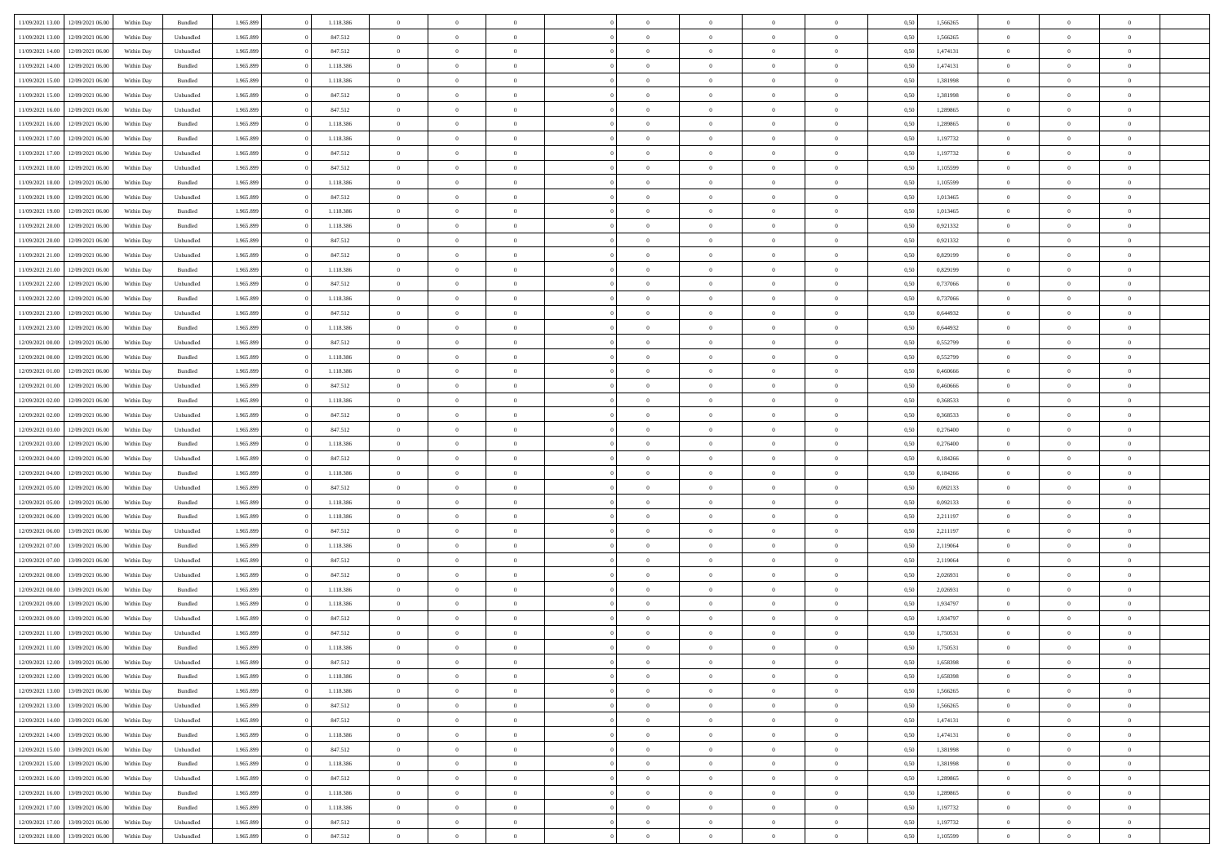| 11/09/2021 13:00                  | 12/09/2021 06:00                  | Within Day | Bundled   | 1.965.899 | 1.118.386 | $\overline{0}$ | $\Omega$       |                | $\Omega$       | $\Omega$       | $\theta$       | $\theta$       | 0,50 | 1,566265 | $\theta$       | $\theta$       | $\theta$       |  |
|-----------------------------------|-----------------------------------|------------|-----------|-----------|-----------|----------------|----------------|----------------|----------------|----------------|----------------|----------------|------|----------|----------------|----------------|----------------|--|
|                                   |                                   |            |           |           |           |                |                |                |                |                |                |                |      |          |                |                |                |  |
| 11/09/2021 13:00                  | 12/09/2021 06:00                  | Within Day | Unbundled | 1.965.899 | 847.512   | $\overline{0}$ | $\theta$       | $\overline{0}$ | $\overline{0}$ | $\bf{0}$       | $\overline{0}$ | $\bf{0}$       | 0,50 | 1,566265 | $\theta$       | $\theta$       | $\overline{0}$ |  |
| 11/09/2021 14:00                  | 12/09/2021 06:00                  | Within Day | Unbundled | 1.965.899 | 847.512   | $\overline{0}$ | $\overline{0}$ | $\overline{0}$ | $\overline{0}$ | $\bf{0}$       | $\overline{0}$ | $\mathbf{0}$   | 0,50 | 1,474131 | $\overline{0}$ | $\overline{0}$ | $\overline{0}$ |  |
| 11/09/2021 14:00                  | 12/09/2021 06:00                  | Within Dav | Bundled   | 1.965.899 | 1.118.386 | $\overline{0}$ | $\overline{0}$ | $\overline{0}$ | $\overline{0}$ | $\bf{0}$       | $\overline{0}$ | $\overline{0}$ | 0.50 | 1,474131 | $\theta$       | $\theta$       | $\overline{0}$ |  |
| 11/09/2021 15:00                  | 12/09/2021 06:00                  | Within Day | Bundled   | 1.965.899 | 1.118.386 | $\overline{0}$ | $\theta$       | $\overline{0}$ | $\overline{0}$ | $\bf{0}$       | $\overline{0}$ | $\bf{0}$       | 0,50 | 1,381998 | $\theta$       | $\overline{0}$ | $\overline{0}$ |  |
| 11/09/2021 15:00                  | 12/09/2021 06:00                  | Within Day | Unbundled | 1.965.899 | 847.512   | $\overline{0}$ | $\bf{0}$       | $\overline{0}$ | $\overline{0}$ | $\overline{0}$ | $\overline{0}$ | $\mathbf{0}$   | 0,50 | 1,381998 | $\overline{0}$ | $\overline{0}$ | $\bf{0}$       |  |
| 11/09/2021 16:00                  | 12/09/2021 06:00                  | Within Dav | Unbundled | 1.965.899 | 847.512   | $\overline{0}$ | $\overline{0}$ | $\overline{0}$ | $\overline{0}$ | $\overline{0}$ | $\overline{0}$ | $\overline{0}$ | 0.50 | 1,289865 | $\theta$       | $\overline{0}$ | $\overline{0}$ |  |
|                                   |                                   |            |           |           |           |                |                |                |                |                |                |                |      |          |                |                |                |  |
| 11/09/2021 16:00                  | 12/09/2021 06:00                  | Within Day | Bundled   | 1.965.899 | 1.118.386 | $\overline{0}$ | $\theta$       | $\overline{0}$ | $\overline{0}$ | $\bf{0}$       | $\overline{0}$ | $\bf{0}$       | 0,50 | 1,289865 | $\theta$       | $\theta$       | $\overline{0}$ |  |
| 11/09/2021 17:00                  | 12/09/2021 06:00                  | Within Day | Bundled   | 1.965.899 | 1.118.386 | $\overline{0}$ | $\overline{0}$ | $\overline{0}$ | $\overline{0}$ | $\bf{0}$       | $\overline{0}$ | $\bf{0}$       | 0,50 | 1,197732 | $\,0\,$        | $\overline{0}$ | $\overline{0}$ |  |
| 11/09/2021 17:00                  | 12/09/2021 06:00                  | Within Dav | Unbundled | 1.965.899 | 847.512   | $\overline{0}$ | $\overline{0}$ | $\overline{0}$ | $\overline{0}$ | $\overline{0}$ | $\overline{0}$ | $\overline{0}$ | 0.50 | 1,197732 | $\theta$       | $\overline{0}$ | $\overline{0}$ |  |
| 11/09/2021 18:00                  | 12/09/2021 06:00                  | Within Day | Unbundled | 1.965.899 | 847.512   | $\overline{0}$ | $\theta$       | $\overline{0}$ | $\overline{0}$ | $\bf{0}$       | $\overline{0}$ | $\bf{0}$       | 0,50 | 1,105599 | $\,$ 0 $\,$    | $\overline{0}$ | $\overline{0}$ |  |
| 11/09/2021 18:00                  | 12/09/2021 06:00                  | Within Day | Bundled   | 1.965.899 | 1.118.386 | $\overline{0}$ | $\overline{0}$ | $\overline{0}$ | $\overline{0}$ | $\bf{0}$       | $\overline{0}$ | $\mathbf{0}$   | 0,50 | 1,105599 | $\overline{0}$ | $\overline{0}$ | $\overline{0}$ |  |
| 11/09/2021 19:00                  | 12/09/2021 06:00                  | Within Day | Unbundled | 1.965.899 | 847.512   | $\overline{0}$ | $\overline{0}$ | $\overline{0}$ | $\overline{0}$ | $\bf{0}$       | $\overline{0}$ | $\overline{0}$ | 0.50 | 1.013465 | $\theta$       | $\theta$       | $\overline{0}$ |  |
| 11/09/2021 19:00                  | 12/09/2021 06:00                  | Within Day | Bundled   | 1.965.899 | 1.118.386 | $\overline{0}$ | $\theta$       | $\overline{0}$ | $\overline{0}$ | $\bf{0}$       | $\overline{0}$ | $\bf{0}$       | 0,50 | 1,013465 | $\theta$       | $\overline{0}$ | $\overline{0}$ |  |
|                                   |                                   |            |           |           |           |                |                |                |                |                |                |                |      |          |                |                |                |  |
| 11/09/2021 20:00                  | 12/09/2021 06:00                  | Within Day | Bundled   | 1.965.899 | 1.118.386 | $\overline{0}$ | $\overline{0}$ | $\overline{0}$ | $\overline{0}$ | $\overline{0}$ | $\overline{0}$ | $\mathbf{0}$   | 0,50 | 0,921332 | $\overline{0}$ | $\overline{0}$ | $\bf{0}$       |  |
| 11/09/2021 20:00                  | 12/09/2021 06:00                  | Within Dav | Unbundled | 1.965.899 | 847.512   | $\overline{0}$ | $\overline{0}$ | $\overline{0}$ | $\overline{0}$ | $\overline{0}$ | $\overline{0}$ | $\overline{0}$ | 0.50 | 0.921332 | $\theta$       | $\overline{0}$ | $\overline{0}$ |  |
| 11/09/2021 21:00                  | 12/09/2021 06:00                  | Within Day | Unbundled | 1.965.899 | 847.512   | $\overline{0}$ | $\theta$       | $\overline{0}$ | $\overline{0}$ | $\bf{0}$       | $\overline{0}$ | $\bf{0}$       | 0,50 | 0,829199 | $\theta$       | $\theta$       | $\overline{0}$ |  |
| 11/09/2021 21:00                  | 12/09/2021 06:00                  | Within Day | Bundled   | 1.965.899 | 1.118.386 | $\overline{0}$ | $\overline{0}$ | $\overline{0}$ | $\overline{0}$ | $\bf{0}$       | $\overline{0}$ | $\mathbf{0}$   | 0,50 | 0,829199 | $\,0\,$        | $\overline{0}$ | $\overline{0}$ |  |
| 11/09/2021 22:00                  | 12/09/2021 06:00                  | Within Day | Unbundled | 1.965.899 | 847.512   | $\overline{0}$ | $\overline{0}$ | $\overline{0}$ | $\overline{0}$ | $\overline{0}$ | $\overline{0}$ | $\overline{0}$ | 0.50 | 0,737066 | $\theta$       | $\overline{0}$ | $\overline{0}$ |  |
| 11/09/2021 22:00                  | 12/09/2021 06:00                  | Within Day | Bundled   | 1.965.899 | 1.118.386 | $\overline{0}$ | $\theta$       | $\overline{0}$ | $\overline{0}$ | $\bf{0}$       | $\overline{0}$ | $\bf{0}$       | 0,50 | 0,737066 | $\,$ 0 $\,$    | $\theta$       | $\overline{0}$ |  |
| 11/09/2021 23:00                  | 12/09/2021 06:00                  | Within Day | Unbundled | 1.965.899 | 847.512   | $\overline{0}$ | $\overline{0}$ | $\overline{0}$ | $\bf{0}$       | $\bf{0}$       | $\bf{0}$       | $\bf{0}$       | 0,50 | 0,644932 | $\bf{0}$       | $\overline{0}$ | $\overline{0}$ |  |
| 11/09/2021 23:00                  | 12/09/2021 06:00                  | Within Day | Bundled   | 1.965.899 | 1.118.386 | $\overline{0}$ | $\overline{0}$ | $\overline{0}$ | $\overline{0}$ | $\bf{0}$       | $\overline{0}$ | $\overline{0}$ | 0.50 | 0,644932 | $\theta$       | $\overline{0}$ | $\overline{0}$ |  |
| 12/09/2021 00:00                  | 12/09/2021 06:00                  | Within Day | Unbundled | 1.965.899 | 847.512   | $\overline{0}$ | $\theta$       | $\overline{0}$ | $\overline{0}$ | $\bf{0}$       | $\overline{0}$ | $\bf{0}$       | 0,50 | 0,552799 | $\,$ 0 $\,$    | $\overline{0}$ | $\overline{0}$ |  |
|                                   |                                   |            |           |           |           |                |                |                |                |                |                |                |      |          |                |                |                |  |
| 12/09/2021 00:00                  | 12/09/2021 06:00                  | Within Day | Bundled   | 1.965.899 | 1.118.386 | $\overline{0}$ | $\bf{0}$       | $\overline{0}$ | $\bf{0}$       | $\overline{0}$ | $\overline{0}$ | $\mathbf{0}$   | 0,50 | 0,552799 | $\overline{0}$ | $\overline{0}$ | $\bf{0}$       |  |
| 12/09/2021 01:00                  | 12/09/2021 06:00                  | Within Dav | Bundled   | 1.965.899 | 1.118.386 | $\overline{0}$ | $\overline{0}$ | $\overline{0}$ | $\overline{0}$ | $\overline{0}$ | $\overline{0}$ | $\overline{0}$ | 0.50 | 0.460666 | $\theta$       | $\overline{0}$ | $\overline{0}$ |  |
| 12/09/2021 01:00                  | 12/09/2021 06:00                  | Within Day | Unbundled | 1.965.899 | 847.512   | $\overline{0}$ | $\theta$       | $\overline{0}$ | $\overline{0}$ | $\bf{0}$       | $\overline{0}$ | $\bf{0}$       | 0,50 | 0,460666 | $\theta$       | $\theta$       | $\overline{0}$ |  |
| 12/09/2021 02:00                  | 12/09/2021 06:00                  | Within Day | Bundled   | 1.965.899 | 1.118.386 | $\overline{0}$ | $\overline{0}$ | $\overline{0}$ | $\bf{0}$       | $\bf{0}$       | $\bf{0}$       | $\bf{0}$       | 0,50 | 0,368533 | $\,0\,$        | $\overline{0}$ | $\overline{0}$ |  |
| 12/09/2021 02:00                  | 12/09/2021 06:00                  | Within Day | Unbundled | 1.965.899 | 847.512   | $\overline{0}$ | $\overline{0}$ | $\overline{0}$ | $\overline{0}$ | $\overline{0}$ | $\overline{0}$ | $\overline{0}$ | 0.50 | 0,368533 | $\theta$       | $\overline{0}$ | $\overline{0}$ |  |
| 12/09/2021 03:00                  | 12/09/2021 06:00                  | Within Day | Unbundled | 1.965.899 | 847.512   | $\overline{0}$ | $\theta$       | $\overline{0}$ | $\overline{0}$ | $\bf{0}$       | $\overline{0}$ | $\bf{0}$       | 0,50 | 0,276400 | $\,$ 0 $\,$    | $\overline{0}$ | $\overline{0}$ |  |
| 12/09/2021 03:00                  | 12/09/2021 06:00                  | Within Day | Bundled   | 1.965.899 | 1.118.386 | $\overline{0}$ | $\overline{0}$ | $\overline{0}$ | $\bf{0}$       | $\bf{0}$       | $\bf{0}$       | $\bf{0}$       | 0,50 | 0,276400 | $\overline{0}$ | $\overline{0}$ | $\overline{0}$ |  |
| 12/09/2021 04:00                  | 12/09/2021 06:00                  | Within Day | Unbundled | 1.965.899 | 847.512   | $\overline{0}$ | $\Omega$       | $\overline{0}$ | $\Omega$       | $\Omega$       | $\overline{0}$ | $\overline{0}$ | 0,50 | 0,184266 | $\,0\,$        | $\theta$       | $\theta$       |  |
| 12/09/2021 04:00                  | 12/09/2021 06:00                  | Within Day | Bundled   | 1.965.899 | 1.118.386 | $\overline{0}$ | $\theta$       | $\overline{0}$ | $\overline{0}$ | $\bf{0}$       | $\overline{0}$ | $\bf{0}$       | 0,50 | 0,184266 | $\,$ 0 $\,$    | $\theta$       | $\overline{0}$ |  |
| 12/09/2021 05:00                  | 12/09/2021 06:00                  | Within Day | Unbundled | 1.965.899 | 847.512   | $\overline{0}$ | $\overline{0}$ | $\overline{0}$ | $\bf{0}$       | $\bf{0}$       | $\overline{0}$ | $\mathbf{0}$   | 0,50 | 0,092133 | $\overline{0}$ | $\overline{0}$ | $\bf{0}$       |  |
|                                   |                                   |            |           |           |           |                |                |                |                |                |                |                |      |          |                |                |                |  |
| 12/09/2021 05:00                  | 12/09/2021 06:00                  | Within Day | Bundled   | 1.965.899 | 1.118.386 | $\overline{0}$ | $\Omega$       | $\Omega$       | $\Omega$       | $\bf{0}$       | $\overline{0}$ | $\overline{0}$ | 0.50 | 0.092133 | $\,0\,$        | $\theta$       | $\theta$       |  |
| 12/09/2021 06:00                  | 13/09/2021 06:00                  | Within Day | Bundled   | 1.965.899 | 1.118.386 | $\overline{0}$ | $\theta$       | $\overline{0}$ | $\overline{0}$ | $\bf{0}$       | $\overline{0}$ | $\bf{0}$       | 0,50 | 2,211197 | $\,$ 0 $\,$    | $\theta$       | $\overline{0}$ |  |
| 12/09/2021 06:00                  | 13/09/2021 06:00                  | Within Day | Unbundled | 1.965.899 | 847.512   | $\overline{0}$ | $\overline{0}$ | $\overline{0}$ | $\bf{0}$       | $\bf{0}$       | $\bf{0}$       | $\bf{0}$       | 0,50 | 2,211197 | $\bf{0}$       | $\overline{0}$ | $\overline{0}$ |  |
| 12/09/2021 07:00                  | 13/09/2021 06:00                  | Within Day | Bundled   | 1.965.899 | 1.118.386 | $\overline{0}$ | $\Omega$       | $\overline{0}$ | $\Omega$       | $\overline{0}$ | $\overline{0}$ | $\overline{0}$ | 0.50 | 2,119064 | $\,$ 0 $\,$    | $\theta$       | $\theta$       |  |
| 12/09/2021 07:00                  | 13/09/2021 06:00                  | Within Day | Unbundled | 1.965.899 | 847.512   | $\overline{0}$ | $\theta$       | $\overline{0}$ | $\overline{0}$ | $\bf{0}$       | $\overline{0}$ | $\bf{0}$       | 0,50 | 2,119064 | $\,$ 0 $\,$    | $\overline{0}$ | $\overline{0}$ |  |
| 12/09/2021 08:00                  | 13/09/2021 06:00                  | Within Day | Unbundled | 1.965.899 | 847.512   | $\overline{0}$ | $\overline{0}$ | $\overline{0}$ | $\bf{0}$       | $\bf{0}$       | $\bf{0}$       | $\bf{0}$       | 0,50 | 2,026931 | $\overline{0}$ | $\overline{0}$ | $\overline{0}$ |  |
| 12/09/2021 08:00                  | 13/09/2021 06:00                  | Within Day | Bundled   | 1.965.899 | 1.118.386 | $\overline{0}$ | $\Omega$       | $\overline{0}$ | $\Omega$       | $\overline{0}$ | $\overline{0}$ | $\overline{0}$ | 0.50 | 2,026931 | $\,0\,$        | $\theta$       | $\theta$       |  |
| 12/09/2021 09:00                  | 13/09/2021 06:00                  | Within Day | Bundled   | 1.965.899 | 1.118.386 | $\overline{0}$ | $\theta$       | $\overline{0}$ | $\overline{0}$ | $\,$ 0         | $\overline{0}$ | $\bf{0}$       | 0,50 | 1,934797 | $\,$ 0 $\,$    | $\overline{0}$ | $\overline{0}$ |  |
| 12/09/2021 09:00                  | 13/09/2021 06:00                  | Within Day | Unbundled | 1.965.899 | 847.512   | $\overline{0}$ | $\overline{0}$ | $\overline{0}$ | $\overline{0}$ | $\bf{0}$       | $\overline{0}$ | $\mathbf{0}$   | 0,50 | 1,934797 | $\overline{0}$ | $\overline{0}$ | $\bf{0}$       |  |
|                                   |                                   |            |           |           |           |                |                |                |                |                |                |                |      |          |                |                |                |  |
| 12/09/2021 11:00                  | 13/09/2021 06:00                  | Within Day | Unbundled | 1.965.899 | 847.512   | $\overline{0}$ | $\Omega$       | $\Omega$       | $\Omega$       | $\Omega$       | $\Omega$       | $\overline{0}$ | 0.50 | 1,750531 | $\theta$       | $\theta$       | $\theta$       |  |
| 12/09/2021 11:00                  | 13/09/2021 06:00                  | Within Day | Bundled   | 1.965.899 | 1.118.386 | $\overline{0}$ | $\overline{0}$ | $\overline{0}$ | $\bf{0}$       | $\,$ 0         | $\overline{0}$ | $\bf{0}$       | 0,50 | 1,750531 | $\,0\,$        | $\overline{0}$ | $\overline{0}$ |  |
|                                   | 12/09/2021 12:00 13/09/2021 06:00 | Within Day | Unbundled | 1.965.899 | 847.512   | $\bf{0}$       | $\bf{0}$       |                |                | $\bf{0}$       |                |                | 0,50 | 1,658398 | $\bf{0}$       | $\overline{0}$ |                |  |
| 12/09/2021 12:00                  | 13/09/2021 06:00                  | Within Day | Bundled   | 1.965.899 | 1.118.386 | $\overline{0}$ | $\overline{0}$ | $\overline{0}$ | $\Omega$       | $\overline{0}$ | $\overline{0}$ | $\overline{0}$ | 0,50 | 1,658398 | $\theta$       | $\theta$       | $\theta$       |  |
| 12/09/2021 13:00                  | 13/09/2021 06:00                  | Within Day | Bundled   | 1.965.899 | 1.118.386 | $\overline{0}$ | $\bf{0}$       | $\overline{0}$ | $\overline{0}$ | $\,$ 0 $\,$    | $\overline{0}$ | $\,$ 0 $\,$    | 0,50 | 1,566265 | $\,$ 0 $\,$    | $\,$ 0 $\,$    | $\,$ 0         |  |
| 12/09/2021 13:00                  | 13/09/2021 06:00                  | Within Day | Unbundled | 1.965.899 | 847.512   | $\overline{0}$ | $\overline{0}$ | $\overline{0}$ | $\overline{0}$ | $\overline{0}$ | $\overline{0}$ | $\mathbf{0}$   | 0,50 | 1,566265 | $\overline{0}$ | $\bf{0}$       | $\overline{0}$ |  |
| 12/09/2021 14:00                  | 13/09/2021 06:00                  | Within Day | Unbundled | 1.965.899 | 847.512   | $\overline{0}$ | $\overline{0}$ | $\overline{0}$ | $\Omega$       | $\overline{0}$ | $\overline{0}$ | $\overline{0}$ | 0,50 | 1,474131 | $\overline{0}$ | $\overline{0}$ | $\overline{0}$ |  |
| 12/09/2021 14:00                  | 13/09/2021 06:00                  | Within Day | Bundled   | 1.965.899 | 1.118.386 | $\overline{0}$ | $\,$ 0         | $\overline{0}$ | $\overline{0}$ | $\,$ 0 $\,$    | $\overline{0}$ | $\,$ 0 $\,$    | 0,50 | 1,474131 | $\,$ 0 $\,$    | $\overline{0}$ | $\,$ 0         |  |
| 12/09/2021 15:00                  | 13/09/2021 06:00                  | Within Day | Unbundled | 1.965.899 | 847.512   | $\overline{0}$ | $\overline{0}$ | $\overline{0}$ | $\overline{0}$ | $\overline{0}$ | $\overline{0}$ | $\mathbf{0}$   | 0,50 | 1,381998 | $\overline{0}$ | $\overline{0}$ | $\overline{0}$ |  |
|                                   |                                   |            |           |           |           |                |                |                |                |                |                |                |      |          |                |                |                |  |
| 12/09/2021 15:00                  | 13/09/2021 06:00                  | Within Day | Bundled   | 1.965.899 | 1.118.386 | $\overline{0}$ | $\overline{0}$ | $\overline{0}$ | $\overline{0}$ | $\overline{0}$ | $\overline{0}$ | $\bf{0}$       | 0.50 | 1,381998 | $\overline{0}$ | $\theta$       | $\overline{0}$ |  |
| 12/09/2021 16:00                  | 13/09/2021 06:00                  | Within Day | Unbundled | 1.965.899 | 847.512   | $\overline{0}$ | $\,$ 0         | $\overline{0}$ | $\overline{0}$ | $\bf{0}$       | $\overline{0}$ | $\bf{0}$       | 0,50 | 1,289865 | $\,$ 0 $\,$    | $\overline{0}$ | $\overline{0}$ |  |
| 12/09/2021 16:00                  | 13/09/2021 06:00                  | Within Day | Bundled   | 1.965.899 | 1.118.386 | $\overline{0}$ | $\bf{0}$       | $\overline{0}$ | $\overline{0}$ | $\overline{0}$ | $\overline{0}$ | $\mathbf{0}$   | 0,50 | 1,289865 | $\overline{0}$ | $\overline{0}$ | $\bf{0}$       |  |
| 12/09/2021 17:00                  | 13/09/2021 06:00                  | Within Day | Bundled   | 1.965.899 | 1.118.386 | $\overline{0}$ | $\overline{0}$ | $\overline{0}$ | $\Omega$       | $\overline{0}$ | $\overline{0}$ | $\overline{0}$ | 0.50 | 1,197732 | $\overline{0}$ | $\overline{0}$ | $\overline{0}$ |  |
| 12/09/2021 17:00                  | 13/09/2021 06:00                  | Within Day | Unbundled | 1.965.899 | 847.512   | $\overline{0}$ | $\bf{0}$       | $\overline{0}$ | $\bf{0}$       | $\bf{0}$       | $\overline{0}$ | $\mathbf{0}$   | 0,50 | 1,197732 | $\,$ 0 $\,$    | $\,$ 0 $\,$    | $\bf{0}$       |  |
| 12/09/2021 18:00 13/09/2021 06:00 |                                   | Within Day | Unbundled | 1.965.899 | 847.512   | $\overline{0}$ | $\overline{0}$ | $\overline{0}$ | $\overline{0}$ | $\overline{0}$ | $\overline{0}$ | $\mathbf{0}$   | 0,50 | 1,105599 | $\overline{0}$ | $\bf{0}$       | $\overline{0}$ |  |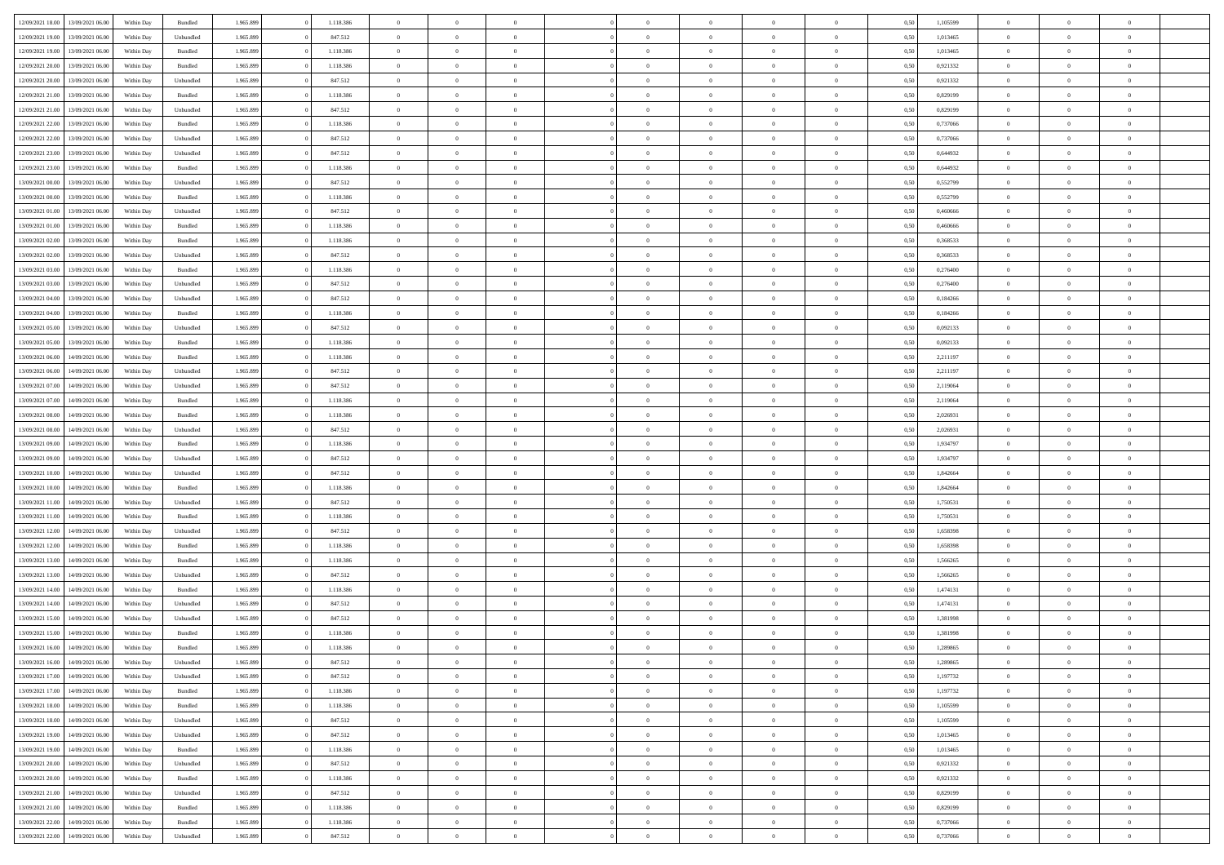| 12/09/2021 18:00 | 13/09/2021 06:00 | Within Day | Bundled   | 1.965.899 | 1.118.386 | $\overline{0}$ | $\Omega$       |                | $\Omega$       | $\Omega$       | $\Omega$       | $\theta$       | 0,50 | 1,105599 | $\theta$       | $\theta$       | $\theta$       |  |
|------------------|------------------|------------|-----------|-----------|-----------|----------------|----------------|----------------|----------------|----------------|----------------|----------------|------|----------|----------------|----------------|----------------|--|
|                  |                  |            |           |           |           |                |                |                |                |                |                |                |      |          |                |                |                |  |
| 12/09/2021 19:00 | 13/09/2021 06:00 | Within Day | Unbundled | 1.965.899 | 847.512   | $\overline{0}$ | $\theta$       | $\overline{0}$ | $\overline{0}$ | $\bf{0}$       | $\overline{0}$ | $\bf{0}$       | 0,50 | 1,013465 | $\theta$       | $\theta$       | $\overline{0}$ |  |
| 12/09/2021 19:00 | 13/09/2021 06:00 | Within Day | Bundled   | 1.965.899 | 1.118.386 | $\overline{0}$ | $\overline{0}$ | $\overline{0}$ | $\overline{0}$ | $\bf{0}$       | $\overline{0}$ | $\mathbf{0}$   | 0,50 | 1,013465 | $\bf{0}$       | $\overline{0}$ | $\overline{0}$ |  |
| 12/09/2021 20:00 | 13/09/2021 06:00 | Within Dav | Bundled   | 1.965.899 | 1.118.386 | $\overline{0}$ | $\overline{0}$ | $\overline{0}$ | $\overline{0}$ | $\bf{0}$       | $\overline{0}$ | $\overline{0}$ | 0.50 | 0.921332 | $\theta$       | $\theta$       | $\overline{0}$ |  |
| 12/09/2021 20:00 | 13/09/2021 06:00 | Within Day | Unbundled | 1.965.899 | 847.512   | $\overline{0}$ | $\theta$       | $\overline{0}$ | $\overline{0}$ | $\bf{0}$       | $\overline{0}$ | $\bf{0}$       | 0,50 | 0,921332 | $\theta$       | $\overline{0}$ | $\overline{0}$ |  |
| 12/09/2021 21:00 | 13/09/2021 06:00 | Within Day | Bundled   | 1.965.899 | 1.118.386 | $\overline{0}$ | $\bf{0}$       | $\overline{0}$ | $\bf{0}$       | $\overline{0}$ | $\overline{0}$ | $\mathbf{0}$   | 0,50 | 0,829199 | $\bf{0}$       | $\overline{0}$ | $\bf{0}$       |  |
| 12/09/2021 21:00 | 13/09/2021 06:00 | Within Dav | Unbundled | 1.965.899 | 847.512   | $\overline{0}$ | $\overline{0}$ | $\overline{0}$ | $\overline{0}$ | $\overline{0}$ | $\overline{0}$ | $\overline{0}$ | 0.50 | 0.829199 | $\theta$       | $\overline{0}$ | $\overline{0}$ |  |
|                  |                  |            |           |           |           |                |                |                |                |                |                |                |      |          |                |                |                |  |
| 12/09/2021 22:00 | 13/09/2021 06:00 | Within Day | Bundled   | 1.965.899 | 1.118.386 | $\overline{0}$ | $\theta$       | $\overline{0}$ | $\overline{0}$ | $\bf{0}$       | $\overline{0}$ | $\bf{0}$       | 0,50 | 0,737066 | $\theta$       | $\theta$       | $\overline{0}$ |  |
| 12/09/2021 22:00 | 13/09/2021 06:00 | Within Day | Unbundled | 1.965.899 | 847.512   | $\overline{0}$ | $\overline{0}$ | $\overline{0}$ | $\bf{0}$       | $\bf{0}$       | $\bf{0}$       | $\bf{0}$       | 0,50 | 0,737066 | $\,0\,$        | $\overline{0}$ | $\overline{0}$ |  |
| 12/09/2021 23:00 | 13/09/2021 06:00 | Within Dav | Unbundled | 1.965.899 | 847.512   | $\overline{0}$ | $\overline{0}$ | $\overline{0}$ | $\overline{0}$ | $\overline{0}$ | $\overline{0}$ | $\overline{0}$ | 0.50 | 0,644932 | $\theta$       | $\overline{0}$ | $\overline{0}$ |  |
| 12/09/2021 23:00 | 13/09/2021 06:00 | Within Day | Bundled   | 1.965.899 | 1.118.386 | $\overline{0}$ | $\theta$       | $\overline{0}$ | $\overline{0}$ | $\bf{0}$       | $\overline{0}$ | $\bf{0}$       | 0,50 | 0,644932 | $\,$ 0 $\,$    | $\overline{0}$ | $\overline{0}$ |  |
| 13/09/2021 00:00 | 13/09/2021 06:00 | Within Day | Unbundled | 1.965.899 | 847.512   | $\overline{0}$ | $\overline{0}$ | $\overline{0}$ | $\bf{0}$       | $\bf{0}$       | $\bf{0}$       | $\mathbf{0}$   | 0,50 | 0,552799 | $\bf{0}$       | $\overline{0}$ | $\overline{0}$ |  |
| 13/09/2021 00:00 | 13/09/2021 06:00 | Within Day | Bundled   | 1.965.899 | 1.118.386 | $\overline{0}$ | $\overline{0}$ | $\overline{0}$ | $\overline{0}$ | $\bf{0}$       | $\overline{0}$ | $\overline{0}$ | 0.50 | 0,552799 | $\theta$       | $\theta$       | $\overline{0}$ |  |
| 13/09/2021 01:00 | 13/09/2021 06:00 | Within Day | Unbundled | 1.965.899 | 847.512   | $\overline{0}$ | $\theta$       | $\overline{0}$ | $\overline{0}$ | $\bf{0}$       | $\overline{0}$ | $\bf{0}$       | 0,50 | 0,460666 | $\theta$       | $\overline{0}$ | $\overline{0}$ |  |
|                  |                  |            |           |           |           |                |                |                |                |                |                |                |      |          |                |                |                |  |
| 13/09/2021 01:00 | 13/09/2021 06:00 | Within Day | Bundled   | 1.965.899 | 1.118.386 | $\overline{0}$ | $\overline{0}$ | $\overline{0}$ | $\bf{0}$       | $\overline{0}$ | $\overline{0}$ | $\mathbf{0}$   | 0,50 | 0,460666 | $\bf{0}$       | $\overline{0}$ | $\bf{0}$       |  |
| 13/09/2021 02:00 | 13/09/2021 06:00 | Within Dav | Bundled   | 1.965.899 | 1.118.386 | $\overline{0}$ | $\overline{0}$ | $\overline{0}$ | $\overline{0}$ | $\overline{0}$ | $\overline{0}$ | $\overline{0}$ | 0.50 | 0,368533 | $\theta$       | $\overline{0}$ | $\overline{0}$ |  |
| 13/09/2021 02:00 | 13/09/2021 06:00 | Within Day | Unbundled | 1.965.899 | 847.512   | $\overline{0}$ | $\theta$       | $\overline{0}$ | $\overline{0}$ | $\bf{0}$       | $\overline{0}$ | $\bf{0}$       | 0,50 | 0,368533 | $\theta$       | $\theta$       | $\overline{0}$ |  |
| 13/09/2021 03:00 | 13/09/2021 06:00 | Within Day | Bundled   | 1.965.899 | 1.118.386 | $\overline{0}$ | $\overline{0}$ | $\overline{0}$ | $\bf{0}$       | $\bf{0}$       | $\bf{0}$       | $\mathbf{0}$   | 0,50 | 0,276400 | $\bf{0}$       | $\overline{0}$ | $\overline{0}$ |  |
| 13/09/2021 03:00 | 13/09/2021 06:00 | Within Day | Unbundled | 1.965.899 | 847.512   | $\overline{0}$ | $\overline{0}$ | $\overline{0}$ | $\overline{0}$ | $\overline{0}$ | $\overline{0}$ | $\overline{0}$ | 0.50 | 0,276400 | $\theta$       | $\overline{0}$ | $\overline{0}$ |  |
| 13/09/2021 04:00 | 13/09/2021 06:00 | Within Day | Unbundled | 1.965.899 | 847.512   | $\overline{0}$ | $\theta$       | $\overline{0}$ | $\overline{0}$ | $\bf{0}$       | $\overline{0}$ | $\bf{0}$       | 0,50 | 0,184266 | $\,$ 0 $\,$    | $\theta$       | $\overline{0}$ |  |
| 13/09/2021 04:00 | 13/09/2021 06:00 | Within Day | Bundled   | 1.965.899 | 1.118.386 | $\overline{0}$ | $\overline{0}$ | $\overline{0}$ | $\bf{0}$       | $\bf{0}$       | $\bf{0}$       | $\mathbf{0}$   | 0,50 | 0,184266 | $\bf{0}$       | $\overline{0}$ | $\overline{0}$ |  |
| 13/09/2021 05:00 | 13/09/2021 06:00 | Within Day | Unbundled | 1.965.899 | 847.512   | $\overline{0}$ | $\overline{0}$ | $\overline{0}$ | $\overline{0}$ | $\bf{0}$       | $\overline{0}$ | $\overline{0}$ | 0.50 | 0,092133 | $\theta$       | $\overline{0}$ | $\overline{0}$ |  |
|                  |                  |            |           |           |           | $\overline{0}$ | $\theta$       | $\overline{0}$ | $\overline{0}$ | $\bf{0}$       | $\overline{0}$ |                |      |          | $\,$ 0 $\,$    | $\overline{0}$ | $\overline{0}$ |  |
| 13/09/2021 05:00 | 13/09/2021 06:00 | Within Day | Bundled   | 1.965.899 | 1.118.386 |                |                |                |                |                |                | $\bf{0}$       | 0,50 | 0,092133 |                |                |                |  |
| 13/09/2021 06:00 | 14/09/2021 06:00 | Within Day | Bundled   | 1.965.899 | 1.118.386 | $\overline{0}$ | $\bf{0}$       | $\overline{0}$ | $\overline{0}$ | $\overline{0}$ | $\overline{0}$ | $\mathbf{0}$   | 0,50 | 2,211197 | $\bf{0}$       | $\overline{0}$ | $\bf{0}$       |  |
| 13/09/2021 06:00 | 14/09/2021 06:00 | Within Dav | Unbundled | 1.965.899 | 847.512   | $\overline{0}$ | $\overline{0}$ | $\overline{0}$ | $\overline{0}$ | $\overline{0}$ | $\overline{0}$ | $\overline{0}$ | 0.50 | 2,211197 | $\overline{0}$ | $\overline{0}$ | $\overline{0}$ |  |
| 13/09/2021 07:00 | 14/09/2021 06:00 | Within Day | Unbundled | 1.965.899 | 847.512   | $\overline{0}$ | $\theta$       | $\overline{0}$ | $\overline{0}$ | $\bf{0}$       | $\overline{0}$ | $\bf{0}$       | 0,50 | 2,119064 | $\theta$       | $\theta$       | $\overline{0}$ |  |
| 13/09/2021 07:00 | 14/09/2021 06:00 | Within Day | Bundled   | 1.965.899 | 1.118.386 | $\overline{0}$ | $\overline{0}$ | $\overline{0}$ | $\overline{0}$ | $\bf{0}$       | $\overline{0}$ | $\bf{0}$       | 0,50 | 2,119064 | $\,0\,$        | $\overline{0}$ | $\overline{0}$ |  |
| 13/09/2021 08:00 | 14/09/2021 06:00 | Within Day | Bundled   | 1.965.899 | 1.118.386 | $\overline{0}$ | $\overline{0}$ | $\overline{0}$ | $\overline{0}$ | $\overline{0}$ | $\overline{0}$ | $\overline{0}$ | 0.50 | 2.026931 | $\theta$       | $\overline{0}$ | $\overline{0}$ |  |
| 13/09/2021 08:00 | 14/09/2021 06:00 | Within Day | Unbundled | 1.965.899 | 847.512   | $\overline{0}$ | $\theta$       | $\overline{0}$ | $\overline{0}$ | $\bf{0}$       | $\overline{0}$ | $\bf{0}$       | 0,50 | 2,026931 | $\,$ 0 $\,$    | $\overline{0}$ | $\overline{0}$ |  |
| 13/09/2021 09:00 | 14/09/2021 06:00 | Within Day | Bundled   | 1.965.899 | 1.118.386 | $\overline{0}$ | $\overline{0}$ | $\overline{0}$ | $\overline{0}$ | $\bf{0}$       | $\overline{0}$ | $\bf{0}$       | 0,50 | 1,934797 | $\bf{0}$       | $\overline{0}$ | $\overline{0}$ |  |
|                  |                  |            |           |           |           |                |                |                |                |                |                |                |      |          |                |                |                |  |
| 13/09/2021 09:00 | 14/09/2021 06:00 | Within Day | Unbundled | 1.965.899 | 847.512   | $\bf{0}$       | $\Omega$       | $\overline{0}$ | $\Omega$       | $\Omega$       | $\overline{0}$ | $\overline{0}$ | 0,50 | 1,934797 | $\,0\,$        | $\theta$       | $\theta$       |  |
| 13/09/2021 10:00 | 14/09/2021 06:00 | Within Day | Unbundled | 1.965.899 | 847.512   | $\overline{0}$ | $\theta$       | $\overline{0}$ | $\overline{0}$ | $\bf{0}$       | $\overline{0}$ | $\bf{0}$       | 0,50 | 1,842664 | $\,$ 0 $\,$    | $\theta$       | $\overline{0}$ |  |
| 13/09/2021 10:00 | 14/09/2021 06:00 | Within Day | Bundled   | 1.965.899 | 1.118.386 | $\overline{0}$ | $\overline{0}$ | $\overline{0}$ | $\bf{0}$       | $\bf{0}$       | $\overline{0}$ | $\mathbf{0}$   | 0,50 | 1,842664 | $\bf{0}$       | $\overline{0}$ | $\bf{0}$       |  |
| 13/09/2021 11:00 | 14/09/2021 06:00 | Within Day | Unbundled | 1.965.899 | 847.512   | $\overline{0}$ | $\Omega$       | $\Omega$       | $\Omega$       | $\bf{0}$       | $\overline{0}$ | $\overline{0}$ | 0.50 | 1,750531 | $\,0\,$        | $\theta$       | $\theta$       |  |
| 13/09/2021 11:00 | 14/09/2021 06:00 | Within Day | Bundled   | 1.965.899 | 1.118.386 | $\overline{0}$ | $\theta$       | $\overline{0}$ | $\overline{0}$ | $\bf{0}$       | $\overline{0}$ | $\bf{0}$       | 0,50 | 1,750531 | $\,$ 0 $\,$    | $\theta$       | $\overline{0}$ |  |
| 13/09/2021 12:00 | 14/09/2021 06:00 | Within Day | Unbundled | 1.965.899 | 847.512   | $\overline{0}$ | $\overline{0}$ | $\overline{0}$ | $\bf{0}$       | $\bf{0}$       | $\bf{0}$       | $\bf{0}$       | 0,50 | 1,658398 | $\,0\,$        | $\overline{0}$ | $\overline{0}$ |  |
| 13/09/2021 12:00 | 14/09/2021 06:00 | Within Day | Bundled   | 1.965.899 | 1.118.386 | $\overline{0}$ | $\Omega$       | $\overline{0}$ | $\Omega$       | $\overline{0}$ | $\overline{0}$ | $\overline{0}$ | 0.50 | 1,658398 | $\,0\,$        | $\theta$       | $\theta$       |  |
| 13/09/2021 13:00 | 14/09/2021 06:00 | Within Day | Bundled   | 1.965.899 | 1.118.386 | $\overline{0}$ | $\theta$       | $\overline{0}$ | $\overline{0}$ | $\,$ 0         | $\overline{0}$ | $\bf{0}$       | 0,50 | 1,566265 | $\,$ 0 $\,$    | $\overline{0}$ | $\overline{0}$ |  |
|                  |                  |            |           |           |           |                | $\overline{0}$ |                |                | $\bf{0}$       |                |                |      |          |                | $\overline{0}$ | $\overline{0}$ |  |
| 13/09/2021 13:00 | 14/09/2021 06:00 | Within Day | Unbundled | 1.965.899 | 847.512   | $\overline{0}$ |                | $\overline{0}$ | $\bf{0}$       |                | $\bf{0}$       | $\mathbf{0}$   | 0,50 | 1,566265 | $\bf{0}$       |                |                |  |
| 13/09/2021 14:00 | 14/09/2021 06:00 | Within Day | Bundled   | 1.965.899 | 1.118.386 | $\overline{0}$ | $\Omega$       | $\overline{0}$ | $\Omega$       | $\overline{0}$ | $\overline{0}$ | $\overline{0}$ | 0,50 | 1,474131 | $\,0\,$        | $\theta$       | $\theta$       |  |
| 13/09/2021 14:00 | 14/09/2021 06:00 | Within Day | Unbundled | 1.965.899 | 847.512   | $\overline{0}$ | $\theta$       | $\overline{0}$ | $\overline{0}$ | $\,$ 0         | $\overline{0}$ | $\bf{0}$       | 0,50 | 1,474131 | $\,$ 0 $\,$    | $\overline{0}$ | $\overline{0}$ |  |
| 13/09/2021 15:00 | 14/09/2021 06:00 | Within Day | Unbundled | 1.965.899 | 847.512   | $\overline{0}$ | $\overline{0}$ | $\overline{0}$ | $\bf{0}$       | $\bf{0}$       | $\bf{0}$       | $\mathbf{0}$   | 0,50 | 1,381998 | $\bf{0}$       | $\overline{0}$ | $\bf{0}$       |  |
| 13/09/2021 15:00 | 14/09/2021 06:00 | Within Day | Bundled   | 1.965.899 | 1.118.386 | $\overline{0}$ | $\Omega$       | $\Omega$       | $\Omega$       | $\Omega$       | $\Omega$       | $\overline{0}$ | 0.50 | 1,381998 | $\theta$       | $\theta$       | $\theta$       |  |
| 13/09/2021 16:00 | 14/09/2021 06:00 | Within Day | Bundled   | 1.965.899 | 1.118.386 | $\overline{0}$ | $\overline{0}$ | $\overline{0}$ | $\bf{0}$       | $\,$ 0         | $\bf{0}$       | $\bf{0}$       | 0,50 | 1,289865 | $\,0\,$        | $\overline{0}$ | $\overline{0}$ |  |
| 13/09/2021 16:00 | 14/09/2021 06:00 | Within Day | Unbundled | 1.965.899 | 847.512   | $\bf{0}$       | $\bf{0}$       |                |                | $\bf{0}$       |                |                | 0,50 | 1,289865 | $\bf{0}$       | $\overline{0}$ |                |  |
| 13/09/2021 17:00 | 14/09/2021 06:00 | Within Day | Unbundled | 1.965.899 | 847.512   | $\overline{0}$ | $\overline{0}$ | $\overline{0}$ | $\Omega$       | $\overline{0}$ | $\overline{0}$ | $\overline{0}$ | 0,50 | 1,197732 | $\theta$       | $\theta$       | $\theta$       |  |
| 13/09/2021 17:00 | 14/09/2021 06:00 | Within Day | Bundled   | 1.965.899 | 1.118.386 | $\overline{0}$ | $\,$ 0         | $\overline{0}$ | $\bf{0}$       | $\,$ 0 $\,$    | $\overline{0}$ | $\,$ 0 $\,$    | 0,50 | 1,197732 | $\,$ 0 $\,$    | $\,$ 0 $\,$    | $\,$ 0         |  |
|                  |                  |            |           |           |           |                |                |                |                |                |                |                |      |          |                |                |                |  |
| 13/09/2021 18:00 | 14/09/2021 06:00 | Within Day | Bundled   | 1.965.899 | 1.118.386 | $\overline{0}$ | $\overline{0}$ | $\overline{0}$ | $\overline{0}$ | $\overline{0}$ | $\overline{0}$ | $\mathbf{0}$   | 0,50 | 1,105599 | $\overline{0}$ | $\bf{0}$       | $\overline{0}$ |  |
| 13/09/2021 18:00 | 14/09/2021 06:00 | Within Day | Unbundled | 1.965.899 | 847.512   | $\overline{0}$ | $\overline{0}$ | $\overline{0}$ | $\Omega$       | $\overline{0}$ | $\overline{0}$ | $\overline{0}$ | 0,50 | 1,105599 | $\overline{0}$ | $\overline{0}$ | $\overline{0}$ |  |
| 13/09/2021 19:00 | 14/09/2021 06:00 | Within Day | Unbundled | 1.965.899 | 847.512   | $\overline{0}$ | $\,$ 0         | $\overline{0}$ | $\bf{0}$       | $\,$ 0 $\,$    | $\overline{0}$ | $\mathbf{0}$   | 0,50 | 1,013465 | $\,$ 0 $\,$    | $\overline{0}$ | $\overline{0}$ |  |
| 13/09/2021 19:00 | 14/09/2021 06:00 | Within Day | Bundled   | 1.965.899 | 1.118.386 | $\overline{0}$ | $\overline{0}$ | $\overline{0}$ | $\overline{0}$ | $\overline{0}$ | $\overline{0}$ | $\mathbf{0}$   | 0,50 | 1,013465 | $\overline{0}$ | $\overline{0}$ | $\bf{0}$       |  |
| 13/09/2021 20:00 | 14/09/2021 06:00 | Within Day | Unbundled | 1.965.899 | 847.512   | $\overline{0}$ | $\overline{0}$ | $\overline{0}$ | $\overline{0}$ | $\overline{0}$ | $\overline{0}$ | $\bf{0}$       | 0.50 | 0,921332 | $\overline{0}$ | $\theta$       | $\overline{0}$ |  |
| 13/09/2021 20:00 | 14/09/2021 06:00 | Within Day | Bundled   | 1.965.899 | 1.118.386 | $\overline{0}$ | $\,$ 0         | $\overline{0}$ | $\bf{0}$       | $\bf{0}$       | $\bf{0}$       | $\bf{0}$       | 0,50 | 0,921332 | $\,$ 0 $\,$    | $\overline{0}$ | $\overline{0}$ |  |
| 13/09/2021 21:00 | 14/09/2021 06:00 | Within Day | Unbundled | 1.965.899 | 847.512   | $\overline{0}$ | $\bf{0}$       | $\overline{0}$ | $\overline{0}$ | $\overline{0}$ | $\overline{0}$ | $\mathbf{0}$   | 0,50 | 0,829199 | $\overline{0}$ | $\overline{0}$ | $\bf{0}$       |  |
| 13/09/2021 21:00 | 14/09/2021 06:00 | Within Day | Bundled   | 1.965.899 | 1.118.386 | $\overline{0}$ | $\overline{0}$ | $\overline{0}$ | $\Omega$       | $\overline{0}$ | $\overline{0}$ | $\overline{0}$ | 0.50 | 0,829199 | $\overline{0}$ | $\overline{0}$ | $\overline{0}$ |  |
|                  |                  |            |           |           |           |                | $\bf{0}$       |                |                |                |                |                |      |          | $\,$ 0 $\,$    | $\,$ 0 $\,$    |                |  |
| 13/09/2021 22:00 | 14/09/2021 06:00 | Within Day | Bundled   | 1.965.899 | 1.118.386 | $\overline{0}$ |                | $\overline{0}$ | $\bf{0}$       | $\bf{0}$       | $\bf{0}$       | $\mathbf{0}$   | 0,50 | 0,737066 |                |                | $\bf{0}$       |  |
| 13/09/2021 22:00 | 14/09/2021 06:00 | Within Day | Unbundled | 1.965.899 | 847.512   | $\overline{0}$ | $\overline{0}$ | $\overline{0}$ | $\overline{0}$ | $\overline{0}$ | $\bf{0}$       | $\mathbf{0}$   | 0,50 | 0,737066 | $\overline{0}$ | $\bf{0}$       | $\overline{0}$ |  |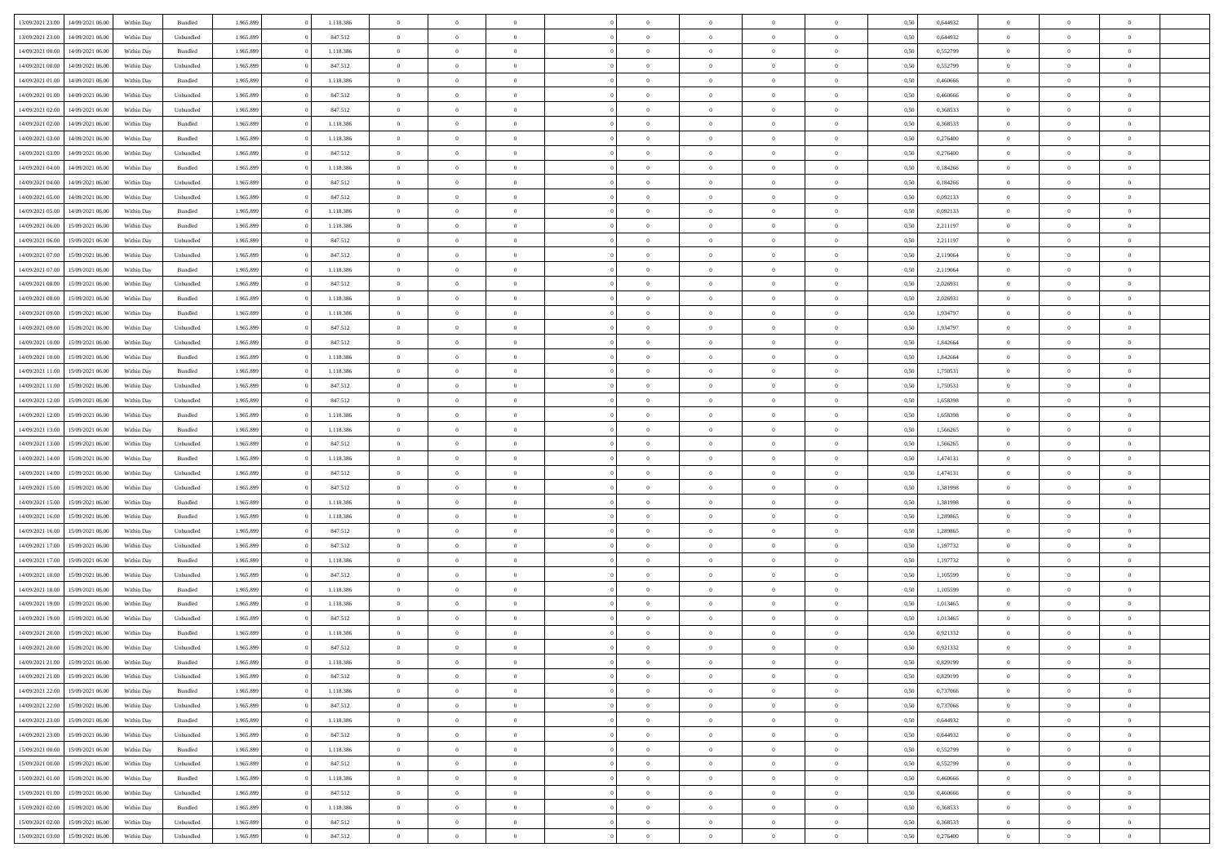| 13/09/2021 23:00 | 14/09/2021 06:00 | Within Day | Bundled            | 1.965.899 | 1.118.386 | $\overline{0}$ | $\theta$       |                | $\Omega$       | $\Omega$       | $\theta$       | $\theta$       | 0,50 | 0,644932 | $\theta$             | $\overline{0}$ | $\theta$       |  |
|------------------|------------------|------------|--------------------|-----------|-----------|----------------|----------------|----------------|----------------|----------------|----------------|----------------|------|----------|----------------------|----------------|----------------|--|
|                  |                  |            |                    |           |           |                |                |                |                |                |                |                |      |          |                      |                |                |  |
| 13/09/2021 23:00 | 14/09/2021 06:00 | Within Day | Unbundled          | 1.965.899 | 847.512   | $\overline{0}$ | $\theta$       | $\overline{0}$ | $\overline{0}$ | $\bf{0}$       | $\overline{0}$ | $\bf{0}$       | 0,50 | 0,644932 | $\theta$             | $\overline{0}$ | $\overline{0}$ |  |
| 14/09/2021 00:00 | 14/09/2021 06:00 | Within Day | Bundled            | 1.965.899 | 1.118.386 | $\overline{0}$ | $\overline{0}$ | $\overline{0}$ | $\bf{0}$       | $\bf{0}$       | $\bf{0}$       | $\mathbf{0}$   | 0,50 | 0,552799 | $\bf{0}$             | $\overline{0}$ | $\bf{0}$       |  |
| 14/09/2021 00:00 | 14/09/2021 06:00 | Within Day | Unbundled          | 1.965.899 | 847.512   | $\overline{0}$ | $\overline{0}$ | $\overline{0}$ | $\overline{0}$ | $\bf{0}$       | $\overline{0}$ | $\overline{0}$ | 0.50 | 0,552799 | $\theta$             | $\theta$       | $\overline{0}$ |  |
| 14/09/2021 01:00 | 14/09/2021 06:00 | Within Day | Bundled            | 1.965.899 | 1.118.386 | $\overline{0}$ | $\theta$       | $\overline{0}$ | $\overline{0}$ | $\bf{0}$       | $\overline{0}$ | $\bf{0}$       | 0,50 | 0,460666 | $\,$ 0 $\,$          | $\overline{0}$ | $\overline{0}$ |  |
| 14/09/2021 01:00 | 14/09/2021 06:00 | Within Day | Unbundled          | 1.965.899 | 847.512   | $\overline{0}$ | $\overline{0}$ | $\overline{0}$ | $\overline{0}$ | $\overline{0}$ | $\overline{0}$ | $\mathbf{0}$   | 0,50 | 0,460666 | $\overline{0}$       | $\overline{0}$ | $\bf{0}$       |  |
|                  |                  |            |                    |           |           |                | $\overline{0}$ |                |                | $\overline{0}$ |                |                |      |          | $\theta$             | $\overline{0}$ | $\overline{0}$ |  |
| 14/09/2021 02:00 | 14/09/2021 06:00 | Within Dav | Unbundled          | 1.965.899 | 847.512   | $\overline{0}$ |                | $\overline{0}$ | $\overline{0}$ |                | $\overline{0}$ | $\overline{0}$ | 0.50 | 0,368533 |                      |                |                |  |
| 14/09/2021 02:00 | 14/09/2021 06:00 | Within Day | Bundled            | 1.965.899 | 1.118.386 | $\overline{0}$ | $\theta$       | $\overline{0}$ | $\overline{0}$ | $\bf{0}$       | $\overline{0}$ | $\bf{0}$       | 0,50 | 0,368533 | $\theta$             | $\theta$       | $\overline{0}$ |  |
| 14/09/2021 03:00 | 14/09/2021 06:00 | Within Day | Bundled            | 1.965.899 | 1.118.386 | $\overline{0}$ | $\overline{0}$ | $\overline{0}$ | $\overline{0}$ | $\bf{0}$       | $\overline{0}$ | $\mathbf{0}$   | 0,50 | 0,276400 | $\,0\,$              | $\overline{0}$ | $\overline{0}$ |  |
| 14/09/2021 03:00 | 14/09/2021 06:00 | Within Dav | Unbundled          | 1.965.899 | 847.512   | $\overline{0}$ | $\overline{0}$ | $\overline{0}$ | $\overline{0}$ | $\overline{0}$ | $\overline{0}$ | $\overline{0}$ | 0.50 | 0,276400 | $\theta$             | $\overline{0}$ | $\overline{0}$ |  |
| 14/09/2021 04:00 | 14/09/2021 06:00 | Within Day | Bundled            | 1.965.899 | 1.118.386 | $\overline{0}$ | $\theta$       | $\overline{0}$ | $\overline{0}$ | $\bf{0}$       | $\overline{0}$ | $\bf{0}$       | 0,50 | 0,184266 | $\,$ 0 $\,$          | $\overline{0}$ | $\overline{0}$ |  |
| 14/09/2021 04:00 | 14/09/2021 06:00 | Within Day | Unbundled          | 1.965.899 | 847.512   | $\overline{0}$ | $\overline{0}$ | $\overline{0}$ | $\overline{0}$ | $\bf{0}$       | $\overline{0}$ | $\mathbf{0}$   | 0,50 | 0,184266 | $\overline{0}$       | $\overline{0}$ | $\bf{0}$       |  |
| 14/09/2021 05:00 | 14/09/2021 06:00 | Within Dav | Unbundled          | 1.965.899 | 847.512   | $\overline{0}$ | $\overline{0}$ | $\overline{0}$ | $\overline{0}$ | $\bf{0}$       | $\overline{0}$ | $\overline{0}$ | 0.50 | 0,092133 | $\theta$             | $\theta$       | $\overline{0}$ |  |
| 14/09/2021 05:00 | 14/09/2021 06:00 |            |                    | 1.965.899 | 1.118.386 | $\overline{0}$ | $\theta$       | $\overline{0}$ | $\overline{0}$ | $\bf{0}$       | $\overline{0}$ |                |      | 0,092133 | $\theta$             | $\overline{0}$ | $\overline{0}$ |  |
|                  |                  | Within Day | Bundled            |           |           |                |                |                |                |                |                | $\bf{0}$       | 0,50 |          |                      |                |                |  |
| 14/09/2021 06:00 | 15/09/2021 06:00 | Within Day | Bundled            | 1.965.899 | 1.118.386 | $\overline{0}$ | $\overline{0}$ | $\overline{0}$ | $\overline{0}$ | $\overline{0}$ | $\overline{0}$ | $\mathbf{0}$   | 0,50 | 2,211197 | $\overline{0}$       | $\overline{0}$ | $\bf{0}$       |  |
| 14/09/2021 06:00 | 15/09/2021 06:00 | Within Dav | Unbundled          | 1.965.899 | 847.512   | $\overline{0}$ | $\overline{0}$ | $\overline{0}$ | $\overline{0}$ | $\overline{0}$ | $\overline{0}$ | $\overline{0}$ | 0.50 | 2,211197 | $\overline{0}$       | $\overline{0}$ | $\overline{0}$ |  |
| 14/09/2021 07:00 | 15/09/2021 06:00 | Within Day | Unbundled          | 1.965.899 | 847.512   | $\overline{0}$ | $\theta$       | $\overline{0}$ | $\overline{0}$ | $\bf{0}$       | $\overline{0}$ | $\bf{0}$       | 0,50 | 2,119064 | $\,$ 0 $\,$          | $\overline{0}$ | $\overline{0}$ |  |
| 14/09/2021 07:00 | 15/09/2021 06:00 | Within Day | Bundled            | 1.965.899 | 1.118.386 | $\overline{0}$ | $\overline{0}$ | $\overline{0}$ | $\overline{0}$ | $\bf{0}$       | $\overline{0}$ | $\mathbf{0}$   | 0,50 | 2,119064 | $\bf{0}$             | $\overline{0}$ | $\bf{0}$       |  |
| 14/09/2021 08:00 | 15/09/2021 06:00 | Within Dav | Unbundled          | 1.965.899 | 847.512   | $\overline{0}$ | $\overline{0}$ | $\overline{0}$ | $\overline{0}$ | $\overline{0}$ | $\overline{0}$ | $\overline{0}$ | 0.50 | 2,026931 | $\theta$             | $\overline{0}$ | $\overline{0}$ |  |
| 14/09/2021 08:00 | 15/09/2021 06:00 | Within Day | Bundled            | 1.965.899 | 1.118.386 | $\overline{0}$ | $\theta$       | $\overline{0}$ | $\overline{0}$ | $\bf{0}$       | $\overline{0}$ | $\bf{0}$       | 0,50 | 2,026931 | $\,$ 0 $\,$          | $\overline{0}$ | $\overline{0}$ |  |
|                  |                  |            |                    |           |           |                | $\overline{0}$ |                |                | $\bf{0}$       |                |                |      |          |                      | $\overline{0}$ | $\bf{0}$       |  |
| 14/09/2021 09:00 | 15/09/2021 06:00 | Within Day | Bundled            | 1.965.899 | 1.118.386 | $\overline{0}$ |                | $\overline{0}$ | $\overline{0}$ |                | $\overline{0}$ | $\mathbf{0}$   | 0,50 | 1,934797 | $\bf{0}$<br>$\theta$ |                |                |  |
| 14/09/2021 09:00 | 15/09/2021 06:00 | Within Day | Unbundled          | 1.965.899 | 847.512   | $\overline{0}$ | $\overline{0}$ | $\overline{0}$ | $\overline{0}$ | $\overline{0}$ | $\overline{0}$ | $\overline{0}$ | 0.50 | 1,934797 |                      | $\overline{0}$ | $\overline{0}$ |  |
| 14/09/2021 10:00 | 15/09/2021 06:00 | Within Day | Unbundled          | 1.965.899 | 847.512   | $\overline{0}$ | $\theta$       | $\overline{0}$ | $\overline{0}$ | $\bf{0}$       | $\overline{0}$ | $\,$ 0 $\,$    | 0,50 | 1,842664 | $\,$ 0 $\,$          | $\overline{0}$ | $\overline{0}$ |  |
| 14/09/2021 10:00 | 15/09/2021 06:00 | Within Day | Bundled            | 1.965.899 | 1.118.386 | $\overline{0}$ | $\overline{0}$ | $\overline{0}$ | $\overline{0}$ | $\overline{0}$ | $\overline{0}$ | $\mathbf{0}$   | 0,50 | 1,842664 | $\bf{0}$             | $\overline{0}$ | $\bf{0}$       |  |
| 14/09/2021 11:00 | 15/09/2021 06:00 | Within Dav | Bundled            | 1.965.899 | 1.118.386 | $\overline{0}$ | $\overline{0}$ | $\overline{0}$ | $\overline{0}$ | $\overline{0}$ | $\overline{0}$ | $\overline{0}$ | 0.50 | 1,750531 | $\theta$             | $\overline{0}$ | $\overline{0}$ |  |
| 14/09/2021 11:00 | 15/09/2021 06:00 | Within Day | Unbundled          | 1.965.899 | 847.512   | $\overline{0}$ | $\theta$       | $\overline{0}$ | $\overline{0}$ | $\bf{0}$       | $\overline{0}$ | $\bf{0}$       | 0,50 | 1,750531 | $\,$ 0 $\,$          | $\overline{0}$ | $\overline{0}$ |  |
| 14/09/2021 12:00 | 15/09/2021 06:00 | Within Day | Unbundled          | 1.965.899 | 847.512   | $\overline{0}$ | $\overline{0}$ | $\overline{0}$ | $\overline{0}$ | $\bf{0}$       | $\overline{0}$ | $\mathbf{0}$   | 0,50 | 1,658398 | $\,0\,$              | $\overline{0}$ | $\overline{0}$ |  |
| 14/09/2021 12:00 | 15/09/2021 06:00 | Within Day | Bundled            | 1.965.899 | 1.118.386 | $\overline{0}$ | $\overline{0}$ | $\overline{0}$ | $\overline{0}$ | $\overline{0}$ | $\overline{0}$ | $\overline{0}$ | 0.50 | 1,658398 | $\theta$             | $\overline{0}$ | $\overline{0}$ |  |
|                  |                  |            |                    |           |           | $\overline{0}$ | $\overline{0}$ | $\overline{0}$ |                | $\bf{0}$       | $\overline{0}$ |                |      |          | $\,$ 0 $\,$          | $\overline{0}$ | $\overline{0}$ |  |
| 14/09/2021 13:00 | 15/09/2021 06:00 | Within Day | Bundled            | 1.965.899 | 1.118.386 |                |                |                | $\overline{0}$ |                |                | $\bf{0}$       | 0,50 | 1,566265 |                      |                |                |  |
| 14/09/2021 13:00 | 15/09/2021 06:00 | Within Day | Unbundled          | 1.965.899 | 847.512   | $\overline{0}$ | $\overline{0}$ | $\overline{0}$ | $\bf{0}$       | $\bf{0}$       | $\bf{0}$       | $\bf{0}$       | 0,50 | 1,566265 | $\overline{0}$       | $\overline{0}$ | $\bf{0}$       |  |
| 14/09/2021 14:00 | 15/09/2021 06:00 | Within Day | Bundled            | 1.965.899 | 1.118.386 | $\overline{0}$ | $\theta$       | $\overline{0}$ | $\Omega$       | $\Omega$       | $\overline{0}$ | $\overline{0}$ | 0,50 | 1,474131 | $\,0\,$              | $\theta$       | $\theta$       |  |
| 14/09/2021 14:00 | 15/09/2021 06:00 | Within Day | Unbundled          | 1.965.899 | 847.512   | $\overline{0}$ | $\theta$       | $\overline{0}$ | $\overline{0}$ | $\bf{0}$       | $\overline{0}$ | $\bf{0}$       | 0,50 | 1,474131 | $\,$ 0 $\,$          | $\overline{0}$ | $\overline{0}$ |  |
| 14/09/2021 15:00 | 15/09/2021 06:00 | Within Day | Unbundled          | 1.965.899 | 847.512   | $\overline{0}$ | $\overline{0}$ | $\overline{0}$ | $\bf{0}$       | $\overline{0}$ | $\overline{0}$ | $\mathbf{0}$   | 0,50 | 1,381998 | $\overline{0}$       | $\overline{0}$ | $\bf{0}$       |  |
| 14/09/2021 15:00 | 15/09/2021 06:00 | Within Day | Bundled            | 1.965.899 | 1.118.386 | $\overline{0}$ | $\overline{0}$ | $\overline{0}$ | $\Omega$       | $\overline{0}$ | $\overline{0}$ | $\overline{0}$ | 0.50 | 1,381998 | $\,0\,$              | $\theta$       | $\theta$       |  |
| 14/09/2021 16:00 | 15/09/2021 06:00 | Within Day | Bundled            | 1.965.899 | 1.118.386 | $\overline{0}$ | $\theta$       | $\overline{0}$ | $\overline{0}$ | $\bf{0}$       | $\overline{0}$ | $\bf{0}$       | 0,50 | 1,289865 | $\,$ 0 $\,$          | $\overline{0}$ | $\overline{0}$ |  |
| 14/09/2021 16:00 | 15/09/2021 06:00 | Within Day | Unbundled          | 1.965.899 | 847.512   | $\overline{0}$ | $\overline{0}$ | $\overline{0}$ | $\bf{0}$       | $\bf{0}$       | $\overline{0}$ | $\mathbf{0}$   | 0,50 | 1,289865 | $\bf{0}$             | $\overline{0}$ | $\bf{0}$       |  |
|                  | 15/09/2021 06:00 |            |                    |           |           | $\overline{0}$ | $\overline{0}$ |                | $\Omega$       | $\overline{0}$ | $\overline{0}$ |                |      |          | $\,$ 0 $\,$          | $\theta$       | $\theta$       |  |
| 14/09/2021 17:00 |                  | Within Day | Unbundled          | 1.965.899 | 847.512   |                |                | $\overline{0}$ |                |                |                | $\overline{0}$ | 0.50 | 1,197732 |                      |                |                |  |
| 14/09/2021 17:00 | 15/09/2021 06:00 | Within Day | Bundled            | 1.965.899 | 1.118.386 | $\overline{0}$ | $\,$ 0         | $\overline{0}$ | $\overline{0}$ | $\,$ 0         | $\overline{0}$ | $\bf{0}$       | 0,50 | 1,197732 | $\,$ 0 $\,$          | $\overline{0}$ | $\overline{0}$ |  |
| 14/09/2021 18:00 | 15/09/2021 06:00 | Within Day | Unbundled          | 1.965.899 | 847.512   | $\overline{0}$ | $\overline{0}$ | $\overline{0}$ | $\overline{0}$ | $\bf{0}$       | $\overline{0}$ | $\mathbf{0}$   | 0,50 | 1,105599 | $\bf{0}$             | $\overline{0}$ | $\bf{0}$       |  |
| 14/09/2021 18:00 | 15/09/2021 06:00 | Within Day | Bundled            | 1.965.899 | 1.118.386 | $\overline{0}$ | $\Omega$       | $\overline{0}$ | $\Omega$       | $\overline{0}$ | $\overline{0}$ | $\overline{0}$ | 0,50 | 1,105599 | $\,0\,$              | $\theta$       | $\theta$       |  |
| 14/09/2021 19:00 | 15/09/2021 06:00 | Within Day | Bundled            | 1.965.899 | 1.118.386 | $\overline{0}$ | $\overline{0}$ | $\overline{0}$ | $\overline{0}$ | $\,$ 0         | $\overline{0}$ | $\bf{0}$       | 0,50 | 1,013465 | $\,$ 0 $\,$          | $\overline{0}$ | $\overline{0}$ |  |
| 14/09/2021 19:00 | 15/09/2021 06:00 | Within Day | Unbundled          | 1.965.899 | 847.512   | $\overline{0}$ | $\overline{0}$ | $\overline{0}$ | $\overline{0}$ | $\bf{0}$       | $\overline{0}$ | $\mathbf{0}$   | 0,50 | 1,013465 | $\bf{0}$             | $\overline{0}$ | $\bf{0}$       |  |
| 14/09/2021 20:00 | 15/09/2021 06:00 | Within Day | Bundled            | 1.965.899 | 1.118.386 | $\overline{0}$ | $\Omega$       | $\Omega$       | $\Omega$       | $\Omega$       | $\Omega$       | $\overline{0}$ | 0.50 | 0,921332 | $\theta$             | $\theta$       | $\theta$       |  |
| 14/09/2021 20:00 | 15/09/2021 06:00 | Within Day | Unbundled          | 1.965.899 | 847.512   | $\overline{0}$ | $\overline{0}$ | $\overline{0}$ | $\bf{0}$       | $\,$ 0         | $\overline{0}$ | $\bf{0}$       | 0,50 | 0,921332 | $\,0\,$              | $\,$ 0 $\,$    | $\overline{0}$ |  |
| 14/09/2021 21:00 | 15/09/2021 06:00 | Within Day | $\mathbf B$ undled | 1.965.899 | 1.118.386 | $\overline{0}$ | $\bf{0}$       |                |                | $\bf{0}$       |                |                | 0,50 | 0,829199 | $\bf{0}$             | $\overline{0}$ |                |  |
|                  |                  |            |                    |           |           |                |                |                |                |                |                |                |      |          |                      |                |                |  |
| 14/09/2021 21:00 | 15/09/2021 06:00 | Within Day | Unbundled          | 1.965.899 | 847.512   | $\overline{0}$ | $\overline{0}$ | $\overline{0}$ | $\Omega$       | $\overline{0}$ | $\overline{0}$ | $\overline{0}$ | 0,50 | 0,829199 | $\theta$             | $\theta$       | $\theta$       |  |
| 14/09/2021 22.00 | 15/09/2021 06:00 | Within Day | Bundled            | 1.965.899 | 1.118.386 | $\overline{0}$ | $\bf{0}$       | $\overline{0}$ | $\overline{0}$ | $\,$ 0 $\,$    | $\overline{0}$ | $\,$ 0 $\,$    | 0,50 | 0,737066 | $\,$ 0 $\,$          | $\,$ 0 $\,$    | $\,$ 0         |  |
| 14/09/2021 22.00 | 15/09/2021 06:00 | Within Day | Unbundled          | 1.965.899 | 847.512   | $\overline{0}$ | $\overline{0}$ | $\overline{0}$ | $\overline{0}$ | $\overline{0}$ | $\overline{0}$ | $\mathbf{0}$   | 0,50 | 0,737066 | $\overline{0}$       | $\bf{0}$       | $\overline{0}$ |  |
| 14/09/2021 23:00 | 15/09/2021 06:00 | Within Day | Bundled            | 1.965.899 | 1.118.386 | $\overline{0}$ | $\overline{0}$ | $\overline{0}$ | $\Omega$       | $\overline{0}$ | $\overline{0}$ | $\overline{0}$ | 0,50 | 0.644932 | $\overline{0}$       | $\theta$       | $\overline{0}$ |  |
| 14/09/2021 23:00 | 15/09/2021 06:00 | Within Day | Unbundled          | 1.965.899 | 847.512   | $\overline{0}$ | $\,$ 0         | $\overline{0}$ | $\overline{0}$ | $\,$ 0 $\,$    | $\overline{0}$ | $\mathbf{0}$   | 0,50 | 0,644932 | $\,$ 0 $\,$          | $\overline{0}$ | $\overline{0}$ |  |
| 15/09/2021 00:00 | 15/09/2021 06:00 | Within Day | Bundled            | 1.965.899 | 1.118.386 | $\overline{0}$ | $\overline{0}$ | $\overline{0}$ | $\overline{0}$ | $\overline{0}$ | $\overline{0}$ | $\mathbf{0}$   | 0,50 | 0,552799 | $\overline{0}$       | $\overline{0}$ | $\bf{0}$       |  |
| 15/09/2021 00:00 | 15/09/2021 06:00 | Within Day | Unbundled          | 1.965.899 | 847.512   | $\overline{0}$ | $\overline{0}$ | $\overline{0}$ | $\overline{0}$ | $\overline{0}$ | $\overline{0}$ | $\bf{0}$       | 0.50 | 0,552799 | $\overline{0}$       | $\theta$       | $\overline{0}$ |  |
|                  |                  |            |                    |           |           |                |                |                |                |                |                |                |      |          |                      |                |                |  |
| 15/09/2021 01:00 | 15/09/2021 06:00 | Within Day | Bundled            | 1.965.899 | 1.118.386 | $\overline{0}$ | $\,$ 0         | $\overline{0}$ | $\overline{0}$ | $\bf{0}$       | $\overline{0}$ | $\bf{0}$       | 0,50 | 0,460666 | $\,$ 0 $\,$          | $\overline{0}$ | $\overline{0}$ |  |
| 15/09/2021 01:00 | 15/09/2021 06:00 | Within Day | Unbundled          | 1.965.899 | 847.512   | $\overline{0}$ | $\bf{0}$       | $\overline{0}$ | $\overline{0}$ | $\overline{0}$ | $\overline{0}$ | $\mathbf{0}$   | 0,50 | 0,460666 | $\overline{0}$       | $\overline{0}$ | $\bf{0}$       |  |
| 15/09/2021 02:00 | 15/09/2021 06:00 | Within Day | Bundled            | 1.965.899 | 1.118.386 | $\overline{0}$ | $\overline{0}$ | $\overline{0}$ | $\Omega$       | $\overline{0}$ | $\overline{0}$ | $\overline{0}$ | 0.50 | 0,368533 | $\overline{0}$       | $\overline{0}$ | $\overline{0}$ |  |
| 15/09/2021 02:00 | 15/09/2021 06:00 | Within Day | Unbundled          | 1.965.899 | 847.512   | $\overline{0}$ | $\bf{0}$       | $\overline{0}$ | $\bf{0}$       | $\bf{0}$       | $\overline{0}$ | $\mathbf{0}$   | 0,50 | 0,368533 | $\,$ 0 $\,$          | $\,$ 0 $\,$    | $\bf{0}$       |  |
| 15/09/2021 03:00 | 15/09/2021 06:00 | Within Day | Unbundled          | 1.965.899 | 847.512   | $\overline{0}$ | $\overline{0}$ | $\overline{0}$ | $\overline{0}$ | $\overline{0}$ | $\overline{0}$ | $\mathbf{0}$   | 0,50 | 0,276400 | $\overline{0}$       | $\bf{0}$       | $\overline{0}$ |  |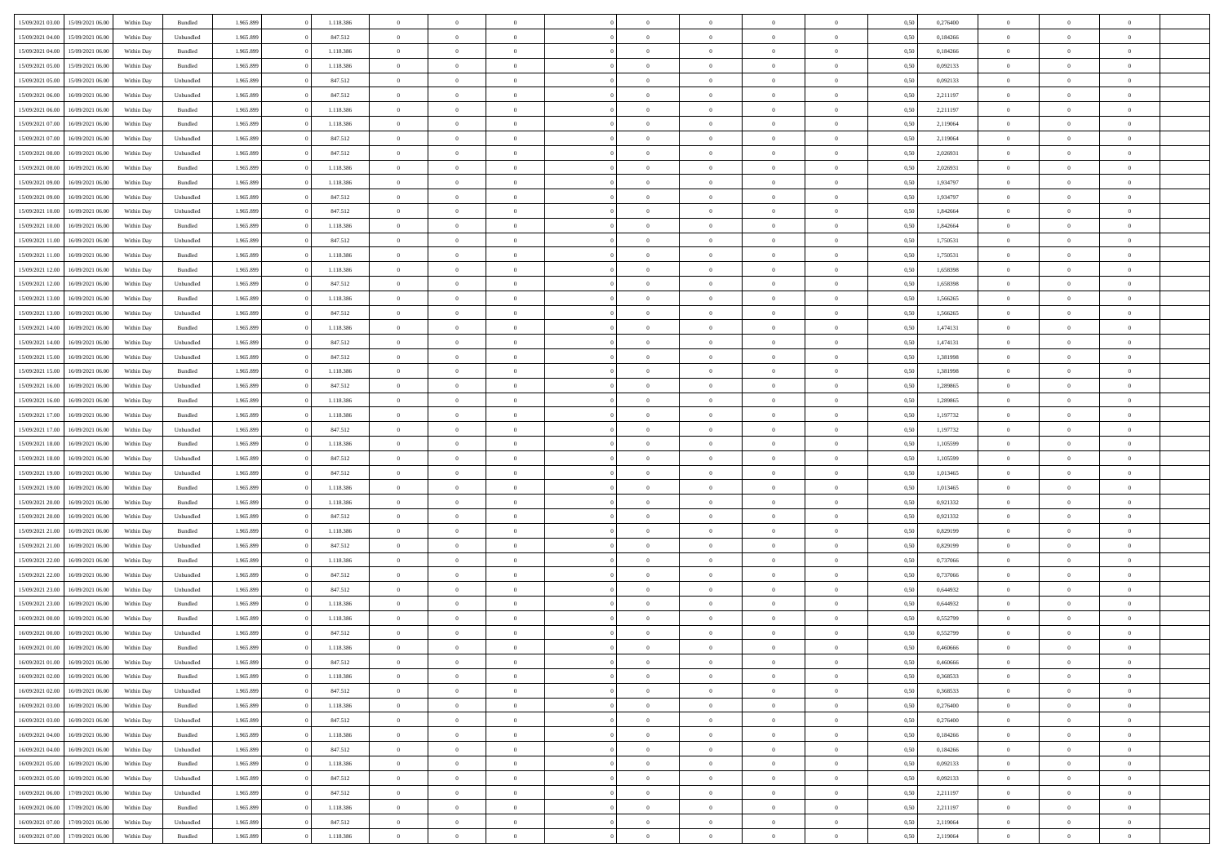| 15/09/2021 03:00 | 15/09/2021 06:00                  | Within Day | Bundled   | 1.965.899 | 1.118.386 | $\overline{0}$ | $\theta$       |                | $\Omega$       | $\Omega$       | $\overline{0}$ | $\theta$       | 0,50 | 0,276400 | $\theta$       | $\theta$       | $\theta$       |  |
|------------------|-----------------------------------|------------|-----------|-----------|-----------|----------------|----------------|----------------|----------------|----------------|----------------|----------------|------|----------|----------------|----------------|----------------|--|
|                  |                                   |            |           |           |           |                |                |                |                |                |                |                |      |          |                |                |                |  |
| 15/09/2021 04:00 | 15/09/2021 06:00                  | Within Day | Unbundled | 1.965.899 | 847.512   | $\overline{0}$ | $\theta$       | $\overline{0}$ | $\overline{0}$ | $\bf{0}$       | $\overline{0}$ | $\bf{0}$       | 0,50 | 0,184266 | $\theta$       | $\overline{0}$ | $\overline{0}$ |  |
| 15/09/2021 04:00 | 15/09/2021 06:00                  | Within Day | Bundled   | 1.965.899 | 1.118.386 | $\overline{0}$ | $\overline{0}$ | $\overline{0}$ | $\overline{0}$ | $\bf{0}$       | $\overline{0}$ | $\mathbf{0}$   | 0,50 | 0,184266 | $\bf{0}$       | $\overline{0}$ | $\overline{0}$ |  |
| 15/09/2021 05:00 | 15/09/2021 06:00                  | Within Dav | Bundled   | 1.965.899 | 1.118.386 | $\overline{0}$ | $\overline{0}$ | $\overline{0}$ | $\overline{0}$ | $\bf{0}$       | $\overline{0}$ | $\overline{0}$ | 0.50 | 0,092133 | $\theta$       | $\theta$       | $\overline{0}$ |  |
|                  |                                   |            |           |           |           |                |                |                |                |                |                |                |      |          |                |                |                |  |
| 15/09/2021 05:00 | 15/09/2021 06:00                  | Within Day | Unbundled | 1.965.899 | 847.512   | $\overline{0}$ | $\theta$       | $\overline{0}$ | $\overline{0}$ | $\bf{0}$       | $\overline{0}$ | $\bf{0}$       | 0,50 | 0,092133 | $\,$ 0 $\,$    | $\overline{0}$ | $\overline{0}$ |  |
| 15/09/2021 06:00 | 16/09/2021 06:00                  | Within Day | Unbundled | 1.965.899 | 847.512   | $\overline{0}$ | $\overline{0}$ | $\overline{0}$ | $\overline{0}$ | $\overline{0}$ | $\overline{0}$ | $\mathbf{0}$   | 0,50 | 2,211197 | $\bf{0}$       | $\overline{0}$ | $\bf{0}$       |  |
| 15/09/2021 06:00 | 16/09/2021 06:00                  | Within Dav | Bundled   | 1.965.899 | 1.118.386 | $\overline{0}$ | $\overline{0}$ | $\overline{0}$ | $\overline{0}$ | $\overline{0}$ | $\overline{0}$ | $\overline{0}$ | 0.50 | 2,211197 | $\theta$       | $\overline{0}$ | $\overline{0}$ |  |
| 15/09/2021 07:00 | 16/09/2021 06:00                  | Within Day | Bundled   | 1.965.899 | 1.118.386 | $\overline{0}$ | $\theta$       | $\overline{0}$ | $\overline{0}$ | $\bf{0}$       | $\overline{0}$ | $\bf{0}$       | 0,50 | 2,119064 | $\,$ 0 $\,$    | $\theta$       | $\overline{0}$ |  |
| 15/09/2021 07:00 | 16/09/2021 06:00                  | Within Day | Unbundled | 1.965.899 | 847.512   | $\overline{0}$ | $\overline{0}$ | $\overline{0}$ | $\bf{0}$       | $\bf{0}$       | $\bf{0}$       | $\mathbf{0}$   | 0,50 | 2,119064 | $\,0\,$        | $\overline{0}$ | $\overline{0}$ |  |
|                  |                                   |            |           |           |           |                |                |                |                |                |                |                |      |          |                |                |                |  |
| 15/09/2021 08:00 | 16/09/2021 06:00                  | Within Dav | Unbundled | 1.965.899 | 847.512   | $\overline{0}$ | $\overline{0}$ | $\overline{0}$ | $\overline{0}$ | $\overline{0}$ | $\overline{0}$ | $\overline{0}$ | 0.50 | 2,026931 | $\theta$       | $\overline{0}$ | $\overline{0}$ |  |
| 15/09/2021 08:00 | 16/09/2021 06:00                  | Within Day | Bundled   | 1.965.899 | 1.118.386 | $\overline{0}$ | $\theta$       | $\overline{0}$ | $\overline{0}$ | $\bf{0}$       | $\overline{0}$ | $\bf{0}$       | 0,50 | 2,026931 | $\,$ 0 $\,$    | $\overline{0}$ | $\overline{0}$ |  |
| 15/09/2021 09:00 | 16/09/2021 06:00                  | Within Day | Bundled   | 1.965.899 | 1.118.386 | $\overline{0}$ | $\overline{0}$ | $\overline{0}$ | $\bf{0}$       | $\bf{0}$       | $\bf{0}$       | $\mathbf{0}$   | 0,50 | 1,934797 | $\overline{0}$ | $\overline{0}$ | $\bf{0}$       |  |
| 15/09/2021 09:00 | 16/09/2021 06:00                  | Within Day | Unbundled | 1.965.899 | 847.512   | $\overline{0}$ | $\overline{0}$ | $\overline{0}$ | $\overline{0}$ | $\bf{0}$       | $\overline{0}$ | $\overline{0}$ | 0.50 | 1,934797 | $\theta$       | $\theta$       | $\overline{0}$ |  |
| 15/09/2021 10:00 | 16/09/2021 06:00                  | Within Day | Unbundled | 1.965.899 | 847.512   | $\overline{0}$ | $\theta$       | $\overline{0}$ | $\overline{0}$ | $\bf{0}$       | $\overline{0}$ | $\bf{0}$       | 0,50 | 1,842664 | $\theta$       | $\overline{0}$ | $\overline{0}$ |  |
|                  |                                   |            |           |           |           |                |                |                |                |                |                |                |      |          |                |                |                |  |
| 15/09/2021 10:00 | 16/09/2021 06:00                  | Within Day | Bundled   | 1.965.899 | 1.118.386 | $\overline{0}$ | $\overline{0}$ | $\overline{0}$ | $\bf{0}$       | $\overline{0}$ | $\overline{0}$ | $\mathbf{0}$   | 0,50 | 1,842664 | $\overline{0}$ | $\overline{0}$ | $\bf{0}$       |  |
| 15/09/2021 11:00 | 16/09/2021 06:00                  | Within Dav | Unbundled | 1.965.899 | 847.512   | $\overline{0}$ | $\overline{0}$ | $\overline{0}$ | $\overline{0}$ | $\overline{0}$ | $\overline{0}$ | $\overline{0}$ | 0.50 | 1,750531 | $\theta$       | $\overline{0}$ | $\overline{0}$ |  |
| 15/09/2021 11:00 | 16/09/2021 06:00                  | Within Day | Bundled   | 1.965.899 | 1.118.386 | $\overline{0}$ | $\theta$       | $\overline{0}$ | $\overline{0}$ | $\bf{0}$       | $\overline{0}$ | $\bf{0}$       | 0,50 | 1,750531 | $\,$ 0 $\,$    | $\overline{0}$ | $\overline{0}$ |  |
| 15/09/2021 12:00 | 16/09/2021 06:00                  | Within Day | Bundled   | 1.965.899 | 1.118.386 | $\overline{0}$ | $\overline{0}$ | $\overline{0}$ | $\overline{0}$ | $\bf{0}$       | $\overline{0}$ | $\mathbf{0}$   | 0,50 | 1,658398 | $\bf{0}$       | $\overline{0}$ | $\bf{0}$       |  |
| 15/09/2021 12:00 | 16/09/2021 06:00                  | Within Dav | Unbundled | 1.965.899 | 847.512   | $\overline{0}$ | $\overline{0}$ | $\overline{0}$ | $\overline{0}$ | $\overline{0}$ | $\overline{0}$ | $\overline{0}$ | 0.50 | 1,658398 | $\theta$       | $\overline{0}$ | $\overline{0}$ |  |
|                  |                                   |            |           |           |           |                |                |                |                |                |                |                |      |          |                |                |                |  |
| 15/09/2021 13:00 | 16/09/2021 06:00                  | Within Day | Bundled   | 1.965.899 | 1.118.386 | $\overline{0}$ | $\theta$       | $\overline{0}$ | $\overline{0}$ | $\bf{0}$       | $\overline{0}$ | $\bf{0}$       | 0,50 | 1,566265 | $\,$ 0 $\,$    | $\overline{0}$ | $\overline{0}$ |  |
| 15/09/2021 13:00 | 16/09/2021 06:00                  | Within Day | Unbundled | 1.965.899 | 847.512   | $\overline{0}$ | $\overline{0}$ | $\overline{0}$ | $\overline{0}$ | $\bf{0}$       | $\overline{0}$ | $\mathbf{0}$   | 0,50 | 1,566265 | $\bf{0}$       | $\overline{0}$ | $\bf{0}$       |  |
| 15/09/2021 14:00 | 16/09/2021 06:00                  | Within Day | Bundled   | 1.965.899 | 1.118.386 | $\overline{0}$ | $\overline{0}$ | $\overline{0}$ | $\overline{0}$ | $\overline{0}$ | $\overline{0}$ | $\overline{0}$ | 0.50 | 1,474131 | $\theta$       | $\overline{0}$ | $\overline{0}$ |  |
| 15/09/2021 14:00 | 16/09/2021 06:00                  | Within Day | Unbundled | 1.965.899 | 847.512   | $\overline{0}$ | $\theta$       | $\overline{0}$ | $\overline{0}$ | $\bf{0}$       | $\overline{0}$ | $\,$ 0 $\,$    | 0,50 | 1,474131 | $\,$ 0 $\,$    | $\overline{0}$ | $\overline{0}$ |  |
| 15/09/2021 15:00 | 16/09/2021 06:00                  | Within Day | Unbundled | 1.965.899 | 847.512   | $\overline{0}$ | $\overline{0}$ | $\overline{0}$ | $\overline{0}$ | $\overline{0}$ | $\overline{0}$ | $\mathbf{0}$   | 0,50 | 1,381998 | $\bf{0}$       | $\overline{0}$ | $\bf{0}$       |  |
|                  |                                   |            |           |           |           |                |                |                |                |                |                |                |      |          |                |                |                |  |
| 15/09/2021 15:00 | 16/09/2021 06:00                  | Within Dav | Bundled   | 1.965.899 | 1.118.386 | $\overline{0}$ | $\overline{0}$ | $\overline{0}$ | $\overline{0}$ | $\overline{0}$ | $\overline{0}$ | $\overline{0}$ | 0.50 | 1,381998 | $\overline{0}$ | $\overline{0}$ | $\overline{0}$ |  |
| 15/09/2021 16:00 | 16/09/2021 06:00                  | Within Day | Unbundled | 1.965.899 | 847.512   | $\overline{0}$ | $\theta$       | $\overline{0}$ | $\overline{0}$ | $\bf{0}$       | $\overline{0}$ | $\bf{0}$       | 0,50 | 1,289865 | $\,$ 0 $\,$    | $\overline{0}$ | $\overline{0}$ |  |
| 15/09/2021 16:00 | 16/09/2021 06:00                  | Within Day | Bundled   | 1.965.899 | 1.118.386 | $\overline{0}$ | $\overline{0}$ | $\overline{0}$ | $\overline{0}$ | $\bf{0}$       | $\overline{0}$ | $\mathbf{0}$   | 0,50 | 1,289865 | $\bf{0}$       | $\overline{0}$ | $\overline{0}$ |  |
| 15/09/2021 17:00 | 16/09/2021 06:00                  | Within Day | Bundled   | 1.965.899 | 1.118.386 | $\overline{0}$ | $\overline{0}$ | $\overline{0}$ | $\overline{0}$ | $\overline{0}$ | $\overline{0}$ | $\overline{0}$ | 0.50 | 1,197732 | $\theta$       | $\overline{0}$ | $\overline{0}$ |  |
| 15/09/2021 17:00 | 16/09/2021 06:00                  | Within Day | Unbundled | 1.965.899 | 847.512   | $\overline{0}$ | $\overline{0}$ | $\overline{0}$ | $\overline{0}$ | $\bf{0}$       | $\overline{0}$ | $\bf{0}$       | 0,50 | 1,197732 | $\,$ 0 $\,$    | $\overline{0}$ | $\overline{0}$ |  |
| 15/09/2021 18:00 | 16/09/2021 06:00                  | Within Day | Bundled   | 1.965.899 | 1.118.386 | $\overline{0}$ | $\overline{0}$ | $\overline{0}$ | $\overline{0}$ | $\bf{0}$       | $\overline{0}$ | $\mathbf{0}$   | 0,50 | 1,105599 | $\bf{0}$       | $\overline{0}$ | $\bf{0}$       |  |
|                  |                                   |            |           |           |           |                |                |                |                |                |                |                |      |          |                |                | $\theta$       |  |
| 15/09/2021 18:00 | 16/09/2021 06:00                  | Within Day | Unbundled | 1.965.899 | 847.512   | $\overline{0}$ | $\Omega$       | $\overline{0}$ | $\Omega$       | $\Omega$       | $\overline{0}$ | $\overline{0}$ | 0,50 | 1,105599 | $\,0\,$        | $\theta$       |                |  |
| 15/09/2021 19:00 | 16/09/2021 06:00                  | Within Day | Unbundled | 1.965.899 | 847.512   | $\overline{0}$ | $\overline{0}$ | $\overline{0}$ | $\overline{0}$ | $\bf{0}$       | $\overline{0}$ | $\bf{0}$       | 0,50 | 1,013465 | $\,$ 0 $\,$    | $\overline{0}$ | $\overline{0}$ |  |
| 15/09/2021 19:00 | 16/09/2021 06:00                  | Within Day | Bundled   | 1.965.899 | 1.118.386 | $\overline{0}$ | $\overline{0}$ | $\overline{0}$ | $\overline{0}$ | $\overline{0}$ | $\overline{0}$ | $\mathbf{0}$   | 0,50 | 1,013465 | $\bf{0}$       | $\overline{0}$ | $\bf{0}$       |  |
| 15/09/2021 20:00 | 16/09/2021 06:00                  | Within Day | Bundled   | 1.965.899 | 1.118.386 | $\overline{0}$ | $\Omega$       | $\overline{0}$ | $\Omega$       | $\overline{0}$ | $\overline{0}$ | $\overline{0}$ | 0.50 | 0,921332 | $\,$ 0 $\,$    | $\theta$       | $\theta$       |  |
| 15/09/2021 20:00 | 16/09/2021 06:00                  | Within Day | Unbundled | 1.965.899 | 847.512   | $\overline{0}$ | $\theta$       | $\overline{0}$ | $\overline{0}$ | $\bf{0}$       | $\overline{0}$ | $\bf{0}$       | 0,50 | 0,921332 | $\,$ 0 $\,$    | $\overline{0}$ | $\overline{0}$ |  |
| 15/09/2021 21.00 | 16/09/2021 06:00                  | Within Day | Bundled   | 1.965.899 | 1.118.386 | $\overline{0}$ | $\bf{0}$       | $\overline{0}$ | $\overline{0}$ | $\bf{0}$       | $\overline{0}$ | $\mathbf{0}$   | 0,50 | 0,829199 | $\bf{0}$       | $\overline{0}$ | $\bf{0}$       |  |
|                  |                                   |            |           |           |           |                |                |                |                |                |                |                |      |          |                |                |                |  |
| 15/09/2021 21:00 | 16/09/2021 06:00                  | Within Day | Unbundled | 1.965.899 | 847.512   | $\overline{0}$ | $\Omega$       | $\overline{0}$ | $\Omega$       | $\overline{0}$ | $\overline{0}$ | $\overline{0}$ | 0.50 | 0,829199 | $\,$ 0 $\,$    | $\theta$       | $\theta$       |  |
| 15/09/2021 22:00 | 16/09/2021 06:00                  | Within Day | Bundled   | 1.965.899 | 1.118.386 | $\overline{0}$ | $\,$ 0         | $\overline{0}$ | $\overline{0}$ | $\,$ 0         | $\overline{0}$ | $\bf{0}$       | 0,50 | 0,737066 | $\,$ 0 $\,$    | $\overline{0}$ | $\overline{0}$ |  |
| 15/09/2021 22.00 | 16/09/2021 06:00                  | Within Day | Unbundled | 1.965.899 | 847.512   | $\overline{0}$ | $\overline{0}$ | $\overline{0}$ | $\overline{0}$ | $\bf{0}$       | $\overline{0}$ | $\mathbf{0}$   | 0,50 | 0,737066 | $\bf{0}$       | $\overline{0}$ | $\bf{0}$       |  |
| 15/09/2021 23:00 | 16/09/2021 06:00                  | Within Day | Unbundled | 1.965.899 | 847.512   | $\overline{0}$ | $\Omega$       | $\overline{0}$ | $\Omega$       | $\overline{0}$ | $\overline{0}$ | $\overline{0}$ | 0.50 | 0.644932 | $\,0\,$        | $\theta$       | $\theta$       |  |
| 15/09/2021 23:00 | 16/09/2021 06:00                  | Within Day | Bundled   | 1.965.899 | 1.118.386 | $\overline{0}$ | $\overline{0}$ | $\overline{0}$ | $\overline{0}$ | $\,$ 0         | $\overline{0}$ | $\bf{0}$       | 0,50 | 0,644932 | $\,$ 0 $\,$    | $\overline{0}$ | $\overline{0}$ |  |
| 16/09/2021 00:00 | 16/09/2021 06:00                  | Within Day | Bundled   | 1.965.899 | 1.118.386 | $\overline{0}$ | $\overline{0}$ | $\overline{0}$ | $\bf{0}$       | $\bf{0}$       | $\overline{0}$ | $\mathbf{0}$   | 0,50 | 0,552799 | $\overline{0}$ | $\overline{0}$ | $\bf{0}$       |  |
|                  |                                   |            |           |           |           |                |                |                |                |                |                |                |      |          |                |                |                |  |
| 16/09/2021 00:00 | 16/09/2021 06:00                  | Within Day | Unbundled | 1.965.899 | 847.512   | $\overline{0}$ | $\Omega$       | $\Omega$       | $\Omega$       | $\Omega$       | $\Omega$       | $\overline{0}$ | 0.50 | 0,552799 | $\theta$       | $\theta$       | $\theta$       |  |
| 16/09/2021 01:00 | 16/09/2021 06:00                  | Within Day | Bundled   | 1.965.899 | 1.118.386 | $\overline{0}$ | $\overline{0}$ | $\overline{0}$ | $\bf{0}$       | $\,$ 0         | $\bf{0}$       | $\bf{0}$       | 0,50 | 0,460666 | $\,0\,$        | $\,$ 0 $\,$    | $\overline{0}$ |  |
| 16/09/2021 01:00 | 16/09/2021 06:00                  | Within Day | Unbundled | 1.965.899 | 847.512   | $\bf{0}$       | $\bf{0}$       |                |                | $\bf{0}$       |                |                | 0,50 | 0,460666 | $\bf{0}$       | $\overline{0}$ |                |  |
| 16/09/2021 02:00 | 16/09/2021 06:00                  | Within Day | Bundled   | 1.965.899 | 1.118.386 | $\overline{0}$ | $\overline{0}$ | $\overline{0}$ | $\Omega$       | $\overline{0}$ | $\overline{0}$ | $\overline{0}$ | 0.50 | 0.368533 | $\theta$       | $\theta$       | $\theta$       |  |
| 16/09/2021 02:00 | 16/09/2021 06:00                  | Within Day | Unbundled | 1.965.899 | 847.512   | $\overline{0}$ | $\,$ 0         | $\overline{0}$ | $\bf{0}$       | $\,$ 0 $\,$    | $\overline{0}$ | $\,$ 0 $\,$    | 0,50 | 0,368533 | $\,$ 0 $\,$    | $\,$ 0 $\,$    | $\,$ 0         |  |
| 16/09/2021 03:00 | 16/09/2021 06:00                  | Within Day | Bundled   | 1.965.899 | 1.118.386 | $\overline{0}$ | $\overline{0}$ | $\overline{0}$ | $\overline{0}$ | $\overline{0}$ | $\overline{0}$ | $\mathbf{0}$   | 0,50 | 0,276400 | $\overline{0}$ | $\bf{0}$       | $\bf{0}$       |  |
|                  |                                   |            |           |           |           |                |                |                |                |                |                |                |      |          |                |                |                |  |
| 16/09/2021 03:00 | 16/09/2021 06:00                  | Within Day | Unbundled | 1.965.899 | 847.512   | $\overline{0}$ | $\overline{0}$ | $\overline{0}$ | $\Omega$       | $\overline{0}$ | $\overline{0}$ | $\overline{0}$ | 0,50 | 0,276400 | $\overline{0}$ | $\theta$       | $\overline{0}$ |  |
| 16/09/2021 04:00 | 16/09/2021 06:00                  | Within Day | Bundled   | 1.965.899 | 1.118.386 | $\overline{0}$ | $\,$ 0         | $\overline{0}$ | $\overline{0}$ | $\,$ 0 $\,$    | $\overline{0}$ | $\mathbf{0}$   | 0,50 | 0,184266 | $\,$ 0 $\,$    | $\overline{0}$ | $\overline{0}$ |  |
| 16/09/2021 04:00 | 16/09/2021 06:00                  | Within Day | Unbundled | 1.965.899 | 847.512   | $\overline{0}$ | $\overline{0}$ | $\overline{0}$ | $\overline{0}$ | $\overline{0}$ | $\overline{0}$ | $\mathbf{0}$   | 0,50 | 0,184266 | $\overline{0}$ | $\overline{0}$ | $\bf{0}$       |  |
| 16/09/2021 05:00 | 16/09/2021 06:00                  | Within Day | Bundled   | 1.965.899 | 1.118.386 | $\overline{0}$ | $\overline{0}$ | $\overline{0}$ | $\Omega$       | $\overline{0}$ | $\overline{0}$ | $\bf{0}$       | 0.50 | 0,092133 | $\overline{0}$ | $\theta$       | $\overline{0}$ |  |
| 16/09/2021 05:00 | 16/09/2021 06:00                  | Within Day | Unbundled | 1.965.899 | 847.512   | $\overline{0}$ | $\,$ 0         | $\overline{0}$ | $\bf{0}$       | $\bf{0}$       | $\overline{0}$ | $\bf{0}$       | 0,50 | 0,092133 | $\,$ 0 $\,$    | $\overline{0}$ | $\overline{0}$ |  |
|                  |                                   |            |           |           |           |                |                |                |                |                |                |                |      |          |                |                |                |  |
| 16/09/2021 06:00 | 17/09/2021 06:00                  | Within Day | Unbundled | 1.965.899 | 847.512   | $\overline{0}$ | $\bf{0}$       | $\overline{0}$ | $\overline{0}$ | $\overline{0}$ | $\overline{0}$ | $\mathbf{0}$   | 0,50 | 2,211197 | $\overline{0}$ | $\overline{0}$ | $\bf{0}$       |  |
| 16/09/2021 06:00 | 17/09/2021 06:00                  | Within Day | Bundled   | 1.965.899 | 1.118.386 | $\overline{0}$ | $\overline{0}$ | $\overline{0}$ | $\Omega$       | $\overline{0}$ | $\overline{0}$ | $\overline{0}$ | 0.50 | 2,211197 | $\overline{0}$ | $\overline{0}$ | $\overline{0}$ |  |
| 16/09/2021 07:00 | 17/09/2021 06:00                  | Within Day | Unbundled | 1.965.899 | 847.512   | $\overline{0}$ | $\bf{0}$       | $\overline{0}$ | $\bf{0}$       | $\bf{0}$       | $\overline{0}$ | $\mathbf{0}$   | 0,50 | 2,119064 | $\,$ 0 $\,$    | $\,$ 0 $\,$    | $\bf{0}$       |  |
|                  | 16/09/2021 07:00 17/09/2021 06:00 | Within Day | Bundled   | 1.965.899 | 1.118.386 | $\overline{0}$ | $\overline{0}$ | $\overline{0}$ | $\overline{0}$ | $\overline{0}$ | $\overline{0}$ | $\mathbf{0}$   | 0,50 | 2,119064 | $\overline{0}$ | $\bf{0}$       | $\bf{0}$       |  |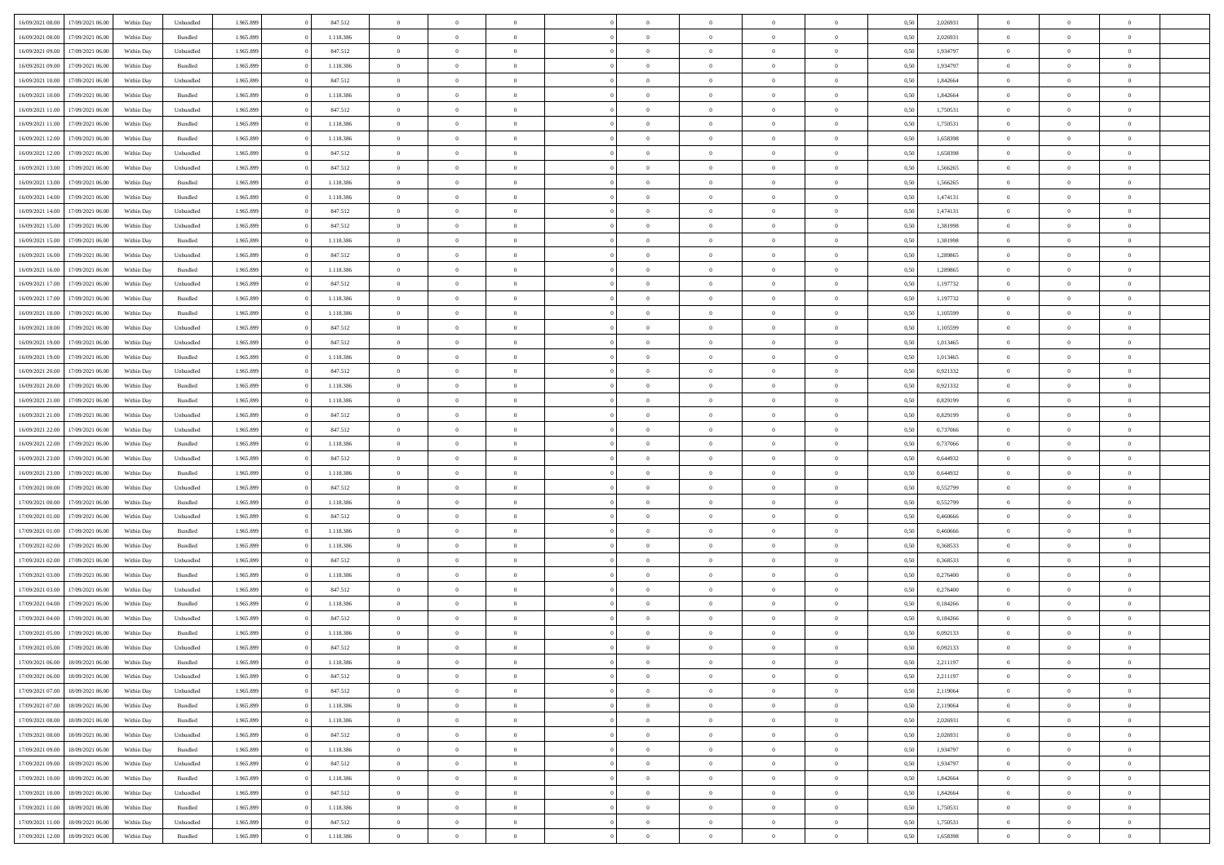| 16/09/2021 08:00 | 17/09/2021 06:00 | Within Dav | Unbundled          | 1.965.899 | 847.512   | $\overline{0}$ | $\theta$       |                | $\Omega$       | $\Omega$       | $\theta$       | $\theta$       | 0,50 | 2,026931 | $\theta$       | $\overline{0}$ | $\theta$       |  |
|------------------|------------------|------------|--------------------|-----------|-----------|----------------|----------------|----------------|----------------|----------------|----------------|----------------|------|----------|----------------|----------------|----------------|--|
|                  |                  |            |                    |           |           |                |                |                |                |                |                |                |      |          |                |                |                |  |
| 16/09/2021 08:00 | 17/09/2021 06:00 | Within Day | Bundled            | 1.965.899 | 1.118.386 | $\overline{0}$ | $\theta$       | $\overline{0}$ | $\overline{0}$ | $\bf{0}$       | $\overline{0}$ | $\bf{0}$       | 0,50 | 2,026931 | $\theta$       | $\overline{0}$ | $\overline{0}$ |  |
| 16/09/2021 09:00 | 17/09/2021 06:00 | Within Day | Unbundled          | 1.965.899 | 847.512   | $\overline{0}$ | $\bf{0}$       | $\overline{0}$ | $\overline{0}$ | $\bf{0}$       | $\overline{0}$ | $\mathbf{0}$   | 0,50 | 1,934797 | $\bf{0}$       | $\overline{0}$ | $\overline{0}$ |  |
| 16/09/2021 09:00 | 17/09/2021 06:00 | Within Dav | Bundled            | 1.965.899 | 1.118.386 | $\overline{0}$ | $\overline{0}$ | $\overline{0}$ | $\overline{0}$ | $\bf{0}$       | $\overline{0}$ | $\overline{0}$ | 0.50 | 1,934797 | $\theta$       | $\theta$       | $\overline{0}$ |  |
|                  |                  |            |                    |           |           | $\overline{0}$ | $\theta$       | $\overline{0}$ | $\overline{0}$ | $\bf{0}$       | $\overline{0}$ |                |      |          | $\,$ 0 $\,$    | $\overline{0}$ | $\overline{0}$ |  |
| 16/09/2021 10:00 | 17/09/2021 06:00 | Within Day | Unbundled          | 1.965.899 | 847.512   |                |                |                |                |                |                | $\bf{0}$       | 0,50 | 1,842664 |                |                |                |  |
| 16/09/2021 10:00 | 17/09/2021 06:00 | Within Day | Bundled            | 1.965.899 | 1.118.386 | $\overline{0}$ | $\overline{0}$ | $\overline{0}$ | $\overline{0}$ | $\overline{0}$ | $\overline{0}$ | $\mathbf{0}$   | 0,50 | 1,842664 | $\bf{0}$       | $\overline{0}$ | $\bf{0}$       |  |
| 16/09/2021 11:00 | 17/09/2021 06:00 | Within Dav | Unbundled          | 1.965.899 | 847.512   | $\overline{0}$ | $\overline{0}$ | $\overline{0}$ | $\overline{0}$ | $\overline{0}$ | $\overline{0}$ | $\overline{0}$ | 0.50 | 1,750531 | $\theta$       | $\overline{0}$ | $\overline{0}$ |  |
| 16/09/2021 11:00 | 17/09/2021 06:00 | Within Day | Bundled            | 1.965.899 | 1.118.386 | $\overline{0}$ | $\theta$       | $\overline{0}$ | $\overline{0}$ | $\bf{0}$       | $\overline{0}$ | $\bf{0}$       | 0,50 | 1,750531 | $\theta$       | $\theta$       | $\overline{0}$ |  |
| 16/09/2021 12:00 | 17/09/2021 06:00 | Within Day | Bundled            | 1.965.899 | 1.118.386 | $\overline{0}$ | $\overline{0}$ | $\overline{0}$ | $\overline{0}$ | $\bf{0}$       | $\overline{0}$ | $\mathbf{0}$   | 0,50 | 1,658398 | $\,0\,$        | $\overline{0}$ | $\overline{0}$ |  |
|                  |                  |            |                    |           |           |                | $\overline{0}$ |                |                | $\overline{0}$ |                |                |      |          | $\theta$       | $\overline{0}$ | $\overline{0}$ |  |
| 16/09/2021 12:00 | 17/09/2021 06:00 | Within Dav | Unbundled          | 1.965.899 | 847.512   | $\overline{0}$ |                | $\overline{0}$ | $\overline{0}$ |                | $\overline{0}$ | $\overline{0}$ | 0.50 | 1,658398 |                |                |                |  |
| 16/09/2021 13:00 | 17/09/2021 06:00 | Within Day | Unbundled          | 1.965.899 | 847.512   | $\overline{0}$ | $\theta$       | $\overline{0}$ | $\overline{0}$ | $\bf{0}$       | $\overline{0}$ | $\bf{0}$       | 0,50 | 1,566265 | $\,$ 0 $\,$    | $\overline{0}$ | $\overline{0}$ |  |
| 16/09/2021 13:00 | 17/09/2021 06:00 | Within Day | Bundled            | 1.965.899 | 1.118.386 | $\overline{0}$ | $\overline{0}$ | $\overline{0}$ | $\overline{0}$ | $\bf{0}$       | $\overline{0}$ | $\mathbf{0}$   | 0,50 | 1,566265 | $\bf{0}$       | $\overline{0}$ | $\bf{0}$       |  |
| 16/09/2021 14:00 | 17/09/2021 06:00 | Within Day | Bundled            | 1.965.899 | 1.118.386 | $\overline{0}$ | $\overline{0}$ | $\overline{0}$ | $\overline{0}$ | $\bf{0}$       | $\overline{0}$ | $\overline{0}$ | 0.50 | 1,474131 | $\theta$       | $\theta$       | $\overline{0}$ |  |
| 16/09/2021 14:00 | 17/09/2021 06:00 | Within Day | Unbundled          | 1.965.899 | 847.512   | $\overline{0}$ | $\theta$       | $\overline{0}$ | $\overline{0}$ | $\bf{0}$       | $\overline{0}$ | $\bf{0}$       | 0,50 | 1,474131 | $\theta$       | $\overline{0}$ | $\overline{0}$ |  |
|                  |                  |            |                    |           |           |                |                |                |                |                |                |                |      |          |                |                |                |  |
| 16/09/2021 15:00 | 17/09/2021 06:00 | Within Day | Unbundled          | 1.965.899 | 847.512   | $\overline{0}$ | $\overline{0}$ | $\overline{0}$ | $\overline{0}$ | $\overline{0}$ | $\overline{0}$ | $\mathbf{0}$   | 0,50 | 1,381998 | $\bf{0}$       | $\overline{0}$ | $\bf{0}$       |  |
| 16/09/2021 15:00 | 17/09/2021 06:00 | Within Dav | Bundled            | 1.965.899 | 1.118.386 | $\overline{0}$ | $\overline{0}$ | $\overline{0}$ | $\overline{0}$ | $\overline{0}$ | $\overline{0}$ | $\overline{0}$ | 0.50 | 1,381998 | $\overline{0}$ | $\overline{0}$ | $\overline{0}$ |  |
| 16/09/2021 16:00 | 17/09/2021 06:00 | Within Day | Unbundled          | 1.965.899 | 847.512   | $\overline{0}$ | $\theta$       | $\overline{0}$ | $\overline{0}$ | $\bf{0}$       | $\overline{0}$ | $\bf{0}$       | 0,50 | 1,289865 | $\,$ 0 $\,$    | $\overline{0}$ | $\overline{0}$ |  |
| 16/09/2021 16:00 | 17/09/2021 06:00 | Within Day | Bundled            | 1.965.899 | 1.118.386 | $\overline{0}$ | $\overline{0}$ | $\overline{0}$ | $\bf{0}$       | $\bf{0}$       | $\bf{0}$       | $\mathbf{0}$   | 0,50 | 1,289865 | $\bf{0}$       | $\overline{0}$ | $\bf{0}$       |  |
| 16/09/2021 17:00 | 17/09/2021 06:00 | Within Dav | Unbundled          | 1.965.899 | 847.512   | $\overline{0}$ | $\overline{0}$ | $\overline{0}$ | $\overline{0}$ | $\overline{0}$ | $\overline{0}$ | $\overline{0}$ | 0.50 | 1,197732 | $\theta$       | $\overline{0}$ | $\overline{0}$ |  |
| 16/09/2021 17:00 | 17/09/2021 06:00 | Within Day | Bundled            | 1.965.899 | 1.118.386 | $\overline{0}$ | $\theta$       | $\overline{0}$ | $\overline{0}$ | $\bf{0}$       | $\overline{0}$ | $\bf{0}$       | 0,50 | 1,197732 | $\,$ 0 $\,$    | $\overline{0}$ | $\overline{0}$ |  |
|                  |                  |            |                    |           |           |                |                |                |                |                |                |                |      |          |                |                |                |  |
| 16/09/2021 18:00 | 17/09/2021 06:00 | Within Day | Bundled            | 1.965.899 | 1.118.386 | $\overline{0}$ | $\overline{0}$ | $\overline{0}$ | $\bf{0}$       | $\bf{0}$       | $\bf{0}$       | $\mathbf{0}$   | 0,50 | 1,105599 | $\bf{0}$       | $\overline{0}$ | $\bf{0}$       |  |
| 16/09/2021 18:00 | 17/09/2021 06:00 | Within Day | Unbundled          | 1.965.899 | 847.512   | $\overline{0}$ | $\overline{0}$ | $\overline{0}$ | $\overline{0}$ | $\overline{0}$ | $\overline{0}$ | $\overline{0}$ | 0.50 | 1.105599 | $\theta$       | $\overline{0}$ | $\overline{0}$ |  |
| 16/09/2021 19:00 | 17/09/2021 06:00 | Within Day | Unbundled          | 1.965.899 | 847.512   | $\overline{0}$ | $\theta$       | $\overline{0}$ | $\overline{0}$ | $\bf{0}$       | $\overline{0}$ | $\bf{0}$       | 0,50 | 1,013465 | $\,$ 0 $\,$    | $\overline{0}$ | $\overline{0}$ |  |
| 16/09/2021 19:00 | 17/09/2021 06:00 | Within Day | Bundled            | 1.965.899 | 1.118.386 | $\overline{0}$ | $\overline{0}$ | $\overline{0}$ | $\bf{0}$       | $\overline{0}$ | $\overline{0}$ | $\mathbf{0}$   | 0,50 | 1,013465 | $\overline{0}$ | $\overline{0}$ | $\bf{0}$       |  |
| 16/09/2021 20:00 | 17/09/2021 06:00 | Within Dav | Unbundled          | 1.965.899 | 847.512   | $\overline{0}$ | $\overline{0}$ | $\overline{0}$ | $\overline{0}$ | $\overline{0}$ | $\overline{0}$ | $\overline{0}$ | 0.50 | 0.921332 | $\overline{0}$ | $\overline{0}$ | $\overline{0}$ |  |
| 16/09/2021 20:00 | 17/09/2021 06:00 | Within Day | Bundled            | 1.965.899 | 1.118.386 | $\overline{0}$ | $\theta$       | $\overline{0}$ | $\overline{0}$ | $\bf{0}$       | $\overline{0}$ | $\bf{0}$       | 0,50 | 0,921332 | $\theta$       | $\overline{0}$ | $\overline{0}$ |  |
| 16/09/2021 21:00 | 17/09/2021 06:00 | Within Day | Bundled            | 1.965.899 | 1.118.386 | $\overline{0}$ | $\overline{0}$ | $\overline{0}$ | $\bf{0}$       | $\bf{0}$       | $\bf{0}$       | $\mathbf{0}$   | 0,50 | 0,829199 | $\,0\,$        | $\overline{0}$ | $\overline{0}$ |  |
| 16/09/2021 21:00 | 17/09/2021 06:00 |            | Unbundled          | 1.965.899 | 847.512   | $\overline{0}$ | $\overline{0}$ | $\overline{0}$ | $\overline{0}$ | $\overline{0}$ | $\overline{0}$ | $\overline{0}$ | 0.50 | 0.829199 | $\theta$       | $\overline{0}$ | $\overline{0}$ |  |
|                  |                  | Within Day |                    |           |           |                |                |                |                |                |                |                |      |          |                |                |                |  |
| 16/09/2021 22:00 | 17/09/2021 06:00 | Within Day | Unbundled          | 1.965.899 | 847.512   | $\overline{0}$ | $\overline{0}$ | $\overline{0}$ | $\overline{0}$ | $\bf{0}$       | $\overline{0}$ | $\bf{0}$       | 0,50 | 0,737066 | $\,$ 0 $\,$    | $\overline{0}$ | $\overline{0}$ |  |
| 16/09/2021 22:00 | 17/09/2021 06:00 | Within Day | Bundled            | 1.965.899 | 1.118.386 | $\overline{0}$ | $\overline{0}$ | $\overline{0}$ | $\bf{0}$       | $\bf{0}$       | $\bf{0}$       | $\bf{0}$       | 0,50 | 0,737066 | $\overline{0}$ | $\overline{0}$ | $\bf{0}$       |  |
| 16/09/2021 23:00 | 17/09/2021 06:00 | Within Day | Unbundled          | 1.965.899 | 847.512   | $\overline{0}$ | $\Omega$       | $\overline{0}$ | $\Omega$       | $\overline{0}$ | $\overline{0}$ | $\overline{0}$ | 0,50 | 0.644932 | $\,0\,$        | $\theta$       | $\theta$       |  |
| 16/09/2021 23:00 | 17/09/2021 06:00 | Within Day | Bundled            | 1.965.899 | 1.118.386 | $\overline{0}$ | $\theta$       | $\overline{0}$ | $\overline{0}$ | $\bf{0}$       | $\overline{0}$ | $\bf{0}$       | 0,50 | 0,644932 | $\,$ 0 $\,$    | $\overline{0}$ | $\overline{0}$ |  |
| 17/09/2021 00:00 | 17/09/2021 06:00 | Within Day | Unbundled          | 1.965.899 | 847.512   | $\overline{0}$ | $\overline{0}$ | $\overline{0}$ | $\overline{0}$ | $\overline{0}$ | $\overline{0}$ | $\mathbf{0}$   | 0,50 | 0,552799 | $\bf{0}$       | $\overline{0}$ | $\bf{0}$       |  |
| 17/09/2021 00:00 | 17/09/2021 06:00 |            | Bundled            | 1.965.899 | 1.118.386 | $\overline{0}$ | $\Omega$       | $\Omega$       | $\Omega$       | $\overline{0}$ | $\overline{0}$ | $\overline{0}$ | 0.50 | 0,552799 | $\,0\,$        | $\theta$       | $\theta$       |  |
|                  |                  | Within Day |                    |           |           |                |                |                |                |                |                |                |      |          |                |                |                |  |
| 17/09/2021 01:00 | 17/09/2021 06:00 | Within Day | Unbundled          | 1.965.899 | 847.512   | $\overline{0}$ | $\theta$       | $\overline{0}$ | $\overline{0}$ | $\bf{0}$       | $\overline{0}$ | $\bf{0}$       | 0,50 | 0,460666 | $\,$ 0 $\,$    | $\overline{0}$ | $\overline{0}$ |  |
| 17/09/2021 01:00 | 17/09/2021 06:00 | Within Day | Bundled            | 1.965.899 | 1.118.386 | $\overline{0}$ | $\overline{0}$ | $\overline{0}$ | $\overline{0}$ | $\bf{0}$       | $\overline{0}$ | $\bf{0}$       | 0,50 | 0,460666 | $\bf{0}$       | $\overline{0}$ | $\bf{0}$       |  |
| 17/09/2021 02:00 | 17/09/2021 06:00 | Within Day | Bundled            | 1.965.899 | 1.118.386 | $\overline{0}$ | $\Omega$       | $\overline{0}$ | $\Omega$       | $\overline{0}$ | $\overline{0}$ | $\overline{0}$ | 0.50 | 0.368533 | $\,$ 0 $\,$    | $\theta$       | $\theta$       |  |
| 17/09/2021 02:00 | 17/09/2021 06:00 | Within Day | Unbundled          | 1.965.899 | 847.512   | $\overline{0}$ | $\overline{0}$ | $\overline{0}$ | $\overline{0}$ | $\,$ 0         | $\overline{0}$ | $\bf{0}$       | 0,50 | 0,368533 | $\,$ 0 $\,$    | $\overline{0}$ | $\overline{0}$ |  |
| 17/09/2021 03:00 | 17/09/2021 06:00 | Within Day | Bundled            | 1.965.899 | 1.118.386 | $\overline{0}$ | $\overline{0}$ | $\overline{0}$ | $\overline{0}$ | $\bf{0}$       | $\overline{0}$ | $\mathbf{0}$   | 0,50 | 0,276400 | $\bf{0}$       | $\overline{0}$ | $\bf{0}$       |  |
| 17/09/2021 03:00 | 17/09/2021 06:00 |            | Unbundled          | 1.965.899 | 847.512   | $\overline{0}$ | $\Omega$       | $\overline{0}$ | $\Omega$       | $\overline{0}$ | $\overline{0}$ | $\overline{0}$ | 0,50 | 0,276400 | $\,0\,$        | $\theta$       | $\theta$       |  |
|                  |                  | Within Day |                    |           |           |                | $\overline{0}$ |                |                |                |                |                |      |          |                |                |                |  |
| 17/09/2021 04:00 | 17/09/2021 06:00 | Within Day | Bundled            | 1.965.899 | 1.118.386 | $\overline{0}$ |                | $\overline{0}$ | $\overline{0}$ | $\,$ 0         | $\overline{0}$ | $\bf{0}$       | 0,50 | 0,184266 | $\,$ 0 $\,$    | $\overline{0}$ | $\overline{0}$ |  |
| 17/09/2021 04:00 | 17/09/2021 06:00 | Within Day | Unbundled          | 1.965.899 | 847.512   | $\overline{0}$ | $\overline{0}$ | $\overline{0}$ | $\overline{0}$ | $\bf{0}$       | $\overline{0}$ | $\mathbf{0}$   | 0,50 | 0,184266 | $\bf{0}$       | $\overline{0}$ | $\bf{0}$       |  |
| 17/09/2021 05:00 | 17/09/2021 06:00 | Within Day | Bundled            | 1.965.899 | 1.118.386 | $\overline{0}$ | $\Omega$       | $\Omega$       | $\Omega$       | $\Omega$       | $\Omega$       | $\overline{0}$ | 0.50 | 0.092133 | $\theta$       | $\theta$       | $\theta$       |  |
| 17/09/2021 05:00 | 17/09/2021 06:00 | Within Day | Unbundled          | 1.965.899 | 847.512   | $\overline{0}$ | $\overline{0}$ | $\overline{0}$ | $\bf{0}$       | $\,$ 0         | $\overline{0}$ | $\bf{0}$       | 0,50 | 0,092133 | $\,0\,$        | $\,0\,$        | $\overline{0}$ |  |
| 17/09/2021 06:00 | 18/09/2021 06:00 | Within Day | $\mathbf B$ undled | 1.965.899 | 1.118.386 | $\overline{0}$ | $\bf{0}$       |                |                | $\bf{0}$       |                |                | 0,50 | 2,211197 | $\bf{0}$       | $\overline{0}$ |                |  |
| 17/09/2021 06:00 | 18/09/2021 06:00 | Within Day | Unbundled          | 1.965.899 | 847.512   | $\overline{0}$ | $\overline{0}$ | $\overline{0}$ | $\Omega$       | $\overline{0}$ | $\overline{0}$ | $\overline{0}$ | 0,50 | 2,211197 | $\theta$       | $\theta$       | $\Omega$       |  |
| 17/09/2021 07:00 | 18/09/2021 06:00 | Within Day | Unbundled          | 1.965.899 | 847.512   | $\overline{0}$ | $\bf{0}$       | $\overline{0}$ | $\overline{0}$ | $\,$ 0 $\,$    | $\overline{0}$ | $\,$ 0 $\,$    | 0,50 | 2,119064 | $\,$ 0 $\,$    | $\,$ 0 $\,$    | $\,$ 0         |  |
|                  |                  |            |                    |           |           |                |                |                |                |                |                |                |      |          |                |                |                |  |
| 17/09/2021 07:00 | 18/09/2021 06:00 | Within Day | Bundled            | 1.965.899 | 1.118.386 | $\overline{0}$ | $\overline{0}$ | $\overline{0}$ | $\overline{0}$ | $\overline{0}$ | $\overline{0}$ | $\mathbf{0}$   | 0,50 | 2,119064 | $\overline{0}$ | $\bf{0}$       | $\overline{0}$ |  |
| 17/09/2021 08:00 | 18/09/2021 06:00 | Within Day | $\mathbf B$ undled | 1.965.899 | 1.118.386 | $\overline{0}$ | $\overline{0}$ | $\overline{0}$ | $\Omega$       | $\overline{0}$ | $\overline{0}$ | $\overline{0}$ | 0,50 | 2,026931 | $\overline{0}$ | $\theta$       | $\overline{0}$ |  |
| 17/09/2021 08:00 | 18/09/2021 06:00 | Within Day | Unbundled          | 1.965.899 | 847.512   | $\overline{0}$ | $\,$ 0         | $\overline{0}$ | $\overline{0}$ | $\,$ 0 $\,$    | $\overline{0}$ | $\mathbf{0}$   | 0,50 | 2,026931 | $\,$ 0 $\,$    | $\overline{0}$ | $\overline{0}$ |  |
| 17/09/2021 09:00 | 18/09/2021 06:00 | Within Day | Bundled            | 1.965.899 | 1.118.386 | $\overline{0}$ | $\overline{0}$ | $\overline{0}$ | $\overline{0}$ | $\overline{0}$ | $\overline{0}$ | $\mathbf{0}$   | 0,50 | 1,934797 | $\overline{0}$ | $\overline{0}$ | $\bf{0}$       |  |
| 17/09/2021 09:00 | 18/09/2021 06:00 | Within Day | Unbundled          | 1.965.899 | 847.512   | $\overline{0}$ | $\overline{0}$ | $\overline{0}$ | $\overline{0}$ | $\overline{0}$ | $\overline{0}$ | $\bf{0}$       | 0.50 | 1,934797 | $\overline{0}$ | $\theta$       | $\overline{0}$ |  |
| 17/09/2021 10:00 | 18/09/2021 06:00 | Within Day | Bundled            | 1.965.899 | 1.118.386 | $\overline{0}$ | $\,$ 0         | $\overline{0}$ | $\bf{0}$       | $\bf{0}$       | $\bf{0}$       | $\bf{0}$       | 0,50 | 1,842664 | $\,$ 0 $\,$    | $\overline{0}$ | $\overline{0}$ |  |
| 17/09/2021 10:00 | 18/09/2021 06:00 | Within Day | Unbundled          | 1.965.899 | 847.512   | $\overline{0}$ | $\bf{0}$       | $\overline{0}$ | $\overline{0}$ | $\overline{0}$ | $\overline{0}$ | $\mathbf{0}$   | 0,50 | 1,842664 | $\overline{0}$ | $\overline{0}$ | $\bf{0}$       |  |
|                  |                  |            |                    |           |           |                |                |                |                |                |                |                |      |          |                |                |                |  |
| 17/09/2021 11:00 | 18/09/2021 06:00 | Within Day | Bundled            | 1.965.899 | 1.118.386 | $\overline{0}$ | $\overline{0}$ | $\overline{0}$ | $\Omega$       | $\overline{0}$ | $\overline{0}$ | $\overline{0}$ | 0.50 | 1,750531 | $\overline{0}$ | $\overline{0}$ | $\overline{0}$ |  |
| 17/09/2021 11:00 | 18/09/2021 06:00 | Within Day | Unbundled          | 1.965.899 | 847.512   | $\overline{0}$ | $\bf{0}$       | $\overline{0}$ | $\bf{0}$       | $\bf{0}$       | $\bf{0}$       | $\mathbf{0}$   | 0,50 | 1,750531 | $\,$ 0 $\,$    | $\,$ 0 $\,$    | $\bf{0}$       |  |
| 17/09/2021 12:00 | 18/09/2021 06:00 | Within Day | Bundled            | 1.965.899 | 1.118.386 | $\overline{0}$ | $\overline{0}$ | $\overline{0}$ | $\overline{0}$ | $\overline{0}$ | $\bf{0}$       | $\mathbf{0}$   | 0,50 | 1,658398 | $\overline{0}$ | $\bf{0}$       | $\overline{0}$ |  |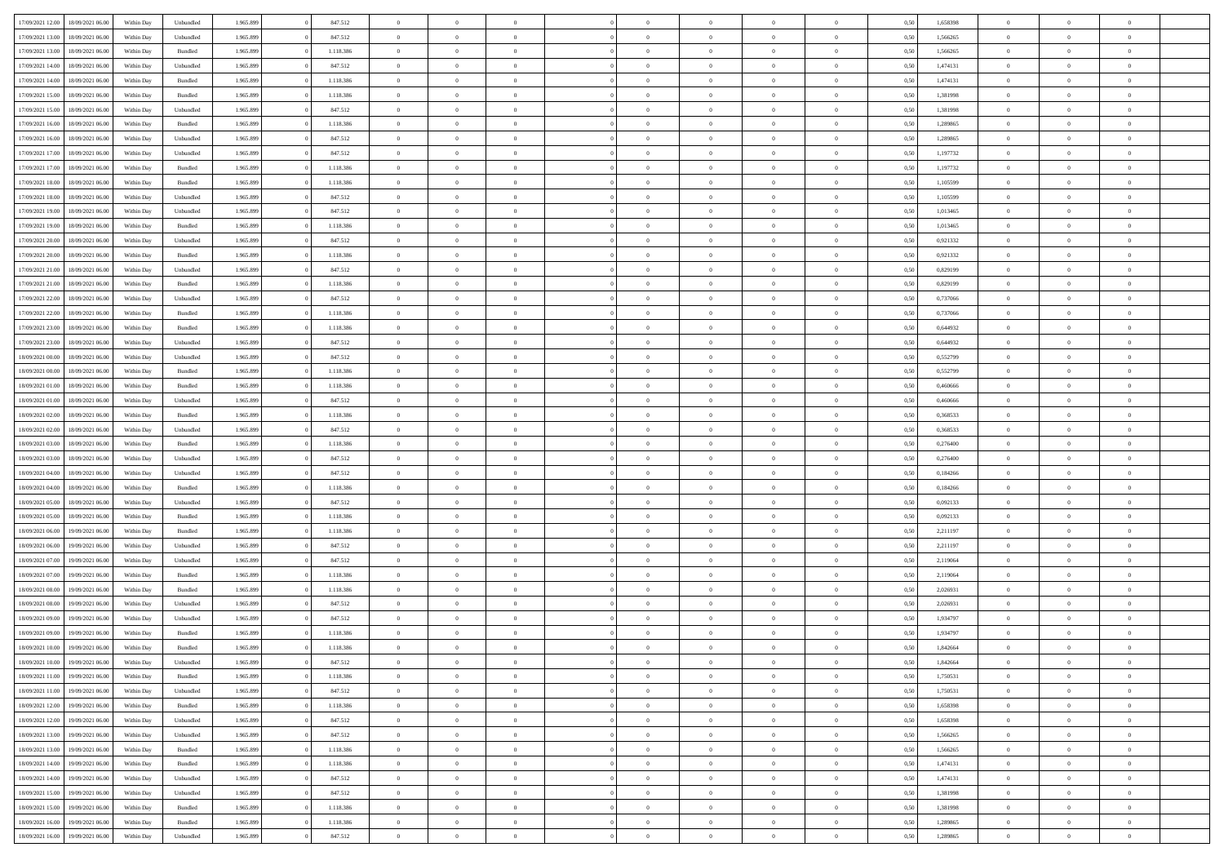| 17/09/2021 12:00 | 18/09/2021 06:00 | Within Day | Unbundled | 1.965.899 | 847.512   | $\overline{0}$ | $\Omega$       |                | $\Omega$       | $\Omega$       | $\theta$       | $\theta$       | 0,50 | 1,658398 | $\theta$       | $\theta$       | $\theta$       |  |
|------------------|------------------|------------|-----------|-----------|-----------|----------------|----------------|----------------|----------------|----------------|----------------|----------------|------|----------|----------------|----------------|----------------|--|
|                  |                  |            |           |           |           |                |                |                |                |                |                |                |      |          |                |                |                |  |
| 17/09/2021 13:00 | 18/09/2021 06:00 | Within Day | Unbundled | 1.965.899 | 847.512   | $\overline{0}$ | $\theta$       | $\overline{0}$ | $\overline{0}$ | $\bf{0}$       | $\overline{0}$ | $\bf{0}$       | 0,50 | 1,566265 | $\theta$       | $\theta$       | $\overline{0}$ |  |
| 17/09/2021 13:00 | 18/09/2021 06:00 | Within Day | Bundled   | 1.965.899 | 1.118.386 | $\overline{0}$ | $\overline{0}$ | $\overline{0}$ | $\bf{0}$       | $\bf{0}$       | $\bf{0}$       | $\mathbf{0}$   | 0,50 | 1,566265 | $\overline{0}$ | $\overline{0}$ | $\overline{0}$ |  |
| 17/09/2021 14:00 | 18/09/2021 06:00 | Within Dav | Unbundled | 1.965.899 | 847.512   | $\overline{0}$ | $\overline{0}$ | $\overline{0}$ | $\overline{0}$ | $\bf{0}$       | $\overline{0}$ | $\overline{0}$ | 0.50 | 1,474131 | $\theta$       | $\theta$       | $\overline{0}$ |  |
|                  |                  |            |           |           |           |                |                |                |                |                |                |                |      |          |                |                |                |  |
| 17/09/2021 14:00 | 18/09/2021 06:00 | Within Day | Bundled   | 1.965.899 | 1.118.386 | $\overline{0}$ | $\theta$       | $\overline{0}$ | $\overline{0}$ | $\bf{0}$       | $\overline{0}$ | $\bf{0}$       | 0,50 | 1,474131 | $\theta$       | $\overline{0}$ | $\overline{0}$ |  |
| 17/09/2021 15:00 | 18/09/2021 06:00 | Within Day | Bundled   | 1.965.899 | 1.118.386 | $\overline{0}$ | $\bf{0}$       | $\overline{0}$ | $\bf{0}$       | $\overline{0}$ | $\overline{0}$ | $\mathbf{0}$   | 0,50 | 1,381998 | $\overline{0}$ | $\overline{0}$ | $\bf{0}$       |  |
| 17/09/2021 15:00 | 18/09/2021 06:00 | Within Dav | Unbundled | 1.965.899 | 847.512   | $\overline{0}$ | $\overline{0}$ | $\overline{0}$ | $\overline{0}$ | $\overline{0}$ | $\overline{0}$ | $\overline{0}$ | 0.50 | 1,381998 | $\theta$       | $\overline{0}$ | $\overline{0}$ |  |
| 17/09/2021 16:00 | 18/09/2021 06:00 | Within Day | Bundled   | 1.965.899 | 1.118.386 | $\overline{0}$ | $\theta$       | $\overline{0}$ | $\overline{0}$ | $\bf{0}$       | $\overline{0}$ | $\bf{0}$       | 0,50 | 1,289865 | $\theta$       | $\theta$       | $\overline{0}$ |  |
| 17/09/2021 16:00 | 18/09/2021 06:00 | Within Day | Unbundled | 1.965.899 | 847.512   | $\overline{0}$ | $\overline{0}$ | $\overline{0}$ | $\bf{0}$       | $\bf{0}$       | $\bf{0}$       | $\bf{0}$       | 0,50 | 1,289865 | $\,0\,$        | $\overline{0}$ | $\overline{0}$ |  |
|                  |                  |            |           |           |           |                |                |                |                |                |                |                |      |          |                |                |                |  |
| 17/09/2021 17:00 | 18/09/2021 06:00 | Within Dav | Unbundled | 1.965.899 | 847.512   | $\overline{0}$ | $\overline{0}$ | $\overline{0}$ | $\overline{0}$ | $\overline{0}$ | $\overline{0}$ | $\overline{0}$ | 0.50 | 1,197732 | $\theta$       | $\overline{0}$ | $\overline{0}$ |  |
| 17/09/2021 17:00 | 18/09/2021 06:00 | Within Day | Bundled   | 1.965.899 | 1.118.386 | $\overline{0}$ | $\theta$       | $\overline{0}$ | $\overline{0}$ | $\bf{0}$       | $\overline{0}$ | $\bf{0}$       | 0,50 | 1,197732 | $\,$ 0 $\,$    | $\overline{0}$ | $\overline{0}$ |  |
| 17/09/2021 18:00 | 18/09/2021 06:00 | Within Day | Bundled   | 1.965.899 | 1.118.386 | $\overline{0}$ | $\overline{0}$ | $\overline{0}$ | $\bf{0}$       | $\bf{0}$       | $\bf{0}$       | $\bf{0}$       | 0,50 | 1,105599 | $\overline{0}$ | $\overline{0}$ | $\overline{0}$ |  |
| 17/09/2021 18:00 | 18/09/2021 06:00 | Within Day | Unbundled | 1.965.899 | 847.512   | $\overline{0}$ | $\overline{0}$ | $\overline{0}$ | $\overline{0}$ | $\bf{0}$       | $\overline{0}$ | $\overline{0}$ | 0.50 | 1,105599 | $\theta$       | $\theta$       | $\overline{0}$ |  |
| 17/09/2021 19:00 | 18/09/2021 06:00 | Within Day | Unbundled | 1.965.899 | 847.512   | $\overline{0}$ | $\theta$       | $\overline{0}$ | $\overline{0}$ | $\bf{0}$       | $\overline{0}$ | $\bf{0}$       | 0,50 | 1,013465 | $\theta$       | $\overline{0}$ | $\overline{0}$ |  |
|                  |                  |            |           |           |           |                |                |                |                |                |                |                |      |          |                |                |                |  |
| 17/09/2021 19:00 | 18/09/2021 06:00 | Within Day | Bundled   | 1.965.899 | 1.118.386 | $\overline{0}$ | $\bf{0}$       | $\overline{0}$ | $\overline{0}$ | $\overline{0}$ | $\overline{0}$ | $\mathbf{0}$   | 0,50 | 1,013465 | $\bf{0}$       | $\overline{0}$ | $\bf{0}$       |  |
| 17/09/2021 20:00 | 18/09/2021 06:00 | Within Dav | Unbundled | 1.965.899 | 847.512   | $\overline{0}$ | $\overline{0}$ | $\overline{0}$ | $\overline{0}$ | $\overline{0}$ | $\overline{0}$ | $\overline{0}$ | 0.50 | 0.921332 | $\theta$       | $\overline{0}$ | $\overline{0}$ |  |
| 17/09/2021 20:00 | 18/09/2021 06:00 | Within Day | Bundled   | 1.965.899 | 1.118.386 | $\overline{0}$ | $\theta$       | $\overline{0}$ | $\overline{0}$ | $\bf{0}$       | $\overline{0}$ | $\bf{0}$       | 0,50 | 0,921332 | $\,$ 0 $\,$    | $\theta$       | $\overline{0}$ |  |
| 17/09/2021 21.00 | 18/09/2021 06:00 | Within Day | Unbundled | 1.965.899 | 847.512   | $\overline{0}$ | $\overline{0}$ | $\overline{0}$ | $\overline{0}$ | $\bf{0}$       | $\overline{0}$ | $\bf{0}$       | 0,50 | 0,829199 | $\,0\,$        | $\overline{0}$ | $\overline{0}$ |  |
| 17/09/2021 21:00 | 18/09/2021 06:00 | Within Day | Bundled   | 1.965.899 | 1.118.386 | $\overline{0}$ | $\overline{0}$ | $\overline{0}$ | $\overline{0}$ | $\overline{0}$ | $\overline{0}$ | $\overline{0}$ | 0.50 | 0.829199 | $\theta$       | $\overline{0}$ | $\overline{0}$ |  |
| 17/09/2021 22:00 | 18/09/2021 06:00 |            |           | 1.965.899 | 847.512   | $\overline{0}$ | $\theta$       | $\overline{0}$ | $\overline{0}$ | $\bf{0}$       | $\overline{0}$ |                |      | 0,737066 | $\,$ 0 $\,$    | $\theta$       | $\overline{0}$ |  |
|                  |                  | Within Day | Unbundled |           |           |                |                |                |                |                |                | $\bf{0}$       | 0,50 |          |                |                |                |  |
| 17/09/2021 22.00 | 18/09/2021 06:00 | Within Day | Bundled   | 1.965.899 | 1.118.386 | $\overline{0}$ | $\overline{0}$ | $\overline{0}$ | $\overline{0}$ | $\bf{0}$       | $\overline{0}$ | $\bf{0}$       | 0,50 | 0,737066 | $\bf{0}$       | $\overline{0}$ | $\overline{0}$ |  |
| 17/09/2021 23:00 | 18/09/2021 06:00 | Within Day | Bundled   | 1.965.899 | 1.118.386 | $\overline{0}$ | $\overline{0}$ | $\overline{0}$ | $\overline{0}$ | $\bf{0}$       | $\overline{0}$ | $\overline{0}$ | 0.50 | 0,644932 | $\theta$       | $\overline{0}$ | $\overline{0}$ |  |
| 17/09/2021 23:00 | 18/09/2021 06:00 | Within Day | Unbundled | 1.965.899 | 847.512   | $\overline{0}$ | $\theta$       | $\overline{0}$ | $\overline{0}$ | $\bf{0}$       | $\overline{0}$ | $\bf{0}$       | 0,50 | 0,644932 | $\,$ 0 $\,$    | $\overline{0}$ | $\overline{0}$ |  |
| 18/09/2021 00:00 | 18/09/2021 06:00 | Within Day | Unbundled | 1.965.899 | 847.512   | $\overline{0}$ | $\bf{0}$       | $\overline{0}$ | $\overline{0}$ | $\overline{0}$ | $\overline{0}$ | $\mathbf{0}$   | 0,50 | 0,552799 | $\bf{0}$       | $\overline{0}$ | $\bf{0}$       |  |
| 18/09/2021 00:00 | 18/09/2021 06:00 | Within Dav | Bundled   | 1.965.899 | 1.118.386 | $\overline{0}$ | $\overline{0}$ | $\overline{0}$ | $\overline{0}$ | $\overline{0}$ | $\overline{0}$ | $\overline{0}$ | 0.50 | 0,552799 | $\overline{0}$ | $\overline{0}$ | $\overline{0}$ |  |
| 18/09/2021 01:00 | 18/09/2021 06:00 | Within Day | Bundled   | 1.965.899 | 1.118.386 | $\overline{0}$ | $\theta$       | $\overline{0}$ | $\overline{0}$ | $\bf{0}$       | $\overline{0}$ | $\bf{0}$       | 0,50 | 0,460666 | $\theta$       | $\theta$       | $\overline{0}$ |  |
|                  |                  |            |           |           |           |                |                |                |                |                |                |                |      |          |                |                |                |  |
| 18/09/2021 01:00 | 18/09/2021 06:00 | Within Day | Unbundled | 1.965.899 | 847.512   | $\overline{0}$ | $\overline{0}$ | $\overline{0}$ | $\overline{0}$ | $\bf{0}$       | $\overline{0}$ | $\bf{0}$       | 0,50 | 0,460666 | $\,0\,$        | $\overline{0}$ | $\overline{0}$ |  |
| 18/09/2021 02:00 | 18/09/2021 06:00 | Within Day | Bundled   | 1.965.899 | 1.118.386 | $\overline{0}$ | $\overline{0}$ | $\overline{0}$ | $\overline{0}$ | $\overline{0}$ | $\overline{0}$ | $\overline{0}$ | 0.50 | 0,368533 | $\theta$       | $\overline{0}$ | $\overline{0}$ |  |
| 18/09/2021 02:00 | 18/09/2021 06:00 | Within Day | Unbundled | 1.965.899 | 847.512   | $\overline{0}$ | $\theta$       | $\overline{0}$ | $\overline{0}$ | $\bf{0}$       | $\overline{0}$ | $\bf{0}$       | 0,50 | 0,368533 | $\,$ 0 $\,$    | $\overline{0}$ | $\overline{0}$ |  |
| 18/09/2021 03:00 | 18/09/2021 06:00 | Within Day | Bundled   | 1.965.899 | 1.118.386 | $\overline{0}$ | $\overline{0}$ | $\overline{0}$ | $\overline{0}$ | $\bf{0}$       | $\overline{0}$ | $\bf{0}$       | 0,50 | 0,276400 | $\bf{0}$       | $\overline{0}$ | $\overline{0}$ |  |
| 18/09/2021 03:00 | 18/09/2021 06:00 | Within Day | Unbundled | 1.965.899 | 847.512   | $\overline{0}$ | $\Omega$       | $\overline{0}$ | $\Omega$       | $\Omega$       | $\overline{0}$ | $\overline{0}$ | 0,50 | 0,276400 | $\,0\,$        | $\theta$       | $\theta$       |  |
| 18/09/2021 04:00 | 18/09/2021 06:00 | Within Day | Unbundled | 1.965.899 | 847.512   | $\overline{0}$ | $\theta$       | $\overline{0}$ | $\overline{0}$ | $\bf{0}$       | $\overline{0}$ | $\bf{0}$       | 0,50 | 0,184266 | $\,$ 0 $\,$    | $\theta$       | $\overline{0}$ |  |
|                  |                  |            |           |           |           |                |                |                |                |                |                |                |      |          |                |                |                |  |
| 18/09/2021 04:00 | 18/09/2021 06:00 | Within Day | Bundled   | 1.965.899 | 1.118.386 | $\overline{0}$ | $\overline{0}$ | $\overline{0}$ | $\overline{0}$ | $\bf{0}$       | $\overline{0}$ | $\mathbf{0}$   | 0,50 | 0,184266 | $\bf{0}$       | $\overline{0}$ | $\bf{0}$       |  |
| 18/09/2021 05:00 | 18/09/2021 06:00 | Within Day | Unbundled | 1.965.899 | 847.512   | $\overline{0}$ | $\Omega$       | $\Omega$       | $\Omega$       | $\bf{0}$       | $\overline{0}$ | $\overline{0}$ | 0.50 | 0.092133 | $\,0\,$        | $\theta$       | $\theta$       |  |
| 18/09/2021 05:00 | 18/09/2021 06:00 | Within Day | Bundled   | 1.965.899 | 1.118.386 | $\overline{0}$ | $\theta$       | $\overline{0}$ | $\overline{0}$ | $\bf{0}$       | $\overline{0}$ | $\bf{0}$       | 0,50 | 0,092133 | $\,$ 0 $\,$    | $\theta$       | $\overline{0}$ |  |
| 18/09/2021 06:00 | 19/09/2021 06:00 | Within Day | Bundled   | 1.965.899 | 1.118.386 | $\overline{0}$ | $\overline{0}$ | $\overline{0}$ | $\bf{0}$       | $\bf{0}$       | $\bf{0}$       | $\bf{0}$       | 0,50 | 2,211197 | $\bf{0}$       | $\overline{0}$ | $\overline{0}$ |  |
| 18/09/2021 06:00 | 19/09/2021 06:00 | Within Day | Unbundled | 1.965.899 | 847.512   | $\overline{0}$ | $\Omega$       | $\overline{0}$ | $\Omega$       | $\theta$       | $\overline{0}$ | $\overline{0}$ | 0.50 | 2,211197 | $\,$ 0 $\,$    | $\theta$       | $\theta$       |  |
| 18/09/2021 07:00 | 19/09/2021 06:00 | Within Day | Unbundled | 1.965.899 | 847.512   | $\overline{0}$ | $\theta$       | $\overline{0}$ | $\overline{0}$ | $\bf{0}$       | $\overline{0}$ | $\bf{0}$       | 0,50 | 2,119064 | $\,$ 0 $\,$    | $\overline{0}$ | $\overline{0}$ |  |
|                  |                  |            |           |           |           |                |                |                |                |                |                |                |      |          |                |                |                |  |
| 18/09/2021 07:00 | 19/09/2021 06:00 | Within Day | Bundled   | 1.965.899 | 1.118.386 | $\overline{0}$ | $\overline{0}$ | $\overline{0}$ | $\bf{0}$       | $\bf{0}$       | $\bf{0}$       | $\bf{0}$       | 0,50 | 2,119064 | $\bf{0}$       | $\overline{0}$ | $\overline{0}$ |  |
| 18/09/2021 08:00 | 19/09/2021 06:00 | Within Day | Bundled   | 1.965.899 | 1.118.386 | $\overline{0}$ | $\Omega$       | $\overline{0}$ | $\Omega$       | $\overline{0}$ | $\overline{0}$ | $\overline{0}$ | 0.50 | 2,026931 | $\,0\,$        | $\theta$       | $\theta$       |  |
| 18/09/2021 08:00 | 19/09/2021 06:00 | Within Day | Unbundled | 1.965.899 | 847.512   | $\overline{0}$ | $\theta$       | $\overline{0}$ | $\overline{0}$ | $\,$ 0         | $\overline{0}$ | $\bf{0}$       | 0,50 | 2,026931 | $\,$ 0 $\,$    | $\overline{0}$ | $\overline{0}$ |  |
| 18/09/2021 09:00 | 19/09/2021 06:00 | Within Day | Unbundled | 1.965.899 | 847.512   | $\overline{0}$ | $\overline{0}$ | $\overline{0}$ | $\bf{0}$       | $\bf{0}$       | $\bf{0}$       | $\mathbf{0}$   | 0,50 | 1,934797 | $\overline{0}$ | $\overline{0}$ | $\bf{0}$       |  |
| 18/09/2021 09:00 | 19/09/2021 06:00 | Within Day | Bundled   | 1.965.899 | 1.118.386 | $\overline{0}$ | $\Omega$       | $\Omega$       | $\Omega$       | $\Omega$       | $\Omega$       | $\overline{0}$ | 0.50 | 1,934797 | $\theta$       | $\theta$       | $\theta$       |  |
| 18/09/2021 10:00 | 19/09/2021 06:00 | Within Day | Bundled   | 1.965.899 | 1.118.386 | $\overline{0}$ | $\overline{0}$ | $\overline{0}$ | $\bf{0}$       | $\,$ 0         | $\bf{0}$       | $\bf{0}$       | 0,50 | 1,842664 | $\,0\,$        | $\overline{0}$ | $\overline{0}$ |  |
| 18/09/2021 10:00 | 19/09/2021 06:00 | Within Day | Unbundled | 1.965.899 | 847.512   | $\bf{0}$       | $\bf{0}$       |                |                | $\bf{0}$       |                |                | 0,50 | 1,842664 | $\bf{0}$       | $\overline{0}$ |                |  |
|                  |                  |            |           |           |           |                |                |                |                |                |                |                |      |          |                |                |                |  |
| 18/09/2021 11:00 | 19/09/2021 06:00 | Within Day | Bundled   | 1.965.899 | 1.118.386 | $\overline{0}$ | $\overline{0}$ | $\overline{0}$ | $\Omega$       | $\overline{0}$ | $\overline{0}$ | $\overline{0}$ | 0,50 | 1,750531 | $\theta$       | $\theta$       | $\theta$       |  |
| 18/09/2021 11:00 | 19/09/2021 06:00 | Within Day | Unbundled | 1.965.899 | 847.512   | $\overline{0}$ | $\bf{0}$       | $\overline{0}$ | $\bf{0}$       | $\,$ 0 $\,$    | $\overline{0}$ | $\,$ 0 $\,$    | 0,50 | 1,750531 | $\,$ 0 $\,$    | $\,$ 0 $\,$    | $\,$ 0         |  |
| 18/09/2021 12:00 | 19/09/2021 06:00 | Within Day | Bundled   | 1.965.899 | 1.118.386 | $\overline{0}$ | $\overline{0}$ | $\overline{0}$ | $\overline{0}$ | $\overline{0}$ | $\overline{0}$ | $\mathbf{0}$   | 0,50 | 1,658398 | $\overline{0}$ | $\bf{0}$       | $\overline{0}$ |  |
| 18/09/2021 12:00 | 19/09/2021 06:00 | Within Day | Unbundled | 1.965.899 | 847.512   | $\overline{0}$ | $\overline{0}$ | $\overline{0}$ | $\Omega$       | $\overline{0}$ | $\overline{0}$ | $\overline{0}$ | 0,50 | 1,658398 | $\overline{0}$ | $\theta$       | $\overline{0}$ |  |
| 18/09/2021 13:00 | 19/09/2021 06:00 | Within Day | Unbundled | 1.965.899 | 847.512   | $\overline{0}$ | $\,$ 0         | $\overline{0}$ | $\bf{0}$       | $\,$ 0 $\,$    | $\overline{0}$ | $\,$ 0 $\,$    | 0,50 | 1,566265 | $\,$ 0 $\,$    | $\overline{0}$ | $\overline{0}$ |  |
| 18/09/2021 13:00 | 19/09/2021 06:00 | Within Day | Bundled   | 1.965.899 | 1.118.386 | $\overline{0}$ | $\overline{0}$ | $\overline{0}$ | $\overline{0}$ | $\overline{0}$ | $\overline{0}$ | $\mathbf{0}$   | 0,50 | 1,566265 | $\overline{0}$ | $\overline{0}$ | $\overline{0}$ |  |
|                  |                  |            |           |           |           |                |                |                |                |                |                |                |      |          |                |                |                |  |
| 18/09/2021 14:00 | 19/09/2021 06:00 | Within Day | Bundled   | 1.965.899 | 1.118.386 | $\overline{0}$ | $\overline{0}$ | $\overline{0}$ | $\overline{0}$ | $\overline{0}$ | $\overline{0}$ | $\bf{0}$       | 0.50 | 1,474131 | $\overline{0}$ | $\theta$       | $\overline{0}$ |  |
| 18/09/2021 14:00 | 19/09/2021 06:00 | Within Day | Unbundled | 1.965.899 | 847.512   | $\overline{0}$ | $\,$ 0         | $\overline{0}$ | $\bf{0}$       | $\bf{0}$       | $\bf{0}$       | $\bf{0}$       | 0,50 | 1,474131 | $\,$ 0 $\,$    | $\overline{0}$ | $\overline{0}$ |  |
| 18/09/2021 15:00 | 19/09/2021 06:00 | Within Day | Unbundled | 1.965.899 | 847.512   | $\overline{0}$ | $\bf{0}$       | $\overline{0}$ | $\overline{0}$ | $\overline{0}$ | $\overline{0}$ | $\mathbf{0}$   | 0,50 | 1,381998 | $\overline{0}$ | $\overline{0}$ | $\bf{0}$       |  |
| 18/09/2021 15:00 | 19/09/2021 06:00 | Within Day | Bundled   | 1.965.899 | 1.118.386 | $\overline{0}$ | $\overline{0}$ | $\overline{0}$ | $\Omega$       | $\overline{0}$ | $\overline{0}$ | $\overline{0}$ | 0.50 | 1,381998 | $\overline{0}$ | $\overline{0}$ | $\overline{0}$ |  |
| 18/09/2021 16:00 | 19/09/2021 06:00 | Within Day | Bundled   | 1.965.899 | 1.118.386 | $\overline{0}$ | $\bf{0}$       | $\overline{0}$ | $\bf{0}$       | $\bf{0}$       | $\bf{0}$       | $\mathbf{0}$   | 0,50 | 1,289865 | $\,$ 0 $\,$    | $\,$ 0 $\,$    | $\bf{0}$       |  |
| 18/09/2021 16:00 | 19/09/2021 06:00 | Within Day | Unbundled | 1.965.899 | 847.512   | $\overline{0}$ | $\overline{0}$ | $\overline{0}$ | $\overline{0}$ | $\overline{0}$ | $\bf{0}$       | $\mathbf{0}$   | 0,50 | 1,289865 | $\overline{0}$ | $\bf{0}$       | $\overline{0}$ |  |
|                  |                  |            |           |           |           |                |                |                |                |                |                |                |      |          |                |                |                |  |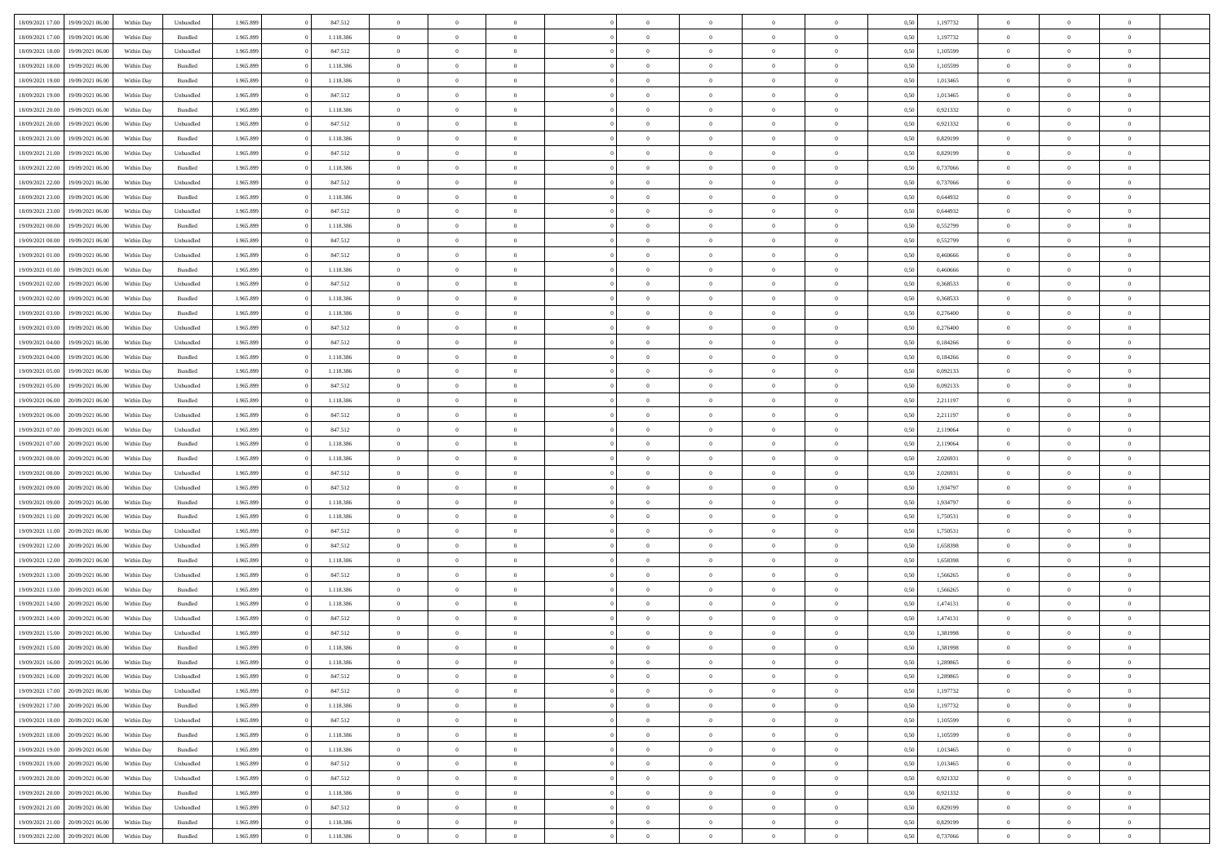| 18/09/2021 17:00 | 19/09/2021 06:00 | Within Dav | Unbundled          | 1.965.899 | 847.512   | $\overline{0}$ | $\theta$       |                | $\Omega$       | $\Omega$       | $\theta$       | $\theta$       | 0,50 | 1,197732 | $\theta$       | $\overline{0}$ | $\theta$       |  |
|------------------|------------------|------------|--------------------|-----------|-----------|----------------|----------------|----------------|----------------|----------------|----------------|----------------|------|----------|----------------|----------------|----------------|--|
| 18/09/2021 17:00 | 19/09/2021 06:00 | Within Day | Bundled            | 1.965.899 | 1.118.386 | $\overline{0}$ | $\theta$       | $\overline{0}$ | $\overline{0}$ | $\bf{0}$       | $\overline{0}$ | $\bf{0}$       | 0,50 | 1,197732 | $\theta$       | $\overline{0}$ | $\overline{0}$ |  |
| 18/09/2021 18:00 | 19/09/2021 06:00 | Within Day | Unbundled          | 1.965.899 | 847.512   | $\overline{0}$ | $\bf{0}$       | $\overline{0}$ | $\bf{0}$       | $\bf{0}$       | $\bf{0}$       | $\mathbf{0}$   | 0,50 | 1,105599 | $\bf{0}$       | $\overline{0}$ | $\bf{0}$       |  |
|                  |                  |            |                    |           |           |                |                |                |                |                |                |                |      |          | $\theta$       |                |                |  |
| 18/09/2021 18:00 | 19/09/2021 06:00 | Within Dav | Bundled            | 1.965.899 | 1.118.386 | $\overline{0}$ | $\overline{0}$ | $\overline{0}$ | $\overline{0}$ | $\bf{0}$       | $\overline{0}$ | $\overline{0}$ | 0.50 | 1,105599 |                | $\theta$       | $\overline{0}$ |  |
| 18/09/2021 19:00 | 19/09/2021 06:00 | Within Day | Bundled            | 1.965.899 | 1.118.386 | $\overline{0}$ | $\theta$       | $\overline{0}$ | $\overline{0}$ | $\bf{0}$       | $\overline{0}$ | $\bf{0}$       | 0,50 | 1,013465 | $\,$ 0 $\,$    | $\overline{0}$ | $\overline{0}$ |  |
| 18/09/2021 19:00 | 19/09/2021 06:00 | Within Day | Unbundled          | 1.965.899 | 847.512   | $\overline{0}$ | $\overline{0}$ | $\overline{0}$ | $\bf{0}$       | $\overline{0}$ | $\overline{0}$ | $\mathbf{0}$   | 0,50 | 1,013465 | $\overline{0}$ | $\overline{0}$ | $\bf{0}$       |  |
| 18/09/2021 20:00 | 19/09/2021 06:00 | Within Dav | Bundled            | 1.965.899 | 1.118.386 | $\overline{0}$ | $\overline{0}$ | $\overline{0}$ | $\overline{0}$ | $\overline{0}$ | $\overline{0}$ | $\overline{0}$ | 0.50 | 0.921332 | $\theta$       | $\overline{0}$ | $\overline{0}$ |  |
|                  |                  |            |                    |           |           |                |                |                |                |                |                |                |      |          |                |                |                |  |
| 18/09/2021 20:00 | 19/09/2021 06:00 | Within Day | Unbundled          | 1.965.899 | 847.512   | $\overline{0}$ | $\theta$       | $\overline{0}$ | $\overline{0}$ | $\bf{0}$       | $\overline{0}$ | $\bf{0}$       | 0,50 | 0,921332 | $\theta$       | $\theta$       | $\overline{0}$ |  |
| 18/09/2021 21:00 | 19/09/2021 06:00 | Within Day | Bundled            | 1.965.899 | 1.118.386 | $\overline{0}$ | $\overline{0}$ | $\overline{0}$ | $\bf{0}$       | $\bf{0}$       | $\bf{0}$       | $\mathbf{0}$   | 0,50 | 0,829199 | $\,0\,$        | $\overline{0}$ | $\overline{0}$ |  |
| 18/09/2021 21:00 | 19/09/2021 06:00 | Within Dav | Unbundled          | 1.965.899 | 847.512   | $\overline{0}$ | $\overline{0}$ | $\overline{0}$ | $\overline{0}$ | $\overline{0}$ | $\overline{0}$ | $\overline{0}$ | 0.50 | 0.829199 | $\theta$       | $\overline{0}$ | $\overline{0}$ |  |
| 18/09/2021 22:00 | 19/09/2021 06:00 |            | Bundled            | 1.965.899 | 1.118.386 | $\overline{0}$ | $\theta$       | $\overline{0}$ | $\overline{0}$ | $\bf{0}$       | $\overline{0}$ |                |      | 0,737066 | $\,$ 0 $\,$    | $\overline{0}$ | $\overline{0}$ |  |
|                  |                  | Within Day |                    |           |           |                |                |                |                |                |                | $\bf{0}$       | 0,50 |          |                |                |                |  |
| 18/09/2021 22:00 | 19/09/2021 06:00 | Within Day | Unbundled          | 1.965.899 | 847.512   | $\overline{0}$ | $\overline{0}$ | $\overline{0}$ | $\bf{0}$       | $\bf{0}$       | $\bf{0}$       | $\mathbf{0}$   | 0,50 | 0,737066 | $\overline{0}$ | $\overline{0}$ | $\bf{0}$       |  |
| 18/09/2021 23:00 | 19/09/2021 06:00 | Within Day | Bundled            | 1.965.899 | 1.118.386 | $\overline{0}$ | $\overline{0}$ | $\overline{0}$ | $\overline{0}$ | $\overline{0}$ | $\overline{0}$ | $\overline{0}$ | 0.50 | 0,644932 | $\theta$       | $\theta$       | $\overline{0}$ |  |
| 18/09/2021 23:00 | 19/09/2021 06:00 | Within Day | Unbundled          | 1.965.899 | 847.512   | $\overline{0}$ | $\theta$       | $\overline{0}$ | $\overline{0}$ | $\bf{0}$       | $\overline{0}$ | $\bf{0}$       | 0,50 | 0,644932 | $\theta$       | $\overline{0}$ | $\overline{0}$ |  |
|                  |                  |            |                    |           |           |                |                |                |                |                |                |                |      |          |                |                |                |  |
| 19/09/2021 00:00 | 19/09/2021 06:00 | Within Day | Bundled            | 1.965.899 | 1.118.386 | $\overline{0}$ | $\overline{0}$ | $\overline{0}$ | $\bf{0}$       | $\overline{0}$ | $\overline{0}$ | $\mathbf{0}$   | 0,50 | 0,552799 | $\overline{0}$ | $\overline{0}$ | $\bf{0}$       |  |
| 19/09/2021 00:00 | 19/09/2021 06:00 | Within Dav | Unbundled          | 1.965.899 | 847.512   | $\overline{0}$ | $\overline{0}$ | $\overline{0}$ | $\overline{0}$ | $\overline{0}$ | $\overline{0}$ | $\overline{0}$ | 0.50 | 0,552799 | $\overline{0}$ | $\overline{0}$ | $\overline{0}$ |  |
| 19/09/2021 01:00 | 19/09/2021 06:00 | Within Day | Unbundled          | 1.965.899 | 847.512   | $\overline{0}$ | $\theta$       | $\overline{0}$ | $\overline{0}$ | $\bf{0}$       | $\overline{0}$ | $\bf{0}$       | 0,50 | 0,460666 | $\,$ 0 $\,$    | $\overline{0}$ | $\overline{0}$ |  |
| 19/09/2021 01:00 | 19/09/2021 06:00 | Within Day | Bundled            | 1.965.899 | 1.118.386 | $\overline{0}$ | $\overline{0}$ | $\overline{0}$ | $\bf{0}$       | $\bf{0}$       | $\bf{0}$       | $\mathbf{0}$   | 0,50 | 0,460666 | $\bf{0}$       | $\overline{0}$ | $\bf{0}$       |  |
| 19/09/2021 02:00 | 19/09/2021 06:00 | Within Dav | Unbundled          | 1.965.899 | 847.512   | $\overline{0}$ | $\overline{0}$ | $\overline{0}$ | $\overline{0}$ | $\overline{0}$ | $\overline{0}$ | $\overline{0}$ | 0.50 | 0,368533 | $\theta$       | $\overline{0}$ | $\overline{0}$ |  |
|                  |                  |            |                    |           |           |                |                |                |                |                |                |                |      |          |                |                |                |  |
| 19/09/2021 02:00 | 19/09/2021 06:00 | Within Day | Bundled            | 1.965.899 | 1.118.386 | $\overline{0}$ | $\theta$       | $\overline{0}$ | $\overline{0}$ | $\bf{0}$       | $\overline{0}$ | $\bf{0}$       | 0,50 | 0,368533 | $\,$ 0 $\,$    | $\overline{0}$ | $\overline{0}$ |  |
| 19/09/2021 03:00 | 19/09/2021 06:00 | Within Day | Bundled            | 1.965.899 | 1.118.386 | $\overline{0}$ | $\overline{0}$ | $\overline{0}$ | $\bf{0}$       | $\bf{0}$       | $\bf{0}$       | $\mathbf{0}$   | 0,50 | 0,276400 | $\bf{0}$       | $\overline{0}$ | $\bf{0}$       |  |
| 19/09/2021 03:00 | 19/09/2021 06:00 | Within Day | Unbundled          | 1.965.899 | 847.512   | $\overline{0}$ | $\overline{0}$ | $\overline{0}$ | $\overline{0}$ | $\overline{0}$ | $\overline{0}$ | $\overline{0}$ | 0.50 | 0.276400 | $\theta$       | $\overline{0}$ | $\overline{0}$ |  |
|                  |                  |            |                    |           |           |                |                |                |                |                |                |                |      |          |                |                |                |  |
| 19/09/2021 04:00 | 19/09/2021 06:00 | Within Day | Unbundled          | 1.965.899 | 847.512   | $\overline{0}$ | $\theta$       | $\overline{0}$ | $\overline{0}$ | $\bf{0}$       | $\overline{0}$ | $\bf{0}$       | 0,50 | 0,184266 | $\,$ 0 $\,$    | $\overline{0}$ | $\overline{0}$ |  |
| 19/09/2021 04:00 | 19/09/2021 06:00 | Within Day | Bundled            | 1.965.899 | 1.118.386 | $\overline{0}$ | $\overline{0}$ | $\overline{0}$ | $\bf{0}$       | $\overline{0}$ | $\overline{0}$ | $\mathbf{0}$   | 0,50 | 0,184266 | $\overline{0}$ | $\overline{0}$ | $\bf{0}$       |  |
| 19/09/2021 05:00 | 19/09/2021 06:00 | Within Dav | Bundled            | 1.965.899 | 1.118.386 | $\overline{0}$ | $\overline{0}$ | $\overline{0}$ | $\overline{0}$ | $\overline{0}$ | $\overline{0}$ | $\overline{0}$ | 0.50 | 0,092133 | $\theta$       | $\overline{0}$ | $\overline{0}$ |  |
| 19/09/2021 05:00 | 19/09/2021 06:00 | Within Day | Unbundled          | 1.965.899 | 847.512   | $\overline{0}$ | $\theta$       | $\overline{0}$ | $\overline{0}$ | $\bf{0}$       | $\overline{0}$ | $\bf{0}$       | 0,50 | 0,092133 | $\theta$       | $\overline{0}$ | $\overline{0}$ |  |
|                  |                  |            |                    |           |           |                |                |                |                |                |                |                |      |          |                |                |                |  |
| 19/09/2021 06:00 | 20/09/2021 06:00 | Within Day | Bundled            | 1.965.899 | 1.118.386 | $\overline{0}$ | $\overline{0}$ | $\overline{0}$ | $\bf{0}$       | $\bf{0}$       | $\bf{0}$       | $\mathbf{0}$   | 0,50 | 2,211197 | $\,0\,$        | $\overline{0}$ | $\overline{0}$ |  |
| 19/09/2021 06:00 | 20/09/2021 06:00 | Within Day | Unbundled          | 1.965.899 | 847.512   | $\overline{0}$ | $\overline{0}$ | $\overline{0}$ | $\overline{0}$ | $\overline{0}$ | $\overline{0}$ | $\overline{0}$ | 0.50 | 2,211197 | $\theta$       | $\overline{0}$ | $\overline{0}$ |  |
| 19/09/2021 07:00 | 20/09/2021 06:00 | Within Day | Unbundled          | 1.965.899 | 847.512   | $\overline{0}$ | $\overline{0}$ | $\overline{0}$ | $\overline{0}$ | $\bf{0}$       | $\overline{0}$ | $\bf{0}$       | 0,50 | 2,119064 | $\,$ 0 $\,$    | $\overline{0}$ | $\overline{0}$ |  |
| 19/09/2021 07:00 | 20/09/2021 06:00 | Within Day | Bundled            | 1.965.899 | 1.118.386 | $\overline{0}$ | $\overline{0}$ | $\overline{0}$ | $\bf{0}$       | $\bf{0}$       | $\bf{0}$       | $\bf{0}$       | 0,50 | 2,119064 | $\overline{0}$ | $\overline{0}$ | $\bf{0}$       |  |
|                  |                  |            |                    |           |           |                |                |                |                |                |                |                |      |          |                |                |                |  |
| 19/09/2021 08:00 | 20/09/2021 06:00 | Within Day | Bundled            | 1.965.899 | 1.118.386 | $\overline{0}$ | $\Omega$       | $\overline{0}$ | $\Omega$       | $\overline{0}$ | $\overline{0}$ | $\overline{0}$ | 0,50 | 2,026931 | $\,0\,$        | $\theta$       | $\theta$       |  |
| 19/09/2021 08:00 | 20/09/2021 06:00 | Within Day | Unbundled          | 1.965.899 | 847.512   | $\overline{0}$ | $\overline{0}$ | $\overline{0}$ | $\overline{0}$ | $\bf{0}$       | $\overline{0}$ | $\bf{0}$       | 0,50 | 2,026931 | $\,$ 0 $\,$    | $\overline{0}$ | $\overline{0}$ |  |
| 19/09/2021 09:00 | 20/09/2021 06:00 | Within Day | Unbundled          | 1.965.899 | 847.512   | $\overline{0}$ | $\overline{0}$ | $\overline{0}$ | $\bf{0}$       | $\overline{0}$ | $\overline{0}$ | $\mathbf{0}$   | 0,50 | 1,934797 | $\bf{0}$       | $\overline{0}$ | $\bf{0}$       |  |
| 19/09/2021 09:00 | 20/09/2021 06:00 | Within Day | Bundled            | 1.965.899 | 1.118.386 | $\overline{0}$ | $\Omega$       | $\overline{0}$ | $\Omega$       | $\overline{0}$ | $\overline{0}$ | $\overline{0}$ | 0.50 | 1,934797 | $\,0\,$        | $\theta$       | $\theta$       |  |
| 19/09/2021 11:00 | 20/09/2021 06:00 |            |                    | 1.965.899 | 1.118.386 | $\overline{0}$ | $\theta$       | $\overline{0}$ | $\overline{0}$ | $\bf{0}$       | $\overline{0}$ |                |      | 1,750531 | $\,$ 0 $\,$    | $\overline{0}$ | $\overline{0}$ |  |
|                  |                  | Within Day | Bundled            |           |           |                |                |                |                |                |                | $\bf{0}$       | 0,50 |          |                |                |                |  |
| 19/09/2021 11:00 | 20/09/2021 06:00 | Within Day | Unbundled          | 1.965.899 | 847.512   | $\overline{0}$ | $\bf{0}$       | $\overline{0}$ | $\bf{0}$       | $\bf{0}$       | $\bf{0}$       | $\mathbf{0}$   | 0,50 | 1,750531 | $\bf{0}$       | $\overline{0}$ | $\bf{0}$       |  |
| 19/09/2021 12:00 | 20/09/2021 06:00 | Within Day | Unbundled          | 1.965.899 | 847.512   | $\overline{0}$ | $\Omega$       | $\overline{0}$ | $\Omega$       | $\overline{0}$ | $\overline{0}$ | $\overline{0}$ | 0.50 | 1,658398 | $\,$ 0 $\,$    | $\theta$       | $\theta$       |  |
| 19/09/2021 12:00 | 20/09/2021 06:00 | Within Day | Bundled            | 1.965.899 | 1.118.386 | $\overline{0}$ | $\overline{0}$ | $\overline{0}$ | $\overline{0}$ | $\,$ 0         | $\overline{0}$ | $\bf{0}$       | 0,50 | 1,658398 | $\,$ 0 $\,$    | $\overline{0}$ | $\overline{0}$ |  |
|                  |                  |            |                    |           |           |                |                |                |                |                |                |                |      |          |                |                |                |  |
| 19/09/2021 13:00 | 20/09/2021 06:00 | Within Day | Unbundled          | 1.965.899 | 847.512   | $\overline{0}$ | $\overline{0}$ | $\overline{0}$ | $\bf{0}$       | $\bf{0}$       | $\bf{0}$       | $\mathbf{0}$   | 0,50 | 1,566265 | $\bf{0}$       | $\overline{0}$ | $\bf{0}$       |  |
| 19/09/2021 13:00 | 20/09/2021 06:00 | Within Day | Bundled            | 1.965.899 | 1.118.386 | $\overline{0}$ | $\Omega$       | $\overline{0}$ | $\Omega$       | $\overline{0}$ | $\overline{0}$ | $\overline{0}$ | 0,50 | 1,566265 | $\,0\,$        | $\theta$       | $\theta$       |  |
| 19/09/2021 14:00 | 20/09/2021 06:00 | Within Day | Bundled            | 1.965.899 | 1.118.386 | $\overline{0}$ | $\overline{0}$ | $\overline{0}$ | $\overline{0}$ | $\,$ 0         | $\overline{0}$ | $\bf{0}$       | 0,50 | 1,474131 | $\,$ 0 $\,$    | $\overline{0}$ | $\overline{0}$ |  |
| 19/09/2021 14:00 | 20/09/2021 06:00 | Within Day | Unbundled          | 1.965.899 | 847.512   | $\overline{0}$ | $\overline{0}$ | $\overline{0}$ | $\bf{0}$       | $\bf{0}$       | $\overline{0}$ | $\mathbf{0}$   | 0,50 | 1,474131 | $\overline{0}$ | $\overline{0}$ | $\bf{0}$       |  |
| 19/09/2021 15:00 | 20/09/2021 06:00 | Within Day | Unbundled          | 1.965.899 | 847.512   | $\overline{0}$ | $\Omega$       | $\Omega$       | $\Omega$       | $\Omega$       | $\Omega$       | $\overline{0}$ | 0.50 | 1.381998 | $\theta$       | $\theta$       | $\theta$       |  |
|                  |                  |            |                    |           |           |                |                |                |                |                |                |                |      |          |                |                |                |  |
| 19/09/2021 15:00 | 20/09/2021 06:00 | Within Day | Bundled            | 1.965.899 | 1.118.386 | $\overline{0}$ | $\overline{0}$ | $\overline{0}$ | $\bf{0}$       | $\,$ 0         | $\bf{0}$       | $\bf{0}$       | 0,50 | 1,381998 | $\,0\,$        | $\,$ 0 $\,$    | $\overline{0}$ |  |
| 19/09/2021 16:00 | 20/09/2021 06:00 | Within Day | $\mathbf B$ undled | 1.965.899 | 1.118.386 | $\overline{0}$ | $\bf{0}$       |                |                | $\bf{0}$       |                |                | 0,50 | 1,289865 | $\bf{0}$       | $\overline{0}$ |                |  |
| 19/09/2021 16:00 | 20/09/2021 06:00 | Within Day | Unbundled          | 1.965.899 | 847.512   | $\overline{0}$ | $\overline{0}$ | $\overline{0}$ | $\Omega$       | $\overline{0}$ | $\overline{0}$ | $\overline{0}$ | 0.50 | 1,289865 | $\theta$       | $\theta$       | $\theta$       |  |
| 19/09/2021 17:00 | 20/09/2021 06:00 | Within Day | Unbundled          | 1.965.899 | 847.512   | $\overline{0}$ | $\bf{0}$       | $\overline{0}$ | $\bf{0}$       | $\,$ 0 $\,$    | $\overline{0}$ | $\,$ 0 $\,$    | 0,50 | 1,197732 | $\,$ 0 $\,$    | $\,$ 0 $\,$    | $\,$ 0         |  |
|                  |                  |            |                    |           |           |                |                |                |                |                |                |                |      |          |                |                |                |  |
| 19/09/2021 17:00 | 20/09/2021 06:00 | Within Day | Bundled            | 1.965.899 | 1.118.386 | $\overline{0}$ | $\overline{0}$ | $\overline{0}$ | $\overline{0}$ | $\overline{0}$ | $\overline{0}$ | $\mathbf{0}$   | 0,50 | 1,197732 | $\overline{0}$ | $\bf{0}$       | $\overline{0}$ |  |
| 19/09/2021 18:00 | 20/09/2021 06:00 | Within Day | Unbundled          | 1.965.899 | 847.512   | $\overline{0}$ | $\overline{0}$ | $\overline{0}$ | $\Omega$       | $\overline{0}$ | $\overline{0}$ | $\overline{0}$ | 0,50 | 1,105599 | $\overline{0}$ | $\overline{0}$ | $\overline{0}$ |  |
| 19/09/2021 18:00 | 20/09/2021 06:00 | Within Day | Bundled            | 1.965.899 | 1.118.386 | $\overline{0}$ | $\,$ 0         | $\overline{0}$ | $\bf{0}$       | $\,$ 0 $\,$    | $\overline{0}$ | $\mathbf{0}$   | 0,50 | 1,105599 | $\,$ 0 $\,$    | $\overline{0}$ | $\overline{0}$ |  |
| 19/09/2021 19:00 | 20/09/2021 06:00 | Within Day | Bundled            | 1.965.899 | 1.118.386 | $\overline{0}$ | $\overline{0}$ | $\overline{0}$ | $\overline{0}$ | $\overline{0}$ | $\overline{0}$ | $\mathbf{0}$   | 0,50 | 1,013465 | $\overline{0}$ | $\overline{0}$ | $\bf{0}$       |  |
|                  |                  |            |                    |           |           |                |                |                |                |                |                |                |      |          |                |                |                |  |
| 19/09/2021 19:00 | 20/09/2021 06:00 | Within Day | Unbundled          | 1.965.899 | 847.512   | $\overline{0}$ | $\overline{0}$ | $\overline{0}$ | $\overline{0}$ | $\overline{0}$ | $\overline{0}$ | $\bf{0}$       | 0.50 | 1,013465 | $\overline{0}$ | $\theta$       | $\overline{0}$ |  |
| 19/09/2021 20:00 | 20/09/2021 06:00 | Within Day | Unbundled          | 1.965.899 | 847.512   | $\overline{0}$ | $\,$ 0         | $\overline{0}$ | $\bf{0}$       | $\bf{0}$       | $\bf{0}$       | $\bf{0}$       | 0,50 | 0,921332 | $\,$ 0 $\,$    | $\overline{0}$ | $\overline{0}$ |  |
| 19/09/2021 20:00 | 20/09/2021 06:00 | Within Day | Bundled            | 1.965.899 | 1.118.386 | $\overline{0}$ | $\bf{0}$       | $\overline{0}$ | $\overline{0}$ | $\overline{0}$ | $\overline{0}$ | $\mathbf{0}$   | 0,50 | 0,921332 | $\overline{0}$ | $\overline{0}$ | $\bf{0}$       |  |
| 19/09/2021 21:00 | 20/09/2021 06:00 | Within Day | Unbundled          | 1.965.899 | 847.512   | $\overline{0}$ | $\overline{0}$ | $\overline{0}$ | $\Omega$       | $\overline{0}$ | $\overline{0}$ | $\overline{0}$ | 0.50 | 0,829199 | $\overline{0}$ | $\overline{0}$ | $\overline{0}$ |  |
|                  |                  |            |                    |           |           |                |                |                |                |                |                |                |      |          |                |                |                |  |
| 19/09/2021 21:00 | 20/09/2021 06:00 | Within Day | Bundled            | 1.965.899 | 1.118.386 | $\overline{0}$ | $\bf{0}$       | $\overline{0}$ | $\bf{0}$       | $\bf{0}$       | $\bf{0}$       | $\mathbf{0}$   | 0,50 | 0,829199 | $\,$ 0 $\,$    | $\,$ 0 $\,$    | $\bf{0}$       |  |
| 19/09/2021 22.00 | 20/09/2021 06:00 | Within Day | Bundled            | 1.965.899 | 1.118.386 | $\overline{0}$ | $\overline{0}$ | $\overline{0}$ | $\overline{0}$ | $\overline{0}$ | $\bf{0}$       | $\mathbf{0}$   | 0,50 | 0,737066 | $\overline{0}$ | $\bf{0}$       | $\overline{0}$ |  |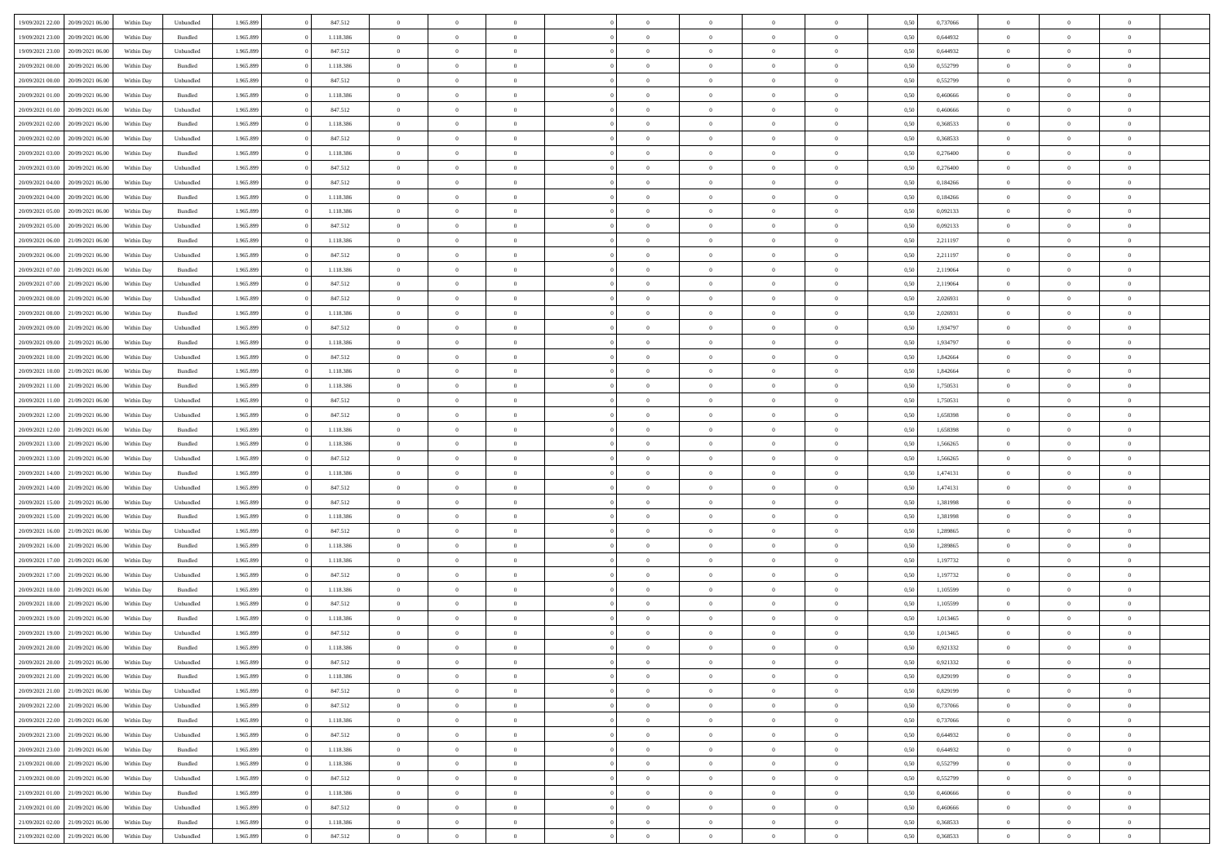| 19/09/2021 22:00 20/09/2021 06:00    | Within Day | Unbundled          | 1.965.899 | 847.512   | $\overline{0}$ | $\overline{0}$ | $\Omega$       | $\Omega$       | $\Omega$       |                | $\overline{0}$ | 0,50 | 0,737066 | $\mathbf{0}$   | $\Omega$       | $\Omega$       |  |
|--------------------------------------|------------|--------------------|-----------|-----------|----------------|----------------|----------------|----------------|----------------|----------------|----------------|------|----------|----------------|----------------|----------------|--|
| 19/09/2021 23:00<br>20/09/2021 06:00 | Within Day | Bundled            | 1.965.899 | 1.118.386 | $\bf{0}$       | $\overline{0}$ | $\overline{0}$ | $\theta$       | $\overline{0}$ | $\overline{0}$ | $\,$ 0         | 0,50 | 0,644932 | $\mathbf{0}$   | $\theta$       | $\bf{0}$       |  |
| 19/09/2021 23:00<br>20/09/2021 06:00 | Within Day | Unbundled          | 1.965.899 | 847.512   | $\overline{0}$ | $\overline{0}$ | $\overline{0}$ | $\bf{0}$       | $\bf{0}$       | $\overline{0}$ | $\mathbf{0}$   | 0,50 | 0,644932 | $\bf{0}$       | $\bf{0}$       | $\bf{0}$       |  |
| 20/09/2021 00:00<br>20/09/2021 06:00 | Within Day | Bundled            | 1.965.899 | 1.118.386 | $\overline{0}$ | $\overline{0}$ | $\overline{0}$ | $\overline{0}$ | $\overline{0}$ | $\overline{0}$ | $\overline{0}$ | 0.50 | 0,552799 | $\mathbf{0}$   | $\overline{0}$ | $\bf{0}$       |  |
| 20/09/2021 00:00<br>20/09/2021 06:00 | Within Day | Unbundled          | 1.965.899 | 847.512   | $\bf{0}$       | $\overline{0}$ | $\overline{0}$ | $\theta$       | $\overline{0}$ | $\overline{0}$ | $\bf{0}$       | 0,50 | 0,552799 | $\mathbf{0}$   | $\theta$       | $\overline{0}$ |  |
|                                      |            |                    |           |           |                |                |                |                |                |                |                |      |          |                |                |                |  |
| 20/09/2021 01:00<br>20/09/2021 06:00 | Within Day | Bundled            | 1.965.899 | 1.118.386 | $\overline{0}$ | $\overline{0}$ | $\overline{0}$ | $\bf{0}$       | $\overline{0}$ | $\overline{0}$ | $\overline{0}$ | 0,50 | 0,460666 | $\overline{0}$ | $\overline{0}$ | $\overline{0}$ |  |
| 20/09/2021 01:00<br>20/09/2021 06:00 | Within Day | Unbundled          | 1.965.899 | 847.512   | $\overline{0}$ | $\overline{0}$ | $\overline{0}$ | $\overline{0}$ | $\overline{0}$ | $\overline{0}$ | $\mathbf{0}$   | 0.50 | 0.460666 | $\mathbf{0}$   | $\overline{0}$ | $\overline{0}$ |  |
| 20/09/2021 02:00<br>20/09/2021 06:00 | Within Day | Bundled            | 1.965.899 | 1.118.386 | $\bf{0}$       | $\overline{0}$ | $\overline{0}$ | $\theta$       | $\overline{0}$ | $\overline{0}$ | $\bf{0}$       | 0,50 | 0,368533 | $\theta$       | $\theta$       | $\bf{0}$       |  |
| 20/09/2021 02:00<br>20/09/2021 06:00 | Within Day | Unbundled          | 1.965.899 | 847.512   | $\overline{0}$ | $\overline{0}$ | $\overline{0}$ | $\bf{0}$       | $\bf{0}$       | $\overline{0}$ | $\mathbf{0}$   | 0,50 | 0,368533 | $\bf{0}$       | $\bf{0}$       | $\bf{0}$       |  |
| 20/09/2021 03:00<br>20/09/2021 06:00 | Within Day | Bundled            | 1.965.899 | 1.118.386 | $\overline{0}$ | $\overline{0}$ | $\overline{0}$ | $\overline{0}$ | $\overline{0}$ | $\overline{0}$ | $\overline{0}$ | 0.50 | 0.276400 | $\overline{0}$ | $\overline{0}$ | $\overline{0}$ |  |
| 20/09/2021 03:00<br>20/09/2021 06:00 | Within Day | Unbundled          | 1.965.899 | 847.512   | $\bf{0}$       | $\overline{0}$ | $\overline{0}$ | $\overline{0}$ | $\overline{0}$ | $\overline{0}$ | $\,$ 0         | 0,50 | 0,276400 | $\theta$       | $\theta$       | $\bf{0}$       |  |
| 20/09/2021 04:00<br>20/09/2021 06:00 | Within Day | Unbundled          | 1.965.899 | 847.512   | $\overline{0}$ | $\overline{0}$ | $\overline{0}$ | $\bf{0}$       | $\bf{0}$       | $\overline{0}$ | $\mathbf{0}$   | 0,50 | 0,184266 | $\bf{0}$       | $\bf{0}$       | $\bf{0}$       |  |
|                                      |            |                    |           |           |                |                |                |                |                |                |                |      |          |                |                |                |  |
| 20/09/2021 04:00<br>20/09/2021 06:00 | Within Day | Bundled            | 1.965.899 | 1.118.386 | $\overline{0}$ | $\overline{0}$ | $\overline{0}$ | $\overline{0}$ | $\overline{0}$ | $\overline{0}$ | $\overline{0}$ | 0.50 | 0.184266 | $\mathbf{0}$   | $\overline{0}$ | $\bf{0}$       |  |
| 20/09/2021 05:00<br>20/09/2021 06:00 | Within Day | Bundled            | 1.965.899 | 1.118.386 | $\bf{0}$       | $\overline{0}$ | $\overline{0}$ | $\theta$       | $\overline{0}$ | $\overline{0}$ | $\,$ 0         | 0,50 | 0,092133 | $\theta$       | $\theta$       | $\overline{0}$ |  |
| 20/09/2021 05:00<br>20/09/2021 06:00 | Within Day | Unbundled          | 1.965.899 | 847.512   | $\overline{0}$ | $\overline{0}$ | $\overline{0}$ | $\bf{0}$       | $\overline{0}$ | $\overline{0}$ | $\overline{0}$ | 0,50 | 0,092133 | $\overline{0}$ | $\bf{0}$       | $\overline{0}$ |  |
| 20/09/2021 06:00<br>21/09/2021 06:00 | Within Day | Bundled            | 1.965.899 | 1.118.386 | $\overline{0}$ | $\overline{0}$ | $\overline{0}$ | $\overline{0}$ | $\overline{0}$ | $\overline{0}$ | $\mathbf{0}$   | 0.50 | 2,211197 | $\overline{0}$ | $\overline{0}$ | $\overline{0}$ |  |
| 20/09/2021 06:00<br>21/09/2021 06:00 | Within Day | Unbundled          | 1.965.899 | 847.512   | $\bf{0}$       | $\overline{0}$ | $\overline{0}$ | $\overline{0}$ | $\overline{0}$ | $\overline{0}$ | $\bf{0}$       | 0,50 | 2,211197 | $\theta$       | $\theta$       | $\bf{0}$       |  |
| 20/09/2021 07:00<br>21/09/2021 06:00 | Within Day | Bundled            | 1.965.899 | 1.118.386 | $\overline{0}$ | $\overline{0}$ | $\bf{0}$       | $\bf{0}$       | $\bf{0}$       | $\overline{0}$ | $\mathbf{0}$   | 0,50 | 2,119064 | $\bf{0}$       | $\bf{0}$       | $\bf{0}$       |  |
| 20/09/2021 07:00<br>21/09/2021 06:00 | Within Day | Unbundled          | 1.965.899 | 847.512   | $\overline{0}$ | $\overline{0}$ | $\overline{0}$ | $\overline{0}$ | $\overline{0}$ | $\overline{0}$ | $\overline{0}$ | 0.50 | 2.119064 | $\overline{0}$ | $\overline{0}$ | $\overline{0}$ |  |
|                                      |            |                    |           |           |                | $\overline{0}$ | $\overline{0}$ | $\overline{0}$ | $\overline{0}$ | $\overline{0}$ | $\,$ 0         |      |          | $\theta$       | $\theta$       | $\bf{0}$       |  |
| 20/09/2021 08:00<br>21/09/2021 06:00 | Within Day | Unbundled          | 1.965.899 | 847.512   | $\bf{0}$       |                |                |                |                |                |                | 0,50 | 2,026931 |                |                |                |  |
| 20/09/2021 08:00<br>21/09/2021 06:00 | Within Day | Bundled            | 1.965.899 | 1.118.386 | $\overline{0}$ | $\overline{0}$ | $\overline{0}$ | $\bf{0}$       | $\bf{0}$       | $\overline{0}$ | $\mathbf{0}$   | 0,50 | 2,026931 | $\bf{0}$       | $\bf{0}$       | $\bf{0}$       |  |
| 20/09/2021 09:00<br>21/09/2021 06:00 | Within Day | Unbundled          | 1.965.899 | 847.512   | $\overline{0}$ | $\overline{0}$ | $\overline{0}$ | $\overline{0}$ | $\overline{0}$ | $\overline{0}$ | $\overline{0}$ | 0.50 | 1,934797 | $\overline{0}$ | $\overline{0}$ | $\bf{0}$       |  |
| 20/09/2021 09:00<br>21/09/2021 06:00 | Within Day | $\mathbf B$ undled | 1.965.899 | 1.118.386 | $\bf{0}$       | $\overline{0}$ | $\overline{0}$ | $\overline{0}$ | $\overline{0}$ | $\overline{0}$ | $\,$ 0         | 0,50 | 1,934797 | $\mathbf{0}$   | $\theta$       | $\bf{0}$       |  |
| 20/09/2021 10:00<br>21/09/2021 06:00 | Within Day | Unbundled          | 1.965.899 | 847.512   | $\overline{0}$ | $\overline{0}$ | $\overline{0}$ | $\bf{0}$       | $\overline{0}$ | $\overline{0}$ | $\overline{0}$ | 0,50 | 1,842664 | $\overline{0}$ | $\overline{0}$ | $\overline{0}$ |  |
| 20/09/2021 10:00<br>21/09/2021 06:00 | Within Day | Bundled            | 1.965.899 | 1.118.386 | $\overline{0}$ | $\overline{0}$ | $\overline{0}$ | $\overline{0}$ | $\overline{0}$ | $\overline{0}$ | $\overline{0}$ | 0.50 | 1,842664 | $\overline{0}$ | $\overline{0}$ | $\overline{0}$ |  |
| 20/09/2021 11:00<br>21/09/2021 06:00 | Within Day | Bundled            | 1.965.899 | 1.118.386 | $\bf{0}$       | $\overline{0}$ | $\bf{0}$       | $\overline{0}$ | $\overline{0}$ | $\overline{0}$ | $\bf{0}$       | 0,50 | 1,750531 | $\theta$       | $\theta$       | $\bf{0}$       |  |
|                                      |            |                    |           |           |                |                |                |                |                |                |                |      |          |                |                |                |  |
| 20/09/2021 11:00<br>21/09/2021 06:00 | Within Day | Unbundled          | 1.965.899 | 847.512   | $\overline{0}$ | $\overline{0}$ | $\bf{0}$       | $\bf{0}$       | $\bf{0}$       | $\overline{0}$ | $\mathbf{0}$   | 0,50 | 1,750531 | $\bf{0}$       | $\bf{0}$       | $\bf{0}$       |  |
| 20/09/2021 12:00<br>21/09/2021 06:00 | Within Day | Unbundled          | 1.965.899 | 847.512   | $\overline{0}$ | $\overline{0}$ | $\overline{0}$ | $\overline{0}$ | $\overline{0}$ | $\overline{0}$ | $\overline{0}$ | 0.50 | 1,658398 | $\overline{0}$ | $\overline{0}$ | $\bf{0}$       |  |
| 20/09/2021 12:00<br>21/09/2021 06:00 | Within Day | Bundled            | 1.965.899 | 1.118.386 | $\bf{0}$       | $\overline{0}$ | $\overline{0}$ | $\overline{0}$ | $\overline{0}$ | $\overline{0}$ | $\,$ 0         | 0,50 | 1,658398 | $\,$ 0 $\,$    | $\theta$       | $\bf{0}$       |  |
| 20/09/2021 13:00<br>21/09/2021 06:00 | Within Day | Bundled            | 1.965.899 | 1.118.386 | $\overline{0}$ | $\overline{0}$ | $\overline{0}$ | $\bf{0}$       | $\bf{0}$       | $\overline{0}$ | $\mathbf{0}$   | 0,50 | 1,566265 | $\overline{0}$ | $\bf{0}$       | $\bf{0}$       |  |
| 20/09/2021 13:00<br>21/09/2021 06:00 | Within Day | Unbundled          | 1.965.899 | 847.512   | $\overline{0}$ | $\overline{0}$ | $\overline{0}$ | $\overline{0}$ | $\overline{0}$ | $\Omega$       | $\overline{0}$ | 0,50 | 1,566265 | $\bf{0}$       | $\Omega$       | $\Omega$       |  |
| 20/09/2021 14:00<br>21/09/2021 06:00 | Within Day | Bundled            | 1.965.899 | 1.118.386 | $\bf{0}$       | $\overline{0}$ | $\overline{0}$ | $\theta$       | $\overline{0}$ | $\overline{0}$ | $\,$ 0         | 0,50 | 1,474131 | $\theta$       | $\theta$       | $\bf{0}$       |  |
| 20/09/2021 14:00<br>21/09/2021 06:00 | Within Day | Unbundled          | 1.965.899 | 847.512   | $\overline{0}$ | $\overline{0}$ | $\overline{0}$ | $\bf{0}$       | $\overline{0}$ | $\overline{0}$ | $\overline{0}$ | 0,50 | 1,474131 | $\overline{0}$ | $\overline{0}$ | $\overline{0}$ |  |
| 20/09/2021 15:00<br>21/09/2021 06:00 | Within Day | Unbundled          | 1.965.899 | 847.512   | $\overline{0}$ | $\overline{0}$ | $\overline{0}$ | $\overline{0}$ | $\overline{0}$ | $\Omega$       | $\overline{0}$ | 0.50 | 1,381998 | $\overline{0}$ | $\Omega$       | $\Omega$       |  |
|                                      |            |                    |           |           |                |                |                |                |                |                |                |      |          |                |                |                |  |
| 20/09/2021 15:00<br>21/09/2021 06:00 | Within Day | Bundled            | 1.965.899 | 1.118.386 | $\bf{0}$       | $\overline{0}$ | $\bf{0}$       | $\overline{0}$ | $\overline{0}$ | $\overline{0}$ | $\bf{0}$       | 0,50 | 1,381998 | $\overline{0}$ | $\theta$       | $\bf{0}$       |  |
| 20/09/2021 16:00<br>21/09/2021 06:00 | Within Day | Unbundled          | 1.965.899 | 847.512   | $\overline{0}$ | $\overline{0}$ | $\bf{0}$       | $\bf{0}$       | $\bf{0}$       | $\overline{0}$ | $\bf{0}$       | 0,50 | 1,289865 | $\bf{0}$       | $\bf{0}$       | $\bf{0}$       |  |
| 20/09/2021 16:00<br>21/09/2021 06:00 | Within Day | Bundled            | 1.965.899 | 1.118.386 | $\overline{0}$ | $\overline{0}$ | $\Omega$       | $\overline{0}$ | $\overline{0}$ | $\Omega$       | $\theta$       | 0.50 | 1,289865 | $\overline{0}$ | $\Omega$       | $\Omega$       |  |
| 20/09/2021 17:00<br>21/09/2021 06:00 | Within Day | Bundled            | 1.965.899 | 1.118.386 | $\bf{0}$       | $\overline{0}$ | $\bf{0}$       | $\overline{0}$ | $\overline{0}$ | $\overline{0}$ | $\,$ 0         | 0,50 | 1,197732 | $\,$ 0 $\,$    | $\theta$       | $\bf{0}$       |  |
| 20/09/2021 17:00<br>21/09/2021 06:00 | Within Day | Unbundled          | 1.965.899 | 847.512   | $\overline{0}$ | $\overline{0}$ | $\overline{0}$ | $\bf{0}$       | $\bf{0}$       | $\overline{0}$ | $\mathbf{0}$   | 0,50 | 1,197732 | $\overline{0}$ | $\bf{0}$       | $\bf{0}$       |  |
| 20/09/2021 18:00<br>21/09/2021 06:00 | Within Day | Bundled            | 1.965.899 | 1.118.386 | $\overline{0}$ | $\overline{0}$ | $\overline{0}$ | $\overline{0}$ | $\bf{0}$       | $\Omega$       | $\overline{0}$ | 0,50 | 1,105599 | $\overline{0}$ | $\theta$       | $\Omega$       |  |
| 20/09/2021 18:00<br>21/09/2021 06:00 | Within Day | Unbundled          | 1.965.899 | 847.512   | $\bf{0}$       | $\overline{0}$ | $\bf{0}$       | $\overline{0}$ | $\overline{0}$ | $\overline{0}$ | $\,$ 0         | 0,50 | 1,105599 | $\,$ 0 $\,$    | $\theta$       | $\bf{0}$       |  |
| 20/09/2021 19:00<br>21/09/2021 06:00 | Within Day | Bundled            | 1.965.899 | 1.118.386 | $\overline{0}$ | $\overline{0}$ | $\bf{0}$       | $\bf{0}$       | $\overline{0}$ | $\overline{0}$ | $\overline{0}$ | 0,50 | 1,013465 | $\overline{0}$ | $\bf{0}$       | $\bf{0}$       |  |
|                                      |            |                    |           |           |                |                |                |                |                |                |                |      |          |                |                |                |  |
| 20/09/2021 19:00<br>21/09/2021 06.00 | Within Day | Unbundled          | 1.965.899 | 847.512   | $\overline{0}$ | $\Omega$       | $\Omega$       | $\overline{0}$ | $\overline{0}$ | $\Omega$       | $\overline{0}$ | 0.50 | 1,013465 | $\bf{0}$       | $\Omega$       | $\Omega$       |  |
| 20/09/2021 20:00 21/09/2021 06:00    | Within Day | Bundled            | 1.965.899 | 1.118.386 | $\bf{0}$       | $\bf{0}$       | $\bf{0}$       | $\bf{0}$       | $\bf{0}$       | $\overline{0}$ | $\,$ 0         | 0,50 | 0,921332 | $\bf{0}$       | $\,$ 0         | $\bf{0}$       |  |
| 20/09/2021 20:00 21/09/2021 06:00    | Within Day | Unbundled          | 1.965.899 | 847.512   | $\bf{0}$       | $\bf{0}$       |                | $\bf{0}$       |                |                |                | 0,50 | 0,921332 | $\bf{0}$       | $\bf{0}$       |                |  |
| 20/09/2021 21:00 21/09/2021 06:00    | Within Day | Bundled            | 1.965.899 | 1.118.386 | $\overline{0}$ | $\overline{0}$ | $\theta$       | $\overline{0}$ | $\overline{0}$ | $\overline{0}$ | $\mathbf{0}$   | 0,50 | 0,829199 | $\overline{0}$ | $\theta$       | $\theta$       |  |
| 20/09/2021 21:00 21/09/2021 06:00    | Within Day | Unbundled          | 1.965.899 | 847.512   | $\overline{0}$ | $\overline{0}$ | $\overline{0}$ | $\bf{0}$       | $\overline{0}$ | $\overline{0}$ | $\mathbf{0}$   | 0,50 | 0,829199 | $\,$ 0 $\,$    | $\overline{0}$ | $\,$ 0 $\,$    |  |
| 20/09/2021 22:00 21/09/2021 06:00    | Within Day | Unbundled          | 1.965.899 | 847.512   | $\overline{0}$ | $\overline{0}$ | $\overline{0}$ | $\bf{0}$       | $\overline{0}$ | $\overline{0}$ | $\overline{0}$ | 0,50 | 0,737066 | $\overline{0}$ | $\overline{0}$ | $\overline{0}$ |  |
| 20/09/2021 22:00 21/09/2021 06:00    | Within Day | Bundled            | 1.965.899 | 1.118.386 | $\overline{0}$ | $\overline{0}$ | $\overline{0}$ | $\overline{0}$ | $\bf{0}$       | $\overline{0}$ | $\overline{0}$ | 0,50 | 0,737066 | $\overline{0}$ | $\overline{0}$ | $\overline{0}$ |  |
| 20/09/2021 23:00 21/09/2021 06:00    | Within Day | Unbundled          | 1.965.899 | 847.512   | $\overline{0}$ | $\overline{0}$ | $\overline{0}$ | $\overline{0}$ | $\overline{0}$ | $\overline{0}$ | $\mathbf{0}$   | 0,50 | 0,644932 | $\,$ 0 $\,$    | $\theta$       | $\bf{0}$       |  |
|                                      |            |                    |           |           |                |                |                |                |                |                |                |      |          |                |                |                |  |
| 20/09/2021 23:00 21/09/2021 06:00    | Within Day | Bundled            | 1.965.899 | 1.118.386 | $\overline{0}$ | $\overline{0}$ | $\overline{0}$ | $\overline{0}$ | $\overline{0}$ | $\overline{0}$ | $\overline{0}$ | 0,50 | 0,644932 | $\overline{0}$ | $\overline{0}$ | $\overline{0}$ |  |
| 21/09/2021 06:00<br>21/09/2021 00:00 | Within Day | Bundled            | 1.965.899 | 1.118.386 | $\overline{0}$ | $\overline{0}$ | $\overline{0}$ | $\overline{0}$ | $\overline{0}$ | $\overline{0}$ | $\overline{0}$ | 0.50 | 0,552799 | $\overline{0}$ | $\overline{0}$ | $\overline{0}$ |  |
| 21/09/2021 00:00 21/09/2021 06:00    | Within Day | Unbundled          | 1.965.899 | 847.512   | $\overline{0}$ | $\overline{0}$ | $\overline{0}$ | $\bf{0}$       | $\bf{0}$       | $\overline{0}$ | $\,$ 0 $\,$    | 0,50 | 0,552799 | $\,$ 0 $\,$    | $\theta$       | $\,$ 0         |  |
| 21/09/2021 01:00 21/09/2021 06:00    | Within Day | Bundled            | 1.965.899 | 1.118.386 | $\overline{0}$ | $\overline{0}$ | $\overline{0}$ | $\bf{0}$       | $\overline{0}$ | $\overline{0}$ | $\overline{0}$ | 0,50 | 0,460666 | $\bf{0}$       | $\bf{0}$       | $\overline{0}$ |  |
| 21/09/2021 01:00 21/09/2021 06:00    | Within Day | Unbundled          | 1.965.899 | 847.512   | $\overline{0}$ | $\overline{0}$ | $\overline{0}$ | $\overline{0}$ | $\overline{0}$ | $\overline{0}$ | $\overline{0}$ | 0.50 | 0.460666 | $\overline{0}$ | $\overline{0}$ | $\overline{0}$ |  |
| 21/09/2021 02:00<br>21/09/2021 06:00 | Within Day | Bundled            | 1.965.899 | 1.118.386 | $\overline{0}$ | $\overline{0}$ | $\overline{0}$ | $\bf{0}$       | $\bf{0}$       | $\overline{0}$ | $\,$ 0 $\,$    | 0,50 | 0,368533 | $\,$ 0 $\,$    | $\,0\,$        | $\,$ 0         |  |
| 21/09/2021 02:00 21/09/2021 06:00    | Within Day | Unbundled          | 1.965.899 | 847.512   | $\overline{0}$ | $\overline{0}$ | $\overline{0}$ | $\bf{0}$       | $\overline{0}$ | $\overline{0}$ | $\overline{0}$ | 0,50 | 0,368533 | $\bf{0}$       | $\bf{0}$       | $\overline{0}$ |  |
|                                      |            |                    |           |           |                |                |                |                |                |                |                |      |          |                |                |                |  |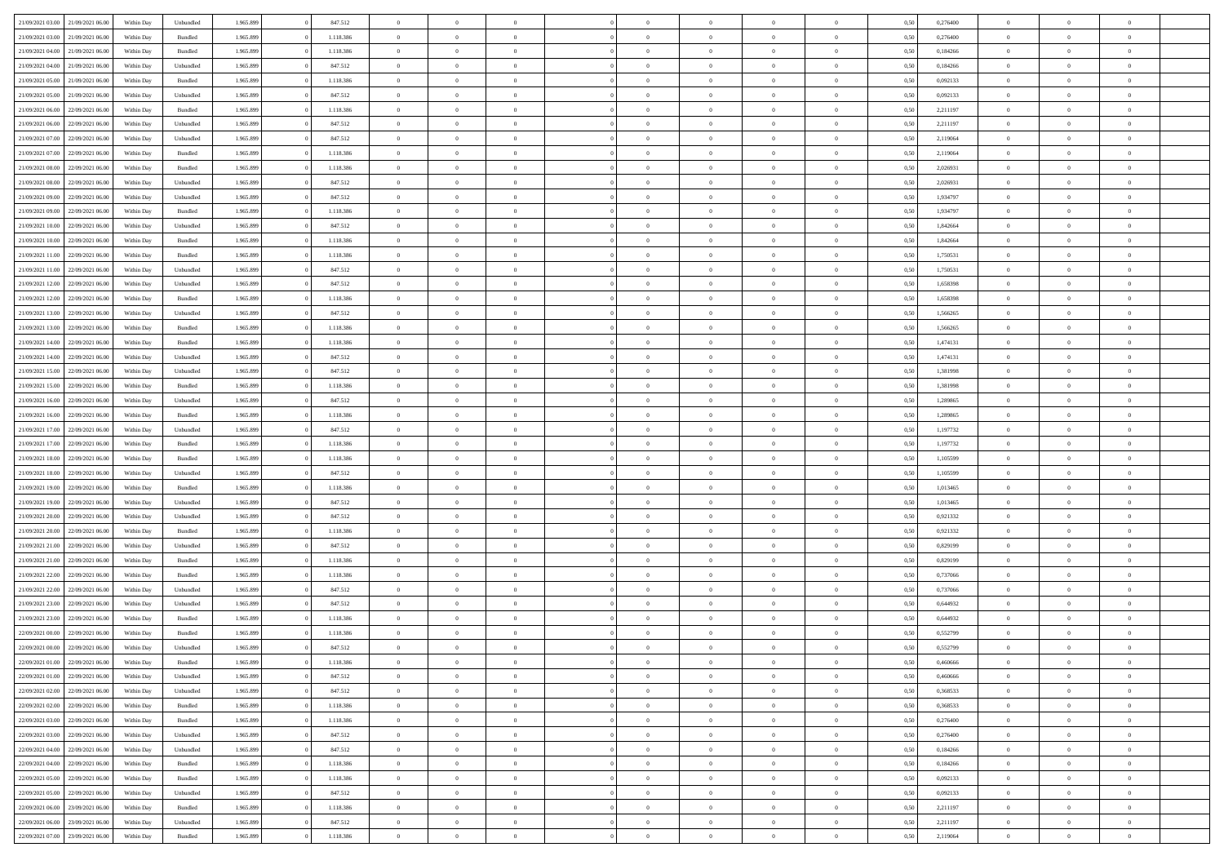| 21/09/2021 03:00                  | 21/09/2021 06:00 | Within Dav | Unbundled          | 1.965.899 | 847.512   | $\overline{0}$ | $\theta$       |                | $\Omega$       | $\Omega$       | $\theta$       | $\theta$       | 0,50 | 0,276400 | $\theta$       | $\theta$       | $\theta$       |  |
|-----------------------------------|------------------|------------|--------------------|-----------|-----------|----------------|----------------|----------------|----------------|----------------|----------------|----------------|------|----------|----------------|----------------|----------------|--|
| 21/09/2021 03:00                  | 21/09/2021 06:00 | Within Day | Bundled            | 1.965.899 | 1.118.386 | $\overline{0}$ | $\theta$       | $\overline{0}$ | $\overline{0}$ | $\bf{0}$       | $\overline{0}$ | $\bf{0}$       | 0,50 | 0,276400 | $\theta$       | $\overline{0}$ | $\overline{0}$ |  |
| 21/09/2021 04:00                  | 21/09/2021 06:00 | Within Day | Bundled            | 1.965.899 | 1.118.386 | $\overline{0}$ | $\bf{0}$       | $\overline{0}$ | $\bf{0}$       | $\bf{0}$       | $\bf{0}$       | $\mathbf{0}$   | 0,50 | 0,184266 | $\bf{0}$       | $\overline{0}$ | $\overline{0}$ |  |
|                                   |                  |            |                    |           |           |                |                |                |                |                |                |                |      |          | $\theta$       |                |                |  |
| 21/09/2021 04:00                  | 21/09/2021 06:00 | Within Day | Unbundled          | 1.965.899 | 847.512   | $\overline{0}$ | $\overline{0}$ | $\overline{0}$ | $\overline{0}$ | $\bf{0}$       | $\overline{0}$ | $\overline{0}$ | 0.50 | 0.184266 |                | $\theta$       | $\overline{0}$ |  |
| 21/09/2021 05:00                  | 21/09/2021 06:00 | Within Day | Bundled            | 1.965.899 | 1.118.386 | $\overline{0}$ | $\theta$       | $\overline{0}$ | $\overline{0}$ | $\bf{0}$       | $\overline{0}$ | $\bf{0}$       | 0,50 | 0,092133 | $\,$ 0 $\,$    | $\overline{0}$ | $\overline{0}$ |  |
| 21/09/2021 05:00                  | 21/09/2021 06:00 | Within Day | Unbundled          | 1.965.899 | 847.512   | $\overline{0}$ | $\overline{0}$ | $\overline{0}$ | $\bf{0}$       | $\overline{0}$ | $\overline{0}$ | $\mathbf{0}$   | 0,50 | 0,092133 | $\bf{0}$       | $\overline{0}$ | $\bf{0}$       |  |
| 21/09/2021 06:00                  | 22/09/2021 06:00 | Within Dav | Bundled            | 1.965.899 | 1.118.386 | $\overline{0}$ | $\overline{0}$ | $\overline{0}$ | $\overline{0}$ | $\overline{0}$ | $\overline{0}$ | $\overline{0}$ | 0.50 | 2,211197 | $\theta$       | $\overline{0}$ | $\overline{0}$ |  |
|                                   |                  |            |                    |           |           |                |                |                |                |                |                |                |      |          |                |                |                |  |
| 21/09/2021 06:00                  | 22/09/2021 06:00 | Within Day | Unbundled          | 1.965.899 | 847.512   | $\overline{0}$ | $\theta$       | $\overline{0}$ | $\overline{0}$ | $\bf{0}$       | $\overline{0}$ | $\bf{0}$       | 0,50 | 2,211197 | $\theta$       | $\theta$       | $\overline{0}$ |  |
| 21/09/2021 07:00                  | 22/09/2021 06:00 | Within Day | Unbundled          | 1.965.899 | 847.512   | $\overline{0}$ | $\overline{0}$ | $\overline{0}$ | $\bf{0}$       | $\bf{0}$       | $\bf{0}$       | $\mathbf{0}$   | 0,50 | 2,119064 | $\,0\,$        | $\overline{0}$ | $\overline{0}$ |  |
| 21/09/2021 07:00                  | 22/09/2021 06:00 | Within Dav | Bundled            | 1.965.899 | 1.118.386 | $\overline{0}$ | $\overline{0}$ | $\overline{0}$ | $\overline{0}$ | $\overline{0}$ | $\overline{0}$ | $\overline{0}$ | 0.50 | 2,119064 | $\theta$       | $\overline{0}$ | $\overline{0}$ |  |
| 21/09/2021 08:00                  | 22/09/2021 06:00 |            | Bundled            | 1.965.899 | 1.118.386 | $\overline{0}$ | $\theta$       | $\overline{0}$ | $\overline{0}$ | $\bf{0}$       | $\overline{0}$ |                |      | 2,026931 | $\,$ 0 $\,$    | $\overline{0}$ | $\overline{0}$ |  |
|                                   |                  | Within Day |                    |           |           |                |                |                |                |                |                | $\bf{0}$       | 0,50 |          |                |                |                |  |
| 21/09/2021 08:00                  | 22/09/2021 06:00 | Within Day | Unbundled          | 1.965.899 | 847.512   | $\overline{0}$ | $\overline{0}$ | $\overline{0}$ | $\bf{0}$       | $\bf{0}$       | $\bf{0}$       | $\mathbf{0}$   | 0,50 | 2,026931 | $\bf{0}$       | $\overline{0}$ | $\bf{0}$       |  |
| 21/09/2021 09:00                  | 22/09/2021 06:00 | Within Day | Unbundled          | 1.965.899 | 847.512   | $\overline{0}$ | $\overline{0}$ | $\overline{0}$ | $\overline{0}$ | $\bf{0}$       | $\overline{0}$ | $\overline{0}$ | 0.50 | 1,934797 | $\theta$       | $\theta$       | $\overline{0}$ |  |
| 21/09/2021 09:00                  | 22/09/2021 06:00 | Within Day | Bundled            | 1.965.899 | 1.118.386 | $\overline{0}$ | $\theta$       | $\overline{0}$ | $\overline{0}$ | $\bf{0}$       | $\overline{0}$ | $\bf{0}$       | 0,50 | 1,934797 | $\theta$       | $\overline{0}$ | $\overline{0}$ |  |
|                                   |                  |            |                    |           |           |                |                |                |                |                |                |                |      |          |                |                |                |  |
| 21/09/2021 10:00                  | 22/09/2021 06:00 | Within Day | Unbundled          | 1.965.899 | 847.512   | $\overline{0}$ | $\overline{0}$ | $\overline{0}$ | $\bf{0}$       | $\overline{0}$ | $\overline{0}$ | $\mathbf{0}$   | 0,50 | 1,842664 | $\overline{0}$ | $\overline{0}$ | $\bf{0}$       |  |
| 21/09/2021 10:00                  | 22/09/2021 06:00 | Within Dav | Bundled            | 1.965.899 | 1.118.386 | $\overline{0}$ | $\overline{0}$ | $\overline{0}$ | $\overline{0}$ | $\overline{0}$ | $\overline{0}$ | $\overline{0}$ | 0.50 | 1,842664 | $\theta$       | $\overline{0}$ | $\overline{0}$ |  |
| 21/09/2021 11:00                  | 22/09/2021 06.00 | Within Day | Bundled            | 1.965.899 | 1.118.386 | $\overline{0}$ | $\theta$       | $\overline{0}$ | $\overline{0}$ | $\bf{0}$       | $\overline{0}$ | $\bf{0}$       | 0,50 | 1,750531 | $\,$ 0 $\,$    | $\overline{0}$ | $\overline{0}$ |  |
| 21/09/2021 11:00                  | 22/09/2021 06:00 | Within Day | Unbundled          | 1.965.899 | 847.512   | $\overline{0}$ | $\overline{0}$ | $\overline{0}$ | $\bf{0}$       | $\bf{0}$       | $\bf{0}$       | $\mathbf{0}$   | 0,50 | 1,750531 | $\bf{0}$       | $\overline{0}$ | $\bf{0}$       |  |
| 21/09/2021 12:00                  | 22/09/2021 06:00 |            | Unbundled          | 1.965.899 | 847.512   | $\overline{0}$ | $\overline{0}$ | $\overline{0}$ | $\overline{0}$ | $\overline{0}$ | $\overline{0}$ | $\overline{0}$ | 0.50 | 1,658398 | $\theta$       | $\overline{0}$ | $\overline{0}$ |  |
|                                   |                  | Within Day |                    |           |           |                |                |                |                |                |                |                |      |          |                |                |                |  |
| 21/09/2021 12:00                  | 22/09/2021 06:00 | Within Day | Bundled            | 1.965.899 | 1.118.386 | $\overline{0}$ | $\theta$       | $\overline{0}$ | $\overline{0}$ | $\bf{0}$       | $\overline{0}$ | $\bf{0}$       | 0,50 | 1,658398 | $\,$ 0 $\,$    | $\overline{0}$ | $\overline{0}$ |  |
| 21/09/2021 13:00                  | 22/09/2021 06:00 | Within Day | Unbundled          | 1.965.899 | 847.512   | $\overline{0}$ | $\overline{0}$ | $\overline{0}$ | $\bf{0}$       | $\bf{0}$       | $\bf{0}$       | $\mathbf{0}$   | 0,50 | 1,566265 | $\overline{0}$ | $\overline{0}$ | $\bf{0}$       |  |
| 21/09/2021 13:00                  | 22/09/2021 06:00 | Within Day | Bundled            | 1.965.899 | 1.118.386 | $\overline{0}$ | $\overline{0}$ | $\overline{0}$ | $\overline{0}$ | $\overline{0}$ | $\overline{0}$ | $\overline{0}$ | 0.50 | 1.566265 | $\theta$       | $\overline{0}$ | $\overline{0}$ |  |
|                                   |                  |            |                    |           |           | $\overline{0}$ | $\theta$       | $\overline{0}$ | $\overline{0}$ | $\bf{0}$       | $\overline{0}$ |                |      |          | $\,$ 0 $\,$    | $\overline{0}$ | $\overline{0}$ |  |
| 21/09/2021 14:00                  | 22/09/2021 06.00 | Within Day | Bundled            | 1.965.899 | 1.118.386 |                |                |                |                |                |                | $\bf{0}$       | 0,50 | 1,474131 |                |                |                |  |
| 21/09/2021 14:00                  | 22/09/2021 06:00 | Within Day | Unbundled          | 1.965.899 | 847.512   | $\overline{0}$ | $\overline{0}$ | $\overline{0}$ | $\bf{0}$       | $\overline{0}$ | $\overline{0}$ | $\mathbf{0}$   | 0,50 | 1,474131 | $\overline{0}$ | $\overline{0}$ | $\bf{0}$       |  |
| 21/09/2021 15:00                  | 22/09/2021 06:00 | Within Dav | Unbundled          | 1.965.899 | 847.512   | $\overline{0}$ | $\overline{0}$ | $\overline{0}$ | $\overline{0}$ | $\overline{0}$ | $\overline{0}$ | $\overline{0}$ | 0.50 | 1,381998 | $\overline{0}$ | $\overline{0}$ | $\overline{0}$ |  |
| 21/09/2021 15:00                  | 22/09/2021 06.00 | Within Day | Bundled            | 1.965.899 | 1.118.386 | $\overline{0}$ | $\theta$       | $\overline{0}$ | $\overline{0}$ | $\bf{0}$       | $\overline{0}$ | $\bf{0}$       | 0,50 | 1,381998 | $\theta$       | $\theta$       | $\overline{0}$ |  |
|                                   |                  |            |                    |           |           |                |                |                |                |                |                |                |      |          |                |                |                |  |
| 21/09/2021 16:00                  | 22/09/2021 06:00 | Within Day | Unbundled          | 1.965.899 | 847.512   | $\overline{0}$ | $\overline{0}$ | $\overline{0}$ | $\bf{0}$       | $\bf{0}$       | $\bf{0}$       | $\mathbf{0}$   | 0,50 | 1,289865 | $\,0\,$        | $\overline{0}$ | $\overline{0}$ |  |
| 21/09/2021 16:00                  | 22/09/2021 06:00 | Within Day | Bundled            | 1.965.899 | 1.118.386 | $\overline{0}$ | $\overline{0}$ | $\overline{0}$ | $\overline{0}$ | $\overline{0}$ | $\overline{0}$ | $\overline{0}$ | 0.50 | 1,289865 | $\theta$       | $\overline{0}$ | $\overline{0}$ |  |
| 21/09/2021 17:00                  | 22/09/2021 06.00 | Within Day | Unbundled          | 1.965.899 | 847.512   | $\overline{0}$ | $\theta$       | $\overline{0}$ | $\overline{0}$ | $\bf{0}$       | $\overline{0}$ | $\bf{0}$       | 0,50 | 1,197732 | $\,$ 0 $\,$    | $\overline{0}$ | $\overline{0}$ |  |
| 21/09/2021 17:00                  | 22/09/2021 06:00 | Within Day | Bundled            | 1.965.899 | 1.118.386 | $\overline{0}$ | $\overline{0}$ | $\overline{0}$ | $\bf{0}$       | $\bf{0}$       | $\bf{0}$       | $\bf{0}$       | 0,50 | 1,197732 | $\bf{0}$       | $\overline{0}$ | $\bf{0}$       |  |
|                                   |                  |            |                    |           |           |                |                |                |                |                |                |                |      |          |                |                |                |  |
| 21/09/2021 18:00                  | 22/09/2021 06:00 | Within Day | Bundled            | 1.965.899 | 1.118.386 | $\bf{0}$       | $\Omega$       | $\overline{0}$ | $\Omega$       | $\Omega$       | $\overline{0}$ | $\overline{0}$ | 0,50 | 1,105599 | $\,0\,$        | $\theta$       | $\theta$       |  |
| 21/09/2021 18:00                  | 22/09/2021 06.00 | Within Day | Unbundled          | 1.965.899 | 847.512   | $\overline{0}$ | $\theta$       | $\overline{0}$ | $\overline{0}$ | $\bf{0}$       | $\overline{0}$ | $\bf{0}$       | 0,50 | 1,105599 | $\,$ 0 $\,$    | $\overline{0}$ | $\overline{0}$ |  |
| 21/09/2021 19:00                  | 22/09/2021 06:00 | Within Day | Bundled            | 1.965.899 | 1.118.386 | $\overline{0}$ | $\overline{0}$ | $\overline{0}$ | $\bf{0}$       | $\overline{0}$ | $\overline{0}$ | $\mathbf{0}$   | 0,50 | 1,013465 | $\bf{0}$       | $\overline{0}$ | $\bf{0}$       |  |
| 21/09/2021 19:00                  | 22/09/2021 06:00 | Within Day | Unbundled          | 1.965.899 | 847.512   | $\overline{0}$ | $\Omega$       | $\overline{0}$ | $\Omega$       | $\overline{0}$ | $\overline{0}$ | $\overline{0}$ | 0.50 | 1,013465 | $\,0\,$        | $\theta$       | $\theta$       |  |
|                                   |                  |            |                    |           |           |                |                |                |                |                |                |                |      |          |                |                |                |  |
| 21/09/2021 20:00                  | 22/09/2021 06.00 | Within Day | Unbundled          | 1.965.899 | 847.512   | $\overline{0}$ | $\theta$       | $\overline{0}$ | $\overline{0}$ | $\bf{0}$       | $\overline{0}$ | $\bf{0}$       | 0,50 | 0,921332 | $\,$ 0 $\,$    | $\overline{0}$ | $\overline{0}$ |  |
| 21/09/2021 20:00                  | 22/09/2021 06:00 | Within Day | Bundled            | 1.965.899 | 1.118.386 | $\overline{0}$ | $\overline{0}$ | $\overline{0}$ | $\bf{0}$       | $\bf{0}$       | $\bf{0}$       | $\mathbf{0}$   | 0,50 | 0,921332 | $\bf{0}$       | $\overline{0}$ | $\bf{0}$       |  |
| 21/09/2021 21:00                  | 22/09/2021 06:00 | Within Day | Unbundled          | 1.965.899 | 847.512   | $\overline{0}$ | $\Omega$       | $\overline{0}$ | $\Omega$       | $\overline{0}$ | $\overline{0}$ | $\overline{0}$ | 0.50 | 0,829199 | $\,$ 0 $\,$    | $\theta$       | $\theta$       |  |
| 21/09/2021 21:00                  | 22/09/2021 06.00 | Within Day | Bundled            | 1.965.899 | 1.118.386 | $\overline{0}$ | $\overline{0}$ | $\overline{0}$ | $\overline{0}$ | $\,$ 0         | $\overline{0}$ | $\bf{0}$       | 0,50 | 0,829199 | $\,$ 0 $\,$    | $\overline{0}$ | $\overline{0}$ |  |
|                                   |                  |            |                    |           |           |                |                |                |                |                |                |                |      |          |                |                |                |  |
| 21/09/2021 22:00                  | 22/09/2021 06:00 | Within Day | Bundled            | 1.965.899 | 1.118.386 | $\overline{0}$ | $\overline{0}$ | $\overline{0}$ | $\bf{0}$       | $\bf{0}$       | $\bf{0}$       | $\mathbf{0}$   | 0,50 | 0,737066 | $\overline{0}$ | $\overline{0}$ | $\bf{0}$       |  |
| 21/09/2021 22:00                  | 22/09/2021 06:00 | Within Day | Unbundled          | 1.965.899 | 847.512   | $\overline{0}$ | $\Omega$       | $\overline{0}$ | $\Omega$       | $\overline{0}$ | $\overline{0}$ | $\overline{0}$ | 0,50 | 0,737066 | $\,0\,$        | $\theta$       | $\theta$       |  |
| 21/09/2021 23:00                  | 22/09/2021 06.00 | Within Day | Unbundled          | 1.965.899 | 847.512   | $\overline{0}$ | $\overline{0}$ | $\overline{0}$ | $\overline{0}$ | $\,$ 0         | $\overline{0}$ | $\bf{0}$       | 0,50 | 0,644932 | $\,$ 0 $\,$    | $\overline{0}$ | $\overline{0}$ |  |
| 21/09/2021 23:00                  | 22/09/2021 06:00 | Within Day | Bundled            | 1.965.899 | 1.118.386 | $\overline{0}$ | $\overline{0}$ | $\overline{0}$ | $\bf{0}$       | $\bf{0}$       | $\overline{0}$ | $\mathbf{0}$   | 0,50 | 0,644932 | $\overline{0}$ | $\overline{0}$ | $\bf{0}$       |  |
|                                   | 22/09/2021 06:00 |            |                    |           |           | $\overline{0}$ | $\Omega$       | $\Omega$       | $\Omega$       | $\Omega$       | $\Omega$       |                |      | 0.552799 | $\theta$       | $\theta$       | $\theta$       |  |
| 22/09/2021 00:00                  |                  | Within Day | Bundled            | 1.965.899 | 1.118.386 |                |                |                |                |                |                | $\overline{0}$ | 0.50 |          |                |                |                |  |
| 22/09/2021 00:00                  | 22/09/2021 06:00 | Within Day | Unbundled          | 1.965.899 | 847.512   | $\overline{0}$ | $\overline{0}$ | $\overline{0}$ | $\bf{0}$       | $\,$ 0         | $\bf{0}$       | $\bf{0}$       | 0,50 | 0,552799 | $\,0\,$        | $\,$ 0 $\,$    | $\overline{0}$ |  |
| 22/09/2021 01:00                  | 22/09/2021 06:00 | Within Day | $\mathbf B$ undled | 1.965.899 | 1.118.386 | $\bf{0}$       | $\bf{0}$       |                |                | $\bf{0}$       |                |                | 0,50 | 0,460666 | $\bf{0}$       | $\overline{0}$ |                |  |
| 22/09/2021 01:00                  | 22/09/2021 06:00 | Within Day | Unbundled          | 1.965.899 | 847.512   | $\overline{0}$ | $\overline{0}$ | $\overline{0}$ | $\Omega$       | $\overline{0}$ | $\overline{0}$ | $\overline{0}$ | 0.50 | 0.460666 | $\theta$       | $\theta$       | $\theta$       |  |
| 22/09/2021 02:00                  | 22/09/2021 06.00 | Within Day | Unbundled          | 1.965.899 | 847.512   | $\overline{0}$ | $\,$ 0         | $\overline{0}$ | $\bf{0}$       | $\,$ 0 $\,$    | $\overline{0}$ | $\mathbf{0}$   | 0,50 | 0,368533 | $\,$ 0 $\,$    | $\,$ 0 $\,$    | $\,$ 0         |  |
|                                   |                  |            |                    |           |           |                |                |                |                |                |                |                |      |          |                |                |                |  |
| 22/09/2021 02:00                  | 22/09/2021 06:00 | Within Day | Bundled            | 1.965.899 | 1.118.386 | $\overline{0}$ | $\overline{0}$ | $\overline{0}$ | $\overline{0}$ | $\overline{0}$ | $\overline{0}$ | $\mathbf{0}$   | 0,50 | 0,368533 | $\overline{0}$ | $\bf{0}$       | $\bf{0}$       |  |
| 22/09/2021 03:00                  | 22/09/2021 06:00 | Within Day | $\mathbf B$ undled | 1.965.899 | 1.118.386 | $\overline{0}$ | $\overline{0}$ | $\overline{0}$ | $\Omega$       | $\overline{0}$ | $\overline{0}$ | $\overline{0}$ | 0,50 | 0,276400 | $\overline{0}$ | $\theta$       | $\overline{0}$ |  |
| 22/09/2021 03:00                  | 22/09/2021 06.00 | Within Day | Unbundled          | 1.965.899 | 847.512   | $\overline{0}$ | $\,$ 0         | $\overline{0}$ | $\overline{0}$ | $\,$ 0 $\,$    | $\overline{0}$ | $\mathbf{0}$   | 0,50 | 0,276400 | $\,$ 0 $\,$    | $\overline{0}$ | $\overline{0}$ |  |
| 22/09/2021 04:00                  | 22/09/2021 06:00 | Within Day | Unbundled          | 1.965.899 | 847.512   | $\overline{0}$ | $\overline{0}$ | $\overline{0}$ | $\overline{0}$ | $\overline{0}$ | $\overline{0}$ | $\mathbf{0}$   | 0,50 | 0,184266 | $\overline{0}$ | $\overline{0}$ | $\bf{0}$       |  |
|                                   |                  |            |                    |           |           |                |                |                |                |                |                |                |      |          |                |                |                |  |
| 22/09/2021 04:00                  | 22/09/2021 06:00 | Within Day | Bundled            | 1.965.899 | 1.118.386 | $\overline{0}$ | $\overline{0}$ | $\overline{0}$ | $\Omega$       | $\overline{0}$ | $\overline{0}$ | $\bf{0}$       | 0.50 | 0,184266 | $\overline{0}$ | $\theta$       | $\overline{0}$ |  |
| 22/09/2021 05:00                  | 22/09/2021 06:00 | Within Day | Bundled            | 1.965.899 | 1.118.386 | $\overline{0}$ | $\,$ 0         | $\overline{0}$ | $\bf{0}$       | $\bf{0}$       | $\bf{0}$       | $\bf{0}$       | 0,50 | 0,092133 | $\,$ 0 $\,$    | $\overline{0}$ | $\overline{0}$ |  |
| 22/09/2021 05:00                  | 22/09/2021 06:00 | Within Day | Unbundled          | 1.965.899 | 847.512   | $\overline{0}$ | $\bf{0}$       | $\overline{0}$ | $\overline{0}$ | $\overline{0}$ | $\overline{0}$ | $\mathbf{0}$   | 0,50 | 0,092133 | $\overline{0}$ | $\overline{0}$ | $\bf{0}$       |  |
|                                   |                  |            | Bundled            |           | 1.118.386 | $\overline{0}$ | $\overline{0}$ | $\overline{0}$ | $\Omega$       | $\overline{0}$ | $\overline{0}$ |                | 0.50 |          | $\overline{0}$ | $\overline{0}$ | $\overline{0}$ |  |
| 22/09/2021 06:00                  | 23/09/2021 06:00 | Within Day |                    | 1.965.899 |           |                |                |                |                |                |                | $\overline{0}$ |      | 2,211197 |                |                |                |  |
| 22/09/2021 06:00                  | 23/09/2021 06:00 | Within Day | Unbundled          | 1.965.899 | 847.512   | $\overline{0}$ | $\bf{0}$       | $\overline{0}$ | $\overline{0}$ | $\bf{0}$       | $\bf{0}$       | $\mathbf{0}$   | 0,50 | 2,211197 | $\,$ 0 $\,$    | $\,$ 0 $\,$    | $\bf{0}$       |  |
| 22/09/2021 07:00 23/09/2021 06:00 |                  | Within Day | Bundled            | 1.965.899 | 1.118.386 | $\overline{0}$ | $\overline{0}$ | $\overline{0}$ | $\overline{0}$ | $\overline{0}$ | $\bf{0}$       | $\mathbf{0}$   | 0,50 | 2,119064 | $\overline{0}$ | $\bf{0}$       | $\bf{0}$       |  |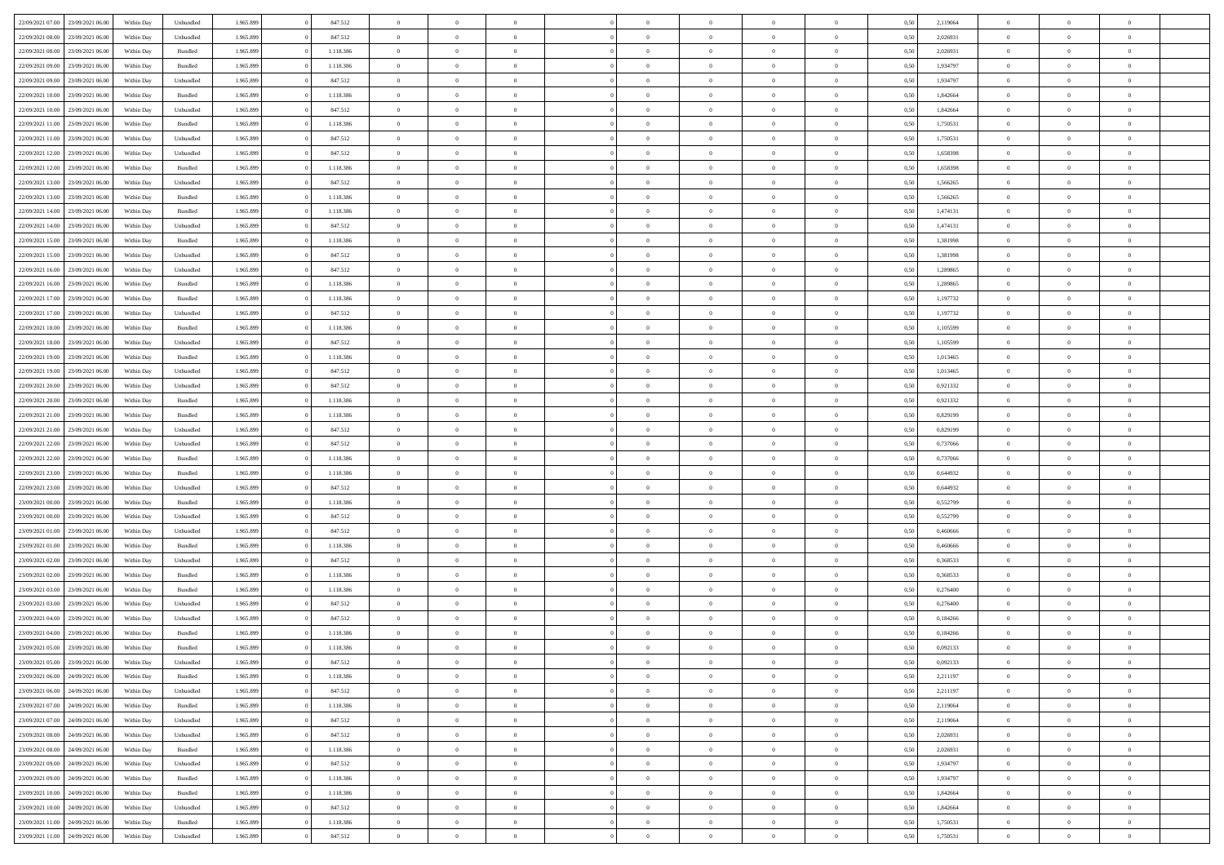|                                   |                  |            |           |           |           | $\overline{0}$ | $\Omega$       |                |                | $\Omega$       | $\Omega$       | $\theta$       |      |          | $\theta$       |                | $\theta$       |  |
|-----------------------------------|------------------|------------|-----------|-----------|-----------|----------------|----------------|----------------|----------------|----------------|----------------|----------------|------|----------|----------------|----------------|----------------|--|
| 22/09/2021 07:00                  | 23/09/2021 06:00 | Within Day | Unbundled | 1.965.899 | 847.512   |                |                |                | $\Omega$       |                |                |                | 0,50 | 2,119064 |                | $\theta$       |                |  |
| 22/09/2021 08:00                  | 23/09/2021 06:00 | Within Day | Unbundled | 1.965.899 | 847.512   | $\overline{0}$ | $\theta$       | $\overline{0}$ | $\overline{0}$ | $\bf{0}$       | $\overline{0}$ | $\bf{0}$       | 0,50 | 2,026931 | $\theta$       | $\theta$       | $\overline{0}$ |  |
| 22/09/2021 08:00                  | 23/09/2021 06:00 | Within Day | Bundled   | 1.965.899 | 1.118.386 | $\overline{0}$ | $\overline{0}$ | $\overline{0}$ | $\bf{0}$       | $\bf{0}$       | $\bf{0}$       | $\mathbf{0}$   | 0,50 | 2,026931 | $\bf{0}$       | $\overline{0}$ | $\overline{0}$ |  |
| 22/09/2021 09:00                  | 23/09/2021 06:00 | Within Dav | Bundled   | 1.965.899 | 1.118.386 | $\overline{0}$ | $\overline{0}$ | $\overline{0}$ | $\overline{0}$ | $\bf{0}$       | $\overline{0}$ | $\overline{0}$ | 0.50 | 1,934797 | $\theta$       | $\theta$       | $\overline{0}$ |  |
| 22/09/2021 09:00                  | 23/09/2021 06:00 | Within Day | Unbundled | 1.965.899 | 847.512   | $\overline{0}$ | $\theta$       | $\overline{0}$ | $\overline{0}$ | $\bf{0}$       | $\overline{0}$ | $\bf{0}$       | 0,50 | 1,934797 | $\theta$       | $\overline{0}$ | $\overline{0}$ |  |
|                                   |                  |            |           |           |           |                |                |                |                |                |                |                |      |          |                |                |                |  |
| 22/09/2021 10:00                  | 23/09/2021 06:00 | Within Day | Bundled   | 1.965.899 | 1.118.386 | $\overline{0}$ | $\bf{0}$       | $\overline{0}$ | $\bf{0}$       | $\overline{0}$ | $\overline{0}$ | $\mathbf{0}$   | 0,50 | 1,842664 | $\bf{0}$       | $\overline{0}$ | $\bf{0}$       |  |
| 22/09/2021 10:00                  | 23/09/2021 06:00 | Within Dav | Unbundled | 1.965.899 | 847.512   | $\overline{0}$ | $\overline{0}$ | $\overline{0}$ | $\overline{0}$ | $\overline{0}$ | $\overline{0}$ | $\overline{0}$ | 0.50 | 1,842664 | $\theta$       | $\overline{0}$ | $\overline{0}$ |  |
| 22/09/2021 11:00                  | 23/09/2021 06:00 | Within Day | Bundled   | 1.965.899 | 1.118.386 | $\overline{0}$ | $\theta$       | $\overline{0}$ | $\overline{0}$ | $\bf{0}$       | $\overline{0}$ | $\bf{0}$       | 0,50 | 1,750531 | $\theta$       | $\theta$       | $\overline{0}$ |  |
| 22/09/2021 11:00                  | 23/09/2021 06:00 | Within Day | Unbundled | 1.965.899 | 847.512   | $\overline{0}$ | $\overline{0}$ | $\overline{0}$ | $\bf{0}$       | $\bf{0}$       | $\bf{0}$       | $\bf{0}$       | 0,50 | 1,750531 | $\,0\,$        | $\overline{0}$ | $\overline{0}$ |  |
| 22/09/2021 12:00                  | 23/09/2021 06:00 | Within Dav | Unbundled | 1.965.899 | 847.512   | $\overline{0}$ | $\overline{0}$ | $\overline{0}$ | $\overline{0}$ | $\overline{0}$ | $\overline{0}$ | $\overline{0}$ | 0.50 | 1,658398 | $\theta$       | $\overline{0}$ | $\overline{0}$ |  |
| 22/09/2021 12:00                  | 23/09/2021 06:00 | Within Day | Bundled   | 1.965.899 | 1.118.386 | $\overline{0}$ | $\theta$       | $\overline{0}$ | $\overline{0}$ | $\bf{0}$       | $\overline{0}$ | $\bf{0}$       | 0,50 | 1,658398 | $\,$ 0 $\,$    | $\overline{0}$ | $\overline{0}$ |  |
|                                   |                  |            |           |           |           |                | $\overline{0}$ |                |                | $\bf{0}$       |                |                |      |          |                | $\overline{0}$ | $\overline{0}$ |  |
| 22/09/2021 13:00                  | 23/09/2021 06:00 | Within Day | Unbundled | 1.965.899 | 847.512   | $\overline{0}$ |                | $\overline{0}$ | $\bf{0}$       |                | $\bf{0}$       | $\mathbf{0}$   | 0,50 | 1,566265 | $\bf{0}$       |                |                |  |
| 22/09/2021 13:00                  | 23/09/2021 06:00 | Within Day | Bundled   | 1.965.899 | 1.118.386 | $\overline{0}$ | $\overline{0}$ | $\overline{0}$ | $\overline{0}$ | $\bf{0}$       | $\overline{0}$ | $\overline{0}$ | 0.50 | 1.566265 | $\theta$       | $\theta$       | $\overline{0}$ |  |
| 22/09/2021 14:00                  | 23/09/2021 06:00 | Within Day | Bundled   | 1.965.899 | 1.118.386 | $\overline{0}$ | $\theta$       | $\overline{0}$ | $\overline{0}$ | $\bf{0}$       | $\overline{0}$ | $\bf{0}$       | 0,50 | 1,474131 | $\theta$       | $\theta$       | $\overline{0}$ |  |
| 22/09/2021 14:00                  | 23/09/2021 06:00 | Within Day | Unbundled | 1.965.899 | 847.512   | $\overline{0}$ | $\overline{0}$ | $\overline{0}$ | $\bf{0}$       | $\overline{0}$ | $\overline{0}$ | $\mathbf{0}$   | 0,50 | 1,474131 | $\bf{0}$       | $\overline{0}$ | $\bf{0}$       |  |
| 22/09/2021 15:00                  | 23/09/2021 06:00 | Within Dav | Bundled   | 1.965.899 | 1.118.386 | $\overline{0}$ | $\overline{0}$ | $\overline{0}$ | $\overline{0}$ | $\overline{0}$ | $\overline{0}$ | $\overline{0}$ | 0.50 | 1,381998 | $\theta$       | $\overline{0}$ | $\overline{0}$ |  |
| 22/09/2021 15:00                  | 23/09/2021 06:00 | Within Day | Unbundled | 1.965.899 | 847.512   | $\overline{0}$ | $\theta$       | $\overline{0}$ | $\overline{0}$ | $\bf{0}$       | $\overline{0}$ | $\bf{0}$       | 0,50 | 1,381998 | $\theta$       | $\theta$       | $\overline{0}$ |  |
| 22/09/2021 16:00                  | 23/09/2021 06:00 | Within Day | Unbundled | 1.965.899 | 847.512   | $\overline{0}$ | $\overline{0}$ | $\overline{0}$ | $\bf{0}$       | $\bf{0}$       | $\bf{0}$       | $\bf{0}$       | 0,50 | 1,289865 | $\,0\,$        | $\overline{0}$ | $\overline{0}$ |  |
| 22/09/2021 16:00                  | 23/09/2021 06:00 | Within Day | Bundled   | 1.965.899 | 1.118.386 | $\overline{0}$ | $\overline{0}$ | $\overline{0}$ | $\overline{0}$ | $\overline{0}$ | $\overline{0}$ | $\overline{0}$ | 0.50 | 1,289865 | $\theta$       | $\overline{0}$ | $\overline{0}$ |  |
|                                   |                  |            |           |           |           |                |                |                |                |                |                |                |      |          |                |                |                |  |
| 22/09/2021 17:00                  | 23/09/2021 06:00 | Within Day | Bundled   | 1.965.899 | 1.118.386 | $\overline{0}$ | $\theta$       | $\overline{0}$ | $\overline{0}$ | $\bf{0}$       | $\overline{0}$ | $\bf{0}$       | 0,50 | 1,197732 | $\,$ 0 $\,$    | $\theta$       | $\overline{0}$ |  |
| 22/09/2021 17:00                  | 23/09/2021 06:00 | Within Day | Unbundled | 1.965.899 | 847.512   | $\overline{0}$ | $\overline{0}$ | $\overline{0}$ | $\bf{0}$       | $\bf{0}$       | $\bf{0}$       | $\bf{0}$       | 0,50 | 1,197732 | $\bf{0}$       | $\overline{0}$ | $\overline{0}$ |  |
| 22/09/2021 18:00                  | 23/09/2021 06:00 | Within Day | Bundled   | 1.965.899 | 1.118.386 | $\overline{0}$ | $\overline{0}$ | $\overline{0}$ | $\overline{0}$ | $\bf{0}$       | $\overline{0}$ | $\overline{0}$ | 0.50 | 1,105599 | $\theta$       | $\overline{0}$ | $\overline{0}$ |  |
| 22/09/2021 18:00                  | 23/09/2021 06:00 | Within Day | Unbundled | 1.965.899 | 847.512   | $\overline{0}$ | $\theta$       | $\overline{0}$ | $\overline{0}$ | $\bf{0}$       | $\overline{0}$ | $\bf{0}$       | 0,50 | 1,105599 | $\,$ 0 $\,$    | $\overline{0}$ | $\overline{0}$ |  |
| 22/09/2021 19:00                  | 23/09/2021 06:00 | Within Day | Bundled   | 1.965.899 | 1.118.386 | $\overline{0}$ | $\bf{0}$       | $\overline{0}$ | $\bf{0}$       | $\overline{0}$ | $\overline{0}$ | $\mathbf{0}$   | 0,50 | 1,013465 | $\overline{0}$ | $\overline{0}$ | $\bf{0}$       |  |
| 22/09/2021 19:00                  | 23/09/2021 06:00 | Within Day | Unbundled | 1.965.899 | 847.512   | $\overline{0}$ | $\overline{0}$ | $\overline{0}$ | $\overline{0}$ | $\overline{0}$ | $\overline{0}$ | $\overline{0}$ | 0.50 | 1,013465 | $\theta$       | $\overline{0}$ | $\overline{0}$ |  |
| 22/09/2021 20:00                  | 23/09/2021 06:00 | Within Day | Unbundled | 1.965.899 | 847.512   | $\overline{0}$ | $\theta$       | $\overline{0}$ | $\overline{0}$ | $\bf{0}$       | $\overline{0}$ | $\bf{0}$       | 0,50 | 0,921332 | $\theta$       | $\theta$       | $\overline{0}$ |  |
|                                   |                  |            |           |           |           |                |                |                |                |                |                |                |      |          |                |                |                |  |
| 22/09/2021 20:00                  | 23/09/2021 06:00 | Within Day | Bundled   | 1.965.899 | 1.118.386 | $\overline{0}$ | $\overline{0}$ | $\overline{0}$ | $\bf{0}$       | $\bf{0}$       | $\bf{0}$       | $\bf{0}$       | 0,50 | 0,921332 | $\,0\,$        | $\overline{0}$ | $\overline{0}$ |  |
| 22/09/2021 21:00                  | 23/09/2021 06:00 | Within Day | Bundled   | 1.965.899 | 1.118.386 | $\overline{0}$ | $\overline{0}$ | $\overline{0}$ | $\overline{0}$ | $\overline{0}$ | $\overline{0}$ | $\overline{0}$ | 0.50 | 0.829199 | $\theta$       | $\overline{0}$ | $\overline{0}$ |  |
| 22/09/2021 21:00                  | 23/09/2021 06:00 | Within Day | Unbundled | 1.965.899 | 847.512   | $\overline{0}$ | $\theta$       | $\overline{0}$ | $\overline{0}$ | $\bf{0}$       | $\overline{0}$ | $\bf{0}$       | 0,50 | 0,829199 | $\,$ 0 $\,$    | $\overline{0}$ | $\overline{0}$ |  |
| 22/09/2021 22:00                  | 23/09/2021 06:00 | Within Day | Unbundled | 1.965.899 | 847.512   | $\overline{0}$ | $\overline{0}$ | $\overline{0}$ | $\overline{0}$ | $\bf{0}$       | $\overline{0}$ | $\bf{0}$       | 0,50 | 0,737066 | $\bf{0}$       | $\overline{0}$ | $\overline{0}$ |  |
| 22/09/2021 22:00                  | 23/09/2021 06:00 | Within Day | Bundled   | 1.965.899 | 1.118.386 | $\overline{0}$ | $\Omega$       | $\overline{0}$ | $\Omega$       | $\Omega$       | $\overline{0}$ | $\overline{0}$ | 0.50 | 0,737066 | $\,0\,$        | $\theta$       | $\theta$       |  |
| 22/09/2021 23:00                  | 23/09/2021 06:00 | Within Day | Bundled   | 1.965.899 | 1.118.386 | $\overline{0}$ | $\theta$       | $\overline{0}$ | $\overline{0}$ | $\bf{0}$       | $\overline{0}$ | $\bf{0}$       | 0,50 | 0,644932 | $\theta$       | $\theta$       | $\overline{0}$ |  |
| 22/09/2021 23:00                  | 23/09/2021 06:00 | Within Day | Unbundled | 1.965.899 | 847.512   | $\overline{0}$ | $\overline{0}$ | $\overline{0}$ | $\overline{0}$ | $\bf{0}$       | $\overline{0}$ | $\mathbf{0}$   | 0,50 | 0,644932 | $\bf{0}$       | $\overline{0}$ | $\bf{0}$       |  |
| 23/09/2021 00:00                  | 23/09/2021 06:00 |            | Bundled   | 1.965.899 | 1.118.386 | $\overline{0}$ | $\Omega$       | $\Omega$       | $\Omega$       | $\bf{0}$       | $\overline{0}$ | $\overline{0}$ | 0.50 | 0,552799 | $\,0\,$        | $\theta$       | $\theta$       |  |
|                                   |                  | Within Day |           |           |           |                |                |                |                |                |                |                |      |          |                |                |                |  |
| 23/09/2021 00:00                  | 23/09/2021 06:00 | Within Day | Unbundled | 1.965.899 | 847.512   | $\overline{0}$ | $\theta$       | $\overline{0}$ | $\overline{0}$ | $\bf{0}$       | $\overline{0}$ | $\bf{0}$       | 0,50 | 0,552799 | $\,$ 0 $\,$    | $\theta$       | $\overline{0}$ |  |
| 23/09/2021 01:00                  | 23/09/2021 06:00 | Within Day | Unbundled | 1.965.899 | 847.512   | $\overline{0}$ | $\overline{0}$ | $\overline{0}$ | $\overline{0}$ | $\bf{0}$       | $\overline{0}$ | $\bf{0}$       | 0,50 | 0,460666 | $\bf{0}$       | $\overline{0}$ | $\overline{0}$ |  |
| 23/09/2021 01:00                  | 23/09/2021 06:00 | Within Day | Bundled   | 1.965.899 | 1.118.386 | $\overline{0}$ | $\Omega$       | $\overline{0}$ | $\Omega$       | $\theta$       | $\overline{0}$ | $\overline{0}$ | 0.50 | 0.460666 | $\theta$       | $\theta$       | $\theta$       |  |
| 23/09/2021 02:00                  | 23/09/2021 06:00 | Within Day | Unbundled | 1.965.899 | 847.512   | $\overline{0}$ | $\theta$       | $\overline{0}$ | $\overline{0}$ | $\bf{0}$       | $\overline{0}$ | $\bf{0}$       | 0,50 | 0,368533 | $\,$ 0 $\,$    | $\overline{0}$ | $\overline{0}$ |  |
| 23/09/2021 02:00                  | 23/09/2021 06:00 | Within Day | Bundled   | 1.965.899 | 1.118.386 | $\overline{0}$ | $\overline{0}$ | $\overline{0}$ | $\overline{0}$ | $\bf{0}$       | $\overline{0}$ | $\bf{0}$       | 0,50 | 0,368533 | $\overline{0}$ | $\overline{0}$ | $\overline{0}$ |  |
| 23/09/2021 03:00                  | 23/09/2021 06:00 | Within Day | Bundled   | 1.965.899 | 1.118.386 | $\overline{0}$ | $\Omega$       | $\overline{0}$ | $\Omega$       | $\overline{0}$ | $\overline{0}$ | $\overline{0}$ | 0.50 | 0,276400 | $\,0\,$        | $\theta$       | $\theta$       |  |
| 23/09/2021 03:00                  | 23/09/2021 06:00 | Within Day | Unbundled | 1.965.899 | 847.512   | $\overline{0}$ | $\theta$       | $\overline{0}$ | $\overline{0}$ | $\bf{0}$       | $\overline{0}$ | $\bf{0}$       | 0,50 | 0,276400 | $\,$ 0 $\,$    | $\overline{0}$ | $\overline{0}$ |  |
| 23/09/2021 04:00                  | 23/09/2021 06:00 | Within Day | Unbundled | 1.965.899 | 847.512   | $\overline{0}$ | $\overline{0}$ | $\overline{0}$ | $\overline{0}$ | $\bf{0}$       | $\overline{0}$ | $\mathbf{0}$   | 0,50 | 0,184266 | $\overline{0}$ | $\overline{0}$ | $\bf{0}$       |  |
|                                   |                  |            |           |           |           |                |                |                |                |                |                |                |      |          |                |                |                |  |
| 23/09/2021 04:00                  | 23/09/2021 06:00 | Within Day | Bundled   | 1.965.899 | 1.118.386 | $\overline{0}$ | $\Omega$       | $\Omega$       | $\Omega$       | $\Omega$       | $\Omega$       | $\overline{0}$ | 0.50 | 0,184266 | $\theta$       | $\theta$       | $\theta$       |  |
| 23/09/2021 05:00                  | 23/09/2021 06:00 | Within Day | Bundled   | 1.965.899 | 1.118.386 | $\overline{0}$ | $\,$ 0 $\,$    | $\overline{0}$ | $\bf{0}$       | $\,$ 0         | $\overline{0}$ | $\bf{0}$       | 0,50 | 0,092133 | $\,0\,$        | $\overline{0}$ | $\overline{0}$ |  |
| 23/09/2021 05:00 23/09/2021 06:00 |                  | Within Day | Unbundled | 1.965.899 | 847.512   | $\bf{0}$       | $\bf{0}$       |                |                | $\bf{0}$       |                |                | 0,50 | 0,092133 | $\bf{0}$       | $\overline{0}$ |                |  |
| 23/09/2021 06:00                  | 24/09/2021 06:00 | Within Day | Bundled   | 1.965.899 | 1.118.386 | $\overline{0}$ | $\overline{0}$ | $\overline{0}$ | $\Omega$       | $\overline{0}$ | $\overline{0}$ | $\overline{0}$ | 0,50 | 2,211197 | $\theta$       | $\theta$       | $\theta$       |  |
| 23/09/2021 06:00                  | 24/09/2021 06.00 | Within Day | Unbundled | 1.965.899 | 847.512   | $\overline{0}$ | $\bf{0}$       | $\overline{0}$ | $\overline{0}$ | $\,$ 0 $\,$    | $\overline{0}$ | $\,$ 0 $\,$    | 0,50 | 2,211197 | $\,$ 0 $\,$    | $\,$ 0 $\,$    | $\,$ 0         |  |
| 23/09/2021 07:00                  | 24/09/2021 06:00 | Within Day | Bundled   | 1.965.899 | 1.118.386 | $\overline{0}$ | $\overline{0}$ | $\overline{0}$ | $\overline{0}$ | $\overline{0}$ | $\overline{0}$ | $\mathbf{0}$   | 0,50 | 2,119064 | $\overline{0}$ | $\bf{0}$       | $\overline{0}$ |  |
| 23/09/2021 07:00                  | 24/09/2021 06.00 | Within Day | Unbundled | 1.965.899 | 847.512   | $\overline{0}$ | $\overline{0}$ | $\overline{0}$ | $\Omega$       | $\overline{0}$ | $\overline{0}$ | $\overline{0}$ | 0,50 | 2,119064 | $\overline{0}$ | $\overline{0}$ | $\overline{0}$ |  |
| 23/09/2021 08:00                  | 24/09/2021 06.00 | Within Day | Unbundled | 1.965.899 | 847.512   | $\overline{0}$ | $\,$ 0         | $\overline{0}$ | $\overline{0}$ | $\,$ 0 $\,$    | $\overline{0}$ | $\,$ 0 $\,$    | 0,50 | 2,026931 | $\,$ 0 $\,$    | $\overline{0}$ | $\overline{0}$ |  |
|                                   |                  |            |           |           |           |                |                |                |                |                |                |                |      |          |                |                |                |  |
| 23/09/2021 08:00                  | 24/09/2021 06:00 | Within Day | Bundled   | 1.965.899 | 1.118.386 | $\overline{0}$ | $\overline{0}$ | $\overline{0}$ | $\overline{0}$ | $\overline{0}$ | $\overline{0}$ | $\mathbf{0}$   | 0,50 | 2,026931 | $\overline{0}$ | $\overline{0}$ | $\overline{0}$ |  |
| 23/09/2021 09:00                  | 24/09/2021 06:00 | Within Day | Unbundled | 1.965.899 | 847.512   | $\overline{0}$ | $\overline{0}$ | $\overline{0}$ | $\overline{0}$ | $\overline{0}$ | $\overline{0}$ | $\overline{0}$ | 0.50 | 1,934797 | $\overline{0}$ | $\theta$       | $\overline{0}$ |  |
| 23/09/2021 09:00                  | 24/09/2021 06.00 | Within Day | Bundled   | 1.965.899 | 1.118.386 | $\overline{0}$ | $\,$ 0         | $\overline{0}$ | $\bf{0}$       | $\bf{0}$       | $\bf{0}$       | $\bf{0}$       | 0,50 | 1,934797 | $\,$ 0 $\,$    | $\overline{0}$ | $\overline{0}$ |  |
| 23/09/2021 10:00                  | 24/09/2021 06:00 | Within Day | Bundled   | 1.965.899 | 1.118.386 | $\overline{0}$ | $\bf{0}$       | $\overline{0}$ | $\overline{0}$ | $\overline{0}$ | $\overline{0}$ | $\mathbf{0}$   | 0,50 | 1,842664 | $\overline{0}$ | $\overline{0}$ | $\bf{0}$       |  |
| 23/09/2021 10:00                  | 24/09/2021 06.00 | Within Day | Unbundled | 1.965.899 | 847.512   | $\overline{0}$ | $\overline{0}$ | $\overline{0}$ | $\Omega$       | $\overline{0}$ | $\overline{0}$ | $\overline{0}$ | 0.50 | 1,842664 | $\overline{0}$ | $\overline{0}$ | $\overline{0}$ |  |
| 23/09/2021 11:00                  | 24/09/2021 06.00 | Within Day | Bundled   | 1.965.899 | 1.118.386 | $\overline{0}$ | $\bf{0}$       | $\overline{0}$ | $\bf{0}$       | $\bf{0}$       | $\bf{0}$       | $\mathbf{0}$   | 0,50 | 1,750531 | $\,$ 0 $\,$    | $\,$ 0 $\,$    | $\bf{0}$       |  |
| 23/09/2021 11:00 24/09/2021 06:00 |                  | Within Day | Unbundled | 1.965.899 | 847.512   | $\overline{0}$ | $\overline{0}$ | $\overline{0}$ | $\overline{0}$ | $\overline{0}$ | $\bf{0}$       | $\mathbf{0}$   | 0,50 | 1,750531 | $\overline{0}$ | $\bf{0}$       | $\overline{0}$ |  |
|                                   |                  |            |           |           |           |                |                |                |                |                |                |                |      |          |                |                |                |  |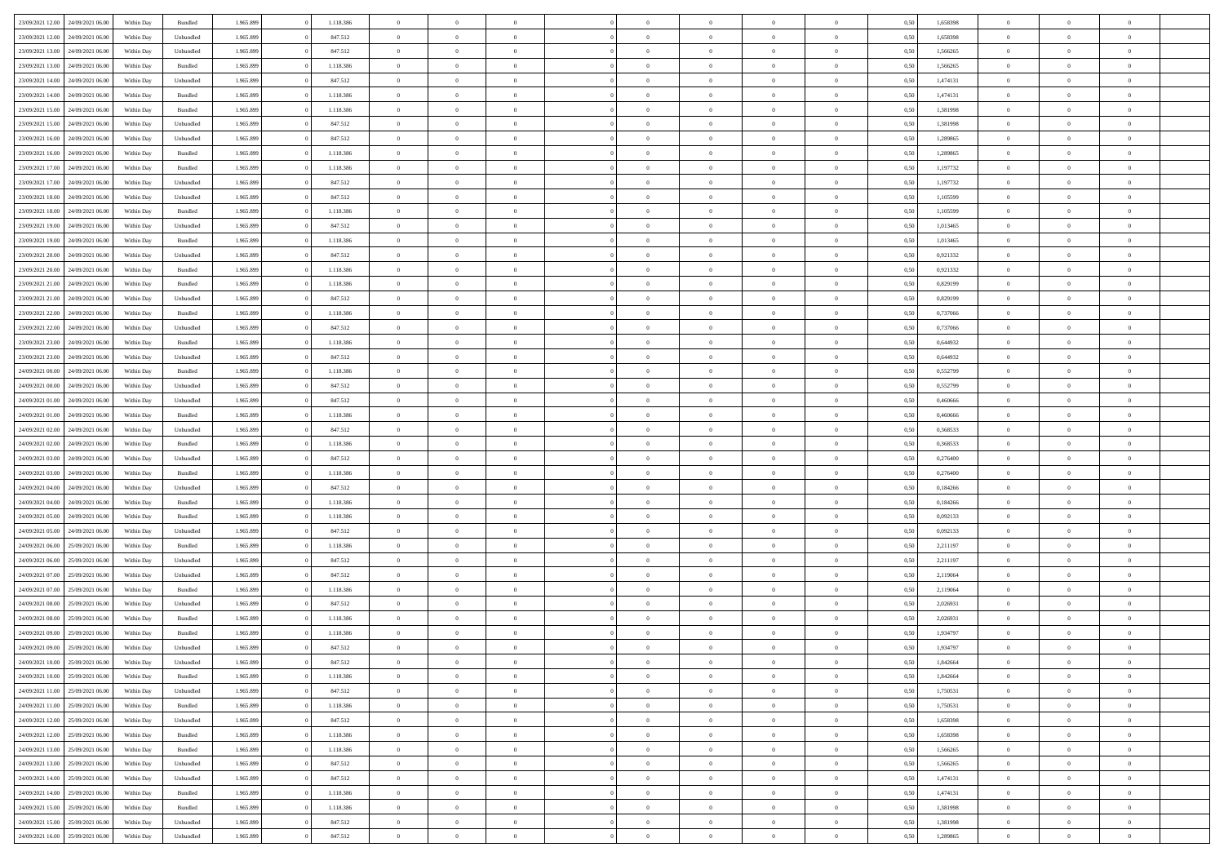|                                   |                  |            |           |           |           | $\overline{0}$ | $\Omega$       |                |                | $\Omega$       | $\theta$       | $\theta$       |      |          | $\theta$       |                | $\theta$       |  |
|-----------------------------------|------------------|------------|-----------|-----------|-----------|----------------|----------------|----------------|----------------|----------------|----------------|----------------|------|----------|----------------|----------------|----------------|--|
| 23/09/2021 12:00                  | 24/09/2021 06:00 | Within Day | Bundled   | 1.965.899 | 1.118.386 |                |                |                | $\Omega$       |                |                |                | 0,50 | 1,658398 |                | $\theta$       |                |  |
| 23/09/2021 12:00                  | 24/09/2021 06.00 | Within Day | Unbundled | 1.965.899 | 847.512   | $\overline{0}$ | $\theta$       | $\overline{0}$ | $\overline{0}$ | $\bf{0}$       | $\overline{0}$ | $\bf{0}$       | 0,50 | 1,658398 | $\theta$       | $\overline{0}$ | $\overline{0}$ |  |
| 23/09/2021 13:00                  | 24/09/2021 06:00 | Within Day | Unbundled | 1.965.899 | 847.512   | $\overline{0}$ | $\bf{0}$       | $\overline{0}$ | $\bf{0}$       | $\bf{0}$       | $\bf{0}$       | $\mathbf{0}$   | 0,50 | 1,566265 | $\overline{0}$ | $\overline{0}$ | $\overline{0}$ |  |
| 23/09/2021 13:00                  | 24/09/2021 06:00 | Within Dav | Bundled   | 1.965.899 | 1.118.386 | $\overline{0}$ | $\overline{0}$ | $\overline{0}$ | $\overline{0}$ | $\bf{0}$       | $\overline{0}$ | $\overline{0}$ | 0.50 | 1.566265 | $\theta$       | $\theta$       | $\overline{0}$ |  |
|                                   |                  |            |           |           |           | $\overline{0}$ | $\theta$       | $\overline{0}$ | $\overline{0}$ | $\bf{0}$       | $\overline{0}$ |                |      |          | $\,$ 0 $\,$    | $\overline{0}$ | $\overline{0}$ |  |
| 23/09/2021 14:00                  | 24/09/2021 06.00 | Within Day | Unbundled | 1.965.899 | 847.512   |                |                |                |                |                |                | $\bf{0}$       | 0,50 | 1,474131 |                |                |                |  |
| 23/09/2021 14:00                  | 24/09/2021 06:00 | Within Day | Bundled   | 1.965.899 | 1.118.386 | $\overline{0}$ | $\overline{0}$ | $\overline{0}$ | $\bf{0}$       | $\overline{0}$ | $\overline{0}$ | $\mathbf{0}$   | 0,50 | 1,474131 | $\overline{0}$ | $\overline{0}$ | $\bf{0}$       |  |
| 23/09/2021 15:00                  | 24/09/2021 06.00 | Within Dav | Bundled   | 1.965.899 | 1.118.386 | $\overline{0}$ | $\overline{0}$ | $\overline{0}$ | $\overline{0}$ | $\overline{0}$ | $\overline{0}$ | $\overline{0}$ | 0.50 | 1,381998 | $\theta$       | $\overline{0}$ | $\overline{0}$ |  |
| 23/09/2021 15:00                  | 24/09/2021 06.00 | Within Day | Unbundled | 1.965.899 | 847.512   | $\overline{0}$ | $\theta$       | $\overline{0}$ | $\overline{0}$ | $\bf{0}$       | $\overline{0}$ | $\bf{0}$       | 0,50 | 1,381998 | $\theta$       | $\theta$       | $\overline{0}$ |  |
| 23/09/2021 16:00                  | 24/09/2021 06:00 | Within Day | Unbundled | 1.965.899 | 847.512   | $\overline{0}$ | $\overline{0}$ | $\overline{0}$ | $\bf{0}$       | $\bf{0}$       | $\bf{0}$       | $\bf{0}$       | 0,50 | 1,289865 | $\,0\,$        | $\overline{0}$ | $\overline{0}$ |  |
|                                   |                  |            |           |           |           |                | $\overline{0}$ |                |                | $\overline{0}$ |                |                |      |          | $\theta$       | $\overline{0}$ | $\overline{0}$ |  |
| 23/09/2021 16:00                  | 24/09/2021 06:00 | Within Dav | Bundled   | 1.965.899 | 1.118.386 | $\overline{0}$ |                | $\overline{0}$ | $\overline{0}$ |                | $\overline{0}$ | $\overline{0}$ | 0.50 | 1,289865 |                |                |                |  |
| 23/09/2021 17:00                  | 24/09/2021 06.00 | Within Day | Bundled   | 1.965.899 | 1.118.386 | $\overline{0}$ | $\theta$       | $\overline{0}$ | $\overline{0}$ | $\bf{0}$       | $\overline{0}$ | $\bf{0}$       | 0,50 | 1,197732 | $\,$ 0 $\,$    | $\overline{0}$ | $\overline{0}$ |  |
| 23/09/2021 17:00                  | 24/09/2021 06:00 | Within Day | Unbundled | 1.965.899 | 847.512   | $\overline{0}$ | $\overline{0}$ | $\overline{0}$ | $\bf{0}$       | $\bf{0}$       | $\bf{0}$       | $\mathbf{0}$   | 0,50 | 1,197732 | $\overline{0}$ | $\overline{0}$ | $\bf{0}$       |  |
| 23/09/2021 18:00                  | 24/09/2021 06:00 | Within Day | Unbundled | 1.965.899 | 847.512   | $\overline{0}$ | $\overline{0}$ | $\overline{0}$ | $\overline{0}$ | $\bf{0}$       | $\overline{0}$ | $\overline{0}$ | 0.50 | 1,105599 | $\theta$       | $\theta$       | $\overline{0}$ |  |
| 23/09/2021 18:00                  | 24/09/2021 06.00 | Within Day | Bundled   | 1.965.899 | 1.118.386 | $\overline{0}$ | $\theta$       | $\overline{0}$ | $\overline{0}$ | $\bf{0}$       | $\overline{0}$ | $\bf{0}$       | 0,50 | 1,105599 | $\theta$       | $\overline{0}$ | $\overline{0}$ |  |
|                                   |                  |            |           |           |           |                |                |                |                |                |                |                |      |          |                |                |                |  |
| 23/09/2021 19:00                  | 24/09/2021 06:00 | Within Day | Unbundled | 1.965.899 | 847.512   | $\overline{0}$ | $\overline{0}$ | $\overline{0}$ | $\bf{0}$       | $\overline{0}$ | $\overline{0}$ | $\mathbf{0}$   | 0,50 | 1,013465 | $\overline{0}$ | $\overline{0}$ | $\bf{0}$       |  |
| 23/09/2021 19:00                  | 24/09/2021 06:00 | Within Dav | Bundled   | 1.965.899 | 1.118.386 | $\overline{0}$ | $\overline{0}$ | $\overline{0}$ | $\overline{0}$ | $\overline{0}$ | $\overline{0}$ | $\overline{0}$ | 0.50 | 1,013465 | $\theta$       | $\overline{0}$ | $\overline{0}$ |  |
| 23/09/2021 20:00                  | 24/09/2021 06.00 | Within Day | Unbundled | 1.965.899 | 847.512   | $\overline{0}$ | $\theta$       | $\overline{0}$ | $\overline{0}$ | $\bf{0}$       | $\overline{0}$ | $\bf{0}$       | 0,50 | 0,921332 | $\,$ 0 $\,$    | $\theta$       | $\overline{0}$ |  |
| 23/09/2021 20:00                  | 24/09/2021 06:00 | Within Day | Bundled   | 1.965.899 | 1.118.386 | $\overline{0}$ | $\overline{0}$ | $\overline{0}$ | $\overline{0}$ | $\bf{0}$       | $\overline{0}$ | $\mathbf{0}$   | 0,50 | 0,921332 | $\bf{0}$       | $\overline{0}$ | $\bf{0}$       |  |
| 23/09/2021 21:00                  | 24/09/2021 06:00 | Within Day | Bundled   | 1.965.899 | 1.118.386 | $\overline{0}$ | $\overline{0}$ | $\overline{0}$ | $\overline{0}$ | $\overline{0}$ | $\overline{0}$ | $\overline{0}$ | 0.50 | 0.829199 | $\theta$       | $\overline{0}$ | $\overline{0}$ |  |
| 23/09/2021 21:00                  | 24/09/2021 06.00 | Within Day | Unbundled | 1.965.899 | 847.512   | $\overline{0}$ | $\theta$       | $\overline{0}$ | $\overline{0}$ | $\bf{0}$       | $\overline{0}$ | $\bf{0}$       | 0,50 | 0,829199 | $\,$ 0 $\,$    | $\overline{0}$ | $\overline{0}$ |  |
|                                   |                  |            |           |           |           |                |                |                |                |                |                |                |      |          |                |                |                |  |
| 23/09/2021 22:00                  | 24/09/2021 06:00 | Within Day | Bundled   | 1.965.899 | 1.118.386 | $\overline{0}$ | $\overline{0}$ | $\overline{0}$ | $\overline{0}$ | $\bf{0}$       | $\overline{0}$ | $\mathbf{0}$   | 0,50 | 0,737066 | $\overline{0}$ | $\overline{0}$ | $\bf{0}$       |  |
| 23/09/2021 22:00                  | 24/09/2021 06:00 | Within Day | Unbundled | 1.965.899 | 847.512   | $\overline{0}$ | $\overline{0}$ | $\overline{0}$ | $\overline{0}$ | $\overline{0}$ | $\overline{0}$ | $\overline{0}$ | 0.50 | 0,737066 | $\theta$       | $\overline{0}$ | $\overline{0}$ |  |
| 23/09/2021 23:00                  | 24/09/2021 06.00 | Within Day | Bundled   | 1.965.899 | 1.118.386 | $\overline{0}$ | $\theta$       | $\overline{0}$ | $\overline{0}$ | $\bf{0}$       | $\overline{0}$ | $\bf{0}$       | 0,50 | 0,644932 | $\,$ 0 $\,$    | $\overline{0}$ | $\overline{0}$ |  |
| 23/09/2021 23:00                  | 24/09/2021 06:00 | Within Day | Unbundled | 1.965.899 | 847.512   | $\overline{0}$ | $\overline{0}$ | $\overline{0}$ | $\overline{0}$ | $\overline{0}$ | $\overline{0}$ | $\mathbf{0}$   | 0,50 | 0,644932 | $\overline{0}$ | $\overline{0}$ | $\bf{0}$       |  |
| 24/09/2021 00:00                  | 24/09/2021 06.00 | Within Dav | Bundled   | 1.965.899 | 1.118.386 | $\overline{0}$ | $\overline{0}$ | $\overline{0}$ | $\overline{0}$ | $\overline{0}$ | $\overline{0}$ | $\overline{0}$ | 0.50 | 0,552799 | $\overline{0}$ | $\overline{0}$ | $\overline{0}$ |  |
| 24/09/2021 00:00                  | 24/09/2021 06.00 | Within Day | Unbundled | 1.965.899 | 847.512   | $\overline{0}$ | $\theta$       | $\overline{0}$ | $\overline{0}$ | $\bf{0}$       | $\overline{0}$ | $\bf{0}$       | 0,50 | 0,552799 | $\theta$       | $\theta$       | $\overline{0}$ |  |
| 24/09/2021 01:00                  | 24/09/2021 06:00 | Within Day | Unbundled | 1.965.899 | 847.512   | $\overline{0}$ | $\overline{0}$ | $\overline{0}$ | $\overline{0}$ | $\bf{0}$       | $\overline{0}$ | $\bf{0}$       | 0,50 | 0,460666 | $\,0\,$        | $\overline{0}$ | $\overline{0}$ |  |
| 24/09/2021 01:00                  | 24/09/2021 06:00 |            | Bundled   | 1.965.899 | 1.118.386 | $\overline{0}$ | $\overline{0}$ | $\overline{0}$ | $\overline{0}$ | $\overline{0}$ | $\overline{0}$ | $\overline{0}$ | 0.50 | 0.460666 | $\theta$       | $\overline{0}$ | $\overline{0}$ |  |
|                                   |                  | Within Day |           |           |           |                |                |                |                |                |                |                |      |          |                |                |                |  |
| 24/09/2021 02:00                  | 24/09/2021 06.00 | Within Day | Unbundled | 1.965.899 | 847.512   | $\overline{0}$ | $\theta$       | $\overline{0}$ | $\overline{0}$ | $\bf{0}$       | $\overline{0}$ | $\bf{0}$       | 0,50 | 0,368533 | $\,$ 0 $\,$    | $\overline{0}$ | $\overline{0}$ |  |
| 24/09/2021 02:00                  | 24/09/2021 06:00 | Within Day | Bundled   | 1.965.899 | 1.118.386 | $\overline{0}$ | $\overline{0}$ | $\overline{0}$ | $\overline{0}$ | $\bf{0}$       | $\overline{0}$ | $\bf{0}$       | 0,50 | 0,368533 | $\overline{0}$ | $\overline{0}$ | $\bf{0}$       |  |
| 24/09/2021 03:00                  | 24/09/2021 06.00 | Within Day | Unbundled | 1.965.899 | 847.512   | $\overline{0}$ | $\Omega$       | $\overline{0}$ | $\Omega$       | $\Omega$       | $\overline{0}$ | $\overline{0}$ | 0,50 | 0,276400 | $\,0\,$        | $\theta$       | $\theta$       |  |
| 24/09/2021 03:00                  | 24/09/2021 06.00 | Within Day | Bundled   | 1.965.899 | 1.118.386 | $\overline{0}$ | $\theta$       | $\overline{0}$ | $\overline{0}$ | $\bf{0}$       | $\overline{0}$ | $\bf{0}$       | 0,50 | 0,276400 | $\,$ 0 $\,$    | $\overline{0}$ | $\overline{0}$ |  |
| 24/09/2021 04:00                  | 24/09/2021 06:00 | Within Day | Unbundled | 1.965.899 | 847.512   | $\overline{0}$ | $\overline{0}$ | $\overline{0}$ | $\bf{0}$       | $\overline{0}$ | $\overline{0}$ | $\mathbf{0}$   | 0,50 | 0,184266 | $\overline{0}$ | $\overline{0}$ | $\bf{0}$       |  |
| 24/09/2021 04:00                  | 24/09/2021 06:00 |            | Bundled   | 1.965.899 | 1.118.386 | $\overline{0}$ | $\Omega$       | $\overline{0}$ | $\Omega$       | $\overline{0}$ | $\overline{0}$ | $\overline{0}$ | 0.50 | 0,184266 | $\,0\,$        | $\theta$       | $\theta$       |  |
|                                   |                  | Within Day |           |           |           |                |                |                |                |                |                |                |      |          |                |                |                |  |
| 24/09/2021 05:00                  | 24/09/2021 06.00 | Within Day | Bundled   | 1.965.899 | 1.118.386 | $\overline{0}$ | $\theta$       | $\overline{0}$ | $\overline{0}$ | $\bf{0}$       | $\overline{0}$ | $\bf{0}$       | 0,50 | 0,092133 | $\,$ 0 $\,$    | $\overline{0}$ | $\overline{0}$ |  |
| 24/09/2021 05:00                  | 24/09/2021 06:00 | Within Day | Unbundled | 1.965.899 | 847.512   | $\overline{0}$ | $\overline{0}$ | $\overline{0}$ | $\bf{0}$       | $\bf{0}$       | $\bf{0}$       | $\bf{0}$       | 0,50 | 0,092133 | $\bf{0}$       | $\overline{0}$ | $\bf{0}$       |  |
| 24/09/2021 06:00                  | 25/09/2021 06:00 | Within Day | Bundled   | 1.965.899 | 1.118.386 | $\overline{0}$ | $\Omega$       | $\overline{0}$ | $\Omega$       | $\overline{0}$ | $\overline{0}$ | $\overline{0}$ | 0.50 | 2,211197 | $\,$ 0 $\,$    | $\theta$       | $\theta$       |  |
| 24/09/2021 06:00                  | 25/09/2021 06:00 | Within Day | Unbundled | 1.965.899 | 847.512   | $\overline{0}$ | $\overline{0}$ | $\overline{0}$ | $\overline{0}$ | $\,$ 0         | $\overline{0}$ | $\bf{0}$       | 0,50 | 2,211197 | $\,$ 0 $\,$    | $\overline{0}$ | $\overline{0}$ |  |
| 24/09/2021 07:00                  | 25/09/2021 06:00 | Within Day | Unbundled | 1.965.899 | 847.512   | $\overline{0}$ | $\overline{0}$ | $\overline{0}$ | $\bf{0}$       | $\bf{0}$       | $\bf{0}$       | $\mathbf{0}$   | 0,50 | 2,119064 | $\overline{0}$ | $\overline{0}$ | $\bf{0}$       |  |
| 24/09/2021 07:00                  | 25/09/2021 06:00 | Within Day | Bundled   | 1.965.899 | 1.118.386 | $\overline{0}$ | $\Omega$       | $\overline{0}$ | $\Omega$       | $\overline{0}$ | $\overline{0}$ | $\overline{0}$ | 0,50 | 2,119064 | $\,0\,$        | $\theta$       | $\theta$       |  |
|                                   |                  |            |           |           |           |                | $\overline{0}$ |                |                |                |                |                |      |          |                |                |                |  |
| 24/09/2021 08:00                  | 25/09/2021 06:00 | Within Day | Unbundled | 1.965.899 | 847.512   | $\overline{0}$ |                | $\overline{0}$ | $\overline{0}$ | $\,$ 0         | $\overline{0}$ | $\bf{0}$       | 0,50 | 2,026931 | $\,$ 0 $\,$    | $\overline{0}$ | $\overline{0}$ |  |
| 24/09/2021 08:00                  | 25/09/2021 06:00 | Within Day | Bundled   | 1.965.899 | 1.118.386 | $\overline{0}$ | $\overline{0}$ | $\overline{0}$ | $\bf{0}$       | $\bf{0}$       | $\overline{0}$ | $\mathbf{0}$   | 0,50 | 2,026931 | $\overline{0}$ | $\overline{0}$ | $\bf{0}$       |  |
| 24/09/2021 09:00                  | 25/09/2021 06:00 | Within Day | Bundled   | 1.965.899 | 1.118.386 | $\overline{0}$ | $\Omega$       | $\Omega$       | $\Omega$       | $\Omega$       | $\Omega$       | $\overline{0}$ | 0.50 | 1,934797 | $\theta$       | $\theta$       | $\theta$       |  |
| 24/09/2021 09:00                  | 25/09/2021 06:00 | Within Day | Unbundled | 1.965.899 | 847.512   | $\overline{0}$ | $\overline{0}$ | $\overline{0}$ | $\bf{0}$       | $\,$ 0         | $\bf{0}$       | $\bf{0}$       | 0,50 | 1,934797 | $\,0\,$        | $\,$ 0 $\,$    | $\overline{0}$ |  |
| 24/09/2021 10:00                  | 25/09/2021 06:00 | Within Day | Unbundled | 1.965.899 | 847.512   | $\bf{0}$       | $\bf{0}$       |                |                | $\bf{0}$       |                |                | 0,50 | 1,842664 | $\bf{0}$       | $\overline{0}$ |                |  |
| 24/09/2021 10:00                  | 25/09/2021 06:00 | Within Day | Bundled   | 1.965.899 | 1.118.386 | $\overline{0}$ | $\overline{0}$ | $\overline{0}$ | $\Omega$       | $\overline{0}$ | $\overline{0}$ | $\overline{0}$ | 0,50 | 1.842664 | $\theta$       | $\theta$       | $\Omega$       |  |
| 24/09/2021 11:00                  | 25/09/2021 06.00 | Within Day | Unbundled | 1.965.899 | 847.512   | $\overline{0}$ | $\bf{0}$       | $\overline{0}$ | $\bf{0}$       | $\,$ 0 $\,$    | $\overline{0}$ | $\,$ 0 $\,$    | 0,50 | 1,750531 | $\,$ 0 $\,$    | $\,$ 0 $\,$    | $\,$ 0         |  |
|                                   |                  |            |           |           |           |                |                |                |                |                |                |                |      |          |                |                |                |  |
| 24/09/2021 11:00                  | 25/09/2021 06:00 | Within Day | Bundled   | 1.965.899 | 1.118.386 | $\overline{0}$ | $\overline{0}$ | $\overline{0}$ | $\overline{0}$ | $\overline{0}$ | $\overline{0}$ | $\mathbf{0}$   | 0,50 | 1,750531 | $\overline{0}$ | $\bf{0}$       | $\overline{0}$ |  |
| 24/09/2021 12:00                  | 25/09/2021 06:00 | Within Day | Unbundled | 1.965.899 | 847.512   | $\overline{0}$ | $\overline{0}$ | $\overline{0}$ | $\Omega$       | $\overline{0}$ | $\overline{0}$ | $\overline{0}$ | 0,50 | 1,658398 | $\overline{0}$ | $\overline{0}$ | $\overline{0}$ |  |
| 24/09/2021 12:00                  | 25/09/2021 06.00 | Within Day | Bundled   | 1.965.899 | 1.118.386 | $\overline{0}$ | $\,$ 0         | $\overline{0}$ | $\overline{0}$ | $\,$ 0 $\,$    | $\overline{0}$ | $\,$ 0 $\,$    | 0,50 | 1,658398 | $\,$ 0 $\,$    | $\overline{0}$ | $\,$ 0         |  |
| 24/09/2021 13:00                  | 25/09/2021 06:00 | Within Day | Bundled   | 1.965.899 | 1.118.386 | $\overline{0}$ | $\overline{0}$ | $\overline{0}$ | $\overline{0}$ | $\overline{0}$ | $\overline{0}$ | $\mathbf{0}$   | 0,50 | 1,566265 | $\overline{0}$ | $\overline{0}$ | $\overline{0}$ |  |
| 24/09/2021 13:00                  | 25/09/2021 06:00 | Within Day | Unbundled | 1.965.899 | 847.512   | $\overline{0}$ | $\overline{0}$ | $\overline{0}$ | $\overline{0}$ | $\overline{0}$ | $\overline{0}$ | $\bf{0}$       | 0.50 | 1,566265 | $\overline{0}$ | $\theta$       | $\overline{0}$ |  |
| 24/09/2021 14:00                  | 25/09/2021 06:00 | Within Day | Unbundled | 1.965.899 | 847.512   | $\overline{0}$ | $\,$ 0         | $\overline{0}$ | $\overline{0}$ | $\bf{0}$       | $\overline{0}$ | $\bf{0}$       | 0,50 | 1,474131 | $\,$ 0 $\,$    | $\overline{0}$ | $\overline{0}$ |  |
| 24/09/2021 14:00                  | 25/09/2021 06:00 | Within Day | Bundled   | 1.965.899 | 1.118.386 | $\overline{0}$ | $\bf{0}$       | $\overline{0}$ | $\overline{0}$ | $\overline{0}$ | $\overline{0}$ | $\mathbf{0}$   | 0,50 | 1,474131 | $\overline{0}$ | $\overline{0}$ | $\bf{0}$       |  |
|                                   |                  |            |           |           |           |                |                |                |                |                |                |                |      |          |                |                |                |  |
| 24/09/2021 15:00                  | 25/09/2021 06:00 | Within Day | Bundled   | 1.965.899 | 1.118.386 | $\overline{0}$ | $\overline{0}$ | $\overline{0}$ | $\Omega$       | $\overline{0}$ | $\overline{0}$ | $\overline{0}$ | 0.50 | 1,381998 | $\overline{0}$ | $\overline{0}$ | $\overline{0}$ |  |
| 24/09/2021 15:00                  | 25/09/2021 06.00 | Within Day | Unbundled | 1.965.899 | 847.512   | $\overline{0}$ | $\bf{0}$       | $\overline{0}$ | $\bf{0}$       | $\bf{0}$       | $\overline{0}$ | $\mathbf{0}$   | 0,50 | 1,381998 | $\,$ 0 $\,$    | $\,$ 0 $\,$    | $\bf{0}$       |  |
| 24/09/2021 16:00 25/09/2021 06:00 |                  | Within Day | Unbundled | 1.965.899 | 847.512   | $\overline{0}$ | $\overline{0}$ | $\overline{0}$ | $\overline{0}$ | $\overline{0}$ | $\overline{0}$ | $\mathbf{0}$   | 0,50 | 1,289865 | $\overline{0}$ | $\bf{0}$       | $\overline{0}$ |  |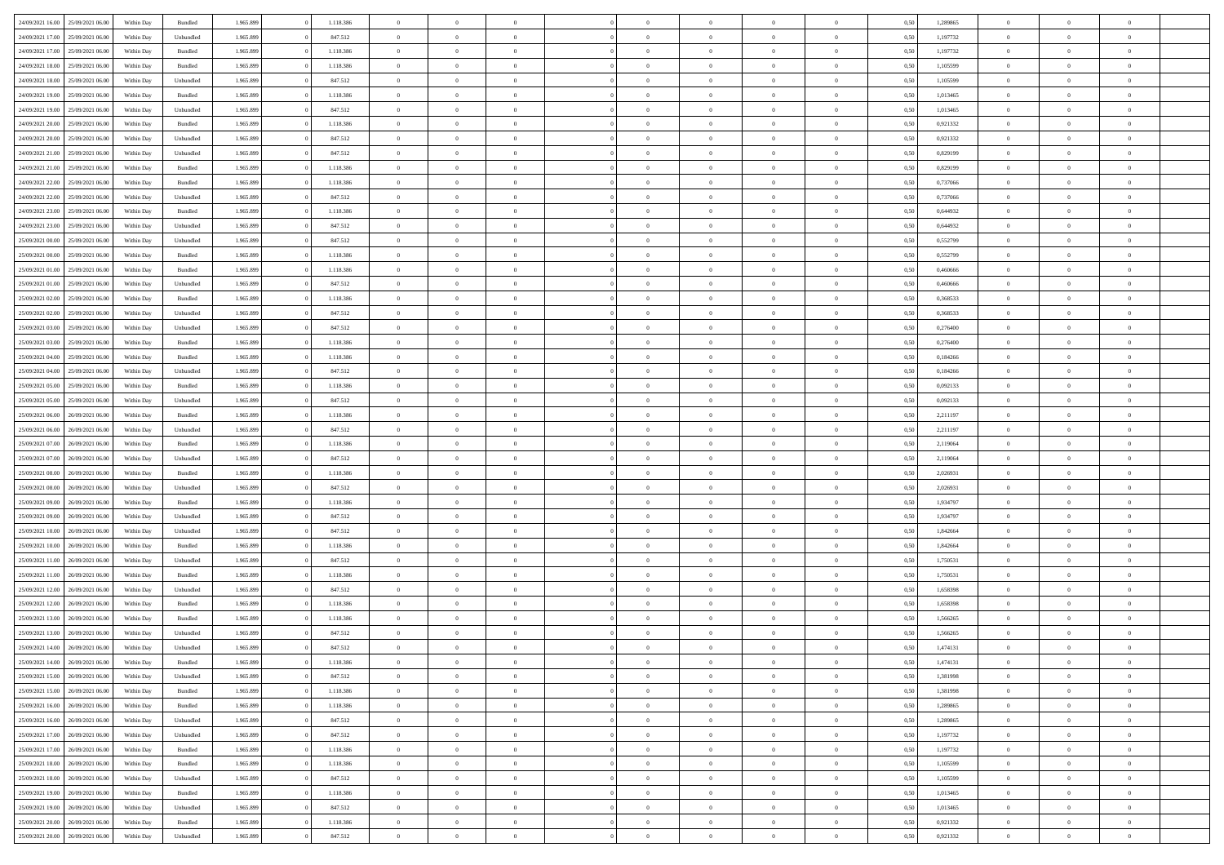|                  |                                   |            |                    |           |           | $\overline{0}$ | $\Omega$       |                |                | $\Omega$       | $\Omega$       | $\theta$       |      |          | $\theta$       |                | $\theta$       |  |
|------------------|-----------------------------------|------------|--------------------|-----------|-----------|----------------|----------------|----------------|----------------|----------------|----------------|----------------|------|----------|----------------|----------------|----------------|--|
| 24/09/2021 16:00 | 25/09/2021 06:00                  | Within Day | Bundled            | 1.965.899 | 1.118.386 |                |                |                | $\Omega$       |                |                |                | 0,50 | 1,289865 |                | $\theta$       |                |  |
| 24/09/2021 17:00 | 25/09/2021 06:00                  | Within Day | Unbundled          | 1.965.899 | 847.512   | $\overline{0}$ | $\theta$       | $\overline{0}$ | $\overline{0}$ | $\bf{0}$       | $\overline{0}$ | $\bf{0}$       | 0,50 | 1,197732 | $\theta$       | $\theta$       | $\overline{0}$ |  |
| 24/09/2021 17:00 | 25/09/2021 06:00                  | Within Day | Bundled            | 1.965.899 | 1.118.386 | $\overline{0}$ | $\overline{0}$ | $\overline{0}$ | $\overline{0}$ | $\bf{0}$       | $\overline{0}$ | $\mathbf{0}$   | 0,50 | 1,197732 | $\overline{0}$ | $\overline{0}$ | $\overline{0}$ |  |
| 24/09/2021 18:00 | 25/09/2021 06:00                  | Within Dav | Bundled            | 1.965.899 | 1.118.386 | $\overline{0}$ | $\overline{0}$ | $\overline{0}$ | $\overline{0}$ | $\bf{0}$       | $\overline{0}$ | $\overline{0}$ | 0.50 | 1,105599 | $\theta$       | $\theta$       | $\overline{0}$ |  |
| 24/09/2021 18:00 | 25/09/2021 06:00                  | Within Day | Unbundled          | 1.965.899 | 847.512   | $\overline{0}$ | $\theta$       | $\overline{0}$ | $\overline{0}$ | $\bf{0}$       | $\overline{0}$ | $\bf{0}$       | 0,50 | 1,105599 | $\theta$       | $\overline{0}$ | $\overline{0}$ |  |
|                  |                                   |            |                    |           |           |                |                |                |                |                |                |                |      |          |                |                |                |  |
| 24/09/2021 19:00 | 25/09/2021 06:00                  | Within Day | Bundled            | 1.965.899 | 1.118.386 | $\overline{0}$ | $\overline{0}$ | $\overline{0}$ | $\overline{0}$ | $\overline{0}$ | $\overline{0}$ | $\mathbf{0}$   | 0,50 | 1,013465 | $\overline{0}$ | $\overline{0}$ | $\bf{0}$       |  |
| 24/09/2021 19:00 | 25/09/2021 06:00                  | Within Dav | Unbundled          | 1.965.899 | 847.512   | $\overline{0}$ | $\overline{0}$ | $\overline{0}$ | $\overline{0}$ | $\overline{0}$ | $\overline{0}$ | $\overline{0}$ | 0.50 | 1,013465 | $\theta$       | $\overline{0}$ | $\overline{0}$ |  |
| 24/09/2021 20:00 | 25/09/2021 06:00                  | Within Day | Bundled            | 1.965.899 | 1.118.386 | $\overline{0}$ | $\theta$       | $\overline{0}$ | $\overline{0}$ | $\bf{0}$       | $\overline{0}$ | $\bf{0}$       | 0,50 | 0,921332 | $\theta$       | $\theta$       | $\overline{0}$ |  |
| 24/09/2021 20:00 | 25/09/2021 06:00                  | Within Day | Unbundled          | 1.965.899 | 847.512   | $\overline{0}$ | $\overline{0}$ | $\overline{0}$ | $\overline{0}$ | $\bf{0}$       | $\overline{0}$ | $\mathbf{0}$   | 0,50 | 0,921332 | $\,0\,$        | $\overline{0}$ | $\overline{0}$ |  |
| 24/09/2021 21:00 | 25/09/2021 06:00                  | Within Dav | Unbundled          | 1.965.899 | 847.512   | $\overline{0}$ | $\overline{0}$ | $\overline{0}$ | $\overline{0}$ | $\overline{0}$ | $\overline{0}$ | $\overline{0}$ | 0.50 | 0,829199 | $\theta$       | $\overline{0}$ | $\overline{0}$ |  |
| 24/09/2021 21:00 | 25/09/2021 06:00                  | Within Day | Bundled            | 1.965.899 | 1.118.386 | $\overline{0}$ | $\theta$       | $\overline{0}$ | $\overline{0}$ | $\bf{0}$       | $\overline{0}$ | $\bf{0}$       | 0,50 | 0,829199 | $\,$ 0 $\,$    | $\overline{0}$ | $\overline{0}$ |  |
| 24/09/2021 22.00 | 25/09/2021 06:00                  | Within Day | Bundled            | 1.965.899 | 1.118.386 | $\overline{0}$ | $\overline{0}$ | $\overline{0}$ | $\overline{0}$ | $\bf{0}$       | $\overline{0}$ | $\mathbf{0}$   | 0,50 | 0,737066 | $\overline{0}$ | $\overline{0}$ | $\overline{0}$ |  |
|                  |                                   |            |                    |           |           |                |                |                |                |                |                |                |      |          | $\theta$       |                |                |  |
| 24/09/2021 22:00 | 25/09/2021 06:00                  | Within Day | Unbundled          | 1.965.899 | 847.512   | $\overline{0}$ | $\overline{0}$ | $\overline{0}$ | $\overline{0}$ | $\bf{0}$       | $\overline{0}$ | $\overline{0}$ | 0.50 | 0.737066 |                | $\theta$       | $\overline{0}$ |  |
| 24/09/2021 23:00 | 25/09/2021 06:00                  | Within Day | Bundled            | 1.965.899 | 1.118.386 | $\overline{0}$ | $\theta$       | $\overline{0}$ | $\overline{0}$ | $\bf{0}$       | $\overline{0}$ | $\bf{0}$       | 0,50 | 0,644932 | $\theta$       | $\theta$       | $\overline{0}$ |  |
| 24/09/2021 23:00 | 25/09/2021 06:00                  | Within Day | Unbundled          | 1.965.899 | 847.512   | $\overline{0}$ | $\overline{0}$ | $\overline{0}$ | $\bf{0}$       | $\overline{0}$ | $\overline{0}$ | $\mathbf{0}$   | 0,50 | 0,644932 | $\overline{0}$ | $\overline{0}$ | $\bf{0}$       |  |
| 25/09/2021 00:00 | 25/09/2021 06:00                  | Within Dav | Unbundled          | 1.965.899 | 847.512   | $\overline{0}$ | $\overline{0}$ | $\overline{0}$ | $\overline{0}$ | $\overline{0}$ | $\overline{0}$ | $\overline{0}$ | 0.50 | 0,552799 | $\theta$       | $\overline{0}$ | $\overline{0}$ |  |
| 25/09/2021 00:00 | 25/09/2021 06.00                  | Within Day | Bundled            | 1.965.899 | 1.118.386 | $\overline{0}$ | $\theta$       | $\overline{0}$ | $\overline{0}$ | $\bf{0}$       | $\overline{0}$ | $\bf{0}$       | 0,50 | 0,552799 | $\,$ 0 $\,$    | $\theta$       | $\overline{0}$ |  |
| 25/09/2021 01:00 | 25/09/2021 06:00                  | Within Day | Bundled            | 1.965.899 | 1.118.386 | $\overline{0}$ | $\overline{0}$ | $\overline{0}$ | $\bf{0}$       | $\bf{0}$       | $\bf{0}$       | $\mathbf{0}$   | 0,50 | 0,460666 | $\bf{0}$       | $\overline{0}$ | $\overline{0}$ |  |
| 25/09/2021 01:00 | 25/09/2021 06:00                  | Within Day | Unbundled          | 1.965.899 | 847.512   | $\overline{0}$ | $\overline{0}$ | $\overline{0}$ | $\overline{0}$ | $\overline{0}$ | $\overline{0}$ | $\overline{0}$ | 0.50 | 0.460666 | $\theta$       | $\overline{0}$ | $\overline{0}$ |  |
| 25/09/2021 02:00 | 25/09/2021 06:00                  | Within Day | Bundled            | 1.965.899 | 1.118.386 | $\overline{0}$ | $\theta$       | $\overline{0}$ | $\overline{0}$ | $\bf{0}$       | $\overline{0}$ | $\bf{0}$       | 0,50 | 0,368533 | $\,$ 0 $\,$    | $\theta$       | $\overline{0}$ |  |
|                  |                                   |            |                    |           |           |                |                |                |                |                |                |                |      |          |                |                |                |  |
| 25/09/2021 02:00 | 25/09/2021 06:00                  | Within Day | Unbundled          | 1.965.899 | 847.512   | $\overline{0}$ | $\overline{0}$ | $\overline{0}$ | $\bf{0}$       | $\bf{0}$       | $\bf{0}$       | $\mathbf{0}$   | 0,50 | 0,368533 | $\overline{0}$ | $\overline{0}$ | $\overline{0}$ |  |
| 25/09/2021 03:00 | 25/09/2021 06:00                  | Within Day | Unbundled          | 1.965.899 | 847.512   | $\overline{0}$ | $\overline{0}$ | $\overline{0}$ | $\overline{0}$ | $\bf{0}$       | $\overline{0}$ | $\overline{0}$ | 0.50 | 0.276400 | $\theta$       | $\overline{0}$ | $\overline{0}$ |  |
| 25/09/2021 03:00 | 25/09/2021 06:00                  | Within Day | Bundled            | 1.965.899 | 1.118.386 | $\overline{0}$ | $\theta$       | $\overline{0}$ | $\overline{0}$ | $\bf{0}$       | $\overline{0}$ | $\bf{0}$       | 0,50 | 0,276400 | $\,$ 0 $\,$    | $\overline{0}$ | $\overline{0}$ |  |
| 25/09/2021 04:00 | 25/09/2021 06:00                  | Within Day | Bundled            | 1.965.899 | 1.118.386 | $\overline{0}$ | $\overline{0}$ | $\overline{0}$ | $\bf{0}$       | $\overline{0}$ | $\overline{0}$ | $\mathbf{0}$   | 0,50 | 0,184266 | $\overline{0}$ | $\overline{0}$ | $\bf{0}$       |  |
| 25/09/2021 04:00 | 25/09/2021 06:00                  | Within Dav | Unbundled          | 1.965.899 | 847.512   | $\overline{0}$ | $\overline{0}$ | $\overline{0}$ | $\overline{0}$ | $\overline{0}$ | $\overline{0}$ | $\overline{0}$ | 0.50 | 0,184266 | $\theta$       | $\overline{0}$ | $\overline{0}$ |  |
| 25/09/2021 05:00 | 25/09/2021 06:00                  | Within Day | Bundled            | 1.965.899 | 1.118.386 | $\overline{0}$ | $\theta$       | $\overline{0}$ | $\overline{0}$ | $\bf{0}$       | $\overline{0}$ | $\bf{0}$       | 0,50 | 0,092133 | $\theta$       | $\theta$       | $\overline{0}$ |  |
| 25/09/2021 05:00 | 25/09/2021 06:00                  | Within Day | Unbundled          | 1.965.899 | 847.512   | $\overline{0}$ | $\overline{0}$ | $\overline{0}$ | $\bf{0}$       | $\bf{0}$       | $\bf{0}$       | $\bf{0}$       | 0,50 | 0,092133 | $\,0\,$        | $\overline{0}$ | $\overline{0}$ |  |
| 25/09/2021 06:00 | 26/09/2021 06:00                  | Within Day | Bundled            | 1.965.899 | 1.118.386 | $\overline{0}$ | $\overline{0}$ | $\overline{0}$ | $\overline{0}$ | $\overline{0}$ | $\overline{0}$ | $\overline{0}$ | 0.50 | 2,211197 | $\theta$       | $\overline{0}$ | $\overline{0}$ |  |
|                  |                                   |            |                    |           |           |                |                |                |                |                |                |                |      |          |                |                |                |  |
| 25/09/2021 06:00 | 26/09/2021 06:00                  | Within Day | Unbundled          | 1.965.899 | 847.512   | $\overline{0}$ | $\theta$       | $\overline{0}$ | $\overline{0}$ | $\bf{0}$       | $\overline{0}$ | $\bf{0}$       | 0,50 | 2,211197 | $\,$ 0 $\,$    | $\overline{0}$ | $\overline{0}$ |  |
| 25/09/2021 07:00 | 26/09/2021 06:00                  | Within Day | Bundled            | 1.965.899 | 1.118.386 | $\overline{0}$ | $\overline{0}$ | $\overline{0}$ | $\bf{0}$       | $\bf{0}$       | $\bf{0}$       | $\bf{0}$       | 0,50 | 2,119064 | $\overline{0}$ | $\overline{0}$ | $\overline{0}$ |  |
| 25/09/2021 07:00 | 26/09/2021 06:00                  | Within Day | Unbundled          | 1.965.899 | 847.512   | $\overline{0}$ | $\Omega$       | $\overline{0}$ | $\Omega$       | $\Omega$       | $\overline{0}$ | $\overline{0}$ | 0,50 | 2,119064 | $\,0\,$        | $\theta$       | $\theta$       |  |
| 25/09/2021 08:00 | 26/09/2021 06:00                  | Within Day | Bundled            | 1.965.899 | 1.118.386 | $\overline{0}$ | $\theta$       | $\overline{0}$ | $\overline{0}$ | $\bf{0}$       | $\overline{0}$ | $\bf{0}$       | 0,50 | 2,026931 | $\,$ 0 $\,$    | $\theta$       | $\overline{0}$ |  |
| 25/09/2021 08:00 | 26/09/2021 06:00                  | Within Day | Unbundled          | 1.965.899 | 847.512   | $\overline{0}$ | $\overline{0}$ | $\overline{0}$ | $\bf{0}$       | $\bf{0}$       | $\overline{0}$ | $\mathbf{0}$   | 0,50 | 2,026931 | $\overline{0}$ | $\overline{0}$ | $\bf{0}$       |  |
| 25/09/2021 09:00 | 26/09/2021 06:00                  | Within Day | Bundled            | 1.965.899 | 1.118.386 | $\overline{0}$ | $\Omega$       | $\Omega$       | $\Omega$       | $\bf{0}$       | $\overline{0}$ | $\overline{0}$ | 0.50 | 1,934797 | $\,0\,$        | $\theta$       | $\theta$       |  |
| 25/09/2021 09:00 | 26/09/2021 06:00                  | Within Day | Unbundled          | 1.965.899 | 847.512   | $\overline{0}$ | $\theta$       | $\overline{0}$ | $\overline{0}$ | $\bf{0}$       | $\overline{0}$ | $\bf{0}$       | 0,50 | 1,934797 | $\,$ 0 $\,$    | $\theta$       | $\overline{0}$ |  |
|                  |                                   |            |                    |           |           |                | $\overline{0}$ |                |                | $\bf{0}$       |                |                |      |          | $\bf{0}$       | $\overline{0}$ | $\overline{0}$ |  |
| 25/09/2021 10:00 | 26/09/2021 06:00                  | Within Day | Unbundled          | 1.965.899 | 847.512   | $\overline{0}$ |                | $\overline{0}$ | $\overline{0}$ |                | $\overline{0}$ | $\bf{0}$       | 0,50 | 1,842664 |                |                |                |  |
| 25/09/2021 10:00 | 26/09/2021 06:00                  | Within Day | Bundled            | 1.965.899 | 1.118.386 | $\overline{0}$ | $\Omega$       | $\overline{0}$ | $\Omega$       | $\overline{0}$ | $\overline{0}$ | $\overline{0}$ | 0.50 | 1.842664 | $\,0\,$        | $\theta$       | $\theta$       |  |
| 25/09/2021 11:00 | 26/09/2021 06:00                  | Within Day | Unbundled          | 1.965.899 | 847.512   | $\overline{0}$ | $\theta$       | $\overline{0}$ | $\overline{0}$ | $\,$ 0         | $\overline{0}$ | $\bf{0}$       | 0,50 | 1,750531 | $\,$ 0 $\,$    | $\overline{0}$ | $\overline{0}$ |  |
| 25/09/2021 11:00 | 26/09/2021 06:00                  | Within Day | Bundled            | 1.965.899 | 1.118.386 | $\overline{0}$ | $\overline{0}$ | $\overline{0}$ | $\overline{0}$ | $\bf{0}$       | $\overline{0}$ | $\mathbf{0}$   | 0,50 | 1,750531 | $\overline{0}$ | $\overline{0}$ | $\overline{0}$ |  |
| 25/09/2021 12:00 | 26/09/2021 06:00                  | Within Day | Unbundled          | 1.965.899 | 847.512   | $\overline{0}$ | $\Omega$       | $\overline{0}$ | $\Omega$       | $\overline{0}$ | $\overline{0}$ | $\overline{0}$ | 0,50 | 1,658398 | $\,0\,$        | $\theta$       | $\theta$       |  |
| 25/09/2021 12:00 | 26/09/2021 06:00                  | Within Day | Bundled            | 1.965.899 | 1.118.386 | $\overline{0}$ | $\theta$       | $\overline{0}$ | $\overline{0}$ | $\,$ 0         | $\overline{0}$ | $\bf{0}$       | 0,50 | 1,658398 | $\,$ 0 $\,$    | $\overline{0}$ | $\overline{0}$ |  |
| 25/09/2021 13:00 | 26/09/2021 06:00                  | Within Day | Bundled            | 1.965.899 | 1.118.386 | $\overline{0}$ | $\overline{0}$ | $\overline{0}$ | $\overline{0}$ | $\bf{0}$       | $\overline{0}$ | $\mathbf{0}$   | 0,50 | 1,566265 | $\overline{0}$ | $\overline{0}$ | $\bf{0}$       |  |
| 25/09/2021 13:00 | 26/09/2021 06:00                  | Within Day | Unbundled          | 1.965.899 | 847.512   | $\overline{0}$ | $\Omega$       | $\Omega$       | $\Omega$       | $\Omega$       | $\Omega$       | $\overline{0}$ | 0.50 | 1.566265 | $\theta$       | $\theta$       | $\theta$       |  |
| 25/09/2021 14:00 | 26/09/2021 06:00                  | Within Day | Unbundled          | 1.965.899 | 847.512   | $\overline{0}$ | $\,$ 0 $\,$    | $\overline{0}$ | $\bf{0}$       | $\,$ 0         | $\overline{0}$ | $\bf{0}$       | 0,50 | 1,474131 | $\,0\,$        | $\overline{0}$ | $\overline{0}$ |  |
|                  |                                   |            |                    |           |           |                |                |                |                |                |                |                |      |          |                |                |                |  |
| 25/09/2021 14:00 | 26/09/2021 06:00                  | Within Day | $\mathbf B$ undled | 1.965.899 | 1.118.386 | $\bf{0}$       | $\bf{0}$       |                |                | $\bf{0}$       |                |                | 0,50 | 1,474131 | $\bf{0}$       | $\overline{0}$ |                |  |
| 25/09/2021 15:00 | 26/09/2021 06:00                  | Within Day | Unbundled          | 1.965.899 | 847.512   | $\overline{0}$ | $\overline{0}$ | $\overline{0}$ | $\Omega$       | $\overline{0}$ | $\overline{0}$ | $\overline{0}$ | 0,50 | 1.381998 | $\theta$       | $\theta$       | $\theta$       |  |
| 25/09/2021 15:00 | 26/09/2021 06:00                  | Within Day | Bundled            | 1.965.899 | 1.118.386 | $\overline{0}$ | $\bf{0}$       | $\overline{0}$ | $\overline{0}$ | $\,$ 0 $\,$    | $\overline{0}$ | $\,$ 0 $\,$    | 0,50 | 1,381998 | $\,$ 0 $\,$    | $\,$ 0 $\,$    | $\,$ 0         |  |
| 25/09/2021 16:00 | 26/09/2021 06:00                  | Within Day | Bundled            | 1.965.899 | 1.118.386 | $\overline{0}$ | $\overline{0}$ | $\overline{0}$ | $\overline{0}$ | $\overline{0}$ | $\overline{0}$ | $\mathbf{0}$   | 0,50 | 1,289865 | $\overline{0}$ | $\bf{0}$       | $\overline{0}$ |  |
| 25/09/2021 16:00 | 26/09/2021 06:00                  | Within Day | Unbundled          | 1.965.899 | 847.512   | $\overline{0}$ | $\overline{0}$ | $\overline{0}$ | $\Omega$       | $\overline{0}$ | $\overline{0}$ | $\overline{0}$ | 0,50 | 1,289865 | $\overline{0}$ | $\theta$       | $\overline{0}$ |  |
| 25/09/2021 17:00 | 26/09/2021 06:00                  | Within Day | Unbundled          | 1.965.899 | 847.512   | $\overline{0}$ | $\,$ 0         | $\overline{0}$ | $\overline{0}$ | $\,$ 0 $\,$    | $\overline{0}$ | $\mathbf{0}$   | 0,50 | 1,197732 | $\,$ 0 $\,$    | $\overline{0}$ | $\,$ 0         |  |
| 25/09/2021 17:00 | 26/09/2021 06:00                  | Within Day | Bundled            | 1.965.899 | 1.118.386 | $\overline{0}$ | $\overline{0}$ | $\overline{0}$ | $\overline{0}$ | $\overline{0}$ | $\overline{0}$ | $\mathbf{0}$   | 0,50 | 1,197732 | $\overline{0}$ | $\overline{0}$ | $\overline{0}$ |  |
|                  |                                   |            | Bundled            |           | 1.118.386 | $\overline{0}$ | $\overline{0}$ | $\overline{0}$ | $\overline{0}$ | $\overline{0}$ | $\overline{0}$ |                | 0.50 |          | $\overline{0}$ | $\theta$       | $\overline{0}$ |  |
| 25/09/2021 18:00 | 26/09/2021 06:00                  | Within Day |                    | 1.965.899 |           |                |                |                |                |                |                | $\overline{0}$ |      | 1,105599 |                |                |                |  |
| 25/09/2021 18:00 | 26/09/2021 06:00                  | Within Day | Unbundled          | 1.965.899 | 847.512   | $\overline{0}$ | $\,$ 0         | $\overline{0}$ | $\overline{0}$ | $\bf{0}$       | $\bf{0}$       | $\bf{0}$       | 0,50 | 1,105599 | $\,$ 0 $\,$    | $\overline{0}$ | $\overline{0}$ |  |
| 25/09/2021 19:00 | 26/09/2021 06:00                  | Within Day | Bundled            | 1.965.899 | 1.118.386 | $\overline{0}$ | $\bf{0}$       | $\overline{0}$ | $\overline{0}$ | $\overline{0}$ | $\overline{0}$ | $\mathbf{0}$   | 0,50 | 1,013465 | $\overline{0}$ | $\overline{0}$ | $\bf{0}$       |  |
| 25/09/2021 19:00 | 26/09/2021 06:00                  | Within Day | Unbundled          | 1.965.899 | 847.512   | $\overline{0}$ | $\overline{0}$ | $\overline{0}$ | $\Omega$       | $\overline{0}$ | $\overline{0}$ | $\overline{0}$ | 0.50 | 1,013465 | $\overline{0}$ | $\overline{0}$ | $\overline{0}$ |  |
| 25/09/2021 20:00 | 26/09/2021 06:00                  | Within Day | Bundled            | 1.965.899 | 1.118.386 | $\overline{0}$ | $\bf{0}$       | $\overline{0}$ | $\bf{0}$       | $\bf{0}$       | $\bf{0}$       | $\mathbf{0}$   | 0,50 | 0,921332 | $\,$ 0 $\,$    | $\,$ 0 $\,$    | $\bf{0}$       |  |
|                  | 25/09/2021 20:00 26/09/2021 06:00 | Within Day | Unbundled          | 1.965.899 | 847.512   | $\overline{0}$ | $\overline{0}$ | $\overline{0}$ | $\overline{0}$ | $\overline{0}$ | $\bf{0}$       | $\mathbf{0}$   | 0,50 | 0,921332 | $\overline{0}$ | $\bf{0}$       | $\overline{0}$ |  |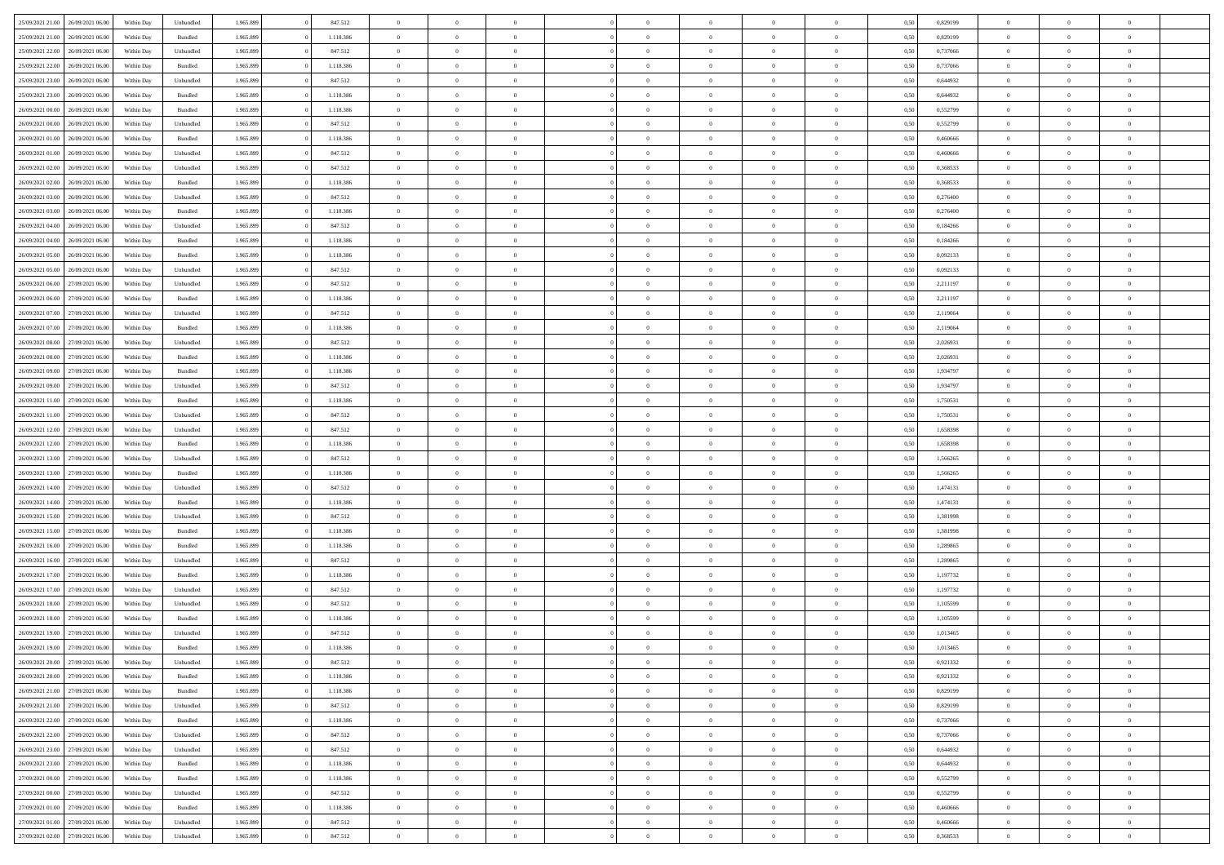| 25/09/2021 21:00 26/09/2021 06:00    | Within Day | Unbundled          | 1.965.899 | 847.512   | $\overline{0}$ | $\overline{0}$ | $\Omega$       | $\Omega$       | $\Omega$       |                | $\overline{0}$ | 0,50 | 0,829199 | $\mathbf{0}$   | $\Omega$       | $\Omega$       |  |
|--------------------------------------|------------|--------------------|-----------|-----------|----------------|----------------|----------------|----------------|----------------|----------------|----------------|------|----------|----------------|----------------|----------------|--|
| 25/09/2021 21:00<br>26/09/2021 06:00 | Within Day | Bundled            | 1.965.899 | 1.118.386 | $\bf{0}$       | $\overline{0}$ | $\overline{0}$ | $\theta$       | $\overline{0}$ | $\overline{0}$ | $\,$ 0         | 0,50 | 0,829199 | $\mathbf{0}$   | $\theta$       | $\bf{0}$       |  |
| 25/09/2021 22:00<br>26/09/2021 06.00 | Within Day | Unbundled          | 1.965.899 | 847.512   | $\overline{0}$ | $\overline{0}$ | $\overline{0}$ | $\bf{0}$       | $\bf{0}$       | $\overline{0}$ | $\mathbf{0}$   | 0,50 | 0,737066 | $\bf{0}$       | $\bf{0}$       | $\bf{0}$       |  |
| 25/09/2021 22:00<br>26/09/2021 06:00 | Within Day | Bundled            | 1.965.899 | 1.118.386 | $\overline{0}$ | $\overline{0}$ | $\overline{0}$ | $\overline{0}$ | $\overline{0}$ | $\overline{0}$ | $\overline{0}$ | 0.50 | 0.737066 | $\mathbf{0}$   | $\overline{0}$ | $\bf{0}$       |  |
|                                      |            |                    |           |           |                |                |                |                |                |                |                |      |          |                |                |                |  |
| 25/09/2021 23:00<br>26/09/2021 06:00 | Within Day | Unbundled          | 1.965.899 | 847.512   | $\bf{0}$       | $\overline{0}$ | $\overline{0}$ | $\theta$       | $\overline{0}$ | $\overline{0}$ | $\bf{0}$       | 0,50 | 0,644932 | $\theta$       | $\theta$       | $\overline{0}$ |  |
| 25/09/2021 23:00<br>26/09/2021 06.00 | Within Day | Bundled            | 1.965.899 | 1.118.386 | $\overline{0}$ | $\overline{0}$ | $\overline{0}$ | $\bf{0}$       | $\overline{0}$ | $\overline{0}$ | $\overline{0}$ | 0,50 | 0,644932 | $\overline{0}$ | $\overline{0}$ | $\overline{0}$ |  |
| 26/09/2021 00:00<br>26/09/2021 06:00 | Within Day | Bundled            | 1.965.899 | 1.118.386 | $\overline{0}$ | $\overline{0}$ | $\overline{0}$ | $\overline{0}$ | $\overline{0}$ | $\overline{0}$ | $\mathbf{0}$   | 0.50 | 0,552799 | $\mathbf{0}$   | $\overline{0}$ | $\overline{0}$ |  |
| 26/09/2021 00:00<br>26/09/2021 06:00 | Within Day | Unbundled          | 1.965.899 | 847.512   | $\bf{0}$       | $\overline{0}$ | $\overline{0}$ | $\theta$       | $\overline{0}$ | $\overline{0}$ | $\bf{0}$       | 0,50 | 0,552799 | $\theta$       | $\theta$       | $\bf{0}$       |  |
| 26/09/2021 01:00<br>26/09/2021 06.00 | Within Day | Bundled            | 1.965.899 | 1.118.386 | $\overline{0}$ | $\overline{0}$ | $\overline{0}$ | $\bf{0}$       | $\bf{0}$       | $\overline{0}$ | $\bf{0}$       | 0,50 | 0,460666 | $\bf{0}$       | $\bf{0}$       | $\bf{0}$       |  |
| 26/09/2021 06:00                     |            | Unbundled          | 1.965.899 | 847.512   | $\overline{0}$ | $\overline{0}$ | $\overline{0}$ | $\overline{0}$ | $\overline{0}$ | $\overline{0}$ | $\overline{0}$ | 0.50 | 0.460666 | $\overline{0}$ | $\overline{0}$ | $\overline{0}$ |  |
| 26/09/2021 01:00                     | Within Day |                    |           |           |                |                |                |                |                |                |                |      |          |                |                |                |  |
| 26/09/2021 02:00<br>26/09/2021 06:00 | Within Day | Unbundled          | 1.965.899 | 847.512   | $\bf{0}$       | $\overline{0}$ | $\overline{0}$ | $\overline{0}$ | $\overline{0}$ | $\overline{0}$ | $\,$ 0         | 0,50 | 0,368533 | $\theta$       | $\theta$       | $\bf{0}$       |  |
| 26/09/2021 02:00<br>26/09/2021 06.00 | Within Day | Bundled            | 1.965.899 | 1.118.386 | $\overline{0}$ | $\overline{0}$ | $\overline{0}$ | $\bf{0}$       | $\bf{0}$       | $\overline{0}$ | $\mathbf{0}$   | 0,50 | 0,368533 | $\bf{0}$       | $\bf{0}$       | $\bf{0}$       |  |
| 26/09/2021 03:00<br>26/09/2021 06:00 | Within Day | Unbundled          | 1.965.899 | 847.512   | $\overline{0}$ | $\overline{0}$ | $\overline{0}$ | $\overline{0}$ | $\overline{0}$ | $\overline{0}$ | $\overline{0}$ | 0.50 | 0.276400 | $\mathbf{0}$   | $\overline{0}$ | $\bf{0}$       |  |
| 26/09/2021 03:00<br>26/09/2021 06:00 | Within Day | Bundled            | 1.965.899 | 1.118.386 | $\bf{0}$       | $\overline{0}$ | $\overline{0}$ | $\theta$       | $\overline{0}$ | $\overline{0}$ | $\,$ 0         | 0,50 | 0,276400 | $\theta$       | $\theta$       | $\overline{0}$ |  |
|                                      |            |                    |           |           |                |                |                |                |                |                |                |      |          |                |                |                |  |
| 26/09/2021 04:00<br>26/09/2021 06.00 | Within Day | Unbundled          | 1.965.899 | 847.512   | $\overline{0}$ | $\overline{0}$ | $\overline{0}$ | $\bf{0}$       | $\overline{0}$ | $\overline{0}$ | $\overline{0}$ | 0,50 | 0,184266 | $\overline{0}$ | $\bf{0}$       | $\overline{0}$ |  |
| 26/09/2021 04:00<br>26/09/2021 06:00 | Within Day | Bundled            | 1.965.899 | 1.118.386 | $\overline{0}$ | $\overline{0}$ | $\overline{0}$ | $\overline{0}$ | $\overline{0}$ | $\overline{0}$ | $\mathbf{0}$   | 0.50 | 0,184266 | $\overline{0}$ | $\overline{0}$ | $\overline{0}$ |  |
| 26/09/2021 05:00<br>26/09/2021 06:00 | Within Day | Bundled            | 1.965.899 | 1.118.386 | $\bf{0}$       | $\overline{0}$ | $\overline{0}$ | $\overline{0}$ | $\overline{0}$ | $\overline{0}$ | $\bf{0}$       | 0,50 | 0,092133 | $\theta$       | $\theta$       | $\bf{0}$       |  |
| 26/09/2021 05:00<br>26/09/2021 06.00 | Within Day | Unbundled          | 1.965.899 | 847.512   | $\overline{0}$ | $\overline{0}$ | $\bf{0}$       | $\bf{0}$       | $\bf{0}$       | $\overline{0}$ | $\mathbf{0}$   | 0,50 | 0,092133 | $\bf{0}$       | $\bf{0}$       | $\bf{0}$       |  |
| 26/09/2021 06:00<br>27/09/2021 06.00 | Within Day | Unbundled          | 1.965.899 | 847.512   | $\overline{0}$ | $\overline{0}$ | $\overline{0}$ | $\overline{0}$ | $\overline{0}$ | $\overline{0}$ | $\overline{0}$ | 0.50 | 2,211197 | $\overline{0}$ | $\overline{0}$ | $\overline{0}$ |  |
| 26/09/2021 06:00<br>27/09/2021 06:00 | Within Day | $\mathbf B$ undled | 1.965.899 | 1.118.386 | $\bf{0}$       | $\overline{0}$ | $\overline{0}$ | $\theta$       | $\overline{0}$ | $\overline{0}$ | $\,$ 0         | 0,50 | 2,211197 | $\theta$       | $\theta$       | $\bf{0}$       |  |
|                                      |            |                    |           |           |                | $\overline{0}$ |                |                | $\bf{0}$       |                |                |      |          | $\bf{0}$       | $\bf{0}$       | $\bf{0}$       |  |
| 26/09/2021 07:00<br>27/09/2021 06:00 | Within Day | Unbundled          | 1.965.899 | 847.512   | $\overline{0}$ |                | $\overline{0}$ | $\bf{0}$       |                | $\overline{0}$ | $\mathbf{0}$   | 0,50 | 2,119064 |                |                |                |  |
| 26/09/2021 07:00<br>27/09/2021 06:00 | Within Day | Bundled            | 1.965.899 | 1.118.386 | $\overline{0}$ | $\overline{0}$ | $\overline{0}$ | $\overline{0}$ | $\overline{0}$ | $\overline{0}$ | $\overline{0}$ | 0.50 | 2.119064 | $\overline{0}$ | $\overline{0}$ | $\bf{0}$       |  |
| 26/09/2021 08:00<br>27/09/2021 06:00 | Within Day | Unbundled          | 1.965.899 | 847.512   | $\bf{0}$       | $\overline{0}$ | $\overline{0}$ | $\overline{0}$ | $\overline{0}$ | $\overline{0}$ | $\,$ 0         | 0,50 | 2,026931 | $\mathbf{0}$   | $\theta$       | $\bf{0}$       |  |
| 26/09/2021 08:00<br>27/09/2021 06.00 | Within Day | Bundled            | 1.965.899 | 1.118.386 | $\overline{0}$ | $\overline{0}$ | $\overline{0}$ | $\bf{0}$       | $\overline{0}$ | $\overline{0}$ | $\overline{0}$ | 0,50 | 2,026931 | $\overline{0}$ | $\overline{0}$ | $\overline{0}$ |  |
| 26/09/2021 09:00<br>27/09/2021 06.00 | Within Day | Bundled            | 1.965.899 | 1.118.386 | $\overline{0}$ | $\overline{0}$ | $\overline{0}$ | $\overline{0}$ | $\overline{0}$ | $\overline{0}$ | $\overline{0}$ | 0.50 | 1,934797 | $\overline{0}$ | $\overline{0}$ | $\overline{0}$ |  |
| 26/09/2021 09:00<br>27/09/2021 06:00 | Within Day | Unbundled          | 1.965.899 | 847.512   | $\bf{0}$       | $\overline{0}$ | $\overline{0}$ | $\overline{0}$ | $\overline{0}$ | $\overline{0}$ | $\bf{0}$       | 0,50 | 1,934797 | $\theta$       | $\theta$       | $\bf{0}$       |  |
| 26/09/2021 11:00<br>27/09/2021 06:00 | Within Day | Bundled            | 1.965.899 | 1.118.386 | $\overline{0}$ | $\overline{0}$ | $\overline{0}$ | $\bf{0}$       | $\bf{0}$       | $\overline{0}$ | $\bf{0}$       | 0,50 | 1,750531 | $\bf{0}$       | $\bf{0}$       | $\bf{0}$       |  |
| 27/09/2021 06:00                     |            | Unbundled          | 1.965.899 | 847.512   | $\overline{0}$ | $\overline{0}$ | $\overline{0}$ | $\overline{0}$ | $\overline{0}$ | $\overline{0}$ | $\overline{0}$ | 0.50 | 1,750531 | $\overline{0}$ | $\overline{0}$ | $\bf{0}$       |  |
| 26/09/2021 11:00                     | Within Day |                    |           |           |                |                |                |                |                |                |                |      |          |                |                |                |  |
| 26/09/2021 12:00<br>27/09/2021 06:00 | Within Day | Unbundled          | 1.965.899 | 847.512   | $\bf{0}$       | $\overline{0}$ | $\overline{0}$ | $\overline{0}$ | $\overline{0}$ | $\overline{0}$ | $\,$ 0         | 0,50 | 1,658398 | $\theta$       | $\theta$       | $\bf{0}$       |  |
| 26/09/2021 12:00<br>27/09/2021 06:00 | Within Day | Bundled            | 1.965.899 | 1.118.386 | $\overline{0}$ | $\overline{0}$ | $\overline{0}$ | $\bf{0}$       | $\bf{0}$       | $\overline{0}$ | $\mathbf{0}$   | 0,50 | 1,658398 | $\overline{0}$ | $\bf{0}$       | $\bf{0}$       |  |
| 26/09/2021 13:00<br>27/09/2021 06.00 | Within Day | Unbundled          | 1.965.899 | 847.512   | $\overline{0}$ | $\overline{0}$ | $\overline{0}$ | $\overline{0}$ | $\overline{0}$ | $\Omega$       | $\overline{0}$ | 0,50 | 1,566265 | $\bf{0}$       | $\Omega$       | $\Omega$       |  |
| 26/09/2021 13:00<br>27/09/2021 06:00 | Within Day | Bundled            | 1.965.899 | 1.118.386 | $\bf{0}$       | $\overline{0}$ | $\overline{0}$ | $\theta$       | $\overline{0}$ | $\overline{0}$ | $\,$ 0         | 0,50 | 1,566265 | $\theta$       | $\theta$       | $\bf{0}$       |  |
| 26/09/2021 14:00<br>27/09/2021 06:00 | Within Day | Unbundled          | 1.965.899 | 847.512   | $\overline{0}$ | $\overline{0}$ | $\overline{0}$ | $\bf{0}$       | $\overline{0}$ | $\overline{0}$ | $\overline{0}$ | 0,50 | 1,474131 | $\overline{0}$ | $\bf{0}$       | $\overline{0}$ |  |
| 26/09/2021 14:00<br>27/09/2021 06:00 | Within Day | Bundled            | 1.965.899 | 1.118.386 | $\overline{0}$ | $\overline{0}$ | $\overline{0}$ | $\overline{0}$ | $\overline{0}$ | $\Omega$       | $\overline{0}$ | 0.50 | 1,474131 | $\overline{0}$ | $\Omega$       | $\Omega$       |  |
| 26/09/2021 15:00<br>27/09/2021 06:00 | Within Day | Unbundled          | 1.965.899 | 847.512   | $\bf{0}$       | $\overline{0}$ | $\overline{0}$ | $\overline{0}$ | $\overline{0}$ | $\overline{0}$ | $\bf{0}$       | 0,50 | 1,381998 | $\theta$       | $\theta$       | $\bf{0}$       |  |
|                                      |            |                    |           |           |                |                |                |                |                |                |                |      |          |                |                |                |  |
| 26/09/2021 15:00<br>27/09/2021 06.00 | Within Day | Bundled            | 1.965.899 | 1.118.386 | $\overline{0}$ | $\overline{0}$ | $\overline{0}$ | $\bf{0}$       | $\bf{0}$       | $\overline{0}$ | $\bf{0}$       | 0,50 | 1,381998 | $\bf{0}$       | $\bf{0}$       | $\bf{0}$       |  |
| 26/09/2021 16:00<br>27/09/2021 06:00 | Within Day | Bundled            | 1.965.899 | 1.118.386 | $\overline{0}$ | $\overline{0}$ | $\Omega$       | $\overline{0}$ | $\overline{0}$ | $\Omega$       | $\theta$       | 0.50 | 1,289865 | $\overline{0}$ | $\Omega$       | $\Omega$       |  |
| 26/09/2021 16:00<br>27/09/2021 06:00 | Within Day | Unbundled          | 1.965.899 | 847.512   | $\bf{0}$       | $\overline{0}$ | $\overline{0}$ | $\overline{0}$ | $\overline{0}$ | $\overline{0}$ | $\,$ 0         | 0,50 | 1,289865 | $\,$ 0 $\,$    | $\theta$       | $\bf{0}$       |  |
| 26/09/2021 17:00<br>27/09/2021 06:00 | Within Day | Bundled            | 1.965.899 | 1.118.386 | $\overline{0}$ | $\overline{0}$ | $\overline{0}$ | $\bf{0}$       | $\bf{0}$       | $\overline{0}$ | $\mathbf{0}$   | 0,50 | 1,197732 | $\overline{0}$ | $\bf{0}$       | $\bf{0}$       |  |
| 26/09/2021 17:00<br>27/09/2021 06.00 | Within Day | Unbundled          | 1.965.899 | 847.512   | $\overline{0}$ | $\overline{0}$ | $\overline{0}$ | $\overline{0}$ | $\bf{0}$       | $\Omega$       | $\overline{0}$ | 0,50 | 1,197732 | $\overline{0}$ | $\Omega$       | $\Omega$       |  |
| 26/09/2021 18:00<br>27/09/2021 06:00 | Within Day | Unbundled          | 1.965.899 | 847.512   | $\bf{0}$       | $\overline{0}$ | $\overline{0}$ | $\overline{0}$ | $\overline{0}$ | $\overline{0}$ | $\,$ 0         | 0,50 | 1,105599 | $\,0\,$        | $\theta$       | $\bf{0}$       |  |
| 26/09/2021 18:00<br>27/09/2021 06.00 | Within Day | Bundled            | 1.965.899 | 1.118.386 | $\overline{0}$ | $\overline{0}$ | $\overline{0}$ | $\bf{0}$       | $\overline{0}$ | $\overline{0}$ | $\overline{0}$ | 0,50 | 1,105599 | $\overline{0}$ | $\bf{0}$       | $\bf{0}$       |  |
|                                      |            |                    |           |           |                |                |                |                |                |                |                |      |          |                |                |                |  |
| 26/09/2021 19:00<br>27/09/2021 06.00 | Within Day | Unbundled          | 1.965.899 | 847.512   | $\overline{0}$ | $\Omega$       | $\Omega$       | $\Omega$       | $\overline{0}$ | $\Omega$       | $\overline{0}$ | 0.50 | 1,013465 | $\overline{0}$ | $\Omega$       | $\Omega$       |  |
| 26/09/2021 19:00 27/09/2021 06:00    | Within Day | Bundled            | 1.965.899 | 1.118.386 | $\bf{0}$       | $\bf{0}$       | $\bf{0}$       | $\bf{0}$       | $\bf{0}$       | $\overline{0}$ | $\,$ 0         | 0,50 | 1,013465 | $\bf{0}$       | $\,$ 0         | $\,$ 0         |  |
| 26/09/2021 20:00 27/09/2021 06:00    | Within Day | Unbundled          | 1.965.899 | 847.512   | $\bf{0}$       | $\bf{0}$       |                | $\bf{0}$       |                |                |                | 0,50 | 0,921332 | $\bf{0}$       | $\bf{0}$       |                |  |
| 26/09/2021 20:00 27/09/2021 06:00    | Within Day | Bundled            | 1.965.899 | 1.118.386 | $\overline{0}$ | $\overline{0}$ | $\theta$       | $\overline{0}$ | $\overline{0}$ | $\theta$       | $\mathbf{0}$   | 0,50 | 0,921332 | $\overline{0}$ | $\theta$       | $\theta$       |  |
| 26/09/2021 21.00 27/09/2021 06:00    | Within Day | Bundled            | 1.965.899 | 1.118.386 | $\overline{0}$ | $\overline{0}$ | $\overline{0}$ | $\bf{0}$       | $\overline{0}$ | $\overline{0}$ | $\mathbf{0}$   | 0,50 | 0,829199 | $\,0\,$        | $\overline{0}$ | $\,$ 0 $\,$    |  |
| 26/09/2021 21:00 27/09/2021 06:00    | Within Day | Unbundled          | 1.965.899 | 847.512   | $\overline{0}$ | $\overline{0}$ | $\overline{0}$ | $\bf{0}$       | $\overline{0}$ | $\overline{0}$ | $\overline{0}$ | 0,50 | 0,829199 | $\overline{0}$ | $\overline{0}$ | $\overline{0}$ |  |
| 26/09/2021 22:00 27/09/2021 06:00    | Within Day | Bundled            | 1.965.899 | 1.118.386 | $\overline{0}$ | $\overline{0}$ | $\overline{0}$ | $\overline{0}$ | $\bf{0}$       | $\overline{0}$ | $\overline{0}$ | 0,50 | 0,737066 | $\overline{0}$ | $\overline{0}$ | $\overline{0}$ |  |
|                                      |            |                    |           |           |                |                |                |                |                |                |                |      |          |                |                |                |  |
| 26/09/2021 22:00<br>27/09/2021 06:00 | Within Day | Unbundled          | 1.965.899 | 847.512   | $\overline{0}$ | $\overline{0}$ | $\overline{0}$ | $\overline{0}$ | $\overline{0}$ | $\overline{0}$ | $\mathbf{0}$   | 0,50 | 0,737066 | $\,0\,$        | $\theta$       | $\overline{0}$ |  |
| 26/09/2021 23.00<br>27/09/2021 06:00 | Within Day | Unbundled          | 1.965.899 | 847.512   | $\overline{0}$ | $\overline{0}$ | $\overline{0}$ | $\overline{0}$ | $\overline{0}$ | $\overline{0}$ | $\overline{0}$ | 0,50 | 0,644932 | $\overline{0}$ | $\overline{0}$ | $\overline{0}$ |  |
| 27/09/2021 06:00<br>26/09/2021 23:00 | Within Day | Bundled            | 1.965.899 | 1.118.386 | $\overline{0}$ | $\overline{0}$ | $\overline{0}$ | $\overline{0}$ | $\overline{0}$ | $\overline{0}$ | $\overline{0}$ | 0.50 | 0.644932 | $\overline{0}$ | $\overline{0}$ | $\overline{0}$ |  |
| 27/09/2021 00:00<br>27/09/2021 06:00 | Within Day | Bundled            | 1.965.899 | 1.118.386 | $\overline{0}$ | $\overline{0}$ | $\overline{0}$ | $\bf{0}$       | $\bf{0}$       | $\overline{0}$ | $\,$ 0 $\,$    | 0,50 | 0,552799 | $\,0\,$        | $\theta$       | $\,$ 0         |  |
| 27/09/2021 06:00<br>27/09/2021 00:00 | Within Day | Unbundled          | 1.965.899 | 847.512   | $\overline{0}$ | $\overline{0}$ | $\overline{0}$ | $\bf{0}$       | $\overline{0}$ | $\overline{0}$ | $\overline{0}$ | 0,50 | 0,552799 | $\bf{0}$       | $\bf{0}$       | $\overline{0}$ |  |
| 27/09/2021 01:00 27/09/2021 06:00    | Within Day | Bundled            | 1.965.899 | 1.118.386 | $\overline{0}$ | $\overline{0}$ | $\overline{0}$ | $\overline{0}$ | $\overline{0}$ | $\overline{0}$ | $\overline{0}$ | 0.50 | 0.460666 | $\overline{0}$ | $\overline{0}$ | $\overline{0}$ |  |
|                                      |            |                    |           |           |                | $\overline{0}$ |                |                |                |                |                |      |          | $\,0\,$        | $\,0\,$        |                |  |
| 27/09/2021 01:00<br>27/09/2021 06:00 | Within Day | Unbundled          | 1.965.899 | 847.512   | $\overline{0}$ |                | $\overline{0}$ | $\bf{0}$       | $\bf{0}$       | $\overline{0}$ | $\,$ 0 $\,$    | 0,50 | 0,460666 |                |                | $\,$ 0         |  |
| 27/09/2021 02:00 27/09/2021 06:00    | Within Day | Unbundled          | 1.965.899 | 847.512   | $\overline{0}$ | $\overline{0}$ | $\overline{0}$ | $\bf{0}$       | $\overline{0}$ | $\overline{0}$ | $\overline{0}$ | 0,50 | 0,368533 | $\overline{0}$ | $\bf{0}$       | $\overline{0}$ |  |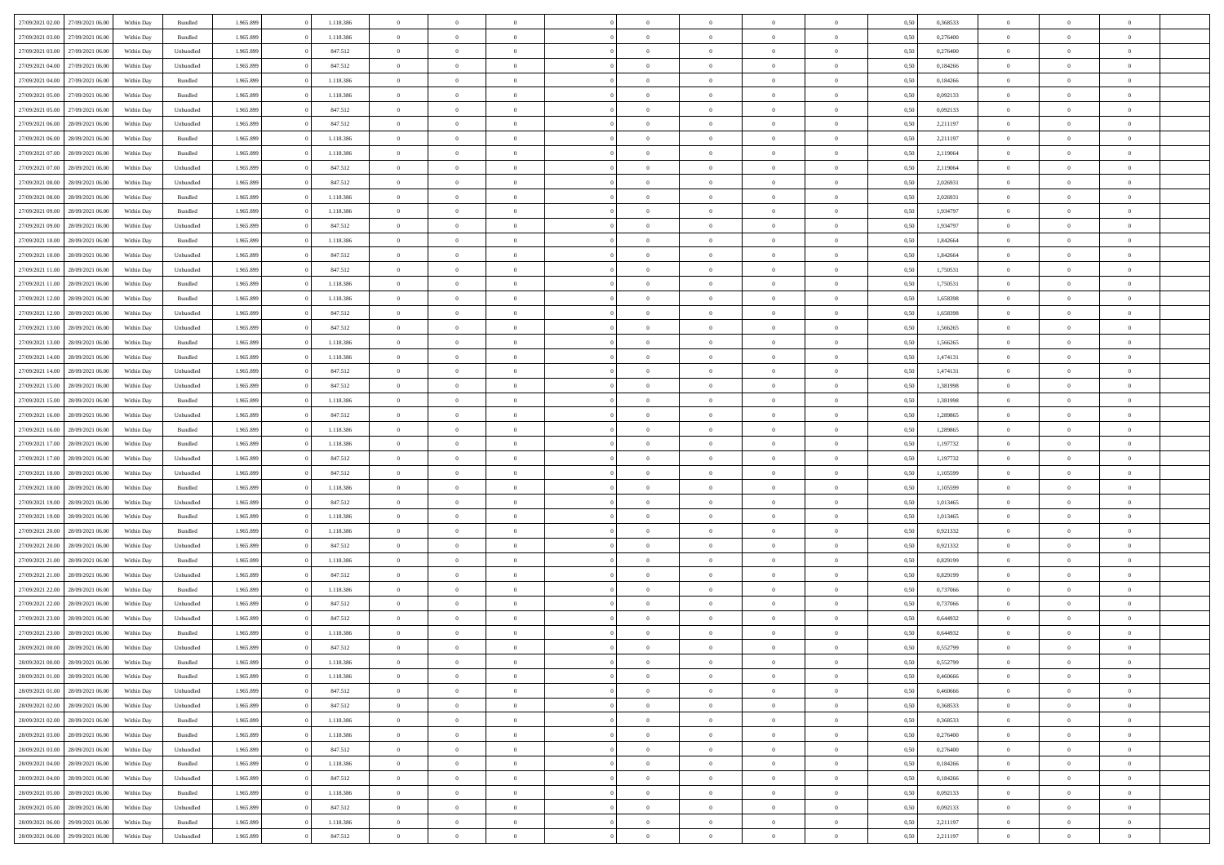| 27/09/2021 02:00 | 27/09/2021 06:00 | Within Day | Bundled            | 1.965.899 | 1.118.386 | $\overline{0}$ | $\theta$       |                | $\Omega$       | $\Omega$       | $\theta$       | $\theta$       | 0,50 | 0,368533 | $\theta$       | $\theta$       | $\theta$       |  |
|------------------|------------------|------------|--------------------|-----------|-----------|----------------|----------------|----------------|----------------|----------------|----------------|----------------|------|----------|----------------|----------------|----------------|--|
|                  |                  |            |                    |           |           |                |                |                |                |                |                |                |      |          |                |                |                |  |
| 27/09/2021 03:00 | 27/09/2021 06.00 | Within Day | Bundled            | 1.965.899 | 1.118.386 | $\overline{0}$ | $\theta$       | $\overline{0}$ | $\overline{0}$ | $\bf{0}$       | $\overline{0}$ | $\bf{0}$       | 0,50 | 0,276400 | $\theta$       | $\theta$       | $\overline{0}$ |  |
| 27/09/2021 03:00 | 27/09/2021 06:00 | Within Day | Unbundled          | 1.965.899 | 847.512   | $\overline{0}$ | $\overline{0}$ | $\overline{0}$ | $\bf{0}$       | $\bf{0}$       | $\bf{0}$       | $\mathbf{0}$   | 0,50 | 0,276400 | $\overline{0}$ | $\overline{0}$ | $\overline{0}$ |  |
| 27/09/2021 04:00 | 27/09/2021 06:00 | Within Dav | Unbundled          | 1.965.899 | 847.512   | $\overline{0}$ | $\overline{0}$ | $\overline{0}$ | $\overline{0}$ | $\bf{0}$       | $\overline{0}$ | $\overline{0}$ | 0.50 | 0.184266 | $\theta$       | $\theta$       | $\overline{0}$ |  |
| 27/09/2021 04:00 | 27/09/2021 06.00 | Within Day | Bundled            | 1.965.899 | 1.118.386 | $\overline{0}$ | $\theta$       | $\overline{0}$ | $\overline{0}$ | $\bf{0}$       | $\overline{0}$ | $\bf{0}$       | 0,50 | 0,184266 | $\theta$       | $\overline{0}$ | $\overline{0}$ |  |
|                  |                  |            |                    |           |           |                |                |                |                |                |                |                |      |          |                |                |                |  |
| 27/09/2021 05:00 | 27/09/2021 06:00 | Within Day | Bundled            | 1.965.899 | 1.118.386 | $\overline{0}$ | $\overline{0}$ | $\overline{0}$ | $\bf{0}$       | $\overline{0}$ | $\overline{0}$ | $\mathbf{0}$   | 0,50 | 0,092133 | $\overline{0}$ | $\overline{0}$ | $\bf{0}$       |  |
| 27/09/2021 05:00 | 27/09/2021 06:00 | Within Dav | Unbundled          | 1.965.899 | 847.512   | $\overline{0}$ | $\overline{0}$ | $\overline{0}$ | $\overline{0}$ | $\overline{0}$ | $\overline{0}$ | $\overline{0}$ | 0.50 | 0,092133 | $\theta$       | $\overline{0}$ | $\overline{0}$ |  |
| 27/09/2021 06:00 | 28/09/2021 06:00 | Within Day | Unbundled          | 1.965.899 | 847.512   | $\overline{0}$ | $\theta$       | $\overline{0}$ | $\overline{0}$ | $\bf{0}$       | $\overline{0}$ | $\bf{0}$       | 0,50 | 2,211197 | $\theta$       | $\theta$       | $\overline{0}$ |  |
| 27/09/2021 06:00 | 28/09/2021 06:00 | Within Day | Bundled            | 1.965.899 | 1.118.386 | $\overline{0}$ | $\overline{0}$ | $\overline{0}$ | $\overline{0}$ | $\bf{0}$       | $\overline{0}$ | $\bf{0}$       | 0,50 | 2,211197 | $\,0\,$        | $\overline{0}$ | $\overline{0}$ |  |
| 27/09/2021 07:00 | 28/09/2021 06:00 | Within Dav | Bundled            | 1.965.899 | 1.118.386 | $\overline{0}$ | $\overline{0}$ | $\overline{0}$ | $\overline{0}$ | $\overline{0}$ | $\overline{0}$ | $\overline{0}$ | 0.50 | 2,119064 | $\theta$       | $\overline{0}$ | $\overline{0}$ |  |
| 27/09/2021 07:00 | 28/09/2021 06:00 | Within Day | Unbundled          | 1.965.899 | 847.512   | $\overline{0}$ | $\theta$       | $\overline{0}$ | $\overline{0}$ | $\bf{0}$       | $\overline{0}$ | $\bf{0}$       | 0,50 | 2,119064 | $\,$ 0 $\,$    | $\overline{0}$ | $\overline{0}$ |  |
| 27/09/2021 08:00 | 28/09/2021 06:00 | Within Day | Unbundled          | 1.965.899 | 847.512   | $\overline{0}$ | $\overline{0}$ | $\overline{0}$ | $\overline{0}$ | $\bf{0}$       | $\overline{0}$ | $\mathbf{0}$   | 0,50 | 2,026931 | $\overline{0}$ | $\overline{0}$ | $\overline{0}$ |  |
|                  |                  |            |                    |           |           |                |                |                |                |                |                |                |      |          | $\theta$       |                |                |  |
| 27/09/2021 08:00 | 28/09/2021 06:00 | Within Day | Bundled            | 1.965.899 | 1.118.386 | $\overline{0}$ | $\overline{0}$ | $\overline{0}$ | $\overline{0}$ | $\bf{0}$       | $\overline{0}$ | $\overline{0}$ | 0.50 | 2.026931 |                | $\theta$       | $\overline{0}$ |  |
| 27/09/2021 09:00 | 28/09/2021 06:00 | Within Day | Bundled            | 1.965.899 | 1.118.386 | $\overline{0}$ | $\theta$       | $\overline{0}$ | $\overline{0}$ | $\bf{0}$       | $\overline{0}$ | $\bf{0}$       | 0,50 | 1,934797 | $\theta$       | $\overline{0}$ | $\overline{0}$ |  |
| 27/09/2021 09:00 | 28/09/2021 06:00 | Within Day | Unbundled          | 1.965.899 | 847.512   | $\overline{0}$ | $\overline{0}$ | $\overline{0}$ | $\overline{0}$ | $\overline{0}$ | $\overline{0}$ | $\mathbf{0}$   | 0,50 | 1,934797 | $\overline{0}$ | $\overline{0}$ | $\bf{0}$       |  |
| 27/09/2021 10:00 | 28/09/2021 06:00 | Within Dav | Bundled            | 1.965.899 | 1.118.386 | $\overline{0}$ | $\overline{0}$ | $\overline{0}$ | $\overline{0}$ | $\overline{0}$ | $\overline{0}$ | $\overline{0}$ | 0.50 | 1,842664 | $\theta$       | $\overline{0}$ | $\overline{0}$ |  |
| 27/09/2021 10:00 | 28/09/2021 06:00 | Within Day | Unbundled          | 1.965.899 | 847.512   | $\overline{0}$ | $\theta$       | $\overline{0}$ | $\overline{0}$ | $\bf{0}$       | $\overline{0}$ | $\bf{0}$       | 0,50 | 1,842664 | $\theta$       | $\theta$       | $\overline{0}$ |  |
| 27/09/2021 11:00 | 28/09/2021 06:00 | Within Day | Unbundled          | 1.965.899 | 847.512   | $\overline{0}$ | $\overline{0}$ | $\overline{0}$ | $\overline{0}$ | $\bf{0}$       | $\overline{0}$ | $\mathbf{0}$   | 0,50 | 1,750531 | $\bf{0}$       | $\overline{0}$ | $\overline{0}$ |  |
| 27/09/2021 11:00 | 28/09/2021 06:00 | Within Day | Bundled            | 1.965.899 | 1.118.386 | $\overline{0}$ | $\overline{0}$ | $\overline{0}$ | $\overline{0}$ | $\overline{0}$ | $\overline{0}$ | $\overline{0}$ | 0.50 | 1,750531 | $\theta$       | $\overline{0}$ | $\overline{0}$ |  |
| 27/09/2021 12:00 | 28/09/2021 06:00 |            |                    | 1.965.899 | 1.118.386 | $\overline{0}$ | $\theta$       | $\overline{0}$ | $\overline{0}$ | $\bf{0}$       | $\overline{0}$ |                |      | 1,658398 | $\,$ 0 $\,$    | $\theta$       | $\overline{0}$ |  |
|                  |                  | Within Day | Bundled            |           |           |                |                |                |                |                |                | $\bf{0}$       | 0,50 |          |                |                |                |  |
| 27/09/2021 12:00 | 28/09/2021 06:00 | Within Day | Unbundled          | 1.965.899 | 847.512   | $\overline{0}$ | $\overline{0}$ | $\overline{0}$ | $\overline{0}$ | $\bf{0}$       | $\overline{0}$ | $\bf{0}$       | 0,50 | 1,658398 | $\overline{0}$ | $\overline{0}$ | $\overline{0}$ |  |
| 27/09/2021 13:00 | 28/09/2021 06:00 | Within Day | Unbundled          | 1.965.899 | 847.512   | $\overline{0}$ | $\overline{0}$ | $\overline{0}$ | $\overline{0}$ | $\bf{0}$       | $\overline{0}$ | $\overline{0}$ | 0.50 | 1.566265 | $\theta$       | $\overline{0}$ | $\overline{0}$ |  |
| 27/09/2021 13:00 | 28/09/2021 06:00 | Within Day | Bundled            | 1.965.899 | 1.118.386 | $\overline{0}$ | $\theta$       | $\overline{0}$ | $\overline{0}$ | $\bf{0}$       | $\overline{0}$ | $\bf{0}$       | 0,50 | 1,566265 | $\,$ 0 $\,$    | $\overline{0}$ | $\overline{0}$ |  |
| 27/09/2021 14:00 | 28/09/2021 06:00 | Within Day | Bundled            | 1.965.899 | 1.118.386 | $\overline{0}$ | $\overline{0}$ | $\overline{0}$ | $\bf{0}$       | $\overline{0}$ | $\overline{0}$ | $\mathbf{0}$   | 0,50 | 1,474131 | $\overline{0}$ | $\overline{0}$ | $\bf{0}$       |  |
| 27/09/2021 14:00 | 28/09/2021 06:00 | Within Dav | Unbundled          | 1.965.899 | 847.512   | $\overline{0}$ | $\overline{0}$ | $\overline{0}$ | $\overline{0}$ | $\overline{0}$ | $\overline{0}$ | $\overline{0}$ | 0.50 | 1,474131 | $\overline{0}$ | $\overline{0}$ | $\overline{0}$ |  |
| 27/09/2021 15:00 | 28/09/2021 06:00 | Within Day | Unbundled          | 1.965.899 | 847.512   | $\overline{0}$ | $\theta$       | $\overline{0}$ | $\overline{0}$ | $\bf{0}$       | $\overline{0}$ | $\bf{0}$       | 0,50 | 1,381998 | $\theta$       | $\theta$       | $\overline{0}$ |  |
|                  |                  |            |                    |           |           |                |                |                |                |                |                |                |      |          |                |                |                |  |
| 27/09/2021 15:00 | 28/09/2021 06:00 | Within Day | Bundled            | 1.965.899 | 1.118.386 | $\overline{0}$ | $\overline{0}$ | $\overline{0}$ | $\bf{0}$       | $\bf{0}$       | $\bf{0}$       | $\bf{0}$       | 0,50 | 1,381998 | $\,0\,$        | $\overline{0}$ | $\overline{0}$ |  |
| 27/09/2021 16:00 | 28/09/2021 06:00 | Within Day | Unbundled          | 1.965.899 | 847.512   | $\overline{0}$ | $\overline{0}$ | $\overline{0}$ | $\overline{0}$ | $\overline{0}$ | $\overline{0}$ | $\overline{0}$ | 0.50 | 1,289865 | $\theta$       | $\overline{0}$ | $\overline{0}$ |  |
| 27/09/2021 16:00 | 28/09/2021 06:00 | Within Day | Bundled            | 1.965.899 | 1.118.386 | $\overline{0}$ | $\theta$       | $\overline{0}$ | $\overline{0}$ | $\bf{0}$       | $\overline{0}$ | $\bf{0}$       | 0,50 | 1,289865 | $\,$ 0 $\,$    | $\overline{0}$ | $\overline{0}$ |  |
| 27/09/2021 17:00 | 28/09/2021 06:00 | Within Day | Bundled            | 1.965.899 | 1.118.386 | $\overline{0}$ | $\overline{0}$ | $\overline{0}$ | $\bf{0}$       | $\bf{0}$       | $\bf{0}$       | $\bf{0}$       | 0,50 | 1,197732 | $\overline{0}$ | $\overline{0}$ | $\overline{0}$ |  |
| 27/09/2021 17:00 | 28/09/2021 06:00 | Within Day | Unbundled          | 1.965.899 | 847.512   | $\overline{0}$ | $\Omega$       | $\overline{0}$ | $\Omega$       | $\Omega$       | $\overline{0}$ | $\overline{0}$ | 0,50 | 1,197732 | $\,0\,$        | $\theta$       | $\theta$       |  |
| 27/09/2021 18:00 | 28/09/2021 06:00 | Within Day | Unbundled          | 1.965.899 | 847.512   | $\overline{0}$ | $\theta$       | $\overline{0}$ | $\overline{0}$ | $\bf{0}$       | $\overline{0}$ | $\bf{0}$       | 0,50 | 1,105599 | $\,$ 0 $\,$    | $\theta$       | $\overline{0}$ |  |
| 27/09/2021 18:00 | 28/09/2021 06:00 | Within Day | Bundled            | 1.965.899 | 1.118.386 | $\overline{0}$ | $\overline{0}$ | $\overline{0}$ | $\bf{0}$       | $\bf{0}$       | $\overline{0}$ | $\mathbf{0}$   | 0,50 | 1,105599 | $\overline{0}$ | $\overline{0}$ | $\bf{0}$       |  |
|                  |                  |            |                    |           |           |                |                |                |                |                |                |                |      |          |                |                |                |  |
| 27/09/2021 19:00 | 28/09/2021 06:00 | Within Day | Unbundled          | 1.965.899 | 847.512   | $\overline{0}$ | $\Omega$       | $\Omega$       | $\Omega$       | $\bf{0}$       | $\overline{0}$ | $\overline{0}$ | 0.50 | 1,013465 | $\,0\,$        | $\theta$       | $\theta$       |  |
| 27/09/2021 19:00 | 28/09/2021 06:00 | Within Day | Bundled            | 1.965.899 | 1.118.386 | $\overline{0}$ | $\theta$       | $\overline{0}$ | $\overline{0}$ | $\bf{0}$       | $\overline{0}$ | $\bf{0}$       | 0,50 | 1,013465 | $\,$ 0 $\,$    | $\theta$       | $\overline{0}$ |  |
| 27/09/2021 20:00 | 28/09/2021 06:00 | Within Day | Bundled            | 1.965.899 | 1.118.386 | $\overline{0}$ | $\overline{0}$ | $\overline{0}$ | $\bf{0}$       | $\bf{0}$       | $\bf{0}$       | $\bf{0}$       | 0,50 | 0,921332 | $\bf{0}$       | $\overline{0}$ | $\overline{0}$ |  |
| 27/09/2021 20:00 | 28/09/2021 06:00 | Within Day | Unbundled          | 1.965.899 | 847.512   | $\overline{0}$ | $\Omega$       | $\overline{0}$ | $\Omega$       | $\overline{0}$ | $\overline{0}$ | $\overline{0}$ | 0.50 | 0,921332 | $\,$ 0 $\,$    | $\theta$       | $\theta$       |  |
| 27/09/2021 21:00 | 28/09/2021 06:00 | Within Day | Bundled            | 1.965.899 | 1.118.386 | $\overline{0}$ | $\theta$       | $\overline{0}$ | $\overline{0}$ | $\bf{0}$       | $\overline{0}$ | $\bf{0}$       | 0,50 | 0,829199 | $\,$ 0 $\,$    | $\overline{0}$ | $\overline{0}$ |  |
| 27/09/2021 21:00 | 28/09/2021 06:00 | Within Day | Unbundled          | 1.965.899 | 847.512   | $\overline{0}$ | $\overline{0}$ | $\overline{0}$ | $\bf{0}$       | $\bf{0}$       | $\bf{0}$       | $\mathbf{0}$   | 0,50 | 0,829199 | $\overline{0}$ | $\overline{0}$ | $\overline{0}$ |  |
| 27/09/2021 22:00 | 28/09/2021 06:00 | Within Day | Bundled            | 1.965.899 | 1.118.386 | $\overline{0}$ | $\Omega$       | $\overline{0}$ | $\Omega$       | $\overline{0}$ | $\overline{0}$ | $\overline{0}$ | 0,50 | 0,737066 | $\,0\,$        | $\theta$       | $\theta$       |  |
| 27/09/2021 22:00 | 28/09/2021 06:00 | Within Day | Unbundled          | 1.965.899 | 847.512   | $\overline{0}$ | $\theta$       | $\overline{0}$ | $\overline{0}$ | $\,$ 0         | $\overline{0}$ | $\bf{0}$       | 0,50 | 0,737066 | $\,$ 0 $\,$    | $\overline{0}$ | $\overline{0}$ |  |
|                  |                  |            |                    |           |           |                |                |                |                |                |                |                |      |          |                |                |                |  |
| 27/09/2021 23:00 | 28/09/2021 06:00 | Within Day | Unbundled          | 1.965.899 | 847.512   | $\overline{0}$ | $\overline{0}$ | $\overline{0}$ | $\bf{0}$       | $\bf{0}$       | $\overline{0}$ | $\mathbf{0}$   | 0,50 | 0,644932 | $\overline{0}$ | $\overline{0}$ | $\bf{0}$       |  |
| 27/09/2021 23:00 | 28/09/2021 06:00 | Within Day | Bundled            | 1.965.899 | 1.118.386 | $\overline{0}$ | $\Omega$       | $\Omega$       | $\Omega$       | $\Omega$       | $\Omega$       | $\overline{0}$ | 0.50 | 0.644932 | $\theta$       | $\theta$       | $\theta$       |  |
| 28/09/2021 00:00 | 28/09/2021 06:00 | Within Day | Unbundled          | 1.965.899 | 847.512   | $\overline{0}$ | $\overline{0}$ | $\overline{0}$ | $\bf{0}$       | $\,$ 0         | $\overline{0}$ | $\bf{0}$       | 0,50 | 0,552799 | $\,0\,$        | $\overline{0}$ | $\overline{0}$ |  |
| 28/09/2021 00:00 | 28/09/2021 06:00 | Within Day | $\mathbf B$ undled | 1.965.899 | 1.118.386 | $\bf{0}$       | $\bf{0}$       |                |                | $\bf{0}$       |                |                | 0,50 | 0,552799 | $\bf{0}$       | $\overline{0}$ |                |  |
| 28/09/2021 01:00 | 28/09/2021 06:00 | Within Day | Bundled            | 1.965.899 | 1.118.386 | $\overline{0}$ | $\overline{0}$ | $\overline{0}$ | $\Omega$       | $\overline{0}$ | $\overline{0}$ | $\overline{0}$ | 0.50 | 0.460666 | $\theta$       | $\theta$       | $\theta$       |  |
| 28/09/2021 01:00 | 28/09/2021 06:00 | Within Day | Unbundled          | 1.965.899 | 847.512   | $\overline{0}$ | $\,$ 0         | $\overline{0}$ | $\overline{0}$ | $\,$ 0 $\,$    | $\overline{0}$ | $\mathbf{0}$   | 0,50 | 0,460666 | $\,$ 0 $\,$    | $\,$ 0 $\,$    | $\,$ 0         |  |
| 28/09/2021 02:00 | 28/09/2021 06:00 | Within Day | Unbundled          | 1.965.899 | 847.512   | $\overline{0}$ | $\overline{0}$ | $\overline{0}$ | $\overline{0}$ | $\overline{0}$ | $\overline{0}$ | $\mathbf{0}$   | 0,50 | 0,368533 | $\overline{0}$ | $\bf{0}$       | $\bf{0}$       |  |
|                  |                  |            |                    |           |           |                | $\overline{0}$ |                | $\Omega$       | $\overline{0}$ | $\overline{0}$ |                |      |          |                | $\theta$       | $\overline{0}$ |  |
| 28/09/2021 02:00 | 28/09/2021 06:00 | Within Day | Bundled            | 1.965.899 | 1.118.386 | $\overline{0}$ |                | $\overline{0}$ |                |                |                | $\overline{0}$ | 0,50 | 0,368533 | $\overline{0}$ |                |                |  |
| 28/09/2021 03:00 | 28/09/2021 06:00 | Within Day | Bundled            | 1.965.899 | 1.118.386 | $\overline{0}$ | $\,$ 0         | $\overline{0}$ | $\overline{0}$ | $\,$ 0 $\,$    | $\overline{0}$ | $\mathbf{0}$   | 0,50 | 0,276400 | $\,$ 0 $\,$    | $\overline{0}$ | $\overline{0}$ |  |
| 28/09/2021 03:00 | 28/09/2021 06:00 | Within Day | Unbundled          | 1.965.899 | 847.512   | $\overline{0}$ | $\overline{0}$ | $\overline{0}$ | $\overline{0}$ | $\overline{0}$ | $\overline{0}$ | $\mathbf{0}$   | 0,50 | 0,276400 | $\overline{0}$ | $\overline{0}$ | $\bf{0}$       |  |
| 28/09/2021 04:00 | 28/09/2021 06:00 | Within Day | Bundled            | 1.965.899 | 1.118.386 | $\overline{0}$ | $\overline{0}$ | $\overline{0}$ | $\Omega$       | $\overline{0}$ | $\overline{0}$ | $\bf{0}$       | 0.50 | 0,184266 | $\overline{0}$ | $\theta$       | $\overline{0}$ |  |
| 28/09/2021 04:00 | 28/09/2021 06:00 | Within Day | Unbundled          | 1.965.899 | 847.512   | $\overline{0}$ | $\,$ 0         | $\overline{0}$ | $\overline{0}$ | $\bf{0}$       | $\overline{0}$ | $\bf{0}$       | 0,50 | 0,184266 | $\,$ 0 $\,$    | $\overline{0}$ | $\overline{0}$ |  |
| 28/09/2021 05:00 | 28/09/2021 06:00 | Within Day | Bundled            | 1.965.899 | 1.118.386 | $\overline{0}$ | $\bf{0}$       | $\overline{0}$ | $\overline{0}$ | $\overline{0}$ | $\overline{0}$ | $\mathbf{0}$   | 0,50 | 0,092133 | $\overline{0}$ | $\overline{0}$ | $\bf{0}$       |  |
| 28/09/2021 05:00 | 28/09/2021 06:00 | Within Day | Unbundled          | 1.965.899 | 847.512   | $\overline{0}$ | $\overline{0}$ | $\overline{0}$ | $\Omega$       | $\overline{0}$ | $\overline{0}$ | $\overline{0}$ | 0.50 | 0,092133 | $\overline{0}$ | $\overline{0}$ | $\overline{0}$ |  |
| 28/09/2021 06:00 | 29/09/2021 06:00 |            | Bundled            | 1.965.899 | 1.118.386 | $\overline{0}$ | $\bf{0}$       |                | $\overline{0}$ | $\bf{0}$       |                |                |      | 2,211197 | $\,$ 0 $\,$    | $\,$ 0 $\,$    | $\bf{0}$       |  |
|                  |                  | Within Day |                    |           |           |                |                | $\overline{0}$ |                |                | $\overline{0}$ | $\mathbf{0}$   | 0,50 |          |                |                |                |  |
| 28/09/2021 06:00 | 29/09/2021 06:00 | Within Day | Unbundled          | 1.965.899 | 847.512   | $\overline{0}$ | $\overline{0}$ | $\overline{0}$ | $\overline{0}$ | $\overline{0}$ | $\overline{0}$ | $\mathbf{0}$   | 0,50 | 2,211197 | $\overline{0}$ | $\bf{0}$       | $\bf{0}$       |  |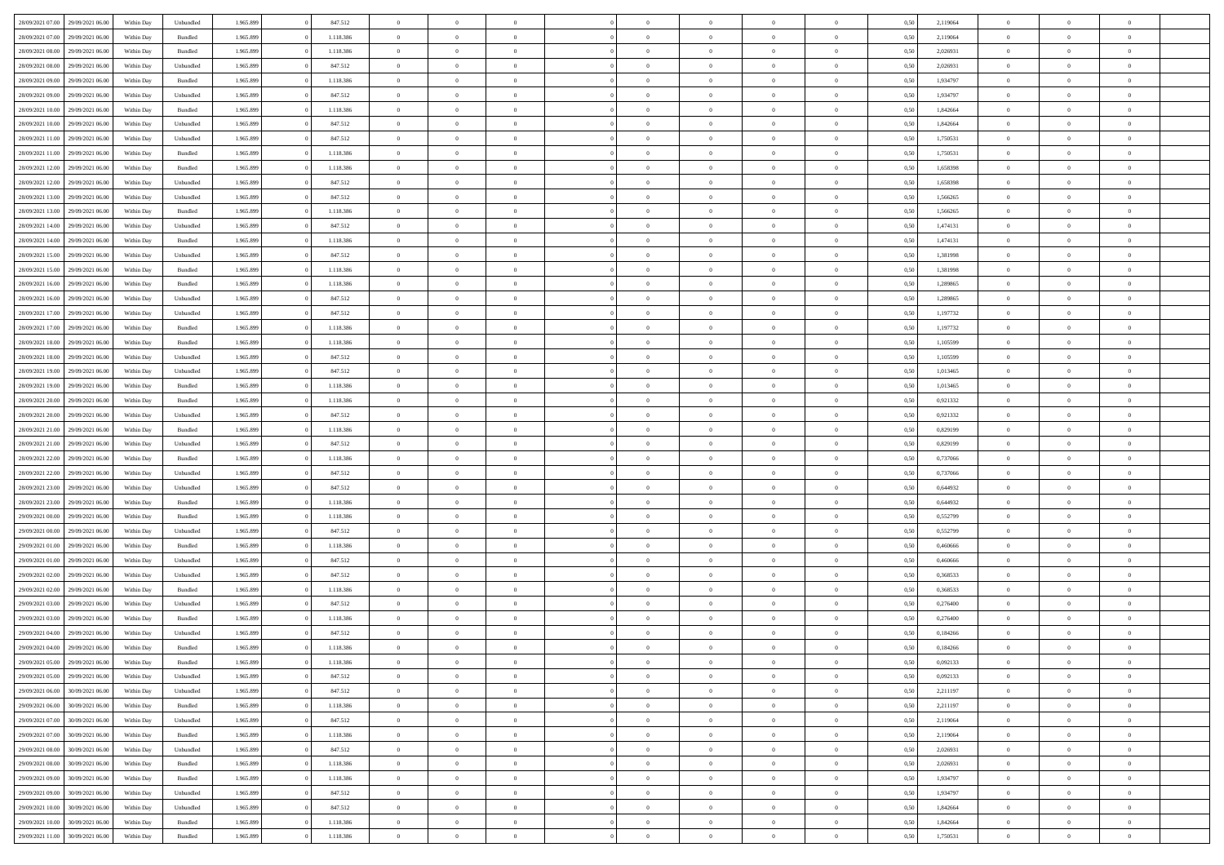| 28/09/2021 07:00 29/09/2021 06:00    | Within Day | Unbundled | 1.965.899 | 847.512   | $\overline{0}$ | $\overline{0}$ | $\Omega$       | $\Omega$       | $\theta$       | $\Omega$       | $\overline{0}$ | 0,50 | 2,119064 | $\theta$       | $\theta$       | $\theta$       |  |
|--------------------------------------|------------|-----------|-----------|-----------|----------------|----------------|----------------|----------------|----------------|----------------|----------------|------|----------|----------------|----------------|----------------|--|
| 28/09/2021 07:00<br>29/09/2021 06:00 | Within Day | Bundled   | 1.965.899 | 1.118.386 | $\overline{0}$ | $\overline{0}$ | $\overline{0}$ | $\overline{0}$ | $\theta$       | $\overline{0}$ | $\bf{0}$       | 0,50 | 2,119064 | $\theta$       | $\theta$       | $\overline{0}$ |  |
| 28/09/2021 08:00<br>29/09/2021 06.00 | Within Day | Bundled   | 1.965.899 | 1.118.386 | $\overline{0}$ | $\bf{0}$       | $\overline{0}$ | $\overline{0}$ | $\overline{0}$ | $\overline{0}$ | $\bf{0}$       | 0,50 | 2,026931 | $\bf{0}$       | $\overline{0}$ | $\overline{0}$ |  |
| 28/09/2021 08:00<br>29/09/2021 06:00 | Within Day | Unbundled | 1.965.899 | 847.512   | $\overline{0}$ | $\overline{0}$ | $\overline{0}$ | $\overline{0}$ | $\theta$       | $\overline{0}$ | $\overline{0}$ | 0.50 | 2.026931 | $\theta$       | $\theta$       | $\overline{0}$ |  |
| 28/09/2021 09:00<br>29/09/2021 06:00 | Within Day | Bundled   | 1.965.899 | 1.118.386 | $\overline{0}$ | $\overline{0}$ | $\overline{0}$ | $\overline{0}$ | $\theta$       | $\overline{0}$ | $\bf{0}$       | 0,50 | 1,934797 | $\theta$       | $\theta$       | $\overline{0}$ |  |
| 28/09/2021 09:00<br>29/09/2021 06.00 | Within Day | Unbundled | 1.965.899 | 847.512   | $\overline{0}$ | $\bf{0}$       | $\overline{0}$ | $\overline{0}$ | $\overline{0}$ | $\overline{0}$ | $\bf{0}$       | 0,50 | 1,934797 | $\overline{0}$ | $\overline{0}$ | $\bf{0}$       |  |
| 28/09/2021 10:00<br>29/09/2021 06:00 | Within Day | Bundled   | 1.965.899 | 1.118.386 | $\overline{0}$ | $\overline{0}$ | $\overline{0}$ | $\overline{0}$ | $\overline{0}$ | $\overline{0}$ | $\overline{0}$ | 0.5( | 1,842664 | $\theta$       | $\theta$       | $\overline{0}$ |  |
|                                      |            |           |           |           |                |                |                |                |                |                |                |      |          |                |                |                |  |
| 28/09/2021 10:00<br>29/09/2021 06:00 | Within Day | Unbundled | 1.965.899 | 847.512   | $\bf{0}$       | $\theta$       | $\overline{0}$ | $\overline{0}$ | $\theta$       | $\overline{0}$ | $\bf{0}$       | 0,50 | 1,842664 | $\theta$       | $\theta$       | $\overline{0}$ |  |
| 28/09/2021 11:00<br>29/09/2021 06.00 | Within Day | Unbundled | 1.965.899 | 847.512   | $\overline{0}$ | $\bf{0}$       | $\overline{0}$ | $\overline{0}$ | $\overline{0}$ | $\overline{0}$ | $\bf{0}$       | 0,50 | 1,750531 | $\bf{0}$       | $\bf{0}$       | $\overline{0}$ |  |
| 28/09/2021 11:00<br>29/09/2021 06:00 | Within Day | Bundled   | 1.965.899 | 1.118.386 | $\overline{0}$ | $\overline{0}$ | $\overline{0}$ | $\overline{0}$ | $\overline{0}$ | $\overline{0}$ | $\bf{0}$       | 0.50 | 1,750531 | $\theta$       | $\theta$       | $\overline{0}$ |  |
| 28/09/2021 12:00<br>29/09/2021 06:00 | Within Day | Bundled   | 1.965.899 | 1.118.386 | $\bf{0}$       | $\overline{0}$ | $\overline{0}$ | $\overline{0}$ | $\theta$       | $\overline{0}$ | $\bf{0}$       | 0,50 | 1,658398 | $\theta$       | $\theta$       | $\overline{0}$ |  |
| 28/09/2021 12:00<br>29/09/2021 06:00 | Within Day | Unbundled | 1.965.899 | 847.512   | $\overline{0}$ | $\bf{0}$       | $\overline{0}$ | $\overline{0}$ | $\bf{0}$       | $\overline{0}$ | $\bf{0}$       | 0,50 | 1,658398 | $\bf{0}$       | $\overline{0}$ | $\overline{0}$ |  |
| 28/09/2021 13:00<br>29/09/2021 06:00 | Within Day | Unbundled | 1.965.899 | 847.512   | $\overline{0}$ | $\overline{0}$ | $\overline{0}$ | $\overline{0}$ | $\overline{0}$ | $\overline{0}$ | $\overline{0}$ | 0.5( | 1.566265 | $\theta$       | $\theta$       | $\overline{0}$ |  |
| 28/09/2021 13:00<br>29/09/2021 06:00 | Within Day | Bundled   | 1.965.899 | 1.118.386 | $\overline{0}$ | $\overline{0}$ | $\overline{0}$ | $\overline{0}$ | $\theta$       | $\overline{0}$ | $\,$ 0 $\,$    | 0,50 | 1,566265 | $\theta$       | $\theta$       | $\overline{0}$ |  |
| 28/09/2021 14:00<br>29/09/2021 06.00 | Within Day | Unbundled | 1.965.899 | 847.512   | $\overline{0}$ | $\bf{0}$       | $\overline{0}$ | $\overline{0}$ | $\overline{0}$ | $\overline{0}$ | $\bf{0}$       | 0,50 | 1,474131 | $\bf{0}$       | $\overline{0}$ | $\bf{0}$       |  |
| 28/09/2021 14:00<br>29/09/2021 06:00 | Within Day | Bundled   | 1.965.899 | 1.118.386 | $\overline{0}$ | $\overline{0}$ | $\overline{0}$ | $\overline{0}$ | $\overline{0}$ | $\overline{0}$ | $\overline{0}$ | 0.5( | 1,474131 | $\overline{0}$ | $\overline{0}$ | $\overline{0}$ |  |
| 28/09/2021 15:00<br>29/09/2021 06:00 | Within Day | Unbundled | 1.965.899 | 847.512   | $\bf{0}$       | $\overline{0}$ | $\overline{0}$ | $\overline{0}$ | $\theta$       | $\overline{0}$ | $\bf{0}$       | 0,50 | 1,381998 | $\theta$       | $\theta$       | $\overline{0}$ |  |
| 28/09/2021 15:00<br>29/09/2021 06.00 | Within Day | Bundled   | 1.965.899 | 1.118.386 | $\overline{0}$ | $\bf{0}$       | $\overline{0}$ | $\overline{0}$ | $\overline{0}$ | $\overline{0}$ | $\bf{0}$       | 0,50 | 1,381998 | $\bf{0}$       | $\overline{0}$ | $\overline{0}$ |  |
| 28/09/2021 16:00<br>29/09/2021 06:00 | Within Day | Bundled   | 1.965.899 | 1.118.386 | $\overline{0}$ | $\overline{0}$ | $\overline{0}$ | $\overline{0}$ | $\overline{0}$ | $\overline{0}$ | $\overline{0}$ | 0.50 | 1.289865 | $\theta$       | $\theta$       | $\overline{0}$ |  |
| 28/09/2021 16:00<br>29/09/2021 06:00 | Within Day | Unbundled | 1.965.899 | 847.512   | $\bf{0}$       | $\overline{0}$ | $\overline{0}$ | $\overline{0}$ | $\theta$       | $\overline{0}$ | $\bf{0}$       | 0,50 | 1,289865 | $\,$ 0 $\,$    | $\theta$       | $\overline{0}$ |  |
| 28/09/2021 17:00<br>29/09/2021 06:00 | Within Day | Unbundled | 1.965.899 | 847.512   | $\overline{0}$ | $\bf{0}$       | $\overline{0}$ | $\overline{0}$ | $\overline{0}$ | $\overline{0}$ | $\bf{0}$       | 0,50 | 1,197732 | $\bf{0}$       | $\overline{0}$ | $\overline{0}$ |  |
| 28/09/2021 17:00<br>29/09/2021 06:00 | Within Day | Bundled   | 1.965.899 | 1.118.386 | $\overline{0}$ | $\overline{0}$ | $\overline{0}$ | $\overline{0}$ | $\overline{0}$ | $\overline{0}$ | $\overline{0}$ | 0.5( | 1,197732 | $\theta$       | $\theta$       | $\overline{0}$ |  |
| 28/09/2021 18:00<br>29/09/2021 06:00 | Within Day | Bundled   | 1.965.899 | 1.118.386 | $\bf{0}$       | $\theta$       | $\overline{0}$ | $\overline{0}$ | $\theta$       | $\overline{0}$ | $\bf{0}$       | 0,50 | 1,105599 | $\theta$       | $\theta$       | $\overline{0}$ |  |
| 28/09/2021 18:00<br>29/09/2021 06.00 | Within Day | Unbundled | 1.965.899 | 847.512   | $\overline{0}$ | $\bf{0}$       | $\overline{0}$ | $\overline{0}$ | $\overline{0}$ | $\overline{0}$ | $\bf{0}$       | 0,50 | 1,105599 | $\overline{0}$ | $\overline{0}$ | $\bf{0}$       |  |
| 28/09/2021 19:00<br>29/09/2021 06:00 | Within Day | Unbundled | 1.965.899 | 847.512   | $\overline{0}$ | $\overline{0}$ | $\overline{0}$ | $\overline{0}$ | $\overline{0}$ | $\overline{0}$ | $\overline{0}$ | 0.5( | 1,013465 | $\overline{0}$ | $\theta$       | $\overline{0}$ |  |
| 28/09/2021 19:00<br>29/09/2021 06:00 | Within Day | Bundled   | 1.965.899 | 1.118.386 | $\overline{0}$ | $\overline{0}$ | $\overline{0}$ | $\overline{0}$ | $\theta$       | $\overline{0}$ | $\bf{0}$       | 0,50 | 1,013465 | $\theta$       | $\theta$       | $\overline{0}$ |  |
| 28/09/2021 20:00<br>29/09/2021 06.00 | Within Day | Bundled   | 1.965.899 | 1.118.386 | $\overline{0}$ | $\bf{0}$       | $\overline{0}$ | $\overline{0}$ | $\overline{0}$ | $\overline{0}$ | $\bf{0}$       | 0,50 | 0,921332 | $\bf{0}$       | $\bf{0}$       | $\overline{0}$ |  |
| 28/09/2021 20:00<br>29/09/2021 06:00 | Within Day | Unbundled | 1.965.899 | 847.512   | $\overline{0}$ | $\overline{0}$ | $\overline{0}$ | $\overline{0}$ | $\overline{0}$ | $\overline{0}$ | $\overline{0}$ | 0.5( | 0.921332 | $\theta$       | $\theta$       | $\overline{0}$ |  |
| 28/09/2021 21:00<br>29/09/2021 06:00 | Within Day | Bundled   | 1.965.899 | 1.118.386 | $\bf{0}$       | $\overline{0}$ | $\overline{0}$ | $\overline{0}$ | $\theta$       | $\overline{0}$ | $\bf{0}$       | 0,50 | 0,829199 | $\,$ 0 $\,$    | $\theta$       | $\overline{0}$ |  |
| 28/09/2021 21:00<br>29/09/2021 06:00 | Within Day | Unbundled | 1.965.899 | 847.512   | $\overline{0}$ | $\bf{0}$       | $\overline{0}$ | $\overline{0}$ | $\bf{0}$       | $\overline{0}$ | $\bf{0}$       | 0,50 | 0,829199 | $\bf{0}$       | $\overline{0}$ | $\overline{0}$ |  |
| 28/09/2021 22:00<br>29/09/2021 06.00 | Within Day | Bundled   | 1.965.899 | 1.118.386 | $\overline{0}$ | $\overline{0}$ | $\Omega$       | $\Omega$       | $\Omega$       | $\Omega$       | $\overline{0}$ | 0,50 | 0,737066 | $\,$ 0 $\,$    | $\overline{0}$ | $\theta$       |  |
| 28/09/2021 22:00<br>29/09/2021 06:00 | Within Day | Unbundled | 1.965.899 | 847.512   | $\bf{0}$       | $\overline{0}$ | $\overline{0}$ | $\overline{0}$ | $\theta$       | $\overline{0}$ | $\bf{0}$       | 0,50 | 0,737066 | $\theta$       | $\theta$       | $\overline{0}$ |  |
| 28/09/2021 23:00<br>29/09/2021 06.00 | Within Day | Unbundled | 1.965.899 | 847.512   | $\overline{0}$ | $\bf{0}$       | $\overline{0}$ | $\overline{0}$ | $\bf{0}$       | $\overline{0}$ | $\bf{0}$       | 0,50 | 0,644932 | $\bf{0}$       | $\overline{0}$ | $\bf{0}$       |  |
| 28/09/2021 23:00<br>29/09/2021 06:00 | Within Day | Bundled   | 1.965.899 | 1.118.386 | $\overline{0}$ | $\overline{0}$ | $\Omega$       | $\Omega$       | $\overline{0}$ | $\Omega$       | $\overline{0}$ | 0.50 | 0.644932 | $\bf{0}$       | $\theta$       | $\theta$       |  |
| 29/09/2021 00:00<br>29/09/2021 06:00 | Within Day | Bundled   | 1.965.899 | 1.118.386 | $\bf{0}$       | $\overline{0}$ | $\overline{0}$ | $\overline{0}$ | $\theta$       | $\overline{0}$ | $\bf{0}$       | 0,50 | 0,552799 | $\theta$       | $\theta$       | $\overline{0}$ |  |
| 29/09/2021 00:00<br>29/09/2021 06.00 | Within Day | Unbundled | 1.965.899 | 847.512   | $\overline{0}$ | $\bf{0}$       | $\overline{0}$ | $\overline{0}$ | $\overline{0}$ | $\bf{0}$       | $\bf{0}$       | 0,50 | 0,552799 | $\bf{0}$       | $\overline{0}$ | $\overline{0}$ |  |
| 29/09/2021 01:00<br>29/09/2021 06:00 | Within Day | Bundled   | 1.965.899 | 1.118.386 | $\overline{0}$ | $\overline{0}$ | $\Omega$       | $\Omega$       | $\Omega$       | $\Omega$       | $\overline{0}$ | 0.50 | 0.460666 | $\theta$       | $\Omega$       | $\theta$       |  |
| 29/09/2021 01:00<br>29/09/2021 06:00 | Within Day | Unbundled | 1.965.899 | 847.512   | $\bf{0}$       | $\bf{0}$       | $\overline{0}$ | $\overline{0}$ | $\theta$       | $\overline{0}$ | $\bf{0}$       | 0,50 | 0,460666 | $\,$ 0 $\,$    | $\theta$       | $\overline{0}$ |  |
| 29/09/2021 02:00<br>29/09/2021 06.00 | Within Day | Unbundled | 1.965.899 | 847.512   | $\overline{0}$ | $\bf{0}$       | $\overline{0}$ | $\overline{0}$ | $\overline{0}$ | $\overline{0}$ | $\bf{0}$       | 0,50 | 0,368533 | $\bf{0}$       | $\overline{0}$ | $\overline{0}$ |  |
| 29/09/2021 02:00<br>29/09/2021 06.00 | Within Day | Bundled   | 1.965.899 | 1.118.386 | $\overline{0}$ | $\overline{0}$ | $\overline{0}$ | $\Omega$       | $\theta$       | $\Omega$       | $\overline{0}$ | 0.50 | 0,368533 | $\bf{0}$       | $\overline{0}$ | $\theta$       |  |
| 29/09/2021 03:00<br>29/09/2021 06:00 | Within Day | Unbundled | 1.965.899 | 847.512   | $\bf{0}$       | $\overline{0}$ | $\overline{0}$ | $\overline{0}$ | $\theta$       | $\overline{0}$ | $\bf{0}$       | 0,50 | 0,276400 | $\,$ 0 $\,$    | $\theta$       | $\overline{0}$ |  |
| 29/09/2021 03:00<br>29/09/2021 06.00 | Within Day | Bundled   | 1.965.899 | 1.118.386 | $\overline{0}$ | $\bf{0}$       | $\overline{0}$ | $\overline{0}$ | $\bf{0}$       | $\overline{0}$ | $\bf{0}$       | 0,50 | 0,276400 | $\overline{0}$ | $\overline{0}$ | $\bf{0}$       |  |
| 29/09/2021 04:00<br>29/09/2021 06:00 | Within Day | Unbundled | 1.965.899 | 847.512   | $\overline{0}$ | $\Omega$       | $\Omega$       | $\Omega$       | $\Omega$       | $\theta$       | $\overline{0}$ | 0.50 | 0.184266 | $\theta$       | $\overline{0}$ | $\theta$       |  |
| 29/09/2021 04:00<br>29/09/2021 06:00 | Within Day | Bundled   | 1.965.899 | 1.118.386 | $\bf{0}$       | $\bf{0}$       | $\overline{0}$ | $\overline{0}$ | $\bf{0}$       | $\bf{0}$       | $\bf{0}$       | 0,50 | 0,184266 | $\bf{0}$       | $\bf{0}$       | $\overline{0}$ |  |
| 29/09/2021 05:00 29/09/2021 06:00    | Within Day | Bundled   | 1.965.899 | 1.118.386 | $\bf{0}$       |                |                |                |                |                |                | 0,50 | 0,092133 | $\bf{0}$       | $\bf{0}$       |                |  |
| 29/09/2021 05:00 29/09/2021 06:00    | Within Day | Unbundled | 1.965.899 | 847.512   | $\Omega$       | $\overline{0}$ | $\Omega$       | $\theta$       | $\overline{0}$ | $\theta$       | $\overline{0}$ | 0.50 | 0.092133 | $\theta$       | $\theta$       | $\Omega$       |  |
| 29/09/2021 06:00<br>30/09/2021 06:00 | Within Day | Unbundled | 1.965.899 | 847.512   | $\overline{0}$ | $\overline{0}$ | $\overline{0}$ | $\overline{0}$ | $\,$ 0 $\,$    | $\overline{0}$ | $\,$ 0 $\,$    | 0,50 | 2,211197 | $\,$ 0 $\,$    | $\,$ 0 $\,$    | $\,$ 0         |  |
| 29/09/2021 06:00<br>30/09/2021 06:00 | Within Day | Bundled   | 1.965.899 | 1.118.386 | $\overline{0}$ | $\overline{0}$ | $\overline{0}$ | $\overline{0}$ | $\overline{0}$ | $\overline{0}$ | $\bf{0}$       | 0,50 | 2,211197 | $\overline{0}$ | $\bf{0}$       | $\overline{0}$ |  |
| 29/09/2021 07:00<br>30/09/2021 06:00 | Within Day | Unbundled | 1.965.899 | 847.512   | $\overline{0}$ | $\bf{0}$       | $\overline{0}$ | $\overline{0}$ | $\overline{0}$ | $\overline{0}$ | $\bf{0}$       | 0,50 | 2,119064 | $\overline{0}$ | $\theta$       | $\overline{0}$ |  |
| 29/09/2021 07:00<br>30/09/2021 06:00 | Within Day | Bundled   | 1.965.899 | 1.118.386 | $\overline{0}$ | $\overline{0}$ | $\overline{0}$ | $\overline{0}$ | $\overline{0}$ | $\overline{0}$ | $\bf{0}$       | 0,50 | 2,119064 | $\,$ 0 $\,$    | $\,$ 0 $\,$    | $\overline{0}$ |  |
| 29/09/2021 08:00<br>30/09/2021 06:00 | Within Day | Unbundled | 1.965.899 | 847.512   | $\overline{0}$ | $\overline{0}$ | $\overline{0}$ | $\overline{0}$ | $\bf{0}$       | $\overline{0}$ | $\bf{0}$       | 0,50 | 2,026931 | $\overline{0}$ | $\overline{0}$ | $\overline{0}$ |  |
| 29/09/2021 08:00<br>30/09/2021 06:00 | Within Day | Bundled   | 1.965.899 | 1.118.386 | $\overline{0}$ | $\bf{0}$       | $\overline{0}$ | $\overline{0}$ | $\overline{0}$ | $\overline{0}$ | $\bf{0}$       | 0.50 | 2,026931 | $\overline{0}$ | $\theta$       | $\overline{0}$ |  |
| 29/09/2021 09:00<br>30/09/2021 06:00 | Within Day | Bundled   | 1.965.899 | 1.118.386 | $\overline{0}$ | $\overline{0}$ | $\overline{0}$ | $\overline{0}$ | $\overline{0}$ | $\bf{0}$       | $\bf{0}$       | 0,50 | 1,934797 | $\,$ 0 $\,$    | $\,$ 0 $\,$    | $\overline{0}$ |  |
| 29/09/2021 09:00<br>30/09/2021 06:00 | Within Day | Unbundled | 1.965.899 | 847.512   | $\overline{0}$ | $\bf{0}$       | $\overline{0}$ | $\overline{0}$ | $\overline{0}$ | $\overline{0}$ | $\bf{0}$       | 0,50 | 1,934797 | $\overline{0}$ | $\overline{0}$ | $\bf{0}$       |  |
| 29/09/2021 10:00<br>30/09/2021 06:00 | Within Day | Unbundled | 1.965.899 | 847.512   | $\overline{0}$ | $\overline{0}$ | $\overline{0}$ | $\overline{0}$ | $\overline{0}$ | $\overline{0}$ | $\bf{0}$       | 0.50 | 1,842664 | $\overline{0}$ | $\theta$       | $\overline{0}$ |  |
| 29/09/2021 10:00<br>30/09/2021 06:00 | Within Day | Bundled   | 1.965.899 | 1.118.386 | $\overline{0}$ | $\,$ 0         | $\overline{0}$ | $\overline{0}$ | $\bf{0}$       | $\bf{0}$       | $\bf{0}$       | 0,50 | 1,842664 | $\,$ 0 $\,$    | $\,$ 0 $\,$    | $\bf{0}$       |  |
|                                      |            |           |           |           |                | $\bf{0}$       |                |                |                |                |                |      |          |                |                |                |  |
| 29/09/2021 11:00 30/09/2021 06:00    | Within Day | Bundled   | 1.965.899 | 1.118.386 | $\overline{0}$ |                | $\overline{0}$ | $\overline{0}$ | $\overline{0}$ | $\overline{0}$ | $\bf{0}$       | 0,50 | 1,750531 | $\overline{0}$ | $\bf{0}$       | $\overline{0}$ |  |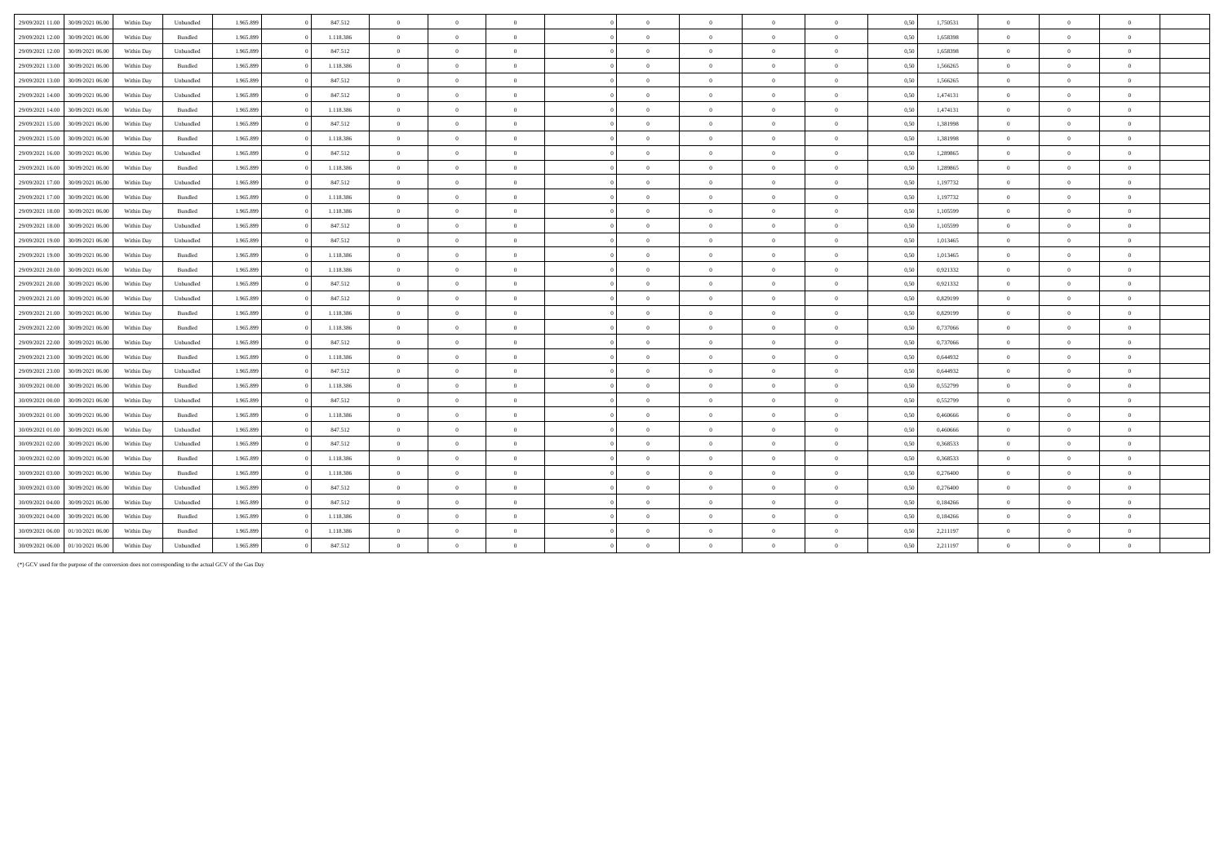| 29/09/2021 11:00 | 30/09/2021 06:00 | Within Day | Unbundled | 1.965.899 | 847.512   | $\overline{0}$ | $\theta$       | $\overline{0}$ | $\sqrt{2}$ | $\theta$       | $\Omega$       | $\theta$       | 0,50 | 1,750531 | $\Omega$       | $\Omega$       |              |  |
|------------------|------------------|------------|-----------|-----------|-----------|----------------|----------------|----------------|------------|----------------|----------------|----------------|------|----------|----------------|----------------|--------------|--|
| 29/09/2021 12:00 | 30/09/2021 06:00 | Within Day | Bundled   | 1.965.899 | 1.118.386 | $\overline{0}$ | $\theta$       | $\Omega$       | $\Omega$   | $\theta$       | $\Omega$       | $\overline{0}$ | 0,50 | 1,658398 | $\overline{0}$ | $\Omega$       | $\mathbf{a}$ |  |
| 29/09/2021 12:00 | 30/09/2021 06:00 | Within Day | Unbundled | 1.965.899 | 847.512   | $\overline{0}$ | $\overline{0}$ | $\overline{0}$ | $\sqrt{2}$ | $\bf{0}$       | $\overline{0}$ | $\overline{0}$ | 0,50 | 1,658398 | $\overline{0}$ | $\Omega$       | $\sqrt{2}$   |  |
| 29/09/2021 13:00 | 30/09/2021 06:00 | Within Day | Bundled   | 1.965.899 | 1.118.386 | $\overline{0}$ | $\overline{0}$ | $\theta$       | $\theta$   | $\overline{0}$ | $\overline{0}$ | $\overline{0}$ | 0,50 | 1,566265 | $\overline{0}$ | $\Omega$       | $\theta$     |  |
| 29/09/2021 13:00 | 30/09/2021 06:00 | Within Day | Unbundled | 1.965.899 | 847.512   | $\overline{0}$ | $\theta$       | $\overline{0}$ | $\sqrt{2}$ | $\theta$       | $\Omega$       | $\sim$         | 0,50 | 1,566265 | $\overline{0}$ | $\Omega$       | $\mathbf{a}$ |  |
| 29/09/2021 14:00 | 30/09/2021 06:00 | Within Day | Unbundled | 1.965.899 | 847.512   | $\overline{0}$ | $\overline{0}$ | $\overline{0}$ | $\sqrt{2}$ | $\overline{0}$ | $\overline{0}$ | $\overline{0}$ | 0,50 | 1,474131 | $\overline{0}$ | $\overline{0}$ | $\theta$     |  |
| 29/09/2021 14:00 | 30/09/2021 06:00 | Within Day | Bundled   | 1.965.899 | 1.118.386 | $\overline{0}$ | $\theta$       | $\overline{0}$ | $\Omega$   | $\theta$       | $\Omega$       | $\overline{0}$ | 0,50 | 1,474131 | $\overline{0}$ | $\Omega$       | $\theta$     |  |
| 29/09/2021 15:00 | 30/09/2021 06:00 | Within Day | Unbundled | 1.965.899 | 847.512   | $\overline{0}$ | $\overline{0}$ | $\overline{0}$ | $\sqrt{2}$ | $\bf{0}$       | $\overline{0}$ | $\overline{0}$ | 0,50 | 1,381998 | $\overline{0}$ | $\Omega$       | $\sqrt{2}$   |  |
| 29/09/2021 15:00 | 30/09/2021 06:00 | Within Day | Bundled   | 1.965.899 | 1.118.386 | $\overline{0}$ | $\overline{0}$ | $\overline{0}$ | $\sqrt{2}$ | $\bf{0}$       | $\overline{0}$ | $\overline{0}$ | 0,50 | 1,381998 | $\overline{0}$ | $\overline{0}$ |              |  |
| 29/09/2021 16:00 | 30/09/2021 06:00 | Within Day | Unbundled | 1.965.899 | 847.512   | $\overline{0}$ | $\theta$       | $\overline{0}$ | $\sqrt{2}$ | $\theta$       | $\Omega$       | $\sim$         | 0,50 | 1,289865 | $\overline{0}$ | $\Omega$       | $\theta$     |  |
| 29/09/2021 16:00 | 30/09/2021 06:00 | Within Day | Bundled   | 1.965.899 | 1.118.386 | $\overline{0}$ | $\overline{0}$ | $\theta$       | $\sqrt{2}$ | $\bf{0}$       | $\overline{0}$ | $\theta$       | 0,50 | 1,289865 | $\overline{0}$ | $\overline{0}$ | $\sqrt{2}$   |  |
| 29/09/2021 17:00 | 30/09/2021 06:00 | Within Day | Unbundled | 1.965.899 | 847.512   | $\overline{0}$ | $\overline{0}$ | $\overline{0}$ | $\theta$   | $\overline{0}$ | $\overline{0}$ | $\overline{0}$ | 0,50 | 1,197732 | $\overline{0}$ | $\Omega$       | $\theta$     |  |
| 29/09/2021 17:00 | 30/09/2021 06:00 | Within Day | Bundled   | 1.965.899 | 1.118.386 | $\overline{0}$ | $\overline{0}$ | $\overline{0}$ | $\sqrt{2}$ | $\bf{0}$       | $\overline{0}$ | $\overline{0}$ | 0,50 | 1,197732 | $\overline{0}$ | $\Omega$       | $\theta$     |  |
| 29/09/2021 18:00 | 30/09/2021 06:00 | Within Day | Bundled   | 1.965.899 | 1.118.386 | $\overline{0}$ | $\overline{0}$ | $\overline{0}$ | $\sqrt{2}$ | $\overline{0}$ | $\overline{0}$ | $\theta$       | 0,50 | 1,105599 | $\overline{0}$ | $\overline{0}$ | $\theta$     |  |
| 29/09/2021 18:00 | 30/09/2021 06:00 | Within Day | Unbundled | 1.965.899 | 847.512   | $\overline{0}$ | $\Omega$       | $\overline{0}$ | $\sqrt{2}$ | $\theta$       | $\Omega$       | $\theta$       | 0,50 | 1,105599 | $\overline{0}$ | $\Omega$       |              |  |
| 29/09/2021 19:00 | 30/09/2021 06:00 | Within Day | Unbundled | 1.965.899 | 847.512   | $\overline{0}$ | $\overline{0}$ | $\overline{0}$ | $\Omega$   | $\bf{0}$       | $\overline{0}$ | $\overline{0}$ | 0,50 | 1,013465 | $\overline{0}$ | $\overline{0}$ | $\theta$     |  |
| 29/09/2021 19:00 | 30/09/2021 06:00 | Within Day | Bundled   | 1.965.899 | 1.118.386 | $\overline{0}$ | $\overline{0}$ | $\overline{0}$ | $\theta$   | $\overline{0}$ | $\overline{0}$ | $\overline{0}$ | 0,50 | 1,013465 | $\overline{0}$ | $\Omega$       | $\theta$     |  |
| 29/09/2021 20:00 | 30/09/2021 06:00 | Within Day | Bundled   | 1.965.899 | 1.118.386 | $\overline{0}$ | $\overline{0}$ | $\Omega$       | $\sqrt{2}$ | $\bf{0}$       | $\overline{0}$ | $\theta$       | 0,50 | 0,921332 | $\overline{0}$ | $\Omega$       |              |  |
| 29/09/2021 20:00 | 30/09/2021 06:00 | Within Day | Unbundled | 1.965.899 | 847.512   | $\overline{0}$ | $\overline{0}$ | $\overline{0}$ | $\Omega$   | $\bf{0}$       | $\overline{0}$ | $\overline{0}$ | 0,50 | 0,921332 | $\overline{0}$ | $\overline{0}$ | $\theta$     |  |
| 29/09/2021 21:00 | 30/09/2021 06:00 | Within Day | Unbundled | 1.965.899 | 847.512   | $\overline{0}$ | $\overline{0}$ | $\Omega$       | $\sqrt{2}$ | $\theta$       | $\Omega$       | $\mathbf{0}$   | 0,50 | 0,829199 | $\overline{0}$ | $\Omega$       | $\theta$     |  |
| 29/09/2021 21:00 | 30/09/2021 06.00 | Within Day | Bundled   | 1.965.899 | 1.118.386 | $\overline{0}$ | $\overline{0}$ | $\overline{0}$ | $\Omega$   | $\overline{0}$ | $\overline{0}$ | $\overline{0}$ | 0,50 | 0,829199 | $\overline{0}$ | $\overline{0}$ | $\theta$     |  |
| 29/09/2021 22:00 | 30/09/2021 06:00 | Within Day | Bundled   | 1.965.899 | 1.118.386 | $\overline{0}$ | $\overline{0}$ | $\overline{0}$ | $\Omega$   | $\bf{0}$       | $\theta$       | $\overline{0}$ | 0,50 | 0,737066 | $\overline{0}$ | $\Omega$       | $\theta$     |  |
| 29/09/2021 22.00 | 30/09/2021 06:00 | Within Day | Unbundled | 1.965.899 | 847.512   | $\overline{0}$ | $\overline{0}$ | $\overline{0}$ | $\sqrt{2}$ | $\bf{0}$       | $\overline{0}$ | $\Omega$       | 0,50 | 0,737066 | $\overline{0}$ | $\overline{0}$ | $\sqrt{2}$   |  |
| 29/09/2021 23:00 | 30/09/2021 06:00 | Within Day | Bundled   | 1.965.899 | 1.118.386 | $\overline{0}$ | $\overline{0}$ | $\overline{0}$ | $\Omega$   | $\overline{0}$ | $\overline{0}$ | $\overline{0}$ | 0,50 | 0,644932 | $\overline{0}$ | $\overline{0}$ | $\theta$     |  |
| 29/09/2021 23:00 | 30/09/2021 06:00 | Within Day | Unbundled | 1.965.899 | 847.512   | $\overline{0}$ | $\overline{0}$ | $\overline{0}$ | $\Omega$   | $\overline{0}$ | $\overline{0}$ | $\overline{0}$ | 0,50 | 0,644932 | $\overline{0}$ | $\Omega$       | $\theta$     |  |
| 30/09/2021 00:00 | 30/09/2021 06:00 | Within Day | Bundled   | 1.965.899 | 1.118.386 | $\overline{0}$ | $\overline{0}$ | $\overline{0}$ | $\Omega$   | $\overline{0}$ | $\overline{0}$ | $\overline{0}$ | 0,50 | 0,552799 | $\overline{0}$ | $\overline{0}$ | $\theta$     |  |
| 30/09/2021 00:00 | 30/09/2021 06:00 | Within Day | Unbundled | 1.965.899 | 847.512   | $\overline{0}$ | $\Omega$       | $\Omega$       | $\Omega$   | $\theta$       | $\Omega$       | $\theta$       | 0,50 | 0,552799 | $\overline{0}$ | $\Omega$       |              |  |
| 30/09/2021 01:00 | 30/09/2021 06:00 | Within Day | Bundled   | 1.965.899 | 1.118.386 | $\overline{0}$ | $\overline{0}$ | $\overline{0}$ | $\sqrt{2}$ | $\bf{0}$       | $\overline{0}$ | $\Omega$       | 0,50 | 0,460666 | $\overline{0}$ | $\overline{0}$ | $\theta$     |  |
| 30/09/2021 01:00 | 30/09/2021 06:00 | Within Day | Unbundled | 1.965.899 | 847.512   | $\overline{0}$ | $\overline{0}$ | $\overline{0}$ | $\Omega$   | $\overline{0}$ | $\overline{0}$ | $\overline{0}$ | 0,50 | 0,460666 | $\overline{0}$ | $\overline{0}$ | $\theta$     |  |
| 30/09/2021 02.00 | 30/09/2021 06:00 | Within Day | Unbundled | 1.965.899 | 847.512   | $\overline{0}$ | $\overline{0}$ | $\Omega$       | $\theta$   | $\overline{0}$ | $\Omega$       | $\theta$       | 0,50 | 0,368533 | $\overline{0}$ | $\Omega$       |              |  |
| 30/09/2021 02.00 | 30/09/2021 06:00 | Within Day | Bundled   | 1.965.899 | 1.118.386 | $\overline{0}$ | $\overline{0}$ | $\Omega$       |            | $\theta$       | $\Omega$       | $\theta$       | 0,50 | 0,368533 | $\overline{0}$ | $\Omega$       |              |  |
| 30/09/2021 03:00 | 30/09/2021 06.00 | Within Day | Bundled   | 1.965.899 | 1.118.386 | $\overline{0}$ | $\Omega$       | $\overline{0}$ | $\sqrt{2}$ | $\theta$       | $\Omega$       | $\theta$       | 0,50 | 0,276400 | $\overline{0}$ | $\Omega$       |              |  |
| 30/09/2021 03:00 | 30/09/2021 06:00 | Within Day | Unbundled | 1.965.899 | 847.512   | $\overline{0}$ | $\overline{0}$ | $\Omega$       | $\Omega$   | $\overline{0}$ | $\overline{0}$ | $\theta$       | 0,50 | 0,276400 | $\overline{0}$ | $\Omega$       |              |  |
| 30/09/2021 04:00 | 30/09/2021 06:00 | Within Day | Unbundled | 1.965.899 | 847.512   | $\overline{0}$ | $\overline{0}$ | $\Omega$       |            | $\theta$       | $\Omega$       |                | 0.50 | 0.184266 | $\overline{0}$ | $\Omega$       |              |  |
| 30/09/2021 04:00 | 30/09/2021 06:00 | Within Day | Bundled   | 1.965.899 | 1.118.386 | $\overline{0}$ | $\Omega$       | $\Omega$       |            | $\Omega$       | $\Omega$       | $\theta$       | 0,50 | 0,184266 | $\overline{0}$ | $\Omega$       |              |  |
| 30/09/2021 06:00 | 01/10/2021 06:00 | Within Day | Bundled   | 1.965.899 | 1.118.386 | $\overline{0}$ | $\Omega$       | $\Omega$       |            | $\theta$       | $\theta$       |                | 0,50 | 2,211197 | $\overline{0}$ |                |              |  |
| 30/09/2021 06:00 | 01/10/2021 06:00 | Within Day | Unbundled | 1.965.899 | 847.512   | $\overline{0}$ | $\Omega$       |                |            | $\theta$       | $\Omega$       |                | 0.50 | 2,211197 | $\overline{0}$ | $\Omega$       |              |  |

(\*) GCV used for the purpose of the conversion does not corresponding to the actual GCV of the Gas Day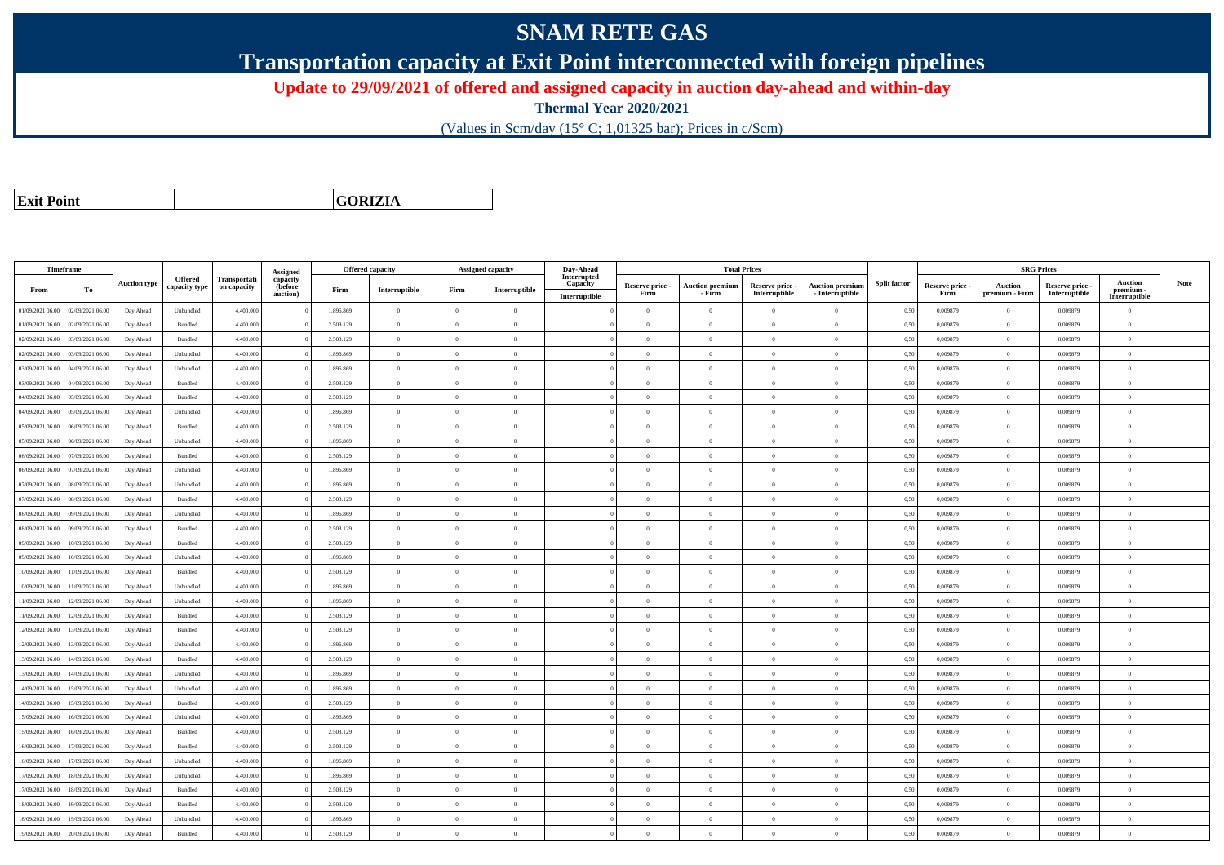## **SNAM RETE GAS**

**Transportation capacity at Exit Point interconnected with foreign pipelines**

**Update to 29/09/2021 of offered and assigned capacity in auction day-ahead and within-day**

**Thermal Year 2020/2021**

(Values in Scm/day (15° C; 1,01325 bar); Prices in c/Scm)

**Exit Point**

**GORIZIA**

|                  | Timeframe        |                     |                          |                                    |                                 |           | <b>Offered capacity</b> |                | <b>Assigned capacity</b> | Day-Ahead               |                 |                        | <b>Total Prices</b> |                        |                     |                 |                | <b>SRG Prices</b> |                            |      |
|------------------|------------------|---------------------|--------------------------|------------------------------------|---------------------------------|-----------|-------------------------|----------------|--------------------------|-------------------------|-----------------|------------------------|---------------------|------------------------|---------------------|-----------------|----------------|-------------------|----------------------------|------|
|                  |                  | <b>Auction type</b> | Offered<br>capacity type | <b>Transportati</b><br>on capacity | Assigned<br>capacity<br>(before |           |                         |                |                          | Interrupted<br>Capacity | Reserve price - | <b>Auction premiun</b> | Reserve price -     | <b>Auction premium</b> | <b>Split factor</b> | Reserve price - | Auction        | Reserve price -   | <b>Auction</b>             | Note |
| From             | To               |                     |                          |                                    | auction)                        | Firm      | Interruptible           | Firm           | Interruptible            | Interruptible           | Firm            | - Firm                 | Interruptible       | - Interruptible        |                     | Firm            | premium - Firm | Interruptible     | premium -<br>Interruptible |      |
| 01/09/2021 06:00 | 02/09/2021 06:00 | Day Ahead           | Unbundled                | 4.400.000                          |                                 | 1.896.869 | $\overline{0}$          | $\overline{0}$ | $\overline{0}$           |                         | $\overline{0}$  | $\overline{0}$         | $\overline{0}$      | $\overline{0}$         | 0,50                | 0,009879        | $\overline{0}$ | 0,009879          | $\overline{0}$             |      |
| 01/09/2021 06:00 | 02/09/2021 06:00 | Day Ahead           | Bundled                  | 4.400,000                          |                                 | 2.503.129 | $\overline{0}$          | $\Omega$       | $\Omega$                 |                         | $\theta$        | $\theta$               | $\Omega$            | $\Omega$               | 0,50                | 0.009879        | $\Omega$       | 0.009879          | $\theta$                   |      |
| 02/09/2021 06:00 | 03/09/2021 06:00 | Day Ahead           | Bundled                  | 4.400.000                          |                                 | 2.503.129 | $\overline{0}$          | $\overline{0}$ | $\theta$                 |                         | $\theta$        | $\theta$               | $\overline{0}$      | $\bf{0}$               | 0,50                | 0,009879        | $\overline{0}$ | 0,009879          | $\overline{0}$             |      |
| 02/09/2021 06:00 | 03/09/2021 06:00 | Day Ahead           | Unbundled                | 4.400.000                          |                                 | 1.896.869 | $\overline{0}$          | $\overline{0}$ | $\overline{0}$           |                         | $\theta$        | $\theta$               | $\overline{0}$      | $\bf{0}$               | 0,50                | 0,009879        | $\mathbf{0}$   | 0,009879          | $\overline{0}$             |      |
| 03/09/2021 06:00 | 04/09/2021 06:00 | Day Ahead           | Unbundled                | 4.400.000                          |                                 | 1.896.869 | $\,$ 0 $\,$             | $\overline{0}$ | $\overline{0}$           |                         | $\overline{0}$  | $\theta$               | $\overline{0}$      | $\overline{0}$         | 0,50                | 0.009879        | $\,$ 0 $\,$    | 0.009879          | $\theta$                   |      |
| 03/09/2021 06:00 | 04/09/2021 06.00 | Day Ahead           | Bundled                  | 4.400.000                          |                                 | 2.503.129 | $\overline{0}$          | $\Omega$       | $\Omega$                 |                         | $\Omega$        | $\Omega$               | $\Omega$            | $\bf{0}$               | 0,50                | 0,009879        | $\mathbf{0}$   | 0,009879          | $\theta$                   |      |
| 04/09/2021 06:00 | 05/09/2021 06:00 | Day Ahead           | Bundled                  | 4,400,000                          |                                 | 2.503.129 | $\overline{0}$          | $\overline{0}$ | $\Omega$                 |                         | $\Omega$        | $\theta$               | $\overline{0}$      | $\theta$               | 0,50                | 0.009879        | $\overline{0}$ | 0.009879          | $\theta$                   |      |
| 04/09/2021 06:00 | 05/09/2021 06:00 | Day Ahead           | Unbundled                | 4.400.000                          |                                 | 1.896.869 | $\overline{0}$          | $\Omega$       | $\Omega$                 |                         | $\theta$        | $\theta$               | $\overline{0}$      | $\bf{0}$               | 0,50                | 0,009879        | $\mathbf{0}$   | 0,009879          | $\theta$                   |      |
| 05/09/2021 06:00 | 06/09/2021 06:00 | Day Ahead           | Bundled                  | 4.400,000                          |                                 | 2.503.129 | $\overline{0}$          | $\Omega$       | $\Omega$                 |                         | $\theta$        | $\theta$               | $\theta$            | $\theta$               | 0.50                | 0.009879        | $\Omega$       | 0.009879          | $\theta$                   |      |
| 05/09/2021 06:00 | 06/09/2021 06:00 | Day Ahead           | Unbundled                | 4.400.000                          |                                 | 1.896.869 | $\overline{0}$          | $\overline{0}$ | $\Omega$                 |                         | $\theta$        | $\theta$               | $\theta$            | $\bf{0}$               | 0,50                | 0,009879        | $\mathbf{0}$   | 0,009879          | $\overline{0}$             |      |
| 06/09/2021 06:00 | 07/09/2021 06.00 | Day Ahead           | Bundled                  | 4.400.000                          |                                 | 2.503.129 | $\overline{0}$          | $\overline{0}$ | $\theta$                 |                         | $\theta$        | $\overline{0}$         | $\overline{0}$      | $\bf{0}$               | 0,50                | 0.009879        | $\overline{0}$ | 0.009879          | $\overline{0}$             |      |
| 06/09/2021 06:00 | 07/09/2021 06:00 | Day Ahead           | Unbundled                | 4,400,000                          |                                 | 1.896.869 | $\overline{0}$          | $\Omega$       | $\Omega$                 |                         | $\overline{0}$  | $\theta$               | $\overline{0}$      | $\overline{0}$         | 0,50                | 0.009879        | $\,0\,$        | 0.009879          | $\theta$                   |      |
| 07/09/2021 06:00 | 08/09/2021 06:00 | Day Ahead           | Unbundled                | 4.400.000                          |                                 | 1.896.869 | $\overline{0}$          | $\overline{0}$ | $\overline{0}$           |                         | $\theta$        | $\theta$               | $\overline{0}$      | $\bf{0}$               | 0,50                | 0,009879        | $\theta$       | 0,009879          | $\overline{0}$             |      |
| 07/09/2021 06:00 | 08/09/2021 06:00 | Day Ahead           | Bundled                  | 4.400.000                          |                                 | 2.503.129 | $\overline{0}$          | $\overline{0}$ | $\overline{0}$           |                         | $\theta$        | $\theta$               | $\overline{0}$      | $\bf{0}$               | 0,50                | 0,009879        | $\mathbf{0}$   | 0,009879          | $\overline{0}$             |      |
| 08/09/2021 06:00 | 09/09/2021 06:00 | Day Ahead           | Unbundled                | 4.400.000                          |                                 | 1.896.869 | $\overline{0}$          | $\Omega$       | $\Omega$                 |                         | $\theta$        | $\theta$               | $\overline{0}$      | $\bf{0}$               | 0,50                | 0,009879        | $\mathbf{0}$   | 0,009879          | $\theta$                   |      |
| 08/09/2021 06:00 | 09/09/2021 06:00 | Day Ahead           | Bundled                  | 4.400.000                          |                                 | 2.503.129 | $\overline{0}$          | $\Omega$       | $\Omega$                 |                         | $\Omega$        | $\theta$               | $\Omega$            | $\Omega$               | 0,50                | 0,009879        | $\mathbf{0}$   | 0,009879          | $\theta$                   |      |
| 09/09/2021 06:00 | 10/09/2021 06:00 | Day Ahead           | $\mathbf B$ undled       | 4,400,000                          |                                 | 2.503.129 | $\overline{0}$          | $\overline{0}$ | $\Omega$                 |                         | $\Omega$        | $\theta$               | $\overline{0}$      | $\theta$               | 0,50                | 0.009879        | $\overline{0}$ | 0.009879          | $\theta$                   |      |
| 09/09/2021 06:00 | 10/09/2021 06:00 | Day Ahead           | Unbundled                | 4.400.000                          |                                 | 1.896.869 | $\overline{0}$          | $\overline{0}$ | $\overline{0}$           |                         | $\theta$        | $\theta$               | $\overline{0}$      | $\bf{0}$               | 0,50                | 0,009879        | $\mathbf{0}$   | 0,009879          | $\overline{0}$             |      |
| 10/09/2021 06:00 | 11/09/2021 06:00 | Day Ahead           | Bundled                  | 4,400,000                          |                                 | 2.503.129 | $\overline{0}$          | $\Omega$       | $\Omega$                 |                         | $\theta$        | $\theta$               | $\theta$            | $\theta$               | 0.50                | 0.009879        | $\Omega$       | 0.009879          | $\theta$                   |      |
| 10/09/2021 06:00 | 11/09/2021 06:00 | Day Ahead           | Unbundled                | 4,400,000                          |                                 | 1.896.869 | $\overline{0}$          | $\overline{0}$ | $\Omega$                 |                         | $\Omega$        | $\theta$               | $\Omega$            | $\theta$               | 0.50                | 0.009879        | $\overline{0}$ | 0.009879          | $\theta$                   |      |
| 11/09/2021 06:00 | 12/09/2021 06:00 | Day Ahead           | Unbundled                | 4.400.000                          |                                 | 1.896.869 | $\overline{0}$          | $\Omega$       | $\theta$                 |                         | $\theta$        | $\theta$               | $\Omega$            | $\theta$               | 0,50                | 0,009879        | $\Omega$       | 0.009879          | $\theta$                   |      |
| 11/09/2021 06:00 | 12/09/2021 06:00 | Day Ahead           | Bundled                  | 4,400,000                          |                                 | 2.503.129 | $\overline{0}$          | $\Omega$       | $\Omega$                 |                         | $\theta$        | $\theta$               | $\theta$            | $\Omega$               | 0,50                | 0.009879        | $\mathbf{0}$   | 0.009879          | $\theta$                   |      |
| 12/09/2021 06:00 | 13/09/2021 06:00 | Day Ahead           | Bundled                  | 4.400.000                          |                                 | 2.503.129 | $\overline{0}$          | $\overline{0}$ | $\Omega$                 |                         | $\theta$        | $\mathbf{a}$           | $\overline{0}$      | $\bf{0}$               | 0,50                | 0,009879        | $\mathbf{0}$   | 0,009879          | $\overline{0}$             |      |
| 12/09/2021 06:00 | 13/09/2021 06:00 | Day Ahead           | Unbundled                | 4.400.000                          |                                 | 1.896.869 | $\overline{0}$          | $\overline{0}$ | $\overline{0}$           |                         | $\theta$        | $\theta$               | $\overline{0}$      | $\overline{0}$         | 0,50                | 0,009879        | $\mathbf{0}$   | 0,009879          | $\overline{0}$             |      |
| 13/09/2021 06:00 | 14/09/2021 06:00 | Day Ahead           | Bundled                  | 4.400.000                          |                                 | 2.503.129 | $\,$ 0 $\,$             | $\overline{0}$ | $\overline{0}$           |                         | $\overline{0}$  | $\theta$               | $\overline{0}$      | $\overline{0}$         | 0,50                | 0,009879        | $\bf{0}$       | 0,009879          | $\overline{0}$             |      |
| 13/09/2021 06:00 | 14/09/2021 06:00 | Day Ahead           | Unbundled                | 4.400.000                          |                                 | 1.896.869 | $\overline{0}$          | $\overline{0}$ | $\overline{0}$           |                         | $\theta$        | $\theta$               | $\theta$            | $\bf{0}$               | 0,50                | 0,009879        | $\overline{0}$ | 0,009879          | $\overline{0}$             |      |
| 14/09/2021 06:00 | 15/09/2021 06:00 | Day Ahead           | Unbundled                | 4,400,000                          |                                 | 1.896.869 | $\overline{0}$          | $\Omega$       | $\Omega$                 |                         | $\theta$        | $\theta$               | $\Omega$            | $\theta$               | 0,50                | 0.009879        | $\mathbf{0}$   | 0.009879          | $\theta$                   |      |
| 14/09/2021 06:00 | 15/09/2021 06:00 | Day Ahead           | Bundled                  | 4.400.000                          |                                 | 2.503.129 | $\overline{0}$          | $\overline{0}$ | $\Omega$                 |                         | $\theta$        | $\theta$               | $\overline{0}$      | $\bf{0}$               | 0,50                | 0,009879        | $\mathbf{0}$   | 0,009879          | $\overline{0}$             |      |
| 15/09/2021 06:00 | 16/09/2021 06:00 | Day Ahead           | Unbundled                | 4.400.000                          |                                 | 1.896.869 | $\overline{0}$          | $\Omega$       | $\Omega$                 |                         | $\Omega$        | $\theta$               | $\Omega$            | $\Omega$               | 0,50                | 0,009879        | $\theta$       | 0,009879          | $\theta$                   |      |
| 15/09/2021 06:00 | 16/09/2021 06:00 | Day Ahead           | Bundled                  | 4.400,000                          |                                 | 2.503.129 | $\overline{0}$          | $\overline{0}$ | $\Omega$                 |                         | $\Omega$        | $\theta$               | $\overline{0}$      | $\theta$               | 0,50                | 0.009879        | $\overline{0}$ | 0.009879          | $\theta$                   |      |
| 16/09/2021 06:00 | 17/09/2021 06:00 | Day Ahead           | Bundled                  | 4.400.000                          |                                 | 2.503.129 | $\overline{0}$          | $\overline{0}$ | $\theta$                 |                         | $\theta$        | $\theta$               | $\overline{0}$      | $\bf{0}$               | 0,50                | 0,009879        | $\mathbf{0}$   | 0.009879          | $\theta$                   |      |
| 16/09/2021 06:00 | 17/09/2021 06:00 | Day Ahead           | Unbundled                | 4,400,000                          |                                 | 1.896.869 | $\overline{0}$          | $\overline{0}$ | $\overline{0}$           |                         | $\theta$        | $\overline{0}$         | $\overline{0}$      | $\overline{0}$         | 0.50                | 0.009879        | $\mathbf{0}$   | 0.009879          | $\overline{0}$             |      |
| 17/09/2021 06:00 | 18/09/2021 06:00 | Day Ahead           | Unbundled                | 4.400.000                          |                                 | 1.896.869 | $\overline{0}$          | $\overline{0}$ | $\overline{0}$           |                         | $\theta$        | $\theta$               | $\overline{0}$      | $\bf{0}$               | 0,50                | 0,009879        | $\mathbf{0}$   | 0,009879          | $\overline{0}$             |      |
| 17/09/2021 06:00 | 18/09/2021 06:00 | Day Ahead           | Bundled                  | 4.400.000                          |                                 | 2.503.129 | $\overline{0}$          | $\overline{0}$ | $\overline{0}$           |                         | $\theta$        | $\theta$               | $\overline{0}$      | $\bf{0}$               | 0,50                | 0,009879        | $\mathbf{0}$   | 0,009879          | $\overline{0}$             |      |
| 18/09/2021 06:00 | 19/09/2021 06:00 | Day Ahead           | Bundled                  | 4.400.000                          |                                 | 2.503.129 | $\overline{0}$          | $\Omega$       | $\Omega$                 |                         | $\theta$        | $\theta$               | $\Omega$            | $\Omega$               | 0,50                | 0.009879        | $\mathbf{0}$   | 0.009879          | $\theta$                   |      |
| 18/09/2021 06:00 | 19/09/2021 06.0  | Day Ahead           | Unbundled                | 4.400.000                          |                                 | 1.896.869 | $\overline{0}$          | $\overline{0}$ | $\theta$                 |                         | $\theta$        | $\theta$               | $\overline{0}$      | $\bf{0}$               | 0,50                | 0,009879        | $\theta$       | 0,009879          | $\overline{0}$             |      |
| 19/09/2021 06:00 | 20/09/2021 06:00 | Day Ahead           | Bundled                  | 4,400,000                          |                                 | 2.503.129 | $\Omega$                | $\Omega$       | $\theta$                 |                         | $\theta$        | $\theta$               | $\Omega$            | $\theta$               | 0,50                | 0.009879        | $\mathbf{0}$   | 0.009879          | $\theta$                   |      |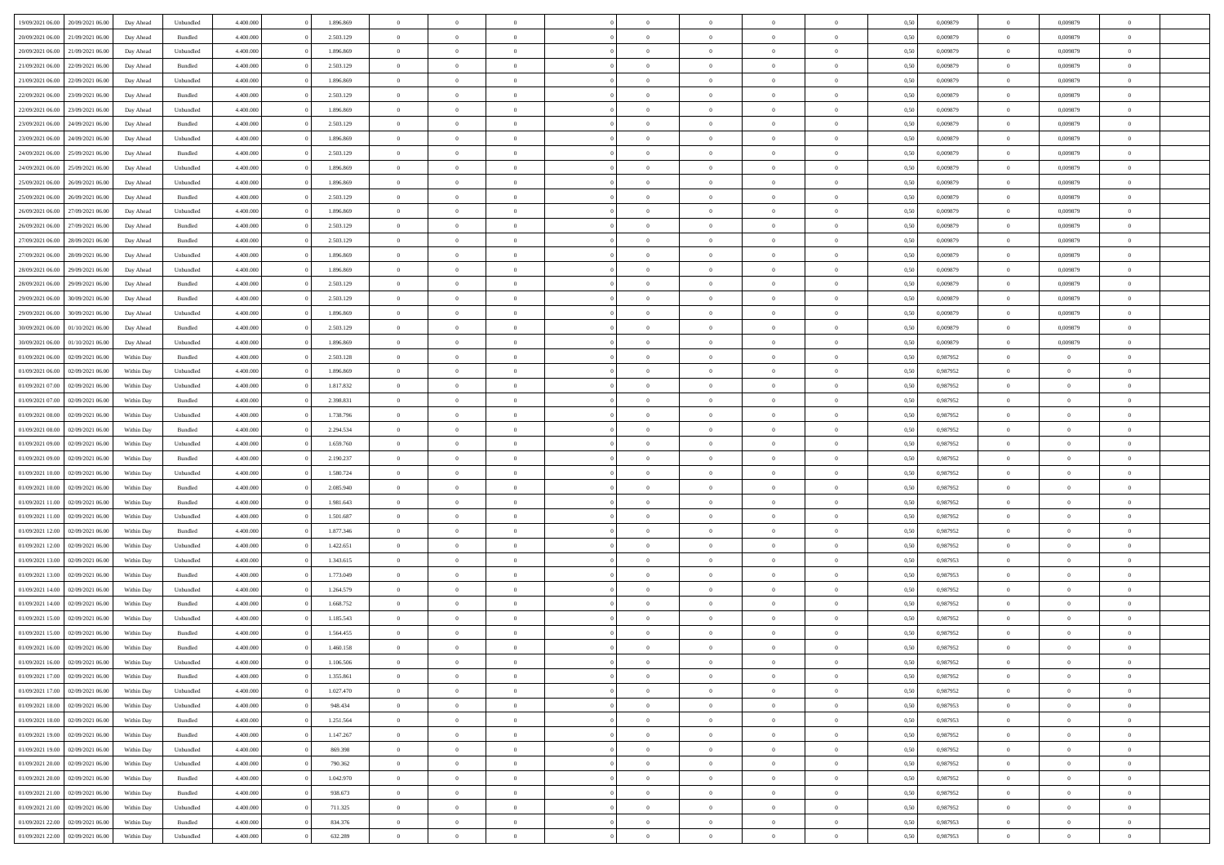| 19/09/2021 06:00                  | 20/09/2021 06:00 | Day Ahead  | Unbundled | 4.400.000 | 1.896.869 | $\overline{0}$ | $\Omega$       |                |                | $\Omega$       | $\Omega$       | $\Omega$       | 0,50 | 0,009879 | $\mathbf{0}$   | 0,009879       | $\Omega$       |  |
|-----------------------------------|------------------|------------|-----------|-----------|-----------|----------------|----------------|----------------|----------------|----------------|----------------|----------------|------|----------|----------------|----------------|----------------|--|
| 20/09/2021 06:00                  | 21/09/2021 06:00 | Day Ahead  | Bundled   | 4.400.000 | 2.503.129 | $\overline{0}$ | $\overline{0}$ | $\overline{0}$ |                | $\overline{0}$ | $\overline{0}$ | $\theta$       | 0,50 | 0,009879 | $\bf{0}$       | 0,009879       | $\bf{0}$       |  |
| 20/09/2021 06:00                  | 21/09/2021 06:00 | Day Ahead  | Unbundled | 4.400.000 | 1.896.869 | $\overline{0}$ | $\bf{0}$       | $\overline{0}$ | $\overline{0}$ | $\bf{0}$       | $\overline{0}$ | $\bf{0}$       | 0,50 | 0,009879 | $\bf{0}$       | 0,009879       | $\bf{0}$       |  |
| 21/09/2021 06:00                  | 22/09/2021 06:00 | Day Ahead  | Bundled   | 4.400.000 | 2.503.129 | $\overline{0}$ | $\overline{0}$ | $\overline{0}$ | $\Omega$       | $\overline{0}$ | $\overline{0}$ | $\bf{0}$       | 0.50 | 0,009879 | $\mathbf{0}$   | 0.009879       | $\overline{0}$ |  |
|                                   |                  |            |           |           |           |                |                |                |                |                |                |                |      |          |                |                |                |  |
| 21/09/2021 06:00                  | 22/09/2021 06:00 | Day Ahead  | Unbundled | 4.400.000 | 1.896.869 | $\overline{0}$ | $\overline{0}$ | $\overline{0}$ |                | $\overline{0}$ | $\overline{0}$ | $\theta$       | 0,50 | 0,009879 | $\bf{0}$       | 0,009879       | $\overline{0}$ |  |
| 22/09/2021 06:00                  | 23/09/2021 06:00 | Day Ahead  | Bundled   | 4.400.000 | 2.503.129 | $\overline{0}$ | $\bf{0}$       | $\overline{0}$ | $\overline{0}$ | $\bf{0}$       | $\overline{0}$ | $\bf{0}$       | 0,50 | 0,009879 | $\overline{0}$ | 0,009879       | $\bf{0}$       |  |
| 22/09/2021 06:00                  | 23/09/2021 06:00 | Day Ahead  | Unbundled | 4.400.000 | 1.896.869 | $\overline{0}$ | $\overline{0}$ | $\overline{0}$ | $\Omega$       | $\overline{0}$ | $\overline{0}$ | $\overline{0}$ | 0,50 | 0,009879 | $\overline{0}$ | 0,009879       | $\overline{0}$ |  |
| 23/09/2021 06:00                  | 24/09/2021 06.00 | Day Ahead  | Bundled   | 4.400.000 | 2.503.129 | $\overline{0}$ | $\overline{0}$ | $\overline{0}$ |                | $\overline{0}$ | $\overline{0}$ | $\theta$       | 0,50 | 0,009879 | $\bf{0}$       | 0,009879       | $\overline{0}$ |  |
|                                   |                  |            |           |           |           |                |                |                |                |                |                |                |      |          |                |                |                |  |
| 23/09/2021 06:00                  | 24/09/2021 06:00 | Day Ahead  | Unbundled | 4.400.000 | 1.896.869 | $\overline{0}$ | $\overline{0}$ | $\overline{0}$ | $\overline{0}$ | $\bf{0}$       | $\overline{0}$ | $\bf{0}$       | 0,50 | 0,009879 | $\bf{0}$       | 0,009879       | $\bf{0}$       |  |
| 24/09/2021 06:00                  | 25/09/2021 06:00 | Day Ahead  | Bundled   | 4.400.000 | 2.503.129 | $\overline{0}$ | $\overline{0}$ | $\overline{0}$ | $\Omega$       | $\overline{0}$ | $\overline{0}$ | $\overline{0}$ | 0.50 | 0,009879 | $\overline{0}$ | 0,009879       | $\overline{0}$ |  |
| 24/09/2021 06:00                  | 25/09/2021 06:00 | Day Ahead  | Unbundled | 4.400.000 | 1.896.869 | $\overline{0}$ | $\overline{0}$ | $\overline{0}$ | $\overline{0}$ | $\overline{0}$ | $\overline{0}$ | $\theta$       | 0,50 | 0,009879 | $\,$ 0 $\,$    | 0,009879       | $\overline{0}$ |  |
| 25/09/2021 06:00                  | 26/09/2021 06:00 | Day Ahead  | Unbundled | 4.400.000 | 1.896.869 | $\overline{0}$ | $\bf{0}$       | $\overline{0}$ | $\overline{0}$ | $\bf{0}$       | $\overline{0}$ | $\bf{0}$       | 0,50 | 0,009879 | $\bf{0}$       | 0,009879       | $\bf{0}$       |  |
| 25/09/2021 06:00                  | 26/09/2021 06:00 | Day Ahead  | Bundled   | 4.400.000 | 2.503.129 | $\overline{0}$ | $\overline{0}$ | $\overline{0}$ | $^{\circ}$     | $\overline{0}$ | $\overline{0}$ | $\bf{0}$       | 0.50 | 0,009879 | $\mathbf{0}$   | 0.009879       | $\overline{0}$ |  |
|                                   |                  |            |           |           |           |                |                |                |                |                |                |                |      |          |                |                |                |  |
| 26/09/2021 06:00                  | 27/09/2021 06.00 | Day Ahead  | Unbundled | 4.400.000 | 1.896.869 | $\overline{0}$ | $\overline{0}$ | $\overline{0}$ |                | $\overline{0}$ | $\overline{0}$ | $\theta$       | 0,50 | 0,009879 | $\bf{0}$       | 0,009879       | $\overline{0}$ |  |
| 26/09/2021 06:00                  | 27/09/2021 06:00 | Day Ahead  | Bundled   | 4.400.000 | 2.503.129 | $\overline{0}$ | $\bf{0}$       | $\overline{0}$ | $\overline{0}$ | $\bf{0}$       | $\overline{0}$ | $\bf{0}$       | 0,50 | 0,009879 | $\overline{0}$ | 0,009879       | $\bf{0}$       |  |
| 27/09/2021 06:00                  | 28/09/2021 06:00 | Day Ahead  | Bundled   | 4.400.000 | 2.503.129 | $\overline{0}$ | $\overline{0}$ | $\overline{0}$ | $\Omega$       | $\overline{0}$ | $\overline{0}$ | $\bf{0}$       | 0,50 | 0,009879 | $\overline{0}$ | 0,009879       | $\overline{0}$ |  |
| 27/09/2021 06:00                  | 28/09/2021 06:00 | Day Ahead  | Unbundled | 4.400.000 | 1.896.869 | $\overline{0}$ | $\overline{0}$ | $\overline{0}$ | $\overline{0}$ | $\overline{0}$ | $\overline{0}$ | $\theta$       | 0,50 | 0,009879 | $\bf{0}$       | 0,009879       | $\overline{0}$ |  |
|                                   |                  |            |           |           |           |                |                |                |                |                |                |                |      |          |                |                |                |  |
| 28/09/2021 06:00                  | 29/09/2021 06:00 | Day Ahead  | Unbundled | 4.400.000 | 1.896.869 | $\overline{0}$ | $\overline{0}$ | $\overline{0}$ | $\overline{0}$ | $\bf{0}$       | $\overline{0}$ | $\bf{0}$       | 0,50 | 0,009879 | $\bf{0}$       | 0,009879       | $\bf{0}$       |  |
| 28/09/2021 06:00                  | 29/09/2021 06:00 | Day Ahead  | Bundled   | 4.400.000 | 2.503.129 | $\overline{0}$ | $\overline{0}$ | $\overline{0}$ | $\Omega$       | $\overline{0}$ | $\overline{0}$ | $\bf{0}$       | 0.50 | 0,009879 | $\mathbf{0}$   | 0,009879       | $\overline{0}$ |  |
| 29/09/2021 06:00                  | 30/09/2021 06:00 | Day Ahead  | Bundled   | 4.400.000 | 2.503.129 | $\overline{0}$ | $\overline{0}$ | $\overline{0}$ | $\overline{0}$ | $\overline{0}$ | $\overline{0}$ | $\theta$       | 0,50 | 0,009879 | $\,$ 0 $\,$    | 0,009879       | $\overline{0}$ |  |
| 29/09/2021 06:00                  | 30/09/2021 06:00 | Day Ahead  | Unbundled | 4.400.000 | 1.896.869 | $\overline{0}$ | $\bf{0}$       | $\overline{0}$ | $\overline{0}$ | $\bf{0}$       | $\overline{0}$ | $\bf{0}$       | 0,50 | 0,009879 | $\bf{0}$       | 0,009879       | $\bf{0}$       |  |
| 30/09/2021 06:00                  | 01/10/2021 06:00 | Day Ahead  | Bundled   | 4.400.000 | 2.503.129 | $\overline{0}$ | $\overline{0}$ | $\overline{0}$ | $^{\circ}$     | $\overline{0}$ | $\overline{0}$ | $\bf{0}$       | 0.50 | 0,009879 | $\mathbf{0}$   | 0.009879       | $\overline{0}$ |  |
|                                   |                  |            |           |           |           |                |                |                |                |                |                |                |      |          |                |                |                |  |
| 30/09/2021 06:00                  | 01/10/2021 06:00 | Day Ahead  | Unbundled | 4.400.000 | 1.896.869 | $\overline{0}$ | $\overline{0}$ | $\overline{0}$ |                | $\overline{0}$ | $\overline{0}$ | $\theta$       | 0,50 | 0,009879 | $\bf{0}$       | 0,009879       | $\overline{0}$ |  |
| 01/09/2021 06:00                  | 02/09/2021 06:00 | Within Day | Bundled   | 4.400.000 | 2.503.128 | $\overline{0}$ | $\overline{0}$ | $\overline{0}$ | $\overline{0}$ | $\bf{0}$       | $\overline{0}$ | $\bf{0}$       | 0,50 | 0,987952 | $\bf{0}$       | $\bf{0}$       | $\bf{0}$       |  |
| 01/09/2021 06:00                  | 02/09/2021 06:00 | Within Day | Unbundled | 4.400.000 | 1.896.869 | $\overline{0}$ | $\overline{0}$ | $\overline{0}$ | $^{\circ}$     | $\overline{0}$ | $\overline{0}$ | $\bf{0}$       | 0.50 | 0,987952 | $\mathbf{0}$   | $\overline{0}$ | $\overline{0}$ |  |
| 01/09/2021 07:00                  | 02/09/2021 06:00 | Within Day | Unbundled | 4.400.000 | 1.817.832 | $\overline{0}$ | $\overline{0}$ | $\overline{0}$ | $\overline{0}$ | $\overline{0}$ | $\overline{0}$ | $\theta$       | 0,50 | 0,987952 | $\bf{0}$       | $\overline{0}$ | $\overline{0}$ |  |
|                                   |                  |            |           |           |           |                |                |                |                |                |                |                |      |          |                |                |                |  |
| 01/09/2021 07:00                  | 02/09/2021 06:00 | Within Day | Bundled   | 4.400.000 | 2.398.831 | $\overline{0}$ | $\overline{0}$ | $\overline{0}$ | $\overline{0}$ | $\,$ 0 $\,$    | $\overline{0}$ | $\bf{0}$       | 0,50 | 0,987952 | $\bf{0}$       | $\overline{0}$ | $\bf{0}$       |  |
| 01/09/2021 08:00                  | 02/09/2021 06:00 | Within Dav | Unbundled | 4.400,000 | 1.738.796 | $\overline{0}$ | $\overline{0}$ | $\overline{0}$ | $\Omega$       | $\overline{0}$ | $\overline{0}$ | $\bf{0}$       | 0.50 | 0,987952 | $\mathbf{0}$   | $\overline{0}$ | $\overline{0}$ |  |
| 01/09/2021 08:00                  | 02/09/2021 06:00 | Within Day | Bundled   | 4.400.000 | 2.294.534 | $\overline{0}$ | $\overline{0}$ | $\overline{0}$ | $\overline{0}$ | $\overline{0}$ | $\overline{0}$ | $\theta$       | 0,50 | 0,987952 | $\bf{0}$       | $\overline{0}$ | $\bf{0}$       |  |
| 01/09/2021 09:00                  | 02/09/2021 06:00 | Within Day | Unbundled | 4.400.000 | 1.659.760 | $\overline{0}$ | $\bf{0}$       | $\overline{0}$ | $\overline{0}$ | $\bf{0}$       | $\overline{0}$ | $\bf{0}$       | 0,50 | 0,987952 | $\bf{0}$       | $\bf{0}$       | $\bf{0}$       |  |
|                                   |                  |            |           | 4,400,000 |           | $\overline{0}$ | $\Omega$       | $\Omega$       | $^{\circ}$     | $\theta$       | $\overline{0}$ | $\theta$       | 0.50 |          | $\,$ 0 $\,$    | $\Omega$       | $\Omega$       |  |
| 01/09/2021 09:00                  | 02/09/2021 06.00 | Within Day | Bundled   |           | 2.190.237 |                |                |                |                |                |                |                |      | 0,987952 |                |                |                |  |
| 01/09/2021 10:00                  | 02/09/2021 06:00 | Within Day | Unbundled | 4.400.000 | 1.580.724 | $\overline{0}$ | $\overline{0}$ | $\overline{0}$ |                | $\overline{0}$ | $\overline{0}$ | $\theta$       | 0,50 | 0,987952 | $\bf{0}$       | $\overline{0}$ | $\overline{0}$ |  |
| 01/09/2021 10:00                  | 02/09/2021 06:00 | Within Day | Bundled   | 4.400.000 | 2.085.940 | $\overline{0}$ | $\bf{0}$       | $\overline{0}$ | $\overline{0}$ | $\bf{0}$       | $\overline{0}$ | $\bf{0}$       | 0,50 | 0,987952 | $\bf{0}$       | $\bf{0}$       | $\bf{0}$       |  |
| 01/09/2021 11:00                  | 02/09/2021 06:00 | Within Day | Bundled   | 4,400,000 | 1.981.643 | $\overline{0}$ | $\Omega$       | $\Omega$       | $\Omega$       | $\theta$       | $\overline{0}$ | $\mathbf{0}$   | 0.50 | 0,987952 | $\mathbf{0}$   | $\overline{0}$ | $\theta$       |  |
| 01/09/2021 11:00                  | 02/09/2021 06:00 | Within Day | Unbundled | 4.400.000 | 1.501.687 | $\overline{0}$ | $\overline{0}$ | $\overline{0}$ | $\overline{0}$ | $\overline{0}$ | $\overline{0}$ | $\theta$       | 0,50 | 0,987952 | $\bf{0}$       | $\overline{0}$ | $\bf{0}$       |  |
|                                   |                  |            |           |           |           |                |                |                |                |                |                |                |      |          |                |                |                |  |
| 01/09/2021 12:00                  | 02/09/2021 06:00 | Within Day | Bundled   | 4.400.000 | 1.877.346 | $\overline{0}$ | $\bf{0}$       | $\overline{0}$ | $\overline{0}$ | $\bf{0}$       | $\overline{0}$ | $\bf{0}$       | 0,50 | 0,987952 | $\bf{0}$       | $\overline{0}$ | $\bf{0}$       |  |
| 01/09/2021 12:00                  | 02/09/2021 06:00 | Within Day | Unbundled | 4,400,000 | 1.422.651 | $\overline{0}$ | $\Omega$       | $\Omega$       | $\Omega$       | $\theta$       | $\overline{0}$ | $\mathbf{0}$   | 0.50 | 0.987952 | $\mathbf{0}$   | $\Omega$       | $\theta$       |  |
| 01/09/2021 13:00                  | 02/09/2021 06:00 | Within Day | Unbundled | 4.400.000 | 1.343.615 | $\overline{0}$ | $\overline{0}$ | $\overline{0}$ | $\overline{0}$ | $\overline{0}$ | $\overline{0}$ | $\theta$       | 0,50 | 0,987953 | $\,$ 0 $\,$    | $\overline{0}$ | $\bf{0}$       |  |
| 01/09/2021 13:00                  | 02/09/2021 06:00 | Within Day | Bundled   | 4.400.000 | 1.773.049 | $\overline{0}$ | $\bf{0}$       | $\overline{0}$ | $\overline{0}$ | $\bf{0}$       | $\overline{0}$ | $\bf{0}$       | 0,50 | 0,987953 | $\bf{0}$       | $\bf{0}$       | $\bf{0}$       |  |
| 01/09/2021 14:00                  | 02/09/2021 06:00 | Within Day | Unbundled | 4.400,000 | 1.264.579 | $\overline{0}$ | $\Omega$       | $\Omega$       | $\sqrt{2}$     | $\Omega$       | $\overline{0}$ | $\theta$       | 0.50 | 0,987952 | $\bf{0}$       | $\overline{0}$ | $\Omega$       |  |
|                                   |                  |            |           |           |           |                |                |                |                |                |                |                |      |          |                |                |                |  |
| 01/09/2021 14:00                  | 02/09/2021 06:00 | Within Day | Bundled   | 4.400.000 | 1.668.752 | $\overline{0}$ | $\overline{0}$ | $\overline{0}$ | $\overline{0}$ | $\overline{0}$ | $\overline{0}$ | $\bf{0}$       | 0,50 | 0,987952 | $\,$ 0 $\,$    | $\overline{0}$ | $\overline{0}$ |  |
| 01/09/2021 15:00                  | 02/09/2021 06:00 | Within Day | Unbundled | 4.400.000 | 1.185.543 | $\overline{0}$ | $\bf{0}$       | $\overline{0}$ | $\overline{0}$ | $\bf{0}$       | $\overline{0}$ | $\bf{0}$       | 0,50 | 0,987952 | $\mathbf{0}$   | $\bf{0}$       | $\bf{0}$       |  |
| 01/09/2021 15:00                  | 02/09/2021 06:00 | Within Day | Bundled   | 4,400,000 | 1.564.455 | $\Omega$       | $\Omega$       | $\Omega$       | $\sqrt{2}$     | $\Omega$       | $\overline{0}$ | $\theta$       | 0.50 | 0.987952 | $\overline{0}$ | $\Omega$       | $\theta$       |  |
| 01/09/2021 16:00                  | 02/09/2021 06:00 | Within Day | Bundled   | 4.400.000 | 1.460.158 | $\overline{0}$ | $\bf{0}$       | $\overline{0}$ | $\overline{0}$ | $\bf{0}$       | $\overline{0}$ | $\bf{0}$       | 0,50 | 0,987952 | $\bf{0}$       | $\bf{0}$       | $\bf{0}$       |  |
| 01/09/2021 16:00 02/09/2021 06:00 |                  | Within Day | Unbundled | 4.400.000 | 1.106.506 | $\bf{0}$       | $\bf{0}$       |                |                |                |                |                | 0,50 | 0,987952 | $\bf{0}$       |                |                |  |
|                                   |                  |            |           |           |           |                |                |                |                |                |                |                |      |          |                |                |                |  |
| 01/09/2021 17:00                  | 02/09/2021 06:00 | Within Day | Bundled   | 4.400.000 | 1.355.861 | $\overline{0}$ | $\overline{0}$ | $\Omega$       | $\Omega$       | $\overline{0}$ | $\overline{0}$ | $\mathbf{0}$   | 0.50 | 0,987952 | $\overline{0}$ | $\overline{0}$ | $\overline{0}$ |  |
| 01/09/2021 17:00                  | 02/09/2021 06:00 | Within Day | Unbundled | 4.400.000 | 1.027.470 | $\overline{0}$ | $\,$ 0 $\,$    | $\overline{0}$ | $\overline{0}$ | $\,$ 0         | $\overline{0}$ | $\bf{0}$       | 0,50 | 0,987952 | $\bf{0}$       | $\,$ 0 $\,$    | $\bf{0}$       |  |
| 01/09/2021 18:00                  | 02/09/2021 06:00 | Within Day | Unbundled | 4.400.000 | 948.434   | $\overline{0}$ | $\overline{0}$ | $\overline{0}$ | $\overline{0}$ | $\overline{0}$ | $\overline{0}$ | $\bf{0}$       | 0,50 | 0,987953 | $\overline{0}$ | $\overline{0}$ | $\bf{0}$       |  |
| 01/09/2021 18:00                  | 02/09/2021 06:00 | Within Day | Bundled   | 4.400.000 | 1.251.564 | $\overline{0}$ | $\overline{0}$ | $\overline{0}$ | $\Omega$       | $\overline{0}$ | $\overline{0}$ | $\mathbf{0}$   | 0.50 | 0,987953 | $\,$ 0 $\,$    | $\bf{0}$       | $\bf{0}$       |  |
| 01/09/2021 19:00                  | 02/09/2021 06:00 | Within Day | Bundled   | 4.400.000 | 1.147.267 | $\overline{0}$ | $\,$ 0 $\,$    | $\overline{0}$ | $\overline{0}$ | $\,$ 0         | $\overline{0}$ | $\bf{0}$       | 0,50 | 0,987952 | $\bf{0}$       | $\overline{0}$ | $\bf{0}$       |  |
|                                   |                  |            |           |           |           |                |                |                |                |                |                |                |      |          |                |                |                |  |
| 01/09/2021 19:00                  | 02/09/2021 06:00 | Within Day | Unbundled | 4.400.000 | 869.398   | $\overline{0}$ | $\overline{0}$ | $\overline{0}$ | $\overline{0}$ | $\overline{0}$ | $\overline{0}$ | $\bf{0}$       | 0,50 | 0,987952 | $\overline{0}$ | $\overline{0}$ | $\bf{0}$       |  |
| 01/09/2021 20:00                  | 02/09/2021 06:00 | Within Day | Unbundled | 4.400.000 | 790.362   | $\overline{0}$ | $\overline{0}$ | $\overline{0}$ | $\Omega$       | $\overline{0}$ | $\overline{0}$ | $\mathbf{0}$   | 0.50 | 0,987952 | $\overline{0}$ | $\bf{0}$       | $\overline{0}$ |  |
| 01/09/2021 20:00                  | 02/09/2021 06:00 | Within Day | Bundled   | 4.400.000 | 1.042.970 | $\overline{0}$ | $\,$ 0 $\,$    | $\overline{0}$ | $\overline{0}$ | $\bf{0}$       | $\overline{0}$ | $\bf{0}$       | 0,50 | 0,987952 | $\,0\,$        | $\bf{0}$       | $\bf{0}$       |  |
| 01/09/2021 21:00                  | 02/09/2021 06:00 | Within Day | Bundled   | 4.400.000 | 938.673   | $\overline{0}$ | $\overline{0}$ | $\overline{0}$ | $\overline{0}$ | $\overline{0}$ | $\overline{0}$ | $\bf{0}$       | 0,50 | 0,987952 | $\overline{0}$ | $\bf{0}$       | $\bf{0}$       |  |
|                                   |                  |            |           |           |           |                |                |                |                |                |                |                |      |          |                |                |                |  |
| 01/09/2021 21:00                  | 02/09/2021 06:00 | Within Day | Unbundled | 4.400,000 | 711.325   | $\overline{0}$ | $\overline{0}$ | $\overline{0}$ | $\Omega$       | $\overline{0}$ | $\overline{0}$ | $\mathbf{0}$   | 0.50 | 0,987952 | $\bf{0}$       | $\overline{0}$ | $\overline{0}$ |  |
| 01/09/2021 22:00                  | 02/09/2021 06:00 | Within Day | Bundled   | 4.400.000 | 834.376   | $\overline{0}$ | $\,$ 0 $\,$    | $\overline{0}$ | $\overline{0}$ | $\,$ 0 $\,$    | $\overline{0}$ | $\bf{0}$       | 0,50 | 0,987953 | $\,0\,$        | $\,$ 0 $\,$    | $\bf{0}$       |  |
| 01/09/2021 22:00                  | 02/09/2021 06:00 | Within Day | Unbundled | 4.400.000 | 632.289   | $\overline{0}$ | $\overline{0}$ | $\overline{0}$ | $\overline{0}$ | $\bf{0}$       | $\overline{0}$ | $\bf{0}$       | 0,50 | 0,987953 | $\overline{0}$ | $\overline{0}$ | $\bf{0}$       |  |
|                                   |                  |            |           |           |           |                |                |                |                |                |                |                |      |          |                |                |                |  |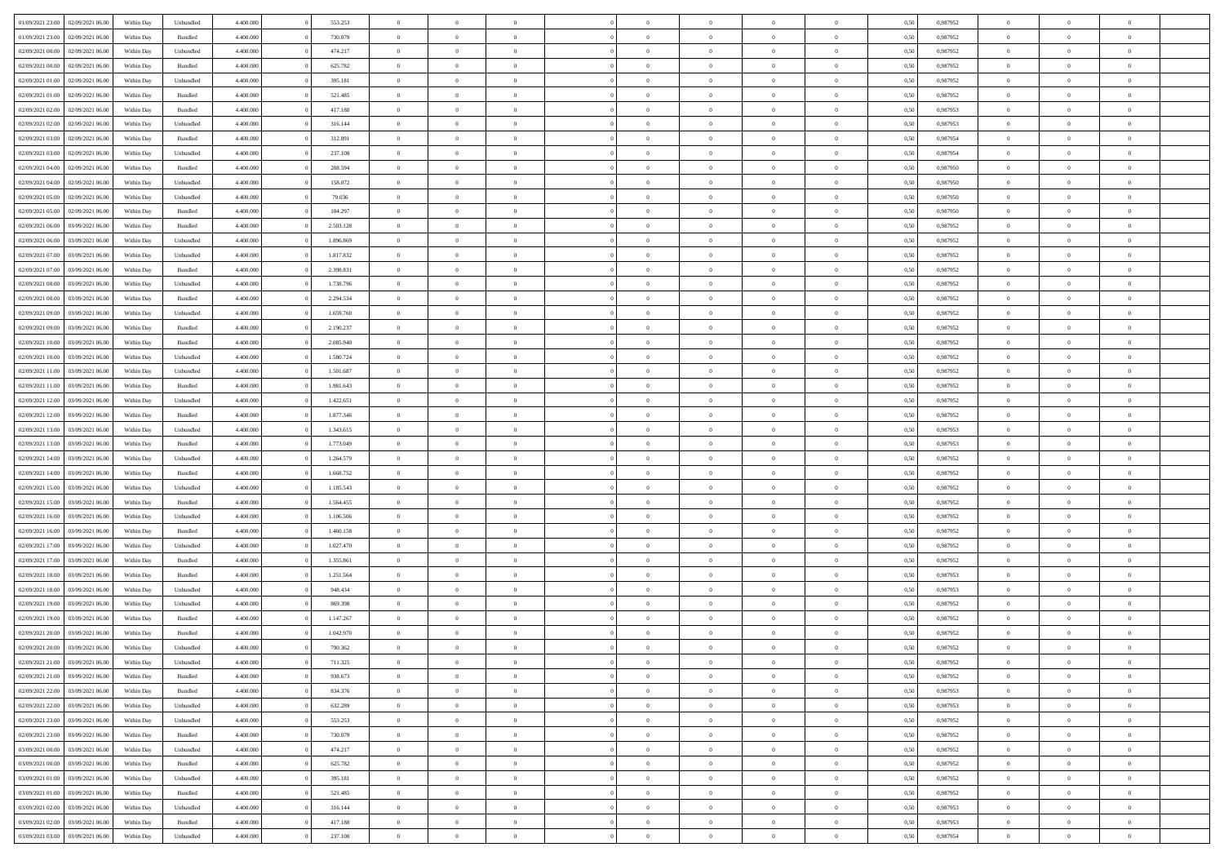| 01/09/2021 23:00                  | 02/09/2021 06:00 | Within Day | Unbundled | 4.400.000 | 553.253   | $\overline{0}$ | $\theta$       |                | $\Omega$       | $\Omega$       | $\theta$       | $\theta$       | 0,50 | 0,987952 | $\theta$       | $\overline{0}$ | $\theta$       |  |
|-----------------------------------|------------------|------------|-----------|-----------|-----------|----------------|----------------|----------------|----------------|----------------|----------------|----------------|------|----------|----------------|----------------|----------------|--|
| 01/09/2021 23:00                  | 02/09/2021 06:00 | Within Day | Bundled   | 4.400.000 | 730.079   | $\overline{0}$ | $\theta$       | $\overline{0}$ | $\overline{0}$ | $\bf{0}$       | $\overline{0}$ | $\bf{0}$       | 0,50 | 0,987952 | $\theta$       | $\overline{0}$ | $\overline{0}$ |  |
| 02/09/2021 00:00                  | 02/09/2021 06:00 | Within Day | Unbundled | 4.400.000 | 474.217   | $\overline{0}$ | $\overline{0}$ | $\overline{0}$ | $\bf{0}$       | $\bf{0}$       | $\bf{0}$       | $\mathbf{0}$   | 0,50 | 0,987952 | $\overline{0}$ | $\overline{0}$ | $\bf{0}$       |  |
| 02/09/2021 00:00                  | 02/09/2021 06:00 | Within Dav | Bundled   | 4.400.000 | 625.782   | $\overline{0}$ | $\overline{0}$ | $\overline{0}$ | $\overline{0}$ | $\bf{0}$       | $\overline{0}$ | $\overline{0}$ | 0.50 | 0,987952 | $\theta$       | $\theta$       | $\overline{0}$ |  |
| 02/09/2021 01:00                  | 02/09/2021 06:00 | Within Day | Unbundled | 4.400.000 | 395.181   | $\overline{0}$ | $\theta$       | $\overline{0}$ | $\overline{0}$ | $\bf{0}$       | $\overline{0}$ | $\bf{0}$       | 0,50 | 0,987952 | $\theta$       | $\overline{0}$ | $\overline{0}$ |  |
|                                   |                  |            |           |           |           |                |                |                |                |                |                |                |      |          |                |                |                |  |
| 02/09/2021 01:00                  | 02/09/2021 06:00 | Within Day | Bundled   | 4.400.000 | 521.485   | $\overline{0}$ | $\overline{0}$ | $\overline{0}$ | $\bf{0}$       | $\overline{0}$ | $\overline{0}$ | $\mathbf{0}$   | 0,50 | 0,987952 | $\overline{0}$ | $\overline{0}$ | $\bf{0}$       |  |
| 02/09/2021 02:00                  | 02/09/2021 06:00 | Within Dav | Bundled   | 4.400.000 | 417.188   | $\overline{0}$ | $\overline{0}$ | $\overline{0}$ | $\overline{0}$ | $\overline{0}$ | $\overline{0}$ | $\overline{0}$ | 0.50 | 0,987953 | $\theta$       | $\overline{0}$ | $\overline{0}$ |  |
| 02/09/2021 02:00                  | 02/09/2021 06:00 | Within Day | Unbundled | 4.400.000 | 316.144   | $\overline{0}$ | $\theta$       | $\overline{0}$ | $\overline{0}$ | $\bf{0}$       | $\overline{0}$ | $\bf{0}$       | 0,50 | 0,987953 | $\theta$       | $\theta$       | $\overline{0}$ |  |
| 02/09/2021 03:00                  | 02/09/2021 06:00 | Within Day | Bundled   | 4.400.000 | 312.891   | $\overline{0}$ | $\overline{0}$ | $\overline{0}$ | $\bf{0}$       | $\bf{0}$       | $\bf{0}$       | $\bf{0}$       | 0,50 | 0,987954 | $\,0\,$        | $\overline{0}$ | $\overline{0}$ |  |
| 02/09/2021 03:00                  | 02/09/2021 06:00 | Within Dav | Unbundled | 4.400.000 | 237.108   | $\overline{0}$ | $\overline{0}$ | $\overline{0}$ | $\overline{0}$ | $\overline{0}$ | $\overline{0}$ | $\overline{0}$ | 0.50 | 0,987954 | $\theta$       | $\overline{0}$ | $\overline{0}$ |  |
| 02/09/2021 04:00                  | 02/09/2021 06:00 |            | Bundled   | 4.400.000 | 208.594   | $\overline{0}$ | $\theta$       | $\overline{0}$ | $\overline{0}$ | $\bf{0}$       | $\overline{0}$ |                |      | 0,987950 | $\,$ 0 $\,$    | $\overline{0}$ | $\overline{0}$ |  |
|                                   |                  | Within Day |           |           |           |                |                |                |                |                |                | $\bf{0}$       | 0,50 |          |                |                |                |  |
| 02/09/2021 04:00                  | 02/09/2021 06:00 | Within Day | Unbundled | 4.400.000 | 158.072   | $\overline{0}$ | $\overline{0}$ | $\overline{0}$ | $\bf{0}$       | $\bf{0}$       | $\bf{0}$       | $\mathbf{0}$   | 0,50 | 0,987950 | $\overline{0}$ | $\overline{0}$ | $\bf{0}$       |  |
| 02/09/2021 05:00                  | 02/09/2021 06:00 | Within Day | Unbundled | 4.400.000 | 79.036    | $\overline{0}$ | $\overline{0}$ | $\overline{0}$ | $\overline{0}$ | $\overline{0}$ | $\overline{0}$ | $\overline{0}$ | 0.50 | 0,987950 | $\theta$       | $\theta$       | $\overline{0}$ |  |
| 02/09/2021 05:00                  | 02/09/2021 06.00 | Within Day | Bundled   | 4.400.000 | 104.297   | $\overline{0}$ | $\theta$       | $\overline{0}$ | $\overline{0}$ | $\bf{0}$       | $\overline{0}$ | $\bf{0}$       | 0,50 | 0,987950 | $\theta$       | $\overline{0}$ | $\overline{0}$ |  |
| 02/09/2021 06:00                  | 03/09/2021 06:00 | Within Day | Bundled   | 4.400.000 | 2.503.128 | $\overline{0}$ | $\overline{0}$ | $\overline{0}$ | $\bf{0}$       | $\overline{0}$ | $\overline{0}$ | $\mathbf{0}$   | 0,50 | 0,987952 | $\overline{0}$ | $\overline{0}$ | $\bf{0}$       |  |
| 02/09/2021 06:00                  | 03/09/2021 06:00 | Within Dav | Unbundled | 4.400.000 | 1.896.869 | $\overline{0}$ | $\overline{0}$ | $\overline{0}$ | $\overline{0}$ | $\overline{0}$ | $\overline{0}$ | $\overline{0}$ | 0.50 | 0,987952 | $\theta$       | $\overline{0}$ | $\overline{0}$ |  |
| 02/09/2021 07:00                  | 03/09/2021 06:00 | Within Day | Unbundled | 4.400.000 | 1.817.832 | $\overline{0}$ | $\theta$       | $\overline{0}$ | $\overline{0}$ | $\bf{0}$       | $\overline{0}$ | $\bf{0}$       | 0,50 | 0,987952 | $\theta$       | $\theta$       | $\overline{0}$ |  |
|                                   |                  |            |           |           |           |                |                |                |                |                |                |                |      |          |                |                |                |  |
| 02/09/2021 07:00                  | 03/09/2021 06:00 | Within Day | Bundled   | 4.400.000 | 2.398.831 | $\overline{0}$ | $\overline{0}$ | $\overline{0}$ | $\bf{0}$       | $\bf{0}$       | $\bf{0}$       | $\bf{0}$       | 0,50 | 0,987952 | $\,0\,$        | $\overline{0}$ | $\bf{0}$       |  |
| 02/09/2021 08:00                  | 03/09/2021 06:00 | Within Dav | Unbundled | 4.400.000 | 1.738.796 | $\overline{0}$ | $\overline{0}$ | $\overline{0}$ | $\overline{0}$ | $\overline{0}$ | $\overline{0}$ | $\overline{0}$ | 0.50 | 0,987952 | $\theta$       | $\overline{0}$ | $\overline{0}$ |  |
| 02/09/2021 08:00                  | 03/09/2021 06:00 | Within Day | Bundled   | 4.400.000 | 2.294.534 | $\overline{0}$ | $\theta$       | $\overline{0}$ | $\overline{0}$ | $\bf{0}$       | $\overline{0}$ | $\bf{0}$       | 0,50 | 0,987952 | $\,$ 0 $\,$    | $\overline{0}$ | $\overline{0}$ |  |
| 02/09/2021 09:00                  | 03/09/2021 06:00 | Within Day | Unbundled | 4.400.000 | 1.659.760 | $\overline{0}$ | $\overline{0}$ | $\overline{0}$ | $\bf{0}$       | $\bf{0}$       | $\bf{0}$       | $\bf{0}$       | 0,50 | 0,987952 | $\bf{0}$       | $\overline{0}$ | $\bf{0}$       |  |
| 02/09/2021 09:00                  | 03/09/2021 06:00 | Within Day | Bundled   | 4.400.000 | 2.190.237 | $\overline{0}$ | $\overline{0}$ | $\overline{0}$ | $\overline{0}$ | $\overline{0}$ | $\overline{0}$ | $\overline{0}$ | 0.50 | 0,987952 | $\theta$       | $\overline{0}$ | $\overline{0}$ |  |
| 02/09/2021 10:00                  | 03/09/2021 06:00 | Within Day | Bundled   | 4.400.000 | 2.085.940 | $\overline{0}$ | $\theta$       | $\overline{0}$ | $\overline{0}$ | $\bf{0}$       | $\overline{0}$ | $\bf{0}$       | 0,50 | 0,987952 | $\,$ 0 $\,$    | $\overline{0}$ | $\overline{0}$ |  |
| 02/09/2021 10:00                  | 03/09/2021 06:00 | Within Day | Unbundled | 4.400.000 | 1.580.724 | $\overline{0}$ | $\overline{0}$ | $\overline{0}$ | $\bf{0}$       | $\overline{0}$ | $\overline{0}$ | $\mathbf{0}$   | 0,50 | 0,987952 | $\bf{0}$       | $\overline{0}$ | $\bf{0}$       |  |
| 02/09/2021 11:00                  | 03/09/2021 06:00 | Within Dav | Unbundled | 4.400.000 | 1.501.687 | $\overline{0}$ | $\overline{0}$ | $\overline{0}$ |                | $\overline{0}$ | $\overline{0}$ | $\overline{0}$ | 0.50 | 0,987952 | $\theta$       | $\overline{0}$ | $\overline{0}$ |  |
|                                   |                  |            |           |           |           |                |                |                | $\overline{0}$ |                |                |                |      |          |                |                |                |  |
| 02/09/2021 11:00                  | 03/09/2021 06:00 | Within Day | Bundled   | 4.400.000 | 1.981.643 | $\overline{0}$ | $\theta$       | $\overline{0}$ | $\overline{0}$ | $\bf{0}$       | $\overline{0}$ | $\bf{0}$       | 0,50 | 0,987952 | $\theta$       | $\theta$       | $\overline{0}$ |  |
| 02/09/2021 12:00                  | 03/09/2021 06:00 | Within Day | Unbundled | 4.400.000 | 1.422.651 | $\overline{0}$ | $\overline{0}$ | $\overline{0}$ | $\bf{0}$       | $\bf{0}$       | $\bf{0}$       | $\bf{0}$       | 0,50 | 0,987952 | $\,0\,$        | $\overline{0}$ | $\overline{0}$ |  |
| 02/09/2021 12:00                  | 03/09/2021 06:00 | Within Day | Bundled   | 4.400.000 | 1.877.346 | $\overline{0}$ | $\overline{0}$ | $\overline{0}$ | $\overline{0}$ | $\overline{0}$ | $\overline{0}$ | $\overline{0}$ | 0.50 | 0,987952 | $\theta$       | $\overline{0}$ | $\overline{0}$ |  |
| 02/09/2021 13:00                  | 03/09/2021 06:00 | Within Day | Unbundled | 4.400.000 | 1.343.615 | $\overline{0}$ | $\theta$       | $\overline{0}$ | $\overline{0}$ | $\bf{0}$       | $\overline{0}$ | $\bf{0}$       | 0,50 | 0,987953 | $\,$ 0 $\,$    | $\overline{0}$ | $\overline{0}$ |  |
| 02/09/2021 13:00                  | 03/09/2021 06:00 | Within Day | Bundled   | 4.400.000 | 1.773.049 | $\overline{0}$ | $\bf{0}$       | $\overline{0}$ | $\bf{0}$       | $\bf{0}$       | $\bf{0}$       | $\bf{0}$       | 0,50 | 0,987953 | $\bf{0}$       | $\overline{0}$ | $\bf{0}$       |  |
| 02/09/2021 14:00                  | 03/09/2021 06:00 | Within Day | Unbundled | 4.400,000 | 1.264.579 | $\overline{0}$ | $\Omega$       | $\Omega$       | $\Omega$       | $\Omega$       | $\Omega$       | $\overline{0}$ | 0,50 | 0,987952 | $\,0\,$        | $\theta$       | $\theta$       |  |
|                                   |                  |            |           |           |           | $\overline{0}$ | $\theta$       |                |                |                |                |                |      |          | $\theta$       |                |                |  |
| 02/09/2021 14:00                  | 03/09/2021 06:00 | Within Day | Bundled   | 4.400.000 | 1.668.752 |                |                | $\overline{0}$ | $\overline{0}$ | $\bf{0}$       | $\overline{0}$ | $\bf{0}$       | 0,50 | 0,987952 |                | $\overline{0}$ | $\overline{0}$ |  |
| 02/09/2021 15:00                  | 03/09/2021 06:00 | Within Day | Unbundled | 4.400.000 | 1.185.543 | $\overline{0}$ | $\overline{0}$ | $\overline{0}$ | $\bf{0}$       | $\overline{0}$ | $\overline{0}$ | $\mathbf{0}$   | 0,50 | 0,987952 | $\bf{0}$       | $\overline{0}$ | $\bf{0}$       |  |
| 02/09/2021 15:00                  | 03/09/2021 06:00 | Within Day | Bundled   | 4.400,000 | 1.564.455 | $\overline{0}$ | $\Omega$       | $\Omega$       | $\Omega$       | $\bf{0}$       | $\overline{0}$ | $\overline{0}$ | 0.50 | 0,987952 | $\,0\,$        | $\theta$       | $\theta$       |  |
| 02/09/2021 16:00                  | 03/09/2021 06:00 | Within Day | Unbundled | 4.400.000 | 1.106.506 | $\overline{0}$ | $\theta$       | $\overline{0}$ | $\overline{0}$ | $\bf{0}$       | $\overline{0}$ | $\bf{0}$       | 0,50 | 0,987952 | $\theta$       | $\overline{0}$ | $\overline{0}$ |  |
| 02/09/2021 16:00                  | 03/09/2021 06:00 | Within Day | Bundled   | 4.400.000 | 1.460.158 | $\overline{0}$ | $\overline{0}$ | $\overline{0}$ | $\bf{0}$       | $\bf{0}$       | $\bf{0}$       | $\bf{0}$       | 0,50 | 0,987952 | $\bf{0}$       | $\overline{0}$ | $\bf{0}$       |  |
| 02/09/2021 17:00                  | 03/09/2021 06:00 | Within Day | Unbundled | 4.400,000 | 1.027.470 | $\overline{0}$ | $\Omega$       | $\Omega$       | $\Omega$       | $\theta$       | $\overline{0}$ | $\overline{0}$ | 0.50 | 0.987952 | $\theta$       | $\theta$       | $\theta$       |  |
| 02/09/2021 17:00                  | 03/09/2021 06:00 | Within Day | Bundled   | 4.400.000 | 1.355.861 | $\overline{0}$ | $\overline{0}$ | $\overline{0}$ | $\overline{0}$ | $\bf{0}$       | $\overline{0}$ | $\bf{0}$       | 0,50 | 0,987952 | $\,$ 0 $\,$    | $\overline{0}$ | $\overline{0}$ |  |
|                                   |                  |            |           |           |           |                |                |                |                |                |                |                |      |          |                |                |                |  |
| 02/09/2021 18:00                  | 03/09/2021 06:00 | Within Day | Bundled   | 4.400.000 | 1.251.564 | $\overline{0}$ | $\bf{0}$       | $\overline{0}$ | $\bf{0}$       | $\bf{0}$       | $\bf{0}$       | $\mathbf{0}$   | 0,50 | 0,987953 | $\bf{0}$       | $\overline{0}$ | $\bf{0}$       |  |
| 02/09/2021 18:00                  | 03/09/2021 06:00 | Within Day | Unbundled | 4.400,000 | 948,434   | $\overline{0}$ | $\Omega$       | $\Omega$       | $\Omega$       | $\overline{0}$ | $\overline{0}$ | $\overline{0}$ | 0,50 | 0,987953 | $\,0\,$        | $\theta$       | $\theta$       |  |
| 02/09/2021 19:00                  | 03/09/2021 06:00 | Within Day | Unbundled | 4.400.000 | 869.398   | $\overline{0}$ | $\overline{0}$ | $\overline{0}$ | $\overline{0}$ | $\bf{0}$       | $\overline{0}$ | $\bf{0}$       | 0,50 | 0,987952 | $\,$ 0 $\,$    | $\overline{0}$ | $\overline{0}$ |  |
| 02/09/2021 19:00                  | 03/09/2021 06:00 | Within Day | Bundled   | 4.400.000 | 1.147.267 | $\overline{0}$ | $\overline{0}$ | $\overline{0}$ | $\bf{0}$       | $\bf{0}$       | $\overline{0}$ | $\mathbf{0}$   | 0,50 | 0,987952 | $\bf{0}$       | $\overline{0}$ | $\bf{0}$       |  |
| 02/09/2021 20:00                  | 03/09/2021 06:00 | Within Day | Bundled   | 4.400,000 | 1.042.970 | $\overline{0}$ | $\Omega$       | $\Omega$       | $\Omega$       | $\Omega$       | $\Omega$       | $\overline{0}$ | 0.50 | 0.987952 | $\theta$       | $\theta$       | $\theta$       |  |
| 02/09/2021 20:00                  | 03/09/2021 06:00 | Within Day | Unbundled | 4.400.000 | 790.362   | $\overline{0}$ | $\overline{0}$ | $\overline{0}$ | $\bf{0}$       | $\,$ 0         | $\bf{0}$       | $\bf{0}$       | 0,50 | 0,987952 | $\,0\,$        | $\,0\,$        | $\overline{0}$ |  |
| 02/09/2021 21:00 03/09/2021 06:00 |                  | Within Day | Unbundled | 4.400.000 | 711.325   | $\bf{0}$       | $\bf{0}$       |                |                | $\bf{0}$       |                |                | 0,50 | 0,987952 | $\bf{0}$       | $\overline{0}$ |                |  |
| 02/09/2021 21:00                  | 03/09/2021 06:00 | Within Day | Bundled   | 4.400.000 | 938.673   | $\overline{0}$ | $\overline{0}$ | $\overline{0}$ | $\Omega$       | $\overline{0}$ | $\overline{0}$ | $\overline{0}$ | 0.50 | 0.987952 | $\theta$       | $\theta$       | $\theta$       |  |
|                                   |                  |            |           |           |           |                | $\bf{0}$       |                |                | $\,$ 0 $\,$    |                |                |      |          | $\,$ 0 $\,$    | $\,$ 0 $\,$    | $\,$ 0         |  |
| 02/09/2021 22.00                  | 03/09/2021 06:00 | Within Day | Bundled   | 4.400.000 | 834.376   | $\overline{0}$ |                | $\overline{0}$ | $\bf{0}$       |                | $\overline{0}$ | $\,$ 0 $\,$    | 0,50 | 0,987953 |                |                |                |  |
| 02/09/2021 22:00                  | 03/09/2021 06:00 | Within Day | Unbundled | 4.400.000 | 632.289   | $\overline{0}$ | $\overline{0}$ | $\overline{0}$ | $\overline{0}$ | $\overline{0}$ | $\overline{0}$ | $\mathbf{0}$   | 0,50 | 0,987953 | $\overline{0}$ | $\overline{0}$ | $\overline{0}$ |  |
| 02/09/2021 23:00                  | 03/09/2021 06:00 | Within Day | Unbundled | 4.400,000 | 553.253   | $\overline{0}$ | $\overline{0}$ | $\overline{0}$ | $\Omega$       | $\overline{0}$ | $\overline{0}$ | $\overline{0}$ | 0,50 | 0,987952 | $\overline{0}$ | $\theta$       | $\overline{0}$ |  |
| 02/09/2021 23:00                  | 03/09/2021 06:00 | Within Day | Bundled   | 4.400.000 | 730.079   | $\overline{0}$ | $\,$ 0         | $\overline{0}$ | $\bf{0}$       | $\,$ 0 $\,$    | $\overline{0}$ | $\mathbf{0}$   | 0,50 | 0,987952 | $\,$ 0 $\,$    | $\overline{0}$ | $\,$ 0         |  |
| 03/09/2021 00:00                  | 03/09/2021 06:00 | Within Day | Unbundled | 4.400.000 | 474.217   | $\overline{0}$ | $\overline{0}$ | $\overline{0}$ | $\overline{0}$ | $\overline{0}$ | $\overline{0}$ | $\mathbf{0}$   | 0,50 | 0,987952 | $\overline{0}$ | $\overline{0}$ | $\overline{0}$ |  |
| 03/09/2021 00:00                  | 03/09/2021 06:00 | Within Day | Bundled   | 4.400,000 | 625.782   | $\overline{0}$ | $\overline{0}$ | $\overline{0}$ | $\overline{0}$ | $\overline{0}$ | $\overline{0}$ | $\overline{0}$ | 0.50 | 0,987952 | $\overline{0}$ | $\theta$       | $\overline{0}$ |  |
| 03/09/2021 01:00                  | 03/09/2021 06:00 | Within Day | Unbundled | 4.400.000 | 395.181   | $\overline{0}$ | $\,$ 0         | $\overline{0}$ | $\bf{0}$       | $\bf{0}$       | $\bf{0}$       | $\bf{0}$       | 0,50 | 0,987952 | $\,$ 0 $\,$    | $\overline{0}$ | $\overline{0}$ |  |
|                                   |                  |            |           |           |           |                |                |                |                |                |                |                |      |          |                |                |                |  |
| 03/09/2021 01:00                  | 03/09/2021 06:00 | Within Day | Bundled   | 4.400.000 | 521.485   | $\overline{0}$ | $\bf{0}$       | $\overline{0}$ | $\overline{0}$ | $\overline{0}$ | $\overline{0}$ | $\mathbf{0}$   | 0,50 | 0,987952 | $\overline{0}$ | $\overline{0}$ | $\bf{0}$       |  |
| 03/09/2021 02:00                  | 03/09/2021 06:00 | Within Day | Unbundled | 4.400,000 | 316.144   | $\overline{0}$ | $\overline{0}$ | $\overline{0}$ | $\Omega$       | $\overline{0}$ | $\overline{0}$ | $\overline{0}$ | 0.50 | 0,987953 | $\overline{0}$ | $\overline{0}$ | $\overline{0}$ |  |
| 03/09/2021 02:00                  | 03/09/2021 06:00 | Within Day | Bundled   | 4.400.000 | 417.188   | $\overline{0}$ | $\bf{0}$       | $\overline{0}$ | $\overline{0}$ | $\bf{0}$       | $\bf{0}$       | $\mathbf{0}$   | 0,50 | 0,987953 | $\,$ 0 $\,$    | $\,$ 0 $\,$    | $\bf{0}$       |  |
| 03/09/2021 03:00                  | 03/09/2021 06:00 | Within Day | Unbundled | 4.400.000 | 237.108   | $\overline{0}$ | $\bf{0}$       | $\overline{0}$ | $\overline{0}$ | $\bf{0}$       | $\bf{0}$       | $\bf{0}$       | 0,50 | 0,987954 | $\overline{0}$ | $\overline{0}$ | $\bf{0}$       |  |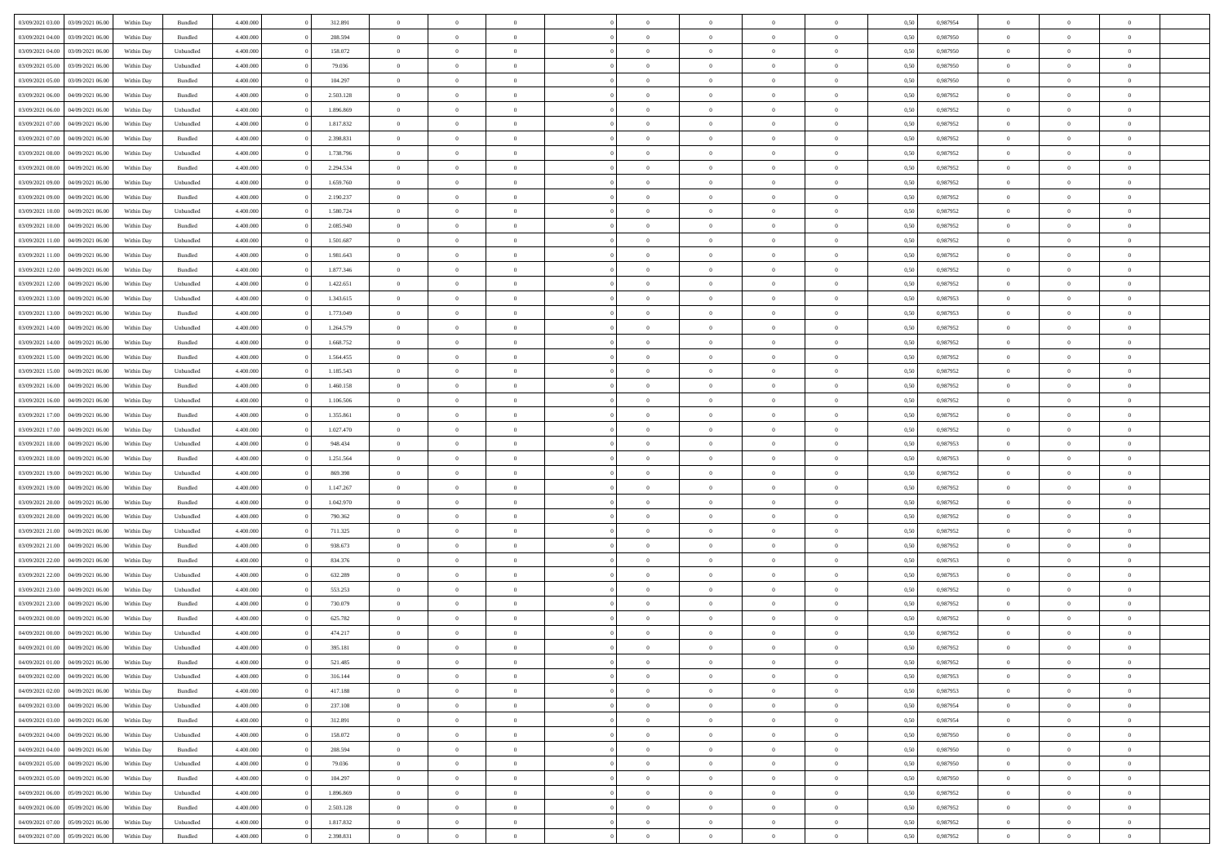| 03/09/2021 03:00                  | 03/09/2021 06:00 | Within Day | Bundled            | 4.400.000 | 312.891   | $\overline{0}$ | $\Omega$       |                | $\Omega$       | $\Omega$       | $\theta$       | $\theta$       | 0.50 | 0.987954 | $\theta$       | $\theta$       | $\theta$       |  |
|-----------------------------------|------------------|------------|--------------------|-----------|-----------|----------------|----------------|----------------|----------------|----------------|----------------|----------------|------|----------|----------------|----------------|----------------|--|
|                                   |                  |            |                    |           |           |                |                |                |                |                |                |                |      |          |                |                |                |  |
| 03/09/2021 04:00                  | 03/09/2021 06.00 | Within Day | Bundled            | 4.400.000 | 208.594   | $\overline{0}$ | $\theta$       | $\overline{0}$ | $\overline{0}$ | $\bf{0}$       | $\overline{0}$ | $\bf{0}$       | 0,50 | 0,987950 | $\theta$       | $\theta$       | $\overline{0}$ |  |
| 03/09/2021 04:00                  | 03/09/2021 06:00 | Within Day | Unbundled          | 4.400.000 | 158.072   | $\overline{0}$ | $\overline{0}$ | $\overline{0}$ | $\bf{0}$       | $\bf{0}$       | $\bf{0}$       | $\bf{0}$       | 0,50 | 0,987950 | $\overline{0}$ | $\overline{0}$ | $\overline{0}$ |  |
| 03/09/2021 05:00                  | 03/09/2021 06:00 | Within Dav | Unbundled          | 4.400.000 | 79.036    | $\overline{0}$ | $\overline{0}$ | $\overline{0}$ | $\overline{0}$ | $\bf{0}$       | $\overline{0}$ | $\overline{0}$ | 0.50 | 0,987950 | $\theta$       | $\theta$       | $\overline{0}$ |  |
| 03/09/2021 05:00                  | 03/09/2021 06.00 | Within Day | Bundled            | 4.400.000 | 104.297   | $\overline{0}$ | $\theta$       | $\overline{0}$ | $\overline{0}$ | $\bf{0}$       | $\overline{0}$ | $\bf{0}$       | 0,50 | 0,987950 | $\theta$       | $\theta$       | $\overline{0}$ |  |
|                                   |                  |            |                    |           |           |                |                |                |                |                |                |                |      |          |                |                |                |  |
| 03/09/2021 06:00                  | 04/09/2021 06.00 | Within Day | Bundled            | 4.400.000 | 2.503.128 | $\overline{0}$ | $\bf{0}$       | $\overline{0}$ | $\bf{0}$       | $\overline{0}$ | $\overline{0}$ | $\mathbf{0}$   | 0,50 | 0,987952 | $\bf{0}$       | $\overline{0}$ | $\bf{0}$       |  |
| 03/09/2021 06:00                  | 04/09/2021 06:00 | Within Dav | Unbundled          | 4.400.000 | 1.896.869 | $\overline{0}$ | $\overline{0}$ | $\overline{0}$ | $\overline{0}$ | $\overline{0}$ | $\overline{0}$ | $\overline{0}$ | 0.50 | 0,987952 | $\theta$       | $\overline{0}$ | $\overline{0}$ |  |
| 03/09/2021 07:00                  | 04/09/2021 06.00 | Within Day | Unbundled          | 4.400.000 | 1.817.832 | $\overline{0}$ | $\theta$       | $\overline{0}$ | $\overline{0}$ | $\bf{0}$       | $\overline{0}$ | $\bf{0}$       | 0,50 | 0,987952 | $\theta$       | $\theta$       | $\overline{0}$ |  |
| 03/09/2021 07:00                  | 04/09/2021 06.00 | Within Day | Bundled            | 4.400.000 | 2.398.831 | $\overline{0}$ | $\overline{0}$ | $\overline{0}$ | $\bf{0}$       | $\bf{0}$       | $\bf{0}$       | $\bf{0}$       | 0,50 | 0,987952 | $\,0\,$        | $\overline{0}$ | $\overline{0}$ |  |
| 03/09/2021 08:00                  | 04/09/2021 06:00 | Within Dav | Unbundled          | 4.400.000 | 1.738.796 | $\overline{0}$ | $\overline{0}$ | $\overline{0}$ | $\overline{0}$ | $\overline{0}$ | $\overline{0}$ | $\overline{0}$ | 0.50 | 0,987952 | $\theta$       | $\overline{0}$ | $\overline{0}$ |  |
| 03/09/2021 08:00                  | 04/09/2021 06.00 | Within Day | Bundled            | 4.400.000 | 2.294.534 | $\overline{0}$ | $\theta$       | $\overline{0}$ | $\overline{0}$ | $\bf{0}$       | $\overline{0}$ | $\bf{0}$       | 0,50 | 0,987952 | $\,$ 0 $\,$    | $\theta$       | $\overline{0}$ |  |
|                                   |                  |            |                    |           |           |                |                |                |                |                |                |                |      |          |                |                |                |  |
| 03/09/2021 09:00                  | 04/09/2021 06.00 | Within Day | Unbundled          | 4.400.000 | 1.659.760 | $\overline{0}$ | $\overline{0}$ | $\overline{0}$ | $\bf{0}$       | $\bf{0}$       | $\bf{0}$       | $\bf{0}$       | 0,50 | 0,987952 | $\bf{0}$       | $\overline{0}$ | $\overline{0}$ |  |
| 03/09/2021 09:00                  | 04/09/2021 06:00 | Within Dav | Bundled            | 4.400.000 | 2.190.237 | $\overline{0}$ | $\overline{0}$ | $\overline{0}$ | $\overline{0}$ | $\bf{0}$       | $\overline{0}$ | $\overline{0}$ | 0.50 | 0,987952 | $\theta$       | $\theta$       | $\overline{0}$ |  |
| 03/09/2021 10:00                  | 04/09/2021 06.00 | Within Day | Unbundled          | 4.400.000 | 1.580.724 | $\overline{0}$ | $\theta$       | $\overline{0}$ | $\overline{0}$ | $\bf{0}$       | $\overline{0}$ | $\overline{0}$ | 0,50 | 0,987952 | $\theta$       | $\theta$       | $\overline{0}$ |  |
| 03/09/2021 10:00                  | 04/09/2021 06.00 | Within Day | Bundled            | 4.400.000 | 2.085.940 | $\overline{0}$ | $\bf{0}$       | $\overline{0}$ | $\bf{0}$       | $\overline{0}$ | $\overline{0}$ | $\mathbf{0}$   | 0,50 | 0,987952 | $\bf{0}$       | $\overline{0}$ | $\bf{0}$       |  |
| 03/09/2021 11:00                  | 04/09/2021 06:00 | Within Dav | Unbundled          | 4.400.000 | 1.501.687 | $\overline{0}$ | $\overline{0}$ | $\overline{0}$ | $\overline{0}$ | $\overline{0}$ | $\overline{0}$ | $\overline{0}$ | 0.50 | 0,987952 | $\theta$       | $\overline{0}$ | $\overline{0}$ |  |
| 03/09/2021 11:00                  | 04/09/2021 06.00 | Within Day | Bundled            | 4.400.000 | 1.981.643 | $\overline{0}$ | $\theta$       | $\overline{0}$ | $\overline{0}$ | $\bf{0}$       | $\overline{0}$ | $\bf{0}$       | 0,50 | 0,987952 | $\theta$       | $\theta$       | $\overline{0}$ |  |
| 03/09/2021 12:00                  | 04/09/2021 06.00 | Within Day | Bundled            | 4.400.000 | 1.877.346 | $\overline{0}$ | $\overline{0}$ | $\overline{0}$ | $\bf{0}$       | $\bf{0}$       | $\bf{0}$       | $\bf{0}$       | 0,50 | 0,987952 | $\,0\,$        | $\overline{0}$ | $\overline{0}$ |  |
| 03/09/2021 12:00                  | 04/09/2021 06:00 | Within Day | Unbundled          | 4.400.000 | 1.422.651 | $\overline{0}$ | $\overline{0}$ | $\overline{0}$ | $\overline{0}$ | $\overline{0}$ | $\overline{0}$ | $\overline{0}$ | 0.50 | 0,987952 | $\theta$       | $\overline{0}$ | $\overline{0}$ |  |
|                                   |                  |            |                    |           |           |                |                |                |                |                |                |                |      |          |                |                |                |  |
| 03/09/2021 13:00                  | 04/09/2021 06.00 | Within Day | Unbundled          | 4.400.000 | 1.343.615 | $\overline{0}$ | $\theta$       | $\overline{0}$ | $\overline{0}$ | $\bf{0}$       | $\overline{0}$ | $\bf{0}$       | 0,50 | 0,987953 | $\theta$       | $\theta$       | $\overline{0}$ |  |
| 03/09/2021 13:00                  | 04/09/2021 06:00 | Within Day | Bundled            | 4.400.000 | 1.773.049 | $\overline{0}$ | $\overline{0}$ | $\overline{0}$ | $\bf{0}$       | $\bf{0}$       | $\bf{0}$       | $\bf{0}$       | 0,50 | 0,987953 | $\,0\,$        | $\overline{0}$ | $\overline{0}$ |  |
| 03/09/2021 14:00                  | 04/09/2021 06:00 | Within Day | Unbundled          | 4.400.000 | 1.264.579 | $\overline{0}$ | $\overline{0}$ | $\overline{0}$ | $\overline{0}$ | $\bf{0}$       | $\overline{0}$ | $\overline{0}$ | 0.50 | 0,987952 | $\theta$       | $\overline{0}$ | $\overline{0}$ |  |
| 03/09/2021 14:00                  | 04/09/2021 06.00 | Within Day | Bundled            | 4.400.000 | 1.668.752 | $\overline{0}$ | $\theta$       | $\overline{0}$ | $\overline{0}$ | $\bf{0}$       | $\overline{0}$ | $\bf{0}$       | 0,50 | 0,987952 | $\theta$       | $\overline{0}$ | $\overline{0}$ |  |
| 03/09/2021 15:00                  | 04/09/2021 06.00 | Within Day | Bundled            | 4.400.000 | 1.564.455 | $\overline{0}$ | $\bf{0}$       | $\overline{0}$ | $\bf{0}$       | $\overline{0}$ | $\overline{0}$ | $\mathbf{0}$   | 0,50 | 0,987952 | $\overline{0}$ | $\overline{0}$ | $\bf{0}$       |  |
| 03/09/2021 15:00                  | 04/09/2021 06:00 | Within Dav | Unbundled          | 4.400.000 | 1.185.543 | $\overline{0}$ | $\overline{0}$ | $\overline{0}$ | $\overline{0}$ | $\overline{0}$ | $\overline{0}$ | $\overline{0}$ | 0.50 | 0,987952 | $\theta$       | $\overline{0}$ | $\overline{0}$ |  |
| 03/09/2021 16:00                  | 04/09/2021 06.00 | Within Day | Bundled            | 4.400.000 | 1.460.158 | $\overline{0}$ | $\theta$       | $\overline{0}$ | $\overline{0}$ | $\bf{0}$       | $\overline{0}$ | $\bf{0}$       | 0,50 | 0,987952 | $\theta$       | $\theta$       | $\overline{0}$ |  |
|                                   |                  |            |                    |           |           |                |                |                |                |                |                |                |      |          |                |                |                |  |
| 03/09/2021 16:00                  | 04/09/2021 06.00 | Within Day | Unbundled          | 4.400.000 | 1.106.506 | $\overline{0}$ | $\overline{0}$ | $\overline{0}$ | $\bf{0}$       | $\bf{0}$       | $\bf{0}$       | $\bf{0}$       | 0,50 | 0,987952 | $\,0\,$        | $\overline{0}$ | $\overline{0}$ |  |
| 03/09/2021 17:00                  | 04/09/2021 06:00 | Within Day | Bundled            | 4.400.000 | 1.355.861 | $\overline{0}$ | $\overline{0}$ | $\overline{0}$ | $\overline{0}$ | $\overline{0}$ | $\overline{0}$ | $\overline{0}$ | 0.50 | 0,987952 | $\theta$       | $\overline{0}$ | $\overline{0}$ |  |
| 03/09/2021 17:00                  | 04/09/2021 06.00 | Within Day | Unbundled          | 4.400.000 | 1.027.470 | $\overline{0}$ | $\theta$       | $\overline{0}$ | $\overline{0}$ | $\bf{0}$       | $\overline{0}$ | $\bf{0}$       | 0,50 | 0,987952 | $\,$ 0 $\,$    | $\overline{0}$ | $\overline{0}$ |  |
| 03/09/2021 18:00                  | 04/09/2021 06:00 | Within Day | Unbundled          | 4.400.000 | 948.434   | $\overline{0}$ | $\overline{0}$ | $\overline{0}$ | $\bf{0}$       | $\bf{0}$       | $\bf{0}$       | $\bf{0}$       | 0,50 | 0,987953 | $\bf{0}$       | $\overline{0}$ | $\overline{0}$ |  |
| 03/09/2021 18:00                  | 04/09/2021 06.00 | Within Day | Bundled            | 4.400,000 | 1.251.564 | $\overline{0}$ | $\Omega$       | $\Omega$       | $\Omega$       | $\Omega$       | $\Omega$       | $\overline{0}$ | 0.50 | 0,987953 | $\,0\,$        | $\theta$       | $\theta$       |  |
| 03/09/2021 19:00                  | 04/09/2021 06.00 | Within Day | Unbundled          | 4.400.000 | 869.398   | $\overline{0}$ | $\theta$       | $\overline{0}$ | $\overline{0}$ | $\bf{0}$       | $\overline{0}$ | $\bf{0}$       | 0,50 | 0,987952 | $\theta$       | $\theta$       | $\overline{0}$ |  |
| 03/09/2021 19:00                  | 04/09/2021 06:00 | Within Day | Bundled            | 4.400.000 | 1.147.267 | $\overline{0}$ | $\overline{0}$ | $\overline{0}$ | $\bf{0}$       | $\bf{0}$       | $\overline{0}$ | $\mathbf{0}$   | 0,50 | 0,987952 | $\overline{0}$ | $\overline{0}$ | $\bf{0}$       |  |
|                                   |                  |            |                    |           |           |                |                |                |                |                |                |                |      |          |                |                |                |  |
| 03/09/2021 20:00                  | 04/09/2021 06:00 | Within Day | Bundled            | 4.400,000 | 1.042.970 | $\overline{0}$ | $\Omega$       | $\Omega$       | $\Omega$       | $\bf{0}$       | $\overline{0}$ | $\overline{0}$ | 0.50 | 0,987952 | $\theta$       | $\theta$       | $\theta$       |  |
| 03/09/2021 20:00                  | 04/09/2021 06.00 | Within Day | Unbundled          | 4.400.000 | 790.362   | $\overline{0}$ | $\theta$       | $\overline{0}$ | $\overline{0}$ | $\bf{0}$       | $\overline{0}$ | $\bf{0}$       | 0,50 | 0,987952 | $\theta$       | $\theta$       | $\overline{0}$ |  |
| 03/09/2021 21.00                  | 04/09/2021 06.00 | Within Day | Unbundled          | 4.400.000 | 711.325   | $\overline{0}$ | $\overline{0}$ | $\overline{0}$ | $\bf{0}$       | $\bf{0}$       | $\bf{0}$       | $\bf{0}$       | 0,50 | 0,987952 | $\,0\,$        | $\overline{0}$ | $\overline{0}$ |  |
| 03/09/2021 21:00                  | 04/09/2021 06:00 | Within Day | Bundled            | 4.400,000 | 938.673   | $\overline{0}$ | $\Omega$       | $\Omega$       | $\Omega$       | $\theta$       | $\theta$       | $\overline{0}$ | 0.50 | 0.987952 | $\theta$       | $\theta$       | $\theta$       |  |
| 03/09/2021 22:00                  | 04/09/2021 06.00 | Within Day | Bundled            | 4.400.000 | 834.376   | $\overline{0}$ | $\theta$       | $\overline{0}$ | $\overline{0}$ | $\bf{0}$       | $\overline{0}$ | $\bf{0}$       | 0,50 | 0,987953 | $\,$ 0 $\,$    | $\overline{0}$ | $\overline{0}$ |  |
| 03/09/2021 22.00                  | 04/09/2021 06.00 | Within Day | Unbundled          | 4.400.000 | 632.289   | $\overline{0}$ | $\overline{0}$ | $\overline{0}$ | $\bf{0}$       | $\bf{0}$       | $\bf{0}$       | $\bf{0}$       | 0,50 | 0,987953 | $\overline{0}$ | $\overline{0}$ | $\overline{0}$ |  |
| 03/09/2021 23:00                  | 04/09/2021 06.00 | Within Day | Unbundled          | 4.400,000 | 553.253   | $\overline{0}$ | $\Omega$       | $\Omega$       | $\Omega$       | $\Omega$       | $\overline{0}$ | $\overline{0}$ | 0.50 | 0,987952 | $\,0\,$        | $\theta$       | $\theta$       |  |
|                                   |                  |            |                    |           |           |                | $\theta$       |                |                |                |                |                |      |          |                | $\overline{0}$ |                |  |
| 03/09/2021 23:00                  | 04/09/2021 06.00 | Within Day | Bundled            | 4.400.000 | 730.079   | $\overline{0}$ |                | $\overline{0}$ | $\overline{0}$ | $\bf{0}$       | $\overline{0}$ | $\bf{0}$       | 0,50 | 0,987952 | $\,$ 0 $\,$    |                | $\overline{0}$ |  |
| 04/09/2021 00:00                  | 04/09/2021 06.00 | Within Day | Bundled            | 4.400.000 | 625.782   | $\overline{0}$ | $\overline{0}$ | $\overline{0}$ | $\bf{0}$       | $\bf{0}$       | $\bf{0}$       | $\mathbf{0}$   | 0,50 | 0,987952 | $\overline{0}$ | $\overline{0}$ | $\bf{0}$       |  |
| 04/09/2021 00:00                  | 04/09/2021 06:00 | Within Day | Unbundled          | 4.400,000 | 474.217   | $\overline{0}$ | $\Omega$       | $\Omega$       | $\Omega$       | $\Omega$       | $\Omega$       | $\overline{0}$ | 0.50 | 0.987952 | $\theta$       | $\theta$       | $\theta$       |  |
| 04/09/2021 01:00                  | 04/09/2021 06:00 | Within Day | Unbundled          | 4.400.000 | 395.181   | $\overline{0}$ | $\overline{0}$ | $\overline{0}$ | $\bf{0}$       | $\,$ 0         | $\overline{0}$ | $\bf{0}$       | 0,50 | 0,987952 | $\,0\,$        | $\overline{0}$ | $\overline{0}$ |  |
| 04/09/2021 01:00 04/09/2021 06:00 |                  | Within Day | $\mathbf B$ undled | 4.400.000 | 521.485   | $\bf{0}$       | $\bf{0}$       |                |                |                |                |                | 0,50 | 0,987952 | $\bf{0}$       | $\overline{0}$ |                |  |
| 04/09/2021 02:00                  | 04/09/2021 06:00 | Within Day | Unbundled          | 4.400.000 | 316.144   | $\overline{0}$ | $\overline{0}$ | $\overline{0}$ | $\Omega$       | $\overline{0}$ | $\overline{0}$ | $\overline{0}$ | 0,50 | 0.987953 | $\theta$       | $\theta$       | $\theta$       |  |
| 04/09/2021 02:00                  | 04/09/2021 06.00 | Within Day | Bundled            | 4.400.000 | 417.188   | $\overline{0}$ | $\bf{0}$       | $\overline{0}$ | $\overline{0}$ | $\,$ 0 $\,$    | $\overline{0}$ | $\,$ 0 $\,$    | 0,50 | 0,987953 | $\,$ 0 $\,$    | $\,$ 0 $\,$    | $\,$ 0         |  |
| 04/09/2021 03:00                  | 04/09/2021 06:00 | Within Day | Unbundled          | 4.400.000 | 237.108   | $\overline{0}$ | $\overline{0}$ | $\overline{0}$ | $\overline{0}$ | $\overline{0}$ | $\overline{0}$ | $\mathbf{0}$   | 0,50 | 0,987954 | $\overline{0}$ | $\overline{0}$ | $\overline{0}$ |  |
|                                   |                  |            |                    |           |           |                |                |                |                |                |                |                |      |          |                |                |                |  |
| 04/09/2021 03:00                  | 04/09/2021 06:00 | Within Day | Bundled            | 4.400,000 | 312.891   | $\overline{0}$ | $\overline{0}$ | $\overline{0}$ | $\Omega$       | $\overline{0}$ | $\overline{0}$ | $\overline{0}$ | 0,50 | 0,987954 | $\overline{0}$ | $\,$ 0 $\,$    | $\overline{0}$ |  |
| 04/09/2021 04:00                  | 04/09/2021 06.00 | Within Day | Unbundled          | 4.400.000 | 158.072   | $\overline{0}$ | $\,$ 0         | $\overline{0}$ | $\overline{0}$ | $\,$ 0 $\,$    | $\overline{0}$ | $\,$ 0 $\,$    | 0,50 | 0,987950 | $\,$ 0 $\,$    | $\overline{0}$ | $\,$ 0         |  |
| 04/09/2021 04:00                  | 04/09/2021 06:00 | Within Day | Bundled            | 4.400.000 | 208.594   | $\overline{0}$ | $\overline{0}$ | $\overline{0}$ | $\overline{0}$ | $\overline{0}$ | $\overline{0}$ | $\mathbf{0}$   | 0,50 | 0,987950 | $\overline{0}$ | $\overline{0}$ | $\overline{0}$ |  |
| 04/09/2021 05:00                  | 04/09/2021 06:00 | Within Day | Unbundled          | 4.400.000 | 79.036    | $\overline{0}$ | $\overline{0}$ | $\overline{0}$ | $\overline{0}$ | $\overline{0}$ | $\overline{0}$ | $\overline{0}$ | 0.50 | 0,987950 | $\overline{0}$ | $\theta$       | $\overline{0}$ |  |
| 04/09/2021 05:00                  | 04/09/2021 06:00 | Within Day | Bundled            | 4.400.000 | 104.297   | $\overline{0}$ | $\,$ 0         | $\overline{0}$ | $\overline{0}$ | $\bf{0}$       | $\overline{0}$ | $\bf{0}$       | 0,50 | 0,987950 | $\,$ 0 $\,$    | $\overline{0}$ | $\overline{0}$ |  |
| 04/09/2021 06.00                  | 05/09/2021 06:00 | Within Day | Unbundled          | 4.400.000 | 1.896.869 | $\overline{0}$ | $\bf{0}$       | $\overline{0}$ | $\overline{0}$ | $\overline{0}$ | $\overline{0}$ | $\mathbf{0}$   | 0,50 | 0,987952 | $\overline{0}$ | $\overline{0}$ | $\bf{0}$       |  |
| 04/09/2021 06:00                  | 05/09/2021 06:00 | Within Day | Bundled            | 4.400,000 | 2.503.128 | $\overline{0}$ | $\overline{0}$ | $\overline{0}$ | $\Omega$       | $\overline{0}$ | $\overline{0}$ | $\overline{0}$ | 0.50 | 0,987952 | $\overline{0}$ | $\overline{0}$ | $\overline{0}$ |  |
| 04/09/2021 07:00                  | 05/09/2021 06:00 | Within Day | Unbundled          | 4.400.000 | 1.817.832 | $\overline{0}$ | $\bf{0}$       | $\overline{0}$ | $\bf{0}$       | $\bf{0}$       | $\overline{0}$ | $\mathbf{0}$   | 0,50 | 0,987952 | $\,$ 0 $\,$    | $\,$ 0 $\,$    | $\bf{0}$       |  |
|                                   |                  |            |                    |           |           |                |                |                |                |                |                |                |      |          |                |                |                |  |
| 04/09/2021 07:00                  | 05/09/2021 06:00 | Within Day | Bundled            | 4.400.000 | 2.398.831 | $\overline{0}$ | $\overline{0}$ | $\overline{0}$ | $\overline{0}$ | $\overline{0}$ | $\overline{0}$ | $\mathbf{0}$   | 0,50 | 0,987952 | $\overline{0}$ | $\bf{0}$       | $\overline{0}$ |  |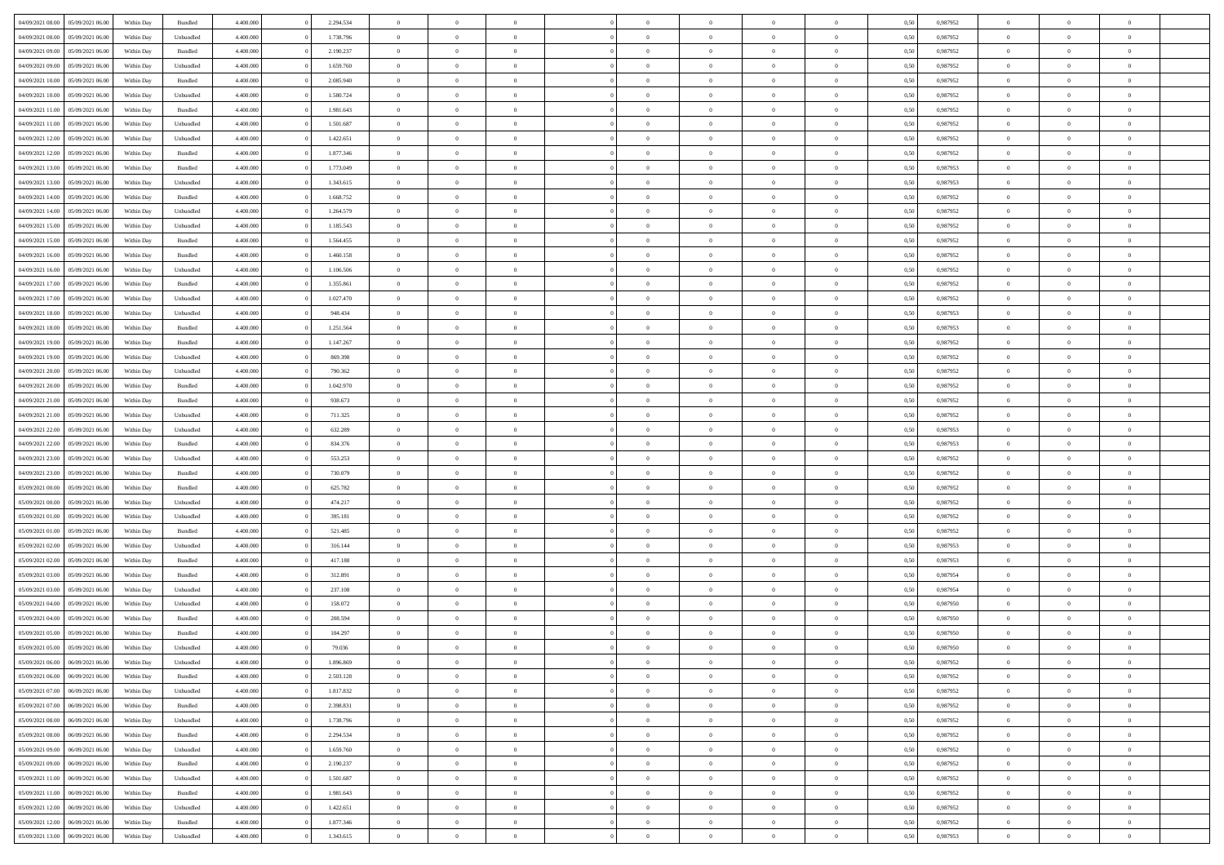| 04/09/2021 08:00                  | 05/09/2021 06:00 | Within Day | Bundled   | 4.400.000 | 2.294.534 | $\overline{0}$ | $\Omega$       |                | $\Omega$       | $\Omega$       | $\theta$       | $\theta$       | 0,50 | 0,987952 | $\theta$       | $\theta$       | $\theta$       |  |
|-----------------------------------|------------------|------------|-----------|-----------|-----------|----------------|----------------|----------------|----------------|----------------|----------------|----------------|------|----------|----------------|----------------|----------------|--|
|                                   |                  |            |           |           |           |                |                |                |                |                |                |                |      |          |                |                |                |  |
| 04/09/2021 08:00                  | 05/09/2021 06:00 | Within Day | Unbundled | 4.400.000 | 1.738.796 | $\overline{0}$ | $\theta$       | $\overline{0}$ | $\overline{0}$ | $\bf{0}$       | $\overline{0}$ | $\bf{0}$       | 0,50 | 0,987952 | $\theta$       | $\overline{0}$ | $\overline{0}$ |  |
| 04/09/2021 09:00                  | 05/09/2021 06:00 | Within Day | Bundled   | 4.400.000 | 2.190.237 | $\overline{0}$ | $\bf{0}$       | $\overline{0}$ | $\overline{0}$ | $\bf{0}$       | $\overline{0}$ | $\mathbf{0}$   | 0,50 | 0,987952 | $\bf{0}$       | $\overline{0}$ | $\bf{0}$       |  |
| 04/09/2021 09:00                  | 05/09/2021 06:00 | Within Day | Unbundled | 4.400.000 | 1.659.760 | $\overline{0}$ | $\overline{0}$ | $\overline{0}$ | $\overline{0}$ | $\bf{0}$       | $\overline{0}$ | $\overline{0}$ | 0.50 | 0,987952 | $\theta$       | $\theta$       | $\overline{0}$ |  |
|                                   |                  |            |           |           |           |                |                |                |                |                |                |                |      |          |                |                |                |  |
| 04/09/2021 10:00                  | 05/09/2021 06:00 | Within Day | Bundled   | 4.400.000 | 2.085.940 | $\overline{0}$ | $\theta$       | $\overline{0}$ | $\overline{0}$ | $\bf{0}$       | $\overline{0}$ | $\bf{0}$       | 0,50 | 0,987952 | $\theta$       | $\overline{0}$ | $\overline{0}$ |  |
| 04/09/2021 10:00                  | 05/09/2021 06:00 | Within Day | Unbundled | 4.400.000 | 1.580.724 | $\overline{0}$ | $\overline{0}$ | $\overline{0}$ | $\overline{0}$ | $\overline{0}$ | $\overline{0}$ | $\mathbf{0}$   | 0,50 | 0,987952 | $\bf{0}$       | $\overline{0}$ | $\bf{0}$       |  |
| 04/09/2021 11:00                  | 05/09/2021 06:00 | Within Dav | Bundled   | 4.400.000 | 1.981.643 | $\overline{0}$ | $\overline{0}$ | $\overline{0}$ | $\overline{0}$ | $\overline{0}$ | $\overline{0}$ | $\overline{0}$ | 0.50 | 0,987952 | $\theta$       | $\overline{0}$ | $\overline{0}$ |  |
| 04/09/2021 11:00                  | 05/09/2021 06:00 | Within Day | Unbundled | 4.400.000 | 1.501.687 | $\overline{0}$ | $\theta$       | $\overline{0}$ | $\overline{0}$ | $\bf{0}$       | $\overline{0}$ | $\bf{0}$       | 0,50 | 0,987952 | $\theta$       | $\theta$       | $\overline{0}$ |  |
|                                   |                  |            |           |           |           |                | $\overline{0}$ |                |                | $\bf{0}$       |                |                |      |          | $\,0\,$        | $\overline{0}$ | $\overline{0}$ |  |
| 04/09/2021 12:00                  | 05/09/2021 06:00 | Within Day | Unbundled | 4.400.000 | 1.422.651 | $\overline{0}$ |                | $\overline{0}$ | $\overline{0}$ |                | $\overline{0}$ | $\bf{0}$       | 0,50 | 0,987952 |                |                |                |  |
| 04/09/2021 12:00                  | 05/09/2021 06:00 | Within Dav | Bundled   | 4.400.000 | 1.877.346 | $\overline{0}$ | $\overline{0}$ | $\overline{0}$ | $\overline{0}$ | $\overline{0}$ | $\overline{0}$ | $\overline{0}$ | 0.50 | 0,987952 | $\theta$       | $\overline{0}$ | $\overline{0}$ |  |
| 04/09/2021 13:00                  | 05/09/2021 06:00 | Within Day | Bundled   | 4.400.000 | 1.773.049 | $\overline{0}$ | $\theta$       | $\overline{0}$ | $\overline{0}$ | $\bf{0}$       | $\overline{0}$ | $\bf{0}$       | 0,50 | 0,987953 | $\,$ 0 $\,$    | $\overline{0}$ | $\overline{0}$ |  |
| 04/09/2021 13:00                  | 05/09/2021 06:00 | Within Day | Unbundled | 4.400.000 | 1.343.615 | $\overline{0}$ | $\bf{0}$       | $\overline{0}$ | $\overline{0}$ | $\bf{0}$       | $\bf{0}$       | $\bf{0}$       | 0,50 | 0,987953 | $\overline{0}$ | $\overline{0}$ | $\bf{0}$       |  |
| 04/09/2021 14:00                  | 05/09/2021 06:00 | Within Dav | Bundled   | 4.400.000 | 1.668.752 | $\overline{0}$ | $\overline{0}$ | $\overline{0}$ | $\overline{0}$ | $\bf{0}$       | $\overline{0}$ | $\overline{0}$ | 0.50 | 0,987952 | $\theta$       | $\theta$       | $\overline{0}$ |  |
|                                   |                  |            |           |           |           |                |                |                |                |                |                |                |      |          |                |                |                |  |
| 04/09/2021 14:00                  | 05/09/2021 06:00 | Within Day | Unbundled | 4.400.000 | 1.264.579 | $\overline{0}$ | $\theta$       | $\overline{0}$ | $\overline{0}$ | $\bf{0}$       | $\overline{0}$ | $\overline{0}$ | 0,50 | 0,987952 | $\theta$       | $\overline{0}$ | $\overline{0}$ |  |
| 04/09/2021 15:00                  | 05/09/2021 06:00 | Within Day | Unbundled | 4.400.000 | 1.185.543 | $\overline{0}$ | $\overline{0}$ | $\overline{0}$ | $\bf{0}$       | $\overline{0}$ | $\overline{0}$ | $\mathbf{0}$   | 0,50 | 0,987952 | $\overline{0}$ | $\overline{0}$ | $\bf{0}$       |  |
| 04/09/2021 15:00                  | 05/09/2021 06:00 | Within Dav | Bundled   | 4.400.000 | 1.564.455 | $\overline{0}$ | $\overline{0}$ | $\overline{0}$ | $\overline{0}$ | $\overline{0}$ | $\overline{0}$ | $\overline{0}$ | 0.50 | 0,987952 | $\theta$       | $\overline{0}$ | $\overline{0}$ |  |
| 04/09/2021 16:00                  | 05/09/2021 06:00 | Within Day | Bundled   | 4.400.000 | 1.460.158 | $\overline{0}$ | $\theta$       | $\overline{0}$ | $\overline{0}$ | $\bf{0}$       | $\overline{0}$ | $\bf{0}$       | 0,50 | 0,987952 | $\theta$       | $\theta$       | $\overline{0}$ |  |
|                                   |                  |            |           |           |           |                |                |                |                |                |                |                |      |          |                |                |                |  |
| 04/09/2021 16:00                  | 05/09/2021 06:00 | Within Day | Unbundled | 4.400.000 | 1.106.506 | $\overline{0}$ | $\overline{0}$ | $\overline{0}$ | $\bf{0}$       | $\bf{0}$       | $\bf{0}$       | $\bf{0}$       | 0,50 | 0,987952 | $\,0\,$        | $\overline{0}$ | $\bf{0}$       |  |
| 04/09/2021 17:00                  | 05/09/2021 06:00 | Within Dav | Bundled   | 4.400.000 | 1.355.861 | $\overline{0}$ | $\overline{0}$ | $\overline{0}$ | $\overline{0}$ | $\overline{0}$ | $\overline{0}$ | $\overline{0}$ | 0.50 | 0,987952 | $\theta$       | $\overline{0}$ | $\overline{0}$ |  |
| 04/09/2021 17:00                  | 05/09/2021 06:00 | Within Day | Unbundled | 4.400.000 | 1.027.470 | $\overline{0}$ | $\theta$       | $\overline{0}$ | $\overline{0}$ | $\bf{0}$       | $\overline{0}$ | $\bf{0}$       | 0,50 | 0,987952 | $\,$ 0 $\,$    | $\overline{0}$ | $\overline{0}$ |  |
| 04/09/2021 18:00                  | 05/09/2021 06:00 | Within Day | Unbundled | 4.400.000 | 948.434   | $\overline{0}$ | $\overline{0}$ | $\overline{0}$ | $\bf{0}$       | $\bf{0}$       | $\bf{0}$       | $\bf{0}$       | 0,50 | 0,987953 | $\overline{0}$ | $\overline{0}$ | $\bf{0}$       |  |
| 04/09/2021 18:00                  | 05/09/2021 06:00 | Within Day | Bundled   | 4.400.000 | 1.251.564 | $\overline{0}$ | $\overline{0}$ | $\overline{0}$ | $\overline{0}$ | $\bf{0}$       | $\overline{0}$ | $\overline{0}$ | 0.50 | 0,987953 | $\theta$       | $\overline{0}$ | $\overline{0}$ |  |
|                                   |                  |            |           |           |           |                |                |                |                |                |                |                |      |          |                |                |                |  |
| 04/09/2021 19:00                  | 05/09/2021 06:00 | Within Day | Bundled   | 4.400.000 | 1.147.267 | $\overline{0}$ | $\theta$       | $\overline{0}$ | $\overline{0}$ | $\bf{0}$       | $\overline{0}$ | $\bf{0}$       | 0,50 | 0,987952 | $\theta$       | $\overline{0}$ | $\overline{0}$ |  |
| 04/09/2021 19:00                  | 05/09/2021 06:00 | Within Day | Unbundled | 4.400.000 | 869.398   | $\overline{0}$ | $\overline{0}$ | $\overline{0}$ | $\bf{0}$       | $\overline{0}$ | $\overline{0}$ | $\mathbf{0}$   | 0,50 | 0,987952 | $\overline{0}$ | $\overline{0}$ | $\bf{0}$       |  |
| 04/09/2021 20:00                  | 05/09/2021 06:00 | Within Dav | Unbundled | 4.400.000 | 790.362   | $\overline{0}$ | $\overline{0}$ | $\overline{0}$ | $\overline{0}$ | $\overline{0}$ | $\overline{0}$ | $\overline{0}$ | 0.50 | 0,987952 | $\theta$       | $\overline{0}$ | $\overline{0}$ |  |
| 04/09/2021 20:00                  | 05/09/2021 06:00 | Within Day | Bundled   | 4.400.000 | 1.042.970 | $\overline{0}$ | $\theta$       | $\overline{0}$ | $\overline{0}$ | $\bf{0}$       | $\overline{0}$ | $\bf{0}$       | 0,50 | 0,987952 | $\theta$       | $\theta$       | $\overline{0}$ |  |
|                                   |                  |            |           |           |           |                |                |                |                |                |                |                |      |          |                |                |                |  |
| 04/09/2021 21.00                  | 05/09/2021 06:00 | Within Day | Bundled   | 4.400.000 | 938.673   | $\overline{0}$ | $\overline{0}$ | $\overline{0}$ | $\bf{0}$       | $\bf{0}$       | $\bf{0}$       | $\bf{0}$       | 0,50 | 0,987952 | $\,0\,$        | $\overline{0}$ | $\bf{0}$       |  |
| 04/09/2021 21:00                  | 05/09/2021 06:00 | Within Dav | Unbundled | 4.400.000 | 711.325   | $\overline{0}$ | $\overline{0}$ | $\overline{0}$ | $\overline{0}$ | $\overline{0}$ | $\overline{0}$ | $\overline{0}$ | 0.50 | 0,987952 | $\theta$       | $\overline{0}$ | $\overline{0}$ |  |
| 04/09/2021 22.00                  | 05/09/2021 06:00 | Within Day | Unbundled | 4.400.000 | 632.289   | $\overline{0}$ | $\theta$       | $\overline{0}$ | $\overline{0}$ | $\bf{0}$       | $\overline{0}$ | $\bf{0}$       | 0,50 | 0,987953 | $\,$ 0 $\,$    | $\overline{0}$ | $\overline{0}$ |  |
| 04/09/2021 22.00                  | 05/09/2021 06:00 | Within Day | Bundled   | 4.400.000 | 834.376   | $\overline{0}$ | $\overline{0}$ | $\overline{0}$ | $\bf{0}$       | $\bf{0}$       | $\bf{0}$       | $\bf{0}$       | 0,50 | 0,987953 | $\overline{0}$ | $\overline{0}$ | $\bf{0}$       |  |
| 04/09/2021 23:00                  | 05/09/2021 06:00 | Within Day | Unbundled | 4.400,000 | 553.253   | $\overline{0}$ | $\Omega$       | $\Omega$       | $\Omega$       | $\Omega$       | $\Omega$       | $\overline{0}$ | 0,50 | 0,987952 | $\,0\,$        | $\theta$       | $\theta$       |  |
|                                   |                  |            |           |           |           |                |                |                |                |                |                |                |      |          |                |                |                |  |
| 04/09/2021 23:00                  | 05/09/2021 06:00 | Within Day | Bundled   | 4.400.000 | 730.079   | $\overline{0}$ | $\theta$       | $\overline{0}$ | $\overline{0}$ | $\bf{0}$       | $\overline{0}$ | $\bf{0}$       | 0,50 | 0,987952 | $\theta$       | $\overline{0}$ | $\overline{0}$ |  |
| 05/09/2021 00:00                  | 05/09/2021 06:00 | Within Day | Bundled   | 4.400.000 | 625.782   | $\overline{0}$ | $\overline{0}$ | $\overline{0}$ | $\bf{0}$       | $\overline{0}$ | $\overline{0}$ | $\mathbf{0}$   | 0,50 | 0,987952 | $\overline{0}$ | $\overline{0}$ | $\bf{0}$       |  |
| 05/09/2021 00:00                  | 05/09/2021 06:00 | Within Day | Unbundled | 4.400,000 | 474.217   | $\overline{0}$ | $\Omega$       | $\Omega$       | $\Omega$       | $\bf{0}$       | $\overline{0}$ | $\overline{0}$ | 0.50 | 0,987952 | $\theta$       | $\theta$       | $\theta$       |  |
| 05/09/2021 01:00                  | 05/09/2021 06:00 | Within Day | Unbundled | 4.400.000 | 395.181   | $\overline{0}$ | $\theta$       | $\overline{0}$ | $\overline{0}$ | $\bf{0}$       | $\overline{0}$ | $\bf{0}$       | 0,50 | 0,987952 | $\theta$       | $\overline{0}$ | $\overline{0}$ |  |
|                                   |                  |            |           |           |           |                | $\overline{0}$ |                |                | $\bf{0}$       |                |                |      |          | $\bf{0}$       | $\overline{0}$ | $\bf{0}$       |  |
| 05/09/2021 01:00                  | 05/09/2021 06:00 | Within Day | Bundled   | 4.400.000 | 521.485   | $\overline{0}$ |                | $\overline{0}$ | $\bf{0}$       |                | $\bf{0}$       | $\bf{0}$       | 0,50 | 0,987952 |                |                |                |  |
| 05/09/2021 02:00                  | 05/09/2021 06:00 | Within Day | Unbundled | 4.400,000 | 316.144   | $\overline{0}$ | $\Omega$       | $\Omega$       | $\Omega$       | $\theta$       | $\theta$       | $\overline{0}$ | 0.50 | 0.987953 | $\theta$       | $\theta$       | $\theta$       |  |
| 05/09/2021 02:00                  | 05/09/2021 06:00 | Within Day | Bundled   | 4.400.000 | 417.188   | $\overline{0}$ | $\overline{0}$ | $\overline{0}$ | $\overline{0}$ | $\bf{0}$       | $\overline{0}$ | $\bf{0}$       | 0,50 | 0,987953 | $\,$ 0 $\,$    | $\overline{0}$ | $\overline{0}$ |  |
| 05/09/2021 03:00                  | 05/09/2021 06:00 | Within Day | Bundled   | 4.400.000 | 312.891   | $\overline{0}$ | $\overline{0}$ | $\overline{0}$ | $\bf{0}$       | $\bf{0}$       | $\bf{0}$       | $\bf{0}$       | 0,50 | 0,987954 | $\overline{0}$ | $\overline{0}$ | $\bf{0}$       |  |
| 05/09/2021 03:00                  | 05/09/2021 06:00 | Within Day | Unbundled | 4.400,000 | 237.108   | $\overline{0}$ | $\Omega$       | $\Omega$       | $\Omega$       | $\Omega$       | $\overline{0}$ | $\overline{0}$ | 0.50 | 0,987954 | $\,0\,$        | $\theta$       | $\theta$       |  |
| 05/09/2021 04:00                  | 05/09/2021 06:00 |            |           | 4.400.000 | 158.072   | $\overline{0}$ | $\overline{0}$ | $\overline{0}$ | $\overline{0}$ | $\bf{0}$       | $\overline{0}$ |                |      | 0,987950 | $\,$ 0 $\,$    | $\overline{0}$ | $\overline{0}$ |  |
|                                   |                  | Within Day | Unbundled |           |           |                |                |                |                |                |                | $\bf{0}$       | 0,50 |          |                |                |                |  |
| 05/09/2021 04:00                  | 05/09/2021 06:00 | Within Day | Bundled   | 4.400.000 | 208.594   | $\overline{0}$ | $\overline{0}$ | $\overline{0}$ | $\overline{0}$ | $\bf{0}$       | $\overline{0}$ | $\mathbf{0}$   | 0,50 | 0,987950 | $\bf{0}$       | $\overline{0}$ | $\bf{0}$       |  |
| 05/09/2021 05:00                  | 05/09/2021 06:00 | Within Day | Bundled   | 4.400,000 | 104.297   | $\overline{0}$ | $\Omega$       | $\Omega$       | $\Omega$       | $\Omega$       | $\Omega$       | $\overline{0}$ | 0.50 | 0.987950 | $\theta$       | $\theta$       | $\theta$       |  |
| 05/09/2021 05:00                  | 05/09/2021 06:00 | Within Day | Unbundled | 4.400.000 | 79.036    | $\overline{0}$ | $\bf{0}$       | $\overline{0}$ | $\bf{0}$       | $\,$ 0         | $\overline{0}$ | $\bf{0}$       | 0,50 | 0,987950 | $\,0\,$        | $\,$ 0 $\,$    | $\overline{0}$ |  |
| 05/09/2021 06:00 06/09/2021 06:00 |                  | Within Day | Unbundled | 4.400.000 | 1.896.869 | $\bf{0}$       | $\bf{0}$       |                |                | $\bf{0}$       |                |                | 0,50 | 0,987952 | $\bf{0}$       | $\overline{0}$ |                |  |
|                                   |                  |            |           |           |           |                |                |                | $\Omega$       |                |                |                |      |          | $\theta$       |                | $\theta$       |  |
| 05/09/2021 06:00                  | 06/09/2021 06:00 | Within Day | Bundled   | 4.400.000 | 2.503.128 | $\overline{0}$ | $\overline{0}$ | $\overline{0}$ |                | $\overline{0}$ | $\overline{0}$ | $\overline{0}$ | 0.50 | 0.987952 |                | $\theta$       |                |  |
| 05/09/2021 07:00                  | 06/09/2021 06:00 | Within Day | Unbundled | 4.400.000 | 1.817.832 | $\overline{0}$ | $\,$ 0         | $\overline{0}$ | $\overline{0}$ | $\,$ 0 $\,$    | $\overline{0}$ | $\mathbf{0}$   | 0,50 | 0,987952 | $\,$ 0 $\,$    | $\,$ 0 $\,$    | $\,$ 0         |  |
| 05/09/2021 07:00                  | 06/09/2021 06:00 | Within Day | Bundled   | 4.400.000 | 2.398.831 | $\overline{0}$ | $\overline{0}$ | $\overline{0}$ | $\overline{0}$ | $\overline{0}$ | $\overline{0}$ | $\mathbf{0}$   | 0,50 | 0,987952 | $\overline{0}$ | $\bf{0}$       | $\bf{0}$       |  |
| 05/09/2021 08:00                  | 06/09/2021 06:00 | Within Day | Unbundled | 4.400,000 | 1.738.796 | $\overline{0}$ | $\overline{0}$ | $\overline{0}$ | $\Omega$       | $\overline{0}$ | $\overline{0}$ | $\overline{0}$ | 0,50 | 0,987952 | $\overline{0}$ | $\theta$       | $\overline{0}$ |  |
| 05/09/2021 08:00                  | 06/09/2021 06:00 | Within Day | Bundled   | 4.400.000 | 2.294.534 | $\overline{0}$ | $\,$ 0         | $\overline{0}$ | $\overline{0}$ | $\,$ 0 $\,$    | $\overline{0}$ | $\mathbf{0}$   | 0,50 | 0,987952 | $\,$ 0 $\,$    | $\overline{0}$ | $\overline{0}$ |  |
|                                   |                  |            |           |           |           |                |                |                |                |                |                |                |      |          |                |                |                |  |
| 05/09/2021 09:00                  | 06/09/2021 06:00 | Within Day | Unbundled | 4.400.000 | 1.659.760 | $\overline{0}$ | $\overline{0}$ | $\overline{0}$ | $\overline{0}$ | $\overline{0}$ | $\overline{0}$ | $\mathbf{0}$   | 0,50 | 0,987952 | $\overline{0}$ | $\overline{0}$ | $\bf{0}$       |  |
| 05/09/2021 09:00                  | 06/09/2021 06:00 | Within Day | Bundled   | 4.400,000 | 2.190.237 | $\overline{0}$ | $\overline{0}$ | $\overline{0}$ | $\Omega$       | $\overline{0}$ | $\overline{0}$ | $\bf{0}$       | 0.50 | 0,987952 | $\overline{0}$ | $\theta$       | $\overline{0}$ |  |
| 05/09/2021 11:00                  | 06/09/2021 06:00 | Within Day | Unbundled | 4.400.000 | 1.501.687 | $\overline{0}$ | $\,$ 0         | $\overline{0}$ | $\bf{0}$       | $\bf{0}$       | $\bf{0}$       | $\bf{0}$       | 0,50 | 0,987952 | $\,$ 0 $\,$    | $\overline{0}$ | $\overline{0}$ |  |
| 05/09/2021 11:00                  | 06/09/2021 06:00 | Within Day | Bundled   | 4.400.000 | 1.981.643 | $\overline{0}$ | $\bf{0}$       | $\overline{0}$ | $\overline{0}$ | $\overline{0}$ | $\overline{0}$ | $\mathbf{0}$   | 0,50 | 0,987952 | $\overline{0}$ | $\overline{0}$ | $\bf{0}$       |  |
|                                   | 06/09/2021 06:00 |            |           | 4.400,000 |           |                | $\overline{0}$ | $\overline{0}$ | $\Omega$       | $\overline{0}$ | $\overline{0}$ |                |      |          |                | $\overline{0}$ | $\overline{0}$ |  |
| 05/09/2021 12:00                  |                  | Within Day | Unbundled |           | 1.422.651 | $\overline{0}$ |                |                |                |                |                | $\bf{0}$       | 0.50 | 0,987952 | $\overline{0}$ |                |                |  |
| 05/09/2021 12:00                  | 06/09/2021 06:00 | Within Day | Bundled   | 4.400.000 | 1.877.346 | $\overline{0}$ | $\bf{0}$       | $\overline{0}$ | $\bf{0}$       | $\bf{0}$       | $\bf{0}$       | $\mathbf{0}$   | 0,50 | 0,987952 | $\,$ 0 $\,$    | $\,$ 0 $\,$    | $\bf{0}$       |  |
| 05/09/2021 13:00                  | 06/09/2021 06:00 | Within Day | Unbundled | 4.400.000 | 1.343.615 | $\overline{0}$ | $\overline{0}$ | $\overline{0}$ | $\overline{0}$ | $\overline{0}$ | $\bf{0}$       | $\mathbf{0}$   | 0,50 | 0,987953 | $\overline{0}$ | $\bf{0}$       | $\bf{0}$       |  |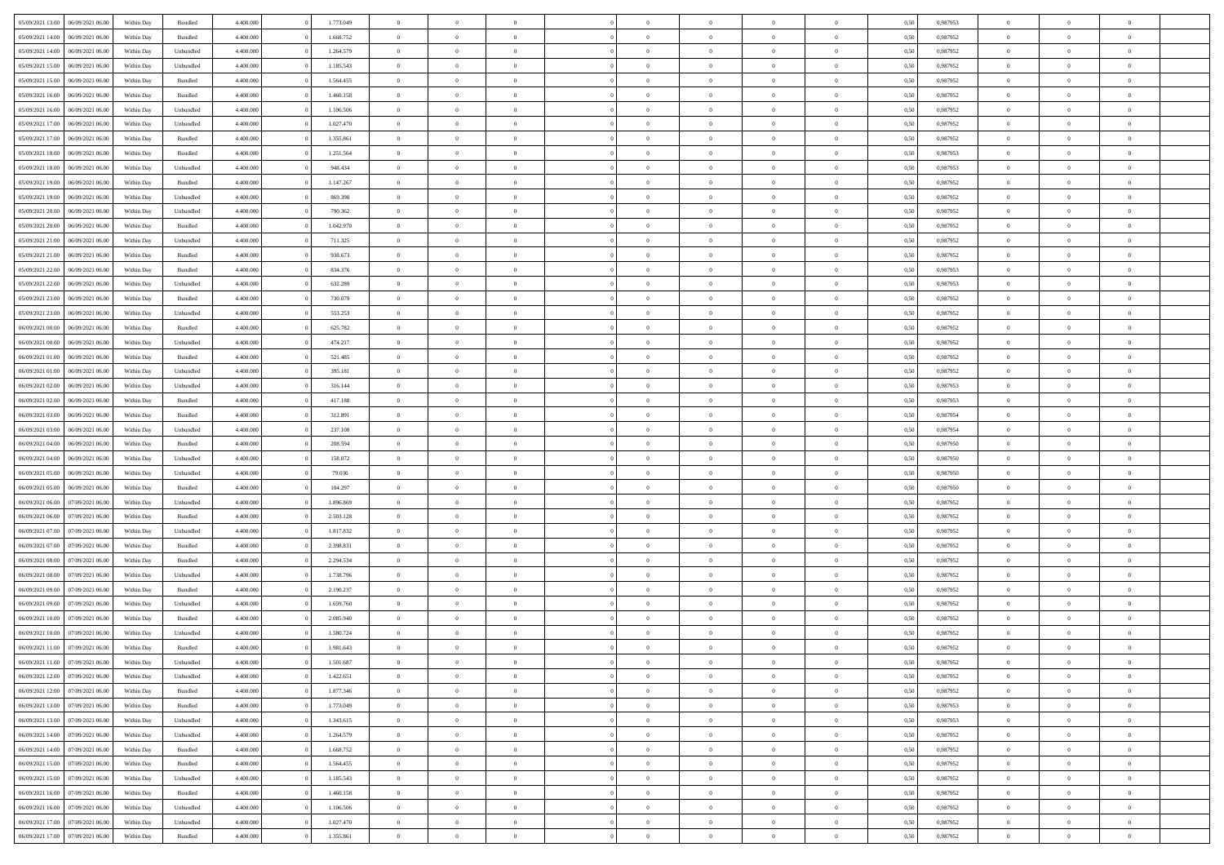| 05/09/2021 13:00                  | 06/09/2021 06:00 | Within Day | Bundled   | 4.400.000 | 1.773.049 | $\overline{0}$ | $\theta$       |                | $\Omega$       | $\Omega$       | $\theta$       | $\theta$       | 0,50 | 0.987953 | $\theta$       | $\overline{0}$ | $\theta$       |  |
|-----------------------------------|------------------|------------|-----------|-----------|-----------|----------------|----------------|----------------|----------------|----------------|----------------|----------------|------|----------|----------------|----------------|----------------|--|
|                                   |                  |            |           |           |           |                |                |                |                |                |                |                |      |          |                |                |                |  |
| 05/09/2021 14:00                  | 06/09/2021 06:00 | Within Day | Bundled   | 4.400.000 | 1.668.752 | $\overline{0}$ | $\theta$       | $\overline{0}$ | $\overline{0}$ | $\bf{0}$       | $\overline{0}$ | $\bf{0}$       | 0,50 | 0,987952 | $\theta$       | $\overline{0}$ | $\overline{0}$ |  |
| 05/09/2021 14:00                  | 06/09/2021 06:00 | Within Day | Unbundled | 4.400.000 | 1.264.579 | $\overline{0}$ | $\bf{0}$       | $\overline{0}$ | $\bf{0}$       | $\bf{0}$       | $\bf{0}$       | $\mathbf{0}$   | 0,50 | 0,987952 | $\overline{0}$ | $\overline{0}$ | $\overline{0}$ |  |
| 05/09/2021 15:00                  | 06/09/2021 06:00 | Within Day | Unbundled | 4.400.000 | 1.185.543 | $\overline{0}$ | $\overline{0}$ | $\overline{0}$ | $\overline{0}$ | $\bf{0}$       | $\overline{0}$ | $\overline{0}$ | 0.50 | 0,987952 | $\theta$       | $\theta$       | $\overline{0}$ |  |
| 05/09/2021 15:00                  | 06/09/2021 06:00 | Within Day | Bundled   | 4.400.000 | 1.564.455 | $\overline{0}$ | $\theta$       | $\overline{0}$ | $\overline{0}$ | $\bf{0}$       | $\overline{0}$ | $\bf{0}$       | 0,50 | 0,987952 | $\theta$       | $\overline{0}$ | $\overline{0}$ |  |
|                                   |                  |            |           |           |           |                |                |                |                |                |                |                |      |          |                |                |                |  |
| 05/09/2021 16:00                  | 06/09/2021 06:00 | Within Day | Bundled   | 4.400.000 | 1.460.158 | $\overline{0}$ | $\overline{0}$ | $\overline{0}$ | $\bf{0}$       | $\overline{0}$ | $\overline{0}$ | $\mathbf{0}$   | 0,50 | 0,987952 | $\bf{0}$       | $\overline{0}$ | $\bf{0}$       |  |
| 05/09/2021 16:00                  | 06/09/2021 06:00 | Within Dav | Unbundled | 4.400.000 | 1.106.506 | $\overline{0}$ | $\overline{0}$ | $\overline{0}$ | $\overline{0}$ | $\overline{0}$ | $\overline{0}$ | $\overline{0}$ | 0.50 | 0,987952 | $\theta$       | $\overline{0}$ | $\overline{0}$ |  |
| 05/09/2021 17:00                  | 06/09/2021 06:00 | Within Day | Unbundled | 4.400.000 | 1.027.470 | $\overline{0}$ | $\theta$       | $\overline{0}$ | $\overline{0}$ | $\bf{0}$       | $\overline{0}$ | $\bf{0}$       | 0,50 | 0,987952 | $\theta$       | $\theta$       | $\overline{0}$ |  |
| 05/09/2021 17:00                  | 06/09/2021 06:00 | Within Day | Bundled   | 4.400.000 | 1.355.861 | $\overline{0}$ | $\overline{0}$ | $\overline{0}$ | $\bf{0}$       | $\bf{0}$       | $\bf{0}$       | $\bf{0}$       | 0,50 | 0,987952 | $\,0\,$        | $\overline{0}$ | $\overline{0}$ |  |
| 05/09/2021 18:00                  | 06/09/2021 06:00 | Within Dav | Bundled   | 4.400.000 | 1.251.564 | $\overline{0}$ | $\overline{0}$ | $\overline{0}$ | $\overline{0}$ | $\overline{0}$ | $\overline{0}$ | $\overline{0}$ | 0.50 | 0,987953 | $\theta$       | $\overline{0}$ | $\overline{0}$ |  |
| 05/09/2021 18:00                  | 06/09/2021 06:00 | Within Day | Unbundled | 4.400.000 | 948.434   | $\overline{0}$ | $\theta$       | $\overline{0}$ | $\overline{0}$ | $\bf{0}$       | $\overline{0}$ | $\bf{0}$       | 0,50 | 0,987953 | $\,$ 0 $\,$    | $\overline{0}$ | $\overline{0}$ |  |
|                                   |                  |            |           |           |           |                |                |                |                |                |                |                |      |          |                |                |                |  |
| 05/09/2021 19:00                  | 06/09/2021 06:00 | Within Day | Bundled   | 4.400.000 | 1.147.267 | $\overline{0}$ | $\overline{0}$ | $\overline{0}$ | $\bf{0}$       | $\bf{0}$       | $\bf{0}$       | $\mathbf{0}$   | 0,50 | 0,987952 | $\bf{0}$       | $\overline{0}$ | $\bf{0}$       |  |
| 05/09/2021 19:00                  | 06/09/2021 06:00 | Within Day | Unbundled | 4.400.000 | 869.398   | $\overline{0}$ | $\overline{0}$ | $\overline{0}$ | $\overline{0}$ | $\bf{0}$       | $\overline{0}$ | $\overline{0}$ | 0.50 | 0,987952 | $\theta$       | $\theta$       | $\overline{0}$ |  |
| 05/09/2021 20:00                  | 06/09/2021 06:00 | Within Day | Unbundled | 4.400.000 | 790.362   | $\overline{0}$ | $\theta$       | $\overline{0}$ | $\overline{0}$ | $\bf{0}$       | $\overline{0}$ | $\bf{0}$       | 0,50 | 0,987952 | $\theta$       | $\overline{0}$ | $\overline{0}$ |  |
| 05/09/2021 20:00                  | 06/09/2021 06:00 | Within Day | Bundled   | 4.400.000 | 1.042.970 | $\overline{0}$ | $\overline{0}$ | $\overline{0}$ | $\bf{0}$       | $\overline{0}$ | $\overline{0}$ | $\mathbf{0}$   | 0,50 | 0,987952 | $\bf{0}$       | $\overline{0}$ | $\bf{0}$       |  |
| 05/09/2021 21:00                  | 06/09/2021 06:00 | Within Dav | Unbundled | 4.400.000 | 711.325   | $\overline{0}$ | $\overline{0}$ | $\overline{0}$ | $\overline{0}$ | $\overline{0}$ | $\overline{0}$ | $\overline{0}$ | 0.50 | 0,987952 | $\theta$       | $\overline{0}$ | $\overline{0}$ |  |
| 05/09/2021 21:00                  | 06/09/2021 06:00 | Within Day | Bundled   | 4.400.000 | 938.673   | $\overline{0}$ | $\theta$       | $\overline{0}$ | $\overline{0}$ | $\bf{0}$       | $\overline{0}$ | $\bf{0}$       | 0,50 | 0,987952 | $\theta$       | $\overline{0}$ | $\overline{0}$ |  |
| 05/09/2021 22.00                  | 06/09/2021 06:00 | Within Day | Bundled   | 4.400.000 | 834.376   | $\overline{0}$ | $\overline{0}$ | $\overline{0}$ | $\bf{0}$       | $\bf{0}$       | $\bf{0}$       | $\mathbf{0}$   | 0,50 | 0,987953 | $\bf{0}$       | $\overline{0}$ | $\bf{0}$       |  |
| 05/09/2021 22:00                  | 06/09/2021 06:00 | Within Dav | Unbundled | 4.400.000 | 632.289   | $\overline{0}$ | $\overline{0}$ | $\overline{0}$ | $\overline{0}$ | $\overline{0}$ | $\overline{0}$ | $\overline{0}$ | 0.50 | 0,987953 | $\theta$       | $\overline{0}$ | $\overline{0}$ |  |
|                                   |                  |            |           |           |           |                |                |                |                |                |                |                |      |          |                |                |                |  |
| 05/09/2021 23:00                  | 06/09/2021 06:00 | Within Day | Bundled   | 4.400.000 | 730.079   | $\overline{0}$ | $\theta$       | $\overline{0}$ | $\overline{0}$ | $\bf{0}$       | $\overline{0}$ | $\bf{0}$       | 0,50 | 0,987952 | $\,$ 0 $\,$    | $\overline{0}$ | $\overline{0}$ |  |
| 05/09/2021 23.00                  | 06/09/2021 06:00 | Within Day | Unbundled | 4.400.000 | 553.253   | $\overline{0}$ | $\overline{0}$ | $\overline{0}$ | $\bf{0}$       | $\bf{0}$       | $\bf{0}$       | $\mathbf{0}$   | 0,50 | 0,987952 | $\bf{0}$       | $\overline{0}$ | $\bf{0}$       |  |
| 06/09/2021 00:00                  | 06/09/2021 06:00 | Within Day | Bundled   | 4.400.000 | 625.782   | $\overline{0}$ | $\overline{0}$ | $\overline{0}$ | $\overline{0}$ | $\overline{0}$ | $\overline{0}$ | $\overline{0}$ | 0.50 | 0,987952 | $\theta$       | $\overline{0}$ | $\overline{0}$ |  |
| 06/09/2021 00:00                  | 06/09/2021 06:00 | Within Day | Unbundled | 4.400.000 | 474.217   | $\overline{0}$ | $\theta$       | $\overline{0}$ | $\overline{0}$ | $\bf{0}$       | $\overline{0}$ | $\bf{0}$       | 0,50 | 0,987952 | $\,$ 0 $\,$    | $\overline{0}$ | $\overline{0}$ |  |
| 06/09/2021 01:00                  | 06/09/2021 06:00 | Within Day | Bundled   | 4.400.000 | 521.485   | $\overline{0}$ | $\overline{0}$ | $\overline{0}$ | $\bf{0}$       | $\overline{0}$ | $\overline{0}$ | $\mathbf{0}$   | 0,50 | 0,987952 | $\bf{0}$       | $\overline{0}$ | $\bf{0}$       |  |
| 06/09/2021 01:00                  | 06/09/2021 06:00 | Within Day | Unbundled | 4.400.000 | 395.181   | $\overline{0}$ | $\overline{0}$ | $\overline{0}$ | $\overline{0}$ | $\overline{0}$ | $\overline{0}$ | $\overline{0}$ | 0.50 | 0,987952 | $\overline{0}$ | $\overline{0}$ | $\overline{0}$ |  |
|                                   |                  |            |           |           |           |                |                |                |                |                |                |                |      |          |                |                |                |  |
| 06/09/2021 02:00                  | 06/09/2021 06:00 | Within Day | Unbundled | 4.400.000 | 316.144   | $\overline{0}$ | $\theta$       | $\overline{0}$ | $\overline{0}$ | $\bf{0}$       | $\overline{0}$ | $\bf{0}$       | 0,50 | 0,987953 | $\theta$       | $\overline{0}$ | $\overline{0}$ |  |
| 06/09/2021 02:00                  | 06/09/2021 06:00 | Within Day | Bundled   | 4.400.000 | 417.188   | $\overline{0}$ | $\overline{0}$ | $\overline{0}$ | $\overline{0}$ | $\bf{0}$       | $\overline{0}$ | $\bf{0}$       | 0,50 | 0,987953 | $\,0\,$        | $\overline{0}$ | $\overline{0}$ |  |
| 06/09/2021 03:00                  | 06/09/2021 06:00 | Within Day | Bundled   | 4.400.000 | 312.891   | $\overline{0}$ | $\overline{0}$ | $\overline{0}$ | $\overline{0}$ | $\overline{0}$ | $\overline{0}$ | $\overline{0}$ | 0.50 | 0,987954 | $\theta$       | $\overline{0}$ | $\overline{0}$ |  |
| 06/09/2021 03:00                  | 06/09/2021 06:00 | Within Day | Unbundled | 4.400.000 | 237.108   | $\overline{0}$ | $\overline{0}$ | $\overline{0}$ | $\overline{0}$ | $\bf{0}$       | $\overline{0}$ | $\bf{0}$       | 0,50 | 0,987954 | $\,$ 0 $\,$    | $\overline{0}$ | $\overline{0}$ |  |
| 06/09/2021 04:00                  | 06/09/2021 06:00 | Within Day | Bundled   | 4.400.000 | 208.594   | $\overline{0}$ | $\overline{0}$ | $\overline{0}$ | $\overline{0}$ | $\bf{0}$       | $\overline{0}$ | $\bf{0}$       | 0,50 | 0,987950 | $\overline{0}$ | $\overline{0}$ | $\bf{0}$       |  |
| 06/09/2021 04:00                  | 06/09/2021 06:00 | Within Day | Unbundled | 4.400,000 | 158.072   | $\overline{0}$ | $\Omega$       | $\overline{0}$ | $\Omega$       | $\Omega$       | $\overline{0}$ | $\overline{0}$ | 0,50 | 0,987950 | $\,0\,$        | $\theta$       | $\theta$       |  |
| 06/09/2021 05:00                  | 06/09/2021 06:00 | Within Day | Unbundled | 4.400.000 | 79.036    | $\overline{0}$ | $\theta$       | $\overline{0}$ | $\overline{0}$ | $\bf{0}$       | $\overline{0}$ | $\bf{0}$       | 0,50 | 0,987950 | $\,$ 0 $\,$    | $\overline{0}$ | $\overline{0}$ |  |
|                                   |                  |            |           |           |           |                |                |                |                |                |                |                |      |          |                |                |                |  |
| 06/09/2021 05:00                  | 06/09/2021 06:00 | Within Day | Bundled   | 4.400.000 | 104.297   | $\overline{0}$ | $\overline{0}$ | $\overline{0}$ | $\bf{0}$       | $\overline{0}$ | $\overline{0}$ | $\mathbf{0}$   | 0,50 | 0,987950 | $\overline{0}$ | $\overline{0}$ | $\bf{0}$       |  |
| 06/09/2021 06:00                  | 07/09/2021 06:00 | Within Day | Unbundled | 4.400,000 | 1.896.869 | $\overline{0}$ | $\Omega$       | $\Omega$       | $\Omega$       | $\overline{0}$ | $\overline{0}$ | $\overline{0}$ | 0.50 | 0,987952 | $\,0\,$        | $\theta$       | $\theta$       |  |
| 06/09/2021 06:00                  | 07/09/2021 06:00 | Within Day | Bundled   | 4.400.000 | 2.503.128 | $\overline{0}$ | $\theta$       | $\overline{0}$ | $\overline{0}$ | $\bf{0}$       | $\overline{0}$ | $\bf{0}$       | 0,50 | 0,987952 | $\,$ 0 $\,$    | $\overline{0}$ | $\overline{0}$ |  |
| 06/09/2021 07:00                  | 07/09/2021 06:00 | Within Day | Unbundled | 4.400.000 | 1.817.832 | $\overline{0}$ | $\overline{0}$ | $\overline{0}$ | $\bf{0}$       | $\bf{0}$       | $\bf{0}$       | $\bf{0}$       | 0,50 | 0,987952 | $\bf{0}$       | $\overline{0}$ | $\bf{0}$       |  |
| 06/09/2021 07:00                  | 07/09/2021 06:00 | Within Day | Bundled   | 4.400,000 | 2.398.831 | $\overline{0}$ | $\Omega$       | $\Omega$       | $\Omega$       | $\overline{0}$ | $\overline{0}$ | $\overline{0}$ | 0.50 | 0.987952 | $\,$ 0 $\,$    | $\theta$       | $\theta$       |  |
| 06/09/2021 08:00                  | 07/09/2021 06:00 | Within Day | Bundled   | 4.400.000 | 2.294.534 | $\overline{0}$ | $\overline{0}$ | $\overline{0}$ | $\overline{0}$ | $\bf{0}$       | $\overline{0}$ | $\bf{0}$       | 0,50 | 0,987952 | $\,$ 0 $\,$    | $\overline{0}$ | $\overline{0}$ |  |
|                                   |                  |            |           |           |           |                |                |                |                | $\bf{0}$       |                |                |      |          |                | $\overline{0}$ | $\bf{0}$       |  |
| 06/09/2021 08:00                  | 07/09/2021 06:00 | Within Day | Unbundled | 4.400.000 | 1.738.796 | $\overline{0}$ | $\overline{0}$ | $\overline{0}$ | $\bf{0}$       |                | $\bf{0}$       | $\mathbf{0}$   | 0,50 | 0,987952 | $\bf{0}$       |                |                |  |
| 06/09/2021 09:00                  | 07/09/2021 06:00 | Within Day | Bundled   | 4.400,000 | 2.190.237 | $\overline{0}$ | $\Omega$       | $\overline{0}$ | $\Omega$       | $\overline{0}$ | $\overline{0}$ | $\overline{0}$ | 0,50 | 0,987952 | $\,0\,$        | $\theta$       | $\theta$       |  |
| 06/09/2021 09:00                  | 07/09/2021 06:00 | Within Day | Unbundled | 4.400.000 | 1.659.760 | $\overline{0}$ | $\overline{0}$ | $\overline{0}$ | $\overline{0}$ | $\,$ 0         | $\overline{0}$ | $\bf{0}$       | 0,50 | 0,987952 | $\,$ 0 $\,$    | $\overline{0}$ | $\overline{0}$ |  |
| 06/09/2021 10:00                  | 07/09/2021 06:00 | Within Day | Bundled   | 4.400.000 | 2.085.940 | $\overline{0}$ | $\overline{0}$ | $\overline{0}$ | $\overline{0}$ | $\bf{0}$       | $\overline{0}$ | $\mathbf{0}$   | 0,50 | 0,987952 | $\bf{0}$       | $\overline{0}$ | $\bf{0}$       |  |
| 06/09/2021 10:00                  | 07/09/2021 06:00 | Within Day | Unbundled | 4.400,000 | 1.580.724 | $\overline{0}$ | $\Omega$       | $\Omega$       | $\Omega$       | $\Omega$       | $\Omega$       | $\overline{0}$ | 0.50 | 0.987952 | $\theta$       | $\theta$       | $\theta$       |  |
| 06/09/2021 11:00                  | 07/09/2021 06:00 | Within Day | Bundled   | 4.400.000 | 1.981.643 | $\overline{0}$ | $\overline{0}$ | $\overline{0}$ | $\bf{0}$       | $\,$ 0         | $\overline{0}$ | $\bf{0}$       | 0,50 | 0,987952 | $\,0\,$        | $\,$ 0 $\,$    | $\overline{0}$ |  |
| 06/09/2021 11:00 07/09/2021 06:00 |                  | Within Day | Unbundled | 4.400.000 | 1.501.687 | $\bf{0}$       | $\bf{0}$       |                |                | $\bf{0}$       |                |                | 0,50 | 0,987952 | $\bf{0}$       | $\overline{0}$ |                |  |
| 06/09/2021 12:00                  | 07/09/2021 06:00 | Within Day | Unbundled | 4.400.000 | 1.422.651 | $\overline{0}$ | $\overline{0}$ | $\Omega$       | $\Omega$       | $\overline{0}$ | $\overline{0}$ | $\overline{0}$ | 0.50 | 0.987952 | $\theta$       | $\theta$       | $\theta$       |  |
|                                   |                  |            |           |           |           |                |                |                |                |                |                |                |      |          |                |                |                |  |
| 06/09/2021 12:00                  | 07/09/2021 06:00 | Within Day | Bundled   | 4.400.000 | 1.877.346 | $\overline{0}$ | $\,$ 0         | $\overline{0}$ | $\overline{0}$ | $\,$ 0 $\,$    | $\overline{0}$ | $\mathbf{0}$   | 0,50 | 0,987952 | $\,$ 0 $\,$    | $\,$ 0 $\,$    | $\,$ 0         |  |
| 06/09/2021 13:00                  | 07/09/2021 06:00 | Within Day | Bundled   | 4.400.000 | 1.773.049 | $\overline{0}$ | $\overline{0}$ | $\overline{0}$ | $\overline{0}$ | $\overline{0}$ | $\overline{0}$ | $\mathbf{0}$   | 0,50 | 0,987953 | $\overline{0}$ | $\bf{0}$       | $\bf{0}$       |  |
| 06/09/2021 13:00                  | 07/09/2021 06:00 | Within Day | Unbundled | 4.400,000 | 1.343.615 | $\overline{0}$ | $\overline{0}$ | $\overline{0}$ | $\Omega$       | $\overline{0}$ | $\overline{0}$ | $\overline{0}$ | 0,50 | 0,987953 | $\overline{0}$ | $\theta$       | $\overline{0}$ |  |
| 06/09/2021 14:00                  | 07/09/2021 06:00 | Within Day | Unbundled | 4.400.000 | 1.264.579 | $\overline{0}$ | $\,$ 0         | $\overline{0}$ | $\overline{0}$ | $\,$ 0 $\,$    | $\overline{0}$ | $\mathbf{0}$   | 0,50 | 0,987952 | $\,$ 0 $\,$    | $\overline{0}$ | $\overline{0}$ |  |
| 06/09/2021 14:00                  | 07/09/2021 06:00 | Within Day | Bundled   | 4.400.000 | 1.668.752 | $\overline{0}$ | $\overline{0}$ | $\overline{0}$ | $\overline{0}$ | $\overline{0}$ | $\overline{0}$ | $\mathbf{0}$   | 0,50 | 0,987952 | $\overline{0}$ | $\overline{0}$ | $\bf{0}$       |  |
| 06/09/2021 15:00                  | 07/09/2021 06:00 | Within Day | Bundled   | 4.400.000 | 1.564.455 | $\overline{0}$ | $\overline{0}$ | $\overline{0}$ | $\Omega$       | $\overline{0}$ | $\overline{0}$ | $\bf{0}$       | 0.50 | 0,987952 | $\overline{0}$ | $\theta$       | $\overline{0}$ |  |
| 06/09/2021 15:00                  | 07/09/2021 06:00 | Within Day | Unbundled | 4.400.000 | 1.185.543 | $\overline{0}$ | $\,$ 0         | $\overline{0}$ | $\bf{0}$       | $\bf{0}$       | $\bf{0}$       | $\bf{0}$       | 0,50 | 0,987952 | $\,$ 0 $\,$    | $\overline{0}$ | $\overline{0}$ |  |
|                                   |                  |            |           |           |           |                |                |                |                |                |                |                |      |          |                |                |                |  |
| 06/09/2021 16:00                  | 07/09/2021 06:00 | Within Day | Bundled   | 4.400.000 | 1.460.158 | $\overline{0}$ | $\bf{0}$       | $\overline{0}$ | $\overline{0}$ | $\overline{0}$ | $\overline{0}$ | $\mathbf{0}$   | 0,50 | 0,987952 | $\overline{0}$ | $\overline{0}$ | $\bf{0}$       |  |
| 06/09/2021 16:00                  | 07/09/2021 06:00 | Within Day | Unbundled | 4.400,000 | 1.106.506 | $\overline{0}$ | $\overline{0}$ | $\overline{0}$ | $\Omega$       | $\overline{0}$ | $\overline{0}$ | $\bf{0}$       | 0.50 | 0,987952 | $\overline{0}$ | $\overline{0}$ | $\overline{0}$ |  |
| 06/09/2021 17:00                  | 07/09/2021 06:00 | Within Day | Unbundled | 4.400.000 | 1.027.470 | $\overline{0}$ | $\bf{0}$       | $\overline{0}$ | $\bf{0}$       | $\bf{0}$       | $\bf{0}$       | $\mathbf{0}$   | 0,50 | 0,987952 | $\,$ 0 $\,$    | $\,$ 0 $\,$    | $\bf{0}$       |  |
| 06/09/2021 17:00                  | 07/09/2021 06:00 | Within Day | Bundled   | 4.400.000 | 1.355.861 | $\overline{0}$ | $\overline{0}$ | $\overline{0}$ | $\overline{0}$ | $\overline{0}$ | $\bf{0}$       | $\mathbf{0}$   | 0,50 | 0,987952 | $\overline{0}$ | $\bf{0}$       | $\overline{0}$ |  |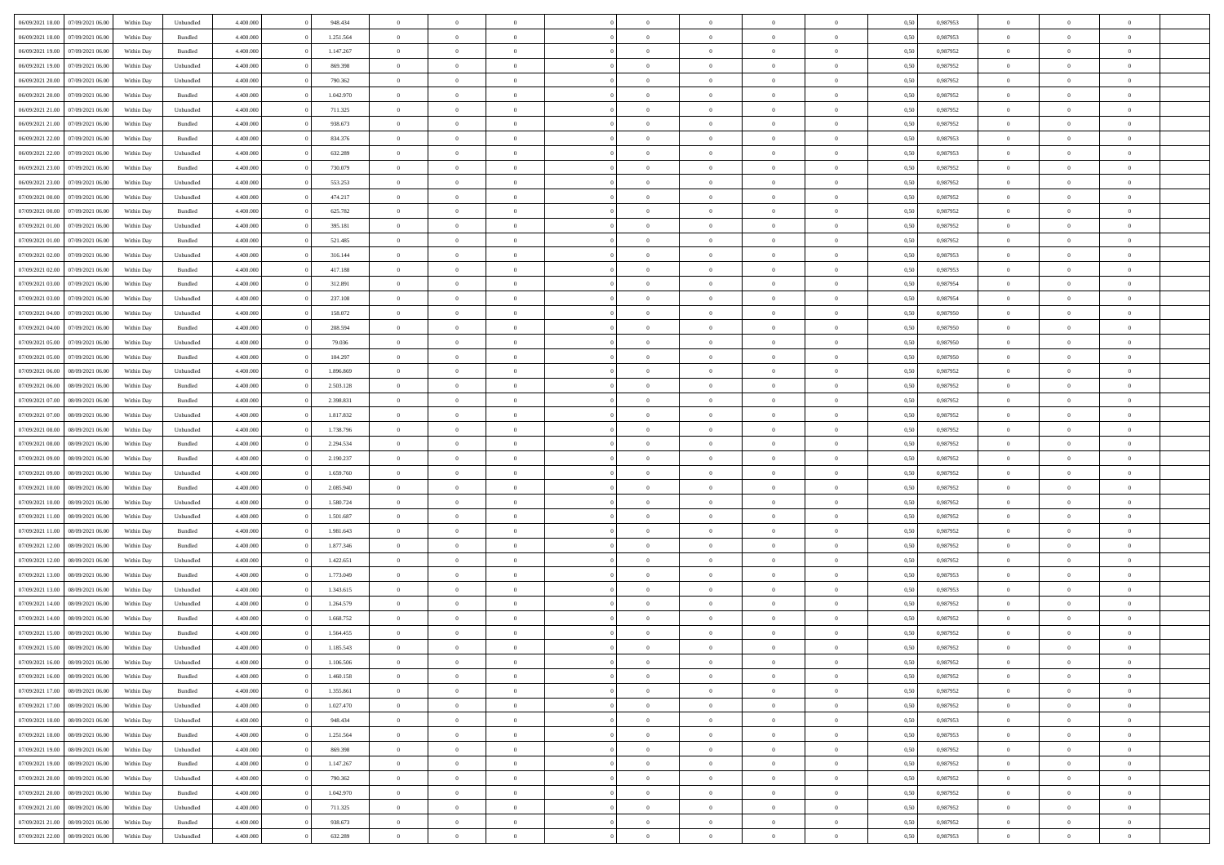| 06/09/2021 18:00                  | 07/09/2021 06:00 | Within Day | Unbundled | 4.400.000 | 948.434   | $\overline{0}$ | $\theta$       |                | $\Omega$       | $\Omega$       | $\theta$       | $\theta$       | 0,50 | 0.987953 | $\theta$       | $\theta$       | $\theta$       |  |
|-----------------------------------|------------------|------------|-----------|-----------|-----------|----------------|----------------|----------------|----------------|----------------|----------------|----------------|------|----------|----------------|----------------|----------------|--|
|                                   |                  |            |           |           |           |                |                |                |                |                |                |                |      |          |                |                |                |  |
| 06/09/2021 18:00                  | 07/09/2021 06:00 | Within Day | Bundled   | 4.400.000 | 1.251.564 | $\overline{0}$ | $\theta$       | $\overline{0}$ | $\overline{0}$ | $\bf{0}$       | $\overline{0}$ | $\bf{0}$       | 0,50 | 0,987953 | $\theta$       | $\overline{0}$ | $\overline{0}$ |  |
| 06/09/2021 19:00                  | 07/09/2021 06:00 | Within Day | Bundled   | 4.400.000 | 1.147.267 | $\overline{0}$ | $\overline{0}$ | $\overline{0}$ | $\bf{0}$       | $\bf{0}$       | $\bf{0}$       | $\mathbf{0}$   | 0,50 | 0,987952 | $\overline{0}$ | $\overline{0}$ | $\bf{0}$       |  |
| 06/09/2021 19:00                  | 07/09/2021 06:00 | Within Day | Unbundled | 4.400.000 | 869.398   | $\overline{0}$ | $\overline{0}$ | $\overline{0}$ | $\overline{0}$ | $\bf{0}$       | $\overline{0}$ | $\overline{0}$ | 0.50 | 0,987952 | $\theta$       | $\theta$       | $\overline{0}$ |  |
| 06/09/2021 20:00                  | 07/09/2021 06.00 |            |           | 4.400.000 | 790.362   | $\overline{0}$ | $\theta$       | $\overline{0}$ | $\overline{0}$ | $\bf{0}$       | $\overline{0}$ |                |      | 0,987952 | $\theta$       | $\overline{0}$ | $\overline{0}$ |  |
|                                   |                  | Within Day | Unbundled |           |           |                |                |                |                |                |                | $\bf{0}$       | 0,50 |          |                |                |                |  |
| 06/09/2021 20:00                  | 07/09/2021 06:00 | Within Day | Bundled   | 4.400.000 | 1.042.970 | $\overline{0}$ | $\overline{0}$ | $\overline{0}$ | $\bf{0}$       | $\overline{0}$ | $\overline{0}$ | $\mathbf{0}$   | 0,50 | 0,987952 | $\overline{0}$ | $\overline{0}$ | $\bf{0}$       |  |
| 06/09/2021 21:00                  | 07/09/2021 06:00 | Within Dav | Unbundled | 4.400.000 | 711.325   | $\overline{0}$ | $\overline{0}$ | $\overline{0}$ | $\overline{0}$ | $\overline{0}$ | $\overline{0}$ | $\overline{0}$ | 0.50 | 0,987952 | $\theta$       | $\overline{0}$ | $\overline{0}$ |  |
| 06/09/2021 21:00                  | 07/09/2021 06:00 | Within Day | Bundled   | 4.400.000 | 938.673   | $\overline{0}$ | $\theta$       | $\overline{0}$ | $\overline{0}$ | $\bf{0}$       | $\overline{0}$ | $\bf{0}$       | 0,50 | 0,987952 | $\theta$       | $\theta$       | $\overline{0}$ |  |
| 06/09/2021 22.00                  | 07/09/2021 06:00 | Within Day | Bundled   | 4.400.000 | 834.376   | $\overline{0}$ | $\overline{0}$ | $\overline{0}$ | $\bf{0}$       | $\bf{0}$       | $\bf{0}$       | $\bf{0}$       | 0,50 | 0,987953 | $\,0\,$        | $\overline{0}$ | $\overline{0}$ |  |
|                                   |                  |            |           |           |           |                | $\overline{0}$ |                |                | $\overline{0}$ |                |                |      |          | $\theta$       | $\overline{0}$ | $\overline{0}$ |  |
| 06/09/2021 22:00                  | 07/09/2021 06:00 | Within Dav | Unbundled | 4.400.000 | 632.289   | $\overline{0}$ |                | $\overline{0}$ | $\overline{0}$ |                | $\overline{0}$ | $\overline{0}$ | 0.50 | 0,987953 |                |                |                |  |
| 06/09/2021 23:00                  | 07/09/2021 06:00 | Within Day | Bundled   | 4.400.000 | 730.079   | $\overline{0}$ | $\theta$       | $\overline{0}$ | $\overline{0}$ | $\bf{0}$       | $\overline{0}$ | $\bf{0}$       | 0,50 | 0,987952 | $\,$ 0 $\,$    | $\overline{0}$ | $\overline{0}$ |  |
| 06/09/2021 23:00                  | 07/09/2021 06:00 | Within Day | Unbundled | 4.400.000 | 553.253   | $\overline{0}$ | $\overline{0}$ | $\overline{0}$ | $\bf{0}$       | $\bf{0}$       | $\bf{0}$       | $\mathbf{0}$   | 0,50 | 0,987952 | $\bf{0}$       | $\overline{0}$ | $\bf{0}$       |  |
| 07/09/2021 00:00                  | 07/09/2021 06:00 | Within Dav | Unbundled | 4.400.000 | 474.217   | $\overline{0}$ | $\overline{0}$ | $\overline{0}$ | $\overline{0}$ | $\bf{0}$       | $\overline{0}$ | $\overline{0}$ | 0.50 | 0,987952 | $\theta$       | $\theta$       | $\overline{0}$ |  |
| 07/09/2021 00:00                  | 07/09/2021 06.00 | Within Day | Bundled   | 4.400.000 | 625.782   | $\overline{0}$ | $\theta$       | $\overline{0}$ | $\overline{0}$ | $\bf{0}$       | $\overline{0}$ | $\bf{0}$       | 0,50 | 0,987952 | $\theta$       | $\overline{0}$ | $\overline{0}$ |  |
|                                   |                  |            |           |           |           |                |                |                |                |                |                |                |      |          |                |                |                |  |
| 07/09/2021 01:00                  | 07/09/2021 06:00 | Within Day | Unbundled | 4.400.000 | 395.181   | $\overline{0}$ | $\overline{0}$ | $\overline{0}$ | $\bf{0}$       | $\overline{0}$ | $\overline{0}$ | $\mathbf{0}$   | 0,50 | 0,987952 | $\bf{0}$       | $\overline{0}$ | $\bf{0}$       |  |
| 07/09/2021 01:00                  | 07/09/2021 06:00 | Within Dav | Bundled   | 4.400.000 | 521.485   | $\overline{0}$ | $\overline{0}$ | $\overline{0}$ | $\overline{0}$ | $\overline{0}$ | $\overline{0}$ | $\overline{0}$ | 0.50 | 0,987952 | $\theta$       | $\overline{0}$ | $\overline{0}$ |  |
| 07/09/2021 02:00                  | 07/09/2021 06:00 | Within Day | Unbundled | 4.400.000 | 316.144   | $\overline{0}$ | $\theta$       | $\overline{0}$ | $\overline{0}$ | $\bf{0}$       | $\overline{0}$ | $\bf{0}$       | 0,50 | 0,987953 | $\theta$       | $\theta$       | $\overline{0}$ |  |
| 07/09/2021 02:00                  | 07/09/2021 06:00 | Within Day | Bundled   | 4.400.000 | 417.188   | $\overline{0}$ | $\overline{0}$ | $\overline{0}$ | $\bf{0}$       | $\bf{0}$       | $\bf{0}$       | $\mathbf{0}$   | 0,50 | 0,987953 | $\,0\,$        | $\overline{0}$ | $\bf{0}$       |  |
| 07/09/2021 03:00                  | 07/09/2021 06:00 | Within Dav | Bundled   | 4.400.000 | 312.891   | $\overline{0}$ | $\overline{0}$ | $\overline{0}$ | $\overline{0}$ | $\overline{0}$ | $\overline{0}$ | $\overline{0}$ | 0.50 | 0,987954 | $\theta$       | $\overline{0}$ | $\overline{0}$ |  |
| 07/09/2021 03:00                  | 07/09/2021 06:00 | Within Day | Unbundled | 4.400.000 | 237.108   | $\overline{0}$ | $\theta$       | $\overline{0}$ | $\overline{0}$ | $\bf{0}$       | $\overline{0}$ | $\bf{0}$       | 0,50 | 0,987954 | $\,$ 0 $\,$    | $\overline{0}$ | $\overline{0}$ |  |
|                                   |                  |            |           |           |           |                |                |                |                |                |                |                |      |          |                |                |                |  |
| 07/09/2021 04:00                  | 07/09/2021 06:00 | Within Day | Unbundled | 4.400.000 | 158.072   | $\overline{0}$ | $\overline{0}$ | $\overline{0}$ | $\bf{0}$       | $\bf{0}$       | $\bf{0}$       | $\mathbf{0}$   | 0,50 | 0,987950 | $\bf{0}$       | $\overline{0}$ | $\bf{0}$       |  |
| 07/09/2021 04:00                  | 07/09/2021 06:00 | Within Day | Bundled   | 4.400.000 | 208.594   | $\overline{0}$ | $\overline{0}$ | $\overline{0}$ | $\overline{0}$ | $\overline{0}$ | $\overline{0}$ | $\overline{0}$ | 0.50 | 0,987950 | $\theta$       | $\overline{0}$ | $\overline{0}$ |  |
| 07/09/2021 05:00                  | 07/09/2021 06:00 | Within Day | Unbundled | 4.400.000 | 79.036    | $\overline{0}$ | $\theta$       | $\overline{0}$ | $\overline{0}$ | $\bf{0}$       | $\overline{0}$ | $\bf{0}$       | 0,50 | 0,987950 | $\,$ 0 $\,$    | $\overline{0}$ | $\overline{0}$ |  |
| 07/09/2021 05:00                  | 07/09/2021 06:00 | Within Day | Bundled   | 4.400.000 | 104.297   | $\overline{0}$ | $\overline{0}$ | $\overline{0}$ | $\bf{0}$       | $\overline{0}$ | $\overline{0}$ | $\mathbf{0}$   | 0,50 | 0,987950 | $\bf{0}$       | $\overline{0}$ | $\bf{0}$       |  |
| 07/09/2021 06:00                  | 08/09/2021 06:00 | Within Dav | Unbundled | 4.400.000 | 1.896.869 | $\overline{0}$ | $\overline{0}$ | $\overline{0}$ | $\overline{0}$ | $\overline{0}$ | $\overline{0}$ | $\overline{0}$ | 0.50 | 0,987952 | $\theta$       | $\overline{0}$ | $\overline{0}$ |  |
| 07/09/2021 06:00                  | 08/09/2021 06:00 | Within Day | Bundled   | 4.400.000 | 2.503.128 | $\overline{0}$ | $\theta$       | $\overline{0}$ | $\overline{0}$ | $\bf{0}$       | $\overline{0}$ | $\bf{0}$       | 0,50 | 0,987952 | $\theta$       | $\overline{0}$ | $\overline{0}$ |  |
| 07/09/2021 07:00                  | 08/09/2021 06:00 | Within Day | Bundled   | 4.400.000 | 2.398.831 | $\overline{0}$ | $\overline{0}$ | $\overline{0}$ | $\bf{0}$       | $\bf{0}$       | $\bf{0}$       | $\bf{0}$       | 0,50 | 0,987952 | $\,0\,$        | $\overline{0}$ | $\overline{0}$ |  |
|                                   |                  |            |           |           |           |                |                |                |                |                |                |                |      |          |                |                |                |  |
| 07/09/2021 07:00                  | 08/09/2021 06:00 | Within Day | Unbundled | 4.400.000 | 1.817.832 | $\overline{0}$ | $\overline{0}$ | $\overline{0}$ | $\overline{0}$ | $\overline{0}$ | $\overline{0}$ | $\overline{0}$ | 0.50 | 0,987952 | $\theta$       | $\overline{0}$ | $\overline{0}$ |  |
| 07/09/2021 08:00                  | 08/09/2021 06:00 | Within Day | Unbundled | 4.400.000 | 1.738.796 | $\overline{0}$ | $\theta$       | $\overline{0}$ | $\overline{0}$ | $\bf{0}$       | $\overline{0}$ | $\bf{0}$       | 0,50 | 0,987952 | $\,$ 0 $\,$    | $\overline{0}$ | $\overline{0}$ |  |
| 07/09/2021 08:00                  | 08/09/2021 06:00 | Within Day | Bundled   | 4.400.000 | 2.294.534 | $\overline{0}$ | $\overline{0}$ | $\overline{0}$ | $\bf{0}$       | $\bf{0}$       | $\bf{0}$       | $\bf{0}$       | 0,50 | 0,987952 | $\overline{0}$ | $\overline{0}$ | $\bf{0}$       |  |
| 07/09/2021 09:00                  | 08/09/2021 06:00 | Within Day | Bundled   | 4.400,000 | 2.190.237 | $\overline{0}$ | $\Omega$       | $\Omega$       | $\Omega$       | $\Omega$       | $\overline{0}$ | $\overline{0}$ | 0,50 | 0,987952 | $\,0\,$        | $\theta$       | $\theta$       |  |
| 07/09/2021 09:00                  | 08/09/2021 06:00 | Within Day | Unbundled | 4.400.000 | 1.659.760 | $\overline{0}$ | $\theta$       | $\overline{0}$ | $\overline{0}$ | $\bf{0}$       | $\overline{0}$ | $\bf{0}$       | 0,50 | 0,987952 | $\theta$       | $\overline{0}$ | $\overline{0}$ |  |
| 07/09/2021 10:00                  | 08/09/2021 06:00 | Within Day | Bundled   | 4.400.000 | 2.085.940 | $\overline{0}$ | $\overline{0}$ | $\overline{0}$ | $\bf{0}$       | $\overline{0}$ | $\overline{0}$ | $\mathbf{0}$   | 0,50 | 0,987952 | $\overline{0}$ | $\overline{0}$ | $\bf{0}$       |  |
|                                   |                  |            |           |           |           |                | $\Omega$       |                |                |                |                |                |      |          |                |                | $\theta$       |  |
| 07/09/2021 10:00                  | 08/09/2021 06:00 | Within Day | Unbundled | 4.400,000 | 1.580.724 | $\overline{0}$ |                | $\Omega$       | $\Omega$       | $\overline{0}$ | $\overline{0}$ | $\overline{0}$ | 0.50 | 0,987952 | $\,0\,$        | $\theta$       |                |  |
| 07/09/2021 11:00                  | 08/09/2021 06:00 | Within Day | Unbundled | 4.400.000 | 1.501.687 | $\overline{0}$ | $\theta$       | $\overline{0}$ | $\overline{0}$ | $\bf{0}$       | $\overline{0}$ | $\bf{0}$       | 0,50 | 0,987952 | $\,$ 0 $\,$    | $\overline{0}$ | $\overline{0}$ |  |
| 07/09/2021 11:00                  | 08/09/2021 06:00 | Within Day | Bundled   | 4.400.000 | 1.981.643 | $\overline{0}$ | $\overline{0}$ | $\overline{0}$ | $\bf{0}$       | $\bf{0}$       | $\bf{0}$       | $\bf{0}$       | 0,50 | 0,987952 | $\bf{0}$       | $\overline{0}$ | $\bf{0}$       |  |
| 07/09/2021 12:00                  | 08/09/2021 06:00 | Within Day | Bundled   | 4.400,000 | 1.877.346 | $\overline{0}$ | $\Omega$       | $\Omega$       | $\Omega$       | $\theta$       | $\overline{0}$ | $\overline{0}$ | 0.50 | 0.987952 | $\,$ 0 $\,$    | $\theta$       | $\theta$       |  |
| 07/09/2021 12:00                  | 08/09/2021 06:00 | Within Day | Unbundled | 4.400.000 | 1.422.651 | $\overline{0}$ | $\overline{0}$ | $\overline{0}$ | $\overline{0}$ | $\bf{0}$       | $\overline{0}$ | $\bf{0}$       | 0,50 | 0,987952 | $\,$ 0 $\,$    | $\overline{0}$ | $\overline{0}$ |  |
| 07/09/2021 13:00                  | 08/09/2021 06:00 | Within Day | Bundled   | 4.400.000 | 1.773.049 | $\overline{0}$ | $\overline{0}$ | $\overline{0}$ | $\bf{0}$       | $\bf{0}$       | $\bf{0}$       | $\mathbf{0}$   | 0,50 | 0,987953 | $\overline{0}$ | $\overline{0}$ | $\bf{0}$       |  |
|                                   |                  |            |           |           |           |                |                |                |                |                |                |                |      |          |                |                |                |  |
| 07/09/2021 13:00                  | 08/09/2021 06:00 | Within Day | Unbundled | 4.400,000 | 1.343.615 | $\overline{0}$ | $\Omega$       | $\overline{0}$ | $\Omega$       | $\overline{0}$ | $\overline{0}$ | $\overline{0}$ | 0,50 | 0,987953 | $\,0\,$        | $\theta$       | $\theta$       |  |
| 07/09/2021 14:00                  | 08/09/2021 06:00 | Within Day | Unbundled | 4.400.000 | 1.264.579 | $\overline{0}$ | $\overline{0}$ | $\overline{0}$ | $\overline{0}$ | $\,$ 0         | $\overline{0}$ | $\bf{0}$       | 0,50 | 0,987952 | $\,$ 0 $\,$    | $\overline{0}$ | $\overline{0}$ |  |
| 07/09/2021 14:00                  | 08/09/2021 06:00 | Within Day | Bundled   | 4.400.000 | 1.668.752 | $\overline{0}$ | $\overline{0}$ | $\overline{0}$ | $\bf{0}$       | $\bf{0}$       | $\overline{0}$ | $\mathbf{0}$   | 0,50 | 0,987952 | $\overline{0}$ | $\overline{0}$ | $\bf{0}$       |  |
| 07/09/2021 15:00                  | 08/09/2021 06:00 | Within Day | Bundled   | 4.400,000 | 1.564.455 | $\overline{0}$ | $\Omega$       | $\Omega$       | $\Omega$       | $\Omega$       | $\Omega$       | $\overline{0}$ | 0.50 | 0.987952 | $\theta$       | $\theta$       | $\theta$       |  |
| 07/09/2021 15:00                  | 08/09/2021 06:00 | Within Day | Unbundled | 4.400.000 | 1.185.543 | $\overline{0}$ | $\overline{0}$ | $\overline{0}$ | $\bf{0}$       | $\,$ 0         | $\bf{0}$       | $\bf{0}$       | 0,50 | 0,987952 | $\,0\,$        | $\,$ 0 $\,$    | $\overline{0}$ |  |
| 07/09/2021 16:00 08/09/2021 06:00 |                  | Within Day | Unbundled | 4.400.000 | 1.106.506 | $\bf{0}$       | $\bf{0}$       |                |                | $\bf{0}$       |                |                | 0,50 | 0,987952 | $\bf{0}$       | $\overline{0}$ |                |  |
|                                   |                  |            |           |           |           |                |                |                | $\Omega$       |                |                |                |      |          | $\theta$       |                | $\theta$       |  |
| 07/09/2021 16:00                  | 08/09/2021 06:00 | Within Day | Bundled   | 4.400.000 | 1.460.158 | $\overline{0}$ | $\overline{0}$ | $\overline{0}$ |                | $\overline{0}$ | $\overline{0}$ | $\overline{0}$ | 0.50 | 0.987952 |                | $\theta$       |                |  |
| 07/09/2021 17:00                  | 08/09/2021 06:00 | Within Day | Bundled   | 4.400.000 | 1.355.861 | $\overline{0}$ | $\bf{0}$       | $\overline{0}$ | $\bf{0}$       | $\,$ 0 $\,$    | $\overline{0}$ | $\,$ 0 $\,$    | 0,50 | 0,987952 | $\,$ 0 $\,$    | $\,$ 0 $\,$    | $\,$ 0         |  |
| 07/09/2021 17:00                  | 08/09/2021 06:00 | Within Day | Unbundled | 4.400.000 | 1.027.470 | $\overline{0}$ | $\overline{0}$ | $\overline{0}$ | $\overline{0}$ | $\overline{0}$ | $\overline{0}$ | $\mathbf{0}$   | 0,50 | 0,987952 | $\overline{0}$ | $\overline{0}$ | $\overline{0}$ |  |
| 07/09/2021 18:00                  | 08/09/2021 06:00 | Within Day | Unbundled | 4.400,000 | 948.434   | $\overline{0}$ | $\overline{0}$ | $\overline{0}$ | $\Omega$       | $\overline{0}$ | $\overline{0}$ | $\overline{0}$ | 0,50 | 0,987953 | $\overline{0}$ | $\,$ 0 $\,$    | $\overline{0}$ |  |
| 07/09/2021 18:00                  | 08/09/2021 06:00 | Within Day | Bundled   | 4.400.000 | 1.251.564 | $\overline{0}$ | $\,$ 0         | $\overline{0}$ | $\bf{0}$       | $\,$ 0 $\,$    | $\overline{0}$ | $\,$ 0 $\,$    | 0,50 | 0,987953 | $\,$ 0 $\,$    | $\overline{0}$ | $\,$ 0         |  |
| 07/09/2021 19:00                  | 08/09/2021 06:00 | Within Day | Unbundled | 4.400.000 | 869.398   | $\overline{0}$ | $\overline{0}$ | $\overline{0}$ | $\overline{0}$ | $\overline{0}$ | $\overline{0}$ | $\mathbf{0}$   | 0,50 | 0,987952 | $\overline{0}$ | $\overline{0}$ | $\bf{0}$       |  |
| 07/09/2021 19:00                  | 08/09/2021 06:00 | Within Day | Bundled   | 4.400.000 | 1.147.267 | $\overline{0}$ | $\overline{0}$ | $\overline{0}$ | $\overline{0}$ | $\overline{0}$ | $\overline{0}$ | $\overline{0}$ | 0.50 | 0,987952 | $\overline{0}$ | $\theta$       | $\overline{0}$ |  |
|                                   |                  |            |           |           |           |                |                |                |                |                |                |                |      |          |                |                |                |  |
| 07/09/2021 20:00                  | 08/09/2021 06:00 | Within Day | Unbundled | 4.400.000 | 790.362   | $\overline{0}$ | $\,$ 0         | $\overline{0}$ | $\bf{0}$       | $\bf{0}$       | $\bf{0}$       | $\bf{0}$       | 0,50 | 0,987952 | $\,$ 0 $\,$    | $\overline{0}$ | $\overline{0}$ |  |
| 07/09/2021 20:00                  | 08/09/2021 06:00 | Within Day | Bundled   | 4.400.000 | 1.042.970 | $\overline{0}$ | $\overline{0}$ | $\overline{0}$ | $\overline{0}$ | $\overline{0}$ | $\overline{0}$ | $\mathbf{0}$   | 0,50 | 0,987952 | $\overline{0}$ | $\overline{0}$ | $\bf{0}$       |  |
| 07/09/2021 21:00                  | 08/09/2021 06:00 | Within Day | Unbundled | 4.400,000 | 711.325   | $\overline{0}$ | $\overline{0}$ | $\overline{0}$ | $\Omega$       | $\overline{0}$ | $\overline{0}$ | $\overline{0}$ | 0.50 | 0,987952 | $\overline{0}$ | $\overline{0}$ | $\overline{0}$ |  |
| 07/09/2021 21:00                  | 08/09/2021 06:00 | Within Day | Bundled   | 4.400.000 | 938.673   | $\overline{0}$ | $\bf{0}$       | $\overline{0}$ | $\bf{0}$       | $\bf{0}$       | $\bf{0}$       | $\mathbf{0}$   | 0,50 | 0,987952 | $\,$ 0 $\,$    | $\,$ 0 $\,$    | $\bf{0}$       |  |
| 07/09/2021 22.00                  | 08/09/2021 06:00 | Within Day | Unbundled | 4.400.000 | 632.289   | $\overline{0}$ | $\overline{0}$ | $\overline{0}$ | $\overline{0}$ | $\overline{0}$ | $\bf{0}$       | $\mathbf{0}$   | 0,50 | 0,987953 | $\overline{0}$ | $\bf{0}$       | $\overline{0}$ |  |
|                                   |                  |            |           |           |           |                |                |                |                |                |                |                |      |          |                |                |                |  |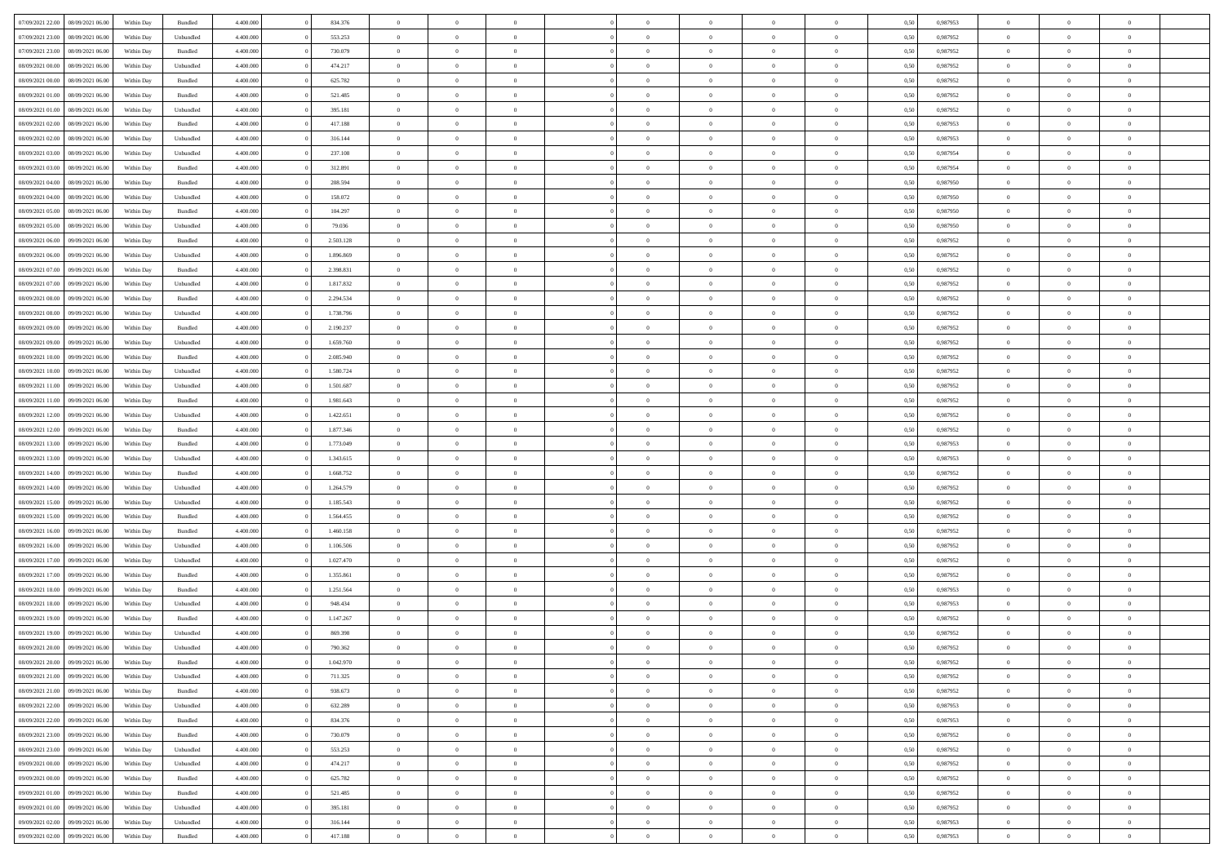| 07/09/2021 22:00 08/09/2021 06:00    | Within Day | Bundled   | 4.400.000 | 834.376   | $\overline{0}$ | $\overline{0}$ | $\Omega$       | $\Omega$       | $\theta$       | $\Omega$       | $\overline{0}$ | 0,50 | 0,987953 | $\theta$       | $\theta$       | $\theta$       |  |
|--------------------------------------|------------|-----------|-----------|-----------|----------------|----------------|----------------|----------------|----------------|----------------|----------------|------|----------|----------------|----------------|----------------|--|
| 07/09/2021 23:00<br>08/09/2021 06:00 | Within Day | Unbundled | 4.400.000 | 553.253   | $\overline{0}$ | $\overline{0}$ | $\overline{0}$ | $\overline{0}$ | $\theta$       | $\overline{0}$ | $\bf{0}$       | 0,50 | 0,987952 | $\theta$       | $\theta$       | $\overline{0}$ |  |
| 07/09/2021 23:00<br>08/09/2021 06:00 | Within Day | Bundled   | 4.400.000 | 730.079   | $\overline{0}$ | $\bf{0}$       | $\overline{0}$ | $\overline{0}$ | $\overline{0}$ | $\overline{0}$ | $\bf{0}$       | 0,50 | 0,987952 | $\bf{0}$       | $\overline{0}$ | $\overline{0}$ |  |
| 08/09/2021 00:00<br>08/09/2021 06:00 | Within Day | Unbundled | 4.400.000 | 474.217   | $\overline{0}$ | $\overline{0}$ | $\overline{0}$ | $\overline{0}$ | $\theta$       | $\overline{0}$ | $\overline{0}$ | 0.50 | 0,987952 | $\theta$       | $\theta$       | $\overline{0}$ |  |
| 08/09/2021 00:00<br>08/09/2021 06:00 | Within Day | Bundled   | 4.400.000 | 625.782   | $\overline{0}$ | $\overline{0}$ | $\overline{0}$ | $\overline{0}$ | $\theta$       | $\overline{0}$ | $\bf{0}$       | 0,50 | 0,987952 | $\theta$       | $\theta$       | $\overline{0}$ |  |
| 08/09/2021 01:00<br>08/09/2021 06:00 | Within Day | Bundled   | 4.400.000 | 521.485   | $\overline{0}$ | $\bf{0}$       | $\overline{0}$ | $\overline{0}$ | $\overline{0}$ | $\overline{0}$ | $\bf{0}$       | 0,50 | 0,987952 | $\bf{0}$       | $\overline{0}$ | $\bf{0}$       |  |
| 08/09/2021 01:00<br>08/09/2021 06:00 | Within Day | Unbundled | 4.400.000 | 395.181   | $\overline{0}$ | $\overline{0}$ | $\overline{0}$ | $\overline{0}$ | $\overline{0}$ | $\overline{0}$ | $\overline{0}$ | 0.5( | 0,987952 | $\theta$       | $\theta$       | $\overline{0}$ |  |
| 08/09/2021 02:00<br>08/09/2021 06:00 | Within Day | Bundled   | 4.400.000 | 417.188   | $\overline{0}$ | $\theta$       | $\overline{0}$ | $\overline{0}$ | $\theta$       | $\overline{0}$ | $\bf{0}$       | 0,50 | 0,987953 | $\theta$       | $\theta$       | $\overline{0}$ |  |
|                                      |            |           |           |           |                |                |                |                |                |                |                |      |          |                |                |                |  |
| 08/09/2021 02:00<br>08/09/2021 06:00 | Within Day | Unbundled | 4.400.000 | 316.144   | $\overline{0}$ | $\bf{0}$       | $\overline{0}$ | $\overline{0}$ | $\overline{0}$ | $\overline{0}$ | $\bf{0}$       | 0,50 | 0,987953 | $\bf{0}$       | $\bf{0}$       | $\overline{0}$ |  |
| 08/09/2021 03:00<br>08/09/2021 06:00 | Within Day | Unbundled | 4.400.000 | 237.108   | $\overline{0}$ | $\overline{0}$ | $\overline{0}$ | $\overline{0}$ | $\overline{0}$ | $\overline{0}$ | $\overline{0}$ | 0.50 | 0,987954 | $\theta$       | $\theta$       | $\overline{0}$ |  |
| 08/09/2021 03:00<br>08/09/2021 06:00 | Within Day | Bundled   | 4.400.000 | 312.891   | $\bf{0}$       | $\overline{0}$ | $\overline{0}$ | $\overline{0}$ | $\theta$       | $\overline{0}$ | $\bf{0}$       | 0,50 | 0,987954 | $\theta$       | $\theta$       | $\overline{0}$ |  |
| 08/09/2021 04:00<br>08/09/2021 06:00 | Within Day | Bundled   | 4.400.000 | 208.594   | $\overline{0}$ | $\bf{0}$       | $\overline{0}$ | $\overline{0}$ | $\bf{0}$       | $\overline{0}$ | $\bf{0}$       | 0,50 | 0,987950 | $\bf{0}$       | $\overline{0}$ | $\overline{0}$ |  |
| 08/09/2021 04:00<br>08/09/2021 06:00 | Within Day | Unbundled | 4.400.000 | 158.072   | $\overline{0}$ | $\overline{0}$ | $\overline{0}$ | $\overline{0}$ | $\overline{0}$ | $\overline{0}$ | $\overline{0}$ | 0.5( | 0.987950 | $\theta$       | $\theta$       | $\overline{0}$ |  |
| 08/09/2021 05:00<br>08/09/2021 06:00 | Within Day | Bundled   | 4.400.000 | 104.297   | $\overline{0}$ | $\overline{0}$ | $\overline{0}$ | $\overline{0}$ | $\theta$       | $\overline{0}$ | $\bf{0}$       | 0,50 | 0,987950 | $\theta$       | $\theta$       | $\overline{0}$ |  |
| 08/09/2021 05:00<br>08/09/2021 06:00 | Within Day | Unbundled | 4.400.000 | 79.036    | $\overline{0}$ | $\bf{0}$       | $\overline{0}$ | $\overline{0}$ | $\overline{0}$ | $\overline{0}$ | $\bf{0}$       | 0,50 | 0,987950 | $\bf{0}$       | $\overline{0}$ | $\bf{0}$       |  |
| 08/09/2021 06:00<br>09/09/2021 06:00 | Within Day | Bundled   | 4.400.000 | 2.503.128 | $\overline{0}$ | $\overline{0}$ | $\overline{0}$ | $\overline{0}$ | $\overline{0}$ | $\overline{0}$ | $\overline{0}$ | 0.5( | 0,987952 | $\theta$       | $\theta$       | $\overline{0}$ |  |
| 08/09/2021 06:00<br>09/09/2021 06:00 | Within Day | Unbundled | 4.400.000 | 1.896.869 | $\bf{0}$       | $\overline{0}$ | $\overline{0}$ | $\overline{0}$ | $\theta$       | $\overline{0}$ | $\bf{0}$       | 0,50 | 0,987952 | $\theta$       | $\theta$       | $\overline{0}$ |  |
| 08/09/2021 07:00<br>09/09/2021 06:00 | Within Day | Bundled   | 4.400.000 | 2.398.831 | $\overline{0}$ | $\bf{0}$       | $\overline{0}$ | $\overline{0}$ | $\overline{0}$ | $\overline{0}$ | $\bf{0}$       | 0,50 | 0,987952 | $\bf{0}$       | $\overline{0}$ | $\overline{0}$ |  |
| 08/09/2021 07:00<br>09/09/2021 06:00 | Within Day | Unbundled | 4.400.000 | 1.817.832 | $\overline{0}$ | $\overline{0}$ | $\overline{0}$ | $\overline{0}$ | $\overline{0}$ | $\overline{0}$ | $\overline{0}$ | 0.50 | 0,987952 | $\theta$       | $\theta$       | $\overline{0}$ |  |
| 08/09/2021 08:00<br>09/09/2021 06:00 | Within Day | Bundled   | 4.400.000 | 2.294.534 | $\bf{0}$       | $\overline{0}$ | $\overline{0}$ | $\overline{0}$ | $\theta$       | $\overline{0}$ | $\bf{0}$       | 0,50 | 0,987952 | $\theta$       | $\theta$       | $\overline{0}$ |  |
| 08/09/2021 08:00<br>09/09/2021 06:00 | Within Day | Unbundled | 4.400.000 | 1.738.796 | $\overline{0}$ | $\bf{0}$       | $\overline{0}$ | $\overline{0}$ | $\overline{0}$ | $\overline{0}$ | $\bf{0}$       | 0,50 | 0,987952 | $\bf{0}$       | $\overline{0}$ | $\overline{0}$ |  |
| 08/09/2021 09:00<br>09/09/2021 06:00 | Within Day | Bundled   | 4.400.000 | 2.190.237 | $\overline{0}$ | $\overline{0}$ | $\overline{0}$ | $\overline{0}$ | $\overline{0}$ | $\overline{0}$ | $\overline{0}$ | 0.5( | 0.987952 | $\theta$       | $\theta$       | $\overline{0}$ |  |
| 08/09/2021 09:00<br>09/09/2021 06:00 | Within Day | Unbundled | 4.400.000 | 1.659.760 | $\overline{0}$ | $\overline{0}$ | $\overline{0}$ | $\overline{0}$ | $\theta$       | $\overline{0}$ | $\bf{0}$       | 0,50 | 0,987952 | $\theta$       | $\theta$       | $\overline{0}$ |  |
| 08/09/2021 10:00<br>09/09/2021 06:00 | Within Day | Bundled   | 4.400.000 | 2.085.940 | $\overline{0}$ | $\bf{0}$       | $\overline{0}$ | $\overline{0}$ | $\overline{0}$ | $\overline{0}$ | $\bf{0}$       | 0,50 | 0,987952 | $\overline{0}$ | $\overline{0}$ | $\bf{0}$       |  |
| 08/09/2021 10:00<br>09/09/2021 06:00 | Within Day | Unbundled | 4.400.000 | 1.580.724 | $\overline{0}$ | $\overline{0}$ | $\overline{0}$ | $\overline{0}$ | $\overline{0}$ | $\overline{0}$ | $\overline{0}$ | 0.5( | 0,987952 | $\theta$       | $\theta$       | $\overline{0}$ |  |
| 08/09/2021 11:00<br>09/09/2021 06:00 | Within Day | Unbundled | 4.400.000 | 1.501.687 | $\bf{0}$       | $\overline{0}$ | $\overline{0}$ | $\overline{0}$ | $\theta$       | $\overline{0}$ | $\bf{0}$       | 0,50 | 0,987952 | $\theta$       | $\theta$       | $\overline{0}$ |  |
| 08/09/2021 11:00<br>09/09/2021 06:00 | Within Day | Bundled   | 4.400.000 | 1.981.643 | $\overline{0}$ | $\bf{0}$       | $\overline{0}$ | $\overline{0}$ | $\overline{0}$ | $\overline{0}$ | $\bf{0}$       | 0,50 | 0,987952 | $\bf{0}$       | $\bf{0}$       | $\overline{0}$ |  |
| 08/09/2021 12:00<br>09/09/2021 06:00 | Within Day | Unbundled | 4.400.000 | 1.422.651 | $\overline{0}$ | $\overline{0}$ | $\overline{0}$ | $\overline{0}$ | $\overline{0}$ | $\overline{0}$ | $\overline{0}$ | 0.5( | 0,987952 | $\theta$       | $\theta$       | $\overline{0}$ |  |
| 08/09/2021 12:00<br>09/09/2021 06:00 | Within Day | Bundled   | 4.400.000 | 1.877.346 | $\bf{0}$       | $\overline{0}$ | $\overline{0}$ | $\overline{0}$ | $\theta$       | $\overline{0}$ | $\bf{0}$       | 0,50 | 0,987952 | $\theta$       | $\theta$       | $\overline{0}$ |  |
| 08/09/2021 13:00<br>09/09/2021 06:00 | Within Day | Bundled   | 4.400.000 | 1.773.049 | $\overline{0}$ | $\bf{0}$       | $\overline{0}$ | $\overline{0}$ | $\bf{0}$       | $\overline{0}$ | $\bf{0}$       | 0,50 | 0,987953 | $\bf{0}$       | $\overline{0}$ | $\overline{0}$ |  |
| 08/09/2021 13:00<br>09/09/2021 06.00 | Within Day | Unbundled | 4,400,000 | 1.343.615 | $\overline{0}$ | $\overline{0}$ | $\Omega$       | $\Omega$       | $\Omega$       | $\theta$       | $\overline{0}$ | 0.50 | 0,987953 | $\,$ 0 $\,$    | $\Omega$       | $\theta$       |  |
| 08/09/2021 14:00<br>09/09/2021 06:00 | Within Day | Bundled   | 4.400.000 | 1.668.752 | $\bf{0}$       | $\overline{0}$ | $\overline{0}$ | $\overline{0}$ | $\theta$       | $\overline{0}$ | $\bf{0}$       | 0,50 | 0,987952 | $\theta$       | $\theta$       | $\overline{0}$ |  |
| 08/09/2021 14:00<br>09/09/2021 06:00 | Within Day | Unbundled | 4.400.000 | 1.264.579 | $\overline{0}$ | $\bf{0}$       | $\overline{0}$ | $\overline{0}$ | $\overline{0}$ | $\overline{0}$ | $\bf{0}$       | 0,50 | 0,987952 | $\bf{0}$       | $\overline{0}$ | $\bf{0}$       |  |
| 08/09/2021 15:00<br>09/09/2021 06:00 | Within Day | Unbundled | 4,400,000 | 1.185.543 | $\overline{0}$ | $\overline{0}$ | $\Omega$       | $\Omega$       | $\overline{0}$ | $\Omega$       | $\overline{0}$ | 0.50 | 0,987952 | $\theta$       | $\Omega$       | $\theta$       |  |
| 08/09/2021 15:00<br>09/09/2021 06:00 | Within Day | Bundled   | 4.400.000 | 1.564.455 | $\bf{0}$       | $\overline{0}$ | $\overline{0}$ | $\overline{0}$ | $\theta$       | $\overline{0}$ | $\bf{0}$       | 0,50 | 0,987952 | $\theta$       | $\theta$       | $\overline{0}$ |  |
| 08/09/2021 16:00<br>09/09/2021 06:00 | Within Day | Bundled   | 4.400.000 | 1.460.158 | $\overline{0}$ | $\bf{0}$       | $\overline{0}$ | $\overline{0}$ | $\overline{0}$ | $\bf{0}$       | $\bf{0}$       | 0,50 | 0,987952 | $\bf{0}$       | $\overline{0}$ | $\overline{0}$ |  |
| 08/09/2021 16:00<br>09/09/2021 06:00 | Within Day | Unbundled | 4,400,000 | 1.106.506 | $\overline{0}$ | $\theta$       | $\Omega$       | $\Omega$       | $\Omega$       | $\Omega$       | $\overline{0}$ | 0.50 | 0.987952 | $\theta$       | $\Omega$       | $\theta$       |  |
| 08/09/2021 17:00<br>09/09/2021 06:00 | Within Day | Unbundled | 4.400.000 | 1.027.470 | $\bf{0}$       | $\overline{0}$ | $\overline{0}$ | $\overline{0}$ | $\theta$       | $\overline{0}$ | $\bf{0}$       | 0,50 | 0,987952 | $\theta$       | $\theta$       | $\overline{0}$ |  |
| 08/09/2021 17:00<br>09/09/2021 06:00 | Within Day | Bundled   | 4.400.000 | 1.355.861 | $\overline{0}$ | $\bf{0}$       | $\overline{0}$ | $\overline{0}$ | $\overline{0}$ | $\overline{0}$ | $\bf{0}$       | 0,50 | 0,987952 | $\bf{0}$       | $\overline{0}$ | $\overline{0}$ |  |
| 08/09/2021 18:00<br>09/09/2021 06.00 | Within Day | Bundled   | 4,400,000 | 1.251.564 | $\overline{0}$ | $\overline{0}$ | $\Omega$       | $\Omega$       | $\theta$       | $\Omega$       | $\overline{0}$ | 0.50 | 0,987953 | $\,$ 0 $\,$    | $\overline{0}$ | $\theta$       |  |
| 08/09/2021 18:00<br>09/09/2021 06:00 | Within Day | Unbundled | 4.400.000 | 948.434   | $\bf{0}$       | $\overline{0}$ | $\overline{0}$ | $\overline{0}$ | $\theta$       | $\overline{0}$ | $\bf{0}$       | 0,50 | 0,987953 | $\theta$       | $\theta$       | $\overline{0}$ |  |
| 08/09/2021 19:00<br>09/09/2021 06:00 | Within Day | Bundled   | 4.400.000 | 1.147.267 | $\overline{0}$ | $\bf{0}$       | $\overline{0}$ | $\overline{0}$ | $\bf{0}$       | $\overline{0}$ | $\bf{0}$       | 0,50 | 0,987952 | $\overline{0}$ | $\overline{0}$ | $\bf{0}$       |  |
| 08/09/2021 19:00<br>09/09/2021 06:00 | Within Day | Unbundled | 4,400,000 | 869,398   | $\overline{0}$ | $\Omega$       | $\Omega$       | $\Omega$       | $\Omega$       | $\theta$       | $\overline{0}$ | 0.50 | 0.987952 | $\theta$       | $\Omega$       | $\theta$       |  |
| 08/09/2021 20:00 09/09/2021 06:00    | Within Day | Unbundled | 4.400.000 | 790.362   | $\bf{0}$       | $\bf{0}$       | $\overline{0}$ | $\overline{0}$ | $\bf{0}$       | $\bf{0}$       | $\bf{0}$       | 0,50 | 0,987952 | $\bf{0}$       | $\,$ 0 $\,$    | $\overline{0}$ |  |
| 08/09/2021 20:00 09/09/2021 06:00    |            |           |           |           |                |                |                |                |                |                |                |      |          |                |                |                |  |
|                                      | Within Day | Bundled   | 4.400.000 | 1.042.970 | $\bf{0}$       |                |                |                |                |                |                | 0,50 | 0,987952 | $\bf{0}$       | $\bf{0}$       |                |  |
| 08/09/2021 21:00 09/09/2021 06:00    | Within Day | Unbundled | 4.400.000 | 711.325   | $\theta$       | $\overline{0}$ | $\Omega$       | $\theta$       | $\overline{0}$ | $\overline{0}$ | $\overline{0}$ | 0.50 | 0.987952 | $\theta$       | $\theta$       | $\theta$       |  |
| 08/09/2021 21:00<br>09/09/2021 06:00 | Within Day | Bundled   | 4.400.000 | 938.673   | $\overline{0}$ | $\overline{0}$ | $\overline{0}$ | $\overline{0}$ | $\,$ 0 $\,$    | $\overline{0}$ | $\,$ 0 $\,$    | 0,50 | 0,987952 | $\,$ 0 $\,$    | $\,$ 0 $\,$    | $\,$ 0         |  |
| 08/09/2021 22:00<br>09/09/2021 06:00 | Within Day | Unbundled | 4.400.000 | 632.289   | $\overline{0}$ | $\overline{0}$ | $\overline{0}$ | $\overline{0}$ | $\bf{0}$       | $\overline{0}$ | $\bf{0}$       | 0,50 | 0,987953 | $\overline{0}$ | $\overline{0}$ | $\overline{0}$ |  |
| 08/09/2021 22:00<br>09/09/2021 06:00 | Within Day | Bundled   | 4.400.000 | 834.376   | $\overline{0}$ | $\bf{0}$       | $\overline{0}$ | $\overline{0}$ | $\overline{0}$ | $\overline{0}$ | $\bf{0}$       | 0,50 | 0,987953 | $\bf{0}$       | $\theta$       | $\overline{0}$ |  |
| 08/09/2021 23:00<br>09/09/2021 06:00 | Within Day | Bundled   | 4.400.000 | 730.079   | $\overline{0}$ | $\overline{0}$ | $\overline{0}$ | $\overline{0}$ | $\overline{0}$ | $\overline{0}$ | $\,$ 0 $\,$    | 0,50 | 0,987952 | $\,$ 0 $\,$    | $\,$ 0 $\,$    | $\overline{0}$ |  |
| 08/09/2021 23:00<br>09/09/2021 06:00 | Within Day | Unbundled | 4.400.000 | 553.253   | $\overline{0}$ | $\overline{0}$ | $\overline{0}$ | $\overline{0}$ | $\overline{0}$ | $\overline{0}$ | $\mathbf{0}$   | 0,50 | 0,987952 | $\overline{0}$ | $\overline{0}$ | $\overline{0}$ |  |
| 09/09/2021 00:00<br>09/09/2021 06:00 | Within Day | Unbundled | 4.400.000 | 474.217   | $\overline{0}$ | $\bf{0}$       | $\overline{0}$ | $\overline{0}$ | $\overline{0}$ | $\overline{0}$ | $\bf{0}$       | 0.50 | 0,987952 | $\overline{0}$ | $\theta$       | $\overline{0}$ |  |
| 09/09/2021 00:00<br>09/09/2021 06:00 | Within Day | Bundled   | 4.400.000 | 625.782   | $\overline{0}$ | $\overline{0}$ | $\overline{0}$ | $\overline{0}$ | $\overline{0}$ | $\bf{0}$       | $\bf{0}$       | 0,50 | 0,987952 | $\,$ 0 $\,$    | $\,$ 0 $\,$    | $\overline{0}$ |  |
| 09/09/2021 01:00<br>09/09/2021 06:00 | Within Day | Bundled   | 4.400.000 | 521.485   | $\overline{0}$ | $\bf{0}$       | $\overline{0}$ | $\overline{0}$ | $\overline{0}$ | $\overline{0}$ | $\bf{0}$       | 0,50 | 0,987952 | $\overline{0}$ | $\overline{0}$ | $\bf{0}$       |  |
| 09/09/2021 01:00<br>09/09/2021 06:00 | Within Day | Unbundled | 4.400.000 | 395.181   | $\overline{0}$ | $\overline{0}$ | $\overline{0}$ | $\overline{0}$ | $\overline{0}$ | $\overline{0}$ | $\bf{0}$       | 0.50 | 0,987952 | $\overline{0}$ | $\overline{0}$ | $\overline{0}$ |  |
| 09/09/2021 02:00<br>09/09/2021 06:00 | Within Day | Unbundled | 4.400.000 | 316.144   | $\overline{0}$ | $\,$ 0         | $\overline{0}$ | $\overline{0}$ | $\bf{0}$       | $\bf{0}$       | $\bf{0}$       | 0,50 | 0,987953 | $\,$ 0 $\,$    | $\,$ 0 $\,$    | $\bf{0}$       |  |
| 09/09/2021 02:00 09/09/2021 06:00    | Within Day | Bundled   | 4.400.000 | 417.188   | $\overline{0}$ | $\bf{0}$       | $\overline{0}$ | $\overline{0}$ | $\overline{0}$ | $\overline{0}$ | $\bf{0}$       | 0,50 | 0,987953 | $\overline{0}$ | $\overline{0}$ | $\bf{0}$       |  |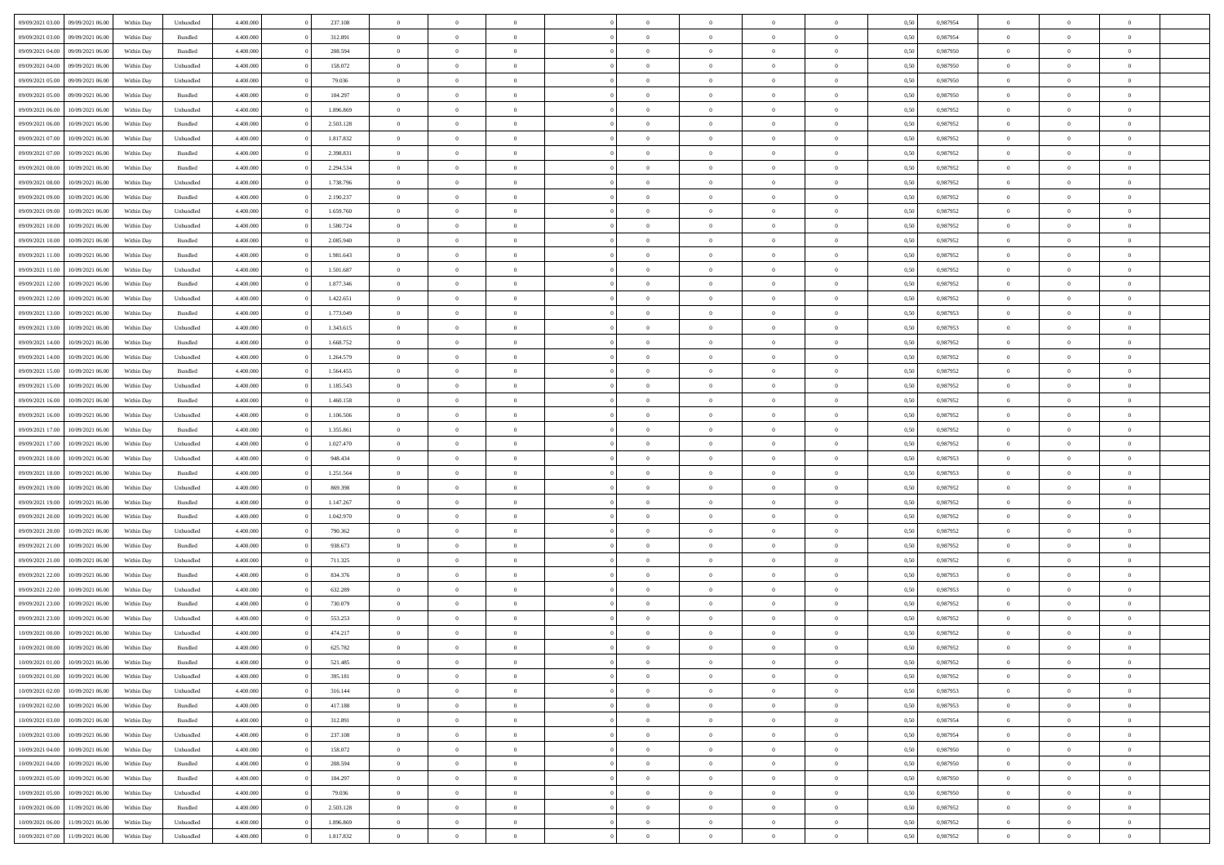|                  |                  |            |                    |           |           | $\overline{0}$ | $\Omega$       |                |                | $\Omega$       | $\theta$       | $\theta$       |      |          | $\theta$       |                | $\theta$       |  |
|------------------|------------------|------------|--------------------|-----------|-----------|----------------|----------------|----------------|----------------|----------------|----------------|----------------|------|----------|----------------|----------------|----------------|--|
| 09/09/2021 03:00 | 09/09/2021 06:00 | Within Day | Unbundled          | 4.400.000 | 237.108   |                |                |                | $\Omega$       |                |                |                | 0.50 | 0.987954 |                | $\theta$       |                |  |
| 09/09/2021 03:00 | 09/09/2021 06:00 | Within Day | Bundled            | 4.400.000 | 312.891   | $\overline{0}$ | $\theta$       | $\overline{0}$ | $\overline{0}$ | $\bf{0}$       | $\overline{0}$ | $\bf{0}$       | 0,50 | 0,987954 | $\theta$       | $\theta$       | $\overline{0}$ |  |
| 09/09/2021 04:00 | 09/09/2021 06:00 | Within Day | Bundled            | 4.400.000 | 208.594   | $\overline{0}$ | $\overline{0}$ | $\overline{0}$ | $\bf{0}$       | $\bf{0}$       | $\bf{0}$       | $\bf{0}$       | 0,50 | 0,987950 | $\overline{0}$ | $\overline{0}$ | $\overline{0}$ |  |
| 09/09/2021 04:00 | 09/09/2021 06:00 | Within Day | Unbundled          | 4.400.000 | 158.072   | $\overline{0}$ | $\overline{0}$ | $\overline{0}$ | $\overline{0}$ | $\bf{0}$       | $\overline{0}$ | $\overline{0}$ | 0.50 | 0,987950 | $\theta$       | $\theta$       | $\overline{0}$ |  |
| 09/09/2021 05:00 | 09/09/2021 06:00 | Within Day | Unbundled          | 4.400.000 | 79.036    | $\overline{0}$ | $\theta$       | $\overline{0}$ | $\overline{0}$ | $\bf{0}$       | $\overline{0}$ | $\bf{0}$       | 0,50 | 0,987950 | $\theta$       | $\overline{0}$ | $\overline{0}$ |  |
|                  |                  |            |                    |           |           |                |                |                |                |                |                |                |      |          |                |                |                |  |
| 09/09/2021 05:00 | 09/09/2021 06:00 | Within Day | Bundled            | 4.400.000 | 104.297   | $\overline{0}$ | $\bf{0}$       | $\overline{0}$ | $\bf{0}$       | $\overline{0}$ | $\overline{0}$ | $\mathbf{0}$   | 0,50 | 0,987950 | $\overline{0}$ | $\overline{0}$ | $\bf{0}$       |  |
| 09/09/2021 06:00 | 10/09/2021 06:00 | Within Dav | Unbundled          | 4.400.000 | 1.896.869 | $\overline{0}$ | $\overline{0}$ | $\overline{0}$ | $\overline{0}$ | $\overline{0}$ | $\overline{0}$ | $\overline{0}$ | 0.50 | 0,987952 | $\theta$       | $\overline{0}$ | $\overline{0}$ |  |
| 09/09/2021 06:00 | 10/09/2021 06:00 | Within Day | Bundled            | 4.400.000 | 2.503.128 | $\overline{0}$ | $\theta$       | $\overline{0}$ | $\overline{0}$ | $\bf{0}$       | $\overline{0}$ | $\bf{0}$       | 0,50 | 0,987952 | $\theta$       | $\theta$       | $\overline{0}$ |  |
| 09/09/2021 07:00 | 10/09/2021 06:00 | Within Day | Unbundled          | 4.400.000 | 1.817.832 | $\overline{0}$ | $\overline{0}$ | $\overline{0}$ | $\bf{0}$       | $\bf{0}$       | $\bf{0}$       | $\bf{0}$       | 0,50 | 0,987952 | $\,0\,$        | $\overline{0}$ | $\overline{0}$ |  |
| 09/09/2021 07:00 | 10/09/2021 06:00 | Within Dav | Bundled            | 4.400.000 | 2.398.831 | $\overline{0}$ | $\overline{0}$ | $\overline{0}$ | $\overline{0}$ | $\overline{0}$ | $\overline{0}$ | $\overline{0}$ | 0.50 | 0,987952 | $\theta$       | $\overline{0}$ | $\overline{0}$ |  |
| 09/09/2021 08:00 | 10/09/2021 06:00 | Within Day | Bundled            | 4.400.000 | 2.294.534 | $\overline{0}$ | $\theta$       | $\overline{0}$ | $\overline{0}$ | $\bf{0}$       | $\overline{0}$ | $\bf{0}$       | 0,50 | 0,987952 | $\,$ 0 $\,$    | $\overline{0}$ | $\overline{0}$ |  |
| 09/09/2021 08:00 | 10/09/2021 06:00 | Within Day | Unbundled          | 4.400.000 | 1.738.796 | $\overline{0}$ | $\overline{0}$ | $\overline{0}$ | $\bf{0}$       | $\bf{0}$       | $\bf{0}$       | $\bf{0}$       | 0,50 | 0,987952 | $\overline{0}$ | $\overline{0}$ | $\overline{0}$ |  |
|                  |                  |            |                    |           |           |                |                |                |                |                |                |                |      |          |                |                |                |  |
| 09/09/2021 09:00 | 10/09/2021 06:00 | Within Dav | Bundled            | 4.400.000 | 2.190.237 | $\overline{0}$ | $\overline{0}$ | $\overline{0}$ | $\overline{0}$ | $\bf{0}$       | $\overline{0}$ | $\overline{0}$ | 0.50 | 0,987952 | $\theta$       | $\theta$       | $\overline{0}$ |  |
| 09/09/2021 09:00 | 10/09/2021 06:00 | Within Day | Unbundled          | 4.400.000 | 1.659.760 | $\overline{0}$ | $\theta$       | $\overline{0}$ | $\overline{0}$ | $\bf{0}$       | $\overline{0}$ | $\overline{0}$ | 0,50 | 0,987952 | $\theta$       | $\overline{0}$ | $\overline{0}$ |  |
| 09/09/2021 10:00 | 10/09/2021 06:00 | Within Day | Unbundled          | 4.400.000 | 1.580.724 | $\overline{0}$ | $\overline{0}$ | $\overline{0}$ | $\bf{0}$       | $\overline{0}$ | $\overline{0}$ | $\mathbf{0}$   | 0,50 | 0,987952 | $\overline{0}$ | $\overline{0}$ | $\bf{0}$       |  |
| 09/09/2021 10:00 | 10/09/2021 06:00 | Within Dav | Bundled            | 4.400.000 | 2.085.940 | $\overline{0}$ | $\overline{0}$ | $\overline{0}$ | $\overline{0}$ | $\overline{0}$ | $\overline{0}$ | $\overline{0}$ | 0.50 | 0,987952 | $\theta$       | $\overline{0}$ | $\overline{0}$ |  |
| 09/09/2021 11:00 | 10/09/2021 06:00 | Within Day | Bundled            | 4.400.000 | 1.981.643 | $\overline{0}$ | $\theta$       | $\overline{0}$ | $\overline{0}$ | $\bf{0}$       | $\overline{0}$ | $\bf{0}$       | 0,50 | 0,987952 | $\theta$       | $\theta$       | $\overline{0}$ |  |
| 09/09/2021 11:00 | 10/09/2021 06:00 | Within Day | Unbundled          | 4.400.000 | 1.501.687 | $\overline{0}$ | $\overline{0}$ | $\overline{0}$ | $\bf{0}$       | $\bf{0}$       | $\bf{0}$       | $\bf{0}$       | 0,50 | 0,987952 | $\,0\,$        | $\overline{0}$ | $\overline{0}$ |  |
| 09/09/2021 12:00 | 10/09/2021 06:00 | Within Dav | Bundled            | 4.400.000 | 1.877.346 | $\overline{0}$ | $\overline{0}$ | $\overline{0}$ | $\overline{0}$ | $\overline{0}$ | $\overline{0}$ | $\overline{0}$ | 0.50 | 0,987952 | $\theta$       | $\overline{0}$ | $\overline{0}$ |  |
|                  |                  |            |                    |           |           |                |                |                |                |                |                |                |      |          |                |                |                |  |
| 09/09/2021 12:00 | 10/09/2021 06:00 | Within Day | Unbundled          | 4.400.000 | 1.422.651 | $\overline{0}$ | $\theta$       | $\overline{0}$ | $\overline{0}$ | $\bf{0}$       | $\overline{0}$ | $\bf{0}$       | 0,50 | 0,987952 | $\,$ 0 $\,$    | $\theta$       | $\overline{0}$ |  |
| 09/09/2021 13:00 | 10/09/2021 06:00 | Within Day | Bundled            | 4.400.000 | 1.773.049 | $\overline{0}$ | $\overline{0}$ | $\overline{0}$ | $\bf{0}$       | $\bf{0}$       | $\bf{0}$       | $\bf{0}$       | 0,50 | 0,987953 | $\,0\,$        | $\overline{0}$ | $\overline{0}$ |  |
| 09/09/2021 13:00 | 10/09/2021 06:00 | Within Day | Unbundled          | 4.400.000 | 1.343.615 | $\overline{0}$ | $\overline{0}$ | $\overline{0}$ | $\overline{0}$ | $\bf{0}$       | $\overline{0}$ | $\overline{0}$ | 0.50 | 0,987953 | $\theta$       | $\overline{0}$ | $\overline{0}$ |  |
| 09/09/2021 14:00 | 10/09/2021 06:00 | Within Day | Bundled            | 4.400.000 | 1.668.752 | $\overline{0}$ | $\theta$       | $\overline{0}$ | $\overline{0}$ | $\bf{0}$       | $\overline{0}$ | $\bf{0}$       | 0,50 | 0,987952 | $\theta$       | $\overline{0}$ | $\overline{0}$ |  |
| 09/09/2021 14:00 | 10/09/2021 06:00 | Within Day | Unbundled          | 4.400.000 | 1.264.579 | $\overline{0}$ | $\bf{0}$       | $\overline{0}$ | $\bf{0}$       | $\overline{0}$ | $\overline{0}$ | $\mathbf{0}$   | 0,50 | 0,987952 | $\overline{0}$ | $\overline{0}$ | $\bf{0}$       |  |
| 09/09/2021 15:00 | 10/09/2021 06:00 | Within Dav | Bundled            | 4.400.000 | 1.564.455 | $\overline{0}$ | $\overline{0}$ | $\overline{0}$ | $\overline{0}$ | $\overline{0}$ | $\overline{0}$ | $\overline{0}$ | 0.50 | 0,987952 | $\theta$       | $\overline{0}$ | $\overline{0}$ |  |
| 09/09/2021 15:00 | 10/09/2021 06:00 |            |                    | 4.400.000 | 1.185.543 | $\overline{0}$ | $\theta$       | $\overline{0}$ | $\overline{0}$ | $\bf{0}$       | $\overline{0}$ |                |      | 0,987952 | $\theta$       | $\theta$       | $\overline{0}$ |  |
|                  |                  | Within Day | Unbundled          |           |           |                |                |                |                |                |                | $\bf{0}$       | 0,50 |          |                |                |                |  |
| 09/09/2021 16:00 | 10/09/2021 06:00 | Within Day | Bundled            | 4.400.000 | 1.460.158 | $\overline{0}$ | $\overline{0}$ | $\overline{0}$ | $\bf{0}$       | $\bf{0}$       | $\bf{0}$       | $\bf{0}$       | 0,50 | 0,987952 | $\,0\,$        | $\overline{0}$ | $\overline{0}$ |  |
| 09/09/2021 16:00 | 10/09/2021 06:00 | Within Day | Unbundled          | 4.400.000 | 1.106.506 | $\overline{0}$ | $\overline{0}$ | $\overline{0}$ | $\overline{0}$ | $\overline{0}$ | $\overline{0}$ | $\overline{0}$ | 0.50 | 0,987952 | $\theta$       | $\overline{0}$ | $\overline{0}$ |  |
| 09/09/2021 17:00 | 10/09/2021 06:00 | Within Day | Bundled            | 4.400.000 | 1.355.861 | $\overline{0}$ | $\theta$       | $\overline{0}$ | $\overline{0}$ | $\bf{0}$       | $\overline{0}$ | $\bf{0}$       | 0,50 | 0,987952 | $\,$ 0 $\,$    | $\overline{0}$ | $\overline{0}$ |  |
| 09/09/2021 17:00 | 10/09/2021 06:00 | Within Day | Unbundled          | 4.400.000 | 1.027.470 | $\overline{0}$ | $\overline{0}$ | $\overline{0}$ | $\bf{0}$       | $\bf{0}$       | $\bf{0}$       | $\bf{0}$       | 0,50 | 0,987952 | $\bf{0}$       | $\overline{0}$ | $\overline{0}$ |  |
| 09/09/2021 18:00 | 10/09/2021 06:00 | Within Day | Unbundled          | 4.400,000 | 948,434   | $\overline{0}$ | $\Omega$       | $\Omega$       | $\Omega$       | $\Omega$       | $\Omega$       | $\overline{0}$ | 0.50 | 0,987953 | $\,0\,$        | $\theta$       | $\theta$       |  |
| 09/09/2021 18:00 | 10/09/2021 06:00 | Within Day | Bundled            | 4.400.000 | 1.251.564 | $\overline{0}$ | $\theta$       | $\overline{0}$ | $\overline{0}$ | $\bf{0}$       | $\overline{0}$ | $\bf{0}$       | 0,50 | 0,987953 | $\theta$       | $\overline{0}$ | $\overline{0}$ |  |
|                  |                  |            |                    |           |           |                |                |                |                |                |                |                |      |          |                |                |                |  |
| 09/09/2021 19:00 | 10/09/2021 06:00 | Within Day | Unbundled          | 4.400.000 | 869.398   | $\overline{0}$ | $\overline{0}$ | $\overline{0}$ | $\bf{0}$       | $\bf{0}$       | $\overline{0}$ | $\mathbf{0}$   | 0,50 | 0,987952 | $\overline{0}$ | $\overline{0}$ | $\bf{0}$       |  |
| 09/09/2021 19:00 | 10/09/2021 06:00 | Within Day | Bundled            | 4.400,000 | 1.147.267 | $\overline{0}$ | $\Omega$       | $\Omega$       | $\Omega$       | $\bf{0}$       | $\overline{0}$ | $\overline{0}$ | 0.50 | 0,987952 | $\theta$       | $\theta$       | $\theta$       |  |
| 09/09/2021 20:00 | 10/09/2021 06:00 | Within Day | Bundled            | 4.400.000 | 1.042.970 | $\overline{0}$ | $\theta$       | $\overline{0}$ | $\overline{0}$ | $\bf{0}$       | $\overline{0}$ | $\bf{0}$       | 0,50 | 0,987952 | $\theta$       | $\theta$       | $\overline{0}$ |  |
| 09/09/2021 20:00 | 10/09/2021 06:00 | Within Day | Unbundled          | 4.400.000 | 790.362   | $\overline{0}$ | $\overline{0}$ | $\overline{0}$ | $\bf{0}$       | $\bf{0}$       | $\overline{0}$ | $\bf{0}$       | 0,50 | 0,987952 | $\,0\,$        | $\overline{0}$ | $\overline{0}$ |  |
| 09/09/2021 21.00 | 10/09/2021 06:00 | Within Day | Bundled            | 4.400,000 | 938.673   | $\overline{0}$ | $\Omega$       | $\Omega$       | $\Omega$       | $\theta$       | $\theta$       | $\overline{0}$ | 0.50 | 0.987952 | $\theta$       | $\theta$       | $\theta$       |  |
| 09/09/2021 21:00 | 10/09/2021 06:00 | Within Day | Unbundled          | 4.400.000 | 711.325   | $\overline{0}$ | $\theta$       | $\overline{0}$ | $\overline{0}$ | $\bf{0}$       | $\overline{0}$ | $\bf{0}$       | 0,50 | 0,987952 | $\,$ 0 $\,$    | $\overline{0}$ | $\overline{0}$ |  |
| 09/09/2021 22.00 | 10/09/2021 06:00 | Within Day | Bundled            | 4.400.000 | 834.376   | $\overline{0}$ | $\overline{0}$ | $\overline{0}$ | $\overline{0}$ | $\bf{0}$       | $\overline{0}$ | $\bf{0}$       | 0,50 | 0,987953 | $\overline{0}$ | $\overline{0}$ | $\overline{0}$ |  |
| 09/09/2021 22.00 | 10/09/2021 06:00 |            | Unbundled          | 4.400,000 | 632.289   | $\overline{0}$ | $\Omega$       | $\Omega$       | $\Omega$       | $\Omega$       | $\overline{0}$ | $\overline{0}$ | 0.50 | 0,987953 | $\,0\,$        | $\theta$       | $\theta$       |  |
|                  |                  | Within Day |                    |           |           |                |                |                |                |                |                |                |      |          |                |                |                |  |
| 09/09/2021 23:00 | 10/09/2021 06:00 | Within Day | Bundled            | 4.400.000 | 730.079   | $\overline{0}$ | $\theta$       | $\overline{0}$ | $\overline{0}$ | $\bf{0}$       | $\overline{0}$ | $\bf{0}$       | 0,50 | 0,987952 | $\,$ 0 $\,$    | $\overline{0}$ | $\overline{0}$ |  |
| 09/09/2021 23.00 | 10/09/2021 06:00 | Within Day | Unbundled          | 4.400.000 | 553.253   | $\overline{0}$ | $\overline{0}$ | $\overline{0}$ | $\overline{0}$ | $\bf{0}$       | $\overline{0}$ | $\mathbf{0}$   | 0,50 | 0,987952 | $\overline{0}$ | $\overline{0}$ | $\bf{0}$       |  |
| 10/09/2021 00:00 | 10/09/2021 06:00 | Within Day | Unbundled          | 4.400,000 | 474.217   | $\overline{0}$ | $\Omega$       | $\Omega$       | $\Omega$       | $\Omega$       | $\Omega$       | $\overline{0}$ | 0.50 | 0.987952 | $\theta$       | $\Omega$       | $\theta$       |  |
| 10/09/2021 00:00 | 10/09/2021 06:00 | Within Day | Bundled            | 4.400.000 | 625.782   | $\overline{0}$ | $\overline{0}$ | $\overline{0}$ | $\bf{0}$       | $\,$ 0         | $\overline{0}$ | $\bf{0}$       | 0,50 | 0,987952 | $\,0\,$        | $\,$ 0 $\,$    | $\overline{0}$ |  |
| 10/09/2021 01:00 | 10/09/2021 06:00 | Within Day | $\mathbf B$ undled | 4.400.000 | 521.485   | $\bf{0}$       | $\bf{0}$       |                |                |                |                |                | 0,50 | 0,987952 | $\bf{0}$       | $\overline{0}$ |                |  |
| 10/09/2021 01:00 | 10/09/2021 06:00 | Within Day | Unbundled          | 4.400.000 | 395.181   | $\overline{0}$ | $\overline{0}$ | $\overline{0}$ | $\Omega$       | $\overline{0}$ | $\overline{0}$ | $\overline{0}$ | 0.50 | 0.987952 | $\theta$       | $\theta$       | $\theta$       |  |
| 10/09/2021 02:00 | 10/09/2021 06:00 | Within Day | Unbundled          | 4.400.000 | 316.144   | $\overline{0}$ | $\bf{0}$       | $\overline{0}$ | $\overline{0}$ | $\,$ 0 $\,$    | $\overline{0}$ | $\,$ 0 $\,$    | 0,50 | 0,987953 | $\,$ 0 $\,$    | $\,$ 0 $\,$    | $\,$ 0         |  |
|                  |                  |            |                    |           |           |                |                |                |                |                |                |                |      |          |                |                |                |  |
| 10/09/2021 02:00 | 10/09/2021 06:00 | Within Day | Bundled            | 4.400.000 | 417.188   | $\overline{0}$ | $\overline{0}$ | $\overline{0}$ | $\overline{0}$ | $\overline{0}$ | $\overline{0}$ | $\mathbf{0}$   | 0,50 | 0,987953 | $\overline{0}$ | $\overline{0}$ | $\overline{0}$ |  |
| 10/09/2021 03:00 | 10/09/2021 06:00 | Within Day | $\mathbf B$ undled | 4.400,000 | 312.891   | $\overline{0}$ | $\overline{0}$ | $\overline{0}$ | $\Omega$       | $\overline{0}$ | $\overline{0}$ | $\overline{0}$ | 0,50 | 0,987954 | $\overline{0}$ | $\theta$       | $\overline{0}$ |  |
| 10/09/2021 03:00 | 10/09/2021 06:00 | Within Day | Unbundled          | 4.400.000 | 237.108   | $\overline{0}$ | $\,$ 0         | $\overline{0}$ | $\overline{0}$ | $\,$ 0 $\,$    | $\overline{0}$ | $\mathbf{0}$   | 0,50 | 0,987954 | $\,$ 0 $\,$    | $\overline{0}$ | $\overline{0}$ |  |
| 10/09/2021 04:00 | 10/09/2021 06:00 | Within Day | Unbundled          | 4.400.000 | 158.072   | $\overline{0}$ | $\overline{0}$ | $\overline{0}$ | $\overline{0}$ | $\overline{0}$ | $\overline{0}$ | $\mathbf{0}$   | 0,50 | 0,987950 | $\overline{0}$ | $\overline{0}$ | $\bf{0}$       |  |
| 10/09/2021 04:00 | 10/09/2021 06:00 | Within Day | Bundled            | 4.400,000 | 208,594   | $\overline{0}$ | $\overline{0}$ | $\overline{0}$ | $\overline{0}$ | $\overline{0}$ | $\overline{0}$ | $\bf{0}$       | 0.50 | 0,987950 | $\overline{0}$ | $\theta$       | $\overline{0}$ |  |
| 10/09/2021 05:00 | 10/09/2021 06:00 | Within Day | Bundled            | 4.400.000 | 104.297   | $\overline{0}$ | $\,$ 0         | $\overline{0}$ | $\bf{0}$       | $\bf{0}$       | $\bf{0}$       | $\bf{0}$       | 0,50 | 0,987950 | $\,$ 0 $\,$    | $\overline{0}$ | $\overline{0}$ |  |
| 10/09/2021 05:00 | 10/09/2021 06:00 | Within Day | Unbundled          | 4.400.000 | 79.036    | $\overline{0}$ | $\bf{0}$       | $\overline{0}$ | $\overline{0}$ | $\overline{0}$ | $\overline{0}$ | $\mathbf{0}$   | 0,50 | 0,987950 | $\overline{0}$ | $\overline{0}$ | $\bf{0}$       |  |
|                  |                  |            |                    |           |           |                |                |                |                |                |                |                |      |          |                |                |                |  |
| 10/09/2021 06:00 | 11/09/2021 06:00 | Within Day | Bundled            | 4.400,000 | 2.503.128 | $\overline{0}$ | $\overline{0}$ | $\overline{0}$ | $\Omega$       | $\overline{0}$ | $\overline{0}$ | $\overline{0}$ | 0.50 | 0,987952 | $\overline{0}$ | $\overline{0}$ | $\overline{0}$ |  |
| 10/09/2021 06:00 | 11/09/2021 06:00 | Within Day | Unbundled          | 4.400.000 | 1.896.869 | $\overline{0}$ | $\bf{0}$       | $\overline{0}$ | $\overline{0}$ | $\bf{0}$       | $\bf{0}$       | $\mathbf{0}$   | 0,50 | 0,987952 | $\,$ 0 $\,$    | $\,$ 0 $\,$    | $\bf{0}$       |  |
| 10/09/2021 07:00 | 11/09/2021 06:00 | Within Day | Unbundled          | 4.400.000 | 1.817.832 | $\overline{0}$ | $\bf{0}$       | $\overline{0}$ | $\overline{0}$ | $\bf{0}$       | $\bf{0}$       | $\bf{0}$       | 0,50 | 0,987952 | $\overline{0}$ | $\overline{0}$ | $\bf{0}$       |  |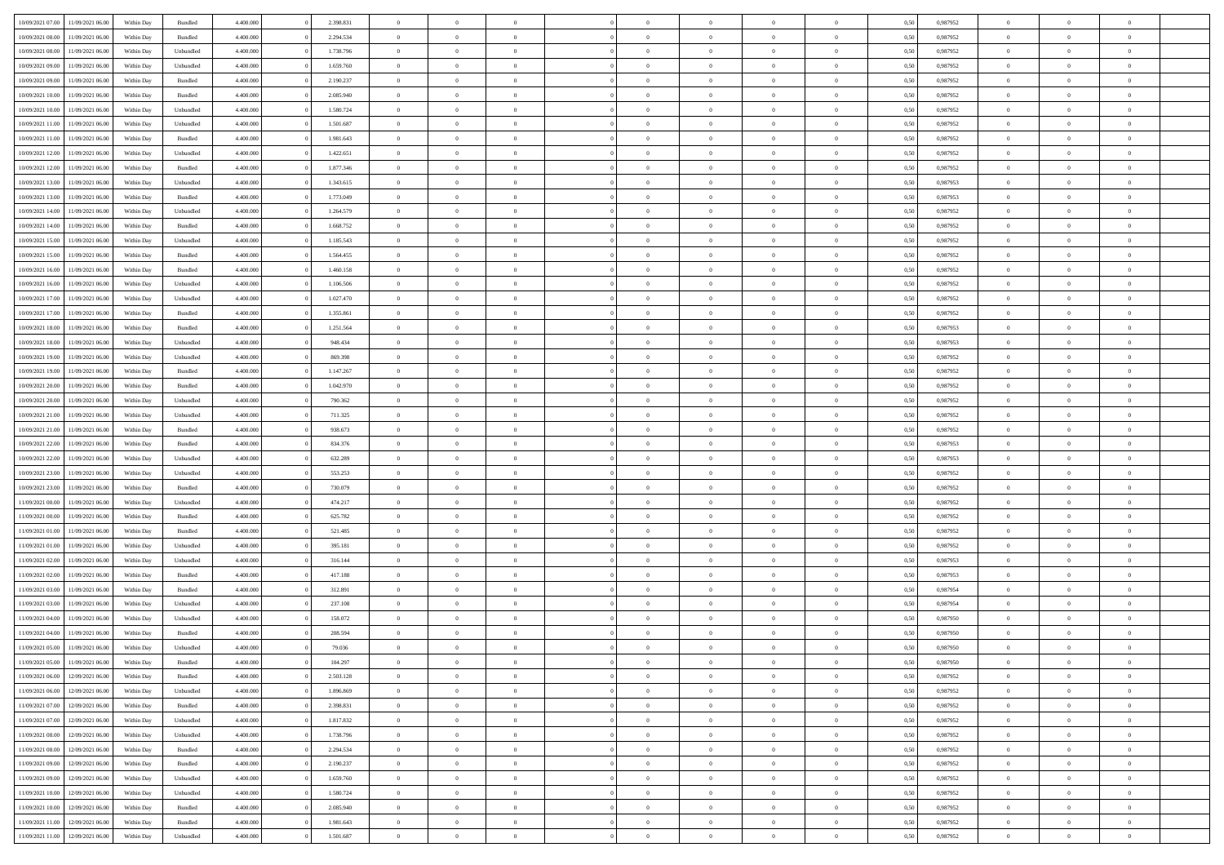| 10/09/2021 07:00 | 11/09/2021 06:00 | Within Day | Bundled            | 4.400.000 | 2.398.831 | $\overline{0}$ | $\theta$       |                | $\Omega$       | $\Omega$       | $\theta$       | $\theta$       | 0,50 | 0,987952 | $\theta$       | $\overline{0}$ | $\theta$       |  |
|------------------|------------------|------------|--------------------|-----------|-----------|----------------|----------------|----------------|----------------|----------------|----------------|----------------|------|----------|----------------|----------------|----------------|--|
|                  |                  |            |                    |           |           |                |                |                |                |                |                |                |      |          |                |                |                |  |
| 10/09/2021 08:00 | 11/09/2021 06:00 | Within Day | Bundled            | 4.400.000 | 2.294.534 | $\overline{0}$ | $\theta$       | $\overline{0}$ | $\overline{0}$ | $\bf{0}$       | $\overline{0}$ | $\bf{0}$       | 0,50 | 0,987952 | $\theta$       | $\overline{0}$ | $\overline{0}$ |  |
| 10/09/2021 08:00 | 11/09/2021 06:00 | Within Day | Unbundled          | 4.400.000 | 1.738.796 | $\overline{0}$ | $\bf{0}$       | $\overline{0}$ | $\bf{0}$       | $\bf{0}$       | $\bf{0}$       | $\mathbf{0}$   | 0,50 | 0,987952 | $\overline{0}$ | $\overline{0}$ | $\bf{0}$       |  |
| 10/09/2021 09:00 | 11/09/2021 06:00 | Within Day | Unbundled          | 4.400.000 | 1.659.760 | $\overline{0}$ | $\overline{0}$ | $\overline{0}$ | $\overline{0}$ | $\bf{0}$       | $\overline{0}$ | $\overline{0}$ | 0.50 | 0,987952 | $\theta$       | $\theta$       | $\overline{0}$ |  |
| 10/09/2021 09:00 | 11/09/2021 06:00 | Within Day | Bundled            | 4.400.000 | 2.190.237 | $\overline{0}$ | $\theta$       | $\overline{0}$ | $\overline{0}$ | $\bf{0}$       | $\overline{0}$ | $\bf{0}$       | 0,50 | 0,987952 | $\theta$       | $\overline{0}$ | $\overline{0}$ |  |
| 10/09/2021 10:00 | 11/09/2021 06:00 | Within Day | Bundled            | 4.400.000 | 2.085.940 | $\overline{0}$ | $\overline{0}$ | $\overline{0}$ | $\bf{0}$       | $\overline{0}$ | $\overline{0}$ | $\mathbf{0}$   | 0,50 | 0,987952 | $\overline{0}$ | $\overline{0}$ | $\bf{0}$       |  |
| 10/09/2021 10:00 | 11/09/2021 06:00 | Within Dav | Unbundled          | 4.400.000 | 1.580.724 | $\overline{0}$ | $\overline{0}$ | $\overline{0}$ | $\overline{0}$ | $\overline{0}$ | $\overline{0}$ | $\overline{0}$ | 0.50 | 0,987952 | $\theta$       | $\overline{0}$ | $\overline{0}$ |  |
|                  |                  |            |                    |           |           |                |                |                |                |                |                |                |      |          |                |                |                |  |
| 10/09/2021 11:00 | 11/09/2021 06:00 | Within Day | Unbundled          | 4.400.000 | 1.501.687 | $\overline{0}$ | $\theta$       | $\overline{0}$ | $\overline{0}$ | $\bf{0}$       | $\overline{0}$ | $\bf{0}$       | 0,50 | 0,987952 | $\theta$       | $\theta$       | $\overline{0}$ |  |
| 10/09/2021 11:00 | 11/09/2021 06:00 | Within Day | Bundled            | 4.400.000 | 1.981.643 | $\overline{0}$ | $\overline{0}$ | $\overline{0}$ | $\bf{0}$       | $\bf{0}$       | $\bf{0}$       | $\bf{0}$       | 0,50 | 0,987952 | $\,0\,$        | $\overline{0}$ | $\overline{0}$ |  |
| 10/09/2021 12:00 | 11/09/2021 06:00 | Within Dav | Unbundled          | 4.400.000 | 1.422.651 | $\overline{0}$ | $\overline{0}$ | $\overline{0}$ | $\overline{0}$ | $\overline{0}$ | $\overline{0}$ | $\overline{0}$ | 0.50 | 0,987952 | $\theta$       | $\overline{0}$ | $\overline{0}$ |  |
| 10/09/2021 12:00 | 11/09/2021 06:00 | Within Day | Bundled            | 4.400.000 | 1.877.346 | $\overline{0}$ | $\theta$       | $\overline{0}$ | $\overline{0}$ | $\bf{0}$       | $\overline{0}$ | $\bf{0}$       | 0,50 | 0,987952 | $\,$ 0 $\,$    | $\overline{0}$ | $\overline{0}$ |  |
| 10/09/2021 13:00 | 11/09/2021 06:00 | Within Day | Unbundled          | 4.400.000 | 1.343.615 | $\overline{0}$ | $\bf{0}$       | $\overline{0}$ | $\bf{0}$       | $\bf{0}$       | $\bf{0}$       | $\mathbf{0}$   | 0,50 | 0,987953 | $\overline{0}$ | $\overline{0}$ | $\bf{0}$       |  |
| 10/09/2021 13:00 | 11/09/2021 06:00 | Within Dav | Bundled            | 4.400.000 | 1.773.049 | $\overline{0}$ | $\overline{0}$ | $\overline{0}$ | $\overline{0}$ | $\bf{0}$       | $\overline{0}$ | $\overline{0}$ | 0.50 | 0,987953 | $\theta$       | $\theta$       | $\overline{0}$ |  |
| 10/09/2021 14:00 | 11/09/2021 06:00 | Within Day | Unbundled          | 4.400.000 | 1.264.579 | $\overline{0}$ | $\theta$       | $\overline{0}$ | $\overline{0}$ | $\bf{0}$       | $\overline{0}$ | $\bf{0}$       | 0,50 | 0,987952 | $\theta$       | $\overline{0}$ | $\overline{0}$ |  |
|                  |                  |            |                    |           |           |                |                |                |                |                |                |                |      |          |                |                |                |  |
| 10/09/2021 14:00 | 11/09/2021 06:00 | Within Day | Bundled            | 4.400.000 | 1.668.752 | $\overline{0}$ | $\overline{0}$ | $\overline{0}$ | $\bf{0}$       | $\overline{0}$ | $\overline{0}$ | $\mathbf{0}$   | 0,50 | 0,987952 | $\overline{0}$ | $\overline{0}$ | $\bf{0}$       |  |
| 10/09/2021 15:00 | 11/09/2021 06:00 | Within Dav | Unbundled          | 4.400.000 | 1.185.543 | $\overline{0}$ | $\overline{0}$ | $\overline{0}$ | $\overline{0}$ | $\overline{0}$ | $\overline{0}$ | $\overline{0}$ | 0.50 | 0,987952 | $\theta$       | $\overline{0}$ | $\overline{0}$ |  |
| 10/09/2021 15:00 | 11/09/2021 06:00 | Within Day | Bundled            | 4.400.000 | 1.564.455 | $\overline{0}$ | $\theta$       | $\overline{0}$ | $\overline{0}$ | $\bf{0}$       | $\overline{0}$ | $\bf{0}$       | 0,50 | 0,987952 | $\theta$       | $\theta$       | $\overline{0}$ |  |
| 10/09/2021 16:00 | 11/09/2021 06:00 | Within Day | Bundled            | 4.400.000 | 1.460.158 | $\overline{0}$ | $\overline{0}$ | $\overline{0}$ | $\bf{0}$       | $\bf{0}$       | $\bf{0}$       | $\mathbf{0}$   | 0,50 | 0,987952 | $\,0\,$        | $\overline{0}$ | $\bf{0}$       |  |
| 10/09/2021 16:00 | 11/09/2021 06:00 | Within Dav | Unbundled          | 4.400.000 | 1.106.506 | $\overline{0}$ | $\overline{0}$ | $\overline{0}$ | $\overline{0}$ | $\overline{0}$ | $\overline{0}$ | $\overline{0}$ | 0.50 | 0,987952 | $\theta$       | $\overline{0}$ | $\overline{0}$ |  |
| 10/09/2021 17:00 | 11/09/2021 06:00 | Within Day | Unbundled          | 4.400.000 | 1.027.470 | $\overline{0}$ | $\theta$       | $\overline{0}$ | $\overline{0}$ | $\bf{0}$       | $\overline{0}$ | $\bf{0}$       | 0,50 | 0,987952 | $\,$ 0 $\,$    | $\overline{0}$ | $\overline{0}$ |  |
| 10/09/2021 17:00 | 11/09/2021 06:00 | Within Day | Bundled            | 4.400.000 | 1.355.861 | $\overline{0}$ | $\overline{0}$ | $\overline{0}$ | $\bf{0}$       | $\bf{0}$       | $\bf{0}$       | $\bf{0}$       | 0,50 | 0,987952 | $\bf{0}$       | $\overline{0}$ | $\bf{0}$       |  |
|                  |                  |            |                    |           |           |                |                |                |                |                |                |                |      |          | $\theta$       |                |                |  |
| 10/09/2021 18:00 | 11/09/2021 06:00 | Within Day | Bundled            | 4.400.000 | 1.251.564 | $\overline{0}$ | $\overline{0}$ | $\overline{0}$ | $\overline{0}$ | $\bf{0}$       | $\overline{0}$ | $\overline{0}$ | 0.50 | 0,987953 |                | $\overline{0}$ | $\overline{0}$ |  |
| 10/09/2021 18:00 | 11/09/2021 06:00 | Within Day | Unbundled          | 4.400.000 | 948.434   | $\overline{0}$ | $\theta$       | $\overline{0}$ | $\overline{0}$ | $\bf{0}$       | $\overline{0}$ | $\bf{0}$       | 0,50 | 0,987953 | $\,$ 0 $\,$    | $\overline{0}$ | $\overline{0}$ |  |
| 10/09/2021 19:00 | 11/09/2021 06:00 | Within Day | Unbundled          | 4.400.000 | 869.398   | $\overline{0}$ | $\overline{0}$ | $\overline{0}$ | $\bf{0}$       | $\overline{0}$ | $\overline{0}$ | $\mathbf{0}$   | 0,50 | 0,987952 | $\overline{0}$ | $\overline{0}$ | $\bf{0}$       |  |
| 10/09/2021 19:00 | 11/09/2021 06:00 | Within Dav | Bundled            | 4.400.000 | 1.147.267 | $\overline{0}$ | $\overline{0}$ | $\overline{0}$ | $\overline{0}$ | $\overline{0}$ | $\overline{0}$ | $\overline{0}$ | 0.50 | 0,987952 | $\theta$       | $\overline{0}$ | $\overline{0}$ |  |
| 10/09/2021 20:00 | 11/09/2021 06:00 | Within Day | Bundled            | 4.400.000 | 1.042.970 | $\overline{0}$ | $\theta$       | $\overline{0}$ | $\overline{0}$ | $\bf{0}$       | $\overline{0}$ | $\bf{0}$       | 0,50 | 0,987952 | $\theta$       | $\theta$       | $\overline{0}$ |  |
| 10/09/2021 20:00 | 11/09/2021 06:00 | Within Day | Unbundled          | 4.400.000 | 790.362   | $\overline{0}$ | $\overline{0}$ | $\overline{0}$ | $\bf{0}$       | $\bf{0}$       | $\bf{0}$       | $\bf{0}$       | 0,50 | 0,987952 | $\,0\,$        | $\overline{0}$ | $\overline{0}$ |  |
| 10/09/2021 21:00 | 11/09/2021 06:00 | Within Day | Unbundled          | 4.400.000 | 711.325   | $\overline{0}$ | $\overline{0}$ | $\overline{0}$ | $\overline{0}$ | $\overline{0}$ | $\overline{0}$ | $\overline{0}$ | 0.50 | 0,987952 | $\theta$       | $\overline{0}$ | $\overline{0}$ |  |
|                  |                  |            |                    |           |           | $\overline{0}$ |                |                |                |                |                |                |      |          |                |                |                |  |
| 10/09/2021 21:00 | 11/09/2021 06:00 | Within Day | Bundled            | 4.400.000 | 938.673   |                | $\theta$       | $\overline{0}$ | $\overline{0}$ | $\bf{0}$       | $\overline{0}$ | $\bf{0}$       | 0,50 | 0,987952 | $\,$ 0 $\,$    | $\overline{0}$ | $\overline{0}$ |  |
| 10/09/2021 22:00 | 11/09/2021 06:00 | Within Day | Bundled            | 4.400.000 | 834.376   | $\overline{0}$ | $\overline{0}$ | $\overline{0}$ | $\bf{0}$       | $\bf{0}$       | $\bf{0}$       | $\bf{0}$       | 0,50 | 0,987953 | $\overline{0}$ | $\overline{0}$ | $\bf{0}$       |  |
| 10/09/2021 22:00 | 11/09/2021 06.00 | Within Day | Unbundled          | 4.400,000 | 632.289   | $\overline{0}$ | $\Omega$       | $\Omega$       | $\Omega$       | $\Omega$       | $\overline{0}$ | $\overline{0}$ | 0,50 | 0,987953 | $\,0\,$        | $\theta$       | $\theta$       |  |
| 10/09/2021 23:00 | 11/09/2021 06:00 | Within Day | Unbundled          | 4.400.000 | 553.253   | $\overline{0}$ | $\theta$       | $\overline{0}$ | $\overline{0}$ | $\bf{0}$       | $\overline{0}$ | $\bf{0}$       | 0,50 | 0,987952 | $\theta$       | $\overline{0}$ | $\overline{0}$ |  |
| 10/09/2021 23:00 | 11/09/2021 06:00 | Within Day | Bundled            | 4.400.000 | 730.079   | $\overline{0}$ | $\overline{0}$ | $\overline{0}$ | $\bf{0}$       | $\overline{0}$ | $\overline{0}$ | $\mathbf{0}$   | 0,50 | 0,987952 | $\overline{0}$ | $\overline{0}$ | $\bf{0}$       |  |
| 11/09/2021 00:00 | 11/09/2021 06:00 | Within Day | Unbundled          | 4.400,000 | 474.217   | $\overline{0}$ | $\Omega$       | $\Omega$       | $\Omega$       | $\bf{0}$       | $\overline{0}$ | $\overline{0}$ | 0.50 | 0,987952 | $\,0\,$        | $\theta$       | $\theta$       |  |
| 11/09/2021 00:00 | 11/09/2021 06:00 | Within Day | Bundled            | 4.400.000 | 625.782   | $\overline{0}$ | $\theta$       | $\overline{0}$ | $\overline{0}$ | $\bf{0}$       | $\overline{0}$ | $\bf{0}$       | 0,50 | 0,987952 | $\,$ 0 $\,$    | $\overline{0}$ | $\overline{0}$ |  |
| 11/09/2021 01:00 | 11/09/2021 06:00 | Within Day | Bundled            | 4.400.000 | 521.485   | $\overline{0}$ | $\overline{0}$ | $\overline{0}$ | $\bf{0}$       | $\bf{0}$       | $\bf{0}$       | $\bf{0}$       | 0,50 | 0,987952 | $\bf{0}$       | $\overline{0}$ | $\bf{0}$       |  |
|                  |                  |            |                    |           |           |                | $\Omega$       |                |                | $\theta$       |                |                |      |          | $\theta$       |                | $\theta$       |  |
| 11/09/2021 01:00 | 11/09/2021 06:00 | Within Day | Unbundled          | 4.400,000 | 395.181   | $\overline{0}$ |                | $\Omega$       | $\Omega$       |                | $\overline{0}$ | $\overline{0}$ | 0.50 | 0.987952 |                | $\theta$       |                |  |
| 11/09/2021 02:00 | 11/09/2021 06:00 | Within Day | Unbundled          | 4.400.000 | 316.144   | $\overline{0}$ | $\overline{0}$ | $\overline{0}$ | $\overline{0}$ | $\bf{0}$       | $\overline{0}$ | $\bf{0}$       | 0,50 | 0,987953 | $\,$ 0 $\,$    | $\overline{0}$ | $\overline{0}$ |  |
| 11/09/2021 02:00 | 11/09/2021 06:00 | Within Day | Bundled            | 4.400.000 | 417.188   | $\overline{0}$ | $\overline{0}$ | $\overline{0}$ | $\bf{0}$       | $\bf{0}$       | $\bf{0}$       | $\mathbf{0}$   | 0,50 | 0,987953 | $\overline{0}$ | $\overline{0}$ | $\bf{0}$       |  |
| 11/09/2021 03:00 | 11/09/2021 06.00 | Within Day | Bundled            | 4.400,000 | 312.891   | $\overline{0}$ | $\Omega$       | $\Omega$       | $\Omega$       | $\overline{0}$ | $\overline{0}$ | $\overline{0}$ | 0.50 | 0,987954 | $\,0\,$        | $\theta$       | $\theta$       |  |
| 11/09/2021 03:00 | 11/09/2021 06:00 | Within Day | Unbundled          | 4.400.000 | 237.108   | $\overline{0}$ | $\overline{0}$ | $\overline{0}$ | $\overline{0}$ | $\bf{0}$       | $\overline{0}$ | $\bf{0}$       | 0,50 | 0,987954 | $\,$ 0 $\,$    | $\overline{0}$ | $\overline{0}$ |  |
| 11/09/2021 04:00 | 11/09/2021 06:00 | Within Day | Unbundled          | 4.400.000 | 158.072   | $\overline{0}$ | $\overline{0}$ | $\overline{0}$ | $\bf{0}$       | $\bf{0}$       | $\bf{0}$       | $\mathbf{0}$   | 0,50 | 0,987950 | $\overline{0}$ | $\overline{0}$ | $\bf{0}$       |  |
| 11/09/2021 04:00 | 11/09/2021 06:00 | Within Day | Bundled            | 4.400,000 | 208,594   | $\overline{0}$ | $\Omega$       | $\Omega$       | $\Omega$       | $\Omega$       | $\Omega$       | $\overline{0}$ | 0.50 | 0.987950 | $\theta$       | $\theta$       | $\theta$       |  |
| 11/09/2021 05:00 | 11/09/2021 06:00 | Within Day | Unbundled          | 4.400.000 | 79.036    | $\overline{0}$ | $\overline{0}$ | $\overline{0}$ | $\bf{0}$       | $\,$ 0         | $\bf{0}$       | $\bf{0}$       | 0,50 | 0,987950 | $\,0\,$        | $\,$ 0 $\,$    | $\overline{0}$ |  |
| 11/09/2021 05:00 | 11/09/2021 06:00 | Within Day | $\mathbf B$ undled | 4.400.000 | 104.297   | $\bf{0}$       | $\bf{0}$       |                |                |                |                |                | 0,50 | 0,987950 | $\bf{0}$       | $\overline{0}$ |                |  |
|                  |                  |            |                    |           |           |                |                |                |                |                |                |                |      |          |                |                |                |  |
| 11/09/2021 06:00 | 12/09/2021 06:00 | Within Day | Bundled            | 4.400.000 | 2.503.128 | $\overline{0}$ | $\overline{0}$ | $\overline{0}$ | $\Omega$       | $\overline{0}$ | $\overline{0}$ | $\overline{0}$ | 0.50 | 0.987952 | $\theta$       | $\theta$       | $\theta$       |  |
| 11/09/2021 06:00 | 12/09/2021 06:00 | Within Day | Unbundled          | 4.400.000 | 1.896.869 | $\overline{0}$ | $\,$ 0         | $\overline{0}$ | $\bf{0}$       | $\,$ 0 $\,$    | $\overline{0}$ | $\mathbf{0}$   | 0,50 | 0,987952 | $\,$ 0 $\,$    | $\,$ 0 $\,$    | $\,$ 0         |  |
| 11/09/2021 07:00 | 12/09/2021 06:00 | Within Day | Bundled            | 4.400.000 | 2.398.831 | $\overline{0}$ | $\overline{0}$ | $\overline{0}$ | $\overline{0}$ | $\overline{0}$ | $\overline{0}$ | $\mathbf{0}$   | 0,50 | 0,987952 | $\overline{0}$ | $\bf{0}$       | $\bf{0}$       |  |
| 11/09/2021 07:00 | 12/09/2021 06:00 | Within Day | Unbundled          | 4.400,000 | 1.817.832 | $\overline{0}$ | $\overline{0}$ | $\overline{0}$ | $\Omega$       | $\overline{0}$ | $\overline{0}$ | $\overline{0}$ | 0,50 | 0,987952 | $\overline{0}$ | $\theta$       | $\overline{0}$ |  |
| 11/09/2021 08:00 | 12/09/2021 06:00 | Within Day | Unbundled          | 4.400.000 | 1.738.796 | $\overline{0}$ | $\,$ 0         | $\overline{0}$ | $\overline{0}$ | $\,$ 0 $\,$    | $\overline{0}$ | $\mathbf{0}$   | 0,50 | 0,987952 | $\,$ 0 $\,$    | $\overline{0}$ | $\overline{0}$ |  |
| 11/09/2021 08:00 | 12/09/2021 06:00 | Within Day | Bundled            | 4.400.000 | 2.294.534 | $\overline{0}$ | $\overline{0}$ | $\overline{0}$ | $\overline{0}$ | $\overline{0}$ | $\overline{0}$ | $\mathbf{0}$   | 0,50 | 0,987952 | $\overline{0}$ | $\overline{0}$ | $\bf{0}$       |  |
| 11/09/2021 09:00 | 12/09/2021 06:00 | Within Day | Bundled            | 4.400.000 | 2.190.237 | $\overline{0}$ | $\overline{0}$ | $\overline{0}$ | $\Omega$       | $\overline{0}$ | $\overline{0}$ | $\bf{0}$       | 0.50 | 0,987952 | $\overline{0}$ | $\theta$       | $\overline{0}$ |  |
| 11/09/2021 09:00 | 12/09/2021 06:00 | Within Day | Unbundled          | 4.400.000 | 1.659.760 | $\overline{0}$ | $\,$ 0         | $\overline{0}$ | $\overline{0}$ | $\bf{0}$       | $\overline{0}$ | $\bf{0}$       | 0,50 | 0,987952 | $\,$ 0 $\,$    | $\overline{0}$ | $\overline{0}$ |  |
|                  |                  |            |                    |           |           |                |                |                |                |                |                |                |      |          |                |                |                |  |
| 11/09/2021 10:00 | 12/09/2021 06:00 | Within Day | Unbundled          | 4.400.000 | 1.580.724 | $\overline{0}$ | $\bf{0}$       | $\overline{0}$ | $\overline{0}$ | $\overline{0}$ | $\overline{0}$ | $\mathbf{0}$   | 0,50 | 0,987952 | $\overline{0}$ | $\overline{0}$ | $\bf{0}$       |  |
| 11/09/2021 10:00 | 12/09/2021 06:00 | Within Day | Bundled            | 4.400,000 | 2.085.940 | $\overline{0}$ | $\overline{0}$ | $\overline{0}$ | $\Omega$       | $\overline{0}$ | $\overline{0}$ | $\bf{0}$       | 0.50 | 0,987952 | $\overline{0}$ | $\overline{0}$ | $\overline{0}$ |  |
| 11/09/2021 11:00 | 12/09/2021 06:00 | Within Day | Bundled            | 4.400.000 | 1.981.643 | $\overline{0}$ | $\bf{0}$       | $\overline{0}$ | $\overline{0}$ | $\bf{0}$       | $\overline{0}$ | $\mathbf{0}$   | 0,50 | 0,987952 | $\,$ 0 $\,$    | $\,$ 0 $\,$    | $\bf{0}$       |  |
| 11/09/2021 11:00 | 12/09/2021 06:00 | Within Day | Unbundled          | 4.400.000 | 1.501.687 | $\overline{0}$ | $\overline{0}$ | $\overline{0}$ | $\overline{0}$ | $\bf{0}$       | $\overline{0}$ | $\mathbf{0}$   | 0,50 | 0,987952 | $\overline{0}$ | $\bf{0}$       | $\bf{0}$       |  |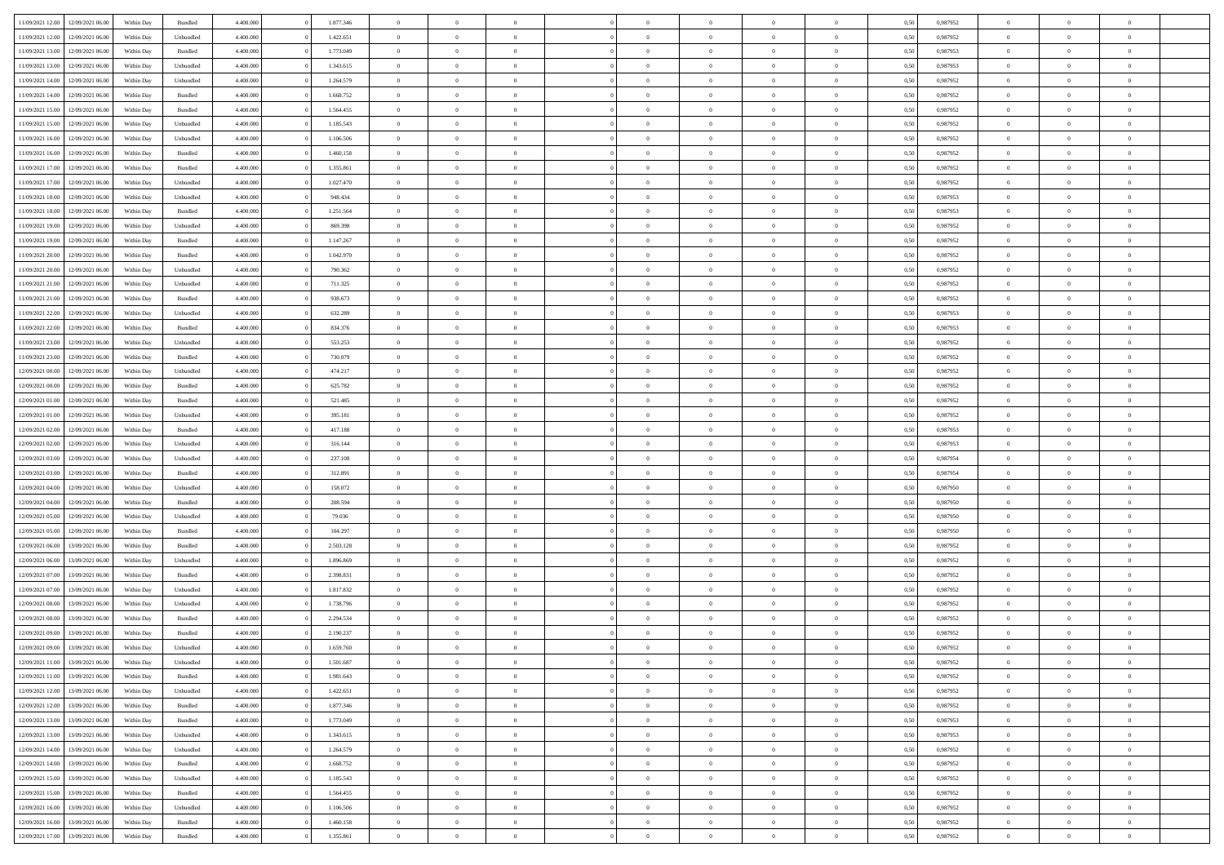| 11/09/2021 12:00 | 12/09/2021 06:00                  | Within Day | Bundled   | 4.400.000 | 1.877.346 | $\overline{0}$ | $\Omega$       |                | $\Omega$       | $\Omega$       | $\theta$       | $\theta$       | 0,50 | 0,987952 | $\theta$       | $\theta$       | $\theta$       |  |
|------------------|-----------------------------------|------------|-----------|-----------|-----------|----------------|----------------|----------------|----------------|----------------|----------------|----------------|------|----------|----------------|----------------|----------------|--|
|                  |                                   |            |           |           |           |                |                |                |                |                |                |                |      |          |                |                |                |  |
| 11/09/2021 12:00 | 12/09/2021 06:00                  | Within Day | Unbundled | 4.400.000 | 1.422.651 | $\overline{0}$ | $\theta$       | $\overline{0}$ | $\overline{0}$ | $\bf{0}$       | $\overline{0}$ | $\bf{0}$       | 0,50 | 0,987952 | $\theta$       | $\overline{0}$ | $\overline{0}$ |  |
| 11/09/2021 13:00 | 12/09/2021 06:00                  | Within Day | Bundled   | 4.400.000 | 1.773.049 | $\overline{0}$ | $\bf{0}$       | $\overline{0}$ | $\bf{0}$       | $\bf{0}$       | $\bf{0}$       | $\mathbf{0}$   | 0,50 | 0,987953 | $\overline{0}$ | $\overline{0}$ | $\bf{0}$       |  |
| 11/09/2021 13:00 | 12/09/2021 06:00                  | Within Day | Unbundled | 4.400.000 | 1.343.615 | $\overline{0}$ | $\overline{0}$ | $\overline{0}$ | $\overline{0}$ | $\bf{0}$       | $\overline{0}$ | $\overline{0}$ | 0.50 | 0,987953 | $\theta$       | $\theta$       | $\overline{0}$ |  |
|                  |                                   |            |           |           |           |                |                |                |                |                |                |                |      |          |                |                |                |  |
| 11/09/2021 14:00 | 12/09/2021 06:00                  | Within Day | Unbundled | 4.400.000 | 1.264.579 | $\overline{0}$ | $\theta$       | $\overline{0}$ | $\overline{0}$ | $\bf{0}$       | $\overline{0}$ | $\bf{0}$       | 0,50 | 0,987952 | $\theta$       | $\overline{0}$ | $\overline{0}$ |  |
| 11/09/2021 14:00 | 12/09/2021 06:00                  | Within Day | Bundled   | 4.400.000 | 1.668.752 | $\overline{0}$ | $\overline{0}$ | $\overline{0}$ | $\bf{0}$       | $\overline{0}$ | $\overline{0}$ | $\mathbf{0}$   | 0,50 | 0,987952 | $\overline{0}$ | $\overline{0}$ | $\bf{0}$       |  |
| 11/09/2021 15:00 | 12/09/2021 06:00                  | Within Dav | Bundled   | 4.400.000 | 1.564.455 | $\overline{0}$ | $\overline{0}$ | $\overline{0}$ | $\overline{0}$ | $\overline{0}$ | $\overline{0}$ | $\overline{0}$ | 0.50 | 0,987952 | $\theta$       | $\overline{0}$ | $\overline{0}$ |  |
| 11/09/2021 15:00 | 12/09/2021 06:00                  | Within Day | Unbundled | 4.400.000 | 1.185.543 | $\overline{0}$ | $\theta$       | $\overline{0}$ | $\overline{0}$ | $\bf{0}$       | $\overline{0}$ | $\bf{0}$       | 0,50 | 0,987952 | $\theta$       | $\theta$       | $\overline{0}$ |  |
| 11/09/2021 16:00 | 12/09/2021 06:00                  | Within Day | Unbundled | 4.400.000 | 1.106.506 | $\overline{0}$ | $\overline{0}$ | $\overline{0}$ | $\bf{0}$       | $\bf{0}$       | $\bf{0}$       | $\bf{0}$       | 0,50 | 0,987952 | $\,0\,$        | $\overline{0}$ | $\overline{0}$ |  |
|                  |                                   |            |           |           |           |                |                |                |                |                |                |                |      |          |                |                |                |  |
| 11/09/2021 16:00 | 12/09/2021 06:00                  | Within Dav | Bundled   | 4.400.000 | 1.460.158 | $\overline{0}$ | $\overline{0}$ | $\overline{0}$ | $\overline{0}$ | $\overline{0}$ | $\overline{0}$ | $\overline{0}$ | 0.50 | 0,987952 | $\theta$       | $\overline{0}$ | $\overline{0}$ |  |
| 11/09/2021 17:00 | 12/09/2021 06:00                  | Within Day | Bundled   | 4.400.000 | 1.355.861 | $\overline{0}$ | $\theta$       | $\overline{0}$ | $\overline{0}$ | $\bf{0}$       | $\overline{0}$ | $\bf{0}$       | 0,50 | 0,987952 | $\,$ 0 $\,$    | $\overline{0}$ | $\overline{0}$ |  |
| 11/09/2021 17:00 | 12/09/2021 06:00                  | Within Day | Unbundled | 4.400.000 | 1.027.470 | $\overline{0}$ | $\bf{0}$       | $\overline{0}$ | $\bf{0}$       | $\bf{0}$       | $\bf{0}$       | $\mathbf{0}$   | 0,50 | 0,987952 | $\bf{0}$       | $\overline{0}$ | $\bf{0}$       |  |
| 11/09/2021 18:00 | 12/09/2021 06:00                  | Within Day | Unbundled | 4.400.000 | 948,434   | $\overline{0}$ | $\overline{0}$ | $\overline{0}$ | $\overline{0}$ | $\bf{0}$       | $\overline{0}$ | $\overline{0}$ | 0.50 | 0,987953 | $\theta$       | $\theta$       | $\overline{0}$ |  |
| 11/09/2021 18:00 | 12/09/2021 06:00                  | Within Day | Bundled   | 4.400.000 | 1.251.564 | $\overline{0}$ | $\theta$       | $\overline{0}$ | $\overline{0}$ | $\bf{0}$       | $\overline{0}$ | $\bf{0}$       | 0,50 | 0,987953 | $\theta$       | $\overline{0}$ | $\overline{0}$ |  |
|                  |                                   |            |           |           |           |                |                |                |                |                |                |                |      |          |                |                |                |  |
| 11/09/2021 19:00 | 12/09/2021 06:00                  | Within Day | Unbundled | 4.400.000 | 869.398   | $\overline{0}$ | $\overline{0}$ | $\overline{0}$ | $\bf{0}$       | $\overline{0}$ | $\overline{0}$ | $\mathbf{0}$   | 0,50 | 0,987952 | $\bf{0}$       | $\overline{0}$ | $\bf{0}$       |  |
| 11/09/2021 19:00 | 12/09/2021 06:00                  | Within Dav | Bundled   | 4.400.000 | 1.147.267 | $\overline{0}$ | $\overline{0}$ | $\overline{0}$ | $\overline{0}$ | $\overline{0}$ | $\overline{0}$ | $\overline{0}$ | 0.50 | 0,987952 | $\theta$       | $\overline{0}$ | $\overline{0}$ |  |
| 11/09/2021 20:00 | 12/09/2021 06:00                  | Within Day | Bundled   | 4.400.000 | 1.042.970 | $\overline{0}$ | $\theta$       | $\overline{0}$ | $\overline{0}$ | $\bf{0}$       | $\overline{0}$ | $\bf{0}$       | 0,50 | 0,987952 | $\theta$       | $\theta$       | $\overline{0}$ |  |
| 11/09/2021 20:00 | 12/09/2021 06:00                  | Within Day | Unbundled | 4.400.000 | 790.362   | $\overline{0}$ | $\overline{0}$ | $\overline{0}$ | $\bf{0}$       | $\bf{0}$       | $\bf{0}$       | $\mathbf{0}$   | 0,50 | 0,987952 | $\,0\,$        | $\overline{0}$ | $\bf{0}$       |  |
| 11/09/2021 21:00 | 12/09/2021 06:00                  | Within Dav | Unbundled | 4.400.000 | 711.325   | $\overline{0}$ | $\overline{0}$ | $\overline{0}$ | $\overline{0}$ | $\overline{0}$ | $\overline{0}$ | $\overline{0}$ | 0.50 | 0,987952 | $\theta$       | $\overline{0}$ | $\overline{0}$ |  |
|                  |                                   |            |           |           |           |                |                |                |                |                |                |                |      |          |                |                |                |  |
| 11/09/2021 21:00 | 12/09/2021 06:00                  | Within Day | Bundled   | 4.400.000 | 938.673   | $\overline{0}$ | $\theta$       | $\overline{0}$ | $\overline{0}$ | $\bf{0}$       | $\overline{0}$ | $\bf{0}$       | 0,50 | 0,987952 | $\,$ 0 $\,$    | $\overline{0}$ | $\overline{0}$ |  |
| 11/09/2021 22.00 | 12/09/2021 06:00                  | Within Day | Unbundled | 4.400.000 | 632.289   | $\overline{0}$ | $\overline{0}$ | $\overline{0}$ | $\bf{0}$       | $\bf{0}$       | $\bf{0}$       | $\mathbf{0}$   | 0,50 | 0,987953 | $\bf{0}$       | $\overline{0}$ | $\bf{0}$       |  |
| 11/09/2021 22:00 | 12/09/2021 06:00                  | Within Day | Bundled   | 4.400.000 | 834.376   | $\overline{0}$ | $\overline{0}$ | $\overline{0}$ | $\overline{0}$ | $\bf{0}$       | $\overline{0}$ | $\overline{0}$ | 0.50 | 0,987953 | $\theta$       | $\overline{0}$ | $\overline{0}$ |  |
| 11/09/2021 23:00 | 12/09/2021 06:00                  | Within Day | Unbundled | 4.400.000 | 553.253   | $\overline{0}$ | $\theta$       | $\overline{0}$ | $\overline{0}$ | $\bf{0}$       | $\overline{0}$ | $\bf{0}$       | 0,50 | 0,987952 | $\,$ 0 $\,$    | $\overline{0}$ | $\overline{0}$ |  |
|                  |                                   |            |           |           |           |                |                |                |                |                |                |                |      |          |                |                |                |  |
| 11/09/2021 23:00 | 12/09/2021 06:00                  | Within Day | Bundled   | 4.400.000 | 730.079   | $\overline{0}$ | $\overline{0}$ | $\overline{0}$ | $\bf{0}$       | $\overline{0}$ | $\overline{0}$ | $\mathbf{0}$   | 0,50 | 0,987952 | $\bf{0}$       | $\overline{0}$ | $\bf{0}$       |  |
| 12/09/2021 00:00 | 12/09/2021 06:00                  | Within Day | Unbundled | 4.400.000 | 474.217   | $\overline{0}$ | $\overline{0}$ | $\overline{0}$ | $\overline{0}$ | $\overline{0}$ | $\overline{0}$ | $\overline{0}$ | 0.50 | 0,987952 | $\theta$       | $\overline{0}$ | $\overline{0}$ |  |
| 12/09/2021 00:00 | 12/09/2021 06:00                  | Within Day | Bundled   | 4.400.000 | 625.782   | $\overline{0}$ | $\theta$       | $\overline{0}$ | $\overline{0}$ | $\bf{0}$       | $\overline{0}$ | $\bf{0}$       | 0,50 | 0,987952 | $\theta$       | $\theta$       | $\overline{0}$ |  |
| 12/09/2021 01:00 | 12/09/2021 06:00                  | Within Day | Bundled   | 4.400.000 | 521.485   | $\overline{0}$ | $\overline{0}$ | $\overline{0}$ | $\bf{0}$       | $\bf{0}$       | $\bf{0}$       | $\bf{0}$       | 0,50 | 0,987952 | $\,0\,$        | $\overline{0}$ | $\overline{0}$ |  |
| 12/09/2021 01:00 | 12/09/2021 06:00                  | Within Day | Unbundled | 4.400.000 | 395.181   | $\overline{0}$ | $\overline{0}$ | $\overline{0}$ | $\overline{0}$ | $\overline{0}$ | $\overline{0}$ | $\overline{0}$ | 0.50 | 0,987952 | $\theta$       | $\overline{0}$ | $\overline{0}$ |  |
|                  |                                   |            |           |           |           |                |                |                |                |                |                |                |      |          |                |                |                |  |
| 12/09/2021 02:00 | 12/09/2021 06:00                  | Within Day | Bundled   | 4.400.000 | 417.188   | $\overline{0}$ | $\theta$       | $\overline{0}$ | $\overline{0}$ | $\bf{0}$       | $\overline{0}$ | $\bf{0}$       | 0,50 | 0,987953 | $\,$ 0 $\,$    | $\overline{0}$ | $\overline{0}$ |  |
| 12/09/2021 02:00 | 12/09/2021 06:00                  | Within Day | Unbundled | 4.400.000 | 316.144   | $\overline{0}$ | $\overline{0}$ | $\overline{0}$ | $\bf{0}$       | $\bf{0}$       | $\bf{0}$       | $\bf{0}$       | 0,50 | 0,987953 | $\overline{0}$ | $\overline{0}$ | $\bf{0}$       |  |
| 12/09/2021 03:00 | 12/09/2021 06:00                  | Within Day | Unbundled | 4.400,000 | 237.108   | $\overline{0}$ | $\Omega$       | $\Omega$       | $\Omega$       | $\Omega$       | $\overline{0}$ | $\overline{0}$ | 0,50 | 0,987954 | $\,0\,$        | $\theta$       | $\theta$       |  |
| 12/09/2021 03:00 | 12/09/2021 06:00                  | Within Day | Bundled   | 4.400.000 | 312.891   | $\overline{0}$ | $\theta$       | $\overline{0}$ | $\overline{0}$ | $\bf{0}$       | $\overline{0}$ | $\bf{0}$       | 0,50 | 0,987954 | $\theta$       | $\overline{0}$ | $\overline{0}$ |  |
| 12/09/2021 04:00 | 12/09/2021 06:00                  | Within Day | Unbundled | 4.400.000 | 158.072   | $\overline{0}$ | $\overline{0}$ | $\overline{0}$ | $\bf{0}$       | $\overline{0}$ | $\overline{0}$ | $\mathbf{0}$   | 0,50 | 0,987950 | $\overline{0}$ | $\overline{0}$ | $\bf{0}$       |  |
|                  |                                   |            |           |           |           |                | $\Omega$       |                |                |                |                |                |      |          |                |                | $\theta$       |  |
| 12/09/2021 04:00 | 12/09/2021 06:00                  | Within Day | Bundled   | 4.400,000 | 208,594   | $\overline{0}$ |                | $\Omega$       | $\Omega$       | $\bf{0}$       | $\overline{0}$ | $\overline{0}$ | 0.50 | 0,987950 | $\,0\,$        | $\theta$       |                |  |
| 12/09/2021 05:00 | 12/09/2021 06:00                  | Within Day | Unbundled | 4.400.000 | 79.036    | $\overline{0}$ | $\theta$       | $\overline{0}$ | $\overline{0}$ | $\bf{0}$       | $\overline{0}$ | $\bf{0}$       | 0,50 | 0,987950 | $\,$ 0 $\,$    | $\overline{0}$ | $\overline{0}$ |  |
| 12/09/2021 05:00 | 12/09/2021 06:00                  | Within Day | Bundled   | 4.400.000 | 104.297   | $\overline{0}$ | $\overline{0}$ | $\overline{0}$ | $\bf{0}$       | $\bf{0}$       | $\bf{0}$       | $\bf{0}$       | 0,50 | 0,987950 | $\bf{0}$       | $\overline{0}$ | $\bf{0}$       |  |
| 12/09/2021 06:00 | 13/09/2021 06:00                  | Within Day | Bundled   | 4.400,000 | 2.503.128 | $\overline{0}$ | $\Omega$       | $\Omega$       | $\Omega$       | $\theta$       | $\overline{0}$ | $\overline{0}$ | 0.50 | 0.987952 | $\,$ 0 $\,$    | $\theta$       | $\theta$       |  |
| 12/09/2021 06:00 | 13/09/2021 06:00                  | Within Day | Unbundled | 4.400.000 | 1.896.869 | $\overline{0}$ | $\theta$       | $\overline{0}$ | $\overline{0}$ | $\bf{0}$       | $\overline{0}$ | $\bf{0}$       | 0,50 | 0,987952 | $\,$ 0 $\,$    | $\overline{0}$ | $\overline{0}$ |  |
|                  |                                   |            |           |           |           |                |                |                |                |                |                |                |      |          |                |                |                |  |
| 12/09/2021 07:00 | 13/09/2021 06:00                  | Within Day | Bundled   | 4.400.000 | 2.398.831 | $\overline{0}$ | $\bf{0}$       | $\overline{0}$ | $\bf{0}$       | $\bf{0}$       | $\bf{0}$       | $\mathbf{0}$   | 0,50 | 0,987952 | $\overline{0}$ | $\overline{0}$ | $\bf{0}$       |  |
| 12/09/2021 07:00 | 13/09/2021 06:00                  | Within Day | Unbundled | 4.400,000 | 1.817.832 | $\overline{0}$ | $\Omega$       | $\overline{0}$ | $\Omega$       | $\overline{0}$ | $\overline{0}$ | $\overline{0}$ | 0.50 | 0,987952 | $\,0\,$        | $\theta$       | $\theta$       |  |
| 12/09/2021 08:00 | 13/09/2021 06:00                  | Within Day | Unbundled | 4.400.000 | 1.738.796 | $\overline{0}$ | $\overline{0}$ | $\overline{0}$ | $\overline{0}$ | $\,$ 0         | $\overline{0}$ | $\bf{0}$       | 0,50 | 0,987952 | $\,$ 0 $\,$    | $\overline{0}$ | $\overline{0}$ |  |
| 12/09/2021 08:00 | 13/09/2021 06:00                  | Within Day | Bundled   | 4.400.000 | 2.294.534 | $\overline{0}$ | $\overline{0}$ | $\overline{0}$ | $\bf{0}$       | $\bf{0}$       | $\bf{0}$       | $\mathbf{0}$   | 0,50 | 0,987952 | $\overline{0}$ | $\overline{0}$ | $\bf{0}$       |  |
| 12/09/2021 09:00 | 13/09/2021 06:00                  | Within Day | Bundled   | 4.400,000 | 2.190.237 | $\overline{0}$ | $\Omega$       | $\Omega$       | $\Omega$       | $\Omega$       | $\Omega$       | $\overline{0}$ | 0.50 | 0.987952 | $\theta$       | $\theta$       | $\theta$       |  |
| 12/09/2021 09:00 | 13/09/2021 06:00                  | Within Day | Unbundled | 4.400.000 | 1.659.760 | $\overline{0}$ | $\overline{0}$ | $\overline{0}$ | $\bf{0}$       | $\,$ 0         | $\bf{0}$       | $\bf{0}$       | 0,50 | 0,987952 | $\,0\,$        | $\,0\,$        | $\overline{0}$ |  |
|                  |                                   |            |           |           |           |                |                |                |                |                |                |                |      |          |                |                |                |  |
| 12/09/2021 11:00 | 13/09/2021 06:00                  | Within Day | Unbundled | 4.400.000 | 1.501.687 | $\overline{0}$ | $\bf{0}$       |                |                | $\bf{0}$       |                |                | 0,50 | 0,987952 | $\bf{0}$       | $\overline{0}$ |                |  |
| 12/09/2021 11:00 | 13/09/2021 06:00                  | Within Day | Bundled   | 4.400.000 | 1.981.643 | $\overline{0}$ | $\overline{0}$ | $\overline{0}$ | $\Omega$       | $\overline{0}$ | $\overline{0}$ | $\overline{0}$ | 0.50 | 0.987952 | $\theta$       | $\theta$       | $\theta$       |  |
| 12/09/2021 12:00 | 13/09/2021 06:00                  | Within Day | Unbundled | 4.400.000 | 1.422.651 | $\overline{0}$ | $\,$ 0         | $\overline{0}$ | $\bf{0}$       | $\,$ 0 $\,$    | $\overline{0}$ | $\mathbf{0}$   | 0,50 | 0,987952 | $\,$ 0 $\,$    | $\,$ 0 $\,$    | $\,$ 0         |  |
| 12/09/2021 12:00 | 13/09/2021 06:00                  | Within Day | Bundled   | 4.400.000 | 1.877.346 | $\overline{0}$ | $\overline{0}$ | $\overline{0}$ | $\overline{0}$ | $\overline{0}$ | $\overline{0}$ | $\mathbf{0}$   | 0,50 | 0,987952 | $\overline{0}$ | $\bf{0}$       | $\bf{0}$       |  |
|                  |                                   |            |           | 4.400.000 | 1.773.049 | $\overline{0}$ | $\overline{0}$ | $\overline{0}$ | $\Omega$       | $\overline{0}$ | $\overline{0}$ |                |      |          | $\overline{0}$ | $\theta$       | $\overline{0}$ |  |
| 12/09/2021 13:00 | 13/09/2021 06:00                  | Within Day | Bundled   |           |           |                |                |                |                |                |                | $\overline{0}$ | 0,50 | 0,987953 |                |                |                |  |
| 12/09/2021 13:00 | 13/09/2021 06:00                  | Within Day | Unbundled | 4.400.000 | 1.343.615 | $\overline{0}$ | $\,$ 0         | $\overline{0}$ | $\overline{0}$ | $\,$ 0 $\,$    | $\overline{0}$ | $\mathbf{0}$   | 0,50 | 0,987953 | $\,$ 0 $\,$    | $\overline{0}$ | $\overline{0}$ |  |
| 12/09/2021 14:00 | 13/09/2021 06:00                  | Within Day | Unbundled | 4.400.000 | 1.264.579 | $\overline{0}$ | $\overline{0}$ | $\overline{0}$ | $\overline{0}$ | $\overline{0}$ | $\overline{0}$ | $\mathbf{0}$   | 0,50 | 0,987952 | $\overline{0}$ | $\overline{0}$ | $\bf{0}$       |  |
| 12/09/2021 14:00 | 13/09/2021 06:00                  | Within Day | Bundled   | 4.400.000 | 1.668.752 | $\overline{0}$ | $\overline{0}$ | $\overline{0}$ | $\Omega$       | $\overline{0}$ | $\overline{0}$ | $\bf{0}$       | 0.50 | 0,987952 | $\overline{0}$ | $\theta$       | $\overline{0}$ |  |
| 12/09/2021 15:00 | 13/09/2021 06:00                  | Within Day | Unbundled | 4.400.000 | 1.185.543 | $\overline{0}$ | $\,$ 0         | $\overline{0}$ | $\bf{0}$       | $\bf{0}$       | $\bf{0}$       | $\bf{0}$       | 0,50 | 0,987952 | $\,$ 0 $\,$    | $\overline{0}$ | $\overline{0}$ |  |
|                  |                                   |            |           |           |           |                | $\bf{0}$       |                |                |                |                |                |      |          |                | $\overline{0}$ | $\bf{0}$       |  |
| 12/09/2021 15:00 | 13/09/2021 06:00                  | Within Day | Bundled   | 4.400.000 | 1.564.455 | $\overline{0}$ |                | $\overline{0}$ | $\overline{0}$ | $\overline{0}$ | $\overline{0}$ | $\mathbf{0}$   | 0,50 | 0,987952 | $\overline{0}$ |                |                |  |
| 12/09/2021 16:00 | 13/09/2021 06:00                  | Within Day | Unbundled | 4.400,000 | 1.106.506 | $\overline{0}$ | $\overline{0}$ | $\overline{0}$ | $\Omega$       | $\overline{0}$ | $\overline{0}$ | $\bf{0}$       | 0.50 | 0,987952 | $\overline{0}$ | $\overline{0}$ | $\overline{0}$ |  |
| 12/09/2021 16:00 | 13/09/2021 06:00                  | Within Day | Bundled   | 4.400.000 | 1.460.158 | $\overline{0}$ | $\bf{0}$       | $\overline{0}$ | $\overline{0}$ | $\bf{0}$       | $\bf{0}$       | $\mathbf{0}$   | 0,50 | 0,987952 | $\,$ 0 $\,$    | $\,$ 0 $\,$    | $\bf{0}$       |  |
|                  | 12/09/2021 17:00 13/09/2021 06:00 | Within Day | Bundled   | 4.400.000 | 1.355.861 | $\overline{0}$ | $\overline{0}$ | $\overline{0}$ | $\overline{0}$ | $\overline{0}$ | $\bf{0}$       | $\mathbf{0}$   | 0,50 | 0,987952 | $\overline{0}$ | $\bf{0}$       | $\bf{0}$       |  |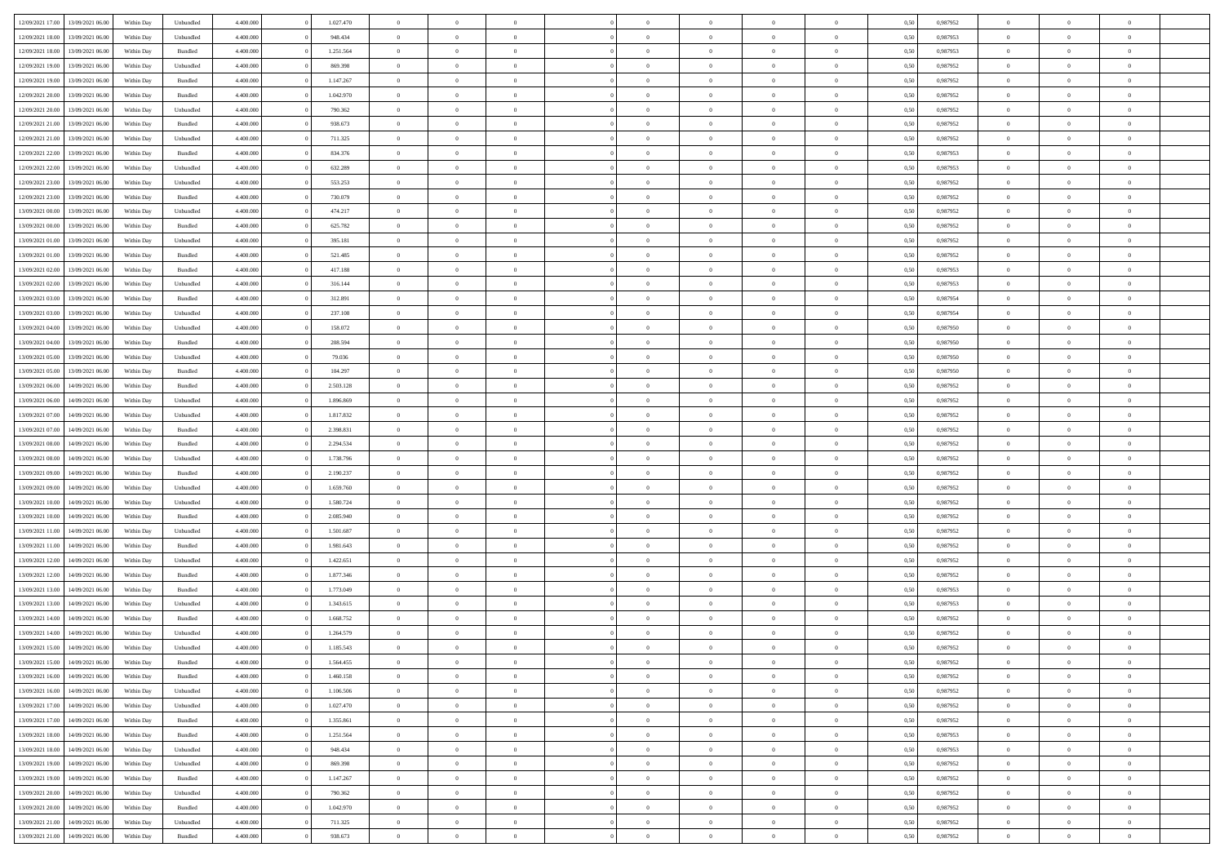|                  |                  |            |                    |           |           | $\overline{0}$ |                |                |                | $\Omega$       | $\theta$       | $\theta$       |      |          | $\theta$       | $\overline{0}$ | $\theta$       |  |
|------------------|------------------|------------|--------------------|-----------|-----------|----------------|----------------|----------------|----------------|----------------|----------------|----------------|------|----------|----------------|----------------|----------------|--|
| 12/09/2021 17:00 | 13/09/2021 06:00 | Within Day | Unbundled          | 4.400.000 | 1.027.470 |                | $\theta$       |                | $\Omega$       |                |                |                | 0,50 | 0,987952 |                |                |                |  |
| 12/09/2021 18:00 | 13/09/2021 06:00 | Within Day | Unbundled          | 4.400.000 | 948.434   | $\overline{0}$ | $\theta$       | $\overline{0}$ | $\overline{0}$ | $\bf{0}$       | $\overline{0}$ | $\bf{0}$       | 0,50 | 0,987953 | $\theta$       | $\overline{0}$ | $\overline{0}$ |  |
| 12/09/2021 18:00 | 13/09/2021 06:00 | Within Day | Bundled            | 4.400.000 | 1.251.564 | $\overline{0}$ | $\bf{0}$       | $\overline{0}$ | $\bf{0}$       | $\bf{0}$       | $\bf{0}$       | $\mathbf{0}$   | 0,50 | 0,987953 | $\bf{0}$       | $\overline{0}$ | $\bf{0}$       |  |
| 12/09/2021 19:00 | 13/09/2021 06:00 | Within Dav | Unbundled          | 4.400.000 | 869.398   | $\overline{0}$ | $\overline{0}$ | $\overline{0}$ | $\overline{0}$ | $\bf{0}$       | $\overline{0}$ | $\overline{0}$ | 0.50 | 0,987952 | $\theta$       | $\theta$       | $\overline{0}$ |  |
|                  |                  |            |                    |           |           |                |                |                |                |                |                |                |      |          |                |                |                |  |
| 12/09/2021 19:00 | 13/09/2021 06:00 | Within Day | Bundled            | 4.400.000 | 1.147.267 | $\overline{0}$ | $\theta$       | $\overline{0}$ | $\overline{0}$ | $\bf{0}$       | $\overline{0}$ | $\bf{0}$       | 0,50 | 0,987952 | $\theta$       | $\overline{0}$ | $\overline{0}$ |  |
| 12/09/2021 20:00 | 13/09/2021 06:00 | Within Day | Bundled            | 4.400.000 | 1.042.970 | $\overline{0}$ | $\overline{0}$ | $\overline{0}$ | $\bf{0}$       | $\overline{0}$ | $\overline{0}$ | $\mathbf{0}$   | 0,50 | 0,987952 | $\bf{0}$       | $\overline{0}$ | $\bf{0}$       |  |
| 12/09/2021 20:00 | 13/09/2021 06:00 | Within Dav | Unbundled          | 4.400.000 | 790.362   | $\overline{0}$ | $\overline{0}$ | $\overline{0}$ | $\overline{0}$ | $\overline{0}$ | $\overline{0}$ | $\overline{0}$ | 0.50 | 0,987952 | $\theta$       | $\overline{0}$ | $\overline{0}$ |  |
| 12/09/2021 21:00 | 13/09/2021 06:00 | Within Day | Bundled            | 4.400.000 | 938.673   | $\overline{0}$ | $\theta$       | $\overline{0}$ | $\overline{0}$ | $\bf{0}$       | $\overline{0}$ | $\bf{0}$       | 0,50 | 0,987952 | $\theta$       | $\theta$       | $\overline{0}$ |  |
|                  |                  |            |                    |           |           |                |                |                |                |                |                |                |      |          |                |                |                |  |
| 12/09/2021 21:00 | 13/09/2021 06:00 | Within Day | Unbundled          | 4.400.000 | 711.325   | $\overline{0}$ | $\overline{0}$ | $\overline{0}$ | $\overline{0}$ | $\bf{0}$       | $\overline{0}$ | $\bf{0}$       | 0,50 | 0,987952 | $\,0\,$        | $\overline{0}$ | $\overline{0}$ |  |
| 12/09/2021 22:00 | 13/09/2021 06:00 | Within Dav | Bundled            | 4.400.000 | 834.376   | $\overline{0}$ | $\overline{0}$ | $\overline{0}$ | $\overline{0}$ | $\overline{0}$ | $\overline{0}$ | $\overline{0}$ | 0.50 | 0,987953 | $\theta$       | $\overline{0}$ | $\overline{0}$ |  |
| 12/09/2021 22:00 | 13/09/2021 06:00 | Within Day | Unbundled          | 4.400.000 | 632.289   | $\overline{0}$ | $\theta$       | $\overline{0}$ | $\overline{0}$ | $\bf{0}$       | $\overline{0}$ | $\bf{0}$       | 0,50 | 0,987953 | $\,$ 0 $\,$    | $\overline{0}$ | $\overline{0}$ |  |
| 12/09/2021 23:00 | 13/09/2021 06:00 | Within Day | Unbundled          | 4.400.000 | 553.253   | $\overline{0}$ | $\overline{0}$ | $\overline{0}$ | $\overline{0}$ | $\bf{0}$       | $\overline{0}$ | $\mathbf{0}$   | 0,50 | 0,987952 | $\bf{0}$       | $\overline{0}$ | $\bf{0}$       |  |
|                  |                  |            |                    |           |           |                |                |                |                |                |                |                |      |          | $\theta$       |                |                |  |
| 12/09/2021 23:00 | 13/09/2021 06:00 | Within Day | Bundled            | 4.400.000 | 730.079   | $\overline{0}$ | $\overline{0}$ | $\overline{0}$ | $\overline{0}$ | $\bf{0}$       | $\overline{0}$ | $\overline{0}$ | 0.50 | 0,987952 |                | $\theta$       | $\overline{0}$ |  |
| 13/09/2021 00:00 | 13/09/2021 06:00 | Within Day | Unbundled          | 4.400.000 | 474.217   | $\overline{0}$ | $\theta$       | $\overline{0}$ | $\overline{0}$ | $\bf{0}$       | $\overline{0}$ | $\bf{0}$       | 0,50 | 0,987952 | $\theta$       | $\overline{0}$ | $\overline{0}$ |  |
| 13/09/2021 00:00 | 13/09/2021 06:00 | Within Day | Bundled            | 4.400.000 | 625.782   | $\overline{0}$ | $\overline{0}$ | $\overline{0}$ | $\overline{0}$ | $\overline{0}$ | $\overline{0}$ | $\mathbf{0}$   | 0,50 | 0,987952 | $\bf{0}$       | $\overline{0}$ | $\bf{0}$       |  |
| 13/09/2021 01:00 | 13/09/2021 06:00 | Within Dav | Unbundled          | 4.400.000 | 395.181   | $\overline{0}$ | $\overline{0}$ | $\overline{0}$ | $\overline{0}$ | $\overline{0}$ | $\overline{0}$ | $\overline{0}$ | 0.50 | 0,987952 | $\theta$       | $\overline{0}$ | $\overline{0}$ |  |
| 13/09/2021 01:00 | 13/09/2021 06:00 |            |                    | 4.400.000 | 521.485   | $\overline{0}$ | $\theta$       | $\overline{0}$ | $\overline{0}$ | $\bf{0}$       | $\overline{0}$ |                |      | 0,987952 | $\theta$       | $\theta$       | $\overline{0}$ |  |
|                  |                  | Within Day | Bundled            |           |           |                |                |                |                |                |                | $\bf{0}$       | 0,50 |          |                |                |                |  |
| 13/09/2021 02:00 | 13/09/2021 06:00 | Within Day | Bundled            | 4.400.000 | 417.188   | $\overline{0}$ | $\overline{0}$ | $\overline{0}$ | $\bf{0}$       | $\bf{0}$       | $\bf{0}$       | $\mathbf{0}$   | 0,50 | 0,987953 | $\,0\,$        | $\overline{0}$ | $\bf{0}$       |  |
| 13/09/2021 02:00 | 13/09/2021 06:00 | Within Dav | Unbundled          | 4.400.000 | 316.144   | $\overline{0}$ | $\overline{0}$ | $\overline{0}$ | $\overline{0}$ | $\overline{0}$ | $\overline{0}$ | $\overline{0}$ | 0.50 | 0,987953 | $\theta$       | $\overline{0}$ | $\overline{0}$ |  |
| 13/09/2021 03:00 | 13/09/2021 06:00 | Within Day | Bundled            | 4.400.000 | 312.891   | $\overline{0}$ | $\theta$       | $\overline{0}$ | $\overline{0}$ | $\bf{0}$       | $\overline{0}$ | $\bf{0}$       | 0,50 | 0,987954 | $\,$ 0 $\,$    | $\overline{0}$ | $\overline{0}$ |  |
| 13/09/2021 03:00 | 13/09/2021 06:00 | Within Day | Unbundled          | 4.400.000 | 237.108   | $\overline{0}$ | $\overline{0}$ | $\overline{0}$ | $\bf{0}$       | $\bf{0}$       | $\bf{0}$       | $\mathbf{0}$   | 0,50 | 0,987954 | $\overline{0}$ | $\overline{0}$ | $\bf{0}$       |  |
|                  |                  |            |                    |           |           |                |                |                |                |                |                |                |      |          |                |                |                |  |
| 13/09/2021 04:00 | 13/09/2021 06:00 | Within Day | Unbundled          | 4.400.000 | 158.072   | $\overline{0}$ | $\overline{0}$ | $\overline{0}$ | $\overline{0}$ | $\overline{0}$ | $\overline{0}$ | $\overline{0}$ | 0.50 | 0.987950 | $\theta$       | $\overline{0}$ | $\overline{0}$ |  |
| 13/09/2021 04:00 | 13/09/2021 06:00 | Within Day | Bundled            | 4.400.000 | 208.594   | $\overline{0}$ | $\theta$       | $\overline{0}$ | $\overline{0}$ | $\bf{0}$       | $\overline{0}$ | $\bf{0}$       | 0,50 | 0,987950 | $\,$ 0 $\,$    | $\overline{0}$ | $\overline{0}$ |  |
| 13/09/2021 05:00 | 13/09/2021 06:00 | Within Day | Unbundled          | 4.400.000 | 79.036    | $\overline{0}$ | $\overline{0}$ | $\overline{0}$ | $\bf{0}$       | $\overline{0}$ | $\overline{0}$ | $\mathbf{0}$   | 0,50 | 0,987950 | $\overline{0}$ | $\overline{0}$ | $\bf{0}$       |  |
| 13/09/2021 05:00 | 13/09/2021 06:00 | Within Dav | Bundled            | 4.400.000 | 104.297   | $\overline{0}$ | $\overline{0}$ | $\overline{0}$ | $\overline{0}$ | $\overline{0}$ | $\overline{0}$ | $\overline{0}$ | 0.50 | 0,987950 | $\overline{0}$ | $\overline{0}$ | $\overline{0}$ |  |
|                  |                  |            |                    |           |           |                |                |                |                |                |                |                |      |          |                |                |                |  |
| 13/09/2021 06:00 | 14/09/2021 06:00 | Within Day | Bundled            | 4.400.000 | 2.503.128 | $\overline{0}$ | $\theta$       | $\overline{0}$ | $\overline{0}$ | $\bf{0}$       | $\overline{0}$ | $\bf{0}$       | 0,50 | 0,987952 | $\theta$       | $\theta$       | $\overline{0}$ |  |
| 13/09/2021 06:00 | 14/09/2021 06:00 | Within Day | Unbundled          | 4.400.000 | 1.896.869 | $\overline{0}$ | $\overline{0}$ | $\overline{0}$ | $\bf{0}$       | $\bf{0}$       | $\bf{0}$       | $\bf{0}$       | 0,50 | 0,987952 | $\,0\,$        | $\overline{0}$ | $\overline{0}$ |  |
| 13/09/2021 07:00 | 14/09/2021 06:00 | Within Day | Unbundled          | 4.400.000 | 1.817.832 | $\overline{0}$ | $\overline{0}$ | $\overline{0}$ | $\overline{0}$ | $\overline{0}$ | $\overline{0}$ | $\overline{0}$ | 0.50 | 0,987952 | $\theta$       | $\overline{0}$ | $\overline{0}$ |  |
| 13/09/2021 07:00 | 14/09/2021 06:00 | Within Day | Bundled            | 4.400.000 | 2.398.831 | $\overline{0}$ | $\theta$       | $\overline{0}$ | $\overline{0}$ | $\bf{0}$       | $\overline{0}$ | $\bf{0}$       | 0,50 | 0,987952 | $\,$ 0 $\,$    | $\overline{0}$ | $\overline{0}$ |  |
|                  |                  |            |                    |           |           |                | $\bf{0}$       |                |                | $\bf{0}$       |                |                |      |          |                | $\overline{0}$ | $\bf{0}$       |  |
| 13/09/2021 08:00 | 14/09/2021 06:00 | Within Day | Bundled            | 4.400.000 | 2.294.534 | $\overline{0}$ |                | $\overline{0}$ | $\bf{0}$       |                | $\bf{0}$       | $\bf{0}$       | 0,50 | 0,987952 | $\bf{0}$       |                |                |  |
| 13/09/2021 08:00 | 14/09/2021 06:00 | Within Day | Unbundled          | 4.400,000 | 1.738.796 | $\overline{0}$ | $\Omega$       | $\overline{0}$ | $\Omega$       | $\Omega$       | $\overline{0}$ | $\overline{0}$ | 0,50 | 0,987952 | $\,0\,$        | $\theta$       | $\theta$       |  |
| 13/09/2021 09:00 | 14/09/2021 06:00 | Within Day | Bundled            | 4.400.000 | 2.190.237 | $\overline{0}$ | $\theta$       | $\overline{0}$ | $\overline{0}$ | $\bf{0}$       | $\overline{0}$ | $\bf{0}$       | 0,50 | 0,987952 | $\,$ 0 $\,$    | $\overline{0}$ | $\overline{0}$ |  |
| 13/09/2021 09:00 | 14/09/2021 06:00 | Within Day | Unbundled          | 4.400.000 | 1.659.760 | $\overline{0}$ | $\overline{0}$ | $\overline{0}$ | $\bf{0}$       | $\overline{0}$ | $\overline{0}$ | $\mathbf{0}$   | 0,50 | 0,987952 | $\bf{0}$       | $\overline{0}$ | $\bf{0}$       |  |
| 13/09/2021 10:00 | 14/09/2021 06:00 | Within Day | Unbundled          | 4.400,000 | 1.580.724 | $\overline{0}$ | $\Omega$       | $\Omega$       | $\Omega$       | $\overline{0}$ | $\overline{0}$ | $\overline{0}$ | 0.50 | 0,987952 | $\,0\,$        | $\theta$       | $\theta$       |  |
|                  |                  |            |                    |           |           |                |                |                |                |                |                |                |      |          |                |                |                |  |
| 13/09/2021 10:00 | 14/09/2021 06:00 | Within Day | Bundled            | 4.400.000 | 2.085.940 | $\overline{0}$ | $\theta$       | $\overline{0}$ | $\overline{0}$ | $\bf{0}$       | $\overline{0}$ | $\bf{0}$       | 0,50 | 0,987952 | $\,$ 0 $\,$    | $\overline{0}$ | $\overline{0}$ |  |
| 13/09/2021 11:00 | 14/09/2021 06:00 | Within Day | Unbundled          | 4.400.000 | 1.501.687 | $\overline{0}$ | $\overline{0}$ | $\overline{0}$ | $\bf{0}$       | $\bf{0}$       | $\bf{0}$       | $\bf{0}$       | 0,50 | 0,987952 | $\bf{0}$       | $\overline{0}$ | $\bf{0}$       |  |
| 13/09/2021 11:00 | 14/09/2021 06:00 | Within Day | Bundled            | 4.400,000 | 1.981.643 | $\overline{0}$ | $\Omega$       | $\Omega$       | $\Omega$       | $\overline{0}$ | $\overline{0}$ | $\overline{0}$ | 0.50 | 0.987952 | $\,$ 0 $\,$    | $\theta$       | $\theta$       |  |
| 13/09/2021 12:00 | 14/09/2021 06:00 | Within Day | Unbundled          | 4.400.000 | 1.422.651 | $\overline{0}$ | $\theta$       | $\overline{0}$ | $\overline{0}$ | $\bf{0}$       | $\overline{0}$ | $\bf{0}$       | 0,50 | 0,987952 | $\,$ 0 $\,$    | $\overline{0}$ | $\overline{0}$ |  |
| 13/09/2021 12:00 | 14/09/2021 06:00 | Within Day | Bundled            | 4.400.000 | 1.877.346 | $\overline{0}$ | $\bf{0}$       | $\overline{0}$ | $\bf{0}$       | $\bf{0}$       | $\bf{0}$       | $\mathbf{0}$   | 0,50 | 0,987952 | $\bf{0}$       | $\overline{0}$ | $\bf{0}$       |  |
|                  |                  |            |                    |           |           |                |                |                |                |                |                |                |      |          |                |                |                |  |
| 13/09/2021 13:00 | 14/09/2021 06:00 | Within Day | Bundled            | 4.400,000 | 1.773.049 | $\overline{0}$ | $\Omega$       | $\overline{0}$ | $\Omega$       | $\overline{0}$ | $\overline{0}$ | $\overline{0}$ | 0.50 | 0,987953 | $\,0\,$        | $\theta$       | $\theta$       |  |
| 13/09/2021 13:00 | 14/09/2021 06:00 | Within Day | Unbundled          | 4.400.000 | 1.343.615 | $\overline{0}$ | $\overline{0}$ | $\overline{0}$ | $\overline{0}$ | $\,$ 0         | $\overline{0}$ | $\bf{0}$       | 0,50 | 0,987953 | $\,$ 0 $\,$    | $\overline{0}$ | $\overline{0}$ |  |
| 13/09/2021 14:00 | 14/09/2021 06:00 | Within Day | Bundled            | 4.400.000 | 1.668.752 | $\overline{0}$ | $\overline{0}$ | $\overline{0}$ | $\bf{0}$       | $\bf{0}$       | $\overline{0}$ | $\mathbf{0}$   | 0,50 | 0,987952 | $\overline{0}$ | $\overline{0}$ | $\bf{0}$       |  |
| 13/09/2021 14:00 | 14/09/2021 06:00 | Within Day | Unbundled          | 4.400,000 | 1.264.579 | $\overline{0}$ | $\Omega$       | $\Omega$       | $\Omega$       | $\Omega$       | $\Omega$       | $\overline{0}$ | 0.50 | 0.987952 | $\theta$       | $\theta$       | $\theta$       |  |
| 13/09/2021 15:00 | 14/09/2021 06:00 | Within Day | Unbundled          | 4.400.000 | 1.185.543 | $\overline{0}$ | $\overline{0}$ | $\overline{0}$ | $\bf{0}$       | $\,$ 0         | $\bf{0}$       | $\bf{0}$       | 0,50 | 0,987952 | $\,0\,$        | $\,$ 0 $\,$    | $\overline{0}$ |  |
|                  |                  |            |                    |           |           |                |                |                |                |                |                |                |      |          |                |                |                |  |
| 13/09/2021 15:00 | 14/09/2021 06:00 | Within Day | $\mathbf B$ undled | 4.400.000 | 1.564.455 | $\bf{0}$       | $\bf{0}$       |                |                | $\bf{0}$       |                |                | 0,50 | 0,987952 | $\bf{0}$       | $\overline{0}$ |                |  |
| 13/09/2021 16:00 | 14/09/2021 06:00 | Within Day | Bundled            | 4.400.000 | 1.460.158 | $\overline{0}$ | $\overline{0}$ | $\overline{0}$ | $\Omega$       | $\overline{0}$ | $\overline{0}$ | $\overline{0}$ | 0.50 | 0.987952 | $\theta$       | $\theta$       | $\theta$       |  |
| 13/09/2021 16:00 | 14/09/2021 06:00 | Within Day | Unbundled          | 4.400.000 | 1.106.506 | $\overline{0}$ | $\,$ 0         | $\overline{0}$ | $\bf{0}$       | $\,$ 0 $\,$    | $\overline{0}$ | $\,$ 0 $\,$    | 0,50 | 0,987952 | $\,$ 0 $\,$    | $\,$ 0 $\,$    | $\,$ 0         |  |
| 13/09/2021 17:00 | 14/09/2021 06:00 | Within Day | Unbundled          | 4.400.000 | 1.027.470 | $\overline{0}$ | $\overline{0}$ | $\overline{0}$ | $\overline{0}$ | $\overline{0}$ | $\overline{0}$ | $\mathbf{0}$   | 0,50 | 0,987952 | $\overline{0}$ | $\bf{0}$       | $\bf{0}$       |  |
|                  |                  |            |                    |           |           |                |                |                |                |                |                |                |      |          |                |                |                |  |
| 13/09/2021 17:00 | 14/09/2021 06:00 | Within Day | $\mathbf B$ undled | 4.400,000 | 1.355.861 | $\overline{0}$ | $\overline{0}$ | $\overline{0}$ | $\Omega$       | $\overline{0}$ | $\overline{0}$ | $\overline{0}$ | 0,50 | 0,987952 | $\overline{0}$ | $\,$ 0 $\,$    | $\overline{0}$ |  |
| 13/09/2021 18:00 | 14/09/2021 06:00 | Within Day | Bundled            | 4.400.000 | 1.251.564 | $\overline{0}$ | $\,$ 0         | $\overline{0}$ | $\bf{0}$       | $\,$ 0 $\,$    | $\overline{0}$ | $\mathbf{0}$   | 0,50 | 0,987953 | $\,$ 0 $\,$    | $\overline{0}$ | $\overline{0}$ |  |
| 13/09/2021 18:00 | 14/09/2021 06:00 | Within Day | Unbundled          | 4.400.000 | 948.434   | $\overline{0}$ | $\overline{0}$ | $\overline{0}$ | $\overline{0}$ | $\overline{0}$ | $\overline{0}$ | $\mathbf{0}$   | 0,50 | 0,987953 | $\overline{0}$ | $\overline{0}$ | $\bf{0}$       |  |
| 13/09/2021 19:00 | 14/09/2021 06:00 | Within Day | Unbundled          | 4.400.000 | 869,398   | $\overline{0}$ | $\overline{0}$ | $\overline{0}$ | $\overline{0}$ | $\overline{0}$ | $\overline{0}$ | $\bf{0}$       | 0.50 | 0,987952 | $\overline{0}$ | $\theta$       | $\overline{0}$ |  |
|                  |                  |            |                    |           |           |                | $\,$ 0         |                |                |                |                |                |      |          | $\,$ 0 $\,$    |                |                |  |
| 13/09/2021 19:00 | 14/09/2021 06:00 | Within Day | Bundled            | 4.400.000 | 1.147.267 | $\overline{0}$ |                | $\overline{0}$ | $\bf{0}$       | $\bf{0}$       | $\bf{0}$       | $\bf{0}$       | 0,50 | 0,987952 |                | $\overline{0}$ | $\overline{0}$ |  |
| 13/09/2021 20:00 | 14/09/2021 06:00 | Within Day | Unbundled          | 4.400.000 | 790.362   | $\overline{0}$ | $\bf{0}$       | $\overline{0}$ | $\overline{0}$ | $\overline{0}$ | $\overline{0}$ | $\mathbf{0}$   | 0,50 | 0,987952 | $\overline{0}$ | $\overline{0}$ | $\bf{0}$       |  |
| 13/09/2021 20:00 | 14/09/2021 06:00 | Within Day | Bundled            | 4.400,000 | 1.042.970 | $\overline{0}$ | $\overline{0}$ | $\overline{0}$ | $\Omega$       | $\overline{0}$ | $\overline{0}$ | $\overline{0}$ | 0.50 | 0,987952 | $\overline{0}$ | $\overline{0}$ | $\overline{0}$ |  |
| 13/09/2021 21:00 | 14/09/2021 06:00 | Within Day | Unbundled          | 4.400.000 | 711.325   | $\overline{0}$ | $\bf{0}$       | $\overline{0}$ | $\bf{0}$       | $\bf{0}$       | $\bf{0}$       | $\mathbf{0}$   | 0,50 | 0,987952 | $\,$ 0 $\,$    | $\,$ 0 $\,$    | $\bf{0}$       |  |
|                  |                  |            |                    |           |           |                |                |                |                |                |                |                |      |          |                |                |                |  |
| 13/09/2021 21:00 | 14/09/2021 06:00 | Within Day | Bundled            | 4.400.000 | 938.673   | $\overline{0}$ | $\overline{0}$ | $\overline{0}$ | $\overline{0}$ | $\overline{0}$ | $\bf{0}$       | $\mathbf{0}$   | 0,50 | 0,987952 | $\overline{0}$ | $\bf{0}$       | $\overline{0}$ |  |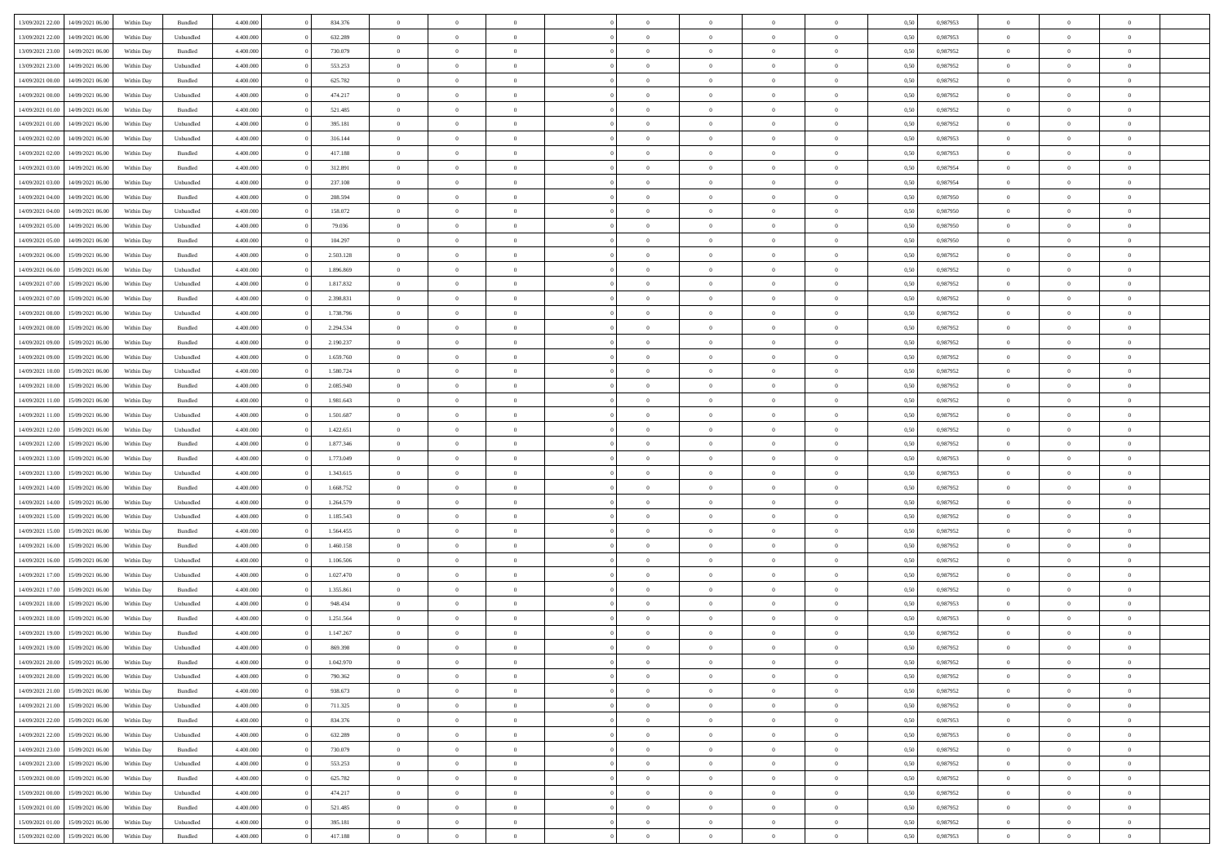| 13/09/2021 22:00 | 14/09/2021 06:00 | Within Day | Bundled            | 4.400.000 | 834.376   | $\overline{0}$ | $\Omega$       |                | $\Omega$       | $\Omega$       | $\theta$       | $\theta$       | 0,50 | 0.987953 | $\theta$       | $\theta$       | $\theta$       |  |
|------------------|------------------|------------|--------------------|-----------|-----------|----------------|----------------|----------------|----------------|----------------|----------------|----------------|------|----------|----------------|----------------|----------------|--|
| 13/09/2021 22:00 | 14/09/2021 06:00 | Within Day | Unbundled          | 4.400.000 | 632.289   | $\overline{0}$ | $\theta$       | $\overline{0}$ | $\overline{0}$ | $\bf{0}$       | $\overline{0}$ | $\bf{0}$       | 0,50 | 0,987953 | $\theta$       | $\overline{0}$ | $\overline{0}$ |  |
| 13/09/2021 23:00 | 14/09/2021 06:00 | Within Day | Bundled            | 4.400.000 | 730.079   | $\overline{0}$ | $\bf{0}$       | $\overline{0}$ | $\bf{0}$       | $\bf{0}$       | $\bf{0}$       | $\mathbf{0}$   | 0,50 | 0,987952 | $\overline{0}$ | $\overline{0}$ | $\bf{0}$       |  |
| 13/09/2021 23:00 | 14/09/2021 06:00 | Within Day | Unbundled          | 4.400.000 | 553.253   | $\overline{0}$ | $\overline{0}$ | $\overline{0}$ | $\overline{0}$ | $\bf{0}$       | $\overline{0}$ | $\overline{0}$ | 0.50 | 0,987952 | $\theta$       | $\theta$       | $\overline{0}$ |  |
| 14/09/2021 00:00 | 14/09/2021 06:00 | Within Day | Bundled            | 4.400.000 | 625.782   | $\overline{0}$ | $\theta$       | $\overline{0}$ | $\overline{0}$ | $\bf{0}$       | $\overline{0}$ | $\bf{0}$       | 0,50 | 0,987952 | $\theta$       | $\overline{0}$ | $\overline{0}$ |  |
|                  |                  |            |                    |           |           |                |                |                |                |                |                |                |      |          |                |                |                |  |
| 14/09/2021 00:00 | 14/09/2021 06:00 | Within Day | Unbundled          | 4.400.000 | 474.217   | $\overline{0}$ | $\overline{0}$ | $\overline{0}$ | $\overline{0}$ | $\overline{0}$ | $\overline{0}$ | $\mathbf{0}$   | 0,50 | 0,987952 | $\overline{0}$ | $\overline{0}$ | $\bf{0}$       |  |
| 14/09/2021 01:00 | 14/09/2021 06:00 | Within Dav | Bundled            | 4.400.000 | 521.485   | $\overline{0}$ | $\overline{0}$ | $\overline{0}$ | $\overline{0}$ | $\overline{0}$ | $\overline{0}$ | $\overline{0}$ | 0.50 | 0,987952 | $\theta$       | $\overline{0}$ | $\overline{0}$ |  |
| 14/09/2021 01:00 | 14/09/2021 06:00 | Within Day | Unbundled          | 4.400.000 | 395.181   | $\overline{0}$ | $\theta$       | $\overline{0}$ | $\overline{0}$ | $\bf{0}$       | $\overline{0}$ | $\bf{0}$       | 0,50 | 0,987952 | $\theta$       | $\theta$       | $\overline{0}$ |  |
| 14/09/2021 02:00 | 14/09/2021 06:00 | Within Day | Unbundled          | 4.400.000 | 316.144   | $\overline{0}$ | $\overline{0}$ | $\overline{0}$ | $\overline{0}$ | $\bf{0}$       | $\overline{0}$ | $\bf{0}$       | 0,50 | 0,987953 | $\,0\,$        | $\overline{0}$ | $\overline{0}$ |  |
| 14/09/2021 02:00 | 14/09/2021 06:00 | Within Dav | Bundled            | 4.400.000 | 417.188   | $\overline{0}$ | $\overline{0}$ | $\overline{0}$ | $\overline{0}$ | $\overline{0}$ | $\overline{0}$ | $\overline{0}$ | 0.50 | 0,987953 | $\theta$       | $\overline{0}$ | $\overline{0}$ |  |
| 14/09/2021 03:00 | 14/09/2021 06:00 | Within Day | Bundled            | 4.400.000 | 312.891   | $\overline{0}$ | $\theta$       | $\overline{0}$ | $\overline{0}$ | $\bf{0}$       | $\overline{0}$ | $\bf{0}$       | 0,50 | 0,987954 | $\,$ 0 $\,$    | $\overline{0}$ | $\overline{0}$ |  |
| 14/09/2021 03:00 | 14/09/2021 06:00 | Within Day | Unbundled          | 4.400.000 | 237.108   | $\overline{0}$ | $\overline{0}$ | $\overline{0}$ | $\overline{0}$ | $\bf{0}$       | $\overline{0}$ | $\mathbf{0}$   | 0,50 | 0,987954 | $\overline{0}$ | $\overline{0}$ | $\bf{0}$       |  |
| 14/09/2021 04:00 | 14/09/2021 06:00 | Within Day | Bundled            | 4.400.000 | 208.594   | $\overline{0}$ | $\overline{0}$ | $\overline{0}$ | $\overline{0}$ | $\bf{0}$       | $\overline{0}$ | $\overline{0}$ | 0.50 | 0,987950 | $\theta$       | $\theta$       | $\overline{0}$ |  |
|                  |                  |            |                    |           |           |                |                |                |                |                |                |                |      |          |                |                |                |  |
| 14/09/2021 04:00 | 14/09/2021 06:00 | Within Day | Unbundled          | 4.400.000 | 158.072   | $\overline{0}$ | $\theta$       | $\overline{0}$ | $\overline{0}$ | $\bf{0}$       | $\overline{0}$ | $\bf{0}$       | 0,50 | 0,987950 | $\theta$       | $\overline{0}$ | $\overline{0}$ |  |
| 14/09/2021 05:00 | 14/09/2021 06:00 | Within Day | Unbundled          | 4.400.000 | 79.036    | $\overline{0}$ | $\overline{0}$ | $\overline{0}$ | $\overline{0}$ | $\overline{0}$ | $\overline{0}$ | $\mathbf{0}$   | 0,50 | 0,987950 | $\overline{0}$ | $\overline{0}$ | $\bf{0}$       |  |
| 14/09/2021 05:00 | 14/09/2021 06:00 | Within Dav | Bundled            | 4.400.000 | 104.297   | $\overline{0}$ | $\overline{0}$ | $\overline{0}$ | $\overline{0}$ | $\overline{0}$ | $\overline{0}$ | $\overline{0}$ | 0.50 | 0,987950 | $\theta$       | $\overline{0}$ | $\overline{0}$ |  |
| 14/09/2021 06:00 | 15/09/2021 06:00 | Within Day | Bundled            | 4.400.000 | 2.503.128 | $\overline{0}$ | $\theta$       | $\overline{0}$ | $\overline{0}$ | $\bf{0}$       | $\overline{0}$ | $\bf{0}$       | 0,50 | 0,987952 | $\theta$       | $\theta$       | $\overline{0}$ |  |
| 14/09/2021 06:00 | 15/09/2021 06:00 | Within Day | Unbundled          | 4.400.000 | 1.896.869 | $\overline{0}$ | $\overline{0}$ | $\overline{0}$ | $\overline{0}$ | $\bf{0}$       | $\overline{0}$ | $\mathbf{0}$   | 0,50 | 0,987952 | $\,0\,$        | $\overline{0}$ | $\overline{0}$ |  |
| 14/09/2021 07:00 | 15/09/2021 06:00 | Within Day | Unbundled          | 4.400.000 | 1.817.832 | $\overline{0}$ | $\overline{0}$ | $\overline{0}$ | $\overline{0}$ | $\overline{0}$ | $\overline{0}$ | $\overline{0}$ | 0.50 | 0,987952 | $\theta$       | $\overline{0}$ | $\overline{0}$ |  |
| 14/09/2021 07:00 | 15/09/2021 06:00 | Within Day | Bundled            | 4.400.000 | 2.398.831 | $\overline{0}$ | $\theta$       | $\overline{0}$ | $\overline{0}$ | $\bf{0}$       | $\overline{0}$ | $\bf{0}$       | 0,50 | 0,987952 | $\,$ 0 $\,$    | $\overline{0}$ | $\overline{0}$ |  |
|                  |                  |            |                    |           |           |                |                |                |                |                |                |                |      |          |                |                |                |  |
| 14/09/2021 08:00 | 15/09/2021 06:00 | Within Day | Unbundled          | 4.400.000 | 1.738.796 | $\overline{0}$ | $\overline{0}$ | $\overline{0}$ | $\overline{0}$ | $\bf{0}$       | $\overline{0}$ | $\bf{0}$       | 0,50 | 0,987952 | $\bf{0}$       | $\overline{0}$ | $\bf{0}$       |  |
| 14/09/2021 08:00 | 15/09/2021 06:00 | Within Day | Bundled            | 4.400.000 | 2.294.534 | $\overline{0}$ | $\overline{0}$ | $\overline{0}$ | $\overline{0}$ | $\overline{0}$ | $\overline{0}$ | $\overline{0}$ | 0.50 | 0,987952 | $\theta$       | $\overline{0}$ | $\overline{0}$ |  |
| 14/09/2021 09:00 | 15/09/2021 06:00 | Within Day | Bundled            | 4.400.000 | 2.190.237 | $\overline{0}$ | $\theta$       | $\overline{0}$ | $\overline{0}$ | $\bf{0}$       | $\overline{0}$ | $\bf{0}$       | 0,50 | 0,987952 | $\,$ 0 $\,$    | $\overline{0}$ | $\overline{0}$ |  |
| 14/09/2021 09:00 | 15/09/2021 06:00 | Within Day | Unbundled          | 4.400.000 | 1.659.760 | $\overline{0}$ | $\overline{0}$ | $\overline{0}$ | $\overline{0}$ | $\overline{0}$ | $\overline{0}$ | $\mathbf{0}$   | 0,50 | 0,987952 | $\overline{0}$ | $\overline{0}$ | $\bf{0}$       |  |
| 14/09/2021 10:00 | 15/09/2021 06:00 | Within Dav | Unbundled          | 4.400.000 | 1.580.724 | $\overline{0}$ | $\overline{0}$ | $\overline{0}$ | $\overline{0}$ | $\overline{0}$ | $\overline{0}$ | $\overline{0}$ | 0.50 | 0,987952 | $\theta$       | $\overline{0}$ | $\overline{0}$ |  |
| 14/09/2021 10:00 | 15/09/2021 06:00 | Within Day | Bundled            | 4.400.000 | 2.085.940 | $\overline{0}$ | $\theta$       | $\overline{0}$ | $\overline{0}$ | $\bf{0}$       | $\overline{0}$ | $\bf{0}$       | 0,50 | 0,987952 | $\theta$       | $\theta$       | $\overline{0}$ |  |
|                  |                  |            |                    |           |           |                | $\overline{0}$ |                |                | $\bf{0}$       |                |                |      |          | $\,0\,$        | $\overline{0}$ | $\overline{0}$ |  |
| 14/09/2021 11:00 | 15/09/2021 06:00 | Within Day | Bundled            | 4.400.000 | 1.981.643 | $\overline{0}$ |                | $\overline{0}$ | $\overline{0}$ |                | $\overline{0}$ | $\bf{0}$       | 0,50 | 0,987952 |                |                |                |  |
| 14/09/2021 11:00 | 15/09/2021 06:00 | Within Day | Unbundled          | 4.400.000 | 1.501.687 | $\overline{0}$ | $\overline{0}$ | $\overline{0}$ | $\overline{0}$ | $\overline{0}$ | $\overline{0}$ | $\overline{0}$ | 0.50 | 0,987952 | $\theta$       | $\overline{0}$ | $\overline{0}$ |  |
| 14/09/2021 12:00 | 15/09/2021 06:00 | Within Day | Unbundled          | 4.400.000 | 1.422.651 | $\overline{0}$ | $\theta$       | $\overline{0}$ | $\overline{0}$ | $\bf{0}$       | $\overline{0}$ | $\bf{0}$       | 0,50 | 0,987952 | $\,$ 0 $\,$    | $\overline{0}$ | $\overline{0}$ |  |
| 14/09/2021 12:00 | 15/09/2021 06:00 | Within Day | Bundled            | 4.400.000 | 1.877.346 | $\overline{0}$ | $\overline{0}$ | $\overline{0}$ | $\overline{0}$ | $\bf{0}$       | $\overline{0}$ | $\bf{0}$       | 0,50 | 0,987952 | $\overline{0}$ | $\overline{0}$ | $\bf{0}$       |  |
| 14/09/2021 13:00 | 15/09/2021 06:00 | Within Day | Bundled            | 4.400,000 | 1.773.049 | $\overline{0}$ | $\Omega$       | $\Omega$       | $\Omega$       | $\Omega$       | $\overline{0}$ | $\overline{0}$ | 0,50 | 0,987953 | $\,0\,$        | $\theta$       | $\theta$       |  |
| 14/09/2021 13:00 | 15/09/2021 06:00 | Within Day | Unbundled          | 4.400.000 | 1.343.615 | $\overline{0}$ | $\theta$       | $\overline{0}$ | $\overline{0}$ | $\bf{0}$       | $\overline{0}$ | $\bf{0}$       | 0,50 | 0,987953 | $\theta$       | $\overline{0}$ | $\overline{0}$ |  |
| 14/09/2021 14:00 | 15/09/2021 06:00 | Within Day | Bundled            | 4.400.000 | 1.668.752 | $\overline{0}$ | $\overline{0}$ | $\overline{0}$ | $\overline{0}$ | $\overline{0}$ | $\overline{0}$ | $\mathbf{0}$   | 0,50 | 0,987952 | $\overline{0}$ | $\overline{0}$ | $\bf{0}$       |  |
| 14/09/2021 14:00 | 15/09/2021 06:00 | Within Day | Unbundled          | 4.400,000 | 1.264.579 | $\overline{0}$ | $\Omega$       | $\Omega$       | $\Omega$       | $\bf{0}$       | $\overline{0}$ | $\overline{0}$ | 0.50 | 0,987952 | $\,0\,$        | $\theta$       | $\theta$       |  |
|                  |                  |            |                    |           |           | $\overline{0}$ | $\theta$       | $\overline{0}$ |                | $\bf{0}$       | $\overline{0}$ |                |      |          |                |                | $\overline{0}$ |  |
| 14/09/2021 15:00 | 15/09/2021 06:00 | Within Day | Unbundled          | 4.400.000 | 1.185.543 |                |                |                | $\overline{0}$ |                |                | $\bf{0}$       | 0,50 | 0,987952 | $\,$ 0 $\,$    | $\overline{0}$ |                |  |
| 14/09/2021 15:00 | 15/09/2021 06:00 | Within Day | Bundled            | 4.400.000 | 1.564.455 | $\overline{0}$ | $\overline{0}$ | $\overline{0}$ | $\overline{0}$ | $\bf{0}$       | $\overline{0}$ | $\bf{0}$       | 0,50 | 0,987952 | $\bf{0}$       | $\overline{0}$ | $\bf{0}$       |  |
| 14/09/2021 16:00 | 15/09/2021 06:00 | Within Day | Bundled            | 4.400,000 | 1.460.158 | $\overline{0}$ | $\Omega$       | $\Omega$       | $\Omega$       | $\overline{0}$ | $\overline{0}$ | $\overline{0}$ | 0.50 | 0.987952 | $\,$ 0 $\,$    | $\theta$       | $\theta$       |  |
| 14/09/2021 16:00 | 15/09/2021 06:00 | Within Day | Unbundled          | 4.400.000 | 1.106.506 | $\overline{0}$ | $\theta$       | $\overline{0}$ | $\overline{0}$ | $\bf{0}$       | $\overline{0}$ | $\bf{0}$       | 0,50 | 0,987952 | $\,$ 0 $\,$    | $\overline{0}$ | $\overline{0}$ |  |
| 14/09/2021 17:00 | 15/09/2021 06:00 | Within Day | Unbundled          | 4.400.000 | 1.027.470 | $\overline{0}$ | $\bf{0}$       | $\overline{0}$ | $\overline{0}$ | $\bf{0}$       | $\overline{0}$ | $\mathbf{0}$   | 0,50 | 0,987952 | $\overline{0}$ | $\overline{0}$ | $\bf{0}$       |  |
| 14/09/2021 17:00 | 15/09/2021 06:00 | Within Day | Bundled            | 4.400,000 | 1.355.861 | $\overline{0}$ | $\Omega$       | $\overline{0}$ | $\Omega$       | $\overline{0}$ | $\overline{0}$ | $\overline{0}$ | 0,50 | 0,987952 | $\,0\,$        | $\theta$       | $\theta$       |  |
| 14/09/2021 18:00 | 15/09/2021 06:00 | Within Day | Unbundled          | 4.400.000 | 948.434   | $\overline{0}$ | $\overline{0}$ | $\overline{0}$ | $\overline{0}$ | $\,$ 0         | $\overline{0}$ | $\bf{0}$       | 0,50 | 0,987953 | $\,$ 0 $\,$    | $\overline{0}$ | $\overline{0}$ |  |
| 14/09/2021 18:00 | 15/09/2021 06:00 | Within Day | Bundled            | 4.400.000 | 1.251.564 | $\overline{0}$ | $\overline{0}$ | $\overline{0}$ | $\bf{0}$       | $\bf{0}$       | $\bf{0}$       | $\mathbf{0}$   | 0,50 | 0,987953 | $\overline{0}$ | $\overline{0}$ | $\bf{0}$       |  |
|                  |                  |            |                    |           |           |                |                |                |                |                |                |                |      |          |                |                |                |  |
| 14/09/2021 19:00 | 15/09/2021 06:00 | Within Day | Bundled            | 4.400,000 | 1.147.267 | $\overline{0}$ | $\Omega$       | $\Omega$       | $\Omega$       | $\Omega$       | $\Omega$       | $\overline{0}$ | 0.50 | 0.987952 | $\theta$       | $\theta$       | $\theta$       |  |
| 14/09/2021 19:00 | 15/09/2021 06:00 | Within Day | Unbundled          | 4.400.000 | 869.398   | $\overline{0}$ | $\overline{0}$ | $\overline{0}$ | $\bf{0}$       | $\,$ 0         | $\bf{0}$       | $\bf{0}$       | 0,50 | 0,987952 | $\,0\,$        | $\,0\,$        | $\overline{0}$ |  |
| 14/09/2021 20:00 | 15/09/2021 06:00 | Within Day | $\mathbf B$ undled | 4.400.000 | 1.042.970 | $\overline{0}$ | $\bf{0}$       |                |                | $\bf{0}$       |                |                | 0,50 | 0,987952 | $\bf{0}$       | $\overline{0}$ |                |  |
| 14/09/2021 20:00 | 15/09/2021 06:00 | Within Day | Unbundled          | 4.400.000 | 790,362   | $\overline{0}$ | $\overline{0}$ | $\overline{0}$ | $\Omega$       | $\overline{0}$ | $\overline{0}$ | $\overline{0}$ | 0.50 | 0.987952 | $\theta$       | $\theta$       | $\theta$       |  |
| 14/09/2021 21:00 | 15/09/2021 06:00 | Within Day | Bundled            | 4.400.000 | 938.673   | $\overline{0}$ | $\bf{0}$       | $\overline{0}$ | $\bf{0}$       | $\,$ 0 $\,$    | $\overline{0}$ | $\,$ 0 $\,$    | 0,50 | 0,987952 | $\,$ 0 $\,$    | $\,$ 0 $\,$    | $\,$ 0         |  |
| 14/09/2021 21.00 | 15/09/2021 06:00 | Within Day | Unbundled          | 4.400.000 | 711.325   | $\overline{0}$ | $\overline{0}$ | $\overline{0}$ | $\overline{0}$ | $\overline{0}$ | $\overline{0}$ | $\mathbf{0}$   | 0,50 | 0,987952 | $\overline{0}$ | $\overline{0}$ | $\overline{0}$ |  |
| 14/09/2021 22:00 | 15/09/2021 06:00 | Within Day | Bundled            | 4.400,000 | 834.376   | $\overline{0}$ | $\overline{0}$ | $\overline{0}$ | $\Omega$       | $\overline{0}$ | $\overline{0}$ | $\overline{0}$ | 0,50 | 0,987953 | $\overline{0}$ | $\theta$       | $\overline{0}$ |  |
| 14/09/2021 22.00 | 15/09/2021 06:00 | Within Day | Unbundled          | 4.400.000 | 632.289   | $\overline{0}$ | $\,$ 0         | $\overline{0}$ | $\bf{0}$       | $\,$ 0 $\,$    | $\overline{0}$ | $\mathbf{0}$   | 0,50 | 0,987953 | $\,$ 0 $\,$    | $\overline{0}$ | $\overline{0}$ |  |
|                  |                  |            |                    |           |           |                |                |                |                |                |                |                |      |          |                |                |                |  |
| 14/09/2021 23:00 | 15/09/2021 06:00 | Within Day | Bundled            | 4.400.000 | 730.079   | $\overline{0}$ | $\overline{0}$ | $\overline{0}$ | $\overline{0}$ | $\overline{0}$ | $\overline{0}$ | $\mathbf{0}$   | 0,50 | 0,987952 | $\overline{0}$ | $\overline{0}$ | $\overline{0}$ |  |
| 14/09/2021 23:00 | 15/09/2021 06:00 | Within Day | Unbundled          | 4.400,000 | 553.253   | $\overline{0}$ | $\overline{0}$ | $\overline{0}$ | $\overline{0}$ | $\overline{0}$ | $\overline{0}$ | $\bf{0}$       | 0.50 | 0,987952 | $\overline{0}$ | $\theta$       | $\overline{0}$ |  |
| 15/09/2021 00:00 | 15/09/2021 06:00 | Within Day | Bundled            | 4.400.000 | 625.782   | $\overline{0}$ | $\,$ 0         | $\overline{0}$ | $\bf{0}$       | $\bf{0}$       | $\bf{0}$       | $\bf{0}$       | 0,50 | 0,987952 | $\,$ 0 $\,$    | $\overline{0}$ | $\overline{0}$ |  |
| 15/09/2021 00:00 | 15/09/2021 06:00 | Within Day | Unbundled          | 4.400.000 | 474.217   | $\overline{0}$ | $\bf{0}$       | $\overline{0}$ | $\overline{0}$ | $\overline{0}$ | $\overline{0}$ | $\mathbf{0}$   | 0,50 | 0,987952 | $\overline{0}$ | $\overline{0}$ | $\bf{0}$       |  |
| 15/09/2021 01:00 | 15/09/2021 06:00 | Within Day | Bundled            | 4.400,000 | 521.485   | $\overline{0}$ | $\overline{0}$ | $\overline{0}$ | $\Omega$       | $\overline{0}$ | $\overline{0}$ | $\overline{0}$ | 0.50 | 0,987952 | $\overline{0}$ | $\overline{0}$ | $\overline{0}$ |  |
| 15/09/2021 01:00 | 15/09/2021 06:00 | Within Day | Unbundled          | 4.400.000 | 395.181   | $\overline{0}$ | $\bf{0}$       | $\overline{0}$ | $\overline{0}$ | $\bf{0}$       | $\bf{0}$       | $\mathbf{0}$   | 0,50 | 0,987952 | $\,$ 0 $\,$    | $\,$ 0 $\,$    | $\bf{0}$       |  |
|                  |                  |            |                    |           |           |                | $\bf{0}$       |                |                | $\bf{0}$       |                |                |      |          |                | $\overline{0}$ |                |  |
| 15/09/2021 02:00 | 15/09/2021 06:00 | Within Day | Bundled            | 4.400.000 | 417.188   | $\overline{0}$ |                | $\overline{0}$ | $\bf{0}$       |                | $\bf{0}$       | $\bf{0}$       | 0,50 | 0,987953 | $\overline{0}$ |                | $\bf{0}$       |  |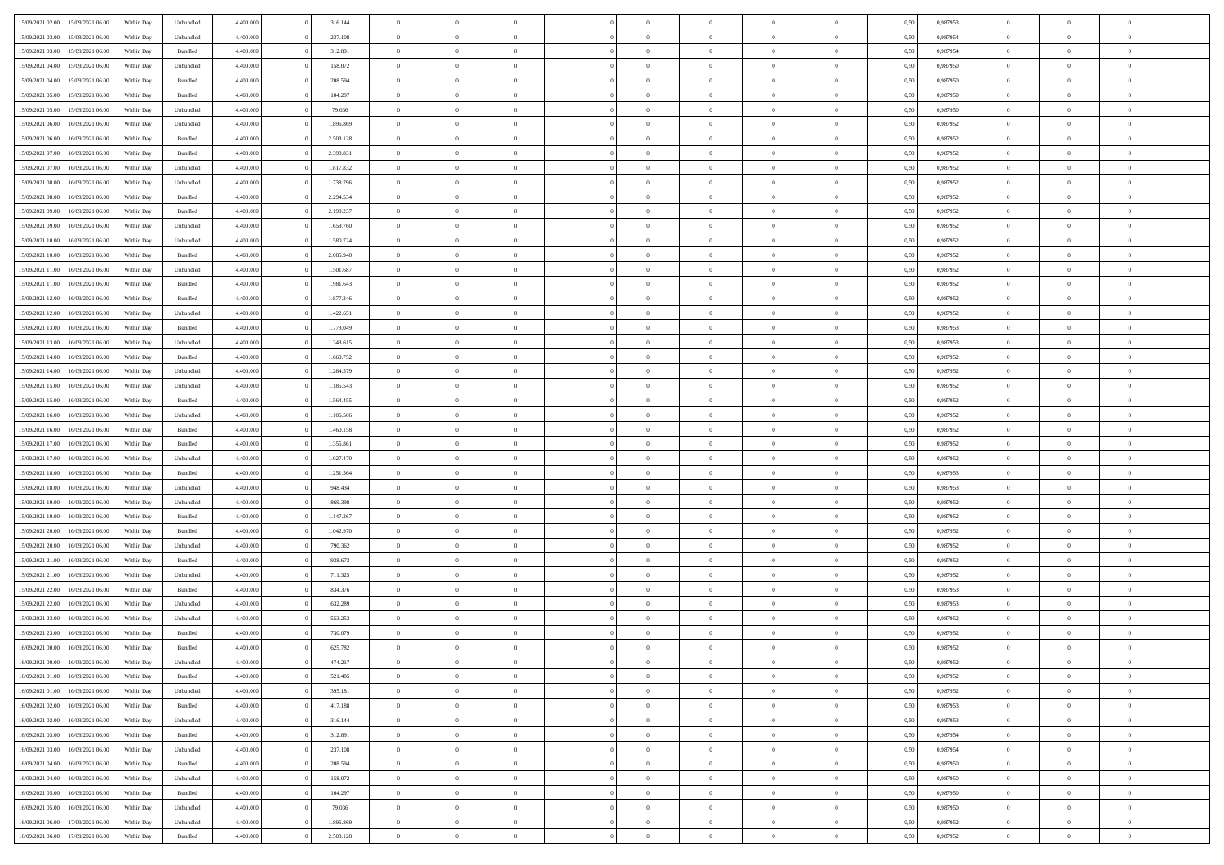| 15/09/2021 02:00                  | 15/09/2021 06:00 | Within Day | Unbundled | 4.400.000 | 316.144   | $\overline{0}$ | $\Omega$       |                | $\Omega$       | $\Omega$       | $\theta$       | $\theta$       | 0.50 | 0.987953 | $\theta$       | $\theta$       | $\theta$       |  |
|-----------------------------------|------------------|------------|-----------|-----------|-----------|----------------|----------------|----------------|----------------|----------------|----------------|----------------|------|----------|----------------|----------------|----------------|--|
|                                   |                  |            |           |           |           |                |                |                |                |                |                |                |      |          |                |                |                |  |
| 15/09/2021 03:00                  | 15/09/2021 06:00 | Within Day | Unbundled | 4.400.000 | 237.108   | $\overline{0}$ | $\theta$       | $\overline{0}$ | $\overline{0}$ | $\bf{0}$       | $\overline{0}$ | $\bf{0}$       | 0,50 | 0,987954 | $\theta$       | $\theta$       | $\overline{0}$ |  |
| 15/09/2021 03:00                  | 15/09/2021 06:00 | Within Day | Bundled   | 4.400.000 | 312.891   | $\overline{0}$ | $\overline{0}$ | $\overline{0}$ | $\bf{0}$       | $\bf{0}$       | $\bf{0}$       | $\bf{0}$       | 0,50 | 0,987954 | $\overline{0}$ | $\overline{0}$ | $\overline{0}$ |  |
| 15/09/2021 04:00                  | 15/09/2021 06:00 | Within Day | Unbundled | 4.400.000 | 158.072   | $\overline{0}$ | $\overline{0}$ | $\overline{0}$ | $\overline{0}$ | $\bf{0}$       | $\overline{0}$ | $\overline{0}$ | 0.50 | 0,987950 | $\theta$       | $\theta$       | $\overline{0}$ |  |
|                                   |                  |            |           |           |           | $\overline{0}$ | $\theta$       | $\overline{0}$ |                | $\bf{0}$       | $\overline{0}$ |                |      |          | $\theta$       | $\theta$       | $\overline{0}$ |  |
| 15/09/2021 04:00                  | 15/09/2021 06:00 | Within Day | Bundled   | 4.400.000 | 208.594   |                |                |                | $\overline{0}$ |                |                | $\bf{0}$       | 0,50 | 0,987950 |                |                |                |  |
| 15/09/2021 05:00                  | 15/09/2021 06:00 | Within Day | Bundled   | 4.400.000 | 104.297   | $\overline{0}$ | $\bf{0}$       | $\overline{0}$ | $\overline{0}$ | $\overline{0}$ | $\overline{0}$ | $\mathbf{0}$   | 0,50 | 0,987950 | $\overline{0}$ | $\overline{0}$ | $\bf{0}$       |  |
| 15/09/2021 05:00                  | 15/09/2021 06:00 | Within Dav | Unbundled | 4.400.000 | 79.036    | $\overline{0}$ | $\overline{0}$ | $\overline{0}$ | $\overline{0}$ | $\overline{0}$ | $\overline{0}$ | $\overline{0}$ | 0.50 | 0,987950 | $\theta$       | $\overline{0}$ | $\overline{0}$ |  |
| 15/09/2021 06:00                  | 16/09/2021 06:00 | Within Day | Unbundled | 4.400.000 | 1.896.869 | $\overline{0}$ | $\theta$       | $\overline{0}$ | $\overline{0}$ | $\bf{0}$       | $\overline{0}$ | $\bf{0}$       | 0,50 | 0,987952 | $\theta$       | $\theta$       | $\overline{0}$ |  |
| 15/09/2021 06:00                  | 16/09/2021 06:00 | Within Day | Bundled   | 4.400.000 | 2.503.128 | $\overline{0}$ | $\overline{0}$ | $\overline{0}$ | $\overline{0}$ | $\bf{0}$       | $\overline{0}$ | $\bf{0}$       | 0,50 | 0,987952 | $\,0\,$        | $\overline{0}$ | $\overline{0}$ |  |
|                                   |                  |            |           |           |           |                | $\overline{0}$ |                |                | $\overline{0}$ |                |                |      |          | $\theta$       | $\overline{0}$ | $\overline{0}$ |  |
| 15/09/2021 07:00                  | 16/09/2021 06:00 | Within Dav | Bundled   | 4.400.000 | 2.398.831 | $\overline{0}$ |                | $\overline{0}$ | $\overline{0}$ |                | $\overline{0}$ | $\overline{0}$ | 0.50 | 0,987952 |                |                |                |  |
| 15/09/2021 07:00                  | 16/09/2021 06:00 | Within Day | Unbundled | 4.400.000 | 1.817.832 | $\overline{0}$ | $\theta$       | $\overline{0}$ | $\overline{0}$ | $\bf{0}$       | $\overline{0}$ | $\bf{0}$       | 0,50 | 0,987952 | $\,$ 0 $\,$    | $\theta$       | $\overline{0}$ |  |
| 15/09/2021 08:00                  | 16/09/2021 06:00 | Within Day | Unbundled | 4.400.000 | 1.738.796 | $\overline{0}$ | $\overline{0}$ | $\overline{0}$ | $\overline{0}$ | $\bf{0}$       | $\overline{0}$ | $\bf{0}$       | 0,50 | 0,987952 | $\overline{0}$ | $\overline{0}$ | $\overline{0}$ |  |
| 15/09/2021 08:00                  | 16/09/2021 06:00 | Within Day | Bundled   | 4.400.000 | 2.294.534 | $\overline{0}$ | $\overline{0}$ | $\overline{0}$ | $\overline{0}$ | $\bf{0}$       | $\overline{0}$ | $\overline{0}$ | 0.50 | 0,987952 | $\theta$       | $\theta$       | $\overline{0}$ |  |
| 15/09/2021 09:00                  | 16/09/2021 06:00 | Within Day | Bundled   | 4.400.000 | 2.190.237 | $\overline{0}$ | $\theta$       | $\overline{0}$ | $\overline{0}$ | $\bf{0}$       | $\overline{0}$ | $\overline{0}$ | 0,50 | 0,987952 | $\theta$       | $\theta$       | $\overline{0}$ |  |
|                                   |                  |            |           |           |           |                |                |                |                |                |                |                |      |          |                |                |                |  |
| 15/09/2021 09:00                  | 16/09/2021 06:00 | Within Day | Unbundled | 4.400.000 | 1.659.760 | $\overline{0}$ | $\bf{0}$       | $\overline{0}$ | $\overline{0}$ | $\overline{0}$ | $\overline{0}$ | $\mathbf{0}$   | 0,50 | 0,987952 | $\overline{0}$ | $\overline{0}$ | $\bf{0}$       |  |
| 15/09/2021 10:00                  | 16/09/2021 06:00 | Within Dav | Unbundled | 4.400.000 | 1.580.724 | $\overline{0}$ | $\overline{0}$ | $\overline{0}$ | $\overline{0}$ | $\overline{0}$ | $\overline{0}$ | $\overline{0}$ | 0.50 | 0,987952 | $\theta$       | $\overline{0}$ | $\overline{0}$ |  |
| 15/09/2021 10:00                  | 16/09/2021 06:00 | Within Day | Bundled   | 4.400.000 | 2.085.940 | $\overline{0}$ | $\theta$       | $\overline{0}$ | $\overline{0}$ | $\bf{0}$       | $\overline{0}$ | $\bf{0}$       | 0,50 | 0,987952 | $\theta$       | $\theta$       | $\overline{0}$ |  |
| 15/09/2021 11:00                  | 16/09/2021 06:00 | Within Day | Unbundled | 4.400.000 | 1.501.687 | $\overline{0}$ | $\overline{0}$ | $\overline{0}$ | $\overline{0}$ | $\bf{0}$       | $\overline{0}$ | $\bf{0}$       | 0,50 | 0,987952 | $\,0\,$        | $\overline{0}$ | $\overline{0}$ |  |
| 15/09/2021 11:00                  | 16/09/2021 06:00 | Within Dav | Bundled   | 4.400.000 | 1.981.643 | $\overline{0}$ | $\overline{0}$ | $\overline{0}$ | $\overline{0}$ | $\overline{0}$ | $\overline{0}$ | $\overline{0}$ | 0.50 | 0,987952 | $\theta$       | $\overline{0}$ | $\overline{0}$ |  |
| 15/09/2021 12:00                  | 16/09/2021 06:00 | Within Day | Bundled   | 4.400.000 | 1.877.346 | $\overline{0}$ | $\theta$       | $\overline{0}$ | $\overline{0}$ | $\bf{0}$       | $\overline{0}$ | $\bf{0}$       | 0,50 | 0,987952 | $\theta$       | $\theta$       | $\overline{0}$ |  |
|                                   |                  |            |           |           |           |                |                |                |                |                |                |                |      |          |                |                |                |  |
| 15/09/2021 12:00                  | 16/09/2021 06:00 | Within Day | Unbundled | 4.400.000 | 1.422.651 | $\overline{0}$ | $\overline{0}$ | $\overline{0}$ | $\overline{0}$ | $\bf{0}$       | $\overline{0}$ | $\bf{0}$       | 0,50 | 0,987952 | $\,0\,$        | $\overline{0}$ | $\overline{0}$ |  |
| 15/09/2021 13:00                  | 16/09/2021 06:00 | Within Day | Bundled   | 4.400.000 | 1.773.049 | $\overline{0}$ | $\overline{0}$ | $\overline{0}$ | $\overline{0}$ | $\bf{0}$       | $\overline{0}$ | $\overline{0}$ | 0.50 | 0,987953 | $\theta$       | $\theta$       | $\overline{0}$ |  |
| 15/09/2021 13:00                  | 16/09/2021 06:00 | Within Day | Unbundled | 4.400.000 | 1.343.615 | $\overline{0}$ | $\theta$       | $\overline{0}$ | $\overline{0}$ | $\bf{0}$       | $\overline{0}$ | $\bf{0}$       | 0,50 | 0,987953 | $\theta$       | $\overline{0}$ | $\overline{0}$ |  |
| 15/09/2021 14:00                  | 16/09/2021 06:00 | Within Day | Bundled   | 4.400.000 | 1.668.752 | $\overline{0}$ | $\bf{0}$       | $\overline{0}$ | $\overline{0}$ | $\overline{0}$ | $\overline{0}$ | $\mathbf{0}$   | 0,50 | 0,987952 | $\overline{0}$ | $\overline{0}$ | $\bf{0}$       |  |
| 15/09/2021 14:00                  | 16/09/2021 06:00 | Within Dav | Unbundled | 4.400.000 | 1.264.579 | $\overline{0}$ | $\overline{0}$ | $\overline{0}$ | $\overline{0}$ | $\overline{0}$ | $\overline{0}$ | $\overline{0}$ | 0.50 | 0,987952 | $\theta$       | $\overline{0}$ | $\overline{0}$ |  |
| 15/09/2021 15:00                  | 16/09/2021 06:00 | Within Day | Unbundled | 4.400.000 | 1.185.543 | $\overline{0}$ | $\theta$       | $\overline{0}$ | $\overline{0}$ | $\bf{0}$       | $\overline{0}$ | $\bf{0}$       | 0,50 | 0,987952 | $\theta$       | $\theta$       | $\overline{0}$ |  |
|                                   |                  |            |           |           |           |                |                |                |                |                |                |                |      |          |                |                |                |  |
| 15/09/2021 15:00                  | 16/09/2021 06:00 | Within Day | Bundled   | 4.400.000 | 1.564.455 | $\overline{0}$ | $\overline{0}$ | $\overline{0}$ | $\overline{0}$ | $\bf{0}$       | $\overline{0}$ | $\bf{0}$       | 0,50 | 0,987952 | $\,0\,$        | $\overline{0}$ | $\overline{0}$ |  |
| 15/09/2021 16:00                  | 16/09/2021 06:00 | Within Day | Unbundled | 4.400.000 | 1.106.506 | $\overline{0}$ | $\overline{0}$ | $\overline{0}$ | $\overline{0}$ | $\overline{0}$ | $\overline{0}$ | $\overline{0}$ | 0.50 | 0,987952 | $\theta$       | $\overline{0}$ | $\overline{0}$ |  |
| 15/09/2021 16:00                  | 16/09/2021 06:00 | Within Day | Bundled   | 4.400.000 | 1.460.158 | $\overline{0}$ | $\theta$       | $\overline{0}$ | $\overline{0}$ | $\bf{0}$       | $\overline{0}$ | $\bf{0}$       | 0,50 | 0,987952 | $\,$ 0 $\,$    | $\overline{0}$ | $\overline{0}$ |  |
| 15/09/2021 17:00                  | 16/09/2021 06:00 | Within Day | Bundled   | 4.400.000 | 1.355.861 | $\overline{0}$ | $\overline{0}$ | $\overline{0}$ | $\overline{0}$ | $\bf{0}$       | $\overline{0}$ | $\bf{0}$       | 0,50 | 0,987952 | $\bf{0}$       | $\overline{0}$ | $\overline{0}$ |  |
| 15/09/2021 17:00                  | 16/09/2021 06:00 | Within Day | Unbundled | 4.400.000 | 1.027.470 | $\overline{0}$ | $\Omega$       | $\Omega$       | $\Omega$       | $\Omega$       | $\Omega$       | $\overline{0}$ | 0.50 | 0,987952 | $\,0\,$        | $\theta$       | $\theta$       |  |
| 15/09/2021 18:00                  | 16/09/2021 06:00 | Within Day | Bundled   | 4.400.000 | 1.251.564 | $\overline{0}$ | $\theta$       | $\overline{0}$ | $\overline{0}$ | $\bf{0}$       | $\overline{0}$ | $\bf{0}$       | 0,50 | 0,987953 | $\theta$       | $\theta$       | $\overline{0}$ |  |
|                                   |                  |            |           |           |           |                |                |                |                |                |                |                |      |          |                |                |                |  |
| 15/09/2021 18:00                  | 16/09/2021 06:00 | Within Day | Unbundled | 4.400.000 | 948.434   | $\overline{0}$ | $\overline{0}$ | $\overline{0}$ | $\overline{0}$ | $\bf{0}$       | $\overline{0}$ | $\mathbf{0}$   | 0,50 | 0,987953 | $\overline{0}$ | $\overline{0}$ | $\bf{0}$       |  |
| 15/09/2021 19:00                  | 16/09/2021 06:00 | Within Day | Unbundled | 4.400,000 | 869,398   | $\overline{0}$ | $\Omega$       | $\Omega$       | $\Omega$       | $\bf{0}$       | $\overline{0}$ | $\overline{0}$ | 0.50 | 0,987952 | $\,0\,$        | $\theta$       | $\theta$       |  |
| 15/09/2021 19:00                  | 16/09/2021 06:00 | Within Day | Bundled   | 4.400.000 | 1.147.267 | $\overline{0}$ | $\theta$       | $\overline{0}$ | $\overline{0}$ | $\bf{0}$       | $\overline{0}$ | $\bf{0}$       | 0,50 | 0,987952 | $\theta$       | $\theta$       | $\overline{0}$ |  |
| 15/09/2021 20:00                  | 16/09/2021 06:00 | Within Day | Bundled   | 4.400.000 | 1.042.970 | $\overline{0}$ | $\overline{0}$ | $\overline{0}$ | $\overline{0}$ | $\bf{0}$       | $\overline{0}$ | $\bf{0}$       | 0,50 | 0,987952 | $\,0\,$        | $\overline{0}$ | $\overline{0}$ |  |
| 15/09/2021 20:00                  | 16/09/2021 06:00 | Within Day | Unbundled | 4.400,000 | 790,362   | $\overline{0}$ | $\Omega$       | $\Omega$       | $\Omega$       | $\theta$       | $\theta$       | $\overline{0}$ | 0.50 | 0.987952 | $\theta$       | $\theta$       | $\theta$       |  |
| 15/09/2021 21:00                  | 16/09/2021 06:00 | Within Day | Bundled   | 4.400.000 | 938.673   | $\overline{0}$ | $\theta$       | $\overline{0}$ | $\overline{0}$ | $\bf{0}$       | $\overline{0}$ | $\bf{0}$       | 0,50 | 0,987952 | $\,$ 0 $\,$    | $\overline{0}$ | $\overline{0}$ |  |
|                                   |                  |            |           |           |           |                |                |                |                |                |                |                |      |          |                |                |                |  |
| 15/09/2021 21.00                  | 16/09/2021 06:00 | Within Day | Unbundled | 4.400.000 | 711.325   | $\overline{0}$ | $\overline{0}$ | $\overline{0}$ | $\overline{0}$ | $\bf{0}$       | $\overline{0}$ | $\bf{0}$       | 0,50 | 0,987952 | $\overline{0}$ | $\overline{0}$ | $\overline{0}$ |  |
| 15/09/2021 22:00                  | 16/09/2021 06:00 | Within Day | Bundled   | 4.400,000 | 834.376   | $\overline{0}$ | $\Omega$       | $\Omega$       | $\Omega$       | $\Omega$       | $\overline{0}$ | $\overline{0}$ | 0.50 | 0,987953 | $\,0\,$        | $\theta$       | $\theta$       |  |
| 15/09/2021 22:00                  | 16/09/2021 06:00 | Within Day | Unbundled | 4.400.000 | 632.289   | $\overline{0}$ | $\theta$       | $\overline{0}$ | $\overline{0}$ | $\bf{0}$       | $\overline{0}$ | $\bf{0}$       | 0,50 | 0,987953 | $\,$ 0 $\,$    | $\overline{0}$ | $\overline{0}$ |  |
| 15/09/2021 23.00                  | 16/09/2021 06:00 | Within Day | Unbundled | 4.400.000 | 553.253   | $\overline{0}$ | $\overline{0}$ | $\overline{0}$ | $\overline{0}$ | $\bf{0}$       | $\overline{0}$ | $\mathbf{0}$   | 0,50 | 0,987952 | $\overline{0}$ | $\overline{0}$ | $\bf{0}$       |  |
| 15/09/2021 23.00                  | 16/09/2021 06:00 | Within Day | Bundled   | 4.400,000 | 730,079   | $\overline{0}$ | $\Omega$       | $\Omega$       | $\Omega$       | $\Omega$       | $\Omega$       | $\overline{0}$ | 0.50 | 0.987952 | $\theta$       | $\theta$       | $\theta$       |  |
| 16/09/2021 00:00                  | 16/09/2021 06:00 | Within Day | Bundled   | 4.400.000 | 625.782   | $\overline{0}$ | $\overline{0}$ | $\overline{0}$ | $\bf{0}$       | $\,$ 0         | $\overline{0}$ | $\bf{0}$       | 0,50 | 0,987952 | $\,0\,$        | $\overline{0}$ | $\overline{0}$ |  |
|                                   |                  |            |           |           |           |                |                |                |                |                |                |                |      |          |                |                |                |  |
| 16/09/2021 00:00                  | 16/09/2021 06:00 | Within Day | Unbundled | 4.400.000 | 474.217   | $\bf{0}$       | $\bf{0}$       |                |                |                |                |                | 0,50 | 0,987952 | $\bf{0}$       | $\overline{0}$ |                |  |
| 16/09/2021 01:00                  | 16/09/2021 06:00 | Within Day | Bundled   | 4.400.000 | 521.485   | $\overline{0}$ | $\overline{0}$ | $\overline{0}$ | $\Omega$       | $\overline{0}$ | $\overline{0}$ | $\overline{0}$ | 0,50 | 0.987952 | $\theta$       | $\theta$       | $\theta$       |  |
| 16/09/2021 01:00                  | 16/09/2021 06:00 | Within Day | Unbundled | 4.400.000 | 395.181   | $\overline{0}$ | $\bf{0}$       | $\overline{0}$ | $\bf{0}$       | $\,$ 0 $\,$    | $\overline{0}$ | $\,$ 0 $\,$    | 0,50 | 0,987952 | $\,$ 0 $\,$    | $\,$ 0 $\,$    | $\,$ 0         |  |
| 16/09/2021 02:00                  | 16/09/2021 06:00 | Within Day | Bundled   | 4.400.000 | 417.188   | $\overline{0}$ | $\overline{0}$ | $\overline{0}$ | $\overline{0}$ | $\overline{0}$ | $\overline{0}$ | $\mathbf{0}$   | 0,50 | 0,987953 | $\overline{0}$ | $\overline{0}$ | $\overline{0}$ |  |
| 16/09/2021 02:00                  | 16/09/2021 06:00 | Within Day | Unbundled | 4.400,000 | 316.144   | $\overline{0}$ | $\overline{0}$ | $\overline{0}$ | $\Omega$       | $\overline{0}$ | $\overline{0}$ | $\overline{0}$ | 0,50 | 0,987953 | $\overline{0}$ | $\,0\,$        | $\overline{0}$ |  |
| 16/09/2021 03:00                  | 16/09/2021 06:00 | Within Day | Bundled   | 4.400.000 | 312.891   | $\overline{0}$ | $\,$ 0         | $\overline{0}$ | $\bf{0}$       | $\,$ 0 $\,$    | $\overline{0}$ | $\,$ 0 $\,$    | 0,50 | 0,987954 | $\,$ 0 $\,$    | $\overline{0}$ | $\,$ 0         |  |
|                                   |                  |            |           |           |           |                |                |                |                |                |                |                |      |          |                |                |                |  |
| 16/09/2021 03:00                  | 16/09/2021 06:00 | Within Day | Unbundled | 4.400.000 | 237.108   | $\overline{0}$ | $\overline{0}$ | $\overline{0}$ | $\overline{0}$ | $\overline{0}$ | $\overline{0}$ | $\mathbf{0}$   | 0,50 | 0,987954 | $\overline{0}$ | $\overline{0}$ | $\overline{0}$ |  |
| 16/09/2021 04:00                  | 16/09/2021 06:00 | Within Day | Bundled   | 4.400.000 | 208,594   | $\overline{0}$ | $\overline{0}$ | $\overline{0}$ | $\overline{0}$ | $\overline{0}$ | $\overline{0}$ | $\overline{0}$ | 0.50 | 0,987950 | $\overline{0}$ | $\theta$       | $\overline{0}$ |  |
| 16/09/2021 04:00                  | 16/09/2021 06:00 | Within Day | Unbundled | 4.400.000 | 158.072   | $\overline{0}$ | $\,$ 0         | $\overline{0}$ | $\bf{0}$       | $\bf{0}$       | $\bf{0}$       | $\bf{0}$       | 0,50 | 0,987950 | $\,$ 0 $\,$    | $\overline{0}$ | $\overline{0}$ |  |
| 16/09/2021 05:00                  | 16/09/2021 06:00 | Within Day | Bundled   | 4.400.000 | 104.297   | $\overline{0}$ | $\bf{0}$       | $\overline{0}$ | $\overline{0}$ | $\overline{0}$ | $\overline{0}$ | $\mathbf{0}$   | 0,50 | 0,987950 | $\overline{0}$ | $\overline{0}$ | $\bf{0}$       |  |
| 16/09/2021 05:00                  | 16/09/2021 06:00 | Within Day | Unbundled | 4.400,000 | 79.036    | $\overline{0}$ | $\overline{0}$ | $\overline{0}$ | $\Omega$       | $\overline{0}$ | $\overline{0}$ | $\overline{0}$ | 0.50 | 0,987950 | $\overline{0}$ | $\overline{0}$ | $\overline{0}$ |  |
| 16/09/2021 06:00                  | 17/09/2021 06:00 | Within Day | Unbundled | 4.400.000 | 1.896.869 | $\overline{0}$ | $\bf{0}$       | $\overline{0}$ | $\bf{0}$       | $\bf{0}$       | $\bf{0}$       | $\mathbf{0}$   | 0,50 | 0,987952 | $\,$ 0 $\,$    | $\,$ 0 $\,$    | $\bf{0}$       |  |
|                                   |                  |            |           |           |           |                |                |                |                |                |                |                |      |          |                |                |                |  |
| 16/09/2021 06:00 17/09/2021 06:00 |                  | Within Day | Bundled   | 4.400.000 | 2.503.128 | $\overline{0}$ | $\overline{0}$ | $\overline{0}$ | $\overline{0}$ | $\overline{0}$ | $\bf{0}$       | $\mathbf{0}$   | 0,50 | 0,987952 | $\overline{0}$ | $\bf{0}$       | $\overline{0}$ |  |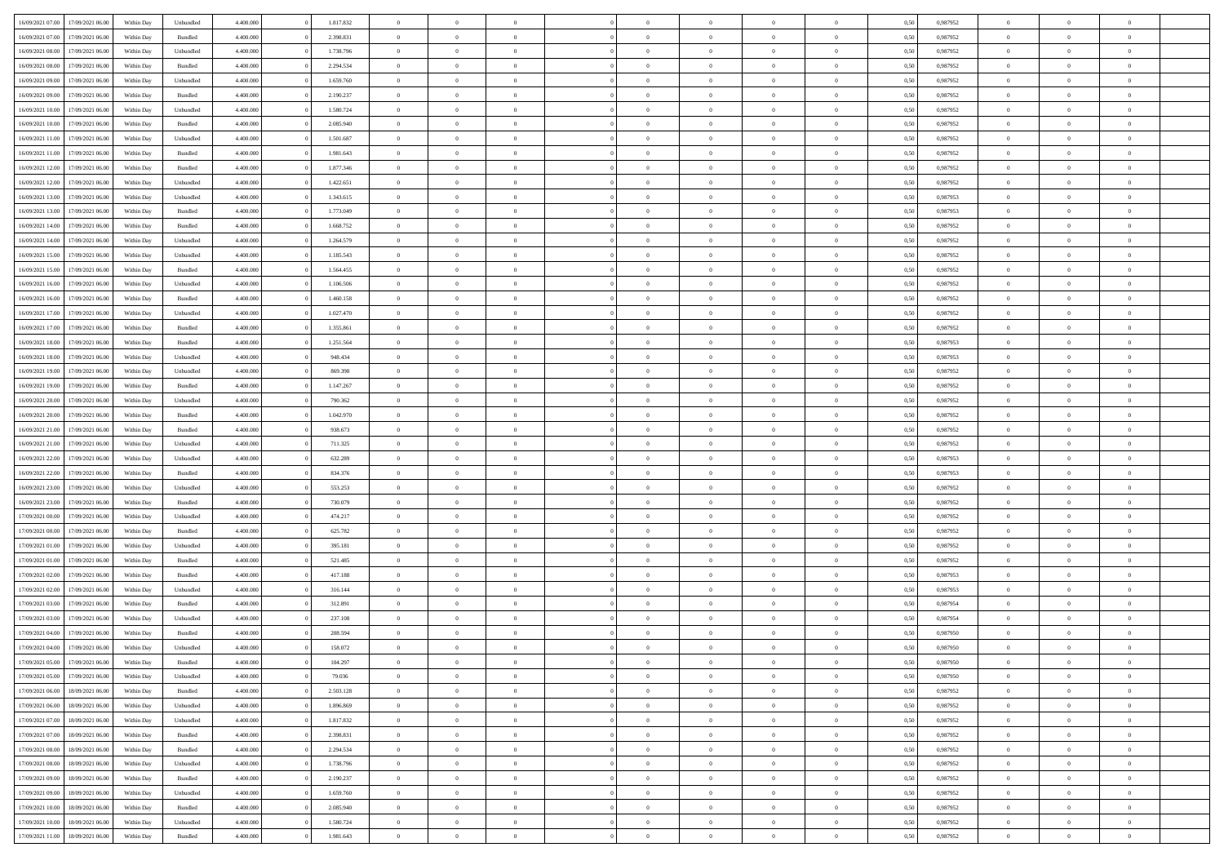| 16/09/2021 07:00 17/09/2021 06:00                        | Within Day               | Unbundled | 4.400.000 | 1.817.832 | $\overline{0}$ | $\overline{0}$ | $\Omega$       | $\overline{0}$ | $\theta$       | $\Omega$       | $\overline{0}$ | 0,50 | 0,987952 | $\theta$       | $\theta$       | $\overline{0}$ |  |
|----------------------------------------------------------|--------------------------|-----------|-----------|-----------|----------------|----------------|----------------|----------------|----------------|----------------|----------------|------|----------|----------------|----------------|----------------|--|
| 16/09/2021 07:00<br>17/09/2021 06:00                     | Within Day               | Bundled   | 4.400.000 | 2.398.831 | $\overline{0}$ | $\overline{0}$ | $\overline{0}$ | $\overline{0}$ | $\theta$       | $\overline{0}$ | $\bf{0}$       | 0,50 | 0,987952 | $\theta$       | $\theta$       | $\overline{0}$ |  |
| 16/09/2021 08:00<br>17/09/2021 06:00                     | Within Day               | Unbundled | 4.400.000 | 1.738.796 | $\overline{0}$ | $\bf{0}$       | $\overline{0}$ | $\overline{0}$ | $\bf{0}$       | $\overline{0}$ | $\bf{0}$       | 0,50 | 0,987952 | $\bf{0}$       | $\overline{0}$ | $\bf{0}$       |  |
| 16/09/2021 08:00<br>17/09/2021 06:00                     | Within Day               | Bundled   | 4.400.000 | 2.294.534 | $\overline{0}$ | $\overline{0}$ | $\overline{0}$ | $\overline{0}$ | $\theta$       | $\overline{0}$ | $\overline{0}$ | 0.50 | 0,987952 | $\theta$       | $\theta$       | $\overline{0}$ |  |
| 16/09/2021 09:00<br>17/09/2021 06:00                     | Within Day               | Unbundled | 4.400.000 | 1.659.760 | $\overline{0}$ | $\overline{0}$ | $\overline{0}$ | $\overline{0}$ | $\theta$       | $\overline{0}$ | $\bf{0}$       | 0,50 | 0,987952 | $\theta$       | $\theta$       | $\overline{0}$ |  |
| 16/09/2021 09:00<br>17/09/2021 06:00                     | Within Day               | Bundled   | 4.400.000 | 2.190.237 | $\overline{0}$ | $\bf{0}$       | $\overline{0}$ | $\overline{0}$ | $\overline{0}$ | $\overline{0}$ | $\bf{0}$       | 0,50 | 0,987952 | $\overline{0}$ | $\overline{0}$ | $\bf{0}$       |  |
| 16/09/2021 10:00<br>17/09/2021 06:00                     |                          | Unbundled | 4.400.000 | 1.580.724 | $\overline{0}$ | $\overline{0}$ | $\overline{0}$ | $\overline{0}$ | $\overline{0}$ | $\overline{0}$ | $\bf{0}$       | 0.5( | 0,987952 | $\theta$       | $\theta$       | $\overline{0}$ |  |
|                                                          | Within Day               |           |           |           |                |                |                |                |                |                |                |      |          |                |                |                |  |
| 16/09/2021 10:00<br>17/09/2021 06:00                     | Within Day               | Bundled   | 4.400.000 | 2.085.940 | $\bf{0}$       | $\overline{0}$ | $\overline{0}$ | $\overline{0}$ | $\theta$       | $\overline{0}$ | $\bf{0}$       | 0,50 | 0,987952 | $\theta$       | $\theta$       | $\overline{0}$ |  |
| 16/09/2021 11:00<br>17/09/2021 06:00                     | Within Day               | Unbundled | 4.400.000 | 1.501.687 | $\overline{0}$ | $\bf{0}$       | $\overline{0}$ | $\overline{0}$ | $\overline{0}$ | $\overline{0}$ | $\bf{0}$       | 0,50 | 0,987952 | $\bf{0}$       | $\overline{0}$ | $\overline{0}$ |  |
| 16/09/2021 11:00<br>17/09/2021 06:00                     | Within Day               | Bundled   | 4.400.000 | 1.981.643 | $\overline{0}$ | $\overline{0}$ | $\overline{0}$ | $\overline{0}$ | $\overline{0}$ | $\overline{0}$ | $\bf{0}$       | 0.50 | 0,987952 | $\theta$       | $\theta$       | $\overline{0}$ |  |
| 16/09/2021 12:00<br>17/09/2021 06:00                     | Within Day               | Bundled   | 4.400.000 | 1.877.346 | $\bf{0}$       | $\overline{0}$ | $\overline{0}$ | $\overline{0}$ | $\theta$       | $\overline{0}$ | $\bf{0}$       | 0,50 | 0,987952 | $\theta$       | $\theta$       | $\overline{0}$ |  |
| 16/09/2021 12:00<br>17/09/2021 06:00                     | Within Day               | Unbundled | 4.400.000 | 1.422.651 | $\overline{0}$ | $\bf{0}$       | $\overline{0}$ | $\overline{0}$ | $\bf{0}$       | $\overline{0}$ | $\bf{0}$       | 0,50 | 0,987952 | $\bf{0}$       | $\overline{0}$ | $\bf{0}$       |  |
| 16/09/2021 13:00<br>17/09/2021 06:00                     | Within Day               | Unbundled | 4.400.000 | 1.343.615 | $\overline{0}$ | $\overline{0}$ | $\overline{0}$ | $\overline{0}$ | $\overline{0}$ | $\overline{0}$ | $\overline{0}$ | 0.5( | 0,987953 | $\theta$       | $\theta$       | $\overline{0}$ |  |
| 16/09/2021 13:00<br>17/09/2021 06:00                     | Within Day               | Bundled   | 4.400.000 | 1.773.049 | $\overline{0}$ | $\theta$       | $\overline{0}$ | $\overline{0}$ | $\theta$       | $\overline{0}$ | $\,$ 0 $\,$    | 0,50 | 0,987953 | $\theta$       | $\theta$       | $\overline{0}$ |  |
| 16/09/2021 14:00<br>17/09/2021 06:00                     | Within Day               | Bundled   | 4.400.000 | 1.668.752 | $\overline{0}$ | $\bf{0}$       | $\overline{0}$ | $\overline{0}$ | $\overline{0}$ | $\overline{0}$ | $\bf{0}$       | 0,50 | 0,987952 | $\bf{0}$       | $\overline{0}$ | $\overline{0}$ |  |
| 16/09/2021 14:00<br>17/09/2021 06:00                     | Within Day               | Unbundled | 4.400.000 | 1.264.579 | $\overline{0}$ | $\overline{0}$ | $\overline{0}$ | $\overline{0}$ | $\overline{0}$ | $\overline{0}$ | $\overline{0}$ | 0.5( | 0,987952 | $\theta$       | $\overline{0}$ | $\overline{0}$ |  |
| 16/09/2021 15:00<br>17/09/2021 06:00                     | Within Day               | Unbundled | 4.400.000 | 1.185.543 | $\bf{0}$       | $\overline{0}$ | $\overline{0}$ | $\overline{0}$ | $\theta$       | $\overline{0}$ | $\bf{0}$       | 0,50 | 0,987952 | $\theta$       | $\theta$       | $\overline{0}$ |  |
| 16/09/2021 15:00<br>17/09/2021 06:00                     | Within Day               | Bundled   | 4.400.000 | 1.564.455 | $\overline{0}$ | $\bf{0}$       | $\overline{0}$ | $\overline{0}$ | $\overline{0}$ | $\overline{0}$ | $\bf{0}$       | 0,50 | 0,987952 | $\bf{0}$       | $\overline{0}$ | $\overline{0}$ |  |
| 16/09/2021 16:00<br>17/09/2021 06:00                     | Within Day               | Unbundled | 4.400.000 | 1.106.506 | $\overline{0}$ | $\overline{0}$ | $\overline{0}$ | $\overline{0}$ | $\overline{0}$ | $\overline{0}$ | $\overline{0}$ | 0.50 | 0,987952 | $\theta$       | $\theta$       | $\overline{0}$ |  |
| 16/09/2021 16:00<br>17/09/2021 06:00                     | Within Day               | Bundled   | 4.400.000 | 1.460.158 | $\bf{0}$       | $\overline{0}$ | $\overline{0}$ | $\overline{0}$ | $\theta$       | $\overline{0}$ | $\bf{0}$       | 0,50 | 0,987952 | $\theta$       | $\theta$       | $\overline{0}$ |  |
| 16/09/2021 17:00<br>17/09/2021 06:00                     | Within Day               | Unbundled | 4.400.000 | 1.027.470 | $\overline{0}$ | $\bf{0}$       | $\overline{0}$ | $\overline{0}$ | $\bf{0}$       | $\overline{0}$ | $\bf{0}$       | 0,50 | 0,987952 | $\bf{0}$       | $\overline{0}$ | $\bf{0}$       |  |
| 16/09/2021 17:00<br>17/09/2021 06:00                     | Within Day               | Bundled   | 4.400.000 | 1.355.861 | $\overline{0}$ | $\overline{0}$ | $\overline{0}$ | $\overline{0}$ | $\overline{0}$ | $\overline{0}$ | $\overline{0}$ | 0.5( | 0,987952 | $\theta$       | $\overline{0}$ | $\overline{0}$ |  |
|                                                          |                          |           |           |           |                |                |                |                |                |                |                |      |          |                |                |                |  |
| 16/09/2021 18:00<br>17/09/2021 06:00                     | Within Day               | Bundled   | 4.400.000 | 1.251.564 | $\bf{0}$       | $\theta$       | $\overline{0}$ | $\overline{0}$ | $\theta$       | $\overline{0}$ | $\bf{0}$       | 0,50 | 0,987953 | $\theta$       | $\theta$       | $\overline{0}$ |  |
| 16/09/2021 18:00<br>17/09/2021 06:00                     | Within Day               | Unbundled | 4.400.000 | 948.434   | $\overline{0}$ | $\bf{0}$       | $\overline{0}$ | $\overline{0}$ | $\overline{0}$ | $\overline{0}$ | $\bf{0}$       | 0,50 | 0,987953 | $\overline{0}$ | $\overline{0}$ | $\bf{0}$       |  |
| 16/09/2021 19:00<br>17/09/2021 06:00                     | Within Day               | Unbundled | 4.400.000 | 869.398   | $\overline{0}$ | $\overline{0}$ | $\overline{0}$ | $\overline{0}$ | $\overline{0}$ | $\overline{0}$ | $\overline{0}$ | 0.5( | 0,987952 | $\overline{0}$ | $\overline{0}$ | $\overline{0}$ |  |
| 16/09/2021 19:00<br>17/09/2021 06:00                     | Within Day               | Bundled   | 4.400.000 | 1.147.267 | $\bf{0}$       | $\overline{0}$ | $\overline{0}$ | $\overline{0}$ | $\theta$       | $\overline{0}$ | $\bf{0}$       | 0,50 | 0,987952 | $\theta$       | $\theta$       | $\overline{0}$ |  |
| 16/09/2021 20:00<br>17/09/2021 06:00                     | Within Day               | Unbundled | 4.400.000 | 790.362   | $\overline{0}$ | $\bf{0}$       | $\overline{0}$ | $\overline{0}$ | $\overline{0}$ | $\overline{0}$ | $\bf{0}$       | 0,50 | 0,987952 | $\bf{0}$       | $\overline{0}$ | $\overline{0}$ |  |
| 16/09/2021 20:00<br>17/09/2021 06:00                     | Within Day               | Bundled   | 4.400.000 | 1.042.970 | $\overline{0}$ | $\overline{0}$ | $\overline{0}$ | $\overline{0}$ | $\overline{0}$ | $\overline{0}$ | $\overline{0}$ | 0.5( | 0,987952 | $\theta$       | $\theta$       | $\overline{0}$ |  |
| 16/09/2021 21:00<br>17/09/2021 06:00                     | Within Day               | Bundled   | 4.400.000 | 938.673   | $\bf{0}$       | $\overline{0}$ | $\overline{0}$ | $\overline{0}$ | $\theta$       | $\overline{0}$ | $\bf{0}$       | 0,50 | 0,987952 | $\theta$       | $\theta$       | $\overline{0}$ |  |
| 16/09/2021 21:00<br>17/09/2021 06:00                     | Within Day               | Unbundled | 4.400.000 | 711.325   | $\overline{0}$ | $\bf{0}$       | $\overline{0}$ | $\overline{0}$ | $\bf{0}$       | $\overline{0}$ | $\bf{0}$       | 0,50 | 0,987952 | $\bf{0}$       | $\overline{0}$ | $\bf{0}$       |  |
| 16/09/2021 22:00<br>17/09/2021 06:00                     | Within Day               | Unbundled | 4,400,000 | 632.289   | $\overline{0}$ | $\overline{0}$ | $\Omega$       | $\Omega$       | $\Omega$       | $\Omega$       | $\overline{0}$ | 0,50 | 0,987953 | $\,$ 0 $\,$    | $\overline{0}$ | $\theta$       |  |
| 16/09/2021 22:00<br>17/09/2021 06:00                     | Within Day               | Bundled   | 4.400.000 | 834.376   | $\bf{0}$       | $\theta$       | $\overline{0}$ | $\overline{0}$ | $\theta$       | $\overline{0}$ | $\bf{0}$       | 0,50 | 0,987953 | $\theta$       | $\theta$       | $\overline{0}$ |  |
| 16/09/2021 23:00<br>17/09/2021 06:00                     | Within Day               | Unbundled | 4.400.000 | 553.253   | $\overline{0}$ | $\bf{0}$       | $\overline{0}$ | $\overline{0}$ | $\overline{0}$ | $\overline{0}$ | $\bf{0}$       | 0,50 | 0,987952 | $\overline{0}$ | $\overline{0}$ | $\bf{0}$       |  |
| 16/09/2021 23:00<br>17/09/2021 06:00                     | Within Day               | Bundled   | 4,400,000 | 730,079   | $\overline{0}$ | $\overline{0}$ | $\Omega$       | $\Omega$       | $\overline{0}$ | $\Omega$       | $\overline{0}$ | 0.50 | 0,987952 | $\bf{0}$       | $\theta$       | $\theta$       |  |
| 17/09/2021 00:00<br>17/09/2021 06:00                     | Within Day               | Unbundled | 4.400.000 | 474.217   | $\bf{0}$       | $\overline{0}$ | $\overline{0}$ | $\overline{0}$ | $\theta$       | $\overline{0}$ | $\bf{0}$       | 0,50 | 0,987952 | $\theta$       | $\theta$       | $\overline{0}$ |  |
| 17/09/2021 00:00<br>17/09/2021 06:00                     | Within Day               | Bundled   | 4.400.000 | 625.782   | $\overline{0}$ | $\bf{0}$       | $\overline{0}$ | $\overline{0}$ | $\overline{0}$ | $\overline{0}$ | $\bf{0}$       | 0,50 | 0,987952 | $\bf{0}$       | $\overline{0}$ | $\bf{0}$       |  |
| 17/09/2021 01:00<br>17/09/2021 06:00                     | Within Day               | Unbundled | 4,400,000 | 395.181   | $\overline{0}$ | $\overline{0}$ | $\Omega$       | $\theta$       | $\Omega$       | $\theta$       | $\overline{0}$ | 0.50 | 0.987952 | $\overline{0}$ | $\theta$       | $\theta$       |  |
| 17/09/2021 01:00<br>17/09/2021 06:00                     | Within Day               | Bundled   | 4.400.000 | 521.485   | $\bf{0}$       | $\bf{0}$       | $\overline{0}$ | $\overline{0}$ | $\theta$       | $\overline{0}$ | $\bf{0}$       | 0,50 | 0,987952 | $\theta$       | $\,$ 0 $\,$    | $\overline{0}$ |  |
| 17/09/2021 02:00<br>17/09/2021 06:00                     | Within Day               | Bundled   | 4.400.000 | 417.188   | $\overline{0}$ | $\bf{0}$       | $\overline{0}$ | $\overline{0}$ | $\overline{0}$ | $\overline{0}$ | $\bf{0}$       | 0,50 | 0,987953 | $\bf{0}$       | $\overline{0}$ | $\bf{0}$       |  |
| 17/09/2021 02:00<br>17/09/2021 06:00                     | Within Day               | Unbundled | 4,400,000 | 316.144   | $\overline{0}$ | $\overline{0}$ | $\Omega$       | $\Omega$       | $\overline{0}$ | $\Omega$       | $\overline{0}$ | 0.50 | 0,987953 | $\,$ 0 $\,$    | $\overline{0}$ | $\theta$       |  |
| 17/09/2021 03:00<br>17/09/2021 06:00                     | Within Day               | Bundled   | 4.400.000 | 312.891   | $\bf{0}$       | $\theta$       | $\overline{0}$ | $\overline{0}$ | $\theta$       | $\overline{0}$ | $\bf{0}$       | 0,50 | 0,987954 | $\theta$       | $\theta$       | $\overline{0}$ |  |
| 17/09/2021 03:00<br>17/09/2021 06:00                     | Within Day               | Unbundled | 4.400.000 | 237.108   | $\overline{0}$ | $\bf{0}$       | $\overline{0}$ | $\overline{0}$ | $\overline{0}$ | $\overline{0}$ | $\bf{0}$       | 0,50 | 0,987954 | $\overline{0}$ | $\overline{0}$ | $\bf{0}$       |  |
| 17/09/2021 06:00                                         |                          | Bundled   | 4,400,000 | 208,594   | $\overline{0}$ | $\overline{0}$ | $\Omega$       | $\Omega$       | $\Omega$       | $\theta$       | $\overline{0}$ | 0.50 | 0.987950 | $\theta$       | $\overline{0}$ | $\theta$       |  |
| 17/09/2021 04:00<br>17/09/2021 04:00<br>17/09/2021 06:00 | Within Day<br>Within Day | Unbundled | 4.400.000 | 158.072   | $\bf{0}$       | $\bf{0}$       | $\overline{0}$ | $\overline{0}$ | $\overline{0}$ | $\overline{0}$ | $\bf{0}$       | 0,50 | 0,987950 | $\bf{0}$       | $\,0\,$        | $\overline{0}$ |  |
| 17/09/2021 05:00 17/09/2021 06:00                        | Within Day               | Bundled   | 4.400.000 | 104.297   |                |                |                |                |                |                |                | 0,50 | 0,987950 | $\bf{0}$       | $\bf{0}$       |                |  |
| 17/09/2021 05:00 17/09/2021 06:00                        | Within Day               | Unbundled | 4.400.000 | 79.036    | $\Omega$       | $\overline{0}$ | $\Omega$       | $\theta$       | $\overline{0}$ | $\theta$       | $\overline{0}$ | 0.50 | 0.987950 | $\theta$       | $\theta$       | $\theta$       |  |
|                                                          |                          |           |           |           |                | $\overline{0}$ |                |                | $\overline{0}$ |                |                |      |          | $\,$ 0 $\,$    | $\,$ 0 $\,$    | $\,$ 0         |  |
| 17/09/2021 06:00<br>18/09/2021 06:00                     | Within Day               | Bundled   | 4.400.000 | 2.503.128 | $\overline{0}$ |                | $\overline{0}$ | $\overline{0}$ |                | $\overline{0}$ | $\,$ 0 $\,$    | 0,50 | 0,987952 |                |                |                |  |
| 17/09/2021 06:00<br>18/09/2021 06:00                     | Within Day               | Unbundled | 4.400.000 | 1.896.869 | $\overline{0}$ | $\overline{0}$ | $\overline{0}$ | $\overline{0}$ | $\overline{0}$ | $\overline{0}$ | $\bf{0}$       | 0,50 | 0,987952 | $\overline{0}$ | $\bf{0}$       | $\overline{0}$ |  |
| 17/09/2021 07:00<br>18/09/2021 06:00                     | Within Day               | Unbundled | 4.400.000 | 1.817.832 | $\overline{0}$ | $\bf{0}$       | $\overline{0}$ | $\overline{0}$ | $\overline{0}$ | $\overline{0}$ | $\bf{0}$       | 0,50 | 0,987952 | $\bf{0}$       | $\theta$       | $\overline{0}$ |  |
| 17/09/2021 07:00<br>18/09/2021 06:00                     | Within Day               | Bundled   | 4.400.000 | 2.398.831 | $\overline{0}$ | $\overline{0}$ | $\overline{0}$ | $\overline{0}$ | $\overline{0}$ | $\overline{0}$ | $\bf{0}$       | 0,50 | 0,987952 | $\,$ 0 $\,$    | $\,$ 0 $\,$    | $\overline{0}$ |  |
| 17/09/2021 08:00<br>18/09/2021 06:00                     | Within Day               | Bundled   | 4.400.000 | 2.294.534 | $\overline{0}$ | $\overline{0}$ | $\overline{0}$ | $\overline{0}$ | $\mathbf{0}$   | $\overline{0}$ | $\bf{0}$       | 0,50 | 0,987952 | $\overline{0}$ | $\overline{0}$ | $\overline{0}$ |  |
| 17/09/2021 08:00<br>18/09/2021 06:00                     | Within Day               | Unbundled | 4.400.000 | 1.738.796 | $\overline{0}$ | $\bf{0}$       | $\overline{0}$ | $\overline{0}$ | $\overline{0}$ | $\overline{0}$ | $\bf{0}$       | 0.50 | 0,987952 | $\overline{0}$ | $\theta$       | $\overline{0}$ |  |
| 17/09/2021 09:00<br>18/09/2021 06:00                     | Within Day               | Bundled   | 4.400.000 | 2.190.237 | $\overline{0}$ | $\overline{0}$ | $\overline{0}$ | $\overline{0}$ | $\overline{0}$ | $\overline{0}$ | $\bf{0}$       | 0,50 | 0,987952 | $\,$ 0 $\,$    | $\bf{0}$       | $\overline{0}$ |  |
| 17/09/2021 09:00<br>18/09/2021 06:00                     | Within Day               | Unbundled | 4.400.000 | 1.659.760 | $\overline{0}$ | $\bf{0}$       | $\overline{0}$ | $\overline{0}$ | $\overline{0}$ | $\overline{0}$ | $\bf{0}$       | 0,50 | 0,987952 | $\overline{0}$ | $\overline{0}$ | $\bf{0}$       |  |
| 17/09/2021 10:00<br>18/09/2021 06:00                     | Within Day               | Bundled   | 4.400.000 | 2.085.940 | $\overline{0}$ | $\overline{0}$ | $\overline{0}$ | $\overline{0}$ | $\overline{0}$ | $\overline{0}$ | $\bf{0}$       | 0.50 | 0,987952 | $\overline{0}$ | $\theta$       | $\overline{0}$ |  |
| 17/09/2021 10:00<br>18/09/2021 06:00                     | Within Day               | Unbundled | 4.400.000 | 1.580.724 | $\overline{0}$ | $\,$ 0         | $\overline{0}$ | $\overline{0}$ | $\overline{0}$ | $\overline{0}$ | $\bf{0}$       | 0,50 | 0,987952 | $\,$ 0 $\,$    | $\,$ 0 $\,$    | $\bf{0}$       |  |
| 17/09/2021 11:00 18/09/2021 06:00                        | Within Day               | Bundled   | 4.400.000 | 1.981.643 | $\overline{0}$ | $\bf{0}$       | $\overline{0}$ | $\overline{0}$ | $\overline{0}$ | $\overline{0}$ | $\bf{0}$       | 0,50 | 0,987952 | $\overline{0}$ | $\bf{0}$       | $\overline{0}$ |  |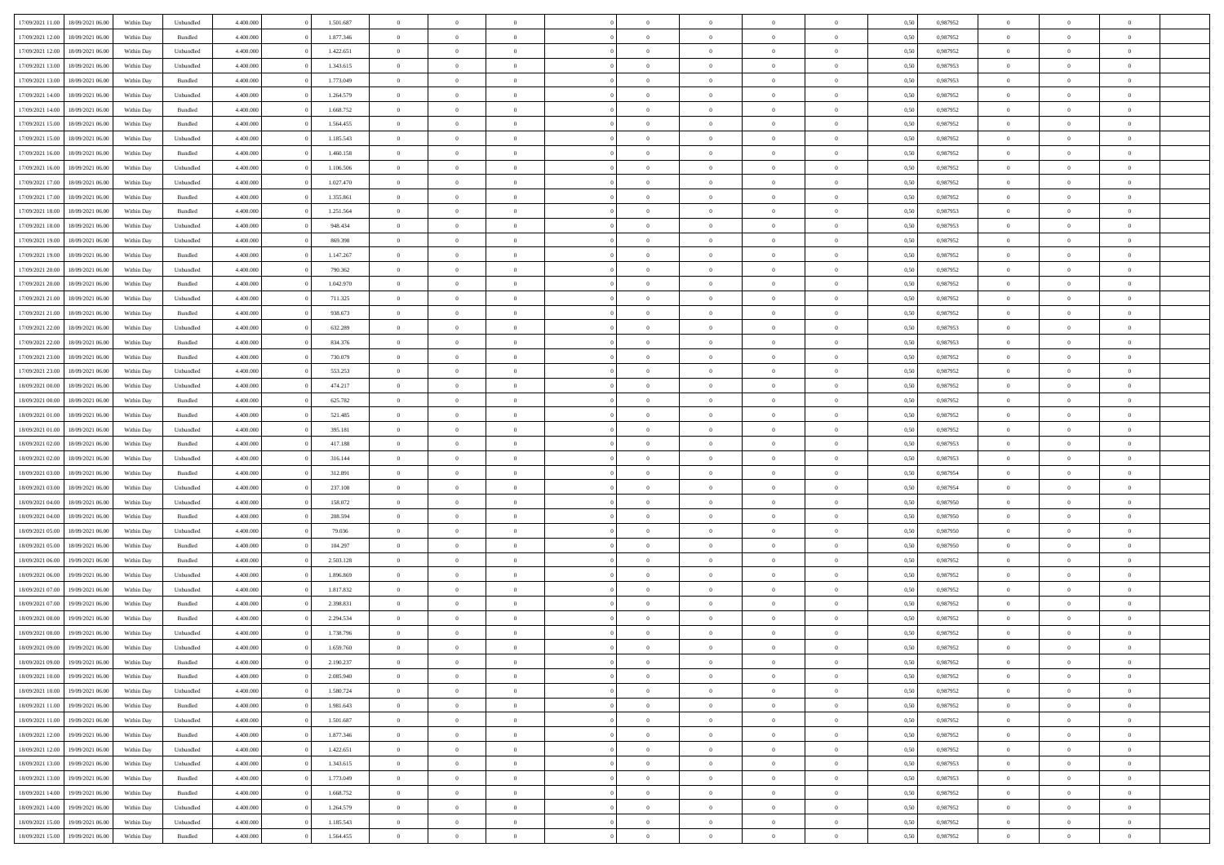|                  |                  |            |                    |           |           |                |                |                |                | $\Omega$       |                | $\theta$       |      |          | $\theta$       | $\overline{0}$ |                |  |
|------------------|------------------|------------|--------------------|-----------|-----------|----------------|----------------|----------------|----------------|----------------|----------------|----------------|------|----------|----------------|----------------|----------------|--|
| 17/09/2021 11:00 | 18/09/2021 06:00 | Within Day | Unbundled          | 4.400.000 | 1.501.687 | $\overline{0}$ | $\theta$       |                | $\Omega$       |                | $\overline{0}$ |                | 0,50 | 0,987952 |                |                | $\overline{0}$ |  |
| 17/09/2021 12:00 | 18/09/2021 06:00 | Within Day | Bundled            | 4.400.000 | 1.877.346 | $\overline{0}$ | $\overline{0}$ | $\overline{0}$ | $\overline{0}$ | $\bf{0}$       | $\overline{0}$ | $\bf{0}$       | 0,50 | 0,987952 | $\theta$       | $\overline{0}$ | $\overline{0}$ |  |
| 17/09/2021 12:00 | 18/09/2021 06:00 | Within Day | Unbundled          | 4.400.000 | 1.422.651 | $\overline{0}$ | $\bf{0}$       | $\overline{0}$ | $\overline{0}$ | $\bf{0}$       | $\overline{0}$ | $\mathbf{0}$   | 0,50 | 0,987952 | $\overline{0}$ | $\overline{0}$ | $\bf{0}$       |  |
| 17/09/2021 13:00 | 18/09/2021 06:00 | Within Dav | Unbundled          | 4.400.000 | 1.343.615 | $\overline{0}$ | $\overline{0}$ | $\overline{0}$ | $\overline{0}$ | $\bf{0}$       | $\overline{0}$ | $\overline{0}$ | 0.50 | 0,987953 | $\theta$       | $\overline{0}$ | $\overline{0}$ |  |
|                  |                  |            |                    |           |           |                |                |                |                |                |                |                |      |          |                |                |                |  |
| 17/09/2021 13:00 | 18/09/2021 06:00 | Within Day | Bundled            | 4.400.000 | 1.773.049 | $\overline{0}$ | $\theta$       | $\overline{0}$ | $\overline{0}$ | $\bf{0}$       | $\overline{0}$ | $\bf{0}$       | 0,50 | 0,987953 | $\theta$       | $\overline{0}$ | $\overline{0}$ |  |
| 17/09/2021 14:00 | 18/09/2021 06:00 | Within Day | Unbundled          | 4.400.000 | 1.264.579 | $\overline{0}$ | $\overline{0}$ | $\overline{0}$ | $\overline{0}$ | $\overline{0}$ | $\overline{0}$ | $\mathbf{0}$   | 0,50 | 0,987952 | $\overline{0}$ | $\overline{0}$ | $\bf{0}$       |  |
| 17/09/2021 14:00 | 18/09/2021 06:00 | Within Dav | Bundled            | 4.400.000 | 1.668.752 | $\overline{0}$ | $\overline{0}$ | $\overline{0}$ | $\overline{0}$ | $\overline{0}$ | $\overline{0}$ | $\overline{0}$ | 0.50 | 0,987952 | $\theta$       | $\overline{0}$ | $\overline{0}$ |  |
| 17/09/2021 15:00 | 18/09/2021 06:00 | Within Day | Bundled            | 4.400.000 | 1.564.455 | $\overline{0}$ | $\theta$       | $\overline{0}$ | $\overline{0}$ | $\bf{0}$       | $\overline{0}$ | $\bf{0}$       | 0,50 | 0,987952 | $\theta$       | $\theta$       | $\overline{0}$ |  |
|                  |                  |            |                    |           |           |                | $\overline{0}$ |                |                | $\bf{0}$       |                |                |      |          | $\,0\,$        | $\overline{0}$ | $\overline{0}$ |  |
| 17/09/2021 15:00 | 18/09/2021 06:00 | Within Day | Unbundled          | 4.400.000 | 1.185.543 | $\overline{0}$ |                | $\overline{0}$ | $\overline{0}$ |                | $\overline{0}$ | $\bf{0}$       | 0,50 | 0,987952 |                |                |                |  |
| 17/09/2021 16:00 | 18/09/2021 06:00 | Within Dav | Bundled            | 4.400.000 | 1.460.158 | $\overline{0}$ | $\overline{0}$ | $\overline{0}$ | $\overline{0}$ | $\overline{0}$ | $\overline{0}$ | $\overline{0}$ | 0.50 | 0,987952 | $\theta$       | $\overline{0}$ | $\overline{0}$ |  |
| 17/09/2021 16:00 | 18/09/2021 06:00 | Within Day | Unbundled          | 4.400.000 | 1.106.506 | $\overline{0}$ | $\theta$       | $\overline{0}$ | $\overline{0}$ | $\bf{0}$       | $\overline{0}$ | $\bf{0}$       | 0,50 | 0,987952 | $\,$ 0 $\,$    | $\overline{0}$ | $\overline{0}$ |  |
| 17/09/2021 17:00 | 18/09/2021 06:00 | Within Day | Unbundled          | 4.400.000 | 1.027.470 | $\overline{0}$ | $\overline{0}$ | $\overline{0}$ | $\overline{0}$ | $\bf{0}$       | $\overline{0}$ | $\mathbf{0}$   | 0,50 | 0,987952 | $\overline{0}$ | $\overline{0}$ | $\bf{0}$       |  |
| 17/09/2021 17:00 | 18/09/2021 06:00 | Within Dav | Bundled            | 4.400.000 | 1.355.861 | $\overline{0}$ | $\overline{0}$ | $\overline{0}$ | $\overline{0}$ | $\bf{0}$       | $\overline{0}$ | $\overline{0}$ | 0.50 | 0,987952 | $\theta$       | $\theta$       | $\overline{0}$ |  |
|                  |                  |            |                    |           |           |                |                |                |                |                |                |                |      |          |                |                |                |  |
| 17/09/2021 18:00 | 18/09/2021 06:00 | Within Day | Bundled            | 4.400.000 | 1.251.564 | $\overline{0}$ | $\theta$       | $\overline{0}$ | $\overline{0}$ | $\bf{0}$       | $\overline{0}$ | $\bf{0}$       | 0,50 | 0,987953 | $\theta$       | $\overline{0}$ | $\overline{0}$ |  |
| 17/09/2021 18:00 | 18/09/2021 06:00 | Within Day | Unbundled          | 4.400.000 | 948.434   | $\overline{0}$ | $\overline{0}$ | $\overline{0}$ | $\overline{0}$ | $\overline{0}$ | $\overline{0}$ | $\mathbf{0}$   | 0,50 | 0,987953 | $\overline{0}$ | $\overline{0}$ | $\bf{0}$       |  |
| 17/09/2021 19:00 | 18/09/2021 06:00 | Within Dav | Unbundled          | 4.400.000 | 869.398   | $\overline{0}$ | $\overline{0}$ | $\overline{0}$ | $\overline{0}$ | $\overline{0}$ | $\overline{0}$ | $\overline{0}$ | 0.50 | 0,987952 | $\theta$       | $\overline{0}$ | $\overline{0}$ |  |
| 17/09/2021 19:00 | 18/09/2021 06:00 | Within Day | Bundled            | 4.400.000 | 1.147.267 | $\overline{0}$ | $\theta$       | $\overline{0}$ | $\overline{0}$ | $\bf{0}$       | $\overline{0}$ | $\bf{0}$       | 0,50 | 0,987952 | $\theta$       | $\overline{0}$ | $\overline{0}$ |  |
|                  |                  |            |                    |           |           |                |                |                |                |                |                |                |      |          |                |                |                |  |
| 17/09/2021 20:00 | 18/09/2021 06:00 | Within Day | Unbundled          | 4.400.000 | 790.362   | $\overline{0}$ | $\overline{0}$ | $\overline{0}$ | $\bf{0}$       | $\bf{0}$       | $\bf{0}$       | $\mathbf{0}$   | 0,50 | 0,987952 | $\,0\,$        | $\overline{0}$ | $\bf{0}$       |  |
| 17/09/2021 20:00 | 18/09/2021 06:00 | Within Dav | Bundled            | 4.400.000 | 1.042.970 | $\overline{0}$ | $\overline{0}$ | $\overline{0}$ | $\overline{0}$ | $\overline{0}$ | $\overline{0}$ | $\overline{0}$ | 0.50 | 0,987952 | $\theta$       | $\overline{0}$ | $\overline{0}$ |  |
| 17/09/2021 21:00 | 18/09/2021 06:00 | Within Day | Unbundled          | 4.400.000 | 711.325   | $\overline{0}$ | $\theta$       | $\overline{0}$ | $\overline{0}$ | $\bf{0}$       | $\overline{0}$ | $\bf{0}$       | 0,50 | 0,987952 | $\,$ 0 $\,$    | $\overline{0}$ | $\overline{0}$ |  |
| 17/09/2021 21.00 | 18/09/2021 06:00 | Within Day | Bundled            | 4.400.000 | 938.673   | $\overline{0}$ | $\overline{0}$ | $\overline{0}$ | $\bf{0}$       | $\bf{0}$       | $\bf{0}$       | $\mathbf{0}$   | 0,50 | 0,987952 | $\overline{0}$ | $\overline{0}$ | $\bf{0}$       |  |
| 17/09/2021 22:00 | 18/09/2021 06:00 | Within Day | Unbundled          | 4.400.000 | 632.289   | $\overline{0}$ | $\overline{0}$ | $\overline{0}$ | $\overline{0}$ | $\overline{0}$ | $\overline{0}$ | $\overline{0}$ | 0.50 | 0,987953 | $\theta$       | $\overline{0}$ | $\overline{0}$ |  |
|                  |                  |            |                    |           |           |                |                |                |                |                |                |                |      |          |                |                |                |  |
| 17/09/2021 22:00 | 18/09/2021 06:00 | Within Day | Bundled            | 4.400.000 | 834.376   | $\overline{0}$ | $\theta$       | $\overline{0}$ | $\overline{0}$ | $\bf{0}$       | $\overline{0}$ | $\bf{0}$       | 0,50 | 0,987953 | $\,$ 0 $\,$    | $\overline{0}$ | $\overline{0}$ |  |
| 17/09/2021 23:00 | 18/09/2021 06:00 | Within Day | Bundled            | 4.400.000 | 730.079   | $\overline{0}$ | $\overline{0}$ | $\overline{0}$ | $\bf{0}$       | $\overline{0}$ | $\overline{0}$ | $\mathbf{0}$   | 0,50 | 0,987952 | $\overline{0}$ | $\overline{0}$ | $\bf{0}$       |  |
| 17/09/2021 23:00 | 18/09/2021 06:00 | Within Dav | Unbundled          | 4.400.000 | 553.253   | $\overline{0}$ | $\overline{0}$ | $\overline{0}$ | $\overline{0}$ | $\overline{0}$ | $\overline{0}$ | $\overline{0}$ | 0.50 | 0,987952 | $\overline{0}$ | $\overline{0}$ | $\overline{0}$ |  |
| 18/09/2021 00:00 | 18/09/2021 06:00 | Within Day | Unbundled          | 4.400.000 | 474.217   | $\overline{0}$ | $\theta$       | $\overline{0}$ | $\overline{0}$ | $\bf{0}$       | $\overline{0}$ | $\bf{0}$       | 0,50 | 0,987952 | $\theta$       | $\overline{0}$ | $\overline{0}$ |  |
|                  |                  |            |                    |           |           |                |                |                |                |                |                |                |      |          |                |                |                |  |
| 18/09/2021 00:00 | 18/09/2021 06:00 | Within Day | Bundled            | 4.400.000 | 625.782   | $\overline{0}$ | $\overline{0}$ | $\overline{0}$ | $\bf{0}$       | $\bf{0}$       | $\bf{0}$       | $\bf{0}$       | 0,50 | 0,987952 | $\,0\,$        | $\overline{0}$ | $\overline{0}$ |  |
| 18/09/2021 01:00 | 18/09/2021 06:00 | Within Day | Bundled            | 4.400.000 | 521.485   | $\overline{0}$ | $\overline{0}$ | $\overline{0}$ | $\overline{0}$ | $\overline{0}$ | $\overline{0}$ | $\overline{0}$ | 0.50 | 0,987952 | $\theta$       | $\overline{0}$ | $\overline{0}$ |  |
| 18/09/2021 01:00 | 18/09/2021 06:00 | Within Day | Unbundled          | 4.400.000 | 395.181   | $\overline{0}$ | $\overline{0}$ | $\overline{0}$ | $\overline{0}$ | $\bf{0}$       | $\overline{0}$ | $\bf{0}$       | 0,50 | 0,987952 | $\,$ 0 $\,$    | $\overline{0}$ | $\overline{0}$ |  |
| 18/09/2021 02:00 | 18/09/2021 06:00 | Within Day | Bundled            | 4.400.000 | 417.188   | $\overline{0}$ | $\overline{0}$ | $\overline{0}$ | $\bf{0}$       | $\bf{0}$       | $\bf{0}$       | $\bf{0}$       | 0,50 | 0,987953 | $\bf{0}$       | $\overline{0}$ | $\bf{0}$       |  |
| 18/09/2021 02:00 | 18/09/2021 06:00 | Within Day | Unbundled          | 4.400,000 | 316.144   | $\bf{0}$       | $\Omega$       | $\Omega$       | $\Omega$       | $\Omega$       | $\overline{0}$ | $\overline{0}$ | 0,50 | 0,987953 | $\,0\,$        | $\theta$       | $\theta$       |  |
|                  |                  |            |                    |           |           |                |                |                |                |                |                |                |      |          |                |                |                |  |
| 18/09/2021 03:00 | 18/09/2021 06:00 | Within Day | Bundled            | 4.400.000 | 312.891   | $\overline{0}$ | $\overline{0}$ | $\overline{0}$ | $\overline{0}$ | $\bf{0}$       | $\overline{0}$ | $\bf{0}$       | 0,50 | 0,987954 | $\,$ 0 $\,$    | $\overline{0}$ | $\overline{0}$ |  |
| 18/09/2021 03:00 | 18/09/2021 06:00 | Within Day | Unbundled          | 4.400.000 | 237.108   | $\overline{0}$ | $\overline{0}$ | $\overline{0}$ | $\bf{0}$       | $\overline{0}$ | $\overline{0}$ | $\mathbf{0}$   | 0,50 | 0,987954 | $\bf{0}$       | $\overline{0}$ | $\bf{0}$       |  |
| 18/09/2021 04:00 | 18/09/2021 06:00 | Within Day | Unbundled          | 4.400,000 | 158,072   | $\overline{0}$ | $\Omega$       | $\Omega$       | $\Omega$       | $\overline{0}$ | $\overline{0}$ | $\overline{0}$ | 0.50 | 0,987950 | $\,0\,$        | $\theta$       | $\theta$       |  |
| 18/09/2021 04:00 | 18/09/2021 06:00 | Within Day | Bundled            | 4.400.000 | 208.594   | $\overline{0}$ | $\theta$       | $\overline{0}$ | $\overline{0}$ | $\bf{0}$       | $\overline{0}$ | $\bf{0}$       | 0,50 | 0,987950 | $\,$ 0 $\,$    | $\overline{0}$ | $\overline{0}$ |  |
|                  |                  |            |                    |           |           |                | $\overline{0}$ |                |                | $\bf{0}$       |                |                |      |          | $\bf{0}$       | $\overline{0}$ | $\bf{0}$       |  |
| 18/09/2021 05:00 | 18/09/2021 06:00 | Within Day | Unbundled          | 4.400.000 | 79.036    | $\overline{0}$ |                | $\overline{0}$ | $\bf{0}$       |                | $\bf{0}$       | $\bf{0}$       | 0,50 | 0,987950 |                |                |                |  |
| 18/09/2021 05:00 | 18/09/2021 06:00 | Within Day | Bundled            | 4.400,000 | 104.297   | $\overline{0}$ | $\Omega$       | $\Omega$       | $\Omega$       | $\overline{0}$ | $\overline{0}$ | $\overline{0}$ | 0.50 | 0.987950 | $\,$ 0 $\,$    | $\theta$       | $\theta$       |  |
| 18/09/2021 06:00 | 19/09/2021 06:00 | Within Day | Bundled            | 4.400.000 | 2.503.128 | $\overline{0}$ | $\overline{0}$ | $\overline{0}$ | $\overline{0}$ | $\bf{0}$       | $\overline{0}$ | $\bf{0}$       | 0,50 | 0,987952 | $\,$ 0 $\,$    | $\overline{0}$ | $\overline{0}$ |  |
| 18/09/2021 06:00 | 19/09/2021 06:00 | Within Day | Unbundled          | 4.400.000 | 1.896.869 | $\overline{0}$ | $\overline{0}$ | $\overline{0}$ | $\overline{0}$ | $\bf{0}$       | $\overline{0}$ | $\mathbf{0}$   | 0,50 | 0,987952 | $\overline{0}$ | $\overline{0}$ | $\bf{0}$       |  |
| 18/09/2021 07:00 | 19/09/2021 06:00 | Within Day | Unbundled          | 4.400,000 | 1.817.832 | $\overline{0}$ | $\Omega$       | $\overline{0}$ | $\Omega$       | $\overline{0}$ | $\overline{0}$ | $\overline{0}$ | 0,50 | 0,987952 | $\,0\,$        | $\theta$       | $\theta$       |  |
|                  |                  |            |                    |           |           |                | $\overline{0}$ |                |                |                |                |                |      |          |                |                |                |  |
| 18/09/2021 07:00 | 19/09/2021 06:00 | Within Day | Bundled            | 4.400.000 | 2.398.831 | $\overline{0}$ |                | $\overline{0}$ | $\overline{0}$ | $\,$ 0         | $\overline{0}$ | $\bf{0}$       | 0,50 | 0,987952 | $\,$ 0 $\,$    | $\overline{0}$ | $\overline{0}$ |  |
| 18/09/2021 08:00 | 19/09/2021 06:00 | Within Day | Bundled            | 4.400.000 | 2.294.534 | $\overline{0}$ | $\overline{0}$ | $\overline{0}$ | $\overline{0}$ | $\bf{0}$       | $\overline{0}$ | $\mathbf{0}$   | 0,50 | 0,987952 | $\overline{0}$ | $\overline{0}$ | $\bf{0}$       |  |
| 18/09/2021 08:00 | 19/09/2021 06:00 | Within Day | Unbundled          | 4.400,000 | 1.738.796 | $\overline{0}$ | $\Omega$       | $\Omega$       | $\Omega$       | $\Omega$       | $\Omega$       | $\overline{0}$ | 0.50 | 0.987952 | $\theta$       | $\theta$       | $\theta$       |  |
| 18/09/2021 09:00 | 19/09/2021 06:00 | Within Day | Unbundled          | 4.400.000 | 1.659.760 | $\overline{0}$ | $\overline{0}$ | $\bf{0}$       | $\bf{0}$       | $\,$ 0         | $\overline{0}$ | $\bf{0}$       | 0,50 | 0,987952 | $\,0\,$        | $\,0\,$        | $\overline{0}$ |  |
| 18/09/2021 09:00 | 19/09/2021 06:00 | Within Day | $\mathbf B$ undled | 4.400.000 | 2.190.237 | $\bf{0}$       | $\bf{0}$       |                |                | $\bf{0}$       |                |                | 0,50 | 0,987952 | $\bf{0}$       | $\overline{0}$ |                |  |
|                  |                  |            |                    |           |           |                |                |                |                |                |                |                |      |          |                |                |                |  |
| 18/09/2021 10:00 | 19/09/2021 06:00 | Within Day | Bundled            | 4.400.000 | 2.085.940 | $\overline{0}$ | $\overline{0}$ | $\overline{0}$ | $\Omega$       | $\overline{0}$ | $\overline{0}$ | $\overline{0}$ | 0.50 | 0.987952 | $\theta$       | $\theta$       | $\theta$       |  |
| 18/09/2021 10:00 | 19/09/2021 06:00 | Within Day | Unbundled          | 4.400.000 | 1.580.724 | $\overline{0}$ | $\,$ 0         | $\overline{0}$ | $\overline{0}$ | $\,$ 0 $\,$    | $\overline{0}$ | $\mathbf{0}$   | 0,50 | 0,987952 | $\,$ 0 $\,$    | $\,$ 0 $\,$    | $\,$ 0         |  |
| 18/09/2021 11:00 | 19/09/2021 06:00 | Within Day | Bundled            | 4.400.000 | 1.981.643 | $\overline{0}$ | $\overline{0}$ | $\overline{0}$ | $\overline{0}$ | $\overline{0}$ | $\overline{0}$ | $\mathbf{0}$   | 0,50 | 0,987952 | $\overline{0}$ | $\bf{0}$       | $\bf{0}$       |  |
| 18/09/2021 11:00 | 19/09/2021 06:00 | Within Day | Unbundled          | 4.400,000 | 1.501.687 | $\overline{0}$ | $\overline{0}$ | $\overline{0}$ | $\Omega$       | $\overline{0}$ | $\overline{0}$ | $\overline{0}$ | 0,50 | 0,987952 | $\overline{0}$ | $\theta$       | $\overline{0}$ |  |
| 18/09/2021 12:00 | 19/09/2021 06:00 | Within Day | Bundled            | 4.400.000 | 1.877.346 | $\overline{0}$ | $\,$ 0         | $\overline{0}$ | $\overline{0}$ | $\,$ 0 $\,$    | $\overline{0}$ | $\mathbf{0}$   | 0,50 | 0,987952 | $\,$ 0 $\,$    | $\overline{0}$ | $\overline{0}$ |  |
|                  |                  |            |                    |           |           |                |                |                |                |                |                |                |      |          |                |                |                |  |
| 18/09/2021 12:00 | 19/09/2021 06:00 | Within Day | Unbundled          | 4.400.000 | 1.422.651 | $\overline{0}$ | $\overline{0}$ | $\overline{0}$ | $\overline{0}$ | $\overline{0}$ | $\overline{0}$ | $\mathbf{0}$   | 0,50 | 0,987952 | $\overline{0}$ | $\overline{0}$ | $\bf{0}$       |  |
| 18/09/2021 13:00 | 19/09/2021 06:00 | Within Day | Unbundled          | 4.400.000 | 1.343.615 | $\overline{0}$ | $\overline{0}$ | $\overline{0}$ | $\Omega$       | $\overline{0}$ | $\overline{0}$ | $\bf{0}$       | 0.50 | 0,987953 | $\overline{0}$ | $\theta$       | $\overline{0}$ |  |
| 18/09/2021 13:00 | 19/09/2021 06:00 | Within Day | Bundled            | 4.400.000 | 1.773.049 | $\overline{0}$ | $\,$ 0         | $\overline{0}$ | $\overline{0}$ | $\bf{0}$       | $\overline{0}$ | $\bf{0}$       | 0,50 | 0,987953 | $\,$ 0 $\,$    | $\overline{0}$ | $\overline{0}$ |  |
| 18/09/2021 14:00 | 19/09/2021 06:00 | Within Day | Bundled            | 4.400.000 | 1.668.752 | $\overline{0}$ | $\bf{0}$       | $\overline{0}$ | $\overline{0}$ | $\overline{0}$ | $\overline{0}$ | $\mathbf{0}$   | 0,50 | 0,987952 | $\overline{0}$ | $\overline{0}$ | $\bf{0}$       |  |
|                  |                  |            |                    |           |           |                |                |                |                |                |                |                |      |          |                |                |                |  |
| 18/09/2021 14:00 | 19/09/2021 06:00 | Within Day | Unbundled          | 4.400,000 | 1.264.579 | $\overline{0}$ | $\overline{0}$ | $\overline{0}$ | $\Omega$       | $\overline{0}$ | $\overline{0}$ | $\bf{0}$       | 0.50 | 0,987952 | $\overline{0}$ | $\overline{0}$ | $\overline{0}$ |  |
| 18/09/2021 15:00 | 19/09/2021 06:00 | Within Day | Unbundled          | 4.400.000 | 1.185.543 | $\overline{0}$ | $\bf{0}$       | $\overline{0}$ | $\overline{0}$ | $\bf{0}$       | $\overline{0}$ | $\mathbf{0}$   | 0,50 | 0,987952 | $\,$ 0 $\,$    | $\,$ 0 $\,$    | $\bf{0}$       |  |
| 18/09/2021 15:00 | 19/09/2021 06:00 | Within Day | Bundled            | 4.400.000 | 1.564.455 | $\overline{0}$ | $\overline{0}$ | $\overline{0}$ | $\overline{0}$ | $\overline{0}$ | $\overline{0}$ | $\mathbf{0}$   | 0,50 | 0,987952 | $\overline{0}$ | $\bf{0}$       | $\bf{0}$       |  |
|                  |                  |            |                    |           |           |                |                |                |                |                |                |                |      |          |                |                |                |  |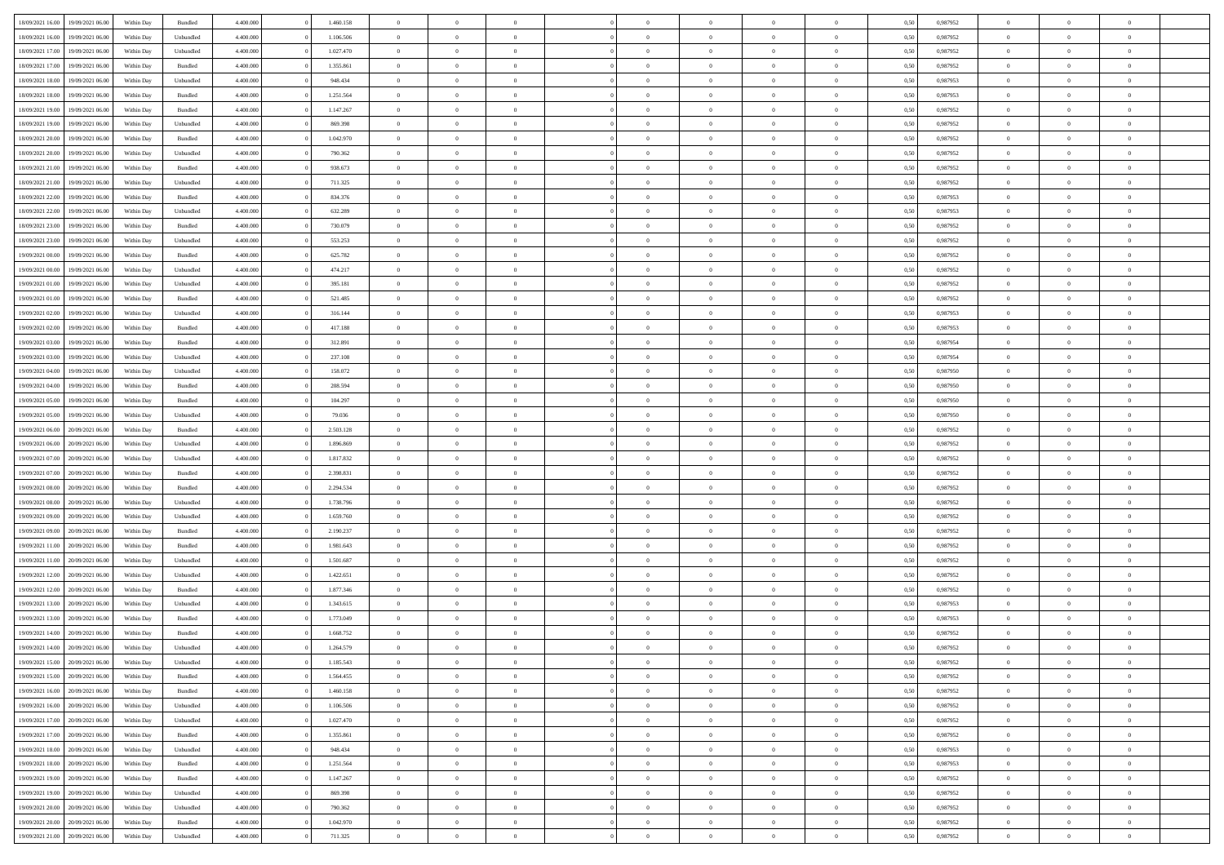| 18/09/2021 16:00 | 19/09/2021 06:00 | Within Day | Bundled   | 4.400.000 | 1.460.158 | $\overline{0}$ | $\Omega$       |                | $\Omega$       | $\Omega$       | $\theta$       | $\theta$       | 0,50 | 0,987952 | $\theta$       | $\theta$       | $\theta$       |  |
|------------------|------------------|------------|-----------|-----------|-----------|----------------|----------------|----------------|----------------|----------------|----------------|----------------|------|----------|----------------|----------------|----------------|--|
|                  |                  |            |           |           |           |                |                |                |                |                |                |                |      |          |                |                |                |  |
| 18/09/2021 16:00 | 19/09/2021 06:00 | Within Day | Unbundled | 4.400.000 | 1.106.506 | $\overline{0}$ | $\theta$       | $\overline{0}$ | $\overline{0}$ | $\bf{0}$       | $\overline{0}$ | $\bf{0}$       | 0,50 | 0,987952 | $\theta$       | $\overline{0}$ | $\overline{0}$ |  |
| 18/09/2021 17:00 | 19/09/2021 06:00 | Within Day | Unbundled | 4.400.000 | 1.027.470 | $\overline{0}$ | $\bf{0}$       | $\overline{0}$ | $\overline{0}$ | $\bf{0}$       | $\overline{0}$ | $\mathbf{0}$   | 0,50 | 0,987952 | $\bf{0}$       | $\overline{0}$ | $\bf{0}$       |  |
| 18/09/2021 17:00 | 19/09/2021 06:00 | Within Dav | Bundled   | 4.400.000 | 1.355.861 | $\overline{0}$ | $\overline{0}$ | $\overline{0}$ | $\overline{0}$ | $\bf{0}$       | $\overline{0}$ | $\overline{0}$ | 0.50 | 0,987952 | $\theta$       | $\theta$       | $\overline{0}$ |  |
| 18/09/2021 18:00 | 19/09/2021 06:00 | Within Day | Unbundled | 4.400.000 | 948.434   | $\overline{0}$ | $\theta$       | $\overline{0}$ | $\overline{0}$ | $\bf{0}$       | $\overline{0}$ | $\bf{0}$       | 0,50 | 0,987953 | $\theta$       | $\overline{0}$ | $\overline{0}$ |  |
| 18/09/2021 18:00 | 19/09/2021 06:00 | Within Day | Bundled   | 4.400.000 | 1.251.564 | $\overline{0}$ | $\overline{0}$ | $\overline{0}$ | $\overline{0}$ | $\overline{0}$ | $\overline{0}$ | $\mathbf{0}$   | 0,50 | 0,987953 | $\bf{0}$       | $\overline{0}$ | $\bf{0}$       |  |
| 18/09/2021 19:00 | 19/09/2021 06:00 | Within Dav | Bundled   | 4.400.000 | 1.147.267 | $\overline{0}$ | $\overline{0}$ | $\overline{0}$ | $\overline{0}$ | $\overline{0}$ | $\overline{0}$ | $\overline{0}$ | 0.50 | 0,987952 | $\theta$       | $\overline{0}$ | $\overline{0}$ |  |
|                  |                  |            |           |           |           |                |                |                |                |                |                |                |      |          |                |                |                |  |
| 18/09/2021 19:00 | 19/09/2021 06:00 | Within Day | Unbundled | 4.400.000 | 869.398   | $\overline{0}$ | $\theta$       | $\overline{0}$ | $\overline{0}$ | $\bf{0}$       | $\overline{0}$ | $\bf{0}$       | 0,50 | 0,987952 | $\theta$       | $\theta$       | $\overline{0}$ |  |
| 18/09/2021 20:00 | 19/09/2021 06:00 | Within Day | Bundled   | 4.400.000 | 1.042.970 | $\overline{0}$ | $\overline{0}$ | $\overline{0}$ | $\overline{0}$ | $\bf{0}$       | $\overline{0}$ | $\bf{0}$       | 0,50 | 0,987952 | $\,0\,$        | $\overline{0}$ | $\overline{0}$ |  |
| 18/09/2021 20:00 | 19/09/2021 06:00 | Within Dav | Unbundled | 4.400.000 | 790.362   | $\overline{0}$ | $\overline{0}$ | $\overline{0}$ | $\overline{0}$ | $\overline{0}$ | $\overline{0}$ | $\overline{0}$ | 0.50 | 0,987952 | $\theta$       | $\overline{0}$ | $\overline{0}$ |  |
| 18/09/2021 21:00 | 19/09/2021 06:00 | Within Day | Bundled   | 4.400.000 | 938.673   | $\overline{0}$ | $\theta$       | $\overline{0}$ | $\overline{0}$ | $\bf{0}$       | $\overline{0}$ | $\bf{0}$       | 0,50 | 0,987952 | $\,$ 0 $\,$    | $\overline{0}$ | $\overline{0}$ |  |
| 18/09/2021 21:00 | 19/09/2021 06:00 | Within Day | Unbundled | 4.400.000 | 711.325   | $\overline{0}$ | $\overline{0}$ | $\overline{0}$ | $\overline{0}$ | $\bf{0}$       | $\overline{0}$ | $\mathbf{0}$   | 0,50 | 0,987952 | $\bf{0}$       | $\overline{0}$ | $\bf{0}$       |  |
| 18/09/2021 22:00 | 19/09/2021 06:00 | Within Day | Bundled   | 4.400.000 | 834.376   | $\overline{0}$ | $\overline{0}$ | $\overline{0}$ | $\overline{0}$ | $\bf{0}$       | $\overline{0}$ | $\overline{0}$ | 0.50 | 0,987953 | $\theta$       | $\theta$       | $\overline{0}$ |  |
| 18/09/2021 22:00 | 19/09/2021 06:00 | Within Day | Unbundled | 4.400.000 | 632.289   | $\overline{0}$ | $\theta$       | $\overline{0}$ | $\overline{0}$ | $\bf{0}$       | $\overline{0}$ | $\bf{0}$       | 0,50 | 0,987953 | $\theta$       | $\overline{0}$ | $\overline{0}$ |  |
|                  |                  |            |           |           |           |                |                |                |                |                |                |                |      |          |                |                |                |  |
| 18/09/2021 23:00 | 19/09/2021 06:00 | Within Day | Bundled   | 4.400.000 | 730.079   | $\overline{0}$ | $\overline{0}$ | $\overline{0}$ | $\overline{0}$ | $\overline{0}$ | $\overline{0}$ | $\mathbf{0}$   | 0,50 | 0,987952 | $\bf{0}$       | $\overline{0}$ | $\bf{0}$       |  |
| 18/09/2021 23:00 | 19/09/2021 06:00 | Within Dav | Unbundled | 4.400.000 | 553.253   | $\overline{0}$ | $\overline{0}$ | $\overline{0}$ | $\overline{0}$ | $\overline{0}$ | $\overline{0}$ | $\overline{0}$ | 0.50 | 0,987952 | $\theta$       | $\overline{0}$ | $\overline{0}$ |  |
| 19/09/2021 00:00 | 19/09/2021 06:00 | Within Day | Bundled   | 4.400.000 | 625.782   | $\overline{0}$ | $\theta$       | $\overline{0}$ | $\overline{0}$ | $\bf{0}$       | $\overline{0}$ | $\bf{0}$       | 0,50 | 0,987952 | $\theta$       | $\theta$       | $\overline{0}$ |  |
| 19/09/2021 00:00 | 19/09/2021 06:00 | Within Day | Unbundled | 4.400.000 | 474.217   | $\overline{0}$ | $\overline{0}$ | $\overline{0}$ | $\overline{0}$ | $\bf{0}$       | $\overline{0}$ | $\mathbf{0}$   | 0,50 | 0,987952 | $\,0\,$        | $\overline{0}$ | $\bf{0}$       |  |
| 19/09/2021 01:00 | 19/09/2021 06:00 | Within Dav | Unbundled | 4.400.000 | 395.181   | $\overline{0}$ | $\overline{0}$ | $\overline{0}$ | $\overline{0}$ | $\overline{0}$ | $\overline{0}$ | $\overline{0}$ | 0.50 | 0,987952 | $\theta$       | $\overline{0}$ | $\overline{0}$ |  |
| 19/09/2021 01:00 | 19/09/2021 06:00 | Within Day | Bundled   | 4.400.000 | 521.485   | $\overline{0}$ | $\theta$       | $\overline{0}$ | $\overline{0}$ | $\bf{0}$       | $\overline{0}$ | $\bf{0}$       | 0,50 | 0,987952 | $\,$ 0 $\,$    | $\overline{0}$ | $\overline{0}$ |  |
| 19/09/2021 02:00 | 19/09/2021 06:00 | Within Day | Unbundled | 4.400.000 | 316.144   | $\overline{0}$ | $\overline{0}$ | $\overline{0}$ | $\overline{0}$ | $\bf{0}$       | $\overline{0}$ | $\mathbf{0}$   | 0,50 | 0,987953 | $\bf{0}$       | $\overline{0}$ | $\bf{0}$       |  |
| 19/09/2021 02:00 | 19/09/2021 06:00 | Within Day | Bundled   | 4.400.000 | 417.188   | $\overline{0}$ | $\overline{0}$ | $\overline{0}$ | $\overline{0}$ | $\overline{0}$ | $\overline{0}$ | $\overline{0}$ | 0.50 | 0,987953 | $\theta$       | $\overline{0}$ | $\overline{0}$ |  |
|                  |                  |            |           |           |           |                |                |                |                |                |                |                |      |          |                |                |                |  |
| 19/09/2021 03:00 | 19/09/2021 06:00 | Within Day | Bundled   | 4.400.000 | 312.891   | $\overline{0}$ | $\theta$       | $\overline{0}$ | $\overline{0}$ | $\bf{0}$       | $\overline{0}$ | $\bf{0}$       | 0,50 | 0,987954 | $\,$ 0 $\,$    | $\overline{0}$ | $\overline{0}$ |  |
| 19/09/2021 03:00 | 19/09/2021 06:00 | Within Day | Unbundled | 4.400.000 | 237.108   | $\overline{0}$ | $\overline{0}$ | $\overline{0}$ | $\overline{0}$ | $\overline{0}$ | $\overline{0}$ | $\mathbf{0}$   | 0,50 | 0,987954 | $\bf{0}$       | $\overline{0}$ | $\bf{0}$       |  |
| 19/09/2021 04:00 | 19/09/2021 06:00 | Within Dav | Unbundled | 4.400.000 | 158.072   | $\overline{0}$ | $\overline{0}$ | $\overline{0}$ | $\overline{0}$ | $\overline{0}$ | $\overline{0}$ | $\overline{0}$ | 0.50 | 0,987950 | $\theta$       | $\overline{0}$ | $\overline{0}$ |  |
| 19/09/2021 04:00 | 19/09/2021 06:00 | Within Day | Bundled   | 4.400.000 | 208.594   | $\overline{0}$ | $\theta$       | $\overline{0}$ | $\overline{0}$ | $\bf{0}$       | $\overline{0}$ | $\bf{0}$       | 0,50 | 0,987950 | $\theta$       | $\theta$       | $\overline{0}$ |  |
| 19/09/2021 05:00 | 19/09/2021 06:00 | Within Day | Bundled   | 4.400.000 | 104.297   | $\overline{0}$ | $\overline{0}$ | $\overline{0}$ | $\overline{0}$ | $\bf{0}$       | $\overline{0}$ | $\bf{0}$       | 0,50 | 0,987950 | $\,0\,$        | $\overline{0}$ | $\overline{0}$ |  |
| 19/09/2021 05:00 | 19/09/2021 06:00 | Within Day | Unbundled | 4.400.000 | 79.036    | $\overline{0}$ | $\overline{0}$ | $\overline{0}$ | $\overline{0}$ | $\overline{0}$ | $\overline{0}$ | $\overline{0}$ | 0.50 | 0,987950 | $\theta$       | $\overline{0}$ | $\overline{0}$ |  |
| 19/09/2021 06:00 | 20/09/2021 06:00 | Within Day | Bundled   | 4.400.000 | 2.503.128 | $\overline{0}$ | $\theta$       | $\overline{0}$ | $\overline{0}$ | $\bf{0}$       | $\overline{0}$ | $\bf{0}$       | 0,50 | 0,987952 | $\,$ 0 $\,$    | $\overline{0}$ | $\overline{0}$ |  |
|                  |                  |            |           |           |           |                |                |                |                | $\bf{0}$       |                |                |      |          |                | $\overline{0}$ | $\bf{0}$       |  |
| 19/09/2021 06:00 | 20/09/2021 06:00 | Within Day | Unbundled | 4.400.000 | 1.896.869 | $\overline{0}$ | $\overline{0}$ | $\overline{0}$ | $\overline{0}$ |                | $\overline{0}$ | $\bf{0}$       | 0,50 | 0,987952 | $\bf{0}$       |                |                |  |
| 19/09/2021 07:00 | 20/09/2021 06:00 | Within Day | Unbundled | 4.400,000 | 1.817.832 | $\overline{0}$ | $\Omega$       | $\Omega$       | $\Omega$       | $\Omega$       | $\overline{0}$ | $\overline{0}$ | 0,50 | 0,987952 | $\,0\,$        | $\theta$       | $\theta$       |  |
| 19/09/2021 07:00 | 20/09/2021 06:00 | Within Day | Bundled   | 4.400.000 | 2.398.831 | $\overline{0}$ | $\theta$       | $\overline{0}$ | $\overline{0}$ | $\bf{0}$       | $\overline{0}$ | $\bf{0}$       | 0,50 | 0,987952 | $\theta$       | $\overline{0}$ | $\overline{0}$ |  |
| 19/09/2021 08:00 | 20/09/2021 06:00 | Within Day | Bundled   | 4.400.000 | 2.294.534 | $\overline{0}$ | $\overline{0}$ | $\overline{0}$ | $\overline{0}$ | $\overline{0}$ | $\overline{0}$ | $\mathbf{0}$   | 0,50 | 0,987952 | $\bf{0}$       | $\overline{0}$ | $\bf{0}$       |  |
| 19/09/2021 08:00 | 20/09/2021 06:00 | Within Day | Unbundled | 4.400,000 | 1.738.796 | $\overline{0}$ | $\Omega$       | $\Omega$       | $\Omega$       | $\overline{0}$ | $\overline{0}$ | $\overline{0}$ | 0.50 | 0,987952 | $\,0\,$        | $\theta$       | $\theta$       |  |
| 19/09/2021 09:00 | 20/09/2021 06:00 | Within Day | Unbundled | 4.400.000 | 1.659.760 | $\overline{0}$ | $\theta$       | $\overline{0}$ | $\overline{0}$ | $\bf{0}$       | $\overline{0}$ | $\bf{0}$       | 0,50 | 0,987952 | $\,$ 0 $\,$    | $\overline{0}$ | $\overline{0}$ |  |
| 19/09/2021 09:00 | 20/09/2021 06:00 | Within Day | Bundled   | 4.400.000 | 2.190.237 | $\overline{0}$ | $\overline{0}$ | $\overline{0}$ | $\overline{0}$ | $\bf{0}$       | $\overline{0}$ | $\bf{0}$       | 0,50 | 0,987952 | $\bf{0}$       | $\overline{0}$ | $\bf{0}$       |  |
| 19/09/2021 11:00 | 20/09/2021 06:00 | Within Day | Bundled   | 4.400,000 | 1.981.643 | $\overline{0}$ | $\Omega$       | $\Omega$       | $\Omega$       | $\theta$       | $\overline{0}$ | $\overline{0}$ | 0.50 | 0.987952 | $\,$ 0 $\,$    | $\theta$       | $\theta$       |  |
| 19/09/2021 11:00 | 20/09/2021 06:00 | Within Day | Unbundled | 4.400.000 | 1.501.687 | $\overline{0}$ | $\theta$       | $\overline{0}$ | $\overline{0}$ | $\bf{0}$       | $\overline{0}$ | $\bf{0}$       | 0,50 | 0,987952 | $\,$ 0 $\,$    | $\overline{0}$ | $\overline{0}$ |  |
|                  |                  |            |           |           |           |                |                |                |                |                |                |                |      |          |                |                |                |  |
| 19/09/2021 12:00 | 20/09/2021 06:00 | Within Day | Unbundled | 4.400.000 | 1.422.651 | $\overline{0}$ | $\bf{0}$       | $\overline{0}$ | $\overline{0}$ | $\bf{0}$       | $\overline{0}$ | $\mathbf{0}$   | 0,50 | 0,987952 | $\bf{0}$       | $\overline{0}$ | $\bf{0}$       |  |
| 19/09/2021 12:00 | 20/09/2021 06:00 | Within Day | Bundled   | 4.400,000 | 1.877.346 | $\overline{0}$ | $\Omega$       | $\overline{0}$ | $\Omega$       | $\overline{0}$ | $\overline{0}$ | $\overline{0}$ | 0.50 | 0,987952 | $\,0\,$        | $\theta$       | $\theta$       |  |
| 19/09/2021 13:00 | 20/09/2021 06:00 | Within Day | Unbundled | 4.400.000 | 1.343.615 | $\overline{0}$ | $\overline{0}$ | $\overline{0}$ | $\overline{0}$ | $\,$ 0         | $\overline{0}$ | $\bf{0}$       | 0,50 | 0,987953 | $\,$ 0 $\,$    | $\overline{0}$ | $\overline{0}$ |  |
| 19/09/2021 13:00 | 20/09/2021 06:00 | Within Day | Bundled   | 4.400.000 | 1.773.049 | $\overline{0}$ | $\overline{0}$ | $\overline{0}$ | $\overline{0}$ | $\bf{0}$       | $\overline{0}$ | $\mathbf{0}$   | 0,50 | 0,987953 | $\bf{0}$       | $\overline{0}$ | $\bf{0}$       |  |
| 19/09/2021 14:00 | 20/09/2021 06:00 | Within Day | Bundled   | 4.400,000 | 1.668.752 | $\overline{0}$ | $\Omega$       | $\Omega$       | $\Omega$       | $\Omega$       | $\Omega$       | $\overline{0}$ | 0.50 | 0.987952 | $\theta$       | $\theta$       | $\theta$       |  |
| 19/09/2021 14:00 | 20/09/2021 06:00 | Within Day | Unbundled | 4.400.000 | 1.264.579 | $\overline{0}$ | $\overline{0}$ | $\overline{0}$ | $\bf{0}$       | $\,$ 0         | $\overline{0}$ | $\bf{0}$       | 0,50 | 0,987952 | $\,0\,$        | $\,0\,$        | $\overline{0}$ |  |
| 19/09/2021 15:00 | 20/09/2021 06:00 | Within Day | Unbundled | 4.400.000 | 1.185.543 | $\bf{0}$       | $\bf{0}$       |                |                | $\bf{0}$       |                |                | 0,50 | 0,987952 | $\bf{0}$       | $\overline{0}$ |                |  |
| 19/09/2021 15:00 | 20/09/2021 06:00 | Within Day | Bundled   | 4.400.000 | 1.564.455 | $\overline{0}$ | $\overline{0}$ | $\overline{0}$ | $\Omega$       | $\overline{0}$ | $\overline{0}$ | $\overline{0}$ | 0.50 | 0.987952 | $\theta$       | $\theta$       | $\theta$       |  |
| 19/09/2021 16:00 | 20/09/2021 06:00 |            | Bundled   | 4.400.000 | 1.460.158 | $\overline{0}$ | $\,$ 0         | $\overline{0}$ |                | $\,$ 0 $\,$    | $\overline{0}$ |                |      | 0,987952 | $\,$ 0 $\,$    | $\,$ 0 $\,$    | $\,$ 0         |  |
|                  |                  | Within Day |           |           |           |                |                |                | $\overline{0}$ |                |                | $\mathbf{0}$   | 0,50 |          |                |                |                |  |
| 19/09/2021 16:00 | 20/09/2021 06:00 | Within Day | Unbundled | 4.400.000 | 1.106.506 | $\overline{0}$ | $\overline{0}$ | $\overline{0}$ | $\overline{0}$ | $\overline{0}$ | $\overline{0}$ | $\mathbf{0}$   | 0,50 | 0,987952 | $\overline{0}$ | $\bf{0}$       | $\bf{0}$       |  |
| 19/09/2021 17:00 | 20/09/2021 06:00 | Within Day | Unbundled | 4.400,000 | 1.027.470 | $\overline{0}$ | $\overline{0}$ | $\overline{0}$ | $\Omega$       | $\overline{0}$ | $\overline{0}$ | $\overline{0}$ | 0,50 | 0,987952 | $\overline{0}$ | $\theta$       | $\overline{0}$ |  |
| 19/09/2021 17:00 | 20/09/2021 06:00 | Within Day | Bundled   | 4.400.000 | 1.355.861 | $\overline{0}$ | $\,$ 0         | $\overline{0}$ | $\overline{0}$ | $\,$ 0 $\,$    | $\overline{0}$ | $\mathbf{0}$   | 0,50 | 0,987952 | $\,$ 0 $\,$    | $\overline{0}$ | $\overline{0}$ |  |
| 19/09/2021 18:00 | 20/09/2021 06:00 | Within Day | Unbundled | 4.400.000 | 948.434   | $\overline{0}$ | $\overline{0}$ | $\overline{0}$ | $\overline{0}$ | $\overline{0}$ | $\overline{0}$ | $\mathbf{0}$   | 0,50 | 0,987953 | $\overline{0}$ | $\overline{0}$ | $\bf{0}$       |  |
| 19/09/2021 18:00 | 20/09/2021 06:00 | Within Day | Bundled   | 4.400,000 | 1.251.564 | $\overline{0}$ | $\overline{0}$ | $\overline{0}$ | $\overline{0}$ | $\overline{0}$ | $\overline{0}$ | $\bf{0}$       | 0.50 | 0,987953 | $\overline{0}$ | $\theta$       | $\overline{0}$ |  |
| 19/09/2021 19:00 | 20/09/2021 06:00 | Within Day | Bundled   | 4.400.000 | 1.147.267 | $\overline{0}$ | $\,$ 0         | $\overline{0}$ | $\overline{0}$ | $\bf{0}$       | $\overline{0}$ | $\bf{0}$       | 0,50 | 0,987952 | $\,$ 0 $\,$    | $\overline{0}$ | $\overline{0}$ |  |
| 19/09/2021 19:00 | 20/09/2021 06:00 | Within Day | Unbundled | 4.400.000 | 869.398   | $\overline{0}$ | $\bf{0}$       | $\overline{0}$ | $\overline{0}$ | $\overline{0}$ | $\overline{0}$ | $\mathbf{0}$   | 0,50 | 0,987952 | $\overline{0}$ | $\overline{0}$ | $\bf{0}$       |  |
| 19/09/2021 20:00 | 20/09/2021 06:00 | Within Day | Unbundled | 4.400,000 | 790.362   | $\overline{0}$ | $\overline{0}$ | $\overline{0}$ | $\Omega$       | $\overline{0}$ | $\overline{0}$ | $\overline{0}$ | 0.50 | 0,987952 | $\overline{0}$ | $\overline{0}$ | $\overline{0}$ |  |
|                  |                  |            |           |           |           |                |                |                |                |                |                |                |      |          |                |                |                |  |
| 19/09/2021 20:00 | 20/09/2021 06:00 | Within Day | Bundled   | 4.400.000 | 1.042.970 | $\overline{0}$ | $\bf{0}$       | $\overline{0}$ | $\bf{0}$       | $\bf{0}$       | $\overline{0}$ | $\mathbf{0}$   | 0,50 | 0,987952 | $\,$ 0 $\,$    | $\,$ 0 $\,$    | $\bf{0}$       |  |
| 19/09/2021 21:00 | 20/09/2021 06:00 | Within Day | Unbundled | 4.400.000 | 711.325   | $\overline{0}$ | $\overline{0}$ | $\overline{0}$ | $\overline{0}$ | $\overline{0}$ | $\overline{0}$ | $\mathbf{0}$   | 0,50 | 0,987952 | $\overline{0}$ | $\bf{0}$       | $\bf{0}$       |  |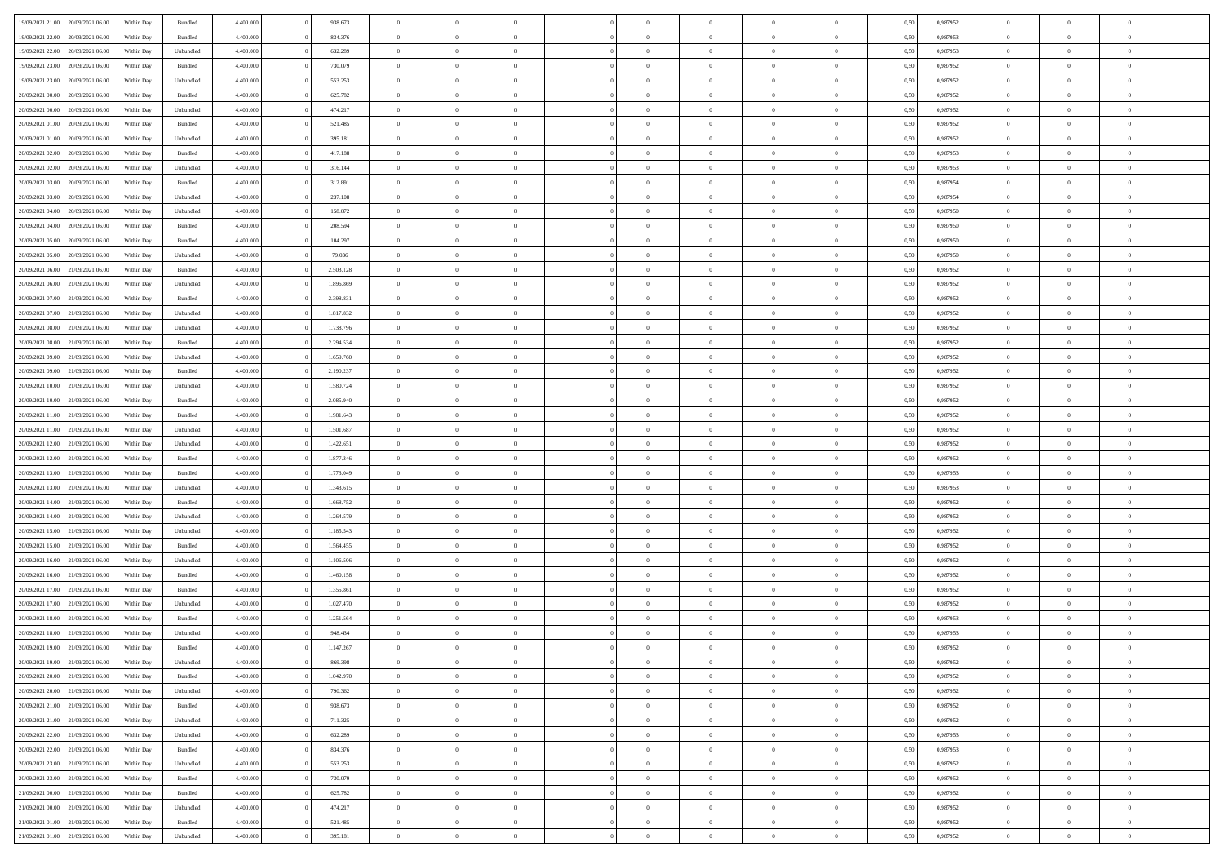| 19/09/2021 21:00 20/09/2021 06:00                        | Within Day               | Bundled              | 4.400.000 | 938.673                | $\overline{0}$ | $\overline{0}$ | $\Omega$       | $\Omega$       | $\theta$       | $\Omega$       | $\overline{0}$ | 0,50 | 0,987952 | $\theta$       | $\theta$       | $\theta$       |  |
|----------------------------------------------------------|--------------------------|----------------------|-----------|------------------------|----------------|----------------|----------------|----------------|----------------|----------------|----------------|------|----------|----------------|----------------|----------------|--|
| 19/09/2021 22:00<br>20/09/2021 06:00                     | Within Day               | Bundled              | 4.400.000 | 834.376                | $\overline{0}$ | $\overline{0}$ | $\overline{0}$ | $\overline{0}$ | $\theta$       | $\overline{0}$ | $\bf{0}$       | 0,50 | 0,987953 | $\theta$       | $\theta$       | $\overline{0}$ |  |
| 19/09/2021 22:00<br>20/09/2021 06:00                     | Within Day               | Unbundled            | 4.400.000 | 632.289                | $\overline{0}$ | $\bf{0}$       | $\overline{0}$ | $\overline{0}$ | $\overline{0}$ | $\overline{0}$ | $\bf{0}$       | 0,50 | 0,987953 | $\bf{0}$       | $\overline{0}$ | $\overline{0}$ |  |
| 19/09/2021 23:00<br>20/09/2021 06:00                     | Within Day               | Bundled              | 4.400.000 | 730.079                | $\overline{0}$ | $\overline{0}$ | $\overline{0}$ | $\overline{0}$ | $\theta$       | $\overline{0}$ | $\overline{0}$ | 0.50 | 0,987952 | $\theta$       | $\theta$       | $\overline{0}$ |  |
| 19/09/2021 23:00<br>20/09/2021 06:00                     | Within Day               | Unbundled            | 4.400.000 | 553.253                | $\overline{0}$ | $\overline{0}$ | $\overline{0}$ | $\overline{0}$ | $\theta$       | $\overline{0}$ | $\bf{0}$       | 0,50 | 0,987952 | $\theta$       | $\theta$       | $\overline{0}$ |  |
| 20/09/2021 00:00<br>20/09/2021 06:00                     | Within Day               | Bundled              | 4.400.000 | 625.782                | $\overline{0}$ | $\bf{0}$       | $\overline{0}$ | $\overline{0}$ | $\overline{0}$ | $\overline{0}$ | $\bf{0}$       | 0,50 | 0,987952 | $\bf{0}$       | $\overline{0}$ | $\bf{0}$       |  |
| 20/09/2021 00:00<br>20/09/2021 06:00                     | Within Day               | Unbundled            | 4.400.000 | 474.217                | $\overline{0}$ | $\overline{0}$ | $\overline{0}$ | $\overline{0}$ | $\overline{0}$ | $\overline{0}$ | $\overline{0}$ | 0.5( | 0,987952 | $\theta$       | $\theta$       | $\overline{0}$ |  |
| 20/09/2021 01:00<br>20/09/2021 06:00                     | Within Day               | Bundled              | 4.400.000 | 521.485                | $\overline{0}$ | $\theta$       | $\overline{0}$ | $\overline{0}$ | $\theta$       | $\overline{0}$ | $\bf{0}$       | 0,50 | 0,987952 | $\theta$       | $\theta$       | $\overline{0}$ |  |
|                                                          |                          |                      |           |                        |                |                |                |                |                |                |                |      |          |                |                |                |  |
| 20/09/2021 01:00<br>20/09/2021 06:00                     | Within Day               | Unbundled            | 4.400.000 | 395.181                | $\overline{0}$ | $\bf{0}$       | $\overline{0}$ | $\overline{0}$ | $\overline{0}$ | $\overline{0}$ | $\bf{0}$       | 0,50 | 0,987952 | $\bf{0}$       | $\bf{0}$       | $\overline{0}$ |  |
| 20/09/2021 02:00<br>20/09/2021 06:00                     | Within Day               | Bundled              | 4.400.000 | 417.188                | $\overline{0}$ | $\overline{0}$ | $\overline{0}$ | $\overline{0}$ | $\overline{0}$ | $\overline{0}$ | $\overline{0}$ | 0.5( | 0,987953 | $\theta$       | $\theta$       | $\overline{0}$ |  |
| 20/09/2021 02:00<br>20/09/2021 06:00                     | Within Day               | Unbundled            | 4.400.000 | 316.144                | $\bf{0}$       | $\overline{0}$ | $\overline{0}$ | $\overline{0}$ | $\theta$       | $\overline{0}$ | $\bf{0}$       | 0,50 | 0,987953 | $\theta$       | $\theta$       | $\overline{0}$ |  |
| 20/09/2021 03:00<br>20/09/2021 06:00                     | Within Day               | Bundled              | 4.400.000 | 312.891                | $\overline{0}$ | $\bf{0}$       | $\overline{0}$ | $\overline{0}$ | $\bf{0}$       | $\overline{0}$ | $\bf{0}$       | 0,50 | 0,987954 | $\bf{0}$       | $\overline{0}$ | $\overline{0}$ |  |
| 20/09/2021 03:00<br>20/09/2021 06:00                     | Within Day               | Unbundled            | 4.400.000 | 237.108                | $\overline{0}$ | $\overline{0}$ | $\overline{0}$ | $\overline{0}$ | $\overline{0}$ | $\overline{0}$ | $\overline{0}$ | 0.5( | 0,987954 | $\theta$       | $\theta$       | $\overline{0}$ |  |
| 20/09/2021 04:00<br>20/09/2021 06:00                     | Within Day               | Unbundled            | 4.400.000 | 158.072                | $\overline{0}$ | $\overline{0}$ | $\overline{0}$ | $\overline{0}$ | $\theta$       | $\overline{0}$ | $\,$ 0 $\,$    | 0,50 | 0,987950 | $\theta$       | $\theta$       | $\overline{0}$ |  |
| 20/09/2021 04:00<br>20/09/2021 06:00                     | Within Day               | Bundled              | 4.400.000 | 208.594                | $\overline{0}$ | $\bf{0}$       | $\overline{0}$ | $\overline{0}$ | $\overline{0}$ | $\overline{0}$ | $\bf{0}$       | 0,50 | 0,987950 | $\bf{0}$       | $\overline{0}$ | $\bf{0}$       |  |
| 20/09/2021 05:00<br>20/09/2021 06:00                     | Within Day               | Bundled              | 4.400.000 | 104.297                | $\overline{0}$ | $\overline{0}$ | $\overline{0}$ | $\overline{0}$ | $\overline{0}$ | $\overline{0}$ | $\overline{0}$ | 0.5( | 0,987950 | $\theta$       | $\theta$       | $\overline{0}$ |  |
| 20/09/2021 05:00<br>20/09/2021 06:00                     | Within Day               | Unbundled            | 4.400.000 | 79.036                 | $\overline{0}$ | $\overline{0}$ | $\overline{0}$ | $\overline{0}$ | $\theta$       | $\overline{0}$ | $\bf{0}$       | 0,50 | 0,987950 | $\theta$       | $\theta$       | $\overline{0}$ |  |
| 20/09/2021 06:00<br>21/09/2021 06:00                     | Within Day               | Bundled              | 4.400.000 | 2.503.128              | $\overline{0}$ | $\bf{0}$       | $\overline{0}$ | $\overline{0}$ | $\overline{0}$ | $\overline{0}$ | $\bf{0}$       | 0,50 | 0,987952 | $\bf{0}$       | $\overline{0}$ | $\overline{0}$ |  |
| 20/09/2021 06:00<br>21/09/2021 06:00                     | Within Day               | Unbundled            | 4.400.000 | 1.896.869              | $\overline{0}$ | $\overline{0}$ | $\overline{0}$ | $\overline{0}$ | $\overline{0}$ | $\overline{0}$ | $\overline{0}$ | 0.5( | 0,987952 | $\theta$       | $\theta$       | $\overline{0}$ |  |
| 20/09/2021 07:00<br>21/09/2021 06:00                     | Within Day               | Bundled              | 4.400.000 | 2.398.831              | $\bf{0}$       | $\overline{0}$ | $\overline{0}$ | $\overline{0}$ | $\theta$       | $\overline{0}$ | $\bf{0}$       | 0,50 | 0,987952 | $\theta$       | $\theta$       | $\overline{0}$ |  |
| 20/09/2021 07:00<br>21/09/2021 06:00                     | Within Day               | Unbundled            | 4.400.000 | 1.817.832              | $\overline{0}$ | $\bf{0}$       | $\overline{0}$ | $\overline{0}$ | $\overline{0}$ | $\overline{0}$ | $\bf{0}$       | 0,50 | 0,987952 | $\bf{0}$       | $\overline{0}$ | $\overline{0}$ |  |
| 20/09/2021 08:00<br>21/09/2021 06:00                     | Within Day               | Unbundled            | 4.400.000 | 1.738.796              | $\overline{0}$ | $\overline{0}$ | $\overline{0}$ | $\overline{0}$ | $\overline{0}$ | $\overline{0}$ | $\overline{0}$ | 0.50 | 0.987952 | $\theta$       | $\theta$       | $\overline{0}$ |  |
| 20/09/2021 08:00<br>21/09/2021 06:00                     | Within Day               | Bundled              | 4.400.000 | 2.294.534              | $\overline{0}$ | $\overline{0}$ | $\overline{0}$ | $\overline{0}$ | $\theta$       | $\overline{0}$ | $\bf{0}$       | 0,50 | 0,987952 | $\theta$       | $\theta$       | $\overline{0}$ |  |
| 20/09/2021 09:00<br>21/09/2021 06:00                     | Within Day               | Unbundled            | 4.400.000 | 1.659.760              | $\overline{0}$ | $\bf{0}$       | $\overline{0}$ | $\overline{0}$ | $\overline{0}$ | $\overline{0}$ | $\bf{0}$       | 0,50 | 0,987952 | $\bf{0}$       | $\overline{0}$ | $\bf{0}$       |  |
| 20/09/2021 09:00<br>21/09/2021 06:00                     | Within Day               | Bundled              | 4.400.000 | 2.190.237              | $\overline{0}$ | $\overline{0}$ | $\overline{0}$ | $\overline{0}$ | $\overline{0}$ | $\overline{0}$ | $\overline{0}$ | 0.5( | 0,987952 | $\theta$       | $\theta$       | $\overline{0}$ |  |
| 20/09/2021 10:00<br>21/09/2021 06:00                     | Within Day               | Unbundled            | 4.400.000 | 1.580.724              | $\bf{0}$       | $\overline{0}$ | $\overline{0}$ | $\overline{0}$ | $\theta$       | $\overline{0}$ | $\bf{0}$       | 0,50 | 0,987952 | $\theta$       | $\theta$       | $\overline{0}$ |  |
| 20/09/2021 10:00<br>21/09/2021 06:00                     | Within Day               | Bundled              | 4.400.000 | 2.085.940              | $\overline{0}$ | $\bf{0}$       | $\overline{0}$ | $\overline{0}$ | $\overline{0}$ | $\overline{0}$ | $\bf{0}$       | 0,50 | 0,987952 | $\bf{0}$       | $\bf{0}$       | $\overline{0}$ |  |
| 20/09/2021 11:00<br>21/09/2021 06:00                     | Within Day               | Bundled              | 4.400.000 | 1.981.643              | $\overline{0}$ | $\overline{0}$ | $\overline{0}$ | $\overline{0}$ | $\overline{0}$ | $\overline{0}$ | $\overline{0}$ | 0.5( | 0,987952 | $\theta$       | $\theta$       | $\overline{0}$ |  |
| 20/09/2021 11:00<br>21/09/2021 06:00                     | Within Day               | Unbundled            | 4.400.000 | 1.501.687              | $\bf{0}$       | $\overline{0}$ | $\overline{0}$ | $\overline{0}$ | $\theta$       | $\overline{0}$ | $\bf{0}$       | 0,50 | 0,987952 | $\theta$       | $\theta$       | $\overline{0}$ |  |
| 20/09/2021 12:00<br>21/09/2021 06:00                     | Within Day               | Unbundled            | 4.400.000 | 1.422.651              | $\overline{0}$ | $\bf{0}$       | $\overline{0}$ | $\overline{0}$ | $\bf{0}$       | $\overline{0}$ | $\bf{0}$       | 0,50 | 0,987952 | $\bf{0}$       | $\overline{0}$ | $\overline{0}$ |  |
| 20/09/2021 12:00<br>21/09/2021 06:00                     | Within Day               | Bundled              | 4,400,000 | 1.877.346              | $\overline{0}$ | $\overline{0}$ | $\Omega$       | $\Omega$       | $\Omega$       | $\theta$       | $\overline{0}$ | 0.50 | 0,987952 | $\,$ 0 $\,$    | $\Omega$       | $\theta$       |  |
| 20/09/2021 13:00<br>21/09/2021 06:00                     | Within Day               | Bundled              | 4.400.000 | 1.773.049              | $\bf{0}$       | $\overline{0}$ | $\overline{0}$ | $\overline{0}$ | $\theta$       | $\overline{0}$ | $\bf{0}$       | 0,50 | 0,987953 | $\theta$       | $\theta$       | $\overline{0}$ |  |
| 20/09/2021 13:00<br>21/09/2021 06:00                     | Within Day               | Unbundled            | 4.400.000 | 1.343.615              | $\overline{0}$ | $\bf{0}$       | $\overline{0}$ | $\overline{0}$ | $\overline{0}$ | $\overline{0}$ | $\bf{0}$       | 0,50 | 0,987953 | $\bf{0}$       | $\overline{0}$ | $\bf{0}$       |  |
| 20/09/2021 14:00<br>21/09/2021 06:00                     | Within Day               | Bundled              | 4,400,000 | 1.668.752              | $\overline{0}$ | $\overline{0}$ | $\Omega$       | $\Omega$       | $\overline{0}$ | $\Omega$       | $\overline{0}$ | 0.50 | 0,987952 | $\bf{0}$       | $\theta$       | $\theta$       |  |
| 20/09/2021 14:00<br>21/09/2021 06:00                     | Within Day               | Unbundled            | 4.400.000 | 1.264.579              | $\bf{0}$       | $\overline{0}$ | $\overline{0}$ | $\overline{0}$ | $\theta$       | $\overline{0}$ | $\bf{0}$       | 0,50 | 0,987952 | $\theta$       | $\theta$       | $\overline{0}$ |  |
| 20/09/2021 15:00<br>21/09/2021 06:00                     | Within Day               | Unbundled            | 4.400.000 | 1.185.543              | $\overline{0}$ | $\bf{0}$       | $\overline{0}$ | $\overline{0}$ | $\overline{0}$ | $\overline{0}$ | $\bf{0}$       | 0,50 | 0,987952 | $\bf{0}$       | $\overline{0}$ | $\overline{0}$ |  |
| 21/09/2021 06:00                                         |                          |                      | 4,400,000 |                        | $\overline{0}$ | $\theta$       | $\Omega$       | $\Omega$       | $\Omega$       | $\Omega$       | $\overline{0}$ | 0.50 | 0.987952 | $\theta$       | $\Omega$       | $\theta$       |  |
| 20/09/2021 15:00<br>20/09/2021 16:00<br>21/09/2021 06:00 | Within Day<br>Within Day | Bundled<br>Unbundled | 4.400.000 | 1.564.455<br>1.106.506 | $\bf{0}$       | $\overline{0}$ | $\overline{0}$ | $\overline{0}$ | $\theta$       | $\overline{0}$ | $\bf{0}$       | 0,50 | 0,987952 | $\theta$       | $\theta$       | $\overline{0}$ |  |
|                                                          |                          |                      |           |                        |                |                |                |                |                |                |                |      |          |                |                |                |  |
| 20/09/2021 16:00<br>21/09/2021 06:00                     | Within Day               | Bundled              | 4.400.000 | 1.460.158              | $\overline{0}$ | $\bf{0}$       | $\overline{0}$ | $\overline{0}$ | $\overline{0}$ | $\overline{0}$ | $\bf{0}$       | 0,50 | 0,987952 | $\bf{0}$       | $\overline{0}$ | $\overline{0}$ |  |
| 20/09/2021 17:00<br>21/09/2021 06:00                     | Within Day               | Bundled              | 4,400,000 | 1.355.861              | $\overline{0}$ | $\overline{0}$ | $\Omega$       | $\Omega$       | $\theta$       | $\Omega$       | $\overline{0}$ | 0.50 | 0,987952 | $\bf{0}$       | $\overline{0}$ | $\theta$       |  |
| 20/09/2021 17:00<br>21/09/2021 06:00                     | Within Day               | Unbundled            | 4.400.000 | 1.027.470              | $\bf{0}$       | $\overline{0}$ | $\overline{0}$ | $\overline{0}$ | $\theta$       | $\overline{0}$ | $\bf{0}$       | 0,50 | 0,987952 | $\theta$       | $\theta$       | $\overline{0}$ |  |
| 20/09/2021 18:00<br>21/09/2021 06:00                     | Within Day               | Bundled              | 4.400.000 | 1.251.564              | $\overline{0}$ | $\bf{0}$       | $\overline{0}$ | $\overline{0}$ | $\bf{0}$       | $\overline{0}$ | $\bf{0}$       | 0,50 | 0,987953 | $\bf{0}$       | $\overline{0}$ | $\bf{0}$       |  |
| 20/09/2021 18:00<br>21/09/2021 06:00                     | Within Day               | Unbundled            | 4,400,000 | 948.434                | $\overline{0}$ | $\Omega$       | $\Omega$       | $\Omega$       | $\Omega$       | $\theta$       | $\overline{0}$ | 0.50 | 0.987953 | $\theta$       | $\overline{0}$ | $\theta$       |  |
| 20/09/2021 19:00 21/09/2021 06:00                        | Within Day               | Bundled              | 4.400.000 | 1.147.267              | $\bf{0}$       | $\bf{0}$       | $\overline{0}$ | $\overline{0}$ | $\bf{0}$       | $\overline{0}$ | $\bf{0}$       | 0,50 | 0,987952 | $\bf{0}$       | $\bf{0}$       | $\overline{0}$ |  |
| 20/09/2021 19:00 21/09/2021 06:00                        | Within Day               | Unbundled            | 4.400.000 | 869.398                |                |                |                |                |                |                |                | 0,50 | 0,987952 | $\bf{0}$       | $\bf{0}$       |                |  |
| 20/09/2021 20:00 21/09/2021 06:00                        | Within Day               | Bundled              | 4.400.000 | 1.042.970              | $\Omega$       | $\overline{0}$ | $\Omega$       | $\theta$       | $\overline{0}$ | $\overline{0}$ | $\overline{0}$ | 0.50 | 0.987952 | $\theta$       | $\theta$       | $\theta$       |  |
| 20/09/2021 20:00 21/09/2021 06:00                        | Within Day               | Unbundled            | 4.400.000 | 790.362                | $\overline{0}$ | $\overline{0}$ | $\overline{0}$ | $\overline{0}$ | $\,$ 0 $\,$    | $\overline{0}$ | $\,$ 0 $\,$    | 0,50 | 0,987952 | $\,$ 0 $\,$    | $\,$ 0 $\,$    | $\,$ 0         |  |
| 20/09/2021 21:00 21/09/2021 06:00                        | Within Day               | Bundled              | 4.400.000 | 938.673                | $\overline{0}$ | $\overline{0}$ | $\overline{0}$ | $\overline{0}$ | $\mathbf{0}$   | $\overline{0}$ | $\bf{0}$       | 0,50 | 0,987952 | $\overline{0}$ | $\overline{0}$ | $\overline{0}$ |  |
| 20/09/2021 21:00 21/09/2021 06:00                        | Within Day               | Unbundled            | 4.400.000 | 711.325                | $\overline{0}$ | $\bf{0}$       | $\overline{0}$ | $\overline{0}$ | $\overline{0}$ | $\overline{0}$ | $\bf{0}$       | 0,50 | 0,987952 | $\overline{0}$ | $\theta$       | $\overline{0}$ |  |
| 20/09/2021 22:00 21/09/2021 06:00                        | Within Day               | Unbundled            | 4.400.000 | 632.289                | $\overline{0}$ | $\overline{0}$ | $\overline{0}$ | $\overline{0}$ | $\overline{0}$ | $\overline{0}$ | $\,$ 0 $\,$    | 0,50 | 0,987953 | $\,$ 0 $\,$    | $\,$ 0 $\,$    | $\overline{0}$ |  |
| 20/09/2021 22:00 21/09/2021 06:00                        | Within Day               | Bundled              | 4.400.000 | 834.376                | $\overline{0}$ | $\overline{0}$ | $\overline{0}$ | $\overline{0}$ | $\overline{0}$ | $\overline{0}$ | $\mathbf{0}$   | 0,50 | 0,987953 | $\overline{0}$ | $\overline{0}$ | $\overline{0}$ |  |
| 20/09/2021 23:00 21/09/2021 06:00                        | Within Day               | Unbundled            | 4.400.000 | 553.253                | $\overline{0}$ | $\bf{0}$       | $\overline{0}$ | $\overline{0}$ | $\overline{0}$ | $\overline{0}$ | $\bf{0}$       | 0.50 | 0,987952 | $\overline{0}$ | $\theta$       | $\overline{0}$ |  |
| 20/09/2021 23:00 21/09/2021 06:00                        | Within Day               | Bundled              | 4.400.000 | 730.079                | $\overline{0}$ | $\overline{0}$ | $\overline{0}$ | $\overline{0}$ | $\overline{0}$ | $\overline{0}$ | $\bf{0}$       | 0,50 | 0,987952 | $\,$ 0 $\,$    | $\,$ 0 $\,$    | $\overline{0}$ |  |
| 21/09/2021 00:00 21/09/2021 06:00                        | Within Day               | Bundled              | 4.400.000 | 625.782                | $\overline{0}$ | $\bf{0}$       | $\overline{0}$ | $\overline{0}$ | $\overline{0}$ | $\overline{0}$ | $\bf{0}$       | 0,50 | 0,987952 | $\bf{0}$       | $\overline{0}$ | $\bf{0}$       |  |
| 21/09/2021 00:00 21/09/2021 06:00                        | Within Day               | Unbundled            | 4.400.000 | 474.217                | $\overline{0}$ | $\overline{0}$ | $\overline{0}$ | $\overline{0}$ | $\overline{0}$ | $\overline{0}$ | $\bf{0}$       | 0.50 | 0,987952 | $\overline{0}$ | $\overline{0}$ | $\overline{0}$ |  |
| 21/09/2021 01:00<br>21/09/2021 06:00                     | Within Day               | Bundled              | 4.400.000 | 521.485                | $\overline{0}$ | $\,$ 0         | $\overline{0}$ | $\overline{0}$ | $\bf{0}$       | $\overline{0}$ | $\bf{0}$       | 0,50 | 0,987952 | $\,$ 0 $\,$    | $\,$ 0 $\,$    | $\bf{0}$       |  |
| 21/09/2021 01:00 21/09/2021 06:00                        | Within Day               | Unbundled            | 4.400.000 | 395.181                | $\overline{0}$ | $\bf{0}$       | $\overline{0}$ | $\overline{0}$ | $\overline{0}$ | $\overline{0}$ | $\bf{0}$       | 0,50 | 0,987952 | $\bf{0}$       | $\overline{0}$ | $\bf{0}$       |  |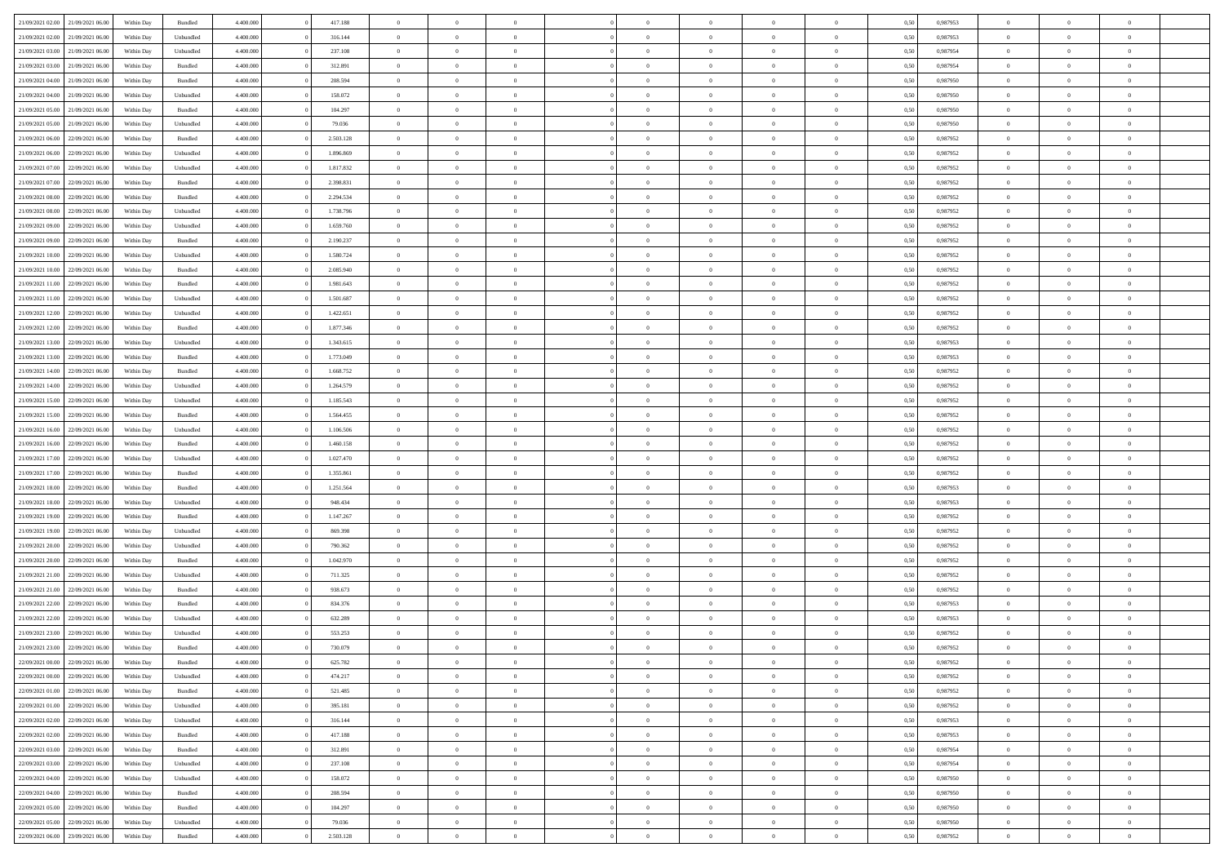|                                   |                  |            |                    |           |           | $\overline{0}$ | $\Omega$       |                |                | $\Omega$       | $\Omega$       | $\theta$       |      |          | $\theta$       | $\theta$       | $\theta$       |  |
|-----------------------------------|------------------|------------|--------------------|-----------|-----------|----------------|----------------|----------------|----------------|----------------|----------------|----------------|------|----------|----------------|----------------|----------------|--|
| 21/09/2021 02:00                  | 21/09/2021 06:00 | Within Day | Bundled            | 4.400.000 | 417.188   |                |                |                | $\Omega$       |                |                |                | 0.50 | 0.987953 |                |                |                |  |
| 21/09/2021 02:00                  | 21/09/2021 06:00 | Within Day | Unbundled          | 4.400.000 | 316.144   | $\overline{0}$ | $\theta$       | $\overline{0}$ | $\overline{0}$ | $\bf{0}$       | $\overline{0}$ | $\overline{0}$ | 0,50 | 0,987953 | $\theta$       | $\theta$       | $\overline{0}$ |  |
| 21/09/2021 03:00                  | 21/09/2021 06:00 | Within Day | Unbundled          | 4.400.000 | 237.108   | $\overline{0}$ | $\overline{0}$ | $\overline{0}$ | $\overline{0}$ | $\bf{0}$       | $\overline{0}$ | $\bf{0}$       | 0,50 | 0,987954 | $\bf{0}$       | $\overline{0}$ | $\overline{0}$ |  |
| 21/09/2021 03:00                  | 21/09/2021 06:00 | Within Dav | Bundled            | 4.400.000 | 312.891   | $\overline{0}$ | $\theta$       | $\overline{0}$ | $\overline{0}$ | $\bf{0}$       | $\overline{0}$ | $\overline{0}$ | 0.50 | 0,987954 | $\theta$       | $\theta$       | $\overline{0}$ |  |
|                                   |                  |            |                    |           |           | $\overline{0}$ | $\theta$       | $\overline{0}$ |                | $\bf{0}$       | $\overline{0}$ |                |      |          | $\theta$       | $\theta$       | $\overline{0}$ |  |
| 21/09/2021 04:00                  | 21/09/2021 06:00 | Within Day | Bundled            | 4.400.000 | 208.594   |                |                |                | $\overline{0}$ |                |                | $\bf{0}$       | 0,50 | 0,987950 |                |                |                |  |
| 21/09/2021 04:00                  | 21/09/2021 06:00 | Within Day | Unbundled          | 4.400.000 | 158.072   | $\overline{0}$ | $\bf{0}$       | $\overline{0}$ | $\overline{0}$ | $\overline{0}$ | $\overline{0}$ | $\mathbf{0}$   | 0,50 | 0,987950 | $\bf{0}$       | $\overline{0}$ | $\bf{0}$       |  |
| 21/09/2021 05:00                  | 21/09/2021 06:00 | Within Dav | Bundled            | 4.400.000 | 104.297   | $\overline{0}$ | $\overline{0}$ | $\overline{0}$ | $\overline{0}$ | $\overline{0}$ | $\overline{0}$ | $\overline{0}$ | 0.50 | 0,987950 | $\theta$       | $\theta$       | $\overline{0}$ |  |
| 21/09/2021 05:00                  | 21/09/2021 06:00 | Within Day | Unbundled          | 4.400.000 | 79.036    | $\overline{0}$ | $\theta$       | $\overline{0}$ | $\overline{0}$ | $\bf{0}$       | $\overline{0}$ | $\bf{0}$       | 0,50 | 0,987950 | $\theta$       | $\theta$       | $\overline{0}$ |  |
| 21/09/2021 06:00                  | 22/09/2021 06:00 | Within Day | Bundled            | 4.400.000 | 2.503.128 | $\overline{0}$ | $\overline{0}$ | $\overline{0}$ | $\overline{0}$ | $\bf{0}$       | $\overline{0}$ | $\bf{0}$       | 0,50 | 0,987952 | $\,0\,$        | $\overline{0}$ | $\overline{0}$ |  |
|                                   |                  |            |                    |           |           |                | $\overline{0}$ |                |                | $\overline{0}$ |                |                |      |          | $\theta$       | $\overline{0}$ | $\overline{0}$ |  |
| 21/09/2021 06:00                  | 22/09/2021 06:00 | Within Dav | Unbundled          | 4.400.000 | 1.896.869 | $\overline{0}$ |                | $\overline{0}$ | $\overline{0}$ |                | $\overline{0}$ | $\overline{0}$ | 0.50 | 0,987952 |                |                |                |  |
| 21/09/2021 07:00                  | 22/09/2021 06.00 | Within Day | Unbundled          | 4.400.000 | 1.817.832 | $\overline{0}$ | $\theta$       | $\overline{0}$ | $\overline{0}$ | $\bf{0}$       | $\overline{0}$ | $\bf{0}$       | 0,50 | 0,987952 | $\theta$       | $\theta$       | $\overline{0}$ |  |
| 21/09/2021 07:00                  | 22/09/2021 06:00 | Within Day | Bundled            | 4.400.000 | 2.398.831 | $\overline{0}$ | $\overline{0}$ | $\overline{0}$ | $\overline{0}$ | $\bf{0}$       | $\overline{0}$ | $\bf{0}$       | 0,50 | 0,987952 | $\bf{0}$       | $\overline{0}$ | $\overline{0}$ |  |
| 21/09/2021 08:00                  | 22/09/2021 06:00 | Within Day | Bundled            | 4.400.000 | 2.294.534 | $\overline{0}$ | $\overline{0}$ | $\overline{0}$ | $\overline{0}$ | $\bf{0}$       | $\overline{0}$ | $\overline{0}$ | 0.50 | 0,987952 | $\theta$       | $\theta$       | $\overline{0}$ |  |
| 21/09/2021 08:00                  | 22/09/2021 06:00 | Within Day | Unbundled          | 4.400.000 | 1.738.796 | $\overline{0}$ | $\theta$       | $\overline{0}$ | $\overline{0}$ | $\bf{0}$       | $\overline{0}$ | $\overline{0}$ | 0,50 | 0,987952 | $\theta$       | $\theta$       | $\overline{0}$ |  |
|                                   |                  |            |                    |           |           |                |                |                |                |                |                |                |      |          |                |                |                |  |
| 21/09/2021 09:00                  | 22/09/2021 06:00 | Within Day | Unbundled          | 4.400.000 | 1.659.760 | $\overline{0}$ | $\bf{0}$       | $\overline{0}$ | $\overline{0}$ | $\overline{0}$ | $\overline{0}$ | $\mathbf{0}$   | 0,50 | 0,987952 | $\bf{0}$       | $\overline{0}$ | $\bf{0}$       |  |
| 21/09/2021 09:00                  | 22/09/2021 06:00 | Within Dav | Bundled            | 4.400.000 | 2.190.237 | $\overline{0}$ | $\overline{0}$ | $\overline{0}$ | $\overline{0}$ | $\overline{0}$ | $\overline{0}$ | $\overline{0}$ | 0.50 | 0,987952 | $\theta$       | $\overline{0}$ | $\overline{0}$ |  |
| 21/09/2021 10:00                  | 22/09/2021 06.00 | Within Day | Unbundled          | 4.400.000 | 1.580.724 | $\overline{0}$ | $\theta$       | $\overline{0}$ | $\overline{0}$ | $\bf{0}$       | $\overline{0}$ | $\bf{0}$       | 0,50 | 0,987952 | $\theta$       | $\theta$       | $\overline{0}$ |  |
| 21/09/2021 10:00                  | 22/09/2021 06:00 | Within Day | Bundled            | 4.400.000 | 2.085.940 | $\overline{0}$ | $\overline{0}$ | $\overline{0}$ | $\overline{0}$ | $\bf{0}$       | $\overline{0}$ | $\bf{0}$       | 0,50 | 0,987952 | $\,0\,$        | $\overline{0}$ | $\overline{0}$ |  |
| 21/09/2021 11:00                  | 22/09/2021 06:00 | Within Day | Bundled            | 4.400.000 | 1.981.643 | $\overline{0}$ | $\overline{0}$ | $\overline{0}$ | $\overline{0}$ | $\overline{0}$ | $\overline{0}$ | $\overline{0}$ | 0.50 | 0,987952 | $\theta$       | $\overline{0}$ | $\overline{0}$ |  |
| 21/09/2021 11:00                  | 22/09/2021 06.00 | Within Day | Unbundled          | 4.400.000 | 1.501.687 | $\overline{0}$ | $\theta$       | $\overline{0}$ | $\overline{0}$ | $\bf{0}$       | $\overline{0}$ | $\bf{0}$       | 0,50 | 0,987952 | $\theta$       | $\theta$       | $\overline{0}$ |  |
|                                   |                  |            |                    |           |           |                |                |                |                |                |                |                |      |          |                |                |                |  |
| 21/09/2021 12:00                  | 22/09/2021 06:00 | Within Day | Unbundled          | 4.400.000 | 1.422.651 | $\overline{0}$ | $\overline{0}$ | $\overline{0}$ | $\overline{0}$ | $\bf{0}$       | $\overline{0}$ | $\bf{0}$       | 0,50 | 0,987952 | $\bf{0}$       | $\overline{0}$ | $\overline{0}$ |  |
| 21/09/2021 12:00                  | 22/09/2021 06:00 | Within Day | Bundled            | 4.400.000 | 1.877.346 | $\overline{0}$ | $\overline{0}$ | $\overline{0}$ | $\overline{0}$ | $\bf{0}$       | $\overline{0}$ | $\overline{0}$ | 0.50 | 0,987952 | $\theta$       | $\theta$       | $\overline{0}$ |  |
| 21/09/2021 13:00                  | 22/09/2021 06.00 | Within Day | Unbundled          | 4.400.000 | 1.343.615 | $\overline{0}$ | $\theta$       | $\overline{0}$ | $\overline{0}$ | $\bf{0}$       | $\overline{0}$ | $\bf{0}$       | 0,50 | 0,987953 | $\theta$       | $\overline{0}$ | $\overline{0}$ |  |
| 21/09/2021 13:00                  | 22/09/2021 06:00 | Within Day | Bundled            | 4.400.000 | 1.773.049 | $\overline{0}$ | $\bf{0}$       | $\overline{0}$ | $\overline{0}$ | $\overline{0}$ | $\overline{0}$ | $\mathbf{0}$   | 0,50 | 0,987953 | $\bf{0}$       | $\overline{0}$ | $\bf{0}$       |  |
| 21/09/2021 14:00                  | 22/09/2021 06:00 | Within Dav | Bundled            | 4.400.000 | 1.668.752 | $\overline{0}$ | $\overline{0}$ | $\overline{0}$ | $\overline{0}$ | $\overline{0}$ | $\overline{0}$ | $\overline{0}$ | 0.50 | 0,987952 | $\theta$       | $\theta$       | $\overline{0}$ |  |
| 21/09/2021 14:00                  | 22/09/2021 06.00 | Within Day | Unbundled          | 4.400.000 | 1.264.579 | $\overline{0}$ | $\theta$       | $\overline{0}$ | $\overline{0}$ | $\bf{0}$       | $\overline{0}$ | $\bf{0}$       | 0,50 | 0,987952 | $\theta$       | $\theta$       | $\overline{0}$ |  |
|                                   | 22/09/2021 06:00 | Within Day | Unbundled          | 4.400.000 | 1.185.543 | $\overline{0}$ | $\overline{0}$ | $\overline{0}$ | $\overline{0}$ | $\bf{0}$       | $\overline{0}$ | $\bf{0}$       | 0,50 | 0,987952 | $\,0\,$        | $\overline{0}$ | $\overline{0}$ |  |
| 21/09/2021 15:00                  |                  |            |                    |           |           |                |                |                |                |                |                |                |      |          |                |                |                |  |
| 21/09/2021 15:00                  | 22/09/2021 06:00 | Within Day | Bundled            | 4.400.000 | 1.564.455 | $\overline{0}$ | $\overline{0}$ | $\overline{0}$ | $\overline{0}$ | $\overline{0}$ | $\overline{0}$ | $\overline{0}$ | 0.50 | 0,987952 | $\theta$       | $\overline{0}$ | $\overline{0}$ |  |
| 21/09/2021 16:00                  | 22/09/2021 06.00 | Within Day | Unbundled          | 4.400.000 | 1.106.506 | $\overline{0}$ | $\theta$       | $\overline{0}$ | $\overline{0}$ | $\bf{0}$       | $\overline{0}$ | $\bf{0}$       | 0,50 | 0,987952 | $\,$ 0 $\,$    | $\theta$       | $\overline{0}$ |  |
| 21/09/2021 16:00                  | 22/09/2021 06:00 | Within Day | Bundled            | 4.400.000 | 1.460.158 | $\overline{0}$ | $\overline{0}$ | $\overline{0}$ | $\overline{0}$ | $\bf{0}$       | $\overline{0}$ | $\bf{0}$       | 0,50 | 0,987952 | $\bf{0}$       | $\overline{0}$ | $\overline{0}$ |  |
| 21/09/2021 17:00                  | 22/09/2021 06:00 | Within Day | Unbundled          | 4.400,000 | 1.027.470 | $\overline{0}$ | $\Omega$       | $\Omega$       | $\Omega$       | $\Omega$       | $\Omega$       | $\overline{0}$ | 0.50 | 0,987952 | $\,0\,$        | $\theta$       | $\theta$       |  |
| 21/09/2021 17:00                  | 22/09/2021 06.00 | Within Day | Bundled            | 4.400.000 | 1.355.861 | $\overline{0}$ | $\theta$       | $\overline{0}$ | $\overline{0}$ | $\bf{0}$       | $\overline{0}$ | $\bf{0}$       | 0,50 | 0,987952 | $\theta$       | $\theta$       | $\overline{0}$ |  |
| 21/09/2021 18:00                  | 22/09/2021 06:00 | Within Day | Bundled            | 4.400.000 | 1.251.564 | $\overline{0}$ | $\overline{0}$ | $\overline{0}$ | $\overline{0}$ | $\bf{0}$       | $\overline{0}$ | $\mathbf{0}$   | 0,50 | 0,987953 | $\bf{0}$       | $\overline{0}$ | $\bf{0}$       |  |
|                                   |                  |            |                    |           |           |                |                |                |                |                |                |                |      |          |                |                |                |  |
| 21/09/2021 18:00                  | 22/09/2021 06:00 | Within Day | Unbundled          | 4.400,000 | 948,434   | $\overline{0}$ | $\Omega$       | $\Omega$       | $\Omega$       | $\bf{0}$       | $\overline{0}$ | $\overline{0}$ | 0.50 | 0,987953 | $\theta$       | $\theta$       | $\theta$       |  |
| 21/09/2021 19:00                  | 22/09/2021 06.00 | Within Day | Bundled            | 4.400.000 | 1.147.267 | $\overline{0}$ | $\theta$       | $\overline{0}$ | $\overline{0}$ | $\bf{0}$       | $\overline{0}$ | $\bf{0}$       | 0,50 | 0,987952 | $\theta$       | $\theta$       | $\overline{0}$ |  |
| 21/09/2021 19:00                  | 22/09/2021 06:00 | Within Day | Unbundled          | 4.400.000 | 869.398   | $\overline{0}$ | $\overline{0}$ | $\overline{0}$ | $\overline{0}$ | $\bf{0}$       | $\overline{0}$ | $\bf{0}$       | 0,50 | 0,987952 | $\,0\,$        | $\overline{0}$ | $\overline{0}$ |  |
| 21/09/2021 20:00                  | 22/09/2021 06:00 | Within Day | Unbundled          | 4.400,000 | 790,362   | $\overline{0}$ | $\Omega$       | $\Omega$       | $\Omega$       | $\Omega$       | $\theta$       | $\overline{0}$ | 0.50 | 0.987952 | $\theta$       | $\theta$       | $\theta$       |  |
| 21/09/2021 20:00                  | 22/09/2021 06.00 | Within Day | Bundled            | 4.400.000 | 1.042.970 | $\overline{0}$ | $\theta$       | $\overline{0}$ | $\overline{0}$ | $\bf{0}$       | $\overline{0}$ | $\bf{0}$       | 0,50 | 0,987952 | $\,$ 0 $\,$    | $\overline{0}$ | $\overline{0}$ |  |
|                                   |                  |            |                    |           |           |                |                |                |                |                |                |                |      |          |                |                |                |  |
| 21/09/2021 21:00                  | 22/09/2021 06:00 | Within Day | Unbundled          | 4.400.000 | 711.325   | $\overline{0}$ | $\overline{0}$ | $\overline{0}$ | $\overline{0}$ | $\bf{0}$       | $\overline{0}$ | $\bf{0}$       | 0,50 | 0,987952 | $\bf{0}$       | $\overline{0}$ | $\overline{0}$ |  |
| 21/09/2021 21:00                  | 22/09/2021 06:00 | Within Day | Bundled            | 4.400,000 | 938.673   | $\overline{0}$ | $\Omega$       | $\Omega$       | $\Omega$       | $\Omega$       | $\overline{0}$ | $\overline{0}$ | 0.50 | 0,987952 | $\,0\,$        | $\theta$       | $\theta$       |  |
| 21/09/2021 22:00                  | 22/09/2021 06.00 | Within Day | Bundled            | 4.400.000 | 834.376   | $\overline{0}$ | $\theta$       | $\overline{0}$ | $\overline{0}$ | $\bf{0}$       | $\overline{0}$ | $\bf{0}$       | 0,50 | 0,987953 | $\,$ 0 $\,$    | $\overline{0}$ | $\overline{0}$ |  |
| 21/09/2021 22:00                  | 22/09/2021 06:00 | Within Day | Unbundled          | 4.400.000 | 632.289   | $\overline{0}$ | $\overline{0}$ | $\overline{0}$ | $\overline{0}$ | $\bf{0}$       | $\overline{0}$ | $\mathbf{0}$   | 0,50 | 0,987953 | $\bf{0}$       | $\overline{0}$ | $\bf{0}$       |  |
| 21/09/2021 23:00                  | 22/09/2021 06:00 | Within Day | Unbundled          | 4.400,000 | 553.253   | $\overline{0}$ | $\Omega$       | $\Omega$       | $\Omega$       | $\Omega$       | $\Omega$       | $\overline{0}$ | 0.50 | 0.987952 | $\theta$       | $\theta$       | $\theta$       |  |
| 21/09/2021 23:00                  | 22/09/2021 06:00 | Within Day | Bundled            | 4.400.000 | 730.079   | $\overline{0}$ | $\overline{0}$ | $\overline{0}$ | $\bf{0}$       | $\,$ 0         | $\overline{0}$ | $\bf{0}$       | 0,50 | 0,987952 | $\,0\,$        | $\overline{0}$ | $\overline{0}$ |  |
| 22/09/2021 00:00 22/09/2021 06:00 |                  | Within Day | $\mathbf B$ undled | 4.400.000 | 625.782   | $\bf{0}$       | $\bf{0}$       |                |                | $\bf{0}$       |                |                | 0,50 | 0,987952 | $\bf{0}$       | $\overline{0}$ |                |  |
|                                   |                  |            |                    |           |           |                |                |                |                |                |                |                |      |          |                |                | $\theta$       |  |
| 22/09/2021 00:00                  | 22/09/2021 06:00 | Within Day | Unbundled          | 4.400.000 | 474.217   | $\overline{0}$ | $\overline{0}$ | $\overline{0}$ | $\Omega$       | $\overline{0}$ | $\overline{0}$ | $\overline{0}$ | 0,50 | 0.987952 | $\theta$       | $\theta$       |                |  |
| 22/09/2021 01:00                  | 22/09/2021 06.00 | Within Day | Bundled            | 4.400.000 | 521.485   | $\overline{0}$ | $\bf{0}$       | $\overline{0}$ | $\bf{0}$       | $\,$ 0 $\,$    | $\overline{0}$ | $\,$ 0 $\,$    | 0,50 | 0,987952 | $\,$ 0 $\,$    | $\,$ 0 $\,$    | $\,$ 0         |  |
| 22/09/2021 01:00                  | 22/09/2021 06:00 | Within Day | Unbundled          | 4.400.000 | 395.181   | $\overline{0}$ | $\overline{0}$ | $\overline{0}$ | $\overline{0}$ | $\overline{0}$ | $\overline{0}$ | $\mathbf{0}$   | 0,50 | 0,987952 | $\overline{0}$ | $\overline{0}$ | $\overline{0}$ |  |
| 22/09/2021 02:00                  | 22/09/2021 06:00 | Within Day | Unbundled          | 4.400.000 | 316.144   | $\overline{0}$ | $\overline{0}$ | $\overline{0}$ | $\Omega$       | $\overline{0}$ | $\overline{0}$ | $\overline{0}$ | 0,50 | 0,987953 | $\overline{0}$ | $\theta$       | $\overline{0}$ |  |
| 22/09/2021 02:00                  | 22/09/2021 06.00 | Within Day | Bundled            | 4.400.000 | 417.188   | $\overline{0}$ | $\,$ 0         | $\overline{0}$ | $\bf{0}$       | $\,$ 0 $\,$    | $\overline{0}$ | $\,$ 0 $\,$    | 0,50 | 0,987953 | $\,$ 0 $\,$    | $\overline{0}$ | $\,$ 0         |  |
| 22/09/2021 03:00                  | 22/09/2021 06:00 | Within Day | Bundled            | 4.400.000 | 312.891   | $\overline{0}$ | $\overline{0}$ | $\overline{0}$ | $\overline{0}$ | $\overline{0}$ | $\overline{0}$ | $\mathbf{0}$   | 0,50 | 0,987954 | $\overline{0}$ | $\overline{0}$ | $\overline{0}$ |  |
|                                   |                  |            |                    | 4.400.000 |           |                | $\overline{0}$ | $\overline{0}$ |                | $\overline{0}$ | $\overline{0}$ |                | 0.50 |          |                | $\theta$       | $\overline{0}$ |  |
| 22/09/2021 03:00                  | 22/09/2021 06:00 | Within Day | Unbundled          |           | 237.108   | $\overline{0}$ |                |                | $\overline{0}$ |                |                | $\overline{0}$ |      | 0,987954 | $\overline{0}$ |                |                |  |
| 22/09/2021 04:00                  | 22/09/2021 06:00 | Within Day | Unbundled          | 4.400.000 | 158.072   | $\overline{0}$ | $\,$ 0         | $\overline{0}$ | $\bf{0}$       | $\bf{0}$       | $\bf{0}$       | $\bf{0}$       | 0,50 | 0,987950 | $\,$ 0 $\,$    | $\overline{0}$ | $\overline{0}$ |  |
| 22/09/2021 04:00                  | 22/09/2021 06:00 | Within Day | Bundled            | 4.400.000 | 208.594   | $\overline{0}$ | $\bf{0}$       | $\overline{0}$ | $\overline{0}$ | $\overline{0}$ | $\overline{0}$ | $\mathbf{0}$   | 0,50 | 0,987950 | $\overline{0}$ | $\overline{0}$ | $\bf{0}$       |  |
| 22/09/2021 05:00                  | 22/09/2021 06:00 | Within Day | Bundled            | 4.400,000 | 104.297   | $\overline{0}$ | $\overline{0}$ | $\overline{0}$ | $\Omega$       | $\overline{0}$ | $\overline{0}$ | $\overline{0}$ | 0.50 | 0,987950 | $\overline{0}$ | $\overline{0}$ | $\overline{0}$ |  |
| 22/09/2021 05:00                  | 22/09/2021 06.00 | Within Day | Unbundled          | 4.400.000 | 79.036    | $\overline{0}$ | $\bf{0}$       | $\overline{0}$ | $\bf{0}$       | $\bf{0}$       | $\bf{0}$       | $\mathbf{0}$   | 0,50 | 0,987950 | $\,$ 0 $\,$    | $\,$ 0 $\,$    | $\bf{0}$       |  |
| 22/09/2021 06:00 23/09/2021 06:00 |                  | Within Day | Bundled            | 4.400.000 | 2.503.128 | $\overline{0}$ | $\overline{0}$ | $\overline{0}$ | $\overline{0}$ | $\overline{0}$ | $\bf{0}$       | $\mathbf{0}$   | 0,50 | 0,987952 | $\overline{0}$ | $\bf{0}$       | $\overline{0}$ |  |
|                                   |                  |            |                    |           |           |                |                |                |                |                |                |                |      |          |                |                |                |  |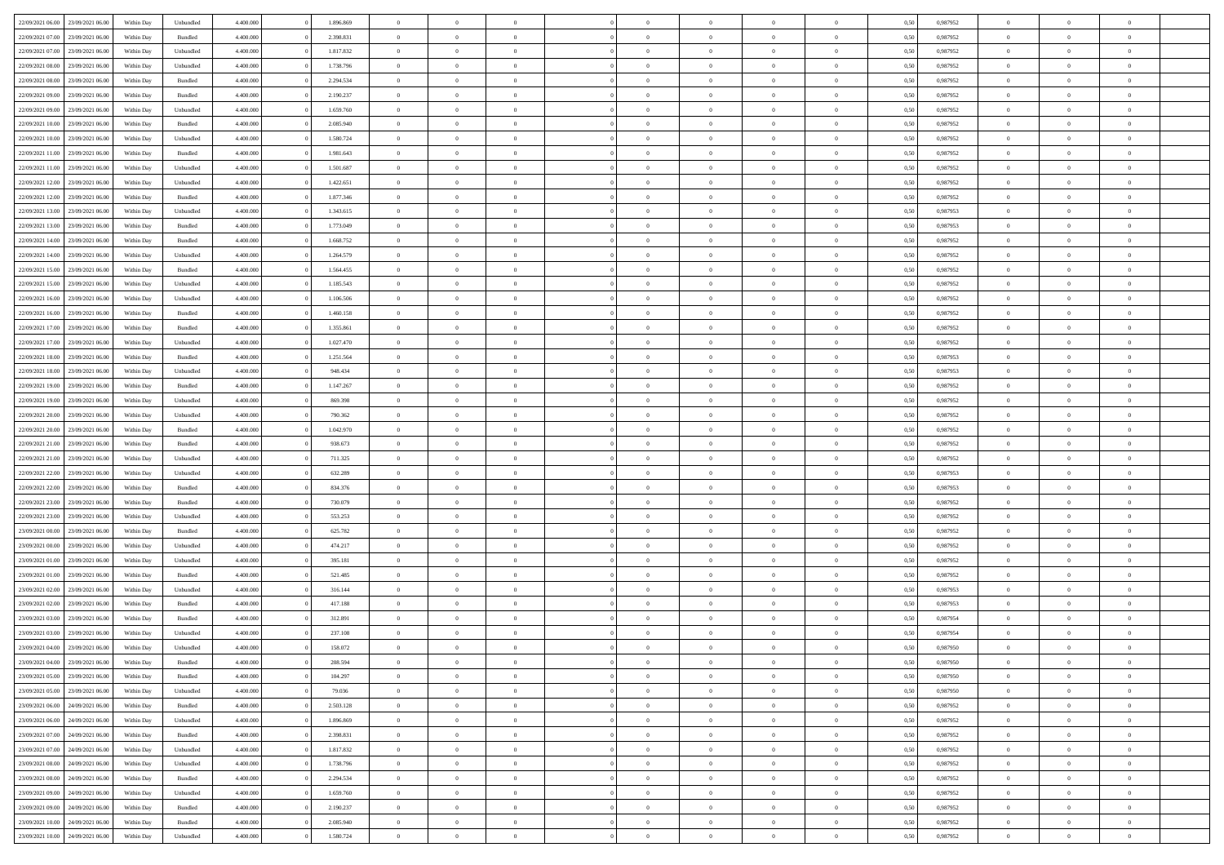| 22/09/2021 06:00 23/09/2021 06:00    | Within Day | Unbundled | 4.400.000 | 1.896.869 | $\overline{0}$ | $\overline{0}$ | $\Omega$       | $\Omega$       | $\theta$       | $\Omega$       | $\theta$       | 0,50 | 0,987952 | $\theta$       | $\theta$       | $\theta$       |  |
|--------------------------------------|------------|-----------|-----------|-----------|----------------|----------------|----------------|----------------|----------------|----------------|----------------|------|----------|----------------|----------------|----------------|--|
| 22/09/2021 07:00<br>23/09/2021 06:00 | Within Day | Bundled   | 4.400.000 | 2.398.831 | $\overline{0}$ | $\overline{0}$ | $\overline{0}$ | $\overline{0}$ | $\theta$       | $\overline{0}$ | $\bf{0}$       | 0,50 | 0,987952 | $\theta$       | $\theta$       | $\overline{0}$ |  |
| 22/09/2021 07:00<br>23/09/2021 06:00 | Within Day | Unbundled | 4.400.000 | 1.817.832 | $\overline{0}$ | $\bf{0}$       | $\overline{0}$ | $\overline{0}$ | $\overline{0}$ | $\overline{0}$ | $\bf{0}$       | 0,50 | 0,987952 | $\bf{0}$       | $\overline{0}$ | $\overline{0}$ |  |
| 22/09/2021 08:00<br>23/09/2021 06:00 | Within Day | Unbundled | 4.400.000 | 1.738.796 | $\overline{0}$ | $\overline{0}$ | $\overline{0}$ | $\overline{0}$ | $\theta$       | $\overline{0}$ | $\overline{0}$ | 0.50 | 0.987952 | $\theta$       | $\theta$       | $\overline{0}$ |  |
| 22/09/2021 08:00<br>23/09/2021 06:00 | Within Day | Bundled   | 4.400.000 | 2.294.534 | $\overline{0}$ | $\overline{0}$ | $\overline{0}$ | $\overline{0}$ | $\theta$       | $\overline{0}$ | $\bf{0}$       | 0,50 | 0,987952 | $\theta$       | $\theta$       | $\overline{0}$ |  |
|                                      |            |           |           |           |                |                |                |                |                |                |                |      |          |                |                |                |  |
| 22/09/2021 09:00<br>23/09/2021 06:00 | Within Day | Bundled   | 4.400.000 | 2.190.237 | $\overline{0}$ | $\bf{0}$       | $\overline{0}$ | $\overline{0}$ | $\overline{0}$ | $\overline{0}$ | $\bf{0}$       | 0,50 | 0,987952 | $\overline{0}$ | $\overline{0}$ | $\bf{0}$       |  |
| 22/09/2021 09:00<br>23/09/2021 06:00 | Within Day | Unbundled | 4.400.000 | 1.659.760 | $\overline{0}$ | $\overline{0}$ | $\overline{0}$ | $\overline{0}$ | $\overline{0}$ | $\overline{0}$ | $\overline{0}$ | 0.5( | 0,987952 | $\theta$       | $\theta$       | $\overline{0}$ |  |
| 22/09/2021 10:00<br>23/09/2021 06:00 | Within Day | Bundled   | 4.400.000 | 2.085.940 | $\overline{0}$ | $\overline{0}$ | $\overline{0}$ | $\overline{0}$ | $\theta$       | $\overline{0}$ | $\bf{0}$       | 0,50 | 0,987952 | $\theta$       | $\theta$       | $\overline{0}$ |  |
| 22/09/2021 10:00<br>23/09/2021 06:00 | Within Day | Unbundled | 4.400.000 | 1.580.724 | $\overline{0}$ | $\bf{0}$       | $\overline{0}$ | $\overline{0}$ | $\overline{0}$ | $\overline{0}$ | $\bf{0}$       | 0,50 | 0,987952 | $\bf{0}$       | $\bf{0}$       | $\overline{0}$ |  |
| 22/09/2021 11:00<br>23/09/2021 06:00 | Within Day | Bundled   | 4.400.000 | 1.981.643 | $\overline{0}$ | $\overline{0}$ | $\overline{0}$ | $\overline{0}$ | $\overline{0}$ | $\overline{0}$ | $\overline{0}$ | 0.5( | 0,987952 | $\theta$       | $\theta$       | $\overline{0}$ |  |
| 22/09/2021 11:00<br>23/09/2021 06:00 | Within Day | Unbundled | 4.400.000 | 1.501.687 | $\bf{0}$       | $\overline{0}$ | $\overline{0}$ | $\overline{0}$ | $\theta$       | $\overline{0}$ | $\bf{0}$       | 0,50 | 0,987952 | $\theta$       | $\theta$       | $\overline{0}$ |  |
| 22/09/2021 12:00<br>23/09/2021 06:00 | Within Day | Unbundled | 4.400.000 | 1.422.651 | $\overline{0}$ | $\bf{0}$       | $\overline{0}$ | $\overline{0}$ | $\bf{0}$       | $\overline{0}$ | $\bf{0}$       | 0,50 | 0,987952 | $\bf{0}$       | $\overline{0}$ | $\overline{0}$ |  |
| 22/09/2021 12:00<br>23/09/2021 06:00 | Within Day | Bundled   | 4.400.000 | 1.877.346 | $\overline{0}$ | $\overline{0}$ | $\overline{0}$ | $\overline{0}$ | $\overline{0}$ | $\overline{0}$ | $\overline{0}$ | 0.5( | 0,987952 | $\theta$       | $\theta$       | $\overline{0}$ |  |
| 22/09/2021 13:00<br>23/09/2021 06:00 | Within Day | Unbundled | 4.400.000 | 1.343.615 | $\overline{0}$ | $\theta$       | $\overline{0}$ | $\overline{0}$ | $\theta$       | $\overline{0}$ | $\bf{0}$       | 0,50 | 0,987953 | $\theta$       | $\theta$       | $\overline{0}$ |  |
| 22/09/2021 13:00<br>23/09/2021 06:00 | Within Day | Bundled   | 4.400.000 | 1.773.049 | $\overline{0}$ | $\bf{0}$       | $\overline{0}$ | $\overline{0}$ | $\overline{0}$ | $\overline{0}$ | $\bf{0}$       | 0,50 | 0,987953 | $\bf{0}$       | $\overline{0}$ | $\bf{0}$       |  |
| 22/09/2021 14:00<br>23/09/2021 06:00 | Within Day | Bundled   | 4.400.000 | 1.668.752 | $\overline{0}$ | $\overline{0}$ | $\overline{0}$ | $\overline{0}$ | $\overline{0}$ | $\overline{0}$ | $\overline{0}$ | 0.5( | 0,987952 | $\theta$       | $\theta$       | $\overline{0}$ |  |
|                                      |            |           |           |           |                | $\theta$       | $\overline{0}$ | $\overline{0}$ | $\theta$       | $\overline{0}$ |                |      |          | $\theta$       | $\theta$       | $\overline{0}$ |  |
| 22/09/2021 14:00<br>23/09/2021 06:00 | Within Day | Unbundled | 4.400.000 | 1.264.579 | $\bf{0}$       |                |                |                |                |                | $\bf{0}$       | 0,50 | 0,987952 |                |                |                |  |
| 22/09/2021 15:00<br>23/09/2021 06:00 | Within Day | Bundled   | 4.400.000 | 1.564.455 | $\overline{0}$ | $\bf{0}$       | $\overline{0}$ | $\overline{0}$ | $\overline{0}$ | $\bf{0}$       | $\bf{0}$       | 0,50 | 0,987952 | $\bf{0}$       | $\overline{0}$ | $\overline{0}$ |  |
| 22/09/2021 15:00<br>23/09/2021 06:00 | Within Day | Unbundled | 4.400.000 | 1.185.543 | $\overline{0}$ | $\overline{0}$ | $\overline{0}$ | $\overline{0}$ | $\overline{0}$ | $\overline{0}$ | $\overline{0}$ | 0.5( | 0,987952 | $\theta$       | $\theta$       | $\overline{0}$ |  |
| 22/09/2021 16:00<br>23/09/2021 06:00 | Within Day | Unbundled | 4.400.000 | 1.106.506 | $\bf{0}$       | $\overline{0}$ | $\overline{0}$ | $\overline{0}$ | $\theta$       | $\overline{0}$ | $\bf{0}$       | 0,50 | 0,987952 | $\theta$       | $\theta$       | $\overline{0}$ |  |
| 22/09/2021 16:00<br>23/09/2021 06:00 | Within Day | Bundled   | 4.400.000 | 1.460.158 | $\overline{0}$ | $\bf{0}$       | $\overline{0}$ | $\overline{0}$ | $\overline{0}$ | $\overline{0}$ | $\bf{0}$       | 0,50 | 0,987952 | $\bf{0}$       | $\overline{0}$ | $\overline{0}$ |  |
| 22/09/2021 17:00<br>23/09/2021 06:00 | Within Day | Bundled   | 4.400.000 | 1.355.861 | $\overline{0}$ | $\overline{0}$ | $\overline{0}$ | $\overline{0}$ | $\overline{0}$ | $\overline{0}$ | $\overline{0}$ | 0.50 | 0.987952 | $\theta$       | $\theta$       | $\overline{0}$ |  |
| 22/09/2021 17:00<br>23/09/2021 06:00 | Within Day | Unbundled | 4.400.000 | 1.027.470 | $\overline{0}$ | $\overline{0}$ | $\overline{0}$ | $\overline{0}$ | $\theta$       | $\overline{0}$ | $\bf{0}$       | 0,50 | 0,987952 | $\theta$       | $\theta$       | $\overline{0}$ |  |
| 22/09/2021 18:00<br>23/09/2021 06:00 | Within Day | Bundled   | 4.400.000 | 1.251.564 | $\overline{0}$ | $\bf{0}$       | $\overline{0}$ | $\overline{0}$ | $\overline{0}$ | $\overline{0}$ | $\bf{0}$       | 0,50 | 0,987953 | $\overline{0}$ | $\overline{0}$ | $\bf{0}$       |  |
| 22/09/2021 18:00<br>23/09/2021 06:00 | Within Day | Unbundled | 4.400.000 | 948.434   | $\overline{0}$ | $\overline{0}$ | $\overline{0}$ | $\overline{0}$ | $\overline{0}$ | $\overline{0}$ | $\overline{0}$ | 0.5( | 0,987953 | $\theta$       | $\theta$       | $\overline{0}$ |  |
| 22/09/2021 19:00<br>23/09/2021 06:00 | Within Day | Bundled   | 4.400.000 | 1.147.267 | $\overline{0}$ | $\overline{0}$ | $\overline{0}$ | $\overline{0}$ | $\theta$       | $\overline{0}$ | $\bf{0}$       | 0,50 | 0,987952 | $\theta$       | $\theta$       | $\overline{0}$ |  |
| 22/09/2021 19:00<br>23/09/2021 06:00 | Within Day | Unbundled | 4.400.000 | 869.398   | $\overline{0}$ | $\bf{0}$       | $\overline{0}$ | $\overline{0}$ | $\overline{0}$ | $\bf{0}$       | $\bf{0}$       | 0,50 | 0,987952 | $\bf{0}$       | $\bf{0}$       | $\overline{0}$ |  |
| 22/09/2021 20:00<br>23/09/2021 06:00 | Within Day | Unbundled | 4.400.000 | 790.362   | $\overline{0}$ | $\overline{0}$ | $\overline{0}$ | $\overline{0}$ | $\overline{0}$ | $\overline{0}$ | $\overline{0}$ | 0.5( | 0,987952 | $\theta$       | $\theta$       | $\overline{0}$ |  |
| 22/09/2021 20:00<br>23/09/2021 06:00 | Within Day | Bundled   | 4.400.000 | 1.042.970 | $\bf{0}$       | $\overline{0}$ | $\overline{0}$ | $\overline{0}$ | $\theta$       | $\overline{0}$ | $\bf{0}$       | 0,50 | 0,987952 | $\theta$       | $\theta$       | $\overline{0}$ |  |
| 22/09/2021 21:00<br>23/09/2021 06:00 | Within Day | Bundled   | 4.400.000 | 938.673   | $\overline{0}$ | $\bf{0}$       | $\overline{0}$ | $\overline{0}$ | $\bf{0}$       | $\overline{0}$ | $\bf{0}$       | 0,50 | 0,987952 | $\bf{0}$       | $\overline{0}$ | $\overline{0}$ |  |
|                                      |            |           |           |           |                |                |                |                |                |                |                |      |          |                |                |                |  |
| 22/09/2021 21:00<br>23/09/2021 06:00 | Within Day | Unbundled | 4,400,000 | 711.325   | $\overline{0}$ | $\overline{0}$ | $\Omega$       | $\Omega$       | $\Omega$       | $\theta$       | $\overline{0}$ | 0.50 | 0,987952 | $\,$ 0 $\,$    | $\Omega$       | $\theta$       |  |
| 22/09/2021 22:00<br>23/09/2021 06:00 | Within Day | Unbundled | 4.400.000 | 632.289   | $\overline{0}$ | $\overline{0}$ | $\overline{0}$ | $\overline{0}$ | $\theta$       | $\overline{0}$ | $\bf{0}$       | 0,50 | 0,987953 | $\theta$       | $\theta$       | $\overline{0}$ |  |
| 22/09/2021 22:00<br>23/09/2021 06:00 | Within Day | Bundled   | 4.400.000 | 834.376   | $\overline{0}$ | $\bf{0}$       | $\overline{0}$ | $\overline{0}$ | $\overline{0}$ | $\overline{0}$ | $\bf{0}$       | 0,50 | 0,987953 | $\bf{0}$       | $\overline{0}$ | $\bf{0}$       |  |
| 22/09/2021 23:00<br>23/09/2021 06:00 | Within Day | Bundled   | 4,400,000 | 730,079   | $\overline{0}$ | $\overline{0}$ | $\Omega$       | $\Omega$       | $\overline{0}$ | $\Omega$       | $\overline{0}$ | 0.50 | 0,987952 | $\theta$       | $\overline{0}$ | $\theta$       |  |
| 22/09/2021 23:00<br>23/09/2021 06:00 | Within Day | Unbundled | 4.400.000 | 553.253   | $\bf{0}$       | $\overline{0}$ | $\overline{0}$ | $\overline{0}$ | $\theta$       | $\overline{0}$ | $\bf{0}$       | 0,50 | 0,987952 | $\theta$       | $\theta$       | $\overline{0}$ |  |
| 23/09/2021 00:00<br>23/09/2021 06:00 | Within Day | Bundled   | 4.400.000 | 625.782   | $\overline{0}$ | $\bf{0}$       | $\overline{0}$ | $\overline{0}$ | $\overline{0}$ | $\bf{0}$       | $\bf{0}$       | 0,50 | 0,987952 | $\bf{0}$       | $\overline{0}$ | $\overline{0}$ |  |
| 23/09/2021 00:00<br>23/09/2021 06:00 | Within Day | Unbundled | 4,400,000 | 474.217   | $\overline{0}$ | $\theta$       | $\Omega$       | $\Omega$       | $\Omega$       | $\Omega$       | $\overline{0}$ | 0.50 | 0.987952 | $\theta$       | $\Omega$       | $\theta$       |  |
| 23/09/2021 01:00<br>23/09/2021 06:00 | Within Day | Unbundled | 4.400.000 | 395.181   | $\bf{0}$       | $\overline{0}$ | $\overline{0}$ | $\overline{0}$ | $\theta$       | $\overline{0}$ | $\bf{0}$       | 0,50 | 0,987952 | $\theta$       | $\theta$       | $\overline{0}$ |  |
| 23/09/2021 01:00<br>23/09/2021 06:00 | Within Day | Bundled   | 4.400.000 | 521.485   | $\overline{0}$ | $\bf{0}$       | $\overline{0}$ | $\overline{0}$ | $\overline{0}$ | $\overline{0}$ | $\bf{0}$       | 0,50 | 0,987952 | $\bf{0}$       | $\overline{0}$ | $\overline{0}$ |  |
| 23/09/2021 02:00<br>23/09/2021 06:00 | Within Day | Unbundled | 4,400,000 | 316.144   | $\overline{0}$ | $\overline{0}$ | $\Omega$       | $\Omega$       | $\theta$       | $\Omega$       | $\overline{0}$ | 0.50 | 0,987953 | $\,$ 0 $\,$    | $\Omega$       | $\theta$       |  |
| 23/09/2021 02:00<br>23/09/2021 06:00 | Within Day | Bundled   | 4.400.000 | 417.188   | $\bf{0}$       | $\overline{0}$ | $\overline{0}$ | $\overline{0}$ | $\theta$       | $\overline{0}$ | $\bf{0}$       | 0,50 | 0,987953 | $\theta$       | $\theta$       | $\overline{0}$ |  |
| 23/09/2021 03:00<br>23/09/2021 06:00 | Within Day | Bundled   | 4.400.000 | 312.891   | $\overline{0}$ | $\bf{0}$       | $\overline{0}$ | $\overline{0}$ | $\bf{0}$       | $\overline{0}$ | $\bf{0}$       | 0,50 | 0,987954 | $\overline{0}$ | $\overline{0}$ | $\bf{0}$       |  |
| 23/09/2021 03:00<br>23/09/2021 06:00 | Within Day | Unbundled | 4,400,000 | 237.108   | $\overline{0}$ | $\Omega$       | $\Omega$       | $\Omega$       | $\Omega$       | $\theta$       | $\overline{0}$ | 0.50 | 0.987954 | $\theta$       | $\Omega$       | $\theta$       |  |
| 23/09/2021 04:00 23/09/2021 06:00    | Within Day | Unbundled | 4.400.000 | 158.072   | $\bf{0}$       | $\bf{0}$       | $\overline{0}$ | $\overline{0}$ | $\bf{0}$       | $\bf{0}$       | $\bf{0}$       | 0,50 | 0,987950 | $\bf{0}$       | $\bf{0}$       | $\overline{0}$ |  |
| 23/09/2021 04:00 23/09/2021 06:00    | Within Day | Bundled   | 4.400.000 | 208.594   |                |                |                |                |                |                |                | 0,50 | 0,987950 | $\bf{0}$       | $\bf{0}$       |                |  |
| 23/09/2021 05:00 23/09/2021 06:00    |            | Bundled   | 4.400.000 | 104.297   | $\Omega$       | $\overline{0}$ | $\Omega$       | $\theta$       | $\overline{0}$ | $\theta$       | $\overline{0}$ | 0.50 | 0.987950 | $\theta$       | $\theta$       | $\theta$       |  |
|                                      | Within Day |           |           |           |                |                |                |                |                |                |                |      |          |                |                |                |  |
| 23/09/2021 05:00<br>23/09/2021 06:00 | Within Day | Unbundled | 4.400.000 | 79.036    | $\overline{0}$ | $\overline{0}$ | $\overline{0}$ | $\overline{0}$ | $\overline{0}$ | $\overline{0}$ | $\,$ 0 $\,$    | 0,50 | 0,987950 | $\,$ 0 $\,$    | $\,$ 0 $\,$    | $\,$ 0         |  |
| 23/09/2021 06:00 24/09/2021 06:00    | Within Day | Bundled   | 4.400.000 | 2.503.128 | $\overline{0}$ | $\overline{0}$ | $\overline{0}$ | $\overline{0}$ | $\overline{0}$ | $\overline{0}$ | $\bf{0}$       | 0,50 | 0,987952 | $\overline{0}$ | $\bf{0}$       | $\overline{0}$ |  |
| 24/09/2021 06:00<br>23/09/2021 06:00 | Within Day | Unbundled | 4.400.000 | 1.896.869 | $\overline{0}$ | $\bf{0}$       | $\overline{0}$ | $\overline{0}$ | $\overline{0}$ | $\overline{0}$ | $\bf{0}$       | 0,50 | 0,987952 | $\bf{0}$       | $\theta$       | $\overline{0}$ |  |
| 23/09/2021 07:00<br>24/09/2021 06:00 | Within Day | Bundled   | 4.400.000 | 2.398.831 | $\overline{0}$ | $\overline{0}$ | $\overline{0}$ | $\overline{0}$ | $\overline{0}$ | $\overline{0}$ | $\bf{0}$       | 0,50 | 0,987952 | $\,$ 0 $\,$    | $\,$ 0 $\,$    | $\overline{0}$ |  |
| 23/09/2021 07:00 24/09/2021 06:00    | Within Day | Unbundled | 4.400.000 | 1.817.832 | $\overline{0}$ | $\overline{0}$ | $\overline{0}$ | $\overline{0}$ | $\mathbf{0}$   | $\overline{0}$ | $\bf{0}$       | 0,50 | 0,987952 | $\overline{0}$ | $\overline{0}$ | $\overline{0}$ |  |
| 23/09/2021 08:00<br>24/09/2021 06:00 | Within Day | Unbundled | 4.400.000 | 1.738.796 | $\overline{0}$ | $\bf{0}$       | $\overline{0}$ | $\overline{0}$ | $\overline{0}$ | $\overline{0}$ | $\bf{0}$       | 0.50 | 0,987952 | $\overline{0}$ | $\theta$       | $\overline{0}$ |  |
| 23/09/2021 08:00<br>24/09/2021 06:00 | Within Day | Bundled   | 4.400.000 | 2.294.534 | $\overline{0}$ | $\overline{0}$ | $\overline{0}$ | $\overline{0}$ | $\overline{0}$ | $\overline{0}$ | $\bf{0}$       | 0,50 | 0,987952 | $\,$ 0 $\,$    | $\bf{0}$       | $\overline{0}$ |  |
| 24/09/2021 06:00<br>23/09/2021 09:00 | Within Day | Unbundled | 4.400.000 | 1.659.760 | $\overline{0}$ | $\bf{0}$       | $\overline{0}$ | $\overline{0}$ | $\overline{0}$ | $\overline{0}$ | $\bf{0}$       | 0,50 | 0,987952 | $\overline{0}$ | $\overline{0}$ | $\bf{0}$       |  |
| 24/09/2021 06:00<br>23/09/2021 09:00 | Within Day | Bundled   | 4.400.000 | 2.190.237 | $\overline{0}$ | $\overline{0}$ | $\overline{0}$ | $\overline{0}$ | $\overline{0}$ | $\overline{0}$ | $\bf{0}$       | 0.50 | 0,987952 | $\overline{0}$ | $\theta$       | $\overline{0}$ |  |
| 23/09/2021 10:00<br>24/09/2021 06:00 | Within Day | Bundled   | 4.400.000 | 2.085.940 | $\overline{0}$ | $\,$ 0         | $\overline{0}$ | $\overline{0}$ | $\bf{0}$       | $\bf{0}$       | $\bf{0}$       | 0,50 | 0,987952 | $\,$ 0 $\,$    | $\,$ 0 $\,$    | $\bf{0}$       |  |
|                                      |            |           | 4.400.000 |           |                | $\bf{0}$       |                |                |                |                |                |      |          |                |                |                |  |
| 23/09/2021 10:00 24/09/2021 06:00    | Within Day | Unbundled |           | 1.580.724 | $\overline{0}$ |                | $\overline{0}$ | $\overline{0}$ | $\overline{0}$ | $\overline{0}$ | $\bf{0}$       | 0,50 | 0,987952 | $\overline{0}$ | $\bf{0}$       | $\overline{0}$ |  |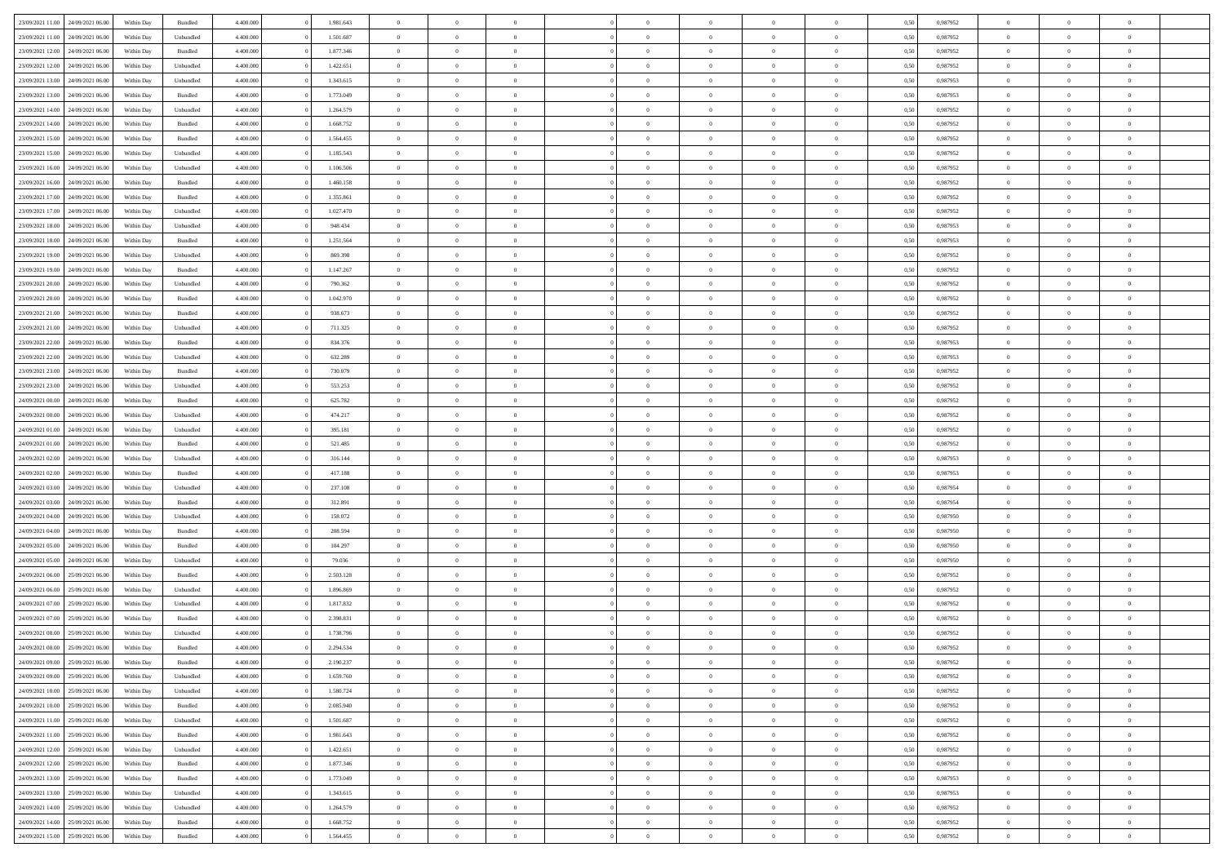| 23/09/2021 11:00                  | 24/09/2021 06:00 | Within Day | Bundled            | 4.400.000 | 1.981.643 | $\overline{0}$ | $\Omega$       |                | $\Omega$       | $\Omega$       | $\theta$       | $\theta$       | 0,50 | 0,987952 | $\theta$       | $\theta$       | $\theta$       |  |
|-----------------------------------|------------------|------------|--------------------|-----------|-----------|----------------|----------------|----------------|----------------|----------------|----------------|----------------|------|----------|----------------|----------------|----------------|--|
|                                   |                  |            |                    |           |           |                |                |                |                |                |                |                |      |          |                |                |                |  |
| 23/09/2021 11:00                  | 24/09/2021 06.00 | Within Day | Unbundled          | 4.400.000 | 1.501.687 | $\overline{0}$ | $\theta$       | $\overline{0}$ | $\overline{0}$ | $\bf{0}$       | $\overline{0}$ | $\bf{0}$       | 0,50 | 0,987952 | $\theta$       | $\overline{0}$ | $\overline{0}$ |  |
| 23/09/2021 12:00                  | 24/09/2021 06:00 | Within Day | Bundled            | 4.400.000 | 1.877.346 | $\overline{0}$ | $\bf{0}$       | $\overline{0}$ | $\bf{0}$       | $\bf{0}$       | $\bf{0}$       | $\mathbf{0}$   | 0,50 | 0,987952 | $\overline{0}$ | $\overline{0}$ | $\bf{0}$       |  |
| 23/09/2021 12:00                  | 24/09/2021 06:00 | Within Day | Unbundled          | 4.400.000 | 1.422.651 | $\overline{0}$ | $\overline{0}$ | $\overline{0}$ | $\overline{0}$ | $\bf{0}$       | $\overline{0}$ | $\overline{0}$ | 0.50 | 0,987952 | $\theta$       | $\theta$       | $\overline{0}$ |  |
| 23/09/2021 13:00                  | 24/09/2021 06.00 | Within Day | Unbundled          | 4.400.000 | 1.343.615 | $\overline{0}$ | $\theta$       | $\overline{0}$ | $\overline{0}$ | $\bf{0}$       | $\overline{0}$ | $\bf{0}$       | 0,50 | 0,987953 | $\theta$       | $\overline{0}$ | $\overline{0}$ |  |
| 23/09/2021 13:00                  | 24/09/2021 06:00 | Within Day | Bundled            | 4.400.000 | 1.773.049 | $\overline{0}$ | $\overline{0}$ | $\overline{0}$ | $\bf{0}$       | $\overline{0}$ | $\overline{0}$ | $\mathbf{0}$   | 0,50 | 0,987953 | $\bf{0}$       | $\overline{0}$ | $\bf{0}$       |  |
|                                   |                  |            |                    |           |           |                |                |                |                | $\overline{0}$ |                |                |      |          | $\theta$       | $\overline{0}$ | $\overline{0}$ |  |
| 23/09/2021 14:00                  | 24/09/2021 06.00 | Within Dav | Unbundled          | 4.400.000 | 1.264.579 | $\overline{0}$ | $\overline{0}$ | $\overline{0}$ | $\overline{0}$ |                | $\overline{0}$ | $\overline{0}$ | 0.50 | 0,987952 |                |                |                |  |
| 23/09/2021 14:00                  | 24/09/2021 06.00 | Within Day | Bundled            | 4.400.000 | 1.668.752 | $\overline{0}$ | $\theta$       | $\overline{0}$ | $\overline{0}$ | $\bf{0}$       | $\overline{0}$ | $\bf{0}$       | 0,50 | 0,987952 | $\theta$       | $\theta$       | $\overline{0}$ |  |
| 23/09/2021 15:00                  | 24/09/2021 06:00 | Within Day | Bundled            | 4.400.000 | 1.564.455 | $\overline{0}$ | $\overline{0}$ | $\overline{0}$ | $\bf{0}$       | $\bf{0}$       | $\bf{0}$       | $\bf{0}$       | 0,50 | 0,987952 | $\,0\,$        | $\overline{0}$ | $\overline{0}$ |  |
| 23/09/2021 15:00                  | 24/09/2021 06:00 | Within Dav | Unbundled          | 4.400.000 | 1.185.543 | $\overline{0}$ | $\overline{0}$ | $\overline{0}$ | $\overline{0}$ | $\overline{0}$ | $\overline{0}$ | $\overline{0}$ | 0.50 | 0,987952 | $\theta$       | $\overline{0}$ | $\overline{0}$ |  |
| 23/09/2021 16:00                  | 24/09/2021 06.00 | Within Day | Unbundled          | 4.400.000 | 1.106.506 | $\overline{0}$ | $\theta$       | $\overline{0}$ | $\overline{0}$ | $\bf{0}$       | $\overline{0}$ | $\bf{0}$       | 0,50 | 0,987952 | $\,$ 0 $\,$    | $\overline{0}$ | $\overline{0}$ |  |
| 23/09/2021 16:00                  | 24/09/2021 06:00 | Within Day | Bundled            | 4.400.000 | 1.460.158 | $\overline{0}$ | $\bf{0}$       | $\overline{0}$ | $\bf{0}$       | $\bf{0}$       | $\bf{0}$       | $\mathbf{0}$   | 0,50 | 0,987952 | $\bf{0}$       | $\overline{0}$ | $\bf{0}$       |  |
| 23/09/2021 17:00                  | 24/09/2021 06:00 | Within Day | Bundled            | 4.400.000 | 1.355.861 | $\overline{0}$ | $\overline{0}$ | $\overline{0}$ | $\overline{0}$ | $\bf{0}$       | $\overline{0}$ | $\overline{0}$ | 0.50 | 0,987952 | $\theta$       | $\theta$       | $\overline{0}$ |  |
|                                   |                  |            |                    |           |           | $\overline{0}$ | $\theta$       | $\overline{0}$ | $\overline{0}$ | $\bf{0}$       | $\overline{0}$ |                |      |          | $\theta$       | $\overline{0}$ | $\overline{0}$ |  |
| 23/09/2021 17:00                  | 24/09/2021 06.00 | Within Day | Unbundled          | 4.400.000 | 1.027.470 |                |                |                |                |                |                | $\bf{0}$       | 0,50 | 0,987952 |                |                |                |  |
| 23/09/2021 18:00                  | 24/09/2021 06:00 | Within Day | Unbundled          | 4.400.000 | 948.434   | $\overline{0}$ | $\overline{0}$ | $\overline{0}$ | $\bf{0}$       | $\overline{0}$ | $\overline{0}$ | $\mathbf{0}$   | 0,50 | 0,987953 | $\bf{0}$       | $\overline{0}$ | $\bf{0}$       |  |
| 23/09/2021 18:00                  | 24/09/2021 06:00 | Within Dav | Bundled            | 4.400.000 | 1.251.564 | $\overline{0}$ | $\overline{0}$ | $\overline{0}$ | $\overline{0}$ | $\overline{0}$ | $\overline{0}$ | $\overline{0}$ | 0.50 | 0,987953 | $\theta$       | $\overline{0}$ | $\overline{0}$ |  |
| 23/09/2021 19:00                  | 24/09/2021 06.00 | Within Day | Unbundled          | 4.400.000 | 869.398   | $\overline{0}$ | $\theta$       | $\overline{0}$ | $\overline{0}$ | $\bf{0}$       | $\overline{0}$ | $\bf{0}$       | 0,50 | 0,987952 | $\theta$       | $\theta$       | $\overline{0}$ |  |
| 23/09/2021 19:00                  | 24/09/2021 06:00 | Within Day | Bundled            | 4.400.000 | 1.147.267 | $\overline{0}$ | $\overline{0}$ | $\overline{0}$ | $\bf{0}$       | $\bf{0}$       | $\bf{0}$       | $\mathbf{0}$   | 0,50 | 0,987952 | $\,0\,$        | $\overline{0}$ | $\bf{0}$       |  |
| 23/09/2021 20:00                  | 24/09/2021 06:00 | Within Day | Unbundled          | 4.400.000 | 790.362   | $\overline{0}$ | $\overline{0}$ | $\overline{0}$ | $\overline{0}$ | $\overline{0}$ | $\overline{0}$ | $\overline{0}$ | 0.50 | 0,987952 | $\theta$       | $\overline{0}$ | $\overline{0}$ |  |
| 23/09/2021 20:00                  | 24/09/2021 06.00 | Within Day | Bundled            | 4.400.000 | 1.042.970 | $\overline{0}$ | $\theta$       | $\overline{0}$ | $\overline{0}$ | $\bf{0}$       | $\overline{0}$ | $\bf{0}$       | 0,50 | 0,987952 | $\,$ 0 $\,$    | $\overline{0}$ | $\overline{0}$ |  |
|                                   |                  |            |                    |           |           |                |                |                |                |                |                |                |      |          |                |                |                |  |
| 23/09/2021 21:00                  | 24/09/2021 06:00 | Within Day | Bundled            | 4.400.000 | 938.673   | $\overline{0}$ | $\overline{0}$ | $\overline{0}$ | $\bf{0}$       | $\bf{0}$       | $\bf{0}$       | $\mathbf{0}$   | 0,50 | 0,987952 | $\overline{0}$ | $\overline{0}$ | $\bf{0}$       |  |
| 23/09/2021 21:00                  | 24/09/2021 06:00 | Within Day | Unbundled          | 4.400.000 | 711.325   | $\overline{0}$ | $\overline{0}$ | $\overline{0}$ | $\overline{0}$ | $\overline{0}$ | $\overline{0}$ | $\overline{0}$ | 0.50 | 0,987952 | $\theta$       | $\overline{0}$ | $\overline{0}$ |  |
| 23/09/2021 22.00                  | 24/09/2021 06.00 | Within Day | Bundled            | 4.400.000 | 834.376   | $\overline{0}$ | $\theta$       | $\overline{0}$ | $\overline{0}$ | $\bf{0}$       | $\overline{0}$ | $\bf{0}$       | 0,50 | 0,987953 | $\,$ 0 $\,$    | $\overline{0}$ | $\overline{0}$ |  |
| 23/09/2021 22:00                  | 24/09/2021 06:00 | Within Day | Unbundled          | 4.400.000 | 632.289   | $\overline{0}$ | $\overline{0}$ | $\overline{0}$ | $\bf{0}$       | $\overline{0}$ | $\overline{0}$ | $\mathbf{0}$   | 0,50 | 0,987953 | $\overline{0}$ | $\overline{0}$ | $\bf{0}$       |  |
| 23/09/2021 23:00                  | 24/09/2021 06:00 | Within Dav | Bundled            | 4.400.000 | 730.079   | $\overline{0}$ | $\overline{0}$ | $\overline{0}$ | $\overline{0}$ | $\overline{0}$ | $\overline{0}$ | $\overline{0}$ | 0.50 | 0,987952 | $\theta$       | $\overline{0}$ | $\overline{0}$ |  |
| 23/09/2021 23:00                  | 24/09/2021 06.00 | Within Day | Unbundled          | 4.400.000 | 553.253   | $\overline{0}$ | $\theta$       | $\overline{0}$ | $\overline{0}$ | $\bf{0}$       | $\overline{0}$ | $\bf{0}$       | 0,50 | 0,987952 | $\theta$       | $\theta$       | $\overline{0}$ |  |
| 24/09/2021 00:00                  | 24/09/2021 06:00 | Within Day | Bundled            | 4.400.000 | 625.782   | $\overline{0}$ | $\overline{0}$ | $\overline{0}$ | $\bf{0}$       | $\bf{0}$       | $\bf{0}$       | $\bf{0}$       | 0,50 | 0,987952 | $\,0\,$        | $\overline{0}$ | $\overline{0}$ |  |
| 24/09/2021 00:00                  | 24/09/2021 06:00 |            | Unbundled          | 4.400.000 | 474.217   | $\overline{0}$ | $\overline{0}$ | $\overline{0}$ | $\overline{0}$ | $\overline{0}$ | $\overline{0}$ | $\overline{0}$ | 0.50 | 0,987952 | $\theta$       | $\overline{0}$ | $\overline{0}$ |  |
|                                   |                  | Within Day |                    |           |           |                |                |                |                |                |                |                |      |          |                |                |                |  |
| 24/09/2021 01:00                  | 24/09/2021 06.00 | Within Day | Unbundled          | 4.400.000 | 395.181   | $\overline{0}$ | $\theta$       | $\overline{0}$ | $\overline{0}$ | $\bf{0}$       | $\overline{0}$ | $\bf{0}$       | 0,50 | 0,987952 | $\,$ 0 $\,$    | $\overline{0}$ | $\overline{0}$ |  |
| 24/09/2021 01:00                  | 24/09/2021 06:00 | Within Day | Bundled            | 4.400.000 | 521.485   | $\overline{0}$ | $\overline{0}$ | $\overline{0}$ | $\bf{0}$       | $\bf{0}$       | $\bf{0}$       | $\bf{0}$       | 0,50 | 0,987952 | $\overline{0}$ | $\overline{0}$ | $\bf{0}$       |  |
| 24/09/2021 02:00                  | 24/09/2021 06.00 | Within Day | Unbundled          | 4.400,000 | 316.144   | $\overline{0}$ | $\Omega$       | $\Omega$       | $\Omega$       | $\Omega$       | $\overline{0}$ | $\overline{0}$ | 0,50 | 0,987953 | $\,0\,$        | $\theta$       | $\theta$       |  |
| 24/09/2021 02:00                  | 24/09/2021 06.00 | Within Day | Bundled            | 4.400.000 | 417.188   | $\overline{0}$ | $\theta$       | $\overline{0}$ | $\overline{0}$ | $\bf{0}$       | $\overline{0}$ | $\bf{0}$       | 0,50 | 0,987953 | $\theta$       | $\overline{0}$ | $\overline{0}$ |  |
| 24/09/2021 03:00                  | 24/09/2021 06:00 | Within Day | Unbundled          | 4.400.000 | 237.108   | $\overline{0}$ | $\overline{0}$ | $\overline{0}$ | $\bf{0}$       | $\overline{0}$ | $\overline{0}$ | $\mathbf{0}$   | 0,50 | 0,987954 | $\overline{0}$ | $\overline{0}$ | $\bf{0}$       |  |
| 24/09/2021 03:00                  | 24/09/2021 06:00 | Within Day | Bundled            | 4.400,000 | 312.891   | $\overline{0}$ | $\Omega$       | $\Omega$       | $\Omega$       | $\overline{0}$ | $\overline{0}$ | $\overline{0}$ | 0.50 | 0,987954 | $\,0\,$        | $\theta$       | $\theta$       |  |
| 24/09/2021 04:00                  | 24/09/2021 06.00 | Within Day | Unbundled          | 4.400.000 | 158.072   | $\overline{0}$ | $\theta$       | $\overline{0}$ | $\overline{0}$ | $\bf{0}$       | $\overline{0}$ | $\bf{0}$       | 0,50 | 0,987950 | $\theta$       | $\overline{0}$ | $\overline{0}$ |  |
|                                   |                  |            |                    |           |           |                |                |                |                |                |                |                |      |          |                |                |                |  |
| 24/09/2021 04:00                  | 24/09/2021 06:00 | Within Day | Bundled            | 4.400.000 | 208.594   | $\overline{0}$ | $\overline{0}$ | $\overline{0}$ | $\bf{0}$       | $\bf{0}$       | $\overline{0}$ | $\bf{0}$       | 0,50 | 0,987950 | $\bf{0}$       | $\overline{0}$ | $\bf{0}$       |  |
| 24/09/2021 05:00                  | 24/09/2021 06:00 | Within Day | Bundled            | 4.400,000 | 104.297   | $\overline{0}$ | $\Omega$       | $\Omega$       | $\Omega$       | $\overline{0}$ | $\overline{0}$ | $\overline{0}$ | 0.50 | 0.987950 | $\,$ 0 $\,$    | $\theta$       | $\theta$       |  |
| 24/09/2021 05:00                  | 24/09/2021 06.00 | Within Day | Unbundled          | 4.400.000 | 79.036    | $\overline{0}$ | $\overline{0}$ | $\overline{0}$ | $\overline{0}$ | $\bf{0}$       | $\overline{0}$ | $\bf{0}$       | 0,50 | 0,987950 | $\,$ 0 $\,$    | $\overline{0}$ | $\overline{0}$ |  |
| 24/09/2021 06:00                  | 25/09/2021 06:00 | Within Day | Bundled            | 4.400.000 | 2.503.128 | $\overline{0}$ | $\overline{0}$ | $\overline{0}$ | $\overline{0}$ | $\bf{0}$       | $\overline{0}$ | $\mathbf{0}$   | 0,50 | 0,987952 | $\overline{0}$ | $\overline{0}$ | $\bf{0}$       |  |
| 24/09/2021 06:00                  | 25/09/2021 06:00 | Within Day | Unbundled          | 4.400,000 | 1.896.869 | $\overline{0}$ | $\Omega$       | $\overline{0}$ | $\Omega$       | $\overline{0}$ | $\overline{0}$ | $\overline{0}$ | 0.50 | 0,987952 | $\,0\,$        | $\theta$       | $\theta$       |  |
| 24/09/2021 07:00                  | 25/09/2021 06:00 | Within Day | Unbundled          | 4.400.000 | 1.817.832 | $\overline{0}$ | $\overline{0}$ | $\overline{0}$ | $\overline{0}$ | $\,$ 0         | $\overline{0}$ | $\bf{0}$       | 0,50 | 0,987952 | $\,$ 0 $\,$    | $\overline{0}$ | $\overline{0}$ |  |
| 24/09/2021 07:00                  | 25/09/2021 06:00 | Within Day | Bundled            | 4.400.000 | 2.398.831 | $\overline{0}$ | $\overline{0}$ | $\overline{0}$ | $\overline{0}$ | $\bf{0}$       | $\overline{0}$ | $\mathbf{0}$   | 0,50 | 0,987952 | $\overline{0}$ | $\overline{0}$ | $\bf{0}$       |  |
| 24/09/2021 08:00                  | 25/09/2021 06:00 |            | Unbundled          | 4.400,000 | 1.738.796 | $\overline{0}$ | $\Omega$       | $\Omega$       | $\Omega$       | $\Omega$       | $\Omega$       | $\overline{0}$ | 0.50 | 0.987952 | $\theta$       | $\theta$       | $\theta$       |  |
|                                   |                  | Within Day |                    |           |           |                |                |                |                |                |                |                |      |          |                |                |                |  |
| 24/09/2021 08:00                  | 25/09/2021 06:00 | Within Day | Bundled            | 4.400.000 | 2.294.534 | $\overline{0}$ | $\overline{0}$ | $\overline{0}$ | $\bf{0}$       | $\,$ 0         | $\overline{0}$ | $\bf{0}$       | 0,50 | 0,987952 | $\,0\,$        | $\,$ 0 $\,$    | $\overline{0}$ |  |
| 24/09/2021 09:00                  | 25/09/2021 06:00 | Within Day | $\mathbf B$ undled | 4.400.000 | 2.190.237 | $\overline{0}$ | $\bf{0}$       |                |                | $\bf{0}$       |                |                | 0,50 | 0,987952 | $\bf{0}$       | $\overline{0}$ |                |  |
| 24/09/2021 09:00                  | 25/09/2021 06:00 | Within Day | Unbundled          | 4.400.000 | 1.659.760 | $\overline{0}$ | $\overline{0}$ | $\overline{0}$ | $\Omega$       | $\overline{0}$ | $\overline{0}$ | $\overline{0}$ | 0.50 | 0.987952 | $\theta$       | $\theta$       | $\theta$       |  |
| 24/09/2021 10:00                  | 25/09/2021 06.00 | Within Day | Unbundled          | 4.400.000 | 1.580.724 | $\overline{0}$ | $\,$ 0         | $\overline{0}$ | $\overline{0}$ | $\,$ 0 $\,$    | $\overline{0}$ | $\mathbf{0}$   | 0,50 | 0,987952 | $\,$ 0 $\,$    | $\,$ 0 $\,$    | $\,$ 0         |  |
| 24/09/2021 10:00                  | 25/09/2021 06:00 | Within Day | Bundled            | 4.400.000 | 2.085.940 | $\overline{0}$ | $\overline{0}$ | $\overline{0}$ | $\overline{0}$ | $\overline{0}$ | $\overline{0}$ | $\mathbf{0}$   | 0,50 | 0,987952 | $\overline{0}$ | $\bf{0}$       | $\bf{0}$       |  |
| 24/09/2021 11:00                  | 25/09/2021 06:00 | Within Day | Unbundled          | 4.400,000 | 1.501.687 | $\overline{0}$ | $\overline{0}$ | $\overline{0}$ | $\Omega$       | $\overline{0}$ | $\overline{0}$ | $\overline{0}$ | 0,50 | 0,987952 | $\overline{0}$ | $\theta$       | $\overline{0}$ |  |
| 24/09/2021 11:00                  | 25/09/2021 06.00 | Within Day | Bundled            | 4.400.000 | 1.981.643 | $\overline{0}$ | $\,$ 0         | $\overline{0}$ | $\overline{0}$ | $\,$ 0 $\,$    | $\overline{0}$ | $\mathbf{0}$   | 0,50 | 0,987952 | $\,$ 0 $\,$    | $\overline{0}$ | $\overline{0}$ |  |
|                                   |                  |            |                    |           |           |                |                |                |                |                |                |                |      |          |                |                |                |  |
| 24/09/2021 12:00                  | 25/09/2021 06:00 | Within Day | Unbundled          | 4.400.000 | 1.422.651 | $\overline{0}$ | $\overline{0}$ | $\overline{0}$ | $\overline{0}$ | $\overline{0}$ | $\overline{0}$ | $\mathbf{0}$   | 0,50 | 0,987952 | $\overline{0}$ | $\overline{0}$ | $\bf{0}$       |  |
| 24/09/2021 12:00                  | 25/09/2021 06:00 | Within Day | Bundled            | 4.400,000 | 1.877.346 | $\overline{0}$ | $\overline{0}$ | $\overline{0}$ | $\Omega$       | $\overline{0}$ | $\overline{0}$ | $\bf{0}$       | 0.50 | 0,987952 | $\overline{0}$ | $\theta$       | $\overline{0}$ |  |
| 24/09/2021 13:00                  | 25/09/2021 06:00 | Within Day | Bundled            | 4.400.000 | 1.773.049 | $\overline{0}$ | $\,$ 0         | $\overline{0}$ | $\overline{0}$ | $\bf{0}$       | $\overline{0}$ | $\bf{0}$       | 0,50 | 0,987953 | $\,$ 0 $\,$    | $\overline{0}$ | $\overline{0}$ |  |
| 24/09/2021 13:00                  | 25/09/2021 06:00 | Within Day | Unbundled          | 4.400.000 | 1.343.615 | $\overline{0}$ | $\bf{0}$       | $\overline{0}$ | $\overline{0}$ | $\overline{0}$ | $\overline{0}$ | $\mathbf{0}$   | 0,50 | 0,987953 | $\overline{0}$ | $\overline{0}$ | $\bf{0}$       |  |
| 24/09/2021 14:00                  | 25/09/2021 06:00 | Within Day | Unbundled          | 4.400,000 | 1.264.579 | $\overline{0}$ | $\overline{0}$ | $\overline{0}$ | $\Omega$       | $\overline{0}$ | $\overline{0}$ | $\bf{0}$       | 0.50 | 0,987952 | $\overline{0}$ | $\overline{0}$ | $\overline{0}$ |  |
| 24/09/2021 14:00                  | 25/09/2021 06.00 | Within Day | Bundled            | 4.400.000 | 1.668.752 | $\overline{0}$ | $\bf{0}$       | $\overline{0}$ | $\overline{0}$ | $\bf{0}$       | $\bf{0}$       | $\mathbf{0}$   | 0,50 | 0,987952 | $\,$ 0 $\,$    | $\,$ 0 $\,$    | $\bf{0}$       |  |
| 24/09/2021 15:00 25/09/2021 06:00 |                  | Within Day | Bundled            | 4.400.000 | 1.564.455 | $\overline{0}$ | $\overline{0}$ | $\overline{0}$ | $\overline{0}$ | $\overline{0}$ | $\bf{0}$       | $\mathbf{0}$   | 0,50 | 0,987952 | $\overline{0}$ | $\bf{0}$       | $\bf{0}$       |  |
|                                   |                  |            |                    |           |           |                |                |                |                |                |                |                |      |          |                |                |                |  |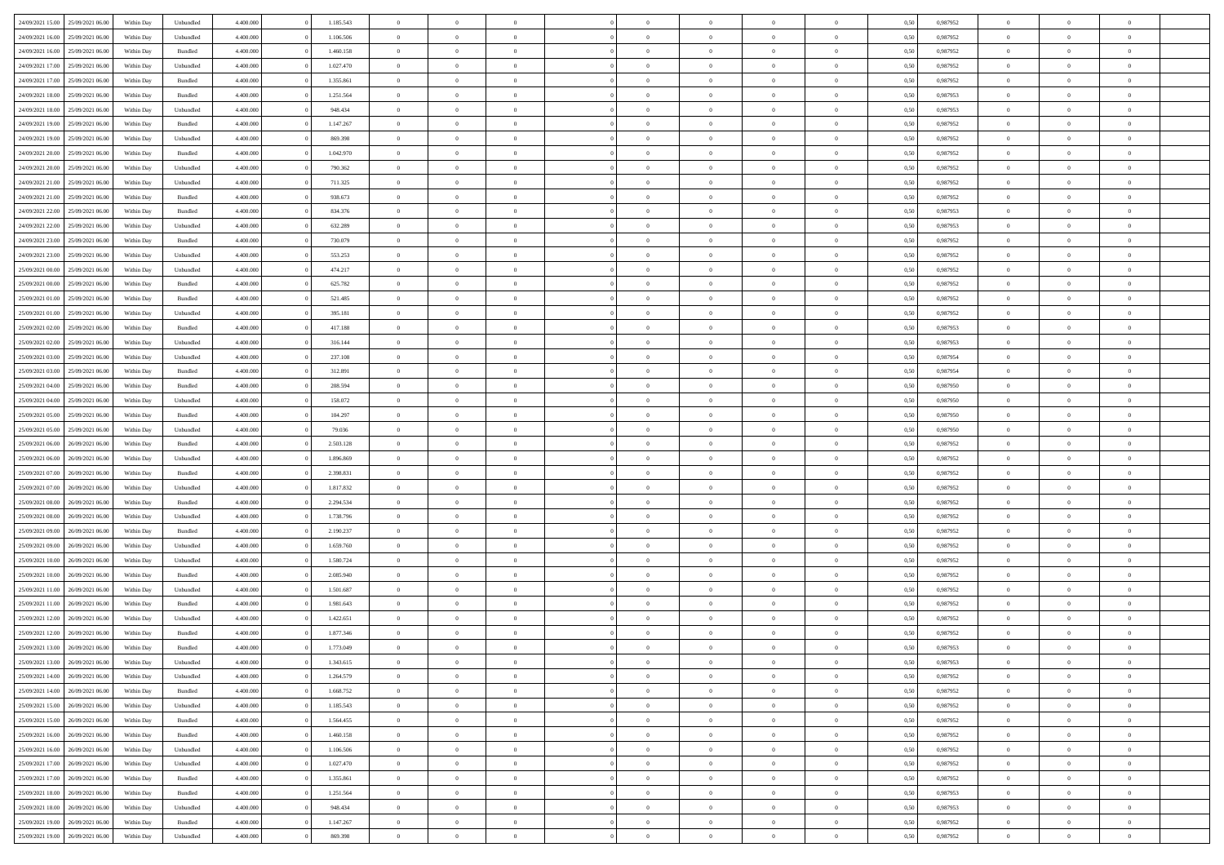|                                   |                  |            |           |           |           | $\overline{0}$ |                |                |                | $\Omega$       | $\theta$       | $\theta$       |      |          | $\theta$       | $\overline{0}$ | $\theta$       |  |
|-----------------------------------|------------------|------------|-----------|-----------|-----------|----------------|----------------|----------------|----------------|----------------|----------------|----------------|------|----------|----------------|----------------|----------------|--|
| 24/09/2021 15:00                  | 25/09/2021 06:00 | Within Day | Unbundled | 4.400.000 | 1.185.543 |                | $\theta$       |                | $\Omega$       |                |                |                | 0,50 | 0,987952 |                |                |                |  |
| 24/09/2021 16:00                  | 25/09/2021 06:00 | Within Day | Unbundled | 4.400.000 | 1.106.506 | $\overline{0}$ | $\theta$       | $\overline{0}$ | $\overline{0}$ | $\bf{0}$       | $\overline{0}$ | $\bf{0}$       | 0,50 | 0,987952 | $\theta$       | $\overline{0}$ | $\overline{0}$ |  |
| 24/09/2021 16:00                  | 25/09/2021 06:00 | Within Day | Bundled   | 4.400.000 | 1.460.158 | $\overline{0}$ | $\bf{0}$       | $\overline{0}$ | $\bf{0}$       | $\bf{0}$       | $\bf{0}$       | $\mathbf{0}$   | 0,50 | 0,987952 | $\overline{0}$ | $\overline{0}$ | $\overline{0}$ |  |
| 24/09/2021 17:00                  | 25/09/2021 06:00 | Within Day | Unbundled | 4.400.000 | 1.027.470 | $\overline{0}$ | $\overline{0}$ | $\overline{0}$ | $\overline{0}$ | $\bf{0}$       | $\overline{0}$ | $\overline{0}$ | 0.50 | 0,987952 | $\theta$       | $\theta$       | $\overline{0}$ |  |
| 24/09/2021 17:00                  | 25/09/2021 06:00 | Within Day | Bundled   | 4.400.000 | 1.355.861 | $\overline{0}$ | $\theta$       | $\overline{0}$ | $\overline{0}$ | $\bf{0}$       | $\overline{0}$ | $\bf{0}$       | 0,50 | 0,987952 | $\theta$       | $\overline{0}$ | $\overline{0}$ |  |
|                                   |                  |            |           |           |           |                |                |                |                |                |                |                |      |          |                |                |                |  |
| 24/09/2021 18:00                  | 25/09/2021 06:00 | Within Day | Bundled   | 4.400.000 | 1.251.564 | $\overline{0}$ | $\overline{0}$ | $\overline{0}$ | $\bf{0}$       | $\overline{0}$ | $\overline{0}$ | $\mathbf{0}$   | 0,50 | 0,987953 | $\overline{0}$ | $\overline{0}$ | $\bf{0}$       |  |
| 24/09/2021 18:00                  | 25/09/2021 06:00 | Within Dav | Unbundled | 4.400.000 | 948.434   | $\overline{0}$ | $\overline{0}$ | $\overline{0}$ | $\overline{0}$ | $\overline{0}$ | $\overline{0}$ | $\overline{0}$ | 0.50 | 0,987953 | $\theta$       | $\overline{0}$ | $\overline{0}$ |  |
| 24/09/2021 19:00                  | 25/09/2021 06:00 | Within Day | Bundled   | 4.400.000 | 1.147.267 | $\overline{0}$ | $\theta$       | $\overline{0}$ | $\overline{0}$ | $\bf{0}$       | $\overline{0}$ | $\bf{0}$       | 0,50 | 0,987952 | $\theta$       | $\theta$       | $\overline{0}$ |  |
| 24/09/2021 19:00                  | 25/09/2021 06:00 | Within Day | Unbundled | 4.400.000 | 869.398   | $\overline{0}$ | $\overline{0}$ | $\overline{0}$ | $\bf{0}$       | $\bf{0}$       | $\bf{0}$       | $\bf{0}$       | 0,50 | 0,987952 | $\,0\,$        | $\overline{0}$ | $\overline{0}$ |  |
| 24/09/2021 20:00                  | 25/09/2021 06:00 | Within Dav | Bundled   | 4.400.000 | 1.042.970 | $\overline{0}$ | $\overline{0}$ | $\overline{0}$ | $\overline{0}$ | $\overline{0}$ | $\overline{0}$ | $\overline{0}$ | 0.50 | 0,987952 | $\theta$       | $\overline{0}$ | $\overline{0}$ |  |
|                                   |                  |            |           |           |           | $\overline{0}$ | $\theta$       | $\overline{0}$ | $\overline{0}$ | $\bf{0}$       | $\overline{0}$ |                |      |          | $\,$ 0 $\,$    | $\overline{0}$ | $\overline{0}$ |  |
| 24/09/2021 20:00                  | 25/09/2021 06:00 | Within Day | Unbundled | 4.400.000 | 790.362   |                |                |                |                |                |                | $\bf{0}$       | 0,50 | 0,987952 |                |                |                |  |
| 24/09/2021 21:00                  | 25/09/2021 06:00 | Within Day | Unbundled | 4.400.000 | 711.325   | $\overline{0}$ | $\overline{0}$ | $\overline{0}$ | $\bf{0}$       | $\bf{0}$       | $\bf{0}$       | $\mathbf{0}$   | 0,50 | 0,987952 | $\overline{0}$ | $\overline{0}$ | $\bf{0}$       |  |
| 24/09/2021 21:00                  | 25/09/2021 06:00 | Within Day | Bundled   | 4.400.000 | 938.673   | $\overline{0}$ | $\overline{0}$ | $\overline{0}$ | $\overline{0}$ | $\bf{0}$       | $\overline{0}$ | $\overline{0}$ | 0.50 | 0,987952 | $\theta$       | $\theta$       | $\overline{0}$ |  |
| 24/09/2021 22.00                  | 25/09/2021 06:00 | Within Day | Bundled   | 4.400.000 | 834.376   | $\overline{0}$ | $\theta$       | $\overline{0}$ | $\overline{0}$ | $\bf{0}$       | $\overline{0}$ | $\bf{0}$       | 0,50 | 0,987953 | $\theta$       | $\overline{0}$ | $\overline{0}$ |  |
| 24/09/2021 22.00                  | 25/09/2021 06:00 | Within Day | Unbundled | 4.400.000 | 632.289   | $\overline{0}$ | $\overline{0}$ | $\overline{0}$ | $\bf{0}$       | $\overline{0}$ | $\overline{0}$ | $\mathbf{0}$   | 0,50 | 0,987953 | $\overline{0}$ | $\overline{0}$ | $\bf{0}$       |  |
| 24/09/2021 23:00                  | 25/09/2021 06:00 | Within Dav | Bundled   | 4.400.000 | 730.079   | $\overline{0}$ | $\overline{0}$ | $\overline{0}$ | $\overline{0}$ | $\overline{0}$ | $\overline{0}$ | $\overline{0}$ | 0.50 | 0,987952 | $\theta$       | $\overline{0}$ | $\overline{0}$ |  |
|                                   |                  |            |           |           |           |                |                |                |                |                |                |                |      |          |                |                |                |  |
| 24/09/2021 23:00                  | 25/09/2021 06:00 | Within Day | Unbundled | 4.400.000 | 553.253   | $\overline{0}$ | $\theta$       | $\overline{0}$ | $\overline{0}$ | $\bf{0}$       | $\overline{0}$ | $\bf{0}$       | 0,50 | 0,987952 | $\theta$       | $\theta$       | $\overline{0}$ |  |
| 25/09/2021 00:00                  | 25/09/2021 06:00 | Within Day | Unbundled | 4.400.000 | 474.217   | $\overline{0}$ | $\overline{0}$ | $\overline{0}$ | $\overline{0}$ | $\bf{0}$       | $\overline{0}$ | $\mathbf{0}$   | 0,50 | 0,987952 | $\,0\,$        | $\overline{0}$ | $\bf{0}$       |  |
| 25/09/2021 00:00                  | 25/09/2021 06:00 | Within Dav | Bundled   | 4.400.000 | 625.782   | $\overline{0}$ | $\overline{0}$ | $\overline{0}$ | $\overline{0}$ | $\overline{0}$ | $\overline{0}$ | $\overline{0}$ | 0.50 | 0,987952 | $\theta$       | $\overline{0}$ | $\overline{0}$ |  |
| 25/09/2021 01:00                  | 25/09/2021 06:00 | Within Day | Bundled   | 4.400.000 | 521.485   | $\overline{0}$ | $\theta$       | $\overline{0}$ | $\overline{0}$ | $\bf{0}$       | $\overline{0}$ | $\bf{0}$       | 0,50 | 0,987952 | $\,$ 0 $\,$    | $\overline{0}$ | $\overline{0}$ |  |
| 25/09/2021 01:00                  | 25/09/2021 06:00 | Within Day | Unbundled | 4.400.000 | 395.181   | $\overline{0}$ | $\overline{0}$ | $\overline{0}$ | $\overline{0}$ | $\bf{0}$       | $\overline{0}$ | $\mathbf{0}$   | 0,50 | 0,987952 | $\bf{0}$       | $\overline{0}$ | $\bf{0}$       |  |
| 25/09/2021 02:00                  | 25/09/2021 06:00 | Within Day | Bundled   | 4.400.000 | 417.188   | $\overline{0}$ | $\overline{0}$ | $\overline{0}$ | $\overline{0}$ | $\bf{0}$       | $\overline{0}$ | $\overline{0}$ | 0.50 | 0,987953 | $\theta$       | $\overline{0}$ | $\overline{0}$ |  |
| 25/09/2021 02:00                  | 25/09/2021 06:00 | Within Day | Unbundled | 4.400.000 | 316.144   | $\overline{0}$ | $\theta$       | $\overline{0}$ | $\overline{0}$ | $\bf{0}$       | $\overline{0}$ | $\bf{0}$       | 0,50 | 0,987953 | $\,$ 0 $\,$    | $\overline{0}$ | $\overline{0}$ |  |
|                                   |                  |            |           |           |           |                |                |                |                |                |                |                |      |          |                |                |                |  |
| 25/09/2021 03:00                  | 25/09/2021 06:00 | Within Day | Unbundled | 4.400.000 | 237.108   | $\overline{0}$ | $\overline{0}$ | $\overline{0}$ | $\overline{0}$ | $\overline{0}$ | $\overline{0}$ | $\mathbf{0}$   | 0,50 | 0,987954 | $\bf{0}$       | $\overline{0}$ | $\bf{0}$       |  |
| 25/09/2021 03:00                  | 25/09/2021 06:00 | Within Dav | Bundled   | 4.400.000 | 312.891   | $\overline{0}$ | $\overline{0}$ | $\overline{0}$ | $\overline{0}$ | $\overline{0}$ | $\overline{0}$ | $\overline{0}$ | 0.50 | 0,987954 | $\theta$       | $\overline{0}$ | $\overline{0}$ |  |
| 25/09/2021 04:00                  | 25/09/2021 06:00 | Within Day | Bundled   | 4.400.000 | 208.594   | $\overline{0}$ | $\theta$       | $\overline{0}$ | $\overline{0}$ | $\bf{0}$       | $\overline{0}$ | $\bf{0}$       | 0,50 | 0,987950 | $\theta$       | $\theta$       | $\overline{0}$ |  |
| 25/09/2021 04:00                  | 25/09/2021 06:00 | Within Day | Unbundled | 4.400.000 | 158.072   | $\overline{0}$ | $\overline{0}$ | $\overline{0}$ | $\overline{0}$ | $\bf{0}$       | $\overline{0}$ | $\bf{0}$       | 0,50 | 0,987950 | $\,0\,$        | $\overline{0}$ | $\overline{0}$ |  |
| 25/09/2021 05:00                  | 25/09/2021 06:00 | Within Day | Bundled   | 4.400.000 | 104.297   | $\overline{0}$ | $\overline{0}$ | $\overline{0}$ | $\overline{0}$ | $\overline{0}$ | $\overline{0}$ | $\overline{0}$ | 0.50 | 0,987950 | $\theta$       | $\overline{0}$ | $\overline{0}$ |  |
| 25/09/2021 05:00                  | 25/09/2021 06:00 | Within Day | Unbundled | 4.400.000 | 79.036    | $\overline{0}$ | $\theta$       | $\overline{0}$ | $\overline{0}$ | $\bf{0}$       | $\overline{0}$ | $\bf{0}$       | 0,50 | 0,987950 | $\,$ 0 $\,$    | $\overline{0}$ | $\overline{0}$ |  |
|                                   |                  |            |           |           |           |                |                |                |                |                |                |                |      |          |                |                |                |  |
| 25/09/2021 06:00                  | 26/09/2021 06:00 | Within Day | Bundled   | 4.400.000 | 2.503.128 | $\overline{0}$ | $\overline{0}$ | $\overline{0}$ | $\overline{0}$ | $\bf{0}$       | $\overline{0}$ | $\bf{0}$       | 0,50 | 0,987952 | $\bf{0}$       | $\overline{0}$ | $\bf{0}$       |  |
| 25/09/2021 06:00                  | 26/09/2021 06:00 | Within Day | Unbundled | 4.400,000 | 1.896.869 | $\overline{0}$ | $\Omega$       | $\overline{0}$ | $\Omega$       | $\Omega$       | $\overline{0}$ | $\overline{0}$ | 0,50 | 0,987952 | $\,0\,$        | $\theta$       | $\theta$       |  |
| 25/09/2021 07:00                  | 26/09/2021 06:00 | Within Day | Bundled   | 4.400.000 | 2.398.831 | $\overline{0}$ | $\theta$       | $\overline{0}$ | $\overline{0}$ | $\bf{0}$       | $\overline{0}$ | $\bf{0}$       | 0,50 | 0,987952 | $\,$ 0 $\,$    | $\overline{0}$ | $\overline{0}$ |  |
| 25/09/2021 07:00                  | 26/09/2021 06:00 | Within Day | Unbundled | 4.400.000 | 1.817.832 | $\overline{0}$ | $\overline{0}$ | $\overline{0}$ | $\overline{0}$ | $\overline{0}$ | $\overline{0}$ | $\mathbf{0}$   | 0,50 | 0,987952 | $\bf{0}$       | $\overline{0}$ | $\bf{0}$       |  |
| 25/09/2021 08:00                  | 26/09/2021 06:00 | Within Day | Bundled   | 4.400,000 | 2.294.534 | $\overline{0}$ | $\Omega$       | $\Omega$       | $\Omega$       | $\bf{0}$       | $\overline{0}$ | $\overline{0}$ | 0.50 | 0,987952 | $\,0\,$        | $\theta$       | $\theta$       |  |
| 25/09/2021 08:00                  | 26/09/2021 06:00 | Within Day | Unbundled | 4.400.000 | 1.738.796 | $\overline{0}$ | $\theta$       | $\overline{0}$ | $\overline{0}$ | $\bf{0}$       | $\overline{0}$ | $\bf{0}$       | 0,50 | 0,987952 | $\,$ 0 $\,$    | $\overline{0}$ | $\overline{0}$ |  |
| 25/09/2021 09:00                  | 26/09/2021 06:00 | Within Day | Bundled   | 4.400.000 | 2.190.237 | $\overline{0}$ | $\overline{0}$ | $\overline{0}$ | $\overline{0}$ | $\bf{0}$       | $\overline{0}$ | $\bf{0}$       | 0,50 | 0,987952 | $\bf{0}$       | $\overline{0}$ | $\bf{0}$       |  |
|                                   |                  |            |           |           |           |                | $\Omega$       |                |                |                |                |                |      |          |                |                | $\theta$       |  |
| 25/09/2021 09:00                  | 26/09/2021 06:00 | Within Day | Unbundled | 4.400,000 | 1.659.760 | $\overline{0}$ |                | $\overline{0}$ | $\Omega$       | $\overline{0}$ | $\overline{0}$ | $\overline{0}$ | 0.50 | 0.987952 | $\,$ 0 $\,$    | $\theta$       |                |  |
| 25/09/2021 10:00                  | 26/09/2021 06:00 | Within Day | Unbundled | 4.400.000 | 1.580.724 | $\overline{0}$ | $\theta$       | $\overline{0}$ | $\overline{0}$ | $\bf{0}$       | $\overline{0}$ | $\bf{0}$       | 0,50 | 0,987952 | $\,$ 0 $\,$    | $\overline{0}$ | $\overline{0}$ |  |
| 25/09/2021 10:00                  | 26/09/2021 06:00 | Within Day | Bundled   | 4.400.000 | 2.085.940 | $\overline{0}$ | $\bf{0}$       | $\overline{0}$ | $\bf{0}$       | $\bf{0}$       | $\bf{0}$       | $\mathbf{0}$   | 0,50 | 0,987952 | $\bf{0}$       | $\overline{0}$ | $\bf{0}$       |  |
| 25/09/2021 11:00                  | 26/09/2021 06:00 | Within Day | Unbundled | 4.400,000 | 1.501.687 | $\overline{0}$ | $\Omega$       | $\overline{0}$ | $\Omega$       | $\overline{0}$ | $\overline{0}$ | $\overline{0}$ | 0.50 | 0,987952 | $\,0\,$        | $\theta$       | $\theta$       |  |
| 25/09/2021 11:00                  | 26/09/2021 06:00 | Within Day | Bundled   | 4.400.000 | 1.981.643 | $\overline{0}$ | $\overline{0}$ | $\overline{0}$ | $\overline{0}$ | $\,$ 0         | $\overline{0}$ | $\bf{0}$       | 0,50 | 0,987952 | $\,$ 0 $\,$    | $\overline{0}$ | $\overline{0}$ |  |
| 25/09/2021 12:00                  | 26/09/2021 06:00 | Within Day | Unbundled | 4.400.000 | 1.422.651 | $\overline{0}$ | $\overline{0}$ | $\overline{0}$ | $\bf{0}$       | $\bf{0}$       | $\bf{0}$       | $\mathbf{0}$   | 0,50 | 0,987952 | $\bf{0}$       | $\overline{0}$ | $\bf{0}$       |  |
| 25/09/2021 12:00                  | 26/09/2021 06:00 | Within Day | Bundled   | 4.400,000 | 1.877.346 | $\overline{0}$ | $\Omega$       | $\Omega$       | $\Omega$       | $\Omega$       | $\Omega$       | $\overline{0}$ | 0.50 | 0.987952 | $\theta$       | $\theta$       | $\theta$       |  |
| 25/09/2021 13:00                  | 26/09/2021 06:00 | Within Day | Bundled   | 4.400.000 | 1.773.049 | $\overline{0}$ | $\overline{0}$ | $\overline{0}$ | $\bf{0}$       | $\,$ 0         | $\bf{0}$       | $\bf{0}$       | 0,50 | 0,987953 | $\,0\,$        | $\,$ 0 $\,$    | $\overline{0}$ |  |
|                                   |                  |            |           |           |           |                |                |                |                |                |                |                |      |          |                |                |                |  |
| 25/09/2021 13:00                  | 26/09/2021 06:00 | Within Day | Unbundled | 4.400.000 | 1.343.615 | $\overline{0}$ | $\bf{0}$       |                |                | $\bf{0}$       |                |                | 0,50 | 0,987953 | $\bf{0}$       | $\overline{0}$ |                |  |
| 25/09/2021 14:00                  | 26/09/2021 06:00 | Within Day | Unbundled | 4.400.000 | 1.264.579 | $\overline{0}$ | $\overline{0}$ | $\overline{0}$ | $\Omega$       | $\overline{0}$ | $\overline{0}$ | $\overline{0}$ | 0.50 | 0.987952 | $\theta$       | $\theta$       | $\theta$       |  |
| 25/09/2021 14:00                  | 26/09/2021 06:00 | Within Day | Bundled   | 4.400.000 | 1.668.752 | $\overline{0}$ | $\,$ 0         | $\overline{0}$ | $\bf{0}$       | $\,$ 0 $\,$    | $\overline{0}$ | $\mathbf{0}$   | 0,50 | 0,987952 | $\,$ 0 $\,$    | $\,$ 0 $\,$    | $\,$ 0         |  |
| 25/09/2021 15:00                  | 26/09/2021 06:00 | Within Day | Unbundled | 4.400.000 | 1.185.543 | $\overline{0}$ | $\overline{0}$ | $\overline{0}$ | $\overline{0}$ | $\overline{0}$ | $\overline{0}$ | $\mathbf{0}$   | 0,50 | 0,987952 | $\overline{0}$ | $\bf{0}$       | $\bf{0}$       |  |
| 25/09/2021 15:00                  | 26/09/2021 06:00 | Within Day | Bundled   | 4.400,000 | 1.564.455 | $\overline{0}$ | $\overline{0}$ | $\overline{0}$ | $\Omega$       | $\overline{0}$ | $\overline{0}$ | $\overline{0}$ | 0,50 | 0,987952 | $\overline{0}$ | $\theta$       | $\overline{0}$ |  |
| 25/09/2021 16:00                  | 26/09/2021 06:00 | Within Day | Bundled   | 4.400.000 | 1.460.158 | $\overline{0}$ | $\,$ 0         | $\overline{0}$ | $\overline{0}$ | $\,$ 0 $\,$    | $\overline{0}$ | $\mathbf{0}$   | 0,50 | 0,987952 | $\,$ 0 $\,$    | $\overline{0}$ | $\overline{0}$ |  |
| 25/09/2021 16:00                  | 26/09/2021 06:00 | Within Day | Unbundled | 4.400.000 | 1.106.506 | $\overline{0}$ | $\overline{0}$ | $\overline{0}$ | $\overline{0}$ | $\overline{0}$ | $\overline{0}$ | $\mathbf{0}$   | 0,50 | 0,987952 | $\overline{0}$ | $\overline{0}$ | $\bf{0}$       |  |
|                                   |                  |            |           |           |           |                |                |                |                |                |                |                |      |          |                |                |                |  |
| 25/09/2021 17:00                  | 26/09/2021 06:00 | Within Day | Unbundled | 4.400.000 | 1.027.470 | $\overline{0}$ | $\overline{0}$ | $\overline{0}$ | $\Omega$       | $\overline{0}$ | $\overline{0}$ | $\bf{0}$       | 0.50 | 0,987952 | $\overline{0}$ | $\theta$       | $\overline{0}$ |  |
| 25/09/2021 17.00                  | 26/09/2021 06:00 | Within Day | Bundled   | 4.400.000 | 1.355.861 | $\overline{0}$ | $\,$ 0         | $\overline{0}$ | $\bf{0}$       | $\bf{0}$       | $\bf{0}$       | $\bf{0}$       | 0,50 | 0,987952 | $\,$ 0 $\,$    | $\overline{0}$ | $\overline{0}$ |  |
| 25/09/2021 18:00                  | 26/09/2021 06:00 | Within Day | Bundled   | 4.400.000 | 1.251.564 | $\overline{0}$ | $\bf{0}$       | $\overline{0}$ | $\overline{0}$ | $\overline{0}$ | $\overline{0}$ | $\mathbf{0}$   | 0,50 | 0,987953 | $\overline{0}$ | $\overline{0}$ | $\bf{0}$       |  |
| 25/09/2021 18:00                  | 26/09/2021 06:00 | Within Day | Unbundled | 4.400,000 | 948,434   | $\overline{0}$ | $\overline{0}$ | $\overline{0}$ | $\Omega$       | $\overline{0}$ | $\overline{0}$ | $\overline{0}$ | 0.50 | 0,987953 | $\overline{0}$ | $\overline{0}$ | $\overline{0}$ |  |
| 25/09/2021 19:00                  | 26/09/2021 06:00 | Within Day | Bundled   | 4.400.000 | 1.147.267 | $\overline{0}$ | $\bf{0}$       | $\overline{0}$ | $\overline{0}$ | $\bf{0}$       | $\bf{0}$       | $\mathbf{0}$   | 0,50 | 0,987952 | $\,$ 0 $\,$    | $\,$ 0 $\,$    | $\bf{0}$       |  |
| 25/09/2021 19:00 26/09/2021 06:00 |                  | Within Day | Unbundled | 4.400.000 | 869.398   | $\overline{0}$ | $\overline{0}$ | $\overline{0}$ | $\overline{0}$ | $\overline{0}$ | $\bf{0}$       | $\mathbf{0}$   | 0,50 | 0,987952 | $\overline{0}$ | $\bf{0}$       | $\bf{0}$       |  |
|                                   |                  |            |           |           |           |                |                |                |                |                |                |                |      |          |                |                |                |  |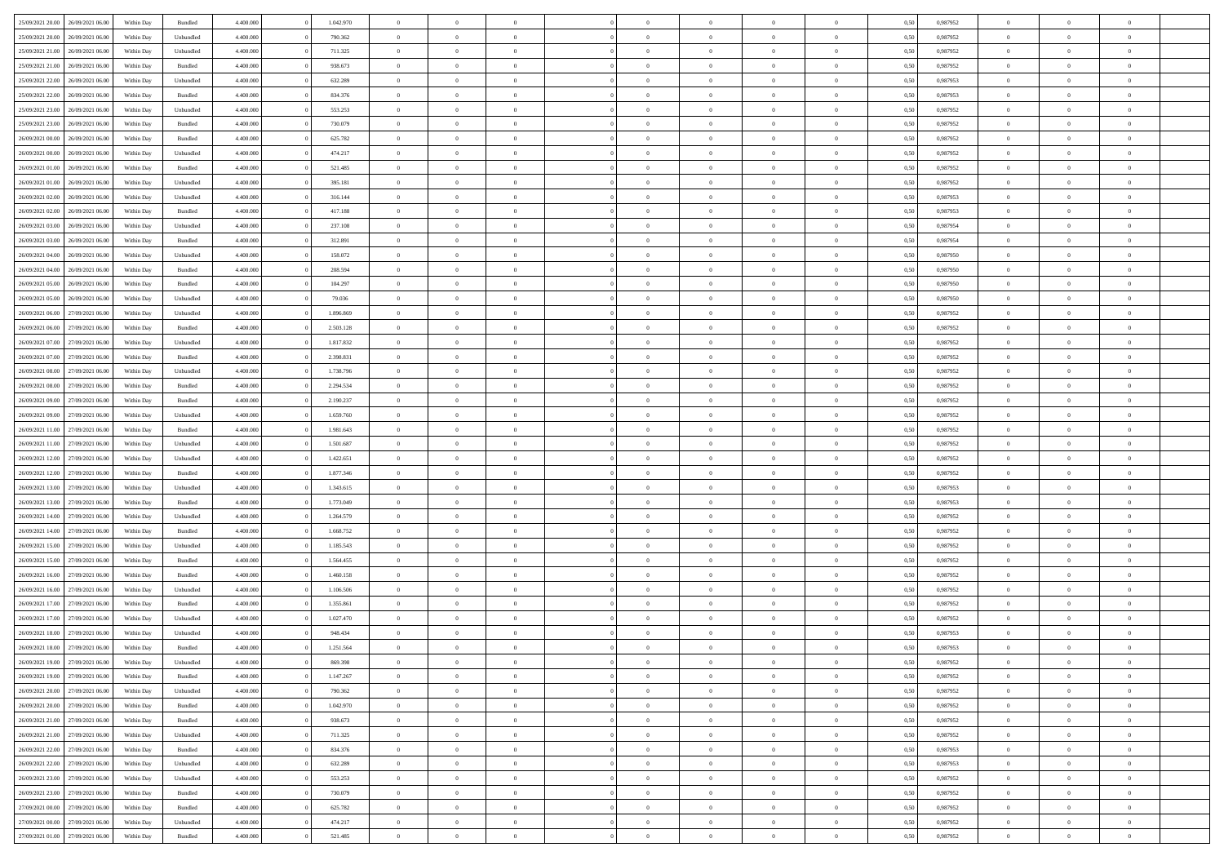|                                   |                  |            |                    |           |           | $\overline{0}$ | $\Omega$       |                |                | $\Omega$       | $\theta$       | $\theta$       |      |          | $\theta$       |                | $\theta$       |  |
|-----------------------------------|------------------|------------|--------------------|-----------|-----------|----------------|----------------|----------------|----------------|----------------|----------------|----------------|------|----------|----------------|----------------|----------------|--|
| 25/09/2021 20:00                  | 26/09/2021 06:00 | Within Day | Bundled            | 4.400.000 | 1.042.970 |                |                |                | $\Omega$       |                |                |                | 0,50 | 0,987952 |                | $\theta$       |                |  |
| 25/09/2021 20:00                  | 26/09/2021 06:00 | Within Day | Unbundled          | 4.400.000 | 790.362   | $\overline{0}$ | $\theta$       | $\overline{0}$ | $\overline{0}$ | $\bf{0}$       | $\overline{0}$ | $\bf{0}$       | 0,50 | 0,987952 | $\theta$       | $\overline{0}$ | $\overline{0}$ |  |
| 25/09/2021 21.00                  | 26/09/2021 06:00 | Within Day | Unbundled          | 4.400.000 | 711.325   | $\overline{0}$ | $\bf{0}$       | $\overline{0}$ | $\bf{0}$       | $\bf{0}$       | $\bf{0}$       | $\mathbf{0}$   | 0,50 | 0,987952 | $\overline{0}$ | $\overline{0}$ | $\bf{0}$       |  |
| 25/09/2021 21:00                  | 26/09/2021 06:00 | Within Dav | Bundled            | 4.400.000 | 938.673   | $\overline{0}$ | $\overline{0}$ | $\overline{0}$ | $\overline{0}$ | $\bf{0}$       | $\overline{0}$ | $\overline{0}$ | 0.50 | 0,987952 | $\theta$       | $\theta$       | $\overline{0}$ |  |
|                                   |                  |            |                    |           |           |                |                |                |                |                |                |                |      |          |                |                |                |  |
| 25/09/2021 22.00                  | 26/09/2021 06:00 | Within Day | Unbundled          | 4.400.000 | 632.289   | $\overline{0}$ | $\theta$       | $\overline{0}$ | $\overline{0}$ | $\bf{0}$       | $\overline{0}$ | $\bf{0}$       | 0,50 | 0,987953 | $\theta$       | $\overline{0}$ | $\overline{0}$ |  |
| 25/09/2021 22:00                  | 26/09/2021 06:00 | Within Day | Bundled            | 4.400.000 | 834.376   | $\overline{0}$ | $\overline{0}$ | $\overline{0}$ | $\bf{0}$       | $\overline{0}$ | $\overline{0}$ | $\mathbf{0}$   | 0,50 | 0,987953 | $\overline{0}$ | $\overline{0}$ | $\bf{0}$       |  |
| 25/09/2021 23:00                  | 26/09/2021 06:00 | Within Dav | Unbundled          | 4.400.000 | 553.253   | $\overline{0}$ | $\overline{0}$ | $\overline{0}$ | $\overline{0}$ | $\overline{0}$ | $\overline{0}$ | $\overline{0}$ | 0.50 | 0,987952 | $\theta$       | $\overline{0}$ | $\overline{0}$ |  |
| 25/09/2021 23:00                  | 26/09/2021 06:00 | Within Day | Bundled            | 4.400.000 | 730.079   | $\overline{0}$ | $\theta$       | $\overline{0}$ | $\overline{0}$ | $\bf{0}$       | $\overline{0}$ | $\bf{0}$       | 0,50 | 0,987952 | $\theta$       | $\theta$       | $\overline{0}$ |  |
| 26/09/2021 00:00                  | 26/09/2021 06:00 | Within Day | Bundled            | 4.400.000 | 625.782   | $\overline{0}$ | $\overline{0}$ | $\overline{0}$ | $\bf{0}$       | $\bf{0}$       | $\bf{0}$       | $\bf{0}$       | 0,50 | 0,987952 | $\,0\,$        | $\overline{0}$ | $\overline{0}$ |  |
|                                   |                  |            |                    |           |           |                |                |                |                |                |                |                |      |          |                |                |                |  |
| 26/09/2021 00:00                  | 26/09/2021 06:00 | Within Dav | Unbundled          | 4.400.000 | 474.217   | $\overline{0}$ | $\overline{0}$ | $\overline{0}$ | $\overline{0}$ | $\overline{0}$ | $\overline{0}$ | $\overline{0}$ | 0.50 | 0,987952 | $\theta$       | $\overline{0}$ | $\overline{0}$ |  |
| 26/09/2021 01:00                  | 26/09/2021 06:00 | Within Day | Bundled            | 4.400.000 | 521.485   | $\overline{0}$ | $\theta$       | $\overline{0}$ | $\overline{0}$ | $\bf{0}$       | $\overline{0}$ | $\bf{0}$       | 0,50 | 0,987952 | $\,$ 0 $\,$    | $\overline{0}$ | $\overline{0}$ |  |
| 26/09/2021 01:00                  | 26/09/2021 06:00 | Within Day | Unbundled          | 4.400.000 | 395.181   | $\overline{0}$ | $\overline{0}$ | $\overline{0}$ | $\bf{0}$       | $\bf{0}$       | $\bf{0}$       | $\mathbf{0}$   | 0,50 | 0,987952 | $\bf{0}$       | $\overline{0}$ | $\bf{0}$       |  |
| 26/09/2021 02:00                  | 26/09/2021 06:00 | Within Day | Unbundled          | 4.400.000 | 316.144   | $\overline{0}$ | $\overline{0}$ | $\overline{0}$ | $\overline{0}$ | $\bf{0}$       | $\overline{0}$ | $\overline{0}$ | 0.50 | 0,987953 | $\theta$       | $\theta$       | $\overline{0}$ |  |
|                                   |                  |            |                    |           |           | $\overline{0}$ | $\theta$       | $\overline{0}$ | $\overline{0}$ | $\bf{0}$       | $\overline{0}$ |                |      |          | $\theta$       | $\overline{0}$ | $\overline{0}$ |  |
| 26/09/2021 02:00                  | 26/09/2021 06:00 | Within Day | Bundled            | 4.400.000 | 417.188   |                |                |                |                |                |                | $\bf{0}$       | 0,50 | 0,987953 |                |                |                |  |
| 26/09/2021 03:00                  | 26/09/2021 06:00 | Within Day | Unbundled          | 4.400.000 | 237.108   | $\overline{0}$ | $\overline{0}$ | $\overline{0}$ | $\bf{0}$       | $\overline{0}$ | $\overline{0}$ | $\mathbf{0}$   | 0,50 | 0,987954 | $\bf{0}$       | $\overline{0}$ | $\bf{0}$       |  |
| 26/09/2021 03:00                  | 26/09/2021 06:00 | Within Dav | Bundled            | 4.400.000 | 312.891   | $\overline{0}$ | $\overline{0}$ | $\overline{0}$ | $\overline{0}$ | $\overline{0}$ | $\overline{0}$ | $\overline{0}$ | 0.50 | 0,987954 | $\theta$       | $\overline{0}$ | $\overline{0}$ |  |
| 26/09/2021 04:00                  | 26/09/2021 06:00 | Within Day | Unbundled          | 4.400.000 | 158.072   | $\overline{0}$ | $\theta$       | $\overline{0}$ | $\overline{0}$ | $\bf{0}$       | $\overline{0}$ | $\bf{0}$       | 0,50 | 0,987950 | $\theta$       | $\theta$       | $\overline{0}$ |  |
| 26/09/2021 04:00                  | 26/09/2021 06:00 | Within Day | Bundled            | 4.400.000 | 208.594   | $\overline{0}$ | $\overline{0}$ | $\overline{0}$ | $\bf{0}$       | $\bf{0}$       | $\bf{0}$       | $\mathbf{0}$   | 0,50 | 0,987950 | $\,0\,$        | $\overline{0}$ | $\bf{0}$       |  |
|                                   |                  |            |                    |           |           |                |                |                |                |                |                |                |      |          |                |                |                |  |
| 26/09/2021 05:00                  | 26/09/2021 06:00 | Within Dav | Bundled            | 4.400.000 | 104.297   | $\overline{0}$ | $\overline{0}$ | $\overline{0}$ | $\overline{0}$ | $\overline{0}$ | $\overline{0}$ | $\overline{0}$ | 0.50 | 0,987950 | $\theta$       | $\overline{0}$ | $\overline{0}$ |  |
| 26/09/2021 05:00                  | 26/09/2021 06:00 | Within Day | Unbundled          | 4.400.000 | 79.036    | $\overline{0}$ | $\theta$       | $\overline{0}$ | $\overline{0}$ | $\bf{0}$       | $\overline{0}$ | $\bf{0}$       | 0,50 | 0,987950 | $\,$ 0 $\,$    | $\overline{0}$ | $\overline{0}$ |  |
| 26/09/2021 06:00                  | 27/09/2021 06:00 | Within Day | Unbundled          | 4.400.000 | 1.896.869 | $\overline{0}$ | $\overline{0}$ | $\overline{0}$ | $\bf{0}$       | $\bf{0}$       | $\bf{0}$       | $\mathbf{0}$   | 0,50 | 0,987952 | $\bf{0}$       | $\overline{0}$ | $\bf{0}$       |  |
| 26/09/2021 06:00                  | 27/09/2021 06:00 | Within Day | Bundled            | 4.400.000 | 2.503.128 | $\overline{0}$ | $\overline{0}$ | $\overline{0}$ | $\overline{0}$ | $\bf{0}$       | $\overline{0}$ | $\overline{0}$ | 0.50 | 0,987952 | $\theta$       | $\overline{0}$ | $\overline{0}$ |  |
| 26/09/2021 07:00                  | 27/09/2021 06.00 |            |                    | 4.400.000 | 1.817.832 | $\overline{0}$ | $\theta$       | $\overline{0}$ | $\overline{0}$ | $\bf{0}$       | $\overline{0}$ |                |      | 0,987952 | $\,$ 0 $\,$    | $\overline{0}$ | $\overline{0}$ |  |
|                                   |                  | Within Day | Unbundled          |           |           |                |                |                |                |                |                | $\bf{0}$       | 0,50 |          |                |                |                |  |
| 26/09/2021 07:00                  | 27/09/2021 06:00 | Within Day | Bundled            | 4.400.000 | 2.398.831 | $\overline{0}$ | $\overline{0}$ | $\overline{0}$ | $\overline{0}$ | $\overline{0}$ | $\overline{0}$ | $\mathbf{0}$   | 0,50 | 0,987952 | $\bf{0}$       | $\overline{0}$ | $\bf{0}$       |  |
| 26/09/2021 08:00                  | 27/09/2021 06:00 | Within Day | Unbundled          | 4.400.000 | 1.738.796 | $\overline{0}$ | $\overline{0}$ | $\overline{0}$ | $\overline{0}$ | $\overline{0}$ | $\overline{0}$ | $\overline{0}$ | 0.50 | 0,987952 | $\theta$       | $\overline{0}$ | $\overline{0}$ |  |
| 26/09/2021 08:00                  | 27/09/2021 06.00 | Within Day | Bundled            | 4.400.000 | 2.294.534 | $\overline{0}$ | $\theta$       | $\overline{0}$ | $\overline{0}$ | $\bf{0}$       | $\overline{0}$ | $\bf{0}$       | 0,50 | 0,987952 | $\theta$       | $\theta$       | $\overline{0}$ |  |
| 26/09/2021 09:00                  | 27/09/2021 06:00 | Within Day | Bundled            | 4.400.000 | 2.190.237 | $\overline{0}$ | $\overline{0}$ | $\overline{0}$ | $\overline{0}$ | $\bf{0}$       | $\overline{0}$ | $\bf{0}$       | 0,50 | 0,987952 | $\,0\,$        | $\overline{0}$ | $\overline{0}$ |  |
| 26/09/2021 09:00                  | 27/09/2021 06:00 |            | Unbundled          | 4.400.000 | 1.659.760 | $\overline{0}$ | $\overline{0}$ | $\overline{0}$ | $\overline{0}$ | $\overline{0}$ | $\overline{0}$ | $\overline{0}$ | 0.50 | 0,987952 | $\theta$       | $\overline{0}$ | $\overline{0}$ |  |
|                                   |                  | Within Day |                    |           |           |                |                |                |                |                |                |                |      |          |                |                |                |  |
| 26/09/2021 11:00                  | 27/09/2021 06.00 | Within Day | Bundled            | 4.400.000 | 1.981.643 | $\overline{0}$ | $\theta$       | $\overline{0}$ | $\overline{0}$ | $\bf{0}$       | $\overline{0}$ | $\bf{0}$       | 0,50 | 0,987952 | $\,$ 0 $\,$    | $\overline{0}$ | $\overline{0}$ |  |
| 26/09/2021 11:00                  | 27/09/2021 06:00 | Within Day | Unbundled          | 4.400.000 | 1.501.687 | $\overline{0}$ | $\overline{0}$ | $\overline{0}$ | $\overline{0}$ | $\bf{0}$       | $\overline{0}$ | $\bf{0}$       | 0,50 | 0,987952 | $\bf{0}$       | $\overline{0}$ | $\bf{0}$       |  |
| 26/09/2021 12:00                  | 27/09/2021 06:00 | Within Day | Unbundled          | 4.400,000 | 1.422.651 | $\overline{0}$ | $\Omega$       | $\Omega$       | $\Omega$       | $\Omega$       | $\overline{0}$ | $\overline{0}$ | 0.50 | 0,987952 | $\,0\,$        | $\theta$       | $\theta$       |  |
| 26/09/2021 12:00                  | 27/09/2021 06.00 | Within Day | Bundled            | 4.400.000 | 1.877.346 | $\overline{0}$ | $\theta$       | $\overline{0}$ | $\overline{0}$ | $\bf{0}$       | $\overline{0}$ | $\bf{0}$       | 0,50 | 0,987952 | $\theta$       | $\overline{0}$ | $\overline{0}$ |  |
|                                   |                  |            |                    |           |           |                |                |                |                |                |                |                |      |          |                |                |                |  |
| 26/09/2021 13:00                  | 27/09/2021 06:00 | Within Day | Unbundled          | 4.400.000 | 1.343.615 | $\overline{0}$ | $\overline{0}$ | $\overline{0}$ | $\bf{0}$       | $\overline{0}$ | $\overline{0}$ | $\mathbf{0}$   | 0,50 | 0,987953 | $\bf{0}$       | $\overline{0}$ | $\bf{0}$       |  |
| 26/09/2021 13:00                  | 27/09/2021 06:00 | Within Day | Bundled            | 4.400,000 | 1.773.049 | $\overline{0}$ | $\Omega$       | $\Omega$       | $\Omega$       | $\bf{0}$       | $\overline{0}$ | $\overline{0}$ | 0.50 | 0,987953 | $\,0\,$        | $\theta$       | $\theta$       |  |
| 26/09/2021 14:00                  | 27/09/2021 06.00 | Within Day | Unbundled          | 4.400.000 | 1.264.579 | $\overline{0}$ | $\theta$       | $\overline{0}$ | $\overline{0}$ | $\bf{0}$       | $\overline{0}$ | $\bf{0}$       | 0,50 | 0,987952 | $\,$ 0 $\,$    | $\overline{0}$ | $\overline{0}$ |  |
| 26/09/2021 14:00                  | 27/09/2021 06:00 | Within Day | Bundled            | 4.400.000 | 1.668.752 | $\overline{0}$ | $\overline{0}$ | $\overline{0}$ | $\bf{0}$       | $\bf{0}$       | $\bf{0}$       | $\bf{0}$       | 0,50 | 0,987952 | $\bf{0}$       | $\overline{0}$ | $\bf{0}$       |  |
| 26/09/2021 15:00                  | 27/09/2021 06:00 | Within Day | Unbundled          | 4.400,000 | 1.185.543 | $\overline{0}$ | $\Omega$       | $\Omega$       | $\Omega$       | $\theta$       | $\overline{0}$ | $\overline{0}$ | 0.50 | 0.987952 | $\,$ 0 $\,$    | $\theta$       | $\theta$       |  |
|                                   |                  |            |                    |           |           |                |                |                |                |                |                |                |      |          |                |                |                |  |
| 26/09/2021 15:00                  | 27/09/2021 06.00 | Within Day | Bundled            | 4.400.000 | 1.564.455 | $\overline{0}$ | $\theta$       | $\overline{0}$ | $\overline{0}$ | $\bf{0}$       | $\overline{0}$ | $\bf{0}$       | 0,50 | 0,987952 | $\,$ 0 $\,$    | $\overline{0}$ | $\overline{0}$ |  |
| 26/09/2021 16:00                  | 27/09/2021 06:00 | Within Day | Bundled            | 4.400.000 | 1.460.158 | $\overline{0}$ | $\bf{0}$       | $\overline{0}$ | $\bf{0}$       | $\bf{0}$       | $\bf{0}$       | $\mathbf{0}$   | 0,50 | 0,987952 | $\bf{0}$       | $\overline{0}$ | $\bf{0}$       |  |
| 26/09/2021 16:00                  | 27/09/2021 06:00 | Within Day | Unbundled          | 4.400,000 | 1.106.506 | $\overline{0}$ | $\Omega$       | $\overline{0}$ | $\Omega$       | $\overline{0}$ | $\overline{0}$ | $\overline{0}$ | 0.50 | 0,987952 | $\,0\,$        | $\theta$       | $\theta$       |  |
| 26/09/2021 17:00                  | 27/09/2021 06.00 | Within Day | Bundled            | 4.400.000 | 1.355.861 | $\overline{0}$ | $\overline{0}$ | $\overline{0}$ | $\overline{0}$ | $\bf{0}$       | $\overline{0}$ | $\bf{0}$       | 0,50 | 0,987952 | $\,$ 0 $\,$    | $\overline{0}$ | $\overline{0}$ |  |
| 26/09/2021 17:00                  | 27/09/2021 06:00 | Within Day | Unbundled          | 4.400.000 | 1.027.470 | $\overline{0}$ | $\overline{0}$ | $\overline{0}$ | $\bf{0}$       | $\bf{0}$       | $\bf{0}$       | $\mathbf{0}$   | 0,50 | 0,987952 | $\bf{0}$       | $\overline{0}$ | $\bf{0}$       |  |
|                                   |                  |            |                    |           |           |                |                |                |                |                |                |                |      |          |                |                |                |  |
| 26/09/2021 18:00                  | 27/09/2021 06:00 | Within Day | Unbundled          | 4.400,000 | 948,434   | $\overline{0}$ | $\Omega$       | $\Omega$       | $\Omega$       | $\Omega$       | $\Omega$       | $\overline{0}$ | 0.50 | 0.987953 | $\theta$       | $\theta$       | $\theta$       |  |
| 26/09/2021 18:00                  | 27/09/2021 06:00 | Within Day | Bundled            | 4.400.000 | 1.251.564 | $\overline{0}$ | $\overline{0}$ | $\overline{0}$ | $\bf{0}$       | $\,$ 0         | $\bf{0}$       | $\bf{0}$       | 0,50 | 0,987953 | $\,0\,$        | $\,$ 0 $\,$    | $\overline{0}$ |  |
| 26/09/2021 19:00 27/09/2021 06:00 |                  | Within Day | Unbundled          | 4.400.000 | 869.398   | $\overline{0}$ | $\bf{0}$       |                |                | $\bf{0}$       |                |                | 0,50 | 0,987952 | $\bf{0}$       | $\overline{0}$ |                |  |
| 26/09/2021 19:00                  | 27/09/2021 06:00 | Within Day | Bundled            | 4.400.000 | 1.147.267 | $\overline{0}$ | $\overline{0}$ | $\overline{0}$ | $\Omega$       | $\overline{0}$ | $\overline{0}$ | $\overline{0}$ | 0,50 | 0.987952 | $\theta$       | $\theta$       | $\theta$       |  |
| 26/09/2021 20:00                  | 27/09/2021 06.00 | Within Day | Unbundled          | 4.400.000 | 790.362   | $\overline{0}$ | $\bf{0}$       | $\overline{0}$ | $\bf{0}$       | $\,$ 0 $\,$    | $\overline{0}$ | $\,$ 0 $\,$    | 0,50 | 0,987952 | $\,$ 0 $\,$    | $\,$ 0 $\,$    | $\,$ 0         |  |
|                                   |                  |            |                    |           |           |                |                |                |                |                |                |                |      |          |                |                |                |  |
| 26/09/2021 20:00                  | 27/09/2021 06:00 | Within Day | Bundled            | 4.400.000 | 1.042.970 | $\overline{0}$ | $\overline{0}$ | $\overline{0}$ | $\overline{0}$ | $\overline{0}$ | $\overline{0}$ | $\mathbf{0}$   | 0,50 | 0,987952 | $\overline{0}$ | $\overline{0}$ | $\overline{0}$ |  |
| 26/09/2021 21:00                  | 27/09/2021 06:00 | Within Day | $\mathbf B$ undled | 4.400,000 | 938.673   | $\overline{0}$ | $\overline{0}$ | $\overline{0}$ | $\Omega$       | $\overline{0}$ | $\overline{0}$ | $\overline{0}$ | 0,50 | 0,987952 | $\overline{0}$ | $\theta$       | $\overline{0}$ |  |
| 26/09/2021 21:00                  | 27/09/2021 06.00 | Within Day | Unbundled          | 4.400.000 | 711.325   | $\overline{0}$ | $\,$ 0         | $\overline{0}$ | $\bf{0}$       | $\,$ 0 $\,$    | $\overline{0}$ | $\,$ 0 $\,$    | 0,50 | 0,987952 | $\,$ 0 $\,$    | $\overline{0}$ | $\,$ 0         |  |
| 26/09/2021 22.00                  | 27/09/2021 06:00 | Within Day | Bundled            | 4.400.000 | 834.376   | $\overline{0}$ | $\overline{0}$ | $\overline{0}$ | $\overline{0}$ | $\overline{0}$ | $\overline{0}$ | $\mathbf{0}$   | 0,50 | 0,987953 | $\overline{0}$ | $\overline{0}$ | $\overline{0}$ |  |
|                                   |                  |            |                    | 4.400.000 |           |                | $\overline{0}$ | $\overline{0}$ |                | $\overline{0}$ | $\overline{0}$ |                | 0.50 |          |                | $\theta$       | $\overline{0}$ |  |
| 26/09/2021 22:00                  | 27/09/2021 06:00 | Within Day | Unbundled          |           | 632.289   | $\overline{0}$ |                |                | $\overline{0}$ |                |                | $\overline{0}$ |      | 0,987953 | $\overline{0}$ |                |                |  |
| 26/09/2021 23:00                  | 27/09/2021 06:00 | Within Day | Unbundled          | 4.400.000 | 553.253   | $\overline{0}$ | $\,$ 0         | $\overline{0}$ | $\bf{0}$       | $\bf{0}$       | $\bf{0}$       | $\bf{0}$       | 0,50 | 0,987952 | $\,$ 0 $\,$    | $\overline{0}$ | $\overline{0}$ |  |
| 26/09/2021 23:00                  | 27/09/2021 06:00 | Within Day | Bundled            | 4.400.000 | 730.079   | $\overline{0}$ | $\overline{0}$ | $\overline{0}$ | $\overline{0}$ | $\overline{0}$ | $\overline{0}$ | $\mathbf{0}$   | 0,50 | 0,987952 | $\overline{0}$ | $\overline{0}$ | $\bf{0}$       |  |
| 27/09/2021 00:00                  | 27/09/2021 06:00 | Within Day | Bundled            | 4.400,000 | 625.782   | $\overline{0}$ | $\overline{0}$ | $\overline{0}$ | $\Omega$       | $\overline{0}$ | $\overline{0}$ | $\overline{0}$ | 0.50 | 0,987952 | $\overline{0}$ | $\overline{0}$ | $\overline{0}$ |  |
| 27/09/2021 00:00                  | 27/09/2021 06.00 | Within Day | Unbundled          | 4.400.000 | 474.217   | $\overline{0}$ | $\bf{0}$       | $\overline{0}$ | $\bf{0}$       | $\bf{0}$       | $\bf{0}$       | $\mathbf{0}$   | 0,50 | 0,987952 | $\,$ 0 $\,$    | $\,$ 0 $\,$    | $\bf{0}$       |  |
|                                   |                  |            |                    |           |           |                |                |                |                |                |                |                |      |          |                |                |                |  |
| 27/09/2021 01:00 27/09/2021 06:00 |                  | Within Day | Bundled            | 4.400.000 | 521.485   | $\overline{0}$ | $\overline{0}$ | $\overline{0}$ | $\overline{0}$ | $\overline{0}$ | $\bf{0}$       | $\mathbf{0}$   | 0,50 | 0,987952 | $\overline{0}$ | $\bf{0}$       | $\overline{0}$ |  |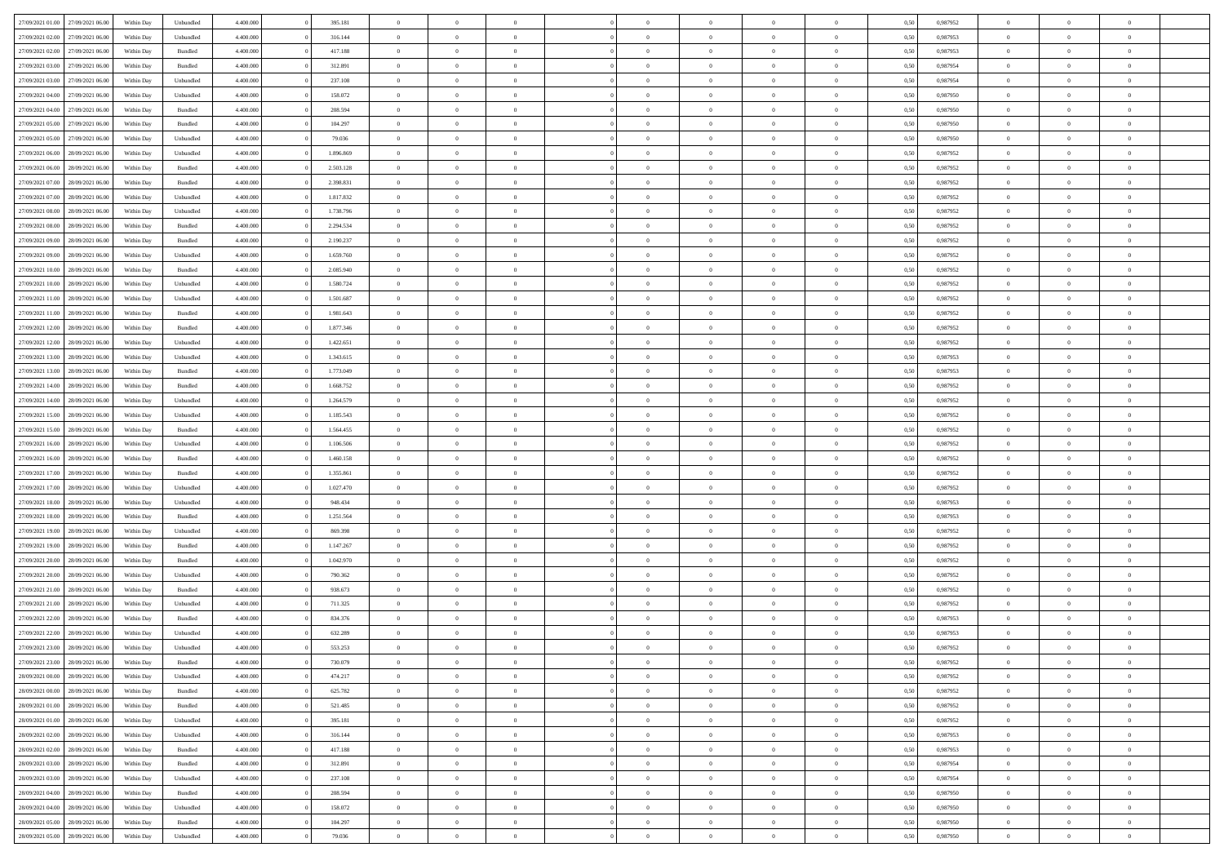| 27/09/2021 01:00 27/09/2021 06:00    | Within Day | Unbundled | 4.400.000 | 395.181   | $\overline{0}$ | $\overline{0}$ | $\Omega$       | $\Omega$       | $\theta$       | $\Omega$       | $\overline{0}$ | 0,50 | 0,987952 | $\theta$       | $\theta$       | $\theta$       |  |
|--------------------------------------|------------|-----------|-----------|-----------|----------------|----------------|----------------|----------------|----------------|----------------|----------------|------|----------|----------------|----------------|----------------|--|
| 27/09/2021 02:00<br>27/09/2021 06:00 | Within Day | Unbundled | 4.400.000 | 316.144   | $\overline{0}$ | $\overline{0}$ | $\overline{0}$ | $\overline{0}$ | $\theta$       | $\overline{0}$ | $\bf{0}$       | 0,50 | 0,987953 | $\theta$       | $\theta$       | $\overline{0}$ |  |
| 27/09/2021 02:00<br>27/09/2021 06:00 | Within Day | Bundled   | 4.400.000 | 417.188   | $\overline{0}$ | $\bf{0}$       | $\overline{0}$ | $\overline{0}$ | $\overline{0}$ | $\overline{0}$ | $\bf{0}$       | 0,50 | 0,987953 | $\bf{0}$       | $\overline{0}$ | $\overline{0}$ |  |
| 27/09/2021 03:00<br>27/09/2021 06:00 | Within Day | Bundled   | 4.400.000 | 312.891   | $\overline{0}$ | $\overline{0}$ | $\overline{0}$ | $\overline{0}$ | $\theta$       | $\overline{0}$ | $\overline{0}$ | 0.50 | 0.987954 | $\theta$       | $\theta$       | $\overline{0}$ |  |
| 27/09/2021 03:00<br>27/09/2021 06:00 | Within Day | Unbundled | 4.400.000 | 237.108   | $\overline{0}$ | $\overline{0}$ | $\overline{0}$ | $\overline{0}$ | $\theta$       | $\overline{0}$ | $\bf{0}$       | 0,50 | 0,987954 | $\theta$       | $\theta$       | $\overline{0}$ |  |
|                                      |            |           |           |           |                |                |                |                |                |                |                |      |          |                |                |                |  |
| 27/09/2021 04:00<br>27/09/2021 06:00 | Within Day | Unbundled | 4.400.000 | 158.072   | $\overline{0}$ | $\bf{0}$       | $\overline{0}$ | $\overline{0}$ | $\overline{0}$ | $\overline{0}$ | $\bf{0}$       | 0,50 | 0,987950 | $\overline{0}$ | $\overline{0}$ | $\bf{0}$       |  |
| 27/09/2021 04:00<br>27/09/2021 06.00 | Within Day | Bundled   | 4.400.000 | 208.594   | $\overline{0}$ | $\overline{0}$ | $\overline{0}$ | $\overline{0}$ | $\overline{0}$ | $\overline{0}$ | $\overline{0}$ | 0.5( | 0,987950 | $\theta$       | $\theta$       | $\overline{0}$ |  |
| 27/09/2021 05:00<br>27/09/2021 06:00 | Within Day | Bundled   | 4.400.000 | 104.297   | $\overline{0}$ | $\theta$       | $\overline{0}$ | $\overline{0}$ | $\theta$       | $\overline{0}$ | $\bf{0}$       | 0,50 | 0,987950 | $\theta$       | $\theta$       | $\overline{0}$ |  |
| 27/09/2021 05:00<br>27/09/2021 06:00 | Within Day | Unbundled | 4.400.000 | 79.036    | $\overline{0}$ | $\bf{0}$       | $\overline{0}$ | $\overline{0}$ | $\overline{0}$ | $\overline{0}$ | $\bf{0}$       | 0,50 | 0,987950 | $\bf{0}$       | $\bf{0}$       | $\overline{0}$ |  |
| 27/09/2021 06:00<br>28/09/2021 06:00 | Within Day | Unbundled | 4.400.000 | 1.896.869 | $\overline{0}$ | $\overline{0}$ | $\overline{0}$ | $\overline{0}$ | $\overline{0}$ | $\overline{0}$ | $\overline{0}$ | 0.50 | 0,987952 | $\theta$       | $\theta$       | $\overline{0}$ |  |
| 27/09/2021 06:00<br>28/09/2021 06:00 | Within Day | Bundled   | 4.400.000 | 2.503.128 | $\bf{0}$       | $\overline{0}$ | $\overline{0}$ | $\overline{0}$ | $\theta$       | $\overline{0}$ | $\bf{0}$       | 0,50 | 0,987952 | $\theta$       | $\theta$       | $\overline{0}$ |  |
| 27/09/2021 07:00<br>28/09/2021 06:00 | Within Day | Bundled   | 4.400.000 | 2.398.831 | $\overline{0}$ | $\bf{0}$       | $\overline{0}$ | $\overline{0}$ | $\bf{0}$       | $\overline{0}$ | $\bf{0}$       | 0,50 | 0,987952 | $\bf{0}$       | $\overline{0}$ | $\overline{0}$ |  |
| 27/09/2021 07:00<br>28/09/2021 06:00 | Within Day | Unbundled | 4.400.000 | 1.817.832 | $\overline{0}$ | $\overline{0}$ | $\overline{0}$ | $\overline{0}$ | $\overline{0}$ | $\overline{0}$ | $\overline{0}$ | 0.5( | 0,987952 | $\theta$       | $\theta$       | $\overline{0}$ |  |
| 27/09/2021 08:00<br>28/09/2021 06:00 | Within Day | Unbundled | 4.400.000 | 1.738.796 | $\overline{0}$ | $\theta$       | $\overline{0}$ | $\overline{0}$ | $\theta$       | $\overline{0}$ | $\bf{0}$       | 0,50 | 0,987952 | $\theta$       | $\theta$       | $\overline{0}$ |  |
| 27/09/2021 08:00<br>28/09/2021 06:00 | Within Day | Bundled   | 4.400.000 | 2.294.534 | $\overline{0}$ | $\bf{0}$       | $\overline{0}$ | $\overline{0}$ | $\overline{0}$ | $\overline{0}$ | $\bf{0}$       | 0,50 | 0,987952 | $\bf{0}$       | $\overline{0}$ | $\bf{0}$       |  |
| 27/09/2021 09:00<br>28/09/2021 06:00 | Within Day | Bundled   | 4.400.000 | 2.190.237 | $\overline{0}$ | $\overline{0}$ | $\overline{0}$ | $\overline{0}$ | $\overline{0}$ | $\overline{0}$ | $\overline{0}$ | 0.5( | 0,987952 | $\theta$       | $\theta$       | $\overline{0}$ |  |
| 27/09/2021 09:00<br>28/09/2021 06:00 | Within Day | Unbundled | 4.400.000 | 1.659.760 | $\bf{0}$       | $\theta$       | $\overline{0}$ | $\overline{0}$ | $\theta$       | $\overline{0}$ | $\bf{0}$       | 0,50 | 0,987952 | $\theta$       | $\theta$       | $\overline{0}$ |  |
|                                      |            |           |           |           |                |                |                |                |                |                |                |      |          |                |                |                |  |
| 27/09/2021 10:00<br>28/09/2021 06:00 | Within Day | Bundled   | 4.400.000 | 2.085.940 | $\overline{0}$ | $\bf{0}$       | $\overline{0}$ | $\overline{0}$ | $\overline{0}$ | $\overline{0}$ | $\bf{0}$       | 0,50 | 0,987952 | $\bf{0}$       | $\overline{0}$ | $\overline{0}$ |  |
| 27/09/2021 10:00<br>28/09/2021 06:00 | Within Day | Unbundled | 4.400.000 | 1.580.724 | $\overline{0}$ | $\overline{0}$ | $\overline{0}$ | $\overline{0}$ | $\overline{0}$ | $\overline{0}$ | $\overline{0}$ | 0.50 | 0,987952 | $\theta$       | $\theta$       | $\overline{0}$ |  |
| 27/09/2021 11:00<br>28/09/2021 06:00 | Within Day | Unbundled | 4.400.000 | 1.501.687 | $\bf{0}$       | $\overline{0}$ | $\overline{0}$ | $\overline{0}$ | $\theta$       | $\overline{0}$ | $\bf{0}$       | 0,50 | 0,987952 | $\theta$       | $\theta$       | $\overline{0}$ |  |
| 27/09/2021 11:00<br>28/09/2021 06:00 | Within Day | Bundled   | 4.400.000 | 1.981.643 | $\overline{0}$ | $\bf{0}$       | $\overline{0}$ | $\overline{0}$ | $\overline{0}$ | $\overline{0}$ | $\bf{0}$       | 0,50 | 0,987952 | $\bf{0}$       | $\overline{0}$ | $\overline{0}$ |  |
| 27/09/2021 12:00<br>28/09/2021 06:00 | Within Day | Bundled   | 4.400.000 | 1.877.346 | $\overline{0}$ | $\overline{0}$ | $\overline{0}$ | $\overline{0}$ | $\overline{0}$ | $\overline{0}$ | $\overline{0}$ | 0.50 | 0.987952 | $\theta$       | $\theta$       | $\overline{0}$ |  |
| 27/09/2021 12:00<br>28/09/2021 06:00 | Within Day | Unbundled | 4.400.000 | 1.422.651 | $\overline{0}$ | $\overline{0}$ | $\overline{0}$ | $\overline{0}$ | $\theta$       | $\overline{0}$ | $\bf{0}$       | 0,50 | 0,987952 | $\theta$       | $\theta$       | $\overline{0}$ |  |
| 27/09/2021 13:00<br>28/09/2021 06:00 | Within Day | Unbundled | 4.400.000 | 1.343.615 | $\overline{0}$ | $\bf{0}$       | $\overline{0}$ | $\overline{0}$ | $\overline{0}$ | $\overline{0}$ | $\bf{0}$       | 0,50 | 0,987953 | $\overline{0}$ | $\overline{0}$ | $\bf{0}$       |  |
| 27/09/2021 13:00<br>28/09/2021 06:00 | Within Day | Bundled   | 4.400.000 | 1.773.049 | $\overline{0}$ | $\overline{0}$ | $\overline{0}$ | $\overline{0}$ | $\overline{0}$ | $\overline{0}$ | $\overline{0}$ | 0.5( | 0,987953 | $\theta$       | $\theta$       | $\overline{0}$ |  |
| 27/09/2021 14:00<br>28/09/2021 06:00 | Within Day | Bundled   | 4.400.000 | 1.668.752 | $\bf{0}$       | $\overline{0}$ | $\overline{0}$ | $\overline{0}$ | $\theta$       | $\overline{0}$ | $\bf{0}$       | 0,50 | 0,987952 | $\theta$       | $\theta$       | $\overline{0}$ |  |
| 27/09/2021 14:00<br>28/09/2021 06:00 | Within Day | Unbundled | 4.400.000 | 1.264.579 | $\overline{0}$ | $\bf{0}$       | $\overline{0}$ | $\overline{0}$ | $\overline{0}$ | $\overline{0}$ | $\bf{0}$       | 0,50 | 0,987952 | $\bf{0}$       | $\bf{0}$       | $\overline{0}$ |  |
| 27/09/2021 15:00<br>28/09/2021 06:00 | Within Day | Unbundled | 4.400.000 | 1.185.543 | $\overline{0}$ | $\overline{0}$ | $\overline{0}$ | $\overline{0}$ | $\overline{0}$ | $\overline{0}$ | $\overline{0}$ | 0.5( | 0,987952 | $\theta$       | $\theta$       | $\overline{0}$ |  |
| 27/09/2021 15:00<br>28/09/2021 06:00 | Within Day | Bundled   | 4.400.000 | 1.564.455 | $\bf{0}$       | $\overline{0}$ | $\overline{0}$ | $\overline{0}$ | $\theta$       | $\overline{0}$ | $\bf{0}$       | 0,50 | 0,987952 | $\theta$       | $\theta$       | $\overline{0}$ |  |
| 27/09/2021 16:00<br>28/09/2021 06:00 | Within Day | Unbundled | 4.400.000 | 1.106.506 | $\overline{0}$ | $\bf{0}$       | $\overline{0}$ | $\overline{0}$ | $\bf{0}$       | $\overline{0}$ | $\bf{0}$       | 0,50 | 0,987952 | $\bf{0}$       | $\overline{0}$ | $\overline{0}$ |  |
|                                      |            |           | 4,400,000 |           | $\overline{0}$ |                | $\Omega$       | $\Omega$       | $\Omega$       | $\theta$       |                |      |          |                | $\Omega$       | $\theta$       |  |
| 27/09/2021 16:00<br>28/09/2021 06:00 | Within Day | Bundled   |           | 1.460.158 |                | $\overline{0}$ |                |                |                |                | $\overline{0}$ | 0.50 | 0,987952 | $\,$ 0 $\,$    |                |                |  |
| 27/09/2021 17:00<br>28/09/2021 06:00 | Within Day | Bundled   | 4.400.000 | 1.355.861 | $\bf{0}$       | $\overline{0}$ | $\overline{0}$ | $\overline{0}$ | $\theta$       | $\overline{0}$ | $\bf{0}$       | 0,50 | 0,987952 | $\theta$       | $\theta$       | $\overline{0}$ |  |
| 27/09/2021 17:00<br>28/09/2021 06:00 | Within Day | Unbundled | 4.400.000 | 1.027.470 | $\overline{0}$ | $\bf{0}$       | $\overline{0}$ | $\overline{0}$ | $\overline{0}$ | $\overline{0}$ | $\bf{0}$       | 0,50 | 0,987952 | $\bf{0}$       | $\overline{0}$ | $\bf{0}$       |  |
| 27/09/2021 18:00<br>28/09/2021 06:00 | Within Day | Unbundled | 4,400,000 | 948.434   | $\overline{0}$ | $\overline{0}$ | $\Omega$       | $\Omega$       | $\overline{0}$ | $\Omega$       | $\overline{0}$ | 0.50 | 0.987953 | $\theta$       | $\overline{0}$ | $\theta$       |  |
| 27/09/2021 18:00<br>28/09/2021 06:00 | Within Day | Bundled   | 4.400.000 | 1.251.564 | $\bf{0}$       | $\overline{0}$ | $\overline{0}$ | $\overline{0}$ | $\theta$       | $\overline{0}$ | $\bf{0}$       | 0,50 | 0,987953 | $\theta$       | $\theta$       | $\overline{0}$ |  |
| 27/09/2021 19:00<br>28/09/2021 06:00 | Within Day | Unbundled | 4.400.000 | 869.398   | $\overline{0}$ | $\bf{0}$       | $\overline{0}$ | $\overline{0}$ | $\overline{0}$ | $\bf{0}$       | $\bf{0}$       | 0,50 | 0,987952 | $\bf{0}$       | $\overline{0}$ | $\overline{0}$ |  |
| 27/09/2021 19:00<br>28/09/2021 06:00 | Within Day | Bundled   | 4,400,000 | 1.147.267 | $\overline{0}$ | $\overline{0}$ | $\Omega$       | $\Omega$       | $\Omega$       | $\Omega$       | $\overline{0}$ | 0.50 | 0.987952 | $\theta$       | $\Omega$       | $\theta$       |  |
| 27/09/2021 20:00<br>28/09/2021 06:00 | Within Day | Bundled   | 4.400.000 | 1.042.970 | $\bf{0}$       | $\overline{0}$ | $\overline{0}$ | $\overline{0}$ | $\theta$       | $\overline{0}$ | $\bf{0}$       | 0,50 | 0,987952 | $\theta$       | $\theta$       | $\overline{0}$ |  |
| 27/09/2021 20:00<br>28/09/2021 06:00 | Within Day | Unbundled | 4.400.000 | 790.362   | $\overline{0}$ | $\bf{0}$       | $\overline{0}$ | $\overline{0}$ | $\overline{0}$ | $\overline{0}$ | $\bf{0}$       | 0,50 | 0,987952 | $\bf{0}$       | $\overline{0}$ | $\overline{0}$ |  |
| 27/09/2021 21:00<br>28/09/2021 06:00 | Within Day | Bundled   | 4,400,000 | 938.673   | $\overline{0}$ | $\overline{0}$ | $\Omega$       | $\Omega$       | $\theta$       | $\Omega$       | $\overline{0}$ | 0.50 | 0,987952 | $\,$ 0 $\,$    | $\overline{0}$ | $\theta$       |  |
| 27/09/2021 21:00<br>28/09/2021 06:00 | Within Day | Unbundled | 4.400.000 | 711.325   | $\bf{0}$       | $\overline{0}$ | $\overline{0}$ | $\overline{0}$ | $\theta$       | $\overline{0}$ | $\bf{0}$       | 0,50 | 0,987952 | $\theta$       | $\theta$       | $\overline{0}$ |  |
| 27/09/2021 22.00<br>28/09/2021 06:00 | Within Day | Bundled   | 4.400.000 | 834.376   | $\overline{0}$ | $\bf{0}$       | $\overline{0}$ | $\overline{0}$ | $\bf{0}$       | $\overline{0}$ | $\bf{0}$       | 0,50 | 0,987953 | $\overline{0}$ | $\overline{0}$ | $\bf{0}$       |  |
| 27/09/2021 22:00<br>28/09/2021 06:00 | Within Day | Unbundled | 4,400,000 | 632.289   | $\overline{0}$ | $\Omega$       | $\Omega$       | $\Omega$       | $\Omega$       | $\theta$       | $\overline{0}$ | 0.50 | 0.987953 | $\theta$       | $\overline{0}$ | $\theta$       |  |
| 27/09/2021 23:00<br>28/09/2021 06:00 | Within Day | Unbundled | 4.400.000 | 553.253   | $\bf{0}$       | $\bf{0}$       | $\overline{0}$ | $\overline{0}$ | $\bf{0}$       | $\bf{0}$       | $\bf{0}$       | 0,50 | 0,987952 | $\bf{0}$       | $\bf{0}$       | $\overline{0}$ |  |
| 27/09/2021 23:00 28/09/2021 06:00    | Within Day | Bundled   | 4.400.000 | 730.079   |                | $\bf{0}$       |                |                |                |                |                | 0,50 | 0,987952 | $\bf{0}$       | $\bf{0}$       |                |  |
|                                      |            |           |           |           |                |                |                |                |                |                |                |      |          |                |                |                |  |
| 28/09/2021 00:00 28/09/2021 06:00    | Within Day | Unbundled | 4.400.000 | 474.217   | $\Omega$       | $\overline{0}$ | $\Omega$       | $\theta$       | $\overline{0}$ | $\theta$       | $\overline{0}$ | 0.50 | 0.987952 | $\theta$       | $\theta$       | $\theta$       |  |
| 28/09/2021 00:00<br>28/09/2021 06:00 | Within Day | Bundled   | 4.400.000 | 625.782   | $\overline{0}$ | $\overline{0}$ | $\overline{0}$ | $\overline{0}$ | $\,$ 0 $\,$    | $\overline{0}$ | $\,$ 0 $\,$    | 0,50 | 0,987952 | $\,$ 0 $\,$    | $\,$ 0 $\,$    | $\,$ 0         |  |
| 28/09/2021 01:00 28/09/2021 06:00    | Within Day | Bundled   | 4.400.000 | 521.485   | $\overline{0}$ | $\overline{0}$ | $\overline{0}$ | $\overline{0}$ | $\mathbf{0}$   | $\overline{0}$ | $\bf{0}$       | 0,50 | 0,987952 | $\overline{0}$ | $\overline{0}$ | $\overline{0}$ |  |
| 28/09/2021 01:00<br>28/09/2021 06:00 | Within Day | Unbundled | 4.400.000 | 395.181   | $\overline{0}$ | $\bf{0}$       | $\overline{0}$ | $\overline{0}$ | $\overline{0}$ | $\overline{0}$ | $\bf{0}$       | 0,50 | 0,987952 | $\overline{0}$ | $\theta$       | $\overline{0}$ |  |
| 28/09/2021 02:00<br>28/09/2021 06:00 | Within Day | Unbundled | 4.400.000 | 316.144   | $\overline{0}$ | $\overline{0}$ | $\overline{0}$ | $\overline{0}$ | $\overline{0}$ | $\overline{0}$ | $\,$ 0 $\,$    | 0,50 | 0,987953 | $\,$ 0 $\,$    | $\,$ 0 $\,$    | $\overline{0}$ |  |
| 28/09/2021 02:00<br>28/09/2021 06:00 | Within Day | Bundled   | 4.400.000 | 417.188   | $\overline{0}$ | $\overline{0}$ | $\overline{0}$ | $\overline{0}$ | $\overline{0}$ | $\overline{0}$ | $\mathbf{0}$   | 0,50 | 0,987953 | $\overline{0}$ | $\overline{0}$ | $\overline{0}$ |  |
| 28/09/2021 03:00<br>28/09/2021 06:00 | Within Day | Bundled   | 4.400.000 | 312.891   | $\overline{0}$ | $\bf{0}$       | $\overline{0}$ | $\overline{0}$ | $\overline{0}$ | $\overline{0}$ | $\bf{0}$       | 0.50 | 0,987954 | $\overline{0}$ | $\theta$       | $\overline{0}$ |  |
| 28/09/2021 03:00<br>28/09/2021 06:00 | Within Day | Unbundled | 4.400.000 | 237.108   | $\overline{0}$ | $\overline{0}$ | $\overline{0}$ | $\overline{0}$ | $\overline{0}$ | $\bf{0}$       | $\bf{0}$       | 0,50 | 0,987954 | $\,$ 0 $\,$    | $\,$ 0 $\,$    | $\overline{0}$ |  |
| 28/09/2021 04:00<br>28/09/2021 06:00 | Within Day | Bundled   | 4.400.000 | 208.594   | $\overline{0}$ | $\bf{0}$       | $\overline{0}$ | $\overline{0}$ | $\overline{0}$ | $\overline{0}$ | $\bf{0}$       | 0,50 | 0,987950 | $\overline{0}$ | $\overline{0}$ | $\bf{0}$       |  |
| 28/09/2021 04:00<br>28/09/2021 06:00 | Within Day | Unbundled | 4.400.000 | 158.072   | $\overline{0}$ | $\overline{0}$ | $\overline{0}$ | $\overline{0}$ | $\overline{0}$ | $\overline{0}$ | $\bf{0}$       | 0.50 | 0,987950 | $\overline{0}$ | $\overline{0}$ | $\overline{0}$ |  |
| 28/09/2021 05:00<br>28/09/2021 06:00 | Within Day | Bundled   | 4.400.000 | 104.297   | $\overline{0}$ | $\,$ 0         | $\overline{0}$ | $\overline{0}$ | $\bf{0}$       | $\bf{0}$       | $\bf{0}$       | 0,50 | 0,987950 | $\,$ 0 $\,$    | $\,$ 0 $\,$    | $\bf{0}$       |  |
|                                      |            |           |           |           |                |                |                |                |                |                |                |      |          |                |                |                |  |
| 28/09/2021 05:00 28/09/2021 06:00    | Within Day | Unbundled | 4.400.000 | 79.036    | $\overline{0}$ | $\bf{0}$       | $\overline{0}$ | $\overline{0}$ | $\overline{0}$ | $\overline{0}$ | $\bf{0}$       | 0,50 | 0,987950 | $\overline{0}$ | $\overline{0}$ | $\bf{0}$       |  |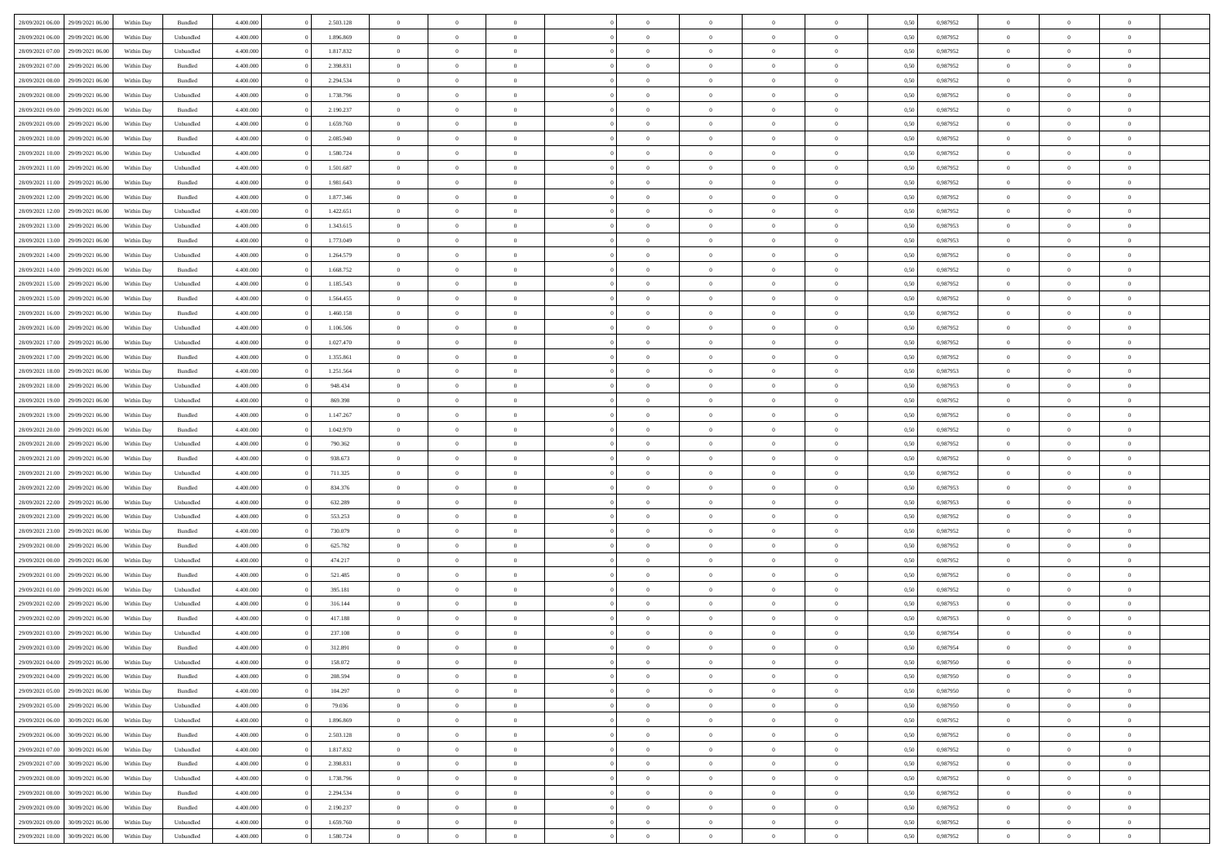| 28/09/2021 06:00 | 29/09/2021 06:00 | Within Day | Bundled   | 4.400.000 | 2.503.128 | $\overline{0}$ | $\Omega$       |                | $\Omega$       | $\Omega$       | $\theta$       | $\theta$       | 0,50 | 0,987952 | $\theta$       | $\theta$       | $\theta$       |  |
|------------------|------------------|------------|-----------|-----------|-----------|----------------|----------------|----------------|----------------|----------------|----------------|----------------|------|----------|----------------|----------------|----------------|--|
|                  |                  |            |           |           |           |                |                |                |                |                |                |                |      |          |                |                |                |  |
| 28/09/2021 06:00 | 29/09/2021 06:00 | Within Day | Unbundled | 4.400.000 | 1.896.869 | $\overline{0}$ | $\theta$       | $\overline{0}$ | $\overline{0}$ | $\bf{0}$       | $\overline{0}$ | $\bf{0}$       | 0,50 | 0,987952 | $\theta$       | $\overline{0}$ | $\overline{0}$ |  |
| 28/09/2021 07:00 | 29/09/2021 06:00 | Within Day | Unbundled | 4.400.000 | 1.817.832 | $\overline{0}$ | $\bf{0}$       | $\overline{0}$ | $\bf{0}$       | $\bf{0}$       | $\bf{0}$       | $\mathbf{0}$   | 0,50 | 0,987952 | $\overline{0}$ | $\overline{0}$ | $\overline{0}$ |  |
| 28/09/2021 07:00 | 29/09/2021 06:00 | Within Dav | Bundled   | 4.400.000 | 2.398.831 | $\overline{0}$ | $\overline{0}$ | $\overline{0}$ | $\overline{0}$ | $\bf{0}$       | $\overline{0}$ | $\overline{0}$ | 0.50 | 0,987952 | $\theta$       | $\theta$       | $\overline{0}$ |  |
| 28/09/2021 08:00 | 29/09/2021 06:00 | Within Day | Bundled   | 4.400.000 | 2.294.534 | $\overline{0}$ | $\theta$       | $\overline{0}$ | $\overline{0}$ | $\bf{0}$       | $\overline{0}$ | $\bf{0}$       | 0,50 | 0,987952 | $\theta$       | $\overline{0}$ | $\overline{0}$ |  |
| 28/09/2021 08:00 | 29/09/2021 06:00 | Within Day | Unbundled | 4.400.000 | 1.738.796 | $\overline{0}$ | $\overline{0}$ | $\overline{0}$ | $\bf{0}$       | $\overline{0}$ | $\overline{0}$ | $\mathbf{0}$   | 0,50 | 0,987952 | $\overline{0}$ | $\overline{0}$ | $\bf{0}$       |  |
|                  |                  |            |           |           |           |                |                |                |                | $\overline{0}$ |                |                |      |          | $\theta$       | $\overline{0}$ | $\overline{0}$ |  |
| 28/09/2021 09:00 | 29/09/2021 06:00 | Within Dav | Bundled   | 4.400.000 | 2.190.237 | $\overline{0}$ | $\overline{0}$ | $\overline{0}$ | $\overline{0}$ |                | $\overline{0}$ | $\overline{0}$ | 0.50 | 0,987952 |                |                |                |  |
| 28/09/2021 09:00 | 29/09/2021 06:00 | Within Day | Unbundled | 4.400.000 | 1.659.760 | $\overline{0}$ | $\theta$       | $\overline{0}$ | $\overline{0}$ | $\bf{0}$       | $\overline{0}$ | $\bf{0}$       | 0,50 | 0,987952 | $\theta$       | $\theta$       | $\overline{0}$ |  |
| 28/09/2021 10:00 | 29/09/2021 06:00 | Within Day | Bundled   | 4.400.000 | 2.085.940 | $\overline{0}$ | $\overline{0}$ | $\overline{0}$ | $\bf{0}$       | $\bf{0}$       | $\bf{0}$       | $\bf{0}$       | 0,50 | 0,987952 | $\,0\,$        | $\overline{0}$ | $\overline{0}$ |  |
| 28/09/2021 10:00 | 29/09/2021 06:00 | Within Dav | Unbundled | 4.400.000 | 1.580.724 | $\overline{0}$ | $\overline{0}$ | $\overline{0}$ | $\overline{0}$ | $\overline{0}$ | $\overline{0}$ | $\overline{0}$ | 0.50 | 0,987952 | $\theta$       | $\overline{0}$ | $\overline{0}$ |  |
| 28/09/2021 11:00 | 29/09/2021 06:00 | Within Day | Unbundled | 4.400.000 | 1.501.687 | $\overline{0}$ | $\theta$       | $\overline{0}$ | $\overline{0}$ | $\bf{0}$       | $\overline{0}$ | $\bf{0}$       | 0,50 | 0,987952 | $\,$ 0 $\,$    | $\overline{0}$ | $\overline{0}$ |  |
| 28/09/2021 11:00 | 29/09/2021 06:00 | Within Day | Bundled   | 4.400.000 | 1.981.643 | $\overline{0}$ | $\bf{0}$       | $\overline{0}$ | $\bf{0}$       | $\bf{0}$       | $\bf{0}$       | $\mathbf{0}$   | 0,50 | 0,987952 | $\bf{0}$       | $\overline{0}$ | $\bf{0}$       |  |
| 28/09/2021 12:00 | 29/09/2021 06:00 | Within Dav | Bundled   | 4.400.000 | 1.877.346 | $\overline{0}$ | $\overline{0}$ | $\overline{0}$ | $\overline{0}$ | $\bf{0}$       | $\overline{0}$ | $\overline{0}$ | 0.50 | 0,987952 | $\theta$       | $\theta$       | $\overline{0}$ |  |
|                  |                  |            |           |           |           | $\overline{0}$ | $\theta$       | $\overline{0}$ | $\overline{0}$ | $\bf{0}$       | $\overline{0}$ |                |      |          | $\theta$       | $\overline{0}$ | $\overline{0}$ |  |
| 28/09/2021 12:00 | 29/09/2021 06:00 | Within Day | Unbundled | 4.400.000 | 1.422.651 |                |                |                |                |                |                | $\bf{0}$       | 0,50 | 0,987952 |                |                |                |  |
| 28/09/2021 13:00 | 29/09/2021 06:00 | Within Day | Unbundled | 4.400.000 | 1.343.615 | $\overline{0}$ | $\overline{0}$ | $\overline{0}$ | $\bf{0}$       | $\overline{0}$ | $\overline{0}$ | $\mathbf{0}$   | 0,50 | 0,987953 | $\bf{0}$       | $\overline{0}$ | $\bf{0}$       |  |
| 28/09/2021 13:00 | 29/09/2021 06:00 | Within Dav | Bundled   | 4.400.000 | 1.773.049 | $\overline{0}$ | $\overline{0}$ | $\overline{0}$ | $\overline{0}$ | $\overline{0}$ | $\overline{0}$ | $\overline{0}$ | 0.50 | 0,987953 | $\theta$       | $\overline{0}$ | $\overline{0}$ |  |
| 28/09/2021 14:00 | 29/09/2021 06:00 | Within Day | Unbundled | 4.400.000 | 1.264.579 | $\overline{0}$ | $\theta$       | $\overline{0}$ | $\overline{0}$ | $\bf{0}$       | $\overline{0}$ | $\bf{0}$       | 0,50 | 0,987952 | $\theta$       | $\theta$       | $\overline{0}$ |  |
| 28/09/2021 14:00 | 29/09/2021 06:00 | Within Day | Bundled   | 4.400.000 | 1.668.752 | $\overline{0}$ | $\overline{0}$ | $\overline{0}$ | $\bf{0}$       | $\bf{0}$       | $\bf{0}$       | $\bf{0}$       | 0,50 | 0,987952 | $\,0\,$        | $\overline{0}$ | $\overline{0}$ |  |
| 28/09/2021 15:00 | 29/09/2021 06:00 | Within Dav | Unbundled | 4.400.000 | 1.185.543 | $\overline{0}$ | $\overline{0}$ | $\overline{0}$ | $\overline{0}$ | $\overline{0}$ | $\overline{0}$ | $\overline{0}$ | 0.50 | 0,987952 | $\theta$       | $\overline{0}$ | $\overline{0}$ |  |
| 28/09/2021 15:00 | 29/09/2021 06:00 | Within Day | Bundled   | 4.400.000 | 1.564.455 | $\overline{0}$ | $\theta$       | $\overline{0}$ | $\overline{0}$ | $\bf{0}$       | $\overline{0}$ | $\bf{0}$       | 0,50 | 0,987952 | $\,$ 0 $\,$    | $\overline{0}$ | $\overline{0}$ |  |
|                  |                  |            |           |           |           |                |                |                |                |                |                |                |      |          |                |                |                |  |
| 28/09/2021 16:00 | 29/09/2021 06:00 | Within Day | Bundled   | 4.400.000 | 1.460.158 | $\overline{0}$ | $\overline{0}$ | $\overline{0}$ | $\bf{0}$       | $\bf{0}$       | $\bf{0}$       | $\bf{0}$       | 0,50 | 0,987952 | $\overline{0}$ | $\overline{0}$ | $\bf{0}$       |  |
| 28/09/2021 16:00 | 29/09/2021 06:00 | Within Day | Unbundled | 4.400.000 | 1.106.506 | $\overline{0}$ | $\overline{0}$ | $\overline{0}$ | $\overline{0}$ | $\bf{0}$       | $\overline{0}$ | $\overline{0}$ | 0.50 | 0,987952 | $\theta$       | $\overline{0}$ | $\overline{0}$ |  |
| 28/09/2021 17:00 | 29/09/2021 06:00 | Within Day | Unbundled | 4.400.000 | 1.027.470 | $\overline{0}$ | $\theta$       | $\overline{0}$ | $\overline{0}$ | $\bf{0}$       | $\overline{0}$ | $\bf{0}$       | 0,50 | 0,987952 | $\,$ 0 $\,$    | $\overline{0}$ | $\overline{0}$ |  |
| 28/09/2021 17:00 | 29/09/2021 06:00 | Within Day | Bundled   | 4.400.000 | 1.355.861 | $\overline{0}$ | $\overline{0}$ | $\overline{0}$ | $\bf{0}$       | $\overline{0}$ | $\overline{0}$ | $\mathbf{0}$   | 0,50 | 0,987952 | $\overline{0}$ | $\overline{0}$ | $\bf{0}$       |  |
| 28/09/2021 18:00 | 29/09/2021 06:00 | Within Dav | Bundled   | 4.400.000 | 1.251.564 | $\overline{0}$ | $\overline{0}$ | $\overline{0}$ | $\overline{0}$ | $\overline{0}$ | $\overline{0}$ | $\overline{0}$ | 0.50 | 0,987953 | $\theta$       | $\overline{0}$ | $\overline{0}$ |  |
| 28/09/2021 18:00 | 29/09/2021 06:00 | Within Day | Unbundled | 4.400.000 | 948.434   | $\overline{0}$ | $\theta$       | $\overline{0}$ | $\overline{0}$ | $\bf{0}$       | $\overline{0}$ | $\bf{0}$       | 0,50 | 0,987953 | $\theta$       | $\theta$       | $\overline{0}$ |  |
| 28/09/2021 19:00 | 29/09/2021 06:00 | Within Day | Unbundled | 4.400.000 | 869.398   | $\overline{0}$ | $\overline{0}$ | $\overline{0}$ | $\bf{0}$       | $\bf{0}$       | $\bf{0}$       | $\bf{0}$       | 0,50 | 0,987952 | $\,0\,$        | $\overline{0}$ | $\overline{0}$ |  |
| 28/09/2021 19:00 | 29/09/2021 06:00 |            | Bundled   | 4.400.000 | 1.147.267 | $\overline{0}$ | $\overline{0}$ | $\overline{0}$ | $\overline{0}$ | $\overline{0}$ | $\overline{0}$ | $\overline{0}$ | 0.50 | 0,987952 | $\theta$       | $\overline{0}$ | $\overline{0}$ |  |
|                  |                  | Within Day |           |           |           |                |                |                |                |                |                |                |      |          |                |                |                |  |
| 28/09/2021 20:00 | 29/09/2021 06:00 | Within Day | Bundled   | 4.400.000 | 1.042.970 | $\overline{0}$ | $\theta$       | $\overline{0}$ | $\overline{0}$ | $\bf{0}$       | $\overline{0}$ | $\bf{0}$       | 0,50 | 0,987952 | $\,$ 0 $\,$    | $\overline{0}$ | $\overline{0}$ |  |
| 28/09/2021 20:00 | 29/09/2021 06:00 | Within Day | Unbundled | 4.400.000 | 790.362   | $\overline{0}$ | $\bf{0}$       | $\overline{0}$ | $\overline{0}$ | $\bf{0}$       | $\overline{0}$ | $\bf{0}$       | 0,50 | 0,987952 | $\overline{0}$ | $\overline{0}$ | $\bf{0}$       |  |
| 28/09/2021 21:00 | 29/09/2021 06:00 | Within Day | Bundled   | 4.400,000 | 938.673   | $\overline{0}$ | $\Omega$       | $\Omega$       | $\Omega$       | $\Omega$       | $\Omega$       | $\overline{0}$ | 0.50 | 0,987952 | $\,0\,$        | $\theta$       | $\theta$       |  |
| 28/09/2021 21:00 | 29/09/2021 06:00 | Within Day | Unbundled | 4.400.000 | 711.325   | $\overline{0}$ | $\theta$       | $\overline{0}$ | $\overline{0}$ | $\bf{0}$       | $\overline{0}$ | $\bf{0}$       | 0,50 | 0,987952 | $\theta$       | $\overline{0}$ | $\overline{0}$ |  |
| 28/09/2021 22:00 | 29/09/2021 06:00 | Within Day | Bundled   | 4.400.000 | 834.376   | $\overline{0}$ | $\overline{0}$ | $\overline{0}$ | $\overline{0}$ | $\bf{0}$       | $\overline{0}$ | $\mathbf{0}$   | 0,50 | 0,987953 | $\overline{0}$ | $\overline{0}$ | $\bf{0}$       |  |
| 28/09/2021 22:00 | 29/09/2021 06:00 | Within Day | Unbundled | 4.400,000 | 632.289   | $\overline{0}$ | $\Omega$       | $\Omega$       | $\Omega$       | $\bf{0}$       | $\overline{0}$ | $\overline{0}$ | 0.50 | 0,987953 | $\,0\,$        | $\theta$       | $\theta$       |  |
| 28/09/2021 23:00 | 29/09/2021 06:00 | Within Day | Unbundled | 4.400.000 | 553.253   | $\overline{0}$ | $\theta$       | $\overline{0}$ | $\overline{0}$ | $\bf{0}$       | $\overline{0}$ | $\bf{0}$       | 0,50 | 0,987952 | $\,$ 0 $\,$    | $\overline{0}$ | $\overline{0}$ |  |
|                  |                  |            |           |           |           |                |                |                |                |                |                |                |      |          |                |                |                |  |
| 28/09/2021 23.00 | 29/09/2021 06:00 | Within Day | Bundled   | 4.400.000 | 730.079   | $\overline{0}$ | $\overline{0}$ | $\overline{0}$ | $\overline{0}$ | $\bf{0}$       | $\overline{0}$ | $\bf{0}$       | 0,50 | 0,987952 | $\bf{0}$       | $\overline{0}$ | $\bf{0}$       |  |
| 29/09/2021 00:00 | 29/09/2021 06:00 | Within Day | Bundled   | 4.400,000 | 625.782   | $\overline{0}$ | $\Omega$       | $\Omega$       | $\Omega$       | $\theta$       | $\theta$       | $\overline{0}$ | 0.50 | 0.987952 | $\theta$       | $\theta$       | $\theta$       |  |
| 29/09/2021 00:00 | 29/09/2021 06:00 | Within Day | Unbundled | 4.400.000 | 474.217   | $\overline{0}$ | $\theta$       | $\overline{0}$ | $\overline{0}$ | $\bf{0}$       | $\overline{0}$ | $\bf{0}$       | 0,50 | 0,987952 | $\,$ 0 $\,$    | $\overline{0}$ | $\overline{0}$ |  |
| 29/09/2021 01:00 | 29/09/2021 06:00 | Within Day | Bundled   | 4.400.000 | 521.485   | $\overline{0}$ | $\overline{0}$ | $\overline{0}$ | $\overline{0}$ | $\bf{0}$       | $\overline{0}$ | $\bf{0}$       | 0,50 | 0,987952 | $\overline{0}$ | $\overline{0}$ | $\bf{0}$       |  |
| 29/09/2021 01:00 | 29/09/2021 06:00 | Within Day | Unbundled | 4.400,000 | 395.181   | $\overline{0}$ | $\Omega$       | $\Omega$       | $\Omega$       | $\overline{0}$ | $\overline{0}$ | $\overline{0}$ | 0.50 | 0,987952 | $\,0\,$        | $\theta$       | $\theta$       |  |
| 29/09/2021 02:00 | 29/09/2021 06:00 | Within Day | Unbundled | 4.400.000 | 316.144   | $\overline{0}$ | $\overline{0}$ | $\overline{0}$ | $\overline{0}$ | $\bf{0}$       | $\overline{0}$ | $\bf{0}$       | 0,50 | 0,987953 | $\,$ 0 $\,$    | $\overline{0}$ | $\overline{0}$ |  |
| 29/09/2021 02:00 | 29/09/2021 06:00 | Within Day | Bundled   | 4.400.000 | 417.188   | $\overline{0}$ | $\overline{0}$ | $\overline{0}$ | $\overline{0}$ | $\bf{0}$       | $\overline{0}$ | $\mathbf{0}$   | 0,50 | 0,987953 | $\overline{0}$ | $\overline{0}$ | $\bf{0}$       |  |
| 29/09/2021 03:00 | 29/09/2021 06:00 | Within Day | Unbundled | 4.400,000 | 237.108   | $\overline{0}$ | $\Omega$       | $\Omega$       | $\Omega$       | $\Omega$       | $\Omega$       | $\overline{0}$ | 0.50 | 0.987954 | $\theta$       | $\theta$       | $\theta$       |  |
| 29/09/2021 03:00 | 29/09/2021 06:00 | Within Day | Bundled   | 4.400.000 | 312.891   | $\overline{0}$ | $\overline{0}$ | $\overline{0}$ | $\bf{0}$       | $\,$ 0         | $\bf{0}$       | $\bf{0}$       | 0,50 | 0,987954 | $\,0\,$        | $\,0\,$        | $\overline{0}$ |  |
|                  |                  |            |           |           |           |                |                |                |                |                |                |                |      |          |                |                |                |  |
| 29/09/2021 04:00 | 29/09/2021 06:00 | Within Day | Unbundled | 4.400.000 | 158.072   | $\bf{0}$       | $\bf{0}$       |                |                | $\bf{0}$       |                |                | 0,50 | 0,987950 | $\bf{0}$       | $\overline{0}$ |                |  |
| 29/09/2021 04:00 | 29/09/2021 06:00 | Within Day | Bundled   | 4.400.000 | 208,594   | $\overline{0}$ | $\overline{0}$ | $\overline{0}$ | $\Omega$       | $\overline{0}$ | $\overline{0}$ | $\overline{0}$ | 0.50 | 0.987950 | $\theta$       | $\theta$       | $\Omega$       |  |
| 29/09/2021 05:00 | 29/09/2021 06.00 | Within Day | Bundled   | 4.400.000 | 104.297   | $\overline{0}$ | $\,$ 0         | $\overline{0}$ | $\bf{0}$       | $\,$ 0 $\,$    | $\overline{0}$ | $\mathbf{0}$   | 0,50 | 0,987950 | $\,$ 0 $\,$    | $\,$ 0 $\,$    | $\,$ 0         |  |
| 29/09/2021 05:00 | 29/09/2021 06:00 | Within Day | Unbundled | 4.400.000 | 79.036    | $\overline{0}$ | $\overline{0}$ | $\overline{0}$ | $\overline{0}$ | $\overline{0}$ | $\overline{0}$ | $\mathbf{0}$   | 0,50 | 0,987950 | $\overline{0}$ | $\bf{0}$       | $\bf{0}$       |  |
| 29/09/2021 06:00 | 30/09/2021 06:00 | Within Day | Unbundled | 4.400,000 | 1.896.869 | $\overline{0}$ | $\overline{0}$ | $\overline{0}$ | $\Omega$       | $\overline{0}$ | $\overline{0}$ | $\overline{0}$ | 0,50 | 0,987952 | $\overline{0}$ | $\theta$       | $\overline{0}$ |  |
| 29/09/2021 06:00 | 30/09/2021 06:00 | Within Day | Bundled   | 4.400.000 | 2.503.128 | $\overline{0}$ | $\,$ 0         | $\overline{0}$ | $\overline{0}$ | $\,$ 0 $\,$    | $\overline{0}$ | $\mathbf{0}$   | 0,50 | 0,987952 | $\,$ 0 $\,$    | $\overline{0}$ | $\overline{0}$ |  |
|                  |                  |            |           |           |           |                |                |                |                |                |                |                |      |          |                |                |                |  |
| 29/09/2021 07:00 | 30/09/2021 06:00 | Within Day | Unbundled | 4.400.000 | 1.817.832 | $\overline{0}$ | $\overline{0}$ | $\overline{0}$ | $\overline{0}$ | $\overline{0}$ | $\overline{0}$ | $\mathbf{0}$   | 0,50 | 0,987952 | $\overline{0}$ | $\overline{0}$ | $\bf{0}$       |  |
| 29/09/2021 07:00 | 30/09/2021 06:00 | Within Day | Bundled   | 4.400,000 | 2.398.831 | $\overline{0}$ | $\overline{0}$ | $\overline{0}$ | $\Omega$       | $\overline{0}$ | $\overline{0}$ | $\bf{0}$       | 0.50 | 0,987952 | $\overline{0}$ | $\theta$       | $\overline{0}$ |  |
| 29/09/2021 08:00 | 30/09/2021 06:00 | Within Day | Unbundled | 4.400.000 | 1.738.796 | $\overline{0}$ | $\,$ 0         | $\overline{0}$ | $\bf{0}$       | $\bf{0}$       | $\bf{0}$       | $\bf{0}$       | 0,50 | 0,987952 | $\,$ 0 $\,$    | $\overline{0}$ | $\overline{0}$ |  |
| 29/09/2021 08:00 | 30/09/2021 06:00 | Within Day | Bundled   | 4.400.000 | 2.294.534 | $\overline{0}$ | $\bf{0}$       | $\overline{0}$ | $\overline{0}$ | $\overline{0}$ | $\overline{0}$ | $\mathbf{0}$   | 0,50 | 0,987952 | $\overline{0}$ | $\overline{0}$ | $\bf{0}$       |  |
| 29/09/2021 09:00 | 30/09/2021 06:00 | Within Day | Bundled   | 4.400,000 | 2.190.237 | $\overline{0}$ | $\overline{0}$ | $\overline{0}$ | $\Omega$       | $\overline{0}$ | $\overline{0}$ | $\bf{0}$       | 0.50 | 0,987952 | $\overline{0}$ | $\overline{0}$ | $\overline{0}$ |  |
| 29/09/2021 09:00 | 30/09/2021 06:00 | Within Day | Unbundled | 4.400.000 | 1.659.760 | $\overline{0}$ | $\bf{0}$       | $\overline{0}$ | $\overline{0}$ | $\bf{0}$       | $\bf{0}$       | $\mathbf{0}$   | 0,50 | 0,987952 | $\,$ 0 $\,$    | $\,$ 0 $\,$    | $\bf{0}$       |  |
| 29/09/2021 10:00 | 30/09/2021 06:00 | Within Day | Unbundled | 4.400.000 | 1.580.724 | $\overline{0}$ | $\overline{0}$ | $\overline{0}$ | $\overline{0}$ | $\overline{0}$ | $\bf{0}$       | $\mathbf{0}$   | 0,50 | 0,987952 | $\overline{0}$ | $\bf{0}$       | $\bf{0}$       |  |
|                  |                  |            |           |           |           |                |                |                |                |                |                |                |      |          |                |                |                |  |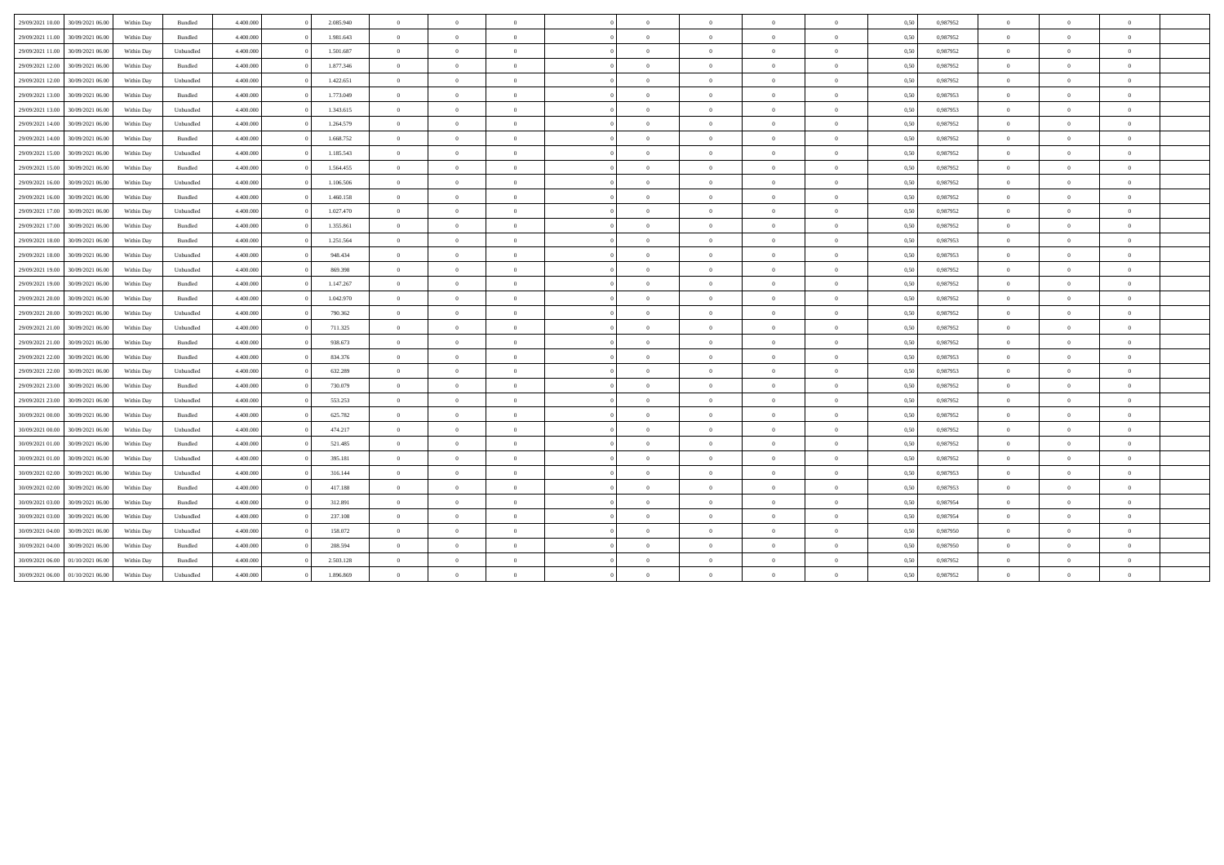| 29/09/2021 10:00 | 30/09/2021 06:00 | Within Day | <b>Bundled</b> | 4,400,000 | 2.085.940 | $\overline{0}$ | $\Omega$       | $\Omega$       | $\Omega$       | $\overline{0}$ | $\theta$       | $\overline{0}$ | 0,50 | 0,987952 | $\theta$    | $\Omega$       | $\overline{0}$ |  |
|------------------|------------------|------------|----------------|-----------|-----------|----------------|----------------|----------------|----------------|----------------|----------------|----------------|------|----------|-------------|----------------|----------------|--|
| 29/09/2021 11:00 | 30/09/2021 06:00 | Within Day | Bundled        | 4.400.000 | 1.981.643 | $\overline{0}$ | $\overline{0}$ | $\Omega$       | $\Omega$       | $\bf{0}$       | $\overline{0}$ | $\overline{0}$ | 0,50 | 0,987952 | $\theta$    | $\overline{0}$ | $\overline{0}$ |  |
| 29/09/2021 11:00 | 30/09/2021 06:00 | Within Day | Unbundled      | 4.400.000 | 1.501.687 | $\overline{0}$ | $\overline{0}$ | $\overline{0}$ | $\overline{0}$ | $\overline{0}$ | $\overline{0}$ | $\bf{0}$       | 0,50 | 0,987952 | $\theta$    | $\overline{0}$ | $\overline{0}$ |  |
| 29/09/2021 12:00 | 30/09/2021 06:00 | Within Day | Bundled        | 4.400,000 | 1.877.346 | $\overline{0}$ | $\overline{0}$ | $\overline{0}$ | $\Omega$       | $\overline{0}$ | $\overline{0}$ | $\mathbf{0}$   | 0,50 | 0,987952 | $\theta$    | $\overline{0}$ | $\overline{0}$ |  |
| 29/09/2021 12:00 | 30/09/2021 06:00 | Within Day | Unbundled      | 4.400.000 | 1.422.651 | $\overline{0}$ | $\Omega$       | $\Omega$       | $\Omega$       | $\Omega$       | $\Omega$       | $\overline{0}$ | 0,50 | 0,987952 | $\theta$    | $\theta$       | $\theta$       |  |
| 29/09/2021 13:00 | 30/09/2021 06:00 | Within Day | Bundled        | 4.400.000 | 1.773.049 | $\theta$       | $\Omega$       | $\Omega$       | $\Omega$       | $\bf{0}$       | $\theta$       | $\theta$       | 0,50 | 0.987953 | $\theta$    | $\theta$       | $\theta$       |  |
| 29/09/2021 13:00 | 30/09/2021 06:00 | Within Day | Unbundled      | 4.400,000 | 1.343.615 | $\overline{0}$ | $\overline{0}$ | $\overline{0}$ | $\overline{0}$ | $\overline{0}$ | $\overline{0}$ | $\overline{0}$ | 0.50 | 0.987953 | $\theta$    | $\theta$       | $\overline{0}$ |  |
| 29/09/2021 14:00 | 30/09/2021 06:00 | Within Day | Unbundled      | 4.400.000 | 1.264.579 | $\overline{0}$ | $\theta$       | $\overline{0}$ |                | $\bf{0}$       | $\overline{0}$ | $\overline{0}$ | 0,50 | 0,987952 | $\theta$    | $\theta$       | $\overline{0}$ |  |
| 29/09/2021 14:00 | 30/09/2021 06:00 | Within Day | Bundled        | 4.400.000 | 1.668.752 | $\overline{0}$ | $\overline{0}$ | $\overline{0}$ | $\Omega$       | $\overline{0}$ | $\overline{0}$ | $\mathbf{0}$   | 0,50 | 0.987952 | $\,$ 0 $\,$ | $\overline{0}$ | $\overline{0}$ |  |
| 29/09/2021 15:00 | 30/09/2021 06:00 | Within Day | Unbundled      | 4.400.000 | 1.185.543 | $\overline{0}$ | $\overline{0}$ | $\overline{0}$ | $\overline{0}$ | $\overline{0}$ | $\overline{0}$ | $\mathbf{0}$   | 0,50 | 0,987952 | $\theta$    | $\overline{0}$ | $\overline{0}$ |  |
| 29/09/2021 15:00 | 30/09/2021 06:00 | Within Day | Bundled        | 4.400.000 | 1.564.455 | $\overline{0}$ | $\overline{0}$ | $\overline{0}$ | $\overline{0}$ | $\overline{0}$ | $\overline{0}$ | $\overline{0}$ | 0,50 | 0,987952 | $\theta$    | $\theta$       | $\overline{0}$ |  |
| 29/09/2021 16:00 | 30/09/2021 06:00 | Within Day | Unbundled      | 4.400.000 | 1.106.506 | $\overline{0}$ | $\Omega$       | $\overline{0}$ | $\Omega$       | $\overline{0}$ | $\overline{0}$ | $\overline{0}$ | 0,50 | 0,987952 | $\theta$    | $\theta$       | $\overline{0}$ |  |
| 29/09/2021 16:00 | 30/09/2021 06.00 | Within Day | Bundled        | 4.400.000 | 1.460.158 | $\overline{0}$ | $\Omega$       | $\Omega$       | $\Omega$       | $\bf{0}$       | $\overline{0}$ | $\overline{0}$ | 0,50 | 0,987952 | $\theta$    | $\theta$       | $\theta$       |  |
| 29/09/2021 17:00 | 30/09/2021 06:00 | Within Day | Unbundled      | 4.400.000 | 1.027.470 | $\overline{0}$ | $\overline{0}$ | $\overline{0}$ | $\Omega$       | $\overline{0}$ | $\overline{0}$ | $\overline{0}$ | 0,50 | 0.987952 | $\theta$    | $\overline{0}$ | $\overline{0}$ |  |
| 29/09/2021 17:00 | 30/09/2021 06:00 | Within Day | Bundled        | 4.400.000 | 1.355.861 | $\overline{0}$ | $\Omega$       | $\overline{0}$ | $\Omega$       | $\Omega$       | $\overline{0}$ | $\overline{0}$ | 0.50 | 0.987952 | $\Omega$    | $\theta$       | $\theta$       |  |
| 29/09/2021 18:00 | 30/09/2021 06:00 | Within Day | Bundled        | 4.400.000 | 1.251.564 | $\overline{0}$ | $\theta$       | $\overline{0}$ | $\overline{0}$ | $\bf{0}$       | $\overline{0}$ | $\overline{0}$ | 0,50 | 0,987953 | $\theta$    | $\theta$       | $\overline{0}$ |  |
| 29/09/2021 18:00 | 30/09/2021 06:00 | Within Day | Unbundled      | 4.400.000 | 948.434   | $\theta$       | $\Omega$       | $\Omega$       | $\Omega$       | $\bf{0}$       | $\theta$       | $\theta$       | 0,50 | 0,987953 | $\theta$    | $\theta$       | $\theta$       |  |
| 29/09/2021 19:00 | 30/09/2021 06:00 | Within Day | Unbundled      | 4.400,000 | 869,398   | $\theta$       | $\Omega$       | $\Omega$       | $\Omega$       | $\Omega$       | $\theta$       | $\theta$       | 0,50 | 0,987952 | $\Omega$    | $\theta$       | $\theta$       |  |
| 29/09/2021 19:00 | 30/09/2021 06.00 | Within Day | Bundled        | 4.400.000 | 1.147.267 | $\Omega$       | $\overline{0}$ | $\Omega$       | $\Omega$       | $\overline{0}$ | $\overline{0}$ | $\overline{0}$ | 0,50 | 0,987952 | $\theta$    | $\overline{0}$ | $\overline{0}$ |  |
| 29/09/2021 20:00 | 30/09/2021 06:00 | Within Day | Bundled        | 4.400.000 | 1.042.970 | $\overline{0}$ | $\Omega$       | $\alpha$       | $\Omega$       | $\theta$       | $\overline{0}$ | $\overline{0}$ | 0,50 | 0,987952 | $\Omega$    | $\Omega$       | $\theta$       |  |
| 29/09/2021 20:00 | 30/09/2021 06:00 | Within Day | Unbundled      | 4.400.000 | 790.362   | $\overline{0}$ | $\Omega$       | $\overline{0}$ | $\Omega$       | $\overline{0}$ | $\overline{0}$ | $\overline{0}$ | 0,50 | 0.987952 | $\theta$    | $\Omega$       | $\overline{0}$ |  |
| 29/09/2021 21.00 | 30/09/2021 06:00 | Within Day | Unbundled      | 4.400.000 | 711.325   | $\overline{0}$ | $\overline{0}$ | $\overline{0}$ | $\overline{0}$ | $\overline{0}$ | $\overline{0}$ | $\overline{0}$ | 0,50 | 0.987952 | $\theta$    | $\overline{0}$ | $\overline{0}$ |  |
| 29/09/2021 21:00 | 30/09/2021 06:00 | Within Day | Bundled        | 4.400,000 | 938.673   | $\overline{0}$ | $\Omega$       | $\Omega$       | $\Omega$       | $\bf{0}$       | $\theta$       | $\overline{0}$ | 0.50 | 0.987952 | $\theta$    | $\theta$       | $\overline{0}$ |  |
| 29/09/2021 22.00 | 30/09/2021 06:00 | Within Day | Bundled        | 4.400.000 | 834.376   | $\overline{0}$ | $\overline{0}$ | $\overline{0}$ | $\overline{0}$ | $\bf{0}$       | $\overline{0}$ | $\overline{0}$ | 0,50 | 0,987953 | $\theta$    | $\overline{0}$ | $\overline{0}$ |  |
| 29/09/2021 22:00 | 30/09/2021 06:00 | Within Day | Unbundled      | 4.400.000 | 632.289   | $\overline{0}$ | $\overline{0}$ | $\overline{0}$ | $\Omega$       | $\overline{0}$ | $\overline{0}$ | $\bf{0}$       | 0,50 | 0.987953 | $\,0\,$     | $\overline{0}$ | $\overline{0}$ |  |
| 29/09/2021 23:00 | 30/09/2021 06:00 | Within Day | Bundled        | 4.400,000 | 730.079   | $\overline{0}$ | $\overline{0}$ | $\overline{0}$ | $\theta$       | $\overline{0}$ | $\overline{0}$ | $\overline{0}$ | 0,50 | 0,987952 | $\,$ 0 $\,$ | $\overline{0}$ | $\overline{0}$ |  |
| 29/09/2021 23:00 | 30/09/2021 06:00 | Within Day | Unbundled      | 4.400.000 | 553.253   | $\overline{0}$ | $\theta$       | $\Omega$       | $\Omega$       | $\bf{0}$       | $\theta$       | $\overline{0}$ | 0,50 | 0,987952 | $\theta$    | $\overline{0}$ | $\theta$       |  |
| 30/09/2021 00:00 | 30/09/2021 06:00 | Within Day | Bundled        | 4.400,000 | 625.782   | $\overline{0}$ | $\Omega$       | $\Omega$       | $\Omega$       | $\Omega$       | $\overline{0}$ | $\Omega$       | 0,50 | 0,987952 | $\Omega$    | $\theta$       | $\theta$       |  |
| 30/09/2021 00:00 | 30/09/2021 06:00 | Within Day | Unbundled      | 4.400,000 | 474.217   | $\overline{0}$ | $\Omega$       | $\Omega$       | $\Omega$       | $\Omega$       | $\overline{0}$ | $\overline{0}$ | 0.50 | 0.987952 | $\Omega$    | $\theta$       | $\theta$       |  |
| 30/09/2021 01:00 | 30/09/2021 06:00 | Within Day | Bundled        | 4.400.000 | 521.485   | $\theta$       | $\Omega$       | $\Omega$       |                | $\Omega$       | $\overline{0}$ | $\overline{0}$ | 0,50 | 0,987952 | $\Omega$    | $\theta$       | $\theta$       |  |
| 30/09/2021 01:00 | 30/09/2021 06:00 | Within Day | Unbundled      | 4.400.000 | 395.181   | $\overline{0}$ | $\overline{0}$ | $\overline{0}$ | $\Omega$       | $\overline{0}$ | $\overline{0}$ | $\mathbf{0}$   | 0,50 | 0.987952 | $\theta$    | $\overline{0}$ | $\overline{0}$ |  |
| 30/09/2021 02:00 | 30/09/2021 06:00 | Within Day | Unbundled      | 4.400.000 | 316.144   | $\overline{0}$ | $\overline{0}$ | $\overline{0}$ | $\overline{0}$ | $\overline{0}$ | $\overline{0}$ | $\mathbf{0}$   | 0,50 | 0,987953 | $\theta$    | $\overline{0}$ | $\overline{0}$ |  |
| 30/09/2021 02:00 | 30/09/2021 06:00 | Within Day | Bundled        | 4.400.000 | 417.188   | $\overline{0}$ | $\theta$       | $\overline{0}$ | $\overline{0}$ | $\bf{0}$       | $\overline{0}$ | $\overline{0}$ | 0,50 | 0,987953 | $\theta$    | $\theta$       | $\overline{0}$ |  |
| 30/09/2021 03:00 | 30/09/2021 06:00 | Within Day | Bundled        | 4.400.000 | 312.891   | $\overline{0}$ | $\overline{0}$ | $\overline{0}$ | $\overline{0}$ | $\overline{0}$ | $\overline{0}$ | $\overline{0}$ | 0,50 | 0,987954 | $\theta$    | $\theta$       | $\overline{0}$ |  |
| 30/09/2021 03:00 | 30/09/2021 06.00 | Within Day | Unbundled      | 4.400.000 | 237.108   | $\overline{0}$ | $\theta$       | $\Omega$       | $\Omega$       | $\bf{0}$       | $\overline{0}$ | $\overline{0}$ | 0,50 | 0.987954 | $\theta$    | $\theta$       | $\overline{0}$ |  |
| 30/09/2021 04:00 | 30/09/2021 06:00 | Within Day | Unbundled      | 4.400.000 | 158.072   | $\overline{0}$ | $\overline{0}$ | $\overline{0}$ | $\Omega$       | $\overline{0}$ | $\overline{0}$ | $\overline{0}$ | 0,50 | 0,987950 | $\theta$    | $\overline{0}$ | $\overline{0}$ |  |
| 30/09/2021 04:00 | 30/09/2021 06:00 | Within Day | Bundled        | 4.400.000 | 208,594   | $\overline{0}$ | $\Omega$       | $\overline{0}$ | $\Omega$       | $\Omega$       | $\overline{0}$ | $\overline{0}$ | 0,50 | 0,987950 | $\theta$    | $\theta$       | $\theta$       |  |
| 30/09/2021 06:00 | 01/10/2021 06.00 | Within Day | Bundled        | 4.400.000 | 2.503.128 | $\overline{0}$ | $\theta$       | $\overline{0}$ | $\overline{0}$ | $\bf{0}$       | $\overline{0}$ | $\overline{0}$ | 0,50 | 0,987952 | $\theta$    | $\theta$       | $\overline{0}$ |  |
| 30/09/2021 06:00 | 01/10/2021 06:00 | Within Day | Unbundled      | 4.400.000 | 1.896.869 | $\overline{0}$ | $\theta$       |                | $\Omega$       | $\bf{0}$       | $\Omega$       | $\Omega$       | 0,50 | 0,987952 | $\theta$    | $\theta$       | $\theta$       |  |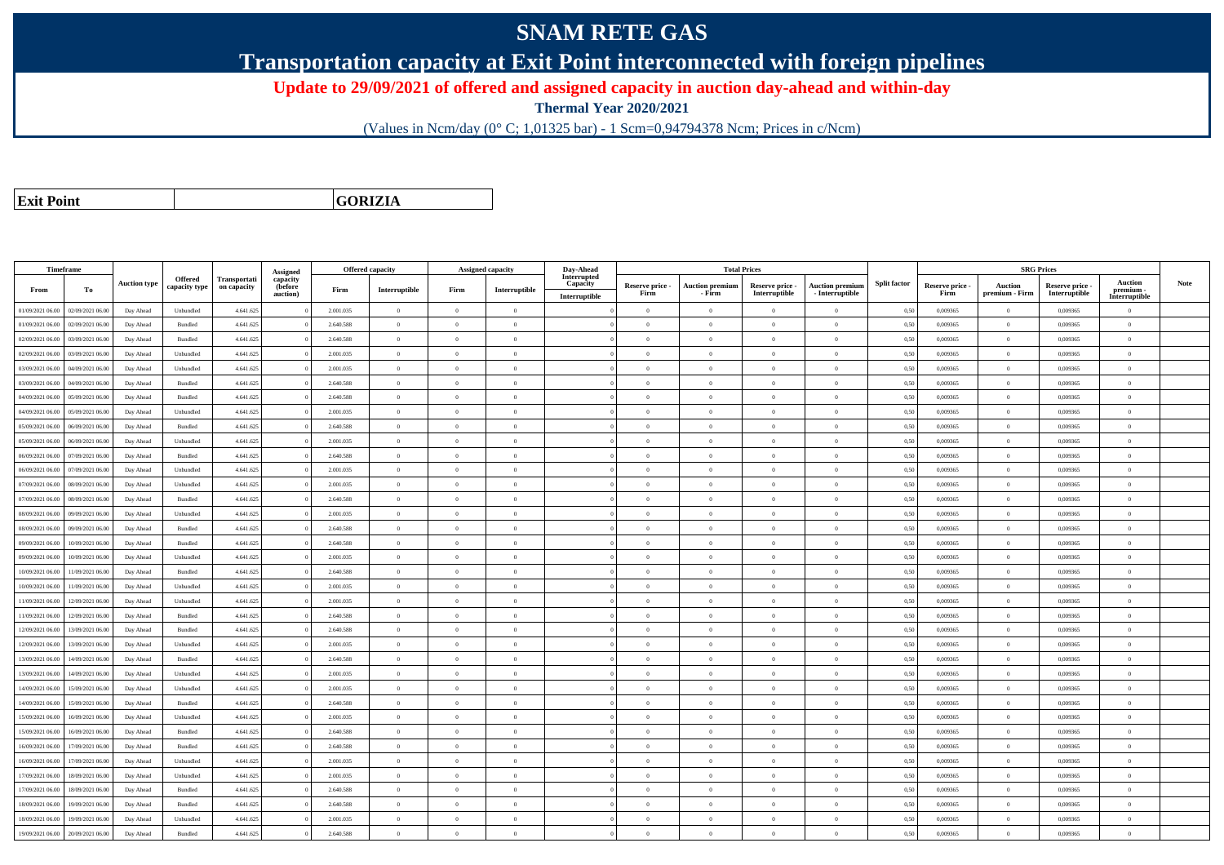## **SNAM RETE GAS**

**Transportation capacity at Exit Point interconnected with foreign pipelines**

**Update to 29/09/2021 of offered and assigned capacity in auction day-ahead and within-day**

**Thermal Year 2020/2021**

(Values in Ncm/day (0° C; 1,01325 bar) - 1 Scm=0,94794378 Ncm; Prices in c/Ncm)

**Exit Point**

**GORIZIA**

|                  | Timeframe        |                     |                          |                             |                                 |           | <b>Offered capacity</b> |                | <b>Assigned capacity</b> | Day-Ahead               |                 |                        | <b>Total Prices</b> |                        |                     |                 | <b>SRG Prices</b> |                 |                             |      |
|------------------|------------------|---------------------|--------------------------|-----------------------------|---------------------------------|-----------|-------------------------|----------------|--------------------------|-------------------------|-----------------|------------------------|---------------------|------------------------|---------------------|-----------------|-------------------|-----------------|-----------------------------|------|
| From             | To               | <b>Auction type</b> | Offered<br>capacity type | Transportati<br>on capacity | Assigned<br>capacity<br>(before | Firm      | Interruptible           | Firm           | Interruptible            | Interrupted<br>Capacity | Reserve price - | <b>Auction premium</b> | Reserve price -     | <b>Auction premium</b> | <b>Split factor</b> | Reserve price - | Auction           | Reserve price - | <b>Auction</b><br>premium - | Note |
|                  |                  |                     |                          |                             | auction)                        |           |                         |                |                          | Interruptible           | Firm            | - Firm                 | Interruptible       | $-$ Interruptible      |                     | Firm            | premium - Firm    | Interruptible   | Interruptible               |      |
| 01/09/2021 06:00 | 02/09/2021 06:00 | Day Ahead           | Unbundled                | 4.641.625                   |                                 | 2.001.035 | $\overline{0}$          | $\overline{0}$ | $\overline{0}$           |                         | $\theta$        | $\overline{0}$         | $\overline{0}$      | $\overline{0}$         | 0,50                | 0,009365        | $\theta$          | 0,009365        | $\overline{0}$              |      |
| 01/09/2021 06:00 | 02/09/2021 06:00 | Day Ahead           | Bundled                  | 4.641.625                   |                                 | 2.640.588 | $\overline{0}$          | $\Omega$       | $\overline{0}$           |                         | $\overline{0}$  | $\theta$               | $\Omega$            | $\overline{0}$         | 0,50                | 0,009365        | $\bf{0}$          | 0,009365        | $\bf{0}$                    |      |
| 02/09/2021 06:00 | 03/09/2021 06:00 | Day Ahead           | Bundled                  | 4.641.625                   |                                 | 2.640.588 | $\overline{0}$          | $\Omega$       | $\theta$                 |                         | $\Omega$        |                        |                     | $\theta$               | 0,50                | 0,009365        | $\theta$          | 0,009365        | $\overline{0}$              |      |
| 02/09/2021 06:00 | 03/09/2021 06:00 | Day Ahead           | Unbundled                | 4.641.625                   |                                 | 2.001.035 | $\overline{0}$          | $\overline{0}$ | $\Omega$                 |                         | $\theta$        | $\theta$               | $\Omega$            | $\overline{0}$         | 0,50                | 0.009365        | $\overline{0}$    | 0.009365        | $\theta$                    |      |
| 03/09/2021 06:00 | 04/09/2021 06:00 | Day Ahead           | Unbundled                | 4.641.625                   |                                 | 2.001.035 | $\overline{0}$          | $\overline{0}$ | $\theta$                 |                         | $\theta$        | $\theta$               | $\overline{0}$      | $\overline{0}$         | 0,50                | 0,009365        | $\theta$          | 0,009365        | $\overline{0}$              |      |
| 03/09/2021 06:00 | 04/09/2021 06:00 | Day Ahead           | Bundled                  | 4.641.625                   |                                 | 2.640.588 | $\overline{0}$          | $\Omega$       | $\Omega$                 |                         | $\theta$        | $\theta$               | $\Omega$            | $\theta$               | 0,50                | 0.009365        | $\theta$          | 0.009365        | $\theta$                    |      |
| 04/09/2021 06:00 | 05/09/2021 06:00 | Day Ahead           | Bundled                  | 4.641.625                   |                                 | 2.640.588 | $\overline{0}$          | $\theta$       | $\theta$                 |                         | $\theta$        | $\sqrt{2}$             | $\Omega$            | $\theta$               | 0,50                | 0.009365        | $\mathbf{0}$      | 0.009365        | $\theta$                    |      |
| 04/09/2021 06:00 | 05/09/2021 06:00 | Day Ahead           | Unbundled                | 4.641.625                   |                                 | 2.001.035 | $\overline{0}$          | $\theta$       | $\Omega$                 |                         | $\theta$        | $\theta$               | $\Omega$            | $\theta$               | 0,50                | 0,009365        | $\theta$          | 0,009365        | $\Omega$                    |      |
| 05/09/2021 06:00 | 06/09/2021 06:00 | Day Ahead           | Bundled                  | 4.641.625                   |                                 | 2.640.588 | $\overline{0}$          | $\Omega$       | $\Omega$                 |                         | $\theta$        | $\sqrt{2}$             | $\Omega$            | $\theta$               | 0.50                | 0.009365        | $\Omega$          | 0.009365        | $\theta$                    |      |
| 05/09/2021 06:00 | 06/09/2021 06.00 | Day Ahead           | Unbundled                | 4.641.625                   |                                 | 2.001.035 | $\Omega$                | $\Omega$       | $\Omega$                 |                         | $\theta$        | $\theta$               |                     | $\theta$               | 0,50                | 0,009365        | $\theta$          | 0,009365        | $\Omega$                    |      |
| 06/09/2021 06:00 | 07/09/2021 06:00 | Day Ahead           | Bundled                  | 4.641.625                   |                                 | 2.640.588 | $\overline{0}$          | $\overline{0}$ | $\theta$                 |                         | $\theta$        | $\theta$               | $\Omega$            | $\theta$               | 0.50                | 0.009365        | $\Omega$          | 0.009365        | $\theta$                    |      |
| 06/09/2021 06:00 | 07/09/2021 06:00 | Day Ahead           | Unbundled                | 4.641.625                   |                                 | 2.001.035 | $\overline{0}$          | $\overline{0}$ | $\theta$                 |                         | $\theta$        | $\bf{0}$               | $\overline{0}$      | $\overline{0}$         | 0,50                | 0,009365        | $\overline{0}$    | 0,009365        | $\overline{0}$              |      |
| 07/09/2021 06:00 | 08/09/2021 06:00 | Day Ahead           | Unbundled                | 4.641.625                   |                                 | 2.001.035 | $\overline{0}$          | $\Omega$       | $\theta$                 |                         | $\theta$        | $\theta$               | $\Omega$            | $\overline{0}$         | 0.50                | 0.009365        | $\theta$          | 0.009365        | $\overline{0}$              |      |
| 07/09/2021 06:00 | 08/09/2021 06:00 | Day Ahead           | Bundled                  | 4.641.625                   |                                 | 2.640.588 | $\overline{0}$          | $\overline{0}$ | $\Omega$                 |                         | $\theta$        | $\mathbf{0}$           | $\Omega$            | $\overline{0}$         | 0,50                | 0.009365        | $\bf{0}$          | 0.009365        | $\overline{0}$              |      |
| 08/09/2021 06:00 | 09/09/2021 06:00 | Day Ahead           | Unbundled                | 4.641.625                   |                                 | 2.001.035 | $\overline{0}$          | $\Omega$       | $\theta$                 |                         | $\theta$        | $\theta$               | $\Omega$            | $\overline{0}$         | 0,50                | 0,009365        | $\theta$          | 0,009365        | $\overline{0}$              |      |
| 08/09/2021 06:00 | 09/09/2021 06:00 | Day Ahead           | Bundled                  | 4.641.625                   |                                 | 2.640.588 | $\overline{0}$          | $\Omega$       | $\Omega$                 |                         | $\theta$        | $\Omega$               | $\Omega$            | $\theta$               | 0,50                | 0.009365        | $\theta$          | 0.009365        | $\theta$                    |      |
| 09/09/2021 06:00 | 10/09/2021 06:00 | Day Ahead           | Bundled                  | 4.641.625                   |                                 | 2.640.588 | $\overline{0}$          | $\theta$       | $\Omega$                 |                         | $\theta$        | $\sqrt{2}$             | $\Omega$            | $\theta$               | 0,50                | 0,009365        | $\theta$          | 0,009365        | $\theta$                    |      |
| 09/09/2021 06:00 | 10/09/2021 06:00 | Day Ahead           | Unbundled                | 4.641.625                   |                                 | 2.001.035 | $\overline{0}$          | $\Omega$       | $\Omega$                 |                         | $\theta$        | $\theta$               | $\Omega$            | $\overline{0}$         | 0,50                | 0,009365        | $\theta$          | 0,009365        | $\overline{0}$              |      |
| 10/09/2021 06:00 | 11/09/2021 06:00 | Day Ahead           | Bundled                  | 4.641.625                   |                                 | 2.640.588 | $\overline{0}$          | $\theta$       | $\Omega$                 |                         | $\theta$        | $\Omega$               | $\Omega$            | $\overline{0}$         | 0.50                | 0.009365        | $\overline{0}$    | 0.009365        | $\theta$                    |      |
| 10/09/2021 06:00 | 11/09/2021 06.00 | Day Ahead           | Unbundled                | 4.641.625                   |                                 | 2.001.035 | $\overline{0}$          | $\overline{0}$ | $\Omega$                 |                         | $\theta$        | $\theta$               | $\Omega$            | $\overline{0}$         | 0,50                | 0,009365        | $\theta$          | 0,009365        | $\overline{0}$              |      |
| 11/09/2021 06:00 | 12/09/2021 06:00 | Day Ahead           | Unbundled                | 4.641.625                   |                                 | 2.001.035 | $\theta$                | $\theta$       | $\theta$                 |                         | $\theta$        | $\theta$               | $\Omega$            | $\theta$               | 0.50                | 0.009365        | $\Omega$          | 0.009365        | $\theta$                    |      |
| 11/09/2021 06:00 | 12/09/2021 06:00 | Day Ahead           | Bundled                  | 4.641.625                   |                                 | 2.640.588 | $\overline{0}$          | $\Omega$       | $\Omega$                 |                         | $\Omega$        | $\theta$               | $\Omega$            | $\theta$               | 0,50                | 0,009365        | $\theta$          | 0.009365        | $\theta$                    |      |
| 12/09/2021 06:00 | 13/09/2021 06:00 | Day Ahead           | Bundled                  | 4.641.625                   |                                 | 2.640.588 | $\overline{0}$          | $\overline{0}$ | $\overline{0}$           |                         | $\theta$        | $\theta$               |                     | $\overline{0}$         | 0,50                | 0,009365        | $\theta$          | 0.009365        | $\overline{0}$              |      |
| 12/09/2021 06:00 | 13/09/2021 06:00 | Day Ahead           | Unbundled                | 4.641.625                   |                                 | 2.001.035 | $\overline{0}$          | $\overline{0}$ | $\theta$                 |                         | $\theta$        | $\theta$               | $\Omega$            | $\theta$               | 0,50                | 0,009365        | $\,$ 0 $\,$       | 0,009365        | $\overline{0}$              |      |
| 13/09/2021 06:00 | 14/09/2021 06.00 | Day Ahead           | Bundled                  | 4.641.625                   |                                 | 2.640.588 | $\overline{0}$          | $\theta$       | $\theta$                 |                         | $\theta$        | $\overline{0}$         | $\overline{0}$      | $\overline{0}$         | 0,50                | 0,009365        | $\theta$          | 0,009365        | $\overline{0}$              |      |
| 13/09/2021 06:00 | 14/09/2021 06:00 | Day Ahead           | Unbundled                | 4.641.625                   |                                 | 2.001.035 | $\overline{0}$          | $\Omega$       | $\Omega$                 |                         | $\Omega$        | $\Omega$               |                     | $\overline{0}$         | 0,50                | 0,009365        | $\theta$          | 0,009365        | $\theta$                    |      |
| 14/09/2021 06:00 | 15/09/2021 06:00 | Day Ahead           | Unbundled                | 4.641.625                   |                                 | 2.001.035 | $\,$ 0 $\,$             | $\theta$       | $\Omega$                 |                         | $\theta$        | $\sqrt{2}$             | $\Omega$            | $\overline{0}$         | 0,50                | 0,009365        | $\,$ 0 $\,$       | 0.009365        | $\overline{0}$              |      |
| 14/09/2021 06:00 | 15/09/2021 06:00 | Day Ahead           | Bundled                  | 4.641.625                   |                                 | 2.640.588 | $\overline{0}$          | $\Omega$       | $\Omega$                 |                         | $\Omega$        | $\theta$               | $\Omega$            | $\overline{0}$         | 0,50                | 0,009365        | $\theta$          | 0,009365        | $\theta$                    |      |
| 15/09/2021 06:00 | 16/09/2021 06:00 | Day Ahead           | Unbundled                | 4.641.625                   |                                 | 2.001.035 | $\overline{0}$          | $\theta$       | $\theta$                 |                         | $\theta$        | $\theta$               | $\Omega$            | $\theta$               | 0.50                | 0.009365        | $\Omega$          | 0.009365        | $\theta$                    |      |
| 15/09/2021 06:00 | 16/09/2021 06.0  | Day Ahead           | Bundled                  | 4.641.625                   |                                 | 2.640.588 | $\overline{0}$          | $\theta$       | $\Omega$                 |                         | $\theta$        | $\theta$               | $\Omega$            | $\overline{0}$         | 0,50                | 0,009365        | $\theta$          | 0,009365        | $\overline{0}$              |      |
| 16/09/2021 06:00 | 17/09/2021 06:00 | Day Ahead           | Bundled                  | 4.641.625                   |                                 | 2.640.588 | $\overline{0}$          | $\theta$       | $\Omega$                 |                         | $\theta$        | $\theta$               | $\Omega$            | $\overline{0}$         | 0,50                | 0.009365        | $\theta$          | 0.009365        | $\theta$                    |      |
| 16/09/2021 06:00 | 17/09/2021 06:00 | Day Ahead           | Unbundled                | 4.641.625                   |                                 | 2.001.035 | $\overline{0}$          | $\theta$       | $\Omega$                 |                         | $\theta$        | $\mathbf{0}$           | $\Omega$            | $\overline{0}$         | 0.50                | 0.009365        | $\overline{0}$    | 0.009365        | $\theta$                    |      |
| 17/09/2021 06:00 | 18/09/2021 06:00 | Day Ahead           | Unbundled                | 4.641.625                   |                                 | 2.001.035 | $\overline{0}$          | $\theta$       | $\Omega$                 |                         | $\theta$        | $\theta$               |                     | $\theta$               | 0.50                | 0.009365        | $\theta$          | 0.009365        | $\Omega$                    |      |
| 17/09/2021 06:00 | 18/09/2021 06:00 | Day Ahead           | Bundled                  | 4.641.625                   |                                 | 2.640.588 | $\overline{0}$          | $\overline{0}$ | $\theta$                 |                         | $\theta$        | $\theta$               | $\Omega$            | $\overline{0}$         | 0.50                | 0.009365        | $\theta$          | 0.009365        | $\overline{0}$              |      |
| 18/09/2021 06:00 | 19/09/2021 06:00 | Day Ahead           | Bundled                  | 4.641.625                   |                                 | 2.640.588 | $\overline{0}$          | $\Omega$       | $\theta$                 |                         | $\theta$        | $\theta$               | $\Omega$            | $\overline{0}$         | 0,50                | 0,009365        | $\bf{0}$          | 0,009365        | $\bf{0}$                    |      |
| 18/09/2021 06:00 | 19/09/2021 06.00 | Day Ahead           | Unbundled                | 4.641.625                   |                                 | 2.001.035 | $\overline{0}$          | $\Omega$       | $\Omega$                 |                         | $\Omega$        |                        |                     | $\theta$               | 0,50                | 0,009365        | $\theta$          | 0,009365        | $\overline{0}$              |      |
| 19/09/2021 06:00 | 20/09/2021 06:00 | Day Ahead           | Bundled                  | 4.641.625                   |                                 | 2.640.588 | $\overline{0}$          | $\Omega$       | $\Omega$                 |                         | $\Omega$        | $\Omega$               |                     | $\theta$               | 0,50                | 0,009365        | $\theta$          | 0,009365        | $\bf{0}$                    |      |
|                  |                  |                     |                          |                             |                                 |           |                         |                |                          |                         |                 |                        |                     |                        |                     |                 |                   |                 |                             |      |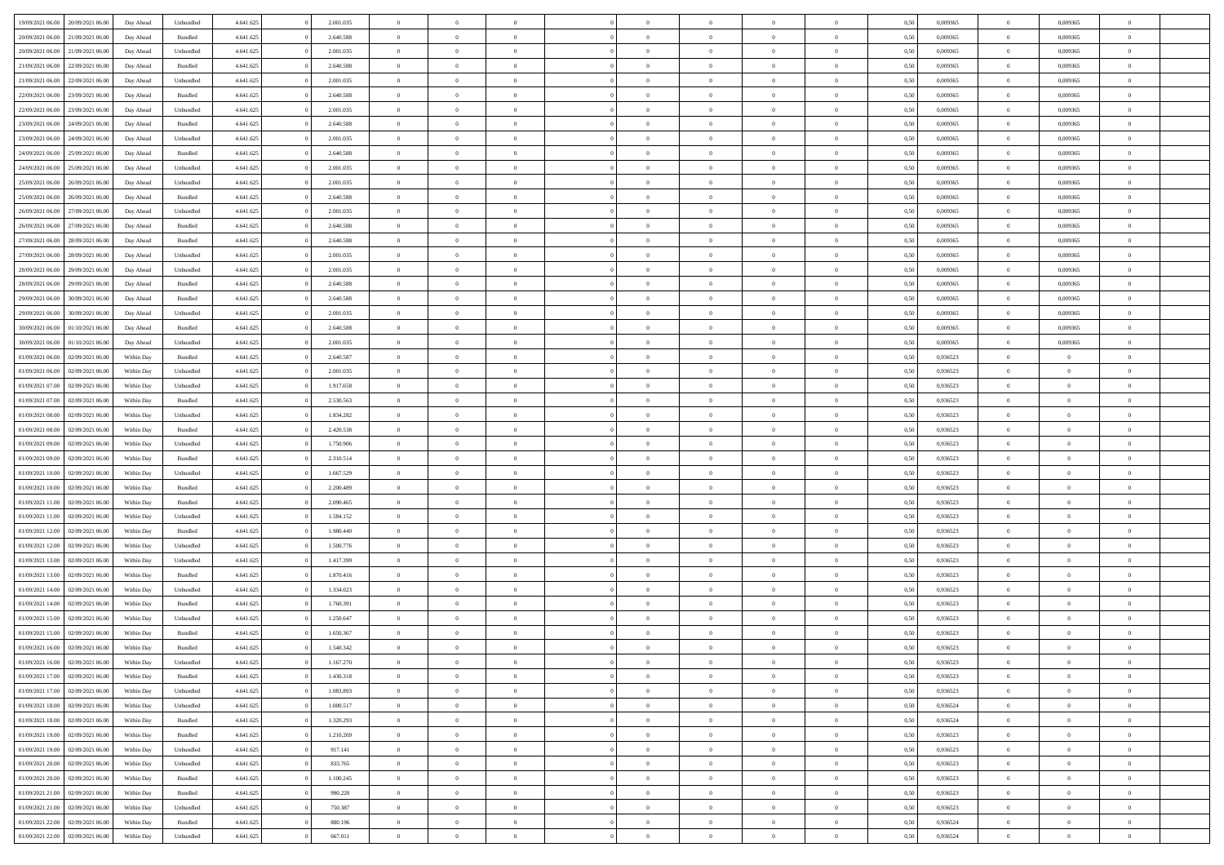| 19/09/2021 06:00 20/09/2021 06:00                                            | Day Ahead  | Unbundled          | 4.641.625              | 2.001.035              | $\overline{0}$                   | $\overline{0}$             |                | $\Omega$       | $\theta$                         | $\Omega$                         | $\theta$             | 0,50 | 0,009365             | $\theta$                | 0,009365                | $\theta$                         |  |
|------------------------------------------------------------------------------|------------|--------------------|------------------------|------------------------|----------------------------------|----------------------------|----------------|----------------|----------------------------------|----------------------------------|----------------------|------|----------------------|-------------------------|-------------------------|----------------------------------|--|
| 20/09/2021 06:00<br>21/09/2021 06:00                                         | Day Ahead  | Bundled            | 4.641.625              | 2.640.588              | $\overline{0}$                   | $\overline{0}$             | $\overline{0}$ | $\overline{0}$ | $\theta$                         | $\overline{0}$                   | $\bf{0}$             | 0,50 | 0,009365             | $\theta$                | 0,009365                | $\overline{0}$                   |  |
| 20/09/2021 06:00<br>21/09/2021 06:00                                         | Day Ahead  | Unbundled          | 4.641.625              | 2.001.035              | $\overline{0}$                   | $\bf{0}$                   | $\overline{0}$ | $\overline{0}$ | $\overline{0}$                   | $\bf{0}$                         | $\bf{0}$             | 0,50 | 0,009365             | $\bf{0}$                | 0,009365                | $\overline{0}$                   |  |
| 21/09/2021 06:00<br>22/09/2021 06:00                                         | Day Ahead  | Bundled            | 4.641.625              | 2.640.588              | $\overline{0}$                   | $\overline{0}$             | $\overline{0}$ | $\overline{0}$ | $\theta$                         | $\overline{0}$                   | $\overline{0}$       | 0.50 | 0.009365             | $\theta$                | 0.009365                | $\overline{0}$                   |  |
| 21/09/2021 06:00<br>22/09/2021 06:00                                         | Day Ahead  | Unbundled          | 4.641.625              | 2.001.035              | $\overline{0}$                   | $\theta$                   | $\overline{0}$ | $\overline{0}$ | $\theta$                         | $\overline{0}$                   | $\bf{0}$             | 0,50 | 0,009365             | $\theta$                | 0,009365                | $\overline{0}$                   |  |
| 22/09/2021 06:00<br>23/09/2021 06:00                                         | Day Ahead  | Bundled            | 4.641.625              | 2.640.588              | $\overline{0}$                   | $\bf{0}$                   | $\overline{0}$ | $\overline{0}$ | $\bf{0}$                         | $\overline{0}$                   | $\bf{0}$             | 0,50 | 0,009365             | $\bf{0}$                | 0,009365                | $\bf{0}$                         |  |
| 22/09/2021 06:00<br>23/09/2021 06:00                                         | Day Ahead  | Unbundled          | 4.641.625              | 2.001.035              | $\overline{0}$                   | $\overline{0}$             | $\overline{0}$ | $\overline{0}$ | $\overline{0}$                   | $\overline{0}$                   | $\overline{0}$       | 0.5( | 0,009365             | $\theta$                | 0,009365                | $\overline{0}$                   |  |
|                                                                              |            |                    |                        |                        |                                  |                            |                |                |                                  |                                  |                      |      |                      |                         |                         |                                  |  |
| 23/09/2021 06:00<br>24/09/2021 06:00                                         | Day Ahead  | Bundled            | 4.641.625              | 2.640.588              | $\overline{0}$                   | $\overline{0}$             | $\overline{0}$ | $\overline{0}$ | $\theta$                         | $\overline{0}$                   | $\bf{0}$             | 0,50 | 0,009365             | $\theta$                | 0,009365                | $\overline{0}$                   |  |
| 23/09/2021 06:00<br>24/09/2021 06.00                                         | Day Ahead  | Unbundled          | 4.641.625              | 2.001.035              | $\overline{0}$                   | $\bf{0}$                   | $\overline{0}$ | $\overline{0}$ | $\overline{0}$                   | $\overline{0}$                   | $\bf{0}$             | 0,50 | 0,009365             | $\bf{0}$                | 0,009365                | $\overline{0}$                   |  |
| 24/09/2021 06:00<br>25/09/2021 06:00                                         | Day Ahead  | Bundled            | 4.641.625              | 2.640.588              | $\overline{0}$                   | $\overline{0}$             | $\overline{0}$ | $\overline{0}$ | $\overline{0}$                   | $\overline{0}$                   | $\overline{0}$       | 0.5( | 0,009365             | $\theta$                | 0,009365                | $\overline{0}$                   |  |
| 24/09/2021 06:00<br>25/09/2021 06:00                                         | Day Ahead  | Unbundled          | 4.641.625              | 2.001.035              | $\overline{0}$                   | $\overline{0}$             | $\overline{0}$ | $\overline{0}$ | $\theta$                         | $\overline{0}$                   | $\bf{0}$             | 0,50 | 0,009365             | $\theta$                | 0,009365                | $\overline{0}$                   |  |
| 25/09/2021 06:00<br>26/09/2021 06.00                                         | Day Ahead  | Unbundled          | 4.641.625              | 2.001.035              | $\overline{0}$                   | $\bf{0}$                   | $\overline{0}$ | $\overline{0}$ | $\overline{0}$                   | $\bf{0}$                         | $\bf{0}$             | 0,50 | 0,009365             | $\bf{0}$                | 0,009365                | $\overline{0}$                   |  |
| 25/09/2021 06:00<br>26/09/2021 06:00                                         | Day Ahead  | Bundled            | 4.641.625              | 2.640.588              | $\overline{0}$                   | $\overline{0}$             | $\overline{0}$ | $\overline{0}$ | $\theta$                         | $\overline{0}$                   | $\overline{0}$       | 0.5( | 0.009365             | $\theta$                | 0.009365                | $\overline{0}$                   |  |
| 26/09/2021 06:00<br>27/09/2021 06:00                                         | Day Ahead  | Unbundled          | 4.641.625              | 2.001.035              | $\overline{0}$                   | $\overline{0}$             | $\overline{0}$ | $\overline{0}$ | $\theta$                         | $\overline{0}$                   | $\bf{0}$             | 0,50 | 0,009365             | $\theta$                | 0,009365                | $\overline{0}$                   |  |
| 26/09/2021 06:00<br>27/09/2021 06:00                                         | Day Ahead  | Bundled            | 4.641.625              | 2.640.588              | $\overline{0}$                   | $\bf{0}$                   | $\overline{0}$ | $\overline{0}$ | $\bf{0}$                         | $\overline{0}$                   | $\bf{0}$             | 0,50 | 0,009365             | $\bf{0}$                | 0,009365                | $\bf{0}$                         |  |
| 27/09/2021 06:00<br>28/09/2021 06:00                                         | Day Ahead  | Bundled            | 4.641.625              | 2.640.588              | $\overline{0}$                   | $\overline{0}$             | $\overline{0}$ | $\overline{0}$ | $\overline{0}$                   | $\overline{0}$                   | $\overline{0}$       | 0.5( | 0,009365             | $\overline{0}$          | 0,009365                | $\overline{0}$                   |  |
| 27/09/2021 06:00<br>28/09/2021 06:00                                         | Day Ahead  | Unbundled          | 4.641.625              | 2.001.035              | $\overline{0}$                   | $\theta$                   | $\overline{0}$ | $\overline{0}$ | $\theta$                         | $\overline{0}$                   | $\bf{0}$             | 0,50 | 0,009365             | $\theta$                | 0,009365                | $\overline{0}$                   |  |
| 28/09/2021 06:00<br>29/09/2021 06.00                                         | Day Ahead  | Unbundled          | 4.641.625              | 2.001.035              | $\overline{0}$                   | $\bf{0}$                   | $\bf{0}$       | $\overline{0}$ | $\overline{0}$                   | $\overline{0}$                   | $\bf{0}$             | 0,50 | 0,009365             | $\bf{0}$                | 0,009365                | $\overline{0}$                   |  |
| 28/09/2021 06:00<br>29/09/2021 06:00                                         | Day Ahead  | Bundled            | 4.641.625              | 2.640.588              | $\overline{0}$                   | $\overline{0}$             | $\overline{0}$ | $\overline{0}$ | $\overline{0}$                   | $\overline{0}$                   | $\overline{0}$       | 0.5( | 0,009365             | $\theta$                | 0,009365                | $\overline{0}$                   |  |
| 29/09/2021 06:00<br>30/09/2021 06:00                                         | Day Ahead  | Bundled            | 4.641.625              | 2.640.588              | $\bf{0}$                         | $\overline{0}$             | $\overline{0}$ | $\overline{0}$ | $\theta$                         | $\overline{0}$                   | $\bf{0}$             | 0,50 | 0,009365             | $\theta$                | 0,009365                | $\overline{0}$                   |  |
| 29/09/2021 06:00<br>30/09/2021 06:00                                         | Day Ahead  | Unbundled          | 4.641.625              | 2.001.035              | $\overline{0}$                   | $\bf{0}$                   | $\overline{0}$ | $\overline{0}$ | $\overline{0}$                   | $\bf{0}$                         | $\bf{0}$             | 0,50 | 0,009365             | $\bf{0}$                | 0,009365                | $\overline{0}$                   |  |
| 30/09/2021 06:00<br>01/10/2021 06:00                                         | Day Ahead  | Bundled            | 4.641.625              | 2.640.588              | $\overline{0}$                   | $\overline{0}$             | $\overline{0}$ | $\overline{0}$ | $\overline{0}$                   | $\overline{0}$                   | $\overline{0}$       | 0.5( | 0.009365             | $\overline{0}$          | 0.009365                | $\overline{0}$                   |  |
| 30/09/2021 06:00<br>01/10/2021 06:00                                         | Day Ahead  | Unbundled          | 4.641.625              | 2.001.035              | $\overline{0}$                   | $\theta$                   | $\overline{0}$ | $\overline{0}$ | $\theta$                         | $\overline{0}$                   | $\bf{0}$             | 0,50 | 0,009365             | $\theta$                | 0,009365                | $\overline{0}$                   |  |
| 01/09/2021 06:00<br>02/09/2021 06:00                                         | Within Day | Bundled            | 4.641.625              | 2.640.587              | $\overline{0}$                   | $\bf{0}$                   | $\overline{0}$ | $\overline{0}$ | $\bf{0}$                         | $\overline{0}$                   | $\bf{0}$             | 0,50 | 0,936523             | $\bf{0}$                | $\overline{0}$          | $\bf{0}$                         |  |
| 01/09/2021 06:00<br>02/09/2021 06:00                                         | Within Day | Unbundled          | 4.641.625              | 2.001.035              | $\overline{0}$                   | $\overline{0}$             | $\overline{0}$ | $\overline{0}$ | $\overline{0}$                   | $\overline{0}$                   | $\overline{0}$       | 0.5( | 0.936523             | $\theta$                | $\theta$                | $\overline{0}$                   |  |
| 01/09/2021 07:00<br>02/09/2021 06:00                                         | Within Day | Unbundled          | 4.641.625              | 1.917.658              | $\overline{0}$                   | $\overline{0}$             | $\overline{0}$ | $\overline{0}$ | $\theta$                         | $\overline{0}$                   | $\bf{0}$             | 0,50 | 0,936523             | $\theta$                | $\theta$                | $\overline{0}$                   |  |
| 01/09/2021 07:00<br>02/09/2021 06:00                                         | Within Day | Bundled            | 4.641.625              | 2.530.563              | $\overline{0}$                   | $\bf{0}$                   | $\overline{0}$ | $\overline{0}$ | $\overline{0}$                   | $\overline{0}$                   | $\bf{0}$             | 0,50 | 0,936523             | $\bf{0}$                | $\bf{0}$                | $\overline{0}$                   |  |
| 01/09/2021 08:00<br>02/09/2021 06:00                                         | Within Day | Unbundled          | 4.641.625              | 1.834.282              | $\overline{0}$                   | $\overline{0}$             | $\overline{0}$ | $\overline{0}$ | $\overline{0}$                   | $\overline{0}$                   | $\overline{0}$       | 0.5( | 0.936523             | $\theta$                | $\theta$                | $\overline{0}$                   |  |
| 01/09/2021 08:00<br>02/09/2021 06:00                                         | Within Day | Bundled            | 4.641.625              | 2.420.538              | $\bf{0}$                         | $\overline{0}$             | $\overline{0}$ | $\overline{0}$ | $\theta$                         | $\overline{0}$                   | $\bf{0}$             | 0,50 | 0,936523             | $\theta$                | $\theta$                | $\overline{0}$                   |  |
| 01/09/2021 09:00<br>02/09/2021 06:00                                         | Within Day | Unbundled          | 4.641.625              | 1.750.906              | $\overline{0}$                   | $\bf{0}$                   | $\overline{0}$ | $\overline{0}$ | $\overline{0}$                   | $\bf{0}$                         | $\bf{0}$             | 0,50 | 0,936523             | $\bf{0}$                | $\overline{0}$          | $\overline{0}$                   |  |
| 01/09/2021 09:00<br>02/09/2021 06.00                                         | Within Day | Bundled            | 4.641.625              | 2.310.514              | $\overline{0}$                   | $\Omega$                   | $\Omega$       | $\Omega$       | $\Omega$                         | $\theta$                         | $\overline{0}$       | 0.50 | 0,936523             | $\theta$                | $\Omega$                | $\theta$                         |  |
| 01/09/2021 10:00<br>02/09/2021 06:00                                         | Within Day | Unbundled          | 4.641.625              | 1.667.529              | $\overline{0}$                   | $\overline{0}$             | $\overline{0}$ | $\overline{0}$ | $\theta$                         | $\overline{0}$                   | $\bf{0}$             | 0,50 | 0,936523             | $\theta$                | $\theta$                | $\overline{0}$                   |  |
| 01/09/2021 10:00<br>02/09/2021 06:00                                         | Within Day | Bundled            | 4.641.625              | 2.200.489              | $\overline{0}$                   | $\bf{0}$                   | $\overline{0}$ | $\overline{0}$ | $\bf{0}$                         | $\overline{0}$                   | $\bf{0}$             | 0,50 | 0,936523             | $\bf{0}$                | $\overline{0}$          | $\bf{0}$                         |  |
| 01/09/2021 11:00<br>02/09/2021 06:00                                         | Within Day | Bundled            | 4.641.625              | 2.090.465              | $\Omega$                         | $\Omega$                   | $\Omega$       | $\Omega$       | $\Omega$                         | $\theta$                         | $\overline{0}$       | 0.50 | 0.936523             | $\theta$                | $\Omega$                | $\theta$                         |  |
| 01/09/2021 11:00<br>02/09/2021 06:00                                         | Within Day | Unbundled          | 4.641.625              | 1.584.152              | $\overline{0}$                   | $\overline{0}$             | $\overline{0}$ | $\overline{0}$ | $\theta$                         | $\overline{0}$                   | $\bf{0}$             | 0,50 | 0,936523             | $\theta$                | $\theta$                | $\overline{0}$                   |  |
| 01/09/2021 12:00<br>02/09/2021 06:00                                         | Within Day | Bundled            | 4.641.625              | 1.980.440              | $\overline{0}$                   | $\bf{0}$                   | $\bf{0}$       | $\overline{0}$ | $\overline{0}$                   | $\overline{0}$                   | $\bf{0}$             | 0,50 | 0,936523             | $\bf{0}$                | $\bf{0}$                | $\overline{0}$                   |  |
| 01/09/2021 12:00<br>02/09/2021 06:00                                         | Within Day | Unbundled          | 4.641.625              | 1.500.776              | $\overline{0}$                   | $\theta$                   | $\Omega$       | $\Omega$       | $\Omega$                         | $\Omega$                         | $\overline{0}$       | 0.50 | 0.936523             | $\theta$                | $\Omega$                | $\theta$                         |  |
| 01/09/2021 13:00<br>02/09/2021 06:00                                         | Within Day | Unbundled          | 4.641.625              | 1.417.399              | $\bf{0}$                         | $\overline{0}$             | $\overline{0}$ | $\overline{0}$ | $\theta$                         | $\overline{0}$                   | $\bf{0}$             | 0,50 | 0,936523             | $\theta$                | $\theta$                | $\overline{0}$                   |  |
| 01/09/2021 13:00<br>02/09/2021 06:00                                         | Within Day | Bundled            | 4.641.625              | 1.870.416              | $\overline{0}$                   | $\bf{0}$                   | $\overline{0}$ | $\overline{0}$ | $\overline{0}$                   | $\overline{0}$                   | $\bf{0}$             | 0,50 | 0,936523             | $\bf{0}$                | $\overline{0}$          | $\overline{0}$                   |  |
| 01/09/2021 14:00<br>02/09/2021 06.00                                         | Within Day | Unbundled          | 4.641.625              | 1.334.023              | $\overline{0}$                   | $\Omega$                   | $\Omega$       | $\Omega$       | $\Omega$                         | $\theta$                         | $\overline{0}$       | 0.50 | 0,936523             | $\theta$                | $\Omega$                | $\theta$                         |  |
| 01/09/2021 14:00<br>02/09/2021 06:00                                         | Within Day | Bundled            | 4.641.625              | 1.760.391              | $\bf{0}$                         | $\overline{0}$             | $\overline{0}$ | $\overline{0}$ | $\theta$                         | $\overline{0}$                   | $\bf{0}$             | 0,50 | 0,936523             | $\theta$                | $\theta$                | $\overline{0}$                   |  |
| 01/09/2021 15:00<br>02/09/2021 06:00                                         | Within Day | Unbundled          | 4.641.625              | 1.250.647              | $\overline{0}$                   | $\bf{0}$                   | $\overline{0}$ | $\overline{0}$ | $\overline{0}$                   | $\overline{0}$                   | $\bf{0}$             | 0,50 | 0,936523             | $\bf{0}$                | $\overline{0}$          | $\bf{0}$                         |  |
| 01/09/2021 15:00<br>02/09/2021 06:00                                         | Within Day | Bundled            | 4.641.625              | 1.650.367              | $\Omega$                         | $\Omega$                   | $\Omega$       | $\Omega$       | $\Omega$                         | $\theta$                         | $\overline{0}$       | 0.50 | 0.936523             | $\theta$                | $\Omega$                | $\theta$                         |  |
| 01/09/2021 16:00<br>02/09/2021 06:00                                         | Within Day | Bundled            | 4.641.625              | 1.540.342              | $\overline{0}$                   | $\bf{0}$                   | $\overline{0}$ | $\overline{0}$ | $\bf{0}$                         | $\overline{0}$                   | $\bf{0}$             | 0,50 | 0,936523             | $\,$ 0 $\,$             | $\bf{0}$                | $\overline{0}$                   |  |
| 01/09/2021 16:00 02/09/2021 06:00                                            | Within Day | Unbundled          | 4.641.625              | 1.167.270              |                                  |                            |                |                |                                  |                                  |                      | 0,50 | 0,936523             | $\bf{0}$                | $\bf{0}$                |                                  |  |
| 01/09/2021 17:00 02/09/2021 06:00                                            | Within Day | Bundled            | 4.641.625              | 1.430.318              | $\Omega$                         | $\overline{0}$             | $\Omega$       | $\theta$       | $\Omega$                         | $\theta$                         | $\overline{0}$       | 0.50 | 0.936523             | $\theta$                | $\theta$                | $\theta$                         |  |
| 01/09/2021 17:00<br>02/09/2021 06:00                                         | Within Day | Unbundled          | 4.641.625              | 1.083.893              | $\overline{0}$                   | $\overline{0}$             | $\overline{0}$ | $\overline{0}$ | $\overline{0}$                   | $\overline{0}$                   | $\,$ 0 $\,$          | 0,50 | 0,936523             | $\,$ 0 $\,$             | $\,$ 0 $\,$             | $\,$ 0                           |  |
| 01/09/2021 18:00 02/09/2021 06:00                                            | Within Day | Unbundled          | 4.641.625              | 1.000.517              | $\overline{0}$                   | $\overline{0}$             | $\overline{0}$ | $\overline{0}$ | $\overline{0}$                   | $\overline{0}$                   | $\bf{0}$             | 0,50 | 0,936524             | $\overline{0}$          | $\bf{0}$                | $\overline{0}$                   |  |
|                                                                              |            |                    |                        |                        |                                  |                            |                |                |                                  |                                  |                      |      |                      |                         |                         |                                  |  |
| 01/09/2021 18:00<br>02/09/2021 06:00<br>01/09/2021 19:00<br>02/09/2021 06:00 | Within Day | Bundled<br>Bundled | 4.641.625<br>4.641.625 | 1.320.293<br>1.210.269 | $\overline{0}$<br>$\overline{0}$ | $\bf{0}$<br>$\overline{0}$ | $\overline{0}$ | $\overline{0}$ | $\overline{0}$<br>$\overline{0}$ | $\overline{0}$<br>$\overline{0}$ | $\bf{0}$<br>$\bf{0}$ | 0,50 | 0,936524<br>0,936523 | $\bf{0}$<br>$\,$ 0 $\,$ | $\theta$<br>$\,$ 0 $\,$ | $\overline{0}$<br>$\overline{0}$ |  |
|                                                                              | Within Day |                    |                        |                        |                                  |                            | $\overline{0}$ | $\overline{0}$ |                                  |                                  |                      | 0,50 |                      |                         |                         |                                  |  |
| 01/09/2021 19:00 02/09/2021 06:00                                            | Within Day | Unbundled          | 4.641.625              | 917.141                | $\overline{0}$                   | $\overline{0}$             | $\overline{0}$ | $\overline{0}$ | $\mathbf{0}$                     | $\overline{0}$                   | $\bf{0}$             | 0,50 | 0,936523             | $\overline{0}$          | $\overline{0}$          | $\overline{0}$                   |  |
| 01/09/2021 20:00<br>02/09/2021 06:00                                         | Within Day | Unbundled          | 4.641.625              | 833.765                | $\overline{0}$                   | $\bf{0}$                   | $\overline{0}$ | $\overline{0}$ | $\overline{0}$                   | $\overline{0}$                   | $\bf{0}$             | 0.50 | 0.936523             | $\overline{0}$          | $\theta$                | $\overline{0}$                   |  |
| 01/09/2021 20:00<br>02/09/2021 06:00                                         | Within Day | Bundled            | 4.641.625              | 1.100.245              | $\overline{0}$                   | $\overline{0}$             | $\overline{0}$ | $\overline{0}$ | $\overline{0}$                   | $\overline{0}$                   | $\bf{0}$             | 0,50 | 0,936523             | $\,$ 0 $\,$             | $\bf{0}$                | $\overline{0}$                   |  |
| 01/09/2021 21:00 02/09/2021 06:00                                            | Within Day | Bundled            | 4.641.625              | 990.220                | $\overline{0}$                   | $\bf{0}$                   | $\overline{0}$ | $\overline{0}$ | $\overline{0}$                   | $\overline{0}$                   | $\bf{0}$             | 0,50 | 0,936523             | $\overline{0}$          | $\overline{0}$          | $\bf{0}$                         |  |
| 01/09/2021 21:00<br>02/09/2021 06:00                                         | Within Day | Unbundled          | 4.641.625              | 750.387                | $\overline{0}$                   | $\overline{0}$             | $\overline{0}$ | $\overline{0}$ | $\overline{0}$                   | $\overline{0}$                   | $\bf{0}$             | 0.50 | 0.936523             | $\overline{0}$          | $\theta$                | $\overline{0}$                   |  |
| 01/09/2021 22:00<br>02/09/2021 06:00                                         | Within Day | Bundled            | 4.641.625              | 880.196                | $\overline{0}$                   | $\,$ 0                     | $\overline{0}$ | $\overline{0}$ | $\overline{0}$                   | $\bf{0}$                         | $\bf{0}$             | 0,50 | 0,936524             | $\,$ 0 $\,$             | $\,$ 0 $\,$             | $\bf{0}$                         |  |
| 01/09/2021 22:00 02/09/2021 06:00                                            | Within Day | Unbundled          | 4.641.625              | 667.011                | $\overline{0}$                   | $\bf{0}$                   | $\overline{0}$ | $\overline{0}$ | $\overline{0}$                   | $\overline{0}$                   | $\bf{0}$             | 0,50 | 0,936524             | $\overline{0}$          | $\bf{0}$                | $\overline{0}$                   |  |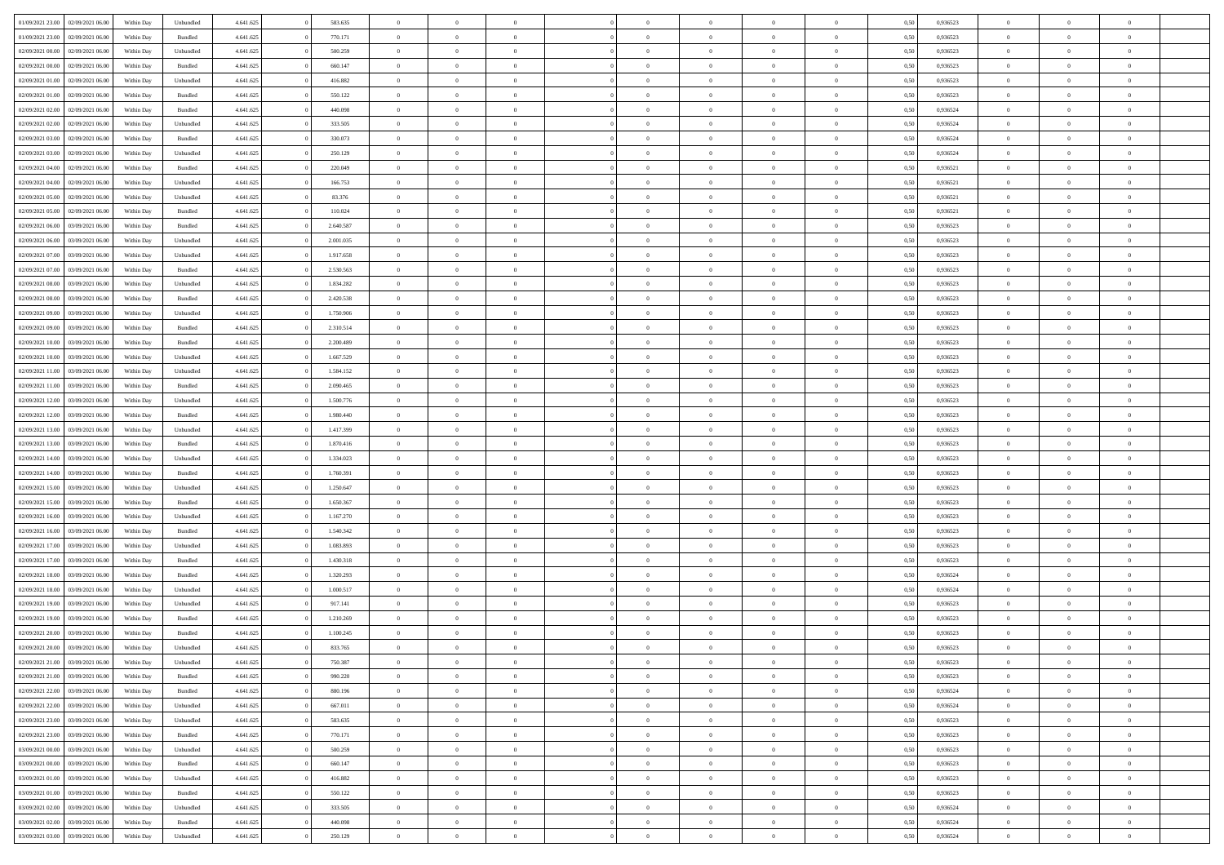| 01/09/2021 23:00 | 02/09/2021 06:00 | Within Day | Unbundled | 4.641.625 | 583.635   | $\overline{0}$ | $\theta$       |                | $\Omega$       | $\Omega$       | $\theta$       | $\theta$       | 0.50 | 0,936523 | $\theta$       | $\overline{0}$ | $\overline{0}$ |  |
|------------------|------------------|------------|-----------|-----------|-----------|----------------|----------------|----------------|----------------|----------------|----------------|----------------|------|----------|----------------|----------------|----------------|--|
| 01/09/2021 23:00 | 02/09/2021 06.00 | Within Day | Bundled   | 4.641.625 | 770.171   | $\overline{0}$ | $\overline{0}$ | $\overline{0}$ | $\overline{0}$ | $\bf{0}$       | $\overline{0}$ | $\bf{0}$       | 0,50 | 0,936523 | $\theta$       | $\overline{0}$ | $\overline{0}$ |  |
| 02/09/2021 00:00 | 02/09/2021 06:00 | Within Day | Unbundled | 4.641.625 | 500.259   | $\overline{0}$ | $\bf{0}$       | $\overline{0}$ | $\bf{0}$       | $\bf{0}$       | $\bf{0}$       | $\mathbf{0}$   | 0,50 | 0,936523 | $\bf{0}$       | $\overline{0}$ | $\bf{0}$       |  |
| 02/09/2021 00:00 | 02/09/2021 06:00 | Within Dav | Bundled   | 4.641.625 | 660.147   | $\overline{0}$ | $\overline{0}$ | $\overline{0}$ | $\overline{0}$ | $\bf{0}$       | $\overline{0}$ | $\overline{0}$ | 0.50 | 0.936523 | $\theta$       | $\theta$       | $\overline{0}$ |  |
| 02/09/2021 01:00 | 02/09/2021 06:00 | Within Day | Unbundled | 4.641.625 | 416.882   | $\overline{0}$ | $\theta$       | $\overline{0}$ | $\overline{0}$ | $\bf{0}$       | $\overline{0}$ | $\bf{0}$       | 0,50 | 0,936523 | $\theta$       | $\overline{0}$ | $\overline{0}$ |  |
| 02/09/2021 01:00 | 02/09/2021 06:00 | Within Day | Bundled   | 4.641.625 | 550.122   | $\overline{0}$ | $\overline{0}$ | $\overline{0}$ | $\bf{0}$       | $\overline{0}$ | $\overline{0}$ | $\mathbf{0}$   | 0,50 | 0,936523 | $\bf{0}$       | $\overline{0}$ | $\bf{0}$       |  |
|                  |                  |            |           |           |           |                | $\overline{0}$ |                |                | $\overline{0}$ |                |                |      |          | $\theta$       | $\overline{0}$ | $\overline{0}$ |  |
| 02/09/2021 02:00 | 02/09/2021 06:00 | Within Dav | Bundled   | 4.641.625 | 440.098   | $\overline{0}$ |                | $\overline{0}$ | $\overline{0}$ |                | $\overline{0}$ | $\overline{0}$ | 0.50 | 0,936524 |                |                |                |  |
| 02/09/2021 02:00 | 02/09/2021 06:00 | Within Day | Unbundled | 4.641.625 | 333.505   | $\overline{0}$ | $\theta$       | $\overline{0}$ | $\overline{0}$ | $\bf{0}$       | $\overline{0}$ | $\bf{0}$       | 0,50 | 0,936524 | $\theta$       | $\theta$       | $\overline{0}$ |  |
| 02/09/2021 03:00 | 02/09/2021 06:00 | Within Day | Bundled   | 4.641.625 | 330.073   | $\overline{0}$ | $\overline{0}$ | $\overline{0}$ | $\bf{0}$       | $\bf{0}$       | $\bf{0}$       | $\bf{0}$       | 0,50 | 0,936524 | $\,0\,$        | $\overline{0}$ | $\overline{0}$ |  |
| 02/09/2021 03:00 | 02/09/2021 06:00 | Within Dav | Unbundled | 4.641.625 | 250.129   | $\overline{0}$ | $\overline{0}$ | $\overline{0}$ | $\overline{0}$ | $\overline{0}$ | $\overline{0}$ | $\overline{0}$ | 0.50 | 0,936524 | $\theta$       | $\overline{0}$ | $\overline{0}$ |  |
| 02/09/2021 04:00 | 02/09/2021 06:00 | Within Day | Bundled   | 4.641.625 | 220.049   | $\overline{0}$ | $\theta$       | $\overline{0}$ | $\overline{0}$ | $\bf{0}$       | $\overline{0}$ | $\bf{0}$       | 0,50 | 0,936521 | $\,$ 0 $\,$    | $\overline{0}$ | $\overline{0}$ |  |
| 02/09/2021 04:00 | 02/09/2021 06:00 | Within Day | Unbundled | 4.641.625 | 166.753   | $\overline{0}$ | $\bf{0}$       | $\overline{0}$ | $\bf{0}$       | $\bf{0}$       | $\bf{0}$       | $\mathbf{0}$   | 0,50 | 0,936521 | $\bf{0}$       | $\overline{0}$ | $\bf{0}$       |  |
| 02/09/2021 05:00 | 02/09/2021 06:00 | Within Dav | Unbundled | 4.641.625 | 83.376    | $\overline{0}$ | $\overline{0}$ | $\overline{0}$ | $\overline{0}$ | $\bf{0}$       | $\overline{0}$ | $\overline{0}$ | 0.50 | 0,936521 | $\theta$       | $\theta$       | $\overline{0}$ |  |
| 02/09/2021 05:00 | 02/09/2021 06.00 |            |           | 4.641.625 | 110.024   | $\overline{0}$ | $\theta$       | $\overline{0}$ | $\overline{0}$ | $\bf{0}$       | $\overline{0}$ | $\overline{0}$ |      | 0,936521 | $\theta$       | $\overline{0}$ | $\overline{0}$ |  |
|                  |                  | Within Day | Bundled   |           |           |                |                |                |                |                |                |                | 0,50 |          |                |                |                |  |
| 02/09/2021 06:00 | 03/09/2021 06:00 | Within Day | Bundled   | 4.641.625 | 2.640.587 | $\overline{0}$ | $\overline{0}$ | $\overline{0}$ | $\bf{0}$       | $\overline{0}$ | $\overline{0}$ | $\mathbf{0}$   | 0,50 | 0,936523 | $\bf{0}$       | $\overline{0}$ | $\bf{0}$       |  |
| 02/09/2021 06:00 | 03/09/2021 06:00 | Within Dav | Unbundled | 4.641.625 | 2.001.035 | $\overline{0}$ | $\overline{0}$ | $\overline{0}$ | $\overline{0}$ | $\overline{0}$ | $\overline{0}$ | $\overline{0}$ | 0.50 | 0.936523 | $\theta$       | $\overline{0}$ | $\overline{0}$ |  |
| 02/09/2021 07:00 | 03/09/2021 06:00 | Within Day | Unbundled | 4.641.625 | 1.917.658 | $\overline{0}$ | $\theta$       | $\overline{0}$ | $\overline{0}$ | $\bf{0}$       | $\overline{0}$ | $\bf{0}$       | 0,50 | 0,936523 | $\theta$       | $\theta$       | $\overline{0}$ |  |
| 02/09/2021 07:00 | 03/09/2021 06:00 | Within Day | Bundled   | 4.641.625 | 2.530.563 | $\overline{0}$ | $\overline{0}$ | $\overline{0}$ | $\bf{0}$       | $\bf{0}$       | $\bf{0}$       | $\bf{0}$       | 0,50 | 0,936523 | $\,0\,$        | $\overline{0}$ | $\overline{0}$ |  |
| 02/09/2021 08:00 | 03/09/2021 06:00 | Within Dav | Unbundled | 4.641.625 | 1.834.282 | $\overline{0}$ | $\overline{0}$ | $\overline{0}$ | $\overline{0}$ | $\overline{0}$ | $\overline{0}$ | $\overline{0}$ | 0.50 | 0.936523 | $\theta$       | $\overline{0}$ | $\overline{0}$ |  |
| 02/09/2021 08:00 | 03/09/2021 06:00 | Within Day | Bundled   | 4.641.625 | 2.420.538 | $\overline{0}$ | $\theta$       | $\overline{0}$ | $\overline{0}$ | $\bf{0}$       | $\overline{0}$ | $\bf{0}$       | 0,50 | 0,936523 | $\,$ 0 $\,$    | $\overline{0}$ | $\overline{0}$ |  |
| 02/09/2021 09:00 | 03/09/2021 06:00 | Within Day | Unbundled | 4.641.625 | 1.750.906 | $\overline{0}$ | $\overline{0}$ | $\overline{0}$ | $\bf{0}$       | $\bf{0}$       | $\bf{0}$       | $\bf{0}$       | 0,50 | 0,936523 | $\bf{0}$       | $\overline{0}$ | $\bf{0}$       |  |
|                  |                  |            |           |           |           |                |                |                |                |                |                |                |      |          | $\theta$       |                |                |  |
| 02/09/2021 09:00 | 03/09/2021 06:00 | Within Day | Bundled   | 4.641.625 | 2.310.514 | $\overline{0}$ | $\overline{0}$ | $\overline{0}$ | $\overline{0}$ | $\bf{0}$       | $\overline{0}$ | $\overline{0}$ | 0.50 | 0.936523 |                | $\overline{0}$ | $\overline{0}$ |  |
| 02/09/2021 10:00 | 03/09/2021 06.00 | Within Day | Bundled   | 4.641.625 | 2.200.489 | $\overline{0}$ | $\theta$       | $\overline{0}$ | $\overline{0}$ | $\bf{0}$       | $\overline{0}$ | $\bf{0}$       | 0,50 | 0,936523 | $\theta$       | $\overline{0}$ | $\overline{0}$ |  |
| 02/09/2021 10:00 | 03/09/2021 06:00 | Within Day | Unbundled | 4.641.625 | 1.667.529 | $\overline{0}$ | $\overline{0}$ | $\overline{0}$ | $\bf{0}$       | $\overline{0}$ | $\overline{0}$ | $\mathbf{0}$   | 0,50 | 0,936523 | $\bf{0}$       | $\overline{0}$ | $\bf{0}$       |  |
| 02/09/2021 11:00 | 03/09/2021 06:00 | Within Dav | Unbundled | 4.641.625 | 1.584.152 | $\overline{0}$ | $\overline{0}$ | $\overline{0}$ | $\overline{0}$ | $\overline{0}$ | $\overline{0}$ | $\overline{0}$ | 0.50 | 0.936523 | $\theta$       | $\overline{0}$ | $\overline{0}$ |  |
| 02/09/2021 11:00 | 03/09/2021 06:00 | Within Day | Bundled   | 4.641.625 | 2.090.465 | $\overline{0}$ | $\theta$       | $\overline{0}$ | $\overline{0}$ | $\bf{0}$       | $\overline{0}$ | $\bf{0}$       | 0,50 | 0,936523 | $\theta$       | $\theta$       | $\overline{0}$ |  |
| 02/09/2021 12:00 | 03/09/2021 06:00 | Within Day | Unbundled | 4.641.625 | 1.500.776 | $\overline{0}$ | $\overline{0}$ | $\overline{0}$ | $\bf{0}$       | $\bf{0}$       | $\bf{0}$       | $\bf{0}$       | 0,50 | 0,936523 | $\,0\,$        | $\overline{0}$ | $\overline{0}$ |  |
| 02/09/2021 12:00 | 03/09/2021 06:00 | Within Day | Bundled   | 4.641.625 | 1.980.440 | $\overline{0}$ | $\overline{0}$ | $\overline{0}$ | $\overline{0}$ | $\overline{0}$ | $\overline{0}$ | $\overline{0}$ | 0.50 | 0.936523 | $\theta$       | $\overline{0}$ | $\overline{0}$ |  |
| 02/09/2021 13:00 | 03/09/2021 06:00 |            |           | 4.641.625 | 1.417.399 | $\overline{0}$ | $\theta$       | $\overline{0}$ | $\overline{0}$ | $\bf{0}$       | $\overline{0}$ |                |      | 0,936523 | $\,$ 0 $\,$    | $\overline{0}$ | $\overline{0}$ |  |
|                  |                  | Within Day | Unbundled |           |           |                |                |                |                |                |                | $\bf{0}$       | 0,50 |          |                |                |                |  |
| 02/09/2021 13:00 | 03/09/2021 06:00 | Within Day | Bundled   | 4.641.625 | 1.870.416 | $\overline{0}$ | $\overline{0}$ | $\overline{0}$ | $\bf{0}$       | $\bf{0}$       | $\bf{0}$       | $\bf{0}$       | 0,50 | 0,936523 | $\bf{0}$       | $\overline{0}$ | $\bf{0}$       |  |
| 02/09/2021 14:00 | 03/09/2021 06.00 | Within Day | Unbundled | 4.641.625 | 1.334.023 | $\overline{0}$ | $\Omega$       | $\Omega$       | $\Omega$       | $\Omega$       | $\overline{0}$ | $\overline{0}$ | 0,50 | 0,936523 | $\,0\,$        | $\theta$       | $\theta$       |  |
| 02/09/2021 14:00 | 03/09/2021 06:00 | Within Day | Bundled   | 4.641.625 | 1.760.391 | $\overline{0}$ | $\theta$       | $\overline{0}$ | $\overline{0}$ | $\bf{0}$       | $\overline{0}$ | $\bf{0}$       | 0,50 | 0,936523 | $\theta$       | $\overline{0}$ | $\overline{0}$ |  |
| 02/09/2021 15:00 | 03/09/2021 06:00 | Within Day | Unbundled | 4.641.625 | 1.250.647 | $\overline{0}$ | $\overline{0}$ | $\overline{0}$ | $\bf{0}$       | $\overline{0}$ | $\overline{0}$ | $\mathbf{0}$   | 0,50 | 0,936523 | $\overline{0}$ | $\overline{0}$ | $\bf{0}$       |  |
| 02/09/2021 15:00 | 03/09/2021 06:00 | Within Day | Bundled   | 4.641.625 | 1.650.367 | $\overline{0}$ | $\Omega$       | $\Omega$       | $\Omega$       | $\bf{0}$       | $\overline{0}$ | $\overline{0}$ | 0.50 | 0.936523 | $\theta$       | $\theta$       | $\theta$       |  |
| 02/09/2021 16:00 | 03/09/2021 06:00 | Within Day | Unbundled | 4.641.625 | 1.167.270 | $\overline{0}$ | $\theta$       | $\overline{0}$ | $\overline{0}$ | $\bf{0}$       | $\overline{0}$ | $\bf{0}$       | 0,50 | 0,936523 | $\theta$       | $\overline{0}$ | $\overline{0}$ |  |
| 02/09/2021 16:00 | 03/09/2021 06:00 | Within Day | Bundled   | 4.641.625 | 1.540.342 | $\overline{0}$ | $\overline{0}$ | $\overline{0}$ | $\bf{0}$       | $\bf{0}$       | $\bf{0}$       | $\bf{0}$       | 0,50 | 0,936523 | $\bf{0}$       | $\overline{0}$ | $\bf{0}$       |  |
| 02/09/2021 17:00 | 03/09/2021 06:00 | Within Day | Unbundled | 4.641.625 | 1.083.893 | $\overline{0}$ | $\Omega$       | $\Omega$       | $\Omega$       | $\theta$       | $\overline{0}$ | $\overline{0}$ | 0.50 | 0.936523 | $\theta$       | $\theta$       | $\theta$       |  |
|                  |                  |            |           |           |           | $\overline{0}$ | $\theta$       | $\overline{0}$ |                | $\bf{0}$       | $\overline{0}$ |                |      |          | $\,$ 0 $\,$    | $\overline{0}$ | $\overline{0}$ |  |
| 02/09/2021 17:00 | 03/09/2021 06:00 | Within Day | Bundled   | 4.641.625 | 1.430.318 |                |                |                | $\overline{0}$ |                |                | $\bf{0}$       | 0,50 | 0,936523 |                |                |                |  |
| 02/09/2021 18:00 | 03/09/2021 06:00 | Within Day | Bundled   | 4.641.625 | 1.320.293 | $\overline{0}$ | $\bf{0}$       | $\overline{0}$ | $\bf{0}$       | $\bf{0}$       | $\bf{0}$       | $\mathbf{0}$   | 0,50 | 0,936524 | $\overline{0}$ | $\overline{0}$ | $\bf{0}$       |  |
| 02/09/2021 18:00 | 03/09/2021 06:00 | Within Day | Unbundled | 4.641.625 | 1.000.517 | $\overline{0}$ | $\Omega$       | $\Omega$       | $\Omega$       | $\overline{0}$ | $\overline{0}$ | $\overline{0}$ | 0,50 | 0,936524 | $\,0\,$        | $\theta$       | $\theta$       |  |
| 02/09/2021 19:00 | 03/09/2021 06:00 | Within Day | Unbundled | 4.641.625 | 917.141   | $\overline{0}$ | $\overline{0}$ | $\overline{0}$ | $\overline{0}$ | $\bf{0}$       | $\overline{0}$ | $\bf{0}$       | 0,50 | 0,936523 | $\,$ 0 $\,$    | $\overline{0}$ | $\overline{0}$ |  |
| 02/09/2021 19:00 | 03/09/2021 06:00 | Within Day | Bundled   | 4.641.625 | 1.210.269 | $\overline{0}$ | $\overline{0}$ | $\overline{0}$ | $\bf{0}$       | $\bf{0}$       | $\bf{0}$       | $\mathbf{0}$   | 0,50 | 0,936523 | $\overline{0}$ | $\overline{0}$ | $\bf{0}$       |  |
| 02/09/2021 20.00 | 03/09/2021 06:00 | Within Day | Bundled   | 4.641.625 | 1.100.245 | $\overline{0}$ | $\Omega$       | $\Omega$       | $\Omega$       | $\Omega$       | $\Omega$       | $\overline{0}$ | 0.50 | 0.936523 | $\theta$       | $\theta$       | $\theta$       |  |
| 02/09/2021 20:00 | 03/09/2021 06:00 | Within Day | Unbundled | 4.641.625 | 833.765   | $\overline{0}$ | $\overline{0}$ | $\overline{0}$ | $\bf{0}$       | $\,$ 0         | $\bf{0}$       | $\bf{0}$       | 0,50 | 0,936523 | $\,0\,$        | $\,$ 0 $\,$    | $\overline{0}$ |  |
| 02/09/2021 21:00 | 03/09/2021 06:00 | Within Day | Unbundled | 4.641.625 | 750.387   | $\bf{0}$       | $\bf{0}$       |                |                | $\bf{0}$       |                |                | 0,50 | 0,936523 | $\bf{0}$       | $\overline{0}$ |                |  |
|                  | 03/09/2021 06:00 |            |           | 4.641.625 | 990.220   | $\overline{0}$ | $\overline{0}$ |                | $\Omega$       | $\overline{0}$ | $\overline{0}$ |                | 0.50 | 0.936523 | $\theta$       | $\theta$       | $\theta$       |  |
| 02/09/2021 21:00 |                  | Within Day | Bundled   |           |           |                |                | $\overline{0}$ |                |                |                | $\overline{0}$ |      |          |                |                |                |  |
| 02/09/2021 22.00 | 03/09/2021 06:00 | Within Day | Bundled   | 4.641.625 | 880.196   | $\overline{0}$ | $\,$ 0         | $\overline{0}$ | $\bf{0}$       | $\,$ 0 $\,$    | $\overline{0}$ | $\,$ 0 $\,$    | 0,50 | 0,936524 | $\,$ 0 $\,$    | $\,$ 0 $\,$    | $\,$ 0         |  |
| 02/09/2021 22.00 | 03/09/2021 06:00 | Within Day | Unbundled | 4.641.625 | 667.011   | $\overline{0}$ | $\overline{0}$ | $\overline{0}$ | $\overline{0}$ | $\overline{0}$ | $\overline{0}$ | $\mathbf{0}$   | 0,50 | 0,936524 | $\overline{0}$ | $\bf{0}$       | $\bf{0}$       |  |
| 02/09/2021 23:00 | 03/09/2021 06:00 | Within Day | Unbundled | 4.641.625 | 583.635   | $\overline{0}$ | $\overline{0}$ | $\overline{0}$ | $\Omega$       | $\overline{0}$ | $\overline{0}$ | $\overline{0}$ | 0,50 | 0,936523 | $\overline{0}$ | $\theta$       | $\overline{0}$ |  |
| 02/09/2021 23:00 | 03/09/2021 06:00 | Within Day | Bundled   | 4.641.625 | 770.171   | $\overline{0}$ | $\,$ 0         | $\overline{0}$ | $\overline{0}$ | $\,$ 0 $\,$    | $\overline{0}$ | $\mathbf{0}$   | 0,50 | 0,936523 | $\,$ 0 $\,$    | $\overline{0}$ | $\overline{0}$ |  |
| 03/09/2021 00:00 | 03/09/2021 06:00 | Within Day | Unbundled | 4.641.625 | 500.259   | $\overline{0}$ | $\overline{0}$ | $\overline{0}$ | $\overline{0}$ | $\overline{0}$ | $\overline{0}$ | $\mathbf{0}$   | 0,50 | 0,936523 | $\overline{0}$ | $\overline{0}$ | $\bf{0}$       |  |
| 03/09/2021 00:00 | 03/09/2021 06:00 | Within Day | Bundled   | 4.641.625 | 660.147   | $\overline{0}$ | $\overline{0}$ | $\overline{0}$ | $\Omega$       | $\overline{0}$ | $\overline{0}$ | $\bf{0}$       | 0.50 | 0,936523 | $\overline{0}$ | $\theta$       | $\overline{0}$ |  |
| 03/09/2021 01:00 | 03/09/2021 06:00 | Within Day | Unbundled | 4.641.625 | 416.882   | $\overline{0}$ | $\,$ 0         | $\overline{0}$ | $\bf{0}$       | $\bf{0}$       | $\bf{0}$       | $\bf{0}$       | 0,50 | 0,936523 | $\,$ 0 $\,$    | $\overline{0}$ | $\overline{0}$ |  |
|                  |                  |            |           |           |           |                |                |                |                |                |                |                |      |          |                |                |                |  |
| 03/09/2021 01:00 | 03/09/2021 06:00 | Within Day | Bundled   | 4.641.625 | 550.122   | $\overline{0}$ | $\bf{0}$       | $\overline{0}$ | $\overline{0}$ | $\overline{0}$ | $\overline{0}$ | $\mathbf{0}$   | 0,50 | 0,936523 | $\overline{0}$ | $\overline{0}$ | $\bf{0}$       |  |
| 03/09/2021 02:00 | 03/09/2021 06:00 | Within Day | Unbundled | 4.641.625 | 333.505   | $\overline{0}$ | $\overline{0}$ | $\overline{0}$ | $\Omega$       | $\overline{0}$ | $\overline{0}$ | $\overline{0}$ | 0.50 | 0.936524 | $\overline{0}$ | $\overline{0}$ | $\overline{0}$ |  |
| 03/09/2021 02:00 | 03/09/2021 06:00 | Within Day | Bundled   | 4.641.625 | 440.098   | $\overline{0}$ | $\bf{0}$       | $\overline{0}$ | $\overline{0}$ | $\bf{0}$       | $\bf{0}$       | $\mathbf{0}$   | 0,50 | 0,936524 | $\,$ 0 $\,$    | $\,$ 0 $\,$    | $\bf{0}$       |  |
| 03/09/2021 03:00 | 03/09/2021 06:00 | Within Day | Unbundled | 4.641.625 | 250.129   | $\overline{0}$ | $\bf{0}$       | $\overline{0}$ | $\bf{0}$       | $\bf{0}$       | $\bf{0}$       | $\bf{0}$       | 0,50 | 0,936524 | $\overline{0}$ | $\overline{0}$ | $\bf{0}$       |  |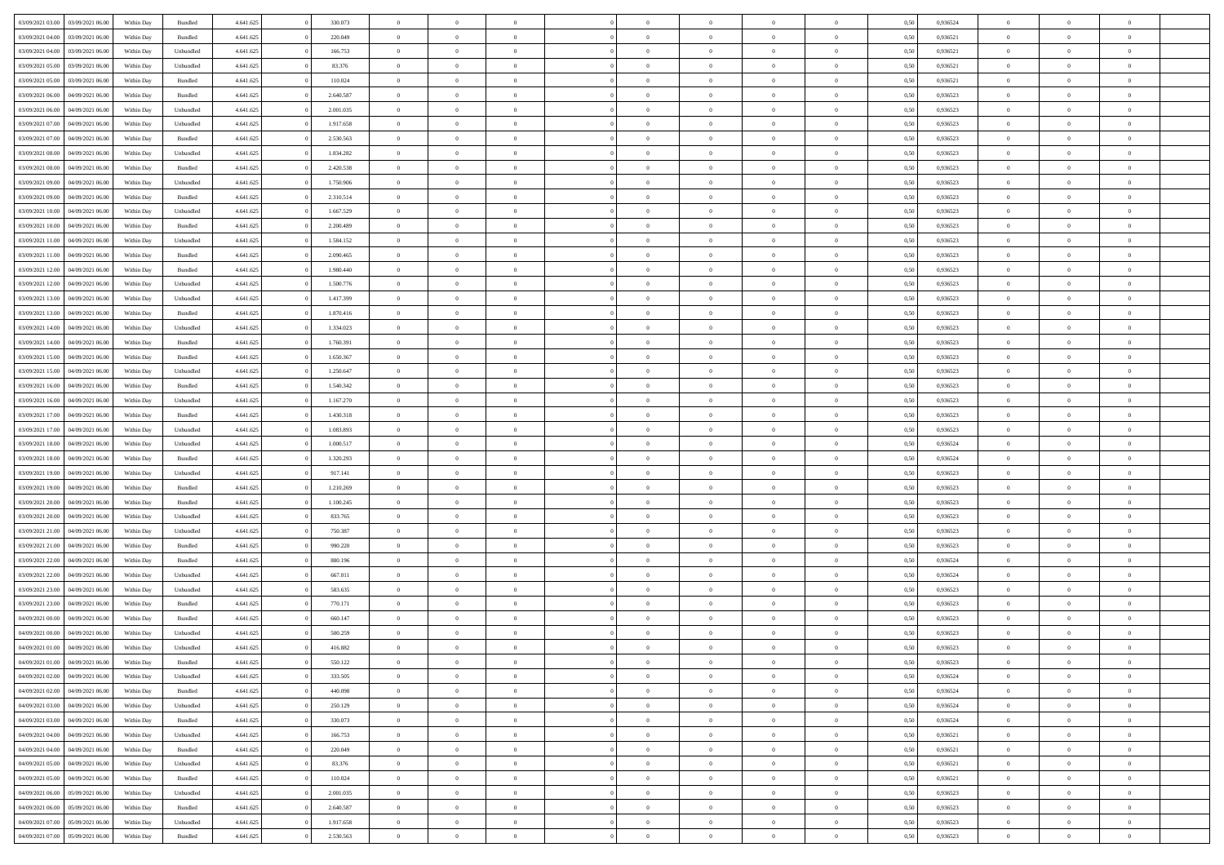| 03/09/2021 03:00                  | 03/09/2021 06:00 | Within Day | Bundled            | 4.641.625 | 330.073   | $\overline{0}$ | $\Omega$       |                | $\Omega$       | $\Omega$       | $\theta$       | $\theta$       | 0.50 | 0,936524 | $\theta$       | $\theta$       | $\overline{0}$ |  |
|-----------------------------------|------------------|------------|--------------------|-----------|-----------|----------------|----------------|----------------|----------------|----------------|----------------|----------------|------|----------|----------------|----------------|----------------|--|
|                                   |                  |            |                    |           |           |                |                |                |                |                |                |                |      |          |                |                |                |  |
| 03/09/2021 04:00                  | 03/09/2021 06.00 | Within Day | Bundled            | 4.641.625 | 220.049   | $\overline{0}$ | $\theta$       | $\overline{0}$ | $\overline{0}$ | $\bf{0}$       | $\overline{0}$ | $\bf{0}$       | 0,50 | 0,936521 | $\theta$       | $\overline{0}$ | $\overline{0}$ |  |
| 03/09/2021 04:00                  | 03/09/2021 06:00 | Within Day | Unbundled          | 4.641.625 | 166.753   | $\overline{0}$ | $\bf{0}$       | $\overline{0}$ | $\bf{0}$       | $\bf{0}$       | $\bf{0}$       | $\mathbf{0}$   | 0,50 | 0,936521 | $\bf{0}$       | $\overline{0}$ | $\bf{0}$       |  |
|                                   |                  |            |                    |           |           |                |                |                |                |                |                |                |      |          | $\theta$       |                |                |  |
| 03/09/2021 05:00                  | 03/09/2021 06:00 | Within Dav | Unbundled          | 4.641.625 | 83.376    | $\overline{0}$ | $\overline{0}$ | $\overline{0}$ | $\overline{0}$ | $\bf{0}$       | $\overline{0}$ | $\overline{0}$ | 0.50 | 0.936521 |                | $\theta$       | $\overline{0}$ |  |
| 03/09/2021 05:00                  | 03/09/2021 06.00 | Within Day | Bundled            | 4.641.625 | 110.024   | $\overline{0}$ | $\theta$       | $\overline{0}$ | $\overline{0}$ | $\bf{0}$       | $\overline{0}$ | $\bf{0}$       | 0,50 | 0,936521 | $\theta$       | $\overline{0}$ | $\overline{0}$ |  |
| 03/09/2021 06:00                  | 04/09/2021 06.00 | Within Day | Bundled            | 4.641.625 | 2.640.587 | $\overline{0}$ | $\overline{0}$ | $\overline{0}$ | $\bf{0}$       | $\overline{0}$ | $\overline{0}$ | $\mathbf{0}$   | 0,50 | 0,936523 | $\bf{0}$       | $\overline{0}$ | $\bf{0}$       |  |
| 03/09/2021 06:00                  | 04/09/2021 06:00 | Within Dav | Unbundled          | 4.641.625 | 2.001.035 | $\overline{0}$ | $\overline{0}$ | $\overline{0}$ |                | $\overline{0}$ | $\overline{0}$ | $\overline{0}$ | 0.50 | 0.936523 | $\theta$       | $\overline{0}$ | $\overline{0}$ |  |
|                                   |                  |            |                    |           |           |                |                |                | $\overline{0}$ |                |                |                |      |          |                |                |                |  |
| 03/09/2021 07:00                  | 04/09/2021 06.00 | Within Day | Unbundled          | 4.641.625 | 1.917.658 | $\overline{0}$ | $\theta$       | $\overline{0}$ | $\overline{0}$ | $\bf{0}$       | $\overline{0}$ | $\bf{0}$       | 0,50 | 0,936523 | $\theta$       | $\theta$       | $\overline{0}$ |  |
| 03/09/2021 07:00                  | 04/09/2021 06.00 | Within Day | Bundled            | 4.641.625 | 2.530.563 | $\overline{0}$ | $\overline{0}$ | $\overline{0}$ | $\bf{0}$       | $\bf{0}$       | $\bf{0}$       | $\bf{0}$       | 0,50 | 0,936523 | $\,0\,$        | $\overline{0}$ | $\overline{0}$ |  |
| 03/09/2021 08:00                  | 04/09/2021 06:00 | Within Dav | Unbundled          | 4.641.625 | 1.834.282 | $\overline{0}$ | $\overline{0}$ | $\overline{0}$ | $\overline{0}$ | $\overline{0}$ | $\overline{0}$ | $\overline{0}$ | 0.50 | 0.936523 | $\theta$       | $\overline{0}$ | $\overline{0}$ |  |
|                                   |                  |            |                    |           |           |                |                |                |                |                |                |                |      |          |                |                |                |  |
| 03/09/2021 08:00                  | 04/09/2021 06.00 | Within Day | Bundled            | 4.641.625 | 2.420.538 | $\overline{0}$ | $\theta$       | $\overline{0}$ | $\overline{0}$ | $\bf{0}$       | $\overline{0}$ | $\bf{0}$       | 0,50 | 0,936523 | $\,$ 0 $\,$    | $\overline{0}$ | $\overline{0}$ |  |
| 03/09/2021 09:00                  | 04/09/2021 06.00 | Within Day | Unbundled          | 4.641.625 | 1.750.906 | $\overline{0}$ | $\bf{0}$       | $\overline{0}$ | $\bf{0}$       | $\bf{0}$       | $\bf{0}$       | $\bf{0}$       | 0,50 | 0,936523 | $\bf{0}$       | $\overline{0}$ | $\bf{0}$       |  |
| 03/09/2021 09:00                  | 04/09/2021 06:00 | Within Day | Bundled            | 4.641.625 | 2.310.514 | $\overline{0}$ | $\overline{0}$ | $\overline{0}$ | $\overline{0}$ | $\bf{0}$       | $\overline{0}$ | $\overline{0}$ | 0.50 | 0.936523 | $\theta$       | $\theta$       | $\overline{0}$ |  |
|                                   |                  |            |                    |           |           |                |                |                |                |                |                |                |      |          |                |                |                |  |
| 03/09/2021 10:00                  | 04/09/2021 06.00 | Within Day | Unbundled          | 4.641.625 | 1.667.529 | $\overline{0}$ | $\theta$       | $\overline{0}$ | $\overline{0}$ | $\bf{0}$       | $\overline{0}$ | $\bf{0}$       | 0,50 | 0,936523 | $\theta$       | $\overline{0}$ | $\overline{0}$ |  |
| 03/09/2021 10:00                  | 04/09/2021 06.00 | Within Day | Bundled            | 4.641.625 | 2.200.489 | $\overline{0}$ | $\overline{0}$ | $\overline{0}$ | $\bf{0}$       | $\overline{0}$ | $\overline{0}$ | $\mathbf{0}$   | 0,50 | 0,936523 | $\bf{0}$       | $\overline{0}$ | $\bf{0}$       |  |
| 03/09/2021 11:00                  | 04/09/2021 06:00 | Within Dav | Unbundled          | 4.641.625 | 1.584.152 | $\overline{0}$ | $\overline{0}$ | $\overline{0}$ | $\overline{0}$ | $\overline{0}$ | $\overline{0}$ | $\overline{0}$ | 0.50 | 0.936523 | $\theta$       | $\overline{0}$ | $\overline{0}$ |  |
|                                   |                  |            |                    |           |           |                |                |                |                |                |                |                |      |          |                |                |                |  |
| 03/09/2021 11:00                  | 04/09/2021 06.00 | Within Day | Bundled            | 4.641.625 | 2.090.465 | $\overline{0}$ | $\theta$       | $\overline{0}$ | $\overline{0}$ | $\bf{0}$       | $\overline{0}$ | $\bf{0}$       | 0,50 | 0,936523 | $\theta$       | $\theta$       | $\overline{0}$ |  |
| 03/09/2021 12:00                  | 04/09/2021 06.00 | Within Day | Bundled            | 4.641.625 | 1.980.440 | $\overline{0}$ | $\overline{0}$ | $\overline{0}$ | $\bf{0}$       | $\bf{0}$       | $\bf{0}$       | $\bf{0}$       | 0,50 | 0,936523 | $\,0\,$        | $\overline{0}$ | $\overline{0}$ |  |
| 03/09/2021 12:00                  | 04/09/2021 06:00 | Within Day | Unbundled          | 4.641.625 | 1.500.776 | $\overline{0}$ | $\overline{0}$ | $\overline{0}$ | $\overline{0}$ | $\overline{0}$ | $\overline{0}$ | $\overline{0}$ | 0.50 | 0.936523 | $\theta$       | $\overline{0}$ | $\overline{0}$ |  |
|                                   |                  |            |                    |           |           |                |                |                |                |                |                |                |      |          |                |                |                |  |
| 03/09/2021 13:00                  | 04/09/2021 06.00 | Within Day | Unbundled          | 4.641.625 | 1.417.399 | $\overline{0}$ | $\theta$       | $\overline{0}$ | $\overline{0}$ | $\bf{0}$       | $\overline{0}$ | $\bf{0}$       | 0,50 | 0,936523 | $\,$ 0 $\,$    | $\overline{0}$ | $\overline{0}$ |  |
| 03/09/2021 13:00                  | 04/09/2021 06.00 | Within Day | Bundled            | 4.641.625 | 1.870.416 | $\overline{0}$ | $\overline{0}$ | $\overline{0}$ | $\bf{0}$       | $\bf{0}$       | $\bf{0}$       | $\bf{0}$       | 0,50 | 0,936523 | $\,0\,$        | $\overline{0}$ | $\bf{0}$       |  |
| 03/09/2021 14:00                  | 04/09/2021 06:00 | Within Day | Unbundled          | 4.641.625 | 1.334.023 | $\overline{0}$ | $\overline{0}$ | $\overline{0}$ | $\overline{0}$ | $\bf{0}$       | $\overline{0}$ | $\overline{0}$ | 0.50 | 0.936523 | $\theta$       | $\overline{0}$ | $\overline{0}$ |  |
|                                   |                  |            |                    |           |           | $\overline{0}$ | $\theta$       | $\overline{0}$ | $\overline{0}$ | $\bf{0}$       | $\overline{0}$ |                |      |          | $\theta$       | $\overline{0}$ | $\overline{0}$ |  |
| 03/09/2021 14:00                  | 04/09/2021 06.00 | Within Day | Bundled            | 4.641.625 | 1.760.391 |                |                |                |                |                |                | $\bf{0}$       | 0,50 | 0,936523 |                |                |                |  |
| 03/09/2021 15:00                  | 04/09/2021 06.00 | Within Day | Bundled            | 4.641.625 | 1.650.367 | $\overline{0}$ | $\overline{0}$ | $\overline{0}$ | $\bf{0}$       | $\overline{0}$ | $\overline{0}$ | $\mathbf{0}$   | 0,50 | 0,936523 | $\bf{0}$       | $\overline{0}$ | $\bf{0}$       |  |
| 03/09/2021 15:00                  | 04/09/2021 06:00 | Within Dav | Unbundled          | 4.641.625 | 1.250.647 | $\overline{0}$ | $\overline{0}$ | $\overline{0}$ | $\overline{0}$ | $\overline{0}$ | $\overline{0}$ | $\overline{0}$ | 0.50 | 0.936523 | $\theta$       | $\overline{0}$ | $\overline{0}$ |  |
| 03/09/2021 16:00                  | 04/09/2021 06.00 | Within Day | Bundled            | 4.641.625 | 1.540.342 | $\overline{0}$ | $\theta$       | $\overline{0}$ | $\overline{0}$ | $\bf{0}$       | $\overline{0}$ | $\bf{0}$       | 0,50 | 0,936523 | $\theta$       | $\theta$       | $\overline{0}$ |  |
|                                   |                  |            |                    |           |           |                |                |                |                |                |                |                |      |          |                |                |                |  |
| 03/09/2021 16:00                  | 04/09/2021 06.00 | Within Day | Unbundled          | 4.641.625 | 1.167.270 | $\overline{0}$ | $\overline{0}$ | $\overline{0}$ | $\bf{0}$       | $\bf{0}$       | $\bf{0}$       | $\bf{0}$       | 0,50 | 0,936523 | $\,0\,$        | $\overline{0}$ | $\overline{0}$ |  |
| 03/09/2021 17:00                  | 04/09/2021 06:00 | Within Day | Bundled            | 4.641.625 | 1.430.318 | $\overline{0}$ | $\overline{0}$ | $\overline{0}$ | $\overline{0}$ | $\overline{0}$ | $\overline{0}$ | $\overline{0}$ | 0.50 | 0.936523 | $\theta$       | $\overline{0}$ | $\overline{0}$ |  |
| 03/09/2021 17:00                  | 04/09/2021 06.00 | Within Day | Unbundled          | 4.641.625 | 1.083.893 | $\overline{0}$ | $\theta$       | $\overline{0}$ | $\overline{0}$ | $\bf{0}$       | $\overline{0}$ | $\bf{0}$       | 0,50 | 0,936523 | $\,$ 0 $\,$    | $\overline{0}$ | $\overline{0}$ |  |
|                                   |                  |            |                    |           |           |                |                |                |                |                |                |                |      |          |                |                |                |  |
| 03/09/2021 18:00                  | 04/09/2021 06.00 | Within Day | Unbundled          | 4.641.625 | 1.000.517 | $\overline{0}$ | $\overline{0}$ | $\overline{0}$ | $\bf{0}$       | $\bf{0}$       | $\bf{0}$       | $\bf{0}$       | 0,50 | 0,936524 | $\bf{0}$       | $\overline{0}$ | $\bf{0}$       |  |
| 03/09/2021 18:00                  | 04/09/2021 06.00 | Within Day | Bundled            | 4.641.625 | 1.320.293 | $\overline{0}$ | $\Omega$       | $\Omega$       | $\Omega$       | $\Omega$       | $\overline{0}$ | $\overline{0}$ | 0,50 | 0,936524 | $\,0\,$        | $\theta$       | $\theta$       |  |
| 03/09/2021 19:00                  | 04/09/2021 06.00 | Within Day | Unbundled          | 4.641.625 | 917.141   | $\overline{0}$ | $\theta$       | $\overline{0}$ | $\overline{0}$ | $\bf{0}$       | $\overline{0}$ | $\bf{0}$       | 0,50 | 0,936523 | $\theta$       | $\overline{0}$ | $\overline{0}$ |  |
|                                   |                  |            |                    |           |           |                |                |                |                |                |                |                |      |          |                |                |                |  |
| 03/09/2021 19:00                  | 04/09/2021 06:00 | Within Day | Bundled            | 4.641.625 | 1.210.269 | $\overline{0}$ | $\overline{0}$ | $\overline{0}$ | $\bf{0}$       | $\overline{0}$ | $\overline{0}$ | $\mathbf{0}$   | 0,50 | 0,936523 | $\overline{0}$ | $\overline{0}$ | $\bf{0}$       |  |
| 03/09/2021 20:00                  | 04/09/2021 06:00 | Within Day | Bundled            | 4.641.625 | 1.100.245 | $\overline{0}$ | $\Omega$       | $\Omega$       | $\Omega$       | $\bf{0}$       | $\overline{0}$ | $\overline{0}$ | 0.50 | 0.936523 | $\,0\,$        | $\theta$       | $\theta$       |  |
| 03/09/2021 20:00                  | 04/09/2021 06.00 | Within Day | Unbundled          | 4.641.625 | 833.765   | $\overline{0}$ | $\theta$       | $\overline{0}$ | $\overline{0}$ | $\bf{0}$       | $\overline{0}$ | $\bf{0}$       | 0,50 | 0,936523 | $\theta$       | $\overline{0}$ | $\overline{0}$ |  |
|                                   |                  |            |                    |           |           |                |                |                |                |                |                |                |      |          |                |                |                |  |
| 03/09/2021 21.00                  | 04/09/2021 06.00 | Within Day | Unbundled          | 4.641.625 | 750.387   | $\overline{0}$ | $\overline{0}$ | $\overline{0}$ | $\bf{0}$       | $\bf{0}$       | $\bf{0}$       | $\bf{0}$       | 0,50 | 0,936523 | $\bf{0}$       | $\overline{0}$ | $\bf{0}$       |  |
| 03/09/2021 21:00                  | 04/09/2021 06:00 | Within Day | Bundled            | 4.641.625 | 990.220   | $\overline{0}$ | $\Omega$       | $\Omega$       | $\Omega$       | $\theta$       | $\overline{0}$ | $\overline{0}$ | 0.50 | 0.936523 | $\theta$       | $\theta$       | $\theta$       |  |
| 03/09/2021 22:00                  | 04/09/2021 06.00 | Within Day | Bundled            | 4.641.625 | 880.196   | $\overline{0}$ | $\overline{0}$ | $\overline{0}$ | $\overline{0}$ | $\bf{0}$       | $\overline{0}$ | $\bf{0}$       | 0,50 | 0,936524 | $\,$ 0 $\,$    | $\overline{0}$ | $\overline{0}$ |  |
| 03/09/2021 22.00                  | 04/09/2021 06.00 | Within Day | Unbundled          | 4.641.625 | 667.011   | $\overline{0}$ | $\overline{0}$ | $\overline{0}$ | $\bf{0}$       | $\bf{0}$       | $\bf{0}$       | $\bf{0}$       | 0,50 | 0,936524 | $\overline{0}$ | $\overline{0}$ | $\bf{0}$       |  |
|                                   |                  |            |                    |           |           |                |                |                |                |                |                |                |      |          |                |                |                |  |
| 03/09/2021 23:00                  | 04/09/2021 06.00 | Within Day | Unbundled          | 4.641.625 | 583.635   | $\overline{0}$ | $\Omega$       | $\Omega$       | $\Omega$       | $\overline{0}$ | $\overline{0}$ | $\overline{0}$ | 0,50 | 0,936523 | $\,0\,$        | $\theta$       | $\theta$       |  |
| 03/09/2021 23:00                  | 04/09/2021 06.00 | Within Day | Bundled            | 4.641.625 | 770.171   | $\overline{0}$ | $\overline{0}$ | $\overline{0}$ | $\overline{0}$ | $\,$ 0         | $\overline{0}$ | $\bf{0}$       | 0,50 | 0,936523 | $\,$ 0 $\,$    | $\overline{0}$ | $\overline{0}$ |  |
| 04/09/2021 00:00                  | 04/09/2021 06.00 | Within Day | Bundled            | 4.641.625 | 660.147   | $\overline{0}$ | $\overline{0}$ | $\overline{0}$ | $\bf{0}$       | $\bf{0}$       | $\bf{0}$       | $\mathbf{0}$   | 0,50 | 0,936523 | $\overline{0}$ | $\overline{0}$ | $\bf{0}$       |  |
|                                   |                  |            |                    |           |           |                |                |                |                |                |                |                |      |          |                |                |                |  |
| 04/09/2021 00:00                  | 04/09/2021 06:00 | Within Day | Unbundled          | 4.641.625 | 500.259   | $\overline{0}$ | $\Omega$       | $\Omega$       | $\Omega$       | $\Omega$       | $\Omega$       | $\overline{0}$ | 0.50 | 0.936523 | $\theta$       | $\theta$       | $\theta$       |  |
| 04/09/2021 01:00                  | 04/09/2021 06:00 | Within Day | Unbundled          | 4.641.625 | 416.882   | $\overline{0}$ | $\overline{0}$ | $\overline{0}$ | $\bf{0}$       | $\,$ 0         | $\bf{0}$       | $\bf{0}$       | 0,50 | 0,936523 | $\,0\,$        | $\,$ 0 $\,$    | $\overline{0}$ |  |
| 04/09/2021 01:00 04/09/2021 06:00 |                  | Within Day | $\mathbf B$ undled | 4.641.625 | 550.122   | $\bf{0}$       | $\bf{0}$       |                |                |                |                |                | 0,50 | 0,936523 | $\bf{0}$       | $\overline{0}$ |                |  |
|                                   | 04/09/2021 06:00 |            |                    | 4.641.625 | 333.505   | $\overline{0}$ | $\overline{0}$ |                | $\Omega$       | $\overline{0}$ | $\overline{0}$ |                | 0.50 | 0.936524 | $\theta$       | $\theta$       | $\theta$       |  |
| 04/09/2021 02.00                  |                  | Within Day | Unbundled          |           |           |                |                | $\overline{0}$ |                |                |                | $\overline{0}$ |      |          |                |                |                |  |
| 04/09/2021 02:00                  | 04/09/2021 06.00 | Within Day | Bundled            | 4.641.625 | 440.098   | $\overline{0}$ | $\,$ 0         | $\overline{0}$ | $\bf{0}$       | $\,$ 0 $\,$    | $\overline{0}$ | $\,$ 0 $\,$    | 0,50 | 0,936524 | $\,$ 0 $\,$    | $\,$ 0 $\,$    | $\,$ 0         |  |
| 04/09/2021 03:00                  | 04/09/2021 06:00 | Within Day | Unbundled          | 4.641.625 | 250.129   | $\overline{0}$ | $\overline{0}$ | $\overline{0}$ | $\overline{0}$ | $\overline{0}$ | $\overline{0}$ | $\mathbf{0}$   | 0,50 | 0,936524 | $\overline{0}$ | $\bf{0}$       | $\bf{0}$       |  |
| 04/09/2021 03:00                  | 04/09/2021 06:00 | Within Day |                    | 4.641.625 | 330.073   | $\overline{0}$ | $\overline{0}$ | $\overline{0}$ | $\Omega$       | $\overline{0}$ | $\overline{0}$ | $\overline{0}$ | 0,50 | 0,936524 | $\overline{0}$ | $\theta$       | $\overline{0}$ |  |
|                                   |                  |            | Bundled            |           |           |                |                |                |                |                |                |                |      |          |                |                |                |  |
| 04/09/2021 04:00                  | 04/09/2021 06.00 | Within Day | Unbundled          | 4.641.625 | 166.753   | $\overline{0}$ | $\,$ 0         | $\overline{0}$ | $\overline{0}$ | $\,$ 0 $\,$    | $\overline{0}$ | $\mathbf{0}$   | 0,50 | 0,936521 | $\,$ 0 $\,$    | $\overline{0}$ | $\overline{0}$ |  |
| 04/09/2021 04:00                  | 04/09/2021 06:00 | Within Day | Bundled            | 4.641.625 | 220.049   | $\overline{0}$ | $\overline{0}$ | $\overline{0}$ | $\overline{0}$ | $\overline{0}$ | $\overline{0}$ | $\mathbf{0}$   | 0,50 | 0,936521 | $\overline{0}$ | $\overline{0}$ | $\bf{0}$       |  |
| 04/09/2021 05:00                  | 04/09/2021 06:00 | Within Day | Unbundled          | 4.641.625 | 83.376    | $\overline{0}$ | $\overline{0}$ | $\overline{0}$ | $\Omega$       | $\overline{0}$ | $\overline{0}$ | $\bf{0}$       | 0.50 | 0,936521 | $\overline{0}$ | $\theta$       | $\overline{0}$ |  |
|                                   |                  |            |                    |           |           |                |                |                |                |                |                |                |      |          |                |                |                |  |
| 04/09/2021 05:00                  | 04/09/2021 06.00 | Within Day | Bundled            | 4.641.625 | 110.024   | $\overline{0}$ | $\,$ 0         | $\overline{0}$ | $\bf{0}$       | $\bf{0}$       | $\bf{0}$       | $\bf{0}$       | 0,50 | 0,936521 | $\,$ 0 $\,$    | $\overline{0}$ | $\overline{0}$ |  |
| 04/09/2021 06.00                  | 05/09/2021 06:00 | Within Day | Unbundled          | 4.641.625 | 2.001.035 | $\overline{0}$ | $\bf{0}$       | $\overline{0}$ | $\overline{0}$ | $\overline{0}$ | $\overline{0}$ | $\mathbf{0}$   | 0,50 | 0,936523 | $\overline{0}$ | $\overline{0}$ | $\bf{0}$       |  |
| 04/09/2021 06:00                  | 05/09/2021 06:00 | Within Day | Bundled            | 4.641.625 | 2.640.587 | $\overline{0}$ | $\overline{0}$ | $\overline{0}$ | $\Omega$       | $\overline{0}$ | $\overline{0}$ | $\overline{0}$ | 0.50 | 0.936523 | $\overline{0}$ | $\overline{0}$ | $\overline{0}$ |  |
|                                   |                  |            |                    |           |           |                |                |                |                |                |                |                |      |          |                |                |                |  |
| 04/09/2021 07:00                  | 05/09/2021 06:00 | Within Day | Unbundled          | 4.641.625 | 1.917.658 | $\overline{0}$ | $\bf{0}$       | $\overline{0}$ | $\bf{0}$       | $\bf{0}$       | $\bf{0}$       | $\mathbf{0}$   | 0,50 | 0,936523 | $\,$ 0 $\,$    | $\,$ 0 $\,$    | $\bf{0}$       |  |
| 04/09/2021 07:00                  | 05/09/2021 06:00 | Within Day | Bundled            | 4.641.625 | 2.530.563 | $\overline{0}$ | $\overline{0}$ | $\overline{0}$ | $\overline{0}$ | $\bf{0}$       | $\bf{0}$       | $\mathbf{0}$   | 0,50 | 0,936523 | $\overline{0}$ | $\bf{0}$       | $\bf{0}$       |  |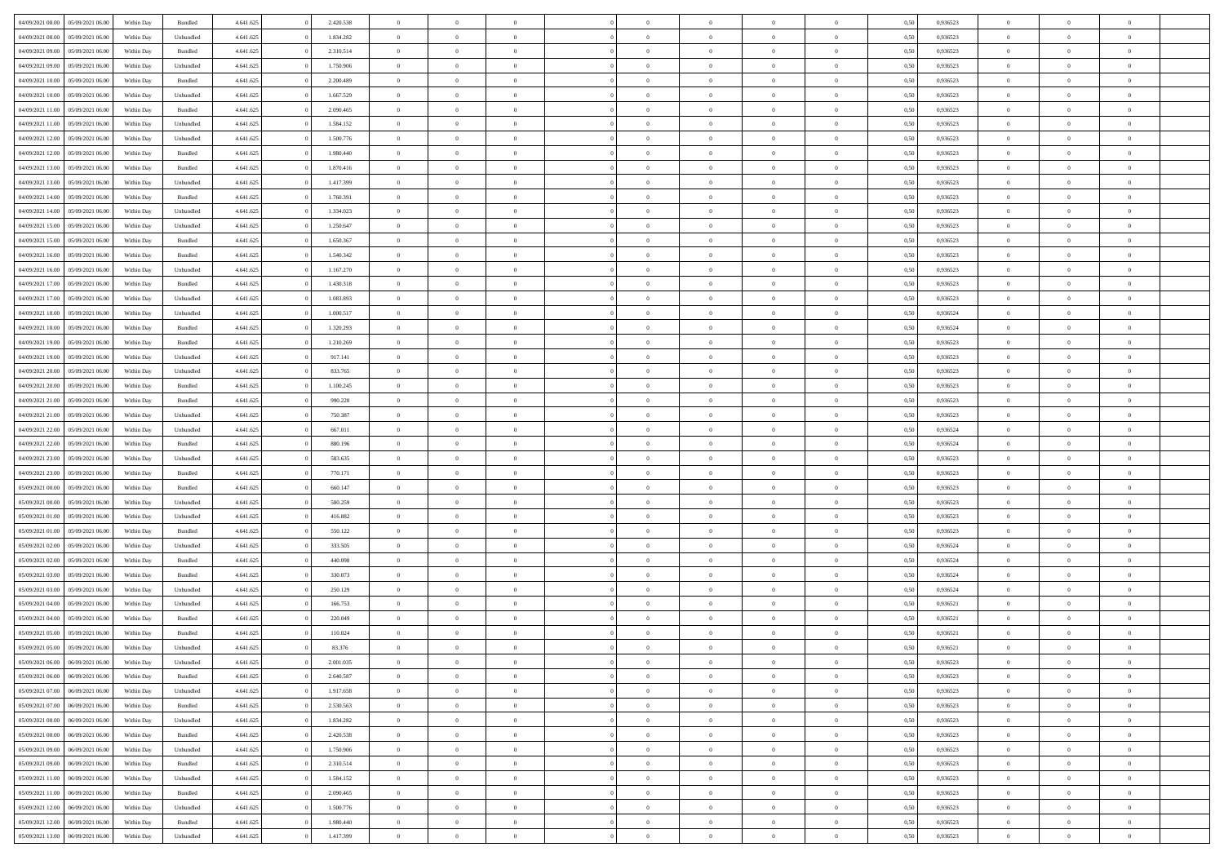| 04/09/2021 08:00                  | 05/09/2021 06:00 | Within Day | Bundled   | 4.641.625 | 2.420.538 | $\overline{0}$ | $\Omega$       |                | $\Omega$       | $\Omega$       | $\overline{0}$ | $\theta$       | 0.50 | 0,936523 | $\theta$       | $\theta$       | $\overline{0}$ |  |
|-----------------------------------|------------------|------------|-----------|-----------|-----------|----------------|----------------|----------------|----------------|----------------|----------------|----------------|------|----------|----------------|----------------|----------------|--|
|                                   |                  |            |           |           |           |                |                |                |                |                |                |                |      |          |                |                |                |  |
| 04/09/2021 08:00                  | 05/09/2021 06:00 | Within Day | Unbundled | 4.641.625 | 1.834.282 | $\overline{0}$ | $\theta$       | $\overline{0}$ | $\overline{0}$ | $\bf{0}$       | $\overline{0}$ | $\bf{0}$       | 0,50 | 0,936523 | $\theta$       | $\overline{0}$ | $\overline{0}$ |  |
| 04/09/2021 09:00                  | 05/09/2021 06:00 | Within Day | Bundled   | 4.641.625 | 2.310.514 | $\overline{0}$ | $\bf{0}$       | $\overline{0}$ | $\bf{0}$       | $\bf{0}$       | $\bf{0}$       | $\mathbf{0}$   | 0,50 | 0,936523 | $\bf{0}$       | $\overline{0}$ | $\bf{0}$       |  |
| 04/09/2021 09:00                  | 05/09/2021 06:00 | Within Dav | Unbundled | 4.641.625 | 1.750.906 | $\overline{0}$ | $\overline{0}$ | $\overline{0}$ | $\overline{0}$ | $\bf{0}$       | $\overline{0}$ | $\overline{0}$ | 0.50 | 0.936523 | $\theta$       | $\theta$       | $\overline{0}$ |  |
|                                   |                  |            |           |           |           |                |                |                |                |                |                |                |      |          |                |                |                |  |
| 04/09/2021 10:00                  | 05/09/2021 06:00 | Within Day | Bundled   | 4.641.625 | 2.200.489 | $\overline{0}$ | $\theta$       | $\overline{0}$ | $\overline{0}$ | $\bf{0}$       | $\overline{0}$ | $\bf{0}$       | 0,50 | 0,936523 | $\theta$       | $\overline{0}$ | $\overline{0}$ |  |
| 04/09/2021 10:00                  | 05/09/2021 06:00 | Within Day | Unbundled | 4.641.625 | 1.667.529 | $\overline{0}$ | $\overline{0}$ | $\overline{0}$ | $\bf{0}$       | $\overline{0}$ | $\overline{0}$ | $\mathbf{0}$   | 0,50 | 0,936523 | $\overline{0}$ | $\overline{0}$ | $\bf{0}$       |  |
| 04/09/2021 11:00                  | 05/09/2021 06:00 | Within Dav | Bundled   | 4.641.625 | 2.090.465 | $\overline{0}$ | $\overline{0}$ | $\overline{0}$ | $\overline{0}$ | $\overline{0}$ | $\overline{0}$ | $\overline{0}$ | 0.50 | 0.936523 | $\theta$       | $\overline{0}$ | $\overline{0}$ |  |
| 04/09/2021 11:00                  | 05/09/2021 06:00 | Within Day | Unbundled | 4.641.625 | 1.584.152 | $\overline{0}$ | $\theta$       | $\overline{0}$ | $\overline{0}$ | $\bf{0}$       | $\overline{0}$ | $\bf{0}$       | 0,50 | 0,936523 | $\theta$       | $\theta$       | $\overline{0}$ |  |
|                                   |                  |            |           |           |           |                | $\overline{0}$ |                |                | $\bf{0}$       |                |                |      |          | $\,0\,$        | $\overline{0}$ | $\overline{0}$ |  |
| 04/09/2021 12:00                  | 05/09/2021 06:00 | Within Day | Unbundled | 4.641.625 | 1.500.776 | $\overline{0}$ |                | $\overline{0}$ | $\bf{0}$       |                | $\bf{0}$       | $\bf{0}$       | 0,50 | 0,936523 |                |                |                |  |
| 04/09/2021 12:00                  | 05/09/2021 06:00 | Within Dav | Bundled   | 4.641.625 | 1.980.440 | $\overline{0}$ | $\overline{0}$ | $\overline{0}$ | $\overline{0}$ | $\overline{0}$ | $\overline{0}$ | $\overline{0}$ | 0.50 | 0.936523 | $\theta$       | $\overline{0}$ | $\overline{0}$ |  |
| 04/09/2021 13:00                  | 05/09/2021 06:00 | Within Day | Bundled   | 4.641.625 | 1.870.416 | $\overline{0}$ | $\theta$       | $\overline{0}$ | $\overline{0}$ | $\bf{0}$       | $\overline{0}$ | $\bf{0}$       | 0,50 | 0,936523 | $\,$ 0 $\,$    | $\overline{0}$ | $\overline{0}$ |  |
| 04/09/2021 13:00                  | 05/09/2021 06:00 | Within Day | Unbundled | 4.641.625 | 1.417.399 | $\overline{0}$ | $\bf{0}$       | $\overline{0}$ | $\bf{0}$       | $\bf{0}$       | $\bf{0}$       | $\mathbf{0}$   | 0,50 | 0,936523 | $\overline{0}$ | $\overline{0}$ | $\bf{0}$       |  |
| 04/09/2021 14:00                  | 05/09/2021 06:00 | Within Dav | Bundled   | 4.641.625 | 1.760.391 | $\overline{0}$ | $\overline{0}$ | $\overline{0}$ | $\overline{0}$ | $\bf{0}$       | $\overline{0}$ | $\overline{0}$ | 0.50 | 0.936523 | $\theta$       | $\theta$       | $\overline{0}$ |  |
|                                   |                  |            |           |           |           | $\overline{0}$ | $\theta$       | $\overline{0}$ | $\overline{0}$ | $\bf{0}$       | $\overline{0}$ | $\overline{0}$ |      |          | $\theta$       | $\overline{0}$ | $\overline{0}$ |  |
| 04/09/2021 14:00                  | 05/09/2021 06:00 | Within Day | Unbundled | 4.641.625 | 1.334.023 |                |                |                |                |                |                |                | 0,50 | 0,936523 |                |                |                |  |
| 04/09/2021 15:00                  | 05/09/2021 06:00 | Within Day | Unbundled | 4.641.625 | 1.250.647 | $\overline{0}$ | $\overline{0}$ | $\overline{0}$ | $\bf{0}$       | $\overline{0}$ | $\overline{0}$ | $\mathbf{0}$   | 0,50 | 0,936523 | $\overline{0}$ | $\overline{0}$ | $\bf{0}$       |  |
| 04/09/2021 15:00                  | 05/09/2021 06:00 | Within Dav | Bundled   | 4.641.625 | 1.650.367 | $\overline{0}$ | $\overline{0}$ | $\overline{0}$ | $\overline{0}$ | $\overline{0}$ | $\overline{0}$ | $\overline{0}$ | 0.50 | 0.936523 | $\theta$       | $\overline{0}$ | $\overline{0}$ |  |
| 04/09/2021 16:00                  | 05/09/2021 06:00 | Within Day | Bundled   | 4.641.625 | 1.540.342 | $\overline{0}$ | $\theta$       | $\overline{0}$ | $\overline{0}$ | $\bf{0}$       | $\overline{0}$ | $\bf{0}$       | 0,50 | 0,936523 | $\theta$       | $\theta$       | $\overline{0}$ |  |
| 04/09/2021 16:00                  | 05/09/2021 06:00 | Within Day | Unbundled | 4.641.625 | 1.167.270 | $\overline{0}$ | $\overline{0}$ | $\overline{0}$ | $\bf{0}$       | $\bf{0}$       | $\bf{0}$       | $\bf{0}$       | 0,50 | 0,936523 | $\,0\,$        | $\overline{0}$ | $\bf{0}$       |  |
|                                   |                  |            |           |           |           |                |                |                |                |                |                |                |      |          |                |                |                |  |
| 04/09/2021 17:00                  | 05/09/2021 06:00 | Within Dav | Bundled   | 4.641.625 | 1.430.318 | $\overline{0}$ | $\overline{0}$ | $\overline{0}$ | $\overline{0}$ | $\overline{0}$ | $\overline{0}$ | $\overline{0}$ | 0.50 | 0.936523 | $\theta$       | $\overline{0}$ | $\overline{0}$ |  |
| 04/09/2021 17:00                  | 05/09/2021 06:00 | Within Day | Unbundled | 4.641.625 | 1.083.893 | $\overline{0}$ | $\theta$       | $\overline{0}$ | $\overline{0}$ | $\bf{0}$       | $\overline{0}$ | $\bf{0}$       | 0,50 | 0,936523 | $\,$ 0 $\,$    | $\overline{0}$ | $\overline{0}$ |  |
| 04/09/2021 18:00                  | 05/09/2021 06:00 | Within Day | Unbundled | 4.641.625 | 1.000.517 | $\overline{0}$ | $\overline{0}$ | $\overline{0}$ | $\bf{0}$       | $\bf{0}$       | $\bf{0}$       | $\bf{0}$       | 0,50 | 0,936524 | $\bf{0}$       | $\overline{0}$ | $\bf{0}$       |  |
| 04/09/2021 18:00                  | 05/09/2021 06:00 | Within Dav | Bundled   | 4.641.625 | 1.320.293 | $\overline{0}$ | $\overline{0}$ | $\overline{0}$ | $\overline{0}$ | $\bf{0}$       | $\overline{0}$ | $\overline{0}$ | 0.50 | 0.936524 | $\theta$       | $\overline{0}$ | $\overline{0}$ |  |
| 04/09/2021 19:00                  | 05/09/2021 06:00 | Within Day | Bundled   | 4.641.625 | 1.210.269 | $\overline{0}$ | $\theta$       | $\overline{0}$ | $\overline{0}$ | $\bf{0}$       | $\overline{0}$ | $\bf{0}$       | 0,50 | 0,936523 | $\theta$       | $\overline{0}$ | $\overline{0}$ |  |
|                                   |                  |            |           |           |           |                |                |                |                |                |                |                |      |          |                |                |                |  |
| 04/09/2021 19:00                  | 05/09/2021 06:00 | Within Day | Unbundled | 4.641.625 | 917.141   | $\overline{0}$ | $\overline{0}$ | $\overline{0}$ | $\bf{0}$       | $\overline{0}$ | $\overline{0}$ | $\mathbf{0}$   | 0,50 | 0,936523 | $\overline{0}$ | $\overline{0}$ | $\bf{0}$       |  |
| 04/09/2021 20:00                  | 05/09/2021 06:00 | Within Dav | Unbundled | 4.641.625 | 833.765   | $\overline{0}$ | $\overline{0}$ | $\overline{0}$ | $\overline{0}$ | $\overline{0}$ | $\overline{0}$ | $\overline{0}$ | 0.50 | 0.936523 | $\theta$       | $\overline{0}$ | $\overline{0}$ |  |
| 04/09/2021 20:00                  | 05/09/2021 06:00 | Within Day | Bundled   | 4.641.625 | 1.100.245 | $\overline{0}$ | $\theta$       | $\overline{0}$ | $\overline{0}$ | $\bf{0}$       | $\overline{0}$ | $\bf{0}$       | 0,50 | 0,936523 | $\theta$       | $\theta$       | $\overline{0}$ |  |
| 04/09/2021 21.00                  | 05/09/2021 06:00 | Within Day | Bundled   | 4.641.625 | 990.220   | $\overline{0}$ | $\overline{0}$ | $\overline{0}$ | $\bf{0}$       | $\bf{0}$       | $\bf{0}$       | $\bf{0}$       | 0,50 | 0,936523 | $\,0\,$        | $\overline{0}$ | $\bf{0}$       |  |
| 04/09/2021 21:00                  | 05/09/2021 06:00 |            | Unbundled | 4.641.625 | 750.387   | $\overline{0}$ | $\overline{0}$ | $\overline{0}$ | $\overline{0}$ | $\overline{0}$ | $\overline{0}$ | $\overline{0}$ | 0.50 | 0.936523 | $\theta$       | $\overline{0}$ | $\overline{0}$ |  |
|                                   |                  | Within Day |           |           |           |                |                |                |                |                |                |                |      |          |                |                |                |  |
| 04/09/2021 22.00                  | 05/09/2021 06:00 | Within Day | Unbundled | 4.641.625 | 667.011   | $\overline{0}$ | $\theta$       | $\overline{0}$ | $\overline{0}$ | $\bf{0}$       | $\overline{0}$ | $\bf{0}$       | 0,50 | 0,936524 | $\,$ 0 $\,$    | $\overline{0}$ | $\overline{0}$ |  |
| 04/09/2021 22.00                  | 05/09/2021 06:00 | Within Day | Bundled   | 4.641.625 | 880.196   | $\overline{0}$ | $\overline{0}$ | $\overline{0}$ | $\bf{0}$       | $\bf{0}$       | $\bf{0}$       | $\bf{0}$       | 0,50 | 0,936524 | $\overline{0}$ | $\overline{0}$ | $\bf{0}$       |  |
| 04/09/2021 23:00                  | 05/09/2021 06:00 | Within Day | Unbundled | 4.641.625 | 583.635   | $\overline{0}$ | $\Omega$       | $\Omega$       | $\Omega$       | $\Omega$       | $\Omega$       | $\overline{0}$ | 0,50 | 0,936523 | $\,0\,$        | $\theta$       | $\theta$       |  |
| 04/09/2021 23:00                  | 05/09/2021 06:00 | Within Day | Bundled   | 4.641.625 | 770.171   | $\overline{0}$ | $\theta$       | $\overline{0}$ | $\overline{0}$ | $\bf{0}$       | $\overline{0}$ | $\bf{0}$       | 0,50 | 0,936523 | $\theta$       | $\overline{0}$ | $\overline{0}$ |  |
|                                   |                  |            |           |           |           |                |                |                |                |                |                |                |      |          |                | $\overline{0}$ | $\bf{0}$       |  |
| 05/09/2021 00:00                  | 05/09/2021 06:00 | Within Day | Bundled   | 4.641.625 | 660.147   | $\overline{0}$ | $\overline{0}$ | $\overline{0}$ | $\bf{0}$       | $\overline{0}$ | $\overline{0}$ | $\mathbf{0}$   | 0,50 | 0,936523 | $\overline{0}$ |                |                |  |
| 05/09/2021 00:00                  | 05/09/2021 06:00 | Within Day | Unbundled | 4.641.625 | 500.259   | $\overline{0}$ | $\Omega$       | $\Omega$       | $\Omega$       | $\bf{0}$       | $\overline{0}$ | $\overline{0}$ | 0.50 | 0.936523 | $\theta$       | $\theta$       | $\theta$       |  |
| 05/09/2021 01:00                  | 05/09/2021 06:00 | Within Day | Unbundled | 4.641.625 | 416.882   | $\overline{0}$ | $\theta$       | $\overline{0}$ | $\overline{0}$ | $\bf{0}$       | $\overline{0}$ | $\bf{0}$       | 0,50 | 0,936523 | $\theta$       | $\overline{0}$ | $\overline{0}$ |  |
| 05/09/2021 01:00                  | 05/09/2021 06:00 | Within Day | Bundled   | 4.641.625 | 550.122   | $\overline{0}$ | $\overline{0}$ | $\overline{0}$ | $\bf{0}$       | $\bf{0}$       | $\bf{0}$       | $\bf{0}$       | 0,50 | 0,936523 | $\bf{0}$       | $\overline{0}$ | $\bf{0}$       |  |
| 05/09/2021 02:00                  | 05/09/2021 06:00 | Within Day | Unbundled | 4.641.625 | 333,505   | $\overline{0}$ | $\Omega$       | $\Omega$       | $\Omega$       | $\theta$       | $\theta$       | $\overline{0}$ | 0.50 | 0.936524 | $\theta$       | $\theta$       | $\theta$       |  |
| 05/09/2021 02:00                  | 05/09/2021 06:00 | Within Day | Bundled   | 4.641.625 | 440.098   | $\overline{0}$ | $\overline{0}$ | $\overline{0}$ | $\overline{0}$ | $\bf{0}$       | $\overline{0}$ | $\bf{0}$       | 0,50 | 0,936524 | $\,$ 0 $\,$    | $\overline{0}$ | $\overline{0}$ |  |
|                                   |                  |            |           |           |           |                |                |                |                |                |                |                |      |          |                |                |                |  |
| 05/09/2021 03:00                  | 05/09/2021 06:00 | Within Day | Bundled   | 4.641.625 | 330.073   | $\overline{0}$ | $\overline{0}$ | $\overline{0}$ | $\bf{0}$       | $\bf{0}$       | $\bf{0}$       | $\bf{0}$       | 0,50 | 0,936524 | $\bf{0}$       | $\overline{0}$ | $\bf{0}$       |  |
| 05/09/2021 03:00                  | 05/09/2021 06:00 | Within Day | Unbundled | 4.641.625 | 250.129   | $\overline{0}$ | $\Omega$       | $\Omega$       | $\Omega$       | $\overline{0}$ | $\overline{0}$ | $\overline{0}$ | 0,50 | 0,936524 | $\,0\,$        | $\theta$       | $\theta$       |  |
| 05/09/2021 04:00                  | 05/09/2021 06:00 | Within Day | Unbundled | 4.641.625 | 166.753   | $\overline{0}$ | $\overline{0}$ | $\overline{0}$ | $\overline{0}$ | $\bf{0}$       | $\overline{0}$ | $\bf{0}$       | 0,50 | 0,936521 | $\,$ 0 $\,$    | $\overline{0}$ | $\overline{0}$ |  |
| 05/09/2021 04:00                  | 05/09/2021 06:00 | Within Day | Bundled   | 4.641.625 | 220.049   | $\overline{0}$ | $\overline{0}$ | $\overline{0}$ | $\bf{0}$       | $\bf{0}$       | $\bf{0}$       | $\mathbf{0}$   | 0,50 | 0,936521 | $\bf{0}$       | $\overline{0}$ | $\bf{0}$       |  |
| 05/09/2021 05:00                  | 05/09/2021 06:00 | Within Day | Bundled   | 4.641.625 | 110.024   | $\overline{0}$ | $\Omega$       | $\Omega$       | $\Omega$       | $\Omega$       | $\Omega$       | $\overline{0}$ | 0.50 | 0.936521 | $\theta$       | $\theta$       | $\theta$       |  |
|                                   |                  |            |           |           |           |                |                |                |                |                |                |                |      |          |                |                |                |  |
| 05/09/2021 05:00                  | 05/09/2021 06:00 | Within Day | Unbundled | 4.641.625 | 83.376    | $\overline{0}$ | $\overline{0}$ | $\overline{0}$ | $\bf{0}$       | $\,$ 0         | $\bf{0}$       | $\bf{0}$       | 0,50 | 0,936521 | $\,0\,$        | $\,$ 0 $\,$    | $\overline{0}$ |  |
| 05/09/2021 06:00 06/09/2021 06:00 |                  | Within Day | Unbundled | 4.641.625 | 2.001.035 | $\bf{0}$       | $\bf{0}$       |                |                | $\bf{0}$       |                |                | 0,50 | 0,936523 | $\bf{0}$       | $\overline{0}$ |                |  |
| 05/09/2021 06:00                  | 06/09/2021 06:00 | Within Day | Bundled   | 4.641.625 | 2.640.587 | $\overline{0}$ | $\overline{0}$ | $\overline{0}$ | $\Omega$       | $\overline{0}$ | $\overline{0}$ | $\overline{0}$ | 0.50 | 0.936523 | $\theta$       | $\theta$       | $\theta$       |  |
| 05/09/2021 07:00                  | 06/09/2021 06:00 | Within Day | Unbundled | 4.641.625 | 1.917.658 | $\overline{0}$ | $\,$ 0         | $\overline{0}$ | $\bf{0}$       | $\,$ 0 $\,$    | $\overline{0}$ | $\mathbf{0}$   | 0,50 | 0,936523 | $\,$ 0 $\,$    | $\,$ 0 $\,$    | $\,$ 0         |  |
| 05/09/2021 07:00                  | 06/09/2021 06:00 | Within Day | Bundled   | 4.641.625 | 2.530.563 | $\overline{0}$ | $\overline{0}$ | $\overline{0}$ | $\overline{0}$ | $\overline{0}$ | $\overline{0}$ | $\mathbf{0}$   | 0,50 | 0,936523 | $\overline{0}$ | $\bf{0}$       | $\bf{0}$       |  |
|                                   |                  |            |           |           |           |                |                |                |                |                |                |                |      |          |                |                |                |  |
| 05/09/2021 08:00                  | 06/09/2021 06:00 | Within Day | Unbundled | 4.641.625 | 1.834.282 | $\overline{0}$ | $\overline{0}$ | $\overline{0}$ | $\Omega$       | $\overline{0}$ | $\overline{0}$ | $\bf{0}$       | 0,50 | 0,936523 | $\overline{0}$ | $\theta$       | $\overline{0}$ |  |
| 05/09/2021 08:00                  | 06/09/2021 06:00 | Within Day | Bundled   | 4.641.625 | 2.420.538 | $\overline{0}$ | $\,$ 0         | $\overline{0}$ | $\overline{0}$ | $\overline{0}$ | $\overline{0}$ | $\bf{0}$       | 0,50 | 0,936523 | $\,$ 0 $\,$    | $\overline{0}$ | $\overline{0}$ |  |
| 05/09/2021 09:00                  | 06/09/2021 06:00 | Within Day | Unbundled | 4.641.625 | 1.750.906 | $\overline{0}$ | $\overline{0}$ | $\overline{0}$ | $\overline{0}$ | $\overline{0}$ | $\overline{0}$ | $\mathbf{0}$   | 0,50 | 0,936523 | $\overline{0}$ | $\bf{0}$       | $\bf{0}$       |  |
| 05/09/2021 09:00                  | 06/09/2021 06:00 | Within Day | Bundled   | 4.641.625 | 2.310.514 | $\overline{0}$ | $\overline{0}$ | $\overline{0}$ | $\Omega$       | $\overline{0}$ | $\overline{0}$ | $\bf{0}$       | 0.50 | 0,936523 | $\overline{0}$ | $\theta$       | $\overline{0}$ |  |
| 05/09/2021 11:00                  | 06/09/2021 06:00 | Within Day | Unbundled | 4.641.625 | 1.584.152 | $\overline{0}$ | $\,$ 0         | $\overline{0}$ | $\bf{0}$       | $\bf{0}$       | $\bf{0}$       | $\bf{0}$       | 0,50 | 0,936523 | $\,$ 0 $\,$    | $\overline{0}$ | $\overline{0}$ |  |
|                                   |                  |            |           |           |           |                |                |                |                |                |                |                |      |          |                |                |                |  |
| 05/09/2021 11:00                  | 06/09/2021 06:00 | Within Day | Bundled   | 4.641.625 | 2.090.465 | $\overline{0}$ | $\bf{0}$       | $\overline{0}$ | $\overline{0}$ | $\overline{0}$ | $\overline{0}$ | $\mathbf{0}$   | 0,50 | 0,936523 | $\overline{0}$ | $\overline{0}$ | $\bf{0}$       |  |
| 05/09/2021 12:00                  | 06/09/2021 06:00 | Within Day | Unbundled | 4.641.625 | 1.500.776 | $\overline{0}$ | $\overline{0}$ | $\overline{0}$ | $\Omega$       | $\overline{0}$ | $\overline{0}$ | $\bf{0}$       | 0.50 | 0.936523 | $\overline{0}$ | $\theta$       | $\overline{0}$ |  |
| 05/09/2021 12:00                  | 06/09/2021 06:00 | Within Day | Bundled   | 4.641.625 | 1.980.440 | $\overline{0}$ | $\bf{0}$       | $\overline{0}$ | $\overline{0}$ | $\bf{0}$       | $\bf{0}$       | $\mathbf{0}$   | 0,50 | 0,936523 | $\,$ 0 $\,$    | $\,$ 0 $\,$    | $\bf{0}$       |  |
| 05/09/2021 13:00                  | 06/09/2021 06:00 | Within Day | Unbundled | 4.641.625 | 1.417.399 | $\overline{0}$ | $\overline{0}$ | $\overline{0}$ | $\overline{0}$ | $\bf{0}$       | $\bf{0}$       | $\mathbf{0}$   | 0,50 | 0,936523 | $\overline{0}$ | $\bf{0}$       | $\bf{0}$       |  |
|                                   |                  |            |           |           |           |                |                |                |                |                |                |                |      |          |                |                |                |  |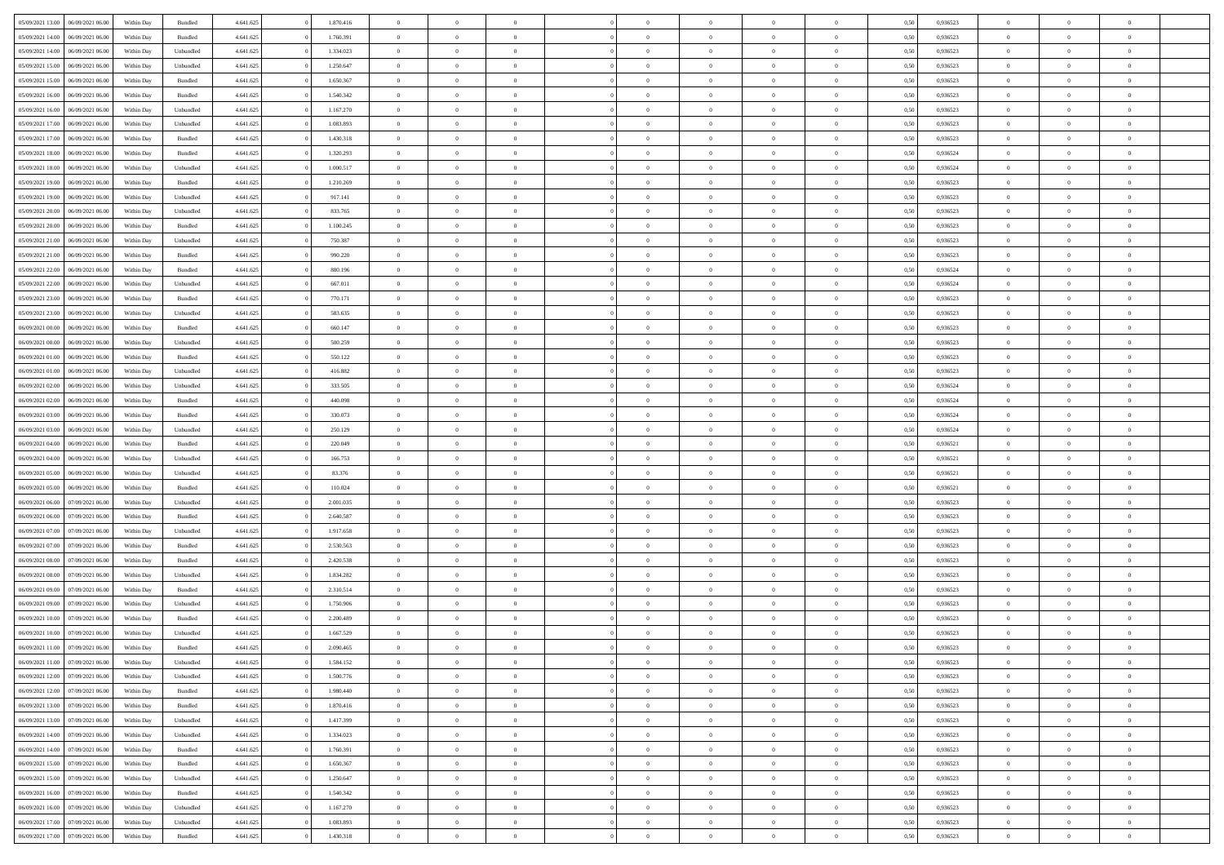| 05/09/2021 13:00                  | 06/09/2021 06:00 | Within Day | Bundled   | 4.641.625 | 1.870.416 | $\overline{0}$ | $\theta$       |                | $\overline{0}$ | $\bf{0}$       | $\overline{0}$ | $\theta$       | 0,50 | 0,936523 | $\theta$       | $\theta$       | $\overline{0}$           |  |
|-----------------------------------|------------------|------------|-----------|-----------|-----------|----------------|----------------|----------------|----------------|----------------|----------------|----------------|------|----------|----------------|----------------|--------------------------|--|
|                                   |                  |            |           |           |           | $\overline{0}$ | $\overline{0}$ |                |                |                |                |                |      |          |                |                | $\overline{0}$           |  |
| 05/09/2021 14:00                  | 06/09/2021 06.00 | Within Day | Bundled   | 4.641.625 | 1.760.391 |                |                | $\overline{0}$ | $\overline{0}$ | $\,$ 0         | $\bf{0}$       | $\bf{0}$       | 0,50 | 0,936523 | $\,$ 0 $\,$    | $\overline{0}$ |                          |  |
| 05/09/2021 14:00                  | 06/09/2021 06:00 | Within Day | Unbundled | 4.641.625 | 1.334.023 | $\overline{0}$ | $\overline{0}$ | $\overline{0}$ | $\overline{0}$ | $\bf{0}$       | $\overline{0}$ | $\mathbf{0}$   | 0.50 | 0.936523 | $\bf{0}$       | $\overline{0}$ | $\overline{0}$           |  |
| 05/09/2021 15:00                  | 06/09/2021 06:00 | Within Day | Unbundled | 4.641.625 | 1.250.647 | $\overline{0}$ | $\overline{0}$ | $\overline{0}$ | $\overline{0}$ | $\,$ 0         | $\overline{0}$ | $\overline{0}$ | 0,50 | 0,936523 | $\,$ 0 $\,$    | $\overline{0}$ | $\overline{0}$           |  |
| 05/09/2021 15:00                  | 06/09/2021 06.00 | Within Day | Bundled   | 4.641.625 | 1.650.367 | $\overline{0}$ | $\theta$       | $\overline{0}$ |                | $\overline{0}$ | $\overline{0}$ | $\bf{0}$       | 0,50 | 0,936523 | $\,$ 0 $\,$    | $\overline{0}$ | $\overline{0}$           |  |
| 05/09/2021 16:00                  | 06/09/2021 06:00 | Within Day | Bundled   | 4.641.625 | 1.540.342 | $\overline{0}$ | $\overline{0}$ | $\overline{0}$ | $\overline{0}$ | $\bf{0}$       | $\overline{0}$ | $\overline{0}$ | 0.50 | 0.936523 | $\,0\,$        | $\theta$       | $\overline{0}$           |  |
| 05/09/2021 16:00                  | 06/09/2021 06:00 | Within Day | Unbundled | 4.641.625 | 1.167.270 | $\overline{0}$ | $\overline{0}$ | $\overline{0}$ | $\overline{0}$ | $\,$ 0         | $\overline{0}$ | $\overline{0}$ | 0,50 | 0,936523 | $\,$ 0 $\,$    | $\theta$       | $\overline{0}$           |  |
| 05/09/2021 17:00                  | 06/09/2021 06.00 | Within Day | Unbundled | 4.641.625 | 1.083.893 | $\overline{0}$ | $\theta$       | $\overline{0}$ | $\overline{0}$ | $\bf{0}$       | $\overline{0}$ | $\bf{0}$       | 0,50 | 0,936523 | $\,$ 0 $\,$    | $\overline{0}$ | $\overline{0}$           |  |
| 05/09/2021 17:00                  | 06/09/2021 06:00 |            | Bundled   |           | 1.430.318 |                | $\overline{0}$ | $\overline{0}$ | $\overline{0}$ | $\bf{0}$       | $\overline{0}$ |                | 0.50 | 0.936523 | $\,0\,$        | $\overline{0}$ | $\overline{0}$           |  |
|                                   |                  | Within Day |           | 4.641.625 |           | $\overline{0}$ |                |                |                |                |                | $\bf{0}$       |      |          |                |                |                          |  |
| 05/09/2021 18:00                  | 06/09/2021 06:00 | Within Day | Bundled   | 4.641.625 | 1.320.293 | $\overline{0}$ | $\overline{0}$ | $\overline{0}$ | $\overline{0}$ | $\,$ 0         | $\overline{0}$ | $\bf{0}$       | 0,50 | 0,936524 | $\,$ 0 $\,$    | $\overline{0}$ | $\overline{0}$           |  |
| 05/09/2021 18:00                  | 06/09/2021 06.00 | Within Day | Unbundled | 4.641.625 | 1.000.517 | $\overline{0}$ | $\theta$       | $\overline{0}$ | $\overline{0}$ | $\,$ 0         | $\overline{0}$ | $\bf{0}$       | 0,50 | 0,936524 | $\,$ 0 $\,$    | $\overline{0}$ | $\overline{0}$           |  |
| 05/09/2021 19:00                  | 06/09/2021 06:00 | Within Day | Bundled   | 4.641.625 | 1.210.269 | $\overline{0}$ | $\overline{0}$ | $\overline{0}$ | $\overline{0}$ | $\bf{0}$       | $\overline{0}$ | $\mathbf{0}$   | 0.50 | 0.936523 | $\bf{0}$       | $\overline{0}$ | $\overline{\phantom{a}}$ |  |
| 05/09/2021 19:00                  | 06/09/2021 06:00 | Within Day | Unbundled | 4.641.625 | 917.141   | $\overline{0}$ | $\overline{0}$ | $\overline{0}$ | $\overline{0}$ | $\,$ 0         | $\overline{0}$ | $\overline{0}$ | 0,50 | 0,936523 | $\,$ 0 $\,$    | $\overline{0}$ | $\overline{0}$           |  |
| 05/09/2021 20:00                  | 06/09/2021 06.00 | Within Day | Unbundled | 4.641.625 | 833.765   | $\overline{0}$ | $\theta$       | $\overline{0}$ | $\overline{0}$ | $\overline{0}$ | $\overline{0}$ | $\bf{0}$       | 0,50 | 0,936523 | $\,$ 0 $\,$    | $\overline{0}$ | $\overline{0}$           |  |
| 05/09/2021 20:00                  | 06/09/2021 06:00 | Within Day | Bundled   | 4.641.625 | 1.100.245 | $\overline{0}$ | $\overline{0}$ | $\overline{0}$ | $\overline{0}$ | $\bf{0}$       | $\overline{0}$ | $\bf{0}$       | 0.50 | 0.936523 | $\theta$       | $\theta$       | $\overline{0}$           |  |
| 05/09/2021 21:00                  | 06/09/2021 06:00 | Within Day | Unbundled | 4.641.625 | 750.387   | $\overline{0}$ | $\overline{0}$ | $\overline{0}$ | $\overline{0}$ | $\,$ 0         | $\overline{0}$ | $\bf{0}$       | 0,50 | 0,936523 | $\,$ 0 $\,$    | $\theta$       | $\overline{0}$           |  |
|                                   |                  |            |           |           |           |                |                |                |                |                |                |                |      |          |                |                |                          |  |
| 05/09/2021 21:00                  | 06/09/2021 06.00 | Within Day | Bundled   | 4.641.625 | 990.220   | $\overline{0}$ | $\theta$       | $\overline{0}$ | $\overline{0}$ | $\bf{0}$       | $\overline{0}$ | $\bf{0}$       | 0,50 | 0,936523 | $\,$ 0 $\,$    | $\overline{0}$ | $\overline{0}$           |  |
| 05/09/2021 22.00                  | 06/09/2021 06:00 | Within Day | Bundled   | 4.641.625 | 880.196   | $\overline{0}$ | $\overline{0}$ | $\overline{0}$ | $\overline{0}$ | $\bf{0}$       | $\overline{0}$ | $\bf{0}$       | 0.50 | 0.936524 | $\,0\,$        | $\overline{0}$ | $\overline{0}$           |  |
| 05/09/2021 22.00                  | 06/09/2021 06:00 | Within Day | Unbundled | 4.641.625 | 667.011   | $\overline{0}$ | $\overline{0}$ | $\overline{0}$ | $\overline{0}$ | $\bf{0}$       | $\overline{0}$ | $\bf{0}$       | 0,50 | 0,936524 | $\,$ 0 $\,$    | $\overline{0}$ | $\overline{0}$           |  |
| 05/09/2021 23:00                  | 06/09/2021 06.00 | Within Day | Bundled   | 4.641.625 | 770.171   | $\overline{0}$ | $\theta$       | $\overline{0}$ | $\overline{0}$ | $\,$ 0         | $\bf{0}$       | $\bf{0}$       | 0,50 | 0,936523 | $\,$ 0 $\,$    | $\overline{0}$ | $\overline{0}$           |  |
| 05/09/2021 23:00                  | 06/09/2021 06:00 | Within Day | Unbundled | 4.641.625 | 583.635   | $\overline{0}$ | $\overline{0}$ | $\overline{0}$ | $\overline{0}$ | $\bf{0}$       | $\overline{0}$ | $\mathbf{0}$   | 0.50 | 0.936523 | $\bf{0}$       | $\overline{0}$ | $\bf{0}$                 |  |
| 06/09/2021 00:00                  | 06/09/2021 06:00 | Within Day | Bundled   | 4.641.625 | 660.147   | $\overline{0}$ | $\overline{0}$ | $\overline{0}$ | $\overline{0}$ | $\bf{0}$       | $\overline{0}$ | $\overline{0}$ | 0,50 | 0,936523 | $\,$ 0 $\,$    | $\overline{0}$ | $\overline{0}$           |  |
| 06/09/2021 00:00                  | 06/09/2021 06.00 | Within Day | Unbundled | 4.641.625 | 500.259   | $\overline{0}$ | $\theta$       | $\overline{0}$ | $\overline{0}$ | $\bf{0}$       | $\overline{0}$ | $\bf{0}$       | 0,50 | 0,936523 | $\,$ 0 $\,$    | $\overline{0}$ | $\overline{0}$           |  |
| 06/09/2021 01:00                  | 06/09/2021 06:00 | Within Day | Bundled   | 4.641.625 | 550.122   | $\overline{0}$ | $\overline{0}$ | $\overline{0}$ | $\overline{0}$ | $\bf{0}$       | $\overline{0}$ | $\bf{0}$       | 0.50 | 0.936523 | $\,0\,$        | $\theta$       | $\overline{0}$           |  |
|                                   |                  |            |           |           |           |                |                |                |                |                |                |                |      |          |                |                |                          |  |
| 06/09/2021 01:00                  | 06/09/2021 06:00 | Within Day | Unbundled | 4.641.625 | 416.882   | $\overline{0}$ | $\overline{0}$ | $\overline{0}$ | $\overline{0}$ | $\,$ 0         | $\overline{0}$ | $\overline{0}$ | 0,50 | 0,936523 | $\,$ 0 $\,$    | $\theta$       | $\overline{0}$           |  |
| 06/09/2021 02:00                  | 06/09/2021 06.00 | Within Day | Unbundled | 4.641.625 | 333.505   | $\overline{0}$ | $\theta$       | $\overline{0}$ |                | $\bf{0}$       | $\overline{0}$ | $\bf{0}$       | 0,50 | 0,936524 | $\,$ 0 $\,$    | $\overline{0}$ | $\overline{0}$           |  |
| 06/09/2021 02:00                  | 06/09/2021 06:00 | Within Day | Bundled   | 4.641.625 | 440.098   | $\overline{0}$ | $\overline{0}$ | $\overline{0}$ | $\overline{0}$ | $\bf{0}$       | $\overline{0}$ | $\bf{0}$       | 0.50 | 0.936524 | $\,0\,$        | $\overline{0}$ | $\overline{0}$           |  |
| 06/09/2021 03:00                  | 06/09/2021 06:00 | Within Day | Bundled   | 4.641.625 | 330.073   | $\overline{0}$ | $\overline{0}$ | $\overline{0}$ | $\overline{0}$ | $\,$ 0         | $\overline{0}$ | $\bf{0}$       | 0,50 | 0,936524 | $\,$ 0 $\,$    | $\overline{0}$ | $\overline{0}$           |  |
| 06/09/2021 03:00                  | 06/09/2021 06.00 | Within Day | Unbundled | 4.641.625 | 250.129   | $\overline{0}$ | $\overline{0}$ | $\overline{0}$ | $\overline{0}$ | $\bf{0}$       | $\bf{0}$       | $\bf{0}$       | 0,50 | 0,936524 | $\,$ 0 $\,$    | $\overline{0}$ | $\overline{0}$           |  |
| 06/09/2021 04:00                  | 06/09/2021 06:00 | Within Day | Bundled   | 4.641.625 | 220.049   | $\overline{0}$ | $\overline{0}$ | $\overline{0}$ | $\overline{0}$ | $\bf{0}$       | $\overline{0}$ | $\mathbf{0}$   | 0.50 | 0.936521 | $\bf{0}$       | $\overline{0}$ | $\overline{\phantom{a}}$ |  |
| 06/09/2021 04:00                  | 06/09/2021 06:00 | Within Dav | Unbundled | 4.641.625 | 166.753   | $\overline{0}$ | $\overline{0}$ | $\overline{0}$ | $\overline{0}$ | $\mathbf{0}$   | $\overline{0}$ | $\overline{0}$ | 0.50 | 0,936521 | $\theta$       | $\overline{0}$ | $\overline{0}$           |  |
| 06/09/2021 05:00                  | 06/09/2021 06.00 | Within Day | Unbundled | 4.641.625 | 83.376    | $\overline{0}$ | $\theta$       | $\overline{0}$ | $\overline{0}$ | $\bf{0}$       | $\overline{0}$ | $\bf{0}$       | 0,50 | 0,936521 | $\,$ 0 $\,$    | $\overline{0}$ | $\overline{0}$           |  |
|                                   | 06/09/2021 06:00 |            |           |           | 110.024   |                | $\overline{0}$ |                |                |                | $\overline{0}$ |                |      | 0.936521 |                | $\theta$       |                          |  |
| 06/09/2021 05:00                  |                  | Within Day | Bundled   | 4.641.625 |           | $\overline{0}$ |                | $\overline{0}$ | $\overline{0}$ | $\,$ 0         |                | $\bf{0}$       | 0.50 |          | $\,0\,$        |                | $\overline{0}$           |  |
| 06/09/2021 06:00                  | 07/09/2021 06:00 | Within Dav | Unbundled | 4.641.625 | 2.001.035 | $\overline{0}$ | $\theta$       | $\Omega$       | $\overline{0}$ | $\bf{0}$       | $\overline{0}$ | $\overline{0}$ | 0.50 | 0.936523 | $\theta$       | $\overline{0}$ | $\overline{0}$           |  |
| 06/09/2021 06:00                  | 07/09/2021 06.00 | Within Day | Bundled   | 4.641.625 | 2.640.587 | $\overline{0}$ | $\theta$       | $\overline{0}$ | $\overline{0}$ | $\,$ 0         | $\overline{0}$ | $\bf{0}$       | 0,50 | 0,936523 | $\,$ 0 $\,$    | $\overline{0}$ | $\overline{0}$           |  |
| 06/09/2021 07:00                  | 07/09/2021 06:00 | Within Day | Unbundled | 4.641.625 | 1.917.658 | $\overline{0}$ | $\overline{0}$ | $\overline{0}$ | $\overline{0}$ | $\bf{0}$       | $\overline{0}$ | $\bf{0}$       | 0.50 | 0.936523 | $\,0\,$        | $\overline{0}$ | $\overline{0}$           |  |
| 06/09/2021 07:00                  | 07/09/2021 06:00 | Within Dav | Bundled   | 4.641.625 | 2.530.563 | $\overline{0}$ | $\overline{0}$ | $\overline{0}$ | $\overline{0}$ | $\overline{0}$ | $\overline{0}$ | $\overline{0}$ | 0.50 | 0.936523 | $\theta$       | $\overline{0}$ | $\overline{0}$           |  |
| 06/09/2021 08:00                  | 07/09/2021 06.00 | Within Day | Bundled   | 4.641.625 | 2.420.538 | $\overline{0}$ | $\overline{0}$ | $\overline{0}$ | $\overline{0}$ | $\bf{0}$       | $\bf{0}$       | $\bf{0}$       | 0,50 | 0,936523 | $\,$ 0 $\,$    | $\overline{0}$ | $\overline{0}$           |  |
| 06/09/2021 08:00                  | 07/09/2021 06:00 | Within Day | Unbundled | 4.641.625 | 1.834.282 | $\overline{0}$ | $\overline{0}$ | $\overline{0}$ | $\overline{0}$ | $\bf{0}$       | $\overline{0}$ | $\mathbf{0}$   | 0.50 | 0.936523 | $\bf{0}$       | $\overline{0}$ | $\overline{0}$           |  |
| 06/09/2021 09:00                  | 07/09/2021 06:00 | Within Dav | Bundled   | 4.641.625 | 2.310.514 | $\overline{0}$ | $\overline{0}$ | $\Omega$       | $\overline{0}$ | $\mathbf{0}$   | $\overline{0}$ | $\overline{0}$ | 0.50 | 0.936523 | $\theta$       | $\overline{0}$ | $\overline{0}$           |  |
| 06/09/2021 09:00                  | 07/09/2021 06.00 | Within Day | Unbundled | 4.641.625 | 1.750.906 | $\overline{0}$ | $\theta$       | $\overline{0}$ | $\overline{0}$ | $\,$ 0         | $\overline{0}$ | $\bf{0}$       | 0,50 | 0,936523 | $\,$ 0 $\,$    | $\overline{0}$ | $\overline{0}$           |  |
|                                   | 07/09/2021 06:00 |            |           |           | 2.200.489 |                |                |                |                | $\bf{0}$       | $\Omega$       |                |      | 0.936523 |                | $\theta$       | $\theta$                 |  |
| 06/09/2021 10:00                  |                  | Within Day | Bundled   | 4.641.625 |           | $\overline{0}$ | $\theta$       | $\overline{0}$ | $\overline{0}$ |                |                | $\overline{0}$ | 0.50 |          | $\,0\,$        |                |                          |  |
| 06/09/2021 10:00                  | 07/09/2021 06:00 | Within Dav | Unbundled | 4.641.625 | 1.667.529 | $\overline{0}$ | $\Omega$       | $\Omega$       | $\Omega$       | $\bf{0}$       | $\overline{0}$ | $\bf{0}$       | 0.50 | 0.936523 | $\theta$       | $\theta$       | $\overline{0}$           |  |
| 06/09/2021 11:00                  | 07/09/2021 06:00 | Within Day | Bundled   | 4.641.625 | 2.090.465 | $\overline{0}$ | $\,$ 0 $\,$    | $\overline{0}$ | $\overline{0}$ | $\,$ 0         | $\bf{0}$       | $\bf{0}$       | 0,50 | 0,936523 | $\,$ 0 $\,$    | $\overline{0}$ | $\overline{0}$           |  |
| 06/09/2021 11:00                  | 07/09/2021 06:00 | Within Day | Unbundled | 4.641.625 | 1.584.152 | $\bf{0}$       | $\theta$       |                |                |                |                |                | 0,50 | 0.936523 | $\bf{0}$       | $\theta$       |                          |  |
| 06/09/2021 12:00                  | 07/09/2021 06:00 | Within Day | Unbundled | 4.641.625 | 1.500.776 | $\overline{0}$ | $\overline{0}$ | $\overline{0}$ | $\overline{0}$ | $\overline{0}$ | $\overline{0}$ | $\mathbf{0}$   | 0,50 | 0.936523 | $\theta$       | $\overline{0}$ | $\overline{0}$           |  |
| 06/09/2021 12:00                  | 07/09/2021 06:00 | Within Day | Bundled   | 4.641.625 | 1.980.440 | $\overline{0}$ | $\overline{0}$ | $\overline{0}$ | $\bf{0}$       | $\overline{0}$ | $\overline{0}$ | $\bf{0}$       | 0,50 | 0,936523 | $\bf{0}$       | $\overline{0}$ | $\bf{0}$                 |  |
| 06/09/2021 13:00                  | 07/09/2021 06:00 | Within Day | Bundled   | 4.641.625 | 1.870.416 | $\overline{0}$ | $\overline{0}$ | $\overline{0}$ | $\overline{0}$ | $\overline{0}$ | $\overline{0}$ | $\mathbf{0}$   | 0.50 | 0.936523 | $\overline{0}$ | $\bf{0}$       | $\bf{0}$                 |  |
| 06/09/2021 13:00                  | 07/09/2021 06:00 | Within Day | Unbundled | 4.641.625 | 1.417.399 | $\overline{0}$ | $\overline{0}$ | $\overline{0}$ | $\overline{0}$ | $\overline{0}$ | $\overline{0}$ | $\mathbf{0}$   | 0,50 | 0.936523 | $\overline{0}$ | $\theta$       | $\overline{0}$           |  |
| 06/09/2021 14:00                  | 07/09/2021 06:00 | Within Day | Unbundled | 4.641.625 | 1.334.023 | $\overline{0}$ | $\overline{0}$ | $\overline{0}$ | $\overline{0}$ | $\bf{0}$       | $\bf{0}$       | $\bf{0}$       | 0,50 | 0,936523 | $\bf{0}$       | $\overline{0}$ | $\overline{0}$           |  |
|                                   |                  |            |           |           |           |                |                |                |                |                |                |                |      |          |                |                |                          |  |
| 06/09/2021 14:00                  | 07/09/2021 06:00 | Within Day | Bundled   | 4.641.625 | 1.760.391 | $\overline{0}$ | $\overline{0}$ | $\overline{0}$ | $\overline{0}$ | $\bf{0}$       | $\overline{0}$ | $\mathbf{0}$   | 0.50 | 0.936523 | $\,$ 0 $\,$    | $\overline{0}$ | $\overline{0}$           |  |
| 06/09/2021 15:00                  | 07/09/2021 06:00 | Within Day | Bundled   | 4.641.625 | 1.650.367 | $\overline{0}$ | $\overline{0}$ | $\overline{0}$ | $\overline{0}$ | $\overline{0}$ | $\overline{0}$ | $\overline{0}$ | 0,50 | 0.936523 | $\overline{0}$ | $\theta$       | $\overline{0}$           |  |
| 06/09/2021 15:00                  | 07/09/2021 06:00 | Within Day | Unbundled | 4.641.625 | 1.250.647 | $\overline{0}$ | $\,$ 0         | $\overline{0}$ | $\bf{0}$       | $\,$ 0 $\,$    | $\overline{0}$ | $\bf{0}$       | 0,50 | 0,936523 | $\,$ 0 $\,$    | $\overline{0}$ | $\overline{0}$           |  |
| 06/09/2021 16:00                  | 07/09/2021 06:00 | Within Day | Bundled   | 4.641.625 | 1.540.342 | $\overline{0}$ | $\overline{0}$ | $\overline{0}$ | $\overline{0}$ | $\bf{0}$       | $\overline{0}$ | $\mathbf{0}$   | 0.50 | 0.936523 | $\mathbf{0}$   | $\bf{0}$       | $\overline{0}$           |  |
| 06/09/2021 16:00                  | 07/09/2021 06:00 | Within Day | Unbundled | 4.641.625 | 1.167.270 | $\overline{0}$ | $\overline{0}$ | $\overline{0}$ | $\overline{0}$ | $\overline{0}$ | $\overline{0}$ | $\overline{0}$ | 0,50 | 0.936523 | $\overline{0}$ | $\theta$       | $\overline{0}$           |  |
| 06/09/2021 17:00                  | 07/09/2021 06.00 | Within Day | Unbundled | 4.641.625 | 1.083.893 | $\overline{0}$ | $\overline{0}$ | $\overline{0}$ | $\bf{0}$       | $\bf{0}$       | $\bf{0}$       | $\bf{0}$       | 0,50 | 0,936523 | $\bf{0}$       | $\overline{0}$ | $\bf{0}$                 |  |
| 06/09/2021 17:00 07/09/2021 06:00 |                  | Within Day | Bundled   | 4.641.625 | 1.430.318 | $\,$ 0 $\,$    | $\,$ 0 $\,$    | $\overline{0}$ | $\overline{0}$ | $\,$ 0 $\,$    | $\,$ 0 $\,$    | $\,$ 0 $\,$    | 0,50 | 0,936523 | $\overline{0}$ | $\,$ 0 $\,$    | $\,$ 0 $\,$              |  |
|                                   |                  |            |           |           |           |                |                |                |                |                |                |                |      |          |                |                |                          |  |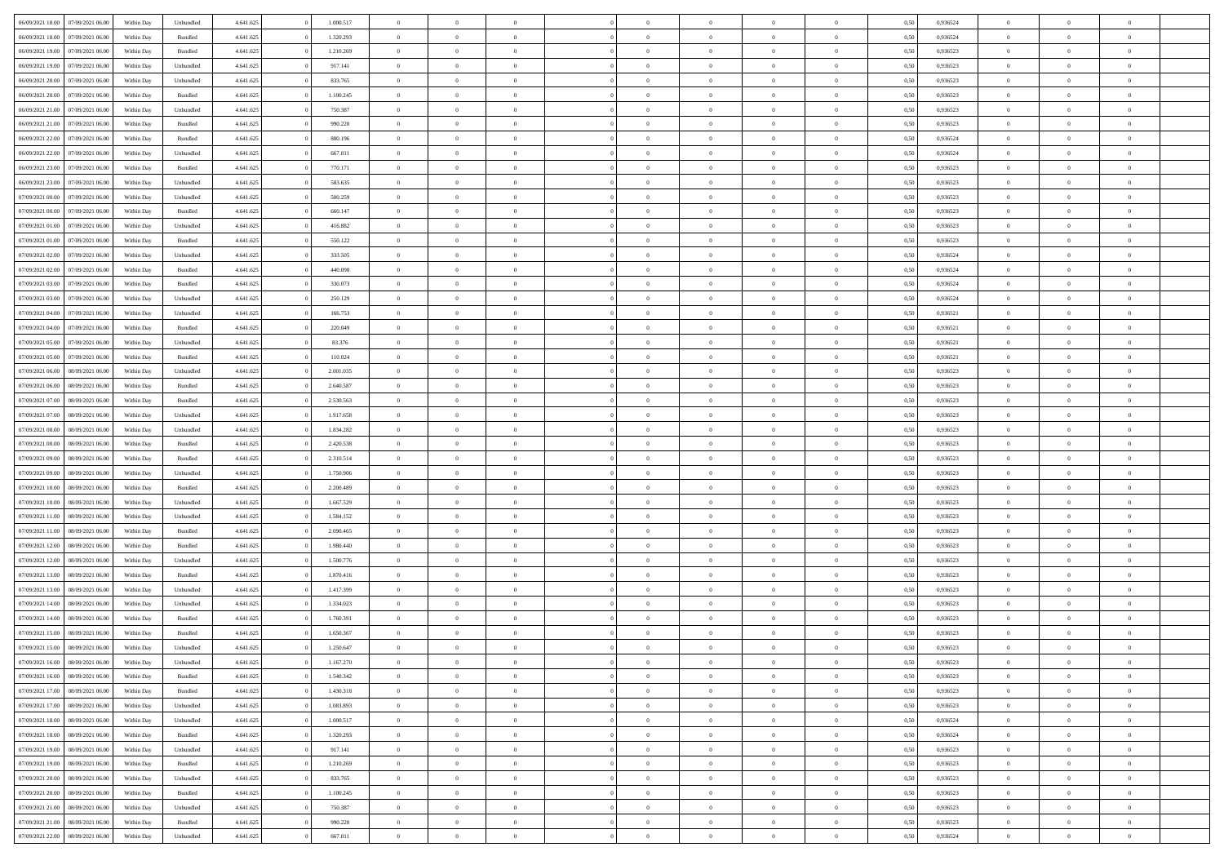| 06/09/2021 18:00<br>07/09/2021 06:00 | Within Day | Unbundled | 4.641.625 | 1.000.517 | $\overline{0}$ | $\theta$       |                | $\overline{0}$ | $\bf{0}$       | $\overline{0}$ | $\theta$       | 0,50 | 0,936524 | $\theta$       | $\theta$       | $\overline{0}$           |  |
|--------------------------------------|------------|-----------|-----------|-----------|----------------|----------------|----------------|----------------|----------------|----------------|----------------|------|----------|----------------|----------------|--------------------------|--|
| 06/09/2021 18:00<br>07/09/2021 06.00 | Within Day | Bundled   | 4.641.625 | 1.320.293 | $\overline{0}$ | $\overline{0}$ | $\overline{0}$ | $\overline{0}$ | $\,$ 0         | $\bf{0}$       | $\bf{0}$       | 0,50 | 0,936524 | $\,$ 0 $\,$    | $\overline{0}$ | $\overline{0}$           |  |
|                                      |            |           |           |           |                |                |                |                |                |                |                |      |          |                |                |                          |  |
| 06/09/2021 19:00<br>07/09/2021 06:00 | Within Day | Bundled   | 4.641.625 | 1.210.269 | $\overline{0}$ | $\overline{0}$ | $\overline{0}$ | $\overline{0}$ | $\bf{0}$       | $\overline{0}$ | $\overline{0}$ | 0.50 | 0.936523 | $\bf{0}$       | $\overline{0}$ | $\overline{0}$           |  |
| 06/09/2021 19:00<br>07/09/2021 06:00 | Within Day | Unbundled | 4.641.625 | 917.141   | $\overline{0}$ | $\overline{0}$ | $\overline{0}$ | $\overline{0}$ | $\bf{0}$       | $\overline{0}$ | $\overline{0}$ | 0,50 | 0,936523 | $\,$ 0 $\,$    | $\overline{0}$ | $\overline{0}$           |  |
| 06/09/2021 20:00<br>07/09/2021 06.00 | Within Day | Unbundled | 4.641.625 | 833.765   | $\overline{0}$ | $\theta$       | $\overline{0}$ |                | $\overline{0}$ | $\overline{0}$ | $\bf{0}$       | 0,50 | 0,936523 | $\theta$       | $\overline{0}$ | $\overline{0}$           |  |
| 06/09/2021 20:00<br>07/09/2021 06:00 | Within Day | Bundled   | 4.641.625 | 1.100.245 | $\overline{0}$ | $\overline{0}$ | $\overline{0}$ | $\overline{0}$ | $\bf{0}$       | $\overline{0}$ | $\overline{0}$ | 0.50 | 0.936523 | $\,0\,$        | $\theta$       | $\overline{0}$           |  |
| 06/09/2021 21:00<br>07/09/2021 06:00 | Within Day | Unbundled | 4.641.625 | 750.387   | $\overline{0}$ | $\overline{0}$ | $\overline{0}$ | $\overline{0}$ | $\,$ 0         | $\overline{0}$ | $\overline{0}$ | 0,50 | 0,936523 | $\,$ 0 $\,$    | $\theta$       | $\overline{0}$           |  |
| 06/09/2021 21:00<br>07/09/2021 06.00 | Within Day | Bundled   | 4.641.625 | 990.220   | $\overline{0}$ | $\theta$       | $\overline{0}$ | $\overline{0}$ | $\bf{0}$       | $\overline{0}$ | $\bf{0}$       | 0,50 | 0,936523 | $\,$ 0 $\,$    | $\overline{0}$ | $\overline{0}$           |  |
| 06/09/2021 22:00<br>07/09/2021 06:00 | Within Day | Bundled   | 4.641.625 | 880,196   | $\overline{0}$ | $\overline{0}$ | $\overline{0}$ | $\overline{0}$ | $\bf{0}$       | $\overline{0}$ | $\bf{0}$       | 0.50 | 0.936524 | $\,0\,$        | $\overline{0}$ | $\overline{0}$           |  |
| 06/09/2021 22:00<br>07/09/2021 06:00 | Within Day | Unbundled | 4.641.625 | 667.011   | $\overline{0}$ | $\overline{0}$ | $\overline{0}$ | $\overline{0}$ | $\,$ 0         | $\overline{0}$ | $\bf{0}$       | 0,50 | 0,936524 | $\,$ 0 $\,$    | $\overline{0}$ | $\overline{0}$           |  |
| 06/09/2021 23:00<br>07/09/2021 06.00 | Within Day | Bundled   | 4.641.625 | 770.171   | $\overline{0}$ | $\theta$       | $\overline{0}$ | $\overline{0}$ | $\,$ 0         | $\overline{0}$ | $\bf{0}$       | 0,50 | 0,936523 | $\,$ 0 $\,$    | $\overline{0}$ | $\overline{0}$           |  |
| 06/09/2021 23:00<br>07/09/2021 06:00 | Within Day | Unbundled | 4.641.625 | 583.635   | $\overline{0}$ | $\overline{0}$ | $\overline{0}$ | $\overline{0}$ | $\bf{0}$       | $\overline{0}$ | $\mathbf{0}$   | 0.50 | 0.936523 | $\bf{0}$       | $\overline{0}$ | $\overline{\phantom{a}}$ |  |
|                                      |            |           |           |           | $\overline{0}$ | $\overline{0}$ | $\overline{0}$ | $\overline{0}$ |                | $\overline{0}$ | $\overline{0}$ |      |          | $\,$ 0 $\,$    | $\overline{0}$ | $\overline{0}$           |  |
| 07/09/2021 00:00<br>07/09/2021 06:00 | Within Day | Unbundled | 4.641.625 | 500.259   |                |                |                |                | $\,$ 0         |                |                | 0,50 | 0,936523 |                |                |                          |  |
| 07/09/2021 00:00<br>07/09/2021 06.00 | Within Day | Bundled   | 4.641.625 | 660.147   | $\overline{0}$ | $\theta$       | $\overline{0}$ | $\overline{0}$ | $\overline{0}$ | $\overline{0}$ | $\bf{0}$       | 0,50 | 0,936523 | $\,$ 0 $\,$    | $\overline{0}$ | $\overline{0}$           |  |
| 07/09/2021 01:00<br>07/09/2021 06:00 | Within Day | Unbundled | 4.641.625 | 416.882   | $\overline{0}$ | $\overline{0}$ | $\overline{0}$ | $\overline{0}$ | $\bf{0}$       | $\overline{0}$ | $\overline{0}$ | 0.50 | 0.936523 | $\theta$       | $\theta$       | $\overline{0}$           |  |
| 07/09/2021 01:00<br>07/09/2021 06:00 | Within Day | Bundled   | 4.641.625 | 550.122   | $\overline{0}$ | $\overline{0}$ | $\overline{0}$ | $\overline{0}$ | $\,$ 0         | $\overline{0}$ | $\bf{0}$       | 0,50 | 0,936523 | $\theta$       | $\theta$       | $\overline{0}$           |  |
| 07/09/2021 02:00<br>07/09/2021 06.00 | Within Day | Unbundled | 4.641.625 | 333.505   | $\overline{0}$ | $\theta$       | $\overline{0}$ | $\overline{0}$ | $\bf{0}$       | $\overline{0}$ | $\bf{0}$       | 0,50 | 0,936524 | $\,$ 0 $\,$    | $\overline{0}$ | $\overline{0}$           |  |
| 07/09/2021 02:00<br>07/09/2021 06:00 | Within Day | Bundled   | 4.641.625 | 440.098   | $\overline{0}$ | $\overline{0}$ | $\overline{0}$ | $\overline{0}$ | $\bf{0}$       | $\overline{0}$ | $\bf{0}$       | 0.50 | 0.936524 | $\,0\,$        | $\overline{0}$ | $\overline{0}$           |  |
| 07/09/2021 03:00<br>07/09/2021 06:00 | Within Day | Bundled   | 4.641.625 | 330.073   | $\overline{0}$ | $\overline{0}$ | $\overline{0}$ | $\overline{0}$ | $\bf{0}$       | $\overline{0}$ | $\bf{0}$       | 0,50 | 0,936524 | $\,$ 0 $\,$    | $\overline{0}$ | $\overline{0}$           |  |
| 07/09/2021 03:00<br>07/09/2021 06.00 | Within Day | Unbundled | 4.641.625 | 250.129   | $\overline{0}$ | $\theta$       | $\overline{0}$ | $\overline{0}$ | $\,$ 0         | $\bf{0}$       | $\bf{0}$       | 0,50 | 0,936524 | $\,$ 0 $\,$    | $\overline{0}$ | $\overline{0}$           |  |
| 07/09/2021 04:00<br>07/09/2021 06:00 | Within Day | Unbundled | 4.641.625 | 166,753   | $\overline{0}$ | $\overline{0}$ | $\overline{0}$ | $\overline{0}$ | $\bf{0}$       | $\overline{0}$ | $\mathbf{0}$   | 0.50 | 0.936521 | $\bf{0}$       | $\overline{0}$ | $\overline{\phantom{a}}$ |  |
| 07/09/2021 04:00<br>07/09/2021 06:00 | Within Day | Bundled   | 4.641.625 | 220.049   | $\overline{0}$ | $\overline{0}$ | $\overline{0}$ | $\overline{0}$ | $\bf{0}$       | $\overline{0}$ | $\overline{0}$ | 0,50 | 0,936521 | $\,$ 0 $\,$    | $\overline{0}$ | $\overline{0}$           |  |
| 07/09/2021 05:00<br>07/09/2021 06.00 | Within Day | Unbundled | 4.641.625 | 83.376    | $\overline{0}$ | $\theta$       | $\overline{0}$ | $\overline{0}$ | $\bf{0}$       | $\overline{0}$ | $\bf{0}$       | 0,50 | 0,936521 | $\,$ 0 $\,$    | $\overline{0}$ | $\overline{0}$           |  |
|                                      |            |           |           |           |                |                |                |                |                |                |                |      |          |                |                |                          |  |
| 07/09/2021 05:00<br>07/09/2021 06:00 | Within Day | Bundled   | 4.641.625 | 110.024   | $\overline{0}$ | $\overline{0}$ | $\overline{0}$ | $\overline{0}$ | $\bf{0}$       | $\overline{0}$ | $\bf{0}$       | 0.50 | 0.936521 | $\,0\,$        | $\theta$       | $\overline{0}$           |  |
| 07/09/2021 06:00<br>08/09/2021 06:00 | Within Day | Unbundled | 4.641.625 | 2.001.035 | $\overline{0}$ | $\overline{0}$ | $\overline{0}$ | $\overline{0}$ | $\,$ 0         | $\overline{0}$ | $\overline{0}$ | 0,50 | 0,936523 | $\,$ 0 $\,$    | $\theta$       | $\overline{0}$           |  |
| 07/09/2021 06:00<br>08/09/2021 06.00 | Within Day | Bundled   | 4.641.625 | 2.640.587 | $\overline{0}$ | $\theta$       | $\overline{0}$ |                | $\bf{0}$       | $\overline{0}$ | $\bf{0}$       | 0,50 | 0,936523 | $\,$ 0 $\,$    | $\overline{0}$ | $\overline{0}$           |  |
| 07/09/2021 07:00<br>08/09/2021 06:00 | Within Day | Bundled   | 4.641.625 | 2.530.563 | $\overline{0}$ | $\overline{0}$ | $\overline{0}$ | $\overline{0}$ | $\bf{0}$       | $\overline{0}$ | $\bf{0}$       | 0.50 | 0.936523 | $\,0\,$        | $\overline{0}$ | $\overline{0}$           |  |
| 07/09/2021 07:00<br>08/09/2021 06:00 | Within Day | Unbundled | 4.641.625 | 1.917.658 | $\overline{0}$ | $\overline{0}$ | $\overline{0}$ | $\overline{0}$ | $\,$ 0         | $\overline{0}$ | $\bf{0}$       | 0,50 | 0,936523 | $\,$ 0 $\,$    | $\overline{0}$ | $\overline{0}$           |  |
| 07/09/2021 08:00<br>08/09/2021 06:00 | Within Day | Unbundled | 4.641.625 | 1.834.282 | $\overline{0}$ | $\overline{0}$ | $\overline{0}$ | $\overline{0}$ | $\bf{0}$       | $\bf{0}$       | $\bf{0}$       | 0,50 | 0,936523 | $\,$ 0 $\,$    | $\overline{0}$ | $\overline{0}$           |  |
| 07/09/2021 08:00<br>08/09/2021 06:00 | Within Day | Bundled   | 4.641.625 | 2.420.538 | $\overline{0}$ | $\overline{0}$ | $\overline{0}$ | $\overline{0}$ | $\bf{0}$       | $\overline{0}$ | $\mathbf{0}$   | 0.50 | 0.936523 | $\bf{0}$       | $\overline{0}$ | $\overline{\phantom{a}}$ |  |
| 07/09/2021 09:00<br>08/09/2021 06:00 | Within Dav | Bundled   | 4.641.625 | 2.310.514 | $\overline{0}$ | $\overline{0}$ | $\overline{0}$ | $\overline{0}$ | $\mathbf{0}$   | $\overline{0}$ | $\overline{0}$ | 0.50 | 0.936523 | $\theta$       | $\overline{0}$ | $\overline{0}$           |  |
| 07/09/2021 09:00<br>08/09/2021 06.00 | Within Day | Unbundled | 4.641.625 | 1.750.906 | $\overline{0}$ | $\theta$       | $\overline{0}$ | $\overline{0}$ | $\bf{0}$       | $\overline{0}$ | $\bf{0}$       | 0,50 | 0,936523 | $\,$ 0 $\,$    | $\overline{0}$ | $\overline{0}$           |  |
| 07/09/2021 10:00<br>08/09/2021 06:00 | Within Day | Bundled   | 4.641.625 | 2.200.489 | $\overline{0}$ | $\overline{0}$ | $\overline{0}$ | $\overline{0}$ | $\bf{0}$       | $\overline{0}$ | $\bf{0}$       | 0.50 | 0.936523 | $\,0\,$        | $\theta$       | $\overline{0}$           |  |
| 07/09/2021 10:00<br>08/09/2021 06:00 | Within Dav | Unbundled | 4.641.625 | 1.667.529 | $\overline{0}$ | $\theta$       | $\Omega$       | $\overline{0}$ | $\bf{0}$       | $\overline{0}$ | $\overline{0}$ | 0.50 | 0.936523 | $\theta$       | $\overline{0}$ | $\overline{0}$           |  |
| 07/09/2021 11:00<br>08/09/2021 06:00 | Within Day | Unbundled | 4.641.625 | 1.584.152 | $\overline{0}$ | $\theta$       | $\overline{0}$ | $\overline{0}$ | $\,$ 0         | $\overline{0}$ | $\bf{0}$       | 0,50 | 0,936523 | $\,$ 0 $\,$    | $\overline{0}$ | $\overline{0}$           |  |
| 08/09/2021 06:00                     |            |           |           | 2.090.465 |                | $\overline{0}$ |                |                |                | $\overline{0}$ |                |      | 0.936523 |                | $\overline{0}$ | $\overline{0}$           |  |
| 07/09/2021 11:00                     | Within Day | Bundled   | 4.641.625 |           | $\overline{0}$ |                | $\overline{0}$ | $\overline{0}$ | $\bf{0}$       |                | $\bf{0}$       | 0.50 |          | $\,0\,$        |                |                          |  |
| 07/09/2021 12:00<br>08/09/2021 06:00 | Within Dav | Bundled   | 4.641.625 | 1.980.440 | $\overline{0}$ | $\overline{0}$ | $\overline{0}$ | $\overline{0}$ | $\overline{0}$ | $\overline{0}$ | $\overline{0}$ | 0.50 | 0.936523 | $\theta$       | $\overline{0}$ | $\overline{0}$           |  |
| 07/09/2021 12:00<br>08/09/2021 06.00 | Within Day | Unbundled | 4.641.625 | 1.500.776 | $\overline{0}$ | $\overline{0}$ | $\overline{0}$ | $\overline{0}$ | $\bf{0}$       | $\bf{0}$       | $\bf{0}$       | 0,50 | 0,936523 | $\,$ 0 $\,$    | $\overline{0}$ | $\overline{0}$           |  |
| 07/09/2021 13:00<br>08/09/2021 06:00 | Within Day | Bundled   | 4.641.625 | 1.870.416 | $\overline{0}$ | $\overline{0}$ | $\overline{0}$ | $\overline{0}$ | $\bf{0}$       | $\overline{0}$ | $\mathbf{0}$   | 0.50 | 0.936523 | $\bf{0}$       | $\overline{0}$ | $\overline{0}$           |  |
| 07/09/2021 13:00<br>08/09/2021 06:00 | Within Dav | Unbundled | 4.641.625 | 1.417.399 | $\overline{0}$ | $\overline{0}$ | $\Omega$       | $\overline{0}$ | $\mathbf{0}$   | $\overline{0}$ | $\overline{0}$ | 0.50 | 0.936523 | $\theta$       | $\overline{0}$ | $\overline{0}$           |  |
| 07/09/2021 14:00<br>08/09/2021 06.00 | Within Day | Unbundled | 4.641.625 | 1.334.023 | $\overline{0}$ | $\theta$       | $\overline{0}$ | $\overline{0}$ | $\,$ 0         | $\overline{0}$ | $\bf{0}$       | 0,50 | 0,936523 | $\,$ 0 $\,$    | $\overline{0}$ | $\overline{0}$           |  |
| 07/09/2021 14:00<br>08/09/2021 06:00 | Within Day | Bundled   | 4.641.625 | 1.760.391 | $\overline{0}$ | $\theta$       | $\overline{0}$ | $\overline{0}$ | $\overline{0}$ | $\Omega$       | $\overline{0}$ | 0.50 | 0.936523 | $\,0\,$        | $\theta$       | $\overline{0}$           |  |
| 07/09/2021 15:00<br>08/09/2021 06:00 | Within Dav | Bundled   | 4.641.625 | 1.650.367 | $\overline{0}$ | $\Omega$       | $\Omega$       | $\Omega$       | $\bf{0}$       | $\overline{0}$ | $\bf{0}$       | 0.50 | 0.936523 | $\theta$       | $\theta$       | $\overline{0}$           |  |
| 07/09/2021 15:00<br>08/09/2021 06:00 | Within Day | Unbundled | 4.641.625 | 1.250.647 | $\overline{0}$ | $\,$ 0 $\,$    | $\overline{0}$ | $\overline{0}$ | $\,$ 0         | $\bf{0}$       | $\bf{0}$       | 0,50 | 0,936523 | $\,$ 0 $\,$    | $\overline{0}$ | $\overline{0}$           |  |
| 07/09/2021 16:00<br>08/09/2021 06:00 | Within Day | Unbundled | 4.641.625 | 1.167.270 | $\bf{0}$       | $\theta$       |                |                |                |                |                | 0,50 | 0.936523 | $\bf{0}$       | $\theta$       |                          |  |
| 07/09/2021 16:00<br>08/09/2021 06:00 | Within Day | Bundled   | 4.641.625 | 1.540.342 | $\overline{0}$ | $\overline{0}$ | $\overline{0}$ | $\overline{0}$ | $\overline{0}$ | $\overline{0}$ | $\mathbf{0}$   | 0,50 | 0.936523 | $\theta$       | $\overline{0}$ | $\overline{0}$           |  |
| 07/09/2021 17:00<br>08/09/2021 06:00 | Within Day | Bundled   | 4.641.625 | 1.430.318 | $\overline{0}$ | $\bf{0}$       | $\overline{0}$ | $\bf{0}$       | $\overline{0}$ | $\overline{0}$ | $\bf{0}$       | 0,50 | 0,936523 | $\bf{0}$       | $\overline{0}$ | $\bf{0}$                 |  |
| 07/09/2021 17:00<br>08/09/2021 06:00 | Within Day | Unbundled | 4.641.625 | 1.083.893 | $\overline{0}$ | $\overline{0}$ | $\overline{0}$ | $\overline{0}$ | $\overline{0}$ | $\overline{0}$ | $\mathbf{0}$   | 0.50 | 0.936523 | $\overline{0}$ | $\bf{0}$       | $\bf{0}$                 |  |
| 07/09/2021 18:00<br>08/09/2021 06:00 | Within Day | Unbundled | 4.641.625 | 1.000.517 | $\overline{0}$ | $\overline{0}$ | $\overline{0}$ | $\overline{0}$ | $\overline{0}$ | $\overline{0}$ | $\mathbf{0}$   | 0,50 | 0,936524 | $\overline{0}$ | $\theta$       | $\overline{0}$           |  |
|                                      |            |           |           |           |                |                |                |                |                |                |                |      |          |                |                |                          |  |
| 07/09/2021 18:00<br>08/09/2021 06:00 | Within Day | Bundled   | 4.641.625 | 1.320.293 | $\overline{0}$ | $\overline{0}$ | $\overline{0}$ | $\overline{0}$ | $\bf{0}$       | $\bf{0}$       | $\bf{0}$       | 0,50 | 0,936524 | $\bf{0}$       | $\overline{0}$ | $\overline{0}$           |  |
| 07/09/2021 19:00<br>08/09/2021 06:00 | Within Day | Unbundled | 4.641.625 | 917.141   | $\overline{0}$ | $\overline{0}$ | $\overline{0}$ | $\overline{0}$ | $\bf{0}$       | $\overline{0}$ | $\mathbf{0}$   | 0.50 | 0.936523 | $\,$ 0 $\,$    | $\overline{0}$ | $\overline{0}$           |  |
| 07/09/2021 19:00<br>08/09/2021 06:00 | Within Day | Bundled   | 4.641.625 | 1.210.269 | $\overline{0}$ | $\overline{0}$ | $\overline{0}$ | $\overline{0}$ | $\overline{0}$ | $\overline{0}$ | $\overline{0}$ | 0,50 | 0.936523 | $\overline{0}$ | $\theta$       | $\overline{0}$           |  |
| 07/09/2021 20:00<br>08/09/2021 06:00 | Within Day | Unbundled | 4.641.625 | 833.765   | $\overline{0}$ | $\,$ 0         | $\overline{0}$ | $\bf{0}$       | $\overline{0}$ | $\overline{0}$ | $\bf{0}$       | 0,50 | 0,936523 | $\,$ 0 $\,$    | $\overline{0}$ | $\overline{0}$           |  |
| 07/09/2021 20:00<br>08/09/2021 06:00 | Within Day | Bundled   | 4.641.625 | 1.100.245 | $\overline{0}$ | $\overline{0}$ | $\overline{0}$ | $\overline{0}$ | $\bf{0}$       | $\overline{0}$ | $\mathbf{0}$   | 0.50 | 0.936523 | $\mathbf{0}$   | $\bf{0}$       | $\bf{0}$                 |  |
| 07/09/2021 21:00<br>08/09/2021 06:00 | Within Day | Unbundled | 4.641.625 | 750.387   | $\overline{0}$ | $\overline{0}$ | $\overline{0}$ | $\overline{0}$ | $\overline{0}$ | $\overline{0}$ | $\overline{0}$ | 0,50 | 0.936523 | $\overline{0}$ | $\overline{0}$ | $\overline{0}$           |  |
| 07/09/2021 21.00<br>08/09/2021 06:00 | Within Day | Bundled   | 4.641.625 | 990.220   | $\overline{0}$ | $\bf{0}$       | $\overline{0}$ | $\bf{0}$       | $\bf{0}$       | $\bf{0}$       | $\bf{0}$       | 0,50 | 0,936523 | $\bf{0}$       | $\overline{0}$ | $\bf{0}$                 |  |
| 07/09/2021 22:00<br>08/09/2021 06:00 | Within Day | Unbundled | 4.641.625 | 667.011   | $\overline{0}$ | $\,$ 0 $\,$    | $\overline{0}$ | $\overline{0}$ | $\,$ 0 $\,$    | $\,$ 0 $\,$    | $\,$ 0 $\,$    | 0,50 | 0,936524 | $\mathbf{0}^-$ | $\,$ 0 $\,$    | $\,$ 0 $\,$              |  |
|                                      |            |           |           |           |                |                |                |                |                |                |                |      |          |                |                |                          |  |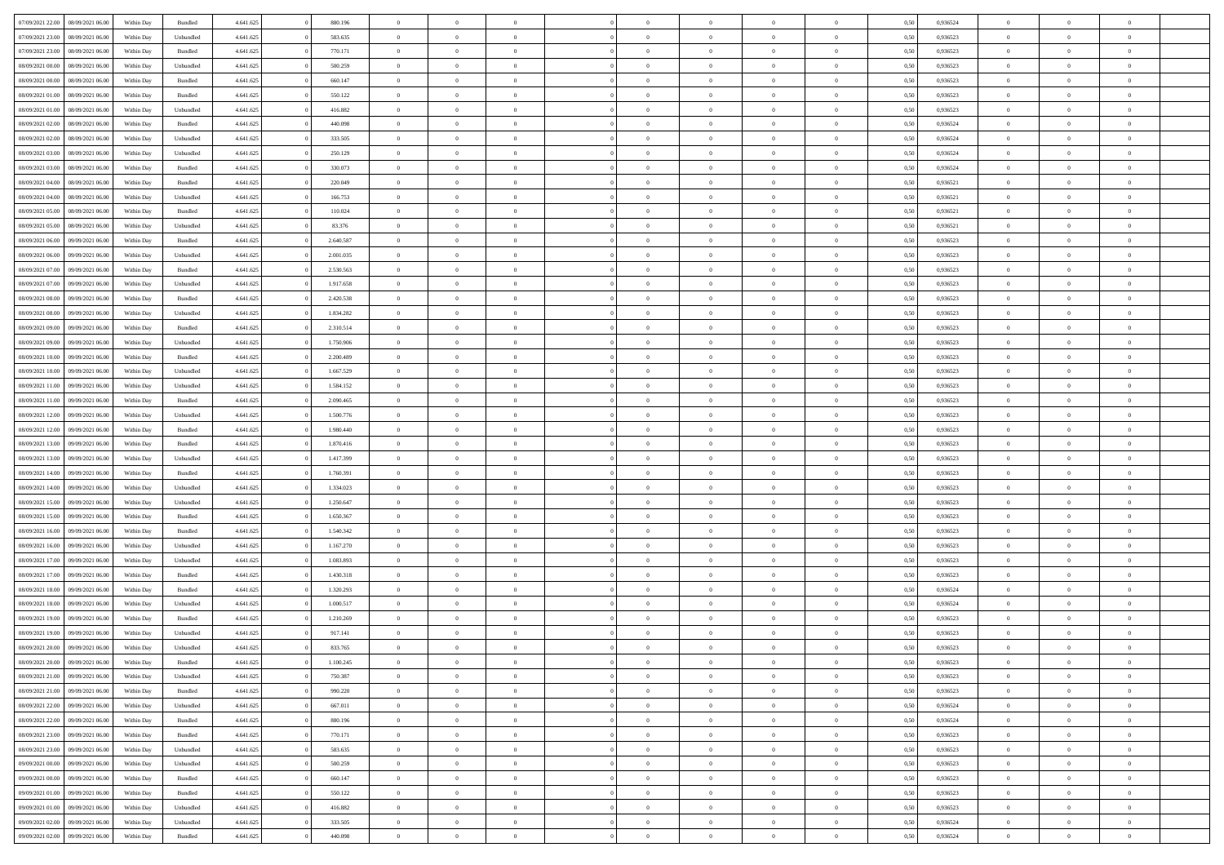|                  |                  |            |                    |           |           | $\overline{0}$ | $\Omega$       |                |                | $\Omega$       | $\theta$       | $\theta$       |      |          | $\theta$       |                |                |  |
|------------------|------------------|------------|--------------------|-----------|-----------|----------------|----------------|----------------|----------------|----------------|----------------|----------------|------|----------|----------------|----------------|----------------|--|
| 07/09/2021 22:00 | 08/09/2021 06:00 | Within Day | Bundled            | 4.641.625 | 880.196   |                |                |                | $\Omega$       |                |                |                | 0.50 | 0,936524 |                | $\theta$       | $\overline{0}$ |  |
| 07/09/2021 23:00 | 08/09/2021 06:00 | Within Day | Unbundled          | 4.641.625 | 583.635   | $\overline{0}$ | $\theta$       | $\overline{0}$ | $\overline{0}$ | $\bf{0}$       | $\overline{0}$ | $\bf{0}$       | 0,50 | 0,936523 | $\theta$       | $\overline{0}$ | $\overline{0}$ |  |
| 07/09/2021 23.00 | 08/09/2021 06:00 | Within Day | Bundled            | 4.641.625 | 770.171   | $\overline{0}$ | $\bf{0}$       | $\overline{0}$ | $\bf{0}$       | $\bf{0}$       | $\bf{0}$       | $\mathbf{0}$   | 0,50 | 0,936523 | $\bf{0}$       | $\overline{0}$ | $\bf{0}$       |  |
| 08/09/2021 00:00 | 08/09/2021 06:00 | Within Dav | Unbundled          | 4.641.625 | 500.259   | $\overline{0}$ | $\overline{0}$ | $\overline{0}$ | $\overline{0}$ | $\bf{0}$       | $\overline{0}$ | $\overline{0}$ | 0.50 | 0.936523 | $\theta$       | $\theta$       | $\overline{0}$ |  |
| 08/09/2021 00:00 | 08/09/2021 06:00 | Within Day | Bundled            | 4.641.625 | 660.147   | $\overline{0}$ | $\theta$       | $\overline{0}$ | $\overline{0}$ | $\bf{0}$       | $\overline{0}$ | $\bf{0}$       | 0,50 | 0,936523 | $\theta$       | $\overline{0}$ | $\overline{0}$ |  |
|                  |                  |            |                    |           |           |                |                |                |                |                |                |                |      |          |                |                |                |  |
| 08/09/2021 01:00 | 08/09/2021 06:00 | Within Day | Bundled            | 4.641.625 | 550.122   | $\overline{0}$ | $\overline{0}$ | $\overline{0}$ | $\bf{0}$       | $\overline{0}$ | $\overline{0}$ | $\mathbf{0}$   | 0,50 | 0,936523 | $\bf{0}$       | $\overline{0}$ | $\bf{0}$       |  |
| 08/09/2021 01:00 | 08/09/2021 06:00 | Within Dav | Unbundled          | 4.641.625 | 416.882   | $\overline{0}$ | $\overline{0}$ | $\overline{0}$ | $\overline{0}$ | $\overline{0}$ | $\overline{0}$ | $\overline{0}$ | 0.50 | 0.936523 | $\theta$       | $\overline{0}$ | $\overline{0}$ |  |
| 08/09/2021 02:00 | 08/09/2021 06:00 | Within Day | Bundled            | 4.641.625 | 440.098   | $\overline{0}$ | $\theta$       | $\overline{0}$ | $\overline{0}$ | $\bf{0}$       | $\overline{0}$ | $\bf{0}$       | 0,50 | 0,936524 | $\theta$       | $\theta$       | $\overline{0}$ |  |
| 08/09/2021 02:00 | 08/09/2021 06:00 | Within Day | Unbundled          | 4.641.625 | 333.505   | $\overline{0}$ | $\overline{0}$ | $\overline{0}$ | $\bf{0}$       | $\bf{0}$       | $\bf{0}$       | $\bf{0}$       | 0,50 | 0,936524 | $\,0\,$        | $\overline{0}$ | $\overline{0}$ |  |
| 08/09/2021 03:00 | 08/09/2021 06:00 | Within Dav | Unbundled          | 4.641.625 | 250.129   | $\overline{0}$ | $\overline{0}$ | $\overline{0}$ | $\overline{0}$ | $\overline{0}$ | $\overline{0}$ | $\overline{0}$ | 0.50 | 0,936524 | $\theta$       | $\overline{0}$ | $\overline{0}$ |  |
| 08/09/2021 03:00 | 08/09/2021 06:00 | Within Day | Bundled            | 4.641.625 | 330.073   | $\overline{0}$ | $\theta$       | $\overline{0}$ | $\overline{0}$ | $\bf{0}$       | $\overline{0}$ | $\bf{0}$       | 0,50 | 0,936524 | $\,$ 0 $\,$    | $\overline{0}$ | $\overline{0}$ |  |
| 08/09/2021 04:00 | 08/09/2021 06:00 | Within Day | Bundled            | 4.641.625 | 220.049   | $\overline{0}$ | $\bf{0}$       | $\overline{0}$ | $\bf{0}$       | $\bf{0}$       | $\bf{0}$       | $\mathbf{0}$   | 0,50 | 0,936521 | $\bf{0}$       | $\overline{0}$ | $\bf{0}$       |  |
|                  |                  |            |                    |           |           |                |                |                |                |                |                |                |      |          |                |                |                |  |
| 08/09/2021 04:00 | 08/09/2021 06:00 | Within Day | Unbundled          | 4.641.625 | 166.753   | $\overline{0}$ | $\overline{0}$ | $\overline{0}$ | $\overline{0}$ | $\bf{0}$       | $\overline{0}$ | $\overline{0}$ | 0.50 | 0,936521 | $\theta$       | $\theta$       | $\overline{0}$ |  |
| 08/09/2021 05:00 | 08/09/2021 06:00 | Within Day | Bundled            | 4.641.625 | 110.024   | $\overline{0}$ | $\theta$       | $\overline{0}$ | $\overline{0}$ | $\bf{0}$       | $\overline{0}$ | $\bf{0}$       | 0,50 | 0,936521 | $\theta$       | $\overline{0}$ | $\overline{0}$ |  |
| 08/09/2021 05:00 | 08/09/2021 06:00 | Within Day | Unbundled          | 4.641.625 | 83.376    | $\overline{0}$ | $\overline{0}$ | $\overline{0}$ | $\bf{0}$       | $\overline{0}$ | $\overline{0}$ | $\mathbf{0}$   | 0,50 | 0,936521 | $\bf{0}$       | $\overline{0}$ | $\bf{0}$       |  |
| 08/09/2021 06:00 | 09/09/2021 06:00 | Within Dav | Bundled            | 4.641.625 | 2.640.587 | $\overline{0}$ | $\overline{0}$ | $\overline{0}$ | $\overline{0}$ | $\overline{0}$ | $\overline{0}$ | $\overline{0}$ | 0.50 | 0.936523 | $\theta$       | $\overline{0}$ | $\overline{0}$ |  |
| 08/09/2021 06:00 | 09/09/2021 06:00 | Within Day | Unbundled          | 4.641.625 | 2.001.035 | $\overline{0}$ | $\theta$       | $\overline{0}$ | $\overline{0}$ | $\bf{0}$       | $\overline{0}$ | $\bf{0}$       | 0,50 | 0,936523 | $\theta$       | $\theta$       | $\overline{0}$ |  |
| 08/09/2021 07:00 | 09/09/2021 06:00 | Within Day | Bundled            | 4.641.625 | 2.530.563 | $\overline{0}$ | $\overline{0}$ | $\overline{0}$ | $\bf{0}$       | $\bf{0}$       | $\bf{0}$       | $\bf{0}$       | 0,50 | 0,936523 | $\,0\,$        | $\overline{0}$ | $\overline{0}$ |  |
| 08/09/2021 07:00 | 09/09/2021 06:00 | Within Day | Unbundled          | 4.641.625 | 1.917.658 | $\overline{0}$ | $\overline{0}$ | $\overline{0}$ | $\overline{0}$ | $\overline{0}$ | $\overline{0}$ | $\overline{0}$ | 0.50 | 0.936523 | $\theta$       | $\overline{0}$ | $\overline{0}$ |  |
|                  |                  |            |                    |           |           |                |                |                |                |                |                |                |      |          |                |                |                |  |
| 08/09/2021 08:00 | 09/09/2021 06:00 | Within Day | Bundled            | 4.641.625 | 2.420.538 | $\overline{0}$ | $\theta$       | $\overline{0}$ | $\overline{0}$ | $\bf{0}$       | $\overline{0}$ | $\bf{0}$       | 0,50 | 0,936523 | $\,$ 0 $\,$    | $\overline{0}$ | $\overline{0}$ |  |
| 08/09/2021 08:00 | 09/09/2021 06:00 | Within Day | Unbundled          | 4.641.625 | 1.834.282 | $\overline{0}$ | $\overline{0}$ | $\overline{0}$ | $\bf{0}$       | $\bf{0}$       | $\bf{0}$       | $\bf{0}$       | 0,50 | 0,936523 | $\bf{0}$       | $\overline{0}$ | $\bf{0}$       |  |
| 08/09/2021 09:00 | 09/09/2021 06:00 | Within Day | Bundled            | 4.641.625 | 2.310.514 | $\overline{0}$ | $\overline{0}$ | $\overline{0}$ | $\overline{0}$ | $\overline{0}$ | $\overline{0}$ | $\overline{0}$ | 0.50 | 0.936523 | $\theta$       | $\overline{0}$ | $\overline{0}$ |  |
| 08/09/2021 09:00 | 09/09/2021 06:00 | Within Day | Unbundled          | 4.641.625 | 1.750.906 | $\overline{0}$ | $\theta$       | $\overline{0}$ | $\overline{0}$ | $\bf{0}$       | $\overline{0}$ | $\bf{0}$       | 0,50 | 0,936523 | $\theta$       | $\overline{0}$ | $\overline{0}$ |  |
| 08/09/2021 10:00 | 09/09/2021 06:00 | Within Day | Bundled            | 4.641.625 | 2.200.489 | $\overline{0}$ | $\overline{0}$ | $\overline{0}$ | $\bf{0}$       | $\overline{0}$ | $\overline{0}$ | $\mathbf{0}$   | 0,50 | 0,936523 | $\overline{0}$ | $\overline{0}$ | $\bf{0}$       |  |
| 08/09/2021 10:00 | 09/09/2021 06:00 | Within Dav | Unbundled          | 4.641.625 | 1.667.529 | $\overline{0}$ | $\overline{0}$ | $\overline{0}$ | $\overline{0}$ | $\overline{0}$ | $\overline{0}$ | $\overline{0}$ | 0.50 | 0.936523 | $\theta$       | $\overline{0}$ | $\overline{0}$ |  |
| 08/09/2021 11:00 | 09/09/2021 06:00 |            |                    | 4.641.625 | 1.584.152 | $\overline{0}$ | $\theta$       | $\overline{0}$ | $\overline{0}$ | $\bf{0}$       | $\overline{0}$ |                |      | 0,936523 | $\theta$       | $\theta$       | $\overline{0}$ |  |
|                  |                  | Within Day | Unbundled          |           |           |                |                |                |                |                |                | $\bf{0}$       | 0,50 |          |                |                |                |  |
| 08/09/2021 11:00 | 09/09/2021 06:00 | Within Day | Bundled            | 4.641.625 | 2.090.465 | $\overline{0}$ | $\overline{0}$ | $\overline{0}$ | $\bf{0}$       | $\bf{0}$       | $\bf{0}$       | $\bf{0}$       | 0,50 | 0,936523 | $\,0\,$        | $\overline{0}$ | $\overline{0}$ |  |
| 08/09/2021 12:00 | 09/09/2021 06:00 | Within Day | Unbundled          | 4.641.625 | 1.500.776 | $\overline{0}$ | $\overline{0}$ | $\overline{0}$ | $\overline{0}$ | $\overline{0}$ | $\overline{0}$ | $\overline{0}$ | 0.50 | 0.936523 | $\theta$       | $\overline{0}$ | $\overline{0}$ |  |
| 08/09/2021 12:00 | 09/09/2021 06:00 | Within Day | Bundled            | 4.641.625 | 1.980.440 | $\overline{0}$ | $\theta$       | $\overline{0}$ | $\overline{0}$ | $\bf{0}$       | $\overline{0}$ | $\bf{0}$       | 0,50 | 0,936523 | $\,$ 0 $\,$    | $\overline{0}$ | $\overline{0}$ |  |
| 08/09/2021 13:00 | 09/09/2021 06:00 | Within Day | Bundled            | 4.641.625 | 1.870.416 | $\overline{0}$ | $\overline{0}$ | $\overline{0}$ | $\bf{0}$       | $\bf{0}$       | $\bf{0}$       | $\bf{0}$       | 0,50 | 0,936523 | $\bf{0}$       | $\overline{0}$ | $\bf{0}$       |  |
| 08/09/2021 13:00 | 09/09/2021 06:00 | Within Day | Unbundled          | 4.641.625 | 1.417.399 | $\overline{0}$ | $\Omega$       | $\Omega$       | $\Omega$       | $\Omega$       | $\overline{0}$ | $\overline{0}$ | 0,50 | 0,936523 | $\,0\,$        | $\theta$       | $\theta$       |  |
| 08/09/2021 14:00 | 09/09/2021 06:00 | Within Day | Bundled            | 4.641.625 | 1.760.391 | $\overline{0}$ | $\theta$       | $\overline{0}$ | $\overline{0}$ | $\bf{0}$       | $\overline{0}$ | $\bf{0}$       | 0,50 | 0,936523 | $\theta$       | $\overline{0}$ | $\overline{0}$ |  |
|                  |                  |            |                    |           |           |                |                |                |                |                |                |                |      |          |                |                |                |  |
| 08/09/2021 14:00 | 09/09/2021 06:00 | Within Day | Unbundled          | 4.641.625 | 1.334.023 | $\overline{0}$ | $\overline{0}$ | $\overline{0}$ | $\bf{0}$       | $\overline{0}$ | $\overline{0}$ | $\mathbf{0}$   | 0,50 | 0,936523 | $\overline{0}$ | $\overline{0}$ | $\bf{0}$       |  |
| 08/09/2021 15:00 | 09/09/2021 06:00 | Within Day | Unbundled          | 4.641.625 | 1.250.647 | $\overline{0}$ | $\Omega$       | $\Omega$       | $\Omega$       | $\overline{0}$ | $\overline{0}$ | $\overline{0}$ | 0.50 | 0.936523 | $\,0\,$        | $\theta$       | $\theta$       |  |
| 08/09/2021 15:00 | 09/09/2021 06:00 | Within Day | Bundled            | 4.641.625 | 1.650.367 | $\overline{0}$ | $\theta$       | $\overline{0}$ | $\overline{0}$ | $\bf{0}$       | $\overline{0}$ | $\bf{0}$       | 0,50 | 0,936523 | $\theta$       | $\overline{0}$ | $\overline{0}$ |  |
| 08/09/2021 16:00 | 09/09/2021 06:00 | Within Day | Bundled            | 4.641.625 | 1.540.342 | $\overline{0}$ | $\overline{0}$ | $\overline{0}$ | $\bf{0}$       | $\bf{0}$       | $\bf{0}$       | $\bf{0}$       | 0,50 | 0,936523 | $\bf{0}$       | $\overline{0}$ | $\bf{0}$       |  |
| 08/09/2021 16:00 | 09/09/2021 06:00 | Within Day | Unbundled          | 4.641.625 | 1.167.270 | $\overline{0}$ | $\Omega$       | $\Omega$       | $\Omega$       | $\overline{0}$ | $\overline{0}$ | $\overline{0}$ | 0.50 | 0.936523 | $\,$ 0 $\,$    | $\theta$       | $\theta$       |  |
| 08/09/2021 17:00 | 09/09/2021 06:00 | Within Day | Unbundled          | 4.641.625 | 1.083.893 | $\overline{0}$ | $\theta$       | $\overline{0}$ | $\overline{0}$ | $\bf{0}$       | $\overline{0}$ | $\bf{0}$       | 0,50 | 0,936523 | $\,$ 0 $\,$    | $\overline{0}$ | $\overline{0}$ |  |
| 08/09/2021 17:00 | 09/09/2021 06:00 | Within Day | Bundled            | 4.641.625 | 1.430.318 | $\overline{0}$ | $\bf{0}$       | $\overline{0}$ | $\bf{0}$       | $\bf{0}$       | $\bf{0}$       | $\mathbf{0}$   | 0,50 | 0,936523 | $\overline{0}$ | $\overline{0}$ | $\bf{0}$       |  |
|                  |                  |            |                    |           |           |                |                |                |                |                |                |                |      |          |                |                |                |  |
| 08/09/2021 18:00 | 09/09/2021 06:00 | Within Day | Bundled            | 4.641.625 | 1.320.293 | $\overline{0}$ | $\Omega$       | $\overline{0}$ | $\Omega$       | $\overline{0}$ | $\overline{0}$ | $\overline{0}$ | 0,50 | 0,936524 | $\,0\,$        | $\theta$       | $\theta$       |  |
| 08/09/2021 18:00 | 09/09/2021 06:00 | Within Day | Unbundled          | 4.641.625 | 1.000.517 | $\overline{0}$ | $\overline{0}$ | $\overline{0}$ | $\overline{0}$ | $\,$ 0         | $\overline{0}$ | $\bf{0}$       | 0,50 | 0,936524 | $\,$ 0 $\,$    | $\overline{0}$ | $\overline{0}$ |  |
| 08/09/2021 19:00 | 09/09/2021 06:00 | Within Day | Bundled            | 4.641.625 | 1.210.269 | $\overline{0}$ | $\overline{0}$ | $\overline{0}$ | $\overline{0}$ | $\bf{0}$       | $\overline{0}$ | $\mathbf{0}$   | 0,50 | 0,936523 | $\overline{0}$ | $\overline{0}$ | $\bf{0}$       |  |
| 08/09/2021 19:00 | 09/09/2021 06:00 | Within Day | Unbundled          | 4.641.625 | 917.141   | $\overline{0}$ | $\Omega$       | $\Omega$       | $\Omega$       | $\Omega$       | $\Omega$       | $\overline{0}$ | 0.50 | 0.936523 | $\theta$       | $\theta$       | $\theta$       |  |
| 08/09/2021 20:00 | 09/09/2021 06:00 | Within Day | Unbundled          | 4.641.625 | 833.765   | $\overline{0}$ | $\overline{0}$ | $\overline{0}$ | $\bf{0}$       | $\,$ 0         | $\overline{0}$ | $\bf{0}$       | 0,50 | 0,936523 | $\,0\,$        | $\,0\,$        | $\overline{0}$ |  |
| 08/09/2021 20:00 | 09/09/2021 06:00 | Within Day | $\mathbf B$ undled | 4.641.625 | 1.100.245 | $\bf{0}$       | $\bf{0}$       |                |                | $\bf{0}$       |                |                | 0,50 | 0,936523 | $\bf{0}$       | $\overline{0}$ |                |  |
| 08/09/2021 21:00 | 09/09/2021 06:00 | Within Day | Unbundled          | 4.641.625 | 750,387   | $\overline{0}$ | $\overline{0}$ | $\overline{0}$ | $\Omega$       | $\overline{0}$ | $\overline{0}$ | $\overline{0}$ | 0.50 | 0.936523 | $\theta$       | $\theta$       | $\theta$       |  |
| 08/09/2021 21:00 | 09/09/2021 06:00 |            | Bundled            | 4.641.625 | 990.220   | $\overline{0}$ | $\,$ 0         | $\overline{0}$ |                | $\,$ 0 $\,$    | $\overline{0}$ | $\,$ 0 $\,$    |      | 0,936523 | $\,$ 0 $\,$    | $\,$ 0 $\,$    | $\,$ 0         |  |
|                  |                  | Within Day |                    |           |           |                |                |                | $\overline{0}$ |                |                |                | 0,50 |          |                |                |                |  |
| 08/09/2021 22:00 | 09/09/2021 06:00 | Within Day | Unbundled          | 4.641.625 | 667.011   | $\overline{0}$ | $\overline{0}$ | $\overline{0}$ | $\overline{0}$ | $\overline{0}$ | $\overline{0}$ | $\mathbf{0}$   | 0,50 | 0,936524 | $\overline{0}$ | $\bf{0}$       | $\bf{0}$       |  |
| 08/09/2021 22:00 | 09/09/2021 06:00 | Within Day | $\mathbf B$ undled | 4.641.625 | 880.196   | $\overline{0}$ | $\overline{0}$ | $\overline{0}$ | $\Omega$       | $\overline{0}$ | $\overline{0}$ | $\overline{0}$ | 0,50 | 0,936524 | $\overline{0}$ | $\theta$       | $\overline{0}$ |  |
| 08/09/2021 23:00 | 09/09/2021 06:00 | Within Day | Bundled            | 4.641.625 | 770.171   | $\overline{0}$ | $\,$ 0         | $\overline{0}$ | $\overline{0}$ | $\,$ 0 $\,$    | $\overline{0}$ | $\mathbf{0}$   | 0,50 | 0,936523 | $\,$ 0 $\,$    | $\overline{0}$ | $\overline{0}$ |  |
| 08/09/2021 23:00 | 09/09/2021 06:00 | Within Day | Unbundled          | 4.641.625 | 583.635   | $\overline{0}$ | $\overline{0}$ | $\overline{0}$ | $\overline{0}$ | $\overline{0}$ | $\overline{0}$ | $\mathbf{0}$   | 0,50 | 0,936523 | $\overline{0}$ | $\overline{0}$ | $\bf{0}$       |  |
| 09/09/2021 00:00 | 09/09/2021 06:00 | Within Day | Unbundled          | 4.641.625 | 500.259   | $\overline{0}$ | $\overline{0}$ | $\overline{0}$ | $\overline{0}$ | $\overline{0}$ | $\overline{0}$ | $\bf{0}$       | 0.50 | 0,936523 | $\overline{0}$ | $\theta$       | $\overline{0}$ |  |
| 09/09/2021 00:00 | 09/09/2021 06:00 | Within Day | Bundled            | 4.641.625 | 660.147   | $\overline{0}$ | $\,$ 0         | $\overline{0}$ | $\overline{0}$ | $\bf{0}$       | $\overline{0}$ | $\bf{0}$       | 0,50 | 0,936523 | $\,$ 0 $\,$    | $\overline{0}$ | $\overline{0}$ |  |
|                  |                  |            |                    |           |           |                |                |                |                |                |                |                |      |          |                |                |                |  |
| 09/09/2021 01:00 | 09/09/2021 06:00 | Within Day | Bundled            | 4.641.625 | 550.122   | $\overline{0}$ | $\bf{0}$       | $\overline{0}$ | $\overline{0}$ | $\overline{0}$ | $\overline{0}$ | $\mathbf{0}$   | 0,50 | 0,936523 | $\overline{0}$ | $\overline{0}$ | $\bf{0}$       |  |
| 09/09/2021 01:00 | 09/09/2021 06:00 | Within Day | Unbundled          | 4.641.625 | 416.882   | $\overline{0}$ | $\overline{0}$ | $\overline{0}$ | $\Omega$       | $\overline{0}$ | $\overline{0}$ | $\overline{0}$ | 0.50 | 0.936523 | $\overline{0}$ | $\overline{0}$ | $\overline{0}$ |  |
| 09/09/2021 02:00 | 09/09/2021 06:00 | Within Day | Unbundled          | 4.641.625 | 333.505   | $\overline{0}$ | $\bf{0}$       | $\overline{0}$ | $\overline{0}$ | $\bf{0}$       | $\overline{0}$ | $\mathbf{0}$   | 0,50 | 0,936524 | $\,$ 0 $\,$    | $\,$ 0 $\,$    | $\bf{0}$       |  |
| 09/09/2021 02:00 | 09/09/2021 06:00 | Within Day | Bundled            | 4.641.625 | 440.098   | $\overline{0}$ | $\bf{0}$       | $\overline{0}$ | $\bf{0}$       | $\bf{0}$       | $\bf{0}$       | $\bf{0}$       | 0,50 | 0,936524 | $\overline{0}$ | $\overline{0}$ | $\bf{0}$       |  |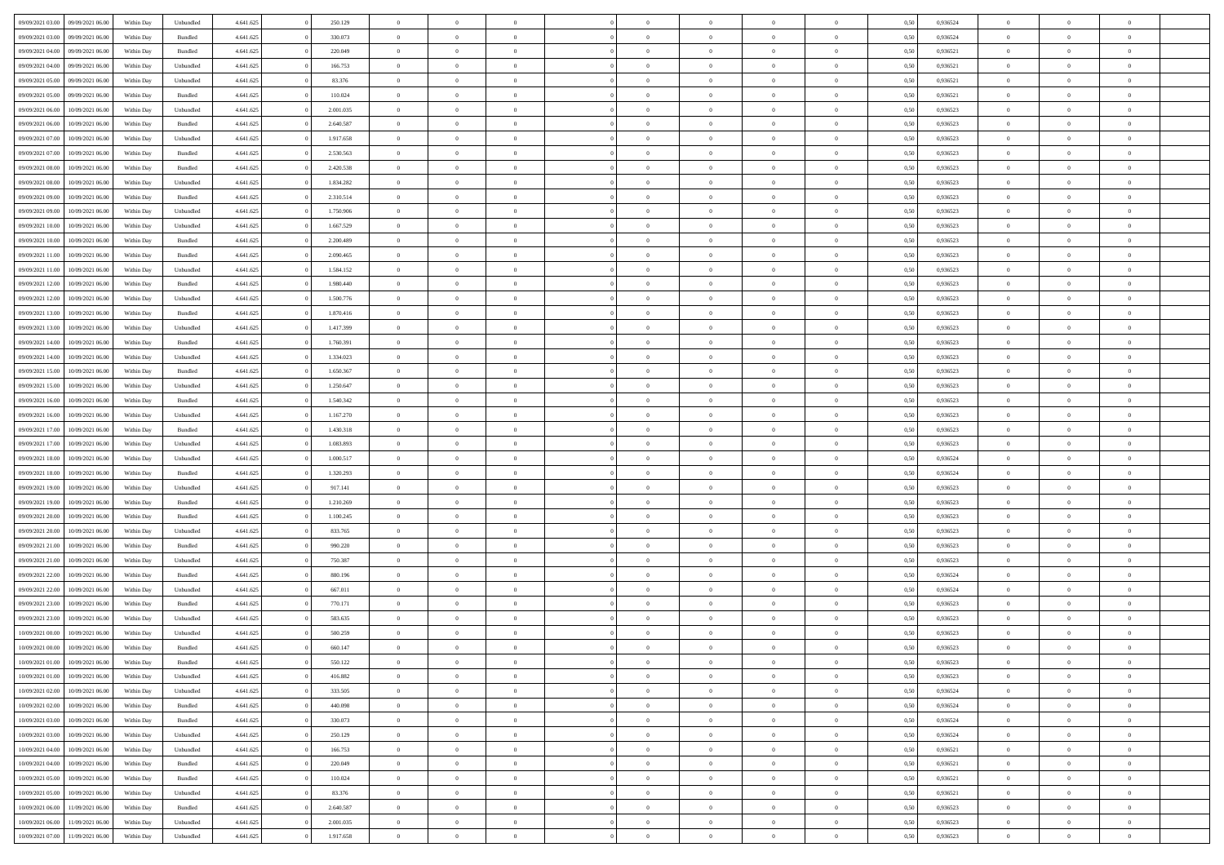| 09/09/2021 03:00 | 09/09/2021 06:00 | Within Day | Unbundled          | 4.641.625 | 250.129   | $\overline{0}$ | $\theta$       |                | $\Omega$       | $\Omega$       | $\theta$       | $\theta$       | 0.50 | 0.936524 | $\theta$       | $\theta$       | $\theta$       |  |
|------------------|------------------|------------|--------------------|-----------|-----------|----------------|----------------|----------------|----------------|----------------|----------------|----------------|------|----------|----------------|----------------|----------------|--|
|                  |                  |            |                    |           |           |                |                |                |                |                |                |                |      |          |                |                |                |  |
| 09/09/2021 03:00 | 09/09/2021 06:00 | Within Day | Bundled            | 4.641.625 | 330.073   | $\overline{0}$ | $\theta$       | $\overline{0}$ | $\overline{0}$ | $\bf{0}$       | $\overline{0}$ | $\overline{0}$ | 0,50 | 0,936524 | $\theta$       | $\overline{0}$ | $\overline{0}$ |  |
| 09/09/2021 04:00 | 09/09/2021 06:00 | Within Day | Bundled            | 4.641.625 | 220.049   | $\overline{0}$ | $\overline{0}$ | $\overline{0}$ | $\bf{0}$       | $\bf{0}$       | $\bf{0}$       | $\bf{0}$       | 0,50 | 0,936521 | $\overline{0}$ | $\overline{0}$ | $\overline{0}$ |  |
| 09/09/2021 04:00 | 09/09/2021 06:00 | Within Dav | Unbundled          | 4.641.625 | 166.753   | $\overline{0}$ | $\overline{0}$ | $\overline{0}$ | $\overline{0}$ | $\bf{0}$       | $\overline{0}$ | $\overline{0}$ | 0.50 | 0.936521 | $\theta$       | $\theta$       | $\overline{0}$ |  |
| 09/09/2021 05:00 | 09/09/2021 06:00 | Within Day | Unbundled          | 4.641.625 | 83.376    | $\overline{0}$ | $\theta$       | $\overline{0}$ | $\overline{0}$ | $\bf{0}$       | $\overline{0}$ | $\bf{0}$       | 0,50 | 0,936521 | $\theta$       | $\overline{0}$ | $\overline{0}$ |  |
| 09/09/2021 05:00 | 09/09/2021 06:00 | Within Day | Bundled            | 4.641.625 | 110.024   | $\overline{0}$ | $\bf{0}$       | $\overline{0}$ | $\bf{0}$       | $\overline{0}$ | $\overline{0}$ | $\mathbf{0}$   | 0,50 | 0,936521 | $\overline{0}$ | $\overline{0}$ | $\bf{0}$       |  |
|                  |                  |            |                    |           |           |                |                |                |                |                |                |                |      |          |                |                |                |  |
| 09/09/2021 06:00 | 10/09/2021 06:00 | Within Dav | Unbundled          | 4.641.625 | 2.001.035 | $\overline{0}$ | $\overline{0}$ | $\overline{0}$ | $\overline{0}$ | $\overline{0}$ | $\overline{0}$ | $\overline{0}$ | 0.50 | 0.936523 | $\theta$       | $\overline{0}$ | $\overline{0}$ |  |
| 09/09/2021 06:00 | 10/09/2021 06:00 | Within Day | Bundled            | 4.641.625 | 2.640.587 | $\overline{0}$ | $\theta$       | $\overline{0}$ | $\overline{0}$ | $\bf{0}$       | $\overline{0}$ | $\bf{0}$       | 0,50 | 0,936523 | $\theta$       | $\theta$       | $\overline{0}$ |  |
| 09/09/2021 07:00 | 10/09/2021 06:00 | Within Day | Unbundled          | 4.641.625 | 1.917.658 | $\overline{0}$ | $\overline{0}$ | $\overline{0}$ | $\bf{0}$       | $\bf{0}$       | $\bf{0}$       | $\bf{0}$       | 0,50 | 0,936523 | $\,0\,$        | $\overline{0}$ | $\overline{0}$ |  |
| 09/09/2021 07:00 | 10/09/2021 06:00 | Within Dav | Bundled            | 4.641.625 | 2.530.563 | $\overline{0}$ | $\overline{0}$ | $\overline{0}$ | $\overline{0}$ | $\overline{0}$ | $\overline{0}$ | $\overline{0}$ | 0.50 | 0.936523 | $\theta$       | $\overline{0}$ | $\overline{0}$ |  |
| 09/09/2021 08:00 | 10/09/2021 06:00 | Within Day | Bundled            | 4.641.625 | 2.420.538 | $\overline{0}$ | $\theta$       | $\overline{0}$ | $\overline{0}$ | $\bf{0}$       | $\overline{0}$ | $\bf{0}$       | 0,50 | 0,936523 | $\theta$       | $\overline{0}$ | $\overline{0}$ |  |
| 09/09/2021 08:00 | 10/09/2021 06:00 | Within Day | Unbundled          | 4.641.625 | 1.834.282 | $\overline{0}$ | $\overline{0}$ | $\overline{0}$ | $\bf{0}$       | $\bf{0}$       | $\bf{0}$       | $\bf{0}$       | 0,50 | 0,936523 | $\bf{0}$       | $\overline{0}$ | $\overline{0}$ |  |
| 09/09/2021 09:00 | 10/09/2021 06:00 | Within Day | Bundled            | 4.641.625 | 2.310.514 | $\overline{0}$ | $\overline{0}$ | $\overline{0}$ | $\overline{0}$ | $\bf{0}$       | $\overline{0}$ | $\overline{0}$ | 0.50 | 0.936523 | $\theta$       | $\theta$       | $\overline{0}$ |  |
|                  |                  |            |                    |           |           |                |                |                |                |                |                |                |      |          |                |                |                |  |
| 09/09/2021 09:00 | 10/09/2021 06:00 | Within Day | Unbundled          | 4.641.625 | 1.750.906 | $\overline{0}$ | $\theta$       | $\overline{0}$ | $\overline{0}$ | $\bf{0}$       | $\overline{0}$ | $\overline{0}$ | 0,50 | 0,936523 | $\theta$       | $\overline{0}$ | $\overline{0}$ |  |
| 09/09/2021 10:00 | 10/09/2021 06:00 | Within Day | Unbundled          | 4.641.625 | 1.667.529 | $\overline{0}$ | $\bf{0}$       | $\overline{0}$ | $\bf{0}$       | $\overline{0}$ | $\overline{0}$ | $\mathbf{0}$   | 0,50 | 0,936523 | $\overline{0}$ | $\overline{0}$ | $\bf{0}$       |  |
| 09/09/2021 10:00 | 10/09/2021 06:00 | Within Dav | Bundled            | 4.641.625 | 2.200.489 | $\overline{0}$ | $\overline{0}$ | $\overline{0}$ | $\overline{0}$ | $\overline{0}$ | $\overline{0}$ | $\overline{0}$ | 0.50 | 0.936523 | $\theta$       | $\overline{0}$ | $\overline{0}$ |  |
| 09/09/2021 11:00 | 10/09/2021 06:00 | Within Day | Bundled            | 4.641.625 | 2.090.465 | $\overline{0}$ | $\theta$       | $\overline{0}$ | $\overline{0}$ | $\bf{0}$       | $\overline{0}$ | $\bf{0}$       | 0,50 | 0,936523 | $\theta$       | $\theta$       | $\overline{0}$ |  |
| 09/09/2021 11:00 | 10/09/2021 06:00 | Within Day | Unbundled          | 4.641.625 | 1.584.152 | $\overline{0}$ | $\overline{0}$ | $\overline{0}$ | $\bf{0}$       | $\bf{0}$       | $\bf{0}$       | $\bf{0}$       | 0,50 | 0,936523 | $\,0\,$        | $\overline{0}$ | $\overline{0}$ |  |
| 09/09/2021 12:00 | 10/09/2021 06:00 | Within Day | Bundled            | 4.641.625 | 1.980.440 | $\overline{0}$ | $\overline{0}$ | $\overline{0}$ | $\overline{0}$ | $\overline{0}$ | $\overline{0}$ | $\overline{0}$ | 0.50 | 0.936523 | $\theta$       | $\overline{0}$ | $\overline{0}$ |  |
| 09/09/2021 12:00 | 10/09/2021 06:00 | Within Day | Unbundled          | 4.641.625 | 1.500.776 | $\overline{0}$ | $\theta$       | $\overline{0}$ | $\overline{0}$ | $\bf{0}$       | $\overline{0}$ | $\bf{0}$       | 0,50 | 0,936523 | $\theta$       | $\theta$       | $\overline{0}$ |  |
|                  |                  |            |                    |           |           |                |                |                |                |                |                |                |      |          |                |                |                |  |
| 09/09/2021 13:00 | 10/09/2021 06:00 | Within Day | Bundled            | 4.641.625 | 1.870.416 | $\overline{0}$ | $\overline{0}$ | $\overline{0}$ | $\bf{0}$       | $\bf{0}$       | $\bf{0}$       | $\bf{0}$       | 0,50 | 0,936523 | $\,0\,$        | $\overline{0}$ | $\overline{0}$ |  |
| 09/09/2021 13:00 | 10/09/2021 06:00 | Within Day | Unbundled          | 4.641.625 | 1.417.399 | $\overline{0}$ | $\overline{0}$ | $\overline{0}$ | $\overline{0}$ | $\bf{0}$       | $\overline{0}$ | $\overline{0}$ | 0.50 | 0.936523 | $\theta$       | $\theta$       | $\overline{0}$ |  |
| 09/09/2021 14:00 | 10/09/2021 06:00 | Within Day | Bundled            | 4.641.625 | 1.760.391 | $\overline{0}$ | $\theta$       | $\overline{0}$ | $\overline{0}$ | $\bf{0}$       | $\overline{0}$ | $\bf{0}$       | 0,50 | 0,936523 | $\theta$       | $\overline{0}$ | $\overline{0}$ |  |
| 09/09/2021 14:00 | 10/09/2021 06:00 | Within Day | Unbundled          | 4.641.625 | 1.334.023 | $\overline{0}$ | $\bf{0}$       | $\overline{0}$ | $\bf{0}$       | $\overline{0}$ | $\overline{0}$ | $\mathbf{0}$   | 0,50 | 0,936523 | $\bf{0}$       | $\overline{0}$ | $\bf{0}$       |  |
| 09/09/2021 15:00 | 10/09/2021 06:00 | Within Dav | Bundled            | 4.641.625 | 1.650.367 | $\overline{0}$ | $\overline{0}$ | $\overline{0}$ | $\overline{0}$ | $\overline{0}$ | $\overline{0}$ | $\overline{0}$ | 0.50 | 0.936523 | $\theta$       | $\overline{0}$ | $\overline{0}$ |  |
| 09/09/2021 15:00 | 10/09/2021 06:00 | Within Day | Unbundled          | 4.641.625 | 1.250.647 | $\overline{0}$ | $\theta$       | $\overline{0}$ | $\overline{0}$ | $\bf{0}$       | $\overline{0}$ | $\bf{0}$       | 0,50 | 0,936523 | $\theta$       | $\theta$       | $\overline{0}$ |  |
| 09/09/2021 16:00 | 10/09/2021 06:00 | Within Day | Bundled            | 4.641.625 | 1.540.342 | $\overline{0}$ | $\overline{0}$ | $\overline{0}$ | $\overline{0}$ | $\bf{0}$       | $\overline{0}$ | $\bf{0}$       | 0,50 | 0,936523 | $\,0\,$        | $\overline{0}$ | $\overline{0}$ |  |
| 09/09/2021 16:00 | 10/09/2021 06:00 | Within Day | Unbundled          | 4.641.625 | 1.167.270 | $\overline{0}$ | $\overline{0}$ | $\overline{0}$ | $\overline{0}$ | $\overline{0}$ | $\overline{0}$ | $\overline{0}$ | 0.50 | 0.936523 | $\theta$       | $\overline{0}$ | $\overline{0}$ |  |
|                  |                  |            |                    |           |           |                |                |                |                |                |                |                |      |          |                |                |                |  |
| 09/09/2021 17:00 | 10/09/2021 06:00 | Within Day | Bundled            | 4.641.625 | 1.430.318 | $\overline{0}$ | $\theta$       | $\overline{0}$ | $\overline{0}$ | $\bf{0}$       | $\overline{0}$ | $\bf{0}$       | 0,50 | 0,936523 | $\,$ 0 $\,$    | $\overline{0}$ | $\overline{0}$ |  |
| 09/09/2021 17:00 | 10/09/2021 06:00 | Within Day | Unbundled          | 4.641.625 | 1.083.893 | $\overline{0}$ | $\overline{0}$ | $\overline{0}$ | $\overline{0}$ | $\bf{0}$       | $\overline{0}$ | $\bf{0}$       | 0,50 | 0,936523 | $\bf{0}$       | $\overline{0}$ | $\overline{0}$ |  |
| 09/09/2021 18:00 | 10/09/2021 06:00 | Within Day | Unbundled          | 4.641.625 | 1.000.517 | $\overline{0}$ | $\Omega$       | $\Omega$       | $\Omega$       | $\Omega$       | $\Omega$       | $\overline{0}$ | 0.50 | 0,936524 | $\,0\,$        | $\Omega$       | $\theta$       |  |
| 09/09/2021 18:00 | 10/09/2021 06:00 | Within Day | Bundled            | 4.641.625 | 1.320.293 | $\overline{0}$ | $\theta$       | $\overline{0}$ | $\overline{0}$ | $\bf{0}$       | $\overline{0}$ | $\bf{0}$       | 0,50 | 0,936524 | $\theta$       | $\theta$       | $\overline{0}$ |  |
| 09/09/2021 19:00 | 10/09/2021 06:00 | Within Day | Unbundled          | 4.641.625 | 917.141   | $\overline{0}$ | $\overline{0}$ | $\overline{0}$ | $\overline{0}$ | $\bf{0}$       | $\overline{0}$ | $\mathbf{0}$   | 0,50 | 0,936523 | $\bf{0}$       | $\overline{0}$ | $\bf{0}$       |  |
| 09/09/2021 19:00 | 10/09/2021 06:00 | Within Day | Bundled            | 4.641.625 | 1.210.269 | $\overline{0}$ | $\Omega$       | $\Omega$       | $\Omega$       | $\bf{0}$       | $\overline{0}$ | $\overline{0}$ | 0.50 | 0.936523 | $\theta$       | $\theta$       | $\theta$       |  |
| 09/09/2021 20:00 | 10/09/2021 06:00 | Within Day | Bundled            | 4.641.625 | 1.100.245 | $\overline{0}$ | $\theta$       | $\overline{0}$ | $\overline{0}$ | $\bf{0}$       | $\overline{0}$ | $\bf{0}$       | 0,50 | 0,936523 | $\theta$       | $\theta$       | $\overline{0}$ |  |
|                  |                  |            |                    |           |           |                | $\overline{0}$ |                |                | $\bf{0}$       |                |                |      |          | $\,0\,$        | $\overline{0}$ | $\overline{0}$ |  |
| 09/09/2021 20.00 | 10/09/2021 06:00 | Within Day | Unbundled          | 4.641.625 | 833.765   | $\overline{0}$ |                | $\overline{0}$ | $\overline{0}$ |                | $\overline{0}$ | $\bf{0}$       | 0,50 | 0,936523 |                |                |                |  |
| 09/09/2021 21:00 | 10/09/2021 06:00 | Within Day | Bundled            | 4.641.625 | 990.220   | $\overline{0}$ | $\Omega$       | $\Omega$       | $\Omega$       | $\theta$       | $\theta$       | $\overline{0}$ | 0.50 | 0.936523 | $\theta$       | $\theta$       | $\theta$       |  |
| 09/09/2021 21:00 | 10/09/2021 06:00 | Within Day | Unbundled          | 4.641.625 | 750.387   | $\overline{0}$ | $\theta$       | $\overline{0}$ | $\overline{0}$ | $\bf{0}$       | $\overline{0}$ | $\bf{0}$       | 0,50 | 0,936523 | $\,$ 0 $\,$    | $\overline{0}$ | $\overline{0}$ |  |
| 09/09/2021 22.00 | 10/09/2021 06:00 | Within Day | Bundled            | 4.641.625 | 880.196   | $\overline{0}$ | $\overline{0}$ | $\overline{0}$ | $\overline{0}$ | $\bf{0}$       | $\overline{0}$ | $\bf{0}$       | 0,50 | 0,936524 | $\bf{0}$       | $\overline{0}$ | $\overline{0}$ |  |
| 09/09/2021 22.00 | 10/09/2021 06:00 | Within Day | Unbundled          | 4.641.625 | 667.011   | $\overline{0}$ | $\Omega$       | $\Omega$       | $\Omega$       | $\Omega$       | $\overline{0}$ | $\overline{0}$ | 0.50 | 0,936524 | $\,0\,$        | $\theta$       | $\theta$       |  |
| 09/09/2021 23:00 | 10/09/2021 06:00 | Within Day | Bundled            | 4.641.625 | 770.171   | $\overline{0}$ | $\theta$       | $\overline{0}$ | $\overline{0}$ | $\bf{0}$       | $\overline{0}$ | $\bf{0}$       | 0,50 | 0,936523 | $\,$ 0 $\,$    | $\overline{0}$ | $\overline{0}$ |  |
| 09/09/2021 23.00 | 10/09/2021 06:00 | Within Day | Unbundled          | 4.641.625 | 583.635   | $\overline{0}$ | $\overline{0}$ | $\overline{0}$ | $\overline{0}$ | $\bf{0}$       | $\overline{0}$ | $\mathbf{0}$   | 0,50 | 0,936523 | $\bf{0}$       | $\overline{0}$ | $\bf{0}$       |  |
| 10/09/2021 00:00 | 10/09/2021 06:00 | Within Day | Unbundled          | 4.641.625 | 500.259   | $\overline{0}$ | $\Omega$       | $\Omega$       | $\Omega$       | $\Omega$       | $\Omega$       | $\overline{0}$ | 0.50 | 0.936523 | $\theta$       | $\Omega$       | $\theta$       |  |
| 10/09/2021 00:00 | 10/09/2021 06:00 | Within Day | Bundled            | 4.641.625 | 660.147   | $\overline{0}$ | $\overline{0}$ | $\overline{0}$ | $\bf{0}$       | $\,$ 0         | $\overline{0}$ | $\bf{0}$       | 0,50 | 0,936523 | $\,0\,$        | $\overline{0}$ | $\overline{0}$ |  |
|                  |                  |            |                    |           |           |                |                |                |                |                |                |                |      |          |                |                |                |  |
| 10/09/2021 01:00 | 10/09/2021 06:00 | Within Day | $\mathbf B$ undled | 4.641.625 | 550.122   | $\bf{0}$       | $\bf{0}$       |                |                |                |                |                | 0,50 | 0,936523 | $\bf{0}$       | $\overline{0}$ |                |  |
| 10/09/2021 01:00 | 10/09/2021 06:00 | Within Day | Unbundled          | 4.641.625 | 416.882   | $\overline{0}$ | $\overline{0}$ | $\overline{0}$ | $\Omega$       | $\overline{0}$ | $\overline{0}$ | $\overline{0}$ | 0.50 | 0.936523 | $\theta$       | $\theta$       | $\theta$       |  |
| 10/09/2021 02:00 | 10/09/2021 06:00 | Within Day | Unbundled          | 4.641.625 | 333.505   | $\overline{0}$ | $\,$ 0         | $\overline{0}$ | $\overline{0}$ | $\,$ 0 $\,$    | $\overline{0}$ | $\,$ 0 $\,$    | 0,50 | 0,936524 | $\,$ 0 $\,$    | $\,$ 0 $\,$    | $\,$ 0         |  |
| 10/09/2021 02:00 | 10/09/2021 06:00 | Within Day | Bundled            | 4.641.625 | 440.098   | $\overline{0}$ | $\overline{0}$ | $\overline{0}$ | $\overline{0}$ | $\overline{0}$ | $\overline{0}$ | $\mathbf{0}$   | 0,50 | 0,936524 | $\overline{0}$ | $\bf{0}$       | $\bf{0}$       |  |
| 10/09/2021 03:00 | 10/09/2021 06:00 | Within Day | Bundled            | 4.641.625 | 330.073   | $\overline{0}$ | $\overline{0}$ | $\overline{0}$ | $\Omega$       | $\overline{0}$ | $\overline{0}$ | $\overline{0}$ | 0,50 | 0,936524 | $\overline{0}$ | $\theta$       | $\overline{0}$ |  |
| 10/09/2021 03:00 | 10/09/2021 06:00 | Within Day | Unbundled          | 4.641.625 | 250.129   | $\overline{0}$ | $\,$ 0         | $\overline{0}$ | $\overline{0}$ | $\,$ 0 $\,$    | $\overline{0}$ | $\mathbf{0}$   | 0,50 | 0,936524 | $\,$ 0 $\,$    | $\overline{0}$ | $\overline{0}$ |  |
| 10/09/2021 04:00 | 10/09/2021 06:00 | Within Day | Unbundled          | 4.641.625 | 166.753   | $\overline{0}$ | $\overline{0}$ | $\overline{0}$ | $\overline{0}$ | $\overline{0}$ | $\overline{0}$ | $\mathbf{0}$   | 0,50 | 0,936521 | $\overline{0}$ | $\overline{0}$ | $\bf{0}$       |  |
|                  |                  |            |                    |           |           |                |                |                |                |                |                |                |      |          |                |                |                |  |
| 10/09/2021 04:00 | 10/09/2021 06:00 | Within Day | Bundled            | 4.641.625 | 220.049   | $\overline{0}$ | $\overline{0}$ | $\overline{0}$ | $\Omega$       | $\overline{0}$ | $\overline{0}$ | $\bf{0}$       | 0.50 | 0,936521 | $\overline{0}$ | $\theta$       | $\overline{0}$ |  |
| 10/09/2021 05:00 | 10/09/2021 06:00 | Within Day | Bundled            | 4.641.625 | 110.024   | $\overline{0}$ | $\,$ 0         | $\overline{0}$ | $\overline{0}$ | $\bf{0}$       | $\overline{0}$ | $\bf{0}$       | 0,50 | 0,936521 | $\,$ 0 $\,$    | $\overline{0}$ | $\overline{0}$ |  |
| 10/09/2021 05:00 | 10/09/2021 06:00 | Within Day | Unbundled          | 4.641.625 | 83.376    | $\overline{0}$ | $\bf{0}$       | $\overline{0}$ | $\overline{0}$ | $\overline{0}$ | $\overline{0}$ | $\mathbf{0}$   | 0,50 | 0,936521 | $\overline{0}$ | $\overline{0}$ | $\bf{0}$       |  |
| 10/09/2021 06:00 | 11/09/2021 06:00 | Within Day | Bundled            | 4.641.625 | 2.640.587 | $\overline{0}$ | $\overline{0}$ | $\overline{0}$ | $\Omega$       | $\overline{0}$ | $\overline{0}$ | $\overline{0}$ | 0.50 | 0.936523 | $\overline{0}$ | $\overline{0}$ | $\overline{0}$ |  |
| 10/09/2021 06:00 | 11/09/2021 06:00 | Within Day | Unbundled          | 4.641.625 | 2.001.035 | $\overline{0}$ | $\bf{0}$       | $\overline{0}$ | $\bf{0}$       | $\bf{0}$       | $\bf{0}$       | $\mathbf{0}$   | 0,50 | 0,936523 | $\,$ 0 $\,$    | $\,$ 0 $\,$    | $\bf{0}$       |  |
| 10/09/2021 07:00 | 11/09/2021 06:00 | Within Day | Unbundled          | 4.641.625 | 1.917.658 | $\overline{0}$ | $\overline{0}$ | $\overline{0}$ | $\overline{0}$ | $\bf{0}$       | $\bf{0}$       | $\mathbf{0}$   | 0,50 | 0,936523 | $\overline{0}$ | $\bf{0}$       | $\bf{0}$       |  |
|                  |                  |            |                    |           |           |                |                |                |                |                |                |                |      |          |                |                |                |  |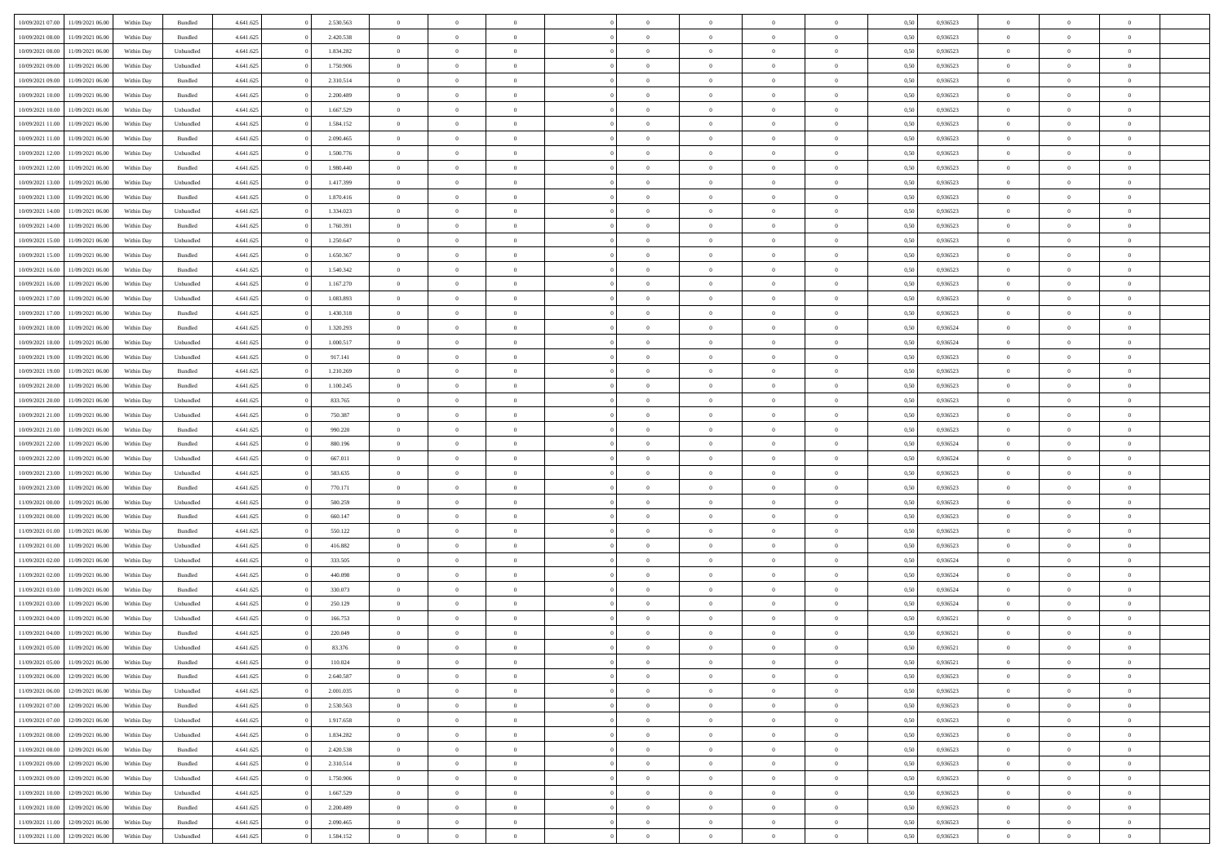| 10/09/2021 07:00 | 11/09/2021 06:00 | Within Day | Bundled            | 4.641.625 | 2.530.563 | $\overline{0}$ | $\Omega$       |                | $\Omega$       | $\Omega$       | $\overline{0}$ | $\theta$       | 0,50 | 0,936523 | $\theta$       | $\theta$       | $\overline{0}$ |  |
|------------------|------------------|------------|--------------------|-----------|-----------|----------------|----------------|----------------|----------------|----------------|----------------|----------------|------|----------|----------------|----------------|----------------|--|
|                  |                  |            |                    |           |           |                |                |                |                |                |                |                |      |          |                |                |                |  |
| 10/09/2021 08:00 | 11/09/2021 06:00 | Within Day | Bundled            | 4.641.625 | 2.420.538 | $\overline{0}$ | $\theta$       | $\overline{0}$ | $\overline{0}$ | $\bf{0}$       | $\overline{0}$ | $\bf{0}$       | 0,50 | 0,936523 | $\theta$       | $\overline{0}$ | $\overline{0}$ |  |
| 10/09/2021 08:00 | 11/09/2021 06:00 | Within Day | Unbundled          | 4.641.625 | 1.834.282 | $\overline{0}$ | $\bf{0}$       | $\overline{0}$ | $\bf{0}$       | $\bf{0}$       | $\bf{0}$       | $\mathbf{0}$   | 0,50 | 0,936523 | $\overline{0}$ | $\overline{0}$ | $\bf{0}$       |  |
| 10/09/2021 09:00 | 11/09/2021 06:00 | Within Dav | Unbundled          | 4.641.625 | 1.750.906 | $\overline{0}$ | $\overline{0}$ | $\overline{0}$ | $\overline{0}$ | $\bf{0}$       | $\overline{0}$ | $\overline{0}$ | 0.50 | 0.936523 | $\theta$       | $\theta$       | $\overline{0}$ |  |
| 10/09/2021 09:00 | 11/09/2021 06:00 | Within Day | Bundled            | 4.641.625 | 2.310.514 | $\overline{0}$ | $\theta$       | $\overline{0}$ | $\overline{0}$ | $\bf{0}$       | $\overline{0}$ | $\bf{0}$       | 0,50 | 0,936523 | $\theta$       | $\overline{0}$ | $\overline{0}$ |  |
| 10/09/2021 10:00 | 11/09/2021 06:00 | Within Day | Bundled            | 4.641.625 | 2.200.489 | $\overline{0}$ | $\overline{0}$ | $\overline{0}$ | $\bf{0}$       | $\overline{0}$ | $\overline{0}$ | $\mathbf{0}$   | 0,50 | 0,936523 | $\overline{0}$ | $\overline{0}$ | $\bf{0}$       |  |
|                  |                  |            |                    |           |           |                |                |                |                |                |                |                |      |          |                |                |                |  |
| 10/09/2021 10:00 | 11/09/2021 06:00 | Within Dav | Unbundled          | 4.641.625 | 1.667.529 | $\overline{0}$ | $\overline{0}$ | $\overline{0}$ | $\overline{0}$ | $\overline{0}$ | $\overline{0}$ | $\overline{0}$ | 0.50 | 0.936523 | $\theta$       | $\overline{0}$ | $\overline{0}$ |  |
| 10/09/2021 11:00 | 11/09/2021 06:00 | Within Day | Unbundled          | 4.641.625 | 1.584.152 | $\overline{0}$ | $\theta$       | $\overline{0}$ | $\overline{0}$ | $\bf{0}$       | $\overline{0}$ | $\bf{0}$       | 0,50 | 0,936523 | $\theta$       | $\theta$       | $\overline{0}$ |  |
| 10/09/2021 11:00 | 11/09/2021 06:00 | Within Day | Bundled            | 4.641.625 | 2.090.465 | $\overline{0}$ | $\overline{0}$ | $\overline{0}$ | $\bf{0}$       | $\bf{0}$       | $\bf{0}$       | $\bf{0}$       | 0,50 | 0,936523 | $\,0\,$        | $\overline{0}$ | $\overline{0}$ |  |
| 10/09/2021 12:00 | 11/09/2021 06:00 | Within Dav | Unbundled          | 4.641.625 | 1.500.776 | $\overline{0}$ | $\overline{0}$ | $\overline{0}$ | $\overline{0}$ | $\overline{0}$ | $\overline{0}$ | $\overline{0}$ | 0.50 | 0.936523 | $\theta$       | $\overline{0}$ | $\overline{0}$ |  |
| 10/09/2021 12:00 | 11/09/2021 06:00 | Within Day | Bundled            | 4.641.625 | 1.980.440 | $\overline{0}$ | $\theta$       | $\overline{0}$ | $\overline{0}$ | $\bf{0}$       | $\overline{0}$ | $\bf{0}$       | 0,50 | 0,936523 | $\,$ 0 $\,$    | $\overline{0}$ | $\overline{0}$ |  |
| 10/09/2021 13:00 | 11/09/2021 06:00 | Within Day | Unbundled          | 4.641.625 | 1.417.399 | $\overline{0}$ | $\bf{0}$       | $\overline{0}$ | $\bf{0}$       | $\bf{0}$       | $\bf{0}$       | $\mathbf{0}$   | 0,50 | 0,936523 | $\overline{0}$ | $\overline{0}$ | $\bf{0}$       |  |
| 10/09/2021 13:00 | 11/09/2021 06:00 | Within Dav | Bundled            | 4.641.625 | 1.870.416 | $\overline{0}$ | $\overline{0}$ | $\overline{0}$ | $\overline{0}$ | $\bf{0}$       | $\overline{0}$ | $\overline{0}$ | 0.50 | 0.936523 | $\theta$       | $\theta$       | $\overline{0}$ |  |
|                  |                  |            |                    |           |           |                |                |                |                |                |                |                |      |          |                |                |                |  |
| 10/09/2021 14:00 | 11/09/2021 06:00 | Within Day | Unbundled          | 4.641.625 | 1.334.023 | $\overline{0}$ | $\theta$       | $\overline{0}$ | $\overline{0}$ | $\bf{0}$       | $\overline{0}$ | $\bf{0}$       | 0,50 | 0,936523 | $\theta$       | $\overline{0}$ | $\overline{0}$ |  |
| 10/09/2021 14:00 | 11/09/2021 06:00 | Within Day | Bundled            | 4.641.625 | 1.760.391 | $\overline{0}$ | $\overline{0}$ | $\overline{0}$ | $\bf{0}$       | $\overline{0}$ | $\overline{0}$ | $\mathbf{0}$   | 0,50 | 0,936523 | $\overline{0}$ | $\overline{0}$ | $\bf{0}$       |  |
| 10/09/2021 15:00 | 11/09/2021 06:00 | Within Dav | Unbundled          | 4.641.625 | 1.250.647 | $\overline{0}$ | $\overline{0}$ | $\overline{0}$ | $\overline{0}$ | $\overline{0}$ | $\overline{0}$ | $\overline{0}$ | 0.50 | 0.936523 | $\theta$       | $\overline{0}$ | $\overline{0}$ |  |
| 10/09/2021 15:00 | 11/09/2021 06:00 | Within Day | Bundled            | 4.641.625 | 1.650.367 | $\overline{0}$ | $\theta$       | $\overline{0}$ | $\overline{0}$ | $\bf{0}$       | $\overline{0}$ | $\bf{0}$       | 0,50 | 0,936523 | $\theta$       | $\theta$       | $\overline{0}$ |  |
| 10/09/2021 16:00 | 11/09/2021 06:00 | Within Day | Bundled            | 4.641.625 | 1.540.342 | $\overline{0}$ | $\overline{0}$ | $\overline{0}$ | $\bf{0}$       | $\bf{0}$       | $\bf{0}$       | $\mathbf{0}$   | 0,50 | 0,936523 | $\,0\,$        | $\overline{0}$ | $\bf{0}$       |  |
| 10/09/2021 16:00 | 11/09/2021 06:00 | Within Dav | Unbundled          | 4.641.625 | 1.167.270 | $\overline{0}$ | $\overline{0}$ | $\overline{0}$ | $\overline{0}$ | $\overline{0}$ | $\overline{0}$ | $\overline{0}$ | 0.50 | 0.936523 | $\theta$       | $\overline{0}$ | $\overline{0}$ |  |
| 10/09/2021 17:00 | 11/09/2021 06:00 | Within Day | Unbundled          | 4.641.625 | 1.083.893 | $\overline{0}$ | $\theta$       | $\overline{0}$ | $\overline{0}$ | $\bf{0}$       | $\overline{0}$ | $\bf{0}$       | 0,50 | 0,936523 | $\,$ 0 $\,$    | $\overline{0}$ | $\overline{0}$ |  |
|                  |                  |            |                    |           |           |                |                |                |                |                |                |                |      |          |                |                |                |  |
| 10/09/2021 17:00 | 11/09/2021 06:00 | Within Day | Bundled            | 4.641.625 | 1.430.318 | $\overline{0}$ | $\overline{0}$ | $\overline{0}$ | $\bf{0}$       | $\bf{0}$       | $\bf{0}$       | $\bf{0}$       | 0,50 | 0,936523 | $\bf{0}$       | $\overline{0}$ | $\bf{0}$       |  |
| 10/09/2021 18:00 | 11/09/2021 06:00 | Within Dav | Bundled            | 4.641.625 | 1.320.293 | $\overline{0}$ | $\overline{0}$ | $\overline{0}$ | $\overline{0}$ | $\bf{0}$       | $\overline{0}$ | $\overline{0}$ | 0.50 | 0.936524 | $\theta$       | $\overline{0}$ | $\overline{0}$ |  |
| 10/09/2021 18:00 | 11/09/2021 06:00 | Within Day | Unbundled          | 4.641.625 | 1.000.517 | $\overline{0}$ | $\theta$       | $\overline{0}$ | $\overline{0}$ | $\bf{0}$       | $\overline{0}$ | $\,$ 0 $\,$    | 0,50 | 0,936524 | $\theta$       | $\overline{0}$ | $\overline{0}$ |  |
| 10/09/2021 19:00 | 11/09/2021 06:00 | Within Day | Unbundled          | 4.641.625 | 917.141   | $\overline{0}$ | $\overline{0}$ | $\overline{0}$ | $\bf{0}$       | $\overline{0}$ | $\overline{0}$ | $\mathbf{0}$   | 0,50 | 0,936523 | $\overline{0}$ | $\overline{0}$ | $\bf{0}$       |  |
| 10/09/2021 19:00 | 11/09/2021 06:00 | Within Dav | Bundled            | 4.641.625 | 1.210.269 | $\overline{0}$ | $\overline{0}$ | $\overline{0}$ | $\overline{0}$ | $\overline{0}$ | $\overline{0}$ | $\overline{0}$ | 0.50 | 0.936523 | $\theta$       | $\overline{0}$ | $\overline{0}$ |  |
| 10/09/2021 20:00 | 11/09/2021 06:00 | Within Day | Bundled            | 4.641.625 | 1.100.245 | $\overline{0}$ | $\theta$       | $\overline{0}$ | $\overline{0}$ | $\bf{0}$       | $\overline{0}$ | $\bf{0}$       | 0,50 | 0,936523 | $\theta$       | $\theta$       | $\overline{0}$ |  |
| 10/09/2021 20:00 | 11/09/2021 06:00 | Within Day | Unbundled          | 4.641.625 | 833.765   | $\overline{0}$ | $\overline{0}$ | $\overline{0}$ | $\bf{0}$       | $\bf{0}$       | $\bf{0}$       | $\bf{0}$       | 0,50 | 0,936523 | $\,0\,$        | $\overline{0}$ | $\bf{0}$       |  |
|                  | 11/09/2021 06:00 |            | Unbundled          | 4.641.625 | 750.387   | $\overline{0}$ | $\overline{0}$ | $\overline{0}$ | $\overline{0}$ | $\overline{0}$ | $\overline{0}$ | $\overline{0}$ | 0.50 | 0.936523 | $\theta$       | $\overline{0}$ | $\overline{0}$ |  |
| 10/09/2021 21:00 |                  | Within Day |                    |           |           |                |                |                |                |                |                |                |      |          |                |                |                |  |
| 10/09/2021 21:00 | 11/09/2021 06:00 | Within Day | Bundled            | 4.641.625 | 990.220   | $\overline{0}$ | $\theta$       | $\overline{0}$ | $\overline{0}$ | $\bf{0}$       | $\overline{0}$ | $\bf{0}$       | 0,50 | 0,936523 | $\,$ 0 $\,$    | $\overline{0}$ | $\overline{0}$ |  |
| 10/09/2021 22:00 | 11/09/2021 06:00 | Within Day | Bundled            | 4.641.625 | 880.196   | $\overline{0}$ | $\overline{0}$ | $\overline{0}$ | $\bf{0}$       | $\bf{0}$       | $\bf{0}$       | $\bf{0}$       | 0,50 | 0,936524 | $\bf{0}$       | $\overline{0}$ | $\bf{0}$       |  |
| 10/09/2021 22:00 | 11/09/2021 06.00 | Within Day | Unbundled          | 4.641.625 | 667.011   | $\overline{0}$ | $\Omega$       | $\Omega$       | $\Omega$       | $\Omega$       | $\overline{0}$ | $\overline{0}$ | 0,50 | 0,936524 | $\,0\,$        | $\theta$       | $\theta$       |  |
| 10/09/2021 23:00 | 11/09/2021 06:00 | Within Day | Unbundled          | 4.641.625 | 583.635   | $\overline{0}$ | $\theta$       | $\overline{0}$ | $\overline{0}$ | $\bf{0}$       | $\overline{0}$ | $\bf{0}$       | 0,50 | 0,936523 | $\theta$       | $\overline{0}$ | $\overline{0}$ |  |
| 10/09/2021 23:00 | 11/09/2021 06:00 | Within Day | Bundled            | 4.641.625 | 770.171   | $\overline{0}$ | $\overline{0}$ | $\overline{0}$ | $\bf{0}$       | $\overline{0}$ | $\overline{0}$ | $\mathbf{0}$   | 0,50 | 0,936523 | $\bf{0}$       | $\overline{0}$ | $\bf{0}$       |  |
| 11/09/2021 00:00 | 11/09/2021 06:00 | Within Day | Unbundled          | 4.641.625 | 500.259   | $\overline{0}$ | $\Omega$       | $\Omega$       | $\Omega$       | $\bf{0}$       | $\overline{0}$ | $\overline{0}$ | 0.50 | 0.936523 | $\,0\,$        | $\theta$       | $\theta$       |  |
| 11/09/2021 00:00 | 11/09/2021 06:00 | Within Day | Bundled            | 4.641.625 | 660.147   | $\overline{0}$ | $\theta$       | $\overline{0}$ | $\overline{0}$ | $\bf{0}$       | $\overline{0}$ | $\bf{0}$       | 0,50 | 0,936523 | $\theta$       | $\overline{0}$ | $\overline{0}$ |  |
|                  |                  |            |                    |           |           |                |                |                |                |                |                |                |      |          |                |                |                |  |
| 11/09/2021 01:00 | 11/09/2021 06:00 | Within Day | Bundled            | 4.641.625 | 550.122   | $\overline{0}$ | $\overline{0}$ | $\overline{0}$ | $\bf{0}$       | $\bf{0}$       | $\bf{0}$       | $\bf{0}$       | 0,50 | 0,936523 | $\bf{0}$       | $\overline{0}$ | $\bf{0}$       |  |
| 11/09/2021 01:00 | 11/09/2021 06:00 | Within Day | Unbundled          | 4.641.625 | 416.882   | $\overline{0}$ | $\Omega$       | $\Omega$       | $\Omega$       | $\theta$       | $\overline{0}$ | $\overline{0}$ | 0.50 | 0.936523 | $\theta$       | $\theta$       | $\theta$       |  |
| 11/09/2021 02:00 | 11/09/2021 06:00 | Within Day | Unbundled          | 4.641.625 | 333.505   | $\overline{0}$ | $\overline{0}$ | $\overline{0}$ | $\overline{0}$ | $\bf{0}$       | $\overline{0}$ | $\bf{0}$       | 0,50 | 0,936524 | $\,$ 0 $\,$    | $\overline{0}$ | $\overline{0}$ |  |
| 11/09/2021 02:00 | 11/09/2021 06:00 | Within Day | Bundled            | 4.641.625 | 440.098   | $\overline{0}$ | $\bf{0}$       | $\overline{0}$ | $\bf{0}$       | $\bf{0}$       | $\bf{0}$       | $\mathbf{0}$   | 0,50 | 0,936524 | $\bf{0}$       | $\overline{0}$ | $\bf{0}$       |  |
| 11/09/2021 03:00 | 11/09/2021 06.00 | Within Day | Bundled            | 4.641.625 | 330,073   | $\overline{0}$ | $\Omega$       | $\overline{0}$ | $\Omega$       | $\overline{0}$ | $\overline{0}$ | $\overline{0}$ | 0,50 | 0,936524 | $\,0\,$        | $\theta$       | $\theta$       |  |
| 11/09/2021 03:00 | 11/09/2021 06:00 | Within Day | Unbundled          | 4.641.625 | 250.129   | $\overline{0}$ | $\overline{0}$ | $\overline{0}$ | $\overline{0}$ | $\,$ 0         | $\overline{0}$ | $\bf{0}$       | 0,50 | 0,936524 | $\,$ 0 $\,$    | $\overline{0}$ | $\overline{0}$ |  |
| 11/09/2021 04:00 | 11/09/2021 06:00 | Within Day | Unbundled          | 4.641.625 | 166.753   | $\overline{0}$ | $\overline{0}$ | $\overline{0}$ | $\bf{0}$       | $\bf{0}$       | $\overline{0}$ | $\mathbf{0}$   | 0,50 | 0,936521 | $\overline{0}$ | $\overline{0}$ | $\bf{0}$       |  |
| 11/09/2021 04:00 | 11/09/2021 06:00 | Within Day | Bundled            | 4.641.625 | 220,049   | $\overline{0}$ | $\Omega$       | $\Omega$       | $\Omega$       | $\Omega$       | $\Omega$       | $\overline{0}$ | 0.50 | 0.936521 | $\theta$       | $\theta$       | $\theta$       |  |
|                  |                  |            |                    |           |           |                |                |                |                |                |                |                |      |          |                |                |                |  |
| 11/09/2021 05:00 | 11/09/2021 06:00 | Within Day | Unbundled          | 4.641.625 | 83.376    | $\overline{0}$ | $\overline{0}$ | $\overline{0}$ | $\bf{0}$       | $\,$ 0         | $\bf{0}$       | $\bf{0}$       | 0,50 | 0,936521 | $\,0\,$        | $\,$ 0 $\,$    | $\overline{0}$ |  |
| 11/09/2021 05:00 | 11/09/2021 06:00 | Within Day | $\mathbf B$ undled | 4.641.625 | 110.024   | $\bf{0}$       | $\bf{0}$       |                |                | $\bf{0}$       |                |                | 0,50 | 0,936521 | $\bf{0}$       | $\overline{0}$ |                |  |
| 11/09/2021 06:00 | 12/09/2021 06:00 | Within Day | Bundled            | 4.641.625 | 2.640.587 | $\overline{0}$ | $\overline{0}$ | $\overline{0}$ | $\Omega$       | $\theta$       | $\overline{0}$ | $\overline{0}$ | 0.50 | 0.936523 | $\theta$       | $\theta$       | $\theta$       |  |
| 11/09/2021 06:00 | 12/09/2021 06:00 | Within Day | Unbundled          | 4.641.625 | 2.001.035 | $\overline{0}$ | $\,$ 0         | $\overline{0}$ | $\bf{0}$       | $\,$ 0 $\,$    | $\overline{0}$ | $\mathbf{0}$   | 0,50 | 0,936523 | $\,$ 0 $\,$    | $\overline{0}$ | $\,$ 0         |  |
| 11/09/2021 07:00 | 12/09/2021 06:00 | Within Day | Bundled            | 4.641.625 | 2.530.563 | $\overline{0}$ | $\overline{0}$ | $\overline{0}$ | $\overline{0}$ | $\overline{0}$ | $\overline{0}$ | $\mathbf{0}$   | 0,50 | 0,936523 | $\overline{0}$ | $\bf{0}$       | $\bf{0}$       |  |
| 11/09/2021 07:00 | 12/09/2021 06:00 | Within Day | Unbundled          | 4.641.625 | 1.917.658 | $\overline{0}$ | $\theta$       | $\overline{0}$ | $\Omega$       | $\overline{0}$ | $\overline{0}$ | $\bf{0}$       | 0,50 | 0,936523 | $\overline{0}$ | $\theta$       | $\overline{0}$ |  |
| 11/09/2021 08:00 | 12/09/2021 06:00 | Within Day | Unbundled          | 4.641.625 | 1.834.282 | $\overline{0}$ | $\,$ 0         | $\overline{0}$ | $\overline{0}$ | $\overline{0}$ | $\overline{0}$ | $\bf{0}$       | 0,50 | 0,936523 | $\,$ 0 $\,$    | $\overline{0}$ | $\overline{0}$ |  |
|                  |                  |            |                    |           |           |                |                |                |                |                |                |                |      |          |                |                |                |  |
| 11/09/2021 08:00 | 12/09/2021 06:00 | Within Day | Bundled            | 4.641.625 | 2.420.538 | $\overline{0}$ | $\overline{0}$ | $\overline{0}$ | $\overline{0}$ | $\overline{0}$ | $\overline{0}$ | $\mathbf{0}$   | 0,50 | 0,936523 | $\overline{0}$ | $\bf{0}$       | $\bf{0}$       |  |
| 11/09/2021 09:00 | 12/09/2021 06:00 | Within Day | Bundled            | 4.641.625 | 2.310.514 | $\overline{0}$ | $\overline{0}$ | $\overline{0}$ | $\Omega$       | $\overline{0}$ | $\overline{0}$ | $\bf{0}$       | 0.50 | 0,936523 | $\overline{0}$ | $\theta$       | $\overline{0}$ |  |
| 11/09/2021 09:00 | 12/09/2021 06:00 | Within Day | Unbundled          | 4.641.625 | 1.750.906 | $\overline{0}$ | $\,$ 0         | $\overline{0}$ | $\bf{0}$       | $\bf{0}$       | $\bf{0}$       | $\bf{0}$       | 0,50 | 0,936523 | $\,$ 0 $\,$    | $\overline{0}$ | $\overline{0}$ |  |
| 11/09/2021 10:00 | 12/09/2021 06:00 | Within Day | Unbundled          | 4.641.625 | 1.667.529 | $\overline{0}$ | $\bf{0}$       | $\overline{0}$ | $\overline{0}$ | $\overline{0}$ | $\bf{0}$       | $\mathbf{0}$   | 0,50 | 0,936523 | $\overline{0}$ | $\overline{0}$ | $\bf{0}$       |  |
| 11/09/2021 10:00 | 12/09/2021 06:00 | Within Day | Bundled            | 4.641.625 | 2.200.489 | $\overline{0}$ | $\overline{0}$ | $\overline{0}$ | $\Omega$       | $\overline{0}$ | $\overline{0}$ | $\bf{0}$       | 0.50 | 0.936523 | $\overline{0}$ | $\theta$       | $\overline{0}$ |  |
| 11/09/2021 11:00 | 12/09/2021 06:00 | Within Day | Bundled            | 4.641.625 | 2.090.465 | $\overline{0}$ | $\,$ 0 $\,$    | $\overline{0}$ | $\overline{0}$ | $\bf{0}$       | $\bf{0}$       | $\bf{0}$       | 0,50 | 0,936523 | $\,$ 0 $\,$    | $\overline{0}$ | $\bf{0}$       |  |
| 11/09/2021 11:00 | 12/09/2021 06:00 | Within Day | Unbundled          | 4.641.625 | 1.584.152 | $\overline{0}$ | $\bf{0}$       | $\overline{0}$ | $\bf{0}$       | $\bf{0}$       | $\bf{0}$       | $\bf{0}$       | 0,50 | 0,936523 | $\overline{0}$ | $\overline{0}$ | $\bf{0}$       |  |
|                  |                  |            |                    |           |           |                |                |                |                |                |                |                |      |          |                |                |                |  |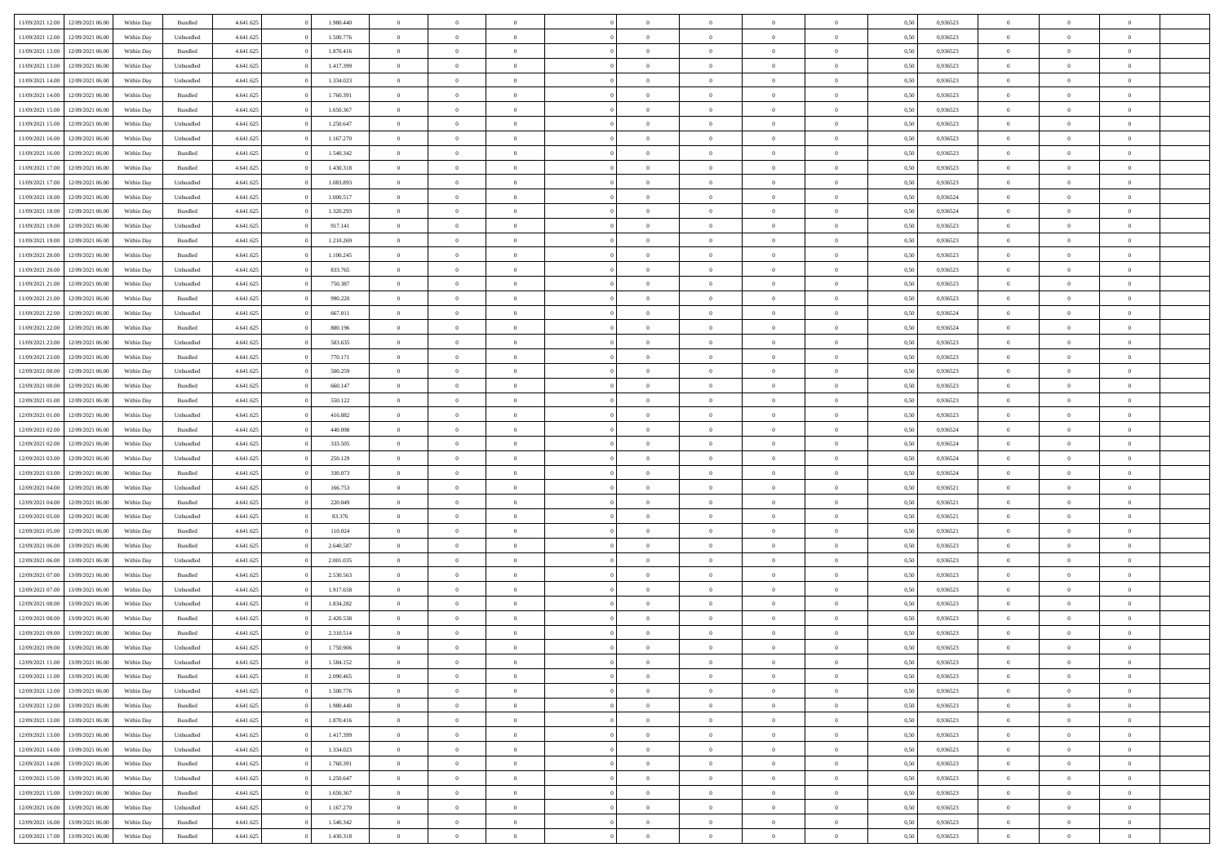| 11/09/2021 12:00                  | 12/09/2021 06:00 | Within Day | Bundled   | 4.641.625 | 1.980.440 | $\overline{0}$ | $\Omega$       |                | $\Omega$       | $\Omega$       | $\theta$       | $\theta$       | 0.50 | 0,936523 | $\theta$       | $\theta$       | $\overline{0}$ |  |
|-----------------------------------|------------------|------------|-----------|-----------|-----------|----------------|----------------|----------------|----------------|----------------|----------------|----------------|------|----------|----------------|----------------|----------------|--|
|                                   |                  |            |           |           |           |                |                |                |                |                |                |                |      |          |                |                |                |  |
| 11/09/2021 12:00                  | 12/09/2021 06:00 | Within Day | Unbundled | 4.641.625 | 1.500.776 | $\overline{0}$ | $\theta$       | $\overline{0}$ | $\overline{0}$ | $\bf{0}$       | $\overline{0}$ | $\bf{0}$       | 0,50 | 0,936523 | $\theta$       | $\overline{0}$ | $\overline{0}$ |  |
| 11/09/2021 13:00                  | 12/09/2021 06:00 | Within Day | Bundled   | 4.641.625 | 1.870.416 | $\overline{0}$ | $\bf{0}$       | $\overline{0}$ | $\bf{0}$       | $\bf{0}$       | $\bf{0}$       | $\mathbf{0}$   | 0,50 | 0,936523 | $\bf{0}$       | $\overline{0}$ | $\bf{0}$       |  |
| 11/09/2021 13:00                  | 12/09/2021 06:00 | Within Dav | Unbundled | 4.641.625 | 1.417.399 | $\overline{0}$ | $\overline{0}$ | $\overline{0}$ | $\overline{0}$ | $\bf{0}$       | $\overline{0}$ | $\overline{0}$ | 0.50 | 0.936523 | $\theta$       | $\theta$       | $\overline{0}$ |  |
| 11/09/2021 14:00                  | 12/09/2021 06:00 | Within Day | Unbundled | 4.641.625 | 1.334.023 | $\overline{0}$ | $\theta$       | $\overline{0}$ | $\overline{0}$ | $\bf{0}$       | $\overline{0}$ | $\bf{0}$       | 0,50 | 0,936523 | $\theta$       | $\overline{0}$ | $\overline{0}$ |  |
| 11/09/2021 14:00                  | 12/09/2021 06:00 | Within Day | Bundled   | 4.641.625 | 1.760.391 | $\overline{0}$ | $\overline{0}$ | $\overline{0}$ | $\bf{0}$       | $\overline{0}$ | $\overline{0}$ | $\mathbf{0}$   | 0,50 | 0,936523 | $\bf{0}$       | $\overline{0}$ | $\bf{0}$       |  |
|                                   |                  |            |           |           |           |                | $\overline{0}$ |                |                | $\overline{0}$ |                |                |      |          | $\theta$       | $\overline{0}$ | $\overline{0}$ |  |
| 11/09/2021 15:00                  | 12/09/2021 06:00 | Within Dav | Bundled   | 4.641.625 | 1.650.367 | $\overline{0}$ |                | $\overline{0}$ | $\overline{0}$ |                | $\overline{0}$ | $\overline{0}$ | 0.50 | 0.936523 |                |                |                |  |
| 11/09/2021 15:00                  | 12/09/2021 06:00 | Within Day | Unbundled | 4.641.625 | 1.250.647 | $\overline{0}$ | $\theta$       | $\overline{0}$ | $\overline{0}$ | $\bf{0}$       | $\overline{0}$ | $\bf{0}$       | 0,50 | 0,936523 | $\theta$       | $\theta$       | $\overline{0}$ |  |
| 11/09/2021 16:00                  | 12/09/2021 06:00 | Within Day | Unbundled | 4.641.625 | 1.167.270 | $\overline{0}$ | $\overline{0}$ | $\overline{0}$ | $\bf{0}$       | $\bf{0}$       | $\bf{0}$       | $\bf{0}$       | 0,50 | 0,936523 | $\,0\,$        | $\overline{0}$ | $\overline{0}$ |  |
| 11/09/2021 16:00                  | 12/09/2021 06:00 | Within Dav | Bundled   | 4.641.625 | 1.540.342 | $\overline{0}$ | $\overline{0}$ | $\overline{0}$ | $\overline{0}$ | $\overline{0}$ | $\overline{0}$ | $\overline{0}$ | 0.50 | 0.936523 | $\theta$       | $\overline{0}$ | $\overline{0}$ |  |
| 11/09/2021 17:00                  | 12/09/2021 06:00 | Within Day | Bundled   | 4.641.625 | 1.430.318 | $\overline{0}$ | $\theta$       | $\overline{0}$ | $\overline{0}$ | $\bf{0}$       | $\overline{0}$ | $\bf{0}$       | 0,50 | 0,936523 | $\,$ 0 $\,$    | $\overline{0}$ | $\overline{0}$ |  |
| 11/09/2021 17:00                  | 12/09/2021 06:00 | Within Day | Unbundled | 4.641.625 | 1.083.893 | $\overline{0}$ | $\bf{0}$       | $\overline{0}$ | $\bf{0}$       | $\bf{0}$       | $\bf{0}$       | $\mathbf{0}$   | 0,50 | 0,936523 | $\bf{0}$       | $\overline{0}$ | $\bf{0}$       |  |
| 11/09/2021 18:00                  | 12/09/2021 06:00 | Within Day | Unbundled | 4.641.625 | 1.000.517 | $\overline{0}$ | $\overline{0}$ | $\overline{0}$ | $\overline{0}$ | $\bf{0}$       | $\overline{0}$ | $\overline{0}$ | 0.50 | 0.936524 | $\theta$       | $\theta$       | $\overline{0}$ |  |
| 11/09/2021 18:00                  | 12/09/2021 06:00 |            |           | 4.641.625 | 1.320.293 | $\overline{0}$ | $\theta$       | $\overline{0}$ | $\overline{0}$ | $\bf{0}$       | $\overline{0}$ |                |      | 0,936524 | $\theta$       | $\overline{0}$ | $\overline{0}$ |  |
|                                   |                  | Within Day | Bundled   |           |           |                |                |                |                |                |                | $\bf{0}$       | 0,50 |          |                |                |                |  |
| 11/09/2021 19:00                  | 12/09/2021 06:00 | Within Day | Unbundled | 4.641.625 | 917.141   | $\overline{0}$ | $\overline{0}$ | $\overline{0}$ | $\bf{0}$       | $\overline{0}$ | $\overline{0}$ | $\mathbf{0}$   | 0,50 | 0,936523 | $\bf{0}$       | $\overline{0}$ | $\bf{0}$       |  |
| 11/09/2021 19:00                  | 12/09/2021 06:00 | Within Dav | Bundled   | 4.641.625 | 1.210.269 | $\overline{0}$ | $\overline{0}$ | $\overline{0}$ | $\overline{0}$ | $\overline{0}$ | $\overline{0}$ | $\overline{0}$ | 0.50 | 0.936523 | $\theta$       | $\overline{0}$ | $\overline{0}$ |  |
| 11/09/2021 20:00                  | 12/09/2021 06:00 | Within Day | Bundled   | 4.641.625 | 1.100.245 | $\overline{0}$ | $\theta$       | $\overline{0}$ | $\overline{0}$ | $\bf{0}$       | $\overline{0}$ | $\bf{0}$       | 0,50 | 0,936523 | $\theta$       | $\theta$       | $\overline{0}$ |  |
| 11/09/2021 20:00                  | 12/09/2021 06:00 | Within Day | Unbundled | 4.641.625 | 833.765   | $\overline{0}$ | $\overline{0}$ | $\overline{0}$ | $\overline{0}$ | $\bf{0}$       | $\overline{0}$ | $\mathbf{0}$   | 0,50 | 0,936523 | $\,0\,$        | $\overline{0}$ | $\overline{0}$ |  |
| 11/09/2021 21:00                  | 12/09/2021 06:00 | Within Day | Unbundled | 4.641.625 | 750.387   | $\overline{0}$ | $\overline{0}$ | $\overline{0}$ | $\overline{0}$ | $\overline{0}$ | $\overline{0}$ | $\overline{0}$ | 0.50 | 0.936523 | $\theta$       | $\overline{0}$ | $\overline{0}$ |  |
| 11/09/2021 21:00                  | 12/09/2021 06:00 | Within Day | Bundled   | 4.641.625 | 990.220   | $\overline{0}$ | $\theta$       | $\overline{0}$ | $\overline{0}$ | $\bf{0}$       | $\overline{0}$ | $\bf{0}$       | 0,50 | 0,936523 | $\theta$       | $\overline{0}$ | $\overline{0}$ |  |
|                                   |                  |            |           |           |           |                | $\overline{0}$ |                |                | $\bf{0}$       |                |                |      |          | $\,0\,$        | $\overline{0}$ | $\bf{0}$       |  |
| 11/09/2021 22.00                  | 12/09/2021 06:00 | Within Day | Unbundled | 4.641.625 | 667.011   | $\overline{0}$ |                | $\overline{0}$ | $\overline{0}$ |                | $\overline{0}$ | $\bf{0}$       | 0,50 | 0,936524 | $\theta$       |                |                |  |
| 11/09/2021 22:00                  | 12/09/2021 06:00 | Within Day | Bundled   | 4.641.625 | 880,196   | $\overline{0}$ | $\overline{0}$ | $\overline{0}$ | $\overline{0}$ | $\bf{0}$       | $\overline{0}$ | $\overline{0}$ | 0.50 | 0.936524 |                | $\overline{0}$ | $\overline{0}$ |  |
| 11/09/2021 23:00                  | 12/09/2021 06:00 | Within Day | Unbundled | 4.641.625 | 583.635   | $\overline{0}$ | $\theta$       | $\overline{0}$ | $\overline{0}$ | $\bf{0}$       | $\overline{0}$ | $\bf{0}$       | 0,50 | 0,936523 | $\theta$       | $\overline{0}$ | $\overline{0}$ |  |
| 11/09/2021 23:00                  | 12/09/2021 06:00 | Within Day | Bundled   | 4.641.625 | 770.171   | $\overline{0}$ | $\overline{0}$ | $\overline{0}$ | $\overline{0}$ | $\overline{0}$ | $\overline{0}$ | $\mathbf{0}$   | 0,50 | 0,936523 | $\bf{0}$       | $\overline{0}$ | $\bf{0}$       |  |
| 12/09/2021 00:00                  | 12/09/2021 06:00 | Within Dav | Unbundled | 4.641.625 | 500.259   | $\overline{0}$ | $\overline{0}$ | $\overline{0}$ | $\overline{0}$ | $\overline{0}$ | $\overline{0}$ | $\overline{0}$ | 0.50 | 0.936523 | $\theta$       | $\overline{0}$ | $\overline{0}$ |  |
| 12/09/2021 00:00                  | 12/09/2021 06:00 | Within Day | Bundled   | 4.641.625 | 660.147   | $\overline{0}$ | $\theta$       | $\overline{0}$ | $\overline{0}$ | $\bf{0}$       | $\overline{0}$ | $\bf{0}$       | 0,50 | 0,936523 | $\theta$       | $\theta$       | $\overline{0}$ |  |
| 12/09/2021 01:00                  | 12/09/2021 06:00 | Within Day | Bundled   | 4.641.625 | 550.122   | $\overline{0}$ | $\overline{0}$ | $\overline{0}$ | $\overline{0}$ | $\bf{0}$       | $\overline{0}$ | $\bf{0}$       | 0,50 | 0,936523 | $\,0\,$        | $\overline{0}$ | $\overline{0}$ |  |
| 12/09/2021 01:00                  | 12/09/2021 06:00 | Within Day | Unbundled | 4.641.625 | 416.882   | $\overline{0}$ | $\overline{0}$ | $\overline{0}$ | $\overline{0}$ | $\overline{0}$ | $\overline{0}$ | $\overline{0}$ | 0.50 | 0.936523 | $\theta$       | $\overline{0}$ | $\overline{0}$ |  |
|                                   |                  |            |           |           |           | $\overline{0}$ | $\theta$       | $\overline{0}$ | $\overline{0}$ | $\bf{0}$       | $\overline{0}$ |                |      |          |                | $\overline{0}$ | $\overline{0}$ |  |
| 12/09/2021 02:00                  | 12/09/2021 06:00 | Within Day | Bundled   | 4.641.625 | 440.098   |                |                |                |                |                |                | $\bf{0}$       | 0,50 | 0,936524 | $\,$ 0 $\,$    |                |                |  |
| 12/09/2021 02:00                  | 12/09/2021 06:00 | Within Day | Unbundled | 4.641.625 | 333.505   | $\overline{0}$ | $\bf{0}$       | $\overline{0}$ | $\overline{0}$ | $\bf{0}$       | $\overline{0}$ | $\bf{0}$       | 0,50 | 0,936524 | $\bf{0}$       | $\overline{0}$ | $\bf{0}$       |  |
| 12/09/2021 03:00                  | 12/09/2021 06:00 | Within Day | Unbundled | 4.641.625 | 250.129   | $\overline{0}$ | $\Omega$       | $\Omega$       | $\Omega$       | $\Omega$       | $\overline{0}$ | $\overline{0}$ | 0,50 | 0,936524 | $\,0\,$        | $\theta$       | $\theta$       |  |
| 12/09/2021 03:00                  | 12/09/2021 06:00 | Within Day | Bundled   | 4.641.625 | 330.073   | $\overline{0}$ | $\theta$       | $\overline{0}$ | $\overline{0}$ | $\bf{0}$       | $\overline{0}$ | $\bf{0}$       | 0,50 | 0,936524 | $\theta$       | $\overline{0}$ | $\overline{0}$ |  |
| 12/09/2021 04:00                  | 12/09/2021 06:00 | Within Day | Unbundled | 4.641.625 | 166.753   | $\overline{0}$ | $\overline{0}$ | $\overline{0}$ | $\overline{0}$ | $\overline{0}$ | $\overline{0}$ | $\mathbf{0}$   | 0,50 | 0,936521 | $\bf{0}$       | $\overline{0}$ | $\bf{0}$       |  |
| 12/09/2021 04:00                  | 12/09/2021 06:00 | Within Day | Bundled   | 4.641.625 | 220,049   | $\overline{0}$ | $\Omega$       | $\Omega$       | $\Omega$       | $\bf{0}$       | $\overline{0}$ | $\overline{0}$ | 0.50 | 0.936521 | $\,0\,$        | $\theta$       | $\theta$       |  |
| 12/09/2021 05:00                  | 12/09/2021 06:00 | Within Day | Unbundled | 4.641.625 | 83.376    | $\overline{0}$ | $\theta$       | $\overline{0}$ | $\overline{0}$ | $\bf{0}$       | $\overline{0}$ | $\bf{0}$       | 0,50 | 0,936521 | $\theta$       | $\overline{0}$ | $\overline{0}$ |  |
| 12/09/2021 05:00                  | 12/09/2021 06:00 | Within Day | Bundled   | 4.641.625 | 110.024   | $\overline{0}$ | $\overline{0}$ | $\overline{0}$ | $\overline{0}$ | $\bf{0}$       | $\overline{0}$ | $\bf{0}$       | 0,50 | 0,936521 | $\,0\,$        | $\overline{0}$ | $\bf{0}$       |  |
|                                   | 13/09/2021 06:00 |            |           |           | 2.640.587 | $\overline{0}$ | $\Omega$       | $\Omega$       | $\Omega$       | $\theta$       | $\overline{0}$ |                |      | 0.936523 | $\,$ 0 $\,$    | $\theta$       | $\theta$       |  |
| 12/09/2021 06:00                  |                  | Within Day | Bundled   | 4.641.625 |           |                |                |                |                |                |                | $\overline{0}$ | 0.50 |          |                |                |                |  |
| 12/09/2021 06:00                  | 13/09/2021 06:00 | Within Day | Unbundled | 4.641.625 | 2.001.035 | $\overline{0}$ | $\theta$       | $\overline{0}$ | $\overline{0}$ | $\bf{0}$       | $\overline{0}$ | $\bf{0}$       | 0,50 | 0,936523 | $\,$ 0 $\,$    | $\overline{0}$ | $\overline{0}$ |  |
| 12/09/2021 07:00                  | 13/09/2021 06:00 | Within Day | Bundled   | 4.641.625 | 2.530.563 | $\overline{0}$ | $\bf{0}$       | $\overline{0}$ | $\bf{0}$       | $\bf{0}$       | $\bf{0}$       | $\mathbf{0}$   | 0,50 | 0,936523 | $\bf{0}$       | $\overline{0}$ | $\bf{0}$       |  |
| 12/09/2021 07:00                  | 13/09/2021 06:00 | Within Day | Unbundled | 4.641.625 | 1.917.658 | $\overline{0}$ | $\Omega$       | $\overline{0}$ | $\Omega$       | $\overline{0}$ | $\overline{0}$ | $\overline{0}$ | 0,50 | 0,936523 | $\,0\,$        | $\theta$       | $\theta$       |  |
| 12/09/2021 08:00                  | 13/09/2021 06:00 | Within Day | Unbundled | 4.641.625 | 1.834.282 | $\overline{0}$ | $\theta$       | $\overline{0}$ | $\overline{0}$ | $\,$ 0         | $\overline{0}$ | $\bf{0}$       | 0,50 | 0,936523 | $\,$ 0 $\,$    | $\overline{0}$ | $\overline{0}$ |  |
| 12/09/2021 08:00                  | 13/09/2021 06:00 | Within Day | Bundled   | 4.641.625 | 2.420.538 | $\overline{0}$ | $\overline{0}$ | $\overline{0}$ | $\bf{0}$       | $\bf{0}$       | $\bf{0}$       | $\mathbf{0}$   | 0,50 | 0,936523 | $\bf{0}$       | $\overline{0}$ | $\bf{0}$       |  |
| 12/09/2021 09:00                  | 13/09/2021 06:00 | Within Day | Bundled   | 4.641.625 | 2.310.514 | $\overline{0}$ | $\Omega$       | $\Omega$       | $\Omega$       | $\Omega$       | $\Omega$       | $\overline{0}$ | 0.50 | 0.936523 | $\theta$       | $\theta$       | $\theta$       |  |
| 12/09/2021 09:00                  | 13/09/2021 06:00 | Within Day | Unbundled | 4.641.625 | 1.750.906 | $\overline{0}$ | $\overline{0}$ | $\overline{0}$ | $\bf{0}$       | $\,$ 0         | $\bf{0}$       | $\bf{0}$       | 0,50 | 0,936523 | $\,0\,$        | $\,$ 0 $\,$    | $\overline{0}$ |  |
| 12/09/2021 11:00                  | 13/09/2021 06:00 | Within Day | Unbundled | 4.641.625 | 1.584.152 | $\bf{0}$       | $\bf{0}$       |                |                | $\bf{0}$       |                |                | 0,50 | 0,936523 | $\bf{0}$       | $\overline{0}$ |                |  |
|                                   |                  |            |           |           |           |                |                |                |                |                |                |                |      |          |                |                |                |  |
| 12/09/2021 11:00                  | 13/09/2021 06:00 | Within Day | Bundled   | 4.641.625 | 2.090.465 | $\overline{0}$ | $\overline{0}$ | $\overline{0}$ | $\Omega$       | $\theta$       | $\overline{0}$ | $\overline{0}$ | 0.50 | 0.936523 | $\theta$       | $\theta$       | $\theta$       |  |
| 12/09/2021 12:00                  | 13/09/2021 06:00 | Within Day | Unbundled | 4.641.625 | 1.500.776 | $\overline{0}$ | $\,$ 0         | $\overline{0}$ | $\bf{0}$       | $\,$ 0 $\,$    | $\overline{0}$ | $\mathbf{0}$   | 0,50 | 0,936523 | $\,$ 0 $\,$    | $\,$ 0 $\,$    | $\,$ 0         |  |
| 12/09/2021 12:00                  | 13/09/2021 06:00 | Within Day | Bundled   | 4.641.625 | 1.980.440 | $\overline{0}$ | $\overline{0}$ | $\overline{0}$ | $\overline{0}$ | $\overline{0}$ | $\overline{0}$ | $\mathbf{0}$   | 0,50 | 0,936523 | $\overline{0}$ | $\bf{0}$       | $\bf{0}$       |  |
| 12/09/2021 13:00                  | 13/09/2021 06:00 | Within Day | Bundled   | 4.641.625 | 1.870.416 | $\overline{0}$ | $\overline{0}$ | $\overline{0}$ | $\Omega$       | $\overline{0}$ | $\overline{0}$ | $\bf{0}$       | 0,50 | 0,936523 | $\overline{0}$ | $\theta$       | $\overline{0}$ |  |
| 12/09/2021 13:00                  | 13/09/2021 06:00 | Within Day | Unbundled | 4.641.625 | 1.417.399 | $\overline{0}$ | $\,$ 0         | $\overline{0}$ | $\overline{0}$ | $\overline{0}$ | $\overline{0}$ | $\bf{0}$       | 0,50 | 0,936523 | $\,$ 0 $\,$    | $\overline{0}$ | $\overline{0}$ |  |
| 12/09/2021 14:00                  | 13/09/2021 06:00 | Within Day | Unbundled | 4.641.625 | 1.334.023 | $\overline{0}$ | $\overline{0}$ | $\overline{0}$ | $\overline{0}$ | $\overline{0}$ | $\overline{0}$ | $\mathbf{0}$   | 0,50 | 0,936523 | $\overline{0}$ | $\overline{0}$ | $\bf{0}$       |  |
| 12/09/2021 14:00                  | 13/09/2021 06:00 | Within Day | Bundled   | 4.641.625 | 1.760.391 | $\overline{0}$ | $\overline{0}$ | $\overline{0}$ | $\Omega$       | $\overline{0}$ | $\overline{0}$ | $\bf{0}$       | 0.50 | 0,936523 | $\overline{0}$ | $\theta$       | $\overline{0}$ |  |
| 12/09/2021 15:00                  | 13/09/2021 06:00 | Within Day | Unbundled | 4.641.625 | 1.250.647 | $\overline{0}$ | $\,$ 0         | $\overline{0}$ | $\bf{0}$       | $\bf{0}$       | $\bf{0}$       | $\bf{0}$       | 0,50 | 0,936523 | $\,$ 0 $\,$    | $\overline{0}$ | $\overline{0}$ |  |
|                                   |                  |            |           |           |           |                |                |                |                |                |                |                |      |          |                |                |                |  |
| 12/09/2021 15:00                  | 13/09/2021 06:00 | Within Day | Bundled   | 4.641.625 | 1.650.367 | $\overline{0}$ | $\bf{0}$       | $\overline{0}$ | $\overline{0}$ | $\overline{0}$ | $\overline{0}$ | $\mathbf{0}$   | 0,50 | 0,936523 | $\overline{0}$ | $\overline{0}$ | $\bf{0}$       |  |
| 12/09/2021 16:00                  | 13/09/2021 06:00 | Within Day | Unbundled | 4.641.625 | 1.167.270 | $\overline{0}$ | $\overline{0}$ | $\overline{0}$ | $\Omega$       | $\overline{0}$ | $\overline{0}$ | $\bf{0}$       | 0.50 | 0.936523 | $\overline{0}$ | $\theta$       | $\overline{0}$ |  |
| 12/09/2021 16:00                  | 13/09/2021 06:00 | Within Day | Bundled   | 4.641.625 | 1.540.342 | $\overline{0}$ | $\bf{0}$       | $\overline{0}$ | $\overline{0}$ | $\bf{0}$       | $\bf{0}$       | $\mathbf{0}$   | 0,50 | 0,936523 | $\,$ 0 $\,$    | $\,$ 0 $\,$    | $\bf{0}$       |  |
| 12/09/2021 17:00 13/09/2021 06:00 |                  | Within Day | Bundled   | 4.641.625 | 1.430.318 | $\overline{0}$ | $\overline{0}$ | $\overline{0}$ | $\overline{0}$ | $\bf{0}$       | $\bf{0}$       | $\mathbf{0}$   | 0,50 | 0,936523 | $\overline{0}$ | $\bf{0}$       | $\bf{0}$       |  |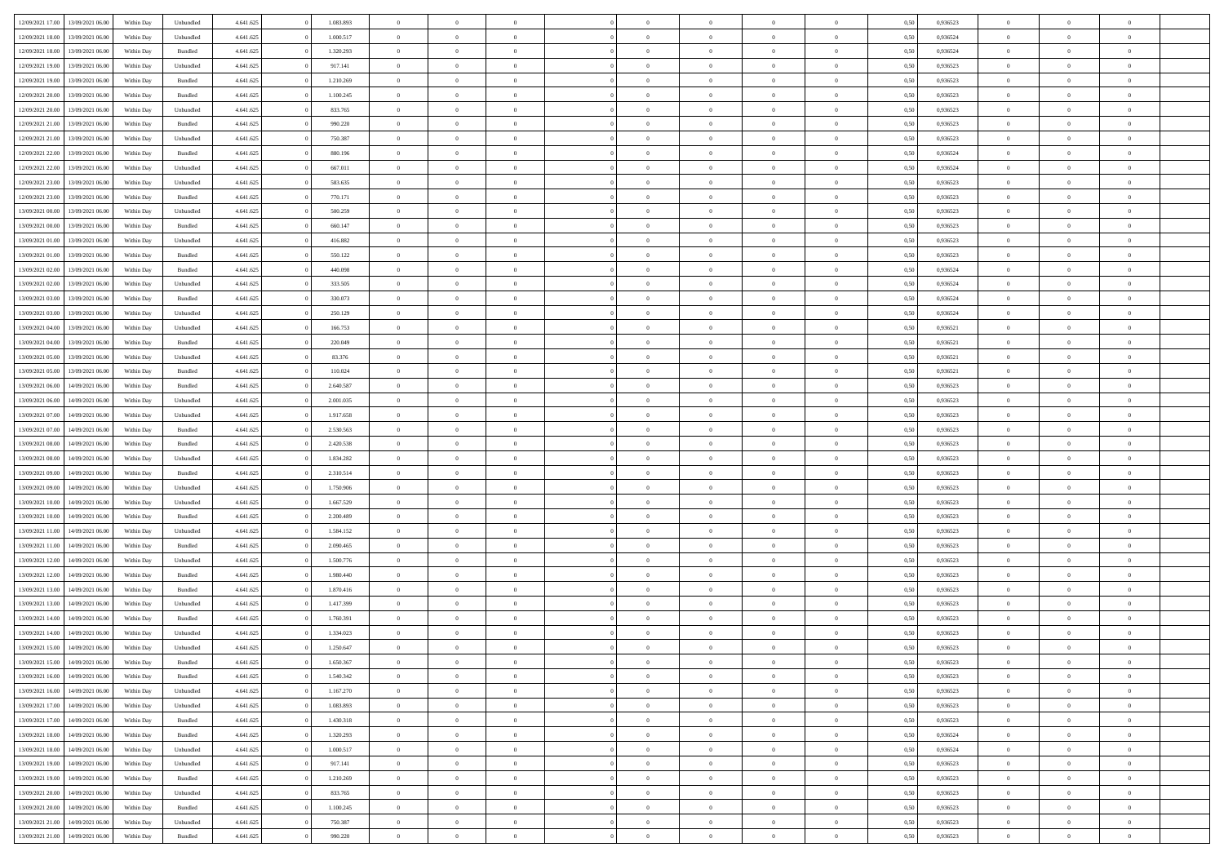| 12/09/2021 17:00 | 13/09/2021 06:00 | Within Day | Unbundled          | 4.641.625 | 1.083.893 | $\overline{0}$ | $\theta$       |                | $\Omega$       | $\Omega$       | $\theta$       | $\theta$       | 0.50 | 0,936523 | $\theta$       | $\overline{0}$ | $\overline{0}$ |  |
|------------------|------------------|------------|--------------------|-----------|-----------|----------------|----------------|----------------|----------------|----------------|----------------|----------------|------|----------|----------------|----------------|----------------|--|
|                  |                  |            |                    |           |           |                |                |                |                |                |                |                |      |          |                |                |                |  |
| 12/09/2021 18:00 | 13/09/2021 06:00 | Within Day | Unbundled          | 4.641.625 | 1.000.517 | $\overline{0}$ | $\theta$       | $\overline{0}$ | $\overline{0}$ | $\bf{0}$       | $\overline{0}$ | $\bf{0}$       | 0,50 | 0,936524 | $\theta$       | $\overline{0}$ | $\overline{0}$ |  |
| 12/09/2021 18:00 | 13/09/2021 06:00 | Within Day | Bundled            | 4.641.625 | 1.320.293 | $\overline{0}$ | $\bf{0}$       | $\overline{0}$ | $\bf{0}$       | $\bf{0}$       | $\bf{0}$       | $\mathbf{0}$   | 0,50 | 0,936524 | $\bf{0}$       | $\overline{0}$ | $\bf{0}$       |  |
| 12/09/2021 19:00 | 13/09/2021 06:00 | Within Dav | Unbundled          | 4.641.625 | 917.141   | $\overline{0}$ | $\overline{0}$ | $\overline{0}$ | $\overline{0}$ | $\bf{0}$       | $\overline{0}$ | $\overline{0}$ | 0.50 | 0.936523 | $\theta$       | $\theta$       | $\overline{0}$ |  |
| 12/09/2021 19:00 | 13/09/2021 06:00 | Within Day | Bundled            | 4.641.625 | 1.210.269 | $\overline{0}$ | $\theta$       | $\overline{0}$ | $\overline{0}$ | $\bf{0}$       | $\overline{0}$ | $\bf{0}$       | 0,50 | 0,936523 | $\theta$       | $\overline{0}$ | $\overline{0}$ |  |
| 12/09/2021 20:00 | 13/09/2021 06:00 | Within Day | Bundled            | 4.641.625 | 1.100.245 | $\overline{0}$ | $\overline{0}$ | $\overline{0}$ | $\bf{0}$       | $\overline{0}$ | $\overline{0}$ | $\mathbf{0}$   | 0,50 | 0,936523 | $\bf{0}$       | $\overline{0}$ | $\bf{0}$       |  |
|                  |                  |            |                    |           |           |                | $\overline{0}$ |                |                | $\overline{0}$ |                |                |      |          | $\theta$       | $\overline{0}$ | $\overline{0}$ |  |
| 12/09/2021 20:00 | 13/09/2021 06:00 | Within Dav | Unbundled          | 4.641.625 | 833.765   | $\overline{0}$ |                | $\overline{0}$ | $\overline{0}$ |                | $\overline{0}$ | $\overline{0}$ | 0.50 | 0.936523 |                |                |                |  |
| 12/09/2021 21:00 | 13/09/2021 06:00 | Within Day | Bundled            | 4.641.625 | 990.220   | $\overline{0}$ | $\theta$       | $\overline{0}$ | $\overline{0}$ | $\bf{0}$       | $\overline{0}$ | $\bf{0}$       | 0,50 | 0,936523 | $\theta$       | $\theta$       | $\overline{0}$ |  |
| 12/09/2021 21:00 | 13/09/2021 06:00 | Within Day | Unbundled          | 4.641.625 | 750.387   | $\overline{0}$ | $\overline{0}$ | $\overline{0}$ | $\bf{0}$       | $\bf{0}$       | $\bf{0}$       | $\bf{0}$       | 0,50 | 0,936523 | $\,0\,$        | $\overline{0}$ | $\overline{0}$ |  |
| 12/09/2021 22:00 | 13/09/2021 06:00 | Within Dav | Bundled            | 4.641.625 | 880.196   | $\overline{0}$ | $\overline{0}$ | $\overline{0}$ | $\overline{0}$ | $\overline{0}$ | $\overline{0}$ | $\overline{0}$ | 0.50 | 0,936524 | $\theta$       | $\overline{0}$ | $\overline{0}$ |  |
| 12/09/2021 22:00 | 13/09/2021 06:00 | Within Day | Unbundled          | 4.641.625 | 667.011   | $\overline{0}$ | $\theta$       | $\overline{0}$ | $\overline{0}$ | $\bf{0}$       | $\overline{0}$ | $\bf{0}$       | 0,50 | 0,936524 | $\,$ 0 $\,$    | $\overline{0}$ | $\overline{0}$ |  |
| 12/09/2021 23:00 | 13/09/2021 06:00 | Within Day | Unbundled          | 4.641.625 | 583.635   | $\overline{0}$ | $\bf{0}$       | $\overline{0}$ | $\bf{0}$       | $\bf{0}$       | $\bf{0}$       | $\mathbf{0}$   | 0,50 | 0,936523 | $\overline{0}$ | $\overline{0}$ | $\bf{0}$       |  |
| 12/09/2021 23:00 | 13/09/2021 06:00 | Within Day | Bundled            | 4.641.625 | 770.171   | $\overline{0}$ | $\overline{0}$ | $\overline{0}$ | $\overline{0}$ | $\bf{0}$       | $\overline{0}$ | $\overline{0}$ | 0.50 | 0.936523 | $\theta$       | $\theta$       | $\overline{0}$ |  |
| 13/09/2021 00:00 | 13/09/2021 06:00 |            |                    | 4.641.625 | 500.259   | $\overline{0}$ | $\theta$       | $\overline{0}$ | $\overline{0}$ | $\bf{0}$       | $\overline{0}$ |                |      | 0,936523 | $\theta$       | $\overline{0}$ | $\overline{0}$ |  |
|                  |                  | Within Day | Unbundled          |           |           |                |                |                |                |                |                | $\bf{0}$       | 0,50 |          |                |                |                |  |
| 13/09/2021 00:00 | 13/09/2021 06:00 | Within Day | Bundled            | 4.641.625 | 660.147   | $\overline{0}$ | $\overline{0}$ | $\overline{0}$ | $\bf{0}$       | $\overline{0}$ | $\overline{0}$ | $\mathbf{0}$   | 0,50 | 0,936523 | $\overline{0}$ | $\overline{0}$ | $\bf{0}$       |  |
| 13/09/2021 01:00 | 13/09/2021 06:00 | Within Dav | Unbundled          | 4.641.625 | 416.882   | $\overline{0}$ | $\overline{0}$ | $\overline{0}$ | $\overline{0}$ | $\overline{0}$ | $\overline{0}$ | $\overline{0}$ | 0.50 | 0.936523 | $\theta$       | $\overline{0}$ | $\overline{0}$ |  |
| 13/09/2021 01:00 | 13/09/2021 06:00 | Within Day | Bundled            | 4.641.625 | 550.122   | $\overline{0}$ | $\theta$       | $\overline{0}$ | $\overline{0}$ | $\bf{0}$       | $\overline{0}$ | $\bf{0}$       | 0,50 | 0,936523 | $\theta$       | $\theta$       | $\overline{0}$ |  |
| 13/09/2021 02:00 | 13/09/2021 06:00 | Within Day | Bundled            | 4.641.625 | 440,098   | $\overline{0}$ | $\overline{0}$ | $\overline{0}$ | $\bf{0}$       | $\bf{0}$       | $\bf{0}$       | $\mathbf{0}$   | 0,50 | 0,936524 | $\,0\,$        | $\overline{0}$ | $\bf{0}$       |  |
| 13/09/2021 02:00 | 13/09/2021 06:00 | Within Day | Unbundled          | 4.641.625 | 333.505   | $\overline{0}$ | $\overline{0}$ | $\overline{0}$ | $\overline{0}$ | $\overline{0}$ | $\overline{0}$ | $\overline{0}$ | 0.50 | 0,936524 | $\theta$       | $\overline{0}$ | $\overline{0}$ |  |
| 13/09/2021 03:00 | 13/09/2021 06:00 | Within Day | Bundled            | 4.641.625 | 330.073   | $\overline{0}$ | $\theta$       | $\overline{0}$ | $\overline{0}$ | $\bf{0}$       | $\overline{0}$ | $\bf{0}$       | 0,50 | 0,936524 | $\,$ 0 $\,$    | $\overline{0}$ | $\overline{0}$ |  |
| 13/09/2021 03:00 | 13/09/2021 06:00 | Within Day | Unbundled          | 4.641.625 | 250.129   | $\overline{0}$ | $\overline{0}$ | $\overline{0}$ | $\bf{0}$       | $\bf{0}$       | $\bf{0}$       | $\mathbf{0}$   | 0,50 | 0,936524 | $\bf{0}$       | $\overline{0}$ | $\bf{0}$       |  |
|                  |                  |            |                    |           |           |                |                |                |                |                |                |                |      |          |                |                |                |  |
| 13/09/2021 04:00 | 13/09/2021 06:00 | Within Day | Unbundled          | 4.641.625 | 166.753   | $\overline{0}$ | $\overline{0}$ | $\overline{0}$ | $\overline{0}$ | $\overline{0}$ | $\overline{0}$ | $\overline{0}$ | 0.50 | 0.936521 | $\theta$       | $\overline{0}$ | $\overline{0}$ |  |
| 13/09/2021 04:00 | 13/09/2021 06:00 | Within Day | Bundled            | 4.641.625 | 220.049   | $\overline{0}$ | $\theta$       | $\overline{0}$ | $\overline{0}$ | $\bf{0}$       | $\overline{0}$ | $\bf{0}$       | 0,50 | 0,936521 | $\,$ 0 $\,$    | $\overline{0}$ | $\overline{0}$ |  |
| 13/09/2021 05:00 | 13/09/2021 06:00 | Within Day | Unbundled          | 4.641.625 | 83.376    | $\overline{0}$ | $\overline{0}$ | $\overline{0}$ | $\bf{0}$       | $\overline{0}$ | $\overline{0}$ | $\mathbf{0}$   | 0,50 | 0,936521 | $\bf{0}$       | $\overline{0}$ | $\bf{0}$       |  |
| 13/09/2021 05:00 | 13/09/2021 06:00 | Within Dav | Bundled            | 4.641.625 | 110.024   | $\overline{0}$ | $\overline{0}$ | $\overline{0}$ | $\overline{0}$ | $\overline{0}$ | $\overline{0}$ | $\overline{0}$ | 0.50 | 0,936521 | $\theta$       | $\overline{0}$ | $\overline{0}$ |  |
| 13/09/2021 06:00 | 14/09/2021 06:00 | Within Day | Bundled            | 4.641.625 | 2.640.587 | $\overline{0}$ | $\theta$       | $\overline{0}$ | $\overline{0}$ | $\bf{0}$       | $\overline{0}$ | $\bf{0}$       | 0,50 | 0,936523 | $\theta$       | $\theta$       | $\overline{0}$ |  |
| 13/09/2021 06:00 | 14/09/2021 06:00 | Within Day | Unbundled          | 4.641.625 | 2.001.035 | $\overline{0}$ | $\overline{0}$ | $\overline{0}$ | $\bf{0}$       | $\bf{0}$       | $\bf{0}$       | $\bf{0}$       | 0,50 | 0,936523 | $\,0\,$        | $\overline{0}$ | $\overline{0}$ |  |
| 13/09/2021 07:00 | 14/09/2021 06:00 | Within Day | Unbundled          | 4.641.625 | 1.917.658 | $\overline{0}$ | $\overline{0}$ | $\overline{0}$ | $\overline{0}$ | $\overline{0}$ | $\overline{0}$ | $\overline{0}$ | 0.50 | 0.936523 | $\theta$       | $\overline{0}$ | $\overline{0}$ |  |
|                  |                  |            |                    |           |           | $\overline{0}$ |                |                |                |                |                |                |      |          |                |                |                |  |
| 13/09/2021 07:00 | 14/09/2021 06:00 | Within Day | Bundled            | 4.641.625 | 2.530.563 |                | $\theta$       | $\overline{0}$ | $\overline{0}$ | $\bf{0}$       | $\overline{0}$ | $\bf{0}$       | 0,50 | 0,936523 | $\,$ 0 $\,$    | $\overline{0}$ | $\overline{0}$ |  |
| 13/09/2021 08:00 | 14/09/2021 06:00 | Within Day | Bundled            | 4.641.625 | 2.420.538 | $\overline{0}$ | $\overline{0}$ | $\overline{0}$ | $\bf{0}$       | $\bf{0}$       | $\bf{0}$       | $\bf{0}$       | 0,50 | 0,936523 | $\bf{0}$       | $\overline{0}$ | $\bf{0}$       |  |
| 13/09/2021 08:00 | 14/09/2021 06:00 | Within Day | Unbundled          | 4.641.625 | 1.834.282 | $\bf{0}$       | $\Omega$       | $\overline{0}$ | $\Omega$       | $\Omega$       | $\overline{0}$ | $\overline{0}$ | 0,50 | 0,936523 | $\,0\,$        | $\theta$       | $\theta$       |  |
| 13/09/2021 09:00 | 14/09/2021 06:00 | Within Day | Bundled            | 4.641.625 | 2.310.514 | $\overline{0}$ | $\theta$       | $\overline{0}$ | $\overline{0}$ | $\bf{0}$       | $\overline{0}$ | $\bf{0}$       | 0,50 | 0,936523 | $\theta$       | $\overline{0}$ | $\overline{0}$ |  |
| 13/09/2021 09:00 | 14/09/2021 06:00 | Within Day | Unbundled          | 4.641.625 | 1.750.906 | $\overline{0}$ | $\overline{0}$ | $\overline{0}$ | $\bf{0}$       | $\overline{0}$ | $\overline{0}$ | $\mathbf{0}$   | 0,50 | 0,936523 | $\bf{0}$       | $\overline{0}$ | $\bf{0}$       |  |
| 13/09/2021 10:00 | 14/09/2021 06:00 | Within Day | Unbundled          | 4.641.625 | 1.667.529 | $\overline{0}$ | $\Omega$       | $\Omega$       | $\Omega$       | $\overline{0}$ | $\overline{0}$ | $\overline{0}$ | 0.50 | 0.936523 | $\,0\,$        | $\theta$       | $\theta$       |  |
| 13/09/2021 10:00 | 14/09/2021 06:00 | Within Day | Bundled            | 4.641.625 | 2.200.489 | $\overline{0}$ | $\theta$       | $\overline{0}$ | $\overline{0}$ | $\bf{0}$       | $\overline{0}$ | $\bf{0}$       | 0,50 | 0,936523 | $\theta$       | $\overline{0}$ | $\overline{0}$ |  |
| 13/09/2021 11:00 | 14/09/2021 06:00 | Within Day | Unbundled          | 4.641.625 | 1.584.152 | $\overline{0}$ | $\overline{0}$ | $\overline{0}$ | $\bf{0}$       | $\bf{0}$       | $\bf{0}$       | $\bf{0}$       | 0,50 | 0,936523 | $\bf{0}$       | $\overline{0}$ | $\bf{0}$       |  |
|                  | 14/09/2021 06:00 |            |                    |           | 2.090.465 | $\overline{0}$ | $\Omega$       | $\Omega$       | $\Omega$       | $\overline{0}$ | $\overline{0}$ |                |      | 0.936523 | $\,$ 0 $\,$    | $\theta$       | $\theta$       |  |
| 13/09/2021 11:00 |                  | Within Day | Bundled            | 4.641.625 |           |                |                |                |                |                |                | $\overline{0}$ | 0.50 |          |                |                |                |  |
| 13/09/2021 12:00 | 14/09/2021 06:00 | Within Day | Unbundled          | 4.641.625 | 1.500.776 | $\overline{0}$ | $\theta$       | $\overline{0}$ | $\overline{0}$ | $\,$ 0         | $\overline{0}$ | $\bf{0}$       | 0,50 | 0,936523 | $\,$ 0 $\,$    | $\overline{0}$ | $\overline{0}$ |  |
| 13/09/2021 12:00 | 14/09/2021 06:00 | Within Day | Bundled            | 4.641.625 | 1.980.440 | $\overline{0}$ | $\bf{0}$       | $\overline{0}$ | $\bf{0}$       | $\bf{0}$       | $\bf{0}$       | $\mathbf{0}$   | 0,50 | 0,936523 | $\bf{0}$       | $\overline{0}$ | $\bf{0}$       |  |
| 13/09/2021 13:00 | 14/09/2021 06:00 | Within Day | Bundled            | 4.641.625 | 1.870.416 | $\overline{0}$ | $\Omega$       | $\overline{0}$ | $\Omega$       | $\overline{0}$ | $\overline{0}$ | $\overline{0}$ | 0,50 | 0,936523 | $\,0\,$        | $\theta$       | $\theta$       |  |
| 13/09/2021 13:00 | 14/09/2021 06:00 | Within Day | Unbundled          | 4.641.625 | 1.417.399 | $\overline{0}$ | $\overline{0}$ | $\overline{0}$ | $\overline{0}$ | $\,$ 0         | $\overline{0}$ | $\bf{0}$       | 0,50 | 0,936523 | $\,$ 0 $\,$    | $\overline{0}$ | $\overline{0}$ |  |
| 13/09/2021 14:00 | 14/09/2021 06:00 | Within Day | Bundled            | 4.641.625 | 1.760.391 | $\overline{0}$ | $\overline{0}$ | $\overline{0}$ | $\bf{0}$       | $\bf{0}$       | $\overline{0}$ | $\mathbf{0}$   | 0,50 | 0,936523 | $\bf{0}$       | $\overline{0}$ | $\bf{0}$       |  |
| 13/09/2021 14:00 | 14/09/2021 06:00 | Within Day | Unbundled          | 4.641.625 | 1.334.023 | $\overline{0}$ | $\Omega$       | $\Omega$       | $\Omega$       | $\Omega$       | $\Omega$       | $\overline{0}$ | 0.50 | 0.936523 | $\theta$       | $\theta$       | $\theta$       |  |
| 13/09/2021 15:00 | 14/09/2021 06:00 | Within Day | Unbundled          | 4.641.625 | 1.250.647 | $\overline{0}$ | $\overline{0}$ | $\overline{0}$ | $\bf{0}$       | $\,$ 0         | $\bf{0}$       | $\bf{0}$       | 0,50 | 0,936523 | $\,0\,$        | $\,$ 0 $\,$    | $\overline{0}$ |  |
| 13/09/2021 15:00 | 14/09/2021 06:00 | Within Day | $\mathbf B$ undled | 4.641.625 | 1.650.367 | $\bf{0}$       | $\bf{0}$       |                |                |                |                |                | 0,50 | 0,936523 | $\bf{0}$       | $\overline{0}$ |                |  |
|                  |                  |            |                    |           |           |                |                |                |                |                |                |                |      |          |                |                |                |  |
| 13/09/2021 16:00 | 14/09/2021 06:00 | Within Day | Bundled            | 4.641.625 | 1.540.342 | $\overline{0}$ | $\overline{0}$ | $\overline{0}$ | $\Omega$       | $\overline{0}$ | $\overline{0}$ | $\overline{0}$ | 0.50 | 0.936523 | $\theta$       | $\theta$       | $\theta$       |  |
| 13/09/2021 16:00 | 14/09/2021 06:00 | Within Day | Unbundled          | 4.641.625 | 1.167.270 | $\overline{0}$ | $\,$ 0         | $\overline{0}$ | $\bf{0}$       | $\,$ 0 $\,$    | $\overline{0}$ | $\mathbf{0}$   | 0,50 | 0,936523 | $\,$ 0 $\,$    | $\,$ 0 $\,$    | $\,$ 0         |  |
| 13/09/2021 17:00 | 14/09/2021 06:00 | Within Day | Unbundled          | 4.641.625 | 1.083.893 | $\overline{0}$ | $\overline{0}$ | $\overline{0}$ | $\overline{0}$ | $\overline{0}$ | $\overline{0}$ | $\mathbf{0}$   | 0,50 | 0,936523 | $\overline{0}$ | $\bf{0}$       | $\bf{0}$       |  |
| 13/09/2021 17:00 | 14/09/2021 06:00 | Within Day | $\mathbf B$ undled | 4.641.625 | 1.430.318 | $\overline{0}$ | $\overline{0}$ | $\overline{0}$ | $\Omega$       | $\overline{0}$ | $\overline{0}$ | $\overline{0}$ | 0,50 | 0,936523 | $\overline{0}$ | $\theta$       | $\overline{0}$ |  |
| 13/09/2021 18:00 | 14/09/2021 06:00 | Within Day | Bundled            | 4.641.625 | 1.320.293 | $\overline{0}$ | $\,$ 0         | $\overline{0}$ | $\overline{0}$ | $\,$ 0 $\,$    | $\overline{0}$ | $\mathbf{0}$   | 0,50 | 0,936524 | $\,$ 0 $\,$    | $\overline{0}$ | $\overline{0}$ |  |
| 13/09/2021 18:00 | 14/09/2021 06:00 | Within Day | Unbundled          | 4.641.625 | 1.000.517 | $\overline{0}$ | $\overline{0}$ | $\overline{0}$ | $\overline{0}$ | $\overline{0}$ | $\overline{0}$ | $\mathbf{0}$   | 0,50 | 0,936524 | $\overline{0}$ | $\overline{0}$ | $\bf{0}$       |  |
| 13/09/2021 19:00 | 14/09/2021 06:00 | Within Day | Unbundled          | 4.641.625 | 917.141   | $\overline{0}$ | $\overline{0}$ | $\overline{0}$ | $\Omega$       | $\overline{0}$ | $\overline{0}$ | $\bf{0}$       | 0.50 | 0,936523 | $\overline{0}$ | $\theta$       | $\overline{0}$ |  |
| 13/09/2021 19:00 | 14/09/2021 06:00 | Within Day | Bundled            | 4.641.625 | 1.210.269 | $\overline{0}$ | $\,$ 0         | $\overline{0}$ | $\bf{0}$       | $\bf{0}$       | $\bf{0}$       | $\bf{0}$       | 0,50 | 0,936523 | $\,$ 0 $\,$    | $\overline{0}$ | $\overline{0}$ |  |
|                  |                  |            |                    |           |           |                |                |                |                |                |                |                |      |          |                |                |                |  |
| 13/09/2021 20:00 | 14/09/2021 06:00 | Within Day | Unbundled          | 4.641.625 | 833.765   | $\overline{0}$ | $\bf{0}$       | $\overline{0}$ | $\overline{0}$ | $\overline{0}$ | $\overline{0}$ | $\mathbf{0}$   | 0,50 | 0,936523 | $\overline{0}$ | $\overline{0}$ | $\bf{0}$       |  |
| 13/09/2021 20:00 | 14/09/2021 06:00 | Within Day | Bundled            | 4.641.625 | 1.100.245 | $\overline{0}$ | $\overline{0}$ | $\overline{0}$ | $\Omega$       | $\overline{0}$ | $\overline{0}$ | $\bf{0}$       | 0.50 | 0.936523 | $\overline{0}$ | $\theta$       | $\overline{0}$ |  |
| 13/09/2021 21:00 | 14/09/2021 06:00 | Within Day | Unbundled          | 4.641.625 | 750.387   | $\overline{0}$ | $\bf{0}$       | $\overline{0}$ | $\overline{0}$ | $\bf{0}$       | $\bf{0}$       | $\mathbf{0}$   | 0,50 | 0,936523 | $\,$ 0 $\,$    | $\,$ 0 $\,$    | $\bf{0}$       |  |
| 13/09/2021 21:00 | 14/09/2021 06:00 | Within Day | Bundled            | 4.641.625 | 990.220   | $\overline{0}$ | $\overline{0}$ | $\overline{0}$ | $\overline{0}$ | $\bf{0}$       | $\bf{0}$       | $\mathbf{0}$   | 0,50 | 0,936523 | $\overline{0}$ | $\bf{0}$       | $\bf{0}$       |  |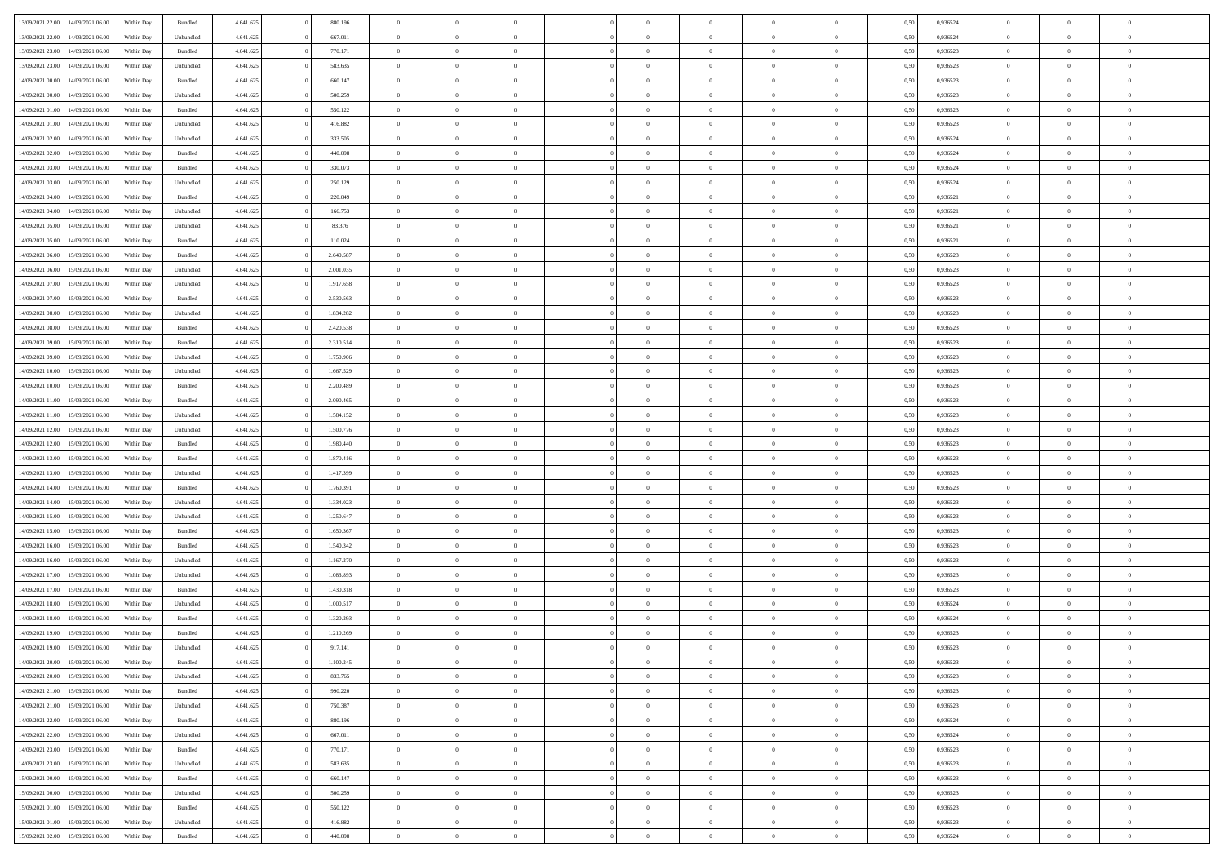| 13/09/2021 22:00 | 14/09/2021 06:00 | Within Day | Bundled            | 4.641.625 | 880.196   | $\overline{0}$ | $\Omega$       |                | $\Omega$       | $\Omega$       | $\theta$       | $\theta$       | 0.50 | 0,936524 | $\theta$       | $\theta$       | $\overline{0}$ |  |
|------------------|------------------|------------|--------------------|-----------|-----------|----------------|----------------|----------------|----------------|----------------|----------------|----------------|------|----------|----------------|----------------|----------------|--|
| 13/09/2021 22:00 | 14/09/2021 06:00 | Within Day | Unbundled          | 4.641.625 | 667.011   | $\overline{0}$ | $\theta$       | $\overline{0}$ | $\overline{0}$ | $\bf{0}$       | $\overline{0}$ | $\bf{0}$       | 0,50 | 0,936524 | $\theta$       | $\overline{0}$ | $\overline{0}$ |  |
| 13/09/2021 23:00 | 14/09/2021 06:00 | Within Day | Bundled            | 4.641.625 | 770.171   | $\overline{0}$ | $\bf{0}$       | $\overline{0}$ | $\bf{0}$       | $\bf{0}$       | $\bf{0}$       | $\mathbf{0}$   | 0,50 | 0,936523 | $\overline{0}$ | $\overline{0}$ | $\bf{0}$       |  |
| 13/09/2021 23:00 | 14/09/2021 06:00 | Within Dav | Unbundled          | 4.641.625 | 583.635   | $\overline{0}$ | $\overline{0}$ | $\overline{0}$ | $\overline{0}$ | $\bf{0}$       | $\overline{0}$ | $\overline{0}$ | 0.50 | 0.936523 | $\theta$       | $\theta$       | $\overline{0}$ |  |
| 14/09/2021 00:00 | 14/09/2021 06:00 | Within Day | Bundled            | 4.641.625 | 660.147   | $\overline{0}$ | $\theta$       | $\overline{0}$ | $\overline{0}$ | $\bf{0}$       | $\overline{0}$ |                |      | 0,936523 | $\theta$       | $\overline{0}$ | $\overline{0}$ |  |
|                  |                  |            |                    |           |           |                |                |                |                |                |                | $\bf{0}$       | 0,50 |          |                |                |                |  |
| 14/09/2021 00:00 | 14/09/2021 06:00 | Within Day | Unbundled          | 4.641.625 | 500.259   | $\overline{0}$ | $\overline{0}$ | $\overline{0}$ | $\bf{0}$       | $\overline{0}$ | $\overline{0}$ | $\mathbf{0}$   | 0,50 | 0,936523 | $\overline{0}$ | $\overline{0}$ | $\bf{0}$       |  |
| 14/09/2021 01:00 | 14/09/2021 06:00 | Within Dav | Bundled            | 4.641.625 | 550.122   | $\overline{0}$ | $\overline{0}$ | $\overline{0}$ | $\overline{0}$ | $\overline{0}$ | $\overline{0}$ | $\overline{0}$ | 0.50 | 0.936523 | $\theta$       | $\overline{0}$ | $\overline{0}$ |  |
| 14/09/2021 01:00 | 14/09/2021 06:00 | Within Day | Unbundled          | 4.641.625 | 416.882   | $\overline{0}$ | $\theta$       | $\overline{0}$ | $\overline{0}$ | $\bf{0}$       | $\overline{0}$ | $\bf{0}$       | 0,50 | 0,936523 | $\theta$       | $\theta$       | $\overline{0}$ |  |
| 14/09/2021 02:00 | 14/09/2021 06:00 | Within Day | Unbundled          | 4.641.625 | 333.505   | $\overline{0}$ | $\overline{0}$ | $\overline{0}$ | $\bf{0}$       | $\bf{0}$       | $\bf{0}$       | $\bf{0}$       | 0,50 | 0,936524 | $\,0\,$        | $\overline{0}$ | $\overline{0}$ |  |
| 14/09/2021 02:00 | 14/09/2021 06:00 | Within Dav | Bundled            | 4.641.625 | 440.098   | $\overline{0}$ | $\overline{0}$ | $\overline{0}$ | $\overline{0}$ | $\overline{0}$ | $\overline{0}$ | $\overline{0}$ | 0.50 | 0,936524 | $\theta$       | $\overline{0}$ | $\overline{0}$ |  |
| 14/09/2021 03:00 | 14/09/2021 06:00 | Within Day | Bundled            | 4.641.625 | 330.073   | $\overline{0}$ | $\theta$       | $\overline{0}$ | $\overline{0}$ | $\bf{0}$       | $\overline{0}$ | $\bf{0}$       | 0,50 | 0,936524 | $\,$ 0 $\,$    | $\overline{0}$ | $\overline{0}$ |  |
| 14/09/2021 03:00 | 14/09/2021 06:00 | Within Day | Unbundled          | 4.641.625 | 250.129   | $\overline{0}$ | $\bf{0}$       | $\overline{0}$ | $\bf{0}$       | $\bf{0}$       | $\bf{0}$       | $\mathbf{0}$   | 0,50 | 0,936524 | $\overline{0}$ | $\overline{0}$ | $\bf{0}$       |  |
|                  |                  |            |                    |           |           |                |                |                |                |                |                |                |      |          |                |                |                |  |
| 14/09/2021 04:00 | 14/09/2021 06:00 | Within Day | Bundled            | 4.641.625 | 220,049   | $\overline{0}$ | $\overline{0}$ | $\overline{0}$ | $\overline{0}$ | $\bf{0}$       | $\overline{0}$ | $\overline{0}$ | 0.50 | 0,936521 | $\theta$       | $\theta$       | $\overline{0}$ |  |
| 14/09/2021 04:00 | 14/09/2021 06:00 | Within Day | Unbundled          | 4.641.625 | 166.753   | $\overline{0}$ | $\theta$       | $\overline{0}$ | $\overline{0}$ | $\bf{0}$       | $\overline{0}$ | $\bf{0}$       | 0,50 | 0,936521 | $\theta$       | $\overline{0}$ | $\overline{0}$ |  |
| 14/09/2021 05:00 | 14/09/2021 06:00 | Within Day | Unbundled          | 4.641.625 | 83.376    | $\overline{0}$ | $\overline{0}$ | $\overline{0}$ | $\bf{0}$       | $\overline{0}$ | $\overline{0}$ | $\mathbf{0}$   | 0,50 | 0,936521 | $\overline{0}$ | $\overline{0}$ | $\bf{0}$       |  |
| 14/09/2021 05:00 | 14/09/2021 06:00 | Within Dav | Bundled            | 4.641.625 | 110.024   | $\overline{0}$ | $\overline{0}$ | $\overline{0}$ | $\overline{0}$ | $\overline{0}$ | $\overline{0}$ | $\overline{0}$ | 0.50 | 0,936521 | $\theta$       | $\overline{0}$ | $\overline{0}$ |  |
| 14/09/2021 06:00 | 15/09/2021 06:00 | Within Day | Bundled            | 4.641.625 | 2.640.587 | $\overline{0}$ | $\theta$       | $\overline{0}$ | $\overline{0}$ | $\bf{0}$       | $\overline{0}$ | $\bf{0}$       | 0,50 | 0,936523 | $\theta$       | $\theta$       | $\overline{0}$ |  |
| 14/09/2021 06:00 | 15/09/2021 06:00 | Within Day | Unbundled          | 4.641.625 | 2.001.035 | $\overline{0}$ | $\overline{0}$ | $\overline{0}$ | $\bf{0}$       | $\bf{0}$       | $\bf{0}$       | $\bf{0}$       | 0,50 | 0,936523 | $\,0\,$        | $\overline{0}$ | $\overline{0}$ |  |
| 14/09/2021 07:00 | 15/09/2021 06:00 | Within Day | Unbundled          | 4.641.625 | 1.917.658 | $\overline{0}$ | $\overline{0}$ | $\overline{0}$ | $\overline{0}$ | $\overline{0}$ | $\overline{0}$ | $\overline{0}$ | 0.50 | 0.936523 | $\theta$       | $\overline{0}$ | $\overline{0}$ |  |
| 14/09/2021 07:00 | 15/09/2021 06:00 | Within Day | Bundled            | 4.641.625 | 2.530.563 | $\overline{0}$ | $\theta$       | $\overline{0}$ | $\overline{0}$ | $\bf{0}$       | $\overline{0}$ | $\bf{0}$       | 0,50 | 0,936523 | $\,$ 0 $\,$    | $\overline{0}$ | $\overline{0}$ |  |
| 14/09/2021 08:00 | 15/09/2021 06:00 | Within Day | Unbundled          | 4.641.625 | 1.834.282 | $\overline{0}$ | $\overline{0}$ | $\overline{0}$ | $\bf{0}$       | $\bf{0}$       | $\bf{0}$       | $\bf{0}$       | 0,50 | 0,936523 | $\,0\,$        | $\overline{0}$ | $\bf{0}$       |  |
|                  |                  |            |                    |           |           |                |                |                |                |                |                |                |      |          |                |                |                |  |
| 14/09/2021 08:00 | 15/09/2021 06:00 | Within Day | Bundled            | 4.641.625 | 2.420.538 | $\overline{0}$ | $\overline{0}$ | $\overline{0}$ | $\overline{0}$ | $\bf{0}$       | $\overline{0}$ | $\overline{0}$ | 0.50 | 0.936523 | $\theta$       | $\overline{0}$ | $\overline{0}$ |  |
| 14/09/2021 09:00 | 15/09/2021 06:00 | Within Day | Bundled            | 4.641.625 | 2.310.514 | $\overline{0}$ | $\theta$       | $\overline{0}$ | $\overline{0}$ | $\bf{0}$       | $\overline{0}$ | $\bf{0}$       | 0,50 | 0,936523 | $\theta$       | $\overline{0}$ | $\overline{0}$ |  |
| 14/09/2021 09:00 | 15/09/2021 06:00 | Within Day | Unbundled          | 4.641.625 | 1.750.906 | $\overline{0}$ | $\overline{0}$ | $\overline{0}$ | $\bf{0}$       | $\overline{0}$ | $\overline{0}$ | $\mathbf{0}$   | 0,50 | 0,936523 | $\bf{0}$       | $\overline{0}$ | $\bf{0}$       |  |
| 14/09/2021 10:00 | 15/09/2021 06:00 | Within Dav | Unbundled          | 4.641.625 | 1.667.529 | $\overline{0}$ | $\overline{0}$ | $\overline{0}$ | $\overline{0}$ | $\overline{0}$ | $\overline{0}$ | $\overline{0}$ | 0.50 | 0.936523 | $\theta$       | $\overline{0}$ | $\overline{0}$ |  |
| 14/09/2021 10:00 | 15/09/2021 06:00 | Within Day | Bundled            | 4.641.625 | 2.200.489 | $\overline{0}$ | $\theta$       | $\overline{0}$ | $\overline{0}$ | $\bf{0}$       | $\overline{0}$ | $\bf{0}$       | 0,50 | 0,936523 | $\theta$       | $\theta$       | $\overline{0}$ |  |
| 14/09/2021 11:00 | 15/09/2021 06:00 | Within Day | Bundled            | 4.641.625 | 2.090.465 | $\overline{0}$ | $\overline{0}$ | $\overline{0}$ | $\bf{0}$       | $\bf{0}$       | $\bf{0}$       | $\bf{0}$       | 0,50 | 0,936523 | $\,0\,$        | $\overline{0}$ | $\overline{0}$ |  |
| 14/09/2021 11:00 | 15/09/2021 06:00 | Within Day | Unbundled          | 4.641.625 | 1.584.152 | $\overline{0}$ | $\overline{0}$ | $\overline{0}$ | $\overline{0}$ | $\overline{0}$ | $\overline{0}$ | $\overline{0}$ | 0.50 | 0.936523 | $\theta$       | $\overline{0}$ | $\overline{0}$ |  |
| 14/09/2021 12:00 | 15/09/2021 06:00 | Within Day | Unbundled          | 4.641.625 | 1.500.776 | $\overline{0}$ | $\theta$       | $\overline{0}$ | $\overline{0}$ | $\bf{0}$       | $\overline{0}$ | $\bf{0}$       | 0,50 | 0,936523 | $\,$ 0 $\,$    | $\overline{0}$ | $\overline{0}$ |  |
| 14/09/2021 12:00 | 15/09/2021 06:00 | Within Day | Bundled            | 4.641.625 | 1.980.440 | $\overline{0}$ | $\overline{0}$ | $\overline{0}$ | $\bf{0}$       | $\bf{0}$       | $\bf{0}$       | $\bf{0}$       | 0,50 | 0,936523 | $\bf{0}$       | $\overline{0}$ | $\bf{0}$       |  |
|                  |                  |            |                    |           |           |                |                |                |                |                |                |                |      |          |                |                |                |  |
| 14/09/2021 13:00 | 15/09/2021 06.00 | Within Day | Bundled            | 4.641.625 | 1.870.416 | $\overline{0}$ | $\Omega$       | $\Omega$       | $\Omega$       | $\Omega$       | $\overline{0}$ | $\overline{0}$ | 0,50 | 0,936523 | $\,0\,$        | $\theta$       | $\theta$       |  |
| 14/09/2021 13:00 | 15/09/2021 06:00 | Within Day | Unbundled          | 4.641.625 | 1.417.399 | $\overline{0}$ | $\theta$       | $\overline{0}$ | $\overline{0}$ | $\bf{0}$       | $\overline{0}$ | $\bf{0}$       | 0,50 | 0,936523 | $\theta$       | $\overline{0}$ | $\overline{0}$ |  |
| 14/09/2021 14:00 | 15/09/2021 06:00 | Within Day | Bundled            | 4.641.625 | 1.760.391 | $\overline{0}$ | $\overline{0}$ | $\overline{0}$ | $\bf{0}$       | $\overline{0}$ | $\overline{0}$ | $\mathbf{0}$   | 0,50 | 0,936523 | $\overline{0}$ | $\overline{0}$ | $\bf{0}$       |  |
| 14/09/2021 14:00 | 15/09/2021 06:00 | Within Day | Unbundled          | 4.641.625 | 1.334.023 | $\overline{0}$ | $\Omega$       | $\Omega$       | $\Omega$       | $\bf{0}$       | $\overline{0}$ | $\overline{0}$ | 0.50 | 0.936523 | $\,0\,$        | $\theta$       | $\theta$       |  |
| 14/09/2021 15:00 | 15/09/2021 06:00 | Within Day | Unbundled          | 4.641.625 | 1.250.647 | $\overline{0}$ | $\theta$       | $\overline{0}$ | $\overline{0}$ | $\bf{0}$       | $\overline{0}$ | $\bf{0}$       | 0,50 | 0,936523 | $\theta$       | $\overline{0}$ | $\overline{0}$ |  |
| 14/09/2021 15:00 | 15/09/2021 06:00 | Within Day | Bundled            | 4.641.625 | 1.650.367 | $\overline{0}$ | $\overline{0}$ | $\overline{0}$ | $\bf{0}$       | $\bf{0}$       | $\bf{0}$       | $\bf{0}$       | 0,50 | 0,936523 | $\,0\,$        | $\overline{0}$ | $\bf{0}$       |  |
| 14/09/2021 16:00 | 15/09/2021 06:00 | Within Day | Bundled            | 4.641.625 | 1.540.342 | $\overline{0}$ | $\Omega$       | $\Omega$       | $\Omega$       | $\theta$       | $\overline{0}$ | $\overline{0}$ | 0.50 | 0.936523 | $\,$ 0 $\,$    | $\theta$       | $\theta$       |  |
| 14/09/2021 16:00 | 15/09/2021 06:00 | Within Day | Unbundled          | 4.641.625 | 1.167.270 | $\overline{0}$ | $\theta$       | $\overline{0}$ | $\overline{0}$ | $\bf{0}$       | $\overline{0}$ | $\bf{0}$       | 0,50 | 0,936523 | $\,$ 0 $\,$    | $\overline{0}$ | $\overline{0}$ |  |
| 14/09/2021 17:00 | 15/09/2021 06:00 | Within Day | Unbundled          | 4.641.625 | 1.083.893 | $\overline{0}$ | $\bf{0}$       | $\overline{0}$ | $\bf{0}$       | $\bf{0}$       | $\bf{0}$       | $\mathbf{0}$   | 0,50 | 0,936523 | $\overline{0}$ | $\overline{0}$ | $\bf{0}$       |  |
|                  |                  |            |                    |           | 1.430.318 | $\overline{0}$ | $\Omega$       | $\overline{0}$ | $\Omega$       | $\overline{0}$ | $\overline{0}$ | $\overline{0}$ |      |          | $\,0\,$        | $\theta$       | $\theta$       |  |
| 14/09/2021 17:00 | 15/09/2021 06:00 | Within Day | Bundled            | 4.641.625 |           |                |                |                |                |                |                |                | 0,50 | 0,936523 |                |                |                |  |
| 14/09/2021 18:00 | 15/09/2021 06:00 | Within Day | Unbundled          | 4.641.625 | 1.000.517 | $\overline{0}$ | $\theta$       | $\overline{0}$ | $\overline{0}$ | $\,$ 0         | $\overline{0}$ | $\bf{0}$       | 0,50 | 0,936524 | $\,$ 0 $\,$    | $\overline{0}$ | $\overline{0}$ |  |
| 14/09/2021 18:00 | 15/09/2021 06:00 | Within Day | Bundled            | 4.641.625 | 1.320.293 | $\overline{0}$ | $\overline{0}$ | $\overline{0}$ | $\bf{0}$       | $\bf{0}$       | $\bf{0}$       | $\mathbf{0}$   | 0,50 | 0,936524 | $\overline{0}$ | $\overline{0}$ | $\bf{0}$       |  |
| 14/09/2021 19:00 | 15/09/2021 06:00 | Within Day | Bundled            | 4.641.625 | 1.210.269 | $\overline{0}$ | $\Omega$       | $\Omega$       | $\Omega$       | $\Omega$       | $\Omega$       | $\overline{0}$ | 0.50 | 0.936523 | $\theta$       | $\theta$       | $\theta$       |  |
| 14/09/2021 19:00 | 15/09/2021 06:00 | Within Day | Unbundled          | 4.641.625 | 917.141   | $\overline{0}$ | $\overline{0}$ | $\overline{0}$ | $\bf{0}$       | $\,$ 0         | $\bf{0}$       | $\bf{0}$       | 0,50 | 0,936523 | $\,0\,$        | $\,$ 0 $\,$    | $\overline{0}$ |  |
| 14/09/2021 20:00 | 15/09/2021 06:00 | Within Day | $\mathbf B$ undled | 4.641.625 | 1.100.245 | $\bf{0}$       | $\bf{0}$       |                |                | $\bf{0}$       |                |                | 0,50 | 0,936523 | $\bf{0}$       | $\overline{0}$ |                |  |
| 14/09/2021 20:00 | 15/09/2021 06:00 | Within Day | Unbundled          | 4.641.625 | 833.765   | $\overline{0}$ | $\overline{0}$ | $\overline{0}$ | $\Omega$       | $\overline{0}$ | $\overline{0}$ | $\overline{0}$ | 0.50 | 0.936523 | $\theta$       | $\theta$       | $\theta$       |  |
| 14/09/2021 21:00 | 15/09/2021 06:00 | Within Day | Bundled            | 4.641.625 | 990.220   | $\overline{0}$ | $\,$ 0         | $\overline{0}$ | $\bf{0}$       | $\,$ 0 $\,$    | $\overline{0}$ | $\,$ 0 $\,$    | 0,50 | 0,936523 | $\,$ 0 $\,$    | $\,$ 0 $\,$    | $\,$ 0         |  |
| 14/09/2021 21.00 | 15/09/2021 06:00 | Within Day | Unbundled          | 4.641.625 | 750.387   | $\overline{0}$ | $\overline{0}$ | $\overline{0}$ | $\overline{0}$ | $\overline{0}$ | $\overline{0}$ | $\mathbf{0}$   | 0,50 | 0,936523 | $\overline{0}$ | $\bf{0}$       | $\bf{0}$       |  |
| 14/09/2021 22:00 | 15/09/2021 06:00 | Within Day | $\mathbf B$ undled | 4.641.625 | 880.196   | $\overline{0}$ | $\overline{0}$ | $\overline{0}$ | $\Omega$       | $\overline{0}$ | $\overline{0}$ | $\overline{0}$ | 0,50 | 0,936524 | $\overline{0}$ | $\theta$       | $\overline{0}$ |  |
| 14/09/2021 22.00 | 15/09/2021 06:00 | Within Day |                    | 4.641.625 | 667.011   | $\overline{0}$ | $\,$ 0         | $\overline{0}$ | $\overline{0}$ | $\,$ 0 $\,$    | $\overline{0}$ |                |      | 0,936524 | $\,$ 0 $\,$    | $\overline{0}$ | $\overline{0}$ |  |
|                  |                  |            | Unbundled          |           |           |                |                |                |                |                |                | $\mathbf{0}$   | 0,50 |          |                |                |                |  |
| 14/09/2021 23:00 | 15/09/2021 06:00 | Within Day | Bundled            | 4.641.625 | 770.171   | $\overline{0}$ | $\overline{0}$ | $\overline{0}$ | $\overline{0}$ | $\overline{0}$ | $\overline{0}$ | $\mathbf{0}$   | 0,50 | 0,936523 | $\overline{0}$ | $\overline{0}$ | $\bf{0}$       |  |
| 14/09/2021 23:00 | 15/09/2021 06:00 | Within Day | Unbundled          | 4.641.625 | 583.635   | $\overline{0}$ | $\overline{0}$ | $\overline{0}$ | $\Omega$       | $\overline{0}$ | $\overline{0}$ | $\bf{0}$       | 0.50 | 0,936523 | $\overline{0}$ | $\theta$       | $\overline{0}$ |  |
| 15/09/2021 00:00 | 15/09/2021 06:00 | Within Day | Bundled            | 4.641.625 | 660.147   | $\overline{0}$ | $\,$ 0         | $\overline{0}$ | $\bf{0}$       | $\bf{0}$       | $\bf{0}$       | $\bf{0}$       | 0,50 | 0,936523 | $\,$ 0 $\,$    | $\overline{0}$ | $\overline{0}$ |  |
| 15/09/2021 00:00 | 15/09/2021 06:00 | Within Day | Unbundled          | 4.641.625 | 500.259   | $\overline{0}$ | $\bf{0}$       | $\overline{0}$ | $\overline{0}$ | $\overline{0}$ | $\overline{0}$ | $\mathbf{0}$   | 0,50 | 0,936523 | $\overline{0}$ | $\overline{0}$ | $\bf{0}$       |  |
| 15/09/2021 01:00 | 15/09/2021 06:00 | Within Day | Bundled            | 4.641.625 | 550.122   | $\overline{0}$ | $\overline{0}$ | $\overline{0}$ | $\Omega$       | $\overline{0}$ | $\overline{0}$ | $\overline{0}$ | 0.50 | 0.936523 | $\overline{0}$ | $\theta$       | $\overline{0}$ |  |
| 15/09/2021 01:00 | 15/09/2021 06:00 | Within Day | Unbundled          | 4.641.625 | 416.882   | $\overline{0}$ | $\bf{0}$       | $\overline{0}$ | $\overline{0}$ | $\bf{0}$       | $\bf{0}$       | $\bf{0}$       | 0,50 | 0,936523 | $\,$ 0 $\,$    | $\,$ 0 $\,$    | $\bf{0}$       |  |
| 15/09/2021 02:00 | 15/09/2021 06:00 | Within Day | Bundled            | 4.641.625 | 440.098   | $\overline{0}$ | $\bf{0}$       | $\overline{0}$ | $\bf{0}$       | $\bf{0}$       | $\bf{0}$       | $\bf{0}$       | 0,50 | 0,936524 | $\overline{0}$ | $\overline{0}$ | $\bf{0}$       |  |
|                  |                  |            |                    |           |           |                |                |                |                |                |                |                |      |          |                |                |                |  |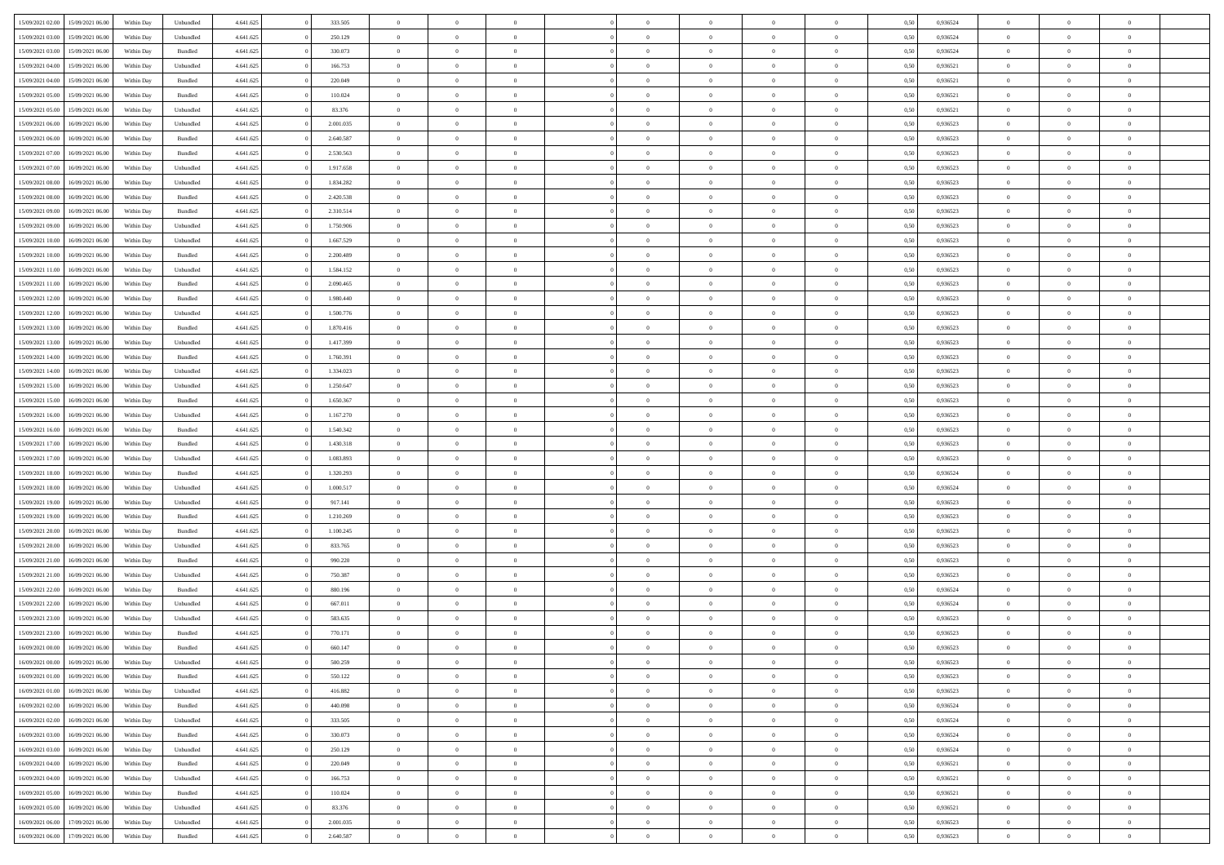| 15/09/2021 02:00 | 15/09/2021 06:00 | Within Day | Unbundled          | 4.641.625 | 333.505   | $\overline{0}$ | $\theta$       |                | $\Omega$       | $\Omega$       | $\overline{0}$ | $\theta$       | 0.50 | 0,936524 | $\theta$       | $\overline{0}$ | $\overline{0}$ |  |
|------------------|------------------|------------|--------------------|-----------|-----------|----------------|----------------|----------------|----------------|----------------|----------------|----------------|------|----------|----------------|----------------|----------------|--|
| 15/09/2021 03:00 | 15/09/2021 06:00 | Within Day | Unbundled          | 4.641.625 | 250.129   | $\overline{0}$ | $\overline{0}$ | $\overline{0}$ | $\overline{0}$ | $\bf{0}$       | $\overline{0}$ | $\bf{0}$       | 0,50 | 0,936524 | $\theta$       | $\overline{0}$ | $\overline{0}$ |  |
| 15/09/2021 03:00 | 15/09/2021 06:00 | Within Day | Bundled            | 4.641.625 | 330.073   | $\overline{0}$ | $\bf{0}$       | $\overline{0}$ | $\bf{0}$       | $\bf{0}$       | $\bf{0}$       | $\mathbf{0}$   | 0,50 | 0,936524 | $\bf{0}$       | $\overline{0}$ | $\bf{0}$       |  |
| 15/09/2021 04:00 | 15/09/2021 06:00 | Within Day | Unbundled          | 4.641.625 | 166.753   | $\overline{0}$ | $\overline{0}$ | $\overline{0}$ | $\overline{0}$ | $\bf{0}$       | $\overline{0}$ | $\overline{0}$ | 0.50 | 0.936521 | $\theta$       | $\theta$       | $\overline{0}$ |  |
| 15/09/2021 04:00 | 15/09/2021 06:00 |            | Bundled            | 4.641.625 | 220.049   | $\overline{0}$ | $\theta$       | $\overline{0}$ | $\overline{0}$ | $\bf{0}$       | $\overline{0}$ |                |      | 0,936521 | $\theta$       | $\overline{0}$ | $\overline{0}$ |  |
|                  |                  | Within Day |                    |           |           |                |                |                |                |                |                | $\bf{0}$       | 0,50 |          |                |                |                |  |
| 15/09/2021 05:00 | 15/09/2021 06:00 | Within Day | Bundled            | 4.641.625 | 110.024   | $\overline{0}$ | $\overline{0}$ | $\overline{0}$ | $\bf{0}$       | $\overline{0}$ | $\overline{0}$ | $\mathbf{0}$   | 0,50 | 0,936521 | $\bf{0}$       | $\overline{0}$ | $\bf{0}$       |  |
| 15/09/2021 05:00 | 15/09/2021 06:00 | Within Dav | Unbundled          | 4.641.625 | 83.376    | $\overline{0}$ | $\overline{0}$ | $\overline{0}$ | $\overline{0}$ | $\overline{0}$ | $\overline{0}$ | $\overline{0}$ | 0.50 | 0,936521 | $\theta$       | $\overline{0}$ | $\overline{0}$ |  |
| 15/09/2021 06:00 | 16/09/2021 06:00 | Within Day | Unbundled          | 4.641.625 | 2.001.035 | $\overline{0}$ | $\theta$       | $\overline{0}$ | $\overline{0}$ | $\bf{0}$       | $\overline{0}$ | $\bf{0}$       | 0,50 | 0,936523 | $\theta$       | $\theta$       | $\overline{0}$ |  |
| 15/09/2021 06:00 | 16/09/2021 06:00 | Within Day | Bundled            | 4.641.625 | 2.640.587 | $\overline{0}$ | $\overline{0}$ | $\overline{0}$ | $\bf{0}$       | $\bf{0}$       | $\bf{0}$       | $\bf{0}$       | 0,50 | 0,936523 | $\,0\,$        | $\overline{0}$ | $\overline{0}$ |  |
| 15/09/2021 07:00 | 16/09/2021 06:00 | Within Dav | Bundled            | 4.641.625 | 2.530.563 | $\overline{0}$ | $\overline{0}$ | $\overline{0}$ | $\overline{0}$ | $\overline{0}$ | $\overline{0}$ | $\overline{0}$ | 0.50 | 0.936523 | $\theta$       | $\overline{0}$ | $\overline{0}$ |  |
| 15/09/2021 07:00 | 16/09/2021 06:00 | Within Day | Unbundled          | 4.641.625 | 1.917.658 | $\overline{0}$ | $\theta$       | $\overline{0}$ | $\overline{0}$ | $\bf{0}$       | $\overline{0}$ | $\bf{0}$       | 0,50 | 0,936523 | $\,$ 0 $\,$    | $\overline{0}$ | $\overline{0}$ |  |
| 15/09/2021 08:00 | 16/09/2021 06:00 | Within Day | Unbundled          | 4.641.625 | 1.834.282 | $\overline{0}$ | $\overline{0}$ | $\overline{0}$ | $\bf{0}$       | $\bf{0}$       | $\bf{0}$       | $\mathbf{0}$   | 0,50 | 0,936523 | $\overline{0}$ | $\overline{0}$ | $\bf{0}$       |  |
|                  |                  |            |                    |           |           |                |                |                |                |                |                |                |      |          |                |                |                |  |
| 15/09/2021 08:00 | 16/09/2021 06:00 | Within Day | Bundled            | 4.641.625 | 2.420.538 | $\overline{0}$ | $\overline{0}$ | $\overline{0}$ | $\overline{0}$ | $\bf{0}$       | $\overline{0}$ | $\overline{0}$ | 0.50 | 0.936523 | $\theta$       | $\theta$       | $\overline{0}$ |  |
| 15/09/2021 09:00 | 16/09/2021 06:00 | Within Day | Bundled            | 4.641.625 | 2.310.514 | $\overline{0}$ | $\theta$       | $\overline{0}$ | $\overline{0}$ | $\bf{0}$       | $\overline{0}$ | $\bf{0}$       | 0,50 | 0,936523 | $\theta$       | $\overline{0}$ | $\overline{0}$ |  |
| 15/09/2021 09:00 | 16/09/2021 06:00 | Within Day | Unbundled          | 4.641.625 | 1.750.906 | $\overline{0}$ | $\overline{0}$ | $\overline{0}$ | $\bf{0}$       | $\overline{0}$ | $\overline{0}$ | $\mathbf{0}$   | 0,50 | 0,936523 | $\overline{0}$ | $\overline{0}$ | $\bf{0}$       |  |
| 15/09/2021 10:00 | 16/09/2021 06:00 | Within Dav | Unbundled          | 4.641.625 | 1.667.529 | $\overline{0}$ | $\overline{0}$ | $\overline{0}$ | $\overline{0}$ | $\overline{0}$ | $\overline{0}$ | $\overline{0}$ | 0.50 | 0.936523 | $\theta$       | $\overline{0}$ | $\overline{0}$ |  |
| 15/09/2021 10:00 | 16/09/2021 06:00 | Within Day | Bundled            | 4.641.625 | 2.200.489 | $\overline{0}$ | $\theta$       | $\overline{0}$ | $\overline{0}$ | $\bf{0}$       | $\overline{0}$ | $\bf{0}$       | 0,50 | 0,936523 | $\theta$       | $\theta$       | $\overline{0}$ |  |
| 15/09/2021 11:00 | 16/09/2021 06:00 | Within Day | Unbundled          | 4.641.625 | 1.584.152 | $\overline{0}$ | $\overline{0}$ | $\overline{0}$ | $\bf{0}$       | $\bf{0}$       | $\bf{0}$       | $\bf{0}$       | 0,50 | 0,936523 | $\,0\,$        | $\overline{0}$ | $\overline{0}$ |  |
| 15/09/2021 11:00 | 16/09/2021 06:00 | Within Dav | Bundled            | 4.641.625 | 2.090.465 | $\overline{0}$ | $\overline{0}$ | $\overline{0}$ | $\overline{0}$ | $\overline{0}$ | $\overline{0}$ | $\overline{0}$ | 0.50 | 0.936523 | $\theta$       | $\overline{0}$ | $\overline{0}$ |  |
| 15/09/2021 12:00 | 16/09/2021 06:00 | Within Day | Bundled            | 4.641.625 | 1.980.440 | $\overline{0}$ | $\theta$       | $\overline{0}$ | $\overline{0}$ | $\bf{0}$       | $\overline{0}$ | $\bf{0}$       | 0,50 | 0,936523 | $\,$ 0 $\,$    | $\overline{0}$ | $\overline{0}$ |  |
|                  |                  |            |                    |           |           |                |                |                |                |                |                |                |      |          |                |                |                |  |
| 15/09/2021 12:00 | 16/09/2021 06:00 | Within Day | Unbundled          | 4.641.625 | 1.500.776 | $\overline{0}$ | $\overline{0}$ | $\overline{0}$ | $\bf{0}$       | $\bf{0}$       | $\bf{0}$       | $\bf{0}$       | 0,50 | 0,936523 | $\bf{0}$       | $\overline{0}$ | $\bf{0}$       |  |
| 15/09/2021 13:00 | 16/09/2021 06:00 | Within Day | Bundled            | 4.641.625 | 1.870.416 | $\overline{0}$ | $\overline{0}$ | $\overline{0}$ | $\overline{0}$ | $\bf{0}$       | $\overline{0}$ | $\overline{0}$ | 0.50 | 0.936523 | $\theta$       | $\overline{0}$ | $\overline{0}$ |  |
| 15/09/2021 13:00 | 16/09/2021 06:00 | Within Day | Unbundled          | 4.641.625 | 1.417.399 | $\overline{0}$ | $\theta$       | $\overline{0}$ | $\overline{0}$ | $\bf{0}$       | $\overline{0}$ | $\bf{0}$       | 0,50 | 0,936523 | $\theta$       | $\overline{0}$ | $\overline{0}$ |  |
| 15/09/2021 14:00 | 16/09/2021 06:00 | Within Day | Bundled            | 4.641.625 | 1.760.391 | $\overline{0}$ | $\overline{0}$ | $\overline{0}$ | $\bf{0}$       | $\overline{0}$ | $\overline{0}$ | $\mathbf{0}$   | 0,50 | 0,936523 | $\bf{0}$       | $\overline{0}$ | $\bf{0}$       |  |
| 15/09/2021 14:00 | 16/09/2021 06:00 | Within Dav | Unbundled          | 4.641.625 | 1.334.023 | $\overline{0}$ | $\overline{0}$ | $\overline{0}$ | $\overline{0}$ | $\overline{0}$ | $\overline{0}$ | $\overline{0}$ | 0.50 | 0.936523 | $\theta$       | $\overline{0}$ | $\overline{0}$ |  |
| 15/09/2021 15:00 | 16/09/2021 06:00 | Within Day | Unbundled          | 4.641.625 | 1.250.647 | $\overline{0}$ | $\theta$       | $\overline{0}$ | $\overline{0}$ | $\bf{0}$       | $\overline{0}$ | $\bf{0}$       | 0,50 | 0,936523 | $\theta$       | $\theta$       | $\overline{0}$ |  |
| 15/09/2021 15:00 | 16/09/2021 06:00 | Within Day | Bundled            | 4.641.625 | 1.650.367 | $\overline{0}$ | $\overline{0}$ | $\overline{0}$ | $\bf{0}$       | $\bf{0}$       | $\bf{0}$       | $\bf{0}$       | 0,50 | 0,936523 | $\,0\,$        | $\overline{0}$ | $\overline{0}$ |  |
| 15/09/2021 16:00 | 16/09/2021 06:00 |            | Unbundled          | 4.641.625 | 1.167.270 | $\overline{0}$ | $\overline{0}$ | $\overline{0}$ | $\overline{0}$ | $\overline{0}$ | $\overline{0}$ | $\overline{0}$ | 0.50 | 0.936523 | $\theta$       | $\overline{0}$ | $\overline{0}$ |  |
|                  |                  | Within Day |                    |           |           |                |                |                |                |                |                |                |      |          |                |                |                |  |
| 15/09/2021 16:00 | 16/09/2021 06:00 | Within Day | Bundled            | 4.641.625 | 1.540.342 | $\overline{0}$ | $\theta$       | $\overline{0}$ | $\overline{0}$ | $\bf{0}$       | $\overline{0}$ | $\bf{0}$       | 0,50 | 0,936523 | $\,$ 0 $\,$    | $\overline{0}$ | $\overline{0}$ |  |
| 15/09/2021 17:00 | 16/09/2021 06:00 | Within Day | Bundled            | 4.641.625 | 1.430.318 | $\overline{0}$ | $\overline{0}$ | $\overline{0}$ | $\bf{0}$       | $\bf{0}$       | $\bf{0}$       | $\bf{0}$       | 0,50 | 0,936523 | $\bf{0}$       | $\overline{0}$ | $\bf{0}$       |  |
| 15/09/2021 17:00 | 16/09/2021 06:00 | Within Day | Unbundled          | 4.641.625 | 1.083.893 | $\overline{0}$ | $\Omega$       | $\Omega$       | $\Omega$       | $\Omega$       | $\overline{0}$ | $\overline{0}$ | 0,50 | 0,936523 | $\,0\,$        | $\theta$       | $\theta$       |  |
| 15/09/2021 18:00 | 16/09/2021 06:00 | Within Day | Bundled            | 4.641.625 | 1.320.293 | $\overline{0}$ | $\theta$       | $\overline{0}$ | $\overline{0}$ | $\bf{0}$       | $\overline{0}$ | $\bf{0}$       | 0,50 | 0,936524 | $\theta$       | $\overline{0}$ | $\overline{0}$ |  |
| 15/09/2021 18:00 | 16/09/2021 06:00 | Within Day | Unbundled          | 4.641.625 | 1.000.517 | $\overline{0}$ | $\overline{0}$ | $\overline{0}$ | $\bf{0}$       | $\overline{0}$ | $\overline{0}$ | $\mathbf{0}$   | 0,50 | 0,936524 | $\bf{0}$       | $\overline{0}$ | $\bf{0}$       |  |
| 15/09/2021 19:00 | 16/09/2021 06:00 | Within Day | Unbundled          | 4.641.625 | 917.141   | $\overline{0}$ | $\Omega$       | $\Omega$       | $\Omega$       | $\bf{0}$       | $\overline{0}$ | $\overline{0}$ | 0.50 | 0.936523 | $\,0\,$        | $\theta$       | $\theta$       |  |
| 15/09/2021 19:00 | 16/09/2021 06:00 | Within Day | Bundled            | 4.641.625 | 1.210.269 | $\overline{0}$ | $\theta$       | $\overline{0}$ | $\overline{0}$ | $\bf{0}$       | $\overline{0}$ | $\bf{0}$       | 0,50 | 0,936523 | $\theta$       | $\overline{0}$ | $\overline{0}$ |  |
|                  |                  |            |                    |           |           |                | $\overline{0}$ |                |                | $\bf{0}$       |                |                |      |          | $\bf{0}$       | $\overline{0}$ | $\bf{0}$       |  |
| 15/09/2021 20:00 | 16/09/2021 06:00 | Within Day | Bundled            | 4.641.625 | 1.100.245 | $\overline{0}$ |                | $\overline{0}$ | $\bf{0}$       |                | $\bf{0}$       | $\bf{0}$       | 0,50 | 0,936523 |                |                |                |  |
| 15/09/2021 20:00 | 16/09/2021 06:00 | Within Day | Unbundled          | 4.641.625 | 833,765   | $\overline{0}$ | $\Omega$       | $\Omega$       | $\Omega$       | $\theta$       | $\overline{0}$ | $\overline{0}$ | 0.50 | 0.936523 | $\theta$       | $\theta$       | $\theta$       |  |
| 15/09/2021 21:00 | 16/09/2021 06:00 | Within Day | Bundled            | 4.641.625 | 990.220   | $\overline{0}$ | $\theta$       | $\overline{0}$ | $\overline{0}$ | $\bf{0}$       | $\overline{0}$ | $\bf{0}$       | 0,50 | 0,936523 | $\,$ 0 $\,$    | $\overline{0}$ | $\overline{0}$ |  |
| 15/09/2021 21.00 | 16/09/2021 06:00 | Within Day | Unbundled          | 4.641.625 | 750.387   | $\overline{0}$ | $\bf{0}$       | $\overline{0}$ | $\bf{0}$       | $\bf{0}$       | $\bf{0}$       | $\mathbf{0}$   | 0,50 | 0,936523 | $\overline{0}$ | $\overline{0}$ | $\bf{0}$       |  |
| 15/09/2021 22:00 | 16/09/2021 06:00 | Within Day | $\mathbf B$ undled | 4.641.625 | 880,196   | $\overline{0}$ | $\Omega$       | $\Omega$       | $\Omega$       | $\overline{0}$ | $\overline{0}$ | $\overline{0}$ | 0,50 | 0,936524 | $\,0\,$        | $\theta$       | $\theta$       |  |
| 15/09/2021 22:00 | 16/09/2021 06:00 | Within Day | Unbundled          | 4.641.625 | 667.011   | $\overline{0}$ | $\overline{0}$ | $\overline{0}$ | $\overline{0}$ | $\,$ 0         | $\overline{0}$ | $\bf{0}$       | 0,50 | 0,936524 | $\,$ 0 $\,$    | $\overline{0}$ | $\overline{0}$ |  |
| 15/09/2021 23.00 | 16/09/2021 06:00 | Within Day | Unbundled          | 4.641.625 | 583.635   | $\overline{0}$ | $\overline{0}$ | $\overline{0}$ | $\bf{0}$       | $\bf{0}$       | $\bf{0}$       | $\mathbf{0}$   | 0,50 | 0,936523 | $\overline{0}$ | $\overline{0}$ | $\bf{0}$       |  |
| 15/09/2021 23.00 | 16/09/2021 06:00 | Within Day | Bundled            | 4.641.625 | 770.171   | $\overline{0}$ | $\Omega$       | $\Omega$       | $\Omega$       | $\Omega$       | $\Omega$       | $\overline{0}$ | 0.50 | 0.936523 | $\theta$       | $\theta$       | $\theta$       |  |
| 16/09/2021 00:00 | 16/09/2021 06:00 | Within Day | Bundled            | 4.641.625 | 660.147   | $\overline{0}$ | $\overline{0}$ | $\overline{0}$ | $\bf{0}$       | $\,$ 0         | $\bf{0}$       | $\bf{0}$       | 0,50 | 0,936523 | $\,0\,$        | $\,$ 0 $\,$    | $\overline{0}$ |  |
| 16/09/2021 00:00 | 16/09/2021 06:00 | Within Day | Unbundled          | 4.641.625 |           |                |                |                |                |                |                |                |      |          |                |                |                |  |
|                  |                  |            |                    |           | 500.259   | $\bf{0}$       | $\bf{0}$       |                |                | $\bf{0}$       |                |                | 0,50 | 0,936523 | $\bf{0}$       | $\overline{0}$ |                |  |
| 16/09/2021 01:00 | 16/09/2021 06:00 | Within Day | Bundled            | 4.641.625 | 550.122   | $\overline{0}$ | $\overline{0}$ | $\overline{0}$ | $\Omega$       | $\overline{0}$ | $\overline{0}$ | $\overline{0}$ | 0.50 | 0.936523 | $\theta$       | $\theta$       | $\theta$       |  |
| 16/09/2021 01:00 | 16/09/2021 06:00 | Within Day | Unbundled          | 4.641.625 | 416.882   | $\overline{0}$ | $\,$ 0         | $\overline{0}$ | $\bf{0}$       | $\,$ 0 $\,$    | $\overline{0}$ | $\,$ 0 $\,$    | 0,50 | 0,936523 | $\,$ 0 $\,$    | $\,$ 0 $\,$    | $\,$ 0         |  |
| 16/09/2021 02:00 | 16/09/2021 06:00 | Within Day | Bundled            | 4.641.625 | 440.098   | $\overline{0}$ | $\overline{0}$ | $\overline{0}$ | $\overline{0}$ | $\overline{0}$ | $\overline{0}$ | $\mathbf{0}$   | 0,50 | 0,936524 | $\overline{0}$ | $\bf{0}$       | $\bf{0}$       |  |
| 16/09/2021 02:00 | 16/09/2021 06:00 | Within Day | Unbundled          | 4.641.625 | 333.505   | $\overline{0}$ | $\overline{0}$ | $\overline{0}$ | $\Omega$       | $\overline{0}$ | $\overline{0}$ | $\overline{0}$ | 0,50 | 0,936524 | $\overline{0}$ | $\theta$       | $\overline{0}$ |  |
| 16/09/2021 03:00 | 16/09/2021 06:00 | Within Day | Bundled            | 4.641.625 | 330.073   | $\overline{0}$ | $\,$ 0         | $\overline{0}$ | $\overline{0}$ | $\,$ 0 $\,$    | $\overline{0}$ | $\mathbf{0}$   | 0,50 | 0,936524 | $\,$ 0 $\,$    | $\overline{0}$ | $\overline{0}$ |  |
| 16/09/2021 03:00 | 16/09/2021 06:00 | Within Day | Unbundled          | 4.641.625 | 250.129   | $\overline{0}$ | $\overline{0}$ | $\overline{0}$ | $\overline{0}$ | $\overline{0}$ | $\overline{0}$ | $\mathbf{0}$   | 0,50 | 0,936524 | $\overline{0}$ | $\overline{0}$ | $\bf{0}$       |  |
| 16/09/2021 04:00 | 16/09/2021 06:00 | Within Day | Bundled            | 4.641.625 | 220.049   | $\overline{0}$ | $\overline{0}$ | $\overline{0}$ | $\Omega$       | $\overline{0}$ | $\overline{0}$ | $\bf{0}$       | 0.50 | 0,936521 | $\overline{0}$ | $\theta$       | $\overline{0}$ |  |
| 16/09/2021 04:00 | 16/09/2021 06:00 |            |                    | 4.641.625 | 166.753   | $\overline{0}$ | $\,$ 0         | $\overline{0}$ |                | $\bf{0}$       |                |                |      | 0,936521 | $\,$ 0 $\,$    | $\overline{0}$ | $\overline{0}$ |  |
|                  |                  | Within Day | Unbundled          |           |           |                |                |                | $\bf{0}$       |                | $\bf{0}$       | $\bf{0}$       | 0,50 |          |                |                |                |  |
| 16/09/2021 05:00 | 16/09/2021 06:00 | Within Day | Bundled            | 4.641.625 | 110.024   | $\overline{0}$ | $\bf{0}$       | $\overline{0}$ | $\overline{0}$ | $\overline{0}$ | $\overline{0}$ | $\mathbf{0}$   | 0,50 | 0,936521 | $\overline{0}$ | $\overline{0}$ | $\bf{0}$       |  |
| 16/09/2021 05:00 | 16/09/2021 06:00 | Within Day | Unbundled          | 4.641.625 | 83.376    | $\overline{0}$ | $\overline{0}$ | $\overline{0}$ | $\Omega$       | $\overline{0}$ | $\overline{0}$ | $\overline{0}$ | 0.50 | 0.936521 | $\overline{0}$ | $\theta$       | $\overline{0}$ |  |
| 16/09/2021 06:00 | 17/09/2021 06:00 | Within Day | Unbundled          | 4.641.625 | 2.001.035 | $\overline{0}$ | $\bf{0}$       | $\overline{0}$ | $\overline{0}$ | $\bf{0}$       | $\bf{0}$       | $\bf{0}$       | 0,50 | 0,936523 | $\,$ 0 $\,$    | $\,$ 0 $\,$    | $\bf{0}$       |  |
| 16/09/2021 06:00 | 17/09/2021 06:00 | Within Day | Bundled            | 4.641.625 | 2.640.587 | $\overline{0}$ | $\bf{0}$       | $\overline{0}$ | $\bf{0}$       | $\bf{0}$       | $\bf{0}$       | $\bf{0}$       | 0,50 | 0,936523 | $\overline{0}$ | $\overline{0}$ | $\bf{0}$       |  |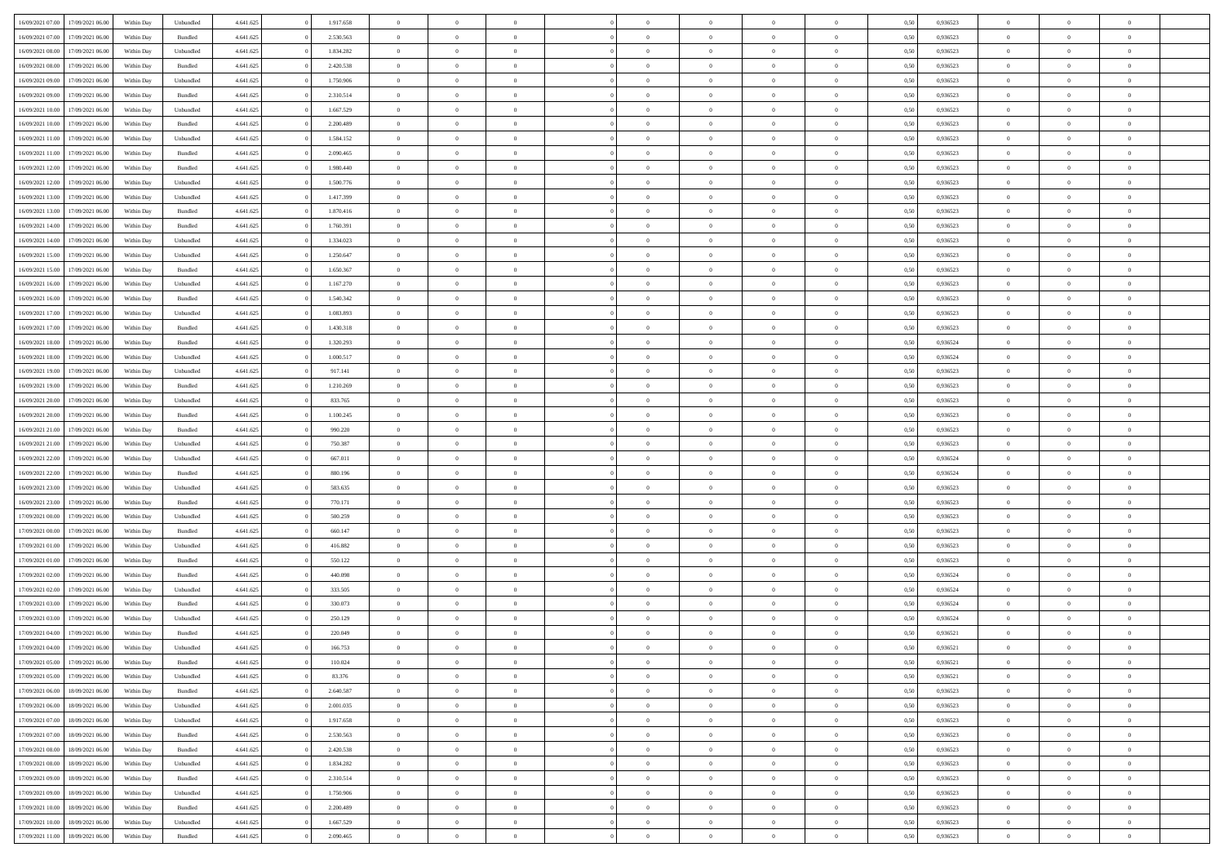| 16/09/2021 07:00                  | 17/09/2021 06:00 | Within Day | Unbundled          | 4.641.625 | 1.917.658 | $\overline{0}$ | $\theta$       |                | $\overline{0}$ | $\bf{0}$       | $\overline{0}$ | $\theta$       | 0,50 | 0,936523 | $\theta$       | $\theta$       | $\theta$       |  |
|-----------------------------------|------------------|------------|--------------------|-----------|-----------|----------------|----------------|----------------|----------------|----------------|----------------|----------------|------|----------|----------------|----------------|----------------|--|
|                                   |                  |            |                    |           |           | $\overline{0}$ |                | $\overline{0}$ |                |                |                |                |      |          |                |                | $\overline{0}$ |  |
| 16/09/2021 07:00                  | 17/09/2021 06.00 | Within Day | Bundled            | 4.641.625 | 2.530.563 |                | $\overline{0}$ |                | $\overline{0}$ | $\bf{0}$       | $\bf{0}$       | $\bf{0}$       | 0,50 | 0,936523 | $\,$ 0 $\,$    | $\overline{0}$ |                |  |
| 16/09/2021 08:00                  | 17/09/2021 06:00 | Within Day | Unbundled          | 4.641.625 | 1.834.282 | $\overline{0}$ | $\overline{0}$ | $\overline{0}$ | $\overline{0}$ | $\bf{0}$       | $\overline{0}$ | $\mathbf{0}$   | 0.50 | 0.936523 | $\overline{0}$ | $\,$ 0 $\,$    | $\bf{0}$       |  |
| 16/09/2021 08:00                  | 17/09/2021 06:00 | Within Day | Bundled            | 4.641.625 | 2.420.538 | $\overline{0}$ | $\overline{0}$ | $\overline{0}$ | $\overline{0}$ | $\,0\,$        | $\overline{0}$ | $\overline{0}$ | 0,50 | 0,936523 | $\,$ 0 $\,$    | $\overline{0}$ | $\overline{0}$ |  |
| 16/09/2021 09:00                  | 17/09/2021 06.00 | Within Day | Unbundled          | 4.641.625 | 1.750.906 | $\overline{0}$ | $\overline{0}$ | $\overline{0}$ | $\overline{0}$ | $\,$ 0         | $\overline{0}$ | $\bf{0}$       | 0,50 | 0,936523 | $\,$ 0 $\,$    | $\overline{0}$ | $\overline{0}$ |  |
| 16/09/2021 09:00                  | 17/09/2021 06:00 | Within Day | Bundled            | 4.641.625 | 2.310.514 | $\overline{0}$ | $\overline{0}$ | $\overline{0}$ | $\overline{0}$ | $\bf{0}$       | $\overline{0}$ | $\bf{0}$       | 0.50 | 0.936523 | $\,0\,$        | $\overline{0}$ | $\overline{0}$ |  |
| 16/09/2021 10:00                  | 17/09/2021 06:00 | Within Day | Unbundled          | 4.641.625 | 1.667.529 | $\overline{0}$ | $\overline{0}$ | $\overline{0}$ | $\overline{0}$ | $\bf{0}$       | $\overline{0}$ | $\bf{0}$       | 0,50 | 0,936523 | $\,$ 0 $\,$    | $\overline{0}$ | $\overline{0}$ |  |
| 16/09/2021 10:00                  | 17/09/2021 06.00 | Within Day | Bundled            | 4.641.625 | 2.200.489 | $\overline{0}$ | $\overline{0}$ | $\overline{0}$ | $\overline{0}$ | $\,$ 0         | $\bf{0}$       | $\bf{0}$       | 0,50 | 0,936523 | $\,$ 0 $\,$    | $\overline{0}$ | $\overline{0}$ |  |
| 16/09/2021 11:00                  | 17/09/2021 06:00 | Within Day | Unbundled          | 4.641.625 | 1.584.152 | $\overline{0}$ | $\overline{0}$ | $\overline{0}$ | $\overline{0}$ | $\bf{0}$       | $\overline{0}$ | $\bf{0}$       | 0.50 | 0.936523 | $\bf{0}$       | $\overline{0}$ | $\bf{0}$       |  |
| 16/09/2021 11:00                  | 17/09/2021 06:00 | Within Day | Bundled            | 4.641.625 | 2.090.465 | $\overline{0}$ | $\overline{0}$ | $\overline{0}$ | $\overline{0}$ | $\bf{0}$       | $\overline{0}$ | $\bf{0}$       | 0,50 | 0,936523 | $\,$ 0 $\,$    | $\overline{0}$ | $\overline{0}$ |  |
|                                   |                  |            |                    |           |           |                |                |                |                |                |                |                |      |          |                |                |                |  |
| 16/09/2021 12:00                  | 17/09/2021 06.00 | Within Day | Bundled            | 4.641.625 | 1.980.440 | $\bf{0}$       | $\overline{0}$ | $\overline{0}$ | $\overline{0}$ | $\bf{0}$       | $\bf{0}$       | $\bf{0}$       | 0,50 | 0,936523 | $\,$ 0 $\,$    | $\overline{0}$ | $\overline{0}$ |  |
| 16/09/2021 12:00                  | 17/09/2021 06:00 | Within Day | Unbundled          | 4.641.625 | 1.500.776 | $\overline{0}$ | $\overline{0}$ | $\overline{0}$ | $\overline{0}$ | $\bf{0}$       | $\overline{0}$ | $\mathbf{0}$   | 0.50 | 0.936523 | $\overline{0}$ | $\,$ 0 $\,$    | $\bf{0}$       |  |
| 16/09/2021 13:00                  | 17/09/2021 06:00 | Within Day | Unbundled          | 4.641.625 | 1.417.399 | $\overline{0}$ | $\overline{0}$ | $\overline{0}$ | $\overline{0}$ | $\bf{0}$       | $\overline{0}$ | $\overline{0}$ | 0,50 | 0,936523 | $\,$ 0 $\,$    | $\overline{0}$ | $\overline{0}$ |  |
| 16/09/2021 13:00                  | 17/09/2021 06.00 | Within Day | Bundled            | 4.641.625 | 1.870.416 | $\overline{0}$ | $\theta$       | $\overline{0}$ | $\overline{0}$ | $\,$ 0         | $\bf{0}$       | $\bf{0}$       | 0,50 | 0,936523 | $\,$ 0 $\,$    | $\overline{0}$ | $\overline{0}$ |  |
| 16/09/2021 14:00                  | 17/09/2021 06:00 | Within Day | Bundled            | 4.641.625 | 1.760.391 | $\overline{0}$ | $\overline{0}$ | $\overline{0}$ | $\overline{0}$ | $\bf{0}$       | $\overline{0}$ | $\bf{0}$       | 0.50 | 0.936523 | $\,0\,$        | $\overline{0}$ | $\overline{0}$ |  |
| 16/09/2021 14:00                  | 17/09/2021 06:00 | Within Day | Unbundled          | 4.641.625 | 1.334.023 | $\overline{0}$ | $\overline{0}$ | $\overline{0}$ | $\overline{0}$ | $\bf{0}$       | $\overline{0}$ | $\bf{0}$       | 0,50 | 0,936523 | $\,$ 0 $\,$    | $\theta$       | $\overline{0}$ |  |
| 16/09/2021 15:00                  | 17/09/2021 06.00 | Within Day | Unbundled          | 4.641.625 | 1.250.647 | $\overline{0}$ | $\overline{0}$ | $\overline{0}$ | $\overline{0}$ | $\,$ 0         | $\bf{0}$       | $\bf{0}$       | 0,50 | 0,936523 | $\,$ 0 $\,$    | $\overline{0}$ | $\overline{0}$ |  |
| 16/09/2021 15:00                  | 17/09/2021 06:00 | Within Day | Bundled            | 4.641.625 | 1.650.367 | $\overline{0}$ | $\overline{0}$ | $\overline{0}$ | $\overline{0}$ | $\bf{0}$       | $\overline{0}$ | $\mathbf{0}$   | 0.50 | 0.936523 | $\bf{0}$       | $\overline{0}$ | $\bf{0}$       |  |
| 16/09/2021 16:00                  | 17/09/2021 06:00 | Within Day | Unbundled          | 4.641.625 | 1.167.270 | $\overline{0}$ | $\overline{0}$ | $\overline{0}$ | $\overline{0}$ | $\bf{0}$       | $\overline{0}$ | $\bf{0}$       | 0,50 | 0,936523 | $\,$ 0 $\,$    | $\overline{0}$ | $\overline{0}$ |  |
| 16/09/2021 16:00                  | 17/09/2021 06.00 | Within Day | Bundled            | 4.641.625 | 1.540.342 | $\overline{0}$ | $\overline{0}$ | $\overline{0}$ | $\overline{0}$ | $\bf{0}$       | $\bf{0}$       | $\bf{0}$       | 0,50 | 0,936523 | $\,$ 0 $\,$    | $\overline{0}$ | $\overline{0}$ |  |
|                                   |                  |            |                    |           |           |                |                |                |                |                |                |                |      |          |                |                |                |  |
| 16/09/2021 17:00                  | 17/09/2021 06:00 | Within Day | Unbundled          | 4.641.625 | 1.083.893 | $\overline{0}$ | $\overline{0}$ | $\overline{0}$ | $\overline{0}$ | $\bf{0}$       | $\overline{0}$ | $\mathbf{0}$   | 0.50 | 0.936523 | $\,$ 0 $\,$    | $\,$ 0 $\,$    | $\overline{0}$ |  |
| 16/09/2021 17:00                  | 17/09/2021 06:00 | Within Day | Bundled            | 4.641.625 | 1.430.318 | $\overline{0}$ | $\overline{0}$ | $\overline{0}$ | $\overline{0}$ | $\bf{0}$       | $\overline{0}$ | $\overline{0}$ | 0,50 | 0,936523 | $\,$ 0 $\,$    | $\overline{0}$ | $\overline{0}$ |  |
| 16/09/2021 18:00                  | 17/09/2021 06.00 | Within Day | Bundled            | 4.641.625 | 1.320.293 | $\overline{0}$ | $\overline{0}$ | $\overline{0}$ | $\overline{0}$ | $\bf{0}$       | $\overline{0}$ | $\bf{0}$       | 0,50 | 0,936524 | $\,$ 0 $\,$    | $\overline{0}$ | $\overline{0}$ |  |
| 16/09/2021 18:00                  | 17/09/2021 06:00 | Within Day | Unbundled          | 4.641.625 | 1.000.517 | $\overline{0}$ | $\overline{0}$ | $\overline{0}$ | $\overline{0}$ | $\bf{0}$       | $\overline{0}$ | $\bf{0}$       | 0.50 | 0.936524 | $\,0\,$        | $\overline{0}$ | $\overline{0}$ |  |
| 16/09/2021 19:00                  | 17/09/2021 06:00 | Within Day | Unbundled          | 4.641.625 | 917.141   | $\overline{0}$ | $\overline{0}$ | $\overline{0}$ | $\overline{0}$ | $\bf{0}$       | $\overline{0}$ | $\bf{0}$       | 0,50 | 0,936523 | $\,$ 0 $\,$    | $\theta$       | $\overline{0}$ |  |
| 16/09/2021 19:00                  | 17/09/2021 06.00 | Within Day | Bundled            | 4.641.625 | 1.210.269 | $\overline{0}$ | $\overline{0}$ | $\overline{0}$ | $\overline{0}$ | $\,$ 0         | $\bf{0}$       | $\bf{0}$       | 0,50 | 0,936523 | $\,$ 0 $\,$    | $\overline{0}$ | $\overline{0}$ |  |
| 16/09/2021 20:00                  | 17/09/2021 06:00 | Within Day | Unbundled          | 4.641.625 | 833,765   | $\overline{0}$ | $\overline{0}$ | $\overline{0}$ | $\overline{0}$ | $\bf{0}$       | $\overline{0}$ | $\mathbf{0}$   | 0.50 | 0.936523 | $\bf{0}$       | $\overline{0}$ | $\bf{0}$       |  |
| 16/09/2021 20:00                  | 17/09/2021 06:00 | Within Day | Bundled            | 4.641.625 | 1.100.245 | $\overline{0}$ | $\overline{0}$ | $\overline{0}$ | $\overline{0}$ | $\bf{0}$       | $\overline{0}$ | $\bf{0}$       | 0,50 | 0,936523 | $\,$ 0 $\,$    | $\overline{0}$ | $\overline{0}$ |  |
| 16/09/2021 21:00                  | 17/09/2021 06.00 | Within Day | Bundled            | 4.641.625 | 990.220   | $\bf{0}$       | $\overline{0}$ | $\overline{0}$ | $\overline{0}$ | $\bf{0}$       | $\bf{0}$       | $\bf{0}$       | 0,50 | 0,936523 | $\,$ 0 $\,$    | $\overline{0}$ | $\overline{0}$ |  |
| 16/09/2021 21:00                  | 17/09/2021 06:00 | Within Day | Unbundled          | 4.641.625 | 750.387   | $\overline{0}$ | $\overline{0}$ | $\overline{0}$ | $\overline{0}$ | $\bf{0}$       | $\overline{0}$ | $\mathbf{0}$   | 0.50 | 0.936523 | $\overline{0}$ | $\,$ 0 $\,$    | $\bf{0}$       |  |
| 16/09/2021 22:00                  | 17/09/2021 06:00 | Within Dav | Unbundled          | 4.641.625 | 667.011   | $\overline{0}$ | $\overline{0}$ | $\overline{0}$ | $\overline{0}$ | $\overline{0}$ | $\overline{0}$ | $\mathbf{0}$   | 0.50 | 0,936524 | $\theta$       | $\overline{0}$ | $\overline{0}$ |  |
|                                   |                  |            |                    |           |           | $\overline{0}$ | $\overline{0}$ | $\overline{0}$ | $\overline{0}$ | $\bf{0}$       |                |                |      |          | $\,$ 0 $\,$    | $\overline{0}$ | $\overline{0}$ |  |
| 16/09/2021 22:00                  | 17/09/2021 06.00 | Within Day | Bundled            | 4.641.625 | 880.196   |                |                |                |                |                | $\bf{0}$       | $\bf{0}$       | 0,50 | 0,936524 |                |                |                |  |
| 16/09/2021 23:00                  | 17/09/2021 06:00 | Within Day | Unbundled          | 4.641.625 | 583.635   | $\overline{0}$ | $\overline{0}$ | $\overline{0}$ | $\overline{0}$ | $\bf{0}$       | $\overline{0}$ | $\bf{0}$       | 0.50 | 0.936523 | $\,0\,$        | $\overline{0}$ | $\overline{0}$ |  |
| 16/09/2021 23:00                  | 17/09/2021 06:00 | Within Dav | Bundled            | 4.641.625 | 770.171   | $\overline{0}$ | $\overline{0}$ | $\Omega$       | $\overline{0}$ | $\mathbf{0}$   | $\overline{0}$ | $\overline{0}$ | 0,50 | 0.936523 | $\theta$       | $\overline{0}$ | $\overline{0}$ |  |
| 17/09/2021 00:00                  | 17/09/2021 06.00 | Within Day | Unbundled          | 4.641.625 | 500.259   | $\bf{0}$       | $\overline{0}$ | $\overline{0}$ | $\overline{0}$ | $\,$ 0         | $\bf{0}$       | $\bf{0}$       | 0,50 | 0,936523 | $\,$ 0 $\,$    | $\overline{0}$ | $\overline{0}$ |  |
| 17/09/2021 00:00                  | 17/09/2021 06:00 | Within Day | Bundled            | 4.641.625 | 660.147   | $\overline{0}$ | $\overline{0}$ | $\overline{0}$ | $\overline{0}$ | $\bf{0}$       | $\overline{0}$ | $\mathbf{0}$   | 0.50 | 0.936523 | $\bf{0}$       | $\overline{0}$ | $\bf{0}$       |  |
| 17/09/2021 01:00                  | 17/09/2021 06:00 | Within Dav | Unbundled          | 4.641.625 | 416.882   | $\overline{0}$ | $\overline{0}$ | $\overline{0}$ | $\overline{0}$ | $\overline{0}$ | $\overline{0}$ | $\overline{0}$ | 0,50 | 0.936523 | $\theta$       | $\overline{0}$ | $\overline{0}$ |  |
| 17/09/2021 01:00                  | 17/09/2021 06.00 | Within Day | Bundled            | 4.641.625 | 550.122   | $\overline{0}$ | $\overline{0}$ | $\overline{0}$ | $\bf{0}$       | $\bf{0}$       | $\bf{0}$       | $\bf{0}$       | 0,50 | 0,936523 | $\,$ 0 $\,$    | $\overline{0}$ | $\overline{0}$ |  |
| 17/09/2021 02:00                  | 17/09/2021 06:00 | Within Day | Bundled            | 4.641.625 | 440.098   | $\overline{0}$ | $\overline{0}$ | $\overline{0}$ | $\overline{0}$ | $\bf{0}$       | $\overline{0}$ | $\mathbf{0}$   | 0.50 | 0.936524 | $\overline{0}$ | $\,$ 0 $\,$    | $\bf{0}$       |  |
| 17/09/2021 02:00                  | 17/09/2021 06:00 | Within Dav | Unbundled          | 4.641.625 | 333.505   | $\overline{0}$ | $\overline{0}$ | $\Omega$       | $\overline{0}$ | $\overline{0}$ | $\overline{0}$ | $\overline{0}$ | 0.50 | 0,936524 | $\theta$       | $\overline{0}$ | $\overline{0}$ |  |
| 17/09/2021 03:00                  | 17/09/2021 06.00 | Within Day | Bundled            | 4.641.625 | 330.073   | $\overline{0}$ | $\overline{0}$ | $\overline{0}$ | $\overline{0}$ | $\bf{0}$       | $\overline{0}$ | $\bf{0}$       | 0,50 | 0,936524 | $\,$ 0 $\,$    | $\overline{0}$ | $\overline{0}$ |  |
| 17/09/2021 03:00                  | 17/09/2021 06:00 | Within Day | Unbundled          | 4.641.625 | 250.129   | $\overline{0}$ | $\overline{0}$ | $\overline{0}$ | $\overline{0}$ | $\bf{0}$       | $\Omega$       | $\overline{0}$ | 0.50 | 0.936524 | $\,0\,$        | $\theta$       | $\overline{0}$ |  |
| 17/09/2021 04:00                  | 17/09/2021 06:00 | Within Dav | Bundled            | 4.641.625 | 220.049   | $\overline{0}$ | $\theta$       | $\Omega$       | $\overline{0}$ | $\bf{0}$       | $\overline{0}$ | $\overline{0}$ | 0.50 | 0,936521 | $\theta$       | $\overline{0}$ | $\overline{0}$ |  |
| 17/09/2021 04:00                  | 17/09/2021 06:00 | Within Day | Unbundled          | 4.641.625 | 166.753   | $\overline{0}$ | $\overline{0}$ | $\overline{0}$ | $\bf{0}$       | $\,$ 0         | $\bf{0}$       | $\bf{0}$       | 0,50 | 0,936521 | $\,$ 0 $\,$    | $\overline{0}$ | $\overline{0}$ |  |
|                                   |                  |            |                    |           | 110.024   |                |                |                |                |                |                |                |      |          |                |                |                |  |
| 17/09/2021 05:00 17/09/2021 06:00 |                  | Within Day | $\mathbf B$ undled | 4.641.625 |           | $\bf{0}$       | $\theta$       |                | $^{\circ}$     | $\Omega$       |                |                | 0,50 | 0.936521 | $\bf{0}$       | $\theta$       |                |  |
| 17/09/2021 05:00                  | 17/09/2021 06:00 | Within Day | Unbundled          | 4.641.625 | 83.376    | $\overline{0}$ | $\overline{0}$ | $\overline{0}$ | $\overline{0}$ | $\overline{0}$ | $\overline{0}$ | $\mathbf{0}$   | 0,50 | 0,936521 | $\theta$       | $\overline{0}$ | $\overline{0}$ |  |
| 17/09/2021 06:00                  | 18/09/2021 06:00 | Within Day | Bundled            | 4.641.625 | 2.640.587 | $\overline{0}$ | $\overline{0}$ | $\overline{0}$ | $\bf{0}$       | $\overline{0}$ | $\overline{0}$ | $\mathbf{0}$   | 0,50 | 0,936523 | $\bf{0}$       | $\overline{0}$ | $\bf{0}$       |  |
| 17/09/2021 06:00                  | 18/09/2021 06:00 | Within Day | Unbundled          | 4.641.625 | 2.001.035 | $\overline{0}$ | $\overline{0}$ | $\overline{0}$ | $\overline{0}$ | $\overline{0}$ | $\overline{0}$ | $\mathbf{0}$   | 0.50 | 0.936523 | $\overline{0}$ | $\bf{0}$       | $\bf{0}$       |  |
| 17/09/2021 07:00                  | 18/09/2021 06:00 | Within Day | Unbundled          | 4.641.625 | 1.917.658 | $\overline{0}$ | $\overline{0}$ | $\overline{0}$ | $\overline{0}$ | $\overline{0}$ | $\overline{0}$ | $\mathbf{0}$   | 0,50 | 0.936523 | $\overline{0}$ | $\theta$       | $\overline{0}$ |  |
| 17/09/2021 07:00                  | 18/09/2021 06:00 | Within Day | Bundled            | 4.641.625 | 2.530.563 | $\overline{0}$ | $\overline{0}$ | $\overline{0}$ | $\overline{0}$ | $\bf{0}$       | $\bf{0}$       | $\bf{0}$       | 0,50 | 0,936523 | $\bf{0}$       | $\overline{0}$ | $\overline{0}$ |  |
| 17/09/2021 08:00                  | 18/09/2021 06:00 | Within Day | Bundled            | 4.641.625 | 2.420.538 | $\overline{0}$ | $\overline{0}$ | $\overline{0}$ | $\overline{0}$ | $\bf{0}$       | $\overline{0}$ | $\mathbf{0}$   | 0.50 | 0.936523 | $\,$ 0 $\,$    | $\theta$       | $\overline{0}$ |  |
| 17/09/2021 08:00                  | 18/09/2021 06:00 | Within Day | Unbundled          | 4.641.625 | 1.834.282 | $\overline{0}$ | $\overline{0}$ | $\overline{0}$ | $\overline{0}$ | $\overline{0}$ | $\overline{0}$ | $\overline{0}$ | 0,50 | 0.936523 | $\overline{0}$ | $\theta$       | $\overline{0}$ |  |
| 17/09/2021 09:00                  | 18/09/2021 06:00 | Within Day | Bundled            | 4.641.625 | 2.310.514 | $\overline{0}$ | $\,$ 0         | $\overline{0}$ | $\bf{0}$       | $\,$ 0 $\,$    | $\bf{0}$       | $\bf{0}$       | 0,50 | 0,936523 | $\,$ 0 $\,$    | $\overline{0}$ | $\overline{0}$ |  |
| 17/09/2021 09:00                  | 18/09/2021 06:00 | Within Day | Unbundled          | 4.641.625 | 1.750.906 | $\overline{0}$ | $\overline{0}$ | $\overline{0}$ | $\overline{0}$ | $\bf{0}$       | $\overline{0}$ | $\mathbf{0}$   | 0.50 | 0.936523 | $\mathbf{0}$   | $\,$ 0 $\,$    | $\overline{0}$ |  |
| 17/09/2021 10:00                  | 18/09/2021 06:00 | Within Day | Bundled            | 4.641.625 | 2.200.489 | $\overline{0}$ | $\overline{0}$ | $\overline{0}$ | $\overline{0}$ | $\overline{0}$ | $\overline{0}$ | $\overline{0}$ | 0,50 | 0.936523 | $\overline{0}$ | $\theta$       | $\overline{0}$ |  |
| 17/09/2021 10:00                  | 18/09/2021 06:00 | Within Day | Unbundled          | 4.641.625 | 1.667.529 | $\overline{0}$ | $\overline{0}$ | $\overline{0}$ | $\bf{0}$       | $\bf{0}$       | $\bf{0}$       | $\bf{0}$       | 0,50 | 0,936523 | $\bf{0}$       | $\overline{0}$ | $\bf{0}$       |  |
|                                   |                  |            |                    |           |           |                |                |                |                |                |                |                |      |          |                |                |                |  |
| 17/09/2021 11:00 18/09/2021 06:00 |                  | Within Day | Bundled            | 4.641.625 | 2.090.465 | $\,$ 0 $\,$    | $\,$ 0 $\,$    | $\overline{0}$ | $\overline{0}$ | $\,$ 0 $\,$    | $\overline{0}$ | $\,$ 0 $\,$    | 0,50 | 0,936523 | $\overline{0}$ | $\,$ 0 $\,$    | $\,$ 0 $\,$    |  |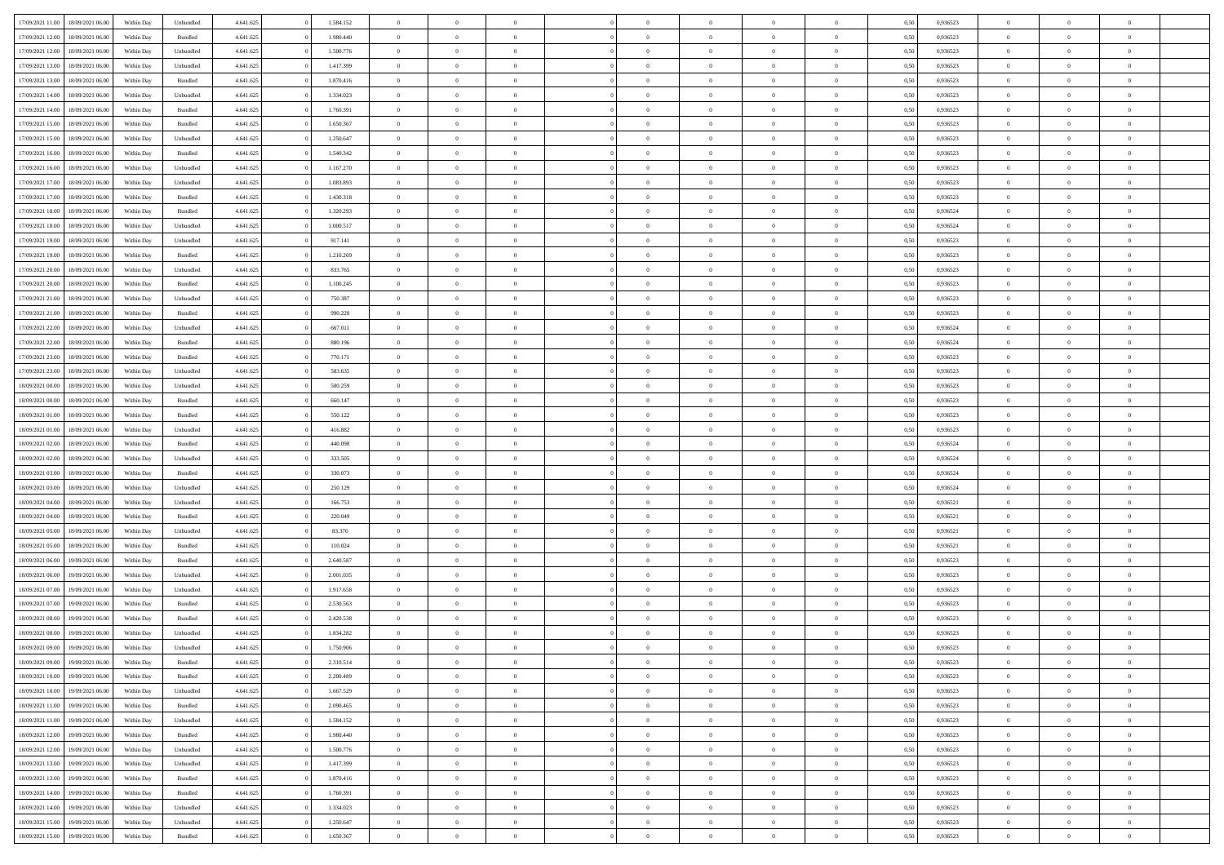| 17/09/2021 11:00 | 18/09/2021 06:00 | Within Day | Unbundled          | 4.641.625 | 1.584.152 | $\overline{0}$ | $\theta$       |                | $\Omega$       | $\Omega$       | $\overline{0}$ | $\theta$       | 0.50 | 0,936523 | $\theta$       | $\overline{0}$ | $\overline{0}$ |  |
|------------------|------------------|------------|--------------------|-----------|-----------|----------------|----------------|----------------|----------------|----------------|----------------|----------------|------|----------|----------------|----------------|----------------|--|
| 17/09/2021 12:00 | 18/09/2021 06:00 | Within Day | Bundled            | 4.641.625 | 1.980.440 | $\overline{0}$ | $\theta$       | $\overline{0}$ | $\overline{0}$ | $\bf{0}$       | $\overline{0}$ | $\bf{0}$       | 0,50 | 0,936523 | $\theta$       | $\overline{0}$ | $\overline{0}$ |  |
| 17/09/2021 12:00 | 18/09/2021 06:00 | Within Day | Unbundled          | 4.641.625 | 1.500.776 | $\overline{0}$ | $\bf{0}$       | $\overline{0}$ | $\bf{0}$       | $\bf{0}$       | $\bf{0}$       | $\mathbf{0}$   | 0,50 | 0,936523 | $\overline{0}$ | $\overline{0}$ | $\bf{0}$       |  |
|                  |                  |            |                    |           |           |                |                |                |                |                |                |                |      |          | $\theta$       |                |                |  |
| 17/09/2021 13:00 | 18/09/2021 06:00 | Within Dav | Unbundled          | 4.641.625 | 1.417.399 | $\overline{0}$ | $\overline{0}$ | $\overline{0}$ | $\overline{0}$ | $\bf{0}$       | $\overline{0}$ | $\overline{0}$ | 0.50 | 0.936523 |                | $\theta$       | $\overline{0}$ |  |
| 17/09/2021 13:00 | 18/09/2021 06:00 | Within Day | Bundled            | 4.641.625 | 1.870.416 | $\overline{0}$ | $\theta$       | $\overline{0}$ | $\overline{0}$ | $\bf{0}$       | $\overline{0}$ | $\bf{0}$       | 0,50 | 0,936523 | $\theta$       | $\overline{0}$ | $\overline{0}$ |  |
| 17/09/2021 14:00 | 18/09/2021 06:00 | Within Day | Unbundled          | 4.641.625 | 1.334.023 | $\overline{0}$ | $\overline{0}$ | $\overline{0}$ | $\bf{0}$       | $\overline{0}$ | $\overline{0}$ | $\mathbf{0}$   | 0,50 | 0,936523 | $\overline{0}$ | $\overline{0}$ | $\bf{0}$       |  |
| 17/09/2021 14:00 | 18/09/2021 06:00 | Within Dav | Bundled            | 4.641.625 | 1.760.391 | $\overline{0}$ | $\overline{0}$ | $\overline{0}$ | $\overline{0}$ | $\overline{0}$ | $\overline{0}$ | $\overline{0}$ | 0.50 | 0.936523 | $\theta$       | $\overline{0}$ | $\overline{0}$ |  |
|                  |                  |            |                    |           |           |                |                |                |                |                |                |                |      |          |                |                |                |  |
| 17/09/2021 15:00 | 18/09/2021 06:00 | Within Day | Bundled            | 4.641.625 | 1.650.367 | $\overline{0}$ | $\theta$       | $\overline{0}$ | $\overline{0}$ | $\bf{0}$       | $\overline{0}$ | $\bf{0}$       | 0,50 | 0,936523 | $\theta$       | $\theta$       | $\overline{0}$ |  |
| 17/09/2021 15:00 | 18/09/2021 06:00 | Within Day | Unbundled          | 4.641.625 | 1.250.647 | $\overline{0}$ | $\overline{0}$ | $\overline{0}$ | $\bf{0}$       | $\bf{0}$       | $\bf{0}$       | $\bf{0}$       | 0,50 | 0,936523 | $\,0\,$        | $\overline{0}$ | $\overline{0}$ |  |
| 17/09/2021 16:00 | 18/09/2021 06:00 | Within Dav | Bundled            | 4.641.625 | 1.540.342 | $\overline{0}$ | $\overline{0}$ | $\overline{0}$ | $\overline{0}$ | $\overline{0}$ | $\overline{0}$ | $\overline{0}$ | 0.50 | 0.936523 | $\theta$       | $\overline{0}$ | $\overline{0}$ |  |
| 17/09/2021 16:00 | 18/09/2021 06:00 |            |                    | 4.641.625 | 1.167.270 | $\overline{0}$ | $\theta$       | $\overline{0}$ | $\overline{0}$ | $\bf{0}$       | $\overline{0}$ |                |      | 0,936523 | $\,$ 0 $\,$    | $\overline{0}$ | $\overline{0}$ |  |
|                  |                  | Within Day | Unbundled          |           |           |                |                |                |                |                |                | $\bf{0}$       | 0,50 |          |                |                |                |  |
| 17/09/2021 17:00 | 18/09/2021 06:00 | Within Day | Unbundled          | 4.641.625 | 1.083.893 | $\overline{0}$ | $\bf{0}$       | $\overline{0}$ | $\bf{0}$       | $\bf{0}$       | $\bf{0}$       | $\mathbf{0}$   | 0,50 | 0,936523 | $\overline{0}$ | $\overline{0}$ | $\bf{0}$       |  |
| 17/09/2021 17:00 | 18/09/2021 06:00 | Within Dav | Bundled            | 4.641.625 | 1.430.318 | $\overline{0}$ | $\overline{0}$ | $\overline{0}$ | $\overline{0}$ | $\bf{0}$       | $\overline{0}$ | $\overline{0}$ | 0.50 | 0.936523 | $\theta$       | $\theta$       | $\overline{0}$ |  |
| 17/09/2021 18:00 | 18/09/2021 06:00 | Within Day | Bundled            | 4.641.625 | 1.320.293 | $\overline{0}$ | $\theta$       | $\overline{0}$ | $\overline{0}$ | $\bf{0}$       | $\overline{0}$ | $\bf{0}$       | 0,50 | 0,936524 | $\theta$       | $\overline{0}$ | $\overline{0}$ |  |
|                  |                  |            |                    |           |           |                |                |                |                |                |                |                |      |          |                |                |                |  |
| 17/09/2021 18:00 | 18/09/2021 06:00 | Within Day | Unbundled          | 4.641.625 | 1.000.517 | $\overline{0}$ | $\overline{0}$ | $\overline{0}$ | $\bf{0}$       | $\overline{0}$ | $\overline{0}$ | $\mathbf{0}$   | 0,50 | 0,936524 | $\overline{0}$ | $\overline{0}$ | $\bf{0}$       |  |
| 17/09/2021 19:00 | 18/09/2021 06:00 | Within Dav | Unbundled          | 4.641.625 | 917.141   | $\overline{0}$ | $\overline{0}$ | $\overline{0}$ | $\overline{0}$ | $\overline{0}$ | $\overline{0}$ | $\overline{0}$ | 0.50 | 0.936523 | $\theta$       | $\overline{0}$ | $\overline{0}$ |  |
| 17/09/2021 19:00 | 18/09/2021 06:00 | Within Day | Bundled            | 4.641.625 | 1.210.269 | $\overline{0}$ | $\theta$       | $\overline{0}$ | $\overline{0}$ | $\bf{0}$       | $\overline{0}$ | $\bf{0}$       | 0,50 | 0,936523 | $\theta$       | $\theta$       | $\overline{0}$ |  |
| 17/09/2021 20.00 | 18/09/2021 06:00 | Within Day | Unbundled          | 4.641.625 | 833.765   | $\overline{0}$ | $\overline{0}$ | $\overline{0}$ | $\bf{0}$       | $\bf{0}$       | $\bf{0}$       | $\mathbf{0}$   | 0,50 | 0,936523 | $\,0\,$        | $\overline{0}$ | $\bf{0}$       |  |
| 17/09/2021 20:00 | 18/09/2021 06:00 |            | Bundled            | 4.641.625 | 1.100.245 | $\overline{0}$ | $\overline{0}$ | $\overline{0}$ | $\overline{0}$ | $\overline{0}$ | $\overline{0}$ | $\overline{0}$ | 0.50 | 0.936523 | $\theta$       | $\overline{0}$ | $\overline{0}$ |  |
|                  |                  | Within Day |                    |           |           |                |                |                |                |                |                |                |      |          |                |                |                |  |
| 17/09/2021 21:00 | 18/09/2021 06:00 | Within Day | Unbundled          | 4.641.625 | 750.387   | $\overline{0}$ | $\theta$       | $\overline{0}$ | $\overline{0}$ | $\bf{0}$       | $\overline{0}$ | $\bf{0}$       | 0,50 | 0,936523 | $\,$ 0 $\,$    | $\overline{0}$ | $\overline{0}$ |  |
| 17/09/2021 21.00 | 18/09/2021 06:00 | Within Day | Bundled            | 4.641.625 | 990.220   | $\overline{0}$ | $\overline{0}$ | $\overline{0}$ | $\bf{0}$       | $\bf{0}$       | $\bf{0}$       | $\bf{0}$       | 0,50 | 0,936523 | $\bf{0}$       | $\overline{0}$ | $\bf{0}$       |  |
| 17/09/2021 22:00 | 18/09/2021 06:00 | Within Day | Unbundled          | 4.641.625 | 667.011   | $\overline{0}$ | $\overline{0}$ | $\overline{0}$ | $\overline{0}$ | $\overline{0}$ | $\overline{0}$ | $\overline{0}$ | 0.50 | 0.936524 | $\theta$       | $\overline{0}$ | $\overline{0}$ |  |
|                  |                  |            |                    |           |           | $\overline{0}$ | $\theta$       | $\overline{0}$ | $\overline{0}$ | $\bf{0}$       | $\overline{0}$ |                |      |          | $\theta$       | $\overline{0}$ | $\overline{0}$ |  |
| 17/09/2021 22:00 | 18/09/2021 06:00 | Within Day | Bundled            | 4.641.625 | 880.196   |                |                |                |                |                |                | $\bf{0}$       | 0,50 | 0,936524 |                |                |                |  |
| 17/09/2021 23:00 | 18/09/2021 06:00 | Within Day | Bundled            | 4.641.625 | 770.171   | $\overline{0}$ | $\overline{0}$ | $\overline{0}$ | $\bf{0}$       | $\overline{0}$ | $\overline{0}$ | $\mathbf{0}$   | 0,50 | 0,936523 | $\overline{0}$ | $\overline{0}$ | $\bf{0}$       |  |
| 17/09/2021 23:00 | 18/09/2021 06:00 | Within Dav | Unbundled          | 4.641.625 | 583.635   | $\overline{0}$ | $\overline{0}$ | $\overline{0}$ | $\overline{0}$ | $\overline{0}$ | $\overline{0}$ | $\overline{0}$ | 0.50 | 0.936523 | $\theta$       | $\overline{0}$ | $\overline{0}$ |  |
| 18/09/2021 00:00 | 18/09/2021 06:00 | Within Day | Unbundled          | 4.641.625 | 500.259   | $\overline{0}$ | $\theta$       | $\overline{0}$ | $\overline{0}$ | $\bf{0}$       | $\overline{0}$ | $\bf{0}$       | 0,50 | 0,936523 | $\theta$       | $\theta$       | $\overline{0}$ |  |
|                  |                  |            |                    |           |           |                |                |                |                |                |                |                |      |          |                |                |                |  |
| 18/09/2021 00:00 | 18/09/2021 06:00 | Within Day | Bundled            | 4.641.625 | 660.147   | $\overline{0}$ | $\overline{0}$ | $\overline{0}$ | $\bf{0}$       | $\bf{0}$       | $\bf{0}$       | $\bf{0}$       | 0,50 | 0,936523 | $\,0\,$        | $\overline{0}$ | $\overline{0}$ |  |
| 18/09/2021 01:00 | 18/09/2021 06:00 | Within Day | Bundled            | 4.641.625 | 550.122   | $\overline{0}$ | $\overline{0}$ | $\overline{0}$ | $\overline{0}$ | $\overline{0}$ | $\overline{0}$ | $\overline{0}$ | 0.50 | 0.936523 | $\theta$       | $\overline{0}$ | $\overline{0}$ |  |
| 18/09/2021 01:00 | 18/09/2021 06:00 | Within Day | Unbundled          | 4.641.625 | 416.882   | $\overline{0}$ | $\theta$       | $\overline{0}$ | $\overline{0}$ | $\bf{0}$       | $\overline{0}$ | $\bf{0}$       | 0,50 | 0,936523 | $\,$ 0 $\,$    | $\overline{0}$ | $\overline{0}$ |  |
| 18/09/2021 02:00 | 18/09/2021 06:00 | Within Day | Bundled            | 4.641.625 | 440.098   | $\overline{0}$ | $\overline{0}$ | $\overline{0}$ | $\bf{0}$       | $\bf{0}$       | $\bf{0}$       | $\bf{0}$       | 0,50 | 0,936524 | $\overline{0}$ | $\overline{0}$ | $\bf{0}$       |  |
|                  |                  |            |                    |           |           | $\overline{0}$ | $\Omega$       | $\Omega$       | $\Omega$       | $\Omega$       |                |                |      | 0,936524 |                | $\theta$       | $\theta$       |  |
| 18/09/2021 02:00 | 18/09/2021 06:00 | Within Day | Unbundled          | 4.641.625 | 333.505   |                |                |                |                |                | $\overline{0}$ | $\overline{0}$ | 0,50 |          | $\,0\,$        |                |                |  |
| 18/09/2021 03:00 | 18/09/2021 06:00 | Within Day | Bundled            | 4.641.625 | 330.073   | $\overline{0}$ | $\theta$       | $\overline{0}$ | $\overline{0}$ | $\bf{0}$       | $\overline{0}$ | $\bf{0}$       | 0,50 | 0,936524 | $\theta$       | $\overline{0}$ | $\overline{0}$ |  |
| 18/09/2021 03:00 | 18/09/2021 06:00 | Within Day | Unbundled          | 4.641.625 | 250.129   | $\overline{0}$ | $\overline{0}$ | $\overline{0}$ | $\bf{0}$       | $\overline{0}$ | $\overline{0}$ | $\mathbf{0}$   | 0,50 | 0,936524 | $\bf{0}$       | $\overline{0}$ | $\bf{0}$       |  |
| 18/09/2021 04:00 | 18/09/2021 06:00 | Within Day | Unbundled          | 4.641.625 | 166.753   | $\overline{0}$ | $\Omega$       | $\Omega$       | $\Omega$       | $\overline{0}$ | $\overline{0}$ | $\overline{0}$ | 0.50 | 0.936521 | $\,0\,$        | $\theta$       | $\theta$       |  |
| 18/09/2021 04:00 | 18/09/2021 06:00 |            |                    | 4.641.625 | 220.049   | $\overline{0}$ | $\theta$       | $\overline{0}$ | $\overline{0}$ | $\bf{0}$       | $\overline{0}$ |                |      | 0,936521 | $\theta$       | $\overline{0}$ | $\overline{0}$ |  |
|                  |                  | Within Day | Bundled            |           |           |                |                |                |                |                |                | $\bf{0}$       | 0,50 |          |                |                |                |  |
| 18/09/2021 05:00 | 18/09/2021 06:00 | Within Day | Unbundled          | 4.641.625 | 83.376    | $\overline{0}$ | $\overline{0}$ | $\overline{0}$ | $\bf{0}$       | $\bf{0}$       | $\bf{0}$       | $\bf{0}$       | 0,50 | 0,936521 | $\bf{0}$       | $\overline{0}$ | $\bf{0}$       |  |
| 18/09/2021 05:00 | 18/09/2021 06:00 | Within Day | Bundled            | 4.641.625 | 110.024   | $\overline{0}$ | $\Omega$       | $\Omega$       | $\Omega$       | $\theta$       | $\overline{0}$ | $\overline{0}$ | 0.50 | 0.936521 | $\,$ 0 $\,$    | $\theta$       | $\theta$       |  |
| 18/09/2021 06:00 | 19/09/2021 06:00 | Within Day | Bundled            | 4.641.625 | 2.640.587 | $\overline{0}$ | $\overline{0}$ | $\overline{0}$ | $\overline{0}$ | $\bf{0}$       | $\overline{0}$ | $\bf{0}$       | 0,50 | 0,936523 | $\,$ 0 $\,$    | $\overline{0}$ | $\overline{0}$ |  |
|                  |                  |            |                    |           |           |                |                |                |                |                |                |                |      |          |                |                |                |  |
| 18/09/2021 06:00 | 19/09/2021 06:00 | Within Day | Unbundled          | 4.641.625 | 2.001.035 | $\overline{0}$ | $\bf{0}$       | $\overline{0}$ | $\bf{0}$       | $\bf{0}$       | $\bf{0}$       | $\mathbf{0}$   | 0,50 | 0,936523 | $\bf{0}$       | $\overline{0}$ | $\bf{0}$       |  |
| 18/09/2021 07:00 | 19/09/2021 06:00 | Within Day | Unbundled          | 4.641.625 | 1.917.658 | $\overline{0}$ | $\Omega$       | $\overline{0}$ | $\Omega$       | $\overline{0}$ | $\overline{0}$ | $\overline{0}$ | 0,50 | 0,936523 | $\,0\,$        | $\theta$       | $\theta$       |  |
| 18/09/2021 07:00 | 19/09/2021 06:00 | Within Day | Bundled            | 4.641.625 | 2.530.563 | $\overline{0}$ | $\overline{0}$ | $\overline{0}$ | $\overline{0}$ | $\,$ 0         | $\overline{0}$ | $\bf{0}$       | 0,50 | 0,936523 | $\,$ 0 $\,$    | $\overline{0}$ | $\overline{0}$ |  |
| 18/09/2021 08:00 | 19/09/2021 06:00 | Within Day | Bundled            | 4.641.625 | 2.420.538 | $\overline{0}$ | $\overline{0}$ | $\overline{0}$ | $\bf{0}$       | $\bf{0}$       | $\overline{0}$ | $\mathbf{0}$   | 0,50 | 0,936523 | $\bf{0}$       | $\overline{0}$ | $\bf{0}$       |  |
| 18/09/2021 08:00 | 19/09/2021 06:00 |            | Unbundled          | 4.641.625 | 1.834.282 | $\overline{0}$ | $\Omega$       | $\Omega$       | $\Omega$       | $\Omega$       | $\Omega$       | $\overline{0}$ | 0.50 | 0.936523 | $\theta$       | $\theta$       | $\theta$       |  |
|                  |                  | Within Day |                    |           |           |                |                |                |                |                |                |                |      |          |                |                |                |  |
| 18/09/2021 09:00 | 19/09/2021 06:00 | Within Day | Unbundled          | 4.641.625 | 1.750.906 | $\overline{0}$ | $\overline{0}$ | $\overline{0}$ | $\bf{0}$       | $\,$ 0         | $\bf{0}$       | $\bf{0}$       | 0,50 | 0,936523 | $\,0\,$        | $\,$ 0 $\,$    | $\overline{0}$ |  |
| 18/09/2021 09:00 | 19/09/2021 06:00 | Within Day | $\mathbf B$ undled | 4.641.625 | 2.310.514 | $\bf{0}$       | $\bf{0}$       |                |                | $\bf{0}$       |                |                | 0,50 | 0,936523 | $\bf{0}$       | $\overline{0}$ |                |  |
| 18/09/2021 10:00 | 19/09/2021 06:00 | Within Day | Bundled            | 4.641.625 | 2.200.489 | $\overline{0}$ | $\overline{0}$ | $\overline{0}$ | $\Omega$       | $\theta$       | $\overline{0}$ | $\overline{0}$ | 0.50 | 0.936523 | $\theta$       | $\theta$       | $\theta$       |  |
| 18/09/2021 10:00 | 19/09/2021 06:00 | Within Day | Unbundled          | 4.641.625 | 1.667.529 | $\overline{0}$ | $\,$ 0         | $\overline{0}$ | $\bf{0}$       | $\,$ 0 $\,$    | $\overline{0}$ | $\mathbf{0}$   | 0,50 | 0,936523 | $\,$ 0 $\,$    | $\,$ 0 $\,$    | $\,$ 0         |  |
|                  |                  |            |                    |           |           |                |                |                |                |                |                |                |      |          |                |                |                |  |
| 18/09/2021 11:00 | 19/09/2021 06:00 | Within Day | Bundled            | 4.641.625 | 2.090.465 | $\overline{0}$ | $\overline{0}$ | $\overline{0}$ | $\overline{0}$ | $\overline{0}$ | $\overline{0}$ | $\mathbf{0}$   | 0,50 | 0,936523 | $\overline{0}$ | $\bf{0}$       | $\bf{0}$       |  |
| 18/09/2021 11:00 | 19/09/2021 06:00 | Within Day | Unbundled          | 4.641.625 | 1.584.152 | $\overline{0}$ | $\overline{0}$ | $\overline{0}$ | $\Omega$       | $\overline{0}$ | $\overline{0}$ | $\bf{0}$       | 0,50 | 0,936523 | $\overline{0}$ | $\theta$       | $\overline{0}$ |  |
| 18/09/2021 12:00 | 19/09/2021 06:00 | Within Day | Bundled            | 4.641.625 | 1.980.440 | $\overline{0}$ | $\,$ 0         | $\overline{0}$ | $\overline{0}$ | $\overline{0}$ | $\overline{0}$ | $\bf{0}$       | 0,50 | 0,936523 | $\,$ 0 $\,$    | $\overline{0}$ | $\overline{0}$ |  |
| 18/09/2021 12:00 | 19/09/2021 06:00 | Within Day | Unbundled          | 4.641.625 | 1.500.776 | $\overline{0}$ | $\overline{0}$ | $\overline{0}$ | $\overline{0}$ | $\overline{0}$ | $\overline{0}$ | $\mathbf{0}$   | 0,50 | 0,936523 | $\overline{0}$ | $\overline{0}$ | $\bf{0}$       |  |
|                  |                  |            |                    |           |           |                |                |                |                |                |                |                |      |          |                |                |                |  |
| 18/09/2021 13:00 | 19/09/2021 06:00 | Within Day | Unbundled          | 4.641.625 | 1.417.399 | $\overline{0}$ | $\overline{0}$ | $\overline{0}$ | $\Omega$       | $\overline{0}$ | $\overline{0}$ | $\bf{0}$       | 0.50 | 0,936523 | $\overline{0}$ | $\theta$       | $\overline{0}$ |  |
| 18/09/2021 13:00 | 19/09/2021 06:00 | Within Day | Bundled            | 4.641.625 | 1.870.416 | $\overline{0}$ | $\,$ 0         | $\overline{0}$ | $\bf{0}$       | $\bf{0}$       | $\bf{0}$       | $\bf{0}$       | 0,50 | 0,936523 | $\,$ 0 $\,$    | $\overline{0}$ | $\overline{0}$ |  |
| 18/09/2021 14:00 | 19/09/2021 06:00 | Within Day | Bundled            | 4.641.625 | 1.760.391 | $\overline{0}$ | $\bf{0}$       | $\overline{0}$ | $\overline{0}$ | $\overline{0}$ | $\overline{0}$ | $\mathbf{0}$   | 0,50 | 0,936523 | $\overline{0}$ | $\overline{0}$ | $\bf{0}$       |  |
| 18/09/2021 14:00 | 19/09/2021 06:00 | Within Day | Unbundled          | 4.641.625 | 1.334.023 | $\overline{0}$ | $\overline{0}$ | $\overline{0}$ | $\Omega$       | $\overline{0}$ | $\overline{0}$ | $\bf{0}$       | 0.50 | 0.936523 | $\overline{0}$ | $\theta$       | $\overline{0}$ |  |
|                  |                  |            |                    |           |           |                |                |                |                |                |                |                |      |          |                |                |                |  |
| 18/09/2021 15:00 | 19/09/2021 06:00 | Within Day | Unbundled          | 4.641.625 | 1.250.647 | $\overline{0}$ | $\bf{0}$       | $\overline{0}$ | $\overline{0}$ | $\bf{0}$       | $\bf{0}$       | $\mathbf{0}$   | 0,50 | 0,936523 | $\,$ 0 $\,$    | $\,$ 0 $\,$    | $\bf{0}$       |  |
| 18/09/2021 15:00 | 19/09/2021 06:00 | Within Day | Bundled            | 4.641.625 | 1.650.367 | $\overline{0}$ | $\overline{0}$ | $\overline{0}$ | $\overline{0}$ | $\bf{0}$       | $\bf{0}$       | $\mathbf{0}$   | 0,50 | 0,936523 | $\overline{0}$ | $\bf{0}$       | $\bf{0}$       |  |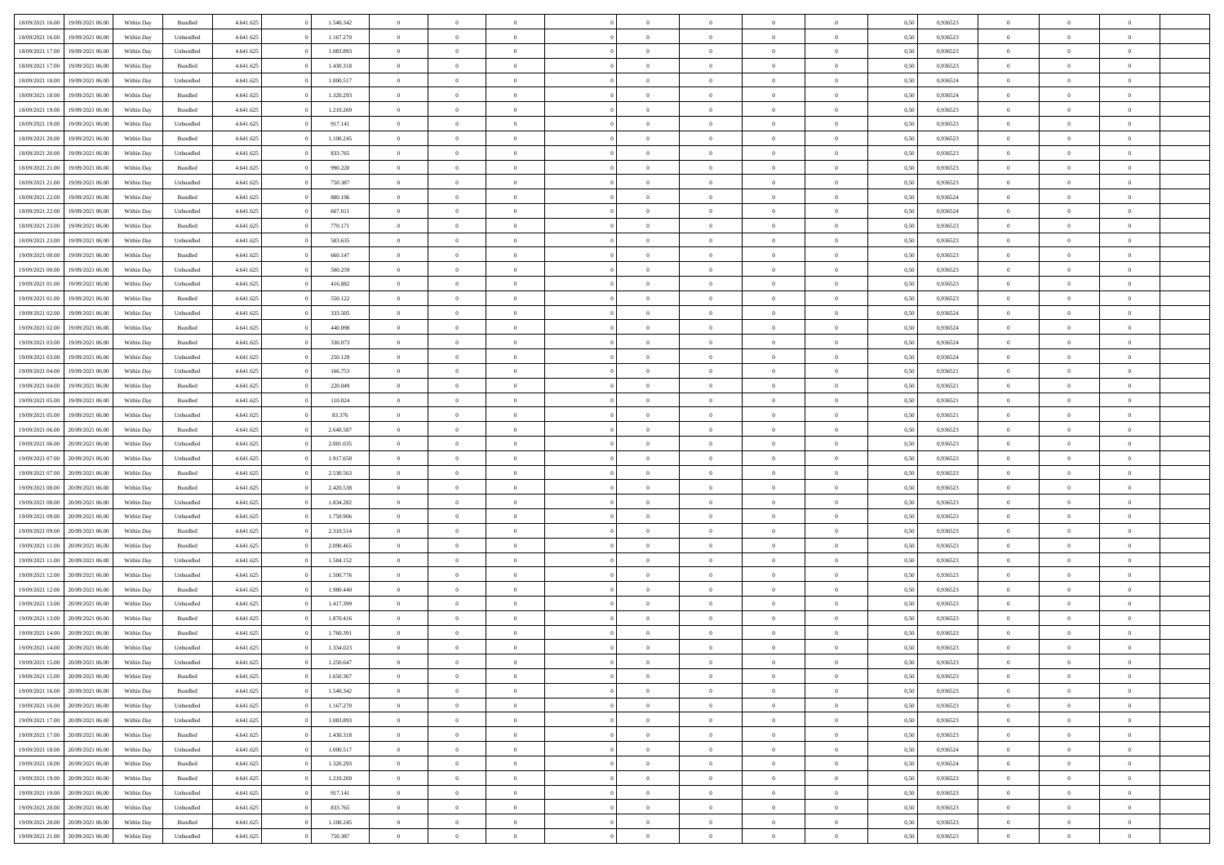| 18/09/2021 16:00                  | 19/09/2021 06:00 | Within Day | Bundled   | 4.641.625 | 1.540.342 | $\overline{0}$ | $\theta$       |                | $\overline{0}$ | $\bf{0}$       | $\overline{0}$ | $\theta$       | 0,50 | 0,936523 | $\theta$       | $\theta$       | $\overline{0}$           |  |
|-----------------------------------|------------------|------------|-----------|-----------|-----------|----------------|----------------|----------------|----------------|----------------|----------------|----------------|------|----------|----------------|----------------|--------------------------|--|
|                                   |                  |            |           |           |           | $\overline{0}$ | $\overline{0}$ |                |                |                |                |                |      |          |                |                | $\overline{0}$           |  |
| 18/09/2021 16:00                  | 19/09/2021 06.00 | Within Day | Unbundled | 4.641.625 | 1.167.270 |                |                | $\overline{0}$ | $\overline{0}$ | $\,$ 0         | $\bf{0}$       | $\bf{0}$       | 0,50 | 0,936523 | $\,$ 0 $\,$    | $\overline{0}$ |                          |  |
| 18/09/2021 17:00                  | 19/09/2021 06:00 | Within Day | Unbundled | 4.641.625 | 1.083.893 | $\overline{0}$ | $\overline{0}$ | $\overline{0}$ | $\overline{0}$ | $\bf{0}$       | $\overline{0}$ | $\mathbf{0}$   | 0.50 | 0.936523 | $\bf{0}$       | $\overline{0}$ | $\overline{0}$           |  |
| 18/09/2021 17:00                  | 19/09/2021 06:00 | Within Day | Bundled   | 4.641.625 | 1.430.318 | $\overline{0}$ | $\overline{0}$ | $\overline{0}$ | $\overline{0}$ | $\,$ 0         | $\overline{0}$ | $\overline{0}$ | 0,50 | 0,936523 | $\,$ 0 $\,$    | $\overline{0}$ | $\overline{0}$           |  |
| 18/09/2021 18:00                  | 19/09/2021 06.00 | Within Day | Unbundled | 4.641.625 | 1.000.517 | $\overline{0}$ | $\theta$       | $\overline{0}$ |                | $\overline{0}$ | $\overline{0}$ | $\bf{0}$       | 0,50 | 0,936524 | $\,$ 0 $\,$    | $\overline{0}$ | $\overline{0}$           |  |
| 18/09/2021 18:00                  | 19/09/2021 06:00 | Within Day | Bundled   | 4.641.625 | 1.320.293 | $\overline{0}$ | $\overline{0}$ | $\overline{0}$ | $\overline{0}$ | $\bf{0}$       | $\overline{0}$ | $\bf{0}$       | 0.50 | 0.936524 | $\,0\,$        | $\theta$       | $\overline{0}$           |  |
| 18/09/2021 19:00                  | 19/09/2021 06:00 | Within Day | Bundled   | 4.641.625 | 1.210.269 | $\overline{0}$ | $\overline{0}$ | $\overline{0}$ | $\overline{0}$ | $\,$ 0         | $\overline{0}$ | $\overline{0}$ | 0,50 | 0,936523 | $\,$ 0 $\,$    | $\theta$       | $\overline{0}$           |  |
| 18/09/2021 19:00                  | 19/09/2021 06.00 | Within Day | Unbundled | 4.641.625 | 917.141   | $\overline{0}$ | $\theta$       | $\overline{0}$ | $\overline{0}$ | $\bf{0}$       | $\overline{0}$ | $\bf{0}$       | 0,50 | 0,936523 | $\,$ 0 $\,$    | $\overline{0}$ | $\overline{0}$           |  |
| 18/09/2021 20:00                  | 19/09/2021 06:00 | Within Day | Bundled   | 4.641.625 | 1.100.245 | $\overline{0}$ | $\overline{0}$ | $\overline{0}$ | $\overline{0}$ | $\bf{0}$       | $\overline{0}$ | $\bf{0}$       | 0.50 | 0.936523 | $\,0\,$        | $\overline{0}$ | $\overline{0}$           |  |
| 18/09/2021 20:00                  | 19/09/2021 06:00 | Within Day | Unbundled | 4.641.625 | 833.765   | $\overline{0}$ | $\overline{0}$ | $\overline{0}$ | $\overline{0}$ | $\,$ 0         | $\overline{0}$ | $\bf{0}$       | 0,50 | 0,936523 | $\,$ 0 $\,$    | $\overline{0}$ | $\overline{0}$           |  |
|                                   |                  |            |           |           |           |                |                |                |                |                |                |                |      |          |                |                |                          |  |
| 18/09/2021 21:00                  | 19/09/2021 06.00 | Within Day | Bundled   | 4.641.625 | 990.220   | $\overline{0}$ | $\theta$       | $\overline{0}$ | $\overline{0}$ | $\,$ 0         | $\overline{0}$ | $\bf{0}$       | 0,50 | 0,936523 | $\,$ 0 $\,$    | $\overline{0}$ | $\overline{0}$           |  |
| 18/09/2021 21:00                  | 19/09/2021 06:00 | Within Day | Unbundled | 4.641.625 | 750.387   | $\overline{0}$ | $\overline{0}$ | $\overline{0}$ | $\overline{0}$ | $\bf{0}$       | $\overline{0}$ | $\mathbf{0}$   | 0.50 | 0.936523 | $\bf{0}$       | $\overline{0}$ | $\overline{\phantom{a}}$ |  |
| 18/09/2021 22:00                  | 19/09/2021 06:00 | Within Day | Bundled   | 4.641.625 | 880.196   | $\overline{0}$ | $\overline{0}$ | $\overline{0}$ | $\overline{0}$ | $\,$ 0         | $\overline{0}$ | $\overline{0}$ | 0,50 | 0,936524 | $\,$ 0 $\,$    | $\overline{0}$ | $\overline{0}$           |  |
| 18/09/2021 22:00                  | 19/09/2021 06.00 | Within Day | Unbundled | 4.641.625 | 667.011   | $\overline{0}$ | $\theta$       | $\overline{0}$ | $\overline{0}$ | $\overline{0}$ | $\overline{0}$ | $\bf{0}$       | 0,50 | 0,936524 | $\,$ 0 $\,$    | $\overline{0}$ | $\overline{0}$           |  |
| 18/09/2021 23:00                  | 19/09/2021 06:00 | Within Day | Bundled   | 4.641.625 | 770.171   | $\overline{0}$ | $\overline{0}$ | $\overline{0}$ | $\overline{0}$ | $\bf{0}$       | $\overline{0}$ | $\overline{0}$ | 0.50 | 0.936523 | $\theta$       | $\theta$       | $\overline{0}$           |  |
| 18/09/2021 23:00                  | 19/09/2021 06:00 | Within Day | Unbundled | 4.641.625 | 583.635   | $\overline{0}$ | $\overline{0}$ | $\overline{0}$ | $\overline{0}$ | $\,$ 0         | $\overline{0}$ | $\bf{0}$       | 0,50 | 0,936523 | $\,$ 0 $\,$    | $\theta$       | $\overline{0}$           |  |
| 19/09/2021 00:00                  | 19/09/2021 06.00 | Within Day | Bundled   | 4.641.625 | 660.147   | $\overline{0}$ | $\theta$       | $\overline{0}$ | $\overline{0}$ | $\bf{0}$       | $\overline{0}$ | $\bf{0}$       | 0,50 | 0,936523 | $\,$ 0 $\,$    | $\overline{0}$ | $\overline{0}$           |  |
| 19/09/2021 00:00                  | 19/09/2021 06:00 | Within Day | Unbundled | 4.641.625 | 500.259   | $\overline{0}$ | $\overline{0}$ | $\overline{0}$ | $\overline{0}$ | $\bf{0}$       | $\overline{0}$ | $\bf{0}$       | 0.50 | 0.936523 | $\,0\,$        | $\overline{0}$ | $\overline{0}$           |  |
| 19/09/2021 01:00                  | 19/09/2021 06:00 | Within Day | Unbundled | 4.641.625 | 416.882   | $\overline{0}$ | $\overline{0}$ | $\overline{0}$ | $\overline{0}$ | $\,$ 0         | $\overline{0}$ | $\bf{0}$       | 0,50 | 0,936523 | $\,$ 0 $\,$    | $\overline{0}$ | $\overline{0}$           |  |
| 19/09/2021 01:00                  | 19/09/2021 06.00 | Within Day | Bundled   | 4.641.625 | 550.122   | $\bf{0}$       | $\theta$       | $\overline{0}$ | $\overline{0}$ | $\,$ 0         | $\bf{0}$       | $\bf{0}$       | 0,50 | 0,936523 | $\,$ 0 $\,$    | $\overline{0}$ | $\overline{0}$           |  |
|                                   |                  |            |           |           |           |                |                |                |                |                |                |                |      |          |                |                |                          |  |
| 19/09/2021 02:00                  | 19/09/2021 06:00 | Within Day | Unbundled | 4.641.625 | 333.505   | $\overline{0}$ | $\overline{0}$ | $\overline{0}$ | $\overline{0}$ | $\bf{0}$       | $\overline{0}$ | $\mathbf{0}$   | 0.50 | 0.936524 | $\bf{0}$       | $\overline{0}$ | $\overline{\phantom{a}}$ |  |
| 19/09/2021 02:00                  | 19/09/2021 06:00 | Within Day | Bundled   | 4.641.625 | 440.098   | $\overline{0}$ | $\overline{0}$ | $\overline{0}$ | $\overline{0}$ | $\bf{0}$       | $\overline{0}$ | $\overline{0}$ | 0,50 | 0,936524 | $\,$ 0 $\,$    | $\overline{0}$ | $\overline{0}$           |  |
| 19/09/2021 03:00                  | 19/09/2021 06.00 | Within Day | Bundled   | 4.641.625 | 330.073   | $\overline{0}$ | $\theta$       | $\overline{0}$ | $\overline{0}$ | $\bf{0}$       | $\overline{0}$ | $\bf{0}$       | 0,50 | 0,936524 | $\,$ 0 $\,$    | $\overline{0}$ | $\overline{0}$           |  |
| 19/09/2021 03:00                  | 19/09/2021 06:00 | Within Day | Unbundled | 4.641.625 | 250.129   | $\overline{0}$ | $\overline{0}$ | $\overline{0}$ | $\overline{0}$ | $\bf{0}$       | $\overline{0}$ | $\bf{0}$       | 0.50 | 0.936524 | $\,0\,$        | $\theta$       | $\overline{0}$           |  |
| 19/09/2021 04:00                  | 19/09/2021 06:00 | Within Day | Unbundled | 4.641.625 | 166.753   | $\overline{0}$ | $\overline{0}$ | $\overline{0}$ | $\overline{0}$ | $\,$ 0         | $\overline{0}$ | $\overline{0}$ | 0,50 | 0,936521 | $\,$ 0 $\,$    | $\theta$       | $\overline{0}$           |  |
| 19/09/2021 04:00                  | 19/09/2021 06.00 | Within Day | Bundled   | 4.641.625 | 220.049   | $\overline{0}$ | $\theta$       | $\overline{0}$ |                | $\bf{0}$       | $\overline{0}$ | $\bf{0}$       | 0,50 | 0,936521 | $\,$ 0 $\,$    | $\overline{0}$ | $\overline{0}$           |  |
| 19/09/2021 05:00                  | 19/09/2021 06:00 | Within Day | Bundled   | 4.641.625 | 110.024   | $\overline{0}$ | $\overline{0}$ | $\overline{0}$ | $\overline{0}$ | $\bf{0}$       | $\overline{0}$ | $\bf{0}$       | 0.50 | 0.936521 | $\,0\,$        | $\overline{0}$ | $\overline{0}$           |  |
| 19/09/2021 05:00                  | 19/09/2021 06:00 | Within Day | Unbundled | 4.641.625 | 83.376    | $\overline{0}$ | $\overline{0}$ | $\overline{0}$ | $\overline{0}$ | $\,$ 0         | $\overline{0}$ | $\bf{0}$       | 0,50 | 0,936521 | $\,$ 0 $\,$    | $\overline{0}$ | $\overline{0}$           |  |
| 19/09/2021 06:00                  | 20/09/2021 06.00 | Within Day | Bundled   | 4.641.625 | 2.640.587 | $\bf{0}$       | $\overline{0}$ | $\overline{0}$ | $\overline{0}$ | $\bf{0}$       | $\bf{0}$       | $\bf{0}$       | 0,50 | 0,936523 | $\,$ 0 $\,$    | $\overline{0}$ | $\overline{0}$           |  |
| 19/09/2021 06:00                  | 20/09/2021 06:00 | Within Day | Unbundled | 4.641.625 | 2.001.035 | $\overline{0}$ | $\overline{0}$ | $\overline{0}$ | $\overline{0}$ | $\bf{0}$       | $\overline{0}$ | $\mathbf{0}$   | 0.50 | 0.936523 | $\bf{0}$       | $\overline{0}$ | $\overline{\phantom{a}}$ |  |
| 19/09/2021 07:00                  | 20/09/2021 06:00 | Within Dav | Unbundled | 4.641.625 | 1.917.658 | $\overline{0}$ | $\overline{0}$ | $\overline{0}$ | $\overline{0}$ | $\bf{0}$       | $\overline{0}$ | $\overline{0}$ | 0.50 | 0.936523 | $\theta$       | $\overline{0}$ | $\overline{0}$           |  |
|                                   |                  |            |           |           |           | $\overline{0}$ | $\theta$       | $\overline{0}$ | $\overline{0}$ | $\bf{0}$       | $\overline{0}$ |                |      |          | $\,$ 0 $\,$    | $\overline{0}$ | $\overline{0}$           |  |
| 19/09/2021 07:00                  | 20/09/2021 06.00 | Within Day | Bundled   | 4.641.625 | 2.530.563 |                |                |                |                |                |                | $\bf{0}$       | 0,50 | 0,936523 |                |                |                          |  |
| 19/09/2021 08:00                  | 20/09/2021 06:00 | Within Day | Bundled   | 4.641.625 | 2.420.538 | $\overline{0}$ | $\overline{0}$ | $\overline{0}$ | $\overline{0}$ | $\,$ 0         | $\overline{0}$ | $\bf{0}$       | 0.50 | 0.936523 | $\,0\,$        | $\theta$       | $\overline{0}$           |  |
| 19/09/2021 08:00                  | 20/09/2021 06:00 | Within Dav | Unbundled | 4.641.625 | 1.834.282 | $\overline{0}$ | $\theta$       | $\Omega$       | $\overline{0}$ | $\bf{0}$       | $\overline{0}$ | $\overline{0}$ | 0.50 | 0.936523 | $\theta$       | $\overline{0}$ | $\overline{0}$           |  |
| 19/09/2021 09:00                  | 20/09/2021 06.00 | Within Day | Unbundled | 4.641.625 | 1.750.906 | $\overline{0}$ | $\theta$       | $\overline{0}$ | $\overline{0}$ | $\,$ 0         | $\overline{0}$ | $\bf{0}$       | 0,50 | 0,936523 | $\,$ 0 $\,$    | $\overline{0}$ | $\overline{0}$           |  |
| 19/09/2021 09:00                  | 20/09/2021 06:00 | Within Day | Bundled   | 4.641.625 | 2.310.514 | $\overline{0}$ | $\overline{0}$ | $\overline{0}$ | $\overline{0}$ | $\bf{0}$       | $\overline{0}$ | $\bf{0}$       | 0.50 | 0.936523 | $\,0\,$        | $\overline{0}$ | $\overline{0}$           |  |
| 19/09/2021 11:00                  | 20/09/2021 06:00 | Within Dav | Bundled   | 4.641.625 | 2.090.465 | $\overline{0}$ | $\overline{0}$ | $\overline{0}$ | $\overline{0}$ | $\overline{0}$ | $\overline{0}$ | $\overline{0}$ | 0.50 | 0.936523 | $\theta$       | $\overline{0}$ | $\overline{0}$           |  |
| 19/09/2021 11:00                  | 20/09/2021 06.0  | Within Day | Unbundled | 4.641.625 | 1.584.152 | $\bf{0}$       | $\overline{0}$ | $\overline{0}$ | $\overline{0}$ | $\bf{0}$       | $\bf{0}$       | $\bf{0}$       | 0,50 | 0,936523 | $\,$ 0 $\,$    | $\overline{0}$ | $\overline{0}$           |  |
| 19/09/2021 12:00                  | 20/09/2021 06:00 | Within Day | Unbundled | 4.641.625 | 1.500.776 | $\overline{0}$ | $\overline{0}$ | $\overline{0}$ | $\overline{0}$ | $\bf{0}$       | $\overline{0}$ | $\mathbf{0}$   | 0.50 | 0.936523 | $\bf{0}$       | $\overline{0}$ | $\overline{0}$           |  |
| 19/09/2021 12:00                  | 20/09/2021 06:00 | Within Dav | Bundled   | 4.641.625 | 1.980.440 | $\overline{0}$ | $\overline{0}$ | $\Omega$       | $\overline{0}$ | $\bf{0}$       | $\overline{0}$ | $\overline{0}$ | 0.50 | 0.936523 | $\theta$       | $\overline{0}$ | $\overline{0}$           |  |
| 19/09/2021 13:00                  | 20/09/2021 06.0  | Within Day | Unbundled | 4.641.625 | 1.417.399 | $\overline{0}$ | $\theta$       | $\overline{0}$ | $\overline{0}$ | $\,$ 0         | $\overline{0}$ | $\bf{0}$       | 0,50 | 0,936523 | $\,$ 0 $\,$    | $\overline{0}$ | $\overline{0}$           |  |
| 19/09/2021 13:00                  | 20/09/2021 06:00 | Within Day | Bundled   | 4.641.625 | 1.870.416 | $\overline{0}$ | $\theta$       | $\overline{0}$ | $\overline{0}$ | $\overline{0}$ | $\Omega$       | $\overline{0}$ | 0.50 | 0.936523 | $\,0\,$        | $\theta$       | $\overline{0}$           |  |
| 19/09/2021 14:00                  | 20/09/2021 06:00 | Within Dav | Bundled   | 4.641.625 | 1.760.391 | $\overline{0}$ | $\Omega$       | $\Omega$       | $\Omega$       | $\bf{0}$       | $\overline{0}$ | $\bf{0}$       | 0.50 | 0.936523 | $\theta$       | $\theta$       | $\overline{0}$           |  |
| 19/09/2021 14:00                  | 20/09/2021 06:00 | Within Day | Unbundled | 4.641.625 | 1.334.023 | $\bf{0}$       | $\,$ 0 $\,$    | $\overline{0}$ | $\overline{0}$ | $\,$ 0         | $\bf{0}$       | $\bf{0}$       | 0,50 | 0,936523 | $\,$ 0 $\,$    | $\overline{0}$ | $\overline{0}$           |  |
|                                   |                  |            |           |           | 1.250.647 |                |                |                |                |                |                |                |      | 0.936523 |                |                |                          |  |
| 19/09/2021 15:00                  | 20/09/2021 06:00 | Within Day | Unbundled | 4.641.625 |           | $\bf{0}$       | $\theta$       |                |                |                |                |                | 0,50 |          | $\bf{0}$       | $\theta$       |                          |  |
| 19/09/2021 15:00                  | 20/09/2021 06:00 | Within Day | Bundled   | 4.641.625 | 1.650.367 | $\overline{0}$ | $\overline{0}$ | $\overline{0}$ | $\overline{0}$ | $\overline{0}$ | $\overline{0}$ | $\mathbf{0}$   | 0,50 | 0.936523 | $\theta$       | $\overline{0}$ | $\overline{0}$           |  |
| 19/09/2021 16:00                  | 20/09/2021 06:00 | Within Day | Bundled   | 4.641.625 | 1.540.342 | $\overline{0}$ | $\overline{0}$ | $\overline{0}$ | $\bf{0}$       | $\overline{0}$ | $\overline{0}$ | $\bf{0}$       | 0,50 | 0,936523 | $\bf{0}$       | $\overline{0}$ | $\bf{0}$                 |  |
| 19/09/2021 16:00                  | 20/09/2021 06:00 | Within Day | Unbundled | 4.641.625 | 1.167.270 | $\overline{0}$ | $\overline{0}$ | $\overline{0}$ | $\overline{0}$ | $\overline{0}$ | $\overline{0}$ | $\mathbf{0}$   | 0.50 | 0.936523 | $\overline{0}$ | $\bf{0}$       | $\bf{0}$                 |  |
| 19/09/2021 17:00                  | 20/09/2021 06:00 | Within Day | Unbundled | 4.641.625 | 1.083.893 | $\overline{0}$ | $\overline{0}$ | $\overline{0}$ | $\overline{0}$ | $\overline{0}$ | $\overline{0}$ | $\mathbf{0}$   | 0,50 | 0.936523 | $\overline{0}$ | $\theta$       | $\overline{0}$           |  |
| 19/09/2021 17:00                  | 20/09/2021 06:00 | Within Day | Bundled   | 4.641.625 | 1.430.318 | $\overline{0}$ | $\overline{0}$ | $\overline{0}$ | $\overline{0}$ | $\bf{0}$       | $\bf{0}$       | $\bf{0}$       | 0,50 | 0,936523 | $\bf{0}$       | $\overline{0}$ | $\overline{0}$           |  |
| 19/09/2021 18:00                  | 20/09/2021 06:00 | Within Day | Unbundled | 4.641.625 | 1.000.517 | $\overline{0}$ | $\overline{0}$ | $\overline{0}$ | $\overline{0}$ | $\bf{0}$       | $\overline{0}$ | $\mathbf{0}$   | 0.50 | 0.936524 | $\,$ 0 $\,$    | $\overline{0}$ | $\overline{0}$           |  |
| 19/09/2021 18:00                  | 20/09/2021 06:00 | Within Day | Bundled   | 4.641.625 | 1.320.293 | $\overline{0}$ | $\overline{0}$ | $\overline{0}$ | $\overline{0}$ | $\overline{0}$ | $\overline{0}$ | $\overline{0}$ | 0,50 | 0,936524 | $\overline{0}$ | $\theta$       | $\overline{0}$           |  |
| 19/09/2021 19:00                  | 20/09/2021 06:00 | Within Day | Bundled   | 4.641.625 | 1.210.269 | $\overline{0}$ | $\,$ 0         | $\overline{0}$ | $\bf{0}$       | $\,$ 0 $\,$    | $\overline{0}$ | $\bf{0}$       | 0,50 | 0,936523 | $\,$ 0 $\,$    | $\overline{0}$ | $\overline{0}$           |  |
| 19/09/2021 19:00                  | 20/09/2021 06:00 | Within Day | Unbundled | 4.641.625 | 917.141   | $\overline{0}$ | $\overline{0}$ | $\overline{0}$ | $\overline{0}$ | $\bf{0}$       | $\overline{0}$ | $\mathbf{0}$   | 0.50 | 0.936523 | $\mathbf{0}$   | $\bf{0}$       | $\bf{0}$                 |  |
| 19/09/2021 20:00                  | 20/09/2021 06:00 | Within Day | Unbundled | 4.641.625 | 833.765   | $\overline{0}$ | $\overline{0}$ | $\overline{0}$ | $\overline{0}$ | $\overline{0}$ | $\overline{0}$ | $\overline{0}$ | 0,50 | 0.936523 | $\overline{0}$ | $\overline{0}$ | $\overline{0}$           |  |
| 19/09/2021 20:00                  | 20/09/2021 06.00 | Within Day | Bundled   | 4.641.625 | 1.100.245 | $\overline{0}$ | $\overline{0}$ | $\overline{0}$ | $\bf{0}$       | $\bf{0}$       | $\bf{0}$       | $\bf{0}$       | 0,50 | 0,936523 | $\bf{0}$       | $\overline{0}$ | $\bf{0}$                 |  |
|                                   |                  |            |           |           |           |                |                |                |                |                |                |                |      |          |                |                |                          |  |
| 19/09/2021 21:00 20/09/2021 06:00 |                  | Within Day | Unbundled | 4.641.625 | 750.387   | $\,$ 0 $\,$    | $\,$ 0 $\,$    | $\overline{0}$ | $\overline{0}$ | $\,$ 0 $\,$    | $\,$ 0 $\,$    | $\,$ 0 $\,$    | 0,50 | 0,936523 | $\mathbf{0}^-$ | $\,$ 0 $\,$    | $\,$ 0 $\,$              |  |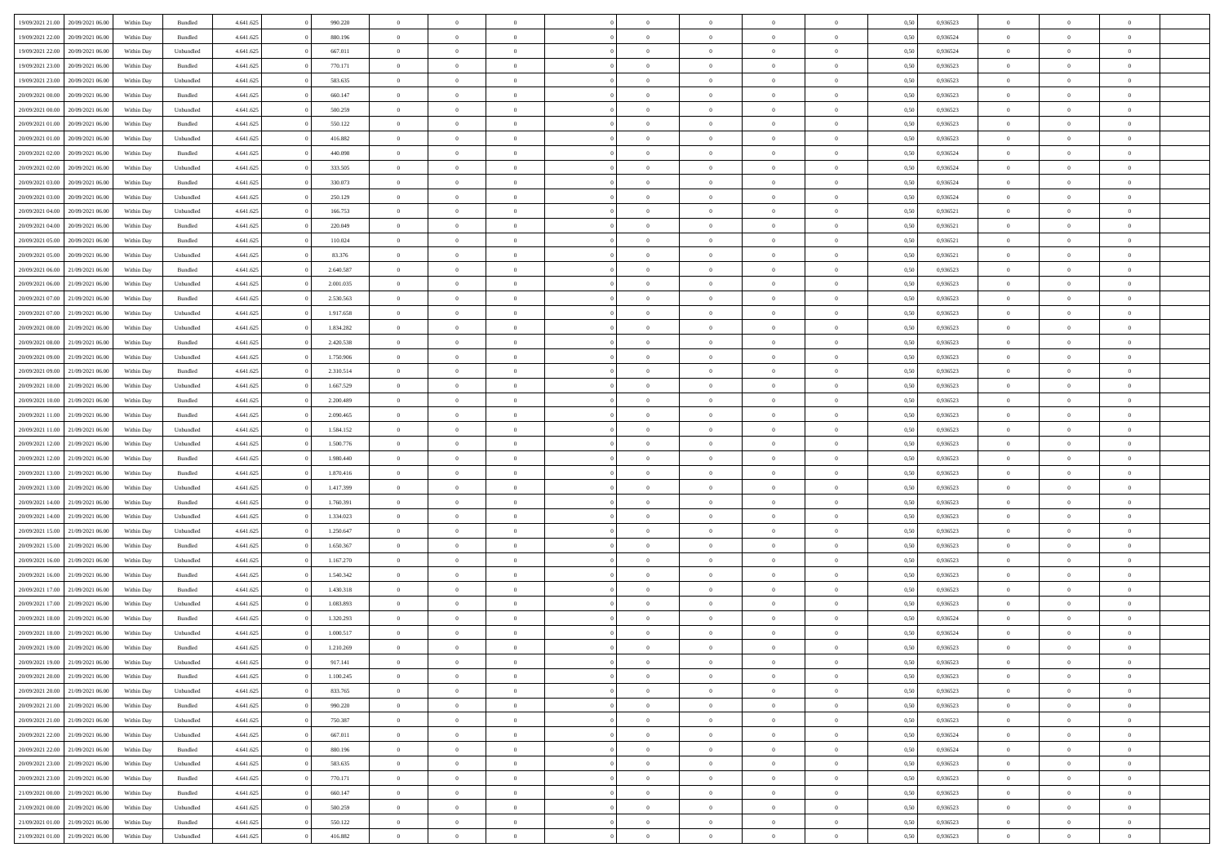| 19/09/2021 21:00                  | 20/09/2021 06:00 | Within Day | Bundled   | 4.641.625 | 990.220   | $\overline{0}$ | $\Omega$       |                | $\Omega$       | $\Omega$       | $\theta$       | $\theta$       | 0.50 | 0,936523 | $\theta$       | $\theta$       | $\theta$       |  |
|-----------------------------------|------------------|------------|-----------|-----------|-----------|----------------|----------------|----------------|----------------|----------------|----------------|----------------|------|----------|----------------|----------------|----------------|--|
| 19/09/2021 22:00                  | 20/09/2021 06:00 | Within Day | Bundled   | 4.641.625 | 880.196   | $\overline{0}$ | $\theta$       | $\overline{0}$ | $\overline{0}$ | $\bf{0}$       | $\overline{0}$ | $\bf{0}$       | 0,50 | 0,936524 | $\theta$       | $\overline{0}$ | $\overline{0}$ |  |
| 19/09/2021 22.00                  | 20/09/2021 06:00 | Within Day | Unbundled | 4.641.625 | 667.011   | $\overline{0}$ | $\bf{0}$       | $\overline{0}$ | $\bf{0}$       | $\bf{0}$       | $\bf{0}$       | $\mathbf{0}$   | 0,50 | 0,936524 | $\bf{0}$       | $\overline{0}$ | $\bf{0}$       |  |
| 19/09/2021 23:00                  | 20/09/2021 06:00 | Within Dav | Bundled   | 4.641.625 | 770.171   | $\overline{0}$ | $\overline{0}$ | $\overline{0}$ | $\overline{0}$ | $\bf{0}$       | $\overline{0}$ | $\overline{0}$ | 0.50 | 0.936523 | $\theta$       | $\theta$       | $\overline{0}$ |  |
| 19/09/2021 23:00                  | 20/09/2021 06:00 | Within Day | Unbundled | 4.641.625 | 583.635   | $\overline{0}$ | $\theta$       | $\overline{0}$ | $\overline{0}$ | $\bf{0}$       | $\overline{0}$ | $\bf{0}$       | 0,50 | 0,936523 | $\theta$       | $\overline{0}$ | $\overline{0}$ |  |
|                                   |                  |            |           |           |           |                |                |                |                |                |                |                |      |          |                |                |                |  |
| 20/09/2021 00:00                  | 20/09/2021 06:00 | Within Day | Bundled   | 4.641.625 | 660.147   | $\overline{0}$ | $\overline{0}$ | $\overline{0}$ | $\bf{0}$       | $\overline{0}$ | $\overline{0}$ | $\mathbf{0}$   | 0,50 | 0,936523 | $\overline{0}$ | $\overline{0}$ | $\bf{0}$       |  |
| 20/09/2021 00:00                  | 20/09/2021 06:00 | Within Dav | Unbundled | 4.641.625 | 500.259   | $\overline{0}$ | $\overline{0}$ | $\overline{0}$ | $\overline{0}$ | $\overline{0}$ | $\overline{0}$ | $\overline{0}$ | 0.50 | 0.936523 | $\theta$       | $\overline{0}$ | $\overline{0}$ |  |
| 20/09/2021 01:00                  | 20/09/2021 06:00 | Within Day | Bundled   | 4.641.625 | 550.122   | $\overline{0}$ | $\theta$       | $\overline{0}$ | $\overline{0}$ | $\bf{0}$       | $\overline{0}$ | $\bf{0}$       | 0,50 | 0,936523 | $\theta$       | $\theta$       | $\overline{0}$ |  |
| 20/09/2021 01:00                  | 20/09/2021 06:00 | Within Day | Unbundled | 4.641.625 | 416.882   | $\overline{0}$ | $\overline{0}$ | $\overline{0}$ | $\bf{0}$       | $\bf{0}$       | $\bf{0}$       | $\bf{0}$       | 0,50 | 0,936523 | $\,0\,$        | $\overline{0}$ | $\overline{0}$ |  |
| 20/09/2021 02:00                  | 20/09/2021 06:00 | Within Dav | Bundled   | 4.641.625 | 440.098   | $\overline{0}$ | $\overline{0}$ | $\overline{0}$ | $\overline{0}$ | $\overline{0}$ | $\overline{0}$ | $\overline{0}$ | 0.50 | 0,936524 | $\theta$       | $\overline{0}$ | $\overline{0}$ |  |
| 20/09/2021 02:00                  | 20/09/2021 06:00 | Within Day | Unbundled | 4.641.625 | 333.505   | $\overline{0}$ | $\theta$       | $\overline{0}$ | $\overline{0}$ | $\bf{0}$       | $\overline{0}$ | $\bf{0}$       | 0,50 | 0,936524 | $\,$ 0 $\,$    | $\overline{0}$ | $\overline{0}$ |  |
| 20/09/2021 03:00                  | 20/09/2021 06:00 | Within Day | Bundled   | 4.641.625 | 330.073   | $\overline{0}$ | $\bf{0}$       | $\overline{0}$ | $\bf{0}$       | $\bf{0}$       | $\bf{0}$       | $\mathbf{0}$   | 0,50 | 0,936524 | $\overline{0}$ | $\overline{0}$ | $\bf{0}$       |  |
|                                   |                  |            |           |           |           |                |                |                |                |                |                |                |      |          | $\theta$       |                |                |  |
| 20/09/2021 03:00                  | 20/09/2021 06:00 | Within Day | Unbundled | 4.641.625 | 250.129   | $\overline{0}$ | $\overline{0}$ | $\overline{0}$ | $\overline{0}$ | $\bf{0}$       | $\overline{0}$ | $\overline{0}$ | 0.50 | 0.936524 |                | $\theta$       | $\overline{0}$ |  |
| 20/09/2021 04:00                  | 20/09/2021 06:00 | Within Day | Unbundled | 4.641.625 | 166.753   | $\overline{0}$ | $\theta$       | $\overline{0}$ | $\overline{0}$ | $\bf{0}$       | $\overline{0}$ | $\bf{0}$       | 0,50 | 0,936521 | $\theta$       | $\overline{0}$ | $\overline{0}$ |  |
| 20/09/2021 04:00                  | 20/09/2021 06:00 | Within Day | Bundled   | 4.641.625 | 220.049   | $\overline{0}$ | $\overline{0}$ | $\overline{0}$ | $\bf{0}$       | $\overline{0}$ | $\overline{0}$ | $\mathbf{0}$   | 0,50 | 0,936521 | $\overline{0}$ | $\overline{0}$ | $\bf{0}$       |  |
| 20/09/2021 05:00                  | 20/09/2021 06:00 | Within Dav | Bundled   | 4.641.625 | 110.024   | $\overline{0}$ | $\overline{0}$ | $\overline{0}$ | $\overline{0}$ | $\overline{0}$ | $\overline{0}$ | $\overline{0}$ | 0.50 | 0,936521 | $\theta$       | $\overline{0}$ | $\overline{0}$ |  |
| 20/09/2021 05:00                  | 20/09/2021 06:00 | Within Day | Unbundled | 4.641.625 | 83.376    | $\overline{0}$ | $\theta$       | $\overline{0}$ | $\overline{0}$ | $\bf{0}$       | $\overline{0}$ | $\bf{0}$       | 0,50 | 0,936521 | $\theta$       | $\theta$       | $\overline{0}$ |  |
| 20/09/2021 06:00                  | 21/09/2021 06:00 | Within Day | Bundled   | 4.641.625 | 2.640.587 | $\overline{0}$ | $\overline{0}$ | $\overline{0}$ | $\bf{0}$       | $\bf{0}$       | $\bf{0}$       | $\mathbf{0}$   | 0,50 | 0,936523 | $\,0\,$        | $\overline{0}$ | $\overline{0}$ |  |
| 20/09/2021 06:00                  | 21/09/2021 06:00 | Within Day | Unbundled | 4.641.625 | 2.001.035 | $\overline{0}$ | $\overline{0}$ | $\overline{0}$ | $\overline{0}$ | $\overline{0}$ | $\overline{0}$ | $\overline{0}$ | 0.50 | 0.936523 | $\theta$       | $\overline{0}$ | $\overline{0}$ |  |
| 20/09/2021 07:00                  | 21/09/2021 06:00 | Within Day | Bundled   | 4.641.625 | 2.530.563 | $\overline{0}$ | $\theta$       | $\overline{0}$ | $\overline{0}$ | $\bf{0}$       | $\overline{0}$ | $\bf{0}$       | 0,50 | 0,936523 | $\theta$       | $\overline{0}$ | $\overline{0}$ |  |
|                                   |                  |            |           |           |           |                |                |                |                |                |                |                |      |          |                |                |                |  |
| 20/09/2021 07:00                  | 21/09/2021 06:00 | Within Day | Unbundled | 4.641.625 | 1.917.658 | $\overline{0}$ | $\overline{0}$ | $\overline{0}$ | $\bf{0}$       | $\bf{0}$       | $\bf{0}$       | $\bf{0}$       | 0,50 | 0,936523 | $\,0\,$        | $\overline{0}$ | $\bf{0}$       |  |
| 20/09/2021 08:00                  | 21/09/2021 06:00 | Within Day | Unbundled | 4.641.625 | 1.834.282 | $\overline{0}$ | $\overline{0}$ | $\overline{0}$ | $\overline{0}$ | $\bf{0}$       | $\overline{0}$ | $\overline{0}$ | 0.50 | 0.936523 | $\theta$       | $\overline{0}$ | $\overline{0}$ |  |
| 20/09/2021 08:00                  | 21/09/2021 06:00 | Within Day | Bundled   | 4.641.625 | 2.420.538 | $\overline{0}$ | $\theta$       | $\overline{0}$ | $\overline{0}$ | $\bf{0}$       | $\overline{0}$ | $\bf{0}$       | 0,50 | 0,936523 | $\theta$       | $\overline{0}$ | $\overline{0}$ |  |
| 20/09/2021 09:00                  | 21/09/2021 06:00 | Within Day | Unbundled | 4.641.625 | 1.750.906 | $\overline{0}$ | $\overline{0}$ | $\overline{0}$ | $\bf{0}$       | $\overline{0}$ | $\overline{0}$ | $\mathbf{0}$   | 0,50 | 0,936523 | $\overline{0}$ | $\overline{0}$ | $\bf{0}$       |  |
| 20/09/2021 09:00                  | 21/09/2021 06:00 | Within Dav | Bundled   | 4.641.625 | 2.310.514 | $\overline{0}$ | $\overline{0}$ | $\overline{0}$ | $\overline{0}$ | $\overline{0}$ | $\overline{0}$ | $\overline{0}$ | 0.50 | 0.936523 | $\theta$       | $\overline{0}$ | $\overline{0}$ |  |
| 20/09/2021 10:00                  | 21/09/2021 06:00 | Within Day | Unbundled | 4.641.625 | 1.667.529 | $\overline{0}$ | $\theta$       | $\overline{0}$ | $\overline{0}$ | $\bf{0}$       | $\overline{0}$ | $\bf{0}$       | 0,50 | 0,936523 | $\theta$       | $\theta$       | $\overline{0}$ |  |
| 20/09/2021 10:00                  | 21/09/2021 06:00 | Within Day | Bundled   | 4.641.625 | 2.200.489 | $\overline{0}$ | $\overline{0}$ | $\overline{0}$ | $\bf{0}$       | $\bf{0}$       | $\bf{0}$       | $\bf{0}$       | 0,50 | 0,936523 | $\,0\,$        | $\overline{0}$ | $\overline{0}$ |  |
| 20/09/2021 11:00                  | 21/09/2021 06:00 | Within Day | Bundled   | 4.641.625 | 2.090.465 | $\overline{0}$ | $\overline{0}$ | $\overline{0}$ | $\overline{0}$ | $\overline{0}$ | $\overline{0}$ | $\overline{0}$ | 0.50 | 0.936523 | $\theta$       | $\overline{0}$ | $\overline{0}$ |  |
|                                   |                  |            |           |           |           |                |                |                |                |                |                |                |      |          |                |                |                |  |
| 20/09/2021 11:00                  | 21/09/2021 06:00 | Within Day | Unbundled | 4.641.625 | 1.584.152 | $\overline{0}$ | $\theta$       | $\overline{0}$ | $\overline{0}$ | $\bf{0}$       | $\overline{0}$ | $\bf{0}$       | 0,50 | 0,936523 | $\,$ 0 $\,$    | $\overline{0}$ | $\overline{0}$ |  |
| 20/09/2021 12:00                  | 21/09/2021 06:00 | Within Day | Unbundled | 4.641.625 | 1.500.776 | $\overline{0}$ | $\overline{0}$ | $\overline{0}$ | $\bf{0}$       | $\bf{0}$       | $\bf{0}$       | $\bf{0}$       | 0,50 | 0,936523 | $\overline{0}$ | $\overline{0}$ | $\bf{0}$       |  |
| 20/09/2021 12:00                  | 21/09/2021 06:00 | Within Day | Bundled   | 4.641.625 | 1.980.440 | $\overline{0}$ | $\Omega$       | $\Omega$       | $\Omega$       | $\Omega$       | $\overline{0}$ | $\overline{0}$ | 0,50 | 0,936523 | $\,0\,$        | $\theta$       | $\theta$       |  |
| 20/09/2021 13:00                  | 21/09/2021 06:00 | Within Day | Bundled   | 4.641.625 | 1.870.416 | $\overline{0}$ | $\theta$       | $\overline{0}$ | $\overline{0}$ | $\bf{0}$       | $\overline{0}$ | $\bf{0}$       | 0,50 | 0,936523 | $\theta$       | $\overline{0}$ | $\overline{0}$ |  |
| 20/09/2021 13:00                  | 21/09/2021 06:00 | Within Day | Unbundled | 4.641.625 | 1.417.399 | $\overline{0}$ | $\overline{0}$ | $\overline{0}$ | $\bf{0}$       | $\overline{0}$ | $\overline{0}$ | $\mathbf{0}$   | 0,50 | 0,936523 | $\overline{0}$ | $\overline{0}$ | $\bf{0}$       |  |
| 20/09/2021 14:00                  | 21/09/2021 06:00 | Within Day | Bundled   | 4.641.625 | 1.760.391 | $\overline{0}$ | $\Omega$       | $\Omega$       | $\Omega$       | $\bf{0}$       | $\overline{0}$ | $\overline{0}$ | 0.50 | 0.936523 | $\,0\,$        | $\theta$       | $\theta$       |  |
| 20/09/2021 14:00                  | 21/09/2021 06:00 | Within Day | Unbundled | 4.641.625 | 1.334.023 | $\overline{0}$ | $\theta$       | $\overline{0}$ | $\overline{0}$ | $\bf{0}$       | $\overline{0}$ | $\bf{0}$       | 0,50 | 0,936523 | $\theta$       | $\overline{0}$ | $\overline{0}$ |  |
| 20/09/2021 15:00                  | 21/09/2021 06:00 | Within Day | Unbundled | 4.641.625 | 1.250.647 | $\overline{0}$ | $\overline{0}$ | $\overline{0}$ | $\bf{0}$       | $\bf{0}$       | $\bf{0}$       | $\bf{0}$       | 0,50 | 0,936523 | $\,0\,$        | $\overline{0}$ | $\bf{0}$       |  |
|                                   |                  |            |           |           |           |                | $\Omega$       |                |                | $\theta$       | $\theta$       |                |      |          |                |                | $\theta$       |  |
| 20/09/2021 15:00                  | 21/09/2021 06:00 | Within Day | Bundled   | 4.641.625 | 1.650.367 | $\overline{0}$ |                | $\Omega$       | $\Omega$       |                |                | $\overline{0}$ | 0.50 | 0.936523 | $\,$ 0 $\,$    | $\theta$       |                |  |
| 20/09/2021 16:00                  | 21/09/2021 06:00 | Within Day | Unbundled | 4.641.625 | 1.167.270 | $\overline{0}$ | $\theta$       | $\overline{0}$ | $\overline{0}$ | $\bf{0}$       | $\overline{0}$ | $\bf{0}$       | 0,50 | 0,936523 | $\,$ 0 $\,$    | $\overline{0}$ | $\overline{0}$ |  |
| 20/09/2021 16:00                  | 21/09/2021 06:00 | Within Day | Bundled   | 4.641.625 | 1.540.342 | $\overline{0}$ | $\bf{0}$       | $\overline{0}$ | $\bf{0}$       | $\bf{0}$       | $\bf{0}$       | $\mathbf{0}$   | 0,50 | 0,936523 | $\overline{0}$ | $\overline{0}$ | $\bf{0}$       |  |
| 20/09/2021 17:00                  | 21/09/2021 06:00 | Within Day | Bundled   | 4.641.625 | 1.430.318 | $\overline{0}$ | $\Omega$       | $\Omega$       | $\Omega$       | $\overline{0}$ | $\overline{0}$ | $\overline{0}$ | 0,50 | 0,936523 | $\,0\,$        | $\theta$       | $\theta$       |  |
| 20/09/2021 17:00                  | 21/09/2021 06:00 | Within Day | Unbundled | 4.641.625 | 1.083.893 | $\overline{0}$ | $\theta$       | $\overline{0}$ | $\overline{0}$ | $\bf{0}$       | $\overline{0}$ | $\bf{0}$       | 0,50 | 0,936523 | $\,$ 0 $\,$    | $\overline{0}$ | $\overline{0}$ |  |
| 20/09/2021 18:00                  | 21/09/2021 06:00 | Within Day | Bundled   | 4.641.625 | 1.320.293 | $\overline{0}$ | $\overline{0}$ | $\overline{0}$ | $\bf{0}$       | $\bf{0}$       | $\bf{0}$       | $\mathbf{0}$   | 0,50 | 0,936524 | $\overline{0}$ | $\overline{0}$ | $\bf{0}$       |  |
| 20/09/2021 18:00                  | 21/09/2021 06:00 | Within Day | Unbundled | 4.641.625 | 1,000.517 | $\overline{0}$ | $\Omega$       | $\Omega$       | $\Omega$       | $\Omega$       | $\Omega$       | $\overline{0}$ | 0.50 | 0.936524 | $\theta$       | $\theta$       | $\theta$       |  |
| 20/09/2021 19:00                  | 21/09/2021 06:00 | Within Day | Bundled   | 4.641.625 | 1.210.269 | $\overline{0}$ | $\overline{0}$ | $\overline{0}$ | $\bf{0}$       | $\,$ 0         | $\bf{0}$       | $\bf{0}$       | 0,50 | 0,936523 | $\,0\,$        | $\,$ 0 $\,$    | $\overline{0}$ |  |
| 20/09/2021 19:00 21/09/2021 06:00 |                  | Within Day | Unbundled | 4.641.625 | 917.141   | $\bf{0}$       | $\bf{0}$       |                |                |                |                |                | 0,50 | 0,936523 | $\bf{0}$       | $\overline{0}$ |                |  |
|                                   |                  |            |           |           |           |                |                |                |                |                |                |                |      |          |                |                |                |  |
| 20/09/2021 20:00                  | 21/09/2021 06:00 | Within Day | Bundled   | 4.641.625 | 1.100.245 | $\overline{0}$ | $\overline{0}$ | $\overline{0}$ | $\Omega$       | $\overline{0}$ | $\overline{0}$ | $\overline{0}$ | 0.50 | 0.936523 | $\theta$       | $\theta$       | $\theta$       |  |
| 20/09/2021 20:00                  | 21/09/2021 06:00 | Within Day | Unbundled | 4.641.625 | 833.765   | $\overline{0}$ | $\,$ 0         | $\overline{0}$ | $\bf{0}$       | $\,$ 0 $\,$    | $\overline{0}$ | $\,$ 0 $\,$    | 0,50 | 0,936523 | $\,$ 0 $\,$    | $\,$ 0 $\,$    | $\,$ 0         |  |
| 20/09/2021 21:00                  | 21/09/2021 06:00 | Within Day | Bundled   | 4.641.625 | 990.220   | $\overline{0}$ | $\overline{0}$ | $\overline{0}$ | $\overline{0}$ | $\overline{0}$ | $\overline{0}$ | $\mathbf{0}$   | 0,50 | 0,936523 | $\overline{0}$ | $\bf{0}$       | $\bf{0}$       |  |
| 20/09/2021 21:00                  | 21/09/2021 06:00 | Within Day | Unbundled | 4.641.625 | 750.387   | $\overline{0}$ | $\overline{0}$ | $\overline{0}$ | $\Omega$       | $\overline{0}$ | $\overline{0}$ | $\overline{0}$ | 0,50 | 0,936523 | $\overline{0}$ | $\theta$       | $\overline{0}$ |  |
| 20/09/2021 22:00                  | 21/09/2021 06:00 | Within Day | Unbundled | 4.641.625 | 667.011   | $\overline{0}$ | $\,$ 0         | $\overline{0}$ | $\overline{0}$ | $\,$ 0 $\,$    | $\overline{0}$ | $\mathbf{0}$   | 0,50 | 0,936524 | $\,$ 0 $\,$    | $\overline{0}$ | $\overline{0}$ |  |
| 20/09/2021 22:00                  | 21/09/2021 06:00 | Within Day | Bundled   | 4.641.625 | 880.196   | $\overline{0}$ | $\overline{0}$ | $\overline{0}$ | $\overline{0}$ | $\overline{0}$ | $\overline{0}$ | $\mathbf{0}$   | 0,50 | 0,936524 | $\overline{0}$ | $\overline{0}$ | $\bf{0}$       |  |
| 20/09/2021 23:00                  | 21/09/2021 06:00 | Within Day | Unbundled | 4.641.625 | 583.635   | $\overline{0}$ | $\overline{0}$ | $\overline{0}$ | $\Omega$       | $\overline{0}$ | $\overline{0}$ | $\bf{0}$       | 0.50 | 0,936523 | $\overline{0}$ | $\theta$       | $\overline{0}$ |  |
| 20/09/2021 23:00                  | 21/09/2021 06:00 | Within Day | Bundled   | 4.641.625 | 770.171   | $\overline{0}$ | $\,$ 0         | $\overline{0}$ | $\bf{0}$       | $\bf{0}$       | $\bf{0}$       | $\bf{0}$       | 0,50 | 0,936523 | $\,$ 0 $\,$    | $\overline{0}$ | $\overline{0}$ |  |
|                                   |                  |            |           |           |           |                |                |                |                |                |                |                |      |          |                |                |                |  |
| 21/09/2021 00:00                  | 21/09/2021 06:00 | Within Day | Bundled   | 4.641.625 | 660.147   | $\overline{0}$ | $\bf{0}$       | $\overline{0}$ | $\overline{0}$ | $\overline{0}$ | $\overline{0}$ | $\mathbf{0}$   | 0,50 | 0,936523 | $\overline{0}$ | $\overline{0}$ | $\bf{0}$       |  |
| 21/09/2021 00:00                  | 21/09/2021 06:00 | Within Day | Unbundled | 4.641.625 | 500.259   | $\overline{0}$ | $\overline{0}$ | $\overline{0}$ | $\Omega$       | $\overline{0}$ | $\overline{0}$ | $\overline{0}$ | 0.50 | 0.936523 | $\overline{0}$ | $\theta$       | $\overline{0}$ |  |
| 21/09/2021 01:00                  | 21/09/2021 06:00 | Within Day | Bundled   | 4.641.625 | 550.122   | $\overline{0}$ | $\bf{0}$       | $\overline{0}$ | $\overline{0}$ | $\bf{0}$       | $\bf{0}$       | $\mathbf{0}$   | 0,50 | 0,936523 | $\,$ 0 $\,$    | $\,$ 0 $\,$    | $\bf{0}$       |  |
| 21/09/2021 01:00 21/09/2021 06:00 |                  | Within Day | Unbundled | 4.641.625 | 416.882   | $\overline{0}$ | $\bf{0}$       | $\overline{0}$ | $\bf{0}$       | $\bf{0}$       | $\bf{0}$       | $\bf{0}$       | 0,50 | 0,936523 | $\overline{0}$ | $\overline{0}$ | $\bf{0}$       |  |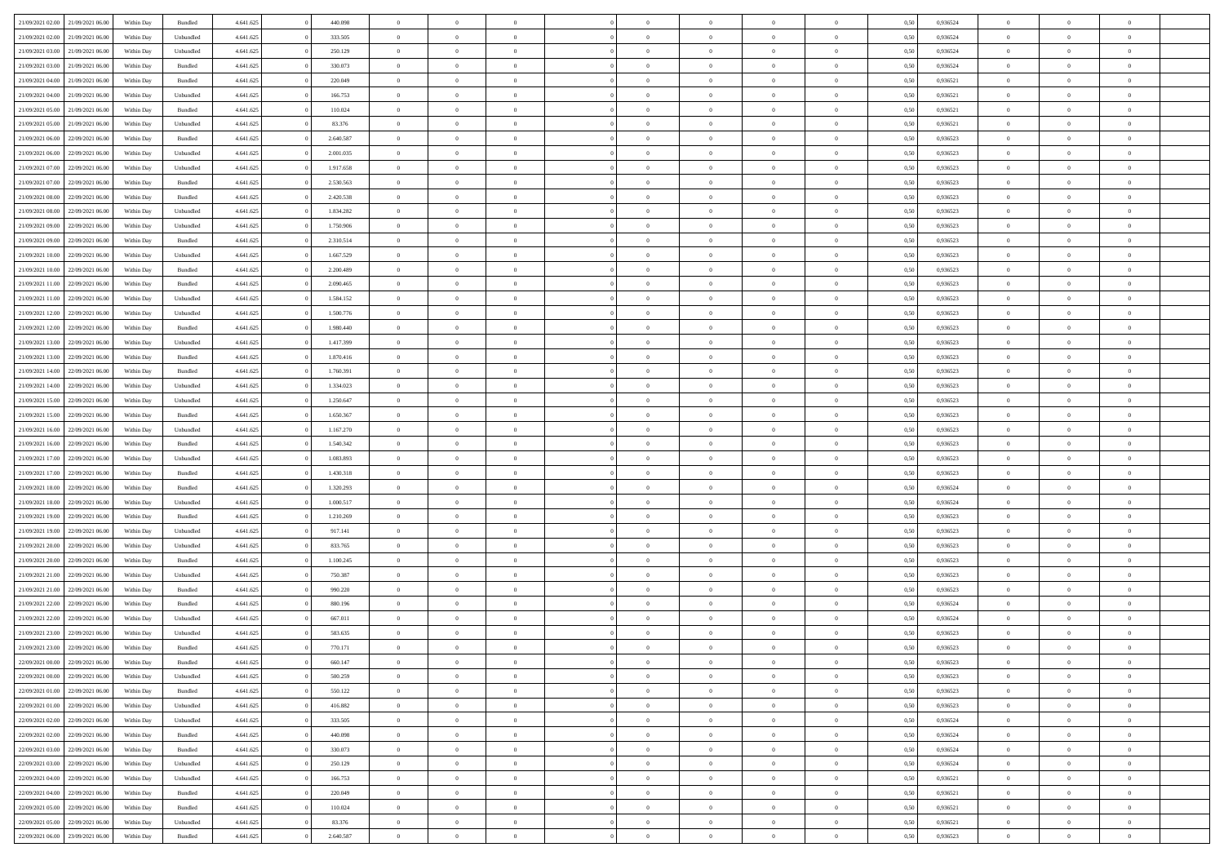| 21/09/2021 02:00                  | 21/09/2021 06:00 | Within Day | Bundled            | 4.641.625 | 440.098   | $\overline{0}$ | $\Omega$       |                | $\Omega$       | $\Omega$       | $\theta$       | $\theta$       | 0,50 | 0,936524 | $\theta$       | $\theta$       | $\theta$       |  |
|-----------------------------------|------------------|------------|--------------------|-----------|-----------|----------------|----------------|----------------|----------------|----------------|----------------|----------------|------|----------|----------------|----------------|----------------|--|
| 21/09/2021 02:00                  | 21/09/2021 06:00 | Within Day | Unbundled          | 4.641.625 | 333.505   | $\overline{0}$ | $\theta$       | $\overline{0}$ | $\overline{0}$ | $\bf{0}$       | $\overline{0}$ | $\bf{0}$       | 0,50 | 0,936524 | $\theta$       | $\overline{0}$ | $\overline{0}$ |  |
| 21/09/2021 03:00                  | 21/09/2021 06:00 | Within Day | Unbundled          | 4.641.625 | 250.129   | $\overline{0}$ | $\bf{0}$       | $\overline{0}$ | $\bf{0}$       | $\bf{0}$       | $\bf{0}$       | $\mathbf{0}$   | 0,50 | 0,936524 | $\bf{0}$       | $\overline{0}$ | $\bf{0}$       |  |
| 21/09/2021 03:00                  | 21/09/2021 06:00 | Within Dav | Bundled            | 4.641.625 | 330.073   | $\overline{0}$ | $\overline{0}$ | $\overline{0}$ | $\overline{0}$ | $\bf{0}$       | $\overline{0}$ | $\overline{0}$ | 0.50 | 0.936524 | $\theta$       | $\theta$       | $\overline{0}$ |  |
| 21/09/2021 04:00                  | 21/09/2021 06:00 |            | Bundled            | 4.641.625 | 220.049   | $\overline{0}$ | $\theta$       | $\overline{0}$ | $\overline{0}$ | $\bf{0}$       | $\overline{0}$ |                |      | 0,936521 | $\theta$       | $\overline{0}$ | $\overline{0}$ |  |
|                                   |                  | Within Day |                    |           |           |                |                |                |                |                |                | $\bf{0}$       | 0,50 |          |                |                |                |  |
| 21/09/2021 04:00                  | 21/09/2021 06:00 | Within Day | Unbundled          | 4.641.625 | 166.753   | $\overline{0}$ | $\overline{0}$ | $\overline{0}$ | $\bf{0}$       | $\overline{0}$ | $\overline{0}$ | $\mathbf{0}$   | 0,50 | 0,936521 | $\bf{0}$       | $\overline{0}$ | $\bf{0}$       |  |
| 21/09/2021 05:00                  | 21/09/2021 06:00 | Within Dav | Bundled            | 4.641.625 | 110.024   | $\overline{0}$ | $\overline{0}$ | $\overline{0}$ | $\overline{0}$ | $\overline{0}$ | $\overline{0}$ | $\overline{0}$ | 0.50 | 0,936521 | $\theta$       | $\overline{0}$ | $\overline{0}$ |  |
| 21/09/2021 05:00                  | 21/09/2021 06:00 | Within Day | Unbundled          | 4.641.625 | 83.376    | $\overline{0}$ | $\theta$       | $\overline{0}$ | $\overline{0}$ | $\bf{0}$       | $\overline{0}$ | $\bf{0}$       | 0,50 | 0,936521 | $\theta$       | $\theta$       | $\overline{0}$ |  |
| 21/09/2021 06:00                  | 22/09/2021 06:00 | Within Day | Bundled            | 4.641.625 | 2.640.587 | $\overline{0}$ | $\overline{0}$ | $\overline{0}$ | $\bf{0}$       | $\bf{0}$       | $\bf{0}$       | $\bf{0}$       | 0,50 | 0,936523 | $\,0\,$        | $\overline{0}$ | $\overline{0}$ |  |
| 21/09/2021 06:00                  | 22/09/2021 06:00 | Within Dav | Unbundled          | 4.641.625 | 2.001.035 | $\overline{0}$ | $\overline{0}$ | $\overline{0}$ | $\overline{0}$ | $\overline{0}$ | $\overline{0}$ | $\overline{0}$ | 0.50 | 0.936523 | $\theta$       | $\overline{0}$ | $\overline{0}$ |  |
| 21/09/2021 07:00                  | 22/09/2021 06:00 | Within Day | Unbundled          | 4.641.625 | 1.917.658 | $\overline{0}$ | $\theta$       | $\overline{0}$ | $\overline{0}$ | $\bf{0}$       | $\overline{0}$ | $\bf{0}$       | 0,50 | 0,936523 | $\theta$       | $\overline{0}$ | $\overline{0}$ |  |
|                                   |                  |            |                    |           |           |                |                |                |                |                |                |                |      |          |                |                |                |  |
| 21/09/2021 07:00                  | 22/09/2021 06:00 | Within Day | Bundled            | 4.641.625 | 2.530.563 | $\overline{0}$ | $\overline{0}$ | $\overline{0}$ | $\bf{0}$       | $\bf{0}$       | $\bf{0}$       | $\bf{0}$       | 0,50 | 0,936523 | $\overline{0}$ | $\overline{0}$ | $\bf{0}$       |  |
| 21/09/2021 08:00                  | 22/09/2021 06:00 | Within Day | Bundled            | 4.641.625 | 2.420.538 | $\overline{0}$ | $\overline{0}$ | $\overline{0}$ | $\overline{0}$ | $\bf{0}$       | $\overline{0}$ | $\overline{0}$ | 0.50 | 0.936523 | $\theta$       | $\theta$       | $\overline{0}$ |  |
| 21/09/2021 08:00                  | 22/09/2021 06:00 | Within Day | Unbundled          | 4.641.625 | 1.834.282 | $\overline{0}$ | $\theta$       | $\overline{0}$ | $\overline{0}$ | $\bf{0}$       | $\overline{0}$ | $\overline{0}$ | 0,50 | 0,936523 | $\theta$       | $\overline{0}$ | $\overline{0}$ |  |
| 21/09/2021 09:00                  | 22/09/2021 06:00 | Within Day | Unbundled          | 4.641.625 | 1.750.906 | $\overline{0}$ | $\overline{0}$ | $\overline{0}$ | $\bf{0}$       | $\overline{0}$ | $\overline{0}$ | $\mathbf{0}$   | 0,50 | 0,936523 | $\overline{0}$ | $\overline{0}$ | $\bf{0}$       |  |
| 21/09/2021 09:00                  | 22/09/2021 06:00 | Within Dav | Bundled            | 4.641.625 | 2.310.514 | $\overline{0}$ | $\overline{0}$ | $\overline{0}$ | $\overline{0}$ | $\overline{0}$ | $\overline{0}$ | $\overline{0}$ | 0.50 | 0.936523 | $\theta$       | $\overline{0}$ | $\overline{0}$ |  |
| 21/09/2021 10:00                  | 22/09/2021 06.00 | Within Day | Unbundled          | 4.641.625 | 1.667.529 | $\overline{0}$ | $\theta$       | $\overline{0}$ | $\overline{0}$ | $\bf{0}$       | $\overline{0}$ | $\bf{0}$       | 0,50 | 0,936523 | $\theta$       | $\theta$       | $\overline{0}$ |  |
| 21/09/2021 10:00                  | 22/09/2021 06:00 | Within Day | Bundled            | 4.641.625 | 2.200.489 | $\overline{0}$ | $\overline{0}$ | $\overline{0}$ | $\bf{0}$       | $\bf{0}$       | $\bf{0}$       | $\bf{0}$       | 0,50 | 0,936523 | $\,0\,$        | $\overline{0}$ | $\overline{0}$ |  |
| 21/09/2021 11:00                  | 22/09/2021 06:00 |            | Bundled            | 4.641.625 | 2.090.465 | $\overline{0}$ | $\overline{0}$ | $\overline{0}$ | $\overline{0}$ | $\overline{0}$ | $\overline{0}$ | $\overline{0}$ | 0.50 | 0.936523 | $\theta$       | $\overline{0}$ | $\overline{0}$ |  |
|                                   |                  | Within Day |                    |           |           |                |                |                |                |                |                |                |      |          |                |                |                |  |
| 21/09/2021 11:00                  | 22/09/2021 06:00 | Within Day | Unbundled          | 4.641.625 | 1.584.152 | $\overline{0}$ | $\theta$       | $\overline{0}$ | $\overline{0}$ | $\bf{0}$       | $\overline{0}$ | $\bf{0}$       | 0,50 | 0,936523 | $\theta$       | $\overline{0}$ | $\overline{0}$ |  |
| 21/09/2021 12:00                  | 22/09/2021 06:00 | Within Day | Unbundled          | 4.641.625 | 1.500.776 | $\overline{0}$ | $\overline{0}$ | $\overline{0}$ | $\bf{0}$       | $\bf{0}$       | $\bf{0}$       | $\bf{0}$       | 0,50 | 0,936523 | $\,0\,$        | $\overline{0}$ | $\bf{0}$       |  |
| 21/09/2021 12:00                  | 22/09/2021 06:00 | Within Day | Bundled            | 4.641.625 | 1.980.440 | $\overline{0}$ | $\overline{0}$ | $\overline{0}$ | $\overline{0}$ | $\bf{0}$       | $\overline{0}$ | $\overline{0}$ | 0.50 | 0.936523 | $\theta$       | $\overline{0}$ | $\overline{0}$ |  |
| 21/09/2021 13:00                  | 22/09/2021 06:00 | Within Day | Unbundled          | 4.641.625 | 1.417.399 | $\overline{0}$ | $\theta$       | $\overline{0}$ | $\overline{0}$ | $\bf{0}$       | $\overline{0}$ | $\bf{0}$       | 0,50 | 0,936523 | $\theta$       | $\overline{0}$ | $\overline{0}$ |  |
| 21/09/2021 13:00                  | 22/09/2021 06:00 | Within Day | Bundled            | 4.641.625 | 1.870.416 | $\overline{0}$ | $\overline{0}$ | $\overline{0}$ | $\overline{0}$ | $\overline{0}$ | $\overline{0}$ | $\mathbf{0}$   | 0,50 | 0,936523 | $\bf{0}$       | $\overline{0}$ | $\bf{0}$       |  |
| 21/09/2021 14:00                  | 22/09/2021 06:00 | Within Dav | Bundled            | 4.641.625 | 1.760.391 | $\overline{0}$ | $\overline{0}$ | $\overline{0}$ | $\overline{0}$ | $\overline{0}$ | $\overline{0}$ | $\overline{0}$ | 0.50 | 0.936523 | $\theta$       | $\overline{0}$ | $\overline{0}$ |  |
| 21/09/2021 14:00                  | 22/09/2021 06.00 | Within Day | Unbundled          | 4.641.625 | 1.334.023 | $\overline{0}$ | $\theta$       | $\overline{0}$ | $\overline{0}$ | $\bf{0}$       | $\overline{0}$ | $\bf{0}$       | 0,50 | 0,936523 | $\theta$       | $\theta$       | $\overline{0}$ |  |
|                                   |                  |            |                    |           |           |                |                |                |                |                |                |                |      |          |                |                |                |  |
| 21/09/2021 15:00                  | 22/09/2021 06:00 | Within Day | Unbundled          | 4.641.625 | 1.250.647 | $\overline{0}$ | $\overline{0}$ | $\overline{0}$ | $\overline{0}$ | $\bf{0}$       | $\overline{0}$ | $\bf{0}$       | 0,50 | 0,936523 | $\,0\,$        | $\overline{0}$ | $\overline{0}$ |  |
| 21/09/2021 15:00                  | 22/09/2021 06:00 | Within Day | Bundled            | 4.641.625 | 1.650.367 | $\overline{0}$ | $\overline{0}$ | $\overline{0}$ | $\overline{0}$ | $\overline{0}$ | $\overline{0}$ | $\overline{0}$ | 0.50 | 0.936523 | $\theta$       | $\overline{0}$ | $\overline{0}$ |  |
| 21/09/2021 16:00                  | 22/09/2021 06.00 | Within Day | Unbundled          | 4.641.625 | 1.167.270 | $\overline{0}$ | $\theta$       | $\overline{0}$ | $\overline{0}$ | $\bf{0}$       | $\overline{0}$ | $\bf{0}$       | 0,50 | 0,936523 | $\,$ 0 $\,$    | $\overline{0}$ | $\overline{0}$ |  |
| 21/09/2021 16:00                  | 22/09/2021 06:00 | Within Day | Bundled            | 4.641.625 | 1.540.342 | $\overline{0}$ | $\overline{0}$ | $\overline{0}$ | $\overline{0}$ | $\bf{0}$       | $\overline{0}$ | $\bf{0}$       | 0,50 | 0,936523 | $\overline{0}$ | $\overline{0}$ | $\bf{0}$       |  |
| 21/09/2021 17:00                  | 22/09/2021 06:00 | Within Day | Unbundled          | 4.641.625 | 1.083.893 | $\overline{0}$ | $\Omega$       | $\Omega$       | $\Omega$       | $\Omega$       | $\overline{0}$ | $\overline{0}$ | 0,50 | 0,936523 | $\,0\,$        | $\theta$       | $\theta$       |  |
| 21/09/2021 17:00                  | 22/09/2021 06:00 | Within Day | Bundled            | 4.641.625 | 1.430.318 | $\overline{0}$ | $\theta$       | $\overline{0}$ | $\overline{0}$ | $\bf{0}$       | $\overline{0}$ | $\bf{0}$       | 0,50 | 0,936523 | $\theta$       | $\overline{0}$ | $\overline{0}$ |  |
| 21/09/2021 18:00                  | 22/09/2021 06:00 | Within Day | Bundled            | 4.641.625 | 1.320.293 | $\overline{0}$ | $\overline{0}$ | $\overline{0}$ | $\overline{0}$ | $\overline{0}$ | $\overline{0}$ | $\mathbf{0}$   | 0,50 | 0,936524 | $\overline{0}$ | $\overline{0}$ | $\bf{0}$       |  |
|                                   |                  |            |                    |           |           |                |                |                |                |                |                |                |      |          |                |                |                |  |
| 21/09/2021 18:00                  | 22/09/2021 06:00 | Within Day | Unbundled          | 4.641.625 | 1.000.517 | $\overline{0}$ | $\Omega$       | $\Omega$       | $\Omega$       | $\bf{0}$       | $\overline{0}$ | $\overline{0}$ | 0.50 | 0.936524 | $\,0\,$        | $\theta$       | $\theta$       |  |
| 21/09/2021 19:00                  | 22/09/2021 06.00 | Within Day | Bundled            | 4.641.625 | 1.210.269 | $\overline{0}$ | $\theta$       | $\overline{0}$ | $\overline{0}$ | $\bf{0}$       | $\overline{0}$ | $\bf{0}$       | 0,50 | 0,936523 | $\theta$       | $\overline{0}$ | $\overline{0}$ |  |
| 21/09/2021 19:00                  | 22/09/2021 06:00 | Within Day | Unbundled          | 4.641.625 | 917.141   | $\overline{0}$ | $\overline{0}$ | $\overline{0}$ | $\overline{0}$ | $\bf{0}$       | $\overline{0}$ | $\bf{0}$       | 0,50 | 0,936523 | $\,0\,$        | $\overline{0}$ | $\bf{0}$       |  |
| 21/09/2021 20:00                  | 22/09/2021 06:00 | Within Day | Unbundled          | 4.641.625 | 833,765   | $\overline{0}$ | $\Omega$       | $\Omega$       | $\Omega$       | $\theta$       | $\theta$       | $\overline{0}$ | 0.50 | 0.936523 | $\theta$       | $\theta$       | $\theta$       |  |
| 21/09/2021 20:00                  | 22/09/2021 06:00 | Within Day | Bundled            | 4.641.625 | 1.100.245 | $\overline{0}$ | $\theta$       | $\overline{0}$ | $\overline{0}$ | $\bf{0}$       | $\overline{0}$ | $\bf{0}$       | 0,50 | 0,936523 | $\,$ 0 $\,$    | $\overline{0}$ | $\overline{0}$ |  |
| 21/09/2021 21:00                  | 22/09/2021 06:00 | Within Day | Unbundled          | 4.641.625 | 750.387   | $\overline{0}$ | $\bf{0}$       | $\overline{0}$ | $\overline{0}$ | $\bf{0}$       | $\overline{0}$ | $\bf{0}$       | 0,50 | 0,936523 | $\overline{0}$ | $\overline{0}$ | $\bf{0}$       |  |
| 21/09/2021 21:00                  | 22/09/2021 06:00 | Within Day | Bundled            | 4.641.625 | 990.220   | $\overline{0}$ | $\Omega$       | $\Omega$       | $\Omega$       | $\overline{0}$ | $\overline{0}$ | $\overline{0}$ | 0,50 | 0,936523 | $\,0\,$        | $\theta$       | $\theta$       |  |
| 21/09/2021 22:00                  | 22/09/2021 06.00 | Within Day | Bundled            | 4.641.625 | 880.196   | $\overline{0}$ | $\theta$       | $\overline{0}$ | $\overline{0}$ | $\bf{0}$       | $\overline{0}$ | $\bf{0}$       | 0,50 | 0,936524 | $\,$ 0 $\,$    | $\overline{0}$ | $\overline{0}$ |  |
|                                   |                  |            |                    |           |           |                |                |                |                |                |                |                |      |          |                |                |                |  |
| 21/09/2021 22:00                  | 22/09/2021 06:00 | Within Day | Unbundled          | 4.641.625 | 667.011   | $\overline{0}$ | $\overline{0}$ | $\overline{0}$ | $\overline{0}$ | $\bf{0}$       | $\overline{0}$ | $\mathbf{0}$   | 0,50 | 0,936524 | $\overline{0}$ | $\overline{0}$ | $\bf{0}$       |  |
| 21/09/2021 23:00                  | 22/09/2021 06:00 | Within Day | Unbundled          | 4.641.625 | 583.635   | $\overline{0}$ | $\Omega$       | $\Omega$       | $\Omega$       | $\Omega$       | $\Omega$       | $\overline{0}$ | 0.50 | 0.936523 | $\theta$       | $\theta$       | $\theta$       |  |
| 21/09/2021 23:00                  | 22/09/2021 06:00 | Within Day | Bundled            | 4.641.625 | 770.171   | $\overline{0}$ | $\overline{0}$ | $\overline{0}$ | $\bf{0}$       | $\,$ 0         | $\overline{0}$ | $\bf{0}$       | 0,50 | 0,936523 | $\,0\,$        | $\,$ 0 $\,$    | $\overline{0}$ |  |
| 22/09/2021 00:00 22/09/2021 06:00 |                  | Within Day | $\mathbf B$ undled | 4.641.625 | 660.147   | $\bf{0}$       | $\bf{0}$       |                |                | $\bf{0}$       |                |                | 0,50 | 0,936523 | $\bf{0}$       | $\overline{0}$ |                |  |
| 22/09/2021 00:00                  | 22/09/2021 06:00 | Within Day | Unbundled          | 4.641.625 | 500.259   | $\overline{0}$ | $\overline{0}$ | $\overline{0}$ | $\Omega$       | $\overline{0}$ | $\overline{0}$ | $\overline{0}$ | 0.50 | 0.936523 | $\theta$       | $\theta$       | $\theta$       |  |
| 22/09/2021 01:00                  | 22/09/2021 06.00 | Within Day | Bundled            | 4.641.625 | 550.122   | $\overline{0}$ | $\,$ 0         | $\overline{0}$ | $\overline{0}$ | $\,$ 0 $\,$    | $\overline{0}$ | $\,$ 0 $\,$    | 0,50 | 0,936523 | $\,$ 0 $\,$    | $\,$ 0 $\,$    | $\,$ 0         |  |
| 22/09/2021 01:00                  | 22/09/2021 06:00 | Within Day | Unbundled          | 4.641.625 | 416.882   | $\overline{0}$ | $\overline{0}$ | $\overline{0}$ | $\overline{0}$ | $\overline{0}$ | $\overline{0}$ | $\mathbf{0}$   | 0,50 | 0,936523 | $\overline{0}$ | $\bf{0}$       | $\bf{0}$       |  |
| 22/09/2021 02:00                  | 22/09/2021 06:00 | Within Day | Unbundled          | 4.641.625 | 333.505   | $\overline{0}$ | $\overline{0}$ | $\overline{0}$ | $\Omega$       | $\overline{0}$ | $\overline{0}$ | $\overline{0}$ | 0,50 | 0,936524 | $\overline{0}$ | $\theta$       | $\overline{0}$ |  |
|                                   |                  |            |                    |           |           |                |                |                |                |                |                |                |      |          |                |                |                |  |
| 22/09/2021 02:00                  | 22/09/2021 06.00 | Within Day | Bundled            | 4.641.625 | 440.098   | $\overline{0}$ | $\,$ 0         | $\overline{0}$ | $\overline{0}$ | $\,$ 0 $\,$    | $\overline{0}$ | $\mathbf{0}$   | 0,50 | 0,936524 | $\,$ 0 $\,$    | $\overline{0}$ | $\overline{0}$ |  |
| 22/09/2021 03:00                  | 22/09/2021 06:00 | Within Day | Bundled            | 4.641.625 | 330.073   | $\overline{0}$ | $\overline{0}$ | $\overline{0}$ | $\overline{0}$ | $\overline{0}$ | $\overline{0}$ | $\mathbf{0}$   | 0,50 | 0,936524 | $\overline{0}$ | $\overline{0}$ | $\bf{0}$       |  |
| 22/09/2021 03:00                  | 22/09/2021 06:00 | Within Day | Unbundled          | 4.641.625 | 250.129   | $\overline{0}$ | $\overline{0}$ | $\overline{0}$ | $\Omega$       | $\overline{0}$ | $\overline{0}$ | $\bf{0}$       | 0.50 | 0,936524 | $\overline{0}$ | $\theta$       | $\overline{0}$ |  |
| 22/09/2021 04:00                  | 22/09/2021 06.00 | Within Day | Unbundled          | 4.641.625 | 166.753   | $\overline{0}$ | $\,$ 0         | $\overline{0}$ | $\bf{0}$       | $\bf{0}$       | $\bf{0}$       | $\bf{0}$       | 0,50 | 0,936521 | $\,$ 0 $\,$    | $\overline{0}$ | $\overline{0}$ |  |
| 22/09/2021 04:00                  | 22/09/2021 06:00 | Within Day | Bundled            | 4.641.625 | 220.049   | $\overline{0}$ | $\bf{0}$       | $\overline{0}$ | $\overline{0}$ | $\overline{0}$ | $\overline{0}$ | $\mathbf{0}$   | 0,50 | 0,936521 | $\overline{0}$ | $\overline{0}$ | $\bf{0}$       |  |
| 22/09/2021 05:00                  | 22/09/2021 06:00 | Within Day | Bundled            | 4.641.625 | 110.024   | $\overline{0}$ | $\overline{0}$ | $\overline{0}$ | $\Omega$       | $\overline{0}$ | $\overline{0}$ | $\overline{0}$ | 0.50 | 0.936521 | $\overline{0}$ | $\theta$       | $\overline{0}$ |  |
| 22/09/2021 05:00                  | 22/09/2021 06.00 | Within Day | Unbundled          | 4.641.625 | 83.376    | $\overline{0}$ | $\bf{0}$       | $\overline{0}$ | $\overline{0}$ | $\bf{0}$       | $\bf{0}$       | $\mathbf{0}$   | 0,50 | 0,936521 | $\,$ 0 $\,$    | $\,$ 0 $\,$    | $\bf{0}$       |  |
|                                   |                  |            |                    |           |           |                |                |                |                |                |                |                |      |          |                |                |                |  |
| 22/09/2021 06:00 23/09/2021 06:00 |                  | Within Day | Bundled            | 4.641.625 | 2.640.587 | $\overline{0}$ | $\bf{0}$       | $\overline{0}$ | $\bf{0}$       | $\bf{0}$       | $\bf{0}$       | $\bf{0}$       | 0,50 | 0,936523 | $\overline{0}$ | $\overline{0}$ | $\bf{0}$       |  |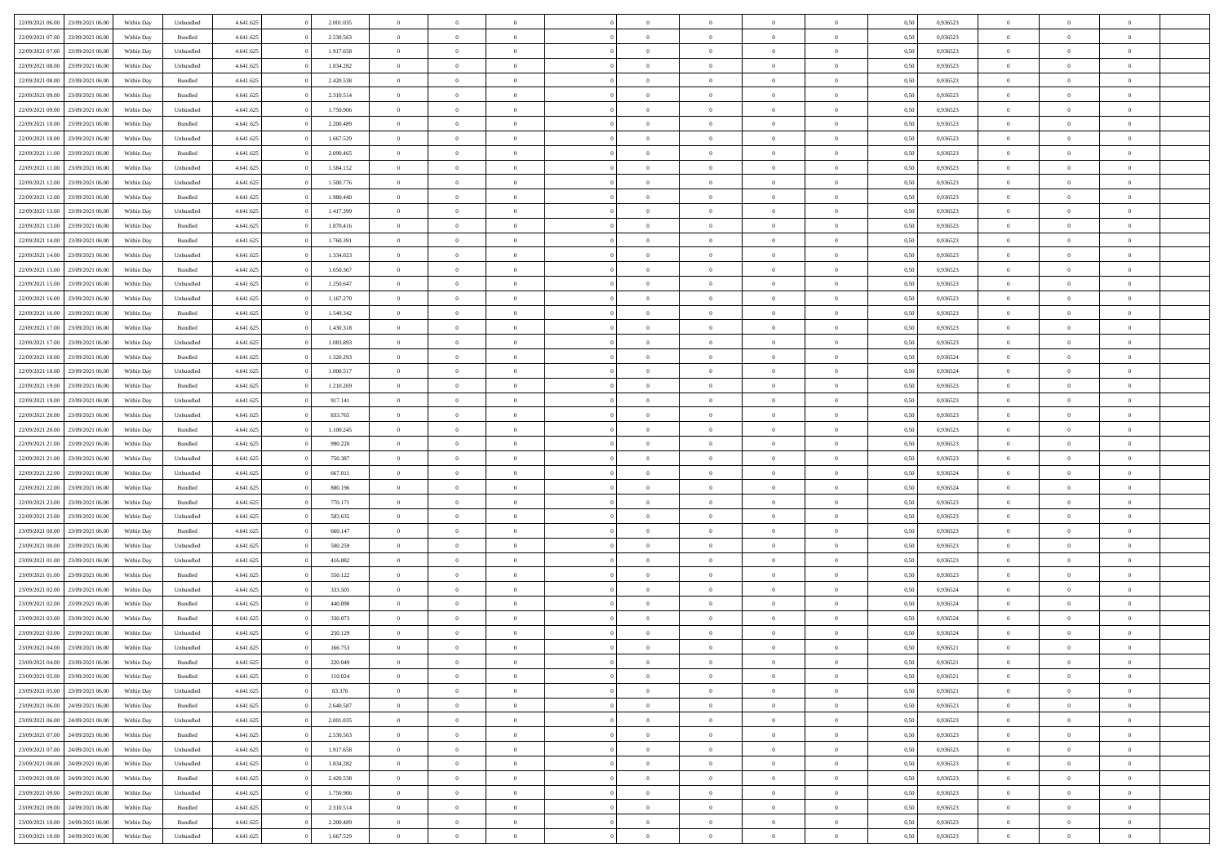|                                              |            |                                   |           |           | $\overline{0}$ | $\overline{0}$ |                | $\overline{0}$ | $\theta$       |                | $\theta$       |      |          | $\theta$       | $\theta$       | $\overline{0}$ |  |
|----------------------------------------------|------------|-----------------------------------|-----------|-----------|----------------|----------------|----------------|----------------|----------------|----------------|----------------|------|----------|----------------|----------------|----------------|--|
| 22/09/2021 06:00 23/09/2021 06:00            | Within Day | Unbundled                         | 4.641.625 | 2.001.035 |                |                |                |                |                |                |                | 0,50 | 0,936523 |                |                |                |  |
| 22/09/2021 07:00<br>23/09/2021 06.00         | Within Day | Bundled                           | 4.641.625 | 2.530.563 | $\bf{0}$       | $\bf{0}$       | $\bf{0}$       | $\bf{0}$       | $\overline{0}$ | $\overline{0}$ | $\bf{0}$       | 0,50 | 0,936523 | $\,$ 0 $\,$    | $\bf{0}$       | $\overline{0}$ |  |
| 22/09/2021 07:00<br>23/09/2021 06:00         | Within Day | Unbundled                         | 4.641.625 | 1.917.658 | $\overline{0}$ | $\bf{0}$       | $\overline{0}$ | $\overline{0}$ | $\overline{0}$ | $\overline{0}$ | $\bf{0}$       | 0.50 | 0.936523 | $\bf{0}$       | $\overline{0}$ | $\bf{0}$       |  |
| 22/09/2021 08:00<br>23/09/2021 06:00         | Within Day | Unbundled                         | 4.641.625 | 1.834.282 | $\overline{0}$ | $\overline{0}$ | $\overline{0}$ | $\overline{0}$ | $\overline{0}$ | $\overline{0}$ | $\bf{0}$       | 0,50 | 0,936523 | $\,$ 0 $\,$    | $\,$ 0 $\,$    | $\overline{0}$ |  |
|                                              |            |                                   |           |           |                |                |                |                |                |                |                |      |          |                |                |                |  |
| 22/09/2021 08:00<br>23/09/2021 06.00         | Within Day | Bundled                           | 4.641.625 | 2.420.538 | $\bf{0}$       | $\overline{0}$ | $\bf{0}$       | $\overline{0}$ | $\bf{0}$       | $\overline{0}$ | $\bf{0}$       | 0,50 | 0,936523 | $\,$ 0 $\,$    | $\bf{0}$       | $\overline{0}$ |  |
| 22/09/2021 09:00<br>23/09/2021 06:00         | Within Day | Bundled                           | 4.641.625 | 2.310.514 | $\overline{0}$ | $\overline{0}$ | $\overline{0}$ | $\bf{0}$       | $\overline{0}$ | $\theta$       | $\bf{0}$       | 0.50 | 0.936523 | $\bf{0}$       | $\theta$       | $\overline{0}$ |  |
| 22/09/2021 09:00<br>23/09/2021 06:00         | Within Day | Unbundled                         | 4.641.625 | 1.750.906 | $\overline{0}$ | $\bf{0}$       | $\overline{0}$ | $\overline{0}$ | $\overline{0}$ | $\overline{0}$ | $\bf{0}$       | 0,50 | 0,936523 | $\,$ 0 $\,$    | $\theta$       | $\overline{0}$ |  |
| 22/09/2021 10:00<br>23/09/2021 06.00         | Within Day | Bundled                           | 4.641.625 | 2.200.489 | $\bf{0}$       | $\bf{0}$       | $\bf{0}$       | $\bf{0}$       | $\overline{0}$ | $\overline{0}$ | $\bf{0}$       | 0,50 | 0,936523 | $\,$ 0 $\,$    | $\bf{0}$       | $\overline{0}$ |  |
|                                              |            |                                   |           |           |                |                |                |                |                |                |                |      |          |                |                |                |  |
| 22/09/2021 10:00<br>23/09/2021 06:00         | Within Day | Unbundled                         | 4.641.625 | 1.667.529 | $\overline{0}$ | $\bf{0}$       | $\overline{0}$ | $\bf{0}$       | $\overline{0}$ | $\overline{0}$ | $\bf{0}$       | 0.50 | 0.936523 | $\bf{0}$       | $\overline{0}$ | $\overline{0}$ |  |
| 22/09/2021 11:00<br>23/09/2021 06:00         | Within Day | Bundled                           | 4.641.625 | 2.090.465 | $\overline{0}$ | $\bf{0}$       | $\overline{0}$ | $\overline{0}$ | $\overline{0}$ | $\overline{0}$ | $\bf{0}$       | 0,50 | 0,936523 | $\,$ 0 $\,$    | $\bf{0}$       | $\overline{0}$ |  |
| 22/09/2021 11:00<br>23/09/2021 06:00         | Within Day | Unbundled                         | 4.641.625 | 1.584.152 | $\bf{0}$       | $\bf{0}$       | $\bf{0}$       | $\bf{0}$       | $\overline{0}$ | $\overline{0}$ | $\bf{0}$       | 0,50 | 0,936523 | $\,$ 0 $\,$    | $\bf{0}$       | $\overline{0}$ |  |
| 22/09/2021 12:00<br>23/09/2021 06:00         | Within Day | Unbundled                         | 4.641.625 | 1.500.776 | $\overline{0}$ | $\bf{0}$       | $\overline{0}$ | $\overline{0}$ | $\overline{0}$ | $\overline{0}$ | $\bf{0}$       | 0.50 | 0.936523 | $\overline{0}$ | $\overline{0}$ | $\bf{0}$       |  |
| 22/09/2021 12:00<br>23/09/2021 06:00         | Within Day | Bundled                           | 4.641.625 | 1.980.440 | $\overline{0}$ | $\overline{0}$ | $\overline{0}$ | $\theta$       | $\theta$       | $\overline{0}$ | $\bf{0}$       | 0,50 | 0,936523 | $\,$ 0 $\,$    | $\,$ 0 $\,$    | $\overline{0}$ |  |
|                                              |            |                                   |           |           |                |                |                |                |                |                |                |      |          |                |                |                |  |
| 22/09/2021 13:00<br>23/09/2021 06:00         | Within Day | Unbundled                         | 4.641.625 | 1.417.399 | $\bf{0}$       | $\overline{0}$ | $\bf{0}$       | $\bf{0}$       | $\bf{0}$       | $\overline{0}$ | $\bf{0}$       | 0,50 | 0,936523 | $\,$ 0 $\,$    | $\bf{0}$       | $\overline{0}$ |  |
| 22/09/2021 13:00<br>23/09/2021 06:00         | Within Day | Bundled                           | 4.641.625 | 1.870.416 | $\overline{0}$ | $\overline{0}$ | $\overline{0}$ | $\bf{0}$       | $\overline{0}$ | $\overline{0}$ | $\bf{0}$       | 0.50 | 0.936523 | $\theta$       | $\theta$       | $\overline{0}$ |  |
| 22/09/2021 14:00<br>23/09/2021 06:00         | Within Day | Bundled                           | 4.641.625 | 1.760.391 | $\overline{0}$ | $\bf{0}$       | $\overline{0}$ | $\overline{0}$ | $\overline{0}$ | $\overline{0}$ | $\bf{0}$       | 0,50 | 0,936523 | $\theta$       | $\theta$       | $\overline{0}$ |  |
| 22/09/2021 14:00<br>23/09/2021 06.00         | Within Day | Unbundled                         | 4.641.625 | 1.334.023 | $\bf{0}$       | $\bf{0}$       | $\bf{0}$       | $\bf{0}$       | $\overline{0}$ | $\overline{0}$ | $\bf{0}$       | 0,50 | 0,936523 | $\,$ 0 $\,$    | $\bf{0}$       | $\overline{0}$ |  |
|                                              |            |                                   |           |           |                |                |                |                |                |                |                |      |          |                |                |                |  |
| 22/09/2021 15:00<br>23/09/2021 06:00         | Within Day | Bundled                           | 4.641.625 | 1.650.367 | $\overline{0}$ | $\bf{0}$       | $\overline{0}$ | $\bf{0}$       | $\bf{0}$       | $\overline{0}$ | $\bf{0}$       | 0.50 | 0.936523 | $\bf{0}$       | $\overline{0}$ | $\bf{0}$       |  |
| 22/09/2021 15:00<br>23/09/2021 06:00         | Within Day | Unbundled                         | 4.641.625 | 1.250.647 | $\overline{0}$ | $\bf{0}$       | $\overline{0}$ | $\overline{0}$ | $\overline{0}$ | $\overline{0}$ | $\bf{0}$       | 0,50 | 0,936523 | $\,$ 0 $\,$    | $\bf{0}$       | $\overline{0}$ |  |
| 22/09/2021 16:00<br>23/09/2021 06.00         | Within Day | Unbundled                         | 4.641.625 | 1.167.270 | $\bf{0}$       | $\bf{0}$       | $\bf{0}$       | $\bf{0}$       | $\overline{0}$ | $\overline{0}$ | $\bf{0}$       | 0,50 | 0,936523 | $\,$ 0 $\,$    | $\bf{0}$       | $\overline{0}$ |  |
| 22/09/2021 16:00<br>23/09/2021 06:00         | Within Day | Bundled                           | 4.641.625 | 1.540.342 | $\overline{0}$ | $\bf{0}$       | $\overline{0}$ | $\overline{0}$ | $\bf{0}$       | $\overline{0}$ | $\bf{0}$       | 0.50 | 0.936523 | $\bf{0}$       | $\overline{0}$ | $\bf{0}$       |  |
| 22/09/2021 17:00<br>23/09/2021 06:00         | Within Day | Bundled                           | 4.641.625 | 1.430.318 | $\overline{0}$ | $\overline{0}$ | $\overline{0}$ | $\overline{0}$ | $\overline{0}$ | $\overline{0}$ | $\bf{0}$       | 0,50 | 0,936523 | $\theta$       | $\theta$       | $\overline{0}$ |  |
|                                              |            |                                   |           |           |                | $\overline{0}$ |                |                |                | $\overline{0}$ |                |      |          |                |                |                |  |
| 22/09/2021 17:00<br>23/09/2021 06.00         | Within Day | Unbundled                         | 4.641.625 | 1.083.893 | $\bf{0}$       |                | $\bf{0}$       | $\bf{0}$       | $\overline{0}$ |                | $\bf{0}$       | 0,50 | 0,936523 | $\,$ 0 $\,$    | $\bf{0}$       | $\overline{0}$ |  |
| 22/09/2021 18:00<br>23/09/2021 06:00         | Within Day | Bundled                           | 4.641.625 | 1.320.293 | $\overline{0}$ | $\overline{0}$ | $\overline{0}$ | $\bf{0}$       | $\overline{0}$ | $\theta$       | $\bf{0}$       | 0.50 | 0.936524 | $\bf{0}$       | $\overline{0}$ | $\overline{0}$ |  |
| 22/09/2021 18:00<br>23/09/2021 06:00         | Within Day | Unbundled                         | 4.641.625 | 1.000.517 | $\bf{0}$       | $\overline{0}$ | $\overline{0}$ | $\overline{0}$ | $\overline{0}$ | $\overline{0}$ | $\bf{0}$       | 0,50 | 0,936524 | $\,$ 0 $\,$    | $\theta$       | $\overline{0}$ |  |
| 22/09/2021 19:00<br>23/09/2021 06.00         | Within Day | Bundled                           | 4.641.625 | 1.210.269 | $\bf{0}$       | $\overline{0}$ | $\bf{0}$       | $\bf{0}$       | $\overline{0}$ | $\overline{0}$ | $\bf{0}$       | 0,50 | 0,936523 | $\,$ 0 $\,$    | $\bf{0}$       | $\overline{0}$ |  |
| 22/09/2021 19:00<br>23/09/2021 06:00         | Within Day | Unbundled                         | 4.641.625 | 917.141   | $\overline{0}$ | $\bf{0}$       | $\overline{0}$ | $\bf{0}$       | $\overline{0}$ | $\overline{0}$ | $\bf{0}$       | 0.50 | 0.936523 | $\bf{0}$       | $\overline{0}$ | $\overline{0}$ |  |
| 22/09/2021 20:00<br>23/09/2021 06:00         |            | Unbundled                         |           | 833.765   | $\bf{0}$       | $\bf{0}$       | $\overline{0}$ | $\overline{0}$ | $\overline{0}$ | $\overline{0}$ |                |      |          | $\,$ 0 $\,$    | $\bf{0}$       | $\overline{0}$ |  |
|                                              | Within Day |                                   | 4.641.625 |           |                |                |                |                |                |                | $\bf{0}$       | 0,50 | 0,936523 |                |                |                |  |
| 22/09/2021 20:00<br>23/09/2021 06.00         | Within Day | Bundled                           | 4.641.625 | 1.100.245 | $\bf{0}$       | $\bf{0}$       | $\bf{0}$       | $\bf{0}$       | $\overline{0}$ | $\overline{0}$ | $\bf{0}$       | 0,50 | 0,936523 | $\,$ 0 $\,$    | $\bf{0}$       | $\overline{0}$ |  |
| 22/09/2021 21:00<br>23/09/2021 06:00         | Within Day | Bundled                           | 4.641.625 | 990.220   | $\overline{0}$ | $\bf{0}$       | $\overline{0}$ | $\overline{0}$ | $\overline{0}$ | $\overline{0}$ | $\bf{0}$       | 0.50 | 0.936523 | $\overline{0}$ | $\overline{0}$ | $\bf{0}$       |  |
| 22/09/2021 21:00<br>23/09/2021 06:00         | Within Day | Unbundled                         | 4.641.625 | 750,387   | $\overline{0}$ | $\overline{0}$ | $\overline{0}$ | $\overline{0}$ | $\overline{0}$ | $\overline{0}$ | $\bf{0}$       | 0.50 | 0.936523 | $\theta$       | $\theta$       | $\overline{0}$ |  |
| 22/09/2021 22:00<br>23/09/2021 06.00         | Within Day | Unbundled                         | 4.641.625 | 667.011   | $\bf{0}$       | $\bf{0}$       | $\bf{0}$       | $\bf{0}$       | $\overline{0}$ | $\overline{0}$ | $\bf{0}$       | 0,50 | 0,936524 | $\,$ 0 $\,$    | $\bf{0}$       | $\overline{0}$ |  |
| 22/09/2021 22:00<br>23/09/2021 06:00         |            | Bundled                           | 4.641.625 | 880.196   | $\overline{0}$ | $\bf{0}$       | $\overline{0}$ | $\bf{0}$       | $\overline{0}$ | $\overline{0}$ | $\bf{0}$       | 0.50 | 0.936524 | $\bf{0}$       | $\theta$       | $\overline{0}$ |  |
|                                              | Within Day |                                   |           |           |                |                |                |                |                |                |                |      |          |                |                |                |  |
| 22/09/2021 23:00<br>23/09/2021 06:00         | Within Day | Bundled                           | 4.641.625 | 770.171   | $\overline{0}$ | $\overline{0}$ | $\overline{0}$ | $\overline{0}$ | $\overline{0}$ | $\overline{0}$ | $\overline{0}$ | 0.50 | 0.936523 | $\theta$       | $\theta$       | $\overline{0}$ |  |
| 22/09/2021 23:00<br>23/09/2021 06.00         | Within Day | Unbundled                         | 4.641.625 | 583.635   | $\bf{0}$       | $\bf{0}$       | $\bf{0}$       | $\bf{0}$       | $\overline{0}$ | $\overline{0}$ | $\bf{0}$       | 0,50 | 0,936523 | $\,$ 0 $\,$    | $\bf{0}$       | $\overline{0}$ |  |
| 23/09/2021 00:00<br>23/09/2021 06:00         | Within Day | Bundled                           | 4.641.625 | 660.147   | $\overline{0}$ | $\bf{0}$       | $\overline{0}$ | $\bf{0}$       | $\bf{0}$       | $\overline{0}$ | $\bf{0}$       | 0.50 | 0.936523 | $\bf{0}$       | $\overline{0}$ | $\bf{0}$       |  |
| 23/09/2021 00:00<br>23/09/2021 06:00         | Within Day | Unbundled                         | 4.641.625 | 500.259   | $\overline{0}$ | $\overline{0}$ | $\overline{0}$ | $\overline{0}$ | $\overline{0}$ | $\overline{0}$ | $\overline{0}$ | 0.50 | 0.936523 | $\theta$       | $\theta$       | $\overline{0}$ |  |
| 23/09/2021 01:00<br>23/09/2021 06.00         | Within Day | Unbundled                         | 4.641.625 | 416.882   | $\bf{0}$       | $\bf{0}$       | $\bf{0}$       | $\bf{0}$       | $\overline{0}$ | $\bf{0}$       | $\bf{0}$       | 0,50 | 0,936523 | $\,$ 0 $\,$    | $\bf{0}$       | $\overline{0}$ |  |
|                                              |            |                                   |           |           |                |                |                |                |                |                |                |      |          |                |                |                |  |
| 23/09/2021 01:00<br>23/09/2021 06:00         | Within Day | Bundled                           | 4.641.625 | 550.122   | $\overline{0}$ | $\bf{0}$       | $\overline{0}$ | $\overline{0}$ | $\bf{0}$       | $\overline{0}$ | $\bf{0}$       | 0.50 | 0.936523 | $\bf{0}$       | $\overline{0}$ | $\bf{0}$       |  |
| 23/09/2021 02:00<br>23/09/2021 06:00         | Within Day | Unbundled                         | 4.641.625 | 333.505   | $\overline{0}$ | $\overline{0}$ | $\overline{0}$ | $\overline{0}$ | $\overline{0}$ | $\overline{0}$ | $\bf{0}$       | 0.50 | 0,936524 | $\theta$       | $\theta$       | $\overline{0}$ |  |
| 23/09/2021 02:00<br>23/09/2021 06.00         | Within Day | Bundled                           | 4.641.625 | 440.098   | $\bf{0}$       | $\bf{0}$       | $\bf{0}$       | $\bf{0}$       | $\overline{0}$ | $\overline{0}$ | $\bf{0}$       | 0,50 | 0,936524 | $\,$ 0 $\,$    | $\bf{0}$       | $\overline{0}$ |  |
| 23/09/2021 03:00<br>23/09/2021 06:00         | Within Day | Bundled                           | 4.641.625 | 330.073   | $\overline{0}$ | $\overline{0}$ | $\overline{0}$ | $\bf{0}$       | $\overline{0}$ | $\Omega$       | $\bf{0}$       | 0.50 | 0.936524 | $\bf{0}$       | $\theta$       | $\overline{0}$ |  |
| 23/09/2021 03:00<br>23/09/2021 06:00         | Within Day | Unbundled                         | 4.641.625 | 250.129   | $\overline{0}$ | $\overline{0}$ | $\overline{0}$ | $\overline{0}$ | $\theta$       | $\overline{0}$ | $\overline{0}$ | 0.50 | 0,936524 | $\theta$       | $\theta$       | $\overline{0}$ |  |
|                                              |            |                                   |           |           | $\bf{0}$       | $\bf{0}$       | $\bf{0}$       | $\bf{0}$       | $\overline{0}$ | $\overline{0}$ |                |      |          | $\,$ 0 $\,$    | $\bf{0}$       | $\overline{0}$ |  |
| 23/09/2021 04:00<br>23/09/2021 06:00         | Within Day | Unbundled                         | 4.641.625 | 166.753   |                |                |                |                |                |                | $\bf{0}$       | 0,50 | 0,936521 |                |                |                |  |
| $23/09/2021\ 04.00 \qquad 23/09/2021\ 06.00$ | Within Day | $\mathbf B$ undled                | 4.641.625 | 220.049   | $\bf{0}$       | $\theta$       |                | $\overline{0}$ | $\bf{0}$       |                | $\bf{0}$       | 0,50 | 0,936521 | $\bf{0}$       | $\bf{0}$       |                |  |
| 23/09/2021 05:00 23/09/2021 06:00            | Within Day | Bundled                           | 4.641.625 | 110.024   | $\overline{0}$ | $\overline{0}$ | $\overline{0}$ | $\overline{0}$ | $\overline{0}$ | $\overline{0}$ | $\bf{0}$       | 0,50 | 0.936521 | $\theta$       | $\overline{0}$ | $\overline{0}$ |  |
| 23/09/2021 05:00<br>23/09/2021 06:00         | Within Day | Unbundled                         | 4.641.625 | 83.376    | $\overline{0}$ | $\bf{0}$       | $\overline{0}$ | $\overline{0}$ | $\bf{0}$       | $\overline{0}$ | $\bf{0}$       | 0,50 | 0,936521 | $\bf{0}$       | $\overline{0}$ | $\bf{0}$       |  |
| 23/09/2021 06:00 24/09/2021 06:00            | Within Day | Bundled                           | 4.641.625 | 2.640.587 | $\overline{0}$ | $\bf{0}$       | $\overline{0}$ | $\overline{0}$ | $\mathbf{0}$   | $\overline{0}$ | $\,$ 0 $\,$    | 0.50 | 0.936523 | $\overline{0}$ | $\bf{0}$       | $\,$ 0 $\,$    |  |
|                                              |            |                                   |           |           |                |                |                |                |                |                |                |      |          |                |                |                |  |
| 23/09/2021 06:00 24/09/2021 06:00            | Within Day | Unbundled                         | 4.641.625 | 2.001.035 | $\overline{0}$ | $\overline{0}$ | $\overline{0}$ | $\overline{0}$ | $\overline{0}$ | $\overline{0}$ | $\bf{0}$       | 0,50 | 0.936523 | $\overline{0}$ | $\theta$       | $\overline{0}$ |  |
| 23/09/2021 07:00<br>24/09/2021 06:00         | Within Day | Bundled                           | 4.641.625 | 2.530.563 | $\overline{0}$ | $\bf{0}$       | $\overline{0}$ | $\overline{0}$ | $\bf{0}$       | $\overline{0}$ | $\bf{0}$       | 0,50 | 0,936523 | $\bf{0}$       | $\bf{0}$       | $\overline{0}$ |  |
| 23/09/2021 07:00<br>24/09/2021 06:00         | Within Day | Unbundled                         | 4.641.625 | 1.917.658 | $\overline{0}$ | $\bf{0}$       | $\overline{0}$ | $\overline{0}$ | $\bf{0}$       | $\overline{0}$ | $\bf{0}$       | 0.50 | 0.936523 | $\,$ 0 $\,$    | $\theta$       | $\,$ 0         |  |
| 23/09/2021 08:00<br>24/09/2021 06:00         | Within Day | Unbundled                         | 4.641.625 | 1.834.282 | $\overline{0}$ | $\overline{0}$ | $\overline{0}$ | $\overline{0}$ | $\overline{0}$ | $\overline{0}$ | $\bf{0}$       | 0,50 | 0.936523 | $\overline{0}$ | $\theta$       | $\overline{0}$ |  |
| 23/09/2021 08:00<br>24/09/2021 06.00         | Within Day | Bundled                           | 4.641.625 | 2.420.538 | $\overline{0}$ | $\overline{0}$ | $\overline{0}$ | $\overline{0}$ | $\overline{0}$ | $\overline{0}$ | $\bf{0}$       | 0,50 | 0,936523 | $\bf{0}$       | $\overline{0}$ | $\,$ 0         |  |
|                                              |            |                                   |           |           |                |                |                |                |                |                |                |      |          |                |                |                |  |
| 23/09/2021 09:00<br>24/09/2021 06:00         | Within Day | Unbundled                         | 4.641.625 | 1.750.906 | $\overline{0}$ | $\overline{0}$ | $\overline{0}$ | $\overline{0}$ | $\overline{0}$ | $\overline{0}$ | $\bf{0}$       | 0.50 | 0.936523 | $\overline{0}$ | $\bf{0}$       | $\,$ 0         |  |
| 23/09/2021 09:00 24/09/2021 06:00            | Within Day | Bundled                           | 4.641.625 | 2.310.514 | $\overline{0}$ | $\overline{0}$ | $\overline{0}$ | $\overline{0}$ | $\overline{0}$ | $\overline{0}$ | $\bf{0}$       | 0,50 | 0.936523 | $\overline{0}$ | $\theta$       | $\overline{0}$ |  |
| 23/09/2021 10:00<br>24/09/2021 06.00         | Within Day | Bundled                           | 4.641.625 | 2.200.489 | $\overline{0}$ | $\bf{0}$       | $\overline{0}$ | $\overline{0}$ | $\overline{0}$ | $\overline{0}$ | $\bf{0}$       | 0,50 | 0,936523 | $\bf{0}$       | $\overline{0}$ | $\bf{0}$       |  |
| 23/09/2021 10:00 24/09/2021 06:00            | Within Day | $\ensuremath{\mathsf{Unbundred}}$ | 4.641.625 | 1.667.529 | $\,$ 0 $\,$    | $\bf{0}$       | $\overline{0}$ | $\overline{0}$ | $\,$ 0 $\,$    | $\overline{0}$ | $\,$ 0 $\,$    | 0,50 | 0,936523 | $\,$ 0 $\,$    | $\,$ 0 $\,$    | $\,$ 0 $\,$    |  |
|                                              |            |                                   |           |           |                |                |                |                |                |                |                |      |          |                |                |                |  |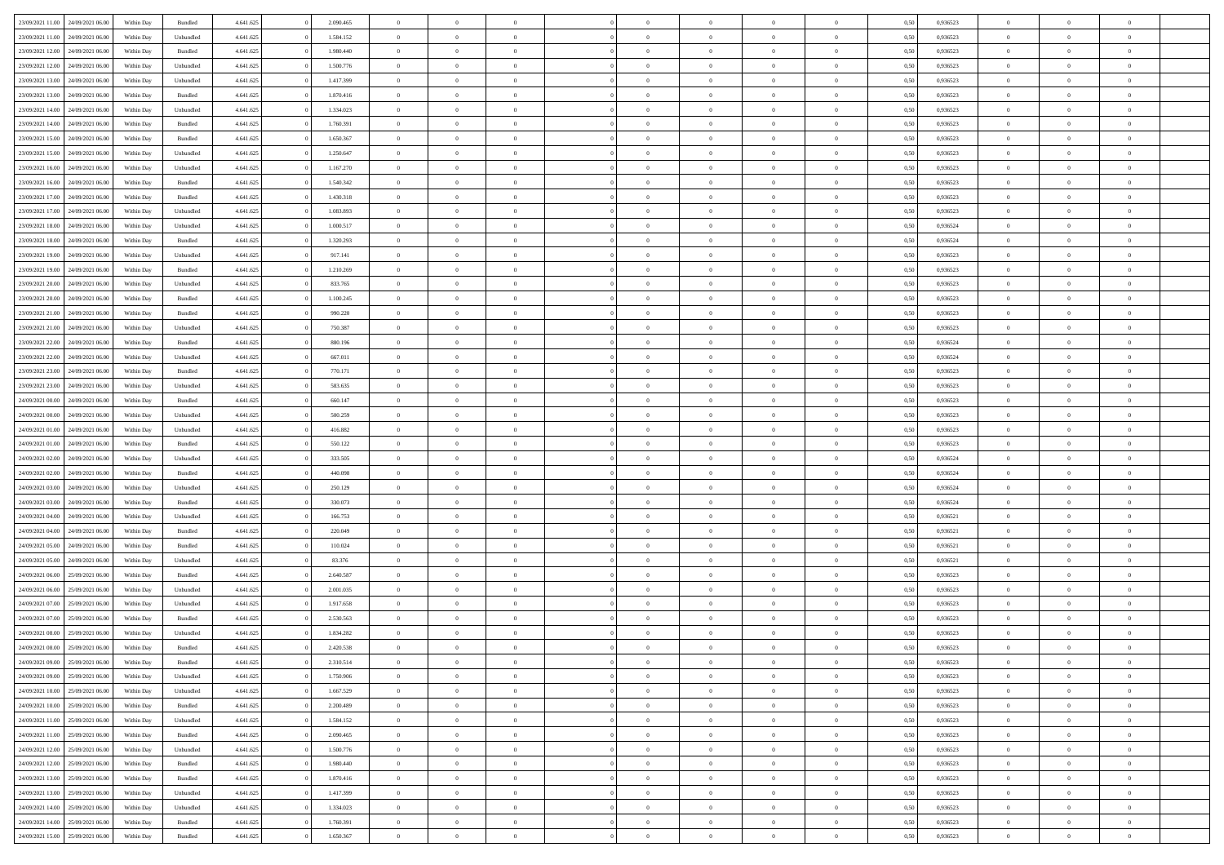| 23/09/2021 11:00                  | 24/09/2021 06:00 | Within Day | Bundled            | 4.641.625 | 2.090.465 | $\overline{0}$ | $\Omega$       |                | $\Omega$       | $\Omega$       | $\theta$       | $\theta$       | 0.50 | 0,936523 | $\theta$       | $\theta$       | $\theta$       |  |
|-----------------------------------|------------------|------------|--------------------|-----------|-----------|----------------|----------------|----------------|----------------|----------------|----------------|----------------|------|----------|----------------|----------------|----------------|--|
|                                   |                  |            |                    |           |           |                |                |                |                |                |                |                |      |          |                |                |                |  |
| 23/09/2021 11:00                  | 24/09/2021 06.00 | Within Day | Unbundled          | 4.641.625 | 1.584.152 | $\overline{0}$ | $\theta$       | $\overline{0}$ | $\overline{0}$ | $\bf{0}$       | $\overline{0}$ | $\bf{0}$       | 0,50 | 0,936523 | $\theta$       | $\overline{0}$ | $\overline{0}$ |  |
| 23/09/2021 12:00                  | 24/09/2021 06:00 | Within Day | Bundled            | 4.641.625 | 1.980.440 | $\overline{0}$ | $\bf{0}$       | $\overline{0}$ | $\bf{0}$       | $\bf{0}$       | $\bf{0}$       | $\mathbf{0}$   | 0,50 | 0,936523 | $\bf{0}$       | $\overline{0}$ | $\bf{0}$       |  |
| 23/09/2021 12:00                  | 24/09/2021 06:00 | Within Day | Unbundled          | 4.641.625 | 1.500.776 | $\overline{0}$ | $\overline{0}$ | $\overline{0}$ | $\overline{0}$ | $\bf{0}$       | $\overline{0}$ | $\overline{0}$ | 0.50 | 0.936523 | $\theta$       | $\theta$       | $\overline{0}$ |  |
|                                   |                  |            |                    |           |           |                |                |                |                |                |                |                |      |          |                |                |                |  |
| 23/09/2021 13:00                  | 24/09/2021 06.00 | Within Day | Unbundled          | 4.641.625 | 1.417.399 | $\overline{0}$ | $\theta$       | $\overline{0}$ | $\overline{0}$ | $\bf{0}$       | $\overline{0}$ | $\bf{0}$       | 0,50 | 0,936523 | $\theta$       | $\overline{0}$ | $\overline{0}$ |  |
| 23/09/2021 13:00                  | 24/09/2021 06:00 | Within Day | Bundled            | 4.641.625 | 1.870.416 | $\overline{0}$ | $\overline{0}$ | $\overline{0}$ | $\bf{0}$       | $\overline{0}$ | $\overline{0}$ | $\mathbf{0}$   | 0,50 | 0,936523 | $\bf{0}$       | $\overline{0}$ | $\bf{0}$       |  |
| 23/09/2021 14:00                  | 24/09/2021 06.00 | Within Dav | Unbundled          | 4.641.625 | 1.334.023 | $\overline{0}$ | $\overline{0}$ | $\overline{0}$ | $\overline{0}$ | $\overline{0}$ | $\overline{0}$ | $\overline{0}$ | 0.50 | 0.936523 | $\theta$       | $\overline{0}$ | $\overline{0}$ |  |
| 23/09/2021 14:00                  | 24/09/2021 06.00 | Within Day | Bundled            | 4.641.625 | 1.760.391 | $\overline{0}$ | $\theta$       | $\overline{0}$ | $\overline{0}$ | $\bf{0}$       | $\overline{0}$ | $\bf{0}$       | 0,50 | 0,936523 | $\theta$       | $\theta$       | $\overline{0}$ |  |
|                                   |                  |            |                    |           |           |                | $\overline{0}$ |                |                | $\bf{0}$       |                |                |      |          | $\,0\,$        | $\overline{0}$ | $\overline{0}$ |  |
| 23/09/2021 15:00                  | 24/09/2021 06:00 | Within Day | Bundled            | 4.641.625 | 1.650.367 | $\overline{0}$ |                | $\overline{0}$ | $\bf{0}$       |                | $\bf{0}$       | $\bf{0}$       | 0,50 | 0,936523 |                |                |                |  |
| 23/09/2021 15:00                  | 24/09/2021 06.00 | Within Dav | Unbundled          | 4.641.625 | 1.250.647 | $\overline{0}$ | $\overline{0}$ | $\overline{0}$ | $\overline{0}$ | $\overline{0}$ | $\overline{0}$ | $\overline{0}$ | 0.50 | 0.936523 | $\theta$       | $\overline{0}$ | $\overline{0}$ |  |
| 23/09/2021 16:00                  | 24/09/2021 06.00 | Within Day | Unbundled          | 4.641.625 | 1.167.270 | $\overline{0}$ | $\theta$       | $\overline{0}$ | $\overline{0}$ | $\bf{0}$       | $\overline{0}$ | $\bf{0}$       | 0,50 | 0,936523 | $\,$ 0 $\,$    | $\overline{0}$ | $\overline{0}$ |  |
| 23/09/2021 16:00                  | 24/09/2021 06:00 | Within Day | Bundled            | 4.641.625 | 1.540.342 | $\overline{0}$ | $\bf{0}$       | $\overline{0}$ | $\bf{0}$       | $\bf{0}$       | $\bf{0}$       | $\mathbf{0}$   | 0,50 | 0,936523 | $\overline{0}$ | $\overline{0}$ | $\bf{0}$       |  |
| 23/09/2021 17:00                  | 24/09/2021 06:00 | Within Day | Bundled            | 4.641.625 | 1.430.318 | $\overline{0}$ | $\overline{0}$ | $\overline{0}$ | $\overline{0}$ | $\bf{0}$       | $\overline{0}$ | $\overline{0}$ | 0.50 | 0.936523 | $\theta$       | $\theta$       | $\overline{0}$ |  |
|                                   |                  |            |                    |           |           | $\overline{0}$ | $\theta$       | $\overline{0}$ | $\overline{0}$ | $\bf{0}$       | $\overline{0}$ |                |      |          | $\theta$       | $\overline{0}$ | $\overline{0}$ |  |
| 23/09/2021 17:00                  | 24/09/2021 06.00 | Within Day | Unbundled          | 4.641.625 | 1.083.893 |                |                |                |                |                |                | $\bf{0}$       | 0,50 | 0,936523 |                |                |                |  |
| 23/09/2021 18:00                  | 24/09/2021 06:00 | Within Day | Unbundled          | 4.641.625 | 1.000.517 | $\overline{0}$ | $\overline{0}$ | $\overline{0}$ | $\bf{0}$       | $\overline{0}$ | $\overline{0}$ | $\mathbf{0}$   | 0,50 | 0,936524 | $\overline{0}$ | $\overline{0}$ | $\bf{0}$       |  |
| 23/09/2021 18:00                  | 24/09/2021 06:00 | Within Dav | Bundled            | 4.641.625 | 1.320.293 | $\overline{0}$ | $\overline{0}$ | $\overline{0}$ | $\overline{0}$ | $\overline{0}$ | $\overline{0}$ | $\overline{0}$ | 0.50 | 0,936524 | $\theta$       | $\overline{0}$ | $\overline{0}$ |  |
| 23/09/2021 19:00                  | 24/09/2021 06.00 | Within Day | Unbundled          | 4.641.625 | 917.141   | $\overline{0}$ | $\theta$       | $\overline{0}$ | $\overline{0}$ | $\bf{0}$       | $\overline{0}$ | $\bf{0}$       | 0,50 | 0,936523 | $\theta$       | $\theta$       | $\overline{0}$ |  |
| 23/09/2021 19:00                  | 24/09/2021 06:00 | Within Day | Bundled            | 4.641.625 | 1.210.269 | $\overline{0}$ | $\overline{0}$ | $\overline{0}$ | $\bf{0}$       | $\bf{0}$       | $\bf{0}$       | $\mathbf{0}$   | 0,50 | 0,936523 | $\,0\,$        | $\overline{0}$ | $\bf{0}$       |  |
|                                   |                  |            |                    |           |           |                |                |                |                |                |                |                |      |          |                |                |                |  |
| 23/09/2021 20:00                  | 24/09/2021 06:00 | Within Day | Unbundled          | 4.641.625 | 833.765   | $\overline{0}$ | $\overline{0}$ | $\overline{0}$ | $\overline{0}$ | $\overline{0}$ | $\overline{0}$ | $\overline{0}$ | 0.50 | 0.936523 | $\theta$       | $\overline{0}$ | $\overline{0}$ |  |
| 23/09/2021 20:00                  | 24/09/2021 06.00 | Within Day | Bundled            | 4.641.625 | 1.100.245 | $\overline{0}$ | $\theta$       | $\overline{0}$ | $\overline{0}$ | $\bf{0}$       | $\overline{0}$ | $\bf{0}$       | 0,50 | 0,936523 | $\,$ 0 $\,$    | $\overline{0}$ | $\overline{0}$ |  |
| 23/09/2021 21:00                  | 24/09/2021 06:00 | Within Day | Bundled            | 4.641.625 | 990.220   | $\overline{0}$ | $\overline{0}$ | $\overline{0}$ | $\bf{0}$       | $\bf{0}$       | $\bf{0}$       | $\mathbf{0}$   | 0,50 | 0,936523 | $\,0\,$        | $\overline{0}$ | $\bf{0}$       |  |
| 23/09/2021 21:00                  | 24/09/2021 06:00 | Within Day | Unbundled          | 4.641.625 | 750,387   | $\overline{0}$ | $\overline{0}$ | $\overline{0}$ | $\overline{0}$ | $\bf{0}$       | $\overline{0}$ | $\overline{0}$ | 0.50 | 0.936523 | $\theta$       | $\overline{0}$ | $\overline{0}$ |  |
| 23/09/2021 22:00                  | 24/09/2021 06.00 | Within Day | Bundled            | 4.641.625 | 880.196   | $\overline{0}$ | $\theta$       | $\overline{0}$ | $\overline{0}$ | $\bf{0}$       | $\overline{0}$ | $\bf{0}$       | 0,50 | 0,936524 | $\,$ 0 $\,$    | $\overline{0}$ | $\overline{0}$ |  |
|                                   |                  |            |                    |           |           |                |                |                |                |                |                |                |      |          |                |                |                |  |
| 23/09/2021 22:00                  | 24/09/2021 06:00 | Within Day | Unbundled          | 4.641.625 | 667.011   | $\overline{0}$ | $\overline{0}$ | $\overline{0}$ | $\bf{0}$       | $\overline{0}$ | $\overline{0}$ | $\mathbf{0}$   | 0,50 | 0,936524 | $\bf{0}$       | $\overline{0}$ | $\bf{0}$       |  |
| 23/09/2021 23:00                  | 24/09/2021 06:00 | Within Dav | Bundled            | 4.641.625 | 770.171   | $\overline{0}$ | $\overline{0}$ | $\overline{0}$ | $\overline{0}$ | $\overline{0}$ | $\overline{0}$ | $\overline{0}$ | 0.50 | 0.936523 | $\theta$       | $\overline{0}$ | $\overline{0}$ |  |
| 23/09/2021 23:00                  | 24/09/2021 06.00 | Within Day | Unbundled          | 4.641.625 | 583.635   | $\overline{0}$ | $\theta$       | $\overline{0}$ | $\overline{0}$ | $\bf{0}$       | $\overline{0}$ | $\bf{0}$       | 0,50 | 0,936523 | $\theta$       | $\theta$       | $\overline{0}$ |  |
| 24/09/2021 00:00                  | 24/09/2021 06:00 | Within Day | Bundled            | 4.641.625 | 660.147   | $\overline{0}$ | $\overline{0}$ | $\overline{0}$ | $\bf{0}$       | $\bf{0}$       | $\bf{0}$       | $\bf{0}$       | 0,50 | 0,936523 | $\,0\,$        | $\overline{0}$ | $\overline{0}$ |  |
| 24/09/2021 00:00                  | 24/09/2021 06.00 | Within Day | Unbundled          | 4.641.625 | 500.259   | $\overline{0}$ | $\overline{0}$ | $\overline{0}$ | $\overline{0}$ | $\overline{0}$ | $\overline{0}$ | $\overline{0}$ | 0.50 | 0.936523 | $\theta$       | $\overline{0}$ | $\overline{0}$ |  |
|                                   |                  |            |                    |           |           |                |                |                |                |                |                |                |      |          |                |                |                |  |
| 24/09/2021 01:00                  | 24/09/2021 06.00 | Within Day | Unbundled          | 4.641.625 | 416.882   | $\overline{0}$ | $\theta$       | $\overline{0}$ | $\overline{0}$ | $\bf{0}$       | $\overline{0}$ | $\bf{0}$       | 0,50 | 0,936523 | $\,$ 0 $\,$    | $\overline{0}$ | $\overline{0}$ |  |
| 24/09/2021 01.00                  | 24/09/2021 06:00 | Within Day | Bundled            | 4.641.625 | 550.122   | $\overline{0}$ | $\bf{0}$       | $\overline{0}$ | $\bf{0}$       | $\bf{0}$       | $\bf{0}$       | $\bf{0}$       | 0,50 | 0,936523 | $\bf{0}$       | $\overline{0}$ | $\bf{0}$       |  |
| 24/09/2021 02:00                  | 24/09/2021 06.00 | Within Day | Unbundled          | 4.641.625 | 333.505   | $\overline{0}$ | $\Omega$       | $\overline{0}$ | $\Omega$       | $\Omega$       | $\overline{0}$ | $\overline{0}$ | 0,50 | 0,936524 | $\,0\,$        | $\theta$       | $\theta$       |  |
| 24/09/2021 02:00                  | 24/09/2021 06.00 | Within Day | Bundled            | 4.641.625 | 440.098   | $\overline{0}$ | $\theta$       | $\overline{0}$ | $\overline{0}$ | $\bf{0}$       | $\overline{0}$ | $\bf{0}$       | 0,50 | 0,936524 | $\theta$       | $\overline{0}$ | $\overline{0}$ |  |
|                                   |                  |            |                    |           |           |                |                |                |                |                |                |                |      |          |                | $\overline{0}$ | $\bf{0}$       |  |
| 24/09/2021 03:00                  | 24/09/2021 06:00 | Within Day | Unbundled          | 4.641.625 | 250.129   | $\overline{0}$ | $\overline{0}$ | $\overline{0}$ | $\bf{0}$       | $\overline{0}$ | $\overline{0}$ | $\mathbf{0}$   | 0,50 | 0,936524 | $\bf{0}$       |                |                |  |
| 24/09/2021 03.00                  | 24/09/2021 06:00 | Within Day | Bundled            | 4.641.625 | 330,073   | $\overline{0}$ | $\Omega$       | $\Omega$       | $\Omega$       | $\bf{0}$       | $\overline{0}$ | $\overline{0}$ | 0.50 | 0.936524 | $\,0\,$        | $\theta$       | $\theta$       |  |
| 24/09/2021 04:00                  | 24/09/2021 06.00 | Within Day | Unbundled          | 4.641.625 | 166.753   | $\overline{0}$ | $\theta$       | $\overline{0}$ | $\overline{0}$ | $\bf{0}$       | $\overline{0}$ | $\bf{0}$       | 0,50 | 0,936521 | $\theta$       | $\overline{0}$ | $\overline{0}$ |  |
| 24/09/2021 04:00                  | 24/09/2021 06:00 | Within Day | Bundled            | 4.641.625 | 220.049   | $\overline{0}$ | $\overline{0}$ | $\overline{0}$ | $\bf{0}$       | $\bf{0}$       | $\bf{0}$       | $\bf{0}$       | 0,50 | 0,936521 | $\,0\,$        | $\overline{0}$ | $\bf{0}$       |  |
| 24/09/2021 05:00                  | 24/09/2021 06:00 | Within Day | Bundled            | 4.641.625 | 110.024   | $\overline{0}$ | $\Omega$       | $\Omega$       | $\Omega$       | $\overline{0}$ | $\overline{0}$ | $\overline{0}$ | 0.50 | 0.936521 | $\,$ 0 $\,$    | $\theta$       | $\theta$       |  |
| 24/09/2021 05:00                  | 24/09/2021 06.00 | Within Day | Unbundled          | 4.641.625 | 83.376    | $\overline{0}$ | $\theta$       | $\overline{0}$ | $\overline{0}$ | $\,$ 0         | $\overline{0}$ | $\bf{0}$       | 0,50 | 0,936521 | $\,$ 0 $\,$    | $\overline{0}$ | $\overline{0}$ |  |
|                                   |                  |            |                    |           |           |                |                |                |                |                |                |                |      |          |                |                |                |  |
| 24/09/2021 06:00                  | 25/09/2021 06:00 | Within Day | Bundled            | 4.641.625 | 2.640.587 | $\overline{0}$ | $\overline{0}$ | $\overline{0}$ | $\bf{0}$       | $\bf{0}$       | $\bf{0}$       | $\mathbf{0}$   | 0,50 | 0,936523 | $\overline{0}$ | $\overline{0}$ | $\bf{0}$       |  |
| 24/09/2021 06:00                  | 25/09/2021 06:00 | Within Day | Unbundled          | 4.641.625 | 2.001.035 | $\overline{0}$ | $\Omega$       | $\overline{0}$ | $\Omega$       | $\overline{0}$ | $\overline{0}$ | $\overline{0}$ | 0,50 | 0,936523 | $\,0\,$        | $\theta$       | $\theta$       |  |
| 24/09/2021 07:00                  | 25/09/2021 06:00 | Within Day | Unbundled          | 4.641.625 | 1.917.658 | $\overline{0}$ | $\overline{0}$ | $\overline{0}$ | $\overline{0}$ | $\,$ 0         | $\overline{0}$ | $\bf{0}$       | 0,50 | 0,936523 | $\,$ 0 $\,$    | $\overline{0}$ | $\overline{0}$ |  |
| 24/09/2021 07:00                  | 25/09/2021 06:00 | Within Day | Bundled            | 4.641.625 | 2.530.563 | $\overline{0}$ | $\overline{0}$ | $\overline{0}$ | $\bf{0}$       | $\bf{0}$       | $\overline{0}$ | $\mathbf{0}$   | 0,50 | 0,936523 | $\overline{0}$ | $\overline{0}$ | $\bf{0}$       |  |
| 24/09/2021 08:00                  | 25/09/2021 06:00 | Within Day | Unbundled          | 4.641.625 | 1.834.282 | $\overline{0}$ | $\Omega$       | $\Omega$       | $\Omega$       | $\Omega$       | $\Omega$       | $\overline{0}$ | 0.50 | 0.936523 | $\theta$       | $\theta$       | $\theta$       |  |
|                                   |                  |            |                    |           |           |                |                |                |                |                |                |                |      |          |                |                |                |  |
| 24/09/2021 08:00                  | 25/09/2021 06:00 | Within Day | Bundled            | 4.641.625 | 2.420.538 | $\overline{0}$ | $\overline{0}$ | $\overline{0}$ | $\bf{0}$       | $\,$ 0         | $\bf{0}$       | $\bf{0}$       | 0,50 | 0,936523 | $\,0\,$        | $\,$ 0 $\,$    | $\overline{0}$ |  |
| 24/09/2021 09:00                  | 25/09/2021 06:00 | Within Day | $\mathbf B$ undled | 4.641.625 | 2.310.514 | $\overline{0}$ | $\bf{0}$       |                |                | $\bf{0}$       |                |                | 0,50 | 0,936523 | $\bf{0}$       | $\overline{0}$ |                |  |
| 24/09/2021 09:00                  | 25/09/2021 06:00 | Within Day | Unbundled          | 4.641.625 | 1.750.906 | $\overline{0}$ | $\overline{0}$ | $\Omega$       | $\Omega$       | $\overline{0}$ | $\overline{0}$ | $\overline{0}$ | 0.50 | 0.936523 | $\theta$       | $\theta$       | $\theta$       |  |
| 24/09/2021 10:00                  | 25/09/2021 06.00 | Within Day | Unbundled          | 4.641.625 | 1.667.529 | $\overline{0}$ | $\,$ 0         | $\overline{0}$ | $\bf{0}$       | $\,$ 0 $\,$    | $\overline{0}$ | $\mathbf{0}$   | 0,50 | 0,936523 | $\,$ 0 $\,$    | $\,$ 0 $\,$    | $\,$ 0         |  |
| 24/09/2021 10:00                  | 25/09/2021 06:00 | Within Day | Bundled            | 4.641.625 | 2.200.489 | $\overline{0}$ | $\overline{0}$ | $\overline{0}$ | $\overline{0}$ | $\overline{0}$ | $\overline{0}$ | $\mathbf{0}$   | 0,50 | 0,936523 | $\overline{0}$ | $\bf{0}$       | $\bf{0}$       |  |
|                                   |                  |            |                    |           |           |                |                |                |                |                |                |                |      |          |                |                |                |  |
| 24/09/2021 11:00                  | 25/09/2021 06:00 | Within Day | Unbundled          | 4.641.625 | 1.584.152 | $\overline{0}$ | $\overline{0}$ | $\overline{0}$ | $\Omega$       | $\overline{0}$ | $\overline{0}$ | $\bf{0}$       | 0,50 | 0,936523 | $\overline{0}$ | $\theta$       | $\overline{0}$ |  |
| 24/09/2021 11:00                  | 25/09/2021 06.00 | Within Day | Bundled            | 4.641.625 | 2.090.465 | $\overline{0}$ | $\,$ 0         | $\overline{0}$ | $\overline{0}$ | $\overline{0}$ | $\overline{0}$ | $\bf{0}$       | 0,50 | 0,936523 | $\,$ 0 $\,$    | $\overline{0}$ | $\overline{0}$ |  |
| 24/09/2021 12:00                  | 25/09/2021 06:00 | Within Day | Unbundled          | 4.641.625 | 1.500.776 | $\overline{0}$ | $\overline{0}$ | $\overline{0}$ | $\overline{0}$ | $\overline{0}$ | $\overline{0}$ | $\mathbf{0}$   | 0,50 | 0,936523 | $\overline{0}$ | $\overline{0}$ | $\bf{0}$       |  |
| 24/09/2021 12:00                  | 25/09/2021 06:00 | Within Day | Bundled            | 4.641.625 | 1.980.440 | $\overline{0}$ | $\overline{0}$ | $\overline{0}$ | $\Omega$       | $\overline{0}$ | $\overline{0}$ | $\bf{0}$       | 0.50 | 0,936523 | $\overline{0}$ | $\theta$       | $\overline{0}$ |  |
| 24/09/2021 13:00                  | 25/09/2021 06.00 |            | Bundled            | 4.641.625 | 1.870.416 | $\overline{0}$ | $\,$ 0         | $\overline{0}$ |                | $\bf{0}$       |                |                |      | 0,936523 | $\,$ 0 $\,$    | $\overline{0}$ | $\overline{0}$ |  |
|                                   |                  | Within Day |                    |           |           |                |                |                | $\bf{0}$       |                | $\bf{0}$       | $\bf{0}$       | 0,50 |          |                |                |                |  |
| 24/09/2021 13:00                  | 25/09/2021 06:00 | Within Day | Unbundled          | 4.641.625 | 1.417.399 | $\overline{0}$ | $\bf{0}$       | $\overline{0}$ | $\overline{0}$ | $\overline{0}$ | $\overline{0}$ | $\mathbf{0}$   | 0,50 | 0,936523 | $\overline{0}$ | $\overline{0}$ | $\bf{0}$       |  |
| 24/09/2021 14:00                  | 25/09/2021 06:00 | Within Day | Unbundled          | 4.641.625 | 1.334.023 | $\overline{0}$ | $\overline{0}$ | $\overline{0}$ | $\Omega$       | $\overline{0}$ | $\overline{0}$ | $\bf{0}$       | 0.50 | 0.936523 | $\overline{0}$ | $\theta$       | $\overline{0}$ |  |
| 24/09/2021 14:00                  | 25/09/2021 06.00 | Within Day | Bundled            | 4.641.625 | 1.760.391 | $\overline{0}$ | $\bf{0}$       | $\overline{0}$ | $\overline{0}$ | $\bf{0}$       | $\bf{0}$       | $\mathbf{0}$   | 0,50 | 0,936523 | $\,$ 0 $\,$    | $\,$ 0 $\,$    | $\bf{0}$       |  |
| 24/09/2021 15:00 25/09/2021 06:00 |                  | Within Day | Bundled            | 4.641.625 | 1.650.367 | $\overline{0}$ | $\overline{0}$ | $\overline{0}$ | $\overline{0}$ | $\bf{0}$       | $\bf{0}$       | $\mathbf{0}$   | 0,50 | 0,936523 | $\overline{0}$ | $\bf{0}$       | $\bf{0}$       |  |
|                                   |                  |            |                    |           |           |                |                |                |                |                |                |                |      |          |                |                |                |  |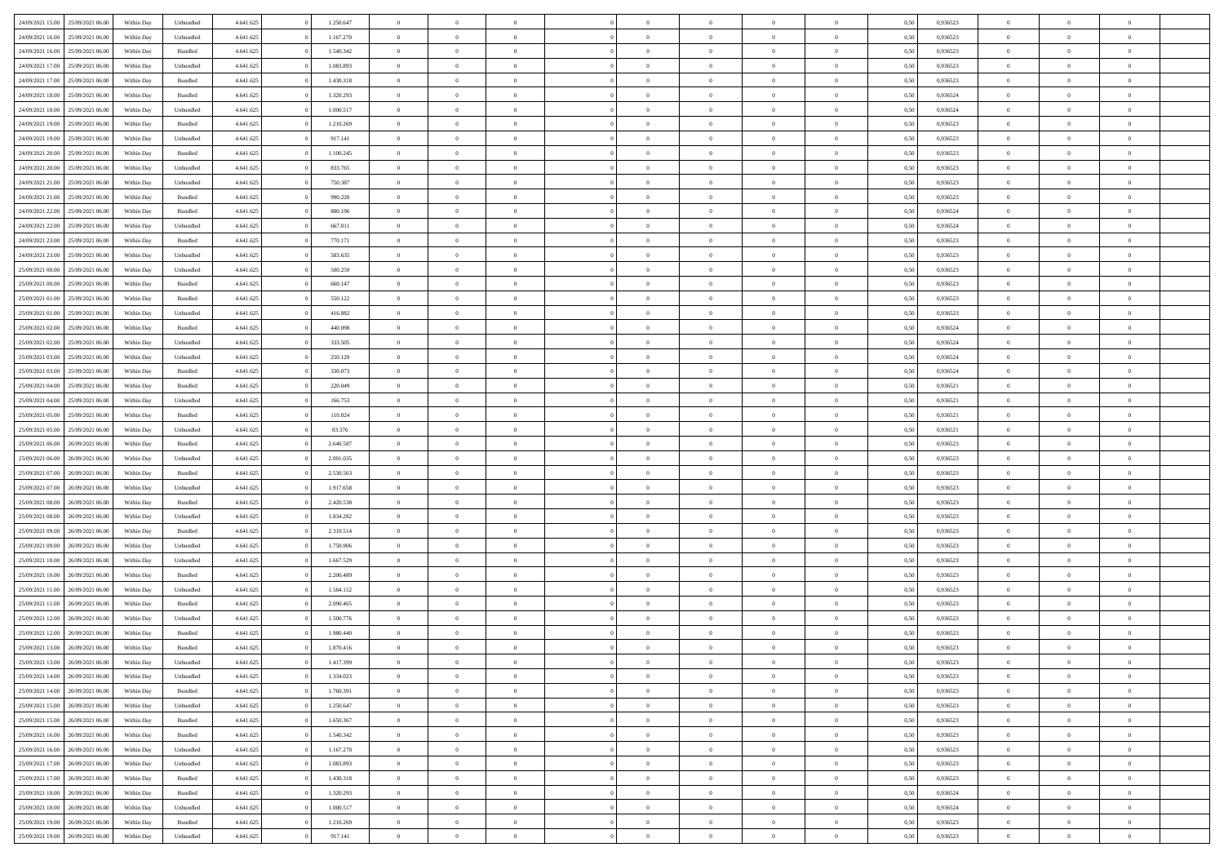| 24/09/2021 15:00 | 25/09/2021 06:00 | Within Day | Unbundled | 4.641.625 | 1.250.647 | $\overline{0}$ | $\theta$       |                | $\Omega$       | $\Omega$       | $\theta$       | $\theta$       | 0.50 | 0,936523 | $\theta$       | $\overline{0}$ | $\theta$       |  |
|------------------|------------------|------------|-----------|-----------|-----------|----------------|----------------|----------------|----------------|----------------|----------------|----------------|------|----------|----------------|----------------|----------------|--|
| 24/09/2021 16:00 | 25/09/2021 06:00 | Within Day | Unbundled | 4.641.625 | 1.167.270 | $\overline{0}$ | $\theta$       | $\overline{0}$ | $\overline{0}$ | $\bf{0}$       | $\overline{0}$ | $\bf{0}$       | 0,50 | 0,936523 | $\theta$       | $\overline{0}$ | $\overline{0}$ |  |
| 24/09/2021 16:00 | 25/09/2021 06:00 | Within Day | Bundled   | 4.641.625 | 1.540.342 | $\overline{0}$ | $\bf{0}$       | $\overline{0}$ | $\bf{0}$       | $\bf{0}$       | $\bf{0}$       | $\mathbf{0}$   | 0,50 | 0,936523 | $\bf{0}$       | $\overline{0}$ | $\bf{0}$       |  |
|                  |                  |            |           |           |           |                |                |                |                |                |                |                |      |          | $\theta$       |                |                |  |
| 24/09/2021 17:00 | 25/09/2021 06:00 | Within Dav | Unbundled | 4.641.625 | 1.083.893 | $\overline{0}$ | $\overline{0}$ | $\overline{0}$ | $\overline{0}$ | $\bf{0}$       | $\overline{0}$ | $\overline{0}$ | 0.50 | 0.936523 |                | $\theta$       | $\overline{0}$ |  |
| 24/09/2021 17:00 | 25/09/2021 06:00 | Within Day | Bundled   | 4.641.625 | 1.430.318 | $\overline{0}$ | $\theta$       | $\overline{0}$ | $\overline{0}$ | $\bf{0}$       | $\overline{0}$ | $\bf{0}$       | 0,50 | 0,936523 | $\theta$       | $\overline{0}$ | $\overline{0}$ |  |
| 24/09/2021 18:00 | 25/09/2021 06:00 | Within Day | Bundled   | 4.641.625 | 1.320.293 | $\overline{0}$ | $\overline{0}$ | $\overline{0}$ | $\bf{0}$       | $\overline{0}$ | $\overline{0}$ | $\mathbf{0}$   | 0,50 | 0,936524 | $\bf{0}$       | $\overline{0}$ | $\bf{0}$       |  |
| 24/09/2021 18:00 | 25/09/2021 06:00 | Within Dav | Unbundled | 4.641.625 | 1.000.517 | $\overline{0}$ | $\overline{0}$ | $\overline{0}$ | $\overline{0}$ | $\overline{0}$ | $\overline{0}$ | $\overline{0}$ | 0.50 | 0,936524 | $\theta$       | $\overline{0}$ | $\overline{0}$ |  |
|                  |                  |            |           |           |           |                |                |                |                |                |                |                |      |          |                |                |                |  |
| 24/09/2021 19:00 | 25/09/2021 06:00 | Within Day | Bundled   | 4.641.625 | 1.210.269 | $\overline{0}$ | $\theta$       | $\overline{0}$ | $\overline{0}$ | $\bf{0}$       | $\overline{0}$ | $\bf{0}$       | 0,50 | 0,936523 | $\theta$       | $\theta$       | $\overline{0}$ |  |
| 24/09/2021 19:00 | 25/09/2021 06:00 | Within Day | Unbundled | 4.641.625 | 917.141   | $\overline{0}$ | $\overline{0}$ | $\overline{0}$ | $\bf{0}$       | $\bf{0}$       | $\bf{0}$       | $\bf{0}$       | 0,50 | 0,936523 | $\,0\,$        | $\overline{0}$ | $\overline{0}$ |  |
| 24/09/2021 20:00 | 25/09/2021 06:00 | Within Dav | Bundled   | 4.641.625 | 1.100.245 | $\overline{0}$ | $\overline{0}$ | $\overline{0}$ | $\overline{0}$ | $\overline{0}$ | $\overline{0}$ | $\overline{0}$ | 0.50 | 0.936523 | $\theta$       | $\overline{0}$ | $\overline{0}$ |  |
| 24/09/2021 20:00 | 25/09/2021 06:00 |            |           | 4.641.625 | 833.765   | $\overline{0}$ | $\theta$       | $\overline{0}$ | $\overline{0}$ | $\bf{0}$       | $\overline{0}$ |                |      | 0,936523 | $\,$ 0 $\,$    | $\overline{0}$ | $\overline{0}$ |  |
|                  |                  | Within Day | Unbundled |           |           |                |                |                |                |                |                | $\bf{0}$       | 0,50 |          |                |                |                |  |
| 24/09/2021 21:00 | 25/09/2021 06:00 | Within Day | Unbundled | 4.641.625 | 750.387   | $\overline{0}$ | $\bf{0}$       | $\overline{0}$ | $\bf{0}$       | $\bf{0}$       | $\bf{0}$       | $\mathbf{0}$   | 0,50 | 0,936523 | $\bf{0}$       | $\overline{0}$ | $\bf{0}$       |  |
| 24/09/2021 21:00 | 25/09/2021 06:00 | Within Day | Bundled   | 4.641.625 | 990.220   | $\overline{0}$ | $\overline{0}$ | $\overline{0}$ | $\overline{0}$ | $\bf{0}$       | $\overline{0}$ | $\overline{0}$ | 0.50 | 0.936523 | $\theta$       | $\theta$       | $\overline{0}$ |  |
| 24/09/2021 22.00 | 25/09/2021 06:00 | Within Day | Bundled   | 4.641.625 | 880.196   | $\overline{0}$ | $\theta$       | $\overline{0}$ | $\overline{0}$ | $\bf{0}$       | $\overline{0}$ | $\bf{0}$       | 0,50 | 0,936524 | $\theta$       | $\overline{0}$ | $\overline{0}$ |  |
|                  |                  |            |           |           |           |                |                |                |                |                |                |                |      |          |                |                |                |  |
| 24/09/2021 22.00 | 25/09/2021 06:00 | Within Day | Unbundled | 4.641.625 | 667.011   | $\overline{0}$ | $\overline{0}$ | $\overline{0}$ | $\bf{0}$       | $\overline{0}$ | $\overline{0}$ | $\mathbf{0}$   | 0,50 | 0,936524 | $\overline{0}$ | $\overline{0}$ | $\bf{0}$       |  |
| 24/09/2021 23:00 | 25/09/2021 06:00 | Within Dav | Bundled   | 4.641.625 | 770.171   | $\overline{0}$ | $\overline{0}$ | $\overline{0}$ | $\overline{0}$ | $\overline{0}$ | $\overline{0}$ | $\overline{0}$ | 0.50 | 0.936523 | $\theta$       | $\overline{0}$ | $\overline{0}$ |  |
| 24/09/2021 23:00 | 25/09/2021 06:00 | Within Day | Unbundled | 4.641.625 | 583.635   | $\overline{0}$ | $\theta$       | $\overline{0}$ | $\overline{0}$ | $\bf{0}$       | $\overline{0}$ | $\bf{0}$       | 0,50 | 0,936523 | $\theta$       | $\theta$       | $\overline{0}$ |  |
| 25/09/2021 00:00 | 25/09/2021 06:00 | Within Day | Unbundled | 4.641.625 | 500.259   | $\overline{0}$ | $\overline{0}$ | $\overline{0}$ | $\bf{0}$       | $\bf{0}$       | $\bf{0}$       | $\mathbf{0}$   | 0,50 | 0,936523 | $\,0\,$        | $\overline{0}$ | $\overline{0}$ |  |
| 25/09/2021 00:00 | 25/09/2021 06:00 |            | Bundled   | 4.641.625 | 660.147   | $\overline{0}$ | $\overline{0}$ | $\overline{0}$ | $\overline{0}$ | $\overline{0}$ | $\overline{0}$ | $\overline{0}$ | 0.50 | 0.936523 | $\theta$       | $\overline{0}$ | $\overline{0}$ |  |
|                  |                  | Within Day |           |           |           |                |                |                |                |                |                |                |      |          |                |                |                |  |
| 25/09/2021 01:00 | 25/09/2021 06:00 | Within Day | Bundled   | 4.641.625 | 550.122   | $\overline{0}$ | $\theta$       | $\overline{0}$ | $\overline{0}$ | $\bf{0}$       | $\overline{0}$ | $\bf{0}$       | 0,50 | 0,936523 | $\,$ 0 $\,$    | $\overline{0}$ | $\overline{0}$ |  |
| 25/09/2021 01:00 | 25/09/2021 06:00 | Within Day | Unbundled | 4.641.625 | 416.882   | $\overline{0}$ | $\overline{0}$ | $\overline{0}$ | $\bf{0}$       | $\bf{0}$       | $\bf{0}$       | $\mathbf{0}$   | 0,50 | 0,936523 | $\bf{0}$       | $\overline{0}$ | $\bf{0}$       |  |
| 25/09/2021 02:00 | 25/09/2021 06:00 | Within Day | Bundled   | 4.641.625 | 440.098   | $\overline{0}$ | $\overline{0}$ | $\overline{0}$ | $\overline{0}$ | $\bf{0}$       | $\overline{0}$ | $\overline{0}$ | 0.50 | 0.936524 | $\theta$       | $\overline{0}$ | $\overline{0}$ |  |
| 25/09/2021 02:00 | 25/09/2021 06:00 |            |           | 4.641.625 | 333.505   | $\overline{0}$ | $\theta$       | $\overline{0}$ | $\overline{0}$ | $\bf{0}$       | $\overline{0}$ |                |      | 0,936524 | $\theta$       | $\overline{0}$ | $\overline{0}$ |  |
|                  |                  | Within Day | Unbundled |           |           |                |                |                |                |                |                | $\bf{0}$       | 0,50 |          |                |                |                |  |
| 25/09/2021 03:00 | 25/09/2021 06:00 | Within Day | Unbundled | 4.641.625 | 250.129   | $\overline{0}$ | $\overline{0}$ | $\overline{0}$ | $\bf{0}$       | $\overline{0}$ | $\overline{0}$ | $\mathbf{0}$   | 0,50 | 0,936524 | $\overline{0}$ | $\overline{0}$ | $\bf{0}$       |  |
| 25/09/2021 03:00 | 25/09/2021 06:00 | Within Dav | Bundled   | 4.641.625 | 330.073   | $\overline{0}$ | $\overline{0}$ | $\overline{0}$ | $\overline{0}$ | $\overline{0}$ | $\overline{0}$ | $\overline{0}$ | 0.50 | 0,936524 | $\theta$       | $\overline{0}$ | $\overline{0}$ |  |
| 25/09/2021 04:00 | 25/09/2021 06:00 | Within Day | Bundled   | 4.641.625 | 220.049   | $\overline{0}$ | $\theta$       | $\overline{0}$ | $\overline{0}$ | $\bf{0}$       | $\overline{0}$ | $\bf{0}$       | 0,50 | 0,936521 | $\theta$       | $\theta$       | $\overline{0}$ |  |
|                  | 25/09/2021 06:00 | Within Day | Unbundled | 4.641.625 | 166.753   | $\overline{0}$ | $\overline{0}$ | $\overline{0}$ | $\bf{0}$       | $\bf{0}$       | $\bf{0}$       | $\bf{0}$       | 0,50 | 0,936521 | $\,0\,$        | $\overline{0}$ | $\overline{0}$ |  |
| 25/09/2021 04:00 |                  |            |           |           |           |                |                |                |                |                |                |                |      |          |                |                |                |  |
| 25/09/2021 05:00 | 25/09/2021 06:00 | Within Day | Bundled   | 4.641.625 | 110.024   | $\overline{0}$ | $\overline{0}$ | $\overline{0}$ | $\overline{0}$ | $\overline{0}$ | $\overline{0}$ | $\overline{0}$ | 0.50 | 0,936521 | $\theta$       | $\overline{0}$ | $\overline{0}$ |  |
| 25/09/2021 05:00 | 25/09/2021 06:00 | Within Day | Unbundled | 4.641.625 | 83.376    | $\overline{0}$ | $\theta$       | $\overline{0}$ | $\overline{0}$ | $\bf{0}$       | $\overline{0}$ | $\bf{0}$       | 0,50 | 0,936521 | $\,$ 0 $\,$    | $\overline{0}$ | $\overline{0}$ |  |
| 25/09/2021 06:00 | 26/09/2021 06:00 | Within Day | Bundled   | 4.641.625 | 2.640.587 | $\overline{0}$ | $\overline{0}$ | $\overline{0}$ | $\bf{0}$       | $\bf{0}$       | $\bf{0}$       | $\bf{0}$       | 0,50 | 0,936523 | $\overline{0}$ | $\overline{0}$ | $\bf{0}$       |  |
| 25/09/2021 06:00 | 26/09/2021 06:00 |            |           | 4.641.625 | 2.001.035 | $\overline{0}$ | $\Omega$       | $\Omega$       | $\Omega$       | $\Omega$       | $\overline{0}$ | $\overline{0}$ | 0,50 | 0,936523 | $\,0\,$        | $\theta$       | $\theta$       |  |
|                  |                  | Within Day | Unbundled |           |           |                |                |                |                |                |                |                |      |          |                |                |                |  |
| 25/09/2021 07:00 | 26/09/2021 06:00 | Within Day | Bundled   | 4.641.625 | 2.530.563 | $\overline{0}$ | $\theta$       | $\overline{0}$ | $\overline{0}$ | $\bf{0}$       | $\overline{0}$ | $\bf{0}$       | 0,50 | 0,936523 | $\theta$       | $\overline{0}$ | $\overline{0}$ |  |
| 25/09/2021 07:00 | 26/09/2021 06:00 | Within Day | Unbundled | 4.641.625 | 1.917.658 | $\overline{0}$ | $\overline{0}$ | $\overline{0}$ | $\bf{0}$       | $\overline{0}$ | $\overline{0}$ | $\mathbf{0}$   | 0,50 | 0,936523 | $\overline{0}$ | $\overline{0}$ | $\bf{0}$       |  |
| 25/09/2021 08:00 | 26/09/2021 06:00 | Within Day | Bundled   | 4.641.625 | 2.420.538 | $\overline{0}$ | $\Omega$       | $\Omega$       | $\Omega$       | $\bf{0}$       | $\overline{0}$ | $\overline{0}$ | 0.50 | 0.936523 | $\,0\,$        | $\theta$       | $\theta$       |  |
| 25/09/2021 08:00 | 26/09/2021 06:00 | Within Day | Unbundled | 4.641.625 | 1.834.282 | $\overline{0}$ | $\theta$       | $\overline{0}$ | $\overline{0}$ | $\bf{0}$       | $\overline{0}$ | $\bf{0}$       | 0,50 | 0,936523 | $\theta$       | $\overline{0}$ | $\overline{0}$ |  |
|                  |                  |            |           |           |           |                |                |                |                |                |                |                |      |          |                |                |                |  |
| 25/09/2021 09:00 | 26/09/2021 06:00 | Within Day | Bundled   | 4.641.625 | 2.310.514 | $\overline{0}$ | $\overline{0}$ | $\overline{0}$ | $\overline{0}$ | $\bf{0}$       | $\overline{0}$ | $\bf{0}$       | 0,50 | 0,936523 | $\bf{0}$       | $\overline{0}$ | $\bf{0}$       |  |
| 25/09/2021 09:00 | 26/09/2021 06:00 | Within Day | Unbundled | 4.641.625 | 1.750.906 | $\overline{0}$ | $\Omega$       | $\Omega$       | $\Omega$       | $\theta$       | $\overline{0}$ | $\overline{0}$ | 0.50 | 0.936523 | $\,$ 0 $\,$    | $\theta$       | $\theta$       |  |
| 25/09/2021 10:00 | 26/09/2021 06:00 | Within Day | Unbundled | 4.641.625 | 1.667.529 | $\overline{0}$ | $\theta$       | $\overline{0}$ | $\overline{0}$ | $\bf{0}$       | $\overline{0}$ | $\bf{0}$       | 0,50 | 0,936523 | $\,$ 0 $\,$    | $\overline{0}$ | $\overline{0}$ |  |
| 25/09/2021 10:00 | 26/09/2021 06:00 | Within Day | Bundled   | 4.641.625 | 2.200.489 | $\overline{0}$ | $\bf{0}$       | $\overline{0}$ | $\overline{0}$ | $\bf{0}$       | $\overline{0}$ | $\mathbf{0}$   | 0,50 | 0,936523 | $\overline{0}$ | $\overline{0}$ | $\bf{0}$       |  |
|                  |                  |            |           |           |           |                |                |                |                |                |                |                |      |          |                |                |                |  |
| 25/09/2021 11:00 | 26/09/2021 06:00 | Within Day | Unbundled | 4.641.625 | 1.584.152 | $\overline{0}$ | $\Omega$       | $\overline{0}$ | $\Omega$       | $\overline{0}$ | $\overline{0}$ | $\overline{0}$ | 0,50 | 0,936523 | $\,0\,$        | $\theta$       | $\theta$       |  |
| 25/09/2021 11:00 | 26/09/2021 06:00 | Within Day | Bundled   | 4.641.625 | 2.090.465 | $\overline{0}$ | $\theta$       | $\overline{0}$ | $\overline{0}$ | $\,$ 0         | $\overline{0}$ | $\bf{0}$       | 0,50 | 0,936523 | $\,$ 0 $\,$    | $\overline{0}$ | $\overline{0}$ |  |
| 25/09/2021 12:00 | 26/09/2021 06:00 | Within Day | Unbundled | 4.641.625 | 1.500.776 | $\overline{0}$ | $\overline{0}$ | $\overline{0}$ | $\overline{0}$ | $\bf{0}$       | $\overline{0}$ | $\mathbf{0}$   | 0,50 | 0,936523 | $\overline{0}$ | $\overline{0}$ | $\bf{0}$       |  |
| 25/09/2021 12:00 | 26/09/2021 06:00 | Within Day | Bundled   | 4.641.625 | 1.980.440 | $\overline{0}$ | $\Omega$       | $\Omega$       | $\Omega$       | $\Omega$       | $\Omega$       | $\overline{0}$ | 0.50 | 0.936523 | $\theta$       | $\theta$       | $\theta$       |  |
| 25/09/2021 13:00 | 26/09/2021 06:00 | Within Day | Bundled   | 4.641.625 | 1.870.416 | $\overline{0}$ | $\overline{0}$ | $\overline{0}$ | $\bf{0}$       | $\,$ 0         | $\overline{0}$ | $\bf{0}$       | 0,50 | 0,936523 | $\,0\,$        | $\,0\,$        | $\overline{0}$ |  |
|                  |                  |            |           |           |           |                |                |                |                |                |                |                |      |          |                |                |                |  |
| 25/09/2021 13:00 | 26/09/2021 06:00 | Within Day | Unbundled | 4.641.625 | 1.417.399 | $\overline{0}$ | $\bf{0}$       |                |                | $\bf{0}$       |                |                | 0,50 | 0,936523 | $\bf{0}$       | $\overline{0}$ |                |  |
| 25/09/2021 14:00 | 26/09/2021 06:00 | Within Day | Unbundled | 4.641.625 | 1.334.023 | $\overline{0}$ | $\overline{0}$ | $\overline{0}$ | $\Omega$       | $\overline{0}$ | $\overline{0}$ | $\overline{0}$ | 0.50 | 0.936523 | $\theta$       | $\theta$       | $\theta$       |  |
| 25/09/2021 14:00 | 26/09/2021 06:00 | Within Day | Bundled   | 4.641.625 | 1.760.391 | $\overline{0}$ | $\,$ 0         | $\overline{0}$ | $\overline{0}$ | $\,$ 0 $\,$    | $\overline{0}$ | $\mathbf{0}$   | 0,50 | 0,936523 | $\,$ 0 $\,$    | $\,$ 0 $\,$    | $\,$ 0         |  |
| 25/09/2021 15:00 | 26/09/2021 06:00 | Within Day | Unbundled | 4.641.625 | 1.250.647 | $\overline{0}$ | $\overline{0}$ | $\overline{0}$ | $\overline{0}$ | $\overline{0}$ | $\overline{0}$ | $\mathbf{0}$   | 0,50 | 0,936523 | $\overline{0}$ | $\bf{0}$       | $\bf{0}$       |  |
|                  |                  |            |           |           |           |                |                |                |                |                |                |                |      |          |                |                |                |  |
| 25/09/2021 15:00 | 26/09/2021 06:00 | Within Day | Bundled   | 4.641.625 | 1.650.367 | $\overline{0}$ | $\overline{0}$ | $\overline{0}$ | $\Omega$       | $\overline{0}$ | $\overline{0}$ | $\bf{0}$       | 0,50 | 0,936523 | $\overline{0}$ | $\theta$       | $\overline{0}$ |  |
| 25/09/2021 16:00 | 26/09/2021 06:00 | Within Day | Bundled   | 4.641.625 | 1.540.342 | $\overline{0}$ | $\,$ 0         | $\overline{0}$ | $\overline{0}$ | $\overline{0}$ | $\overline{0}$ | $\mathbf{0}$   | 0,50 | 0,936523 | $\,$ 0 $\,$    | $\overline{0}$ | $\overline{0}$ |  |
| 25/09/2021 16:00 | 26/09/2021 06:00 | Within Day | Unbundled | 4.641.625 | 1.167.270 | $\overline{0}$ | $\overline{0}$ | $\overline{0}$ | $\overline{0}$ | $\overline{0}$ | $\overline{0}$ | $\mathbf{0}$   | 0,50 | 0,936523 | $\overline{0}$ | $\overline{0}$ | $\bf{0}$       |  |
| 25/09/2021 17:00 | 26/09/2021 06:00 | Within Day | Unbundled | 4.641.625 | 1.083.893 | $\overline{0}$ | $\overline{0}$ | $\overline{0}$ | $\Omega$       | $\overline{0}$ | $\overline{0}$ | $\bf{0}$       | 0.50 | 0,936523 | $\overline{0}$ | $\theta$       | $\overline{0}$ |  |
|                  |                  |            |           |           |           |                |                |                |                |                |                |                |      |          |                |                |                |  |
| 25/09/2021 17:00 | 26/09/2021 06:00 | Within Day | Bundled   | 4.641.625 | 1.430.318 | $\overline{0}$ | $\,$ 0         | $\overline{0}$ | $\overline{0}$ | $\bf{0}$       | $\bf{0}$       | $\bf{0}$       | 0,50 | 0,936523 | $\,$ 0 $\,$    | $\overline{0}$ | $\overline{0}$ |  |
| 25/09/2021 18:00 | 26/09/2021 06:00 | Within Day | Bundled   | 4.641.625 | 1.320.293 | $\overline{0}$ | $\bf{0}$       | $\overline{0}$ | $\overline{0}$ | $\overline{0}$ | $\overline{0}$ | $\mathbf{0}$   | 0,50 | 0,936524 | $\overline{0}$ | $\overline{0}$ | $\bf{0}$       |  |
| 25/09/2021 18:00 | 26/09/2021 06:00 | Within Day | Unbundled | 4.641.625 | 1.000.517 | $\overline{0}$ | $\overline{0}$ | $\overline{0}$ | $\Omega$       | $\overline{0}$ | $\overline{0}$ | $\bf{0}$       | 0.50 | 0.936524 | $\overline{0}$ | $\theta$       | $\overline{0}$ |  |
| 25/09/2021 19:00 | 26/09/2021 06:00 | Within Day | Bundled   | 4.641.625 | 1.210.269 | $\overline{0}$ | $\bf{0}$       | $\overline{0}$ | $\overline{0}$ | $\bf{0}$       | $\bf{0}$       | $\mathbf{0}$   | 0,50 | 0,936523 | $\,$ 0 $\,$    | $\,$ 0 $\,$    | $\bf{0}$       |  |
|                  |                  |            |           |           |           |                |                |                |                |                |                |                |      |          |                |                |                |  |
| 25/09/2021 19:00 | 26/09/2021 06:00 | Within Day | Unbundled | 4.641.625 | 917.141   | $\overline{0}$ | $\overline{0}$ | $\overline{0}$ | $\overline{0}$ | $\bf{0}$       | $\bf{0}$       | $\mathbf{0}$   | 0,50 | 0,936523 | $\overline{0}$ | $\bf{0}$       | $\bf{0}$       |  |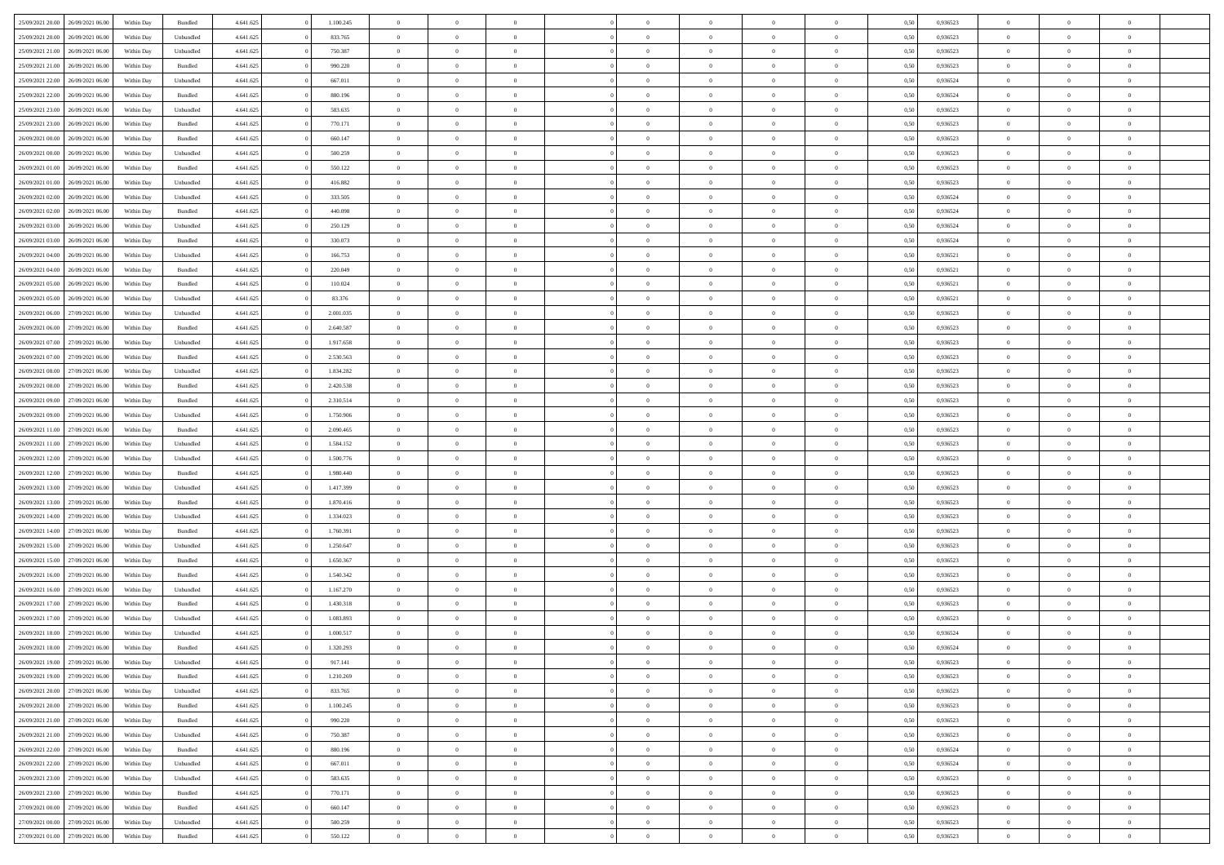| 25/09/2021 20:00                  | 26/09/2021 06:00 | Within Day | Bundled   | 4.641.625 | 1.100.245 | $\overline{0}$ | $\Omega$       |                | $\Omega$       | $\Omega$       | $\theta$       | $\theta$       | 0.50 | 0,936523 | $\theta$       | $\theta$       | $\theta$       |  |
|-----------------------------------|------------------|------------|-----------|-----------|-----------|----------------|----------------|----------------|----------------|----------------|----------------|----------------|------|----------|----------------|----------------|----------------|--|
| 25/09/2021 20:00                  | 26/09/2021 06:00 | Within Day | Unbundled | 4.641.625 | 833.765   | $\overline{0}$ | $\theta$       | $\overline{0}$ | $\overline{0}$ | $\bf{0}$       | $\overline{0}$ | $\bf{0}$       | 0,50 | 0,936523 | $\theta$       | $\overline{0}$ | $\overline{0}$ |  |
| 25/09/2021 21.00                  | 26/09/2021 06:00 | Within Day | Unbundled | 4.641.625 | 750.387   | $\overline{0}$ | $\bf{0}$       | $\overline{0}$ | $\bf{0}$       | $\bf{0}$       | $\bf{0}$       | $\mathbf{0}$   | 0,50 | 0,936523 | $\overline{0}$ | $\overline{0}$ | $\bf{0}$       |  |
| 25/09/2021 21:00                  | 26/09/2021 06:00 | Within Dav | Bundled   | 4.641.625 | 990.220   | $\overline{0}$ | $\overline{0}$ | $\overline{0}$ | $\overline{0}$ | $\bf{0}$       | $\overline{0}$ | $\overline{0}$ | 0.50 | 0.936523 | $\theta$       | $\theta$       | $\overline{0}$ |  |
| 25/09/2021 22.00                  | 26/09/2021 06:00 | Within Day | Unbundled | 4.641.625 | 667.011   | $\overline{0}$ | $\theta$       | $\overline{0}$ | $\overline{0}$ | $\bf{0}$       | $\overline{0}$ | $\bf{0}$       | 0,50 | 0,936524 | $\theta$       | $\overline{0}$ | $\overline{0}$ |  |
|                                   |                  |            |           |           |           |                |                |                |                |                |                |                |      |          |                |                |                |  |
| 25/09/2021 22:00                  | 26/09/2021 06:00 | Within Day | Bundled   | 4.641.625 | 880.196   | $\overline{0}$ | $\overline{0}$ | $\overline{0}$ | $\bf{0}$       | $\overline{0}$ | $\overline{0}$ | $\mathbf{0}$   | 0,50 | 0,936524 | $\overline{0}$ | $\overline{0}$ | $\bf{0}$       |  |
| 25/09/2021 23:00                  | 26/09/2021 06:00 | Within Dav | Unbundled | 4.641.625 | 583.635   | $\overline{0}$ | $\overline{0}$ | $\overline{0}$ | $\overline{0}$ | $\overline{0}$ | $\overline{0}$ | $\overline{0}$ | 0.50 | 0.936523 | $\theta$       | $\overline{0}$ | $\overline{0}$ |  |
| 25/09/2021 23.00                  | 26/09/2021 06:00 | Within Day | Bundled   | 4.641.625 | 770.171   | $\overline{0}$ | $\theta$       | $\overline{0}$ | $\overline{0}$ | $\bf{0}$       | $\overline{0}$ | $\bf{0}$       | 0,50 | 0,936523 | $\theta$       | $\theta$       | $\overline{0}$ |  |
| 26/09/2021 00:00                  | 26/09/2021 06:00 | Within Day | Bundled   | 4.641.625 | 660.147   | $\overline{0}$ | $\overline{0}$ | $\overline{0}$ | $\bf{0}$       | $\bf{0}$       | $\bf{0}$       | $\bf{0}$       | 0,50 | 0,936523 | $\,0\,$        | $\overline{0}$ | $\overline{0}$ |  |
| 26/09/2021 00:00                  | 26/09/2021 06:00 | Within Dav | Unbundled | 4.641.625 | 500.259   | $\overline{0}$ | $\overline{0}$ | $\overline{0}$ | $\overline{0}$ | $\overline{0}$ | $\overline{0}$ | $\overline{0}$ | 0.50 | 0.936523 | $\theta$       | $\overline{0}$ | $\overline{0}$ |  |
| 26/09/2021 01:00                  | 26/09/2021 06:00 | Within Day | Bundled   | 4.641.625 | 550.122   | $\overline{0}$ | $\theta$       | $\overline{0}$ | $\overline{0}$ | $\bf{0}$       | $\overline{0}$ | $\bf{0}$       | 0,50 | 0,936523 | $\,$ 0 $\,$    | $\overline{0}$ | $\overline{0}$ |  |
| 26/09/2021 01:00                  | 26/09/2021 06:00 | Within Day | Unbundled | 4.641.625 | 416.882   | $\overline{0}$ | $\bf{0}$       | $\overline{0}$ | $\bf{0}$       | $\bf{0}$       | $\bf{0}$       | $\mathbf{0}$   | 0,50 | 0,936523 | $\overline{0}$ | $\overline{0}$ | $\bf{0}$       |  |
|                                   |                  |            |           |           |           |                |                |                |                |                |                |                |      |          |                |                |                |  |
| 26/09/2021 02:00                  | 26/09/2021 06:00 | Within Day | Unbundled | 4.641.625 | 333.505   | $\overline{0}$ | $\overline{0}$ | $\overline{0}$ | $\overline{0}$ | $\bf{0}$       | $\overline{0}$ | $\overline{0}$ | 0.50 | 0.936524 | $\theta$       | $\theta$       | $\overline{0}$ |  |
| 26/09/2021 02:00                  | 26/09/2021 06:00 | Within Day | Bundled   | 4.641.625 | 440.098   | $\overline{0}$ | $\theta$       | $\overline{0}$ | $\overline{0}$ | $\bf{0}$       | $\overline{0}$ | $\bf{0}$       | 0,50 | 0,936524 | $\theta$       | $\overline{0}$ | $\overline{0}$ |  |
| 26/09/2021 03:00                  | 26/09/2021 06:00 | Within Day | Unbundled | 4.641.625 | 250.129   | $\overline{0}$ | $\overline{0}$ | $\overline{0}$ | $\bf{0}$       | $\overline{0}$ | $\overline{0}$ | $\mathbf{0}$   | 0,50 | 0,936524 | $\overline{0}$ | $\overline{0}$ | $\bf{0}$       |  |
| 26/09/2021 03:00                  | 26/09/2021 06:00 | Within Dav | Bundled   | 4.641.625 | 330.073   | $\overline{0}$ | $\overline{0}$ | $\overline{0}$ | $\overline{0}$ | $\overline{0}$ | $\overline{0}$ | $\overline{0}$ | 0.50 | 0,936524 | $\theta$       | $\overline{0}$ | $\overline{0}$ |  |
| 26/09/2021 04:00                  | 26/09/2021 06:00 | Within Day | Unbundled | 4.641.625 | 166.753   | $\overline{0}$ | $\theta$       | $\overline{0}$ | $\overline{0}$ | $\bf{0}$       | $\overline{0}$ | $\bf{0}$       | 0,50 | 0,936521 | $\theta$       | $\theta$       | $\overline{0}$ |  |
| 26/09/2021 04:00                  | 26/09/2021 06:00 | Within Day | Bundled   | 4.641.625 | 220.049   | $\overline{0}$ | $\overline{0}$ | $\overline{0}$ | $\overline{0}$ | $\bf{0}$       | $\overline{0}$ | $\mathbf{0}$   | 0,50 | 0,936521 | $\,0\,$        | $\overline{0}$ | $\overline{0}$ |  |
| 26/09/2021 05:00                  | 26/09/2021 06:00 | Within Day | Bundled   | 4.641.625 | 110.024   | $\overline{0}$ | $\overline{0}$ | $\overline{0}$ | $\overline{0}$ | $\overline{0}$ | $\overline{0}$ | $\overline{0}$ | 0.50 | 0,936521 | $\theta$       | $\overline{0}$ | $\overline{0}$ |  |
|                                   |                  |            |           |           |           | $\overline{0}$ | $\theta$       | $\overline{0}$ |                | $\bf{0}$       | $\overline{0}$ |                |      |          | $\theta$       |                | $\overline{0}$ |  |
| 26/09/2021 05:00                  | 26/09/2021 06:00 | Within Day | Unbundled | 4.641.625 | 83.376    |                |                |                | $\overline{0}$ |                |                | $\bf{0}$       | 0,50 | 0,936521 |                | $\overline{0}$ |                |  |
| 26/09/2021 06:00                  | 27/09/2021 06:00 | Within Day | Unbundled | 4.641.625 | 2.001.035 | $\overline{0}$ | $\overline{0}$ | $\overline{0}$ | $\overline{0}$ | $\bf{0}$       | $\overline{0}$ | $\bf{0}$       | 0,50 | 0,936523 | $\bf{0}$       | $\overline{0}$ | $\bf{0}$       |  |
| 26/09/2021 06:00                  | 27/09/2021 06:00 | Within Day | Bundled   | 4.641.625 | 2.640.587 | $\overline{0}$ | $\overline{0}$ | $\overline{0}$ | $\overline{0}$ | $\bf{0}$       | $\overline{0}$ | $\overline{0}$ | 0.50 | 0.936523 | $\theta$       | $\overline{0}$ | $\overline{0}$ |  |
| 26/09/2021 07:00                  | 27/09/2021 06.00 | Within Day | Unbundled | 4.641.625 | 1.917.658 | $\overline{0}$ | $\theta$       | $\overline{0}$ | $\overline{0}$ | $\bf{0}$       | $\overline{0}$ | $\bf{0}$       | 0,50 | 0,936523 | $\theta$       | $\overline{0}$ | $\overline{0}$ |  |
| 26/09/2021 07:00                  | 27/09/2021 06:00 | Within Day | Bundled   | 4.641.625 | 2.530.563 | $\overline{0}$ | $\overline{0}$ | $\overline{0}$ | $\overline{0}$ | $\overline{0}$ | $\overline{0}$ | $\mathbf{0}$   | 0,50 | 0,936523 | $\bf{0}$       | $\overline{0}$ | $\bf{0}$       |  |
| 26/09/2021 08:00                  | 27/09/2021 06:00 | Within Dav | Unbundled | 4.641.625 | 1.834.282 | $\overline{0}$ | $\overline{0}$ | $\overline{0}$ | $\overline{0}$ | $\overline{0}$ | $\overline{0}$ | $\overline{0}$ | 0.50 | 0.936523 | $\theta$       | $\overline{0}$ | $\overline{0}$ |  |
| 26/09/2021 08:00                  | 27/09/2021 06.00 | Within Day | Bundled   | 4.641.625 | 2.420.538 | $\overline{0}$ | $\theta$       | $\overline{0}$ | $\overline{0}$ | $\bf{0}$       | $\overline{0}$ | $\bf{0}$       | 0,50 | 0,936523 | $\theta$       | $\theta$       | $\overline{0}$ |  |
| 26/09/2021 09:00                  | 27/09/2021 06:00 | Within Day | Bundled   | 4.641.625 | 2.310.514 | $\overline{0}$ | $\overline{0}$ | $\overline{0}$ | $\overline{0}$ | $\bf{0}$       | $\overline{0}$ | $\bf{0}$       | 0,50 | 0,936523 | $\,0\,$        | $\overline{0}$ | $\overline{0}$ |  |
|                                   |                  |            |           |           |           |                | $\overline{0}$ |                |                | $\overline{0}$ |                |                |      |          | $\theta$       | $\overline{0}$ | $\overline{0}$ |  |
| 26/09/2021 09:00                  | 27/09/2021 06:00 | Within Day | Unbundled | 4.641.625 | 1.750.906 | $\overline{0}$ |                | $\overline{0}$ | $\overline{0}$ |                | $\overline{0}$ | $\overline{0}$ | 0.50 | 0.936523 |                |                |                |  |
| 26/09/2021 11:00                  | 27/09/2021 06.00 | Within Day | Bundled   | 4.641.625 | 2.090.465 | $\overline{0}$ | $\theta$       | $\overline{0}$ | $\overline{0}$ | $\bf{0}$       | $\overline{0}$ | $\bf{0}$       | 0,50 | 0,936523 | $\,$ 0 $\,$    | $\overline{0}$ | $\overline{0}$ |  |
| 26/09/2021 11:00                  | 27/09/2021 06:00 | Within Day | Unbundled | 4.641.625 | 1.584.152 | $\overline{0}$ | $\overline{0}$ | $\overline{0}$ | $\overline{0}$ | $\bf{0}$       | $\overline{0}$ | $\bf{0}$       | 0,50 | 0,936523 | $\bf{0}$       | $\overline{0}$ | $\bf{0}$       |  |
| 26/09/2021 12:00                  | 27/09/2021 06:00 | Within Day | Unbundled | 4.641.625 | 1.500.776 | $\overline{0}$ | $\Omega$       | $\Omega$       | $\Omega$       | $\Omega$       | $\overline{0}$ | $\overline{0}$ | 0,50 | 0,936523 | $\,0\,$        | $\theta$       | $\theta$       |  |
| 26/09/2021 12:00                  | 27/09/2021 06.00 | Within Day | Bundled   | 4.641.625 | 1.980.440 | $\overline{0}$ | $\theta$       | $\overline{0}$ | $\overline{0}$ | $\bf{0}$       | $\overline{0}$ | $\bf{0}$       | 0,50 | 0,936523 | $\theta$       | $\overline{0}$ | $\overline{0}$ |  |
| 26/09/2021 13:00                  | 27/09/2021 06:00 | Within Day | Unbundled | 4.641.625 | 1.417.399 | $\overline{0}$ | $\overline{0}$ | $\overline{0}$ | $\overline{0}$ | $\overline{0}$ | $\overline{0}$ | $\mathbf{0}$   | 0,50 | 0,936523 | $\bf{0}$       | $\overline{0}$ | $\bf{0}$       |  |
| 26/09/2021 13:00                  | 27/09/2021 06:00 | Within Day | Bundled   | 4.641.625 | 1.870.416 | $\overline{0}$ | $\Omega$       | $\Omega$       | $\Omega$       | $\bf{0}$       | $\overline{0}$ | $\overline{0}$ | 0.50 | 0.936523 | $\,0\,$        | $\theta$       | $\theta$       |  |
| 26/09/2021 14:00                  | 27/09/2021 06.00 | Within Day | Unbundled | 4.641.625 | 1.334.023 | $\overline{0}$ | $\theta$       | $\overline{0}$ | $\overline{0}$ | $\bf{0}$       | $\overline{0}$ | $\bf{0}$       | 0,50 | 0,936523 | $\theta$       | $\overline{0}$ | $\overline{0}$ |  |
|                                   |                  |            |           |           |           |                | $\overline{0}$ |                |                | $\bf{0}$       |                |                |      |          | $\,0\,$        | $\overline{0}$ | $\bf{0}$       |  |
| 26/09/2021 14:00                  | 27/09/2021 06:00 | Within Day | Bundled   | 4.641.625 | 1.760.391 | $\overline{0}$ |                | $\overline{0}$ | $\overline{0}$ |                | $\overline{0}$ | $\bf{0}$       | 0,50 | 0,936523 |                |                |                |  |
| 26/09/2021 15:00                  | 27/09/2021 06:00 | Within Day | Unbundled | 4.641.625 | 1.250.647 | $\overline{0}$ | $\Omega$       | $\Omega$       | $\Omega$       | $\theta$       | $\overline{0}$ | $\overline{0}$ | 0.50 | 0.936523 | $\,$ 0 $\,$    | $\theta$       | $\theta$       |  |
| 26/09/2021 15:00                  | 27/09/2021 06.00 | Within Day | Bundled   | 4.641.625 | 1.650.367 | $\overline{0}$ | $\theta$       | $\overline{0}$ | $\overline{0}$ | $\bf{0}$       | $\overline{0}$ | $\bf{0}$       | 0,50 | 0,936523 | $\,$ 0 $\,$    | $\overline{0}$ | $\overline{0}$ |  |
| 26/09/2021 16:00                  | 27/09/2021 06:00 | Within Day | Bundled   | 4.641.625 | 1.540.342 | $\overline{0}$ | $\bf{0}$       | $\overline{0}$ | $\overline{0}$ | $\bf{0}$       | $\overline{0}$ | $\mathbf{0}$   | 0,50 | 0,936523 | $\bf{0}$       | $\overline{0}$ | $\bf{0}$       |  |
| 26/09/2021 16:00                  | 27/09/2021 06:00 | Within Day | Unbundled | 4.641.625 | 1.167.270 | $\overline{0}$ | $\Omega$       | $\overline{0}$ | $\Omega$       | $\overline{0}$ | $\overline{0}$ | $\overline{0}$ | 0.50 | 0,936523 | $\,0\,$        | $\theta$       | $\theta$       |  |
| 26/09/2021 17:00                  | 27/09/2021 06.00 | Within Day | Bundled   | 4.641.625 | 1.430.318 | $\overline{0}$ | $\overline{0}$ | $\overline{0}$ | $\overline{0}$ | $\bf{0}$       | $\overline{0}$ | $\bf{0}$       | 0,50 | 0,936523 | $\,$ 0 $\,$    | $\overline{0}$ | $\overline{0}$ |  |
| 26/09/2021 17:00                  | 27/09/2021 06:00 | Within Day | Unbundled | 4.641.625 | 1.083.893 | $\overline{0}$ | $\overline{0}$ | $\overline{0}$ | $\overline{0}$ | $\bf{0}$       | $\overline{0}$ | $\mathbf{0}$   | 0,50 | 0,936523 | $\bf{0}$       | $\overline{0}$ | $\bf{0}$       |  |
| 26/09/2021 18:00                  | 27/09/2021 06:00 | Within Day | Unbundled | 4.641.625 | 1,000.517 | $\overline{0}$ | $\Omega$       | $\Omega$       | $\Omega$       | $\Omega$       | $\Omega$       | $\overline{0}$ | 0.50 | 0.936524 | $\theta$       | $\theta$       | $\theta$       |  |
| 26/09/2021 18:00                  | 27/09/2021 06:00 | Within Day | Bundled   | 4.641.625 | 1.320.293 | $\overline{0}$ | $\overline{0}$ | $\overline{0}$ | $\bf{0}$       | $\,$ 0         | $\bf{0}$       | $\bf{0}$       | 0,50 | 0,936524 | $\,0\,$        | $\,$ 0 $\,$    | $\overline{0}$ |  |
| 26/09/2021 19:00                  | 27/09/2021 06:00 | Within Day | Unbundled | 4.641.625 |           |                |                |                |                |                |                |                |      |          |                |                |                |  |
|                                   |                  |            |           |           | 917.141   | $\bf{0}$       | $\bf{0}$       |                |                | $\bf{0}$       |                |                | 0,50 | 0,936523 | $\bf{0}$       | $\overline{0}$ |                |  |
| 26/09/2021 19:00                  | 27/09/2021 06:00 | Within Day | Bundled   | 4.641.625 | 1.210.269 | $\overline{0}$ | $\overline{0}$ | $\overline{0}$ | $\Omega$       | $\overline{0}$ | $\overline{0}$ | $\overline{0}$ | 0.50 | 0.936523 | $\theta$       | $\theta$       | $\theta$       |  |
| 26/09/2021 20:00                  | 27/09/2021 06.00 | Within Day | Unbundled | 4.641.625 | 833.765   | $\overline{0}$ | $\,$ 0         | $\overline{0}$ | $\bf{0}$       | $\,$ 0 $\,$    | $\overline{0}$ | $\,$ 0 $\,$    | 0,50 | 0,936523 | $\,$ 0 $\,$    | $\,$ 0 $\,$    | $\,$ 0         |  |
| 26/09/2021 20:00                  | 27/09/2021 06:00 | Within Day | Bundled   | 4.641.625 | 1.100.245 | $\overline{0}$ | $\overline{0}$ | $\overline{0}$ | $\overline{0}$ | $\overline{0}$ | $\overline{0}$ | $\mathbf{0}$   | 0,50 | 0,936523 | $\overline{0}$ | $\bf{0}$       | $\bf{0}$       |  |
| 26/09/2021 21:00                  | 27/09/2021 06:00 | Within Day | Bundled   | 4.641.625 | 990.220   | $\overline{0}$ | $\overline{0}$ | $\overline{0}$ | $\Omega$       | $\overline{0}$ | $\overline{0}$ | $\overline{0}$ | 0,50 | 0,936523 | $\overline{0}$ | $\theta$       | $\overline{0}$ |  |
| 26/09/2021 21:00                  | 27/09/2021 06.00 | Within Day | Unbundled | 4.641.625 | 750.387   | $\overline{0}$ | $\,$ 0         | $\overline{0}$ | $\overline{0}$ | $\,$ 0 $\,$    | $\overline{0}$ | $\,$ 0 $\,$    | 0,50 | 0,936523 | $\,$ 0 $\,$    | $\overline{0}$ | $\overline{0}$ |  |
| 26/09/2021 22.00                  | 27/09/2021 06:00 | Within Day | Bundled   | 4.641.625 | 880.196   | $\overline{0}$ | $\overline{0}$ | $\overline{0}$ | $\overline{0}$ | $\overline{0}$ | $\overline{0}$ | $\mathbf{0}$   | 0,50 | 0,936524 | $\overline{0}$ | $\overline{0}$ | $\bf{0}$       |  |
| 26/09/2021 22:00                  | 27/09/2021 06:00 | Within Day | Unbundled | 4.641.625 | 667.011   | $\overline{0}$ | $\overline{0}$ | $\overline{0}$ | $\Omega$       | $\overline{0}$ | $\overline{0}$ | $\bf{0}$       | 0.50 | 0,936524 | $\overline{0}$ | $\theta$       | $\overline{0}$ |  |
|                                   |                  |            |           |           |           |                |                |                |                |                |                |                |      |          |                |                |                |  |
| 26/09/2021 23:00                  | 27/09/2021 06.00 | Within Day | Unbundled | 4.641.625 | 583.635   | $\overline{0}$ | $\,$ 0         | $\overline{0}$ | $\bf{0}$       | $\bf{0}$       | $\bf{0}$       | $\bf{0}$       | 0,50 | 0,936523 | $\,$ 0 $\,$    | $\overline{0}$ | $\overline{0}$ |  |
| 26/09/2021 23:00                  | 27/09/2021 06:00 | Within Day | Bundled   | 4.641.625 | 770.171   | $\overline{0}$ | $\bf{0}$       | $\overline{0}$ | $\overline{0}$ | $\overline{0}$ | $\overline{0}$ | $\mathbf{0}$   | 0,50 | 0,936523 | $\overline{0}$ | $\overline{0}$ | $\bf{0}$       |  |
| 27/09/2021 00:00                  | 27/09/2021 06:00 | Within Day | Bundled   | 4.641.625 | 660.147   | $\overline{0}$ | $\overline{0}$ | $\overline{0}$ | $\Omega$       | $\overline{0}$ | $\overline{0}$ | $\overline{0}$ | 0.50 | 0.936523 | $\overline{0}$ | $\theta$       | $\overline{0}$ |  |
| 27/09/2021 00:00                  | 27/09/2021 06.00 | Within Day | Unbundled | 4.641.625 | 500.259   | $\overline{0}$ | $\bf{0}$       | $\overline{0}$ | $\overline{0}$ | $\bf{0}$       | $\bf{0}$       | $\mathbf{0}$   | 0,50 | 0,936523 | $\,$ 0 $\,$    | $\,$ 0 $\,$    | $\bf{0}$       |  |
| 27/09/2021 01:00 27/09/2021 06:00 |                  | Within Day | Bundled   | 4.641.625 | 550.122   | $\overline{0}$ | $\bf{0}$       | $\overline{0}$ | $\bf{0}$       | $\bf{0}$       | $\bf{0}$       | $\bf{0}$       | 0,50 | 0,936523 | $\overline{0}$ | $\overline{0}$ | $\bf{0}$       |  |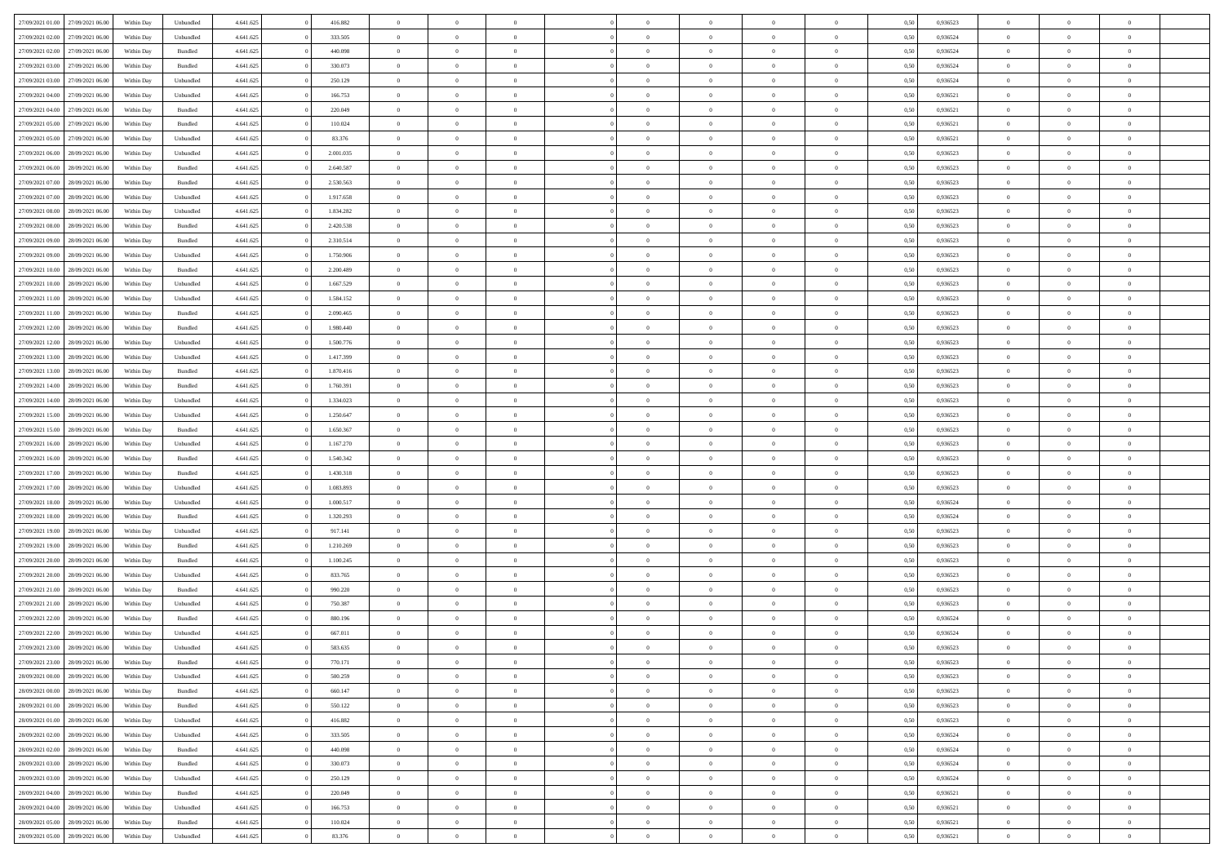| 27/09/2021 01:00                  | 27/09/2021 06:00 | Within Day | Unbundled          | 4.641.625 | 416.882   | $\overline{0}$ | $\theta$       |                | $\Omega$       | $\Omega$       | $\theta$       | $\theta$       | 0.50 | 0,936523 | $\theta$       | $\overline{0}$ | $\overline{0}$ |  |
|-----------------------------------|------------------|------------|--------------------|-----------|-----------|----------------|----------------|----------------|----------------|----------------|----------------|----------------|------|----------|----------------|----------------|----------------|--|
| 27/09/2021 02:00                  | 27/09/2021 06.00 | Within Day | Unbundled          | 4.641.625 | 333.505   | $\overline{0}$ | $\overline{0}$ | $\overline{0}$ | $\overline{0}$ | $\bf{0}$       | $\overline{0}$ | $\bf{0}$       | 0,50 | 0,936524 | $\theta$       | $\overline{0}$ | $\overline{0}$ |  |
| 27/09/2021 02:00                  | 27/09/2021 06:00 | Within Day | Bundled            | 4.641.625 | 440.098   | $\overline{0}$ | $\bf{0}$       | $\overline{0}$ | $\bf{0}$       | $\bf{0}$       | $\bf{0}$       | $\mathbf{0}$   | 0,50 | 0,936524 | $\bf{0}$       | $\overline{0}$ | $\bf{0}$       |  |
|                                   |                  |            |                    |           |           |                |                |                |                |                |                |                |      |          | $\theta$       |                |                |  |
| 27/09/2021 03:00                  | 27/09/2021 06:00 | Within Dav | Bundled            | 4.641.625 | 330.073   | $\overline{0}$ | $\overline{0}$ | $\overline{0}$ | $\overline{0}$ | $\bf{0}$       | $\overline{0}$ | $\overline{0}$ | 0.50 | 0.936524 |                | $\theta$       | $\overline{0}$ |  |
| 27/09/2021 03:00                  | 27/09/2021 06.00 | Within Day | Unbundled          | 4.641.625 | 250.129   | $\overline{0}$ | $\theta$       | $\overline{0}$ | $\overline{0}$ | $\bf{0}$       | $\overline{0}$ | $\bf{0}$       | 0,50 | 0,936524 | $\theta$       | $\overline{0}$ | $\overline{0}$ |  |
| 27/09/2021 04:00                  | 27/09/2021 06:00 | Within Day | Unbundled          | 4.641.625 | 166.753   | $\overline{0}$ | $\overline{0}$ | $\overline{0}$ | $\bf{0}$       | $\overline{0}$ | $\overline{0}$ | $\mathbf{0}$   | 0,50 | 0,936521 | $\bf{0}$       | $\overline{0}$ | $\bf{0}$       |  |
| 27/09/2021 04:00                  | 27/09/2021 06:00 | Within Dav | Bundled            | 4.641.625 | 220.049   | $\overline{0}$ | $\overline{0}$ | $\overline{0}$ | $\overline{0}$ | $\overline{0}$ | $\overline{0}$ | $\overline{0}$ | 0.50 | 0,936521 | $\theta$       | $\overline{0}$ | $\overline{0}$ |  |
|                                   |                  |            |                    |           |           |                |                |                |                |                |                |                |      |          |                |                |                |  |
| 27/09/2021 05:00                  | 27/09/2021 06.00 | Within Day | Bundled            | 4.641.625 | 110.024   | $\overline{0}$ | $\theta$       | $\overline{0}$ | $\overline{0}$ | $\bf{0}$       | $\overline{0}$ | $\bf{0}$       | 0,50 | 0,936521 | $\theta$       | $\theta$       | $\overline{0}$ |  |
| 27/09/2021 05:00                  | 27/09/2021 06:00 | Within Day | Unbundled          | 4.641.625 | 83.376    | $\overline{0}$ | $\overline{0}$ | $\overline{0}$ | $\bf{0}$       | $\bf{0}$       | $\bf{0}$       | $\bf{0}$       | 0,50 | 0,936521 | $\,0\,$        | $\overline{0}$ | $\overline{0}$ |  |
| 27/09/2021 06:00                  | 28/09/2021 06:00 | Within Dav | Unbundled          | 4.641.625 | 2.001.035 | $\overline{0}$ | $\overline{0}$ | $\overline{0}$ | $\overline{0}$ | $\overline{0}$ | $\overline{0}$ | $\overline{0}$ | 0.50 | 0.936523 | $\theta$       | $\overline{0}$ | $\overline{0}$ |  |
|                                   |                  |            |                    |           |           |                |                |                |                |                |                |                |      |          |                |                |                |  |
| 27/09/2021 06:00                  | 28/09/2021 06:00 | Within Day | Bundled            | 4.641.625 | 2.640.587 | $\overline{0}$ | $\theta$       | $\overline{0}$ | $\overline{0}$ | $\bf{0}$       | $\overline{0}$ | $\bf{0}$       | 0,50 | 0,936523 | $\theta$       | $\overline{0}$ | $\overline{0}$ |  |
| 27/09/2021 07:00                  | 28/09/2021 06:00 | Within Day | Bundled            | 4.641.625 | 2.530.563 | $\overline{0}$ | $\bf{0}$       | $\overline{0}$ | $\bf{0}$       | $\bf{0}$       | $\bf{0}$       | $\bf{0}$       | 0,50 | 0,936523 | $\bf{0}$       | $\overline{0}$ | $\bf{0}$       |  |
| 27/09/2021 07:00                  | 28/09/2021 06:00 | Within Day | Unbundled          | 4.641.625 | 1.917.658 | $\overline{0}$ | $\overline{0}$ | $\overline{0}$ | $\overline{0}$ | $\bf{0}$       | $\overline{0}$ | $\overline{0}$ | 0.50 | 0.936523 | $\theta$       | $\theta$       | $\overline{0}$ |  |
| 27/09/2021 08:00                  | 28/09/2021 06:00 | Within Day | Unbundled          | 4.641.625 | 1.834.282 | $\overline{0}$ | $\theta$       | $\overline{0}$ | $\overline{0}$ | $\bf{0}$       | $\overline{0}$ | $\overline{0}$ | 0,50 | 0,936523 | $\theta$       | $\overline{0}$ | $\overline{0}$ |  |
|                                   |                  |            |                    |           |           |                |                |                |                |                |                |                |      |          |                |                |                |  |
| 27/09/2021 08:00                  | 28/09/2021 06:00 | Within Day | Bundled            | 4.641.625 | 2.420.538 | $\overline{0}$ | $\overline{0}$ | $\overline{0}$ | $\bf{0}$       | $\overline{0}$ | $\overline{0}$ | $\mathbf{0}$   | 0,50 | 0,936523 | $\bf{0}$       | $\overline{0}$ | $\bf{0}$       |  |
| 27/09/2021 09:00                  | 28/09/2021 06:00 | Within Dav | Bundled            | 4.641.625 | 2.310.514 | $\overline{0}$ | $\overline{0}$ | $\overline{0}$ | $\overline{0}$ | $\overline{0}$ | $\overline{0}$ | $\overline{0}$ | 0.50 | 0.936523 | $\theta$       | $\overline{0}$ | $\overline{0}$ |  |
| 27/09/2021 09:00                  | 28/09/2021 06:00 | Within Day | Unbundled          | 4.641.625 | 1.750.906 | $\overline{0}$ | $\theta$       | $\overline{0}$ | $\overline{0}$ | $\bf{0}$       | $\overline{0}$ | $\bf{0}$       | 0,50 | 0,936523 | $\theta$       | $\theta$       | $\overline{0}$ |  |
|                                   |                  |            |                    |           |           |                | $\overline{0}$ |                |                | $\bf{0}$       |                |                |      |          | $\,0\,$        | $\overline{0}$ | $\overline{0}$ |  |
| 27/09/2021 10:00                  | 28/09/2021 06:00 | Within Day | Bundled            | 4.641.625 | 2.200.489 | $\overline{0}$ |                | $\overline{0}$ | $\bf{0}$       |                | $\bf{0}$       | $\bf{0}$       | 0,50 | 0,936523 |                |                |                |  |
| 27/09/2021 10:00                  | 28/09/2021 06:00 | Within Dav | Unbundled          | 4.641.625 | 1.667.529 | $\overline{0}$ | $\overline{0}$ | $\overline{0}$ | $\overline{0}$ | $\overline{0}$ | $\overline{0}$ | $\overline{0}$ | 0.50 | 0.936523 | $\theta$       | $\overline{0}$ | $\overline{0}$ |  |
| 27/09/2021 11:00                  | 28/09/2021 06:00 | Within Day | Unbundled          | 4.641.625 | 1.584.152 | $\overline{0}$ | $\theta$       | $\overline{0}$ | $\overline{0}$ | $\bf{0}$       | $\overline{0}$ | $\bf{0}$       | 0,50 | 0,936523 | $\,$ 0 $\,$    | $\overline{0}$ | $\overline{0}$ |  |
| 27/09/2021 11:00                  | 28/09/2021 06:00 | Within Day | Bundled            | 4.641.625 | 2.090.465 | $\overline{0}$ | $\overline{0}$ | $\overline{0}$ | $\bf{0}$       | $\bf{0}$       | $\bf{0}$       | $\bf{0}$       | 0,50 | 0,936523 | $\bf{0}$       | $\overline{0}$ | $\bf{0}$       |  |
| 27/09/2021 12:00                  | 28/09/2021 06:00 | Within Dav | Bundled            | 4.641.625 | 1.980.440 | $\overline{0}$ | $\overline{0}$ | $\overline{0}$ | $\overline{0}$ | $\bf{0}$       | $\overline{0}$ | $\overline{0}$ | 0.50 | 0.936523 | $\theta$       | $\overline{0}$ | $\overline{0}$ |  |
|                                   |                  |            |                    |           |           |                |                |                |                |                |                |                |      |          |                |                |                |  |
| 27/09/2021 12:00                  | 28/09/2021 06:00 | Within Day | Unbundled          | 4.641.625 | 1.500.776 | $\overline{0}$ | $\theta$       | $\overline{0}$ | $\overline{0}$ | $\bf{0}$       | $\overline{0}$ | $\bf{0}$       | 0,50 | 0,936523 | $\theta$       | $\overline{0}$ | $\overline{0}$ |  |
| 27/09/2021 13:00                  | 28/09/2021 06:00 | Within Day | Unbundled          | 4.641.625 | 1.417.399 | $\overline{0}$ | $\overline{0}$ | $\overline{0}$ | $\bf{0}$       | $\overline{0}$ | $\overline{0}$ | $\mathbf{0}$   | 0,50 | 0,936523 | $\bf{0}$       | $\overline{0}$ | $\bf{0}$       |  |
| 27/09/2021 13:00                  | 28/09/2021 06:00 | Within Dav | Bundled            | 4.641.625 | 1.870.416 | $\overline{0}$ | $\overline{0}$ | $\overline{0}$ | $\overline{0}$ | $\overline{0}$ | $\overline{0}$ | $\overline{0}$ | 0.50 | 0.936523 | $\theta$       | $\overline{0}$ | $\overline{0}$ |  |
|                                   |                  |            |                    |           |           |                |                |                |                |                |                |                |      |          |                |                |                |  |
| 27/09/2021 14:00                  | 28/09/2021 06:00 | Within Day | Bundled            | 4.641.625 | 1.760.391 | $\overline{0}$ | $\theta$       | $\overline{0}$ | $\overline{0}$ | $\bf{0}$       | $\overline{0}$ | $\bf{0}$       | 0,50 | 0,936523 | $\theta$       | $\theta$       | $\overline{0}$ |  |
| 27/09/2021 14:00                  | 28/09/2021 06:00 | Within Day | Unbundled          | 4.641.625 | 1.334.023 | $\overline{0}$ | $\overline{0}$ | $\overline{0}$ | $\bf{0}$       | $\bf{0}$       | $\bf{0}$       | $\bf{0}$       | 0,50 | 0,936523 | $\,0\,$        | $\overline{0}$ | $\overline{0}$ |  |
| 27/09/2021 15:00                  | 28/09/2021 06:00 | Within Day | Unbundled          | 4.641.625 | 1.250.647 | $\overline{0}$ | $\overline{0}$ | $\overline{0}$ | $\overline{0}$ | $\overline{0}$ | $\overline{0}$ | $\overline{0}$ | 0.50 | 0.936523 | $\theta$       | $\overline{0}$ | $\overline{0}$ |  |
| 27/09/2021 15:00                  | 28/09/2021 06:00 | Within Day | Bundled            | 4.641.625 | 1.650.367 | $\overline{0}$ | $\theta$       | $\overline{0}$ | $\overline{0}$ | $\bf{0}$       | $\overline{0}$ | $\bf{0}$       | 0,50 | 0,936523 | $\,$ 0 $\,$    | $\overline{0}$ | $\overline{0}$ |  |
|                                   |                  |            |                    |           |           |                |                |                |                |                |                |                |      |          |                |                |                |  |
| 27/09/2021 16:00                  | 28/09/2021 06:00 | Within Day | Unbundled          | 4.641.625 | 1.167.270 | $\overline{0}$ | $\overline{0}$ | $\overline{0}$ | $\bf{0}$       | $\bf{0}$       | $\bf{0}$       | $\bf{0}$       | 0,50 | 0,936523 | $\bf{0}$       | $\overline{0}$ | $\bf{0}$       |  |
| 27/09/2021 16:00                  | 28/09/2021 06:00 | Within Day | Bundled            | 4.641.625 | 1.540.342 | $\overline{0}$ | $\Omega$       | $\Omega$       | $\Omega$       | $\Omega$       | $\Omega$       | $\overline{0}$ | 0,50 | 0,936523 | $\,0\,$        | $\theta$       | $\theta$       |  |
| 27/09/2021 17:00                  | 28/09/2021 06:00 | Within Day | Bundled            | 4.641.625 | 1.430.318 | $\overline{0}$ | $\theta$       | $\overline{0}$ | $\overline{0}$ | $\bf{0}$       | $\overline{0}$ | $\bf{0}$       | 0,50 | 0,936523 | $\theta$       | $\overline{0}$ | $\overline{0}$ |  |
| 27/09/2021 17:00                  | 28/09/2021 06:00 | Within Day | Unbundled          | 4.641.625 | 1.083.893 | $\overline{0}$ | $\overline{0}$ | $\overline{0}$ | $\bf{0}$       | $\overline{0}$ | $\overline{0}$ | $\mathbf{0}$   | 0,50 | 0,936523 | $\bf{0}$       | $\overline{0}$ | $\bf{0}$       |  |
|                                   |                  |            |                    |           |           |                | $\Omega$       |                |                |                |                |                |      |          |                |                | $\theta$       |  |
| 27/09/2021 18:00                  | 28/09/2021 06:00 | Within Day | Unbundled          | 4.641.625 | 1.000.517 | $\overline{0}$ |                | $\Omega$       | $\Omega$       | $\bf{0}$       | $\overline{0}$ | $\overline{0}$ | 0.50 | 0.936524 | $\theta$       | $\theta$       |                |  |
| 27/09/2021 18:00                  | 28/09/2021 06:00 | Within Day | Bundled            | 4.641.625 | 1.320.293 | $\overline{0}$ | $\theta$       | $\overline{0}$ | $\overline{0}$ | $\bf{0}$       | $\overline{0}$ | $\bf{0}$       | 0,50 | 0,936524 | $\theta$       | $\overline{0}$ | $\overline{0}$ |  |
| 27/09/2021 19:00                  | 28/09/2021 06:00 | Within Day | Unbundled          | 4.641.625 | 917.141   | $\overline{0}$ | $\overline{0}$ | $\overline{0}$ | $\bf{0}$       | $\bf{0}$       | $\bf{0}$       | $\bf{0}$       | 0,50 | 0,936523 | $\bf{0}$       | $\overline{0}$ | $\bf{0}$       |  |
| 27/09/2021 19:00                  | 28/09/2021 06:00 | Within Day | Bundled            | 4.641.625 | 1.210.269 | $\overline{0}$ | $\Omega$       | $\Omega$       | $\Omega$       | $\theta$       | $\theta$       | $\overline{0}$ | 0.50 | 0.936523 | $\theta$       | $\theta$       | $\theta$       |  |
|                                   |                  |            |                    |           |           |                |                |                |                |                |                |                |      |          |                |                |                |  |
| 27/09/2021 20:00                  | 28/09/2021 06:00 | Within Day | Bundled            | 4.641.625 | 1.100.245 | $\overline{0}$ | $\theta$       | $\overline{0}$ | $\overline{0}$ | $\bf{0}$       | $\overline{0}$ | $\bf{0}$       | 0,50 | 0,936523 | $\,$ 0 $\,$    | $\overline{0}$ | $\overline{0}$ |  |
| 27/09/2021 20:00                  | 28/09/2021 06:00 | Within Day | Unbundled          | 4.641.625 | 833.765   | $\overline{0}$ | $\bf{0}$       | $\overline{0}$ | $\bf{0}$       | $\bf{0}$       | $\bf{0}$       | $\bf{0}$       | 0,50 | 0,936523 | $\overline{0}$ | $\overline{0}$ | $\bf{0}$       |  |
| 27/09/2021 21:00                  | 28/09/2021 06:00 | Within Day | Bundled            | 4.641.625 | 990.220   | $\overline{0}$ | $\Omega$       | $\Omega$       | $\Omega$       | $\overline{0}$ | $\overline{0}$ | $\overline{0}$ | 0,50 | 0,936523 | $\,0\,$        | $\theta$       | $\theta$       |  |
| 27/09/2021 21:00                  | 28/09/2021 06:00 | Within Day | Unbundled          | 4.641.625 | 750.387   | $\overline{0}$ | $\overline{0}$ | $\overline{0}$ | $\overline{0}$ | $\bf{0}$       | $\overline{0}$ | $\bf{0}$       | 0,50 | 0,936523 | $\,$ 0 $\,$    | $\overline{0}$ | $\overline{0}$ |  |
|                                   |                  |            |                    |           |           |                |                |                |                |                |                |                |      |          |                |                |                |  |
| 27/09/2021 22:00                  | 28/09/2021 06:00 | Within Day | Bundled            | 4.641.625 | 880.196   | $\overline{0}$ | $\overline{0}$ | $\overline{0}$ | $\bf{0}$       | $\bf{0}$       | $\bf{0}$       | $\mathbf{0}$   | 0,50 | 0,936524 | $\overline{0}$ | $\overline{0}$ | $\bf{0}$       |  |
| 27/09/2021 22:00                  | 28/09/2021 06:00 | Within Day | Unbundled          | 4.641.625 | 667.011   | $\overline{0}$ | $\Omega$       | $\Omega$       | $\Omega$       | $\Omega$       | $\Omega$       | $\overline{0}$ | 0.50 | 0.936524 | $\theta$       | $\theta$       | $\theta$       |  |
| 27/09/2021 23:00                  | 28/09/2021 06:00 | Within Day | Unbundled          | 4.641.625 | 583.635   | $\overline{0}$ | $\overline{0}$ | $\overline{0}$ | $\bf{0}$       | $\,$ 0         | $\bf{0}$       | $\bf{0}$       | 0,50 | 0,936523 | $\,0\,$        | $\,$ 0 $\,$    | $\overline{0}$ |  |
| 27/09/2021 23:00 28/09/2021 06:00 |                  | Within Day | $\mathbf B$ undled | 4.641.625 | 770.171   | $\bf{0}$       | $\bf{0}$       |                |                | $\bf{0}$       |                |                | 0,50 | 0,936523 | $\bf{0}$       | $\overline{0}$ |                |  |
|                                   |                  |            |                    |           |           |                |                |                |                |                |                |                |      |          |                |                |                |  |
| 28/09/2021 00:00                  | 28/09/2021 06:00 | Within Day | Unbundled          | 4.641.625 | 500.259   | $\overline{0}$ | $\overline{0}$ | $\overline{0}$ | $\Omega$       | $\overline{0}$ | $\overline{0}$ | $\overline{0}$ | 0.50 | 0.936523 | $\theta$       | $\theta$       | $\theta$       |  |
| 28/09/2021 00:00                  | 28/09/2021 06:00 | Within Day | Bundled            | 4.641.625 | 660.147   | $\overline{0}$ | $\bf{0}$       | $\overline{0}$ | $\bf{0}$       | $\,$ 0 $\,$    | $\overline{0}$ | $\mathbf{0}$   | 0,50 | 0,936523 | $\,$ 0 $\,$    | $\,$ 0 $\,$    | $\,$ 0         |  |
| 28/09/2021 01:00                  | 28/09/2021 06:00 | Within Day | Bundled            | 4.641.625 | 550.122   | $\overline{0}$ | $\overline{0}$ | $\overline{0}$ | $\overline{0}$ | $\overline{0}$ | $\overline{0}$ | $\mathbf{0}$   | 0,50 | 0,936523 | $\overline{0}$ | $\bf{0}$       | $\bf{0}$       |  |
| 28/09/2021 01:00                  | 28/09/2021 06:00 | Within Day | Unbundled          | 4.641.625 | 416.882   | $\overline{0}$ | $\overline{0}$ | $\overline{0}$ | $\Omega$       | $\overline{0}$ | $\overline{0}$ | $\overline{0}$ | 0,50 | 0,936523 | $\overline{0}$ | $\theta$       | $\overline{0}$ |  |
|                                   |                  |            |                    |           |           |                |                |                |                |                |                |                |      |          |                |                |                |  |
| 28/09/2021 02:00                  | 28/09/2021 06:00 | Within Day | Unbundled          | 4.641.625 | 333.505   | $\overline{0}$ | $\,$ 0         | $\overline{0}$ | $\overline{0}$ | $\,$ 0 $\,$    | $\overline{0}$ | $\mathbf{0}$   | 0,50 | 0,936524 | $\,$ 0 $\,$    | $\overline{0}$ | $\overline{0}$ |  |
| 28/09/2021 02:00                  | 28/09/2021 06:00 | Within Day | Bundled            | 4.641.625 | 440,098   | $\overline{0}$ | $\overline{0}$ | $\overline{0}$ | $\overline{0}$ | $\overline{0}$ | $\overline{0}$ | $\mathbf{0}$   | 0,50 | 0,936524 | $\overline{0}$ | $\overline{0}$ | $\bf{0}$       |  |
| 28/09/2021 03:00                  | 28/09/2021 06:00 | Within Day | Bundled            | 4.641.625 | 330.073   | $\overline{0}$ | $\overline{0}$ | $\overline{0}$ | $\Omega$       | $\overline{0}$ | $\overline{0}$ | $\bf{0}$       | 0.50 | 0.936524 | $\overline{0}$ | $\theta$       | $\overline{0}$ |  |
| 28/09/2021 03:00                  | 28/09/2021 06:00 |            |                    | 4.641.625 | 250.129   | $\overline{0}$ | $\,$ 0         |                |                | $\bf{0}$       |                |                |      | 0,936524 | $\,$ 0 $\,$    | $\overline{0}$ | $\overline{0}$ |  |
|                                   |                  | Within Day | Unbundled          |           |           |                |                | $\overline{0}$ | $\overline{0}$ |                | $\overline{0}$ | $\bf{0}$       | 0,50 |          |                |                |                |  |
| 28/09/2021 04:00                  | 28/09/2021 06:00 | Within Day | Bundled            | 4.641.625 | 220.049   | $\overline{0}$ | $\bf{0}$       | $\overline{0}$ | $\overline{0}$ | $\overline{0}$ | $\overline{0}$ | $\mathbf{0}$   | 0,50 | 0,936521 | $\overline{0}$ | $\overline{0}$ | $\bf{0}$       |  |
| 28/09/2021 04:00                  | 28/09/2021 06:00 | Within Day | Unbundled          | 4.641.625 | 166.753   | $\overline{0}$ | $\overline{0}$ | $\overline{0}$ | $\Omega$       | $\overline{0}$ | $\overline{0}$ | $\overline{0}$ | 0.50 | 0.936521 | $\overline{0}$ | $\overline{0}$ | $\overline{0}$ |  |
| 28/09/2021 05:00                  | 28/09/2021 06:00 | Within Day | Bundled            | 4.641.625 | 110.024   | $\overline{0}$ | $\bf{0}$       | $\overline{0}$ | $\overline{0}$ | $\bf{0}$       | $\overline{0}$ | $\mathbf{0}$   | 0,50 | 0,936521 | $\,$ 0 $\,$    | $\,$ 0 $\,$    | $\bf{0}$       |  |
|                                   |                  |            |                    |           |           |                |                |                |                |                |                |                |      |          |                |                |                |  |
| 28/09/2021 05:00 28/09/2021 06:00 |                  | Within Day | Unbundled          | 4.641.625 | 83.376    | $\overline{0}$ | $\overline{0}$ | $\overline{0}$ | $\overline{0}$ | $\overline{0}$ | $\overline{0}$ | $\mathbf{0}$   | 0,50 | 0,936521 | $\overline{0}$ | $\bf{0}$       | $\bf{0}$       |  |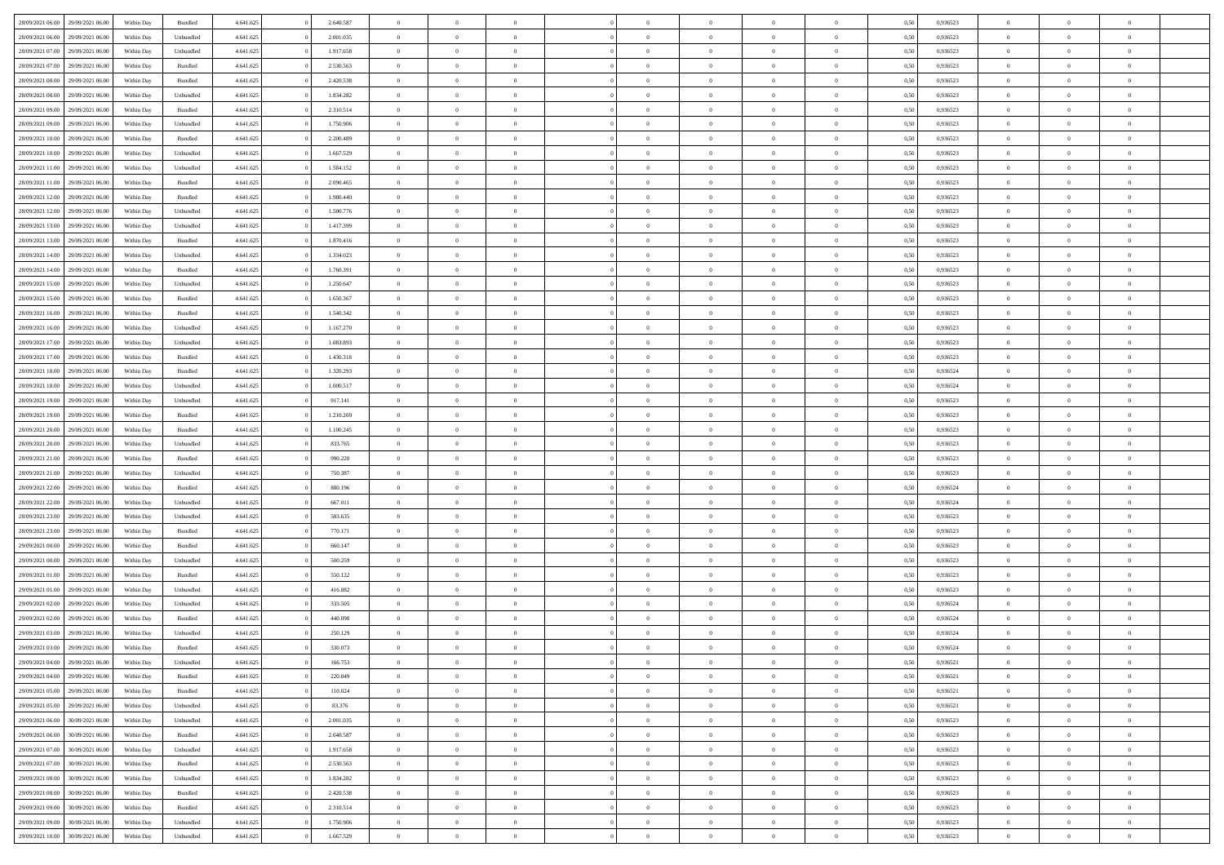| 28/09/2021 06:00 | 29/09/2021 06:00 | Within Day | Bundled   | 4.641.625 | 2.640.587 | $\overline{0}$ | $\Omega$       |                | $\Omega$       | $\Omega$       | $\theta$       | $\theta$       | 0.50 | 0,936523 | $\theta$       | $\theta$       | $\theta$       |  |
|------------------|------------------|------------|-----------|-----------|-----------|----------------|----------------|----------------|----------------|----------------|----------------|----------------|------|----------|----------------|----------------|----------------|--|
|                  |                  |            |           |           |           |                |                |                |                |                |                |                |      |          |                |                |                |  |
| 28/09/2021 06:00 | 29/09/2021 06:00 | Within Day | Unbundled | 4.641.625 | 2.001.035 | $\overline{0}$ | $\theta$       | $\overline{0}$ | $\overline{0}$ | $\bf{0}$       | $\overline{0}$ | $\bf{0}$       | 0,50 | 0,936523 | $\theta$       | $\overline{0}$ | $\overline{0}$ |  |
| 28/09/2021 07:00 | 29/09/2021 06:00 | Within Day | Unbundled | 4.641.625 | 1.917.658 | $\overline{0}$ | $\bf{0}$       | $\overline{0}$ | $\overline{0}$ | $\bf{0}$       | $\overline{0}$ | $\mathbf{0}$   | 0,50 | 0,936523 | $\overline{0}$ | $\overline{0}$ | $\bf{0}$       |  |
| 28/09/2021 07:00 | 29/09/2021 06:00 | Within Dav | Bundled   | 4.641.625 | 2.530.563 | $\overline{0}$ | $\overline{0}$ | $\overline{0}$ | $\overline{0}$ | $\bf{0}$       | $\overline{0}$ | $\overline{0}$ | 0.50 | 0.936523 | $\theta$       | $\theta$       | $\overline{0}$ |  |
| 28/09/2021 08:00 | 29/09/2021 06:00 | Within Day | Bundled   | 4.641.625 | 2.420.538 | $\overline{0}$ | $\theta$       | $\overline{0}$ | $\overline{0}$ | $\bf{0}$       | $\overline{0}$ | $\bf{0}$       | 0,50 | 0,936523 | $\theta$       | $\overline{0}$ | $\overline{0}$ |  |
| 28/09/2021 08:00 | 29/09/2021 06:00 | Within Day | Unbundled | 4.641.625 | 1.834.282 | $\overline{0}$ | $\overline{0}$ | $\overline{0}$ | $\overline{0}$ | $\overline{0}$ | $\overline{0}$ | $\mathbf{0}$   | 0,50 | 0,936523 | $\overline{0}$ | $\overline{0}$ | $\bf{0}$       |  |
|                  |                  |            |           |           |           |                | $\overline{0}$ |                |                | $\overline{0}$ |                |                |      |          | $\theta$       | $\overline{0}$ | $\overline{0}$ |  |
| 28/09/2021 09:00 | 29/09/2021 06:00 | Within Dav | Bundled   | 4.641.625 | 2.310.514 | $\overline{0}$ |                | $\overline{0}$ | $\overline{0}$ |                | $\overline{0}$ | $\overline{0}$ | 0.50 | 0.936523 |                |                |                |  |
| 28/09/2021 09:00 | 29/09/2021 06:00 | Within Day | Unbundled | 4.641.625 | 1.750.906 | $\overline{0}$ | $\theta$       | $\overline{0}$ | $\overline{0}$ | $\bf{0}$       | $\overline{0}$ | $\bf{0}$       | 0,50 | 0,936523 | $\theta$       | $\theta$       | $\overline{0}$ |  |
| 28/09/2021 10:00 | 29/09/2021 06:00 | Within Day | Bundled   | 4.641.625 | 2.200.489 | $\overline{0}$ | $\overline{0}$ | $\overline{0}$ | $\bf{0}$       | $\bf{0}$       | $\bf{0}$       | $\bf{0}$       | 0,50 | 0,936523 | $\,0\,$        | $\overline{0}$ | $\overline{0}$ |  |
| 28/09/2021 10:00 | 29/09/2021 06:00 | Within Dav | Unbundled | 4.641.625 | 1.667.529 | $\overline{0}$ | $\overline{0}$ | $\overline{0}$ | $\overline{0}$ | $\overline{0}$ | $\overline{0}$ | $\overline{0}$ | 0.50 | 0.936523 | $\theta$       | $\overline{0}$ | $\overline{0}$ |  |
| 28/09/2021 11:00 | 29/09/2021 06:00 | Within Day | Unbundled | 4.641.625 | 1.584.152 | $\overline{0}$ | $\theta$       | $\overline{0}$ | $\overline{0}$ | $\bf{0}$       | $\overline{0}$ | $\bf{0}$       | 0,50 | 0,936523 | $\,$ 0 $\,$    | $\overline{0}$ | $\overline{0}$ |  |
| 28/09/2021 11:00 | 29/09/2021 06:00 | Within Day | Bundled   | 4.641.625 | 2.090.465 | $\overline{0}$ | $\overline{0}$ | $\overline{0}$ | $\bf{0}$       | $\bf{0}$       | $\bf{0}$       | $\mathbf{0}$   | 0,50 | 0,936523 | $\overline{0}$ | $\overline{0}$ | $\bf{0}$       |  |
| 28/09/2021 12:00 | 29/09/2021 06:00 | Within Day | Bundled   | 4.641.625 | 1.980.440 | $\overline{0}$ | $\overline{0}$ | $\overline{0}$ | $\overline{0}$ | $\bf{0}$       | $\overline{0}$ | $\overline{0}$ | 0.50 | 0.936523 | $\theta$       | $\theta$       | $\overline{0}$ |  |
| 28/09/2021 12:00 | 29/09/2021 06:00 |            |           | 4.641.625 | 1.500.776 | $\overline{0}$ | $\theta$       | $\overline{0}$ | $\overline{0}$ | $\bf{0}$       | $\overline{0}$ | $\overline{0}$ |      | 0,936523 | $\theta$       | $\overline{0}$ | $\overline{0}$ |  |
|                  |                  | Within Day | Unbundled |           |           |                |                |                |                |                |                |                | 0,50 |          |                |                |                |  |
| 28/09/2021 13:00 | 29/09/2021 06:00 | Within Day | Unbundled | 4.641.625 | 1.417.399 | $\overline{0}$ | $\overline{0}$ | $\overline{0}$ | $\bf{0}$       | $\overline{0}$ | $\overline{0}$ | $\mathbf{0}$   | 0,50 | 0,936523 | $\overline{0}$ | $\overline{0}$ | $\bf{0}$       |  |
| 28/09/2021 13:00 | 29/09/2021 06:00 | Within Dav | Bundled   | 4.641.625 | 1.870.416 | $\overline{0}$ | $\overline{0}$ | $\overline{0}$ | $\overline{0}$ | $\overline{0}$ | $\overline{0}$ | $\overline{0}$ | 0.50 | 0.936523 | $\theta$       | $\overline{0}$ | $\overline{0}$ |  |
| 28/09/2021 14:00 | 29/09/2021 06:00 | Within Day | Unbundled | 4.641.625 | 1.334.023 | $\overline{0}$ | $\theta$       | $\overline{0}$ | $\overline{0}$ | $\bf{0}$       | $\overline{0}$ | $\bf{0}$       | 0,50 | 0,936523 | $\theta$       | $\theta$       | $\overline{0}$ |  |
| 28/09/2021 14:00 | 29/09/2021 06:00 | Within Day | Bundled   | 4.641.625 | 1.760.391 | $\overline{0}$ | $\overline{0}$ | $\overline{0}$ | $\bf{0}$       | $\bf{0}$       | $\bf{0}$       | $\bf{0}$       | 0,50 | 0,936523 | $\,0\,$        | $\overline{0}$ | $\overline{0}$ |  |
| 28/09/2021 15:00 | 29/09/2021 06:00 | Within Dav | Unbundled | 4.641.625 | 1.250.647 | $\overline{0}$ | $\overline{0}$ | $\overline{0}$ | $\overline{0}$ | $\overline{0}$ | $\overline{0}$ | $\overline{0}$ | 0.50 | 0.936523 | $\theta$       | $\overline{0}$ | $\overline{0}$ |  |
| 28/09/2021 15:00 | 29/09/2021 06:00 | Within Day | Bundled   | 4.641.625 | 1.650.367 | $\overline{0}$ | $\theta$       | $\overline{0}$ | $\overline{0}$ | $\bf{0}$       | $\overline{0}$ | $\bf{0}$       | 0,50 | 0,936523 | $\theta$       | $\overline{0}$ | $\overline{0}$ |  |
| 28/09/2021 16:00 | 29/09/2021 06:00 | Within Day | Bundled   | 4.641.625 | 1.540.342 | $\overline{0}$ | $\overline{0}$ | $\overline{0}$ | $\bf{0}$       | $\bf{0}$       | $\bf{0}$       | $\bf{0}$       | 0,50 | 0,936523 | $\,0\,$        | $\overline{0}$ | $\bf{0}$       |  |
| 28/09/2021 16:00 | 29/09/2021 06:00 | Within Day | Unbundled | 4.641.625 | 1.167.270 | $\overline{0}$ | $\overline{0}$ | $\overline{0}$ | $\overline{0}$ | $\bf{0}$       | $\overline{0}$ | $\overline{0}$ | 0.50 | 0.936523 | $\theta$       | $\overline{0}$ | $\overline{0}$ |  |
|                  |                  |            |           |           |           |                |                |                |                |                |                |                |      |          |                |                |                |  |
| 28/09/2021 17:00 | 29/09/2021 06:00 | Within Day | Unbundled | 4.641.625 | 1.083.893 | $\overline{0}$ | $\theta$       | $\overline{0}$ | $\overline{0}$ | $\bf{0}$       | $\overline{0}$ | $\bf{0}$       | 0,50 | 0,936523 | $\theta$       | $\overline{0}$ | $\overline{0}$ |  |
| 28/09/2021 17:00 | 29/09/2021 06:00 | Within Day | Bundled   | 4.641.625 | 1.430.318 | $\overline{0}$ | $\overline{0}$ | $\overline{0}$ | $\bf{0}$       | $\overline{0}$ | $\overline{0}$ | $\mathbf{0}$   | 0,50 | 0,936523 | $\overline{0}$ | $\overline{0}$ | $\bf{0}$       |  |
| 28/09/2021 18:00 | 29/09/2021 06:00 | Within Dav | Bundled   | 4.641.625 | 1.320.293 | $\overline{0}$ | $\overline{0}$ | $\overline{0}$ | $\overline{0}$ | $\overline{0}$ | $\overline{0}$ | $\overline{0}$ | 0.50 | 0,936524 | $\theta$       | $\overline{0}$ | $\overline{0}$ |  |
| 28/09/2021 18:00 | 29/09/2021 06:00 | Within Day | Unbundled | 4.641.625 | 1.000.517 | $\overline{0}$ | $\theta$       | $\overline{0}$ | $\overline{0}$ | $\bf{0}$       | $\overline{0}$ | $\bf{0}$       | 0,50 | 0,936524 | $\theta$       | $\theta$       | $\overline{0}$ |  |
| 28/09/2021 19:00 | 29/09/2021 06:00 | Within Day | Unbundled | 4.641.625 | 917.141   | $\overline{0}$ | $\overline{0}$ | $\overline{0}$ | $\bf{0}$       | $\bf{0}$       | $\bf{0}$       | $\bf{0}$       | 0,50 | 0,936523 | $\,0\,$        | $\overline{0}$ | $\overline{0}$ |  |
| 28/09/2021 19:00 | 29/09/2021 06:00 | Within Day | Bundled   | 4.641.625 | 1.210.269 | $\overline{0}$ | $\overline{0}$ | $\overline{0}$ | $\overline{0}$ | $\overline{0}$ | $\overline{0}$ | $\overline{0}$ | 0.50 | 0.936523 | $\theta$       | $\overline{0}$ | $\overline{0}$ |  |
| 28/09/2021 20:00 | 29/09/2021 06:00 | Within Day | Bundled   | 4.641.625 | 1.100.245 | $\overline{0}$ | $\theta$       | $\overline{0}$ | $\overline{0}$ | $\bf{0}$       | $\overline{0}$ | $\bf{0}$       | 0,50 | 0,936523 | $\,$ 0 $\,$    | $\overline{0}$ | $\overline{0}$ |  |
|                  |                  |            |           |           |           |                |                |                |                |                |                |                |      |          |                |                |                |  |
| 28/09/2021 20:00 | 29/09/2021 06:00 | Within Day | Unbundled | 4.641.625 | 833.765   | $\overline{0}$ | $\overline{0}$ | $\overline{0}$ | $\overline{0}$ | $\bf{0}$       | $\overline{0}$ | $\bf{0}$       | 0,50 | 0,936523 | $\bf{0}$       | $\overline{0}$ | $\bf{0}$       |  |
| 28/09/2021 21:00 | 29/09/2021 06:00 | Within Day | Bundled   | 4.641.625 | 990.220   | $\overline{0}$ | $\Omega$       | $\Omega$       | $\Omega$       | $\Omega$       | $\Omega$       | $\overline{0}$ | 0,50 | 0,936523 | $\,0\,$        | $\theta$       | $\theta$       |  |
| 28/09/2021 21:00 | 29/09/2021 06:00 | Within Day | Unbundled | 4.641.625 | 750.387   | $\overline{0}$ | $\theta$       | $\overline{0}$ | $\overline{0}$ | $\bf{0}$       | $\overline{0}$ | $\bf{0}$       | 0,50 | 0,936523 | $\theta$       | $\overline{0}$ | $\overline{0}$ |  |
| 28/09/2021 22:00 | 29/09/2021 06:00 | Within Day | Bundled   | 4.641.625 | 880.196   | $\overline{0}$ | $\overline{0}$ | $\overline{0}$ | $\overline{0}$ | $\overline{0}$ | $\overline{0}$ | $\mathbf{0}$   | 0,50 | 0,936524 | $\bf{0}$       | $\overline{0}$ | $\bf{0}$       |  |
| 28/09/2021 22.00 | 29/09/2021 06:00 | Within Day | Unbundled | 4.641.625 | 667.011   | $\overline{0}$ | $\Omega$       | $\Omega$       | $\Omega$       | $\bf{0}$       | $\overline{0}$ | $\overline{0}$ | 0.50 | 0.936524 | $\,0\,$        | $\theta$       | $\theta$       |  |
| 28/09/2021 23:00 | 29/09/2021 06:00 | Within Day | Unbundled | 4.641.625 | 583.635   | $\overline{0}$ | $\theta$       | $\overline{0}$ | $\overline{0}$ | $\bf{0}$       | $\overline{0}$ | $\bf{0}$       | 0,50 | 0,936523 | $\theta$       | $\overline{0}$ | $\overline{0}$ |  |
| 28/09/2021 23.00 | 29/09/2021 06:00 | Within Day | Bundled   | 4.641.625 | 770.171   | $\overline{0}$ | $\overline{0}$ | $\overline{0}$ | $\overline{0}$ | $\bf{0}$       | $\overline{0}$ | $\bf{0}$       | 0,50 | 0,936523 | $\bf{0}$       | $\overline{0}$ | $\bf{0}$       |  |
| 29/09/2021 00:00 | 29/09/2021 06:00 | Within Day | Bundled   | 4.641.625 | 660.147   | $\overline{0}$ | $\Omega$       | $\Omega$       | $\Omega$       | $\theta$       | $\theta$       | $\overline{0}$ | 0.50 | 0.936523 | $\theta$       | $\theta$       | $\theta$       |  |
| 29/09/2021 00:00 | 29/09/2021 06:00 |            |           | 4.641.625 | 500.259   | $\overline{0}$ | $\theta$       | $\overline{0}$ | $\overline{0}$ | $\bf{0}$       | $\overline{0}$ |                |      | 0,936523 | $\,$ 0 $\,$    | $\overline{0}$ | $\overline{0}$ |  |
|                  |                  | Within Day | Unbundled |           |           |                |                |                |                |                |                | $\bf{0}$       | 0,50 |          |                |                |                |  |
| 29/09/2021 01:00 | 29/09/2021 06:00 | Within Day | Bundled   | 4.641.625 | 550.122   | $\overline{0}$ | $\bf{0}$       | $\overline{0}$ | $\overline{0}$ | $\bf{0}$       | $\overline{0}$ | $\bf{0}$       | 0,50 | 0,936523 | $\bf{0}$       | $\overline{0}$ | $\bf{0}$       |  |
| 29/09/2021 01:00 | 29/09/2021 06:00 | Within Day | Unbundled | 4.641.625 | 416.882   | $\overline{0}$ | $\Omega$       | $\Omega$       | $\Omega$       | $\overline{0}$ | $\overline{0}$ | $\overline{0}$ | 0.50 | 0,936523 | $\,0\,$        | $\theta$       | $\theta$       |  |
| 29/09/2021 02:00 | 29/09/2021 06:00 | Within Day | Unbundled | 4.641.625 | 333.505   | $\overline{0}$ | $\theta$       | $\overline{0}$ | $\overline{0}$ | $\bf{0}$       | $\overline{0}$ | $\bf{0}$       | 0,50 | 0,936524 | $\,$ 0 $\,$    | $\overline{0}$ | $\overline{0}$ |  |
| 29/09/2021 02:00 | 29/09/2021 06:00 | Within Day | Bundled   | 4.641.625 | 440.098   | $\overline{0}$ | $\overline{0}$ | $\overline{0}$ | $\overline{0}$ | $\bf{0}$       | $\overline{0}$ | $\mathbf{0}$   | 0,50 | 0,936524 | $\bf{0}$       | $\overline{0}$ | $\bf{0}$       |  |
| 29/09/2021 03:00 | 29/09/2021 06:00 | Within Day | Unbundled | 4.641.625 | 250.129   | $\overline{0}$ | $\Omega$       | $\Omega$       | $\Omega$       | $\Omega$       | $\Omega$       | $\overline{0}$ | 0.50 | 0.936524 | $\theta$       | $\theta$       | $\theta$       |  |
| 29/09/2021 03:00 | 29/09/2021 06:00 | Within Day | Bundled   | 4.641.625 | 330.073   | $\overline{0}$ | $\overline{0}$ | $\overline{0}$ | $\bf{0}$       | $\,$ 0         | $\overline{0}$ | $\bf{0}$       | 0,50 | 0,936524 | $\,0\,$        | $\,$ 0 $\,$    | $\overline{0}$ |  |
| 29/09/2021 04:00 | 29/09/2021 06:00 | Within Day | Unbundled | 4.641.625 | 166.753   | $\bf{0}$       | $\bf{0}$       |                |                | $\bf{0}$       |                |                | 0,50 | 0,936521 | $\bf{0}$       | $\overline{0}$ |                |  |
| 29/09/2021 04:00 | 29/09/2021 06:00 |            | Bundled   | 4.641.625 | 220,049   | $\overline{0}$ | $\overline{0}$ | $\overline{0}$ | $\Omega$       | $\overline{0}$ | $\overline{0}$ | $\overline{0}$ | 0.50 | 0.936521 | $\theta$       | $\theta$       | $\theta$       |  |
|                  |                  | Within Day |           |           |           |                |                |                |                |                |                |                |      |          |                |                |                |  |
| 29/09/2021 05:00 | 29/09/2021 06:00 | Within Day | Bundled   | 4.641.625 | 110.024   | $\overline{0}$ | $\,$ 0         | $\overline{0}$ | $\overline{0}$ | $\,$ 0 $\,$    | $\overline{0}$ | $\mathbf{0}$   | 0,50 | 0,936521 | $\,$ 0 $\,$    | $\,$ 0 $\,$    | $\,$ 0         |  |
| 29/09/2021 05:00 | 29/09/2021 06:00 | Within Day | Unbundled | 4.641.625 | 83.376    | $\overline{0}$ | $\overline{0}$ | $\overline{0}$ | $\overline{0}$ | $\overline{0}$ | $\overline{0}$ | $\mathbf{0}$   | 0,50 | 0,936521 | $\overline{0}$ | $\bf{0}$       | $\bf{0}$       |  |
| 29/09/2021 06:00 | 30/09/2021 06:00 | Within Day | Unbundled | 4.641.625 | 2.001.035 | $\overline{0}$ | $\overline{0}$ | $\overline{0}$ | $\Omega$       | $\overline{0}$ | $\overline{0}$ | $\bf{0}$       | 0,50 | 0,936523 | $\overline{0}$ | $\theta$       | $\overline{0}$ |  |
| 29/09/2021 06:00 | 30/09/2021 06:00 | Within Day | Bundled   | 4.641.625 | 2.640.587 | $\overline{0}$ | $\,$ 0         | $\overline{0}$ | $\overline{0}$ | $\overline{0}$ | $\overline{0}$ | $\bf{0}$       | 0,50 | 0,936523 | $\,$ 0 $\,$    | $\overline{0}$ | $\overline{0}$ |  |
| 29/09/2021 07:00 | 30/09/2021 06:00 | Within Day | Unbundled | 4.641.625 | 1.917.658 | $\overline{0}$ | $\overline{0}$ | $\overline{0}$ | $\overline{0}$ | $\overline{0}$ | $\overline{0}$ | $\mathbf{0}$   | 0,50 | 0,936523 | $\overline{0}$ | $\bf{0}$       | $\bf{0}$       |  |
| 29/09/2021 07:00 | 30/09/2021 06:00 | Within Day | Bundled   | 4.641.625 | 2.530.563 | $\overline{0}$ | $\overline{0}$ | $\overline{0}$ | $\Omega$       | $\overline{0}$ | $\overline{0}$ | $\bf{0}$       | 0.50 | 0,936523 | $\overline{0}$ | $\theta$       | $\overline{0}$ |  |
| 29/09/2021 08:00 | 30/09/2021 06:00 | Within Day | Unbundled | 4.641.625 | 1.834.282 | $\overline{0}$ | $\,$ 0         | $\overline{0}$ | $\bf{0}$       | $\bf{0}$       | $\bf{0}$       | $\bf{0}$       | 0,50 | 0,936523 | $\,$ 0 $\,$    | $\overline{0}$ | $\overline{0}$ |  |
| 29/09/2021 08:00 | 30/09/2021 06:00 | Within Day | Bundled   | 4.641.625 | 2.420.538 | $\overline{0}$ | $\bf{0}$       | $\overline{0}$ | $\overline{0}$ | $\overline{0}$ | $\overline{0}$ | $\mathbf{0}$   | 0,50 | 0,936523 | $\overline{0}$ | $\overline{0}$ | $\bf{0}$       |  |
|                  |                  |            |           |           |           |                |                |                |                |                |                |                |      |          |                |                |                |  |
| 29/09/2021 09:00 | 30/09/2021 06:00 | Within Day | Bundled   | 4.641.625 | 2.310.514 | $\overline{0}$ | $\overline{0}$ | $\overline{0}$ | $\Omega$       | $\overline{0}$ | $\overline{0}$ | $\bf{0}$       | 0.50 | 0.936523 | $\overline{0}$ | $\theta$       | $\overline{0}$ |  |
| 29/09/2021 09:00 | 30/09/2021 06:00 | Within Day | Unbundled | 4.641.625 | 1.750.906 | $\overline{0}$ | $\bf{0}$       | $\overline{0}$ | $\overline{0}$ | $\bf{0}$       | $\bf{0}$       | $\mathbf{0}$   | 0,50 | 0,936523 | $\,$ 0 $\,$    | $\,$ 0 $\,$    | $\bf{0}$       |  |
| 29/09/2021 10:00 | 30/09/2021 06:00 | Within Day | Unbundled | 4.641.625 | 1.667.529 | $\overline{0}$ | $\overline{0}$ | $\overline{0}$ | $\overline{0}$ | $\bf{0}$       | $\bf{0}$       | $\mathbf{0}$   | 0,50 | 0,936523 | $\overline{0}$ | $\bf{0}$       | $\bf{0}$       |  |